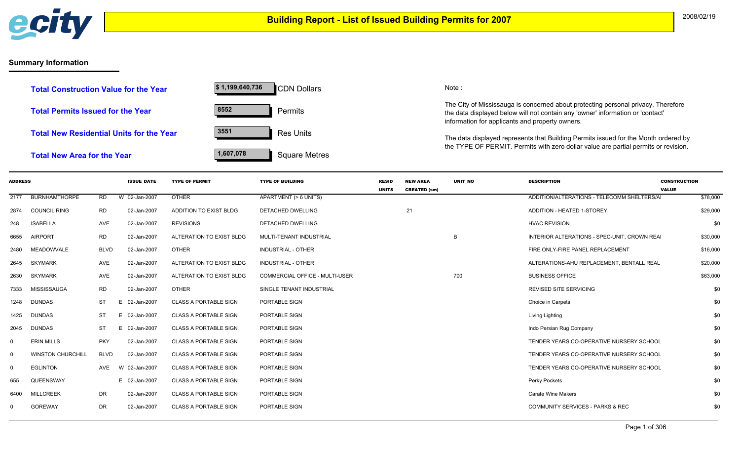

## **Summary Information**

| <b>Total Construction Value for the Year</b> | \$1,199,640,736 | CDN Dollars          |
|----------------------------------------------|-----------------|----------------------|
| Total Permits Issued for the Year            | 8552            | <b>Permits</b>       |
| Total New Residential Units for the Year     | 3551            | <b>Res Units</b>     |
| <b>Total New Area for the Year</b>           | 1,607,078       | <b>Square Metres</b> |

Dollars Note:

The City of Mississauga is concerned about protecting personal privacy. Therefore the data displayed below will not contain any 'owner' information or 'contact' information for applicants and property owners.

The data displayed represents that Building Permits issued for the Month ordered by the TYPE OF PERMIT. Permits with zero dollar value are partial permits or revision.

| <b>ADDRESS</b> |                          |             | <b>ISSUE DATE</b> | <b>TYPE OF PERMIT</b>        | <b>TYPE OF BUILDING</b>               | <b>RESID</b> | <b>NEW AREA</b>     | <b>UNIT NO</b> | <b>DESCRIPTION</b>                           | <b>CONSTRUCTION</b> |
|----------------|--------------------------|-------------|-------------------|------------------------------|---------------------------------------|--------------|---------------------|----------------|----------------------------------------------|---------------------|
|                |                          |             |                   |                              |                                       | <b>UNITS</b> | <b>CREATED (sm)</b> |                |                                              | <b>VALUE</b>        |
| 2177           | <b>BURNHAMTHORPE</b>     | RD.         | W 02-Jan-2007     | <b>OTHER</b>                 | APARTMENT (> 6 UNITS)                 |              |                     |                | ADDITION/ALTERATIONS - TELECOMM SHELTERS/AI  | \$78,000            |
| 2874           | <b>COUNCIL RING</b>      | RD          | 02-Jan-2007       | ADDITION TO EXIST BLDG       | DETACHED DWELLING                     |              | 21                  |                | ADDITION - HEATED 1-STOREY                   | \$29,000            |
| 248            | <b>ISABELLA</b>          | AVE         | 02-Jan-2007       | <b>REVISIONS</b>             | <b>DETACHED DWELLING</b>              |              |                     |                | <b>HVAC REVISION</b>                         | \$0                 |
| 6655           | <b>AIRPORT</b>           | RD          | 02-Jan-2007       | ALTERATION TO EXIST BLDG     | MULTI-TENANT INDUSTRIAL               |              |                     | B              | INTERIOR ALTERATIONS - SPEC-UNIT, CROWN REAI | \$30,000            |
| 2480           | <b>MEADOWVALE</b>        | <b>BLVD</b> | 02-Jan-2007       | <b>OTHER</b>                 | <b>INDUSTRIAL - OTHER</b>             |              |                     |                | FIRE ONLY-FIRE PANEL REPLACEMENT             | \$16,000            |
| 2645           | <b>SKYMARK</b>           | AVE         | 02-Jan-2007       | ALTERATION TO EXIST BLDG     | <b>INDUSTRIAL - OTHER</b>             |              |                     |                | ALTERATIONS-AHU REPLACEMENT. BENTALL REAL    | \$20,000            |
| 2630           | <b>SKYMARK</b>           | AVE         | 02-Jan-2007       | ALTERATION TO EXIST BLDG     | <b>COMMERCIAL OFFICE - MULTI-USER</b> |              |                     | 700            | <b>BUSINESS OFFICE</b>                       | \$63,000            |
| 7333           | MISSISSAUGA              | <b>RD</b>   | 02-Jan-2007       | <b>OTHER</b>                 | SINGLE TENANT INDUSTRIAL              |              |                     |                | <b>REVISED SITE SERVICING</b>                | \$0                 |
| 1248           | <b>DUNDAS</b>            | ST          | 02-Jan-2007<br>Е  | <b>CLASS A PORTABLE SIGN</b> | PORTABLE SIGN                         |              |                     |                | Choice in Carpets                            | \$0                 |
| 1425           | <b>DUNDAS</b>            | ST          | 02-Jan-2007<br>E. | <b>CLASS A PORTABLE SIGN</b> | PORTABLE SIGN                         |              |                     |                | Living Lighting                              | \$0                 |
| 2045           | <b>DUNDAS</b>            | ST          | 02-Jan-2007<br>E. | <b>CLASS A PORTABLE SIGN</b> | PORTABLE SIGN                         |              |                     |                | Indo Persian Rug Company                     | \$0                 |
| 0              | <b>ERIN MILLS</b>        | <b>PKY</b>  | 02-Jan-2007       | <b>CLASS A PORTABLE SIGN</b> | PORTABLE SIGN                         |              |                     |                | TENDER YEARS CO-OPERATIVE NURSERY SCHOOL     | \$0                 |
| 0              | <b>WINSTON CHURCHILL</b> | <b>BLVD</b> | 02-Jan-2007       | <b>CLASS A PORTABLE SIGN</b> | PORTABLE SIGN                         |              |                     |                | TENDER YEARS CO-OPERATIVE NURSERY SCHOOL     | \$0                 |
| 0              | <b>EGLINTON</b>          | AVE         | 02-Jan-2007<br>W  | <b>CLASS A PORTABLE SIGN</b> | PORTABLE SIGN                         |              |                     |                | TENDER YEARS CO-OPERATIVE NURSERY SCHOOL     | \$0                 |
| 655            | QUEENSWAY                |             | E 02-Jan-2007     | <b>CLASS A PORTABLE SIGN</b> | PORTABLE SIGN                         |              |                     |                | Perky Pockets                                | \$0                 |
| 6400           | <b>MILLCREEK</b>         | DR          | 02-Jan-2007       | <b>CLASS A PORTABLE SIGN</b> | PORTABLE SIGN                         |              |                     |                | <b>Carafe Wine Makers</b>                    | \$0                 |
| 0              | <b>GOREWAY</b>           | DR          | 02-Jan-2007       | <b>CLASS A PORTABLE SIGN</b> | PORTABLE SIGN                         |              |                     |                | <b>COMMUNITY SERVICES - PARKS &amp; REC</b>  | \$0                 |
|                |                          |             |                   |                              |                                       |              |                     |                |                                              |                     |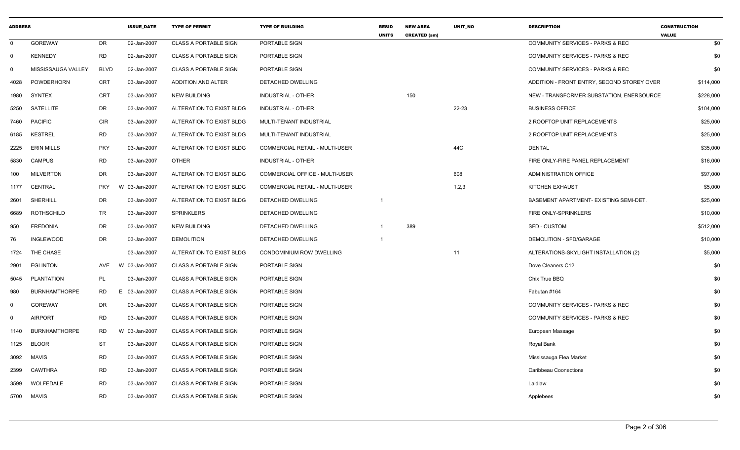| <b>ADDRESS</b> |                      |             | <b>ISSUE DATE</b> | <b>TYPE OF PERMIT</b>        | <b>TYPE OF BUILDING</b>        | <b>RESID</b><br><b>UNITS</b> | <b>NEW AREA</b><br><b>CREATED (sm)</b> | <b>UNIT NO</b> | <b>DESCRIPTION</b>                          | <b>CONSTRUCTION</b><br><b>VALUE</b> |
|----------------|----------------------|-------------|-------------------|------------------------------|--------------------------------|------------------------------|----------------------------------------|----------------|---------------------------------------------|-------------------------------------|
| $\Omega$       | <b>GOREWAY</b>       | <b>DR</b>   | 02-Jan-2007       | <b>CLASS A PORTABLE SIGN</b> | PORTABLE SIGN                  |                              |                                        |                | <b>COMMUNITY SERVICES - PARKS &amp; REC</b> | \$0                                 |
| $\mathbf 0$    | <b>KENNEDY</b>       | <b>RD</b>   | 02-Jan-2007       | <b>CLASS A PORTABLE SIGN</b> | PORTABLE SIGN                  |                              |                                        |                | COMMUNITY SERVICES - PARKS & REC            | \$0                                 |
| $\mathbf 0$    | MISSISSAUGA VALLEY   | <b>BLVD</b> | 02-Jan-2007       | <b>CLASS A PORTABLE SIGN</b> | PORTABLE SIGN                  |                              |                                        |                | COMMUNITY SERVICES - PARKS & REC            | \$0                                 |
| 4028           | POWDERHORN           | <b>CRT</b>  | 03-Jan-2007       | ADDITION AND ALTER           | DETACHED DWELLING              |                              |                                        |                | ADDITION - FRONT ENTRY, SECOND STOREY OVER  | \$114,000                           |
| 1980           | <b>SYNTEX</b>        | <b>CRT</b>  | 03-Jan-2007       | <b>NEW BUILDING</b>          | INDUSTRIAL - OTHER             |                              | 150                                    |                | NEW - TRANSFORMER SUBSTATION, ENERSOURCE    | \$228,000                           |
| 5250           | SATELLITE            | DR          | 03-Jan-2007       | ALTERATION TO EXIST BLDG     | <b>INDUSTRIAL - OTHER</b>      |                              |                                        | $22 - 23$      | <b>BUSINESS OFFICE</b>                      | \$104,000                           |
| 7460           | <b>PACIFIC</b>       | <b>CIR</b>  | 03-Jan-2007       | ALTERATION TO EXIST BLDG     | MULTI-TENANT INDUSTRIAL        |                              |                                        |                | 2 ROOFTOP UNIT REPLACEMENTS                 | \$25,000                            |
| 6185           | <b>KESTREL</b>       | <b>RD</b>   | 03-Jan-2007       | ALTERATION TO EXIST BLDG     | MULTI-TENANT INDUSTRIAL        |                              |                                        |                | 2 ROOFTOP UNIT REPLACEMENTS                 | \$25,000                            |
| 2225           | <b>ERIN MILLS</b>    | <b>PKY</b>  | 03-Jan-2007       | ALTERATION TO EXIST BLDG     | COMMERCIAL RETAIL - MULTI-USER |                              |                                        | 44C            | <b>DENTAL</b>                               | \$35,000                            |
| 5830           | <b>CAMPUS</b>        | <b>RD</b>   | 03-Jan-2007       | <b>OTHER</b>                 | INDUSTRIAL - OTHER             |                              |                                        |                | FIRE ONLY-FIRE PANEL REPLACEMENT            | \$16,000                            |
| 100            | <b>MILVERTON</b>     | DR          | 03-Jan-2007       | ALTERATION TO EXIST BLDG     | COMMERCIAL OFFICE - MULTI-USER |                              |                                        | 608            | <b>ADMINISTRATION OFFICE</b>                | \$97,000                            |
| 1177           | CENTRAL              | <b>PKY</b>  | W 03-Jan-2007     | ALTERATION TO EXIST BLDG     | COMMERCIAL RETAIL - MULTI-USER |                              |                                        | 1,2,3          | <b>KITCHEN EXHAUST</b>                      | \$5,000                             |
| 2601           | SHERHILL             | DR          | 03-Jan-2007       | ALTERATION TO EXIST BLDG     | DETACHED DWELLING              |                              |                                        |                | BASEMENT APARTMENT- EXISTING SEMI-DET.      | \$25,000                            |
| 6689           | ROTHSCHILD           | TR          | 03-Jan-2007       | <b>SPRINKLERS</b>            | <b>DETACHED DWELLING</b>       |                              |                                        |                | FIRE ONLY-SPRINKLERS                        | \$10,000                            |
| 950            | <b>FREDONIA</b>      | DR          | 03-Jan-2007       | <b>NEW BUILDING</b>          | <b>DETACHED DWELLING</b>       |                              | 389                                    |                | <b>SFD - CUSTOM</b>                         | \$512,000                           |
| 76             | <b>INGLEWOOD</b>     | <b>DR</b>   | 03-Jan-2007       | <b>DEMOLITION</b>            | DETACHED DWELLING              | $\overline{1}$               |                                        |                | DEMOLITION - SFD/GARAGE                     | \$10,000                            |
| 1724           | THE CHASE            |             | 03-Jan-2007       | ALTERATION TO EXIST BLDG     | CONDOMINIUM ROW DWELLING       |                              |                                        | 11             | ALTERATIONS-SKYLIGHT INSTALLATION (2)       | \$5,000                             |
| 2901           | <b>EGLINTON</b>      | AVE         | W 03-Jan-2007     | <b>CLASS A PORTABLE SIGN</b> | PORTABLE SIGN                  |                              |                                        |                | Dove Cleaners C12                           | \$0                                 |
| 5045           | <b>PLANTATION</b>    | <b>PL</b>   | 03-Jan-2007       | <b>CLASS A PORTABLE SIGN</b> | PORTABLE SIGN                  |                              |                                        |                | Chix True BBQ                               | \$0                                 |
| 980            | <b>BURNHAMTHORPE</b> | <b>RD</b>   | E 03-Jan-2007     | <b>CLASS A PORTABLE SIGN</b> | PORTABLE SIGN                  |                              |                                        |                | Fabutan #164                                | \$0                                 |
| $\mathbf 0$    | <b>GOREWAY</b>       | DR          | 03-Jan-2007       | <b>CLASS A PORTABLE SIGN</b> | PORTABLE SIGN                  |                              |                                        |                | <b>COMMUNITY SERVICES - PARKS &amp; REC</b> | \$0                                 |
| $\mathbf 0$    | <b>AIRPORT</b>       | <b>RD</b>   | 03-Jan-2007       | <b>CLASS A PORTABLE SIGN</b> | PORTABLE SIGN                  |                              |                                        |                | COMMUNITY SERVICES - PARKS & REC            | \$0                                 |
| 1140           | <b>BURNHAMTHORPE</b> | RD          | W 03-Jan-2007     | <b>CLASS A PORTABLE SIGN</b> | PORTABLE SIGN                  |                              |                                        |                | European Massage                            | \$0                                 |
| 1125           | <b>BLOOR</b>         | ST          | 03-Jan-2007       | <b>CLASS A PORTABLE SIGN</b> | PORTABLE SIGN                  |                              |                                        |                | Royal Bank                                  | \$0                                 |
| 3092           | <b>MAVIS</b>         | <b>RD</b>   | 03-Jan-2007       | <b>CLASS A PORTABLE SIGN</b> | PORTABLE SIGN                  |                              |                                        |                | Mississauga Flea Market                     | \$0                                 |
| 2399           | CAWTHRA              | <b>RD</b>   | 03-Jan-2007       | <b>CLASS A PORTABLE SIGN</b> | PORTABLE SIGN                  |                              |                                        |                | Caribbeau Coonections                       | \$0                                 |
| 3599           | WOLFEDALE            | <b>RD</b>   | 03-Jan-2007       | <b>CLASS A PORTABLE SIGN</b> | PORTABLE SIGN                  |                              |                                        |                | Laidlaw                                     | \$0                                 |
| 5700           | MAVIS                | <b>RD</b>   | 03-Jan-2007       | <b>CLASS A PORTABLE SIGN</b> | PORTABLE SIGN                  |                              |                                        |                | Applebees                                   | \$0                                 |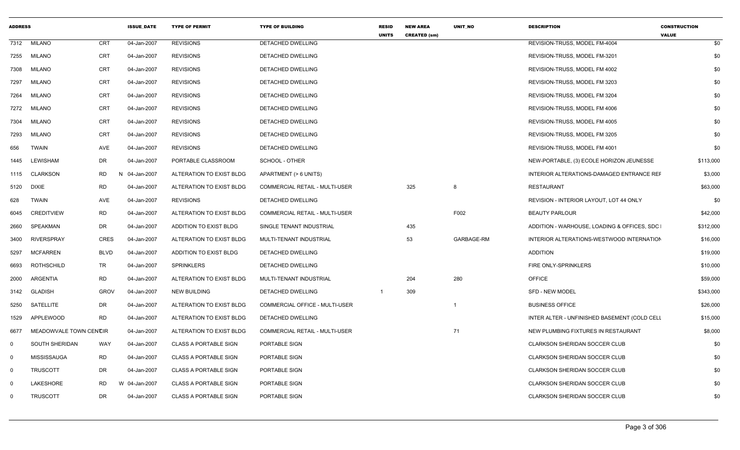| <b>ADDRESS</b> |                        |             | <b>ISSUE DATE</b> | <b>TYPE OF PERMIT</b>        | <b>TYPE OF BUILDING</b>               | <b>RESID</b><br><b>UNITS</b> | <b>NEW AREA</b><br><b>CREATED (sm)</b> | UNIT NO    | <b>DESCRIPTION</b>                           | <b>CONSTRUCTION</b><br><b>VALUE</b> |
|----------------|------------------------|-------------|-------------------|------------------------------|---------------------------------------|------------------------------|----------------------------------------|------------|----------------------------------------------|-------------------------------------|
| 7312           | <b>MILANO</b>          | <b>CRT</b>  | 04-Jan-2007       | <b>REVISIONS</b>             | <b>DETACHED DWELLING</b>              |                              |                                        |            | REVISION-TRUSS, MODEL FM-4004                | \$0                                 |
| 7255           | <b>MILANO</b>          | CRT         | 04-Jan-2007       | <b>REVISIONS</b>             | DETACHED DWELLING                     |                              |                                        |            | REVISION-TRUSS, MODEL FM-3201                | \$0                                 |
| 7308           | MILANO                 | <b>CRT</b>  | 04-Jan-2007       | <b>REVISIONS</b>             | DETACHED DWELLING                     |                              |                                        |            | REVISION-TRUSS, MODEL FM 4002                | \$0                                 |
| 7297           | <b>MILANO</b>          | CRT         | 04-Jan-2007       | <b>REVISIONS</b>             | DETACHED DWELLING                     |                              |                                        |            | REVISION-TRUSS, MODEL FM 3203                | \$0                                 |
| 7264           | <b>MILANO</b>          | CRT         | 04-Jan-2007       | <b>REVISIONS</b>             | DETACHED DWELLING                     |                              |                                        |            | REVISION-TRUSS, MODEL FM 3204                | \$0                                 |
| 7272           | <b>MILANO</b>          | <b>CRT</b>  | 04-Jan-2007       | <b>REVISIONS</b>             | DETACHED DWELLING                     |                              |                                        |            | REVISION-TRUSS, MODEL FM 4006                | \$0                                 |
| 7304           | <b>MILANO</b>          | <b>CRT</b>  | 04-Jan-2007       | <b>REVISIONS</b>             | <b>DETACHED DWELLING</b>              |                              |                                        |            | REVISION-TRUSS, MODEL FM 4005                | \$0                                 |
| 7293           | <b>MILANO</b>          | <b>CRT</b>  | 04-Jan-2007       | <b>REVISIONS</b>             | <b>DETACHED DWELLING</b>              |                              |                                        |            | REVISION-TRUSS, MODEL FM 3205                | \$0                                 |
| 656            | TWAIN                  | AVE         | 04-Jan-2007       | <b>REVISIONS</b>             | DETACHED DWELLING                     |                              |                                        |            | REVISION-TRUSS, MODEL FM 4001                | \$0                                 |
| 1445           | <b>LEWISHAM</b>        | DR          | 04-Jan-2007       | PORTABLE CLASSROOM           | SCHOOL - OTHER                        |                              |                                        |            | NEW-PORTABLE, (3) ECOLE HORIZON JEUNESSE     | \$113,000                           |
| 1115           | <b>CLARKSON</b>        | <b>RD</b>   | N 04-Jan-2007     | ALTERATION TO EXIST BLDG     | APARTMENT (> 6 UNITS)                 |                              |                                        |            | INTERIOR ALTERATIONS-DAMAGED ENTRANCE REF    | \$3,000                             |
| 5120           | DIXIE                  | <b>RD</b>   | 04-Jan-2007       | ALTERATION TO EXIST BLDG     | <b>COMMERCIAL RETAIL - MULTI-USER</b> |                              | 325                                    | 8          | <b>RESTAURANT</b>                            | \$63,000                            |
| 628            | <b>TWAIN</b>           | AVE         | 04-Jan-2007       | <b>REVISIONS</b>             | <b>DETACHED DWELLING</b>              |                              |                                        |            | REVISION - INTERIOR LAYOUT, LOT 44 ONLY      | \$0                                 |
| 6045           | <b>CREDITVIEW</b>      | <b>RD</b>   | 04-Jan-2007       | ALTERATION TO EXIST BLDG     | COMMERCIAL RETAIL - MULTI-USER        |                              |                                        | F002       | <b>BEAUTY PARLOUR</b>                        | \$42,000                            |
| 2660           | SPEAKMAN               | DR          | 04-Jan-2007       | ADDITION TO EXIST BLDG       | SINGLE TENANT INDUSTRIAL              |                              | 435                                    |            | ADDITION - WARHOUSE, LOADING & OFFICES, SDC  | \$312,000                           |
| 3400           | <b>RIVERSPRAY</b>      | CRES        | 04-Jan-2007       | ALTERATION TO EXIST BLDG     | MULTI-TENANT INDUSTRIAL               |                              | 53                                     | GARBAGE-RM | INTERIOR ALTERATIONS-WESTWOOD INTERNATION    | \$16,000                            |
| 5297           | <b>MCFARREN</b>        | <b>BLVD</b> | 04-Jan-2007       | ADDITION TO EXIST BLDG       | DETACHED DWELLING                     |                              |                                        |            | <b>ADDITION</b>                              | \$19,000                            |
| 6693           | ROTHSCHILD             | TR          | 04-Jan-2007       | SPRINKLERS                   | DETACHED DWELLING                     |                              |                                        |            | FIRE ONLY-SPRINKLERS                         | \$10,000                            |
| 2000           | ARGENTIA               | <b>RD</b>   | 04-Jan-2007       | ALTERATION TO EXIST BLDG     | MULTI-TENANT INDUSTRIAL               |                              | 204                                    | 280        | <b>OFFICE</b>                                | \$59,000                            |
| 3142           | <b>GLADISH</b>         | <b>GROV</b> | 04-Jan-2007       | NEW BUILDING                 | DETACHED DWELLING                     |                              | 309                                    |            | SFD - NEW MODEL                              | \$343,000                           |
| 5250           | SATELLITE              | DR          | 04-Jan-2007       | ALTERATION TO EXIST BLDG     | COMMERCIAL OFFICE - MULTI-USER        |                              |                                        | 1          | <b>BUSINESS OFFICE</b>                       | \$26,000                            |
| 1529           | <b>APPLEWOOD</b>       | <b>RD</b>   | 04-Jan-2007       | ALTERATION TO EXIST BLDG     | <b>DETACHED DWELLING</b>              |                              |                                        |            | INTER ALTER - UNFINISHED BASEMENT (COLD CELL | \$15,000                            |
| 6677           | MEADOWVALE TOWN CENCIR |             | 04-Jan-2007       | ALTERATION TO EXIST BLDG     | COMMERCIAL RETAIL - MULTI-USER        |                              |                                        | 71         | NEW PLUMBING FIXTURES IN RESTAURANT          | \$8,000                             |
| $\Omega$       | <b>SOUTH SHERIDAN</b>  | <b>WAY</b>  | 04-Jan-2007       | <b>CLASS A PORTABLE SIGN</b> | PORTABLE SIGN                         |                              |                                        |            | CLARKSON SHERIDAN SOCCER CLUB                | \$0                                 |
| $\Omega$       | MISSISSAUGA            | <b>RD</b>   | 04-Jan-2007       | <b>CLASS A PORTABLE SIGN</b> | PORTABLE SIGN                         |                              |                                        |            | <b>CLARKSON SHERIDAN SOCCER CLUB</b>         | \$0                                 |
| $\Omega$       | <b>TRUSCOTT</b>        | DR          | 04-Jan-2007       | <b>CLASS A PORTABLE SIGN</b> | PORTABLE SIGN                         |                              |                                        |            | <b>CLARKSON SHERIDAN SOCCER CLUB</b>         | \$0                                 |
| $\Omega$       | LAKESHORE              | RD          | W 04-Jan-2007     | <b>CLASS A PORTABLE SIGN</b> | PORTABLE SIGN                         |                              |                                        |            | CLARKSON SHERIDAN SOCCER CLUB                | \$0                                 |
| $\Omega$       | <b>TRUSCOTT</b>        | DR          | 04-Jan-2007       | <b>CLASS A PORTABLE SIGN</b> | <b>PORTABLE SIGN</b>                  |                              |                                        |            | <b>CLARKSON SHERIDAN SOCCER CLUB</b>         | \$0                                 |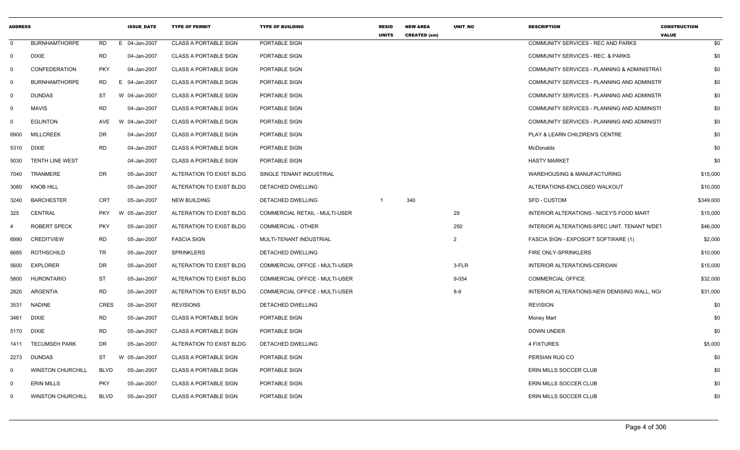| <b>ADDRESS</b> |                          |             | <b>ISSUE DATE</b> | <b>TYPE OF PERMIT</b>        | <b>TYPE OF BUILDING</b>               | <b>RESID</b><br><b>UNITS</b> | <b>NEW AREA</b><br><b>CREATED (sm)</b> | UNIT_NO       | <b>DESCRIPTION</b>                           | <b>CONSTRUCTION</b><br><b>VALUE</b> |
|----------------|--------------------------|-------------|-------------------|------------------------------|---------------------------------------|------------------------------|----------------------------------------|---------------|----------------------------------------------|-------------------------------------|
| $\Omega$       | <b>BURNHAMTHORPE</b>     | <b>RD</b>   | 04-Jan-2007<br>E. | <b>CLASS A PORTABLE SIGN</b> | PORTABLE SIGN                         |                              |                                        |               | COMMUNITY SERVICES - REC AND PARKS           | \$0                                 |
| $\Omega$       | <b>DIXIE</b>             | <b>RD</b>   | 04-Jan-2007       | <b>CLASS A PORTABLE SIGN</b> | PORTABLE SIGN                         |                              |                                        |               | COMMUNITY SERVICES - REC. & PARKS            | \$0                                 |
| 0              | <b>CONFEDERATION</b>     | <b>PKY</b>  | 04-Jan-2007       | <b>CLASS A PORTABLE SIGN</b> | PORTABLE SIGN                         |                              |                                        |               | COMMUNITY SERVICES - PLANNING & ADMINISTRAT  | \$0                                 |
| $\Omega$       | <b>BURNHAMTHORPE</b>     | <b>RD</b>   | 04-Jan-2007<br>Е. | <b>CLASS A PORTABLE SIGN</b> | PORTABLE SIGN                         |                              |                                        |               | COMMUNITY SERVICES - PLANNING AND ADMINSTF   | \$0                                 |
| 0              | <b>DUNDAS</b>            | <b>ST</b>   | W 04-Jan-2007     | <b>CLASS A PORTABLE SIGN</b> | PORTABLE SIGN                         |                              |                                        |               | COMMUNITY SERVICES - PLANNING AND ADMINSTF   | \$0                                 |
| 0              | <b>MAVIS</b>             | <b>RD</b>   | 04-Jan-2007       | <b>CLASS A PORTABLE SIGN</b> | PORTABLE SIGN                         |                              |                                        |               | COMMUNITY SERVICES - PLANNING AND ADMINISTI  | \$0                                 |
| 0              | <b>EGLINTON</b>          | AVE         | W 04-Jan-2007     | <b>CLASS A PORTABLE SIGN</b> | PORTABLE SIGN                         |                              |                                        |               | COMMUNITY SERVICES - PLANNING AND ADMINISTI  | \$0                                 |
| 6900           | <b>MILLCREEK</b>         | DR          | 04-Jan-2007       | <b>CLASS A PORTABLE SIGN</b> | PORTABLE SIGN                         |                              |                                        |               | PLAY & LEARN CHILDREN'S CENTRE               | \$0                                 |
| 5310           | DIXIE                    | <b>RD</b>   | 04-Jan-2007       | <b>CLASS A PORTABLE SIGN</b> | PORTABLE SIGN                         |                              |                                        |               | McDonalds                                    | \$0                                 |
| 5030           | <b>TENTH LINE WEST</b>   |             | 04-Jan-2007       | <b>CLASS A PORTABLE SIGN</b> | PORTABLE SIGN                         |                              |                                        |               | <b>HASTY MARKET</b>                          | \$0                                 |
| 7040           | <b>TRANMERE</b>          | DR          | 05-Jan-2007       | ALTERATION TO EXIST BLDG     | SINGLE TENANT INDUSTRIAL              |                              |                                        |               | <b>WAREHOUSING &amp; MANUFACTURING</b>       | \$15,000                            |
| 3080           | <b>KNOB HILL</b>         |             | 05-Jan-2007       | ALTERATION TO EXIST BLDG     | DETACHED DWELLING                     |                              |                                        |               | ALTERATIONS-ENCLOSED WALKOUT                 | \$10,000                            |
| 3240           | <b>BARCHESTER</b>        | <b>CRT</b>  | 05-Jan-2007       | <b>NEW BUILDING</b>          | DETACHED DWELLING                     | 1                            | 340                                    |               | <b>SFD - CUSTOM</b>                          | \$349,000                           |
| 325            | <b>CENTRAL</b>           | <b>PKY</b>  | 05-Jan-2007<br>W  | ALTERATION TO EXIST BLDG     | <b>COMMERCIAL RETAIL - MULTI-USER</b> |                              |                                        | 29            | INTERIOR ALTERATIONS - NICEY'S FOOD MART     | \$15,000                            |
| 4              | <b>ROBERT SPECK</b>      | <b>PKY</b>  | 05-Jan-2007       | ALTERATION TO EXIST BLDG     | <b>COMMERCIAL - OTHER</b>             |                              |                                        | 250           | INTERIOR ALTERATIONS-SPEC UNIT, TENANT N/DET | \$46,000                            |
| 6990           | <b>CREDITVIEW</b>        | <b>RD</b>   | 05-Jan-2007       | <b>FASCIA SIGN</b>           | MULTI-TENANT INDUSTRIAL               |                              |                                        | $\mathcal{P}$ | FASCIA SIGN - EXPOSOFT SOFTWARE (1)          | \$2,000                             |
| 6685           | <b>ROTHSCHILD</b>        | <b>TR</b>   | 05-Jan-2007       | <b>SPRINKLERS</b>            | DETACHED DWELLING                     |                              |                                        |               | FIRE ONLY-SPRINKLERS                         | \$10,000                            |
| 5600           | <b>EXPLORER</b>          | DR          | 05-Jan-2007       | ALTERATION TO EXIST BLDG     | <b>COMMERCIAL OFFICE - MULTI-USER</b> |                              |                                        | 3-FLR         | INTERIOR ALTERATIONS-CERIDAN                 | \$15,000                            |
| 5800           | <b>HURONTARIO</b>        | ST          | 05-Jan-2007       | ALTERATION TO EXIST BLDG     | <b>COMMERCIAL OFFICE - MULTI-USER</b> |                              |                                        | 9-054         | <b>COMMERCIAL OFFICE</b>                     | \$32,000                            |
| 2820           | <b>ARGENTIA</b>          | <b>RD</b>   | 05-Jan-2007       | ALTERATION TO EXIST BLDG     | COMMERCIAL OFFICE - MULTI-USER        |                              |                                        | $8 - 9$       | INTERIOR ALTERATIONS-NEW DEMISING WALL, NO/  | \$31,000                            |
| 3531           | <b>NADINE</b>            | <b>CRES</b> | 05-Jan-2007       | <b>REVISIONS</b>             | DETACHED DWELLING                     |                              |                                        |               | <b>REVISION</b>                              | \$0                                 |
| 3461           | <b>DIXIE</b>             | <b>RD</b>   | 05-Jan-2007       | <b>CLASS A PORTABLE SIGN</b> | PORTABLE SIGN                         |                              |                                        |               | Money Mart                                   | \$0                                 |
| 5170           | DIXIE                    | <b>RD</b>   | 05-Jan-2007       | <b>CLASS A PORTABLE SIGN</b> | PORTABLE SIGN                         |                              |                                        |               | <b>DOWN UNDER</b>                            | \$0                                 |
| 1411           | <b>TECUMSEH PARK</b>     | DR          | 05-Jan-2007       | ALTERATION TO EXIST BLDG     | DETACHED DWELLING                     |                              |                                        |               | 4 FIXTURES                                   | \$5,000                             |
| 2273           | <b>DUNDAS</b>            | ST          | W 05-Jan-2007     | <b>CLASS A PORTABLE SIGN</b> | PORTABLE SIGN                         |                              |                                        |               | PERSIAN RUG CO                               | \$0                                 |
| $\Omega$       | <b>WINSTON CHURCHILL</b> | <b>BLVD</b> | 05-Jan-2007       | <b>CLASS A PORTABLE SIGN</b> | PORTABLE SIGN                         |                              |                                        |               | ERIN MILLS SOCCER CLUB                       | \$0                                 |
| 0              | <b>ERIN MILLS</b>        | <b>PKY</b>  | 05-Jan-2007       | <b>CLASS A PORTABLE SIGN</b> | PORTABLE SIGN                         |                              |                                        |               | ERIN MILLS SOCCER CLUB                       | \$0                                 |
| $\Omega$       | <b>WINSTON CHURCHILL</b> | <b>BLVD</b> | 05-Jan-2007       | <b>CLASS A PORTABLE SIGN</b> | PORTABLE SIGN                         |                              |                                        |               | ERIN MILLS SOCCER CLUB                       | \$0                                 |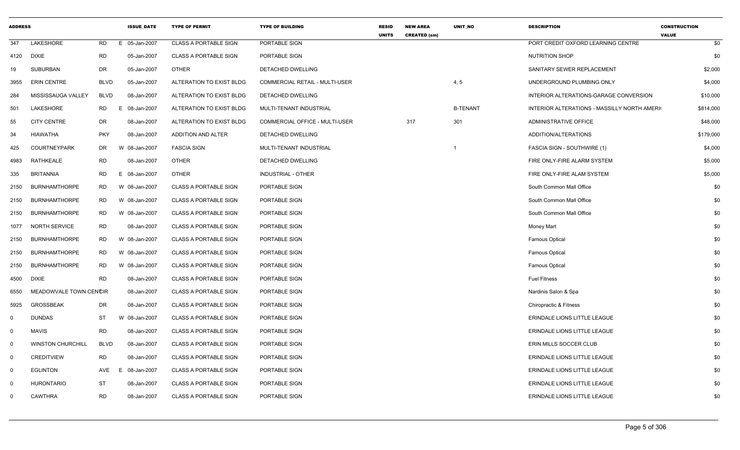| <b>ADDRESS</b> |                          |             | <b>ISSUE DATE</b> | <b>TYPE OF PERMIT</b>        | <b>TYPE OF BUILDING</b>               | <b>RESID</b><br><b>UNITS</b> | <b>NEW AREA</b><br><b>CREATED (sm)</b> | UNIT_NO         | <b>DESCRIPTION</b>                           | <b>CONSTRUCTION</b><br><b>VALUE</b> |
|----------------|--------------------------|-------------|-------------------|------------------------------|---------------------------------------|------------------------------|----------------------------------------|-----------------|----------------------------------------------|-------------------------------------|
| 347            | LAKESHORE                | <b>RD</b>   | E 05-Jan-2007     | <b>CLASS A PORTABLE SIGN</b> | PORTABLE SIGN                         |                              |                                        |                 | PORT CREDIT OXFORD LEARNING CENTRE           | \$0                                 |
| 4120           | <b>DIXIE</b>             | <b>RD</b>   | 05-Jan-2007       | <b>CLASS A PORTABLE SIGN</b> | PORTABLE SIGN                         |                              |                                        |                 | <b>NUTRITION SHOP</b>                        | \$0                                 |
| 19             | <b>SUBURBAN</b>          | DR          | 05-Jan-2007       | OTHER                        | DETACHED DWELLING                     |                              |                                        |                 | SANITARY SEWER REPLACEMENT                   | \$2,000                             |
| 3955           | <b>ERIN CENTRE</b>       | <b>BLVD</b> | 05-Jan-2007       | ALTERATION TO EXIST BLDG     | <b>COMMERCIAL RETAIL - MULTI-USER</b> |                              |                                        | 4, 5            | UNDERGROUND PLUMBING ONLY                    | \$4,000                             |
| 284            | MISSISSAUGA VALLEY       | <b>BLVD</b> | 08-Jan-2007       | ALTERATION TO EXIST BLDG     | DETACHED DWELLING                     |                              |                                        |                 | INTERIOR ALTERATIONS-GARAGE CONVERSION       | \$10,000                            |
| 501            | LAKESHORE                | <b>RD</b>   | E 08-Jan-2007     | ALTERATION TO EXIST BLDG     | MULTI-TENANT INDUSTRIAL               |                              |                                        | <b>B-TENANT</b> | INTERIOR ALTERATIONS - MASSILLY NORTH AMERIC | \$814,000                           |
| 55             | <b>CITY CENTRE</b>       | <b>DR</b>   | 08-Jan-2007       | ALTERATION TO EXIST BLDG     | <b>COMMERCIAL OFFICE - MULTI-USER</b> |                              | 317                                    | 301             | <b>ADMINISTRATIVE OFFICE</b>                 | \$48,000                            |
| 34             | <b>HIAWATHA</b>          | <b>PKY</b>  | 08-Jan-2007       | ADDITION AND ALTER           | DETACHED DWELLING                     |                              |                                        |                 | ADDITION/ALTERATIONS                         | \$179,000                           |
| 425            | <b>COURTNEYPARK</b>      | DR          | W 08-Jan-2007     | <b>FASCIA SIGN</b>           | MULTI-TENANT INDUSTRIAL               |                              |                                        | -1              | FASCIA SIGN - SOUTHWIRE (1)                  | \$4,000                             |
| 4983           | <b>RATHKEALE</b>         | <b>RD</b>   | 08-Jan-2007       | <b>OTHER</b>                 | DETACHED DWELLING                     |                              |                                        |                 | FIRE ONLY-FIRE ALARM SYSTEM                  | \$5,000                             |
| 335            | <b>BRITANNIA</b>         | <b>RD</b>   | E<br>08-Jan-2007  | <b>OTHER</b>                 | INDUSTRIAL - OTHER                    |                              |                                        |                 | FIRE ONLY-FIRE ALAM SYSTEM                   | \$5,000                             |
| 2150           | <b>BURNHAMTHORPE</b>     | <b>RD</b>   | W 08-Jan-2007     | <b>CLASS A PORTABLE SIGN</b> | PORTABLE SIGN                         |                              |                                        |                 | South Common Mall Office                     | \$0                                 |
| 2150           | <b>BURNHAMTHORPE</b>     | <b>RD</b>   | W 08-Jan-2007     | <b>CLASS A PORTABLE SIGN</b> | PORTABLE SIGN                         |                              |                                        |                 | South Common Mall Office                     | \$0                                 |
| 2150           | <b>BURNHAMTHORPE</b>     | <b>RD</b>   | W 08-Jan-2007     | <b>CLASS A PORTABLE SIGN</b> | PORTABLE SIGN                         |                              |                                        |                 | South Common Mall Office                     | \$0                                 |
| 1077           | <b>NORTH SERVICE</b>     | <b>RD</b>   | 08-Jan-2007       | <b>CLASS A PORTABLE SIGN</b> | PORTABLE SIGN                         |                              |                                        |                 | Money Mart                                   | \$0                                 |
| 2150           | <b>BURNHAMTHORPE</b>     | RD          | W 08-Jan-2007     | <b>CLASS A PORTABLE SIGN</b> | PORTABLE SIGN                         |                              |                                        |                 | <b>Famous Optical</b>                        | \$0                                 |
| 2150           | <b>BURNHAMTHORPE</b>     | <b>RD</b>   | W 08-Jan-2007     | <b>CLASS A PORTABLE SIGN</b> | PORTABLE SIGN                         |                              |                                        |                 | <b>Famous Optical</b>                        | \$0                                 |
| 2150           | <b>BURNHAMTHORPE</b>     | <b>RD</b>   | W 08-Jan-2007     | <b>CLASS A PORTABLE SIGN</b> | PORTABLE SIGN                         |                              |                                        |                 | <b>Famous Optical</b>                        | \$0                                 |
| 4500           | DIXIE                    | <b>RD</b>   | 08-Jan-2007       | <b>CLASS A PORTABLE SIGN</b> | PORTABLE SIGN                         |                              |                                        |                 | <b>Fuel Fitness</b>                          | \$0                                 |
| 6550           | MEADOWVALE TOWN CENCIR   |             | 08-Jan-2007       | <b>CLASS A PORTABLE SIGN</b> | PORTABLE SIGN                         |                              |                                        |                 | Nardinis Salon & Spa                         | \$0                                 |
| 5925           | <b>GROSSBEAK</b>         | DR          | 08-Jan-2007       | <b>CLASS A PORTABLE SIGN</b> | PORTABLE SIGN                         |                              |                                        |                 | Chiropractic & Fitness                       | \$0                                 |
| $\mathbf{0}$   | <b>DUNDAS</b>            | ST          | W 08-Jan-2007     | <b>CLASS A PORTABLE SIGN</b> | PORTABLE SIGN                         |                              |                                        |                 | ERINDALE LIONS LITTLE LEAGUE                 | \$0                                 |
| $\mathbf 0$    | <b>MAVIS</b>             | <b>RD</b>   | 08-Jan-2007       | <b>CLASS A PORTABLE SIGN</b> | PORTABLE SIGN                         |                              |                                        |                 | ERINDALE LIONS LITTLE LEAGUE                 | \$0                                 |
| $\mathbf 0$    | <b>WINSTON CHURCHILL</b> | <b>BLVD</b> | 08-Jan-2007       | <b>CLASS A PORTABLE SIGN</b> | PORTABLE SIGN                         |                              |                                        |                 | ERIN MILLS SOCCER CLUB                       | \$0                                 |
| $\mathbf{0}$   | <b>CREDITVIEW</b>        | <b>RD</b>   | 08-Jan-2007       | <b>CLASS A PORTABLE SIGN</b> | PORTABLE SIGN                         |                              |                                        |                 | ERINDALE LIONS LITTLE LEAGUE                 | \$0                                 |
| $\mathbf 0$    | <b>EGLINTON</b>          | AVE         | Ε<br>08-Jan-2007  | <b>CLASS A PORTABLE SIGN</b> | PORTABLE SIGN                         |                              |                                        |                 | ERINDALE LIONS LITTLE LEAGUE                 | \$0                                 |
| $\mathbf 0$    | <b>HURONTARIO</b>        | <b>ST</b>   | 08-Jan-2007       | <b>CLASS A PORTABLE SIGN</b> | PORTABLE SIGN                         |                              |                                        |                 | ERINDALE LIONS LITTLE LEAGUE                 | \$0                                 |
| $\Omega$       | <b>CAWTHRA</b>           | <b>RD</b>   | 08-Jan-2007       | <b>CLASS A PORTABLE SIGN</b> | PORTABLE SIGN                         |                              |                                        |                 | <b>ERINDALE LIONS LITTLE LEAGUE</b>          | \$0                                 |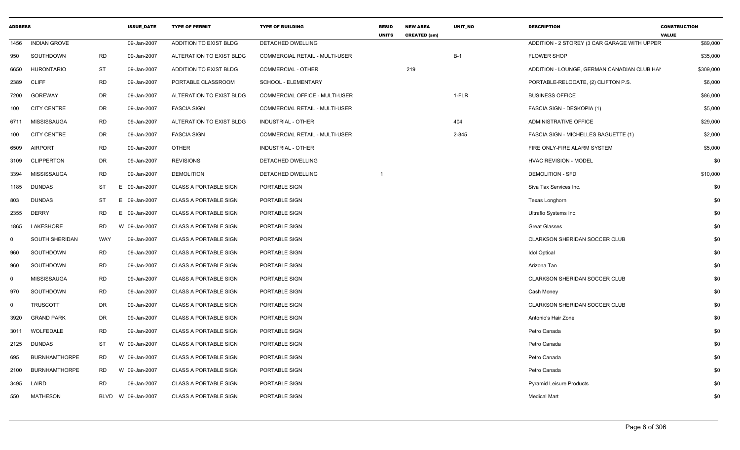| <b>ADDRESS</b> |                      |            | <b>ISSUE DATE</b>  | <b>TYPE OF PERMIT</b>         | <b>TYPE OF BUILDING</b>               | <b>RESID</b><br><b>UNITS</b> | <b>NEW AREA</b><br><b>CREATED (sm)</b> | <b>UNIT NO</b> | <b>DESCRIPTION</b>                           | <b>CONSTRUCTION</b><br><b>VALUE</b> |
|----------------|----------------------|------------|--------------------|-------------------------------|---------------------------------------|------------------------------|----------------------------------------|----------------|----------------------------------------------|-------------------------------------|
| 1456           | <b>INDIAN GROVE</b>  |            | 09-Jan-2007        | ADDITION TO EXIST BLDG        | DETACHED DWELLING                     |                              |                                        |                | ADDITION - 2 STOREY (3 CAR GARAGE WITH UPPER | \$89,000                            |
| 950            | SOUTHDOWN            | <b>RD</b>  | 09-Jan-2007        | ALTERATION TO EXIST BLDG      | <b>COMMERCIAL RETAIL - MULTI-USER</b> |                              |                                        | $B-1$          | <b>FLOWER SHOP</b>                           | \$35,000                            |
| 6650           | <b>HURONTARIO</b>    | <b>ST</b>  | 09-Jan-2007        | <b>ADDITION TO EXIST BLDG</b> | <b>COMMERCIAL - OTHER</b>             |                              | 219                                    |                | ADDITION - LOUNGE, GERMAN CANADIAN CLUB HAM  | \$309,000                           |
| 2389           | <b>CLIFF</b>         | <b>RD</b>  | 09-Jan-2007        | PORTABLE CLASSROOM            | SCHOOL - ELEMENTARY                   |                              |                                        |                | PORTABLE-RELOCATE, (2) CLIFTON P.S.          | \$6,000                             |
| 7200           | GOREWAY              | DR         | 09-Jan-2007        | ALTERATION TO EXIST BLDG      | COMMERCIAL OFFICE - MULTI-USER        |                              |                                        | 1-FLR          | <b>BUSINESS OFFICE</b>                       | \$86,000                            |
| 100            | <b>CITY CENTRE</b>   | <b>DR</b>  | 09-Jan-2007        | <b>FASCIA SIGN</b>            | <b>COMMERCIAL RETAIL - MULTI-USER</b> |                              |                                        |                | FASCIA SIGN - DESKOPIA (1)                   | \$5,000                             |
| 6711           | MISSISSAUGA          | <b>RD</b>  | 09-Jan-2007        | ALTERATION TO EXIST BLDG      | INDUSTRIAL - OTHER                    |                              |                                        | 404            | ADMINISTRATIVE OFFICE                        | \$29,000                            |
| 100            | <b>CITY CENTRE</b>   | <b>DR</b>  | 09-Jan-2007        | <b>FASCIA SIGN</b>            | <b>COMMERCIAL RETAIL - MULTI-USER</b> |                              |                                        | 2-845          | <b>FASCIA SIGN - MICHELLES BAGUETTE (1)</b>  | \$2,000                             |
| 6509           | <b>AIRPORT</b>       | <b>RD</b>  | 09-Jan-2007        | <b>OTHER</b>                  | <b>INDUSTRIAL - OTHER</b>             |                              |                                        |                | FIRE ONLY-FIRE ALARM SYSTEM                  | \$5,000                             |
| 3109           | <b>CLIPPERTON</b>    | DR         | 09-Jan-2007        | <b>REVISIONS</b>              | DETACHED DWELLING                     |                              |                                        |                | <b>HVAC REVISION - MODEL</b>                 | \$0                                 |
| 3394           | MISSISSAUGA          | <b>RD</b>  | 09-Jan-2007        | <b>DEMOLITION</b>             | DETACHED DWELLING                     | $\overline{1}$               |                                        |                | <b>DEMOLITION - SFD</b>                      | \$10,000                            |
| 1185           | <b>DUNDAS</b>        | ST         | E 09-Jan-2007      | <b>CLASS A PORTABLE SIGN</b>  | PORTABLE SIGN                         |                              |                                        |                | Siva Tax Services Inc.                       | \$0                                 |
| 803            | <b>DUNDAS</b>        | ST         | E 09-Jan-2007      | <b>CLASS A PORTABLE SIGN</b>  | PORTABLE SIGN                         |                              |                                        |                | Texas Longhorn                               | \$0                                 |
| 2355           | <b>DERRY</b>         | <b>RD</b>  | 09-Jan-2007<br>F.  | <b>CLASS A PORTABLE SIGN</b>  | PORTABLE SIGN                         |                              |                                        |                | Ultraflo Systems Inc.                        | \$0                                 |
| 1865           | LAKESHORE            | <b>RD</b>  | W 09-Jan-2007      | <b>CLASS A PORTABLE SIGN</b>  | PORTABLE SIGN                         |                              |                                        |                | <b>Great Glasses</b>                         | \$0                                 |
| $\Omega$       | SOUTH SHERIDAN       | <b>WAY</b> | 09-Jan-2007        | <b>CLASS A PORTABLE SIGN</b>  | PORTABLE SIGN                         |                              |                                        |                | <b>CLARKSON SHERIDAN SOCCER CLUB</b>         | \$0                                 |
| 960            | SOUTHDOWN            | <b>RD</b>  | 09-Jan-2007        | <b>CLASS A PORTABLE SIGN</b>  | PORTABLE SIGN                         |                              |                                        |                | <b>Idol Optical</b>                          | \$0                                 |
| 960            | SOUTHDOWN            | RD         | 09-Jan-2007        | <b>CLASS A PORTABLE SIGN</b>  | PORTABLE SIGN                         |                              |                                        |                | Arizona Tan                                  | \$0                                 |
| $\mathbf 0$    | <b>MISSISSAUGA</b>   | <b>RD</b>  | 09-Jan-2007        | <b>CLASS A PORTABLE SIGN</b>  | PORTABLE SIGN                         |                              |                                        |                | <b>CLARKSON SHERIDAN SOCCER CLUB</b>         | \$0                                 |
| 970            | SOUTHDOWN            | RD         | 09-Jan-2007        | <b>CLASS A PORTABLE SIGN</b>  | PORTABLE SIGN                         |                              |                                        |                | Cash Money                                   | \$0                                 |
| $\Omega$       | <b>TRUSCOTT</b>      | DR         | 09-Jan-2007        | <b>CLASS A PORTABLE SIGN</b>  | PORTABLE SIGN                         |                              |                                        |                | CLARKSON SHERIDAN SOCCER CLUB                | \$0                                 |
| 3920           | <b>GRAND PARK</b>    | DR         | 09-Jan-2007        | <b>CLASS A PORTABLE SIGN</b>  | PORTABLE SIGN                         |                              |                                        |                | Antonio's Hair Zone                          | \$0                                 |
| 3011           | WOLFEDALE            | <b>RD</b>  | 09-Jan-2007        | <b>CLASS A PORTABLE SIGN</b>  | PORTABLE SIGN                         |                              |                                        |                | Petro Canada                                 | \$0                                 |
| 2125           | <b>DUNDAS</b>        | ST         | W 09-Jan-2007      | <b>CLASS A PORTABLE SIGN</b>  | PORTABLE SIGN                         |                              |                                        |                | Petro Canada                                 | \$0                                 |
| 695            | <b>BURNHAMTHORPE</b> | <b>RD</b>  | W 09-Jan-2007      | <b>CLASS A PORTABLE SIGN</b>  | PORTABLE SIGN                         |                              |                                        |                | Petro Canada                                 | \$0                                 |
| 2100           | <b>BURNHAMTHORPE</b> | RD.        | W 09-Jan-2007      | <b>CLASS A PORTABLE SIGN</b>  | PORTABLE SIGN                         |                              |                                        |                | Petro Canada                                 | \$0                                 |
| 3495           | LAIRD                | <b>RD</b>  | 09-Jan-2007        | <b>CLASS A PORTABLE SIGN</b>  | PORTABLE SIGN                         |                              |                                        |                | <b>Pyramid Leisure Products</b>              | \$0                                 |
| 550            | <b>MATHESON</b>      |            | BLVD W 09-Jan-2007 | <b>CLASS A PORTABLE SIGN</b>  | PORTABLE SIGN                         |                              |                                        |                | <b>Medical Mart</b>                          | \$0                                 |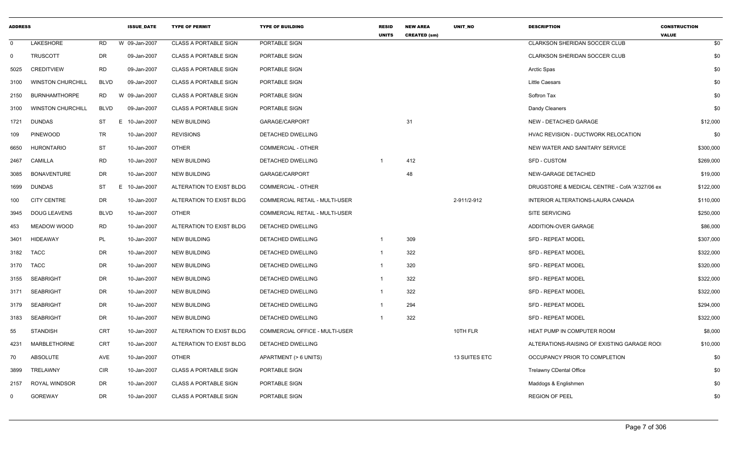| <b>ADDRESS</b> |                          |             | <b>ISSUE DATE</b> | <b>TYPE OF PERMIT</b>        | <b>TYPE OF BUILDING</b>               | <b>RESID</b><br><b>UNITS</b> | <b>NEW AREA</b><br><b>CREATED (sm)</b> | <b>UNIT NO</b> | <b>DESCRIPTION</b>                             | <b>CONSTRUCTION</b><br><b>VALUE</b> |
|----------------|--------------------------|-------------|-------------------|------------------------------|---------------------------------------|------------------------------|----------------------------------------|----------------|------------------------------------------------|-------------------------------------|
| $\mathsf{O}$   | LAKESHORE                | <b>RD</b>   | W 09-Jan-2007     | <b>CLASS A PORTABLE SIGN</b> | PORTABLE SIGN                         |                              |                                        |                | CLARKSON SHERIDAN SOCCER CLUB                  | \$0                                 |
| $\mathbf 0$    | <b>TRUSCOTT</b>          | <b>DR</b>   | 09-Jan-2007       | <b>CLASS A PORTABLE SIGN</b> | PORTABLE SIGN                         |                              |                                        |                | <b>CLARKSON SHERIDAN SOCCER CLUB</b>           | \$0                                 |
| 5025           | <b>CREDITVIEW</b>        | <b>RD</b>   | 09-Jan-2007       | <b>CLASS A PORTABLE SIGN</b> | PORTABLE SIGN                         |                              |                                        |                | Arctic Spas                                    | \$0                                 |
| 3100           | <b>WINSTON CHURCHILL</b> | <b>BLVD</b> | 09-Jan-2007       | <b>CLASS A PORTABLE SIGN</b> | PORTABLE SIGN                         |                              |                                        |                | <b>Little Caesars</b>                          | \$0                                 |
| 2150           | <b>BURNHAMTHORPE</b>     | <b>RD</b>   | W 09-Jan-2007     | <b>CLASS A PORTABLE SIGN</b> | PORTABLE SIGN                         |                              |                                        |                | Softron Tax                                    | \$0                                 |
| 3100           | <b>WINSTON CHURCHILL</b> | <b>BLVD</b> | 09-Jan-2007       | <b>CLASS A PORTABLE SIGN</b> | PORTABLE SIGN                         |                              |                                        |                | Dandy Cleaners                                 | \$0                                 |
| 1721           | <b>DUNDAS</b>            | <b>ST</b>   | Е.<br>10-Jan-2007 | <b>NEW BUILDING</b>          | GARAGE/CARPORT                        |                              | 31                                     |                | NEW - DETACHED GARAGE                          | \$12,000                            |
| 109            | <b>PINEWOOD</b>          | TR          | 10-Jan-2007       | <b>REVISIONS</b>             | DETACHED DWELLING                     |                              |                                        |                | HVAC REVISION - DUCTWORK RELOCATION            | \$0                                 |
| 6650           | <b>HURONTARIO</b>        | <b>ST</b>   | 10-Jan-2007       | <b>OTHER</b>                 | <b>COMMERCIAL - OTHER</b>             |                              |                                        |                | NEW WATER AND SANITARY SERVICE                 | \$300,000                           |
| 2467           | <b>CAMILLA</b>           | <b>RD</b>   | 10-Jan-2007       | <b>NEW BUILDING</b>          | DETACHED DWELLING                     | -1                           | 412                                    |                | <b>SFD - CUSTOM</b>                            | \$269,000                           |
| 3085           | <b>BONAVENTURE</b>       | <b>DR</b>   | 10-Jan-2007       | <b>NEW BUILDING</b>          | GARAGE/CARPORT                        |                              | 48                                     |                | NEW-GARAGE DETACHED                            | \$19,000                            |
| 1699           | <b>DUNDAS</b>            | <b>ST</b>   | E<br>10-Jan-2007  | ALTERATION TO EXIST BLDG     | <b>COMMERCIAL - OTHER</b>             |                              |                                        |                | DRUGSTORE & MEDICAL CENTRE - CofA 'A'327/06 ex | \$122,000                           |
| 100            | <b>CITY CENTRE</b>       | <b>DR</b>   | 10-Jan-2007       | ALTERATION TO EXIST BLDG     | <b>COMMERCIAL RETAIL - MULTI-USER</b> |                              |                                        | 2-911/2-912    | INTERIOR ALTERATIONS-LAURA CANADA              | \$110,000                           |
| 3945           | <b>DOUG LEAVENS</b>      | <b>BLVD</b> | 10-Jan-2007       | <b>OTHER</b>                 | COMMERCIAL RETAIL - MULTI-USER        |                              |                                        |                | SITE SERVICING                                 | \$250,000                           |
| 453            | MEADOW WOOD              | <b>RD</b>   | 10-Jan-2007       | ALTERATION TO EXIST BLDG     | DETACHED DWELLING                     |                              |                                        |                | ADDITION-OVER GARAGE                           | \$86,000                            |
| 3401           | <b>HIDEAWAY</b>          | PL          | 10-Jan-2007       | <b>NEW BUILDING</b>          | DETACHED DWELLING                     | -1                           | 309                                    |                | <b>SFD - REPEAT MODEL</b>                      | \$307,000                           |
| 3182           | <b>TACC</b>              | <b>DR</b>   | 10-Jan-2007       | <b>NEW BUILDING</b>          | DETACHED DWELLING                     | $\mathbf{1}$                 | 322                                    |                | <b>SFD - REPEAT MODEL</b>                      | \$322,000                           |
| 3170           | <b>TACC</b>              | <b>DR</b>   | 10-Jan-2007       | <b>NEW BUILDING</b>          | DETACHED DWELLING                     | $\mathbf{1}$                 | 320                                    |                | SFD - REPEAT MODEL                             | \$320,000                           |
| 3155           | <b>SEABRIGHT</b>         | DR          | 10-Jan-2007       | <b>NEW BUILDING</b>          | DETACHED DWELLING                     | $\overline{1}$               | 322                                    |                | SFD - REPEAT MODEL                             | \$322,000                           |
| 3171           | <b>SEABRIGHT</b>         | DR          | 10-Jan-2007       | <b>NEW BUILDING</b>          | DETACHED DWELLING                     | $\overline{1}$               | 322                                    |                | <b>SFD - REPEAT MODEL</b>                      | \$322,000                           |
| 3179           | <b>SEABRIGHT</b>         | <b>DR</b>   | 10-Jan-2007       | <b>NEW BUILDING</b>          | DETACHED DWELLING                     | $\overline{1}$               | 294                                    |                | SFD - REPEAT MODEL                             | \$294,000                           |
| 3183           | <b>SEABRIGHT</b>         | <b>DR</b>   | 10-Jan-2007       | <b>NEW BUILDING</b>          | DETACHED DWELLING                     | -1                           | 322                                    |                | SFD - REPEAT MODEL                             | \$322,000                           |
| 55             | <b>STANDISH</b>          | CRT         | 10-Jan-2007       | ALTERATION TO EXIST BLDG     | COMMERCIAL OFFICE - MULTI-USER        |                              |                                        | 10TH FLR       | HEAT PUMP IN COMPUTER ROOM                     | \$8,000                             |
| 4231           | <b>MARBLETHORNE</b>      | CRT         | 10-Jan-2007       | ALTERATION TO EXIST BLDG     | DETACHED DWELLING                     |                              |                                        |                | ALTERATIONS-RAISING OF EXISTING GARAGE ROO     | \$10,000                            |
| 70             | <b>ABSOLUTE</b>          | AVE         | 10-Jan-2007       | <b>OTHER</b>                 | APARTMENT (> 6 UNITS)                 |                              |                                        | 13 SUITES ETC  | OCCUPANCY PRIOR TO COMPLETION                  | \$0                                 |
| 3899           | TRELAWNY                 | <b>CIR</b>  | 10-Jan-2007       | <b>CLASS A PORTABLE SIGN</b> | PORTABLE SIGN                         |                              |                                        |                | <b>Trelawny CDental Office</b>                 | \$0                                 |
| 2157           | ROYAL WINDSOR            | <b>DR</b>   | 10-Jan-2007       | <b>CLASS A PORTABLE SIGN</b> | PORTABLE SIGN                         |                              |                                        |                | Maddogs & Englishmen                           | \$0                                 |
| $\mathbf 0$    | <b>GOREWAY</b>           | <b>DR</b>   | 10-Jan-2007       | <b>CLASS A PORTABLE SIGN</b> | PORTABLE SIGN                         |                              |                                        |                | <b>REGION OF PEEL</b>                          | \$0                                 |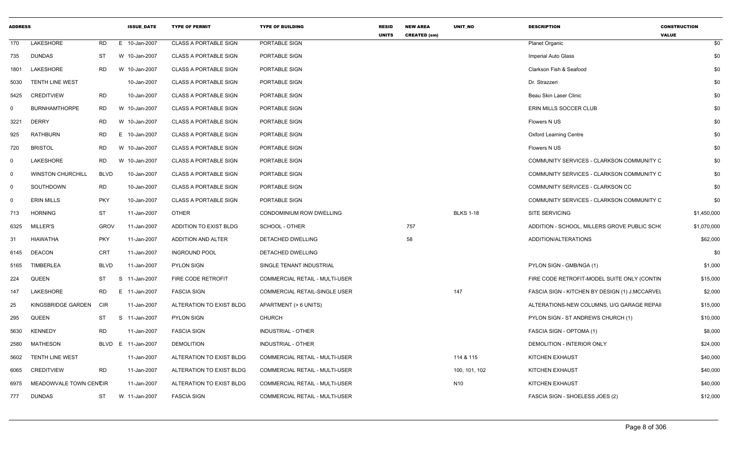| <b>ADDRESS</b> |                          |             | <b>ISSUE_DATE</b>  | <b>TYPE OF PERMIT</b>        | <b>TYPE OF BUILDING</b>               | <b>RESID</b><br><b>UNITS</b> | <b>NEW AREA</b><br><b>CREATED (sm)</b> | UNIT_NO          | <b>DESCRIPTION</b>                             | <b>CONSTRUCTION</b><br><b>VALUE</b> |
|----------------|--------------------------|-------------|--------------------|------------------------------|---------------------------------------|------------------------------|----------------------------------------|------------------|------------------------------------------------|-------------------------------------|
| 170            | LAKESHORE                | RD          | E 10-Jan-2007      | <b>CLASS A PORTABLE SIGN</b> | PORTABLE SIGN                         |                              |                                        |                  | <b>Planet Organic</b>                          | \$0                                 |
| 735            | <b>DUNDAS</b>            | ST          | W 10-Jan-2007      | <b>CLASS A PORTABLE SIGN</b> | PORTABLE SIGN                         |                              |                                        |                  | Imperial Auto Glass                            | \$0                                 |
| 1801           | LAKESHORE                | RD.         | W 10-Jan-2007      | <b>CLASS A PORTABLE SIGN</b> | PORTABLE SIGN                         |                              |                                        |                  | Clarkson Fish & Seafood                        | \$0                                 |
| 5030           | <b>TENTH LINE WEST</b>   |             | 10-Jan-2007        | <b>CLASS A PORTABLE SIGN</b> | PORTABLE SIGN                         |                              |                                        |                  | Dr. Strazzeri                                  | \$0                                 |
| 5425           | <b>CREDITVIEW</b>        | <b>RD</b>   | 10-Jan-2007        | <b>CLASS A PORTABLE SIGN</b> | <b>PORTABLE SIGN</b>                  |                              |                                        |                  | Beau Skin Laser Clinic                         | \$0                                 |
| $\Omega$       | <b>BURNHAMTHORPE</b>     | RD          | W 10-Jan-2007      | <b>CLASS A PORTABLE SIGN</b> | PORTABLE SIGN                         |                              |                                        |                  | ERIN MILLS SOCCER CLUB                         | \$0                                 |
| 3221           | <b>DERRY</b>             | RD          | W 10-Jan-2007      | <b>CLASS A PORTABLE SIGN</b> | PORTABLE SIGN                         |                              |                                        |                  | Flowers N US                                   | \$0                                 |
| 925            | <b>RATHBURN</b>          | RD          | E<br>10-Jan-2007   | <b>CLASS A PORTABLE SIGN</b> | PORTABLE SIGN                         |                              |                                        |                  | <b>Oxford Learning Centre</b>                  | \$0                                 |
| 720            | <b>BRISTOL</b>           | <b>RD</b>   | W 10-Jan-2007      | <b>CLASS A PORTABLE SIGN</b> | PORTABLE SIGN                         |                              |                                        |                  | Flowers N US                                   | \$0                                 |
| $\mathbf 0$    | LAKESHORE                | RD.         | W 10-Jan-2007      | <b>CLASS A PORTABLE SIGN</b> | PORTABLE SIGN                         |                              |                                        |                  | COMMUNITY SERVICES - CLARKSON COMMUNITY C      | \$0                                 |
| $\Omega$       | <b>WINSTON CHURCHILL</b> | <b>BLVD</b> | 10-Jan-2007        | <b>CLASS A PORTABLE SIGN</b> | PORTABLE SIGN                         |                              |                                        |                  | COMMUNITY SERVICES - CLARKSON COMMUNITY C      | \$0                                 |
| 0              | SOUTHDOWN                | RD          | 10-Jan-2007        | <b>CLASS A PORTABLE SIGN</b> | PORTABLE SIGN                         |                              |                                        |                  | COMMUNITY SERVICES - CLARKSON CC               | \$0                                 |
| 0              | <b>ERIN MILLS</b>        | <b>PKY</b>  | 10-Jan-2007        | <b>CLASS A PORTABLE SIGN</b> | PORTABLE SIGN                         |                              |                                        |                  | COMMUNITY SERVICES - CLARKSON COMMUNITY C      | \$0                                 |
| 713            | <b>HORNING</b>           | <b>ST</b>   | 11-Jan-2007        | <b>OTHER</b>                 | CONDOMINIUM ROW DWELLING              |                              |                                        | <b>BLKS 1-18</b> | SITE SERVICING                                 | \$1,450,000                         |
| 6325           | MILLER'S                 | <b>GROV</b> | 11-Jan-2007        | ADDITION TO EXIST BLDG       | SCHOOL - OTHER                        |                              | 757                                    |                  | ADDITION - SCHOOL, MILLERS GROVE PUBLIC SCHO   | \$1,070,000                         |
| 31             | <b>HIAWATHA</b>          | PKY         | 11-Jan-2007        | ADDITION AND ALTER           | DETACHED DWELLING                     |                              | 58                                     |                  | ADDITION/ALTERATIONS                           | \$62,000                            |
| 6145           | <b>DEACON</b>            | <b>CRT</b>  | 11-Jan-2007        | <b>INGROUND POOL</b>         | DETACHED DWELLING                     |                              |                                        |                  |                                                | \$0                                 |
| 5165           | TIMBERLEA                | <b>BLVD</b> | 11-Jan-2007        | <b>PYLON SIGN</b>            | SINGLE TENANT INDUSTRIAL              |                              |                                        |                  | PYLON SIGN - GMB/NGA (1)                       | \$1,000                             |
| 224            | QUEEN                    | ST          | S<br>11-Jan-2007   | FIRE CODE RETROFIT           | COMMERCIAL RETAIL - MULTI-USER        |                              |                                        |                  | FIRE CODE RETROFIT-MODEL SUITE ONLY (CONTIN    | \$15,000                            |
| 147            | LAKESHORE                | <b>RD</b>   | 11-Jan-2007<br>E   | <b>FASCIA SIGN</b>           | <b>COMMERCIAL RETAIL-SINGLE USER</b>  |                              |                                        | 147              | FASCIA SIGN - KITCHEN BY DESIGN (1) J.MCCARVEL | \$2,000                             |
| 25             | KINGSBRIDGE GARDEN       | <b>CIR</b>  | 11-Jan-2007        | ALTERATION TO EXIST BLDG     | APARTMENT (> 6 UNITS)                 |                              |                                        |                  | ALTERATIONS-NEW COLUMNS, U/G GARAGE REPAIL     | \$15,000                            |
| 295            | <b>QUEEN</b>             | <b>ST</b>   | S 11-Jan-2007      | <b>PYLON SIGN</b>            | <b>CHURCH</b>                         |                              |                                        |                  | PYLON SIGN - ST ANDREWS CHURCH (1)             | \$10,000                            |
| 5630           | <b>KENNEDY</b>           | <b>RD</b>   | 11-Jan-2007        | <b>FASCIA SIGN</b>           | <b>INDUSTRIAL - OTHER</b>             |                              |                                        |                  | FASCIA SIGN - OPTOMA (1)                       | \$8,000                             |
| 2580           | MATHESON                 |             | BLVD E 11-Jan-2007 | <b>DEMOLITION</b>            | <b>INDUSTRIAL - OTHER</b>             |                              |                                        |                  | DEMOLITION - INTERIOR ONLY                     | \$24,000                            |
| 5602           | <b>TENTH LINE WEST</b>   |             | 11-Jan-2007        | ALTERATION TO EXIST BLDG     | COMMERCIAL RETAIL - MULTI-USER        |                              |                                        | 114 & 115        | KITCHEN EXHAUST                                | \$40,000                            |
| 6065           | CREDITVIEW               | <b>RD</b>   | 11-Jan-2007        | ALTERATION TO EXIST BLDG     | <b>COMMERCIAL RETAIL - MULTI-USER</b> |                              |                                        | 100, 101, 102    | <b>KITCHEN EXHAUST</b>                         | \$40,000                            |
| 6975           | MEADOWVALE TOWN CENCIR   |             | 11-Jan-2007        | ALTERATION TO EXIST BLDG     | <b>COMMERCIAL RETAIL - MULTI-USER</b> |                              |                                        | N <sub>10</sub>  | KITCHEN EXHAUST                                | \$40,000                            |
| 777            | <b>DUNDAS</b>            | ST          | W 11-Jan-2007      | <b>FASCIA SIGN</b>           | COMMERCIAL RETAIL - MULTI-USER        |                              |                                        |                  | FASCIA SIGN - SHOELESS JOES (2)                | \$12,000                            |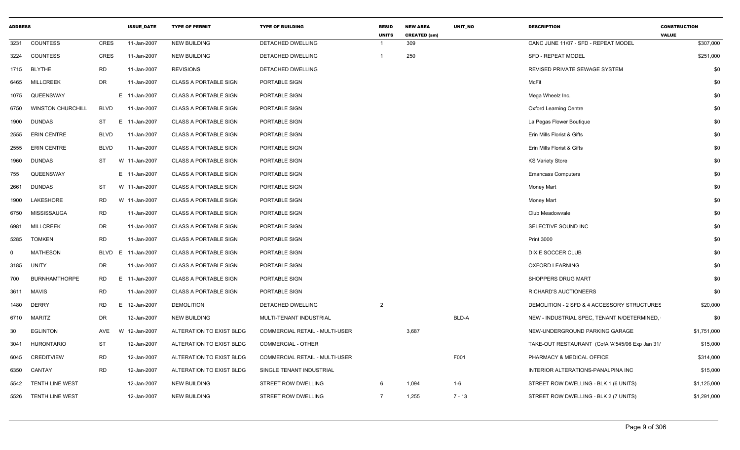| <b>ADDRESS</b> |                          |             | <b>ISSUE DATE</b> | <b>TYPE OF PERMIT</b>        | <b>TYPE OF BUILDING</b>        | <b>RESID</b><br><b>UNITS</b> | <b>NEW AREA</b><br><b>CREATED (sm)</b> | UNIT_NO  | <b>DESCRIPTION</b>                              | <b>CONSTRUCTION</b><br><b>VALUE</b> |
|----------------|--------------------------|-------------|-------------------|------------------------------|--------------------------------|------------------------------|----------------------------------------|----------|-------------------------------------------------|-------------------------------------|
| 3231           | <b>COUNTESS</b>          | CRES        | 11-Jan-2007       | <b>NEW BUILDING</b>          | DETACHED DWELLING              | $\overline{1}$               | 309                                    |          | CANC JUNE 11/07 - SFD - REPEAT MODEL            | \$307,000                           |
| 3224           | <b>COUNTESS</b>          | <b>CRES</b> | 11-Jan-2007       | <b>NEW BUILDING</b>          | DETACHED DWELLING              | $\overline{1}$               | 250                                    |          | SFD - REPEAT MODEL                              | \$251,000                           |
| 1715           | <b>BLYTHE</b>            | <b>RD</b>   | 11-Jan-2007       | <b>REVISIONS</b>             | DETACHED DWELLING              |                              |                                        |          | REVISED PRIVATE SEWAGE SYSTEM                   | \$0                                 |
| 6465           | <b>MILLCREEK</b>         | DR          | 11-Jan-2007       | <b>CLASS A PORTABLE SIGN</b> | PORTABLE SIGN                  |                              |                                        |          | <b>McFit</b>                                    | \$0                                 |
| 1075           | QUEENSWAY                |             | E 11-Jan-2007     | <b>CLASS A PORTABLE SIGN</b> | PORTABLE SIGN                  |                              |                                        |          | Mega Wheelz Inc.                                | \$0                                 |
| 6750           | <b>WINSTON CHURCHILL</b> | <b>BLVD</b> | 11-Jan-2007       | <b>CLASS A PORTABLE SIGN</b> | PORTABLE SIGN                  |                              |                                        |          | <b>Oxford Learning Centre</b>                   | \$0                                 |
| 1900           | DUNDAS                   | ST          | E.<br>11-Jan-2007 | <b>CLASS A PORTABLE SIGN</b> | PORTABLE SIGN                  |                              |                                        |          | La Pegas Flower Boutique                        | \$0                                 |
| 2555           | <b>ERIN CENTRE</b>       | <b>BLVD</b> | 11-Jan-2007       | CLASS A PORTABLE SIGN        | PORTABLE SIGN                  |                              |                                        |          | Erin Mills Florist & Gifts                      | \$0                                 |
| 2555           | <b>ERIN CENTRE</b>       | <b>BLVD</b> | 11-Jan-2007       | <b>CLASS A PORTABLE SIGN</b> | PORTABLE SIGN                  |                              |                                        |          | Erin Mills Florist & Gifts                      | \$0                                 |
| 1960           | DUNDAS                   | ST          | W 11-Jan-2007     | <b>CLASS A PORTABLE SIGN</b> | PORTABLE SIGN                  |                              |                                        |          | <b>KS Variety Store</b>                         | \$0                                 |
| 755            | QUEENSWAY                |             | E 11-Jan-2007     | <b>CLASS A PORTABLE SIGN</b> | PORTABLE SIGN                  |                              |                                        |          | <b>Emancass Computers</b>                       | \$0                                 |
| 2661           | DUNDAS                   | ST          | W 11-Jan-2007     | <b>CLASS A PORTABLE SIGN</b> | PORTABLE SIGN                  |                              |                                        |          | Money Mart                                      | \$0                                 |
| 1900           | LAKESHORE                | <b>RD</b>   | W 11-Jan-2007     | <b>CLASS A PORTABLE SIGN</b> | PORTABLE SIGN                  |                              |                                        |          | Money Mart                                      | \$0                                 |
| 6750           | MISSISSAUGA              | RD          | 11-Jan-2007       | <b>CLASS A PORTABLE SIGN</b> | PORTABLE SIGN                  |                              |                                        |          | Club Meadowvale                                 | \$0                                 |
| 6981           | <b>MILLCREEK</b>         | DR          | 11-Jan-2007       | CLASS A PORTABLE SIGN        | PORTABLE SIGN                  |                              |                                        |          | SELECTIVE SOUND INC                             | \$0                                 |
| 5285           | <b>TOMKEN</b>            | <b>RD</b>   | 11-Jan-2007       | <b>CLASS A PORTABLE SIGN</b> | PORTABLE SIGN                  |                              |                                        |          | <b>Print 3000</b>                               | \$0                                 |
| 0              | MATHESON                 | <b>BLVD</b> | E 11-Jan-2007     | <b>CLASS A PORTABLE SIGN</b> | PORTABLE SIGN                  |                              |                                        |          | DIXIE SOCCER CLUB                               | \$0                                 |
| 3185           | <b>UNITY</b>             | DR          | 11-Jan-2007       | <b>CLASS A PORTABLE SIGN</b> | PORTABLE SIGN                  |                              |                                        |          | <b>OXFORD LEARNING</b>                          | \$0                                 |
| 700            | <b>BURNHAMTHORPE</b>     | <b>RD</b>   | E 11-Jan-2007     | <b>CLASS A PORTABLE SIGN</b> | PORTABLE SIGN                  |                              |                                        |          | SHOPPERS DRUG MART                              | \$0                                 |
| 3611           | <b>MAVIS</b>             | <b>RD</b>   | 11-Jan-2007       | <b>CLASS A PORTABLE SIGN</b> | PORTABLE SIGN                  |                              |                                        |          | RICHARD'S AUCTIONEERS                           | \$0                                 |
| 1480           | <b>DERRY</b>             | <b>RD</b>   | E 12-Jan-2007     | <b>DEMOLITION</b>            | <b>DETACHED DWELLING</b>       | 2                            |                                        |          | DEMOLITION - 2 SFD & 4 ACCESSORY STRUCTURES     | \$20,000                            |
| 6710           | MARITZ                   | DR          | 12-Jan-2007       | <b>NEW BUILDING</b>          | MULTI-TENANT INDUSTRIAL        |                              |                                        | BLD-A    | NEW - INDUSTRIAL SPEC, TENANT N/DETERMINED,     | \$0                                 |
| 30             | <b>EGLINTON</b>          | AVE         | W 12-Jan-2007     | ALTERATION TO EXIST BLDG     | COMMERCIAL RETAIL - MULTI-USER |                              | 3,687                                  |          | NEW-UNDERGROUND PARKING GARAGE                  | \$1,751,000                         |
| 3041           | <b>HURONTARIO</b>        | ST          | 12-Jan-2007       | ALTERATION TO EXIST BLDG     | <b>COMMERCIAL - OTHER</b>      |                              |                                        |          | TAKE-OUT RESTAURANT (CofA 'A'545/06 Exp Jan 31/ | \$15,000                            |
| 6045           | <b>CREDITVIEW</b>        | <b>RD</b>   | 12-Jan-2007       | ALTERATION TO EXIST BLDG     | COMMERCIAL RETAIL - MULTI-USER |                              |                                        | F001     | PHARMACY & MEDICAL OFFICE                       | \$314,000                           |
| 6350           | CANTAY                   | RD          | 12-Jan-2007       | ALTERATION TO EXIST BLDG     | SINGLE TENANT INDUSTRIAL       |                              |                                        |          | INTERIOR ALTERATIONS-PANALPINA INC              | \$15,000                            |
| 5542           | <b>TENTH LINE WEST</b>   |             | 12-Jan-2007       | <b>NEW BUILDING</b>          | STREET ROW DWELLING            | 6                            | 1,094                                  | $1-6$    | STREET ROW DWELLING - BLK 1 (6 UNITS)           | \$1,125,000                         |
| 5526           | TENTH LINE WEST          |             | 12-Jan-2007       | <b>NEW BUILDING</b>          | <b>STREET ROW DWELLING</b>     | $\overline{7}$               | 1,255                                  | $7 - 13$ | STREET ROW DWELLING - BLK 2 (7 UNITS)           | \$1,291,000                         |
|                |                          |             |                   |                              |                                |                              |                                        |          |                                                 |                                     |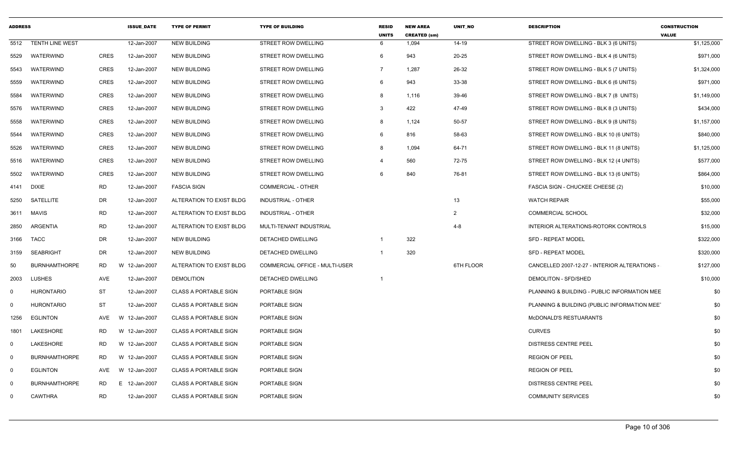| <b>ADDRESS</b> |                        |             | <b>ISSUE DATE</b> | <b>TYPE OF PERMIT</b>        | <b>TYPE OF BUILDING</b>               | <b>RESID</b><br><b>UNITS</b> | <b>NEW AREA</b><br><b>CREATED (sm)</b> | UNIT NO   | <b>DESCRIPTION</b>                            | <b>CONSTRUCTION</b><br><b>VALUE</b> |
|----------------|------------------------|-------------|-------------------|------------------------------|---------------------------------------|------------------------------|----------------------------------------|-----------|-----------------------------------------------|-------------------------------------|
| 5512           | <b>TENTH LINE WEST</b> |             | 12-Jan-2007       | <b>NEW BUILDING</b>          | <b>STREET ROW DWELLING</b>            | 6                            | 1,094                                  | $14-19$   | STREET ROW DWELLING - BLK 3 (6 UNITS)         | \$1,125,000                         |
| 5529           | WATERWIND              | <b>CRES</b> | 12-Jan-2007       | <b>NEW BUILDING</b>          | STREET ROW DWELLING                   | 6                            | 943                                    | 20-25     | STREET ROW DWELLING - BLK 4 (6 UNITS)         | \$971,000                           |
| 5543           | WATERWIND              | <b>CRES</b> | 12-Jan-2007       | <b>NEW BUILDING</b>          | STREET ROW DWELLING                   | 7                            | 1,287                                  | 26-32     | STREET ROW DWELLING - BLK 5 (7 UNITS)         | \$1,324,000                         |
| 5559           | WATERWIND              | <b>CRES</b> | 12-Jan-2007       | <b>NEW BUILDING</b>          | STREET ROW DWELLING                   | 6                            | 943                                    | 33-38     | STREET ROW DWELLING - BLK 6 (6 UNITS)         | \$971,000                           |
| 5584           | WATERWIND              | <b>CRES</b> | 12-Jan-2007       | NEW BUILDING                 | STREET ROW DWELLING                   | 8                            | 1,116                                  | 39-46     | STREET ROW DWELLING - BLK 7 (8 UNITS)         | \$1,149,000                         |
| 5576           | WATERWIND              | <b>CRES</b> | 12-Jan-2007       | <b>NEW BUILDING</b>          | STREET ROW DWELLING                   | 3                            | 422                                    | 47-49     | STREET ROW DWELLING - BLK 8 (3 UNITS)         | \$434,000                           |
| 5558           | WATERWIND              | <b>CRES</b> | 12-Jan-2007       | <b>NEW BUILDING</b>          | STREET ROW DWELLING                   | 8                            | 1,124                                  | 50-57     | STREET ROW DWELLING - BLK 9 (8 UNITS)         | \$1,157,000                         |
| 5544           | WATERWIND              | CRES        | 12-Jan-2007       | <b>NEW BUILDING</b>          | STREET ROW DWELLING                   | 6                            | 816                                    | 58-63     | STREET ROW DWELLING - BLK 10 (6 UNITS)        | \$840,000                           |
| 5526           | WATERWIND              | <b>CRES</b> | 12-Jan-2007       | <b>NEW BUILDING</b>          | STREET ROW DWELLING                   | 8                            | 1,094                                  | 64-71     | STREET ROW DWELLING - BLK 11 (8 UNITS)        | \$1,125,000                         |
| 5516           | <b>WATERWIND</b>       | <b>CRES</b> | 12-Jan-2007       | <b>NEW BUILDING</b>          | STREET ROW DWELLING                   |                              | 560                                    | 72-75     | STREET ROW DWELLING - BLK 12 (4 UNITS)        | \$577,000                           |
| 5502           | WATERWIND              | <b>CRES</b> | 12-Jan-2007       | <b>NEW BUILDING</b>          | STREET ROW DWELLING                   | 6                            | 840                                    | 76-81     | STREET ROW DWELLING - BLK 13 (6 UNITS)        | \$864,000                           |
| 4141           | <b>DIXIE</b>           | RD          | 12-Jan-2007       | <b>FASCIA SIGN</b>           | COMMERCIAL - OTHER                    |                              |                                        |           | FASCIA SIGN - CHUCKEE CHEESE (2)              | \$10,000                            |
| 5250           | SATELLITE              | DR          | 12-Jan-2007       | ALTERATION TO EXIST BLDG     | <b>INDUSTRIAL - OTHER</b>             |                              |                                        | 13        | <b>WATCH REPAIR</b>                           | \$55,000                            |
| 3611           | MAVIS                  | <b>RD</b>   | 12-Jan-2007       | ALTERATION TO EXIST BLDG     | INDUSTRIAL - OTHER                    |                              |                                        | 2         | <b>COMMERCIAL SCHOOL</b>                      | \$32,000                            |
| 2850           | <b>ARGENTIA</b>        | <b>RD</b>   | 12-Jan-2007       | ALTERATION TO EXIST BLDG     | MULTI-TENANT INDUSTRIAL               |                              |                                        | $4 - 8$   | INTERIOR ALTERATIONS-ROTORK CONTROLS          | \$15,000                            |
| 3166           | <b>TACC</b>            | DR          | 12-Jan-2007       | <b>NEW BUILDING</b>          | DETACHED DWELLING                     | $\mathbf 1$                  | 322                                    |           | <b>SFD - REPEAT MODEL</b>                     | \$322,000                           |
| 3159           | <b>SEABRIGHT</b>       | DR          | 12-Jan-2007       | NEW BUILDING                 | DETACHED DWELLING                     | -1                           | 320                                    |           | <b>SFD - REPEAT MODEL</b>                     | \$320,000                           |
| 50             | <b>BURNHAMTHORPE</b>   | <b>RD</b>   | W 12-Jan-2007     | ALTERATION TO EXIST BLDG     | <b>COMMERCIAL OFFICE - MULTI-USER</b> |                              |                                        | 6TH FLOOR | CANCELLED 2007-12-27 - INTERIOR ALTERATIONS - | \$127,000                           |
| 2003           | <b>LUSHES</b>          | AVE         | 12-Jan-2007       | <b>DEMOLITION</b>            | DETACHED DWELLING                     | -1                           |                                        |           | DEMOLITON - SFD/SHED                          | \$10,000                            |
| $\mathbf 0$    | <b>HURONTARIO</b>      | ST          | 12-Jan-2007       | <b>CLASS A PORTABLE SIGN</b> | PORTABLE SIGN                         |                              |                                        |           | PLANNING & BUILDING - PUBLIC INFORMATION MEE  | \$0                                 |
| $\mathbf 0$    | <b>HURONTARIO</b>      | <b>ST</b>   | 12-Jan-2007       | CLASS A PORTABLE SIGN        | PORTABLE SIGN                         |                              |                                        |           | PLANNING & BUILDING (PUBLIC INFORMATION MEE)  | \$0                                 |
| 1256           | <b>EGLINTON</b>        | AVE         | W 12-Jan-2007     | <b>CLASS A PORTABLE SIGN</b> | PORTABLE SIGN                         |                              |                                        |           | McDONALD'S RESTUARANTS                        | \$0                                 |
| 1801           | LAKESHORE              | <b>RD</b>   | W 12-Jan-2007     | <b>CLASS A PORTABLE SIGN</b> | PORTABLE SIGN                         |                              |                                        |           | <b>CURVES</b>                                 | \$0                                 |
| $\mathbf{0}$   | LAKESHORE              | RD          | W 12-Jan-2007     | <b>CLASS A PORTABLE SIGN</b> | PORTABLE SIGN                         |                              |                                        |           | <b>DISTRESS CENTRE PEEL</b>                   | \$0                                 |
| $\mathbf 0$    | <b>BURNHAMTHORPE</b>   | RD          | W 12-Jan-2007     | <b>CLASS A PORTABLE SIGN</b> | PORTABLE SIGN                         |                              |                                        |           | <b>REGION OF PEEL</b>                         | \$0                                 |
| $\mathbf 0$    | <b>EGLINTON</b>        | AVE         | W 12-Jan-2007     | <b>CLASS A PORTABLE SIGN</b> | PORTABLE SIGN                         |                              |                                        |           | <b>REGION OF PEEL</b>                         | \$0                                 |
| $\Omega$       | <b>BURNHAMTHORPE</b>   | RD.         | E.<br>12-Jan-2007 | <b>CLASS A PORTABLE SIGN</b> | PORTABLE SIGN                         |                              |                                        |           | <b>DISTRESS CENTRE PEEL</b>                   | \$0                                 |
| $\Omega$       | <b>CAWTHRA</b>         | <b>RD</b>   | 12-Jan-2007       | <b>CLASS A PORTABLE SIGN</b> | PORTABLE SIGN                         |                              |                                        |           | <b>COMMUNITY SERVICES</b>                     | \$0                                 |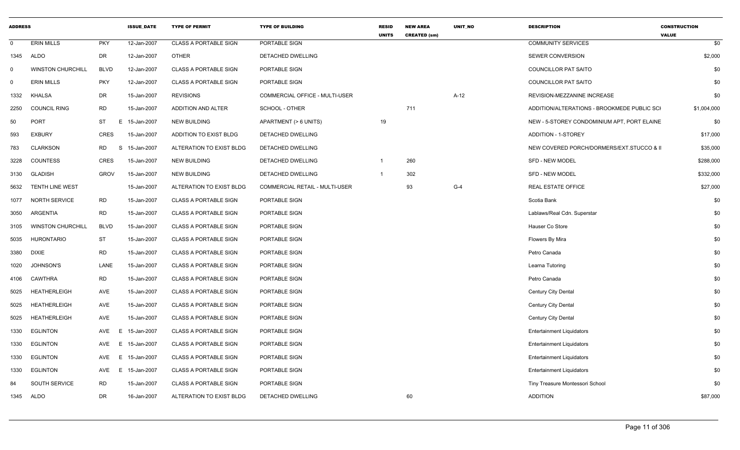| <b>ADDRESS</b> |                          |             | <b>ISSUE DATE</b> | <b>TYPE OF PERMIT</b>        | <b>TYPE OF BUILDING</b>        | <b>RESID</b><br><b>UNITS</b> | <b>NEW AREA</b><br><b>CREATED (sm)</b> | <b>UNIT NO</b> | <b>DESCRIPTION</b>                          | <b>CONSTRUCTION</b><br><b>VALUE</b> |
|----------------|--------------------------|-------------|-------------------|------------------------------|--------------------------------|------------------------------|----------------------------------------|----------------|---------------------------------------------|-------------------------------------|
| $\mathbf{0}$   | <b>ERIN MILLS</b>        | <b>PKY</b>  | 12-Jan-2007       | CLASS A PORTABLE SIGN        | PORTABLE SIGN                  |                              |                                        |                | <b>COMMUNITY SERVICES</b>                   | \$0                                 |
| 1345           | ALDO                     | DR          | 12-Jan-2007       | <b>OTHER</b>                 | DETACHED DWELLING              |                              |                                        |                | <b>SEWER CONVERSION</b>                     | \$2,000                             |
| 0              | <b>WINSTON CHURCHILL</b> | <b>BLVD</b> | 12-Jan-2007       | <b>CLASS A PORTABLE SIGN</b> | PORTABLE SIGN                  |                              |                                        |                | COUNCILLOR PAT SAITO                        | \$0                                 |
| $\mathbf{0}$   | <b>ERIN MILLS</b>        | <b>PKY</b>  | 12-Jan-2007       | <b>CLASS A PORTABLE SIGN</b> | PORTABLE SIGN                  |                              |                                        |                | COUNCILLOR PAT SAITO                        | \$0                                 |
| 1332           | <b>KHALSA</b>            | <b>DR</b>   | 15-Jan-2007       | <b>REVISIONS</b>             | COMMERCIAL OFFICE - MULTI-USER |                              |                                        | $A-12$         | REVISION-MEZZANINE INCREASE                 | \$0                                 |
| 2250           | <b>COUNCIL RING</b>      | <b>RD</b>   | 15-Jan-2007       | <b>ADDITION AND ALTER</b>    | SCHOOL - OTHER                 |                              | 711                                    |                | ADDITION/ALTERATIONS - BROOKMEDE PUBLIC SCI | \$1,004,000                         |
| 50             | <b>PORT</b>              | <b>ST</b>   | E 15-Jan-2007     | <b>NEW BUILDING</b>          | APARTMENT (> 6 UNITS)          | 19                           |                                        |                | NEW - 5-STOREY CONDOMINIUM APT, PORT ELAINE | \$0                                 |
| 593            | <b>EXBURY</b>            | <b>CRES</b> | 15-Jan-2007       | ADDITION TO EXIST BLDG       | DETACHED DWELLING              |                              |                                        |                | <b>ADDITION - 1-STOREY</b>                  | \$17,000                            |
| 783            | <b>CLARKSON</b>          | RD<br>S     | 15-Jan-2007       | ALTERATION TO EXIST BLDG     | DETACHED DWELLING              |                              |                                        |                | NEW COVERED PORCH/DORMERS/EXT.STUCCO & II   | \$35,000                            |
| 3228           | <b>COUNTESS</b>          | <b>CRES</b> | 15-Jan-2007       | <b>NEW BUILDING</b>          | DETACHED DWELLING              |                              | 260                                    |                | <b>SFD - NEW MODEL</b>                      | \$288,000                           |
| 3130           | <b>GLADISH</b>           | <b>GROV</b> | 15-Jan-2007       | <b>NEW BUILDING</b>          | DETACHED DWELLING              |                              | 302                                    |                | <b>SFD - NEW MODEL</b>                      | \$332,000                           |
| 5632           | <b>TENTH LINE WEST</b>   |             | 15-Jan-2007       | ALTERATION TO EXIST BLDG     | COMMERCIAL RETAIL - MULTI-USER |                              | 93                                     | $G-4$          | <b>REAL ESTATE OFFICE</b>                   | \$27,000                            |
| 1077           | <b>NORTH SERVICE</b>     | <b>RD</b>   | 15-Jan-2007       | CLASS A PORTABLE SIGN        | PORTABLE SIGN                  |                              |                                        |                | Scotia Bank                                 | \$0                                 |
| 3050           | <b>ARGENTIA</b>          | <b>RD</b>   | 15-Jan-2007       | <b>CLASS A PORTABLE SIGN</b> | PORTABLE SIGN                  |                              |                                        |                | Lablaws/Real Cdn. Superstar                 | \$0                                 |
| 3105           | <b>WINSTON CHURCHILL</b> | <b>BLVD</b> | 15-Jan-2007       | <b>CLASS A PORTABLE SIGN</b> | PORTABLE SIGN                  |                              |                                        |                | Hauser Co Store                             | \$0                                 |
| 5035           | <b>HURONTARIO</b>        | <b>ST</b>   | 15-Jan-2007       | <b>CLASS A PORTABLE SIGN</b> | PORTABLE SIGN                  |                              |                                        |                | Flowers By Mira                             | \$0                                 |
| 3380           | <b>DIXIE</b>             | <b>RD</b>   | 15-Jan-2007       | <b>CLASS A PORTABLE SIGN</b> | PORTABLE SIGN                  |                              |                                        |                | Petro Canada                                | \$0                                 |
| 1020           | <b>JOHNSON'S</b>         | LANE        | 15-Jan-2007       | <b>CLASS A PORTABLE SIGN</b> | PORTABLE SIGN                  |                              |                                        |                | Learna Tutoring                             | \$0                                 |
| 4106           | <b>CAWTHRA</b>           | <b>RD</b>   | 15-Jan-2007       | <b>CLASS A PORTABLE SIGN</b> | PORTABLE SIGN                  |                              |                                        |                | Petro Canada                                | \$0                                 |
| 5025           | <b>HEATHERLEIGH</b>      | AVE         | 15-Jan-2007       | <b>CLASS A PORTABLE SIGN</b> | PORTABLE SIGN                  |                              |                                        |                | Century City Dental                         | \$0                                 |
| 5025           | <b>HEATHERLEIGH</b>      | AVE         | 15-Jan-2007       | <b>CLASS A PORTABLE SIGN</b> | PORTABLE SIGN                  |                              |                                        |                | Century City Dental                         | \$0                                 |
| 5025           | <b>HEATHERLEIGH</b>      | AVE         | 15-Jan-2007       | CLASS A PORTABLE SIGN        | PORTABLE SIGN                  |                              |                                        |                | Century City Dental                         | \$0                                 |
| 1330           | <b>EGLINTON</b>          | AVE<br>E.   | 15-Jan-2007       | <b>CLASS A PORTABLE SIGN</b> | PORTABLE SIGN                  |                              |                                        |                | <b>Entertainment Liquidators</b>            | \$0                                 |
| 1330           | <b>EGLINTON</b>          | AVE         | E 15-Jan-2007     | <b>CLASS A PORTABLE SIGN</b> | PORTABLE SIGN                  |                              |                                        |                | <b>Entertainment Liquidators</b>            | \$0                                 |
| 1330           | <b>EGLINTON</b>          | E<br>AVE    | 15-Jan-2007       | <b>CLASS A PORTABLE SIGN</b> | PORTABLE SIGN                  |                              |                                        |                | <b>Entertainment Liquidators</b>            | \$0                                 |
| 1330           | <b>EGLINTON</b>          | E<br>AVE    | 15-Jan-2007       | <b>CLASS A PORTABLE SIGN</b> | PORTABLE SIGN                  |                              |                                        |                | <b>Entertainment Liquidators</b>            | \$0                                 |
| 84             | SOUTH SERVICE            | <b>RD</b>   | 15-Jan-2007       | <b>CLASS A PORTABLE SIGN</b> | PORTABLE SIGN                  |                              |                                        |                | Tiny Treasure Montessori School             | \$0                                 |
| 1345           | ALDO                     | DR          | 16-Jan-2007       | ALTERATION TO EXIST BLDG     | DETACHED DWELLING              |                              | 60                                     |                | <b>ADDITION</b>                             | \$87,000                            |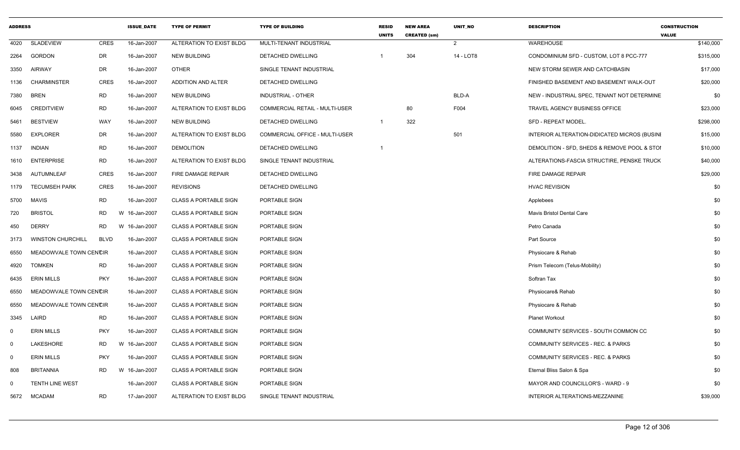| <b>ADDRESS</b> |                          |             | <b>ISSUE DATE</b> | <b>TYPE OF PERMIT</b>        | <b>TYPE OF BUILDING</b>        | <b>RESID</b><br><b>UNITS</b> | <b>NEW AREA</b><br><b>CREATED (sm)</b> | <b>UNIT NO</b> | <b>DESCRIPTION</b>                           | <b>CONSTRUCTION</b><br><b>VALUE</b> |
|----------------|--------------------------|-------------|-------------------|------------------------------|--------------------------------|------------------------------|----------------------------------------|----------------|----------------------------------------------|-------------------------------------|
| 4020           | <b>SLADEVIEW</b>         | <b>CRES</b> | 16-Jan-2007       | ALTERATION TO EXIST BLDG     | MULTI-TENANT INDUSTRIAL        |                              |                                        | 2              | WAREHOUSE                                    | \$140,000                           |
| 2264           | <b>GORDON</b>            | DR          | 16-Jan-2007       | <b>NEW BUILDING</b>          | DETACHED DWELLING              | -1                           | 304                                    | 14 - LOT8      | CONDOMINIUM SFD - CUSTOM, LOT 8 PCC-777      | \$315,000                           |
| 3350           | AIRWAY                   | <b>DR</b>   | 16-Jan-2007       | OTHER                        | SINGLE TENANT INDUSTRIAL       |                              |                                        |                | NEW STORM SEWER AND CATCHBASIN               | \$17,000                            |
| 1136           | <b>CHARMINSTER</b>       | <b>CRES</b> | 16-Jan-2007       | ADDITION AND ALTER           | DETACHED DWELLING              |                              |                                        |                | FINISHED BASEMENT AND BASEMENT WALK-OUT      | \$20,000                            |
| 7380           | <b>BREN</b>              | <b>RD</b>   | 16-Jan-2007       | <b>NEW BUILDING</b>          | <b>INDUSTRIAL - OTHER</b>      |                              |                                        | BLD-A          | NEW - INDUSTRIAL SPEC, TENANT NOT DETERMINE  | \$0                                 |
| 6045           | <b>CREDITVIEW</b>        | <b>RD</b>   | 16-Jan-2007       | ALTERATION TO EXIST BLDG     | COMMERCIAL RETAIL - MULTI-USER |                              | 80                                     | F004           | TRAVEL AGENCY BUSINESS OFFICE                | \$23,000                            |
| 5461           | <b>BESTVIEW</b>          | <b>WAY</b>  | 16-Jan-2007       | <b>NEW BUILDING</b>          | DETACHED DWELLING              | $\overline{1}$               | 322                                    |                | SFD - REPEAT MODEL.                          | \$298,000                           |
| 5580           | <b>EXPLORER</b>          | DR          | 16-Jan-2007       | ALTERATION TO EXIST BLDG     | COMMERCIAL OFFICE - MULTI-USER |                              |                                        | 501            | INTERIOR ALTERATION-DIDICATED MICROS (BUSINI | \$15,000                            |
| 1137           | <b>INDIAN</b>            | <b>RD</b>   | 16-Jan-2007       | <b>DEMOLITION</b>            | DETACHED DWELLING              | $\overline{1}$               |                                        |                | DEMOLITION - SFD, SHEDS & REMOVE POOL & STOI | \$10,000                            |
| 1610           | <b>ENTERPRISE</b>        | RD          | 16-Jan-2007       | ALTERATION TO EXIST BLDG     | SINGLE TENANT INDUSTRIAL       |                              |                                        |                | ALTERATIONS-FASCIA STRUCTIRE, PENSKE TRUCK   | \$40,000                            |
| 3438           | AUTUMNLEAF               | <b>CRES</b> | 16-Jan-2007       | FIRE DAMAGE REPAIR           | DETACHED DWELLING              |                              |                                        |                | FIRE DAMAGE REPAIR                           | \$29,000                            |
| 1179           | <b>TECUMSEH PARK</b>     | <b>CRES</b> | 16-Jan-2007       | <b>REVISIONS</b>             | DETACHED DWELLING              |                              |                                        |                | <b>HVAC REVISION</b>                         | \$0                                 |
| 5700           | <b>MAVIS</b>             | <b>RD</b>   | 16-Jan-2007       | <b>CLASS A PORTABLE SIGN</b> | PORTABLE SIGN                  |                              |                                        |                | Applebees                                    | \$0                                 |
| 720            | <b>BRISTOL</b>           | RD.         | W 16-Jan-2007     | <b>CLASS A PORTABLE SIGN</b> | PORTABLE SIGN                  |                              |                                        |                | Mavis Bristol Dental Care                    | \$0                                 |
| 450            | <b>DERRY</b>             | RD.         | W 16-Jan-2007     | <b>CLASS A PORTABLE SIGN</b> | PORTABLE SIGN                  |                              |                                        |                | Petro Canada                                 | \$0                                 |
| 3173           | <b>WINSTON CHURCHILL</b> | <b>BLVD</b> | 16-Jan-2007       | <b>CLASS A PORTABLE SIGN</b> | PORTABLE SIGN                  |                              |                                        |                | Part Source                                  | \$0                                 |
| 6550           | MEADOWVALE TOWN CENCIR   |             | 16-Jan-2007       | <b>CLASS A PORTABLE SIGN</b> | PORTABLE SIGN                  |                              |                                        |                | Physiocare & Rehab                           | \$0                                 |
| 4920           | TOMKEN                   | <b>RD</b>   | 16-Jan-2007       | <b>CLASS A PORTABLE SIGN</b> | PORTABLE SIGN                  |                              |                                        |                | Prism Telecom (Telus-Mobility)               | \$0                                 |
| 6435           | <b>ERIN MILLS</b>        | <b>PKY</b>  | 16-Jan-2007       | <b>CLASS A PORTABLE SIGN</b> | PORTABLE SIGN                  |                              |                                        |                | Softran Tax                                  | \$0                                 |
| 6550           | MEADOWVALE TOWN CENCIR   |             | 16-Jan-2007       | <b>CLASS A PORTABLE SIGN</b> | PORTABLE SIGN                  |                              |                                        |                | Physiocare& Rehab                            | \$0                                 |
| 6550           | MEADOWVALE TOWN CENCIR   |             | 16-Jan-2007       | <b>CLASS A PORTABLE SIGN</b> | PORTABLE SIGN                  |                              |                                        |                | Physiocare & Rehab                           | \$0                                 |
| 3345           | LAIRD                    | <b>RD</b>   | 16-Jan-2007       | <b>CLASS A PORTABLE SIGN</b> | PORTABLE SIGN                  |                              |                                        |                | <b>Planet Workout</b>                        | \$0                                 |
| $\mathbf 0$    | <b>ERIN MILLS</b>        | <b>PKY</b>  | 16-Jan-2007       | <b>CLASS A PORTABLE SIGN</b> | PORTABLE SIGN                  |                              |                                        |                | COMMUNITY SERVICES - SOUTH COMMON CC         | \$0                                 |
| $\mathbf 0$    | LAKESHORE                | RD          | W 16-Jan-2007     | <b>CLASS A PORTABLE SIGN</b> | PORTABLE SIGN                  |                              |                                        |                | COMMUNITY SERVICES - REC. & PARKS            | \$0                                 |
| $\mathbf 0$    | <b>ERIN MILLS</b>        | <b>PKY</b>  | 16-Jan-2007       | <b>CLASS A PORTABLE SIGN</b> | PORTABLE SIGN                  |                              |                                        |                | COMMUNITY SERVICES - REC. & PARKS            | \$0                                 |
| 808            | <b>BRITANNIA</b>         | RD.         | W 16-Jan-2007     | <b>CLASS A PORTABLE SIGN</b> | PORTABLE SIGN                  |                              |                                        |                | Eternal Bliss Salon & Spa                    | \$0                                 |
| $\Omega$       | TENTH LINE WEST          |             | 16-Jan-2007       | <b>CLASS A PORTABLE SIGN</b> | PORTABLE SIGN                  |                              |                                        |                | MAYOR AND COUNCILLOR'S - WARD - 9            | \$0                                 |
| 5672           | <b>MCADAM</b>            | <b>RD</b>   | 17-Jan-2007       | ALTERATION TO EXIST BLDG     | SINGLE TENANT INDUSTRIAL       |                              |                                        |                | INTERIOR ALTERATIONS-MEZZANINE               | \$39,000                            |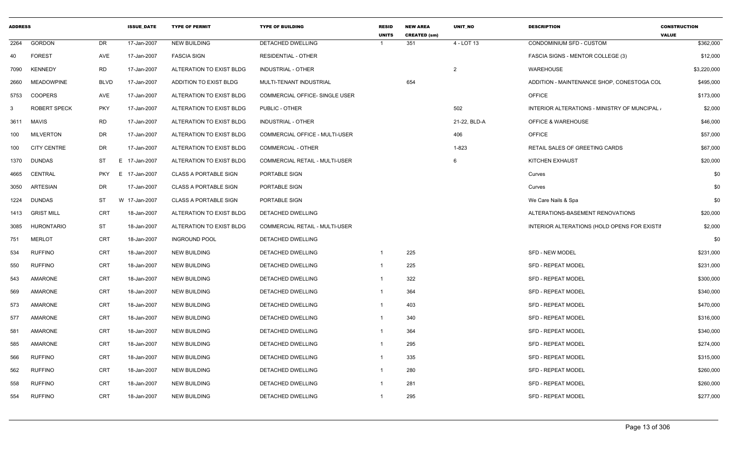| <b>ADDRESS</b> |                     |             | <b>ISSUE DATE</b> | <b>TYPE OF PERMIT</b>        | <b>TYPE OF BUILDING</b>               | <b>RESID</b><br><b>UNITS</b> | <b>NEW AREA</b><br><b>CREATED (sm)</b> | <b>UNIT NO</b> | <b>DESCRIPTION</b>                           | <b>CONSTRUCTION</b><br><b>VALUE</b> |
|----------------|---------------------|-------------|-------------------|------------------------------|---------------------------------------|------------------------------|----------------------------------------|----------------|----------------------------------------------|-------------------------------------|
| 2264           | <b>GORDON</b>       | DR          | 17-Jan-2007       | <b>NEW BUILDING</b>          | <b>DETACHED DWELLING</b>              |                              | 351                                    | 4 - LOT 13     | CONDOMINIUM SFD - CUSTOM                     | \$362,000                           |
| 40             | <b>FOREST</b>       | AVE         | 17-Jan-2007       | <b>FASCIA SIGN</b>           | <b>RESIDENTIAL - OTHER</b>            |                              |                                        |                | FASCIA SIGNS - MENTOR COLLEGE (3)            | \$12,000                            |
| 7090           | <b>KENNEDY</b>      | <b>RD</b>   | 17-Jan-2007       | ALTERATION TO EXIST BLDG     | <b>INDUSTRIAL - OTHER</b>             |                              |                                        | $\overline{2}$ | WAREHOUSE                                    | \$3,220,000                         |
| 2660           | MEADOWPINE          | <b>BLVD</b> | 17-Jan-2007       | ADDITION TO EXIST BLDG       | MULTI-TENANT INDUSTRIAL               |                              | 654                                    |                | ADDITION - MAINTENANCE SHOP, CONESTOGA COL   | \$495,000                           |
| 5753           | <b>COOPERS</b>      | AVE         | 17-Jan-2007       | ALTERATION TO EXIST BLDG     | COMMERCIAL OFFICE- SINGLE USER        |                              |                                        |                | <b>OFFICE</b>                                | \$173,000                           |
| -3             | <b>ROBERT SPECK</b> | <b>PKY</b>  | 17-Jan-2007       | ALTERATION TO EXIST BLDG     | PUBLIC - OTHER                        |                              |                                        | 502            | INTERIOR ALTERATIONS - MINISTRY OF MUNCIPAL. | \$2,000                             |
| 3611           | MAVIS               | <b>RD</b>   | 17-Jan-2007       | ALTERATION TO EXIST BLDG     | <b>INDUSTRIAL - OTHER</b>             |                              |                                        | 21-22, BLD-A   | <b>OFFICE &amp; WAREHOUSE</b>                | \$46,000                            |
| 100            | <b>MILVERTON</b>    | <b>DR</b>   | 17-Jan-2007       | ALTERATION TO EXIST BLDG     | COMMERCIAL OFFICE - MULTI-USER        |                              |                                        | 406            | <b>OFFICE</b>                                | \$57,000                            |
| 100            | <b>CITY CENTRE</b>  | <b>DR</b>   | 17-Jan-2007       | ALTERATION TO EXIST BLDG     | <b>COMMERCIAL - OTHER</b>             |                              |                                        | 1-823          | RETAIL SALES OF GREETING CARDS               | \$67,000                            |
| 1370           | <b>DUNDAS</b>       | ST          | E 17-Jan-2007     | ALTERATION TO EXIST BLDG     | COMMERCIAL RETAIL - MULTI-USER        |                              |                                        | 6              | <b>KITCHEN EXHAUST</b>                       | \$20,000                            |
| 4665           | CENTRAL             | <b>PKY</b>  | E 17-Jan-2007     | <b>CLASS A PORTABLE SIGN</b> | PORTABLE SIGN                         |                              |                                        |                | Curves                                       | \$0                                 |
| 3050           | <b>ARTESIAN</b>     | DR          | 17-Jan-2007       | <b>CLASS A PORTABLE SIGN</b> | PORTABLE SIGN                         |                              |                                        |                | Curves                                       | \$0                                 |
| 1224           | <b>DUNDAS</b>       | ST          | W 17-Jan-2007     | <b>CLASS A PORTABLE SIGN</b> | PORTABLE SIGN                         |                              |                                        |                | We Care Nails & Spa                          | \$0                                 |
| 1413           | <b>GRIST MILL</b>   | CRT         | 18-Jan-2007       | ALTERATION TO EXIST BLDG     | DETACHED DWELLING                     |                              |                                        |                | ALTERATIONS-BASEMENT RENOVATIONS             | \$20,000                            |
| 3085           | <b>HURONTARIO</b>   | ST          | 18-Jan-2007       | ALTERATION TO EXIST BLDG     | <b>COMMERCIAL RETAIL - MULTI-USER</b> |                              |                                        |                | INTERIOR ALTERATIONS (HOLD OPENS FOR EXISTII | \$2,000                             |
| 751            | <b>MERLOT</b>       | CRT         | 18-Jan-2007       | <b>INGROUND POOL</b>         | DETACHED DWELLING                     |                              |                                        |                |                                              | \$0                                 |
| 534            | <b>RUFFINO</b>      | CRT         | 18-Jan-2007       | <b>NEW BUILDING</b>          | DETACHED DWELLING                     | $\overline{1}$               | 225                                    |                | <b>SFD - NEW MODEL</b>                       | \$231,000                           |
| 550            | <b>RUFFINO</b>      | CRT         | 18-Jan-2007       | <b>NEW BUILDING</b>          | DETACHED DWELLING                     | -1                           | 225                                    |                | <b>SFD - REPEAT MODEL</b>                    | \$231,000                           |
| 543            | AMARONE             | CRT         | 18-Jan-2007       | <b>NEW BUILDING</b>          | DETACHED DWELLING                     | -1                           | 322                                    |                | <b>SFD - REPEAT MODEL</b>                    | \$300,000                           |
| 569            | <b>AMARONE</b>      | CRT         | 18-Jan-2007       | <b>NEW BUILDING</b>          | DETACHED DWELLING                     | -1                           | 364                                    |                | <b>SFD - REPEAT MODEL</b>                    | \$340,000                           |
| 573            | AMARONE             | CRT         | 18-Jan-2007       | <b>NEW BUILDING</b>          | DETACHED DWELLING                     | -1                           | 403                                    |                | <b>SFD - REPEAT MODEL</b>                    | \$470,000                           |
| 577            | AMARONE             | CRT         | 18-Jan-2007       | <b>NEW BUILDING</b>          | DETACHED DWELLING                     | -1                           | 340                                    |                | <b>SFD - REPEAT MODEL</b>                    | \$316,000                           |
| 581            | AMARONE             | CRT         | 18-Jan-2007       | <b>NEW BUILDING</b>          | DETACHED DWELLING                     |                              | 364                                    |                | <b>SFD - REPEAT MODEL</b>                    | \$340,000                           |
| 585            | AMARONE             | CRT         | 18-Jan-2007       | <b>NEW BUILDING</b>          | DETACHED DWELLING                     |                              | 295                                    |                | <b>SFD - REPEAT MODEL</b>                    | \$274,000                           |
| 566            | <b>RUFFINO</b>      | CRT         | 18-Jan-2007       | <b>NEW BUILDING</b>          | DETACHED DWELLING                     |                              | 335                                    |                | <b>SFD - REPEAT MODEL</b>                    | \$315,000                           |
| 562            | <b>RUFFINO</b>      | CRT         | 18-Jan-2007       | <b>NEW BUILDING</b>          | DETACHED DWELLING                     |                              | 280                                    |                | SFD - REPEAT MODEL                           | \$260,000                           |
| 558            | <b>RUFFINO</b>      | CRT         | 18-Jan-2007       | <b>NEW BUILDING</b>          | DETACHED DWELLING                     |                              | 281                                    |                | SFD - REPEAT MODEL                           | \$260,000                           |
| 554            | <b>RUFFINO</b>      | CRT         | 18-Jan-2007       | <b>NEW BUILDING</b>          | DETACHED DWELLING                     | -1                           | 295                                    |                | <b>SFD - REPEAT MODEL</b>                    | \$277,000                           |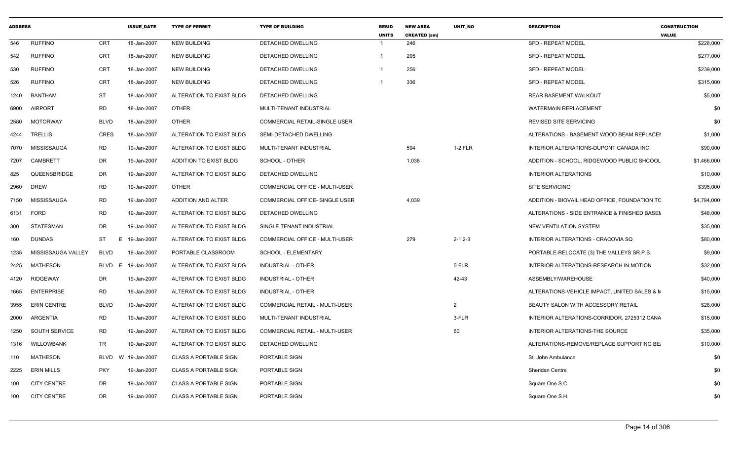| <b>ADDRESS</b> |                    |             | <b>ISSUE_DATE</b> | <b>TYPE OF PERMIT</b>         | <b>TYPE OF BUILDING</b>        | <b>RESID</b><br><b>UNITS</b> | <b>NEW AREA</b><br><b>CREATED (sm)</b> | UNIT_NO        | <b>DESCRIPTION</b>                            | <b>CONSTRUCTION</b><br><b>VALUE</b> |
|----------------|--------------------|-------------|-------------------|-------------------------------|--------------------------------|------------------------------|----------------------------------------|----------------|-----------------------------------------------|-------------------------------------|
| 546            | <b>RUFFINO</b>     | <b>CRT</b>  | 18-Jan-2007       | <b>NEW BUILDING</b>           | <b>DETACHED DWELLING</b>       | -1                           | 246                                    |                | <b>SFD - REPEAT MODEL</b>                     | \$228,000                           |
| 542            | <b>RUFFINO</b>     | <b>CRT</b>  | 18-Jan-2007       | <b>NEW BUILDING</b>           | DETACHED DWELLING              | $\mathbf{1}$                 | 295                                    |                | <b>SFD - REPEAT MODEL</b>                     | \$277,000                           |
| 530            | <b>RUFFINO</b>     | <b>CRT</b>  | 18-Jan-2007       | <b>NEW BUILDING</b>           | DETACHED DWELLING              |                              | 256                                    |                | <b>SFD - REPEAT MODEL</b>                     | \$239,000                           |
| 526            | <b>RUFFINO</b>     | <b>CRT</b>  | 18-Jan-2007       | <b>NEW BUILDING</b>           | DETACHED DWELLING              |                              | 336                                    |                | <b>SFD - REPEAT MODEL</b>                     | \$315,000                           |
| 1240           | BANTHAM            | <b>ST</b>   | 18-Jan-2007       | ALTERATION TO EXIST BLDG      | DETACHED DWELLING              |                              |                                        |                | <b>REAR BASEMENT WALKOUT</b>                  | \$5,000                             |
| 6900           | <b>AIRPORT</b>     | <b>RD</b>   | 18-Jan-2007       | <b>OTHER</b>                  | MULTI-TENANT INDUSTRIAL        |                              |                                        |                | <b>WATERMAIN REPLACEMENT</b>                  | \$0                                 |
| 2580           | <b>MOTORWAY</b>    | <b>BLVD</b> | 18-Jan-2007       | <b>OTHER</b>                  | COMMERCIAL RETAIL-SINGLE USER  |                              |                                        |                | REVISED SITE SERVICING                        | \$0                                 |
| 4244           | TRELLIS            | CRES        | 18-Jan-2007       | ALTERATION TO EXIST BLDG      | SEMI-DETACHED DWELLING         |                              |                                        |                | ALTERATIONS - BASEMENT WOOD BEAM REPLACEM     | \$1,000                             |
| 7070           | MISSISSAUGA        | <b>RD</b>   | 19-Jan-2007       | ALTERATION TO EXIST BLDG      | MULTI-TENANT INDUSTRIAL        |                              | 594                                    | 1-2 FLR        | INTERIOR ALTERATIONS-DUPONT CANADA INC        | \$90,000                            |
| 7207           | <b>CAMBRETT</b>    | <b>DR</b>   | 19-Jan-2007       | <b>ADDITION TO EXIST BLDG</b> | SCHOOL - OTHER                 |                              | 1,038                                  |                | ADDITION - SCHOOL, RIDGEWOOD PUBLIC SHCOOL    | \$1,466,000                         |
| 825            | QUEENSBRIDGE       | <b>DR</b>   | 19-Jan-2007       | ALTERATION TO EXIST BLDG      | DETACHED DWELLING              |                              |                                        |                | <b>INTERIOR ALTERATIONS</b>                   | \$10,000                            |
| 2960           | <b>DREW</b>        | RD.         | 19-Jan-2007       | <b>OTHER</b>                  | COMMERCIAL OFFICE - MULTI-USER |                              |                                        |                | <b>SITE SERVICING</b>                         | \$395,000                           |
| 7150           | MISSISSAUGA        | <b>RD</b>   | 19-Jan-2007       | <b>ADDITION AND ALTER</b>     | COMMERCIAL OFFICE- SINGLE USER |                              | 4,039                                  |                | ADDITION - BIOVAIL HEAD OFFICE, FOUNDATION TC | \$4,794,000                         |
| 6131           | <b>FORD</b>        | RD.         | 19-Jan-2007       | ALTERATION TO EXIST BLDG      | DETACHED DWELLING              |                              |                                        |                | ALTERATIONS - SIDE ENTRANCE & FINISHED BASEN  | \$48,000                            |
| 300            | STATESMAN          | DR.         | 19-Jan-2007       | ALTERATION TO EXIST BLDG      | SINGLE TENANT INDUSTRIAL       |                              |                                        |                | <b>NEW VENTILATION SYSTEM</b>                 | \$35,000                            |
| 160            | <b>DUNDAS</b>      | ST<br>Е     | 19-Jan-2007       | ALTERATION TO EXIST BLDG      | COMMERCIAL OFFICE - MULTI-USER |                              | 279                                    | $2 - 1, 2 - 3$ | INTERIOR ALTERATIONS - CRACOVIA SQ            | \$80,000                            |
| 1235           | MISSISSAUGA VALLEY | BLVD        | 19-Jan-2007       | PORTABLE CLASSROOM            | <b>SCHOOL - ELEMENTARY</b>     |                              |                                        |                | PORTABLE-RELOCATE (3) THE VALLEYS SR.P.S.     | \$9,000                             |
| 2425           | MATHESON           | BLVD<br>E   | 19-Jan-2007       | ALTERATION TO EXIST BLDG      | <b>INDUSTRIAL - OTHER</b>      |                              |                                        | 5-FLR          | INTERIOR ALTERATIONS-RESEARCH IN MOTION       | \$32,000                            |
| 4120           | <b>RIDGEWAY</b>    | DR.         | 19-Jan-2007       | ALTERATION TO EXIST BLDG      | INDUSTRIAL - OTHER             |                              |                                        | 42-43          | ASSEMBLY/WAREHOUSE                            | \$40,000                            |
| 1665           | <b>ENTERPRISE</b>  | <b>RD</b>   | 19-Jan-2007       | ALTERATION TO EXIST BLDG      | INDUSTRIAL - OTHER             |                              |                                        |                | ALTERATIONS-VEHICLE IMPACT, UNITED SALES & M  | \$15,000                            |
| 3955           | <b>ERIN CENTRE</b> | <b>BLVD</b> | 19-Jan-2007       | ALTERATION TO EXIST BLDG      | COMMERCIAL RETAIL - MULTI-USER |                              |                                        | $\overline{2}$ | BEAUTY SALON WITH ACCESSORY RETAIL            | \$28,000                            |
| 2000           | ARGENTIA           | RD.         | 19-Jan-2007       | ALTERATION TO EXIST BLDG      | MULTI-TENANT INDUSTRIAL        |                              |                                        | 3-FLR          | INTERIOR ALTERATIONS-CORRIDOR, 2725312 CANA   | \$15,000                            |
| 1250           | SOUTH SERVICE      | RD.         | 19-Jan-2007       | ALTERATION TO EXIST BLDG      | COMMERCIAL RETAIL - MULTI-USER |                              |                                        | 60             | INTERIOR ALTERATIONS-THE SOURCE               | \$35,000                            |
| 1316           | WILLOWBANK         | TR          | 19-Jan-2007       | ALTERATION TO EXIST BLDG      | DETACHED DWELLING              |                              |                                        |                | ALTERATIONS-REMOVE/REPLACE SUPPORTING BE      | \$10,000                            |
| 110            | <b>MATHESON</b>    | <b>BLVD</b> | W 19-Jan-2007     | <b>CLASS A PORTABLE SIGN</b>  | PORTABLE SIGN                  |                              |                                        |                | St. John Ambulance                            | \$0                                 |
| 2225           | <b>ERIN MILLS</b>  | <b>PKY</b>  | 19-Jan-2007       | <b>CLASS A PORTABLE SIGN</b>  | PORTABLE SIGN                  |                              |                                        |                | <b>Sheridan Centre</b>                        | \$0                                 |
| 100            | <b>CITY CENTRE</b> | DR          | 19-Jan-2007       | <b>CLASS A PORTABLE SIGN</b>  | PORTABLE SIGN                  |                              |                                        |                | Square One S.C.                               | \$0                                 |
| 100            | <b>CITY CENTRE</b> | DR          | 19-Jan-2007       | <b>CLASS A PORTABLE SIGN</b>  | PORTABLE SIGN                  |                              |                                        |                | Square One S.H.                               | \$0                                 |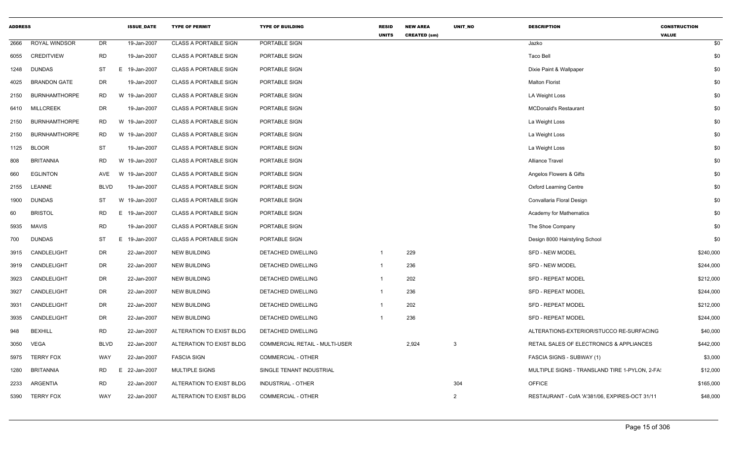| <b>ADDRESS</b> |                      |             | <b>ISSUE_DATE</b> | <b>TYPE OF PERMIT</b>        | <b>TYPE OF BUILDING</b>        | <b>RESID</b><br><b>UNITS</b> | <b>NEW AREA</b><br><b>CREATED (sm)</b> | UNIT_NO        | <b>DESCRIPTION</b>                             | <b>CONSTRUCTION</b><br><b>VALUE</b> |
|----------------|----------------------|-------------|-------------------|------------------------------|--------------------------------|------------------------------|----------------------------------------|----------------|------------------------------------------------|-------------------------------------|
| 2666           | ROYAL WINDSOR        | DR          | 19-Jan-2007       | <b>CLASS A PORTABLE SIGN</b> | PORTABLE SIGN                  |                              |                                        |                | Jazko                                          | \$0                                 |
| 6055           | <b>CREDITVIEW</b>    | <b>RD</b>   | 19-Jan-2007       | <b>CLASS A PORTABLE SIGN</b> | PORTABLE SIGN                  |                              |                                        |                | Taco Bell                                      | \$0                                 |
| 1248           | <b>DUNDAS</b>        | ST          | 19-Jan-2007<br>E  | <b>CLASS A PORTABLE SIGN</b> | PORTABLE SIGN                  |                              |                                        |                | Dixie Paint & Wallpaper                        | \$0                                 |
| 4025           | <b>BRANDON GATE</b>  | DR          | 19-Jan-2007       | <b>CLASS A PORTABLE SIGN</b> | PORTABLE SIGN                  |                              |                                        |                | <b>Malton Florist</b>                          | \$0                                 |
| 2150           | <b>BURNHAMTHORPE</b> | <b>RD</b>   | W 19-Jan-2007     | <b>CLASS A PORTABLE SIGN</b> | <b>PORTABLE SIGN</b>           |                              |                                        |                | LA Weight Loss                                 | \$0                                 |
| 6410           | <b>MILLCREEK</b>     | DR          | 19-Jan-2007       | <b>CLASS A PORTABLE SIGN</b> | PORTABLE SIGN                  |                              |                                        |                | <b>MCDonald's Restaurant</b>                   | \$0                                 |
| 2150           | <b>BURNHAMTHORPE</b> | <b>RD</b>   | W 19-Jan-2007     | <b>CLASS A PORTABLE SIGN</b> | PORTABLE SIGN                  |                              |                                        |                | La Weight Loss                                 | \$0                                 |
| 2150           | <b>BURNHAMTHORPE</b> | <b>RD</b>   | W 19-Jan-2007     | <b>CLASS A PORTABLE SIGN</b> | PORTABLE SIGN                  |                              |                                        |                | La Weight Loss                                 | \$0                                 |
| 1125           | <b>BLOOR</b>         | <b>ST</b>   | 19-Jan-2007       | <b>CLASS A PORTABLE SIGN</b> | PORTABLE SIGN                  |                              |                                        |                | La Weight Loss                                 | \$0                                 |
| 808            | <b>BRITANNIA</b>     | RD          | W 19-Jan-2007     | <b>CLASS A PORTABLE SIGN</b> | PORTABLE SIGN                  |                              |                                        |                | <b>Alliance Travel</b>                         | \$0                                 |
| 660            | <b>EGLINTON</b>      | AVE         | W 19-Jan-2007     | <b>CLASS A PORTABLE SIGN</b> | PORTABLE SIGN                  |                              |                                        |                | Angelos Flowers & Gifts                        | \$0                                 |
| 2155           | LEANNE               | <b>BLVD</b> | 19-Jan-2007       | <b>CLASS A PORTABLE SIGN</b> | PORTABLE SIGN                  |                              |                                        |                | <b>Oxford Learning Centre</b>                  | \$0                                 |
| 1900           | <b>DUNDAS</b>        | <b>ST</b>   | W 19-Jan-2007     | <b>CLASS A PORTABLE SIGN</b> | PORTABLE SIGN                  |                              |                                        |                | Convallaria Floral Design                      | \$0                                 |
| 60             | <b>BRISTOL</b>       | RD          | Е.<br>19-Jan-2007 | <b>CLASS A PORTABLE SIGN</b> | PORTABLE SIGN                  |                              |                                        |                | Academy for Mathematics                        | \$0                                 |
| 5935           | <b>MAVIS</b>         | <b>RD</b>   | 19-Jan-2007       | <b>CLASS A PORTABLE SIGN</b> | PORTABLE SIGN                  |                              |                                        |                | The Shoe Company                               | \$0                                 |
| 700            | <b>DUNDAS</b>        | ST          | E.<br>19-Jan-2007 | <b>CLASS A PORTABLE SIGN</b> | PORTABLE SIGN                  |                              |                                        |                | Design 8000 Hairstyling School                 | \$0                                 |
| 3915           | CANDLELIGHT          | DR          | 22-Jan-2007       | <b>NEW BUILDING</b>          | DETACHED DWELLING              | 1                            | 229                                    |                | <b>SFD - NEW MODEL</b>                         | \$240,000                           |
| 3919           | CANDLELIGHT          | DR          | 22-Jan-2007       | <b>NEW BUILDING</b>          | <b>DETACHED DWELLING</b>       | 1                            | 236                                    |                | <b>SFD - NEW MODEL</b>                         | \$244,000                           |
| 3923           | CANDLELIGHT          | DR          | 22-Jan-2007       | <b>NEW BUILDING</b>          | DETACHED DWELLING              | 1                            | 202                                    |                | <b>SFD - REPEAT MODEL</b>                      | \$212,000                           |
| 3927           | CANDLELIGHT          | DR          | 22-Jan-2007       | <b>NEW BUILDING</b>          | DETACHED DWELLING              | 1                            | 236                                    |                | SFD - REPEAT MODEL                             | \$244,000                           |
| 3931           | CANDLELIGHT          | DR          | 22-Jan-2007       | <b>NEW BUILDING</b>          | DETACHED DWELLING              | $\mathbf 1$                  | 202                                    |                | <b>SFD - REPEAT MODEL</b>                      | \$212,000                           |
| 3935           | CANDLELIGHT          | DR          | 22-Jan-2007       | <b>NEW BUILDING</b>          | DETACHED DWELLING              |                              | 236                                    |                | <b>SFD - REPEAT MODEL</b>                      | \$244,000                           |
| 948            | <b>BEXHILL</b>       | <b>RD</b>   | 22-Jan-2007       | ALTERATION TO EXIST BLDG     | DETACHED DWELLING              |                              |                                        |                | ALTERATIONS-EXTERIOR/STUCCO RE-SURFACING       | \$40,000                            |
| 3050           | <b>VEGA</b>          | <b>BLVD</b> | 22-Jan-2007       | ALTERATION TO EXIST BLDG     | COMMERCIAL RETAIL - MULTI-USER |                              | 2,924                                  | 3              | RETAIL SALES OF ELECTRONICS & APPLIANCES       | \$442,000                           |
| 5975           | <b>TERRY FOX</b>     | WAY         | 22-Jan-2007       | <b>FASCIA SIGN</b>           | COMMERCIAL - OTHER             |                              |                                        |                | FASCIA SIGNS - SUBWAY (1)                      | \$3,000                             |
| 1280           | <b>BRITANNIA</b>     | RD          | E 22-Jan-2007     | <b>MULTIPLE SIGNS</b>        | SINGLE TENANT INDUSTRIAL       |                              |                                        |                | MULTIPLE SIGNS - TRANSLAND TIRE 1-PYLON, 2-FA  | \$12,000                            |
| 2233           | ARGENTIA             | <b>RD</b>   | 22-Jan-2007       | ALTERATION TO EXIST BLDG     | INDUSTRIAL - OTHER             |                              |                                        | 304            | <b>OFFICE</b>                                  | \$165,000                           |
| 5390           | <b>TERRY FOX</b>     | WAY         | 22-Jan-2007       | ALTERATION TO EXIST BLDG     | <b>COMMERCIAL - OTHER</b>      |                              |                                        | $\overline{2}$ | RESTAURANT - CofA 'A'381/06. EXPIRES-OCT 31/11 | \$48,000                            |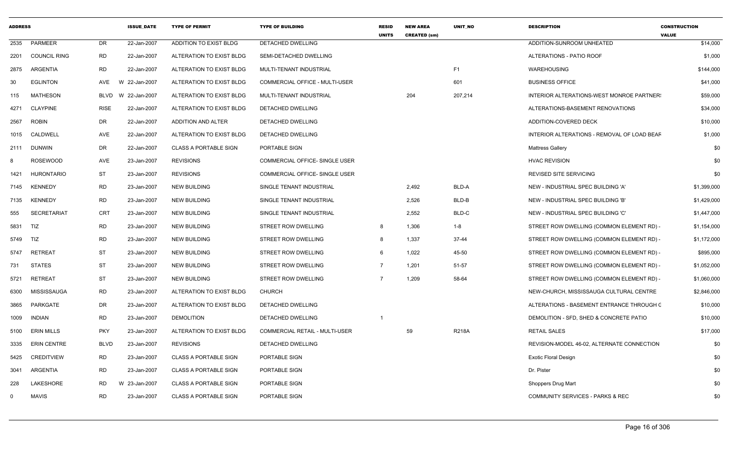| <b>ADDRESS</b> |                    |             | <b>ISSUE DATE</b> | <b>TYPE OF PERMIT</b>        | <b>TYPE OF BUILDING</b>               | <b>RESID</b><br><b>UNITS</b> | <b>NEW AREA</b><br><b>CREATED (sm)</b> | <b>UNIT NO</b> | <b>DESCRIPTION</b>                          | <b>CONSTRUCTION</b><br><b>VALUE</b> |
|----------------|--------------------|-------------|-------------------|------------------------------|---------------------------------------|------------------------------|----------------------------------------|----------------|---------------------------------------------|-------------------------------------|
| 2535           | PARMEER            | DR.         | 22-Jan-2007       | ADDITION TO EXIST BLDG       | DETACHED DWELLING                     |                              |                                        |                | ADDITION-SUNROOM UNHEATED                   | \$14,000                            |
|                | 2201 COUNCIL RING  | <b>RD</b>   | 22-Jan-2007       | ALTERATION TO EXIST BLDG     | SEMI-DETACHED DWELLING                |                              |                                        |                | ALTERATIONS - PATIO ROOF                    | \$1,000                             |
| 2875           | ARGENTIA           | RD          | 22-Jan-2007       | ALTERATION TO EXIST BLDG     | MULTI-TENANT INDUSTRIAL               |                              |                                        | F1             | <b>WAREHOUSING</b>                          | \$144,000                           |
| 30             | <b>EGLINTON</b>    | AVE         | W 22-Jan-2007     | ALTERATION TO EXIST BLDG     | COMMERCIAL OFFICE - MULTI-USER        |                              |                                        | 601            | <b>BUSINESS OFFICE</b>                      | \$41,000                            |
| 115            | <b>MATHESON</b>    | BLVD        | W 22-Jan-2007     | ALTERATION TO EXIST BLDG     | MULTI-TENANT INDUSTRIAL               |                              | 204                                    | 207,214        | INTERIOR ALTERATIONS-WEST MONROE PARTNER:   | \$59,000                            |
| 4271           | <b>CLAYPINE</b>    | <b>RISE</b> | 22-Jan-2007       | ALTERATION TO EXIST BLDG     | DETACHED DWELLING                     |                              |                                        |                | ALTERATIONS-BASEMENT RENOVATIONS            | \$34,000                            |
| 2567           | <b>ROBIN</b>       | DR          | 22-Jan-2007       | ADDITION AND ALTER           | DETACHED DWELLING                     |                              |                                        |                | ADDITION-COVERED DECK                       | \$10,000                            |
| 1015           | CALDWELL           | <b>AVE</b>  | 22-Jan-2007       | ALTERATION TO EXIST BLDG     | <b>DETACHED DWELLING</b>              |                              |                                        |                | INTERIOR ALTERATIONS - REMOVAL OF LOAD BEAF | \$1,000                             |
| 2111           | DUNWIN             | DR          | 22-Jan-2007       | <b>CLASS A PORTABLE SIGN</b> | PORTABLE SIGN                         |                              |                                        |                | <b>Mattress Gallery</b>                     | \$0                                 |
|                | <b>ROSEWOOD</b>    | AVE         | 23-Jan-2007       | <b>REVISIONS</b>             | COMMERCIAL OFFICE- SINGLE USER        |                              |                                        |                | <b>HVAC REVISION</b>                        | \$0                                 |
| 1421           | <b>HURONTARIO</b>  | <b>ST</b>   | 23-Jan-2007       | <b>REVISIONS</b>             | COMMERCIAL OFFICE- SINGLE USER        |                              |                                        |                | <b>REVISED SITE SERVICING</b>               | \$0                                 |
| 7145           | <b>KENNEDY</b>     | <b>RD</b>   | 23-Jan-2007       | <b>NEW BUILDING</b>          | SINGLE TENANT INDUSTRIAL              |                              | 2,492                                  | BLD-A          | NEW - INDUSTRIAL SPEC BUILDING 'A'          | \$1,399,000                         |
| 7135           | <b>KENNEDY</b>     | <b>RD</b>   | 23-Jan-2007       | <b>NEW BUILDING</b>          | SINGLE TENANT INDUSTRIAL              |                              | 2,526                                  | BLD-B          | NEW - INDUSTRIAL SPEC BUILDING 'B'          | \$1,429,000                         |
| 555            | <b>SECRETARIAT</b> | <b>CRT</b>  | 23-Jan-2007       | <b>NEW BUILDING</b>          | SINGLE TENANT INDUSTRIAL              |                              | 2,552                                  | BLD-C          | NEW - INDUSTRIAL SPEC BUILDING 'C'          | \$1,447,000                         |
| 5831           | TIZ                | <b>RD</b>   | 23-Jan-2007       | <b>NEW BUILDING</b>          | STREET ROW DWELLING                   | 8                            | 1,306                                  | 1-8            | STREET ROW DWELLING (COMMON ELEMENT RD) -   | \$1,154,000                         |
| 5749           | TIZ                | <b>RD</b>   | 23-Jan-2007       | <b>NEW BUILDING</b>          | STREET ROW DWELLING                   | 8                            | 1,337                                  | 37-44          | STREET ROW DWELLING (COMMON ELEMENT RD) -   | \$1,172,000                         |
| 5747           | <b>RETREAT</b>     | <b>ST</b>   | 23-Jan-2007       | <b>NEW BUILDING</b>          | STREET ROW DWELLING                   | 6                            | 1,022                                  | 45-50          | STREET ROW DWELLING (COMMON ELEMENT RD) -   | \$895,000                           |
| 731            | <b>STATES</b>      | ST          | 23-Jan-2007       | <b>NEW BUILDING</b>          | STREET ROW DWELLING                   | 7                            | 1,201                                  | 51-57          | STREET ROW DWELLING (COMMON ELEMENT RD) -   | \$1,052,000                         |
| 5721           | <b>RETREAT</b>     | ST          | 23-Jan-2007       | <b>NEW BUILDING</b>          | STREET ROW DWELLING                   | $\overline{7}$               | 1,209                                  | 58-64          | STREET ROW DWELLING (COMMON ELEMENT RD) -   | \$1,060,000                         |
| 6300           | MISSISSAUGA        | <b>RD</b>   | 23-Jan-2007       | ALTERATION TO EXIST BLDG     | <b>CHURCH</b>                         |                              |                                        |                | NEW-CHURCH, MISSISSAUGA CULTURAL CENTRE     | \$2,846,000                         |
| 3865           | PARKGATE           | DR.         | 23-Jan-2007       | ALTERATION TO EXIST BLDG     | DETACHED DWELLING                     |                              |                                        |                | ALTERATIONS - BASEMENT ENTRANCE THROUGH (   | \$10,000                            |
| 1009           | <b>INDIAN</b>      | <b>RD</b>   | 23-Jan-2007       | <b>DEMOLITION</b>            | DETACHED DWELLING                     |                              |                                        |                | DEMOLITION - SFD, SHED & CONCRETE PATIO     | \$10,000                            |
| 5100           | <b>ERIN MILLS</b>  | <b>PKY</b>  | 23-Jan-2007       | ALTERATION TO EXIST BLDG     | <b>COMMERCIAL RETAIL - MULTI-USER</b> |                              | 59                                     | <b>R218A</b>   | <b>RETAIL SALES</b>                         | \$17,000                            |
| 3335           | <b>ERIN CENTRE</b> | <b>BLVD</b> | 23-Jan-2007       | <b>REVISIONS</b>             | DETACHED DWELLING                     |                              |                                        |                | REVISION-MODEL 46-02, ALTERNATE CONNECTION  | \$0                                 |
| 5425           | <b>CREDITVIEW</b>  | RD          | 23-Jan-2007       | <b>CLASS A PORTABLE SIGN</b> | PORTABLE SIGN                         |                              |                                        |                | <b>Exotic Floral Design</b>                 | \$0                                 |
| 3041           | ARGENTIA           | <b>RD</b>   | 23-Jan-2007       | <b>CLASS A PORTABLE SIGN</b> | PORTABLE SIGN                         |                              |                                        |                | Dr. Pister                                  | \$0                                 |
| 228            | LAKESHORE          | RD.         | W 23-Jan-2007     | <b>CLASS A PORTABLE SIGN</b> | PORTABLE SIGN                         |                              |                                        |                | Shoppers Drug Mart                          | \$0                                 |
| $\mathbf 0$    | <b>MAVIS</b>       | <b>RD</b>   | 23-Jan-2007       | <b>CLASS A PORTABLE SIGN</b> | PORTABLE SIGN                         |                              |                                        |                | <b>COMMUNITY SERVICES - PARKS &amp; REC</b> | \$0                                 |
|                |                    |             |                   |                              |                                       |                              |                                        |                |                                             |                                     |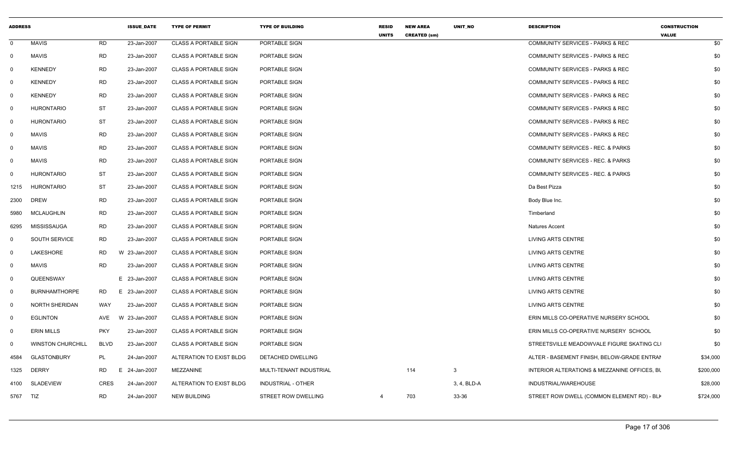| <b>ADDRESS</b> |                          |             | <b>ISSUE_DATE</b> | <b>TYPE OF PERMIT</b>        | <b>TYPE OF BUILDING</b>    | <b>RESID</b><br><b>UNITS</b> | <b>NEW AREA</b><br><b>CREATED (sm)</b> | UNIT_NO     | <b>DESCRIPTION</b>                           | <b>CONSTRUCTION</b><br><b>VALUE</b> |
|----------------|--------------------------|-------------|-------------------|------------------------------|----------------------------|------------------------------|----------------------------------------|-------------|----------------------------------------------|-------------------------------------|
| $\mathbf 0$    | <b>MAVIS</b>             | RD          | 23-Jan-2007       | <b>CLASS A PORTABLE SIGN</b> | PORTABLE SIGN              |                              |                                        |             | <b>COMMUNITY SERVICES - PARKS &amp; REC</b>  | \$0                                 |
| $\mathbf 0$    | <b>MAVIS</b>             | RD          | 23-Jan-2007       | <b>CLASS A PORTABLE SIGN</b> | PORTABLE SIGN              |                              |                                        |             | <b>COMMUNITY SERVICES - PARKS &amp; REC</b>  | \$0                                 |
| $\Omega$       | <b>KENNEDY</b>           | <b>RD</b>   | 23-Jan-2007       | <b>CLASS A PORTABLE SIGN</b> | PORTABLE SIGN              |                              |                                        |             | <b>COMMUNITY SERVICES - PARKS &amp; REC</b>  | \$0                                 |
| 0              | <b>KENNEDY</b>           | <b>RD</b>   | 23-Jan-2007       | CLASS A PORTABLE SIGN        | PORTABLE SIGN              |                              |                                        |             | COMMUNITY SERVICES - PARKS & REC             | \$0                                 |
| $\overline{0}$ | <b>KENNEDY</b>           | RD          | 23-Jan-2007       | <b>CLASS A PORTABLE SIGN</b> | PORTABLE SIGN              |                              |                                        |             | <b>COMMUNITY SERVICES - PARKS &amp; REC</b>  | \$0                                 |
| $\mathbf 0$    | <b>HURONTARIO</b>        | ST          | 23-Jan-2007       | <b>CLASS A PORTABLE SIGN</b> | PORTABLE SIGN              |                              |                                        |             | COMMUNITY SERVICES - PARKS & REC             | \$0                                 |
| $\overline{0}$ | <b>HURONTARIO</b>        | <b>ST</b>   | 23-Jan-2007       | <b>CLASS A PORTABLE SIGN</b> | PORTABLE SIGN              |                              |                                        |             | <b>COMMUNITY SERVICES - PARKS &amp; REC</b>  | \$0                                 |
| 0              | <b>MAVIS</b>             | <b>RD</b>   | 23-Jan-2007       | <b>CLASS A PORTABLE SIGN</b> | PORTABLE SIGN              |                              |                                        |             | <b>COMMUNITY SERVICES - PARKS &amp; REC</b>  | \$0                                 |
| $\mathbf 0$    | <b>MAVIS</b>             | <b>RD</b>   | 23-Jan-2007       | <b>CLASS A PORTABLE SIGN</b> | PORTABLE SIGN              |                              |                                        |             | <b>COMMUNITY SERVICES - REC. &amp; PARKS</b> | \$0                                 |
| 0              | <b>MAVIS</b>             | <b>RD</b>   | 23-Jan-2007       | <b>CLASS A PORTABLE SIGN</b> | PORTABLE SIGN              |                              |                                        |             | COMMUNITY SERVICES - REC. & PARKS            | \$0                                 |
| 0              | <b>HURONTARIO</b>        | ST          | 23-Jan-2007       | <b>CLASS A PORTABLE SIGN</b> | PORTABLE SIGN              |                              |                                        |             | COMMUNITY SERVICES - REC. & PARKS            | \$0                                 |
| 1215           | <b>HURONTARIO</b>        | ST          | 23-Jan-2007       | <b>CLASS A PORTABLE SIGN</b> | PORTABLE SIGN              |                              |                                        |             | Da Best Pizza                                | \$0                                 |
| 2300           | DREW                     | <b>RD</b>   | 23-Jan-2007       | <b>CLASS A PORTABLE SIGN</b> | PORTABLE SIGN              |                              |                                        |             | Body Blue Inc.                               | \$0                                 |
| 5980           | <b>MCLAUGHLIN</b>        | <b>RD</b>   | 23-Jan-2007       | <b>CLASS A PORTABLE SIGN</b> | PORTABLE SIGN              |                              |                                        |             | Timberland                                   | \$0                                 |
| 6295           | MISSISSAUGA              | RD          | 23-Jan-2007       | <b>CLASS A PORTABLE SIGN</b> | PORTABLE SIGN              |                              |                                        |             | <b>Natures Accent</b>                        | \$0                                 |
| 0              | <b>SOUTH SERVICE</b>     | RD          | 23-Jan-2007       | <b>CLASS A PORTABLE SIGN</b> | PORTABLE SIGN              |                              |                                        |             | <b>LIVING ARTS CENTRE</b>                    | \$0                                 |
| 0              | LAKESHORE                | RD          | W 23-Jan-2007     | <b>CLASS A PORTABLE SIGN</b> | PORTABLE SIGN              |                              |                                        |             | <b>LIVING ARTS CENTRE</b>                    | \$0                                 |
| $\mathbf 0$    | <b>MAVIS</b>             | <b>RD</b>   | 23-Jan-2007       | <b>CLASS A PORTABLE SIGN</b> | PORTABLE SIGN              |                              |                                        |             | <b>LIVING ARTS CENTRE</b>                    | \$0                                 |
| 0              | QUEENSWAY                |             | E 23-Jan-2007     | <b>CLASS A PORTABLE SIGN</b> | PORTABLE SIGN              |                              |                                        |             | <b>LIVING ARTS CENTRE</b>                    | \$0                                 |
| $\mathbf 0$    | <b>BURNHAMTHORPE</b>     | RD          | E 23-Jan-2007     | <b>CLASS A PORTABLE SIGN</b> | PORTABLE SIGN              |                              |                                        |             | <b>LIVING ARTS CENTRE</b>                    | \$0                                 |
| $\mathbf 0$    | NORTH SHERIDAN           | WAY         | 23-Jan-2007       | CLASS A PORTABLE SIGN        | PORTABLE SIGN              |                              |                                        |             | LIVING ARTS CENTRE                           | \$0                                 |
| $\overline{0}$ | <b>EGLINTON</b>          | AVE         | W 23-Jan-2007     | <b>CLASS A PORTABLE SIGN</b> | PORTABLE SIGN              |                              |                                        |             | ERIN MILLS CO-OPERATIVE NURSERY SCHOOL       | \$0                                 |
| 0              | <b>ERIN MILLS</b>        | <b>PKY</b>  | 23-Jan-2007       | <b>CLASS A PORTABLE SIGN</b> | PORTABLE SIGN              |                              |                                        |             | ERIN MILLS CO-OPERATIVE NURSERY SCHOOL       | \$0                                 |
| $\Omega$       | <b>WINSTON CHURCHILL</b> | <b>BLVD</b> | 23-Jan-2007       | <b>CLASS A PORTABLE SIGN</b> | PORTABLE SIGN              |                              |                                        |             | STREETSVILLE MEADOWVALE FIGURE SKATING CLI   | \$0                                 |
| 4584           | <b>GLASTONBURY</b>       | PL          | 24-Jan-2007       | ALTERATION TO EXIST BLDG     | DETACHED DWELLING          |                              |                                        |             | ALTER - BASEMENT FINISH, BELOW-GRADE ENTRAI  | \$34,000                            |
| 1325           | <b>DERRY</b>             | RD          | E 24-Jan-2007     | MEZZANINE                    | MULTI-TENANT INDUSTRIAL    |                              | 114                                    | 3           | INTERIOR ALTERATIONS & MEZZANINE OFFICES, BU | \$200,000                           |
| 4100           | <b>SLADEVIEW</b>         | <b>CRES</b> | 24-Jan-2007       | ALTERATION TO EXIST BLDG     | INDUSTRIAL - OTHER         |                              |                                        | 3, 4, BLD-A | INDUSTRIAL/WAREHOUSE                         | \$28,000                            |
| 5767 TIZ       |                          | <b>RD</b>   | 24-Jan-2007       | <b>NEW BUILDING</b>          | <b>STREET ROW DWELLING</b> | $\overline{4}$               | 703                                    | 33-36       | STREET ROW DWELL (COMMON ELEMENT RD) - BLI   | \$724,000                           |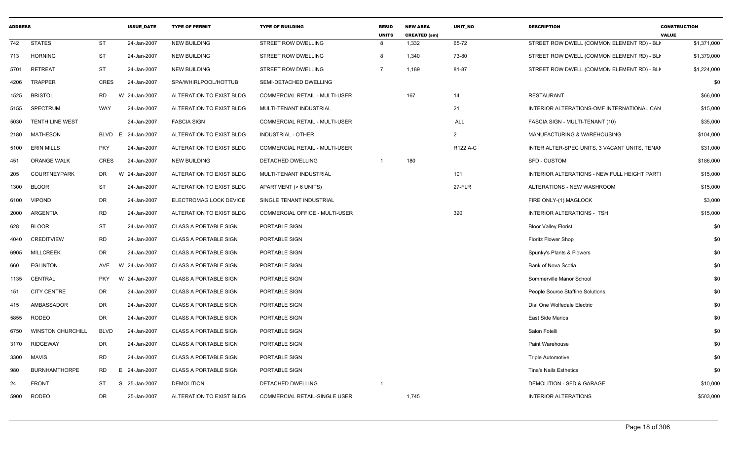| <b>ADDRESS</b> |                          |             | <b>ISSUE_DATE</b> | <b>TYPE OF PERMIT</b>        | <b>TYPE OF BUILDING</b>               | <b>RESID</b><br><b>UNITS</b> | <b>NEW AREA</b><br><b>CREATED (sm)</b> | UNIT_NO        | <b>DESCRIPTION</b>                            | <b>CONSTRUCTION</b><br><b>VALUE</b> |
|----------------|--------------------------|-------------|-------------------|------------------------------|---------------------------------------|------------------------------|----------------------------------------|----------------|-----------------------------------------------|-------------------------------------|
| 742            | <b>STATES</b>            | <b>ST</b>   | 24-Jan-2007       | <b>NEW BUILDING</b>          | STREET ROW DWELLING                   | 8                            | 1,332                                  | 65-72          | STREET ROW DWELL (COMMON ELEMENT RD) - BLI    | \$1,371,000                         |
| 713            | <b>HORNING</b>           | <b>ST</b>   | 24-Jan-2007       | <b>NEW BUILDING</b>          | STREET ROW DWELLING                   | 8                            | 1,340                                  | 73-80          | STREET ROW DWELL (COMMON ELEMENT RD) - BLI    | \$1,379,000                         |
| 5701           | <b>RETREAT</b>           | <b>ST</b>   | 24-Jan-2007       | <b>NEW BUILDING</b>          | STREET ROW DWELLING                   | $\overline{7}$               | 1,189                                  | 81-87          | STREET ROW DWELL (COMMON ELEMENT RD) - BLI    | \$1,224,000                         |
| 4206           | <b>TRAPPER</b>           | <b>CRES</b> | 24-Jan-2007       | SPA/WHIRLPOOL/HOTTUB         | SEMI-DETACHED DWELLING                |                              |                                        |                |                                               | \$0                                 |
| 1525           | <b>BRISTOL</b>           | <b>RD</b>   | W 24-Jan-2007     | ALTERATION TO EXIST BLDG     | <b>COMMERCIAL RETAIL - MULTI-USER</b> |                              | 167                                    | 14             | <b>RESTAURANT</b>                             | \$66,000                            |
| 5155           | <b>SPECTRUM</b>          | WAY         | 24-Jan-2007       | ALTERATION TO EXIST BLDG     | MULTI-TENANT INDUSTRIAL               |                              |                                        | 21             | INTERIOR ALTERATIONS-OMF INTERNATIONAL CAN    | \$15,000                            |
| 5030           | <b>TENTH LINE WEST</b>   |             | 24-Jan-2007       | <b>FASCIA SIGN</b>           | COMMERCIAL RETAIL - MULTI-USER        |                              |                                        | <b>ALL</b>     | FASCIA SIGN - MULTI-TENANT (10)               | \$35,000                            |
| 2180           | MATHESON                 | BLVD        | 24-Jan-2007<br>E  | ALTERATION TO EXIST BLDG     | <b>INDUSTRIAL - OTHER</b>             |                              |                                        | $\overline{2}$ | MANUFACTURING & WAREHOUSING                   | \$104,000                           |
| 5100           | <b>ERIN MILLS</b>        | <b>PKY</b>  | 24-Jan-2007       | ALTERATION TO EXIST BLDG     | <b>COMMERCIAL RETAIL - MULTI-USER</b> |                              |                                        | R122 A-C       | INTER ALTER-SPEC UNITS, 3 VACANT UNITS, TENAN | \$31,000                            |
| 451            | <b>ORANGE WALK</b>       | <b>CRES</b> | 24-Jan-2007       | <b>NEW BUILDING</b>          | DETACHED DWELLING                     |                              | 180                                    |                | <b>SFD - CUSTOM</b>                           | \$186,000                           |
| 205            | <b>COURTNEYPARK</b>      | DR.         | W 24-Jan-2007     | ALTERATION TO EXIST BLDG     | MULTI-TENANT INDUSTRIAL               |                              |                                        | 101            | INTERIOR ALTERATIONS - NEW FULL HEIGHT PARTI  | \$15,000                            |
| 1300           | <b>BLOOR</b>             | <b>ST</b>   | 24-Jan-2007       | ALTERATION TO EXIST BLDG     | APARTMENT (> 6 UNITS)                 |                              |                                        | 27-FLR         | ALTERATIONS - NEW WASHROOM                    | \$15,000                            |
| 6100           | <b>VIPOND</b>            | <b>DR</b>   | 24-Jan-2007       | ELECTROMAG LOCK DEVICE       | SINGLE TENANT INDUSTRIAL              |                              |                                        |                | FIRE ONLY-(1) MAGLOCK                         | \$3,000                             |
| 2000           | <b>ARGENTIA</b>          | <b>RD</b>   | 24-Jan-2007       | ALTERATION TO EXIST BLDG     | COMMERCIAL OFFICE - MULTI-USER        |                              |                                        | 320            | INTERIOR ALTERATIONS - TSH                    | \$15,000                            |
| 628            | <b>BLOOR</b>             | <b>ST</b>   | 24-Jan-2007       | <b>CLASS A PORTABLE SIGN</b> | PORTABLE SIGN                         |                              |                                        |                | <b>Bloor Valley Florist</b>                   | \$0                                 |
| 4040           | <b>CREDITVIEW</b>        | <b>RD</b>   | 24-Jan-2007       | <b>CLASS A PORTABLE SIGN</b> | PORTABLE SIGN                         |                              |                                        |                | Floritz Flower Shop                           | \$0                                 |
| 6905           | <b>MILLCREEK</b>         | DR          | 24-Jan-2007       | <b>CLASS A PORTABLE SIGN</b> | PORTABLE SIGN                         |                              |                                        |                | Spunky's Plants & Flowers                     | \$0                                 |
| 660            | <b>EGLINTON</b>          | AVE         | W 24-Jan-2007     | <b>CLASS A PORTABLE SIGN</b> | PORTABLE SIGN                         |                              |                                        |                | Bank of Nova Scotia                           | \$0                                 |
| 1135           | <b>CENTRAL</b>           | <b>PKY</b>  | W 24-Jan-2007     | <b>CLASS A PORTABLE SIGN</b> | PORTABLE SIGN                         |                              |                                        |                | Sommerville Manor School                      | \$0                                 |
| 151            | <b>CITY CENTRE</b>       | DR          | 24-Jan-2007       | <b>CLASS A PORTABLE SIGN</b> | PORTABLE SIGN                         |                              |                                        |                | People Source Staffine Solutions              | \$0                                 |
| 415            | AMBASSADOR               | DR          | 24-Jan-2007       | <b>CLASS A PORTABLE SIGN</b> | PORTABLE SIGN                         |                              |                                        |                | Dial One Wolfedale Electric                   | \$0                                 |
| 5855           | RODEO                    | DR          | 24-Jan-2007       | <b>CLASS A PORTABLE SIGN</b> | PORTABLE SIGN                         |                              |                                        |                | <b>East Side Marios</b>                       | \$0                                 |
| 6750           | <b>WINSTON CHURCHILL</b> | <b>BLVD</b> | 24-Jan-2007       | <b>CLASS A PORTABLE SIGN</b> | PORTABLE SIGN                         |                              |                                        |                | Salon Fotelli                                 | \$0                                 |
| 3170           | <b>RIDGEWAY</b>          | <b>DR</b>   | 24-Jan-2007       | <b>CLASS A PORTABLE SIGN</b> | PORTABLE SIGN                         |                              |                                        |                | Paint Warehouse                               | \$0                                 |
| 3300           | <b>MAVIS</b>             | <b>RD</b>   | 24-Jan-2007       | <b>CLASS A PORTABLE SIGN</b> | PORTABLE SIGN                         |                              |                                        |                | <b>Triple Automotive</b>                      | \$0                                 |
| 980            | <b>BURNHAMTHORPE</b>     | <b>RD</b>   | E 24-Jan-2007     | <b>CLASS A PORTABLE SIGN</b> | PORTABLE SIGN                         |                              |                                        |                | <b>Tina's Nails Esthetics</b>                 | \$0                                 |
| 24             | <b>FRONT</b>             | <b>ST</b>   | S 25-Jan-2007     | <b>DEMOLITION</b>            | DETACHED DWELLING                     | $\overline{1}$               |                                        |                | DEMOLITION - SFD & GARAGE                     | \$10,000                            |
| 5900           | <b>RODEO</b>             | <b>DR</b>   | 25-Jan-2007       | ALTERATION TO EXIST BLDG     | COMMERCIAL RETAIL-SINGLE USER         |                              | 1,745                                  |                | <b>INTERIOR ALTERATIONS</b>                   | \$503,000                           |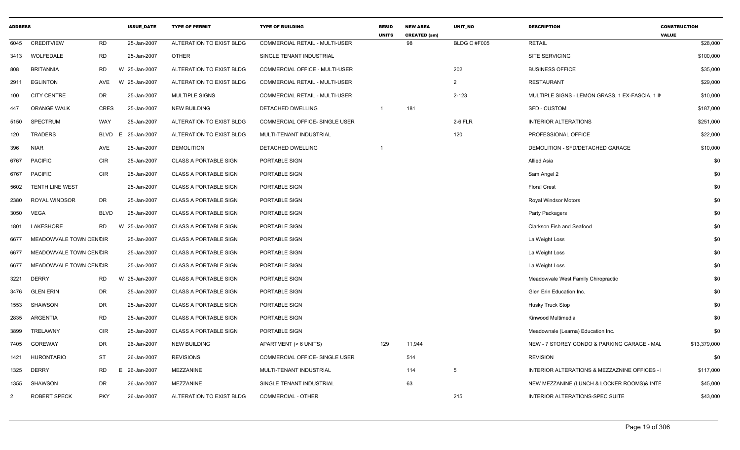| <b>ADDRESS</b> |                        |             | <b>ISSUE DATE</b> | <b>TYPE OF PERMIT</b>        | <b>TYPE OF BUILDING</b>        | <b>RESID</b><br><b>UNITS</b> | <b>NEW AREA</b><br><b>CREATED (sm)</b> | <b>UNIT NO</b> | <b>DESCRIPTION</b>                              | <b>CONSTRUCTION</b><br><b>VALUE</b> |              |
|----------------|------------------------|-------------|-------------------|------------------------------|--------------------------------|------------------------------|----------------------------------------|----------------|-------------------------------------------------|-------------------------------------|--------------|
| 6045           | <b>CREDITVIEW</b>      | <b>RD</b>   | 25-Jan-2007       | ALTERATION TO EXIST BLDG     | COMMERCIAL RETAIL - MULTI-USER |                              | 98                                     | BLDG C #F005   | <b>RETAIL</b>                                   |                                     | \$28,000     |
|                | 3413 WOLFEDALE         | <b>RD</b>   | 25-Jan-2007       | <b>OTHER</b>                 | SINGLE TENANT INDUSTRIAL       |                              |                                        |                | SITE SERVICING                                  |                                     | \$100,000    |
| 808            | <b>BRITANNIA</b>       | RD          | 25-Jan-2007<br>W  | ALTERATION TO EXIST BLDG     | COMMERCIAL OFFICE - MULTI-USER |                              |                                        | 202            | <b>BUSINESS OFFICE</b>                          |                                     | \$35,000     |
| 2911           | <b>EGLINTON</b>        | AVE         | 25-Jan-2007<br>W  | ALTERATION TO EXIST BLDG     | COMMERCIAL RETAIL - MULTI-USER |                              |                                        | 2              | <b>RESTAURANT</b>                               |                                     | \$29,000     |
| 100            | <b>CITY CENTRE</b>     | DR          | 25-Jan-2007       | MULTIPLE SIGNS               | COMMERCIAL RETAIL - MULTI-USER |                              |                                        | $2 - 123$      | MULTIPLE SIGNS - LEMON GRASS, 1 EX-FASCIA, 1 IN |                                     | \$10,000     |
| 447            | <b>ORANGE WALK</b>     | <b>CRES</b> | 25-Jan-2007       | <b>NEW BUILDING</b>          | DETACHED DWELLING              | $\overline{1}$               | 181                                    |                | <b>SFD - CUSTOM</b>                             |                                     | \$187,000    |
| 5150           | SPECTRUM               | WAY         | 25-Jan-2007       | ALTERATION TO EXIST BLDG     | COMMERCIAL OFFICE- SINGLE USER |                              |                                        | 2-6 FLR        | <b>INTERIOR ALTERATIONS</b>                     |                                     | \$251,000    |
| 120            | <b>TRADERS</b>         | <b>BLVD</b> | 25-Jan-2007<br>E  | ALTERATION TO EXIST BLDG     | MULTI-TENANT INDUSTRIAL        |                              |                                        | 120            | PROFESSIONAL OFFICE                             |                                     | \$22,000     |
| 396            | <b>NIAR</b>            | AVE         | 25-Jan-2007       | <b>DEMOLITION</b>            | DETACHED DWELLING              |                              |                                        |                | DEMOLITION - SFD/DETACHED GARAGE                |                                     | \$10,000     |
| 6767           | <b>PACIFIC</b>         | <b>CIR</b>  | 25-Jan-2007       | CLASS A PORTABLE SIGN        | PORTABLE SIGN                  |                              |                                        |                | Allied Asia                                     |                                     | \$0          |
| 6767           | <b>PACIFIC</b>         | <b>CIR</b>  | 25-Jan-2007       | <b>CLASS A PORTABLE SIGN</b> | PORTABLE SIGN                  |                              |                                        |                | Sam Angel 2                                     |                                     | \$0          |
| 5602           | <b>TENTH LINE WEST</b> |             | 25-Jan-2007       | <b>CLASS A PORTABLE SIGN</b> | PORTABLE SIGN                  |                              |                                        |                | <b>Floral Crest</b>                             |                                     | \$0          |
| 2380           | <b>ROYAL WINDSOR</b>   | DR          | 25-Jan-2007       | <b>CLASS A PORTABLE SIGN</b> | PORTABLE SIGN                  |                              |                                        |                | Royal Windsor Motors                            |                                     | \$0          |
| 3050           | VEGA                   | <b>BLVD</b> | 25-Jan-2007       | <b>CLASS A PORTABLE SIGN</b> | PORTABLE SIGN                  |                              |                                        |                | Party Packagers                                 |                                     | \$0          |
| 1801           | LAKESHORE              | <b>RD</b>   | 25-Jan-2007<br>W  | CLASS A PORTABLE SIGN        | PORTABLE SIGN                  |                              |                                        |                | Clarkson Fish and Seafood                       |                                     | \$0          |
| 6677           | MEADOWVALE TOWN CENCIR |             | 25-Jan-2007       | <b>CLASS A PORTABLE SIGN</b> | PORTABLE SIGN                  |                              |                                        |                | La Weight Loss                                  |                                     | \$0          |
| 6677           | MEADOWVALE TOWN CENCIR |             | 25-Jan-2007       | <b>CLASS A PORTABLE SIGN</b> | PORTABLE SIGN                  |                              |                                        |                | La Weight Loss                                  |                                     | \$0          |
| 6677           | MEADOWVALE TOWN CENCIR |             | 25-Jan-2007       | <b>CLASS A PORTABLE SIGN</b> | PORTABLE SIGN                  |                              |                                        |                | La Weight Loss                                  |                                     | \$0          |
| 3221           | <b>DERRY</b>           | <b>RD</b>   | W 25-Jan-2007     | <b>CLASS A PORTABLE SIGN</b> | PORTABLE SIGN                  |                              |                                        |                | Meadowvale West Family Chiropractic             |                                     | \$0          |
| 3476           | <b>GLEN ERIN</b>       | DR          | 25-Jan-2007       | <b>CLASS A PORTABLE SIGN</b> | PORTABLE SIGN                  |                              |                                        |                | Glen Erin Education Inc.                        |                                     | \$0          |
| 1553           | SHAWSON                | DR          | 25-Jan-2007       | <b>CLASS A PORTABLE SIGN</b> | PORTABLE SIGN                  |                              |                                        |                | Husky Truck Stop                                |                                     | \$0          |
| 2835           | ARGENTIA               | <b>RD</b>   | 25-Jan-2007       | <b>CLASS A PORTABLE SIGN</b> | PORTABLE SIGN                  |                              |                                        |                | Kinwood Multimedia                              |                                     | \$0          |
| 3899           | TRELAWNY               | <b>CIR</b>  | 25-Jan-2007       | CLASS A PORTABLE SIGN        | PORTABLE SIGN                  |                              |                                        |                | Meadownale (Learna) Education Inc.              |                                     | \$0          |
| 7405           | <b>GOREWAY</b>         | <b>DR</b>   | 26-Jan-2007       | <b>NEW BUILDING</b>          | APARTMENT (> 6 UNITS)          | 129                          | 11,944                                 |                | NEW - 7 STOREY CONDO & PARKING GARAGE - MAL     |                                     | \$13,379,000 |
| 1421           | <b>HURONTARIO</b>      | <b>ST</b>   | 26-Jan-2007       | <b>REVISIONS</b>             | COMMERCIAL OFFICE- SINGLE USER |                              | 514                                    |                | <b>REVISION</b>                                 |                                     | \$0          |
| 1325           | <b>DERRY</b>           | <b>RD</b>   | 26-Jan-2007<br>Е. | MEZZANINE                    | MULTI-TENANT INDUSTRIAL        |                              | 114                                    | 5              | INTERIOR ALTERATIONS & MEZZAZNINE OFFICES -     |                                     | \$117,000    |
| 1355           | SHAWSON                | DR          | 26-Jan-2007       | MEZZANINE                    | SINGLE TENANT INDUSTRIAL       |                              | 63                                     |                | NEW MEZZANINE (LUNCH & LOCKER ROOMS)& INTE      |                                     | \$45,000     |
| 2              | <b>ROBERT SPECK</b>    | <b>PKY</b>  | 26-Jan-2007       | ALTERATION TO EXIST BLDG     | <b>COMMERCIAL - OTHER</b>      |                              |                                        | 215            | INTERIOR ALTERATIONS-SPEC SUITE                 |                                     | \$43,000     |
|                |                        |             |                   |                              |                                |                              |                                        |                |                                                 |                                     |              |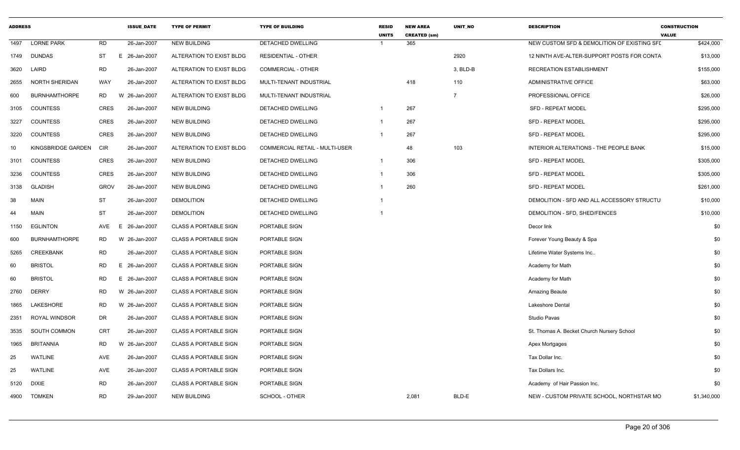| <b>ADDRESS</b>  |                       |             | <b>ISSUE DATE</b> | <b>TYPE OF PERMIT</b>        | <b>TYPE OF BUILDING</b>        | <b>RESID</b><br><b>UNITS</b> | <b>NEW AREA</b><br><b>CREATED (sm)</b> | <b>UNIT NO</b> | <b>DESCRIPTION</b>                          | <b>CONSTRUCTION</b><br><b>VALUE</b> |
|-----------------|-----------------------|-------------|-------------------|------------------------------|--------------------------------|------------------------------|----------------------------------------|----------------|---------------------------------------------|-------------------------------------|
| 1497            | <b>LORNE PARK</b>     | <b>RD</b>   | 26-Jan-2007       | <b>NEW BUILDING</b>          | DETACHED DWELLING              |                              | 365                                    |                | NEW CUSTOM SFD & DEMOLITION OF EXISTING SFL | \$424,000                           |
|                 | 1749 DUNDAS           | <b>ST</b>   | E 26-Jan-2007     | ALTERATION TO EXIST BLDG     | <b>RESIDENTIAL - OTHER</b>     |                              |                                        | 2920           | 12 NINTH AVE-ALTER-SUPPORT POSTS FOR CONTA  | \$13,000                            |
| 3620            | LAIRD                 | <b>RD</b>   | 26-Jan-2007       | ALTERATION TO EXIST BLDG     | <b>COMMERCIAL - OTHER</b>      |                              |                                        | 3, BLD-B       | RECREATION ESTABLISHMENT                    | \$155,000                           |
| 2655            | <b>NORTH SHERIDAN</b> | WAY         | 26-Jan-2007       | ALTERATION TO EXIST BLDG     | MULTI-TENANT INDUSTRIAL        |                              | 418                                    | 110            | ADMINISTRATIVE OFFICE                       | \$63,000                            |
| 600             | <b>BURNHAMTHORPE</b>  | <b>RD</b>   | 26-Jan-2007<br>W  | ALTERATION TO EXIST BLDG     | MULTI-TENANT INDUSTRIAL        |                              |                                        | $\overline{7}$ | PROFESSIONAL OFFICE                         | \$26,000                            |
| 3105            | <b>COUNTESS</b>       | CRES        | 26-Jan-2007       | <b>NEW BUILDING</b>          | <b>DETACHED DWELLING</b>       | $\mathbf 1$                  | 267                                    |                | <b>SFD - REPEAT MODEL</b>                   | \$295,000                           |
| 3227            | <b>COUNTESS</b>       | <b>CRES</b> | 26-Jan-2007       | <b>NEW BUILDING</b>          | DETACHED DWELLING              |                              | 267                                    |                | <b>SFD - REPEAT MODEL</b>                   | \$295,000                           |
| 3220            | COUNTESS              | <b>CRES</b> | 26-Jan-2007       | <b>NEW BUILDING</b>          | DETACHED DWELLING              | -1                           | 267                                    |                | <b>SFD - REPEAT MODEL</b>                   | \$295,000                           |
| 10 <sup>°</sup> | KINGSBRIDGE GARDEN    | CIR         | 26-Jan-2007       | ALTERATION TO EXIST BLDG     | COMMERCIAL RETAIL - MULTI-USER |                              | 48                                     | 103            | INTERIOR ALTERATIONS - THE PEOPLE BANK      | \$15,000                            |
| 3101            | COUNTESS              | <b>CRES</b> | 26-Jan-2007       | <b>NEW BUILDING</b>          | <b>DETACHED DWELLING</b>       | $\mathbf 1$                  | 306                                    |                | <b>SFD - REPEAT MODEL</b>                   | \$305,000                           |
| 3236            | <b>COUNTESS</b>       | CRES        | 26-Jan-2007       | <b>NEW BUILDING</b>          | DETACHED DWELLING              | 1                            | 306                                    |                | <b>SFD - REPEAT MODEL</b>                   | \$305,000                           |
| 3138            | <b>GLADISH</b>        | <b>GROV</b> | 26-Jan-2007       | <b>NEW BUILDING</b>          | DETACHED DWELLING              |                              | 260                                    |                | <b>SFD - REPEAT MODEL</b>                   | \$261,000                           |
| 38              | <b>MAIN</b>           | <b>ST</b>   | 26-Jan-2007       | <b>DEMOLITION</b>            | <b>DETACHED DWELLING</b>       |                              |                                        |                | DEMOLITION - SFD AND ALL ACCESSORY STRUCTU  | \$10,000                            |
| 44              | <b>MAIN</b>           | ST          | 26-Jan-2007       | <b>DEMOLITION</b>            | DETACHED DWELLING              |                              |                                        |                | DEMOLITION - SFD, SHED/FENCES               | \$10,000                            |
| 1150            | <b>EGLINTON</b>       | AVE         | E<br>26-Jan-2007  | <b>CLASS A PORTABLE SIGN</b> | PORTABLE SIGN                  |                              |                                        |                | Decor link                                  | \$0                                 |
| 600             | <b>BURNHAMTHORPE</b>  | <b>RD</b>   | W 26-Jan-2007     | <b>CLASS A PORTABLE SIGN</b> | PORTABLE SIGN                  |                              |                                        |                | Forever Young Beauty & Spa                  | \$0                                 |
| 5265            | <b>CREEKBANK</b>      | <b>RD</b>   | 26-Jan-2007       | <b>CLASS A PORTABLE SIGN</b> | PORTABLE SIGN                  |                              |                                        |                | Lifetime Water Systems Inc                  | \$0                                 |
| 60              | <b>BRISTOL</b>        | <b>RD</b>   | Е<br>26-Jan-2007  | <b>CLASS A PORTABLE SIGN</b> | PORTABLE SIGN                  |                              |                                        |                | Academy for Math                            | \$0                                 |
| 60              | <b>BRISTOL</b>        | <b>RD</b>   | E<br>26-Jan-2007  | <b>CLASS A PORTABLE SIGN</b> | PORTABLE SIGN                  |                              |                                        |                | Academy for Math                            | \$0                                 |
| 2760            | <b>DERRY</b>          | <b>RD</b>   | W 26-Jan-2007     | <b>CLASS A PORTABLE SIGN</b> | PORTABLE SIGN                  |                              |                                        |                | Amazing Beaute                              | \$0                                 |
| 1865            | LAKESHORE             | RD          | 26-Jan-2007<br>W  | <b>CLASS A PORTABLE SIGN</b> | PORTABLE SIGN                  |                              |                                        |                | Lakeshore Dental                            | \$0                                 |
| 2351            | <b>ROYAL WINDSOR</b>  | DR          | 26-Jan-2007       | <b>CLASS A PORTABLE SIGN</b> | PORTABLE SIGN                  |                              |                                        |                | Studio Pavas                                | \$0                                 |
| 3535            | SOUTH COMMON          | <b>CRT</b>  | 26-Jan-2007       | <b>CLASS A PORTABLE SIGN</b> | PORTABLE SIGN                  |                              |                                        |                | St. Thomas A. Becket Church Nursery School  | \$0                                 |
| 1965            | <b>BRITANNIA</b>      | <b>RD</b>   | 26-Jan-2007<br>W  | <b>CLASS A PORTABLE SIGN</b> | PORTABLE SIGN                  |                              |                                        |                | Apex Mortgages                              | \$0                                 |
| 25              | <b>WATLINE</b>        | AVE         | 26-Jan-2007       | <b>CLASS A PORTABLE SIGN</b> | PORTABLE SIGN                  |                              |                                        |                | Tax Dollar Inc.                             | \$0                                 |
| 25              | <b>WATLINE</b>        | AVE         | 26-Jan-2007       | <b>CLASS A PORTABLE SIGN</b> | PORTABLE SIGN                  |                              |                                        |                | Tax Dollars Inc.                            | \$0                                 |
| 5120            | <b>DIXIE</b>          | <b>RD</b>   | 26-Jan-2007       | <b>CLASS A PORTABLE SIGN</b> | PORTABLE SIGN                  |                              |                                        |                | Academy of Hair Passion Inc.                | \$0                                 |
| 4900            | <b>TOMKEN</b>         | <b>RD</b>   | 29-Jan-2007       | <b>NEW BUILDING</b>          | SCHOOL - OTHER                 |                              | 2,081                                  | BLD-E          | NEW - CUSTOM PRIVATE SCHOOL, NORTHSTAR MO   | \$1,340,000                         |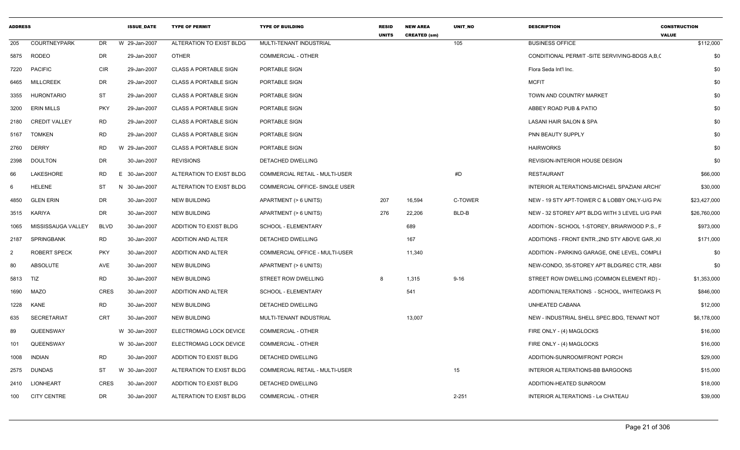| 205      |                      |             |               |                              |                                | <b>UNITS</b> | <b>CREATED (sm)</b> | <b>UNIT NO</b> | <b>DESCRIPTION</b>                              | <b>CONSTRUCTION</b><br><b>VALUE</b> |     |
|----------|----------------------|-------------|---------------|------------------------------|--------------------------------|--------------|---------------------|----------------|-------------------------------------------------|-------------------------------------|-----|
|          | <b>COURTNEYPARK</b>  | DR          | W 29-Jan-2007 | ALTERATION TO EXIST BLDG     | MULTI-TENANT INDUSTRIAL        |              |                     | 105            | <b>BUSINESS OFFICE</b>                          | \$112,000                           |     |
|          | 5875 RODEO           | DR          | 29-Jan-2007   | <b>OTHER</b>                 | COMMERCIAL - OTHER             |              |                     |                | CONDITIONAL PERMIT -SITE SERVIVING-BDGS A,B,(   |                                     | \$0 |
| 7220     | <b>PACIFIC</b>       | <b>CIR</b>  | 29-Jan-2007   | <b>CLASS A PORTABLE SIGN</b> | PORTABLE SIGN                  |              |                     |                | Flora Seda Int'l Inc.                           |                                     | \$0 |
| 6465     | <b>MILLCREEK</b>     | DR          | 29-Jan-2007   | <b>CLASS A PORTABLE SIGN</b> | PORTABLE SIGN                  |              |                     |                | <b>MCFIT</b>                                    |                                     | \$0 |
| 3355     | <b>HURONTARIO</b>    | ST          | 29-Jan-2007   | <b>CLASS A PORTABLE SIGN</b> | PORTABLE SIGN                  |              |                     |                | TOWN AND COUNTRY MARKET                         |                                     | \$0 |
| 3200     | <b>ERIN MILLS</b>    | <b>PKY</b>  | 29-Jan-2007   | <b>CLASS A PORTABLE SIGN</b> | PORTABLE SIGN                  |              |                     |                | ABBEY ROAD PUB & PATIO                          |                                     | \$0 |
| 2180     | <b>CREDIT VALLEY</b> | RD          | 29-Jan-2007   | <b>CLASS A PORTABLE SIGN</b> | PORTABLE SIGN                  |              |                     |                | LASANI HAIR SALON & SPA                         |                                     | \$0 |
| 5167     | <b>TOMKEN</b>        | <b>RD</b>   | 29-Jan-2007   | <b>CLASS A PORTABLE SIGN</b> | PORTABLE SIGN                  |              |                     |                | PNN BEAUTY SUPPLY                               |                                     | \$0 |
| 2760     | <b>DERRY</b>         | RD          | W 29-Jan-2007 | <b>CLASS A PORTABLE SIGN</b> | PORTABLE SIGN                  |              |                     |                | <b>HAIRWORKS</b>                                |                                     | \$0 |
| 2398     | <b>DOULTON</b>       | DR          | 30-Jan-2007   | <b>REVISIONS</b>             | DETACHED DWELLING              |              |                     |                | REVISION-INTERIOR HOUSE DESIGN                  |                                     | \$0 |
| 66       | LAKESHORE            | RD          | E 30-Jan-2007 | ALTERATION TO EXIST BLDG     | COMMERCIAL RETAIL - MULTI-USER |              |                     | #D             | RESTAURANT                                      | \$66,000                            |     |
| 6        | HELENE               | ST          | N 30-Jan-2007 | ALTERATION TO EXIST BLDG     | COMMERCIAL OFFICE- SINGLE USER |              |                     |                | INTERIOR ALTERATIONS-MICHAEL SPAZIANI ARCHIT    | \$30,000                            |     |
| 4850     | <b>GLEN ERIN</b>     | <b>DR</b>   | 30-Jan-2007   | <b>NEW BUILDING</b>          | APARTMENT (> 6 UNITS)          | 207          | 16,594              | C-TOWER        | NEW - 19 STY APT-TOWER C & LOBBY ONLY-U/G PA    | \$23,427,000                        |     |
| 3515     | KARIYA               | DR          | 30-Jan-2007   | <b>NEW BUILDING</b>          | APARTMENT (> 6 UNITS)          | 276          | 22,206              | BLD-B          | NEW - 32 STOREY APT BLDG WITH 3 LEVEL U/G PAF   | \$26,760,000                        |     |
| 1065     | MISSISSAUGA VALLEY   | <b>BLVD</b> | 30-Jan-2007   | ADDITION TO EXIST BLDG       | SCHOOL - ELEMENTARY            |              | 689                 |                | ADDITION - SCHOOL 1-STOREY, BRIARWOOD P.S., F   | \$973,000                           |     |
| 2187     | SPRINGBANK           | <b>RD</b>   | 30-Jan-2007   | ADDITION AND ALTER           | DETACHED DWELLING              |              | 167                 |                | ADDITIONS - FRONT ENTR., 2ND STY ABOVE GAR., KI | \$171,000                           |     |
| 2        | ROBERT SPECK         | <b>PKY</b>  | 30-Jan-2007   | ADDITION AND ALTER           | COMMERCIAL OFFICE - MULTI-USER |              | 11,340              |                | ADDITION - PARKING GARAGE, ONE LEVEL, COMPLI    | \$0                                 |     |
| 80       | ABSOLUTE             | AVE         | 30-Jan-2007   | <b>NEW BUILDING</b>          | APARTMENT (> 6 UNITS)          |              |                     |                | NEW-CONDO, 35-STOREY APT BLDG/REC CTR, ABS(     |                                     | \$0 |
| 5813 TIZ |                      | RD          | 30-Jan-2007   | <b>NEW BUILDING</b>          | STREET ROW DWELLING            | 8            | 1,315               | $9 - 16$       | STREET ROW DWELLING (COMMON ELEMENT RD) -       | \$1,353,000                         |     |
| 1690     | MAZO                 | CRES        | 30-Jan-2007   | ADDITION AND ALTER           | SCHOOL - ELEMENTARY            |              | 541                 |                | ADDITION/ALTERATIONS - SCHOOL, WHITEOAKS PL     | \$846,000                           |     |
| 1228     | <b>KANE</b>          | RD          | 30-Jan-2007   | <b>NEW BUILDING</b>          | DETACHED DWELLING              |              |                     |                | UNHEATED CABANA                                 | \$12,000                            |     |
| 635      | <b>SECRETARIAT</b>   | CRT         | 30-Jan-2007   | <b>NEW BUILDING</b>          | MULTI-TENANT INDUSTRIAL        |              | 13,007              |                | NEW - INDUSTRIAL SHELL SPEC.BDG, TENANT NOT     | \$6,178,000                         |     |
| 89       | QUEENSWAY            |             | W 30-Jan-2007 | ELECTROMAG LOCK DEVICE       | COMMERCIAL - OTHER             |              |                     |                | FIRE ONLY - (4) MAGLOCKS                        | \$16,000                            |     |
| 101      | QUEENSWAY            |             | W 30-Jan-2007 | ELECTROMAG LOCK DEVICE       | COMMERCIAL - OTHER             |              |                     |                | FIRE ONLY - (4) MAGLOCKS                        | \$16,000                            |     |
| 1008     | <b>INDIAN</b>        | RD          | 30-Jan-2007   | ADDITION TO EXIST BLDG       | DETACHED DWELLING              |              |                     |                | ADDITION-SUNROOM/FRONT PORCH                    | \$29,000                            |     |
| 2575     | <b>DUNDAS</b>        | ST          | W 30-Jan-2007 | ALTERATION TO EXIST BLDG     | COMMERCIAL RETAIL - MULTI-USER |              |                     | 15             | INTERIOR ALTERATIONS-BB BARGOONS                | \$15,000                            |     |
| 2410     | LIONHEART            | <b>CRES</b> | 30-Jan-2007   | ADDITION TO EXIST BLDG       | DETACHED DWELLING              |              |                     |                | ADDITION-HEATED SUNROOM                         | \$18,000                            |     |
| 100      | <b>CITY CENTRE</b>   | DR          | 30-Jan-2007   | ALTERATION TO EXIST BLDG     | <b>COMMERCIAL - OTHER</b>      |              |                     | $2 - 251$      | INTERIOR ALTERATIONS - Le CHATEAU               | \$39,000                            |     |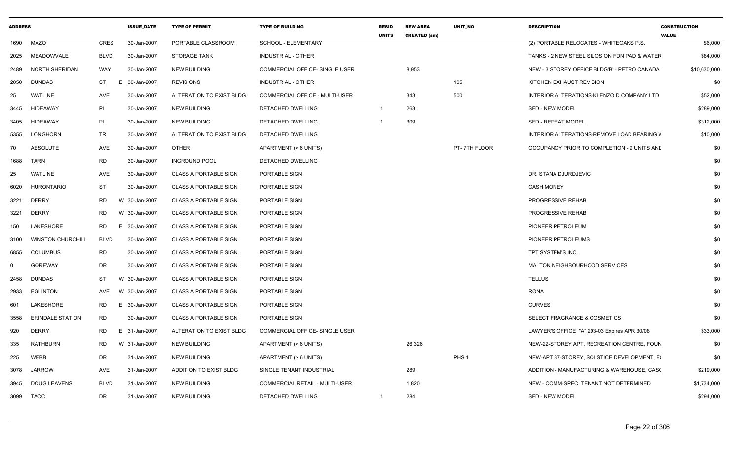| <b>ADDRESS</b> |                          |             | <b>ISSUE_DATE</b> | <b>TYPE OF PERMIT</b>        | <b>TYPE OF BUILDING</b>        | <b>RESID</b><br><b>UNITS</b> | <b>NEW AREA</b><br><b>CREATED (sm)</b> | UNIT_NO          | <b>DESCRIPTION</b>                           | <b>CONSTRUCTION</b><br><b>VALUE</b> |
|----------------|--------------------------|-------------|-------------------|------------------------------|--------------------------------|------------------------------|----------------------------------------|------------------|----------------------------------------------|-------------------------------------|
|                | 1690 MAZO                | CRES        | 30-Jan-2007       | PORTABLE CLASSROOM           | SCHOOL - ELEMENTARY            |                              |                                        |                  | (2) PORTABLE RELOCATES - WHITEOAKS P.S.      | \$6,000                             |
| 2025           | MEADOWVALE               | BLVD        | 30-Jan-2007       | <b>STORAGE TANK</b>          | INDUSTRIAL - OTHER             |                              |                                        |                  | TANKS - 2 NEW STEEL SILOS ON FDN PAD & WATER | \$84,000                            |
| 2489           | NORTH SHERIDAN           | WAY         | 30-Jan-2007       | <b>NEW BUILDING</b>          | COMMERCIAL OFFICE- SINGLE USER |                              | 8,953                                  |                  | NEW - 3 STOREY OFFICE BLDG'B' - PETRO CANADA | \$10,630,000                        |
| 2050           | DUNDAS                   | ST          | E 30-Jan-2007     | <b>REVISIONS</b>             | INDUSTRIAL - OTHER             |                              |                                        | 105              | KITCHEN EXHAUST REVISION                     | \$0                                 |
| 25             | WATLINE                  | AVE         | 30-Jan-2007       | ALTERATION TO EXIST BLDG     | COMMERCIAL OFFICE - MULTI-USER |                              | 343                                    | 500              | INTERIOR ALTERATIONS-KLENZOID COMPANY LTD    | \$52,000                            |
| 3445           | HIDEAWAY                 | PL          | 30-Jan-2007       | <b>NEW BUILDING</b>          | DETACHED DWELLING              | $\overline{1}$               | 263                                    |                  | SFD - NEW MODEL                              | \$289,000                           |
| 3405           | HIDEAWAY                 | PL          | 30-Jan-2007       | <b>NEW BUILDING</b>          | DETACHED DWELLING              |                              | 309                                    |                  | <b>SFD - REPEAT MODEL</b>                    | \$312,000                           |
| 5355           | LONGHORN                 | TR          | 30-Jan-2007       | ALTERATION TO EXIST BLDG     | DETACHED DWELLING              |                              |                                        |                  | INTERIOR ALTERATIONS-REMOVE LOAD BEARING V   | \$10,000                            |
| 70             | ABSOLUTE                 | AVE         | 30-Jan-2007       | OTHER                        | APARTMENT (> 6 UNITS)          |                              |                                        | PT-7TH FLOOR     | OCCUPANCY PRIOR TO COMPLETION - 9 UNITS AND  | \$0                                 |
| 1688           | TARN                     | <b>RD</b>   | 30-Jan-2007       | <b>INGROUND POOL</b>         | DETACHED DWELLING              |                              |                                        |                  |                                              | \$0                                 |
| 25             | WATLINE                  | AVE         | 30-Jan-2007       | <b>CLASS A PORTABLE SIGN</b> | PORTABLE SIGN                  |                              |                                        |                  | DR. STANA DJURDJEVIC                         | \$0                                 |
| 6020           | HURONTARIO               | ST          | 30-Jan-2007       | <b>CLASS A PORTABLE SIGN</b> | PORTABLE SIGN                  |                              |                                        |                  | <b>CASH MONEY</b>                            | \$0                                 |
| 3221           | <b>DERRY</b>             | RD          | W 30-Jan-2007     | <b>CLASS A PORTABLE SIGN</b> | PORTABLE SIGN                  |                              |                                        |                  | PROGRESSIVE REHAB                            | \$0                                 |
| 3221           | <b>DERRY</b>             | RD          | W 30-Jan-2007     | <b>CLASS A PORTABLE SIGN</b> | PORTABLE SIGN                  |                              |                                        |                  | PROGRESSIVE REHAB                            | \$0                                 |
| 150            | LAKESHORE                | RD          | E 30-Jan-2007     | <b>CLASS A PORTABLE SIGN</b> | PORTABLE SIGN                  |                              |                                        |                  | PIONEER PETROLEUM                            | \$0                                 |
| 3100           | <b>WINSTON CHURCHILL</b> | <b>BLVD</b> | 30-Jan-2007       | <b>CLASS A PORTABLE SIGN</b> | PORTABLE SIGN                  |                              |                                        |                  | PIONEER PETROLEUMS                           | \$0                                 |
| 6855           | COLUMBUS                 | RD          | 30-Jan-2007       | <b>CLASS A PORTABLE SIGN</b> | PORTABLE SIGN                  |                              |                                        |                  | TPT SYSTEM'S INC.                            | \$0                                 |
|                | <b>GOREWAY</b>           | DR          | 30-Jan-2007       | <b>CLASS A PORTABLE SIGN</b> | PORTABLE SIGN                  |                              |                                        |                  | MALTON NEIGHBOURHOOD SERVICES                | \$0                                 |
| 2458           | DUNDAS                   | ST          | W 30-Jan-2007     | <b>CLASS A PORTABLE SIGN</b> | PORTABLE SIGN                  |                              |                                        |                  | <b>TELLUS</b>                                | \$0                                 |
| 2933           | <b>EGLINTON</b>          | AVE         | W 30-Jan-2007     | <b>CLASS A PORTABLE SIGN</b> | PORTABLE SIGN                  |                              |                                        |                  | <b>RONA</b>                                  | \$0                                 |
| 601            | LAKESHORE                | RD          | E 30-Jan-2007     | <b>CLASS A PORTABLE SIGN</b> | PORTABLE SIGN                  |                              |                                        |                  | <b>CURVES</b>                                | \$0                                 |
| 3558           | <b>ERINDALE STATION</b>  | RD          | 30-Jan-2007       | <b>CLASS A PORTABLE SIGN</b> | PORTABLE SIGN                  |                              |                                        |                  | SELECT FRAGRANCE & COSMETICS                 | \$0                                 |
| 920            | <b>DERRY</b>             | RD          | E 31-Jan-2007     | ALTERATION TO EXIST BLDG     | COMMERCIAL OFFICE- SINGLE USER |                              |                                        |                  | LAWYER'S OFFICE "A" 293-03 Expires APR 30/08 | \$33,000                            |
| 335            | <b>RATHBURN</b>          | <b>RD</b>   | W 31-Jan-2007     | <b>NEW BUILDING</b>          | APARTMENT (> 6 UNITS)          |                              | 26,326                                 |                  | NEW-22-STOREY APT, RECREATION CENTRE, FOUN   | \$0                                 |
| 225            | WEBB                     | DR          | 31-Jan-2007       | <b>NEW BUILDING</b>          | APARTMENT (> 6 UNITS)          |                              |                                        | PHS <sub>1</sub> | NEW-APT 37-STOREY. SOLSTICE DEVELOPMENT. FO  | \$0                                 |
| 3078           | JARROW                   | AVE         | 31-Jan-2007       | ADDITION TO EXIST BLDG       | SINGLE TENANT INDUSTRIAL       |                              | 289                                    |                  | ADDITION - MANUFACTURING & WAREHOUSE, CASO   | \$219,000                           |
| 3945           | DOUG LEAVENS             | BLVD        | 31-Jan-2007       | <b>NEW BUILDING</b>          | COMMERCIAL RETAIL - MULTI-USER |                              | 1,820                                  |                  | NEW - COMM-SPEC. TENANT NOT DETERMINED       | \$1,734,000                         |
|                | 3099 TACC                | DR          | 31-Jan-2007       | <b>NEW BUILDING</b>          | DETACHED DWELLING              | -1                           | 284                                    |                  | SFD - NEW MODEL                              | \$294,000                           |
|                |                          |             |                   |                              |                                |                              |                                        |                  |                                              |                                     |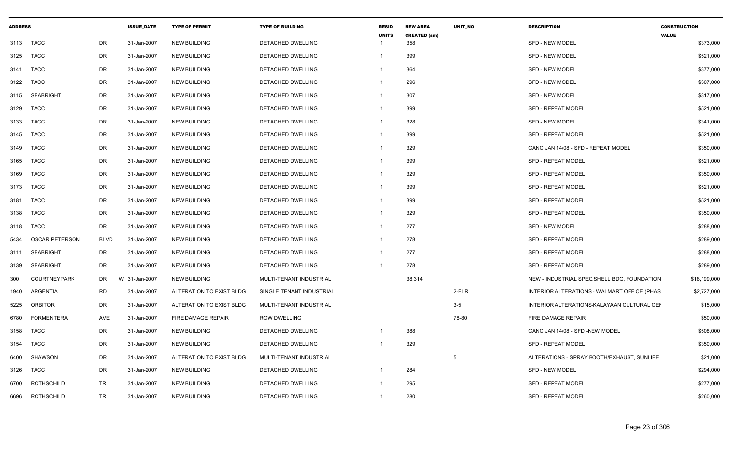| <b>ADDRESS</b> |                       |             | <b>ISSUE DATE</b> | <b>TYPE OF PERMIT</b>    | <b>TYPE OF BUILDING</b>  | <b>RESID</b><br><b>UNITS</b> | <b>NEW AREA</b><br><b>CREATED (sm)</b> | <b>UNIT NO</b> | <b>DESCRIPTION</b>                          | <b>CONSTRUCTION</b><br><b>VALUE</b> |
|----------------|-----------------------|-------------|-------------------|--------------------------|--------------------------|------------------------------|----------------------------------------|----------------|---------------------------------------------|-------------------------------------|
| 3113           | <b>TACC</b>           | DR          | 31-Jan-2007       | <b>NEW BUILDING</b>      | <b>DETACHED DWELLING</b> |                              | 358                                    |                | <b>SFD - NEW MODEL</b>                      | \$373,000                           |
| 3125           | <b>TACC</b>           | DR          | 31-Jan-2007       | <b>NEW BUILDING</b>      | DETACHED DWELLING        | 1                            | 399                                    |                | <b>SFD - NEW MODEL</b>                      | \$521,000                           |
| 3141           | <b>TACC</b>           | DR          | 31-Jan-2007       | <b>NEW BUILDING</b>      | <b>DETACHED DWELLING</b> |                              | 364                                    |                | <b>SFD - NEW MODEL</b>                      | \$377,000                           |
| 3122           | <b>TACC</b>           | DR          | 31-Jan-2007       | <b>NEW BUILDING</b>      | DETACHED DWELLING        |                              | 296                                    |                | <b>SFD - NEW MODEL</b>                      | \$307,000                           |
| 3115           | <b>SEABRIGHT</b>      | DR          | 31-Jan-2007       | <b>NEW BUILDING</b>      | DETACHED DWELLING        |                              | 307                                    |                | <b>SFD - NEW MODEL</b>                      | \$317,000                           |
| 3129           | <b>TACC</b>           | DR          | 31-Jan-2007       | <b>NEW BUILDING</b>      | DETACHED DWELLING        |                              | 399                                    |                | <b>SFD - REPEAT MODEL</b>                   | \$521,000                           |
| 3133           | <b>TACC</b>           | DR          | 31-Jan-2007       | <b>NEW BUILDING</b>      | <b>DETACHED DWELLING</b> | -1                           | 328                                    |                | <b>SFD - NEW MODEL</b>                      | \$341,000                           |
| 3145           | TACC                  | DR          | 31-Jan-2007       | <b>NEW BUILDING</b>      | <b>DETACHED DWELLING</b> | $\mathbf{1}$                 | 399                                    |                | <b>SFD - REPEAT MODEL</b>                   | \$521,000                           |
| 3149           | TACC                  | DR          | 31-Jan-2007       | NEW BUILDING             | DETACHED DWELLING        |                              | 329                                    |                | CANC JAN 14/08 - SFD - REPEAT MODEL         | \$350,000                           |
| 3165           | <b>TACC</b>           | DR          | 31-Jan-2007       | <b>NEW BUILDING</b>      | DETACHED DWELLING        |                              | 399                                    |                | <b>SFD - REPEAT MODEL</b>                   | \$521,000                           |
| 3169           | <b>TACC</b>           | DR          | 31-Jan-2007       | <b>NEW BUILDING</b>      | DETACHED DWELLING        | 1                            | 329                                    |                | <b>SFD - REPEAT MODEL</b>                   | \$350,000                           |
| 3173           | <b>TACC</b>           | DR          | 31-Jan-2007       | <b>NEW BUILDING</b>      | DETACHED DWELLING        |                              | 399                                    |                | SFD - REPEAT MODEL                          | \$521,000                           |
| 3181           | TACC                  | DR          | 31-Jan-2007       | <b>NEW BUILDING</b>      | DETACHED DWELLING        |                              | 399                                    |                | <b>SFD - REPEAT MODEL</b>                   | \$521,000                           |
| 3138           | <b>TACC</b>           | DR          | 31-Jan-2007       | NEW BUILDING             | DETACHED DWELLING        |                              | 329                                    |                | <b>SFD - REPEAT MODEL</b>                   | \$350,000                           |
| 3118           | TACC                  | DR          | 31-Jan-2007       | <b>NEW BUILDING</b>      | DETACHED DWELLING        |                              | 277                                    |                | <b>SFD - NEW MODEL</b>                      | \$288,000                           |
| 5434           | <b>OSCAR PETERSON</b> | <b>BLVD</b> | 31-Jan-2007       | <b>NEW BUILDING</b>      | DETACHED DWELLING        |                              | 278                                    |                | <b>SFD - REPEAT MODEL</b>                   | \$289,000                           |
| 3111           | <b>SEABRIGHT</b>      | DR          | 31-Jan-2007       | <b>NEW BUILDING</b>      | DETACHED DWELLING        |                              | 277                                    |                | <b>SFD - REPEAT MODEL</b>                   | \$288,000                           |
| 3139           | <b>SEABRIGHT</b>      | DR          | 31-Jan-2007       | <b>NEW BUILDING</b>      | DETACHED DWELLING        | -1                           | 278                                    |                | <b>SFD - REPEAT MODEL</b>                   | \$289,000                           |
| 300            | <b>COURTNEYPARK</b>   | DR          | W 31-Jan-2007     | <b>NEW BUILDING</b>      | MULTI-TENANT INDUSTRIAL  |                              | 38,314                                 |                | NEW - INDUSTRIAL SPEC.SHELL BDG, FOUNDATION | \$18,199,000                        |
| 1940           | ARGENTIA              | <b>RD</b>   | 31-Jan-2007       | ALTERATION TO EXIST BLDG | SINGLE TENANT INDUSTRIAL |                              |                                        | 2-FLR          | INTERIOR ALTERATIONS - WALMART OFFICE (PHAS | \$2,727,000                         |
| 5225           | <b>ORBITOR</b>        | DR          | 31-Jan-2007       | ALTERATION TO EXIST BLDG | MULTI-TENANT INDUSTRIAL  |                              |                                        | $3-5$          | INTERIOR ALTERATIONS-KALAYAAN CULTURAL CEN  | \$15,000                            |
| 6780           | <b>FORMENTERA</b>     | AVE         | 31-Jan-2007       | FIRE DAMAGE REPAIR       | <b>ROW DWELLING</b>      |                              |                                        | 78-80          | FIRE DAMAGE REPAIR                          | \$50,000                            |
| 3158           | <b>TACC</b>           | DR          | 31-Jan-2007       | <b>NEW BUILDING</b>      | DETACHED DWELLING        |                              | 388                                    |                | CANC JAN 14/08 - SFD -NEW MODEL             | \$508,000                           |
| 3154           | <b>TACC</b>           | DR          | 31-Jan-2007       | NEW BUILDING             | DETACHED DWELLING        |                              | 329                                    |                | SFD - REPEAT MODEL                          | \$350,000                           |
| 6400           | <b>SHAWSON</b>        | DR          | 31-Jan-2007       | ALTERATION TO EXIST BLDG | MULTI-TENANT INDUSTRIAL  |                              |                                        | 5              | ALTERATIONS - SPRAY BOOTH/EXHAUST, SUNLIFE  | \$21,000                            |
| 3126           | <b>TACC</b>           | DR          | 31-Jan-2007       | <b>NEW BUILDING</b>      | DETACHED DWELLING        |                              | 284                                    |                | <b>SFD - NEW MODEL</b>                      | \$294,000                           |
| 6700           | ROTHSCHILD            | TR          | 31-Jan-2007       | <b>NEW BUILDING</b>      | DETACHED DWELLING        |                              | 295                                    |                | <b>SFD - REPEAT MODEL</b>                   | \$277,000                           |
| 6696           | ROTHSCHILD            | TR          | 31-Jan-2007       | NEW BUILDING             | DETACHED DWELLING        |                              | 280                                    |                | <b>SFD - REPEAT MODEL</b>                   | \$260,000                           |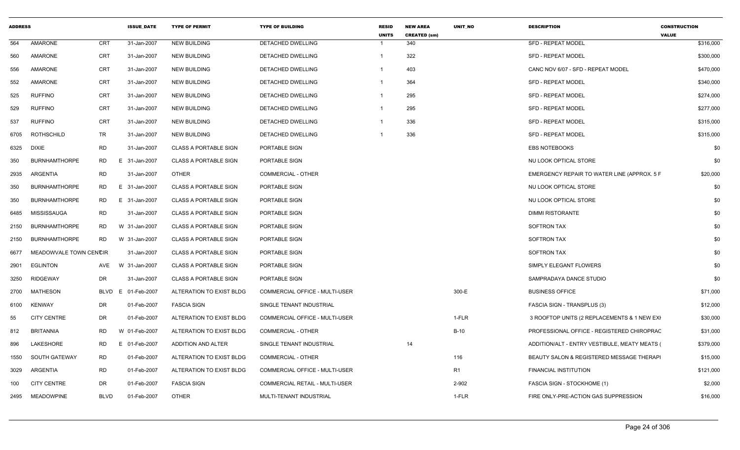| <b>ADDRESS</b> |                        |                | <b>ISSUE DATE</b>  | <b>TYPE OF PERMIT</b>        | <b>TYPE OF BUILDING</b>               | <b>RESID</b><br><b>UNITS</b> | <b>NEW AREA</b><br><b>CREATED (sm)</b> | <b>UNIT NO</b> | <b>DESCRIPTION</b>                            | <b>CONSTRUCTION</b><br><b>VALUE</b> |
|----------------|------------------------|----------------|--------------------|------------------------------|---------------------------------------|------------------------------|----------------------------------------|----------------|-----------------------------------------------|-------------------------------------|
| 564            | AMARONE                | <b>CRT</b>     | 31-Jan-2007        | <b>NEW BUILDING</b>          | <b>DETACHED DWELLING</b>              | -1                           | 340                                    |                | SFD - REPEAT MODEL                            | \$316,000                           |
| 560            | AMARONE                | <b>CRT</b>     | 31-Jan-2007        | <b>NEW BUILDING</b>          | DETACHED DWELLING                     | $\overline{\mathbf{1}}$      | 322                                    |                | <b>SFD - REPEAT MODEL</b>                     | \$300,000                           |
| 556            | <b>AMARONE</b>         | <b>CRT</b>     | 31-Jan-2007        | <b>NEW BUILDING</b>          | DETACHED DWELLING                     | -1                           | 403                                    |                | CANC NOV 6/07 - SFD - REPEAT MODEL            | \$470,000                           |
| 552            | <b>AMARONE</b>         | <b>CRT</b>     | 31-Jan-2007        | <b>NEW BUILDING</b>          | DETACHED DWELLING                     | $\overline{1}$               | 364                                    |                | SFD - REPEAT MODEL                            | \$340,000                           |
| 525            | <b>RUFFINO</b>         | <b>CRT</b>     | 31-Jan-2007        | <b>NEW BUILDING</b>          | DETACHED DWELLING                     | $\overline{\mathbf{1}}$      | 295                                    |                | SFD - REPEAT MODEL                            | \$274,000                           |
| 529            | <b>RUFFINO</b>         | <b>CRT</b>     | 31-Jan-2007        | <b>NEW BUILDING</b>          | DETACHED DWELLING                     | $\overline{\mathbf{1}}$      | 295                                    |                | <b>SFD - REPEAT MODEL</b>                     | \$277,000                           |
| 537            | <b>RUFFINO</b>         | <b>CRT</b>     | 31-Jan-2007        | <b>NEW BUILDING</b>          | DETACHED DWELLING                     | -1                           | 336                                    |                | <b>SFD - REPEAT MODEL</b>                     | \$315,000                           |
| 6705           | ROTHSCHILD             | TR             | 31-Jan-2007        | <b>NEW BUILDING</b>          | DETACHED DWELLING                     |                              | 336                                    |                | SFD - REPEAT MODEL                            | \$315,000                           |
| 6325           | <b>DIXIE</b>           | <b>RD</b>      | 31-Jan-2007        | <b>CLASS A PORTABLE SIGN</b> | PORTABLE SIGN                         |                              |                                        |                | <b>EBS NOTEBOOKS</b>                          | \$0                                 |
| 350            | <b>BURNHAMTHORPE</b>   | <b>RD</b><br>E | 31-Jan-2007        | <b>CLASS A PORTABLE SIGN</b> | PORTABLE SIGN                         |                              |                                        |                | NU LOOK OPTICAL STORE                         | \$0                                 |
| 2935           | ARGENTIA               | <b>RD</b>      | 31-Jan-2007        | <b>OTHER</b>                 | COMMERCIAL - OTHER                    |                              |                                        |                | EMERGENCY REPAIR TO WATER LINE (APPROX. 5 F   | \$20,000                            |
| 350            | <b>BURNHAMTHORPE</b>   | <b>RD</b>      | E 31-Jan-2007      | <b>CLASS A PORTABLE SIGN</b> | PORTABLE SIGN                         |                              |                                        |                | NU LOOK OPTICAL STORE                         | \$0                                 |
| 350            | <b>BURNHAMTHORPE</b>   | RD             | E 31-Jan-2007      | <b>CLASS A PORTABLE SIGN</b> | PORTABLE SIGN                         |                              |                                        |                | NU LOOK OPTICAL STORE                         | \$0                                 |
| 6485           | MISSISSAUGA            | <b>RD</b>      | 31-Jan-2007        | <b>CLASS A PORTABLE SIGN</b> | PORTABLE SIGN                         |                              |                                        |                | <b>DIMMI RISTORANTE</b>                       | \$0                                 |
| 2150           | <b>BURNHAMTHORPE</b>   | RD.            | W 31-Jan-2007      | <b>CLASS A PORTABLE SIGN</b> | PORTABLE SIGN                         |                              |                                        |                | <b>SOFTRON TAX</b>                            | \$0                                 |
| 2150           | <b>BURNHAMTHORPE</b>   | <b>RD</b>      | W 31-Jan-2007      | <b>CLASS A PORTABLE SIGN</b> | PORTABLE SIGN                         |                              |                                        |                | <b>SOFTRON TAX</b>                            | \$0                                 |
| 6677           | MEADOWVALE TOWN CENCIR |                | 31-Jan-2007        | <b>CLASS A PORTABLE SIGN</b> | PORTABLE SIGN                         |                              |                                        |                | <b>SOFTRON TAX</b>                            | \$0                                 |
| 2901           | <b>EGLINTON</b>        | AVE            | W 31-Jan-2007      | <b>CLASS A PORTABLE SIGN</b> | PORTABLE SIGN                         |                              |                                        |                | SIMPLY ELEGANT FLOWERS                        | \$0                                 |
| 3250           | RIDGEWAY               | DR             | 31-Jan-2007        | <b>CLASS A PORTABLE SIGN</b> | PORTABLE SIGN                         |                              |                                        |                | SAMPRADAYA DANCE STUDIO                       | \$0                                 |
| 2700           | MATHESON               |                | BLVD E 01-Feb-2007 | ALTERATION TO EXIST BLDG     | COMMERCIAL OFFICE - MULTI-USER        |                              |                                        | 300-E          | <b>BUSINESS OFFICE</b>                        | \$71,000                            |
| 6100           | <b>KENWAY</b>          | DR             | 01-Feb-2007        | <b>FASCIA SIGN</b>           | SINGLE TENANT INDUSTRIAL              |                              |                                        |                | <b>FASCIA SIGN - TRANSPLUS (3)</b>            | \$12,000                            |
| 55             | <b>CITY CENTRE</b>     | DR             | 01-Feb-2007        | ALTERATION TO EXIST BLDG     | COMMERCIAL OFFICE - MULTI-USER        |                              |                                        | 1-FLR          | 3 ROOFTOP UNITS (2 REPLACEMENTS & 1 NEW EXH   | \$30,000                            |
| 812            | <b>BRITANNIA</b>       | RD             | W 01-Feb-2007      | ALTERATION TO EXIST BLDG     | COMMERCIAL - OTHER                    |                              |                                        | <b>B-10</b>    | PROFESSIONAL OFFICE - REGISTERED CHIROPRAC    | \$31,000                            |
| 896            | LAKESHORE              | RD             | E 01-Feb-2007      | ADDITION AND ALTER           | SINGLE TENANT INDUSTRIAL              |                              | 14                                     |                | ADDITION/ALT - ENTRY VESTIBULE, MEATY MEATS ( | \$379,000                           |
| 1550           | SOUTH GATEWAY          | RD             | 01-Feb-2007        | ALTERATION TO EXIST BLDG     | <b>COMMERCIAL - OTHER</b>             |                              |                                        | 116            | BEAUTY SALON & REGISTERED MESSAGE THERAPI     | \$15,000                            |
| 3029           | ARGENTIA               | RD             | 01-Feb-2007        | ALTERATION TO EXIST BLDG     | COMMERCIAL OFFICE - MULTI-USER        |                              |                                        | R1             | FINANCIAL INSTITUTION                         | \$121,000                           |
| 100            | <b>CITY CENTRE</b>     | DR             | 01-Feb-2007        | <b>FASCIA SIGN</b>           | <b>COMMERCIAL RETAIL - MULTI-USER</b> |                              |                                        | 2-902          | FASCIA SIGN - STOCKHOME (1)                   | \$2,000                             |
|                | 2495 MEADOWPINE        | <b>BLVD</b>    | 01-Feb-2007        | <b>OTHER</b>                 | MULTI-TENANT INDUSTRIAL               |                              |                                        | 1-FLR          | FIRE ONLY-PRE-ACTION GAS SUPPRESSION          | \$16,000                            |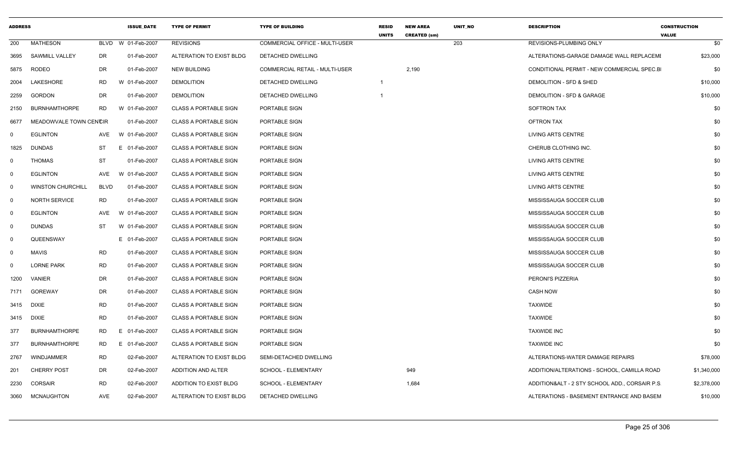| <b>ADDRESS</b> |                          |           | <b>ISSUE DATE</b>  | <b>TYPE OF PERMIT</b>        | <b>TYPE OF BUILDING</b>        | <b>RESID</b><br><b>UNITS</b> | <b>NEW AREA</b><br><b>CREATED (sm)</b> | <b>UNIT NO</b> | <b>DESCRIPTION</b>                             | <b>CONSTRUCTION</b><br><b>VALUE</b> |
|----------------|--------------------------|-----------|--------------------|------------------------------|--------------------------------|------------------------------|----------------------------------------|----------------|------------------------------------------------|-------------------------------------|
| 200            | <b>MATHESON</b>          |           | BLVD W 01-Feb-2007 | <b>REVISIONS</b>             | COMMERCIAL OFFICE - MULTI-USER |                              |                                        | 203            | REVISIONS-PLUMBING ONLY                        | \$0                                 |
|                | 3695 SAWMILL VALLEY      | DR        | 01-Feb-2007        | ALTERATION TO EXIST BLDG     | <b>DETACHED DWELLING</b>       |                              |                                        |                | ALTERATIONS-GARAGE DAMAGE WALL REPLACEME       | \$23,000                            |
|                | 5875 RODEO               | DR        | 01-Feb-2007        | <b>NEW BUILDING</b>          | COMMERCIAL RETAIL - MULTI-USER |                              | 2,190                                  |                | CONDITIONAL PERMIT - NEW COMMERCIAL SPEC.B     | \$0                                 |
| 2004           | LAKESHORE                | RD        | W 01-Feb-2007      | <b>DEMOLITION</b>            | DETACHED DWELLING              |                              |                                        |                | DEMOLITION - SFD & SHED                        | \$10,000                            |
|                | 2259 GORDON              | DR        | 01-Feb-2007        | <b>DEMOLITION</b>            | DETACHED DWELLING              |                              |                                        |                | DEMOLITION - SFD & GARAGE                      | \$10,000                            |
|                | 2150 BURNHAMTHORPE       | RD        | W 01-Feb-2007      | <b>CLASS A PORTABLE SIGN</b> | PORTABLE SIGN                  |                              |                                        |                | <b>SOFTRON TAX</b>                             | \$0                                 |
| 6677           | MEADOWVALE TOWN CENCIR   |           | 01-Feb-2007        | <b>CLASS A PORTABLE SIGN</b> | PORTABLE SIGN                  |                              |                                        |                | <b>OFTRON TAX</b>                              | \$0                                 |
| - 0            | <b>EGLINTON</b>          | AVE       | W 01-Feb-2007      | <b>CLASS A PORTABLE SIGN</b> | PORTABLE SIGN                  |                              |                                        |                | <b>LIVING ARTS CENTRE</b>                      | \$0                                 |
| 1825           | <b>DUNDAS</b>            | ST        | E 01-Feb-2007      | <b>CLASS A PORTABLE SIGN</b> | PORTABLE SIGN                  |                              |                                        |                | CHERUB CLOTHING INC.                           | \$0                                 |
| - 0            | THOMAS                   | ST        | 01-Feb-2007        | <b>CLASS A PORTABLE SIGN</b> | PORTABLE SIGN                  |                              |                                        |                | LIVING ARTS CENTRE                             | \$0                                 |
|                | <b>EGLINTON</b>          | AVE       | W 01-Feb-2007      | CLASS A PORTABLE SIGN        | PORTABLE SIGN                  |                              |                                        |                | LIVING ARTS CENTRE                             | \$0                                 |
| $\Omega$       | <b>WINSTON CHURCHILL</b> | BLVD      | 01-Feb-2007        | <b>CLASS A PORTABLE SIGN</b> | PORTABLE SIGN                  |                              |                                        |                | LIVING ARTS CENTRE                             | \$0                                 |
|                | NORTH SERVICE            | <b>RD</b> | 01-Feb-2007        | <b>CLASS A PORTABLE SIGN</b> | PORTABLE SIGN                  |                              |                                        |                | MISSISSAUGA SOCCER CLUB                        | \$0                                 |
| 0              | <b>EGLINTON</b>          | AVE       | W 01-Feb-2007      | <b>CLASS A PORTABLE SIGN</b> | PORTABLE SIGN                  |                              |                                        |                | MISSISSAUGA SOCCER CLUB                        | \$0                                 |
| - 0            | <b>DUNDAS</b>            | <b>ST</b> | W 01-Feb-2007      | <b>CLASS A PORTABLE SIGN</b> | PORTABLE SIGN                  |                              |                                        |                | MISSISSAUGA SOCCER CLUB                        | \$0                                 |
| - 0            | QUEENSWAY                |           | E 01-Feb-2007      | <b>CLASS A PORTABLE SIGN</b> | PORTABLE SIGN                  |                              |                                        |                | MISSISSAUGA SOCCER CLUB                        | \$0                                 |
|                | <b>MAVIS</b>             | <b>RD</b> | 01-Feb-2007        | <b>CLASS A PORTABLE SIGN</b> | PORTABLE SIGN                  |                              |                                        |                | MISSISSAUGA SOCCER CLUB                        | \$0                                 |
| - 0            | <b>LORNE PARK</b>        | <b>RD</b> | 01-Feb-2007        | <b>CLASS A PORTABLE SIGN</b> | PORTABLE SIGN                  |                              |                                        |                | MISSISSAUGA SOCCER CLUB                        | \$0                                 |
| 1200           | VANIER                   | DR        | 01-Feb-2007        | CLASS A PORTABLE SIGN        | PORTABLE SIGN                  |                              |                                        |                | PERONI'S PIZZERIA                              | \$0                                 |
|                | 7171 GOREWAY             | DR        | 01-Feb-2007        | <b>CLASS A PORTABLE SIGN</b> | PORTABLE SIGN                  |                              |                                        |                | <b>CASH NOW</b>                                | \$0                                 |
| 3415 DIXIE     |                          | <b>RD</b> | 01-Feb-2007        | <b>CLASS A PORTABLE SIGN</b> | PORTABLE SIGN                  |                              |                                        |                | <b>TAXWIDE</b>                                 | \$0                                 |
| 3415 DIXIE     |                          | <b>RD</b> | 01-Feb-2007        | <b>CLASS A PORTABLE SIGN</b> | PORTABLE SIGN                  |                              |                                        |                | <b>TAXWIDE</b>                                 | \$0                                 |
| 377            | <b>BURNHAMTHORPE</b>     | <b>RD</b> | E 01-Feb-2007      | <b>CLASS A PORTABLE SIGN</b> | PORTABLE SIGN                  |                              |                                        |                | <b>TAXWIDE INC</b>                             | \$0                                 |
| 377            | <b>BURNHAMTHORPE</b>     | <b>RD</b> | E 01-Feb-2007      | <b>CLASS A PORTABLE SIGN</b> | PORTABLE SIGN                  |                              |                                        |                | <b>TAXWIDE INC</b>                             | \$0                                 |
| 2767           | WINDJAMMER               | RD        | 02-Feb-2007        | ALTERATION TO EXIST BLDG     | SEMI-DETACHED DWELLING         |                              |                                        |                | ALTERATIONS-WATER DAMAGE REPAIRS               | \$78,000                            |
| 201            | <b>CHERRY POST</b>       | DR        | 02-Feb-2007        | ADDITION AND ALTER           | SCHOOL - ELEMENTARY            |                              | 949                                    |                | ADDITION/ALTERATIONS - SCHOOL, CAMILLA ROAD    | \$1,340,000                         |
| 2230           | CORSAIR                  | <b>RD</b> | 02-Feb-2007        | ADDITION TO EXIST BLDG       | SCHOOL - ELEMENTARY            |                              | 1,684                                  |                | ADDITION&ALT - 2 STY SCHOOL ADD., CORSAIR P.S. | \$2,378,000                         |
|                | 3060 MCNAUGHTON          | AVE       | 02-Feb-2007        | ALTERATION TO EXIST BLDG     | DETACHED DWELLING              |                              |                                        |                | ALTERATIONS - BASEMENT ENTRANCE AND BASEM      | \$10,000                            |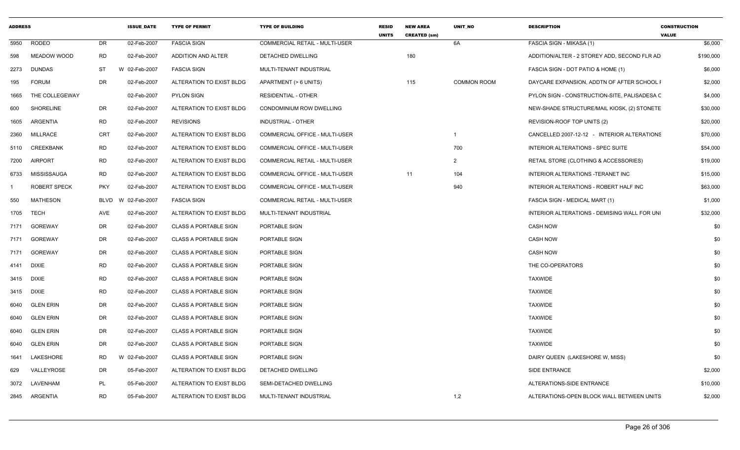| <b>ADDRESS</b> |                     |            | <b>ISSUE DATE</b>  | <b>TYPE OF PERMIT</b>        | <b>TYPE OF BUILDING</b>               | <b>RESID</b><br><b>UNITS</b> | <b>NEW AREA</b><br><b>CREATED (sm)</b> | <b>UNIT NO</b>     | <b>DESCRIPTION</b>                           | <b>CONSTRUCTION</b><br><b>VALUE</b> |
|----------------|---------------------|------------|--------------------|------------------------------|---------------------------------------|------------------------------|----------------------------------------|--------------------|----------------------------------------------|-------------------------------------|
| 5950           | <b>RODEO</b>        | DR         | 02-Feb-2007        | <b>FASCIA SIGN</b>           | <b>COMMERCIAL RETAIL - MULTI-USER</b> |                              |                                        | 6A                 | FASCIA SIGN - MIKASA (1)                     | \$6,000                             |
| 598            | MEADOW WOOD         | <b>RD</b>  | 02-Feb-2007        | ADDITION AND ALTER           | DETACHED DWELLING                     |                              | 180                                    |                    | ADDITION/ALTER - 2 STOREY ADD, SECOND FLR AD | \$190,000                           |
| 2273           | DUNDAS              | ST         | W 02-Feb-2007      | <b>FASCIA SIGN</b>           | MULTI-TENANT INDUSTRIAL               |                              |                                        |                    | FASCIA SIGN - DOT PATIO & HOME (1)           | \$6,000                             |
| 195            | <b>FORUM</b>        | DR         | 02-Feb-2007        | ALTERATION TO EXIST BLDG     | APARTMENT (> 6 UNITS)                 |                              | 115                                    | <b>COMMON ROOM</b> | DAYCARE EXPANSION, ADDTN OF AFTER SCHOOL I   | \$2,000                             |
| 1665           | THE COLLEGEWAY      |            | 02-Feb-2007        | <b>PYLON SIGN</b>            | RESIDENTIAL - OTHER                   |                              |                                        |                    | PYLON SIGN - CONSTRUCTION-SITE, PALISADESA C | \$4,000                             |
| 600            | <b>SHORELINE</b>    | DR         | 02-Feb-2007        | ALTERATION TO EXIST BLDG     | CONDOMINIUM ROW DWELLING              |                              |                                        |                    | NEW-SHADE STRUCTURE/MAIL KIOSK, (2) STONETE  | \$30,000                            |
| 1605           | ARGENTIA            | <b>RD</b>  | 02-Feb-2007        | <b>REVISIONS</b>             | INDUSTRIAL - OTHER                    |                              |                                        |                    | REVISION-ROOF TOP UNITS (2)                  | \$20,000                            |
| 2360           | MILLRACE            | CRT        | 02-Feb-2007        | ALTERATION TO EXIST BLDG     | COMMERCIAL OFFICE - MULTI-USER        |                              |                                        |                    | CANCELLED 2007-12-12 - INTERIOR ALTERATIONS  | \$70,000                            |
| 5110           | CREEKBANK           | RD         | 02-Feb-2007        | ALTERATION TO EXIST BLDG     | COMMERCIAL OFFICE - MULTI-USER        |                              |                                        | 700                | INTERIOR ALTERATIONS - SPEC SUITE            | \$54,000                            |
| 7200           | <b>AIRPORT</b>      | RD         | 02-Feb-2007        | ALTERATION TO EXIST BLDG     | <b>COMMERCIAL RETAIL - MULTI-USER</b> |                              |                                        | $\overline{2}$     | RETAIL STORE (CLOTHING & ACCESSORIES)        | \$19,000                            |
| 6733           | MISSISSAUGA         | RD         | 02-Feb-2007        | ALTERATION TO EXIST BLDG     | COMMERCIAL OFFICE - MULTI-USER        |                              | 11                                     | 104                | INTERIOR ALTERATIONS - TERANET INC           | \$15,000                            |
|                | <b>ROBERT SPECK</b> | <b>PKY</b> | 02-Feb-2007        | ALTERATION TO EXIST BLDG     | COMMERCIAL OFFICE - MULTI-USER        |                              |                                        | 940                | INTERIOR ALTERATIONS - ROBERT HALF INC       | \$63,000                            |
| 550            | MATHESON            |            | BLVD W 02-Feb-2007 | <b>FASCIA SIGN</b>           | COMMERCIAL RETAIL - MULTI-USER        |                              |                                        |                    | FASCIA SIGN - MEDICAL MART (1)               | \$1,000                             |
| 1705           | <b>TECH</b>         | AVE        | 02-Feb-2007        | ALTERATION TO EXIST BLDG     | MULTI-TENANT INDUSTRIAL               |                              |                                        |                    | INTERIOR ALTERATIONS - DEMISING WALL FOR UNI | \$32,000                            |
| 7171           | GOREWAY             | DR         | 02-Feb-2007        | <b>CLASS A PORTABLE SIGN</b> | PORTABLE SIGN                         |                              |                                        |                    | <b>CASH NOW</b>                              | \$0                                 |
| 7171           | GOREWAY             | DR         | 02-Feb-2007        | <b>CLASS A PORTABLE SIGN</b> | PORTABLE SIGN                         |                              |                                        |                    | <b>CASH NOW</b>                              | \$0                                 |
| 7171           | GOREWAY             | DR         | 02-Feb-2007        | <b>CLASS A PORTABLE SIGN</b> | PORTABLE SIGN                         |                              |                                        |                    | <b>CASH NOW</b>                              | \$0                                 |
|                | 4141 DIXIE          | RD         | 02-Feb-2007        | <b>CLASS A PORTABLE SIGN</b> | PORTABLE SIGN                         |                              |                                        |                    | THE CO-OPERATORS                             | \$0                                 |
| 3415           | <b>DIXIE</b>        | RD         | 02-Feb-2007        | <b>CLASS A PORTABLE SIGN</b> | <b>PORTABLE SIGN</b>                  |                              |                                        |                    | <b>TAXWIDE</b>                               | \$0                                 |
|                | 3415 DIXIE          | <b>RD</b>  | 02-Feb-2007        | <b>CLASS A PORTABLE SIGN</b> | PORTABLE SIGN                         |                              |                                        |                    | <b>TAXWIDE</b>                               | \$0                                 |
| 6040           | <b>GLEN ERIN</b>    | DR         | 02-Feb-2007        | <b>CLASS A PORTABLE SIGN</b> | PORTABLE SIGN                         |                              |                                        |                    | <b>TAXWIDE</b>                               | \$0                                 |
| 6040           | <b>GLEN ERIN</b>    | DR         | 02-Feb-2007        | <b>CLASS A PORTABLE SIGN</b> | PORTABLE SIGN                         |                              |                                        |                    | <b>TAXWIDE</b>                               | \$0                                 |
| 6040           | <b>GLEN ERIN</b>    | DR         | 02-Feb-2007        | <b>CLASS A PORTABLE SIGN</b> | PORTABLE SIGN                         |                              |                                        |                    | <b>TAXWIDE</b>                               | \$0                                 |
| 6040           | <b>GLEN ERIN</b>    | DR         | 02-Feb-2007        | <b>CLASS A PORTABLE SIGN</b> | PORTABLE SIGN                         |                              |                                        |                    | <b>TAXWIDE</b>                               | \$0                                 |
| 1641           | LAKESHORE           | RD         | 02-Feb-2007        | <b>CLASS A PORTABLE SIGN</b> | PORTABLE SIGN                         |                              |                                        |                    | DAIRY QUEEN (LAKESHORE W, MISS)              | \$0                                 |
| 629            | VALLEYROSE          | DR         | 05-Feb-2007        | ALTERATION TO EXIST BLDG     | DETACHED DWELLING                     |                              |                                        |                    | SIDE ENTRANCE                                | \$2,000                             |
| 3072           | LAVENHAM            | PL         | 05-Feb-2007        | ALTERATION TO EXIST BLDG     | SEMI-DETACHED DWELLING                |                              |                                        |                    | ALTERATIONS-SIDE ENTRANCE                    | \$10,000                            |
|                | 2845 ARGENTIA       | <b>RD</b>  | 05-Feb-2007        | ALTERATION TO EXIST BLDG     | MULTI-TENANT INDUSTRIAL               |                              |                                        | 1,2                | ALTERATIONS-OPEN BLOCK WALL BETWEEN UNITS    | \$2,000                             |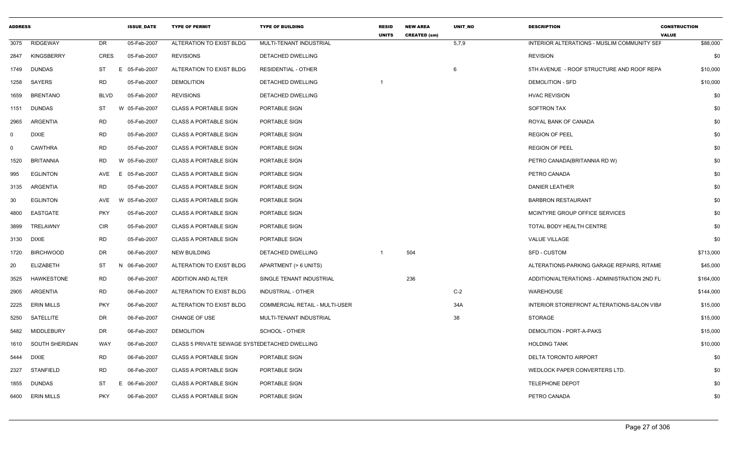| <b>ADDRESS</b> |                   |                | <b>ISSUE DATE</b> | <b>TYPE OF PERMIT</b>                         | <b>TYPE OF BUILDING</b>        | <b>RESID</b><br><b>UNITS</b> | <b>NEW AREA</b><br><b>CREATED (sm)</b> | UNIT NO | <b>DESCRIPTION</b>                           | <b>CONSTRUCTION</b><br><b>VALUE</b> |
|----------------|-------------------|----------------|-------------------|-----------------------------------------------|--------------------------------|------------------------------|----------------------------------------|---------|----------------------------------------------|-------------------------------------|
| 3075           | RIDGEWAY          | DR             | 05-Feb-2007       | ALTERATION TO EXIST BLDG                      | MULTI-TENANT INDUSTRIAL        |                              |                                        | 5,7,9   | INTERIOR ALTERATIONS - MUSLIM COMMUNITY SEF  | \$88,000                            |
| 2847           | KINGSBERRY        | CRES           | 05-Feb-2007       | <b>REVISIONS</b>                              | DETACHED DWELLING              |                              |                                        |         | <b>REVISION</b>                              | \$0                                 |
| 1749           | <b>DUNDAS</b>     | ST<br>E        | 05-Feb-2007       | ALTERATION TO EXIST BLDG                      | <b>RESIDENTIAL - OTHER</b>     |                              |                                        | 6       | 5TH AVENUE - ROOF STRUCTURE AND ROOF REPA    | \$10,000                            |
| 1258           | SAYERS            | RD             | 05-Feb-2007       | <b>DEMOLITION</b>                             | DETACHED DWELLING              |                              |                                        |         | <b>DEMOLITION - SFD</b>                      | \$10,000                            |
| 1659           | <b>BRENTANO</b>   | <b>BLVD</b>    | 05-Feb-2007       | <b>REVISIONS</b>                              | <b>DETACHED DWELLING</b>       |                              |                                        |         | <b>HVAC REVISION</b>                         | \$0                                 |
| 1151           | <b>DUNDAS</b>     | <b>ST</b>      | W 05-Feb-2007     | <b>CLASS A PORTABLE SIGN</b>                  | PORTABLE SIGN                  |                              |                                        |         | <b>SOFTRON TAX</b>                           | \$0                                 |
| 2965           | ARGENTIA          | RD             | 05-Feb-2007       | <b>CLASS A PORTABLE SIGN</b>                  | PORTABLE SIGN                  |                              |                                        |         | ROYAL BANK OF CANADA                         | \$0                                 |
| 0              | <b>DIXIE</b>      | <b>RD</b>      | 05-Feb-2007       | <b>CLASS A PORTABLE SIGN</b>                  | PORTABLE SIGN                  |                              |                                        |         | <b>REGION OF PEEL</b>                        | \$0                                 |
| $\Omega$       | <b>CAWTHRA</b>    | <b>RD</b>      | 05-Feb-2007       | <b>CLASS A PORTABLE SIGN</b>                  | PORTABLE SIGN                  |                              |                                        |         | <b>REGION OF PEEL</b>                        | \$0                                 |
| 1520           | <b>BRITANNIA</b>  | <b>RD</b><br>W | 05-Feb-2007       | <b>CLASS A PORTABLE SIGN</b>                  | PORTABLE SIGN                  |                              |                                        |         | PETRO CANADA(BRITANNIA RD W)                 | \$0                                 |
| 995            | <b>EGLINTON</b>   | AVE<br>E       | 05-Feb-2007       | <b>CLASS A PORTABLE SIGN</b>                  | PORTABLE SIGN                  |                              |                                        |         | PETRO CANADA                                 | \$0                                 |
| 3135           | ARGENTIA          | <b>RD</b>      | 05-Feb-2007       | <b>CLASS A PORTABLE SIGN</b>                  | PORTABLE SIGN                  |                              |                                        |         | <b>DANIER LEATHER</b>                        | \$0                                 |
| 30             | <b>EGLINTON</b>   | AVE<br>W       | 05-Feb-2007       | <b>CLASS A PORTABLE SIGN</b>                  | PORTABLE SIGN                  |                              |                                        |         | <b>BARBRON RESTAURANT</b>                    | \$0                                 |
| 4800           | EASTGATE          | <b>PKY</b>     | 05-Feb-2007       | <b>CLASS A PORTABLE SIGN</b>                  | PORTABLE SIGN                  |                              |                                        |         | MCINTYRE GROUP OFFICE SERVICES               | \$0                                 |
| 3899           | TRELAWNY          | <b>CIR</b>     | 05-Feb-2007       | CLASS A PORTABLE SIGN                         | PORTABLE SIGN                  |                              |                                        |         | TOTAL BODY HEALTH CENTRE                     | \$0                                 |
| 3130           | DIXIE             | <b>RD</b>      | 05-Feb-2007       | <b>CLASS A PORTABLE SIGN</b>                  | PORTABLE SIGN                  |                              |                                        |         | <b>VALUE VILLAGE</b>                         | \$0                                 |
| 1720           | <b>BIRCHWOOD</b>  | DR             | 06-Feb-2007       | <b>NEW BUILDING</b>                           | DETACHED DWELLING              |                              | 504                                    |         | <b>SFD - CUSTOM</b>                          | \$713,000                           |
| 20             | <b>ELIZABETH</b>  | ST             | 06-Feb-2007       | ALTERATION TO EXIST BLDG                      | APARTMENT (> 6 UNITS)          |                              |                                        |         | ALTERATIONS-PARKING GARAGE REPAIRS, RITAME   | \$45,000                            |
| 3525           | HAWKESTONE        | <b>RD</b>      | 06-Feb-2007       | <b>ADDITION AND ALTER</b>                     | SINGLE TENANT INDUSTRIAL       |                              | 236                                    |         | ADDITION/ALTERATIONS - ADMINISTRATION 2ND FL | \$164,000                           |
| 2905           | ARGENTIA          | <b>RD</b>      | 06-Feb-2007       | ALTERATION TO EXIST BLDG                      | <b>INDUSTRIAL - OTHER</b>      |                              |                                        | $C-2$   | WAREHOUSE                                    | \$144,000                           |
| 2225           | <b>ERIN MILLS</b> | <b>PKY</b>     | 06-Feb-2007       | ALTERATION TO EXIST BLDG                      | COMMERCIAL RETAIL - MULTI-USER |                              |                                        | 34A     | INTERIOR STOREFRONT ALTERATIONS-SALON VIBA   | \$15,000                            |
| 5250           | SATELLITE         | DR             | 06-Feb-2007       | CHANGE OF USE                                 | MULTI-TENANT INDUSTRIAL        |                              |                                        | 38      | STORAGE                                      | \$15,000                            |
| 5482           | MIDDLEBURY        | DR             | 06-Feb-2007       | <b>DEMOLITION</b>                             | SCHOOL - OTHER                 |                              |                                        |         | DEMOLITION - PORT-A-PAKS                     | \$15,000                            |
| 1610           | SOUTH SHERIDAN    | WAY            | 06-Feb-2007       | CLASS 5 PRIVATE SEWAGE SYSTEDETACHED DWELLING |                                |                              |                                        |         | <b>HOLDING TANK</b>                          | \$10,000                            |
| 5444           | DIXIE             | RD             | 06-Feb-2007       | <b>CLASS A PORTABLE SIGN</b>                  | PORTABLE SIGN                  |                              |                                        |         | DELTA TORONTO AIRPORT                        | \$0                                 |
| 2327           | <b>STANFIELD</b>  | <b>RD</b>      | 06-Feb-2007       | <b>CLASS A PORTABLE SIGN</b>                  | PORTABLE SIGN                  |                              |                                        |         | WEDLOCK PAPER CONVERTERS LTD.                | \$0                                 |
| 1855           | DUNDAS            | ST             | 06-Feb-2007       | <b>CLASS A PORTABLE SIGN</b>                  | PORTABLE SIGN                  |                              |                                        |         | <b>TELEPHONE DEPOT</b>                       | \$0                                 |
| 6400           | <b>ERIN MILLS</b> | <b>PKY</b>     | 06-Feb-2007       | <b>CLASS A PORTABLE SIGN</b>                  | PORTABLE SIGN                  |                              |                                        |         | PETRO CANADA                                 | \$0                                 |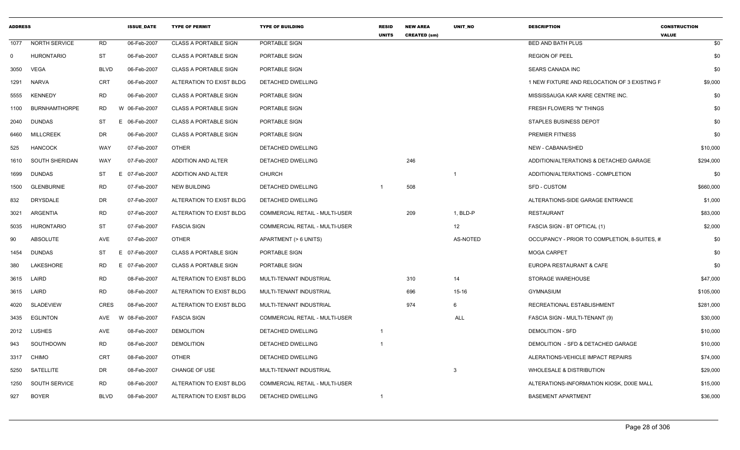| <b>ADDRESS</b> |                      |             | <b>ISSUE DATE</b> | <b>TYPE OF PERMIT</b>        | <b>TYPE OF BUILDING</b>        | <b>RESID</b><br><b>UNITS</b> | <b>NEW AREA</b><br><b>CREATED (sm)</b> | UNIT NO                 | <b>DESCRIPTION</b>                           | <b>CONSTRUCTION</b><br><b>VALUE</b> |
|----------------|----------------------|-------------|-------------------|------------------------------|--------------------------------|------------------------------|----------------------------------------|-------------------------|----------------------------------------------|-------------------------------------|
| 1077           | <b>NORTH SERVICE</b> | RD          | 06-Feb-2007       | <b>CLASS A PORTABLE SIGN</b> | PORTABLE SIGN                  |                              |                                        |                         | <b>BED AND BATH PLUS</b>                     | \$0                                 |
| $\mathbf{0}$   | HURONTARIO           | ST          | 06-Feb-2007       | <b>CLASS A PORTABLE SIGN</b> | PORTABLE SIGN                  |                              |                                        |                         | <b>REGION OF PEEL</b>                        | \$0                                 |
| 3050           | VEGA                 | <b>BLVD</b> | 06-Feb-2007       | <b>CLASS A PORTABLE SIGN</b> | PORTABLE SIGN                  |                              |                                        |                         | SEARS CANADA INC                             | \$0                                 |
|                | 1291 NARVA           | <b>CRT</b>  | 06-Feb-2007       | ALTERATION TO EXIST BLDG     | DETACHED DWELLING              |                              |                                        |                         | 1 NEW FIXTURE AND RELOCATION OF 3 EXISTING F | \$9,000                             |
| 5555           | <b>KENNEDY</b>       | <b>RD</b>   | 06-Feb-2007       | <b>CLASS A PORTABLE SIGN</b> | PORTABLE SIGN                  |                              |                                        |                         | MISSISSAUGA KAR KARE CENTRE INC.             | \$0                                 |
| 1100           | <b>BURNHAMTHORPE</b> | <b>RD</b>   | W 06-Feb-2007     | <b>CLASS A PORTABLE SIGN</b> | PORTABLE SIGN                  |                              |                                        |                         | FRESH FLOWERS "N" THINGS                     | \$0                                 |
| 2040           | <b>DUNDAS</b>        | ST          | 06-Feb-2007<br>E. | <b>CLASS A PORTABLE SIGN</b> | PORTABLE SIGN                  |                              |                                        |                         | <b>STAPLES BUSINESS DEPOT</b>                | \$0                                 |
| 6460           | <b>MILLCREEK</b>     | DR          | 06-Feb-2007       | <b>CLASS A PORTABLE SIGN</b> | PORTABLE SIGN                  |                              |                                        |                         | <b>PREMIER FITNESS</b>                       | \$0                                 |
| 525            | <b>HANCOCK</b>       | WAY         | 07-Feb-2007       | <b>OTHER</b>                 | DETACHED DWELLING              |                              |                                        |                         | NEW - CABANA/SHED                            | \$10,000                            |
| 1610           | SOUTH SHERIDAN       | <b>WAY</b>  | 07-Feb-2007       | ADDITION AND ALTER           | DETACHED DWELLING              |                              | 246                                    |                         | ADDITION/ALTERATIONS & DETACHED GARAGE       | \$294,000                           |
| 1699           | <b>DUNDAS</b>        | ST          | E<br>07-Feb-2007  | ADDITION AND ALTER           | <b>CHURCH</b>                  |                              |                                        | $\overline{\mathbf{1}}$ | ADDITION/ALTERATIONS - COMPLETION            | \$0                                 |
| 1500           | <b>GLENBURNIE</b>    | <b>RD</b>   | 07-Feb-2007       | <b>NEW BUILDING</b>          | <b>DETACHED DWELLING</b>       |                              | 508                                    |                         | <b>SFD - CUSTOM</b>                          | \$660,000                           |
| 832            | DRYSDALE             | DR          | 07-Feb-2007       | ALTERATION TO EXIST BLDG     | DETACHED DWELLING              |                              |                                        |                         | ALTERATIONS-SIDE GARAGE ENTRANCE             | \$1,000                             |
| 3021           | ARGENTIA             | <b>RD</b>   | 07-Feb-2007       | ALTERATION TO EXIST BLDG     | COMMERCIAL RETAIL - MULTI-USER |                              | 209                                    | 1, BLD-P                | RESTAURANT                                   | \$83,000                            |
| 5035           | <b>HURONTARIO</b>    | <b>ST</b>   | 07-Feb-2007       | <b>FASCIA SIGN</b>           | COMMERCIAL RETAIL - MULTI-USER |                              |                                        | 12                      | FASCIA SIGN - BT OPTICAL (1)                 | \$2,000                             |
| 90             | ABSOLUTE             | AVE         | 07-Feb-2007       | <b>OTHER</b>                 | APARTMENT (> 6 UNITS)          |                              |                                        | AS-NOTED                | OCCUPANCY - PRIOR TO COMPLETION, 8-SUITES, # | \$0                                 |
| 1454           | DUNDAS               | ST          | E.<br>07-Feb-2007 | <b>CLASS A PORTABLE SIGN</b> | PORTABLE SIGN                  |                              |                                        |                         | <b>MOGA CARPET</b>                           | \$0                                 |
| 380            | LAKESHORE            | RD          | 07-Feb-2007<br>E. | <b>CLASS A PORTABLE SIGN</b> | PORTABLE SIGN                  |                              |                                        |                         | EUROPA RESTAURANT & CAFE                     | \$0                                 |
|                | 3615 LAIRD           | <b>RD</b>   | 08-Feb-2007       | ALTERATION TO EXIST BLDG     | MULTI-TENANT INDUSTRIAL        |                              | 310                                    | 14                      | STORAGE WAREHOUSE                            | \$47,000                            |
|                | 3615 LAIRD           | <b>RD</b>   | 08-Feb-2007       | ALTERATION TO EXIST BLDG     | MULTI-TENANT INDUSTRIAL        |                              | 696                                    | $15-16$                 | <b>GYMNASIUM</b>                             | \$105,000                           |
| 4020           | SLADEVIEW            | <b>CRES</b> | 08-Feb-2007       | ALTERATION TO EXIST BLDG     | MULTI-TENANT INDUSTRIAL        |                              | 974                                    | 6                       | RECREATIONAL ESTABLISHMENT                   | \$281,000                           |
| 3435           | EGLINTON             | AVE         | 08-Feb-2007<br>W  | <b>FASCIA SIGN</b>           | COMMERCIAL RETAIL - MULTI-USER |                              |                                        | ALL                     | FASCIA SIGN - MULTI-TENANT (9)               | \$30,000                            |
|                | 2012 LUSHES          | AVE         | 08-Feb-2007       | <b>DEMOLITION</b>            | DETACHED DWELLING              | $\mathbf 1$                  |                                        |                         | <b>DEMOLITION - SFD</b>                      | \$10,000                            |
| 943            | SOUTHDOWN            | RD          | 08-Feb-2007       | <b>DEMOLITION</b>            | DETACHED DWELLING              |                              |                                        |                         | DEMOLITION - SFD & DETACHED GARAGE           | \$10,000                            |
| 3317           | CHIMO                | <b>CRT</b>  | 08-Feb-2007       | <b>OTHER</b>                 | DETACHED DWELLING              |                              |                                        |                         | ALERATIONS-VEHICLE IMPACT REPAIRS            | \$74,000                            |
| 5250           | SATELLITE            | DR          | 08-Feb-2007       | CHANGE OF USE                | MULTI-TENANT INDUSTRIAL        |                              |                                        | 3                       | <b>WHOLESALE &amp; DISTRIBUTION</b>          | \$29,000                            |
| 1250           | <b>SOUTH SERVICE</b> | <b>RD</b>   | 08-Feb-2007       | ALTERATION TO EXIST BLDG     | COMMERCIAL RETAIL - MULTI-USER |                              |                                        |                         | ALTERATIONS-INFORMATION KIOSK, DIXIE MALL    | \$15,000                            |
| 927            | <b>BOYER</b>         | <b>BLVD</b> | 08-Feb-2007       | ALTERATION TO EXIST BLDG     | DETACHED DWELLING              | $\mathbf 1$                  |                                        |                         | <b>BASEMENT APARTMENT</b>                    | \$36,000                            |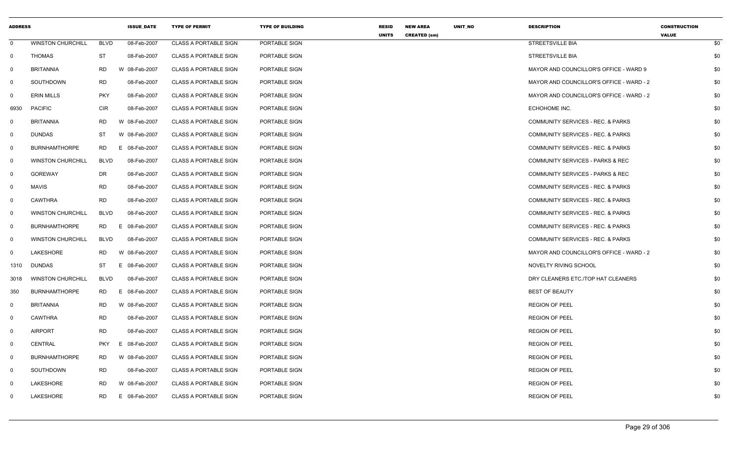| <b>ADDRESS</b> |                          |             | <b>ISSUE_DATE</b> | <b>TYPE OF PERMIT</b>        | <b>TYPE OF BUILDING</b> | <b>RESID</b><br><b>UNITS</b> | <b>NEW AREA</b><br><b>CREATED (sm)</b> | UNIT_NO | <b>DESCRIPTION</b>                           | <b>CONSTRUCTION</b><br><b>VALUE</b> |     |
|----------------|--------------------------|-------------|-------------------|------------------------------|-------------------------|------------------------------|----------------------------------------|---------|----------------------------------------------|-------------------------------------|-----|
| $\mathbf 0$    | <b>WINSTON CHURCHILL</b> | <b>BLVD</b> | 08-Feb-2007       | <b>CLASS A PORTABLE SIGN</b> | PORTABLE SIGN           |                              |                                        |         | <b>STREETSVILLE BIA</b>                      |                                     | \$0 |
| $\mathbf 0$    | THOMAS                   | <b>ST</b>   | 08-Feb-2007       | <b>CLASS A PORTABLE SIGN</b> | PORTABLE SIGN           |                              |                                        |         | STREETSVILLE BIA                             |                                     | \$0 |
| 0              | <b>BRITANNIA</b>         | RD          | W 08-Feb-2007     | <b>CLASS A PORTABLE SIGN</b> | PORTABLE SIGN           |                              |                                        |         | MAYOR AND COUNCILLOR'S OFFICE - WARD 9       |                                     | \$0 |
| 0              | SOUTHDOWN                | RD          | 08-Feb-2007       | <b>CLASS A PORTABLE SIGN</b> | PORTABLE SIGN           |                              |                                        |         | MAYOR AND COUNCILLOR'S OFFICE - WARD - 2     |                                     | \$0 |
| 0              | <b>ERIN MILLS</b>        | <b>PKY</b>  | 08-Feb-2007       | <b>CLASS A PORTABLE SIGN</b> | PORTABLE SIGN           |                              |                                        |         | MAYOR AND COUNCILLOR'S OFFICE - WARD - 2     |                                     | \$0 |
| 6930           | <b>PACIFIC</b>           | <b>CIR</b>  | 08-Feb-2007       | <b>CLASS A PORTABLE SIGN</b> | PORTABLE SIGN           |                              |                                        |         | ECHOHOME INC.                                |                                     | \$0 |
| $\Omega$       | <b>BRITANNIA</b>         | RD          | W 08-Feb-2007     | <b>CLASS A PORTABLE SIGN</b> | PORTABLE SIGN           |                              |                                        |         | COMMUNITY SERVICES - REC. & PARKS            |                                     | \$0 |
| 0              | DUNDAS                   | ST          | W 08-Feb-2007     | <b>CLASS A PORTABLE SIGN</b> | PORTABLE SIGN           |                              |                                        |         | COMMUNITY SERVICES - REC. & PARKS            |                                     | \$0 |
| $\mathbf{0}$   | <b>BURNHAMTHORPE</b>     | RD          | E 08-Feb-2007     | <b>CLASS A PORTABLE SIGN</b> | PORTABLE SIGN           |                              |                                        |         | COMMUNITY SERVICES - REC. & PARKS            |                                     | \$0 |
| 0              | <b>WINSTON CHURCHILL</b> | <b>BLVD</b> | 08-Feb-2007       | <b>CLASS A PORTABLE SIGN</b> | PORTABLE SIGN           |                              |                                        |         | COMMUNITY SERVICES - PARKS & REC             |                                     | \$0 |
| $\Omega$       | GOREWAY                  | DR          | 08-Feb-2007       | <b>CLASS A PORTABLE SIGN</b> | PORTABLE SIGN           |                              |                                        |         | COMMUNITY SERVICES - PARKS & REC             |                                     | \$0 |
| 0              | <b>MAVIS</b>             | RD          | 08-Feb-2007       | <b>CLASS A PORTABLE SIGN</b> | PORTABLE SIGN           |                              |                                        |         | COMMUNITY SERVICES - REC. & PARKS            |                                     | \$0 |
| $\mathbf 0$    | <b>CAWTHRA</b>           | <b>RD</b>   | 08-Feb-2007       | <b>CLASS A PORTABLE SIGN</b> | PORTABLE SIGN           |                              |                                        |         | COMMUNITY SERVICES - REC. & PARKS            |                                     | \$0 |
| 0              | <b>WINSTON CHURCHILL</b> | <b>BLVD</b> | 08-Feb-2007       | <b>CLASS A PORTABLE SIGN</b> | PORTABLE SIGN           |                              |                                        |         | COMMUNITY SERVICES - REC. & PARKS            |                                     | \$0 |
| 0              | <b>BURNHAMTHORPE</b>     | RD          | E 08-Feb-2007     | <b>CLASS A PORTABLE SIGN</b> | PORTABLE SIGN           |                              |                                        |         | <b>COMMUNITY SERVICES - REC. &amp; PARKS</b> |                                     | \$0 |
| $\mathbf 0$    | <b>WINSTON CHURCHILL</b> | <b>BLVD</b> | 08-Feb-2007       | <b>CLASS A PORTABLE SIGN</b> | PORTABLE SIGN           |                              |                                        |         | COMMUNITY SERVICES - REC. & PARKS            |                                     | \$0 |
| $\Omega$       | LAKESHORE                | RD          | W 08-Feb-2007     | <b>CLASS A PORTABLE SIGN</b> | PORTABLE SIGN           |                              |                                        |         | MAYOR AND COUNCILLOR'S OFFICE - WARD - 2     |                                     | \$0 |
| 1310           | <b>DUNDAS</b>            | <b>ST</b>   | E 08-Feb-2007     | <b>CLASS A PORTABLE SIGN</b> | PORTABLE SIGN           |                              |                                        |         | NOVELTY RIVING SCHOOL                        |                                     | \$0 |
| 3018           | <b>WINSTON CHURCHILL</b> | <b>BLVD</b> | 08-Feb-2007       | <b>CLASS A PORTABLE SIGN</b> | PORTABLE SIGN           |                              |                                        |         | DRY CLEANERS ETC./TOP HAT CLEANERS           |                                     | \$0 |
| 350            | <b>BURNHAMTHORPE</b>     | <b>RD</b>   | E 08-Feb-2007     | <b>CLASS A PORTABLE SIGN</b> | PORTABLE SIGN           |                              |                                        |         | <b>BEST OF BEAUTY</b>                        |                                     | \$0 |
| 0              | <b>BRITANNIA</b>         | RD          | W 08-Feb-2007     | <b>CLASS A PORTABLE SIGN</b> | PORTABLE SIGN           |                              |                                        |         | <b>REGION OF PEEL</b>                        |                                     | \$0 |
| $\Omega$       | <b>CAWTHRA</b>           | <b>RD</b>   | 08-Feb-2007       | <b>CLASS A PORTABLE SIGN</b> | PORTABLE SIGN           |                              |                                        |         | <b>REGION OF PEEL</b>                        |                                     | \$0 |
| 0              | <b>AIRPORT</b>           | RD          | 08-Feb-2007       | <b>CLASS A PORTABLE SIGN</b> | PORTABLE SIGN           |                              |                                        |         | <b>REGION OF PEEL</b>                        |                                     | \$0 |
| 0              | <b>CENTRAL</b>           | <b>PKY</b>  | E 08-Feb-2007     | <b>CLASS A PORTABLE SIGN</b> | PORTABLE SIGN           |                              |                                        |         | <b>REGION OF PEEL</b>                        |                                     | \$0 |
| 0              | <b>BURNHAMTHORPE</b>     | RD          | W 08-Feb-2007     | <b>CLASS A PORTABLE SIGN</b> | PORTABLE SIGN           |                              |                                        |         | <b>REGION OF PEEL</b>                        |                                     | \$0 |
| $\Omega$       | SOUTHDOWN                | <b>RD</b>   | 08-Feb-2007       | <b>CLASS A PORTABLE SIGN</b> | PORTABLE SIGN           |                              |                                        |         | <b>REGION OF PEEL</b>                        |                                     | \$0 |
| $\Omega$       | LAKESHORE                | <b>RD</b>   | W 08-Feb-2007     | <b>CLASS A PORTABLE SIGN</b> | PORTABLE SIGN           |                              |                                        |         | <b>REGION OF PEEL</b>                        |                                     | \$0 |
| $\Omega$       | LAKESHORE                | RD.         | E 08-Feb-2007     | <b>CLASS A PORTABLE SIGN</b> | PORTABLE SIGN           |                              |                                        |         | <b>REGION OF PEEL</b>                        |                                     | \$0 |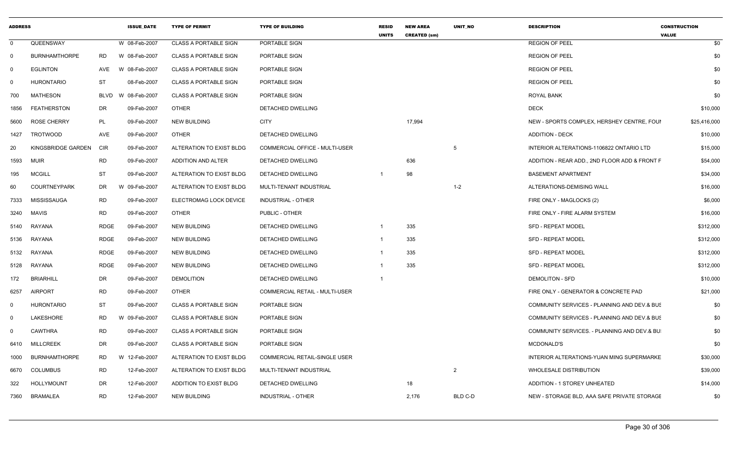| <b>ADDRESS</b> |                      |             | <b>ISSUE DATE</b> | <b>TYPE OF PERMIT</b>        | <b>TYPE OF BUILDING</b>        | <b>RESID</b><br><b>UNITS</b> | <b>NEW AREA</b><br><b>CREATED (sm)</b> | <b>UNIT NO</b> | <b>DESCRIPTION</b>                            | <b>CONSTRUCTION</b><br><b>VALUE</b> |
|----------------|----------------------|-------------|-------------------|------------------------------|--------------------------------|------------------------------|----------------------------------------|----------------|-----------------------------------------------|-------------------------------------|
| $\mathbf 0$    | QUEENSWAY            |             | W 08-Feb-2007     | <b>CLASS A PORTABLE SIGN</b> | PORTABLE SIGN                  |                              |                                        |                | <b>REGION OF PEEL</b>                         | \$0                                 |
| 0              | <b>BURNHAMTHORPE</b> | <b>RD</b>   | W 08-Feb-2007     | <b>CLASS A PORTABLE SIGN</b> | PORTABLE SIGN                  |                              |                                        |                | <b>REGION OF PEEL</b>                         | \$0                                 |
| 0              | <b>EGLINTON</b>      | AVE         | W 08-Feb-2007     | <b>CLASS A PORTABLE SIGN</b> | PORTABLE SIGN                  |                              |                                        |                | <b>REGION OF PEEL</b>                         | \$0                                 |
| 0              | <b>HURONTARIO</b>    | ST          | 08-Feb-2007       | <b>CLASS A PORTABLE SIGN</b> | PORTABLE SIGN                  |                              |                                        |                | <b>REGION OF PEEL</b>                         | \$0                                 |
| 700            | <b>MATHESON</b>      | <b>BLVD</b> | 08-Feb-2007<br>W  | <b>CLASS A PORTABLE SIGN</b> | PORTABLE SIGN                  |                              |                                        |                | ROYAL BANK                                    | \$0                                 |
| 1856           | <b>FEATHERSTON</b>   | DR          | 09-Feb-2007       | <b>OTHER</b>                 | DETACHED DWELLING              |                              |                                        |                | <b>DECK</b>                                   | \$10,000                            |
| 5600           | <b>ROSE CHERRY</b>   | PL          | 09-Feb-2007       | <b>NEW BUILDING</b>          | <b>CITY</b>                    |                              | 17,994                                 |                | NEW - SPORTS COMPLEX, HERSHEY CENTRE, FOUL    | \$25,416,000                        |
| 1427           | <b>TROTWOOD</b>      | AVE         | 09-Feb-2007       | <b>OTHER</b>                 | DETACHED DWELLING              |                              |                                        |                | <b>ADDITION - DECK</b>                        | \$10,000                            |
| 20             | KINGSBRIDGE GARDEN   | <b>CIR</b>  | 09-Feb-2007       | ALTERATION TO EXIST BLDG     | COMMERCIAL OFFICE - MULTI-USER |                              |                                        | 5              | INTERIOR ALTERATIONS-1106822 ONTARIO LTD      | \$15,000                            |
| 1593           | <b>MUIR</b>          | <b>RD</b>   | 09-Feb-2007       | ADDITION AND ALTER           | DETACHED DWELLING              |                              | 636                                    |                | ADDITION - REAR ADD., 2ND FLOOR ADD & FRONT F | \$54,000                            |
| 195            | <b>MCGILL</b>        | <b>ST</b>   | 09-Feb-2007       | ALTERATION TO EXIST BLDG     | DETACHED DWELLING              |                              | 98                                     |                | <b>BASEMENT APARTMENT</b>                     | \$34,000                            |
| 60             | <b>COURTNEYPARK</b>  | DR          | 09-Feb-2007<br>W  | ALTERATION TO EXIST BLDG     | MULTI-TENANT INDUSTRIAL        |                              |                                        | $1 - 2$        | ALTERATIONS-DEMISING WALL                     | \$16,000                            |
| 7333           | MISSISSAUGA          | <b>RD</b>   | 09-Feb-2007       | ELECTROMAG LOCK DEVICE       | <b>INDUSTRIAL - OTHER</b>      |                              |                                        |                | FIRE ONLY - MAGLOCKS (2)                      | \$6,000                             |
| 3240           | <b>MAVIS</b>         | <b>RD</b>   | 09-Feb-2007       | <b>OTHER</b>                 | PUBLIC - OTHER                 |                              |                                        |                | FIRE ONLY - FIRE ALARM SYSTEM                 | \$16,000                            |
| 5140           | RAYANA               | <b>RDGE</b> | 09-Feb-2007       | <b>NEW BUILDING</b>          | DETACHED DWELLING              | $\overline{1}$               | 335                                    |                | <b>SFD - REPEAT MODEL</b>                     | \$312,000                           |
| 5136           | <b>RAYANA</b>        | <b>RDGE</b> | 09-Feb-2007       | <b>NEW BUILDING</b>          | DETACHED DWELLING              | $\overline{1}$               | 335                                    |                | <b>SFD - REPEAT MODEL</b>                     | \$312,000                           |
| 5132           | <b>RAYANA</b>        | <b>RDGE</b> | 09-Feb-2007       | <b>NEW BUILDING</b>          | DETACHED DWELLING              | -1                           | 335                                    |                | <b>SFD - REPEAT MODEL</b>                     | \$312,000                           |
| 5128           | RAYANA               | <b>RDGE</b> | 09-Feb-2007       | <b>NEW BUILDING</b>          | DETACHED DWELLING              |                              | 335                                    |                | <b>SFD - REPEAT MODEL</b>                     | \$312,000                           |
| 172            | <b>BRIARHILL</b>     | DR          | 09-Feb-2007       | <b>DEMOLITION</b>            | DETACHED DWELLING              | $\overline{1}$               |                                        |                | <b>DEMOLITON - SFD</b>                        | \$10,000                            |
| 6257           | <b>AIRPORT</b>       | <b>RD</b>   | 09-Feb-2007       | <b>OTHER</b>                 | COMMERCIAL RETAIL - MULTI-USER |                              |                                        |                | FIRE ONLY - GENERATOR & CONCRETE PAD          | \$21,000                            |
| 0              | <b>HURONTARIO</b>    | <b>ST</b>   | 09-Feb-2007       | <b>CLASS A PORTABLE SIGN</b> | PORTABLE SIGN                  |                              |                                        |                | COMMUNITY SERVICES - PLANNING AND DEV.& BUS   | \$0                                 |
| 0              | LAKESHORE            | <b>RD</b>   | 09-Feb-2007<br>W  | <b>CLASS A PORTABLE SIGN</b> | PORTABLE SIGN                  |                              |                                        |                | COMMUNITY SERVICES - PLANNING AND DEV & BUS   | \$0                                 |
| 0              | <b>CAWTHRA</b>       | <b>RD</b>   | 09-Feb-2007       | <b>CLASS A PORTABLE SIGN</b> | PORTABLE SIGN                  |                              |                                        |                | COMMUNITY SERVICES. - PLANNING AND DEV.& BU   | \$0                                 |
| 6410           | <b>MILLCREEK</b>     | <b>DR</b>   | 09-Feb-2007       | <b>CLASS A PORTABLE SIGN</b> | PORTABLE SIGN                  |                              |                                        |                | <b>MCDONALD'S</b>                             | \$0                                 |
| 1000           | <b>BURNHAMTHORPE</b> | <b>RD</b>   | 12-Feb-2007<br>W  | ALTERATION TO EXIST BLDG     | COMMERCIAL RETAIL-SINGLE USER  |                              |                                        |                | INTERIOR ALTERATIONS-YUAN MING SUPERMARKE     | \$30,000                            |
| 6670           | <b>COLUMBUS</b>      | <b>RD</b>   | 12-Feb-2007       | ALTERATION TO EXIST BLDG     | MULTI-TENANT INDUSTRIAL        |                              |                                        | $\overline{2}$ | WHOLESALE DISTRIBUTION                        | \$39,000                            |
| 322            | <b>HOLLYMOUNT</b>    | <b>DR</b>   | 12-Feb-2007       | ADDITION TO EXIST BLDG       | DETACHED DWELLING              |                              | 18                                     |                | ADDITION - 1 STOREY UNHEATED                  | \$14,000                            |
| 7360           | <b>BRAMALEA</b>      | <b>RD</b>   | 12-Feb-2007       | <b>NEW BUILDING</b>          | <b>INDUSTRIAL - OTHER</b>      |                              | 2,176                                  | BLD C-D        | NEW - STORAGE BLD, AAA SAFE PRIVATE STORAGE   | \$0                                 |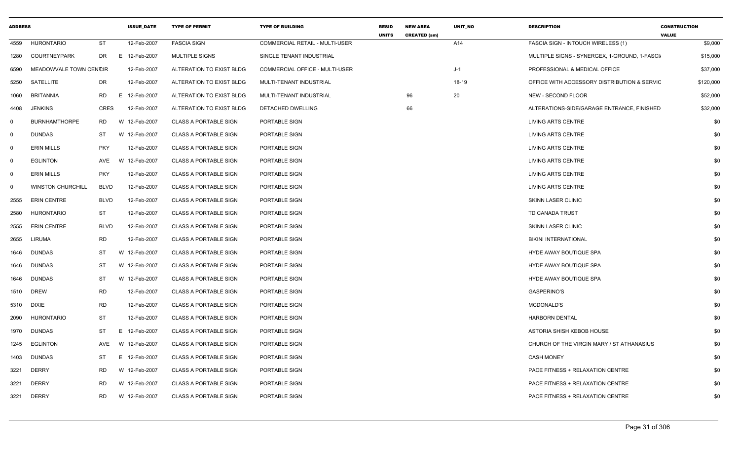| <b>ADDRESS</b> |                          |             | <b>ISSUE DATE</b> | <b>TYPE OF PERMIT</b>        | <b>TYPE OF BUILDING</b>               | <b>RESID</b><br><b>UNITS</b> | <b>NEW AREA</b><br><b>CREATED (sm)</b> | <b>UNIT NO</b> | <b>DESCRIPTION</b>                            | <b>CONSTRUCTION</b><br><b>VALUE</b> |
|----------------|--------------------------|-------------|-------------------|------------------------------|---------------------------------------|------------------------------|----------------------------------------|----------------|-----------------------------------------------|-------------------------------------|
| 4559           | <b>HURONTARIO</b>        | <b>ST</b>   | 12-Feb-2007       | <b>FASCIA SIGN</b>           | <b>COMMERCIAL RETAIL - MULTI-USER</b> |                              |                                        | A14            | FASCIA SIGN - INTOUCH WIRELESS (1)            | \$9,000                             |
| 1280           | <b>COURTNEYPARK</b>      | DR.         | E 12-Feb-2007     | <b>MULTIPLE SIGNS</b>        | SINGLE TENANT INDUSTRIAL              |                              |                                        |                | MULTIPLE SIGNS - SYNERGEX, 1-GROUND, 1-FASCI/ | \$15,000                            |
| 6590           | MEADOWVALE TOWN CENCIR   |             | 12-Feb-2007       | ALTERATION TO EXIST BLDG     | COMMERCIAL OFFICE - MULTI-USER        |                              |                                        | $J-1$          | PROFESSIONAL & MEDICAL OFFICE                 | \$37,000                            |
| 5250           | SATELLITE                | <b>DR</b>   | 12-Feb-2007       | ALTERATION TO EXIST BLDG     | MULTI-TENANT INDUSTRIAL               |                              |                                        | 18-19          | OFFICE WITH ACCESSORY DISTRIBUTION & SERVIC   | \$120,000                           |
| 1060           | <b>BRITANNIA</b>         | <b>RD</b>   | E 12-Feb-2007     | ALTERATION TO EXIST BLDG     | MULTI-TENANT INDUSTRIAL               |                              | 96                                     | 20             | <b>NEW - SECOND FLOOR</b>                     | \$52,000                            |
| 4408           | <b>JENKINS</b>           | <b>CRES</b> | 12-Feb-2007       | ALTERATION TO EXIST BLDG     | DETACHED DWELLING                     |                              | 66                                     |                | ALTERATIONS-SIDE/GARAGE ENTRANCE, FINISHED    | \$32,000                            |
| $\mathbf 0$    | <b>BURNHAMTHORPE</b>     | <b>RD</b>   | W 12-Feb-2007     | <b>CLASS A PORTABLE SIGN</b> | PORTABLE SIGN                         |                              |                                        |                | <b>LIVING ARTS CENTRE</b>                     | \$0                                 |
| $\mathbf{0}$   | <b>DUNDAS</b>            | ST          | W 12-Feb-2007     | <b>CLASS A PORTABLE SIGN</b> | PORTABLE SIGN                         |                              |                                        |                | <b>LIVING ARTS CENTRE</b>                     | \$0                                 |
| $\mathbf{0}$   | <b>ERIN MILLS</b>        | <b>PKY</b>  | 12-Feb-2007       | <b>CLASS A PORTABLE SIGN</b> | PORTABLE SIGN                         |                              |                                        |                | LIVING ARTS CENTRE                            | \$0                                 |
| - 0            | <b>EGLINTON</b>          | AVE         | 12-Feb-2007<br>W  | <b>CLASS A PORTABLE SIGN</b> | PORTABLE SIGN                         |                              |                                        |                | <b>LIVING ARTS CENTRE</b>                     | \$0                                 |
| 0              | <b>ERIN MILLS</b>        | <b>PKY</b>  | 12-Feb-2007       | <b>CLASS A PORTABLE SIGN</b> | PORTABLE SIGN                         |                              |                                        |                | LIVING ARTS CENTRE                            | \$0                                 |
| 0              | <b>WINSTON CHURCHILL</b> | <b>BLVD</b> | 12-Feb-2007       | <b>CLASS A PORTABLE SIGN</b> | PORTABLE SIGN                         |                              |                                        |                | LIVING ARTS CENTRE                            | \$0                                 |
| 2555           | <b>ERIN CENTRE</b>       | <b>BLVD</b> | 12-Feb-2007       | <b>CLASS A PORTABLE SIGN</b> | PORTABLE SIGN                         |                              |                                        |                | <b>SKINN LASER CLINIC</b>                     | \$0                                 |
| 2580           | <b>HURONTARIO</b>        | <b>ST</b>   | 12-Feb-2007       | <b>CLASS A PORTABLE SIGN</b> | PORTABLE SIGN                         |                              |                                        |                | TD CANADA TRUST                               | \$0                                 |
| 2555           | <b>ERIN CENTRE</b>       | <b>BLVD</b> | 12-Feb-2007       | <b>CLASS A PORTABLE SIGN</b> | PORTABLE SIGN                         |                              |                                        |                | <b>SKINN LASER CLINIC</b>                     | \$0                                 |
| 2655           | <b>LIRUMA</b>            | <b>RD</b>   | 12-Feb-2007       | <b>CLASS A PORTABLE SIGN</b> | PORTABLE SIGN                         |                              |                                        |                | <b>BIKINI INTERNATIONAL</b>                   | \$0                                 |
| 1646           | <b>DUNDAS</b>            | <b>ST</b>   | W 12-Feb-2007     | <b>CLASS A PORTABLE SIGN</b> | PORTABLE SIGN                         |                              |                                        |                | HYDE AWAY BOUTIQUE SPA                        | \$0                                 |
| 1646           | <b>DUNDAS</b>            | ST          | W 12-Feb-2007     | <b>CLASS A PORTABLE SIGN</b> | PORTABLE SIGN                         |                              |                                        |                | HYDE AWAY BOUTIQUE SPA                        | \$0                                 |
| 1646           | <b>DUNDAS</b>            | ST          | W 12-Feb-2007     | <b>CLASS A PORTABLE SIGN</b> | PORTABLE SIGN                         |                              |                                        |                | HYDE AWAY BOUTIQUE SPA                        | \$0                                 |
| 1510           | <b>DREW</b>              | <b>RD</b>   | 12-Feb-2007       | <b>CLASS A PORTABLE SIGN</b> | PORTABLE SIGN                         |                              |                                        |                | <b>GASPERINO'S</b>                            | \$0                                 |
| 5310           | <b>DIXIE</b>             | <b>RD</b>   | 12-Feb-2007       | <b>CLASS A PORTABLE SIGN</b> | PORTABLE SIGN                         |                              |                                        |                | MCDONALD'S                                    | \$0                                 |
| 2090           | <b>HURONTARIO</b>        | ST          | 12-Feb-2007       | <b>CLASS A PORTABLE SIGN</b> | PORTABLE SIGN                         |                              |                                        |                | <b>HARBORN DENTAL</b>                         | \$0                                 |
| 1970           | <b>DUNDAS</b>            | <b>ST</b>   | E.<br>12-Feb-2007 | <b>CLASS A PORTABLE SIGN</b> | PORTABLE SIGN                         |                              |                                        |                | ASTORIA SHISH KEBOB HOUSE                     | \$0                                 |
| 1245           | <b>EGLINTON</b>          | AVE         | W 12-Feb-2007     | <b>CLASS A PORTABLE SIGN</b> | PORTABLE SIGN                         |                              |                                        |                | CHURCH OF THE VIRGIN MARY / ST ATHANASIUS     | \$0                                 |
| 1403           | <b>DUNDAS</b>            | <b>ST</b>   | E 12-Feb-2007     | <b>CLASS A PORTABLE SIGN</b> | PORTABLE SIGN                         |                              |                                        |                | <b>CASH MONEY</b>                             | \$0                                 |
| 3221           | <b>DERRY</b>             | <b>RD</b>   | W 12-Feb-2007     | <b>CLASS A PORTABLE SIGN</b> | PORTABLE SIGN                         |                              |                                        |                | PACE FITNESS + RELAXATION CENTRE              | \$0                                 |
| 3221           | <b>DERRY</b>             | <b>RD</b>   | W 12-Feb-2007     | <b>CLASS A PORTABLE SIGN</b> | PORTABLE SIGN                         |                              |                                        |                | PACE FITNESS + RELAXATION CENTRE              | \$0                                 |
| 3221           | <b>DERRY</b>             | <b>RD</b>   | W 12-Feb-2007     | <b>CLASS A PORTABLE SIGN</b> | PORTABLE SIGN                         |                              |                                        |                | PACE FITNESS + RELAXATION CENTRE              | \$0                                 |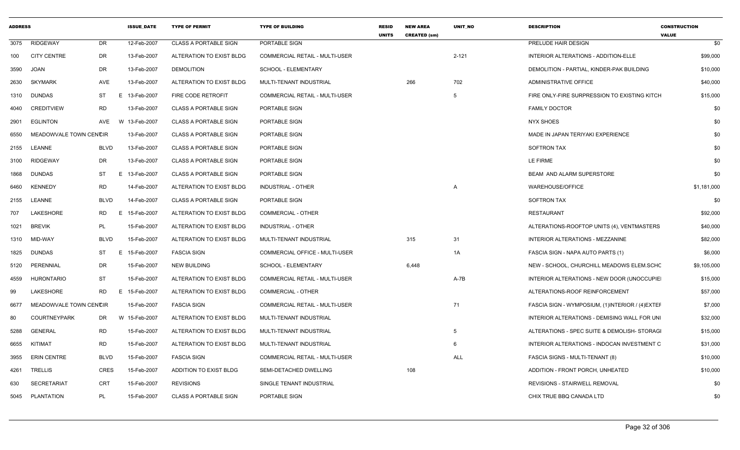| <b>ADDRESS</b> |                        |                 | <b>ISSUE DATE</b> | <b>TYPE OF PERMIT</b>        | <b>TYPE OF BUILDING</b>               | <b>RESID</b><br><b>UNITS</b> | <b>NEW AREA</b><br><b>CREATED (sm)</b> | <b>UNIT NO</b> | <b>DESCRIPTION</b>                               | <b>CONSTRUCTION</b><br><b>VALUE</b> |
|----------------|------------------------|-----------------|-------------------|------------------------------|---------------------------------------|------------------------------|----------------------------------------|----------------|--------------------------------------------------|-------------------------------------|
| 3075           | <b>RIDGEWAY</b>        | DR.             | 12-Feb-2007       | <b>CLASS A PORTABLE SIGN</b> | PORTABLE SIGN                         |                              |                                        |                | PRELUDE HAIR DESIGN                              | \$0                                 |
| 100            | <b>CITY CENTRE</b>     | <b>DR</b>       | 13-Feb-2007       | ALTERATION TO EXIST BLDG     | <b>COMMERCIAL RETAIL - MULTI-USER</b> |                              |                                        | $2 - 121$      | INTERIOR ALTERATIONS - ADDITION-ELLE             | \$99,000                            |
| 3590           | JOAN                   | DR              | 13-Feb-2007       | <b>DEMOLITION</b>            | SCHOOL - ELEMENTARY                   |                              |                                        |                | DEMOLITION - PARTIAL, KINDER-PAK BUILDING        | \$10,000                            |
| 2630           | <b>SKYMARK</b>         | AVE             | 13-Feb-2007       | ALTERATION TO EXIST BLDG     | MULTI-TENANT INDUSTRIAL               |                              | 266                                    | 702            | ADMINISTRATIVE OFFICE                            | \$40,000                            |
| 1310           | <b>DUNDAS</b>          | ST<br>E         | 13-Feb-2007       | FIRE CODE RETROFIT           | <b>COMMERCIAL RETAIL - MULTI-USER</b> |                              |                                        | -5             | FIRE ONLY-FIRE SURPRESSION TO EXISTING KITCH     | \$15,000                            |
| 4040           | <b>CREDITVIEW</b>      | RD              | 13-Feb-2007       | <b>CLASS A PORTABLE SIGN</b> | PORTABLE SIGN                         |                              |                                        |                | <b>FAMILY DOCTOR</b>                             | \$0                                 |
| 2901           | <b>EGLINTON</b>        | AVE             | W 13-Feb-2007     | <b>CLASS A PORTABLE SIGN</b> | PORTABLE SIGN                         |                              |                                        |                | <b>NYX SHOES</b>                                 | \$0                                 |
| 6550           | MEADOWVALE TOWN CENCIR |                 | 13-Feb-2007       | <b>CLASS A PORTABLE SIGN</b> | PORTABLE SIGN                         |                              |                                        |                | MADE IN JAPAN TERIYAKI EXPERIENCE                | \$0                                 |
| 2155           | LEANNE                 | <b>BLVD</b>     | 13-Feb-2007       | <b>CLASS A PORTABLE SIGN</b> | PORTABLE SIGN                         |                              |                                        |                | <b>SOFTRON TAX</b>                               | \$0                                 |
| 3100           | <b>RIDGEWAY</b>        | <b>DR</b>       | 13-Feb-2007       | <b>CLASS A PORTABLE SIGN</b> | PORTABLE SIGN                         |                              |                                        |                | LE FIRME                                         | \$0                                 |
| 1868           | <b>DUNDAS</b>          | ST              | E 13-Feb-2007     | <b>CLASS A PORTABLE SIGN</b> | PORTABLE SIGN                         |                              |                                        |                | BEAM AND ALARM SUPERSTORE                        | \$0                                 |
| 6460           | <b>KENNEDY</b>         | <b>RD</b>       | 14-Feb-2007       | ALTERATION TO EXIST BLDG     | <b>INDUSTRIAL - OTHER</b>             |                              |                                        | $\overline{A}$ | <b>WAREHOUSE/OFFICE</b>                          | \$1,181,000                         |
| 2155           | LEANNE                 | <b>BLVD</b>     | 14-Feb-2007       | <b>CLASS A PORTABLE SIGN</b> | PORTABLE SIGN                         |                              |                                        |                | <b>SOFTRON TAX</b>                               | \$0                                 |
| 707            | LAKESHORE              | RD<br>E.        | 15-Feb-2007       | ALTERATION TO EXIST BLDG     | <b>COMMERCIAL - OTHER</b>             |                              |                                        |                | <b>RESTAURANT</b>                                | \$92,000                            |
| 1021           | <b>BREVIK</b>          | <b>PL</b>       | 15-Feb-2007       | ALTERATION TO EXIST BLDG     | <b>INDUSTRIAL - OTHER</b>             |                              |                                        |                | ALTERATIONS-ROOFTOP UNITS (4), VENTMASTERS       | \$40,000                            |
| 1310           | MID-WAY                | <b>BLVD</b>     | 15-Feb-2007       | ALTERATION TO EXIST BLDG     | MULTI-TENANT INDUSTRIAL               |                              | 315                                    | 31             | INTERIOR ALTERATIONS - MEZZANINE                 | \$82,000                            |
| 1825           | <b>DUNDAS</b>          | <b>ST</b><br>E. | 15-Feb-2007       | <b>FASCIA SIGN</b>           | COMMERCIAL OFFICE - MULTI-USER        |                              |                                        | 1A             | FASCIA SIGN - NAPA AUTO PARTS (1)                | \$6,000                             |
| 5120           | PERENNIAL              | <b>DR</b>       | 15-Feb-2007       | <b>NEW BUILDING</b>          | SCHOOL - ELEMENTARY                   |                              | 6,448                                  |                | NEW - SCHOOL, CHURCHILL MEADOWS ELEM.SCHC        | \$9,105,000                         |
| 4559           | <b>HURONTARIO</b>      | <b>ST</b>       | 15-Feb-2007       | ALTERATION TO EXIST BLDG     | <b>COMMERCIAL RETAIL - MULTI-USER</b> |                              |                                        | $A-7B$         | INTERIOR ALTERATIONS - NEW DOOR (UNOCCUPIE)      | \$15,000                            |
| 99             | LAKESHORE              | RD<br>E.        | 15-Feb-2007       | ALTERATION TO EXIST BLDG     | <b>COMMERCIAL - OTHER</b>             |                              |                                        |                | ALTERATIONS-ROOF REINFORCEMENT                   | \$57,000                            |
| 6677           | MEADOWVALE TOWN CENCIR |                 | 15-Feb-2007       | <b>FASCIA SIGN</b>           | COMMERCIAL RETAIL - MULTI-USER        |                              |                                        | 71             | FASCIA SIGN - WYMPOSIUM, (1)INTERIOR / (4) EXTEF | \$7,000                             |
| 80             | <b>COURTNEYPARK</b>    | DR              | W 15-Feb-2007     | ALTERATION TO EXIST BLDG     | MULTI-TENANT INDUSTRIAL               |                              |                                        |                | INTERIOR ALTERATIONS - DEMISING WALL FOR UNI     | \$32,000                            |
| 5288           | <b>GENERAL</b>         | <b>RD</b>       | 15-Feb-2007       | ALTERATION TO EXIST BLDG     | MULTI-TENANT INDUSTRIAL               |                              |                                        | -5             | ALTERATIONS - SPEC SUITE & DEMOLISH- STORAGI     | \$15,000                            |
| 6655           | <b>KITIMAT</b>         | <b>RD</b>       | 15-Feb-2007       | ALTERATION TO EXIST BLDG     | MULTI-TENANT INDUSTRIAL               |                              |                                        |                | INTERIOR ALTERATIONS - INDOCAN INVESTMENT C      | \$31,000                            |
| 3955           | <b>ERIN CENTRE</b>     | <b>BLVD</b>     | 15-Feb-2007       | <b>FASCIA SIGN</b>           | <b>COMMERCIAL RETAIL - MULTI-USER</b> |                              |                                        | <b>ALL</b>     | FASCIA SIGNS - MULTI-TENANT (8)                  | \$10,000                            |
| 4261           | <b>TRELLIS</b>         | <b>CRES</b>     | 15-Feb-2007       | ADDITION TO EXIST BLDG       | SEMI-DETACHED DWELLING                |                              | 108                                    |                | ADDITION - FRONT PORCH, UNHEATED                 | \$10,000                            |
| 630            | <b>SECRETARIAT</b>     | CRT             | 15-Feb-2007       | <b>REVISIONS</b>             | SINGLE TENANT INDUSTRIAL              |                              |                                        |                | REVISIONS - STAIRWELL REMOVAL                    | \$0                                 |
|                | 5045 PLANTATION        | <b>PL</b>       | 15-Feb-2007       | <b>CLASS A PORTABLE SIGN</b> | PORTABLE SIGN                         |                              |                                        |                | CHIX TRUE BBQ CANADA LTD                         | \$0                                 |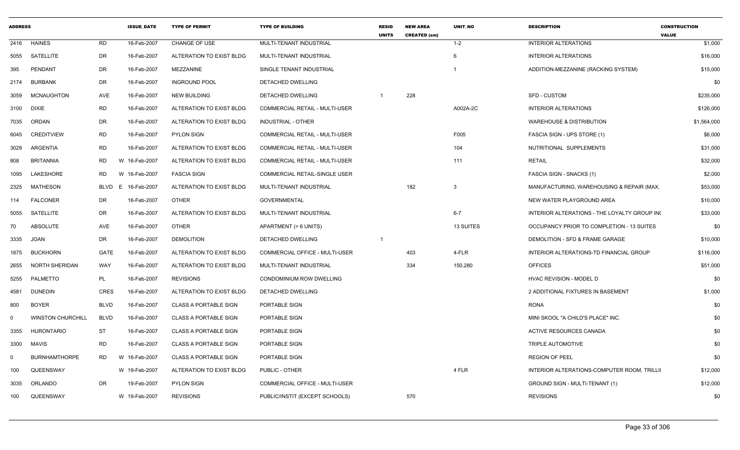| <b>ADDRESS</b> |                          |             |   | <b>ISSUE DATE</b> | <b>TYPE OF PERMIT</b>        | <b>TYPE OF BUILDING</b>               | <b>RESID</b><br><b>UNITS</b> | <b>NEW AREA</b><br><b>CREATED (sm)</b> | <b>UNIT NO</b> | <b>DESCRIPTION</b>                           | <b>CONSTRUCTION</b><br><b>VALUE</b> |
|----------------|--------------------------|-------------|---|-------------------|------------------------------|---------------------------------------|------------------------------|----------------------------------------|----------------|----------------------------------------------|-------------------------------------|
| 2416           | <b>HAINES</b>            | <b>RD</b>   |   | 16-Feb-2007       | CHANGE OF USE                | MULTI-TENANT INDUSTRIAL               |                              |                                        | $1 - 2$        | <b>INTERIOR ALTERATIONS</b>                  | \$1,000                             |
| 5055           | SATELLITE                | DR          |   | 16-Feb-2007       | ALTERATION TO EXIST BLDG     | MULTI-TENANT INDUSTRIAL               |                              |                                        | -6             | <b>INTERIOR ALTERATIONS</b>                  | \$16,000                            |
| 395            | PENDANT                  | DR          |   | 16-Feb-2007       | MEZZANINE                    | SINGLE TENANT INDUSTRIAL              |                              |                                        |                | ADDITION-MEZZANINE (RACKING SYSTEM)          | \$15,000                            |
| 2174           | <b>BURBANK</b>           | DR          |   | 16-Feb-2007       | <b>INGROUND POOL</b>         | DETACHED DWELLING                     |                              |                                        |                |                                              | \$0                                 |
| 3059           | <b>MCNAUGHTON</b>        | AVE         |   | 16-Feb-2007       | <b>NEW BUILDING</b>          | DETACHED DWELLING                     |                              | 228                                    |                | <b>SFD - CUSTOM</b>                          | \$235,000                           |
| 3100           | <b>DIXIE</b>             | <b>RD</b>   |   | 16-Feb-2007       | ALTERATION TO EXIST BLDG     | COMMERCIAL RETAIL - MULTI-USER        |                              |                                        | A002A-2C       | <b>INTERIOR ALTERATIONS</b>                  | \$126,000                           |
| 7035           | ORDAN                    | DR          |   | 16-Feb-2007       | ALTERATION TO EXIST BLDG     | INDUSTRIAL - OTHER                    |                              |                                        |                | WAREHOUSE & DISTRIBUTION                     | \$1,564,000                         |
| 6045           | <b>CREDITVIEW</b>        | <b>RD</b>   |   | 16-Feb-2007       | <b>PYLON SIGN</b>            | <b>COMMERCIAL RETAIL - MULTI-USER</b> |                              |                                        | F005           | FASCIA SIGN - UPS STORE (1)                  | \$6,000                             |
| 3029           | ARGENTIA                 | <b>RD</b>   |   | 16-Feb-2007       | ALTERATION TO EXIST BLDG     | COMMERCIAL RETAIL - MULTI-USER        |                              |                                        | 104            | NUTRITIONAL SUPPLEMENTS                      | \$31,000                            |
| 808            | <b>BRITANNIA</b>         | <b>RD</b>   |   | W 16-Feb-2007     | ALTERATION TO EXIST BLDG     | COMMERCIAL RETAIL - MULTI-USER        |                              |                                        | 111            | <b>RETAIL</b>                                | \$32,000                            |
| 1095           | <b>LAKESHORE</b>         | <b>RD</b>   |   | W 16-Feb-2007     | <b>FASCIA SIGN</b>           | COMMERCIAL RETAIL-SINGLE USER         |                              |                                        |                | FASCIA SIGN - SNACKS (1)                     | \$2,000                             |
| 2325           | <b>MATHESON</b>          | <b>BLVD</b> | Е | 16-Feb-2007       | ALTERATION TO EXIST BLDG     | MULTI-TENANT INDUSTRIAL               |                              | 182                                    | -3             | MANUFACTURING, WAREHOUSING & REPAIR (MAX.    | \$53,000                            |
| 114            | <b>FALCONER</b>          | <b>DR</b>   |   | 16-Feb-2007       | <b>OTHER</b>                 | <b>GOVERNMENTAL</b>                   |                              |                                        |                | NEW WATER PLAYGROUND AREA                    | \$10,000                            |
| 5055           | SATELLITE                | DR          |   | 16-Feb-2007       | ALTERATION TO EXIST BLDG     | MULTI-TENANT INDUSTRIAL               |                              |                                        | $6 - 7$        | INTERIOR ALTERATIONS - THE LOYALTY GROUP IN( | \$33,000                            |
| 70             | ABSOLUTE                 | AVE         |   | 16-Feb-2007       | <b>OTHER</b>                 | APARTMENT (> 6 UNITS)                 |                              |                                        | 13 SUITES      | OCCUPANCY PRIOR TO COMPLETION - 13 SUITES    | \$0                                 |
| 3335           | <b>JOAN</b>              | DR          |   | 16-Feb-2007       | <b>DEMOLITION</b>            | DETACHED DWELLING                     | -1                           |                                        |                | DEMOLITION - SFD & FRAME GARAGE              | \$10,000                            |
| 1875           | <b>BUCKHORN</b>          | <b>GATE</b> |   | 16-Feb-2007       | ALTERATION TO EXIST BLDG     | COMMERCIAL OFFICE - MULTI-USER        |                              | 403                                    | 4-FLR          | INTERIOR ALTERATIONS-TD FINANCIAL GROUP      | \$116,000                           |
| 2655           | NORTH SHERIDAN           | <b>WAY</b>  |   | 16-Feb-2007       | ALTERATION TO EXIST BLDG     | MULTI-TENANT INDUSTRIAL               |                              | 334                                    | 150,280        | <b>OFFICES</b>                               | \$51,000                            |
| 5255           | PALMETTO                 | PL          |   | 16-Feb-2007       | <b>REVISIONS</b>             | CONDOMINIUM ROW DWELLING              |                              |                                        |                | <b>HVAC REVISION - MODEL D</b>               | \$0                                 |
| 4581           | <b>DUNEDIN</b>           | <b>CRES</b> |   | 16-Feb-2007       | ALTERATION TO EXIST BLDG     | DETACHED DWELLING                     |                              |                                        |                | 2 ADDITIONAL FIXTURES IN BASEMENT            | \$1,000                             |
| 800            | <b>BOYER</b>             | <b>BLVD</b> |   | 16-Feb-2007       | <b>CLASS A PORTABLE SIGN</b> | PORTABLE SIGN                         |                              |                                        |                | <b>RONA</b>                                  | \$0                                 |
| $\Omega$       | <b>WINSTON CHURCHILL</b> | <b>BLVD</b> |   | 16-Feb-2007       | <b>CLASS A PORTABLE SIGN</b> | PORTABLE SIGN                         |                              |                                        |                | MINI SKOOL "A CHILD'S PLACE" INC.            | \$0                                 |
| 3355           | <b>HURONTARIO</b>        | <b>ST</b>   |   | 16-Feb-2007       | <b>CLASS A PORTABLE SIGN</b> | PORTABLE SIGN                         |                              |                                        |                | <b>ACTIVE RESOURCES CANADA</b>               | \$0                                 |
| 3300           | <b>MAVIS</b>             | <b>RD</b>   |   | 16-Feb-2007       | <b>CLASS A PORTABLE SIGN</b> | PORTABLE SIGN                         |                              |                                        |                | TRIPLE AUTOMOTIVE                            | \$0                                 |
| $\Omega$       | <b>BURNHAMTHORPE</b>     | RD.         |   | W 16-Feb-2007     | <b>CLASS A PORTABLE SIGN</b> | PORTABLE SIGN                         |                              |                                        |                | <b>REGION OF PEEL</b>                        | \$0                                 |
| 100            | QUEENSWAY                |             |   | W 19-Feb-2007     | ALTERATION TO EXIST BLDG     | PUBLIC - OTHER                        |                              |                                        | 4 FLR          | INTERIOR ALTERATIONS-COMPUTER ROOM, TRILLII  | \$12,000                            |
| 3035           | ORLANDO                  | DR          |   | 19-Feb-2007       | <b>PYLON SIGN</b>            | COMMERCIAL OFFICE - MULTI-USER        |                              |                                        |                | GROUND SIGN - MULTI-TENANT (1)               | \$12,000                            |
| 100            | QUEENSWAY                |             |   | W 19-Feb-2007     | <b>REVISIONS</b>             | PUBLIC/INSTIT (EXCEPT SCHOOLS)        |                              | 570                                    |                | <b>REVISIONS</b>                             | \$0                                 |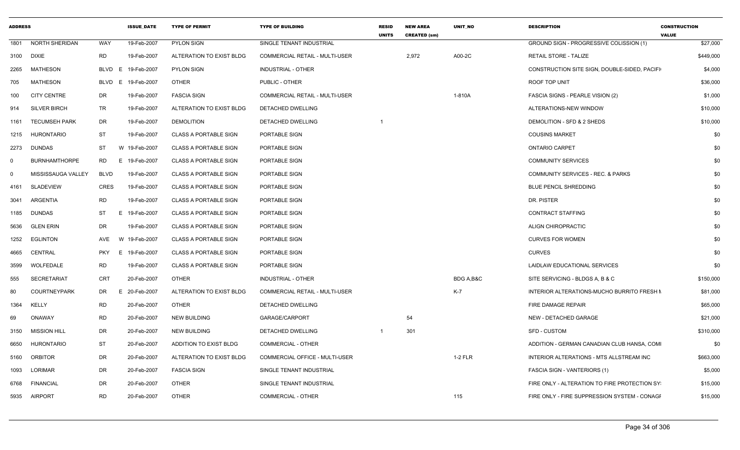| <b>ADDRESS</b> |                      |             | <b>ISSUE_DATE</b> | <b>TYPE OF PERMIT</b>        | <b>TYPE OF BUILDING</b>               | <b>RESID</b><br><b>UNITS</b> | <b>NEW AREA</b><br><b>CREATED (sm)</b> | <b>UNIT NO</b> | <b>DESCRIPTION</b>                           | <b>CONSTRUCTION</b><br><b>VALUE</b> |
|----------------|----------------------|-------------|-------------------|------------------------------|---------------------------------------|------------------------------|----------------------------------------|----------------|----------------------------------------------|-------------------------------------|
| 1801           | NORTH SHERIDAN       | WAY         | 19-Feb-2007       | <b>PYLON SIGN</b>            | SINGLE TENANT INDUSTRIAL              |                              |                                        |                | GROUND SIGN - PROGRESSIVE COLISSION (1)      | \$27,000                            |
| 3100           | DIXIE                | RD          | 19-Feb-2007       | ALTERATION TO EXIST BLDG     | <b>COMMERCIAL RETAIL - MULTI-USER</b> |                              | 2,972                                  | A00-2C         | RETAIL STORE - TALIZE                        | \$449,000                           |
| 2265           | MATHESON             | <b>BLVD</b> | E<br>19-Feb-2007  | <b>PYLON SIGN</b>            | INDUSTRIAL - OTHER                    |                              |                                        |                | CONSTRUCTION SITE SIGN, DOUBLE-SIDED, PACIFI | \$4,000                             |
| 705            | <b>MATHESON</b>      | <b>BLVD</b> | 19-Feb-2007<br>E. | <b>OTHER</b>                 | PUBLIC - OTHER                        |                              |                                        |                | <b>ROOF TOP UNIT</b>                         | \$36,000                            |
| 100            | <b>CITY CENTRE</b>   | DR          | 19-Feb-2007       | <b>FASCIA SIGN</b>           | <b>COMMERCIAL RETAIL - MULTI-USER</b> |                              |                                        | 1-810A         | FASCIA SIGNS - PEARLE VISION (2)             | \$1,000                             |
| 914            | <b>SILVER BIRCH</b>  | TR          | 19-Feb-2007       | ALTERATION TO EXIST BLDG     | DETACHED DWELLING                     |                              |                                        |                | ALTERATIONS-NEW WINDOW                       | \$10,000                            |
| 1161           | <b>TECUMSEH PARK</b> | DR          | 19-Feb-2007       | <b>DEMOLITION</b>            | DETACHED DWELLING                     |                              |                                        |                | DEMOLITION - SFD & 2 SHEDS                   | \$10,000                            |
| 1215           | HURONTARIO           | <b>ST</b>   | 19-Feb-2007       | <b>CLASS A PORTABLE SIGN</b> | PORTABLE SIGN                         |                              |                                        |                | <b>COUSINS MARKET</b>                        | \$0                                 |
| 2273           | DUNDAS               | ST          | W 19-Feb-2007     | <b>CLASS A PORTABLE SIGN</b> | PORTABLE SIGN                         |                              |                                        |                | <b>ONTARIO CARPET</b>                        | \$0                                 |
| $\mathbf 0$    | <b>BURNHAMTHORPE</b> | RD.         | 19-Feb-2007<br>E. | <b>CLASS A PORTABLE SIGN</b> | PORTABLE SIGN                         |                              |                                        |                | <b>COMMUNITY SERVICES</b>                    | \$0                                 |
| $\mathbf 0$    | MISSISSAUGA VALLEY   | <b>BLVD</b> | 19-Feb-2007       | <b>CLASS A PORTABLE SIGN</b> | PORTABLE SIGN                         |                              |                                        |                | <b>COMMUNITY SERVICES - REC. &amp; PARKS</b> | \$0                                 |
| 4161           | <b>SLADEVIEW</b>     | <b>CRES</b> | 19-Feb-2007       | <b>CLASS A PORTABLE SIGN</b> | PORTABLE SIGN                         |                              |                                        |                | <b>BLUE PENCIL SHREDDING</b>                 | \$0                                 |
| 3041           | ARGENTIA             | <b>RD</b>   | 19-Feb-2007       | <b>CLASS A PORTABLE SIGN</b> | <b>PORTABLE SIGN</b>                  |                              |                                        |                | DR. PISTER                                   | \$0                                 |
| 1185           | DUNDAS               | ST          | 19-Feb-2007<br>Е  | <b>CLASS A PORTABLE SIGN</b> | PORTABLE SIGN                         |                              |                                        |                | <b>CONTRACT STAFFING</b>                     | \$0                                 |
| 5636           | <b>GLEN ERIN</b>     | DR          | 19-Feb-2007       | <b>CLASS A PORTABLE SIGN</b> | PORTABLE SIGN                         |                              |                                        |                | ALIGN CHIROPRACTIC                           | \$0                                 |
| 1252           | EGLINTON             | AVE         | W 19-Feb-2007     | <b>CLASS A PORTABLE SIGN</b> | PORTABLE SIGN                         |                              |                                        |                | <b>CURVES FOR WOMEN</b>                      | \$0                                 |
| 4665           | CENTRAL              | <b>PKY</b>  | E 19-Feb-2007     | <b>CLASS A PORTABLE SIGN</b> | PORTABLE SIGN                         |                              |                                        |                | <b>CURVES</b>                                | \$0                                 |
| 3599           | WOLFEDALE            | RD          | 19-Feb-2007       | <b>CLASS A PORTABLE SIGN</b> | PORTABLE SIGN                         |                              |                                        |                | LAIDLAW EDUCATIONAL SERVICES                 | \$0                                 |
| 555            | <b>SECRETARIAT</b>   | CRT         | 20-Feb-2007       | <b>OTHER</b>                 | INDUSTRIAL - OTHER                    |                              |                                        | BDG A,B&C      | SITE SERVICING - BLDGS A, B & C              | \$150,000                           |
| 80             | <b>COURTNEYPARK</b>  | DR          | 20-Feb-2007<br>Е  | ALTERATION TO EXIST BLDG     | <b>COMMERCIAL RETAIL - MULTI-USER</b> |                              |                                        | $K-7$          | INTERIOR ALTERATIONS-MUCHO BURRITO FRESH N   | \$81,000                            |
| 1364           | <b>KELLY</b>         | RD          | 20-Feb-2007       | OTHER                        | <b>DETACHED DWELLING</b>              |                              |                                        |                | FIRE DAMAGE REPAIR                           | \$65,000                            |
| 69             | <b>ONAWAY</b>        | RD          | 20-Feb-2007       | <b>NEW BUILDING</b>          | GARAGE/CARPORT                        |                              | 54                                     |                | NEW - DETACHED GARAGE                        | \$21,000                            |
| 3150           | <b>MISSION HILL</b>  | DR          | 20-Feb-2007       | NEW BUILDING                 | DETACHED DWELLING                     |                              | 301                                    |                | SFD - CUSTOM                                 | \$310,000                           |
| 6650           | HURONTARIO           | ST          | 20-Feb-2007       | ADDITION TO EXIST BLDG       | COMMERCIAL - OTHER                    |                              |                                        |                | ADDITION - GERMAN CANADIAN CLUB HANSA, COMI  | \$0                                 |
| 5160           | ORBITOR              | DR          | 20-Feb-2007       | ALTERATION TO EXIST BLDG     | COMMERCIAL OFFICE - MULTI-USER        |                              |                                        | $1-2$ FLR      | INTERIOR ALTERATIONS - MTS ALLSTREAM INC     | \$663,000                           |
| 1093           | LORIMAR              | DR          | 20-Feb-2007       | <b>FASCIA SIGN</b>           | SINGLE TENANT INDUSTRIAL              |                              |                                        |                | FASCIA SIGN - VANTERIORS (1)                 | \$5,000                             |
| 6768           | <b>FINANCIAL</b>     | DR          | 20-Feb-2007       | <b>OTHER</b>                 | SINGLE TENANT INDUSTRIAL              |                              |                                        |                | FIRE ONLY - ALTERATION TO FIRE PROTECTION SY | \$15,000                            |
| 5935           | AIRPORT              | RD          | 20-Feb-2007       | <b>OTHER</b>                 | <b>COMMERCIAL - OTHER</b>             |                              |                                        | 115            | FIRE ONLY - FIRE SUPPRESSION SYSTEM - CONAGE | \$15,000                            |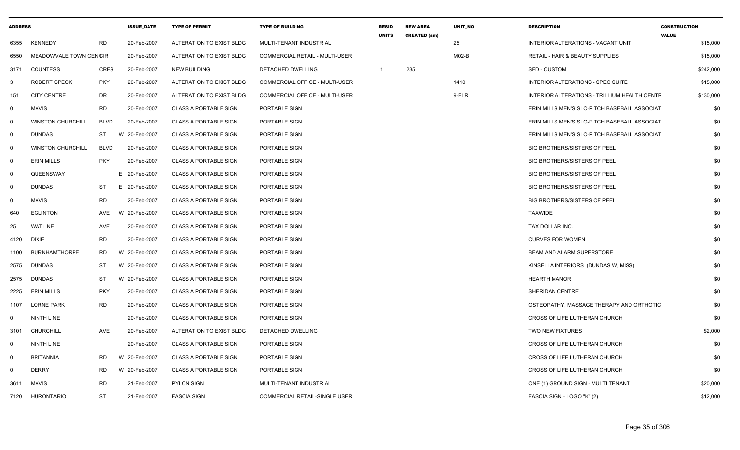| <b>ADDRESS</b> |                          |             | <b>ISSUE DATE</b> | <b>TYPE OF PERMIT</b>        | <b>TYPE OF BUILDING</b>               | <b>RESID</b><br><b>UNITS</b> | <b>NEW AREA</b><br><b>CREATED (sm)</b> | <b>UNIT NO</b> | <b>DESCRIPTION</b>                           | <b>CONSTRUCTION</b><br><b>VALUE</b> |
|----------------|--------------------------|-------------|-------------------|------------------------------|---------------------------------------|------------------------------|----------------------------------------|----------------|----------------------------------------------|-------------------------------------|
| 6355           | <b>KENNEDY</b>           | <b>RD</b>   | 20-Feb-2007       | ALTERATION TO EXIST BLDG     | MULTI-TENANT INDUSTRIAL               |                              |                                        | 25             | INTERIOR ALTERATIONS - VACANT UNIT           | \$15,000                            |
| 6550           | MEADOWVALE TOWN CENCIR   |             | 20-Feb-2007       | ALTERATION TO EXIST BLDG     | <b>COMMERCIAL RETAIL - MULTI-USER</b> |                              |                                        | $MO2-B$        | <b>RETAIL - HAIR &amp; BEAUTY SUPPLIES</b>   | \$15,000                            |
| 3171           | <b>COUNTESS</b>          | <b>CRES</b> | 20-Feb-2007       | <b>NEW BUILDING</b>          | DETACHED DWELLING                     |                              | 235                                    |                | <b>SFD - CUSTOM</b>                          | \$242,000                           |
| 3              | <b>ROBERT SPECK</b>      | <b>PKY</b>  | 20-Feb-2007       | ALTERATION TO EXIST BLDG     | <b>COMMERCIAL OFFICE - MULTI-USER</b> |                              |                                        | 1410           | INTERIOR ALTERATIONS - SPEC SUITE            | \$15,000                            |
| 151            | <b>CITY CENTRE</b>       | DR          | 20-Feb-2007       | ALTERATION TO EXIST BLDG     | <b>COMMERCIAL OFFICE - MULTI-USER</b> |                              |                                        | 9-FLR          | INTERIOR ALTERATIONS - TRILLIUM HEALTH CENTF | \$130,000                           |
| 0              | <b>MAVIS</b>             | <b>RD</b>   | 20-Feb-2007       | <b>CLASS A PORTABLE SIGN</b> | PORTABLE SIGN                         |                              |                                        |                | ERIN MILLS MEN'S SLO-PITCH BASEBALL ASSOCIAT | \$0                                 |
| $\mathsf{O}$   | <b>WINSTON CHURCHILL</b> | <b>BLVD</b> | 20-Feb-2007       | <b>CLASS A PORTABLE SIGN</b> | PORTABLE SIGN                         |                              |                                        |                | ERIN MILLS MEN'S SLO-PITCH BASEBALL ASSOCIAT | \$0                                 |
| $\mathbf 0$    | <b>DUNDAS</b>            | ST          | W 20-Feb-2007     | <b>CLASS A PORTABLE SIGN</b> | PORTABLE SIGN                         |                              |                                        |                | ERIN MILLS MEN'S SLO-PITCH BASEBALL ASSOCIAT | \$0                                 |
| $\mathbf 0$    | <b>WINSTON CHURCHILL</b> | <b>BLVD</b> | 20-Feb-2007       | <b>CLASS A PORTABLE SIGN</b> | PORTABLE SIGN                         |                              |                                        |                | <b>BIG BROTHERS/SISTERS OF PEEL</b>          | \$0                                 |
| $\mathsf{O}$   | <b>ERIN MILLS</b>        | <b>PKY</b>  | 20-Feb-2007       | <b>CLASS A PORTABLE SIGN</b> | PORTABLE SIGN                         |                              |                                        |                | BIG BROTHERS/SISTERS OF PEEL                 | \$0                                 |
| $\mathbf 0$    | QUEENSWAY                |             | E 20-Feb-2007     | <b>CLASS A PORTABLE SIGN</b> | PORTABLE SIGN                         |                              |                                        |                | <b>BIG BROTHERS/SISTERS OF PEEL</b>          | \$0                                 |
| 0              | <b>DUNDAS</b>            | ST          | E 20-Feb-2007     | <b>CLASS A PORTABLE SIGN</b> | PORTABLE SIGN                         |                              |                                        |                | <b>BIG BROTHERS/SISTERS OF PEEL</b>          | \$0                                 |
| 0              | <b>MAVIS</b>             | <b>RD</b>   | 20-Feb-2007       | <b>CLASS A PORTABLE SIGN</b> | PORTABLE SIGN                         |                              |                                        |                | <b>BIG BROTHERS/SISTERS OF PEEL</b>          | \$0                                 |
| 640            | <b>EGLINTON</b>          | AVE         | W 20-Feb-2007     | <b>CLASS A PORTABLE SIGN</b> | PORTABLE SIGN                         |                              |                                        |                | <b>TAXWIDE</b>                               | \$0                                 |
| 25             | WATLINE                  | AVE         | 20-Feb-2007       | <b>CLASS A PORTABLE SIGN</b> | PORTABLE SIGN                         |                              |                                        |                | TAX DOLLAR INC.                              | \$0                                 |
| 4120           | <b>DIXIE</b>             | <b>RD</b>   | 20-Feb-2007       | <b>CLASS A PORTABLE SIGN</b> | PORTABLE SIGN                         |                              |                                        |                | <b>CURVES FOR WOMEN</b>                      | \$0                                 |
| 1100           | <b>BURNHAMTHORPE</b>     | <b>RD</b>   | W 20-Feb-2007     | <b>CLASS A PORTABLE SIGN</b> | PORTABLE SIGN                         |                              |                                        |                | <b>BEAM AND ALARM SUPERSTORE</b>             | \$0                                 |
| 2575           | <b>DUNDAS</b>            | ST          | W 20-Feb-2007     | <b>CLASS A PORTABLE SIGN</b> | PORTABLE SIGN                         |                              |                                        |                | KINSELLA INTERIORS (DUNDAS W, MISS)          | \$0                                 |
| 2575           | <b>DUNDAS</b>            | ST          | W 20-Feb-2007     | <b>CLASS A PORTABLE SIGN</b> | PORTABLE SIGN                         |                              |                                        |                | <b>HEARTH MANOR</b>                          | \$0                                 |
| 2225           | <b>ERIN MILLS</b>        | <b>PKY</b>  | 20-Feb-2007       | <b>CLASS A PORTABLE SIGN</b> | PORTABLE SIGN                         |                              |                                        |                | SHERIDAN CENTRE                              | \$0                                 |
| 1107           | <b>LORNE PARK</b>        | RD          | 20-Feb-2007       | <b>CLASS A PORTABLE SIGN</b> | PORTABLE SIGN                         |                              |                                        |                | OSTEOPATHY, MASSAGE THERAPY AND ORTHOTIC     | \$0                                 |
| $\Omega$       | <b>NINTH LINE</b>        |             | 20-Feb-2007       | <b>CLASS A PORTABLE SIGN</b> | PORTABLE SIGN                         |                              |                                        |                | CROSS OF LIFE LUTHERAN CHURCH                | \$0                                 |
| 3101           | <b>CHURCHILL</b>         | AVE         | 20-Feb-2007       | ALTERATION TO EXIST BLDG     | DETACHED DWELLING                     |                              |                                        |                | TWO NEW FIXTURES                             | \$2,000                             |
| 0              | <b>NINTH LINE</b>        |             | 20-Feb-2007       | <b>CLASS A PORTABLE SIGN</b> | PORTABLE SIGN                         |                              |                                        |                | CROSS OF LIFE LUTHERAN CHURCH                | \$0                                 |
| $\mathbf 0$    | <b>BRITANNIA</b>         | <b>RD</b>   | W 20-Feb-2007     | <b>CLASS A PORTABLE SIGN</b> | PORTABLE SIGN                         |                              |                                        |                | CROSS OF LIFE LUTHERAN CHURCH                | \$0                                 |
| 0              | <b>DERRY</b>             | <b>RD</b>   | W 20-Feb-2007     | <b>CLASS A PORTABLE SIGN</b> | PORTABLE SIGN                         |                              |                                        |                | CROSS OF LIFE LUTHERAN CHURCH                | \$0                                 |
| 3611           | MAVIS                    | <b>RD</b>   | 21-Feb-2007       | <b>PYLON SIGN</b>            | MULTI-TENANT INDUSTRIAL               |                              |                                        |                | ONE (1) GROUND SIGN - MULTI TENANT           | \$20,000                            |
|                | 7120 HURONTARIO          | <b>ST</b>   | 21-Feb-2007       | <b>FASCIA SIGN</b>           | <b>COMMERCIAL RETAIL-SINGLE USER</b>  |                              |                                        |                | FASCIA SIGN - LOGO "K" (2)                   | \$12,000                            |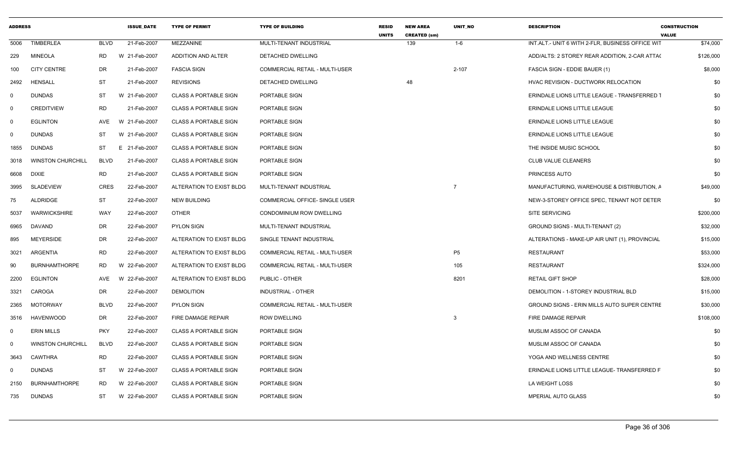| <b>ADDRESS</b> |                          |             | <b>ISSUE DATE</b> | <b>TYPE OF PERMIT</b>        | <b>TYPE OF BUILDING</b>        | <b>RESID</b><br><b>UNITS</b> | <b>NEW AREA</b><br><b>CREATED (sm)</b> | <b>UNIT NO</b> | <b>DESCRIPTION</b>                                 | <b>CONSTRUCTION</b><br><b>VALUE</b> |     |
|----------------|--------------------------|-------------|-------------------|------------------------------|--------------------------------|------------------------------|----------------------------------------|----------------|----------------------------------------------------|-------------------------------------|-----|
| 5006           | <b>TIMBERLEA</b>         | <b>BLVD</b> | 21-Feb-2007       | <b>MEZZANINE</b>             | MULTI-TENANT INDUSTRIAL        |                              | 139                                    | $1 - 6$        | INT.ALT.- UNIT 6 WITH 2-FLR. BUSINESS OFFICE WIT   | \$74,000                            |     |
| 229            | <b>MINEOLA</b>           | <b>RD</b>   | W 21-Feb-2007     | <b>ADDITION AND ALTER</b>    | <b>DETACHED DWELLING</b>       |                              |                                        |                | ADD/ALTS: 2 STOREY REAR ADDITION, 2-CAR ATTA(      | \$126,000                           |     |
| 100            | <b>CITY CENTRE</b>       | DR          | 21-Feb-2007       | <b>FASCIA SIGN</b>           | COMMERCIAL RETAIL - MULTI-USER |                              |                                        | 2-107          | FASCIA SIGN - EDDIE BAUER (1)                      | \$8,000                             |     |
| 2492           | <b>HENSALL</b>           | <b>ST</b>   | 21-Feb-2007       | <b>REVISIONS</b>             | DETACHED DWELLING              |                              | 48                                     |                | HVAC REVISION - DUCTWORK RELOCATION                |                                     | \$0 |
| $\Omega$       | <b>DUNDAS</b>            | ST          | W 21-Feb-2007     | <b>CLASS A PORTABLE SIGN</b> | PORTABLE SIGN                  |                              |                                        |                | ERINDALE LIONS LITTLE LEAGUE - TRANSFERRED 1       |                                     | \$0 |
| - 0            | <b>CREDITVIEW</b>        | <b>RD</b>   | 21-Feb-2007       | <b>CLASS A PORTABLE SIGN</b> | PORTABLE SIGN                  |                              |                                        |                | ERINDALE LIONS LITTLE LEAGUE                       |                                     | \$0 |
| $\Omega$       | <b>EGLINTON</b>          | AVE         | W 21-Feb-2007     | <b>CLASS A PORTABLE SIGN</b> | PORTABLE SIGN                  |                              |                                        |                | <b>ERINDALE LIONS LITTLE LEAGUE</b>                |                                     | \$0 |
| $\Omega$       | <b>DUNDAS</b>            | ST          | W 21-Feb-2007     | <b>CLASS A PORTABLE SIGN</b> | PORTABLE SIGN                  |                              |                                        |                | ERINDALE LIONS LITTLE LEAGUE                       |                                     | \$0 |
| 1855           | <b>DUNDAS</b>            | ST          | E 21-Feb-2007     | <b>CLASS A PORTABLE SIGN</b> | PORTABLE SIGN                  |                              |                                        |                | THE INSIDE MUSIC SCHOOL                            |                                     | \$0 |
| 3018           | <b>WINSTON CHURCHILL</b> | <b>BLVD</b> | 21-Feb-2007       | <b>CLASS A PORTABLE SIGN</b> | PORTABLE SIGN                  |                              |                                        |                | CLUB VALUE CLEANERS                                |                                     | \$0 |
| 6608           | DIXIE                    | <b>RD</b>   | 21-Feb-2007       | <b>CLASS A PORTABLE SIGN</b> | PORTABLE SIGN                  |                              |                                        |                | PRINCESS AUTO                                      |                                     | \$0 |
| 3995           | SLADEVIEW                | CRES        | 22-Feb-2007       | ALTERATION TO EXIST BLDG     | MULTI-TENANT INDUSTRIAL        |                              |                                        | $\overline{7}$ | MANUFACTURING, WAREHOUSE & DISTRIBUTION, A         | \$49,000                            |     |
| 75             | ALDRIDGE                 | ST          | 22-Feb-2007       | <b>NEW BUILDING</b>          | COMMERCIAL OFFICE- SINGLE USER |                              |                                        |                | NEW-3-STOREY OFFICE SPEC, TENANT NOT DETER         |                                     | \$0 |
| 5037           | WARWICKSHIRE             | WAY         | 22-Feb-2007       | <b>OTHER</b>                 | CONDOMINIUM ROW DWELLING       |                              |                                        |                | <b>SITE SERVICING</b>                              | \$200,000                           |     |
| 6965           | DAVAND                   | DR          | 22-Feb-2007       | <b>PYLON SIGN</b>            | MULTI-TENANT INDUSTRIAL        |                              |                                        |                | GROUND SIGNS - MULTI-TENANT (2)                    | \$32,000                            |     |
| 895            | <b>MEYERSIDE</b>         | DR          | 22-Feb-2007       | ALTERATION TO EXIST BLDG     | SINGLE TENANT INDUSTRIAL       |                              |                                        |                | ALTERATIONS - MAKE-UP AIR UNIT (1), PROVINCIAL     | \$15,000                            |     |
| 3021           | ARGENTIA                 | <b>RD</b>   | 22-Feb-2007       | ALTERATION TO EXIST BLDG     | COMMERCIAL RETAIL - MULTI-USER |                              |                                        | P <sub>5</sub> | <b>RESTAURANT</b>                                  | \$53,000                            |     |
| 90             | <b>BURNHAMTHORPE</b>     | <b>RD</b>   | W 22-Feb-2007     | ALTERATION TO EXIST BLDG     | COMMERCIAL RETAIL - MULTI-USER |                              |                                        | 105            | <b>RESTAURANT</b>                                  | \$324,000                           |     |
| 2200           | <b>EGLINTON</b>          | AVE         | W 22-Feb-2007     | ALTERATION TO EXIST BLDG     | PUBLIC - OTHER                 |                              |                                        | 8201           | <b>RETAIL GIFT SHOP</b>                            | \$28,000                            |     |
| 3321           | CAROGA                   | DR          | 22-Feb-2007       | <b>DEMOLITION</b>            | <b>INDUSTRIAL - OTHER</b>      |                              |                                        |                | DEMOLITION - 1-STOREY INDUSTRIAL BLD               | \$15,000                            |     |
| 2365           | MOTORWAY                 | <b>BLVD</b> | 22-Feb-2007       | <b>PYLON SIGN</b>            | COMMERCIAL RETAIL - MULTI-USER |                              |                                        |                | <b>GROUND SIGNS - ERIN MILLS AUTO SUPER CENTRE</b> | \$30,000                            |     |
| 3516           | <b>HAVENWOOD</b>         | DR          | 22-Feb-2007       | FIRE DAMAGE REPAIR           | <b>ROW DWELLING</b>            |                              |                                        | -3             | FIRE DAMAGE REPAIR                                 | \$108,000                           |     |
| $\Omega$       | <b>ERIN MILLS</b>        | <b>PKY</b>  | 22-Feb-2007       | <b>CLASS A PORTABLE SIGN</b> | PORTABLE SIGN                  |                              |                                        |                | MUSLIM ASSOC OF CANADA                             |                                     | \$0 |
| - 0            | <b>WINSTON CHURCHILL</b> | <b>BLVD</b> | 22-Feb-2007       | <b>CLASS A PORTABLE SIGN</b> | PORTABLE SIGN                  |                              |                                        |                | MUSLIM ASSOC OF CANADA                             |                                     | \$0 |
| 3643           | <b>CAWTHRA</b>           | <b>RD</b>   | 22-Feb-2007       | <b>CLASS A PORTABLE SIGN</b> | PORTABLE SIGN                  |                              |                                        |                | YOGA AND WELLNESS CENTRE                           |                                     | \$0 |
| - 0            | <b>DUNDAS</b>            | ST          | W 22-Feb-2007     | <b>CLASS A PORTABLE SIGN</b> | PORTABLE SIGN                  |                              |                                        |                | ERINDALE LIONS LITTLE LEAGUE- TRANSFERRED F        |                                     | \$0 |
| 2150           | <b>BURNHAMTHORPE</b>     | RD          | W 22-Feb-2007     | <b>CLASS A PORTABLE SIGN</b> | PORTABLE SIGN                  |                              |                                        |                | LA WEIGHT LOSS                                     |                                     | \$0 |
| 735            | <b>DUNDAS</b>            | ST          | W 22-Feb-2007     | <b>CLASS A PORTABLE SIGN</b> | PORTABLE SIGN                  |                              |                                        |                | <b>MPERIAL AUTO GLASS</b>                          |                                     | \$0 |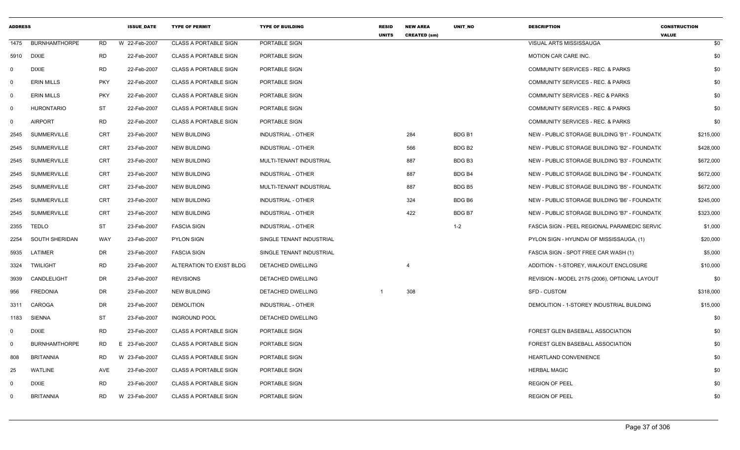| <b>ADDRESS</b> |                      |            | <b>ISSUE DATE</b> | <b>TYPE OF PERMIT</b>        | <b>TYPE OF BUILDING</b>   | <b>RESID</b><br><b>UNITS</b> | <b>NEW AREA</b><br><b>CREATED (sm)</b> | <b>UNIT NO</b>     | <b>DESCRIPTION</b>                                  | <b>CONSTRUCTION</b><br><b>VALUE</b> |
|----------------|----------------------|------------|-------------------|------------------------------|---------------------------|------------------------------|----------------------------------------|--------------------|-----------------------------------------------------|-------------------------------------|
| 1475           | <b>BURNHAMTHORPE</b> | <b>RD</b>  | W 22-Feb-2007     | <b>CLASS A PORTABLE SIGN</b> | PORTABLE SIGN             |                              |                                        |                    | VISUAL ARTS MISSISSAUGA                             | \$0                                 |
| 5910           | <b>DIXIE</b>         | <b>RD</b>  | 22-Feb-2007       | <b>CLASS A PORTABLE SIGN</b> | PORTABLE SIGN             |                              |                                        |                    | MOTION CAR CARE INC.                                | \$0                                 |
| $\mathbf{0}$   | <b>DIXIE</b>         | <b>RD</b>  | 22-Feb-2007       | <b>CLASS A PORTABLE SIGN</b> | PORTABLE SIGN             |                              |                                        |                    | COMMUNITY SERVICES - REC. & PARKS                   | \$0                                 |
| $\mathbf 0$    | <b>ERIN MILLS</b>    | <b>PKY</b> | 22-Feb-2007       | <b>CLASS A PORTABLE SIGN</b> | PORTABLE SIGN             |                              |                                        |                    | COMMUNITY SERVICES - REC. & PARKS                   | \$0                                 |
| $\mathbf{0}$   | <b>ERIN MILLS</b>    | <b>PKY</b> | 22-Feb-2007       | <b>CLASS A PORTABLE SIGN</b> | PORTABLE SIGN             |                              |                                        |                    | COMMUNITY SERVICES - REC & PARKS                    | \$0                                 |
| $\mathbf 0$    | <b>HURONTARIO</b>    | <b>ST</b>  | 22-Feb-2007       | <b>CLASS A PORTABLE SIGN</b> | PORTABLE SIGN             |                              |                                        |                    | COMMUNITY SERVICES - REC. & PARKS                   | \$0                                 |
| $\mathbf 0$    | <b>AIRPORT</b>       | <b>RD</b>  | 22-Feb-2007       | <b>CLASS A PORTABLE SIGN</b> | PORTABLE SIGN             |                              |                                        |                    | COMMUNITY SERVICES - REC. & PARKS                   | \$0                                 |
| 2545           | <b>SUMMERVILLE</b>   | <b>CRT</b> | 23-Feb-2007       | <b>NEW BUILDING</b>          | INDUSTRIAL - OTHER        |                              | 284                                    | BDG <sub>B1</sub>  | NEW - PUBLIC STORAGE BUILDING 'B1' - FOUNDATI(      | \$215,000                           |
| 2545           | <b>SUMMERVILLE</b>   | <b>CRT</b> | 23-Feb-2007       | <b>NEW BUILDING</b>          | <b>INDUSTRIAL - OTHER</b> |                              | 566                                    | BDG B <sub>2</sub> | NEW - PUBLIC STORAGE BUILDING 'B2' - FOUNDATION     | \$428,000                           |
| 2545           | <b>SUMMERVILLE</b>   | <b>CRT</b> | 23-Feb-2007       | <b>NEW BUILDING</b>          | MULTI-TENANT INDUSTRIAL   |                              | 887                                    | BDG B3             | NEW - PUBLIC STORAGE BUILDING 'B3' - FOUNDATI(      | \$672,000                           |
| 2545           | <b>SUMMERVILLE</b>   | <b>CRT</b> | 23-Feb-2007       | <b>NEW BUILDING</b>          | <b>INDUSTRIAL - OTHER</b> |                              | 887                                    | <b>BDG B4</b>      | NEW - PUBLIC STORAGE BUILDING 'B4' - FOUNDATI(      | \$672,000                           |
| 2545           | <b>SUMMERVILLE</b>   | <b>CRT</b> | 23-Feb-2007       | <b>NEW BUILDING</b>          | MULTI-TENANT INDUSTRIAL   |                              | 887                                    | BDG B5             | NEW - PUBLIC STORAGE BUILDING 'B5' - FOUNDATION     | \$672,000                           |
| 2545           | <b>SUMMERVILLE</b>   | <b>CRT</b> | 23-Feb-2007       | <b>NEW BUILDING</b>          | INDUSTRIAL - OTHER        |                              | 324                                    | BDG B6             | NEW - PUBLIC STORAGE BUILDING 'B6' - FOUNDATION     | \$245,000                           |
| 2545           | <b>SUMMERVILLE</b>   | <b>CRT</b> | 23-Feb-2007       | <b>NEW BUILDING</b>          | <b>INDUSTRIAL - OTHER</b> |                              | 422                                    | BDG <sub>B7</sub>  | NEW - PUBLIC STORAGE BUILDING 'B7' - FOUNDATION     | \$323,000                           |
| 2355           | <b>TEDLO</b>         | <b>ST</b>  | 23-Feb-2007       | <b>FASCIA SIGN</b>           | <b>INDUSTRIAL - OTHER</b> |                              |                                        | $1 - 2$            | <b>FASCIA SIGN - PEEL REGIONAL PARAMEDIC SERVIC</b> | \$1,000                             |
| 2254           | SOUTH SHERIDAN       | <b>WAY</b> | 23-Feb-2007       | <b>PYLON SIGN</b>            | SINGLE TENANT INDUSTRIAL  |                              |                                        |                    | PYLON SIGN - HYUNDAI OF MISSISSAUGA, (1)            | \$20,000                            |
| 5935           | LATIMER              | <b>DR</b>  | 23-Feb-2007       | <b>FASCIA SIGN</b>           | SINGLE TENANT INDUSTRIAL  |                              |                                        |                    | FASCIA SIGN - SPOT FREE CAR WASH (1)                | \$5,000                             |
| 3324           | <b>TWILIGHT</b>      | <b>RD</b>  | 23-Feb-2007       | ALTERATION TO EXIST BLDG     | DETACHED DWELLING         |                              | $\overline{4}$                         |                    | ADDITION - 1-STOREY, WALKOUT ENCLOSURE              | \$10,000                            |
| 3939           | CANDLELIGHT          | <b>DR</b>  | 23-Feb-2007       | <b>REVISIONS</b>             | <b>DETACHED DWELLING</b>  |                              |                                        |                    | REVISION - MODEL 2175 (2006), OPTIONAL LAYOUT       | \$0                                 |
| 956            | <b>FREDONIA</b>      | <b>DR</b>  | 23-Feb-2007       | <b>NEW BUILDING</b>          | DETACHED DWELLING         |                              | 308                                    |                    | <b>SFD - CUSTOM</b>                                 | \$318,000                           |
| 3311           | CAROGA               | <b>DR</b>  | 23-Feb-2007       | <b>DEMOLITION</b>            | INDUSTRIAL - OTHER        |                              |                                        |                    | DEMOLITION - 1-STOREY INDUSTRIAL BUILDING           | \$15,000                            |
| 1183           | <b>SIENNA</b>        | <b>ST</b>  | 23-Feb-2007       | <b>INGROUND POOL</b>         | DETACHED DWELLING         |                              |                                        |                    |                                                     | \$0                                 |
| $\mathbf 0$    | <b>DIXIE</b>         | <b>RD</b>  | 23-Feb-2007       | <b>CLASS A PORTABLE SIGN</b> | PORTABLE SIGN             |                              |                                        |                    | FOREST GLEN BASEBALL ASSOCIATION                    | \$0                                 |
| $\Omega$       | <b>BURNHAMTHORPE</b> | <b>RD</b>  | E 23-Feb-2007     | <b>CLASS A PORTABLE SIGN</b> | PORTABLE SIGN             |                              |                                        |                    | FOREST GLEN BASEBALL ASSOCIATION                    | \$0                                 |
| 808            | <b>BRITANNIA</b>     | <b>RD</b>  | W 23-Feb-2007     | <b>CLASS A PORTABLE SIGN</b> | PORTABLE SIGN             |                              |                                        |                    | HEARTLAND CONVENIENCE                               | \$0                                 |
| 25             | <b>WATLINE</b>       | AVE        | 23-Feb-2007       | <b>CLASS A PORTABLE SIGN</b> | PORTABLE SIGN             |                              |                                        |                    | <b>HERBAL MAGIC</b>                                 | \$0                                 |
| $\Omega$       | <b>DIXIE</b>         | <b>RD</b>  | 23-Feb-2007       | <b>CLASS A PORTABLE SIGN</b> | PORTABLE SIGN             |                              |                                        |                    | <b>REGION OF PEEL</b>                               | \$0                                 |
| $\Omega$       | <b>BRITANNIA</b>     | <b>RD</b>  | W 23-Feb-2007     | <b>CLASS A PORTABLE SIGN</b> | PORTABLE SIGN             |                              |                                        |                    | <b>REGION OF PEEL</b>                               | \$0                                 |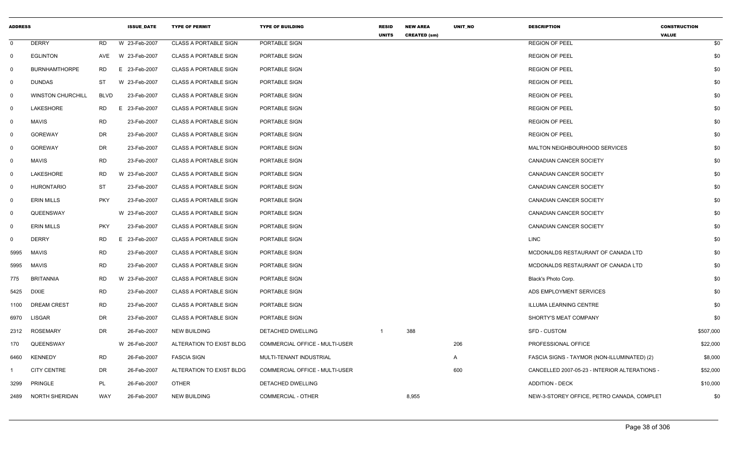| <b>ADDRESS</b> |                          |             | <b>ISSUE DATE</b> | <b>TYPE OF PERMIT</b>        | <b>TYPE OF BUILDING</b>        | <b>RESID</b><br><b>UNITS</b> | <b>NEW AREA</b><br><b>CREATED (sm)</b> | <b>UNIT NO</b> | <b>DESCRIPTION</b>                            | <b>CONSTRUCTION</b><br><b>VALUE</b> |
|----------------|--------------------------|-------------|-------------------|------------------------------|--------------------------------|------------------------------|----------------------------------------|----------------|-----------------------------------------------|-------------------------------------|
| $\mathbf 0$    | <b>DERRY</b>             | <b>RD</b>   | W 23-Feb-2007     | <b>CLASS A PORTABLE SIGN</b> | PORTABLE SIGN                  |                              |                                        |                | <b>REGION OF PEEL</b>                         | \$0                                 |
| $\mathbf 0$    | <b>EGLINTON</b>          | AVE         | W 23-Feb-2007     | <b>CLASS A PORTABLE SIGN</b> | PORTABLE SIGN                  |                              |                                        |                | <b>REGION OF PEEL</b>                         | \$0                                 |
| 0              | <b>BURNHAMTHORPE</b>     | RD.         | E 23-Feb-2007     | <b>CLASS A PORTABLE SIGN</b> | PORTABLE SIGN                  |                              |                                        |                | <b>REGION OF PEEL</b>                         | \$0                                 |
| $\mathbf 0$    | <b>DUNDAS</b>            | ST          | W 23-Feb-2007     | <b>CLASS A PORTABLE SIGN</b> | PORTABLE SIGN                  |                              |                                        |                | <b>REGION OF PEEL</b>                         | \$0                                 |
| $\mathbf 0$    | <b>WINSTON CHURCHILL</b> | <b>BLVD</b> | 23-Feb-2007       | <b>CLASS A PORTABLE SIGN</b> | PORTABLE SIGN                  |                              |                                        |                | <b>REGION OF PEEL</b>                         | \$0                                 |
| $\mathbf 0$    | LAKESHORE                | <b>RD</b>   | E 23-Feb-2007     | <b>CLASS A PORTABLE SIGN</b> | PORTABLE SIGN                  |                              |                                        |                | <b>REGION OF PEEL</b>                         | \$0                                 |
| 0              | <b>MAVIS</b>             | <b>RD</b>   | 23-Feb-2007       | <b>CLASS A PORTABLE SIGN</b> | PORTABLE SIGN                  |                              |                                        |                | <b>REGION OF PEEL</b>                         | \$0                                 |
| 0              | <b>GOREWAY</b>           | <b>DR</b>   | 23-Feb-2007       | <b>CLASS A PORTABLE SIGN</b> | PORTABLE SIGN                  |                              |                                        |                | <b>REGION OF PEEL</b>                         | \$0                                 |
| $^{\circ}$     | <b>GOREWAY</b>           | DR          | 23-Feb-2007       | <b>CLASS A PORTABLE SIGN</b> | PORTABLE SIGN                  |                              |                                        |                | MALTON NEIGHBOURHOOD SERVICES                 | \$0                                 |
| $\mathbf 0$    | <b>MAVIS</b>             | <b>RD</b>   | 23-Feb-2007       | <b>CLASS A PORTABLE SIGN</b> | PORTABLE SIGN                  |                              |                                        |                | <b>CANADIAN CANCER SOCIETY</b>                | \$0                                 |
| $\mathbf 0$    | LAKESHORE                | RD          | W 23-Feb-2007     | <b>CLASS A PORTABLE SIGN</b> | PORTABLE SIGN                  |                              |                                        |                | CANADIAN CANCER SOCIETY                       | \$0                                 |
| $\mathbf 0$    | <b>HURONTARIO</b>        | <b>ST</b>   | 23-Feb-2007       | <b>CLASS A PORTABLE SIGN</b> | PORTABLE SIGN                  |                              |                                        |                | CANADIAN CANCER SOCIETY                       | \$0                                 |
| $\mathbf 0$    | <b>ERIN MILLS</b>        | <b>PKY</b>  | 23-Feb-2007       | <b>CLASS A PORTABLE SIGN</b> | PORTABLE SIGN                  |                              |                                        |                | CANADIAN CANCER SOCIETY                       | \$0                                 |
| 0              | QUEENSWAY                |             | W 23-Feb-2007     | <b>CLASS A PORTABLE SIGN</b> | PORTABLE SIGN                  |                              |                                        |                | <b>CANADIAN CANCER SOCIETY</b>                | \$0                                 |
| $\mathbf 0$    | <b>ERIN MILLS</b>        | <b>PKY</b>  | 23-Feb-2007       | <b>CLASS A PORTABLE SIGN</b> | PORTABLE SIGN                  |                              |                                        |                | <b>CANADIAN CANCER SOCIETY</b>                | \$0                                 |
| 0              | <b>DERRY</b>             | RD          | E 23-Feb-2007     | <b>CLASS A PORTABLE SIGN</b> | PORTABLE SIGN                  |                              |                                        |                | <b>LINC</b>                                   | \$0                                 |
| 5995           | <b>MAVIS</b>             | <b>RD</b>   | 23-Feb-2007       | <b>CLASS A PORTABLE SIGN</b> | PORTABLE SIGN                  |                              |                                        |                | MCDONALDS RESTAURANT OF CANADA LTD            | \$0                                 |
| 5995           | <b>MAVIS</b>             | <b>RD</b>   | 23-Feb-2007       | <b>CLASS A PORTABLE SIGN</b> | PORTABLE SIGN                  |                              |                                        |                | MCDONALDS RESTAURANT OF CANADA LTD            | \$0                                 |
| 775            | <b>BRITANNIA</b>         | <b>RD</b>   | W 23-Feb-2007     | <b>CLASS A PORTABLE SIGN</b> | PORTABLE SIGN                  |                              |                                        |                | Black's Photo Corp.                           | \$0                                 |
| 5425           | DIXIE                    | <b>RD</b>   | 23-Feb-2007       | <b>CLASS A PORTABLE SIGN</b> | PORTABLE SIGN                  |                              |                                        |                | ADS EMPLOYMENT SERVICES                       | \$0                                 |
| 1100           | <b>DREAM CREST</b>       | <b>RD</b>   | 23-Feb-2007       | <b>CLASS A PORTABLE SIGN</b> | PORTABLE SIGN                  |                              |                                        |                | <b>ILLUMA LEARNING CENTRE</b>                 | \$0                                 |
| 6970           | LISGAR                   | DR          | 23-Feb-2007       | <b>CLASS A PORTABLE SIGN</b> | PORTABLE SIGN                  |                              |                                        |                | SHORTY'S MEAT COMPANY                         | \$0                                 |
| 2312           | <b>ROSEMARY</b>          | DR          | 26-Feb-2007       | <b>NEW BUILDING</b>          | DETACHED DWELLING              |                              | 388                                    |                | <b>SFD - CUSTOM</b>                           | \$507,000                           |
| 170            | QUEENSWAY                |             | W 26-Feb-2007     | ALTERATION TO EXIST BLDG     | COMMERCIAL OFFICE - MULTI-USER |                              |                                        | 206            | PROFESSIONAL OFFICE                           | \$22,000                            |
| 6460           | <b>KENNEDY</b>           | <b>RD</b>   | 26-Feb-2007       | <b>FASCIA SIGN</b>           | MULTI-TENANT INDUSTRIAL        |                              |                                        | $\mathsf{A}$   | FASCIA SIGNS - TAYMOR (NON-ILLUMINATED) (2)   | \$8,000                             |
|                | <b>CITY CENTRE</b>       | <b>DR</b>   | 26-Feb-2007       | ALTERATION TO EXIST BLDG     | COMMERCIAL OFFICE - MULTI-USER |                              |                                        | 600            | CANCELLED 2007-05-23 - INTERIOR ALTERATIONS - | \$52,000                            |
| 3299           | <b>PRINGLE</b>           | PL          | 26-Feb-2007       | <b>OTHER</b>                 | DETACHED DWELLING              |                              |                                        |                | <b>ADDITION - DECK</b>                        | \$10,000                            |
| 2489           | NORTH SHERIDAN           | <b>WAY</b>  | 26-Feb-2007       | <b>NEW BUILDING</b>          | COMMERCIAL - OTHER             |                              | 8,955                                  |                | NEW-3-STOREY OFFICE, PETRO CANADA, COMPLET    | \$0                                 |
|                |                          |             |                   |                              |                                |                              |                                        |                |                                               |                                     |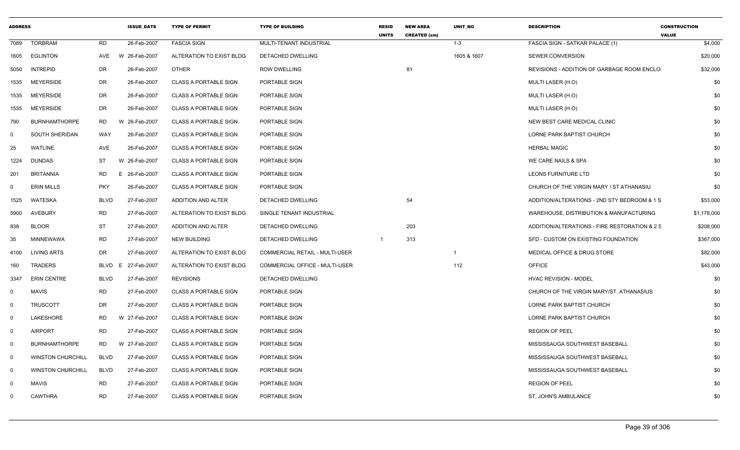| <b>ADDRESS</b> |                          |             | <b>ISSUE DATE</b>  | <b>TYPE OF PERMIT</b>        | <b>TYPE OF BUILDING</b>               | <b>RESID</b><br><b>UNITS</b> | <b>NEW AREA</b><br><b>CREATED (sm)</b> | <b>UNIT NO</b> | <b>DESCRIPTION</b>                            | <b>CONSTRUCTION</b><br><b>VALUE</b> |
|----------------|--------------------------|-------------|--------------------|------------------------------|---------------------------------------|------------------------------|----------------------------------------|----------------|-----------------------------------------------|-------------------------------------|
| 7089           | <b>TORBRAM</b>           | <b>RD</b>   | 26-Feb-2007        | <b>FASCIA SIGN</b>           | MULTI-TENANT INDUSTRIAL               |                              |                                        | $1 - 3$        | FASCIA SIGN - SATKAR PALACE (1)               | \$4,000                             |
| 1605           | <b>EGLINTON</b>          | AVE         | W 26-Feb-2007      | ALTERATION TO EXIST BLDG     | DETACHED DWELLING                     |                              |                                        | 1605 & 1607    | <b>SEWER CONVERSION</b>                       | \$20,000                            |
| 5050           | <b>INTREPID</b>          | DR          | 26-Feb-2007        | <b>OTHER</b>                 | <b>ROW DWELLING</b>                   |                              | 81                                     |                | REVISIONS - ADDITION OF GARBAGE ROOM ENCLO    | \$32,000                            |
| 1535           | <b>MEYERSIDE</b>         | DR          | 26-Feb-2007        | <b>CLASS A PORTABLE SIGN</b> | PORTABLE SIGN                         |                              |                                        |                | MULTI LASER (H.O)                             | \$0                                 |
| 1535           | <b>MEYERSIDE</b>         | DR          | 26-Feb-2007        | <b>CLASS A PORTABLE SIGN</b> | PORTABLE SIGN                         |                              |                                        |                | MULTI LASER (H.O)                             | \$0                                 |
| 1535           | <b>MEYERSIDE</b>         | DR          | 26-Feb-2007        | <b>CLASS A PORTABLE SIGN</b> | PORTABLE SIGN                         |                              |                                        |                | MULTI LASER (H.O)                             | \$0                                 |
| 790            | <b>BURNHAMTHORPE</b>     | <b>RD</b>   | W 26-Feb-2007      | <b>CLASS A PORTABLE SIGN</b> | PORTABLE SIGN                         |                              |                                        |                | NEW BEST CARE MEDICAL CLINIC                  | \$0                                 |
| $\mathbf 0$    | SOUTH SHERIDAN           | WAY         | 26-Feb-2007        | <b>CLASS A PORTABLE SIGN</b> | PORTABLE SIGN                         |                              |                                        |                | LORNE PARK BAPTIST CHURCH                     | \$0                                 |
| 25             | <b>WATLINE</b>           | AVE         | 26-Feb-2007        | <b>CLASS A PORTABLE SIGN</b> | PORTABLE SIGN                         |                              |                                        |                | <b>HERBAL MAGIC</b>                           | \$0                                 |
| 1224           | <b>DUNDAS</b>            | ST          | W 26-Feb-2007      | <b>CLASS A PORTABLE SIGN</b> | PORTABLE SIGN                         |                              |                                        |                | WE CARE NAILS & SPA                           | \$0                                 |
| 201            | <b>BRITANNIA</b>         | <b>RD</b>   | E 26-Feb-2007      | <b>CLASS A PORTABLE SIGN</b> | PORTABLE SIGN                         |                              |                                        |                | LEONS FURNITURE LTD                           | \$0                                 |
| $\Omega$       | <b>ERIN MILLS</b>        | <b>PKY</b>  | 26-Feb-2007        | <b>CLASS A PORTABLE SIGN</b> | PORTABLE SIGN                         |                              |                                        |                | CHURCH OF THE VIRGIN MARY / ST ATHANASIU      | \$0                                 |
| 1525           | WATESKA                  | <b>BLVD</b> | 27-Feb-2007        | ADDITION AND ALTER           | DETACHED DWELLING                     |                              | 54                                     |                | ADDITION/ALTERATIONS - 2ND STY BEDROOM & 1 S  | \$53,000                            |
| 5900           | <b>AVEBURY</b>           | RD          | 27-Feb-2007        | ALTERATION TO EXIST BLDG     | SINGLE TENANT INDUSTRIAL              |                              |                                        |                | WAREHOUSE, DISTRIBUTION & MANUFACTURING       | \$1,178,000                         |
| 838            | <b>BLOOR</b>             | ST          | 27-Feb-2007        | ADDITION AND ALTER           | DETACHED DWELLING                     |                              | 203                                    |                | ADDITION/ALTERATIONS - FIRE RESTORATION & 2 S | \$208,000                           |
| 35             | <b>MINNEWAWA</b>         | <b>RD</b>   | 27-Feb-2007        | <b>NEW BUILDING</b>          | DETACHED DWELLING                     | $\overline{1}$               | 313                                    |                | SFD - CUSTOM ON EXISTING FOUNDATION           | \$367,000                           |
| 4100           | <b>LIVING ARTS</b>       | DR          | 27-Feb-2007        | ALTERATION TO EXIST BLDG     | <b>COMMERCIAL RETAIL - MULTI-USER</b> |                              |                                        | $\overline{1}$ | MEDICAL OFFICE & DRUG STORE                   | \$82,000                            |
| 160            | TRADERS                  |             | BLVD E 27-Feb-2007 | ALTERATION TO EXIST BLDG     | COMMERCIAL OFFICE - MULTI-USER        |                              |                                        | 112            | <b>OFFICE</b>                                 | \$43,000                            |
| 3347           | <b>ERIN CENTRE</b>       | <b>BLVD</b> | 27-Feb-2007        | <b>REVISIONS</b>             | DETACHED DWELLING                     |                              |                                        |                | <b>HVAC REVISION - MODEL</b>                  | \$0                                 |
| $\mathbf 0$    | <b>MAVIS</b>             | <b>RD</b>   | 27-Feb-2007        | <b>CLASS A PORTABLE SIGN</b> | PORTABLE SIGN                         |                              |                                        |                | CHURCH OF THE VIRGIN MARY/ST. ATHANASIUS      | \$0                                 |
| $\mathbf 0$    | <b>TRUSCOTT</b>          | DR          | 27-Feb-2007        | <b>CLASS A PORTABLE SIGN</b> | PORTABLE SIGN                         |                              |                                        |                | LORNE PARK BAPTIST CHURCH                     | \$0                                 |
| $\mathbf 0$    | LAKESHORE                | RD          | W 27-Feb-2007      | <b>CLASS A PORTABLE SIGN</b> | PORTABLE SIGN                         |                              |                                        |                | LORNE PARK BAPTIST CHURCH                     | \$0                                 |
| $\mathbf 0$    | <b>AIRPORT</b>           | <b>RD</b>   | 27-Feb-2007        | <b>CLASS A PORTABLE SIGN</b> | <b>PORTABLE SIGN</b>                  |                              |                                        |                | <b>REGION OF PEEL</b>                         | \$0                                 |
| $\mathbf 0$    | <b>BURNHAMTHORPE</b>     | RD          | W 27-Feb-2007      | <b>CLASS A PORTABLE SIGN</b> | PORTABLE SIGN                         |                              |                                        |                | MISSISSAUGA SOUTHWEST BASEBALL                | \$0                                 |
| $\mathbf 0$    | <b>WINSTON CHURCHILL</b> | <b>BLVD</b> | 27-Feb-2007        | <b>CLASS A PORTABLE SIGN</b> | PORTABLE SIGN                         |                              |                                        |                | MISSISSAUGA SOUTHWEST BASEBALL                | \$0                                 |
| $\mathbf 0$    | <b>WINSTON CHURCHILL</b> | <b>BLVD</b> | 27-Feb-2007        | <b>CLASS A PORTABLE SIGN</b> | PORTABLE SIGN                         |                              |                                        |                | MISSISSAUGA SOUTHWEST BASEBALL                | \$0                                 |
| $\mathbf 0$    | <b>MAVIS</b>             | <b>RD</b>   | 27-Feb-2007        | <b>CLASS A PORTABLE SIGN</b> | PORTABLE SIGN                         |                              |                                        |                | <b>REGION OF PEEL</b>                         | \$0                                 |
| $\Omega$       | <b>CAWTHRA</b>           | <b>RD</b>   | 27-Feb-2007        | <b>CLASS A PORTABLE SIGN</b> | PORTABLE SIGN                         |                              |                                        |                | ST. JOHN'S AMBULANCE                          | \$0                                 |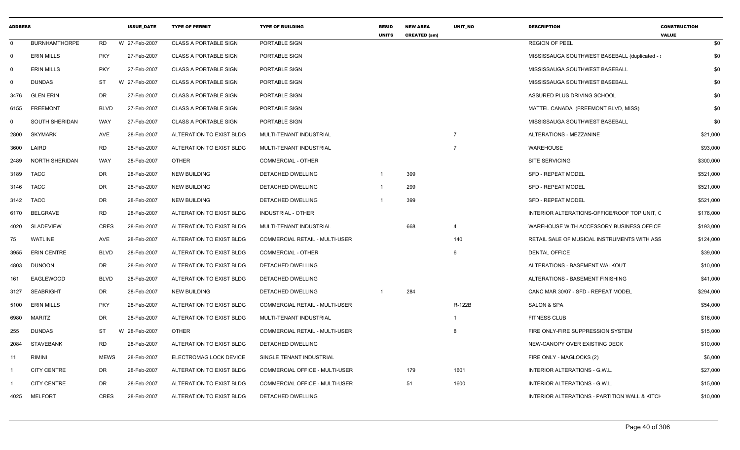| <b>ADDRESS</b> |                      |             | <b>ISSUE DATE</b> | <b>TYPE OF PERMIT</b>        | <b>TYPE OF BUILDING</b>               | <b>RESID</b><br><b>UNITS</b> | <b>NEW AREA</b><br><b>CREATED (sm)</b> | UNIT_NO        | <b>DESCRIPTION</b>                             | <b>CONSTRUCTION</b><br><b>VALUE</b> |           |
|----------------|----------------------|-------------|-------------------|------------------------------|---------------------------------------|------------------------------|----------------------------------------|----------------|------------------------------------------------|-------------------------------------|-----------|
| $\mathbf 0$    | <b>BURNHAMTHORPE</b> | RD          | W 27-Feb-2007     | <b>CLASS A PORTABLE SIGN</b> | PORTABLE SIGN                         |                              |                                        |                | <b>REGION OF PEEL</b>                          |                                     | \$0       |
| $\mathbf 0$    | <b>ERIN MILLS</b>    | <b>PKY</b>  | 27-Feb-2007       | <b>CLASS A PORTABLE SIGN</b> | PORTABLE SIGN                         |                              |                                        |                | MISSISSAUGA SOUTHWEST BASEBALL (duplicated - : |                                     | \$0       |
| $\Omega$       | <b>ERIN MILLS</b>    | <b>PKY</b>  | 27-Feb-2007       | <b>CLASS A PORTABLE SIGN</b> | PORTABLE SIGN                         |                              |                                        |                | MISSISSAUGA SOUTHWEST BASEBALL                 |                                     | \$0       |
| 0              | <b>DUNDAS</b>        | ST          | W 27-Feb-2007     | <b>CLASS A PORTABLE SIGN</b> | PORTABLE SIGN                         |                              |                                        |                | MISSISSAUGA SOUTHWEST BASEBALL                 |                                     | \$0       |
| 3476           | <b>GLEN ERIN</b>     | DR          | 27-Feb-2007       | <b>CLASS A PORTABLE SIGN</b> | PORTABLE SIGN                         |                              |                                        |                | ASSURED PLUS DRIVING SCHOOL                    |                                     | \$0       |
| 6155           | <b>FREEMONT</b>      | <b>BLVD</b> | 27-Feb-2007       | <b>CLASS A PORTABLE SIGN</b> | PORTABLE SIGN                         |                              |                                        |                | MATTEL CANADA (FREEMONT BLVD, MISS)            |                                     | \$0       |
| 0              | SOUTH SHERIDAN       | WAY         | 27-Feb-2007       | <b>CLASS A PORTABLE SIGN</b> | PORTABLE SIGN                         |                              |                                        |                | MISSISSAUGA SOUTHWEST BASEBALL                 |                                     | \$0       |
| 2800           | <b>SKYMARK</b>       | AVE         | 28-Feb-2007       | ALTERATION TO EXIST BLDG     | MULTI-TENANT INDUSTRIAL               |                              |                                        | $\overline{7}$ | ALTERATIONS - MEZZANINE                        |                                     | \$21,000  |
| 3600           | LAIRD                | <b>RD</b>   | 28-Feb-2007       | ALTERATION TO EXIST BLDG     | MULTI-TENANT INDUSTRIAL               |                              |                                        | $\overline{7}$ | <b>WAREHOUSE</b>                               |                                     | \$93,000  |
| 2489           | NORTH SHERIDAN       | WAY         | 28-Feb-2007       | <b>OTHER</b>                 | COMMERCIAL - OTHER                    |                              |                                        |                | SITE SERVICING                                 |                                     | \$300,000 |
| 3189           | <b>TACC</b>          | DR          | 28-Feb-2007       | <b>NEW BUILDING</b>          | DETACHED DWELLING                     | $\overline{1}$               | 399                                    |                | <b>SFD - REPEAT MODEL</b>                      |                                     | \$521,000 |
| 3146           | <b>TACC</b>          | DR          | 28-Feb-2007       | <b>NEW BUILDING</b>          | DETACHED DWELLING                     |                              | 299                                    |                | <b>SFD - REPEAT MODEL</b>                      |                                     | \$521,000 |
| 3142           | <b>TACC</b>          | DR          | 28-Feb-2007       | <b>NEW BUILDING</b>          | DETACHED DWELLING                     |                              | 399                                    |                | <b>SFD - REPEAT MODEL</b>                      |                                     | \$521,000 |
| 6170           | BELGRAVE             | RD          | 28-Feb-2007       | ALTERATION TO EXIST BLDG     | <b>INDUSTRIAL - OTHER</b>             |                              |                                        |                | INTERIOR ALTERATIONS-OFFICE/ROOF TOP UNIT, C   |                                     | \$176,000 |
| 4020           | <b>SLADEVIEW</b>     | CRES        | 28-Feb-2007       | ALTERATION TO EXIST BLDG     | MULTI-TENANT INDUSTRIAL               |                              | 668                                    |                | WAREHOUSE WITH ACCESSORY BUSINESS OFFICE       |                                     | \$193,000 |
| 75             | WATLINE              | AVE         | 28-Feb-2007       | ALTERATION TO EXIST BLDG     | COMMERCIAL RETAIL - MULTI-USER        |                              |                                        | 140            | RETAIL SALE OF MUSICAL INSTRUMENTS WITH ASS    |                                     | \$124,000 |
| 3955           | <b>ERIN CENTRE</b>   | <b>BLVD</b> | 28-Feb-2007       | ALTERATION TO EXIST BLDG     | <b>COMMERCIAL - OTHER</b>             |                              |                                        | 6              | <b>DENTAL OFFICE</b>                           |                                     | \$39,000  |
| 4803           | <b>DUNOON</b>        | DR          | 28-Feb-2007       | ALTERATION TO EXIST BLDG     | DETACHED DWELLING                     |                              |                                        |                | ALTERATIONS - BASEMENT WALKOUT                 |                                     | \$10,000  |
| 161            | EAGLEWOOD            | <b>BLVD</b> | 28-Feb-2007       | ALTERATION TO EXIST BLDG     | DETACHED DWELLING                     |                              |                                        |                | ALTERATIONS - BASEMENT FINISHING               |                                     | \$41,000  |
| 3127           | <b>SEABRIGHT</b>     | DR          | 28-Feb-2007       | <b>NEW BUILDING</b>          | DETACHED DWELLING                     | $\overline{1}$               | 284                                    |                | CANC MAR 30/07 - SFD - REPEAT MODEL            |                                     | \$294,000 |
| 5100           | <b>ERIN MILLS</b>    | <b>PKY</b>  | 28-Feb-2007       | ALTERATION TO EXIST BLDG     | <b>COMMERCIAL RETAIL - MULTI-USER</b> |                              |                                        | R-122B         | <b>SALON &amp; SPA</b>                         |                                     | \$54,000  |
| 6980           | MARITZ               | DR          | 28-Feb-2007       | ALTERATION TO EXIST BLDG     | MULTI-TENANT INDUSTRIAL               |                              |                                        |                | <b>FITNESS CLUB</b>                            |                                     | \$16,000  |
| 255            | <b>DUNDAS</b>        | ST          | W 28-Feb-2007     | <b>OTHER</b>                 | <b>COMMERCIAL RETAIL - MULTI-USER</b> |                              |                                        | 8              | FIRE ONLY-FIRE SUPPRESSION SYSTEM              |                                     | \$15,000  |
| 2084           | <b>STAVEBANK</b>     | RD          | 28-Feb-2007       | ALTERATION TO EXIST BLDG     | DETACHED DWELLING                     |                              |                                        |                | NEW-CANOPY OVER EXISTING DECK                  |                                     | \$10,000  |
| 11             | <b>RIMINI</b>        | <b>MEWS</b> | 28-Feb-2007       | ELECTROMAG LOCK DEVICE       | SINGLE TENANT INDUSTRIAL              |                              |                                        |                | FIRE ONLY - MAGLOCKS (2)                       |                                     | \$6,000   |
|                | <b>CITY CENTRE</b>   | DR          | 28-Feb-2007       | ALTERATION TO EXIST BLDG     | COMMERCIAL OFFICE - MULTI-USER        |                              | 179                                    | 1601           | INTERIOR ALTERATIONS - G.W.L.                  |                                     | \$27,000  |
|                | <b>CITY CENTRE</b>   | DR          | 28-Feb-2007       | ALTERATION TO EXIST BLDG     | COMMERCIAL OFFICE - MULTI-USER        |                              | 51                                     | 1600           | INTERIOR ALTERATIONS - G.W.L.                  |                                     | \$15,000  |
| 4025           | <b>MELFORT</b>       | <b>CRES</b> | 28-Feb-2007       | ALTERATION TO EXIST BLDG     | DETACHED DWELLING                     |                              |                                        |                | INTERIOR ALTERATIONS - PARTITION WALL & KITCH  |                                     | \$10,000  |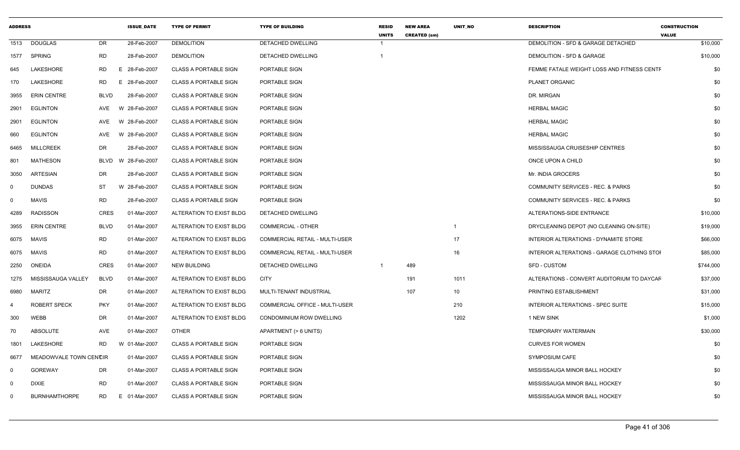| <b>ADDRESS</b> |                        |             | <b>ISSUE DATE</b> | <b>TYPE OF PERMIT</b>        | <b>TYPE OF BUILDING</b>               | <b>RESID</b><br><b>UNITS</b> | <b>NEW AREA</b><br><b>CREATED (sm)</b> | UNIT_NO        | <b>DESCRIPTION</b>                          | <b>CONSTRUCTION</b><br><b>VALUE</b> |
|----------------|------------------------|-------------|-------------------|------------------------------|---------------------------------------|------------------------------|----------------------------------------|----------------|---------------------------------------------|-------------------------------------|
| 1513           | <b>DOUGLAS</b>         | <b>DR</b>   | 28-Feb-2007       | <b>DEMOLITION</b>            | DETACHED DWELLING                     | -1                           |                                        |                | DEMOLITION - SFD & GARAGE DETACHED          | \$10,000                            |
| 1577           | <b>SPRING</b>          | RD          | 28-Feb-2007       | <b>DEMOLITION</b>            | DETACHED DWELLING                     | $\overline{\mathbf{1}}$      |                                        |                | DEMOLITION - SFD & GARAGE                   | \$10,000                            |
| 645            | <b>LAKESHORE</b>       | RD          | E 28-Feb-2007     | <b>CLASS A PORTABLE SIGN</b> | PORTABLE SIGN                         |                              |                                        |                | FEMME FATALE WEIGHT LOSS AND FITNESS CENTF  | \$0                                 |
| 170            | LAKESHORE              | <b>RD</b>   | E.<br>28-Feb-2007 | <b>CLASS A PORTABLE SIGN</b> | PORTABLE SIGN                         |                              |                                        |                | PLANET ORGANIC                              | \$0                                 |
| 3955           | <b>ERIN CENTRE</b>     | <b>BLVD</b> | 28-Feb-2007       | <b>CLASS A PORTABLE SIGN</b> | PORTABLE SIGN                         |                              |                                        |                | DR. MIRGAN                                  | \$0                                 |
| 2901           | <b>EGLINTON</b>        | <b>AVE</b>  | W 28-Feb-2007     | <b>CLASS A PORTABLE SIGN</b> | PORTABLE SIGN                         |                              |                                        |                | <b>HERBAL MAGIC</b>                         | \$0                                 |
| 2901           | <b>EGLINTON</b>        | AVE         | W 28-Feb-2007     | <b>CLASS A PORTABLE SIGN</b> | PORTABLE SIGN                         |                              |                                        |                | <b>HERBAL MAGIC</b>                         | \$0                                 |
| 660            | <b>EGLINTON</b>        | <b>AVE</b>  | W 28-Feb-2007     | <b>CLASS A PORTABLE SIGN</b> | PORTABLE SIGN                         |                              |                                        |                | <b>HERBAL MAGIC</b>                         | \$0                                 |
| 6465           | <b>MILLCREEK</b>       | DR          | 28-Feb-2007       | <b>CLASS A PORTABLE SIGN</b> | PORTABLE SIGN                         |                              |                                        |                | MISSISSAUGA CRUISESHIP CENTRES              | \$0                                 |
| 801            | <b>MATHESON</b>        | <b>BLVD</b> | 28-Feb-2007<br>W. | <b>CLASS A PORTABLE SIGN</b> | PORTABLE SIGN                         |                              |                                        |                | ONCE UPON A CHILD                           | \$0                                 |
| 3050           | <b>ARTESIAN</b>        | DR          | 28-Feb-2007       | <b>CLASS A PORTABLE SIGN</b> | PORTABLE SIGN                         |                              |                                        |                | Mr. INDIA GROCERS                           | \$0                                 |
| $\mathbf 0$    | <b>DUNDAS</b>          | ST          | W 28-Feb-2007     | <b>CLASS A PORTABLE SIGN</b> | PORTABLE SIGN                         |                              |                                        |                | COMMUNITY SERVICES - REC. & PARKS           | \$0                                 |
| 0              | <b>MAVIS</b>           | <b>RD</b>   | 28-Feb-2007       | <b>CLASS A PORTABLE SIGN</b> | PORTABLE SIGN                         |                              |                                        |                | COMMUNITY SERVICES - REC. & PARKS           | \$0                                 |
| 4289           | <b>RADISSON</b>        | <b>CRES</b> | 01-Mar-2007       | ALTERATION TO EXIST BLDG     | DETACHED DWELLING                     |                              |                                        |                | ALTERATIONS-SIDE ENTRANCE                   | \$10,000                            |
| 3955           | <b>ERIN CENTRE</b>     | <b>BLVD</b> | 01-Mar-2007       | ALTERATION TO EXIST BLDG     | <b>COMMERCIAL - OTHER</b>             |                              |                                        | $\overline{1}$ | DRYCLEANING DEPOT (NO CLEANING ON-SITE)     | \$19,000                            |
| 6075           | MAVIS                  | <b>RD</b>   | 01-Mar-2007       | ALTERATION TO EXIST BLDG     | COMMERCIAL RETAIL - MULTI-USER        |                              |                                        | 17             | INTERIOR ALTERATIONS - DYNAMITE STORE       | \$66,000                            |
| 6075           | <b>MAVIS</b>           | <b>RD</b>   | 01-Mar-2007       | ALTERATION TO EXIST BLDG     | <b>COMMERCIAL RETAIL - MULTI-USER</b> |                              |                                        | 16             | INTERIOR ALTERATIONS - GARAGE CLOTHING STOL | \$85,000                            |
| 2250           | <b>ONEIDA</b>          | <b>CRES</b> | 01-Mar-2007       | <b>NEW BUILDING</b>          | DETACHED DWELLING                     | -1                           | 489                                    |                | <b>SFD - CUSTOM</b>                         | \$744,000                           |
| 1275           | MISSISSAUGA VALLEY     | <b>BLVD</b> | 01-Mar-2007       | ALTERATION TO EXIST BLDG     | <b>CITY</b>                           |                              | 191                                    | 1011           | ALTERATIONS - CONVERT AUDITORIUM TO DAYCAF  | \$37,000                            |
| 6980           | <b>MARITZ</b>          | <b>DR</b>   | 01-Mar-2007       | ALTERATION TO EXIST BLDG     | MULTI-TENANT INDUSTRIAL               |                              | 107                                    | 10             | PRINTING ESTABLISHMENT                      | \$31,000                            |
|                | <b>ROBERT SPECK</b>    | <b>PKY</b>  | 01-Mar-2007       | ALTERATION TO EXIST BLDG     | COMMERCIAL OFFICE - MULTI-USER        |                              |                                        | 210            | INTERIOR ALTERATIONS - SPEC SUITE           | \$15,000                            |
| 300            | WEBB                   | <b>DR</b>   | 01-Mar-2007       | ALTERATION TO EXIST BLDG     | <b>CONDOMINIUM ROW DWELLING</b>       |                              |                                        | 1202           | 1 NEW SINK                                  | \$1,000                             |
| 70             | ABSOLUTE               | <b>AVE</b>  | 01-Mar-2007       | <b>OTHER</b>                 | APARTMENT (> 6 UNITS)                 |                              |                                        |                | <b>TEMPORARY WATERMAIN</b>                  | \$30,000                            |
| 1801           | LAKESHORE              | <b>RD</b>   | W 01-Mar-2007     | <b>CLASS A PORTABLE SIGN</b> | PORTABLE SIGN                         |                              |                                        |                | <b>CURVES FOR WOMEN</b>                     | \$0                                 |
| 6677           | MEADOWVALE TOWN CENCIR |             | 01-Mar-2007       | <b>CLASS A PORTABLE SIGN</b> | PORTABLE SIGN                         |                              |                                        |                | <b>SYMPOSIUM CAFE</b>                       | \$0                                 |
| 0              | <b>GOREWAY</b>         | DR          | 01-Mar-2007       | <b>CLASS A PORTABLE SIGN</b> | PORTABLE SIGN                         |                              |                                        |                | MISSISSAUGA MINOR BALL HOCKEY               | \$0                                 |
| 0              | <b>DIXIE</b>           | <b>RD</b>   | 01-Mar-2007       | <b>CLASS A PORTABLE SIGN</b> | PORTABLE SIGN                         |                              |                                        |                | MISSISSAUGA MINOR BALL HOCKEY               | \$0                                 |
| 0              | <b>BURNHAMTHORPE</b>   | <b>RD</b>   | E 01-Mar-2007     | <b>CLASS A PORTABLE SIGN</b> | PORTABLE SIGN                         |                              |                                        |                | MISSISSAUGA MINOR BALL HOCKEY               | \$0                                 |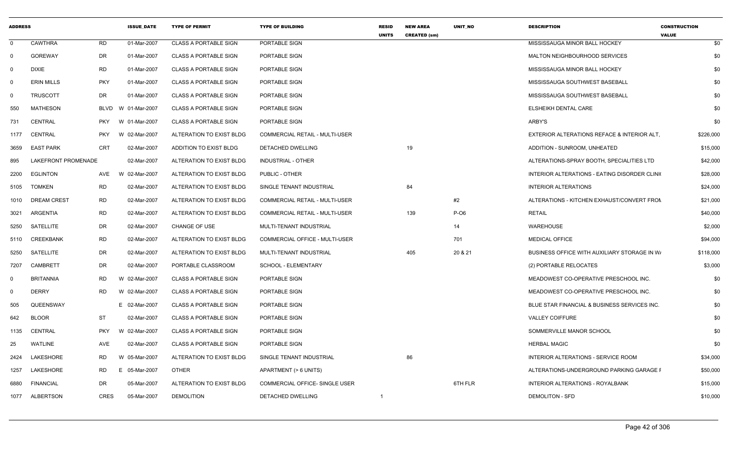| <b>ADDRESS</b> |                     |             | <b>ISSUE DATE</b> | <b>TYPE OF PERMIT</b>        | <b>TYPE OF BUILDING</b>               | <b>RESID</b><br><b>UNITS</b> | <b>NEW AREA</b><br><b>CREATED (sm)</b> | <b>UNIT NO</b> | <b>DESCRIPTION</b>                           | <b>CONSTRUCTION</b><br><b>VALUE</b> |
|----------------|---------------------|-------------|-------------------|------------------------------|---------------------------------------|------------------------------|----------------------------------------|----------------|----------------------------------------------|-------------------------------------|
| 0              | <b>CAWTHRA</b>      | <b>RD</b>   | 01-Mar-2007       | <b>CLASS A PORTABLE SIGN</b> | PORTABLE SIGN                         |                              |                                        |                | MISSISSAUGA MINOR BALL HOCKEY                | \$0                                 |
| $\mathbf 0$    | <b>GOREWAY</b>      | DR.         | 01-Mar-2007       | <b>CLASS A PORTABLE SIGN</b> | PORTABLE SIGN                         |                              |                                        |                | MALTON NEIGHBOURHOOD SERVICES                | \$0                                 |
| $\Omega$       | <b>DIXIE</b>        | <b>RD</b>   | 01-Mar-2007       | <b>CLASS A PORTABLE SIGN</b> | PORTABLE SIGN                         |                              |                                        |                | MISSISSAUGA MINOR BALL HOCKEY                | \$0                                 |
| $\mathbf 0$    | <b>ERIN MILLS</b>   | <b>PKY</b>  | 01-Mar-2007       | <b>CLASS A PORTABLE SIGN</b> | PORTABLE SIGN                         |                              |                                        |                | MISSISSAUGA SOUTHWEST BASEBALL               | \$0                                 |
| $\mathbf 0$    | <b>TRUSCOTT</b>     | <b>DR</b>   | 01-Mar-2007       | <b>CLASS A PORTABLE SIGN</b> | PORTABLE SIGN                         |                              |                                        |                | MISSISSAUGA SOUTHWEST BASEBALL               | \$0                                 |
| 550            | <b>MATHESON</b>     | BLVD        | W 01-Mar-2007     | <b>CLASS A PORTABLE SIGN</b> | PORTABLE SIGN                         |                              |                                        |                | ELSHEIKH DENTAL CARE                         | \$0                                 |
| 731            | <b>CENTRAL</b>      | PKY         | W 01-Mar-2007     | <b>CLASS A PORTABLE SIGN</b> | PORTABLE SIGN                         |                              |                                        |                | ARBY'S                                       | \$0                                 |
| 1177           | CENTRAL             | <b>PKY</b>  | W 02-Mar-2007     | ALTERATION TO EXIST BLDG     | COMMERCIAL RETAIL - MULTI-USER        |                              |                                        |                | EXTERIOR ALTERATIONS REFACE & INTERIOR ALT.  | \$226,000                           |
| 3659           | <b>EAST PARK</b>    | <b>CRT</b>  | 02-Mar-2007       | ADDITION TO EXIST BLDG       | DETACHED DWELLING                     |                              | 19                                     |                | ADDITION - SUNROOM, UNHEATED                 | \$15,000                            |
| 895            | LAKEFRONT PROMENADE |             | 02-Mar-2007       | ALTERATION TO EXIST BLDG     | <b>INDUSTRIAL - OTHER</b>             |                              |                                        |                | ALTERATIONS-SPRAY BOOTH, SPECIALITIES LTD    | \$42,000                            |
| 2200           | <b>EGLINTON</b>     | AVE         | W 02-Mar-2007     | ALTERATION TO EXIST BLDG     | PUBLIC - OTHER                        |                              |                                        |                | INTERIOR ALTERATIONS - EATING DISORDER CLINK | \$28,000                            |
| 5105           | <b>TOMKEN</b>       | <b>RD</b>   | 02-Mar-2007       | ALTERATION TO EXIST BLDG     | SINGLE TENANT INDUSTRIAL              |                              | 84                                     |                | <b>INTERIOR ALTERATIONS</b>                  | \$24,000                            |
| 1010           | <b>DREAM CREST</b>  | RD.         | 02-Mar-2007       | ALTERATION TO EXIST BLDG     | COMMERCIAL RETAIL - MULTI-USER        |                              |                                        | #2             | ALTERATIONS - KITCHEN EXHAUST/CONVERT FROM   | \$21,000                            |
| 3021           | ARGENTIA            | <b>RD</b>   | 02-Mar-2007       | ALTERATION TO EXIST BLDG     | <b>COMMERCIAL RETAIL - MULTI-USER</b> |                              | 139                                    | $P-O6$         | <b>RETAIL</b>                                | \$40,000                            |
| 5250           | <b>SATELLITE</b>    | <b>DR</b>   | 02-Mar-2007       | <b>CHANGE OF USE</b>         | MULTI-TENANT INDUSTRIAL               |                              |                                        | 14             | <b>WAREHOUSE</b>                             | \$2,000                             |
| 5110           | CREEKBANK           | <b>RD</b>   | 02-Mar-2007       | ALTERATION TO EXIST BLDG     | COMMERCIAL OFFICE - MULTI-USER        |                              |                                        | 701            | <b>MEDICAL OFFICE</b>                        | \$94,000                            |
| 5250           | <b>SATELLITE</b>    | DR          | 02-Mar-2007       | ALTERATION TO EXIST BLDG     | MULTI-TENANT INDUSTRIAL               |                              | 405                                    | 20 & 21        | BUSINESS OFFICE WITH AUXILIARY STORAGE IN W  | \$118,000                           |
| 7207           | <b>CAMBRETT</b>     | <b>DR</b>   | 02-Mar-2007       | PORTABLE CLASSROOM           | SCHOOL - ELEMENTARY                   |                              |                                        |                | (2) PORTABLE RELOCATES                       | \$3,000                             |
| 0              | <b>BRITANNIA</b>    | <b>RD</b>   | W 02-Mar-2007     | <b>CLASS A PORTABLE SIGN</b> | PORTABLE SIGN                         |                              |                                        |                | MEADOWEST CO-OPERATIVE PRESCHOOL INC.        | \$0                                 |
| $\mathbf 0$    | <b>DERRY</b>        | RD.         | W 02-Mar-2007     | <b>CLASS A PORTABLE SIGN</b> | PORTABLE SIGN                         |                              |                                        |                | MEADOWEST CO-OPERATIVE PRESCHOOL INC.        | \$0                                 |
| 505            | QUEENSWAY           |             | E 02-Mar-2007     | <b>CLASS A PORTABLE SIGN</b> | PORTABLE SIGN                         |                              |                                        |                | BLUE STAR FINANCIAL & BUSINESS SERVICES INC. | \$0                                 |
| 642            | <b>BLOOR</b>        | ST          | 02-Mar-2007       | <b>CLASS A PORTABLE SIGN</b> | PORTABLE SIGN                         |                              |                                        |                | <b>VALLEY COIFFURE</b>                       | \$0                                 |
| 1135           | CENTRAL             | <b>PKY</b>  | W 02-Mar-2007     | <b>CLASS A PORTABLE SIGN</b> | PORTABLE SIGN                         |                              |                                        |                | SOMMERVILLE MANOR SCHOOL                     | \$0                                 |
| 25             | WATLINE             | AVE         | 02-Mar-2007       | <b>CLASS A PORTABLE SIGN</b> | PORTABLE SIGN                         |                              |                                        |                | <b>HERBAL MAGIC</b>                          | \$0                                 |
| 2424           | LAKESHORE           | RD.         | W 05-Mar-2007     | ALTERATION TO EXIST BLDG     | SINGLE TENANT INDUSTRIAL              |                              | 86                                     |                | INTERIOR ALTERATIONS - SERVICE ROOM          | \$34,000                            |
| 1257           | LAKESHORE           | RD          | E 05-Mar-2007     | <b>OTHER</b>                 | APARTMENT (> 6 UNITS)                 |                              |                                        |                | ALTERATIONS-UNDERGROUND PARKING GARAGE F     | \$50,000                            |
| 6880           | <b>FINANCIAL</b>    | <b>DR</b>   | 05-Mar-2007       | ALTERATION TO EXIST BLDG     | COMMERCIAL OFFICE- SINGLE USER        |                              |                                        | 6TH FLR        | INTERIOR ALTERATIONS - ROYALBANK             | \$15,000                            |
| 1077           | ALBERTSON           | <b>CRES</b> | 05-Mar-2007       | <b>DEMOLITION</b>            | DETACHED DWELLING                     | $\mathbf{1}$                 |                                        |                | <b>DEMOLITON - SFD</b>                       | \$10,000                            |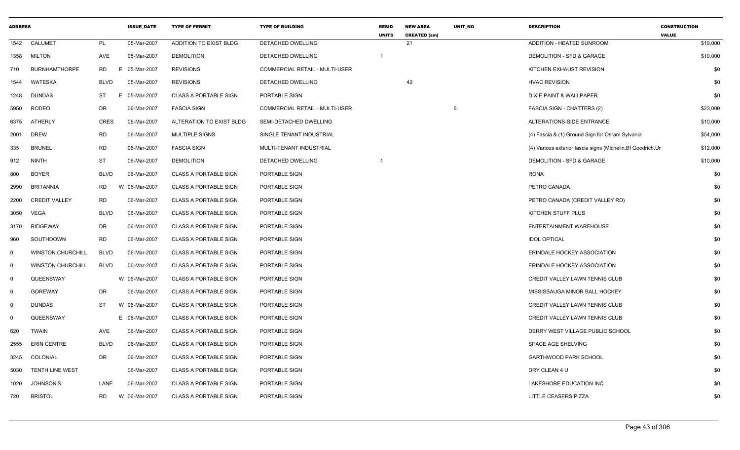| <b>ADDRESS</b> |                          |             | <b>ISSUE DATE</b> | <b>TYPE OF PERMIT</b>        | <b>TYPE OF BUILDING</b>               | <b>RESID</b><br><b>UNITS</b> | <b>NEW AREA</b><br><b>CREATED (sm)</b> | UNIT_NO | <b>DESCRIPTION</b>                                           | <b>CONSTRUCTION</b><br><b>VALUE</b> |
|----------------|--------------------------|-------------|-------------------|------------------------------|---------------------------------------|------------------------------|----------------------------------------|---------|--------------------------------------------------------------|-------------------------------------|
| 1542           | CALUMET                  | PL          | 05-Mar-2007       | ADDITION TO EXIST BLDG       | <b>DETACHED DWELLING</b>              |                              | 21                                     |         | ADDITION - HEATED SUNROOM                                    | \$19,000                            |
| 1358           | <b>MILTON</b>            | AVE         | 05-Mar-2007       | <b>DEMOLITION</b>            | DETACHED DWELLING                     | $\overline{1}$               |                                        |         | DEMOLITION - SFD & GARAGE                                    | \$10,000                            |
| 710            | <b>BURNHAMTHORPE</b>     | <b>RD</b>   | E<br>05-Mar-2007  | <b>REVISIONS</b>             | <b>COMMERCIAL RETAIL - MULTI-USER</b> |                              |                                        |         | KITCHEN EXHAUST REVISION                                     | \$0                                 |
| 1544           | WATESKA                  | <b>BLVD</b> | 05-Mar-2007       | <b>REVISIONS</b>             | DETACHED DWELLING                     |                              | 42                                     |         | <b>HVAC REVISION</b>                                         | \$0                                 |
| 1248           | DUNDAS                   | ST          | E 05-Mar-2007     | <b>CLASS A PORTABLE SIGN</b> | PORTABLE SIGN                         |                              |                                        |         | DIXIE PAINT & WALLPAPER                                      | \$0                                 |
| 5950           | RODEO                    | DR          | 06-Mar-2007       | <b>FASCIA SIGN</b>           | COMMERCIAL RETAIL - MULTI-USER        |                              |                                        | 6       | <b>FASCIA SIGN - CHATTERS (2)</b>                            | \$23,000                            |
| 6375           | ATHERLY                  | <b>CRES</b> | 06-Mar-2007       | ALTERATION TO EXIST BLDG     | SEMI-DETACHED DWELLING                |                              |                                        |         | ALTERATIONS-SIDE ENTRANCE                                    | \$10,000                            |
| 2001           | <b>DREW</b>              | <b>RD</b>   | 06-Mar-2007       | <b>MULTIPLE SIGNS</b>        | SINGLE TENANT INDUSTRIAL              |                              |                                        |         | (4) Fascia & (1) Ground Sign for Osram Sylvania              | \$54,000                            |
| 335            | <b>BRUNEL</b>            | <b>RD</b>   | 06-Mar-2007       | <b>FASCIA SIGN</b>           | MULTI-TENANT INDUSTRIAL               |                              |                                        |         | (4) Various exterior fascia signs (Michelin, Bf Goodrich, Ur | \$12,000                            |
| 912            | <b>NINTH</b>             | <b>ST</b>   | 06-Mar-2007       | <b>DEMOLITION</b>            | DETACHED DWELLING                     |                              |                                        |         | DEMOLITION - SFD & GARAGE                                    | \$10,000                            |
| 800            | <b>BOYER</b>             | <b>BLVD</b> | 06-Mar-2007       | <b>CLASS A PORTABLE SIGN</b> | PORTABLE SIGN                         |                              |                                        |         | <b>RONA</b>                                                  | \$0                                 |
| 2990           | <b>BRITANNIA</b>         | <b>RD</b>   | W 06-Mar-2007     | <b>CLASS A PORTABLE SIGN</b> | PORTABLE SIGN                         |                              |                                        |         | PETRO CANADA                                                 | \$0                                 |
| 2200           | <b>CREDIT VALLEY</b>     | <b>RD</b>   | 06-Mar-2007       | <b>CLASS A PORTABLE SIGN</b> | PORTABLE SIGN                         |                              |                                        |         | PETRO CANADA (CREDIT VALLEY RD)                              | \$0                                 |
| 3050           | VEGA                     | <b>BLVD</b> | 06-Mar-2007       | <b>CLASS A PORTABLE SIGN</b> | PORTABLE SIGN                         |                              |                                        |         | KITCHEN STUFF PLUS                                           | \$0                                 |
| 3170           | <b>RIDGEWAY</b>          | DR          | 06-Mar-2007       | <b>CLASS A PORTABLE SIGN</b> | PORTABLE SIGN                         |                              |                                        |         | ENTERTAINMENT WAREHOUSE                                      | \$0                                 |
| 960            | SOUTHDOWN                | <b>RD</b>   | 06-Mar-2007       | <b>CLASS A PORTABLE SIGN</b> | PORTABLE SIGN                         |                              |                                        |         | <b>IDOL OPTICAL</b>                                          | \$0                                 |
| $\mathbf 0$    | <b>WINSTON CHURCHILL</b> | <b>BLVD</b> | 06-Mar-2007       | <b>CLASS A PORTABLE SIGN</b> | PORTABLE SIGN                         |                              |                                        |         | ERINDALE HOCKEY ASSOCIATION                                  | \$0                                 |
| $\mathbf 0$    | <b>WINSTON CHURCHILL</b> | <b>BLVD</b> | 06-Mar-2007       | <b>CLASS A PORTABLE SIGN</b> | PORTABLE SIGN                         |                              |                                        |         | ERINDALE HOCKEY ASSOCIATION                                  | \$0                                 |
| $\mathbf 0$    | QUEENSWAY                |             | W 06-Mar-2007     | <b>CLASS A PORTABLE SIGN</b> | PORTABLE SIGN                         |                              |                                        |         | CREDIT VALLEY LAWN TENNIS CLUB                               | \$0                                 |
| $\mathbf 0$    | <b>GOREWAY</b>           | <b>DR</b>   | 06-Mar-2007       | <b>CLASS A PORTABLE SIGN</b> | PORTABLE SIGN                         |                              |                                        |         | MISSISSAUGA MINOR BALL HOCKEY                                | \$0                                 |
| $\mathbf 0$    | <b>DUNDAS</b>            | ST          | W 06-Mar-2007     | <b>CLASS A PORTABLE SIGN</b> | PORTABLE SIGN                         |                              |                                        |         | <b>CREDIT VALLEY LAWN TENNIS CLUB</b>                        | \$0                                 |
| $\mathbf 0$    | QUEENSWAY                |             | E 06-Mar-2007     | <b>CLASS A PORTABLE SIGN</b> | PORTABLE SIGN                         |                              |                                        |         | <b>CREDIT VALLEY LAWN TENNIS CLUB</b>                        | \$0                                 |
| 620            | <b>TWAIN</b>             | AVE         | 06-Mar-2007       | <b>CLASS A PORTABLE SIGN</b> | PORTABLE SIGN                         |                              |                                        |         | DERRY WEST VILLAGE PUBLIC SCHOOL                             | \$0                                 |
| 2555           | <b>ERIN CENTRE</b>       | <b>BLVD</b> | 06-Mar-2007       | <b>CLASS A PORTABLE SIGN</b> | PORTABLE SIGN                         |                              |                                        |         | SPACE AGE SHELVING                                           | \$0                                 |
| 3245           | COLONIAL                 | <b>DR</b>   | 06-Mar-2007       | <b>CLASS A PORTABLE SIGN</b> | PORTABLE SIGN                         |                              |                                        |         | <b>GARTHWOOD PARK SCHOOL</b>                                 | \$0                                 |
| 5030           | <b>TENTH LINE WEST</b>   |             | 06-Mar-2007       | <b>CLASS A PORTABLE SIGN</b> | PORTABLE SIGN                         |                              |                                        |         | DRY CLEAN 4 U                                                | \$0                                 |
| 1020           | <b>JOHNSON'S</b>         | LANE        | 06-Mar-2007       | <b>CLASS A PORTABLE SIGN</b> | PORTABLE SIGN                         |                              |                                        |         | LAKESHORE EDUCATION INC.                                     | \$0                                 |
| 720            | <b>BRISTOL</b>           | <b>RD</b>   | W 06-Mar-2007     | <b>CLASS A PORTABLE SIGN</b> | PORTABLE SIGN                         |                              |                                        |         | LITTLE CEASERS PIZZA                                         | \$0                                 |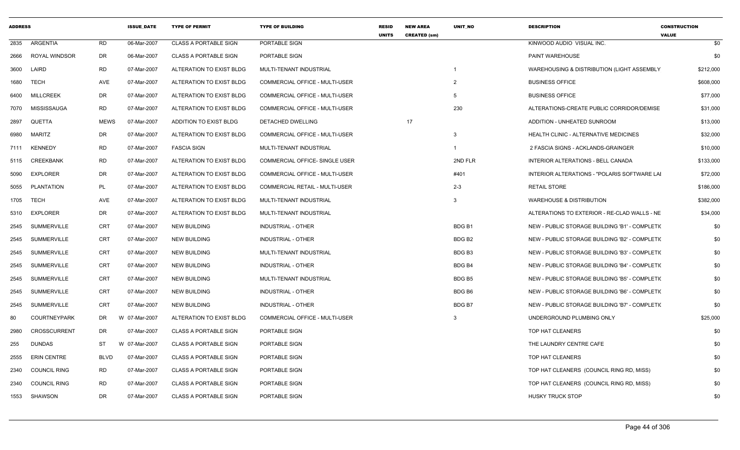| <b>ADDRESS</b> |                      |             | <b>ISSUE DATE</b> | <b>TYPE OF PERMIT</b>         | <b>TYPE OF BUILDING</b>               | <b>RESID</b><br><b>UNITS</b> | <b>NEW AREA</b><br><b>CREATED (sm)</b> | <b>UNIT NO</b>     | <b>DESCRIPTION</b>                             | <b>CONSTRUCTION</b><br><b>VALUE</b> |
|----------------|----------------------|-------------|-------------------|-------------------------------|---------------------------------------|------------------------------|----------------------------------------|--------------------|------------------------------------------------|-------------------------------------|
| 2835           | <b>ARGENTIA</b>      | <b>RD</b>   | 06-Mar-2007       | <b>CLASS A PORTABLE SIGN</b>  | PORTABLE SIGN                         |                              |                                        |                    | KINWOOD AUDIO VISUAL INC.                      | \$0                                 |
| 2666           | <b>ROYAL WINDSOR</b> | DR          | 06-Mar-2007       | <b>CLASS A PORTABLE SIGN</b>  | PORTABLE SIGN                         |                              |                                        |                    | PAINT WAREHOUSE                                | \$0                                 |
| 3600           | LAIRD                | RD          | 07-Mar-2007       | ALTERATION TO EXIST BLDG      | MULTI-TENANT INDUSTRIAL               |                              |                                        | -1                 | WAREHOUSING & DISTRIBUTION (LIGHT ASSEMBLY     | \$212,000                           |
| 1680           | <b>TECH</b>          | AVE         | 07-Mar-2007       | ALTERATION TO EXIST BLDG      | COMMERCIAL OFFICE - MULTI-USER        |                              |                                        | $\overline{2}$     | <b>BUSINESS OFFICE</b>                         | \$608,000                           |
| 6400           | <b>MILLCREEK</b>     | DR          | 07-Mar-2007       | ALTERATION TO EXIST BLDG      | COMMERCIAL OFFICE - MULTI-USER        |                              |                                        | 5                  | <b>BUSINESS OFFICE</b>                         | \$77,000                            |
| 7070           | MISSISSAUGA          | <b>RD</b>   | 07-Mar-2007       | ALTERATION TO EXIST BLDG      | COMMERCIAL OFFICE - MULTI-USER        |                              |                                        | 230                | ALTERATIONS-CREATE PUBLIC CORRIDOR/DEMISE      | \$31,000                            |
| 2897           | QUETTA               | <b>MEWS</b> | 07-Mar-2007       | <b>ADDITION TO EXIST BLDG</b> | DETACHED DWELLING                     |                              | 17                                     |                    | ADDITION - UNHEATED SUNROOM                    | \$13,000                            |
| 6980           | MARITZ               | DR          | 07-Mar-2007       | ALTERATION TO EXIST BLDG      | <b>COMMERCIAL OFFICE - MULTI-USER</b> |                              |                                        | 3                  | HEALTH CLINIC - ALTERNATIVE MEDICINES          | \$32,000                            |
| 7111           | <b>KENNEDY</b>       | <b>RD</b>   | 07-Mar-2007       | <b>FASCIA SIGN</b>            | MULTI-TENANT INDUSTRIAL               |                              |                                        | $\mathbf{1}$       | 2 FASCIA SIGNS - ACKLANDS-GRAINGER             | \$10,000                            |
| 5115           | <b>CREEKBANK</b>     | <b>RD</b>   | 07-Mar-2007       | ALTERATION TO EXIST BLDG      | COMMERCIAL OFFICE- SINGLE USER        |                              |                                        | 2ND FLR            | INTERIOR ALTERATIONS - BELL CANADA             | \$133,000                           |
| 5090           | <b>EXPLORER</b>      | DR          | 07-Mar-2007       | ALTERATION TO EXIST BLDG      | COMMERCIAL OFFICE - MULTI-USER        |                              |                                        | #401               | INTERIOR ALTERATIONS - "POLARIS SOFTWARE LAI   | \$72,000                            |
| 5055           | <b>PLANTATION</b>    | <b>PL</b>   | 07-Mar-2007       | ALTERATION TO EXIST BLDG      | <b>COMMERCIAL RETAIL - MULTI-USER</b> |                              |                                        | $2 - 3$            | <b>RETAIL STORE</b>                            | \$186,000                           |
| 1705           | <b>TECH</b>          | AVE         | 07-Mar-2007       | ALTERATION TO EXIST BLDG      | MULTI-TENANT INDUSTRIAL               |                              |                                        | 3                  | <b>WAREHOUSE &amp; DISTRIBUTION</b>            | \$382,000                           |
| 5310           | <b>EXPLORER</b>      | DR          | 07-Mar-2007       | ALTERATION TO EXIST BLDG      | MULTI-TENANT INDUSTRIAL               |                              |                                        |                    | ALTERATIONS TO EXTERIOR - RE-CLAD WALLS - NE   | \$34,000                            |
| 2545           | <b>SUMMERVILLE</b>   | <b>CRT</b>  | 07-Mar-2007       | <b>NEW BUILDING</b>           | <b>INDUSTRIAL - OTHER</b>             |                              |                                        | BDG <sub>B1</sub>  | NEW - PUBLIC STORAGE BUILDING 'B1' - COMPLETI( | \$0                                 |
| 2545           | <b>SUMMERVILLE</b>   | <b>CRT</b>  | 07-Mar-2007       | <b>NEW BUILDING</b>           | <b>INDUSTRIAL - OTHER</b>             |                              |                                        | BDG B <sub>2</sub> | NEW - PUBLIC STORAGE BUILDING 'B2' - COMPLETI( | \$0                                 |
| 2545           | <b>SUMMERVILLE</b>   | <b>CRT</b>  | 07-Mar-2007       | <b>NEW BUILDING</b>           | MULTI-TENANT INDUSTRIAL               |                              |                                        | BDG <sub>B3</sub>  | NEW - PUBLIC STORAGE BUILDING 'B3' - COMPLETI( | \$0                                 |
| 2545           | <b>SUMMERVILLE</b>   | <b>CRT</b>  | 07-Mar-2007       | <b>NEW BUILDING</b>           | <b>INDUSTRIAL - OTHER</b>             |                              |                                        | BDG B4             | NEW - PUBLIC STORAGE BUILDING 'B4' - COMPLETI( | \$0                                 |
| 2545           | <b>SUMMERVILLE</b>   | CRT         | 07-Mar-2007       | <b>NEW BUILDING</b>           | MULTI-TENANT INDUSTRIAL               |                              |                                        | BDG B5             | NEW - PUBLIC STORAGE BUILDING 'B5' - COMPLETI( | \$0                                 |
| 2545           | <b>SUMMERVILLE</b>   | <b>CRT</b>  | 07-Mar-2007       | <b>NEW BUILDING</b>           | <b>INDUSTRIAL - OTHER</b>             |                              |                                        | BDG B6             | NEW - PUBLIC STORAGE BUILDING 'B6' - COMPLETI( | \$0                                 |
| 2545           | <b>SUMMERVILLE</b>   | <b>CRT</b>  | 07-Mar-2007       | <b>NEW BUILDING</b>           | <b>INDUSTRIAL - OTHER</b>             |                              |                                        | BDG B7             | NEW - PUBLIC STORAGE BUILDING 'B7' - COMPLETI( | \$0                                 |
| 80             | <b>COURTNEYPARK</b>  | DR          | 07-Mar-2007<br>W  | ALTERATION TO EXIST BLDG      | COMMERCIAL OFFICE - MULTI-USER        |                              |                                        | 3                  | UNDERGROUND PLUMBING ONLY                      | \$25,000                            |
| 2980           | CROSSCURRENT         | DR.         | 07-Mar-2007       | <b>CLASS A PORTABLE SIGN</b>  | PORTABLE SIGN                         |                              |                                        |                    | TOP HAT CLEANERS                               | \$0                                 |
| 255            | <b>DUNDAS</b>        | ST          | W 07-Mar-2007     | <b>CLASS A PORTABLE SIGN</b>  | PORTABLE SIGN                         |                              |                                        |                    | THE LAUNDRY CENTRE CAFE                        | \$0                                 |
| 2555           | <b>ERIN CENTRE</b>   | BLVD        | 07-Mar-2007       | <b>CLASS A PORTABLE SIGN</b>  | PORTABLE SIGN                         |                              |                                        |                    | TOP HAT CLEANERS                               | \$0                                 |
| 2340           | <b>COUNCIL RING</b>  | <b>RD</b>   | 07-Mar-2007       | <b>CLASS A PORTABLE SIGN</b>  | PORTABLE SIGN                         |                              |                                        |                    | TOP HAT CLEANERS (COUNCIL RING RD, MISS)       | \$0                                 |
| 2340           | <b>COUNCIL RING</b>  | RD          | 07-Mar-2007       | <b>CLASS A PORTABLE SIGN</b>  | PORTABLE SIGN                         |                              |                                        |                    | TOP HAT CLEANERS (COUNCIL RING RD, MISS)       | \$0                                 |
| 1553           | SHAWSON              | DR          | 07-Mar-2007       | <b>CLASS A PORTABLE SIGN</b>  | PORTABLE SIGN                         |                              |                                        |                    | <b>HUSKY TRUCK STOP</b>                        | \$0                                 |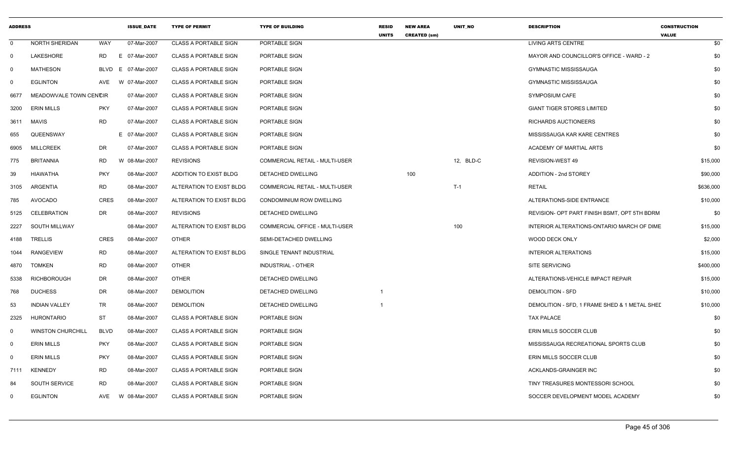| <b>ADDRESS</b> |                          |             | <b>ISSUE_DATE</b> | <b>TYPE OF PERMIT</b>        | <b>TYPE OF BUILDING</b>               | <b>RESID</b><br><b>UNITS</b> | <b>NEW AREA</b><br><b>CREATED (sm)</b> | UNIT_NO   | <b>DESCRIPTION</b>                            | <b>CONSTRUCTION</b><br><b>VALUE</b> |
|----------------|--------------------------|-------------|-------------------|------------------------------|---------------------------------------|------------------------------|----------------------------------------|-----------|-----------------------------------------------|-------------------------------------|
| 0              | <b>NORTH SHERIDAN</b>    | WAY         | 07-Mar-2007       | <b>CLASS A PORTABLE SIGN</b> | PORTABLE SIGN                         |                              |                                        |           | <b>LIVING ARTS CENTRE</b>                     | \$0                                 |
| $\Omega$       | LAKESHORE                | RD          | E 07-Mar-2007     | <b>CLASS A PORTABLE SIGN</b> | PORTABLE SIGN                         |                              |                                        |           | MAYOR AND COUNCILLOR'S OFFICE - WARD - 2      | \$0                                 |
| $\Omega$       | <b>MATHESON</b>          | <b>BLVD</b> | 07-Mar-2007<br>E. | <b>CLASS A PORTABLE SIGN</b> | PORTABLE SIGN                         |                              |                                        |           | <b>GYMNASTIC MISSISSAUGA</b>                  | \$0                                 |
| 0              | <b>EGLINTON</b>          | AVE         | W 07-Mar-2007     | <b>CLASS A PORTABLE SIGN</b> | PORTABLE SIGN                         |                              |                                        |           | <b>GYMNASTIC MISSISSAUGA</b>                  | \$0                                 |
| 6677           | MEADOWVALE TOWN CENCIR   |             | 07-Mar-2007       | <b>CLASS A PORTABLE SIGN</b> | PORTABLE SIGN                         |                              |                                        |           | <b>SYMPOSIUM CAFE</b>                         | \$0                                 |
| 3200           | <b>ERIN MILLS</b>        | <b>PKY</b>  | 07-Mar-2007       | <b>CLASS A PORTABLE SIGN</b> | PORTABLE SIGN                         |                              |                                        |           | <b>GIANT TIGER STORES LIMITED</b>             | \$0                                 |
| 3611           | <b>MAVIS</b>             | <b>RD</b>   | 07-Mar-2007       | <b>CLASS A PORTABLE SIGN</b> | PORTABLE SIGN                         |                              |                                        |           | <b>RICHARDS AUCTIONEERS</b>                   | \$0                                 |
| 655            | QUEENSWAY                |             | E 07-Mar-2007     | <b>CLASS A PORTABLE SIGN</b> | PORTABLE SIGN                         |                              |                                        |           | MISSISSAUGA KAR KARE CENTRES                  | \$0                                 |
| 6905           | MILLCREEK                | DR          | 07-Mar-2007       | <b>CLASS A PORTABLE SIGN</b> | PORTABLE SIGN                         |                              |                                        |           | ACADEMY OF MARTIAL ARTS                       | \$0                                 |
| 775            | <b>BRITANNIA</b>         | <b>RD</b>   | W 08-Mar-2007     | <b>REVISIONS</b>             | <b>COMMERCIAL RETAIL - MULTI-USER</b> |                              |                                        | 12, BLD-C | REVISION-WEST 49                              | \$15,000                            |
| 39             | HIAWATHA                 | <b>PKY</b>  | 08-Mar-2007       | ADDITION TO EXIST BLDG       | DETACHED DWELLING                     |                              | 100                                    |           | <b>ADDITION - 2nd STOREY</b>                  | \$90,000                            |
| 3105           | <b>ARGENTIA</b>          | <b>RD</b>   | 08-Mar-2007       | ALTERATION TO EXIST BLDG     | <b>COMMERCIAL RETAIL - MULTI-USER</b> |                              |                                        | $T-1$     | <b>RETAIL</b>                                 | \$636,000                           |
| 785            | <b>AVOCADO</b>           | <b>CRES</b> | 08-Mar-2007       | ALTERATION TO EXIST BLDG     | CONDOMINIUM ROW DWELLING              |                              |                                        |           | ALTERATIONS-SIDE ENTRANCE                     | \$10,000                            |
| 5125           | CELEBRATION              | <b>DR</b>   | 08-Mar-2007       | <b>REVISIONS</b>             | DETACHED DWELLING                     |                              |                                        |           | REVISION- OPT PART FINISH BSMT, OPT 5TH BDRM  | \$0                                 |
| 2227           | SOUTH MILLWAY            |             | 08-Mar-2007       | ALTERATION TO EXIST BLDG     | COMMERCIAL OFFICE - MULTI-USER        |                              |                                        | 100       | INTERIOR ALTERATIONS-ONTARIO MARCH OF DIME    | \$15,000                            |
| 4188           | TRELLIS                  | <b>CRES</b> | 08-Mar-2007       | <b>OTHER</b>                 | SEMI-DETACHED DWELLING                |                              |                                        |           | <b>WOOD DECK ONLY</b>                         | \$2,000                             |
| 1044           | <b>RANGEVIEW</b>         | <b>RD</b>   | 08-Mar-2007       | ALTERATION TO EXIST BLDG     | SINGLE TENANT INDUSTRIAL              |                              |                                        |           | <b>INTERIOR ALTERATIONS</b>                   | \$15,000                            |
| 4870           | <b>TOMKEN</b>            | RD          | 08-Mar-2007       | <b>OTHER</b>                 | <b>INDUSTRIAL - OTHER</b>             |                              |                                        |           | <b>SITE SERVICING</b>                         | \$400,000                           |
| 5338           | RICHBOROUGH              | DR          | 08-Mar-2007       | <b>OTHER</b>                 | DETACHED DWELLING                     |                              |                                        |           | ALTERATIONS-VEHICLE IMPACT REPAIR             | \$15,000                            |
| 768            | <b>DUCHESS</b>           | <b>DR</b>   | 08-Mar-2007       | <b>DEMOLITION</b>            | DETACHED DWELLING                     | $\overline{1}$               |                                        |           | <b>DEMOLITION - SFD</b>                       | \$10,000                            |
| 53             | <b>INDIAN VALLEY</b>     | <b>TR</b>   | 08-Mar-2007       | <b>DEMOLITION</b>            | DETACHED DWELLING                     | -1                           |                                        |           | DEMOLITION - SFD, 1 FRAME SHED & 1 METAL SHED | \$10,000                            |
| 2325           | <b>HURONTARIO</b>        | <b>ST</b>   | 08-Mar-2007       | <b>CLASS A PORTABLE SIGN</b> | PORTABLE SIGN                         |                              |                                        |           | <b>TAX PALACE</b>                             | \$0                                 |
| 0              | <b>WINSTON CHURCHILL</b> | <b>BLVD</b> | 08-Mar-2007       | <b>CLASS A PORTABLE SIGN</b> | PORTABLE SIGN                         |                              |                                        |           | ERIN MILLS SOCCER CLUB                        | \$0                                 |
| 0              | <b>ERIN MILLS</b>        | <b>PKY</b>  | 08-Mar-2007       | <b>CLASS A PORTABLE SIGN</b> | PORTABLE SIGN                         |                              |                                        |           | MISSISSAUGA RECREATIONAL SPORTS CLUB          | \$0                                 |
| - 0            | <b>ERIN MILLS</b>        | <b>PKY</b>  | 08-Mar-2007       | <b>CLASS A PORTABLE SIGN</b> | PORTABLE SIGN                         |                              |                                        |           | ERIN MILLS SOCCER CLUB                        | \$0                                 |
| 7111           | <b>KENNEDY</b>           | <b>RD</b>   | 08-Mar-2007       | <b>CLASS A PORTABLE SIGN</b> | PORTABLE SIGN                         |                              |                                        |           | <b>ACKLANDS-GRAINGER INC</b>                  | \$0                                 |
| 84             | <b>SOUTH SERVICE</b>     | <b>RD</b>   | 08-Mar-2007       | <b>CLASS A PORTABLE SIGN</b> | PORTABLE SIGN                         |                              |                                        |           | TINY TREASURES MONTESSORI SCHOOL              | \$0                                 |
| $\Omega$       | <b>EGLINTON</b>          | AVE         | W 08-Mar-2007     | <b>CLASS A PORTABLE SIGN</b> | PORTABLE SIGN                         |                              |                                        |           | SOCCER DEVELOPMENT MODEL ACADEMY              | \$0                                 |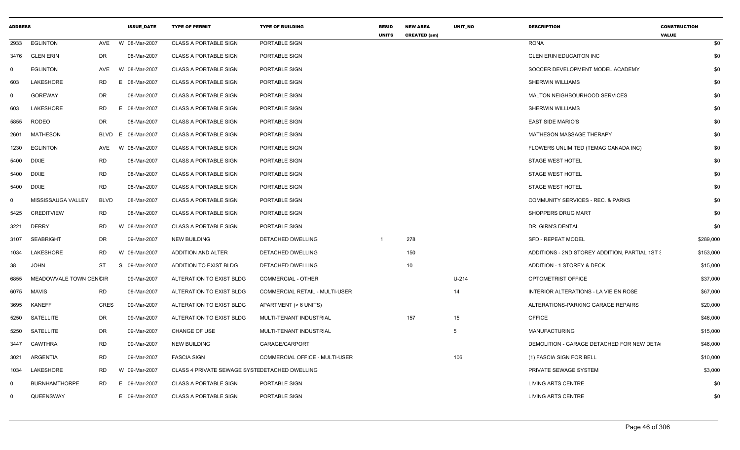| <b>ADDRESS</b> |                        |             | <b>ISSUE_DATE</b> | <b>TYPE OF PERMIT</b>                         | <b>TYPE OF BUILDING</b>               | <b>RESID</b><br><b>UNITS</b> | <b>NEW AREA</b><br><b>CREATED (sm)</b> | UNIT_NO | <b>DESCRIPTION</b>                             | <b>CONSTRUCTION</b><br><b>VALUE</b> |     |
|----------------|------------------------|-------------|-------------------|-----------------------------------------------|---------------------------------------|------------------------------|----------------------------------------|---------|------------------------------------------------|-------------------------------------|-----|
| 2933           | <b>EGLINTON</b>        | AVE         | W 08-Mar-2007     | <b>CLASS A PORTABLE SIGN</b>                  | PORTABLE SIGN                         |                              |                                        |         | <b>RONA</b>                                    |                                     | \$0 |
| 3476           | <b>GLEN ERIN</b>       | DR          | 08-Mar-2007       | <b>CLASS A PORTABLE SIGN</b>                  | PORTABLE SIGN                         |                              |                                        |         | <b>GLEN ERIN EDUCAITON INC</b>                 |                                     | \$0 |
| $\Omega$       | <b>EGLINTON</b>        | AVE         | W 08-Mar-2007     | <b>CLASS A PORTABLE SIGN</b>                  | PORTABLE SIGN                         |                              |                                        |         | SOCCER DEVELOPMENT MODEL ACADEMY               |                                     | \$0 |
| 603            | LAKESHORE              | <b>RD</b>   | E.<br>08-Mar-2007 | <b>CLASS A PORTABLE SIGN</b>                  | PORTABLE SIGN                         |                              |                                        |         | SHERWIN WILLIAMS                               |                                     | \$0 |
| $\mathbf 0$    | <b>GOREWAY</b>         | DR          | 08-Mar-2007       | <b>CLASS A PORTABLE SIGN</b>                  | PORTABLE SIGN                         |                              |                                        |         | MALTON NEIGHBOURHOOD SERVICES                  |                                     | \$0 |
| 603            | <b>LAKESHORE</b>       | <b>RD</b>   | E 08-Mar-2007     | <b>CLASS A PORTABLE SIGN</b>                  | PORTABLE SIGN                         |                              |                                        |         | <b>SHERWIN WILLIAMS</b>                        |                                     | \$0 |
| 5855           | <b>RODEO</b>           | DR          | 08-Mar-2007       | <b>CLASS A PORTABLE SIGN</b>                  | PORTABLE SIGN                         |                              |                                        |         | <b>EAST SIDE MARIO'S</b>                       |                                     | \$0 |
| 2601           | <b>MATHESON</b>        | <b>BLVD</b> | E.<br>08-Mar-2007 | <b>CLASS A PORTABLE SIGN</b>                  | PORTABLE SIGN                         |                              |                                        |         | MATHESON MASSAGE THERAPY                       |                                     | \$0 |
| 1230           | <b>EGLINTON</b>        | AVE         | W 08-Mar-2007     | <b>CLASS A PORTABLE SIGN</b>                  | PORTABLE SIGN                         |                              |                                        |         | FLOWERS UNLIMITED (TEMAG CANADA INC)           |                                     | \$0 |
| 5400           | <b>DIXIE</b>           | <b>RD</b>   | 08-Mar-2007       | <b>CLASS A PORTABLE SIGN</b>                  | PORTABLE SIGN                         |                              |                                        |         | <b>STAGE WEST HOTEL</b>                        |                                     | \$0 |
| 5400           | <b>DIXIE</b>           | RD          | 08-Mar-2007       | <b>CLASS A PORTABLE SIGN</b>                  | PORTABLE SIGN                         |                              |                                        |         | <b>STAGE WEST HOTEL</b>                        |                                     | \$0 |
| 5400           | <b>DIXIE</b>           | <b>RD</b>   | 08-Mar-2007       | <b>CLASS A PORTABLE SIGN</b>                  | PORTABLE SIGN                         |                              |                                        |         | <b>STAGE WEST HOTEL</b>                        |                                     | \$0 |
| $\Omega$       | MISSISSAUGA VALLEY     | <b>BLVD</b> | 08-Mar-2007       | <b>CLASS A PORTABLE SIGN</b>                  | PORTABLE SIGN                         |                              |                                        |         | COMMUNITY SERVICES - REC. & PARKS              |                                     | \$0 |
| 5425           | <b>CREDITVIEW</b>      | <b>RD</b>   | 08-Mar-2007       | <b>CLASS A PORTABLE SIGN</b>                  | PORTABLE SIGN                         |                              |                                        |         | SHOPPERS DRUG MART                             |                                     | \$0 |
| 3221           | <b>DERRY</b>           | RD          | W 08-Mar-2007     | <b>CLASS A PORTABLE SIGN</b>                  | PORTABLE SIGN                         |                              |                                        |         | DR. GIRN'S DENTAL                              |                                     | \$0 |
| 3107           | <b>SEABRIGHT</b>       | DR          | 09-Mar-2007       | <b>NEW BUILDING</b>                           | DETACHED DWELLING                     |                              | 278                                    |         | <b>SFD - REPEAT MODEL</b>                      | \$289,000                           |     |
| 1034           | LAKESHORE              | RD          | W 09-Mar-2007     | ADDITION AND ALTER                            | <b>DETACHED DWELLING</b>              |                              | 150                                    |         | ADDITIONS - 2ND STOREY ADDITION. PARTIAL 1ST & | \$153,000                           |     |
| 38             | <b>JOHN</b>            | ST          | 09-Mar-2007<br>S  | ADDITION TO EXIST BLDG                        | DETACHED DWELLING                     |                              | 10                                     |         | ADDITION - 1 STOREY & DECK                     | \$15,000                            |     |
| 6855           | MEADOWVALE TOWN CENCIR |             | 09-Mar-2007       | ALTERATION TO EXIST BLDG                      | <b>COMMERCIAL - OTHER</b>             |                              |                                        | U-214   | OPTOMETRIST OFFICE                             | \$37,000                            |     |
| 6075           | MAVIS                  | <b>RD</b>   | 09-Mar-2007       | ALTERATION TO EXIST BLDG                      | <b>COMMERCIAL RETAIL - MULTI-USER</b> |                              |                                        | 14      | INTERIOR ALTERATIONS - LA VIE EN ROSE          | \$67,000                            |     |
| 3695           | <b>KANEFF</b>          | <b>CRES</b> | 09-Mar-2007       | ALTERATION TO EXIST BLDG                      | APARTMENT (> 6 UNITS)                 |                              |                                        |         | ALTERATIONS-PARKING GARAGE REPAIRS             | \$20,000                            |     |
| 5250           | SATELLITE              | DR          | 09-Mar-2007       | ALTERATION TO EXIST BLDG                      | MULTI-TENANT INDUSTRIAL               |                              | 157                                    | 15      | <b>OFFICE</b>                                  | \$46,000                            |     |
| 5250           | SATELLITE              | DR          | 09-Mar-2007       | <b>CHANGE OF USE</b>                          | MULTI-TENANT INDUSTRIAL               |                              |                                        | 5       | <b>MANUFACTURING</b>                           | \$15,000                            |     |
| 3447           | <b>CAWTHRA</b>         | <b>RD</b>   | 09-Mar-2007       | <b>NEW BUILDING</b>                           | GARAGE/CARPORT                        |                              |                                        |         | DEMOLITION - GARAGE DETACHED FOR NEW DETA      | \$46,000                            |     |
| 3021           | ARGENTIA               | RD          | 09-Mar-2007       | <b>FASCIA SIGN</b>                            | <b>COMMERCIAL OFFICE - MULTI-USER</b> |                              |                                        | 106     | (1) FASCIA SIGN FOR BELL                       | \$10,000                            |     |
| 1034           | LAKESHORE              | RD          | W 09-Mar-2007     | CLASS 4 PRIVATE SEWAGE SYSTEDETACHED DWELLING |                                       |                              |                                        |         | PRIVATE SEWAGE SYSTEM                          | \$3,000                             |     |
| $\Omega$       | <b>BURNHAMTHORPE</b>   | <b>RD</b>   | E 09-Mar-2007     | <b>CLASS A PORTABLE SIGN</b>                  | PORTABLE SIGN                         |                              |                                        |         | <b>LIVING ARTS CENTRE</b>                      |                                     | \$0 |
| $\mathbf 0$    | QUEENSWAY              |             | E 09-Mar-2007     | <b>CLASS A PORTABLE SIGN</b>                  | PORTABLE SIGN                         |                              |                                        |         | <b>LIVING ARTS CENTRE</b>                      |                                     | \$0 |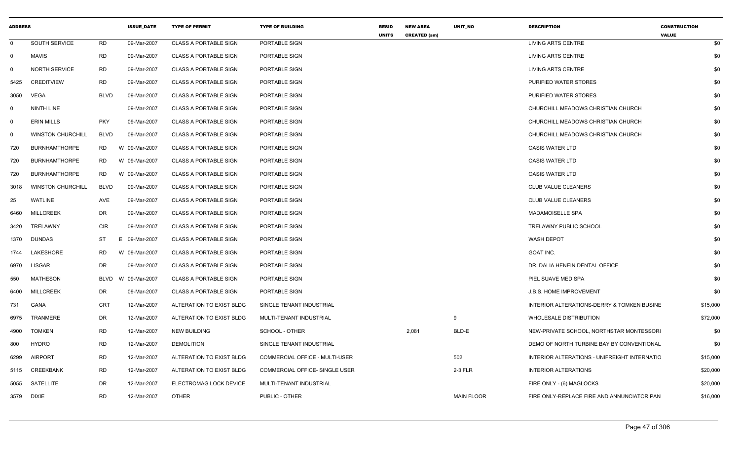| <b>ADDRESS</b> |                          |             | <b>ISSUE_DATE</b> | <b>TYPE OF PERMIT</b>        | <b>TYPE OF BUILDING</b>        | <b>RESID</b><br><b>UNITS</b> | <b>NEW AREA</b><br><b>CREATED (sm)</b> | UNIT_NO           | <b>DESCRIPTION</b>                           | <b>CONSTRUCTION</b><br><b>VALUE</b> |          |
|----------------|--------------------------|-------------|-------------------|------------------------------|--------------------------------|------------------------------|----------------------------------------|-------------------|----------------------------------------------|-------------------------------------|----------|
| $\mathbf 0$    | SOUTH SERVICE            | RD          | 09-Mar-2007       | <b>CLASS A PORTABLE SIGN</b> | PORTABLE SIGN                  |                              |                                        |                   | LIVING ARTS CENTRE                           |                                     | \$0      |
| $\Omega$       | MAVIS                    | <b>RD</b>   | 09-Mar-2007       | <b>CLASS A PORTABLE SIGN</b> | PORTABLE SIGN                  |                              |                                        |                   | LIVING ARTS CENTRE                           |                                     | \$0      |
|                | <b>NORTH SERVICE</b>     | RD          | 09-Mar-2007       | <b>CLASS A PORTABLE SIGN</b> | PORTABLE SIGN                  |                              |                                        |                   | <b>LIVING ARTS CENTRE</b>                    |                                     | \$0      |
| 5425           | <b>CREDITVIEW</b>        | <b>RD</b>   | 09-Mar-2007       | <b>CLASS A PORTABLE SIGN</b> | PORTABLE SIGN                  |                              |                                        |                   | PURIFIED WATER STORES                        |                                     | \$0      |
| 3050           | VEGA                     | BLVD        | 09-Mar-2007       | <b>CLASS A PORTABLE SIGN</b> | PORTABLE SIGN                  |                              |                                        |                   | PURIFIED WATER STORES                        |                                     | \$0      |
| - 0            | NINTH LINE               |             | 09-Mar-2007       | CLASS A PORTABLE SIGN        | PORTABLE SIGN                  |                              |                                        |                   | CHURCHILL MEADOWS CHRISTIAN CHURCH           |                                     | \$0      |
| - 0            | <b>ERIN MILLS</b>        | <b>PKY</b>  | 09-Mar-2007       | <b>CLASS A PORTABLE SIGN</b> | PORTABLE SIGN                  |                              |                                        |                   | CHURCHILL MEADOWS CHRISTIAN CHURCH           |                                     | \$0      |
| - 0            | <b>WINSTON CHURCHILL</b> | BLVD        | 09-Mar-2007       | <b>CLASS A PORTABLE SIGN</b> | PORTABLE SIGN                  |                              |                                        |                   | CHURCHILL MEADOWS CHRISTIAN CHURCH           |                                     | \$0      |
| 720            | <b>BURNHAMTHORPE</b>     | <b>RD</b>   | W 09-Mar-2007     | <b>CLASS A PORTABLE SIGN</b> | PORTABLE SIGN                  |                              |                                        |                   | <b>OASIS WATER LTD</b>                       |                                     | \$0      |
| 720            | <b>BURNHAMTHORPE</b>     | <b>RD</b>   | W 09-Mar-2007     | <b>CLASS A PORTABLE SIGN</b> | PORTABLE SIGN                  |                              |                                        |                   | <b>OASIS WATER LTD</b>                       |                                     | \$0      |
| 720            | <b>BURNHAMTHORPE</b>     | <b>RD</b>   | W 09-Mar-2007     | <b>CLASS A PORTABLE SIGN</b> | PORTABLE SIGN                  |                              |                                        |                   | <b>OASIS WATER LTD</b>                       |                                     | \$0      |
| 3018           | <b>WINSTON CHURCHILL</b> | <b>BLVD</b> | 09-Mar-2007       | <b>CLASS A PORTABLE SIGN</b> | PORTABLE SIGN                  |                              |                                        |                   | CLUB VALUE CLEANERS                          |                                     | \$0      |
| 25             | WATLINE                  | AVE         | 09-Mar-2007       | <b>CLASS A PORTABLE SIGN</b> | PORTABLE SIGN                  |                              |                                        |                   | <b>CLUB VALUE CLEANERS</b>                   |                                     | \$0      |
| 6460           | <b>MILLCREEK</b>         | DR          | 09-Mar-2007       | <b>CLASS A PORTABLE SIGN</b> | PORTABLE SIGN                  |                              |                                        |                   | <b>MADAMOISELLE SPA</b>                      |                                     | \$0      |
| 3420           | TRELAWNY                 | CIR         | 09-Mar-2007       | <b>CLASS A PORTABLE SIGN</b> | PORTABLE SIGN                  |                              |                                        |                   | TRELAWNY PUBLIC SCHOOL                       |                                     | \$0      |
|                | 1370 DUNDAS              | <b>ST</b>   | 09-Mar-2007<br>E. | <b>CLASS A PORTABLE SIGN</b> | PORTABLE SIGN                  |                              |                                        |                   | <b>WASH DEPOT</b>                            |                                     | \$0      |
| 1744           | LAKESHORE                | <b>RD</b>   | W 09-Mar-2007     | <b>CLASS A PORTABLE SIGN</b> | PORTABLE SIGN                  |                              |                                        |                   | <b>GOAT INC.</b>                             |                                     | \$0      |
| 6970           | LISGAR                   | DR          | 09-Mar-2007       | <b>CLASS A PORTABLE SIGN</b> | PORTABLE SIGN                  |                              |                                        |                   | DR. DALIA HENEIN DENTAL OFFICE               |                                     | \$0      |
| 550            | <b>MATHESON</b>          | BLVD        | W 09-Mar-2007     | <b>CLASS A PORTABLE SIGN</b> | PORTABLE SIGN                  |                              |                                        |                   | PIEL SUAVE MEDISPA                           |                                     | \$0      |
| 6400           | <b>MILLCREEK</b>         | DR          | 09-Mar-2007       | <b>CLASS A PORTABLE SIGN</b> | PORTABLE SIGN                  |                              |                                        |                   | J.B.S. HOME IMPROVEMENT                      |                                     | \$0      |
| 731            | GANA                     | <b>CRT</b>  | 12-Mar-2007       | ALTERATION TO EXIST BLDG     | SINGLE TENANT INDUSTRIAL       |                              |                                        |                   | INTERIOR ALTERATIONS-DERRY & TOMKEN BUSINE   |                                     | \$15,000 |
| 6975           | <b>TRANMERE</b>          | DR          | 12-Mar-2007       | ALTERATION TO EXIST BLDG     | MULTI-TENANT INDUSTRIAL        |                              |                                        | 9                 | <b>WHOLESALE DISTRIBUTION</b>                |                                     | \$72,000 |
| 4900           | <b>TOMKEN</b>            | <b>RD</b>   | 12-Mar-2007       | <b>NEW BUILDING</b>          | SCHOOL - OTHER                 |                              | 2,081                                  | BLD-E             | NEW-PRIVATE SCHOOL, NORTHSTAR MONTESSORI     |                                     | \$0      |
| 800            | <b>HYDRO</b>             | <b>RD</b>   | 12-Mar-2007       | <b>DEMOLITION</b>            | SINGLE TENANT INDUSTRIAL       |                              |                                        |                   | DEMO OF NORTH TURBINE BAY BY CONVENTIONAL    |                                     | \$0      |
| 6299           | <b>AIRPORT</b>           | <b>RD</b>   | 12-Mar-2007       | ALTERATION TO EXIST BLDG     | COMMERCIAL OFFICE - MULTI-USER |                              |                                        | 502               | INTERIOR ALTERATIONS - UNIFREIGHT INTERNATIC |                                     | \$15,000 |
|                | 5115 CREEKBANK           | <b>RD</b>   | 12-Mar-2007       | ALTERATION TO EXIST BLDG     | COMMERCIAL OFFICE- SINGLE USER |                              |                                        | 2-3 FLR           | <b>INTERIOR ALTERATIONS</b>                  |                                     | \$20,000 |
| 5055           | SATELLITE                | DR          | 12-Mar-2007       | ELECTROMAG LOCK DEVICE       | MULTI-TENANT INDUSTRIAL        |                              |                                        |                   | FIRE ONLY - (6) MAGLOCKS                     |                                     | \$20,000 |
|                | 3579 DIXIE               | <b>RD</b>   | 12-Mar-2007       | <b>OTHER</b>                 | PUBLIC - OTHER                 |                              |                                        | <b>MAIN FLOOR</b> | FIRE ONLY-REPLACE FIRE AND ANNUNCIATOR PAN   |                                     | \$16,000 |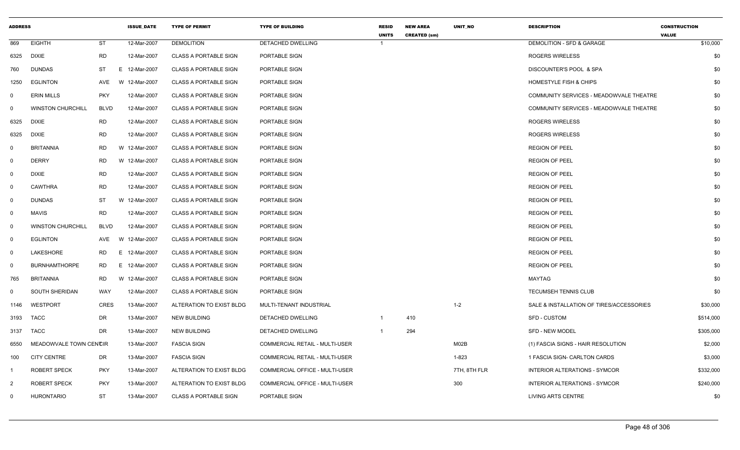| <b>ADDRESS</b> |                          |             | <b>ISSUE_DATE</b> | <b>TYPE OF PERMIT</b>        | <b>TYPE OF BUILDING</b>        | <b>RESID</b><br><b>UNITS</b> | <b>NEW AREA</b><br><b>CREATED (sm)</b> | UNIT_NO      | <b>DESCRIPTION</b>                       | <b>CONSTRUCTION</b><br><b>VALUE</b> |
|----------------|--------------------------|-------------|-------------------|------------------------------|--------------------------------|------------------------------|----------------------------------------|--------------|------------------------------------------|-------------------------------------|
| 869            | <b>EIGHTH</b>            | <b>ST</b>   | 12-Mar-2007       | <b>DEMOLITION</b>            | <b>DETACHED DWELLING</b>       | $\overline{1}$               |                                        |              | DEMOLITION - SFD & GARAGE                | \$10,000                            |
| 6325           | DIXIE                    | <b>RD</b>   | 12-Mar-2007       | <b>CLASS A PORTABLE SIGN</b> | PORTABLE SIGN                  |                              |                                        |              | <b>ROGERS WIRELESS</b>                   | \$0                                 |
| 760            | <b>DUNDAS</b>            | <b>ST</b>   | E<br>12-Mar-2007  | <b>CLASS A PORTABLE SIGN</b> | PORTABLE SIGN                  |                              |                                        |              | <b>DISCOUNTER'S POOL &amp; SPA</b>       | \$0                                 |
| 1250           | <b>EGLINTON</b>          | AVE         | W 12-Mar-2007     | <b>CLASS A PORTABLE SIGN</b> | PORTABLE SIGN                  |                              |                                        |              | <b>HOMESTYLE FISH &amp; CHIPS</b>        | \$0                                 |
| $\mathbf 0$    | <b>ERIN MILLS</b>        | <b>PKY</b>  | 12-Mar-2007       | <b>CLASS A PORTABLE SIGN</b> | PORTABLE SIGN                  |                              |                                        |              | COMMUNITY SERVICES - MEADOWVALE THEATRE  | \$0                                 |
| $\mathbf 0$    | <b>WINSTON CHURCHILL</b> | <b>BLVD</b> | 12-Mar-2007       | <b>CLASS A PORTABLE SIGN</b> | PORTABLE SIGN                  |                              |                                        |              | COMMUNITY SERVICES - MEADOWVALE THEATRE  | \$0                                 |
| 6325           | <b>DIXIE</b>             | <b>RD</b>   | 12-Mar-2007       | <b>CLASS A PORTABLE SIGN</b> | PORTABLE SIGN                  |                              |                                        |              | ROGERS WIRELESS                          | \$0                                 |
| 6325           | <b>DIXIE</b>             | <b>RD</b>   | 12-Mar-2007       | <b>CLASS A PORTABLE SIGN</b> | PORTABLE SIGN                  |                              |                                        |              | <b>ROGERS WIRELESS</b>                   | \$0                                 |
| 0              | <b>BRITANNIA</b>         | <b>RD</b>   | W 12-Mar-2007     | <b>CLASS A PORTABLE SIGN</b> | PORTABLE SIGN                  |                              |                                        |              | <b>REGION OF PEEL</b>                    | \$0                                 |
| $\mathsf{O}$   | <b>DERRY</b>             | <b>RD</b>   | W 12-Mar-2007     | <b>CLASS A PORTABLE SIGN</b> | PORTABLE SIGN                  |                              |                                        |              | <b>REGION OF PEEL</b>                    | \$0                                 |
| $\overline{0}$ | <b>DIXIE</b>             | <b>RD</b>   | 12-Mar-2007       | <b>CLASS A PORTABLE SIGN</b> | PORTABLE SIGN                  |                              |                                        |              | <b>REGION OF PEEL</b>                    | \$0                                 |
| 0              | <b>CAWTHRA</b>           | <b>RD</b>   | 12-Mar-2007       | <b>CLASS A PORTABLE SIGN</b> | PORTABLE SIGN                  |                              |                                        |              | <b>REGION OF PEEL</b>                    | \$0                                 |
| $\overline{0}$ | <b>DUNDAS</b>            | <b>ST</b>   | W 12-Mar-2007     | <b>CLASS A PORTABLE SIGN</b> | PORTABLE SIGN                  |                              |                                        |              | <b>REGION OF PEEL</b>                    | \$0                                 |
| $\overline{0}$ | <b>MAVIS</b>             | <b>RD</b>   | 12-Mar-2007       | <b>CLASS A PORTABLE SIGN</b> | PORTABLE SIGN                  |                              |                                        |              | <b>REGION OF PEEL</b>                    | \$0                                 |
| $\overline{0}$ | <b>WINSTON CHURCHILL</b> | <b>BLVD</b> | 12-Mar-2007       | <b>CLASS A PORTABLE SIGN</b> | PORTABLE SIGN                  |                              |                                        |              | <b>REGION OF PEEL</b>                    | \$0                                 |
| $\overline{0}$ | <b>EGLINTON</b>          | AVE         | W 12-Mar-2007     | <b>CLASS A PORTABLE SIGN</b> | PORTABLE SIGN                  |                              |                                        |              | <b>REGION OF PEEL</b>                    | \$0                                 |
| 0              | LAKESHORE                | <b>RD</b>   | E 12-Mar-2007     | <b>CLASS A PORTABLE SIGN</b> | PORTABLE SIGN                  |                              |                                        |              | <b>REGION OF PEEL</b>                    | \$0                                 |
| $\mathsf{O}$   | <b>BURNHAMTHORPE</b>     | RD          | E.<br>12-Mar-2007 | <b>CLASS A PORTABLE SIGN</b> | PORTABLE SIGN                  |                              |                                        |              | <b>REGION OF PEEL</b>                    | \$0                                 |
| 765            | <b>BRITANNIA</b>         | <b>RD</b>   | W 12-Mar-2007     | <b>CLASS A PORTABLE SIGN</b> | PORTABLE SIGN                  |                              |                                        |              | MAYTAG                                   | \$0                                 |
| $\mathbf 0$    | SOUTH SHERIDAN           | <b>WAY</b>  | 12-Mar-2007       | <b>CLASS A PORTABLE SIGN</b> | PORTABLE SIGN                  |                              |                                        |              | TECUMSEH TENNIS CLUB                     | \$0                                 |
| 1146           | WESTPORT                 | <b>CRES</b> | 13-Mar-2007       | ALTERATION TO EXIST BLDG     | MULTI-TENANT INDUSTRIAL        |                              |                                        | $1 - 2$      | SALE & INSTALLATION OF TIRES/ACCESSORIES | \$30,000                            |
| 3193           | TACC                     | DR          | 13-Mar-2007       | <b>NEW BUILDING</b>          | DETACHED DWELLING              | -1                           | 410                                    |              | <b>SFD - CUSTOM</b>                      | \$514,000                           |
| 3137           | TACC                     | <b>DR</b>   | 13-Mar-2007       | <b>NEW BUILDING</b>          | <b>DETACHED DWELLING</b>       | $\overline{\mathbf{1}}$      | 294                                    |              | <b>SFD - NEW MODEL</b>                   | \$305,000                           |
| 6550           | MEADOWVALE TOWN CENCIR   |             | 13-Mar-2007       | <b>FASCIA SIGN</b>           | COMMERCIAL RETAIL - MULTI-USER |                              |                                        | M02B         | (1) FASCIA SIGNS - HAIR RESOLUTION       | \$2,000                             |
| 100            | <b>CITY CENTRE</b>       | DR          | 13-Mar-2007       | <b>FASCIA SIGN</b>           | COMMERCIAL RETAIL - MULTI-USER |                              |                                        | 1-823        | 1 FASCIA SIGN- CARLTON CARDS             | \$3,000                             |
| -1             | <b>ROBERT SPECK</b>      | <b>PKY</b>  | 13-Mar-2007       | ALTERATION TO EXIST BLDG     | COMMERCIAL OFFICE - MULTI-USER |                              |                                        | 7TH, 8TH FLR | INTERIOR ALTERATIONS - SYMCOR            | \$332,000                           |
| $\overline{2}$ | <b>ROBERT SPECK</b>      | <b>PKY</b>  | 13-Mar-2007       | ALTERATION TO EXIST BLDG     | COMMERCIAL OFFICE - MULTI-USER |                              |                                        | 300          | INTERIOR ALTERATIONS - SYMCOR            | \$240,000                           |
| $\Omega$       | <b>HURONTARIO</b>        | ST          | 13-Mar-2007       | <b>CLASS A PORTABLE SIGN</b> | PORTABLE SIGN                  |                              |                                        |              | <b>LIVING ARTS CENTRE</b>                | \$0                                 |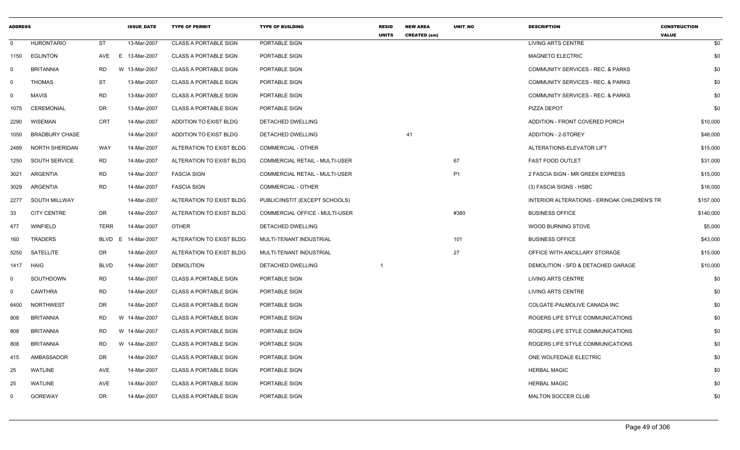| <b>ADDRESS</b> |                       |                   | <b>ISSUE DATE</b> | <b>TYPE OF PERMIT</b>        | <b>TYPE OF BUILDING</b>        | <b>RESID</b><br><b>UNITS</b> | <b>NEW AREA</b><br><b>CREATED (sm)</b> | <b>UNIT NO</b> | <b>DESCRIPTION</b>                           | <b>CONSTRUCTION</b><br><b>VALUE</b> |
|----------------|-----------------------|-------------------|-------------------|------------------------------|--------------------------------|------------------------------|----------------------------------------|----------------|----------------------------------------------|-------------------------------------|
| $\mathbf 0$    | <b>HURONTARIO</b>     | <b>ST</b>         | 13-Mar-2007       | <b>CLASS A PORTABLE SIGN</b> | PORTABLE SIGN                  |                              |                                        |                | <b>LIVING ARTS CENTRE</b>                    | \$0                                 |
| 1150           | <b>EGLINTON</b>       | AVE<br>E.         | 13-Mar-2007       | <b>CLASS A PORTABLE SIGN</b> | PORTABLE SIGN                  |                              |                                        |                | <b>MAGNETO ELECTRIC</b>                      | \$0                                 |
| $\Omega$       | <b>BRITANNIA</b>      | <b>RD</b><br>W    | 13-Mar-2007       | <b>CLASS A PORTABLE SIGN</b> | PORTABLE SIGN                  |                              |                                        |                | COMMUNITY SERVICES - REC. & PARKS            | \$0                                 |
| 0              | <b>THOMAS</b>         | <b>ST</b>         | 13-Mar-2007       | <b>CLASS A PORTABLE SIGN</b> | PORTABLE SIGN                  |                              |                                        |                | COMMUNITY SERVICES - REC. & PARKS            | \$0                                 |
| $\mathbf 0$    | <b>MAVIS</b>          | <b>RD</b>         | 13-Mar-2007       | <b>CLASS A PORTABLE SIGN</b> | PORTABLE SIGN                  |                              |                                        |                | COMMUNITY SERVICES - REC. & PARKS            | \$0                                 |
| 1075           | <b>CEREMONIAL</b>     | DR                | 13-Mar-2007       | <b>CLASS A PORTABLE SIGN</b> | PORTABLE SIGN                  |                              |                                        |                | PIZZA DEPOT                                  | \$0                                 |
| 2290           | WISEMAN               | <b>CRT</b>        | 14-Mar-2007       | ADDITION TO EXIST BLDG       | DETACHED DWELLING              |                              |                                        |                | ADDITION - FRONT COVERED PORCH               | \$10,000                            |
| 1050           | <b>BRADBURY CHASE</b> |                   | 14-Mar-2007       | ADDITION TO EXIST BLDG       | DETACHED DWELLING              |                              | 41                                     |                | ADDITION - 2-STOREY                          | \$48,000                            |
| 2489           | NORTH SHERIDAN        | WAY               | 14-Mar-2007       | ALTERATION TO EXIST BLDG     | <b>COMMERCIAL - OTHER</b>      |                              |                                        |                | ALTERATIONS-ELEVATOR LIFT                    | \$15,000                            |
| 1250           | SOUTH SERVICE         | <b>RD</b>         | 14-Mar-2007       | ALTERATION TO EXIST BLDG     | COMMERCIAL RETAIL - MULTI-USER |                              |                                        | 67             | <b>FAST FOOD OUTLET</b>                      | \$31,000                            |
| 3021           | ARGENTIA              | <b>RD</b>         | 14-Mar-2007       | <b>FASCIA SIGN</b>           | COMMERCIAL RETAIL - MULTI-USER |                              |                                        | P <sub>1</sub> | 2 FASCIA SIGN - MR GREEK EXPRESS             | \$15,000                            |
| 3029           | ARGENTIA              | <b>RD</b>         | 14-Mar-2007       | <b>FASCIA SIGN</b>           | COMMERCIAL - OTHER             |                              |                                        |                | (3) FASCIA SIGNS - HSBC                      | \$16,000                            |
| 2277           | SOUTH MILLWAY         |                   | 14-Mar-2007       | ALTERATION TO EXIST BLDG     | PUBLIC/INSTIT (EXCEPT SCHOOLS) |                              |                                        |                | INTERIOR ALTERATIONS - ERINOAK CHILDREN'S TR | \$157,000                           |
| 33             | <b>CITY CENTRE</b>    | DR                | 14-Mar-2007       | ALTERATION TO EXIST BLDG     | COMMERCIAL OFFICE - MULTI-USER |                              |                                        | #380           | <b>BUSINESS OFFICE</b>                       | \$140,000                           |
| 477            | WINFIELD              | <b>TERR</b>       | 14-Mar-2007       | <b>OTHER</b>                 | <b>DETACHED DWELLING</b>       |                              |                                        |                | <b>WOOD BURNING STOVE</b>                    | \$5,000                             |
| 160            | TRADERS               | <b>BLVD</b><br>E. | 14-Mar-2007       | ALTERATION TO EXIST BLDG     | MULTI-TENANT INDUSTRIAL        |                              |                                        | 101            | <b>BUSINESS OFFICE</b>                       | \$43,000                            |
| 5250           | SATELLITE             | DR                | 14-Mar-2007       | ALTERATION TO EXIST BLDG     | MULTI-TENANT INDUSTRIAL        |                              |                                        | 27             | OFFICE WITH ANCILLARY STORAGE                | \$15,000                            |
| 1417           | HAIG                  | <b>BLVD</b>       | 14-Mar-2007       | <b>DEMOLITION</b>            | DETACHED DWELLING              |                              |                                        |                | DEMOLITION - SFD & DETACHED GARAGE           | \$10,000                            |
| 0              | SOUTHDOWN             | <b>RD</b>         | 14-Mar-2007       | <b>CLASS A PORTABLE SIGN</b> | PORTABLE SIGN                  |                              |                                        |                | LIVING ARTS CENTRE                           | \$0                                 |
| $\mathbf 0$    | <b>CAWTHRA</b>        | RD                | 14-Mar-2007       | <b>CLASS A PORTABLE SIGN</b> | PORTABLE SIGN                  |                              |                                        |                | LIVING ARTS CENTRE                           | \$0                                 |
| 6400           | <b>NORTHWEST</b>      | DR                | 14-Mar-2007       | <b>CLASS A PORTABLE SIGN</b> | PORTABLE SIGN                  |                              |                                        |                | COLGATE-PALMOLIVE CANADA INC                 | \$0                                 |
| 808            | <b>BRITANNIA</b>      | <b>RD</b>         | W 14-Mar-2007     | <b>CLASS A PORTABLE SIGN</b> | PORTABLE SIGN                  |                              |                                        |                | ROGERS LIFE STYLE COMMUNICATIONS             | \$0                                 |
| 808            | <b>BRITANNIA</b>      | RD                | W 14-Mar-2007     | <b>CLASS A PORTABLE SIGN</b> | PORTABLE SIGN                  |                              |                                        |                | ROGERS LIFE STYLE COMMUNICATIONS             | \$0                                 |
| 808            | <b>BRITANNIA</b>      | <b>RD</b>         | W 14-Mar-2007     | <b>CLASS A PORTABLE SIGN</b> | PORTABLE SIGN                  |                              |                                        |                | ROGERS LIFE STYLE COMMUNICATIONS             | \$0                                 |
| 415            | AMBASSADOR            | DR                | 14-Mar-2007       | <b>CLASS A PORTABLE SIGN</b> | PORTABLE SIGN                  |                              |                                        |                | ONE WOLFEDALE ELECTRIC                       | \$0                                 |
| 25             | <b>WATLINE</b>        | AVE               | 14-Mar-2007       | <b>CLASS A PORTABLE SIGN</b> | PORTABLE SIGN                  |                              |                                        |                | <b>HERBAL MAGIC</b>                          | \$0                                 |
| 25             | <b>WATLINE</b>        | AVE               | 14-Mar-2007       | <b>CLASS A PORTABLE SIGN</b> | PORTABLE SIGN                  |                              |                                        |                | <b>HERBAL MAGIC</b>                          | \$0                                 |
| 0              | <b>GOREWAY</b>        | DR                | 14-Mar-2007       | <b>CLASS A PORTABLE SIGN</b> | PORTABLE SIGN                  |                              |                                        |                | MALTON SOCCER CLUB                           | \$0                                 |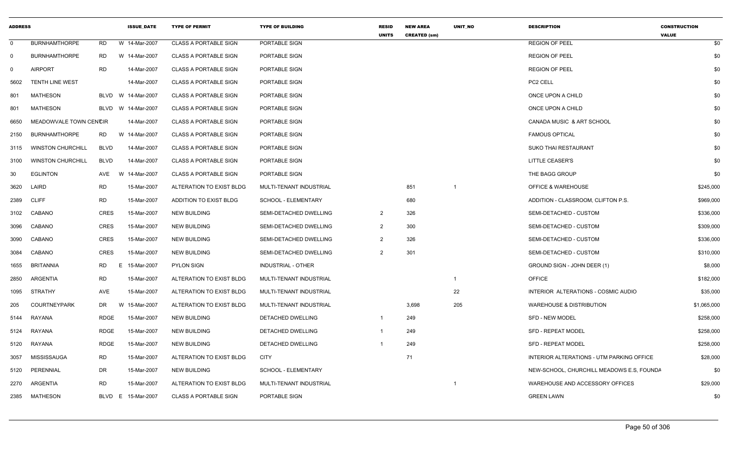| <b>ADDRESS</b> |                          |             | <b>ISSUE_DATE</b> | <b>TYPE OF PERMIT</b>        | <b>TYPE OF BUILDING</b>   | <b>RESID</b><br><b>UNITS</b> | <b>NEW AREA</b><br><b>CREATED (sm)</b> | UNIT_NO        | <b>DESCRIPTION</b>                        | <b>CONSTRUCTION</b><br><b>VALUE</b> |
|----------------|--------------------------|-------------|-------------------|------------------------------|---------------------------|------------------------------|----------------------------------------|----------------|-------------------------------------------|-------------------------------------|
| $\mathbf 0$    | <b>BURNHAMTHORPE</b>     | <b>RD</b>   | W 14-Mar-2007     | <b>CLASS A PORTABLE SIGN</b> | PORTABLE SIGN             |                              |                                        |                | <b>REGION OF PEEL</b>                     | \$0                                 |
| $\overline{0}$ | <b>BURNHAMTHORPE</b>     | <b>RD</b>   | W 14-Mar-2007     | <b>CLASS A PORTABLE SIGN</b> | PORTABLE SIGN             |                              |                                        |                | <b>REGION OF PEEL</b>                     | \$0                                 |
| $\Omega$       | <b>AIRPORT</b>           | <b>RD</b>   | 14-Mar-2007       | <b>CLASS A PORTABLE SIGN</b> | PORTABLE SIGN             |                              |                                        |                | <b>REGION OF PEEL</b>                     | \$0                                 |
| 5602           | <b>TENTH LINE WEST</b>   |             | 14-Mar-2007       | <b>CLASS A PORTABLE SIGN</b> | PORTABLE SIGN             |                              |                                        |                | PC2 CELL                                  | \$0                                 |
| 801            | <b>MATHESON</b>          | BLVD        | W 14-Mar-2007     | <b>CLASS A PORTABLE SIGN</b> | PORTABLE SIGN             |                              |                                        |                | ONCE UPON A CHILD                         | \$0                                 |
| 801            | <b>MATHESON</b>          | BLVD        | W 14-Mar-2007     | <b>CLASS A PORTABLE SIGN</b> | PORTABLE SIGN             |                              |                                        |                | ONCE UPON A CHILD                         | \$0                                 |
| 6650           | MEADOWVALE TOWN CENCIR   |             | 14-Mar-2007       | <b>CLASS A PORTABLE SIGN</b> | PORTABLE SIGN             |                              |                                        |                | CANADA MUSIC & ART SCHOOL                 | \$0                                 |
| 2150           | <b>BURNHAMTHORPE</b>     | <b>RD</b>   | W 14-Mar-2007     | <b>CLASS A PORTABLE SIGN</b> | PORTABLE SIGN             |                              |                                        |                | <b>FAMOUS OPTICAL</b>                     | \$0                                 |
| 3115           | <b>WINSTON CHURCHILL</b> | <b>BLVD</b> | 14-Mar-2007       | <b>CLASS A PORTABLE SIGN</b> | PORTABLE SIGN             |                              |                                        |                | <b>SUKO THAI RESTAURANT</b>               | \$0                                 |
| 3100           | <b>WINSTON CHURCHILL</b> | <b>BLVD</b> | 14-Mar-2007       | <b>CLASS A PORTABLE SIGN</b> | PORTABLE SIGN             |                              |                                        |                | <b>LITTLE CEASER'S</b>                    | \$0                                 |
| 30             | <b>EGLINTON</b>          | AVE         | 14-Mar-2007<br>W  | <b>CLASS A PORTABLE SIGN</b> | PORTABLE SIGN             |                              |                                        |                | THE BAGG GROUP                            | \$0                                 |
| 3620           | LAIRD                    | <b>RD</b>   | 15-Mar-2007       | ALTERATION TO EXIST BLDG     | MULTI-TENANT INDUSTRIAL   |                              | 851                                    | $\overline{1}$ | OFFICE & WAREHOUSE                        | \$245,000                           |
| 2389           | <b>CLIFF</b>             | <b>RD</b>   | 15-Mar-2007       | ADDITION TO EXIST BLDG       | SCHOOL - ELEMENTARY       |                              | 680                                    |                | ADDITION - CLASSROOM, CLIFTON P.S.        | \$969,000                           |
| 3102           | CABANO                   | CRES        | 15-Mar-2007       | <b>NEW BUILDING</b>          | SEMI-DETACHED DWELLING    | $\overline{2}$               | 326                                    |                | SEMI-DETACHED - CUSTOM                    | \$336,000                           |
| 3096           | CABANO                   | CRES        | 15-Mar-2007       | <b>NEW BUILDING</b>          | SEMI-DETACHED DWELLING    | $\overline{2}$               | 300                                    |                | SEMI-DETACHED - CUSTOM                    | \$309,000                           |
| 3090           | CABANO                   | CRES        | 15-Mar-2007       | <b>NEW BUILDING</b>          | SEMI-DETACHED DWELLING    | $\overline{2}$               | 326                                    |                | SEMI-DETACHED - CUSTOM                    | \$336,000                           |
| 3084           | CABANO                   | <b>CRES</b> | 15-Mar-2007       | <b>NEW BUILDING</b>          | SEMI-DETACHED DWELLING    | 2                            | 301                                    |                | SEMI-DETACHED - CUSTOM                    | \$310,000                           |
| 1655           | <b>BRITANNIA</b>         | <b>RD</b>   | E<br>15-Mar-2007  | <b>PYLON SIGN</b>            | <b>INDUSTRIAL - OTHER</b> |                              |                                        |                | GROUND SIGN - JOHN DEER (1)               | \$8,000                             |
| 2850           | <b>ARGENTIA</b>          | <b>RD</b>   | 15-Mar-2007       | ALTERATION TO EXIST BLDG     | MULTI-TENANT INDUSTRIAL   |                              |                                        | $\overline{1}$ | <b>OFFICE</b>                             | \$182,000                           |
| 1095           | STRATHY                  | <b>AVE</b>  | 15-Mar-2007       | ALTERATION TO EXIST BLDG     | MULTI-TENANT INDUSTRIAL   |                              |                                        | 22             | INTERIOR ALTERATIONS - COSMIC AUDIO       | \$35,000                            |
| 205            | COURTNEYPARK             | DR          | W<br>15-Mar-2007  | ALTERATION TO EXIST BLDG     | MULTI-TENANT INDUSTRIAL   |                              | 3,698                                  | 205            | <b>WAREHOUSE &amp; DISTRIBUTION</b>       | \$1,065,000                         |
| 5144           | RAYANA                   | <b>RDGE</b> | 15-Mar-2007       | <b>NEW BUILDING</b>          | DETACHED DWELLING         | $\overline{1}$               | 249                                    |                | SFD - NEW MODEL                           | \$258,000                           |
| 5124           | RAYANA                   | <b>RDGE</b> | 15-Mar-2007       | <b>NEW BUILDING</b>          | DETACHED DWELLING         | -1                           | 249                                    |                | SFD - REPEAT MODEL                        | \$258,000                           |
| 5120           | RAYANA                   | <b>RDGE</b> | 15-Mar-2007       | <b>NEW BUILDING</b>          | DETACHED DWELLING         |                              | 249                                    |                | <b>SFD - REPEAT MODEL</b>                 | \$258,000                           |
| 3057           | <b>MISSISSAUGA</b>       | <b>RD</b>   | 15-Mar-2007       | ALTERATION TO EXIST BLDG     | <b>CITY</b>               |                              | 71                                     |                | INTERIOR ALTERATIONS - UTM PARKING OFFICE | \$28,000                            |
| 5120           | PERENNIAL                | DR          | 15-Mar-2007       | <b>NEW BUILDING</b>          | SCHOOL - ELEMENTARY       |                              |                                        |                | NEW-SCHOOL, CHURCHILL MEADOWS E.S, FOUNDA | \$0                                 |
| 2270           | ARGENTIA                 | <b>RD</b>   | 15-Mar-2007       | ALTERATION TO EXIST BLDG     | MULTI-TENANT INDUSTRIAL   |                              |                                        |                | WAREHOUSE AND ACCESSORY OFFICES           | \$29,000                            |
| 2385           | MATHESON                 | BLVD E      | 15-Mar-2007       | <b>CLASS A PORTABLE SIGN</b> | PORTABLE SIGN             |                              |                                        |                | <b>GREEN LAWN</b>                         | \$0                                 |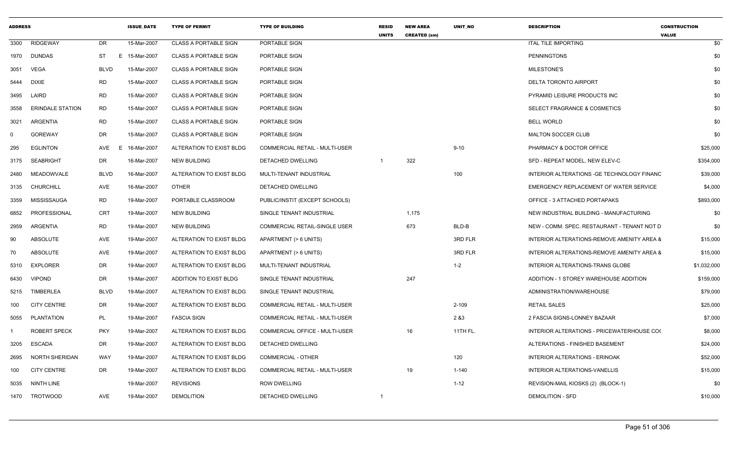|          |                         |             | <b>ISSUE DATE</b> | <b>TYPE OF PERMIT</b>        | <b>TYPE OF BUILDING</b>               | <b>RESID</b><br><b>UNITS</b> | <b>NEW AREA</b><br><b>CREATED (sm)</b> | <b>UNIT NO</b> | <b>DESCRIPTION</b>                          | <b>CONSTRUCTION</b><br><b>VALUE</b> |
|----------|-------------------------|-------------|-------------------|------------------------------|---------------------------------------|------------------------------|----------------------------------------|----------------|---------------------------------------------|-------------------------------------|
| 3300     | <b>RIDGEWAY</b>         | DR          | 15-Mar-2007       | <b>CLASS A PORTABLE SIGN</b> | PORTABLE SIGN                         |                              |                                        |                | <b>ITAL TILE IMPORTING</b>                  | \$0                                 |
| 1970     | <b>DUNDAS</b>           | ST          | E 15-Mar-2007     | <b>CLASS A PORTABLE SIGN</b> | PORTABLE SIGN                         |                              |                                        |                | <b>PENNINGTONS</b>                          | \$0                                 |
| 3051     | VEGA                    | BLVD        | 15-Mar-2007       | <b>CLASS A PORTABLE SIGN</b> | PORTABLE SIGN                         |                              |                                        |                | MILESTONE'S                                 | \$0                                 |
| 5444     | <b>DIXIE</b>            | RD          | 15-Mar-2007       | <b>CLASS A PORTABLE SIGN</b> | PORTABLE SIGN                         |                              |                                        |                | DELTA TORONTO AIRPORT                       | \$0                                 |
| 3495     | LAIRD                   | <b>RD</b>   | 15-Mar-2007       | <b>CLASS A PORTABLE SIGN</b> | PORTABLE SIGN                         |                              |                                        |                | PYRAMID LEISURE PRODUCTS INC                | \$0                                 |
| 3558     | <b>ERINDALE STATION</b> | RD          | 15-Mar-2007       | <b>CLASS A PORTABLE SIGN</b> | PORTABLE SIGN                         |                              |                                        |                | SELECT FRAGRANCE & COSMETICS                | \$0                                 |
| 3021     | ARGENTIA                | RD          | 15-Mar-2007       | <b>CLASS A PORTABLE SIGN</b> | PORTABLE SIGN                         |                              |                                        |                | <b>BELL WORLD</b>                           | \$0                                 |
| $\Omega$ | <b>GOREWAY</b>          | DR          | 15-Mar-2007       | <b>CLASS A PORTABLE SIGN</b> | <b>PORTABLE SIGN</b>                  |                              |                                        |                | <b>MALTON SOCCER CLUB</b>                   | \$0                                 |
| 295      | <b>EGLINTON</b>         | AVE<br>E    | 16-Mar-2007       | ALTERATION TO EXIST BLDG     | <b>COMMERCIAL RETAIL - MULTI-USER</b> |                              |                                        | $9 - 10$       | PHARMACY & DOCTOR OFFICE                    | \$25,000                            |
| 3175     | SEABRIGHT               | DR          | 16-Mar-2007       | NEW BUILDING                 | DETACHED DWELLING                     |                              | 322                                    |                | SFD - REPEAT MODEL, NEW ELEV-C              | \$354,000                           |
| 2480     | MEADOWVALE              | <b>BLVD</b> | 16-Mar-2007       | ALTERATION TO EXIST BLDG     | MULTI-TENANT INDUSTRIAL               |                              |                                        | 100            | INTERIOR ALTERATIONS - GE TECHNOLOGY FINANC | \$39,000                            |
| 3135     | <b>CHURCHILL</b>        | AVE         | 16-Mar-2007       | <b>OTHER</b>                 | DETACHED DWELLING                     |                              |                                        |                | EMERGENCY REPLACEMENT OF WATER SERVICE      | \$4,000                             |
| 3359     | MISSISSAUGA             | RD          | 19-Mar-2007       | PORTABLE CLASSROOM           | PUBLIC/INSTIT (EXCEPT SCHOOLS)        |                              |                                        |                | OFFICE - 3 ATTACHED PORTAPAKS               | \$893,000                           |
| 6852     | PROFESSIONAL            | <b>CRT</b>  | 19-Mar-2007       | <b>NEW BUILDING</b>          | SINGLE TENANT INDUSTRIAL              |                              | 1,175                                  |                | NEW INDUSTRIAL BUILDING - MANUFACTURING     | \$0                                 |
| 2959     | ARGENTIA                | RD          | 19-Mar-2007       | <b>NEW BUILDING</b>          | COMMERCIAL RETAIL-SINGLE USER         |                              | 673                                    | BLD-B          | NEW - COMM. SPEC. RESTAURANT - TENANT NOT D | \$0                                 |
| 90       | ABSOLUTE                | AVE         | 19-Mar-2007       | ALTERATION TO EXIST BLDG     | APARTMENT (> 6 UNITS)                 |                              |                                        | 3RD FLR        | INTERIOR ALTERATIONS-REMOVE AMENITY AREA 8  | \$15,000                            |
| 70       | ABSOLUTE                | AVE         | 19-Mar-2007       | ALTERATION TO EXIST BLDG     | APARTMENT (> 6 UNITS)                 |                              |                                        | 3RD FLR        | INTERIOR ALTERATIONS-REMOVE AMENITY AREA 8  | \$15,000                            |
| 5310     | <b>EXPLORER</b>         | DR          | 19-Mar-2007       | ALTERATION TO EXIST BLDG     | MULTI-TENANT INDUSTRIAL               |                              |                                        | $1 - 2$        | INTERIOR ALTERATIONS-TRANS GLOBE            | \$1,032,000                         |
| 6430     | <b>VIPOND</b>           | DR          | 19-Mar-2007       | ADDITION TO EXIST BLDG       | SINGLE TENANT INDUSTRIAL              |                              | 247                                    |                | ADDITION - 1 STOREY WAREHOUSE ADDITION      | \$159,000                           |
| 5215     | TIMBERLEA               | <b>BLVD</b> | 19-Mar-2007       | ALTERATION TO EXIST BLDG     | SINGLE TENANT INDUSTRIAL              |                              |                                        |                | ADMINISTRATION/WAREHOUSE                    | \$79,000                            |
| 100      | <b>CITY CENTRE</b>      | DR          | 19-Mar-2007       | ALTERATION TO EXIST BLDG     | COMMERCIAL RETAIL - MULTI-USER        |                              |                                        | $2 - 109$      | <b>RETAIL SALES</b>                         | \$25,000                            |
| 5055     | PLANTATION              | PL          | 19-Mar-2007       | <b>FASCIA SIGN</b>           | COMMERCIAL RETAIL - MULTI-USER        |                              |                                        | 2 & 3          | 2 FASCIA SIGNS-LONNEY BAZAAR                | \$7,000                             |
|          | <b>ROBERT SPECK</b>     | <b>PKY</b>  | 19-Mar-2007       | ALTERATION TO EXIST BLDG     | COMMERCIAL OFFICE - MULTI-USER        |                              | 16                                     | 11TH FL.       | INTERIOR ALTERATIONS - PRICEWATERHOUSE COO  | \$8,000                             |
| 3205     | <b>ESCADA</b>           | DR          | 19-Mar-2007       | ALTERATION TO EXIST BLDG     | <b>DETACHED DWELLING</b>              |                              |                                        |                | ALTERATIONS - FINISHED BASEMENT             | \$24,000                            |
| 2695     | NORTH SHERIDAN          | WAY         | 19-Mar-2007       | ALTERATION TO EXIST BLDG     | <b>COMMERCIAL - OTHER</b>             |                              |                                        | 120            | INTERIOR ALTERATIONS - ERINOAK              | \$52,000                            |
| 100      | <b>CITY CENTRE</b>      | DR          | 19-Mar-2007       | ALTERATION TO EXIST BLDG     | COMMERCIAL RETAIL - MULTI-USER        |                              | 19                                     | $1 - 140$      | INTERIOR ALTERATIONS-VANELLIS               | \$15,000                            |
| 5035     | <b>NINTH LINE</b>       |             | 19-Mar-2007       | <b>REVISIONS</b>             | <b>ROW DWELLING</b>                   |                              |                                        | $1 - 12$       | REVISION-MAIL KIOSKS (2) (BLOCK-1)          | \$0                                 |
|          | 1470 TROTWOOD           | AVE         | 19-Mar-2007       | <b>DEMOLITION</b>            | DETACHED DWELLING                     | $\overline{1}$               |                                        |                | <b>DEMOLITION - SFD</b>                     | \$10,000                            |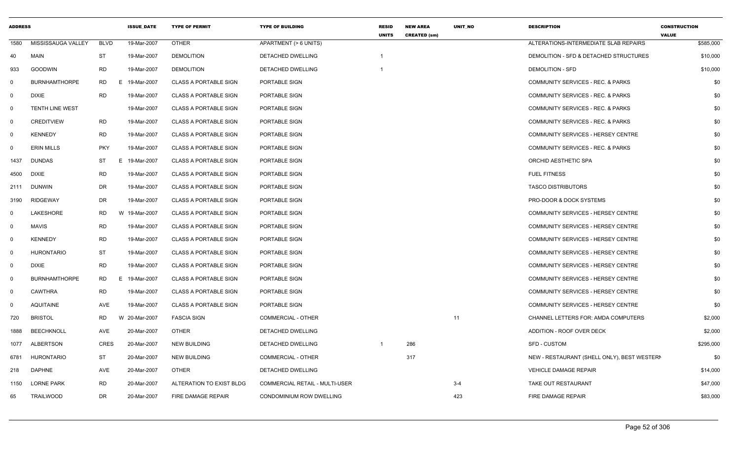| <b>ADDRESS</b> |                        |             | <b>ISSUE DATE</b> | <b>TYPE OF PERMIT</b>        | <b>TYPE OF BUILDING</b>               | <b>RESID</b><br><b>UNITS</b> | <b>NEW AREA</b><br><b>CREATED (sm)</b> | <b>UNIT NO</b> | <b>DESCRIPTION</b>                           | <b>CONSTRUCTION</b><br><b>VALUE</b> |
|----------------|------------------------|-------------|-------------------|------------------------------|---------------------------------------|------------------------------|----------------------------------------|----------------|----------------------------------------------|-------------------------------------|
| 1580           | MISSISSAUGA VALLEY     | <b>BLVD</b> | 19-Mar-2007       | <b>OTHER</b>                 | APARTMENT (> 6 UNITS)                 |                              |                                        |                | ALTERATIONS-INTERMEDIATE SLAB REPAIRS        | \$585,000                           |
| 40             | <b>MAIN</b>            | ST          | 19-Mar-2007       | <b>DEMOLITION</b>            | DETACHED DWELLING                     |                              |                                        |                | DEMOLITION - SFD & DETACHED STRUCTURES       | \$10,000                            |
| 933            | <b>GOODWIN</b>         | <b>RD</b>   | 19-Mar-2007       | <b>DEMOLITION</b>            | DETACHED DWELLING                     |                              |                                        |                | <b>DEMOLITION - SFD</b>                      | \$10,000                            |
| 0              | <b>BURNHAMTHORPE</b>   | RD          | E 19-Mar-2007     | <b>CLASS A PORTABLE SIGN</b> | PORTABLE SIGN                         |                              |                                        |                | COMMUNITY SERVICES - REC. & PARKS            | \$0                                 |
| $\mathbf{0}$   | <b>DIXIE</b>           | <b>RD</b>   | 19-Mar-2007       | <b>CLASS A PORTABLE SIGN</b> | PORTABLE SIGN                         |                              |                                        |                | COMMUNITY SERVICES - REC. & PARKS            | \$0                                 |
| $\mathbf{0}$   | <b>TENTH LINE WEST</b> |             | 19-Mar-2007       | <b>CLASS A PORTABLE SIGN</b> | <b>PORTABLE SIGN</b>                  |                              |                                        |                | <b>COMMUNITY SERVICES - REC. &amp; PARKS</b> | \$0                                 |
| $\mathbf{0}$   | <b>CREDITVIEW</b>      | RD          | 19-Mar-2007       | <b>CLASS A PORTABLE SIGN</b> | PORTABLE SIGN                         |                              |                                        |                | COMMUNITY SERVICES - REC. & PARKS            | \$0                                 |
| $\mathbf{0}$   | <b>KENNEDY</b>         | <b>RD</b>   | 19-Mar-2007       | <b>CLASS A PORTABLE SIGN</b> | PORTABLE SIGN                         |                              |                                        |                | COMMUNITY SERVICES - HERSEY CENTRE           | \$0                                 |
| 0              | <b>ERIN MILLS</b>      | <b>PKY</b>  | 19-Mar-2007       | <b>CLASS A PORTABLE SIGN</b> | PORTABLE SIGN                         |                              |                                        |                | COMMUNITY SERVICES - REC. & PARKS            | \$0                                 |
| 1437           | <b>DUNDAS</b>          | ST          | E<br>19-Mar-2007  | <b>CLASS A PORTABLE SIGN</b> | PORTABLE SIGN                         |                              |                                        |                | ORCHID AESTHETIC SPA                         | \$0                                 |
| 4500           | <b>DIXIE</b>           | <b>RD</b>   | 19-Mar-2007       | <b>CLASS A PORTABLE SIGN</b> | PORTABLE SIGN                         |                              |                                        |                | <b>FUEL FITNESS</b>                          | \$0                                 |
| 2111           | <b>DUNWIN</b>          | DR          | 19-Mar-2007       | <b>CLASS A PORTABLE SIGN</b> | PORTABLE SIGN                         |                              |                                        |                | <b>TASCO DISTRIBUTORS</b>                    | \$0                                 |
| 3190           | RIDGEWAY               | DR          | 19-Mar-2007       | CLASS A PORTABLE SIGN        | PORTABLE SIGN                         |                              |                                        |                | PRO-DOOR & DOCK SYSTEMS                      | \$0                                 |
| 0              | LAKESHORE              | RD          | W 19-Mar-2007     | <b>CLASS A PORTABLE SIGN</b> | PORTABLE SIGN                         |                              |                                        |                | COMMUNITY SERVICES - HERSEY CENTRE           | \$0                                 |
| 0              | <b>MAVIS</b>           | <b>RD</b>   | 19-Mar-2007       | <b>CLASS A PORTABLE SIGN</b> | PORTABLE SIGN                         |                              |                                        |                | COMMUNITY SERVICES - HERSEY CENTRE           | \$0                                 |
| $\mathbf{0}$   | <b>KENNEDY</b>         | <b>RD</b>   | 19-Mar-2007       | <b>CLASS A PORTABLE SIGN</b> | PORTABLE SIGN                         |                              |                                        |                | COMMUNITY SERVICES - HERSEY CENTRE           | \$0                                 |
| $\mathbf 0$    | <b>HURONTARIO</b>      | ST          | 19-Mar-2007       | <b>CLASS A PORTABLE SIGN</b> | PORTABLE SIGN                         |                              |                                        |                | COMMUNITY SERVICES - HERSEY CENTRE           | \$0                                 |
| $\mathbf 0$    | <b>DIXIE</b>           | <b>RD</b>   | 19-Mar-2007       | <b>CLASS A PORTABLE SIGN</b> | PORTABLE SIGN                         |                              |                                        |                | COMMUNITY SERVICES - HERSEY CENTRE           | \$0                                 |
| $\mathbf 0$    | <b>BURNHAMTHORPE</b>   | RD          | E 19-Mar-2007     | <b>CLASS A PORTABLE SIGN</b> | PORTABLE SIGN                         |                              |                                        |                | COMMUNITY SERVICES - HERSEY CENTRE           | \$0                                 |
| $\mathbf 0$    | <b>CAWTHRA</b>         | <b>RD</b>   | 19-Mar-2007       | <b>CLASS A PORTABLE SIGN</b> | PORTABLE SIGN                         |                              |                                        |                | COMMUNITY SERVICES - HERSEY CENTRE           | \$0                                 |
| $\Omega$       | <b>AQUITAINE</b>       | AVE         | 19-Mar-2007       | <b>CLASS A PORTABLE SIGN</b> | <b>PORTABLE SIGN</b>                  |                              |                                        |                | COMMUNITY SERVICES - HERSEY CENTRE           | \$0                                 |
| 720            | <b>BRISTOL</b>         | <b>RD</b>   | W 20-Mar-2007     | <b>FASCIA SIGN</b>           | <b>COMMERCIAL - OTHER</b>             |                              |                                        | 11             | CHANNEL LETTERS FOR: AMDA COMPUTERS          | \$2,000                             |
| 1888           | <b>BEECHKNOLL</b>      | AVE         | 20-Mar-2007       | <b>OTHER</b>                 | DETACHED DWELLING                     |                              |                                        |                | ADDITION - ROOF OVER DECK                    | \$2,000                             |
| 1077           | <b>ALBERTSON</b>       | <b>CRES</b> | 20-Mar-2007       | <b>NEW BUILDING</b>          | DETACHED DWELLING                     | $\overline{1}$               | 286                                    |                | SFD - CUSTOM                                 | \$295,000                           |
| 6781           | <b>HURONTARIO</b>      | ST          | 20-Mar-2007       | <b>NEW BUILDING</b>          | COMMERCIAL - OTHER                    |                              | 317                                    |                | NEW - RESTAURANT (SHELL ONLY), BEST WESTERN  | \$0                                 |
| 218            | <b>DAPHNE</b>          | AVE         | 20-Mar-2007       | <b>OTHER</b>                 | <b>DETACHED DWELLING</b>              |                              |                                        |                | <b>VEHICLE DAMAGE REPAIR</b>                 | \$14,000                            |
| 1150           | <b>LORNE PARK</b>      | <b>RD</b>   | 20-Mar-2007       | ALTERATION TO EXIST BLDG     | <b>COMMERCIAL RETAIL - MULTI-USER</b> |                              |                                        | $3 - 4$        | TAKE OUT RESTAURANT                          | \$47,000                            |
| 65             | <b>TRAILWOOD</b>       | DR          | 20-Mar-2007       | FIRE DAMAGE REPAIR           | CONDOMINIUM ROW DWELLING              |                              |                                        | 423            | FIRE DAMAGE REPAIR                           | \$83,000                            |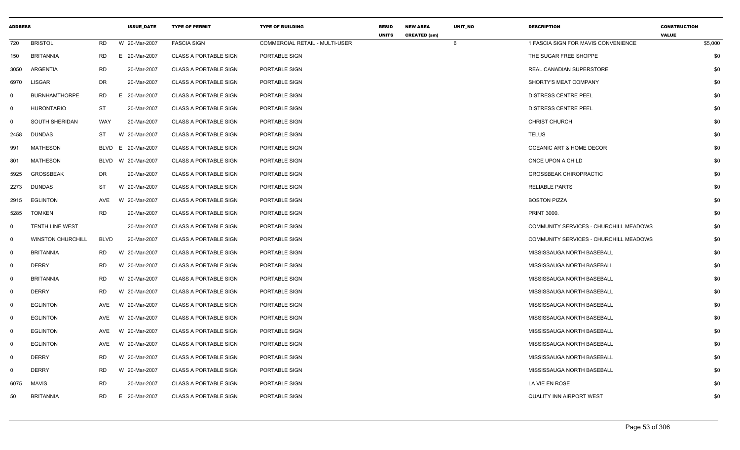| <b>ADDRESS</b> |                          |             | <b>ISSUE_DATE</b> | <b>TYPE OF PERMIT</b>        | <b>TYPE OF BUILDING</b>        | <b>RESID</b> | <b>NEW AREA</b>     | UNIT_NO | <b>DESCRIPTION</b>                     | <b>CONSTRUCTION</b>     |
|----------------|--------------------------|-------------|-------------------|------------------------------|--------------------------------|--------------|---------------------|---------|----------------------------------------|-------------------------|
| 720            | <b>BRISTOL</b>           | <b>RD</b>   | W 20-Mar-2007     | <b>FASCIA SIGN</b>           | COMMERCIAL RETAIL - MULTI-USER | <b>UNITS</b> | <b>CREATED (sm)</b> | 6       | 1 FASCIA SIGN FOR MAVIS CONVENIENCE    | <b>VALUE</b><br>\$5,000 |
| 150            | <b>BRITANNIA</b>         | <b>RD</b>   | E 20-Mar-2007     | <b>CLASS A PORTABLE SIGN</b> | PORTABLE SIGN                  |              |                     |         | THE SUGAR FREE SHOPPE                  | \$0                     |
| 3050           | ARGENTIA                 | <b>RD</b>   | 20-Mar-2007       | <b>CLASS A PORTABLE SIGN</b> | PORTABLE SIGN                  |              |                     |         | <b>REAL CANADIAN SUPERSTORE</b>        | \$0                     |
| 6970           | <b>LISGAR</b>            | DR          | 20-Mar-2007       | <b>CLASS A PORTABLE SIGN</b> | PORTABLE SIGN                  |              |                     |         | SHORTY'S MEAT COMPANY                  | \$0                     |
| $\mathsf{O}$   | <b>BURNHAMTHORPE</b>     | RD          | E 20-Mar-2007     | <b>CLASS A PORTABLE SIGN</b> | PORTABLE SIGN                  |              |                     |         | DISTRESS CENTRE PEEL                   | \$0                     |
| $\mathbf 0$    | <b>HURONTARIO</b>        | ST          | 20-Mar-2007       | <b>CLASS A PORTABLE SIGN</b> | PORTABLE SIGN                  |              |                     |         | <b>DISTRESS CENTRE PEEL</b>            | \$0                     |
| $\mathbf 0$    | <b>SOUTH SHERIDAN</b>    | WAY         | 20-Mar-2007       | <b>CLASS A PORTABLE SIGN</b> | PORTABLE SIGN                  |              |                     |         | <b>CHRIST CHURCH</b>                   | \$0                     |
| 2458           | <b>DUNDAS</b>            | ST          | W 20-Mar-2007     | <b>CLASS A PORTABLE SIGN</b> | PORTABLE SIGN                  |              |                     |         | <b>TELUS</b>                           | \$0                     |
| 991            | MATHESON                 | BLVD        | E 20-Mar-2007     | <b>CLASS A PORTABLE SIGN</b> | PORTABLE SIGN                  |              |                     |         | OCEANIC ART & HOME DECOR               | \$0                     |
| 801            | <b>MATHESON</b>          | BLVD        | W 20-Mar-2007     | <b>CLASS A PORTABLE SIGN</b> | PORTABLE SIGN                  |              |                     |         | ONCE UPON A CHILD                      | \$0                     |
| 5925           | <b>GROSSBEAK</b>         | DR          | 20-Mar-2007       | <b>CLASS A PORTABLE SIGN</b> | PORTABLE SIGN                  |              |                     |         | <b>GROSSBEAK CHIROPRACTIC</b>          | \$0                     |
| 2273           | <b>DUNDAS</b>            | <b>ST</b>   | W 20-Mar-2007     | <b>CLASS A PORTABLE SIGN</b> | PORTABLE SIGN                  |              |                     |         | <b>RELIABLE PARTS</b>                  | \$0                     |
| 2915           | EGLINTON                 | AVE         | W 20-Mar-2007     | <b>CLASS A PORTABLE SIGN</b> | PORTABLE SIGN                  |              |                     |         | <b>BOSTON PIZZA</b>                    | \$0                     |
| 5285           | <b>TOMKEN</b>            | <b>RD</b>   | 20-Mar-2007       | <b>CLASS A PORTABLE SIGN</b> | PORTABLE SIGN                  |              |                     |         | <b>PRINT 3000.</b>                     | \$0                     |
| 0              | <b>TENTH LINE WEST</b>   |             | 20-Mar-2007       | <b>CLASS A PORTABLE SIGN</b> | PORTABLE SIGN                  |              |                     |         | COMMUNITY SERVICES - CHURCHILL MEADOWS | \$0                     |
| $\overline{0}$ | <b>WINSTON CHURCHILL</b> | <b>BLVD</b> | 20-Mar-2007       | <b>CLASS A PORTABLE SIGN</b> | PORTABLE SIGN                  |              |                     |         | COMMUNITY SERVICES - CHURCHILL MEADOWS | \$0                     |
| $\mathbf 0$    | <b>BRITANNIA</b>         | <b>RD</b>   | W 20-Mar-2007     | <b>CLASS A PORTABLE SIGN</b> | PORTABLE SIGN                  |              |                     |         | MISSISSAUGA NORTH BASEBALL             | \$0                     |
| $\overline{0}$ | <b>DERRY</b>             | <b>RD</b>   | W 20-Mar-2007     | <b>CLASS A PORTABLE SIGN</b> | PORTABLE SIGN                  |              |                     |         | MISSISSAUGA NORTH BASEBALL             | \$0                     |
| $\mathsf{O}$   | <b>BRITANNIA</b>         | RD          | W 20-Mar-2007     | <b>CLASS A PORTABLE SIGN</b> | PORTABLE SIGN                  |              |                     |         | MISSISSAUGA NORTH BASEBALL             | \$0                     |
| $\mathbf 0$    | <b>DERRY</b>             | <b>RD</b>   | W 20-Mar-2007     | <b>CLASS A PORTABLE SIGN</b> | PORTABLE SIGN                  |              |                     |         | MISSISSAUGA NORTH BASEBALL             | \$0                     |
| $\Omega$       | <b>EGLINTON</b>          | AVE         | W 20-Mar-2007     | <b>CLASS A PORTABLE SIGN</b> | PORTABLE SIGN                  |              |                     |         | MISSISSAUGA NORTH BASEBALL             | \$0                     |
| $\mathbf 0$    | <b>EGLINTON</b>          | AVE         | W 20-Mar-2007     | <b>CLASS A PORTABLE SIGN</b> | PORTABLE SIGN                  |              |                     |         | MISSISSAUGA NORTH BASEBALL             | \$0                     |
| $\mathbf 0$    | <b>EGLINTON</b>          | AVE         | W 20-Mar-2007     | <b>CLASS A PORTABLE SIGN</b> | PORTABLE SIGN                  |              |                     |         | MISSISSAUGA NORTH BASEBALL             | \$0                     |
| $\mathbf 0$    | <b>EGLINTON</b>          | <b>AVE</b>  | W 20-Mar-2007     | <b>CLASS A PORTABLE SIGN</b> | PORTABLE SIGN                  |              |                     |         | MISSISSAUGA NORTH BASEBALL             | \$0                     |
| 0              | <b>DERRY</b>             | <b>RD</b>   | W 20-Mar-2007     | <b>CLASS A PORTABLE SIGN</b> | PORTABLE SIGN                  |              |                     |         | MISSISSAUGA NORTH BASEBALL             | \$0                     |
| $\Omega$       | <b>DERRY</b>             | <b>RD</b>   | W 20-Mar-2007     | <b>CLASS A PORTABLE SIGN</b> | PORTABLE SIGN                  |              |                     |         | MISSISSAUGA NORTH BASEBALL             | \$0                     |
| 6075           | MAVIS                    | <b>RD</b>   | 20-Mar-2007       | <b>CLASS A PORTABLE SIGN</b> | PORTABLE SIGN                  |              |                     |         | LA VIE EN ROSE                         | \$0                     |
| 50             | <b>BRITANNIA</b>         | RD          | E 20-Mar-2007     | <b>CLASS A PORTABLE SIGN</b> | PORTABLE SIGN                  |              |                     |         | QUALITY INN AIRPORT WEST               | \$0                     |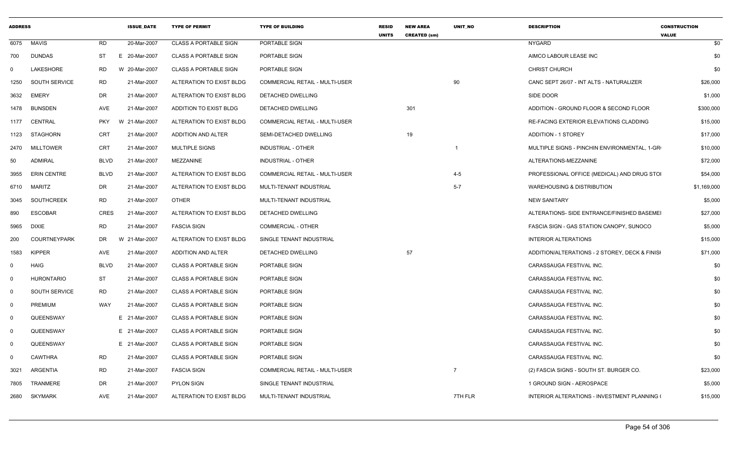| <b>ADDRESS</b> |                     |             | <b>ISSUE DATE</b> | <b>TYPE OF PERMIT</b>        | <b>TYPE OF BUILDING</b>        | <b>RESID</b><br><b>UNITS</b> | <b>NEW AREA</b><br><b>CREATED (sm)</b> | <b>UNIT NO</b> | <b>DESCRIPTION</b>                                  | <b>CONSTRUCTION</b><br><b>VALUE</b> |
|----------------|---------------------|-------------|-------------------|------------------------------|--------------------------------|------------------------------|----------------------------------------|----------------|-----------------------------------------------------|-------------------------------------|
| 6075           | <b>MAVIS</b>        | RD          | 20-Mar-2007       | <b>CLASS A PORTABLE SIGN</b> | PORTABLE SIGN                  |                              |                                        |                | NYGARD                                              | \$0                                 |
| 700            | <b>DUNDAS</b>       | ST          | E 20-Mar-2007     | <b>CLASS A PORTABLE SIGN</b> | PORTABLE SIGN                  |                              |                                        |                | AIMCO LABOUR LEASE INC                              | \$0                                 |
| $\Omega$       | LAKESHORE           | RD.         | W 20-Mar-2007     | <b>CLASS A PORTABLE SIGN</b> | PORTABLE SIGN                  |                              |                                        |                | <b>CHRIST CHURCH</b>                                | \$0                                 |
| 1250           | SOUTH SERVICE       | RD          | 21-Mar-2007       | ALTERATION TO EXIST BLDG     | COMMERCIAL RETAIL - MULTI-USER |                              |                                        | 90             | CANC SEPT 26/07 - INT ALTS - NATURALIZER            | \$26,000                            |
| 3632           | <b>EMERY</b>        | DR          | 21-Mar-2007       | ALTERATION TO EXIST BLDG     | DETACHED DWELLING              |                              |                                        |                | SIDE DOOR                                           | \$1,000                             |
| 1478           | <b>BUNSDEN</b>      | AVE         | 21-Mar-2007       | ADDITION TO EXIST BLDG       | DETACHED DWELLING              |                              | 301                                    |                | ADDITION - GROUND FLOOR & SECOND FLOOR              | \$300,000                           |
| 1177           | CENTRAL             | <b>PKY</b>  | W 21-Mar-2007     | ALTERATION TO EXIST BLDG     | COMMERCIAL RETAIL - MULTI-USER |                              |                                        |                | RE-FACING EXTERIOR ELEVATIONS CLADDING              | \$15,000                            |
| 1123           | <b>STAGHORN</b>     | <b>CRT</b>  | 21-Mar-2007       | ADDITION AND ALTER           | SEMI-DETACHED DWELLING         |                              | 19                                     |                | <b>ADDITION - 1 STOREY</b>                          | \$17,000                            |
| 2470           | <b>MILLTOWER</b>    | <b>CRT</b>  | 21-Mar-2007       | <b>MULTIPLE SIGNS</b>        | INDUSTRIAL - OTHER             |                              |                                        |                | MULTIPLE SIGNS - PINCHIN ENVIRONMENTAL, 1-GR        | \$10,000                            |
| 50             | <b>ADMIRAL</b>      | <b>BLVD</b> | 21-Mar-2007       | MEZZANINE                    | INDUSTRIAL - OTHER             |                              |                                        |                | ALTERATIONS-MEZZANINE                               | \$72,000                            |
| 3955           | <b>ERIN CENTRE</b>  | <b>BLVD</b> | 21-Mar-2007       | ALTERATION TO EXIST BLDG     | COMMERCIAL RETAIL - MULTI-USER |                              |                                        | $4 - 5$        | PROFESSIONAL OFFICE (MEDICAL) AND DRUG STOI         | \$54,000                            |
| 6710           | MARITZ              | DR          | 21-Mar-2007       | ALTERATION TO EXIST BLDG     | MULTI-TENANT INDUSTRIAL        |                              |                                        | $5-7$          | <b>WAREHOUSING &amp; DISTRIBUTION</b>               | \$1,169,000                         |
| 3045           | <b>SOUTHCREEK</b>   | <b>RD</b>   | 21-Mar-2007       | <b>OTHER</b>                 | MULTI-TENANT INDUSTRIAL        |                              |                                        |                | <b>NEW SANITARY</b>                                 | \$5,000                             |
| 890            | <b>ESCOBAR</b>      | <b>CRES</b> | 21-Mar-2007       | ALTERATION TO EXIST BLDG     | DETACHED DWELLING              |                              |                                        |                | ALTERATIONS- SIDE ENTRANCE/FINISHED BASEMEI         | \$27,000                            |
| 5965           | <b>DIXIE</b>        | <b>RD</b>   | 21-Mar-2007       | <b>FASCIA SIGN</b>           | COMMERCIAL - OTHER             |                              |                                        |                | FASCIA SIGN - GAS STATION CANOPY, SUNOCO            | \$5,000                             |
| 200            | <b>COURTNEYPARK</b> | <b>DR</b>   | W 21-Mar-2007     | ALTERATION TO EXIST BLDG     | SINGLE TENANT INDUSTRIAL       |                              |                                        |                | <b>INTERIOR ALTERATIONS</b>                         | \$15,000                            |
| 1583           | <b>KIPPER</b>       | AVE         | 21-Mar-2007       | ADDITION AND ALTER           | DETACHED DWELLING              |                              | 57                                     |                | ADDITION/ALTERATIONS - 2 STOREY, DECK & FINISH      | \$71,000                            |
| $\Omega$       | <b>HAIG</b>         | <b>BLVD</b> | 21-Mar-2007       | <b>CLASS A PORTABLE SIGN</b> | PORTABLE SIGN                  |                              |                                        |                | CARASSAUGA FESTIVAL INC.                            | \$0                                 |
| 0              | <b>HURONTARIO</b>   | ST          | 21-Mar-2007       | <b>CLASS A PORTABLE SIGN</b> | PORTABLE SIGN                  |                              |                                        |                | CARASSAUGA FESTIVAL INC.                            | \$0                                 |
| $\mathbf 0$    | SOUTH SERVICE       | <b>RD</b>   | 21-Mar-2007       | <b>CLASS A PORTABLE SIGN</b> | PORTABLE SIGN                  |                              |                                        |                | CARASSAUGA FESTIVAL INC.                            | \$0                                 |
| $\Omega$       | PREMIUM             | WAY         | 21-Mar-2007       | <b>CLASS A PORTABLE SIGN</b> | PORTABLE SIGN                  |                              |                                        |                | CARASSAUGA FESTIVAL INC.                            | \$0                                 |
| $\mathbf 0$    | QUEENSWAY           |             | E 21-Mar-2007     | <b>CLASS A PORTABLE SIGN</b> | PORTABLE SIGN                  |                              |                                        |                | CARASSAUGA FESTIVAL INC.                            | \$0                                 |
| $\mathbf 0$    | QUEENSWAY           |             | E 21-Mar-2007     | <b>CLASS A PORTABLE SIGN</b> | PORTABLE SIGN                  |                              |                                        |                | CARASSAUGA FESTIVAL INC.                            | \$0                                 |
| $\mathbf 0$    | QUEENSWAY           |             | E 21-Mar-2007     | <b>CLASS A PORTABLE SIGN</b> | PORTABLE SIGN                  |                              |                                        |                | CARASSAUGA FESTIVAL INC.                            | \$0                                 |
| $\mathbf 0$    | <b>CAWTHRA</b>      | <b>RD</b>   | 21-Mar-2007       | <b>CLASS A PORTABLE SIGN</b> | PORTABLE SIGN                  |                              |                                        |                | CARASSAUGA FESTIVAL INC.                            | \$0                                 |
| 3021           | ARGENTIA            | RD          | 21-Mar-2007       | <b>FASCIA SIGN</b>           | COMMERCIAL RETAIL - MULTI-USER |                              |                                        | $\overline{7}$ | (2) FASCIA SIGNS - SOUTH ST. BURGER CO.             | \$23,000                            |
| 7805           | <b>TRANMERE</b>     | DR          | 21-Mar-2007       | <b>PYLON SIGN</b>            | SINGLE TENANT INDUSTRIAL       |                              |                                        |                | 1 GROUND SIGN - AEROSPACE                           | \$5,000                             |
| 2680           | <b>SKYMARK</b>      | <b>AVE</b>  | 21-Mar-2007       | ALTERATION TO EXIST BLDG     | MULTI-TENANT INDUSTRIAL        |                              |                                        | 7TH FLR        | <b>INTERIOR ALTERATIONS - INVESTMENT PLANNING (</b> | \$15,000                            |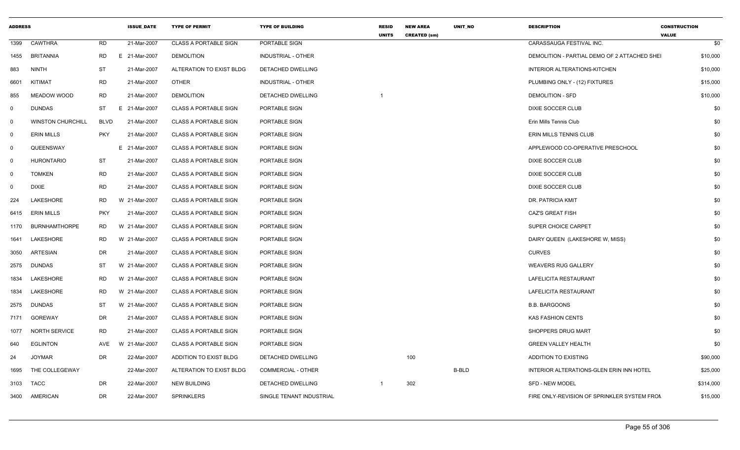| <b>ADDRESS</b> |                          |             | <b>ISSUE_DATE</b> | <b>TYPE OF PERMIT</b>        | <b>TYPE OF BUILDING</b>   | <b>RESID</b><br><b>UNITS</b> | <b>NEW AREA</b><br><b>CREATED (sm)</b> | UNIT_NO      | <b>DESCRIPTION</b>                           | <b>CONSTRUCTION</b><br><b>VALUE</b> |
|----------------|--------------------------|-------------|-------------------|------------------------------|---------------------------|------------------------------|----------------------------------------|--------------|----------------------------------------------|-------------------------------------|
| 1399           | <b>CAWTHRA</b>           | <b>RD</b>   | 21-Mar-2007       | <b>CLASS A PORTABLE SIGN</b> | PORTABLE SIGN             |                              |                                        |              | CARASSAUGA FESTIVAL INC.                     | \$0                                 |
| 1455           | BRITANNIA                | <b>RD</b>   | E 21-Mar-2007     | <b>DEMOLITION</b>            | INDUSTRIAL - OTHER        |                              |                                        |              | DEMOLITION - PARTIAL DEMO OF 2 ATTACHED SHEI | \$10,000                            |
| 883            | <b>NINTH</b>             | <b>ST</b>   | 21-Mar-2007       | ALTERATION TO EXIST BLDG     | DETACHED DWELLING         |                              |                                        |              | INTERIOR ALTERATIONS-KITCHEN                 | \$10,000                            |
| 6601           | <b>KITIMAT</b>           | <b>RD</b>   | 21-Mar-2007       | <b>OTHER</b>                 | <b>INDUSTRIAL - OTHER</b> |                              |                                        |              | PLUMBING ONLY - (12) FIXTURES                | \$15,000                            |
| 855            | MEADOW WOOD              | <b>RD</b>   | 21-Mar-2007       | <b>DEMOLITION</b>            | DETACHED DWELLING         |                              |                                        |              | <b>DEMOLITION - SFD</b>                      | \$10,000                            |
| $\mathbf 0$    | <b>DUNDAS</b>            | ST          | E 21-Mar-2007     | <b>CLASS A PORTABLE SIGN</b> | PORTABLE SIGN             |                              |                                        |              | DIXIE SOCCER CLUB                            | \$0                                 |
| $\mathsf{O}$   | <b>WINSTON CHURCHILL</b> | <b>BLVD</b> | 21-Mar-2007       | <b>CLASS A PORTABLE SIGN</b> | PORTABLE SIGN             |                              |                                        |              | Erin Mills Tennis Club                       | \$0                                 |
| $\mathbf 0$    | <b>ERIN MILLS</b>        | <b>PKY</b>  | 21-Mar-2007       | <b>CLASS A PORTABLE SIGN</b> | PORTABLE SIGN             |                              |                                        |              | ERIN MILLS TENNIS CLUB                       | \$0                                 |
| $\mathbf 0$    | QUEENSWAY                |             | E 21-Mar-2007     | <b>CLASS A PORTABLE SIGN</b> | PORTABLE SIGN             |                              |                                        |              | APPLEWOOD CO-OPERATIVE PRESCHOOL             | \$0                                 |
| $\mathbf 0$    | <b>HURONTARIO</b>        | ST          | 21-Mar-2007       | <b>CLASS A PORTABLE SIGN</b> | PORTABLE SIGN             |                              |                                        |              | DIXIE SOCCER CLUB                            | \$0                                 |
| $\mathbf 0$    | <b>TOMKEN</b>            | <b>RD</b>   | 21-Mar-2007       | <b>CLASS A PORTABLE SIGN</b> | PORTABLE SIGN             |                              |                                        |              | DIXIE SOCCER CLUB                            | \$0                                 |
| $\mathbf 0$    | <b>DIXIE</b>             | <b>RD</b>   | 21-Mar-2007       | <b>CLASS A PORTABLE SIGN</b> | PORTABLE SIGN             |                              |                                        |              | <b>DIXIE SOCCER CLUB</b>                     | \$0                                 |
| 224            | LAKESHORE                | <b>RD</b>   | W 21-Mar-2007     | <b>CLASS A PORTABLE SIGN</b> | PORTABLE SIGN             |                              |                                        |              | DR. PATRICIA KMIT                            | \$0                                 |
| 6415           | <b>ERIN MILLS</b>        | <b>PKY</b>  | 21-Mar-2007       | <b>CLASS A PORTABLE SIGN</b> | PORTABLE SIGN             |                              |                                        |              | <b>CAZ'S GREAT FISH</b>                      | \$0                                 |
| 1170           | <b>BURNHAMTHORPE</b>     | <b>RD</b>   | W 21-Mar-2007     | <b>CLASS A PORTABLE SIGN</b> | PORTABLE SIGN             |                              |                                        |              | SUPER CHOICE CARPET                          | \$0                                 |
| 1641           | LAKESHORE                | <b>RD</b>   | W 21-Mar-2007     | <b>CLASS A PORTABLE SIGN</b> | PORTABLE SIGN             |                              |                                        |              | DAIRY QUEEN (LAKESHORE W, MISS)              | \$0                                 |
| 3050           | ARTESIAN                 | <b>DR</b>   | 21-Mar-2007       | <b>CLASS A PORTABLE SIGN</b> | PORTABLE SIGN             |                              |                                        |              | <b>CURVES</b>                                | \$0                                 |
| 2575           | <b>DUNDAS</b>            | ST          | W 21-Mar-2007     | <b>CLASS A PORTABLE SIGN</b> | PORTABLE SIGN             |                              |                                        |              | <b>WEAVERS RUG GALLERY</b>                   | \$0                                 |
| 1834           | <b>LAKESHORE</b>         | <b>RD</b>   | W 21-Mar-2007     | <b>CLASS A PORTABLE SIGN</b> | PORTABLE SIGN             |                              |                                        |              | LAFELICITA RESTAURANT                        | \$0                                 |
| 1834           | LAKESHORE                | RD          | W 21-Mar-2007     | <b>CLASS A PORTABLE SIGN</b> | PORTABLE SIGN             |                              |                                        |              | LAFELICITA RESTAURANT                        | \$0                                 |
| 2575           | <b>DUNDAS</b>            | ST          | W 21-Mar-2007     | <b>CLASS A PORTABLE SIGN</b> | PORTABLE SIGN             |                              |                                        |              | <b>B.B. BARGOONS</b>                         | \$0                                 |
| 7171           | <b>GOREWAY</b>           | DR          | 21-Mar-2007       | <b>CLASS A PORTABLE SIGN</b> | PORTABLE SIGN             |                              |                                        |              | <b>KAS FASHION CENTS</b>                     | \$0                                 |
| 1077           | <b>NORTH SERVICE</b>     | <b>RD</b>   | 21-Mar-2007       | <b>CLASS A PORTABLE SIGN</b> | PORTABLE SIGN             |                              |                                        |              | <b>SHOPPERS DRUG MART</b>                    | \$0                                 |
| 640            | <b>EGLINTON</b>          | AVE         | W 21-Mar-2007     | <b>CLASS A PORTABLE SIGN</b> | PORTABLE SIGN             |                              |                                        |              | <b>GREEN VALLEY HEALTH</b>                   | \$0                                 |
| 24             | <b>JOYMAR</b>            | DR          | 22-Mar-2007       | ADDITION TO EXIST BLDG       | DETACHED DWELLING         |                              | 100                                    |              | <b>ADDITION TO EXISTING</b>                  | \$90,000                            |
| 1695           | THE COLLEGEWAY           |             | 22-Mar-2007       | ALTERATION TO EXIST BLDG     | <b>COMMERCIAL - OTHER</b> |                              |                                        | <b>B-BLD</b> | INTERIOR ALTERATIONS-GLEN ERIN INN HOTEL     | \$25,000                            |
| 3103           | TACC                     | DR          | 22-Mar-2007       | <b>NEW BUILDING</b>          | DETACHED DWELLING         |                              | 302                                    |              | <b>SFD - NEW MODEL</b>                       | \$314,000                           |
| 3400           | AMERICAN                 | DR          | 22-Mar-2007       | <b>SPRINKLERS</b>            | SINGLE TENANT INDUSTRIAL  |                              |                                        |              | FIRE ONLY-REVISION OF SPRINKLER SYSTEM FROM  | \$15,000                            |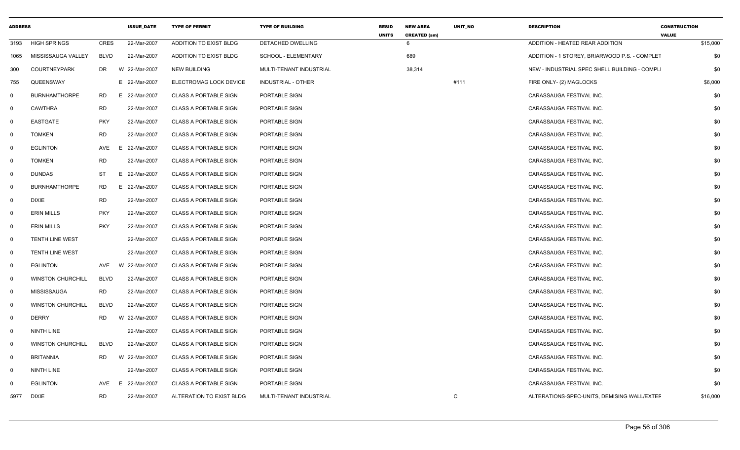| <b>ADDRESS</b> |                          |             | <b>ISSUE DATE</b> | <b>TYPE OF PERMIT</b>        | <b>TYPE OF BUILDING</b> | <b>RESID</b><br><b>UNITS</b> | <b>NEW AREA</b><br><b>CREATED (sm)</b> | UNIT_NO | <b>DESCRIPTION</b>                            | <b>CONSTRUCTION</b><br><b>VALUE</b> |
|----------------|--------------------------|-------------|-------------------|------------------------------|-------------------------|------------------------------|----------------------------------------|---------|-----------------------------------------------|-------------------------------------|
| 3193           | <b>HIGH SPRINGS</b>      | <b>CRES</b> | 22-Mar-2007       | ADDITION TO EXIST BLDG       | DETACHED DWELLING       |                              | 6                                      |         | ADDITION - HEATED REAR ADDITION               | \$15,000                            |
| 1065           | MISSISSAUGA VALLEY       | <b>BLVD</b> | 22-Mar-2007       | ADDITION TO EXIST BLDG       | SCHOOL - ELEMENTARY     |                              | 689                                    |         | ADDITION - 1 STOREY, BRIARWOOD P.S. - COMPLET | \$0                                 |
| 300            | <b>COURTNEYPARK</b>      | DR.         | W 22-Mar-2007     | <b>NEW BUILDING</b>          | MULTI-TENANT INDUSTRIAL |                              | 38,314                                 |         | NEW - INDUSTRIAL SPEC SHELL BUILDING - COMPLI | \$0                                 |
| 755            | QUEENSWAY                |             | E 22-Mar-2007     | ELECTROMAG LOCK DEVICE       | INDUSTRIAL - OTHER      |                              |                                        | #111    | FIRE ONLY- (2) MAGLOCKS                       | \$6,000                             |
| $\mathbf{0}$   | <b>BURNHAMTHORPE</b>     | RD          | E 22-Mar-2007     | <b>CLASS A PORTABLE SIGN</b> | PORTABLE SIGN           |                              |                                        |         | CARASSAUGA FESTIVAL INC.                      | \$0                                 |
| $\mathbf 0$    | <b>CAWTHRA</b>           | <b>RD</b>   | 22-Mar-2007       | <b>CLASS A PORTABLE SIGN</b> | PORTABLE SIGN           |                              |                                        |         | CARASSAUGA FESTIVAL INC.                      | \$0                                 |
| $\mathbf{0}$   | <b>EASTGATE</b>          | <b>PKY</b>  | 22-Mar-2007       | <b>CLASS A PORTABLE SIGN</b> | PORTABLE SIGN           |                              |                                        |         | CARASSAUGA FESTIVAL INC.                      | \$0                                 |
| $\mathbf 0$    | <b>TOMKEN</b>            | <b>RD</b>   | 22-Mar-2007       | <b>CLASS A PORTABLE SIGN</b> | PORTABLE SIGN           |                              |                                        |         | CARASSAUGA FESTIVAL INC.                      | \$0                                 |
| $\mathbf{0}$   | <b>EGLINTON</b>          | AVE         | E<br>22-Mar-2007  | <b>CLASS A PORTABLE SIGN</b> | PORTABLE SIGN           |                              |                                        |         | CARASSAUGA FESTIVAL INC.                      | \$0                                 |
| $\mathbf{0}$   | <b>TOMKEN</b>            | <b>RD</b>   | 22-Mar-2007       | <b>CLASS A PORTABLE SIGN</b> | PORTABLE SIGN           |                              |                                        |         | CARASSAUGA FESTIVAL INC.                      | \$0                                 |
| $\mathbf 0$    | <b>DUNDAS</b>            | <b>ST</b>   | E 22-Mar-2007     | <b>CLASS A PORTABLE SIGN</b> | PORTABLE SIGN           |                              |                                        |         | CARASSAUGA FESTIVAL INC.                      | \$0                                 |
| $\mathbf 0$    | <b>BURNHAMTHORPE</b>     | <b>RD</b>   | E 22-Mar-2007     | <b>CLASS A PORTABLE SIGN</b> | PORTABLE SIGN           |                              |                                        |         | CARASSAUGA FESTIVAL INC.                      | \$0                                 |
| $\mathbf 0$    | <b>DIXIE</b>             | <b>RD</b>   | 22-Mar-2007       | <b>CLASS A PORTABLE SIGN</b> | PORTABLE SIGN           |                              |                                        |         | CARASSAUGA FESTIVAL INC.                      | \$0                                 |
| $\mathbf 0$    | <b>ERIN MILLS</b>        | <b>PKY</b>  | 22-Mar-2007       | <b>CLASS A PORTABLE SIGN</b> | PORTABLE SIGN           |                              |                                        |         | CARASSAUGA FESTIVAL INC.                      | \$0                                 |
| $\mathbf 0$    | <b>ERIN MILLS</b>        | <b>PKY</b>  | 22-Mar-2007       | CLASS A PORTABLE SIGN        | PORTABLE SIGN           |                              |                                        |         | CARASSAUGA FESTIVAL INC.                      | \$0                                 |
| $\mathbf 0$    | <b>TENTH LINE WEST</b>   |             | 22-Mar-2007       | <b>CLASS A PORTABLE SIGN</b> | PORTABLE SIGN           |                              |                                        |         | CARASSAUGA FESTIVAL INC.                      | \$0                                 |
| $\mathbf{0}$   | <b>TENTH LINE WEST</b>   |             | 22-Mar-2007       | <b>CLASS A PORTABLE SIGN</b> | PORTABLE SIGN           |                              |                                        |         | CARASSAUGA FESTIVAL INC.                      | \$0                                 |
| $\mathbf{0}$   | <b>EGLINTON</b>          | AVE         | W 22-Mar-2007     | <b>CLASS A PORTABLE SIGN</b> | PORTABLE SIGN           |                              |                                        |         | CARASSAUGA FESTIVAL INC.                      | \$0                                 |
| $\mathbf 0$    | <b>WINSTON CHURCHILL</b> | <b>BLVD</b> | 22-Mar-2007       | <b>CLASS A PORTABLE SIGN</b> | PORTABLE SIGN           |                              |                                        |         | CARASSAUGA FESTIVAL INC.                      | \$0                                 |
| $\mathbf 0$    | MISSISSAUGA              | <b>RD</b>   | 22-Mar-2007       | <b>CLASS A PORTABLE SIGN</b> | PORTABLE SIGN           |                              |                                        |         | CARASSAUGA FESTIVAL INC.                      | \$0                                 |
| $\Omega$       | <b>WINSTON CHURCHILL</b> | <b>BLVD</b> | 22-Mar-2007       | <b>CLASS A PORTABLE SIGN</b> | PORTABLE SIGN           |                              |                                        |         | CARASSAUGA FESTIVAL INC.                      | \$0                                 |
| $\mathbf 0$    | <b>DERRY</b>             | <b>RD</b>   | W 22-Mar-2007     | <b>CLASS A PORTABLE SIGN</b> | PORTABLE SIGN           |                              |                                        |         | CARASSAUGA FESTIVAL INC.                      | \$0                                 |
| $\mathbf 0$    | NINTH LINE               |             | 22-Mar-2007       | <b>CLASS A PORTABLE SIGN</b> | PORTABLE SIGN           |                              |                                        |         | CARASSAUGA FESTIVAL INC.                      | \$0                                 |
| $\mathbf 0$    | <b>WINSTON CHURCHILL</b> | <b>BLVD</b> | 22-Mar-2007       | <b>CLASS A PORTABLE SIGN</b> | PORTABLE SIGN           |                              |                                        |         | CARASSAUGA FESTIVAL INC.                      | \$0                                 |
| $\mathbf{0}$   | <b>BRITANNIA</b>         | RD          | W 22-Mar-2007     | <b>CLASS A PORTABLE SIGN</b> | PORTABLE SIGN           |                              |                                        |         | CARASSAUGA FESTIVAL INC.                      | \$0                                 |
| $\mathbf 0$    | <b>NINTH LINE</b>        |             | 22-Mar-2007       | <b>CLASS A PORTABLE SIGN</b> | PORTABLE SIGN           |                              |                                        |         | CARASSAUGA FESTIVAL INC.                      | \$0                                 |
| $\mathbf 0$    | <b>EGLINTON</b>          | AVE         | E 22-Mar-2007     | <b>CLASS A PORTABLE SIGN</b> | PORTABLE SIGN           |                              |                                        |         | CARASSAUGA FESTIVAL INC.                      | \$0                                 |
| 5977           | <b>DIXIE</b>             | <b>RD</b>   | 22-Mar-2007       | ALTERATION TO EXIST BLDG     | MULTI-TENANT INDUSTRIAL |                              |                                        | C       | ALTERATIONS-SPEC-UNITS, DEMISING WALL/EXTEF   | \$16,000                            |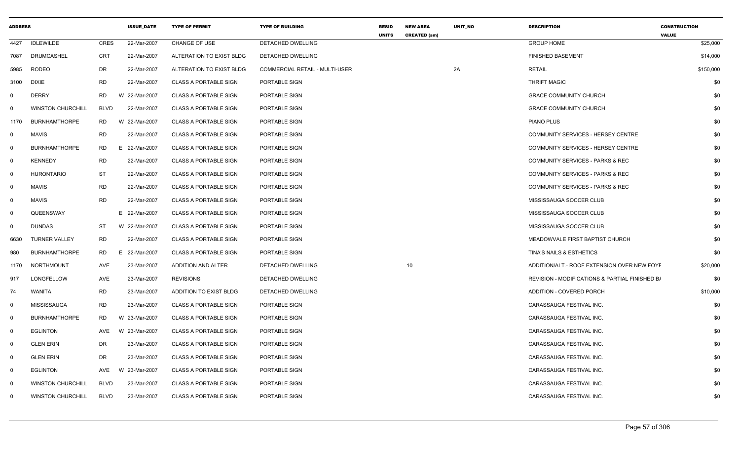| <b>ADDRESS</b> |                          |             | <b>ISSUE DATE</b> | <b>TYPE OF PERMIT</b>        | <b>TYPE OF BUILDING</b>               | <b>RESID</b><br><b>UNITS</b> | <b>NEW AREA</b><br><b>CREATED (sm)</b> | UNIT_NO | <b>DESCRIPTION</b>                             | <b>CONSTRUCTION</b><br><b>VALUE</b> |
|----------------|--------------------------|-------------|-------------------|------------------------------|---------------------------------------|------------------------------|----------------------------------------|---------|------------------------------------------------|-------------------------------------|
| 4427           | <b>IDLEWILDE</b>         | <b>CRES</b> | 22-Mar-2007       | CHANGE OF USE                | DETACHED DWELLING                     |                              |                                        |         | <b>GROUP HOME</b>                              | \$25,000                            |
| 7087           | DRUMCASHEL               | <b>CRT</b>  | 22-Mar-2007       | ALTERATION TO EXIST BLDG     | DETACHED DWELLING                     |                              |                                        |         | <b>FINISHED BASEMENT</b>                       | \$14,000                            |
| 5985           | <b>RODEO</b>             | DR          | 22-Mar-2007       | ALTERATION TO EXIST BLDG     | <b>COMMERCIAL RETAIL - MULTI-USER</b> |                              |                                        | 2A      | <b>RETAIL</b>                                  | \$150,000                           |
| 3100           | DIXIE                    | RD          | 22-Mar-2007       | <b>CLASS A PORTABLE SIGN</b> | PORTABLE SIGN                         |                              |                                        |         | <b>THRIFT MAGIC</b>                            | \$0                                 |
| 0              | <b>DERRY</b>             | <b>RD</b>   | W 22-Mar-2007     | <b>CLASS A PORTABLE SIGN</b> | PORTABLE SIGN                         |                              |                                        |         | <b>GRACE COMMUNITY CHURCH</b>                  | \$0                                 |
| 0              | <b>WINSTON CHURCHILL</b> | <b>BLVD</b> | 22-Mar-2007       | <b>CLASS A PORTABLE SIGN</b> | PORTABLE SIGN                         |                              |                                        |         | <b>GRACE COMMUNITY CHURCH</b>                  | \$0                                 |
| 1170           | <b>BURNHAMTHORPE</b>     | RD          | W 22-Mar-2007     | <b>CLASS A PORTABLE SIGN</b> | PORTABLE SIGN                         |                              |                                        |         | PIANO PLUS                                     | \$0                                 |
| $\mathbf{0}$   | <b>MAVIS</b>             | RD          | 22-Mar-2007       | <b>CLASS A PORTABLE SIGN</b> | PORTABLE SIGN                         |                              |                                        |         | COMMUNITY SERVICES - HERSEY CENTRE             | \$0                                 |
| $\mathbf 0$    | <b>BURNHAMTHORPE</b>     | RD          | E 22-Mar-2007     | <b>CLASS A PORTABLE SIGN</b> | PORTABLE SIGN                         |                              |                                        |         | COMMUNITY SERVICES - HERSEY CENTRE             | \$0                                 |
| $\mathbf 0$    | <b>KENNEDY</b>           | RD          | 22-Mar-2007       | <b>CLASS A PORTABLE SIGN</b> | PORTABLE SIGN                         |                              |                                        |         | <b>COMMUNITY SERVICES - PARKS &amp; REC</b>    | \$0                                 |
| $\mathbf 0$    | <b>HURONTARIO</b>        | ST          | 22-Mar-2007       | <b>CLASS A PORTABLE SIGN</b> | PORTABLE SIGN                         |                              |                                        |         | <b>COMMUNITY SERVICES - PARKS &amp; REC</b>    | \$0                                 |
| $\mathbf 0$    | <b>MAVIS</b>             | <b>RD</b>   | 22-Mar-2007       | <b>CLASS A PORTABLE SIGN</b> | PORTABLE SIGN                         |                              |                                        |         | COMMUNITY SERVICES - PARKS & REC               | \$0                                 |
| 0              | <b>MAVIS</b>             | <b>RD</b>   | 22-Mar-2007       | <b>CLASS A PORTABLE SIGN</b> | PORTABLE SIGN                         |                              |                                        |         | MISSISSAUGA SOCCER CLUB                        | \$0                                 |
| $\mathbf 0$    | QUEENSWAY                |             | E 22-Mar-2007     | <b>CLASS A PORTABLE SIGN</b> | PORTABLE SIGN                         |                              |                                        |         | MISSISSAUGA SOCCER CLUB                        | \$0                                 |
| 0              | <b>DUNDAS</b>            | ST          | W 22-Mar-2007     | <b>CLASS A PORTABLE SIGN</b> | PORTABLE SIGN                         |                              |                                        |         | MISSISSAUGA SOCCER CLUB                        | \$0                                 |
| 6630           | <b>TURNER VALLEY</b>     | <b>RD</b>   | 22-Mar-2007       | <b>CLASS A PORTABLE SIGN</b> | PORTABLE SIGN                         |                              |                                        |         | MEADOWVALE FIRST BAPTIST CHURCH                | \$0                                 |
| 980            | <b>BURNHAMTHORPE</b>     | RD          | E 22-Mar-2007     | CLASS A PORTABLE SIGN        | PORTABLE SIGN                         |                              |                                        |         | TINA'S NAILS & ESTHETICS                       | \$0                                 |
| 1170           | NORTHMOUNT               | AVE         | 23-Mar-2007       | ADDITION AND ALTER           | DETACHED DWELLING                     |                              | 10                                     |         | ADDITION/ALT.- ROOF EXTENSION OVER NEW FOYE    | \$20,000                            |
| 917            | LONGFELLOW               | AVE         | 23-Mar-2007       | <b>REVISIONS</b>             | DETACHED DWELLING                     |                              |                                        |         | REVISION - MODIFICATIONS & PARTIAL FINISHED B/ | \$0                                 |
| 74             | WANITA                   | <b>RD</b>   | 23-Mar-2007       | ADDITION TO EXIST BLDG       | DETACHED DWELLING                     |                              |                                        |         | ADDITION - COVERED PORCH                       | \$10,000                            |
| 0              | MISSISSAUGA              | RD          | 23-Mar-2007       | <b>CLASS A PORTABLE SIGN</b> | PORTABLE SIGN                         |                              |                                        |         | CARASSAUGA FESTIVAL INC.                       | \$0                                 |
| $\mathbf 0$    | <b>BURNHAMTHORPE</b>     | <b>RD</b>   | W 23-Mar-2007     | <b>CLASS A PORTABLE SIGN</b> | PORTABLE SIGN                         |                              |                                        |         | CARASSAUGA FESTIVAL INC.                       | \$0                                 |
| $\mathbf 0$    | <b>EGLINTON</b>          | AVE         | W 23-Mar-2007     | <b>CLASS A PORTABLE SIGN</b> | PORTABLE SIGN                         |                              |                                        |         | CARASSAUGA FESTIVAL INC.                       | \$0                                 |
| 0              | <b>GLEN ERIN</b>         | DR          | 23-Mar-2007       | <b>CLASS A PORTABLE SIGN</b> | PORTABLE SIGN                         |                              |                                        |         | CARASSAUGA FESTIVAL INC.                       | \$0                                 |
| $\mathbf 0$    | <b>GLEN ERIN</b>         | DR          | 23-Mar-2007       | <b>CLASS A PORTABLE SIGN</b> | PORTABLE SIGN                         |                              |                                        |         | CARASSAUGA FESTIVAL INC.                       | \$0                                 |
| $\mathbf 0$    | EGLINTON                 | AVE         | W 23-Mar-2007     | <b>CLASS A PORTABLE SIGN</b> | PORTABLE SIGN                         |                              |                                        |         | CARASSAUGA FESTIVAL INC.                       | \$0                                 |
| $\mathbf 0$    | <b>WINSTON CHURCHILL</b> | <b>BLVD</b> | 23-Mar-2007       | <b>CLASS A PORTABLE SIGN</b> | PORTABLE SIGN                         |                              |                                        |         | CARASSAUGA FESTIVAL INC.                       | \$0                                 |
| 0              | <b>WINSTON CHURCHILL</b> | <b>BLVD</b> | 23-Mar-2007       | <b>CLASS A PORTABLE SIGN</b> | PORTABLE SIGN                         |                              |                                        |         | CARASSAUGA FESTIVAL INC.                       | \$0                                 |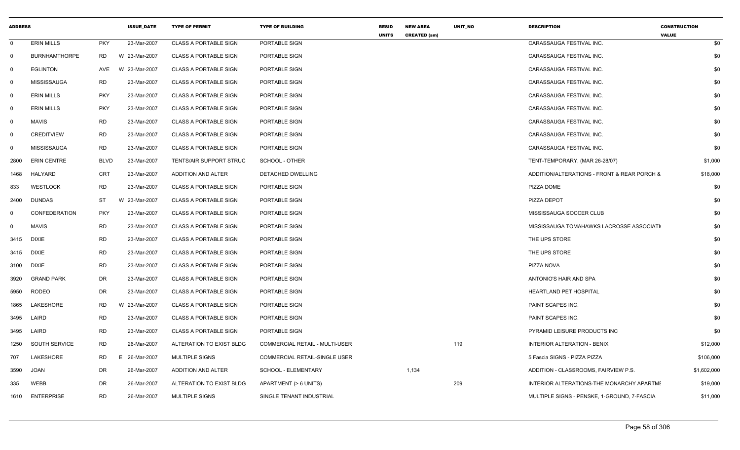| <b>ADDRESS</b> |                      |             | <b>ISSUE_DATE</b> | <b>TYPE OF PERMIT</b>        | <b>TYPE OF BUILDING</b>               | <b>RESID</b><br><b>UNITS</b> | <b>NEW AREA</b><br><b>CREATED (sm)</b> | UNIT_NO | <b>DESCRIPTION</b>                          | <b>CONSTRUCTION</b><br><b>VALUE</b> |
|----------------|----------------------|-------------|-------------------|------------------------------|---------------------------------------|------------------------------|----------------------------------------|---------|---------------------------------------------|-------------------------------------|
| $\mathbf 0$    | <b>ERIN MILLS</b>    | <b>PKY</b>  | 23-Mar-2007       | <b>CLASS A PORTABLE SIGN</b> | PORTABLE SIGN                         |                              |                                        |         | CARASSAUGA FESTIVAL INC.                    | \$0                                 |
| $\Omega$       | <b>BURNHAMTHORPE</b> | <b>RD</b>   | W 23-Mar-2007     | <b>CLASS A PORTABLE SIGN</b> | PORTABLE SIGN                         |                              |                                        |         | CARASSAUGA FESTIVAL INC.                    | \$0                                 |
| 0              | <b>EGLINTON</b>      | AVE         | W 23-Mar-2007     | <b>CLASS A PORTABLE SIGN</b> | PORTABLE SIGN                         |                              |                                        |         | CARASSAUGA FESTIVAL INC.                    | \$0                                 |
| $\mathbf 0$    | <b>MISSISSAUGA</b>   | RD.         | 23-Mar-2007       | <b>CLASS A PORTABLE SIGN</b> | PORTABLE SIGN                         |                              |                                        |         | CARASSAUGA FESTIVAL INC.                    | \$0                                 |
| $\mathbf 0$    | <b>ERIN MILLS</b>    | <b>PKY</b>  | 23-Mar-2007       | <b>CLASS A PORTABLE SIGN</b> | PORTABLE SIGN                         |                              |                                        |         | CARASSAUGA FESTIVAL INC.                    | \$0                                 |
| $\mathbf 0$    | <b>ERIN MILLS</b>    | <b>PKY</b>  | 23-Mar-2007       | <b>CLASS A PORTABLE SIGN</b> | PORTABLE SIGN                         |                              |                                        |         | CARASSAUGA FESTIVAL INC.                    | \$0                                 |
| $\mathbf 0$    | <b>MAVIS</b>         | <b>RD</b>   | 23-Mar-2007       | <b>CLASS A PORTABLE SIGN</b> | PORTABLE SIGN                         |                              |                                        |         | CARASSAUGA FESTIVAL INC.                    | \$0                                 |
| 0              | <b>CREDITVIEW</b>    | <b>RD</b>   | 23-Mar-2007       | <b>CLASS A PORTABLE SIGN</b> | PORTABLE SIGN                         |                              |                                        |         | CARASSAUGA FESTIVAL INC.                    | \$0                                 |
| 0              | <b>MISSISSAUGA</b>   | <b>RD</b>   | 23-Mar-2007       | <b>CLASS A PORTABLE SIGN</b> | PORTABLE SIGN                         |                              |                                        |         | CARASSAUGA FESTIVAL INC.                    | \$0                                 |
| 2800           | <b>ERIN CENTRE</b>   | <b>BLVD</b> | 23-Mar-2007       | TENTS/AIR SUPPORT STRUC      | SCHOOL - OTHER                        |                              |                                        |         | TENT-TEMPORARY, (MAR 26-28/07)              | \$1,000                             |
| 1468           | HALYARD              | CRT         | 23-Mar-2007       | ADDITION AND ALTER           | DETACHED DWELLING                     |                              |                                        |         | ADDITION/ALTERATIONS - FRONT & REAR PORCH & | \$18,000                            |
| 833            | <b>WESTLOCK</b>      | <b>RD</b>   | 23-Mar-2007       | <b>CLASS A PORTABLE SIGN</b> | PORTABLE SIGN                         |                              |                                        |         | PIZZA DOME                                  | \$0                                 |
| 2400           | <b>DUNDAS</b>        | ST          | W 23-Mar-2007     | <b>CLASS A PORTABLE SIGN</b> | PORTABLE SIGN                         |                              |                                        |         | PIZZA DEPOT                                 | \$0                                 |
| $\Omega$       | CONFEDERATION        | <b>PKY</b>  | 23-Mar-2007       | <b>CLASS A PORTABLE SIGN</b> | PORTABLE SIGN                         |                              |                                        |         | MISSISSAUGA SOCCER CLUB                     | \$0                                 |
| 0              | <b>MAVIS</b>         | <b>RD</b>   | 23-Mar-2007       | <b>CLASS A PORTABLE SIGN</b> | PORTABLE SIGN                         |                              |                                        |         | MISSISSAUGA TOMAHAWKS LACROSSE ASSOCIATI    | \$0                                 |
| 3415           | DIXIE                | RD          | 23-Mar-2007       | <b>CLASS A PORTABLE SIGN</b> | PORTABLE SIGN                         |                              |                                        |         | THE UPS STORE                               | \$0                                 |
| 3415           | <b>DIXIE</b>         | <b>RD</b>   | 23-Mar-2007       | <b>CLASS A PORTABLE SIGN</b> | PORTABLE SIGN                         |                              |                                        |         | THE UPS STORE                               | \$0                                 |
| 3100           | DIXIE                | <b>RD</b>   | 23-Mar-2007       | <b>CLASS A PORTABLE SIGN</b> | PORTABLE SIGN                         |                              |                                        |         | PIZZA NOVA                                  | \$0                                 |
| 3920           | <b>GRAND PARK</b>    | DR          | 23-Mar-2007       | <b>CLASS A PORTABLE SIGN</b> | PORTABLE SIGN                         |                              |                                        |         | ANTONIO'S HAIR AND SPA                      | \$0                                 |
| 5950           | <b>RODEO</b>         | DR          | 23-Mar-2007       | <b>CLASS A PORTABLE SIGN</b> | PORTABLE SIGN                         |                              |                                        |         | HEARTLAND PET HOSPITAL                      | \$0                                 |
| 1865           | LAKESHORE            | <b>RD</b>   | W 23-Mar-2007     | <b>CLASS A PORTABLE SIGN</b> | PORTABLE SIGN                         |                              |                                        |         | PAINT SCAPES INC.                           | \$0                                 |
| 3495           | LAIRD                | <b>RD</b>   | 23-Mar-2007       | <b>CLASS A PORTABLE SIGN</b> | PORTABLE SIGN                         |                              |                                        |         | PAINT SCAPES INC.                           | \$0                                 |
| 3495           | LAIRD                | RD          | 23-Mar-2007       | <b>CLASS A PORTABLE SIGN</b> | PORTABLE SIGN                         |                              |                                        |         | PYRAMID LEISURE PRODUCTS INC                | \$0                                 |
| 1250           | SOUTH SERVICE        | <b>RD</b>   | 26-Mar-2007       | ALTERATION TO EXIST BLDG     | <b>COMMERCIAL RETAIL - MULTI-USER</b> |                              |                                        | 119     | <b>INTERIOR ALTERATION - BENIX</b>          | \$12,000                            |
| 707            | LAKESHORE            | RD.         | 26-Mar-2007       | <b>MULTIPLE SIGNS</b>        | COMMERCIAL RETAIL-SINGLE USER         |                              |                                        |         | 5 Fascia SIGNS - PIZZA PIZZA                | \$106,000                           |
| 3590           | <b>JOAN</b>          | DR          | 26-Mar-2007       | ADDITION AND ALTER           | <b>SCHOOL - ELEMENTARY</b>            |                              | 1,134                                  |         | ADDITION - CLASSROOMS, FAIRVIEW P.S.        | \$1,602,000                         |
| 335            | <b>WEBB</b>          | DR          | 26-Mar-2007       | ALTERATION TO EXIST BLDG     | APARTMENT (> 6 UNITS)                 |                              |                                        | 209     | INTERIOR ALTERATIONS-THE MONARCHY APARTME   | \$19,000                            |
| 1610           | <b>ENTERPRISE</b>    | RD          | 26-Mar-2007       | MULTIPLE SIGNS               | SINGLE TENANT INDUSTRIAL              |                              |                                        |         | MULTIPLE SIGNS - PENSKE, 1-GROUND, 7-FASCIA | \$11,000                            |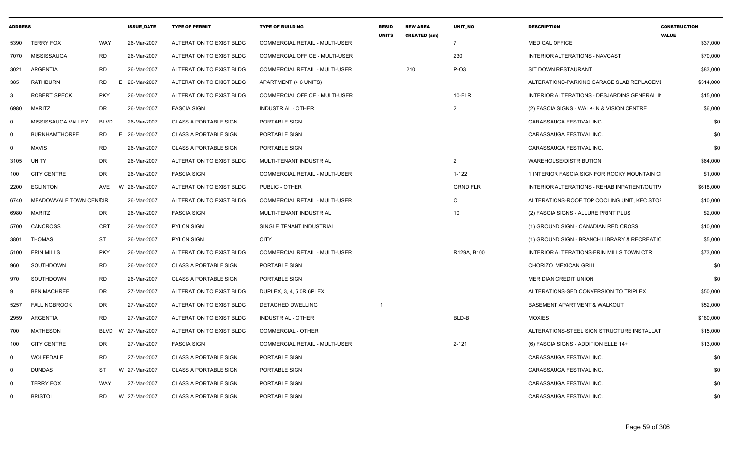| <b>ADDRESS</b> |                        |             | <b>ISSUE_DATE</b> | <b>TYPE OF PERMIT</b>        | <b>TYPE OF BUILDING</b>               | <b>RESID</b><br><b>UNITS</b> | <b>NEW AREA</b><br><b>CREATED (sm)</b> | UNIT_NO         | <b>DESCRIPTION</b>                           | <b>CONSTRUCTION</b><br><b>VALUE</b> |
|----------------|------------------------|-------------|-------------------|------------------------------|---------------------------------------|------------------------------|----------------------------------------|-----------------|----------------------------------------------|-------------------------------------|
| 5390           | <b>TERRY FOX</b>       | WAY         | 26-Mar-2007       | ALTERATION TO EXIST BLDG     | COMMERCIAL RETAIL - MULTI-USER        |                              |                                        | $\overline{7}$  | <b>MEDICAL OFFICE</b>                        | \$37,000                            |
| 7070           | MISSISSAUGA            | <b>RD</b>   | 26-Mar-2007       | ALTERATION TO EXIST BLDG     | COMMERCIAL OFFICE - MULTI-USER        |                              |                                        | 230             | <b>INTERIOR ALTERATIONS - NAVCAST</b>        | \$70,000                            |
| 3021           | <b>ARGENTIA</b>        | <b>RD</b>   | 26-Mar-2007       | ALTERATION TO EXIST BLDG     | COMMERCIAL RETAIL - MULTI-USER        |                              | 210                                    | $P-O3$          | SIT DOWN RESTAURANT                          | \$83,000                            |
| 385            | <b>RATHBURN</b>        | <b>RD</b>   | E 26-Mar-2007     | ALTERATION TO EXIST BLDG     | APARTMENT (> 6 UNITS)                 |                              |                                        |                 | ALTERATIONS-PARKING GARAGE SLAB REPLACEMI    | \$314,000                           |
| $\mathbf{3}$   | ROBERT SPECK           | <b>PKY</b>  | 26-Mar-2007       | ALTERATION TO EXIST BLDG     | <b>COMMERCIAL OFFICE - MULTI-USER</b> |                              |                                        | $10-FLR$        | INTERIOR ALTERATIONS - DESJARDINS GENERAL IN | \$15,000                            |
| 6980           | <b>MARITZ</b>          | DR          | 26-Mar-2007       | <b>FASCIA SIGN</b>           | <b>INDUSTRIAL - OTHER</b>             |                              |                                        | 2               | (2) FASCIA SIGNS - WALK-IN & VISION CENTRE   | \$6,000                             |
| $\mathbf 0$    | MISSISSAUGA VALLEY     | <b>BLVD</b> | 26-Mar-2007       | <b>CLASS A PORTABLE SIGN</b> | PORTABLE SIGN                         |                              |                                        |                 | CARASSAUGA FESTIVAL INC.                     | \$0                                 |
| $\mathbf 0$    | <b>BURNHAMTHORPE</b>   | <b>RD</b>   | E 26-Mar-2007     | <b>CLASS A PORTABLE SIGN</b> | PORTABLE SIGN                         |                              |                                        |                 | CARASSAUGA FESTIVAL INC.                     | \$0                                 |
| $\mathbf 0$    | <b>MAVIS</b>           | <b>RD</b>   | 26-Mar-2007       | CLASS A PORTABLE SIGN        | PORTABLE SIGN                         |                              |                                        |                 | CARASSAUGA FESTIVAL INC.                     | \$0                                 |
| 3105           | <b>UNITY</b>           | <b>DR</b>   | 26-Mar-2007       | ALTERATION TO EXIST BLDG     | MULTI-TENANT INDUSTRIAL               |                              |                                        | 2               | WAREHOUSE/DISTRIBUTION                       | \$64,000                            |
| 100            | <b>CITY CENTRE</b>     | DR.         | 26-Mar-2007       | <b>FASCIA SIGN</b>           | <b>COMMERCIAL RETAIL - MULTI-USER</b> |                              |                                        | $1 - 122$       | 1 INTERIOR FASCIA SIGN FOR ROCKY MOUNTAIN CI | \$1,000                             |
| 2200           | <b>EGLINTON</b>        | AVE         | 26-Mar-2007<br>W  | ALTERATION TO EXIST BLDG     | PUBLIC - OTHER                        |                              |                                        | <b>GRND FLR</b> | INTERIOR ALTERATIONS - REHAB INPATIENT/OUTP/ | \$618,000                           |
| 6740           | MEADOWVALE TOWN CENCIR |             | 26-Mar-2007       | ALTERATION TO EXIST BLDG     | COMMERCIAL RETAIL - MULTI-USER        |                              |                                        | C               | ALTERATIONS-ROOF TOP COOLING UNIT, KFC STOP  | \$10,000                            |
| 6980           | <b>MARITZ</b>          | <b>DR</b>   | 26-Mar-2007       | <b>FASCIA SIGN</b>           | MULTI-TENANT INDUSTRIAL               |                              |                                        | 10              | (2) FASCIA SIGNS - ALLURE PRINT PLUS         | \$2,000                             |
| 5700           | <b>CANCROSS</b>        | <b>CRT</b>  | 26-Mar-2007       | <b>PYLON SIGN</b>            | SINGLE TENANT INDUSTRIAL              |                              |                                        |                 | (1) GROUND SIGN - CANADIAN RED CROSS         | \$10,000                            |
| 3801           | THOMAS                 | <b>ST</b>   | 26-Mar-2007       | <b>PYLON SIGN</b>            | <b>CITY</b>                           |                              |                                        |                 | (1) GROUND SIGN - BRANCH LIBRARY & RECREATIC | \$5,000                             |
| 5100           | <b>ERIN MILLS</b>      | <b>PKY</b>  | 26-Mar-2007       | ALTERATION TO EXIST BLDG     | <b>COMMERCIAL RETAIL - MULTI-USER</b> |                              |                                        | R129A, B100     | INTERIOR ALTERATIONS-ERIN MILLS TOWN CTR     | \$73,000                            |
| 960            | SOUTHDOWN              | <b>RD</b>   | 26-Mar-2007       | <b>CLASS A PORTABLE SIGN</b> | PORTABLE SIGN                         |                              |                                        |                 | CHORIZO MEXICAN GRILL                        | \$0                                 |
| 970            | SOUTHDOWN              | <b>RD</b>   | 26-Mar-2007       | <b>CLASS A PORTABLE SIGN</b> | PORTABLE SIGN                         |                              |                                        |                 | <b>MERIDIAN CREDIT UNION</b>                 | \$0                                 |
| -9             | <b>BEN MACHREE</b>     | DR          | 27-Mar-2007       | ALTERATION TO EXIST BLDG     | DUPLEX, 3, 4, 5 0R 6PLEX              |                              |                                        |                 | ALTERATIONS-SFD CONVERSION TO TRIPLEX        | \$50,000                            |
| 5257           | <b>FALLINGBROOK</b>    | <b>DR</b>   | 27-Mar-2007       | ALTERATION TO EXIST BLDG     | <b>DETACHED DWELLING</b>              |                              |                                        |                 | <b>BASEMENT APARTMENT &amp; WALKOUT</b>      | \$52,000                            |
| 2959           | <b>ARGENTIA</b>        | <b>RD</b>   | 27-Mar-2007       | ALTERATION TO EXIST BLDG     | <b>INDUSTRIAL - OTHER</b>             |                              |                                        | BLD-B           | <b>MOXIES</b>                                | \$180,000                           |
| 700            | <b>MATHESON</b>        | <b>BLVD</b> | W 27-Mar-2007     | ALTERATION TO EXIST BLDG     | <b>COMMERCIAL - OTHER</b>             |                              |                                        |                 | ALTERATIONS-STEEL SIGN STRUCTURE INSTALLAT   | \$15,000                            |
| 100            | <b>CITY CENTRE</b>     | DR          | 27-Mar-2007       | <b>FASCIA SIGN</b>           | COMMERCIAL RETAIL - MULTI-USER        |                              |                                        | $2 - 121$       | (6) FASCIA SIGNS - ADDITION ELLE 14+         | \$13,000                            |
| $\mathbf 0$    | <b>WOLFEDALE</b>       | <b>RD</b>   | 27-Mar-2007       | <b>CLASS A PORTABLE SIGN</b> | PORTABLE SIGN                         |                              |                                        |                 | CARASSAUGA FESTIVAL INC.                     | \$0                                 |
| $\mathbf 0$    | <b>DUNDAS</b>          | ST          | W 27-Mar-2007     | <b>CLASS A PORTABLE SIGN</b> | PORTABLE SIGN                         |                              |                                        |                 | CARASSAUGA FESTIVAL INC.                     | \$0                                 |
| $\mathbf 0$    | <b>TERRY FOX</b>       | <b>WAY</b>  | 27-Mar-2007       | <b>CLASS A PORTABLE SIGN</b> | PORTABLE SIGN                         |                              |                                        |                 | CARASSAUGA FESTIVAL INC.                     | \$0                                 |
| $\Omega$       | <b>BRISTOL</b>         | <b>RD</b>   | W 27-Mar-2007     | <b>CLASS A PORTABLE SIGN</b> | PORTABLE SIGN                         |                              |                                        |                 | CARASSAUGA FESTIVAL INC.                     | \$0                                 |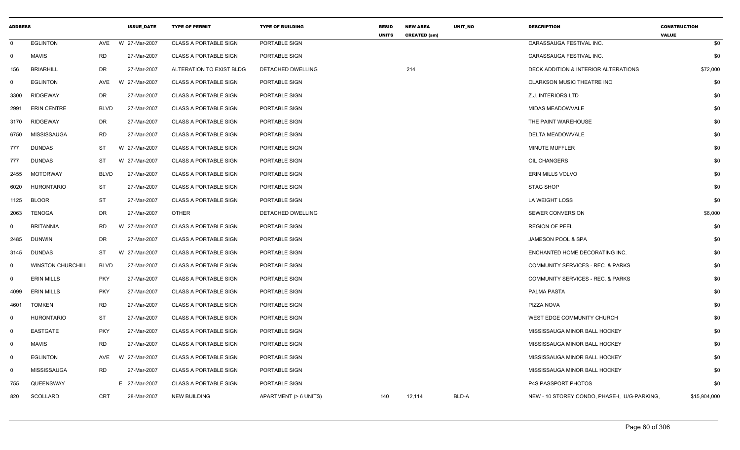| <b>EGLINTON</b><br>W 27-Mar-2007<br><b>CLASS A PORTABLE SIGN</b><br>PORTABLE SIGN<br>CARASSAUGA FESTIVAL INC.<br>$\mathbf 0$<br>AVE<br><b>MAVIS</b><br><b>RD</b><br>27-Mar-2007<br>CLASS A PORTABLE SIGN<br>CARASSAUGA FESTIVAL INC.<br>PORTABLE SIGN<br><b>BRIARHILL</b><br>DR<br>27-Mar-2007<br>DETACHED DWELLING<br>214<br>DECK ADDITION & INTERIOR ALTERATIONS<br>156<br>ALTERATION TO EXIST BLDG<br>W 27-Mar-2007<br><b>EGLINTON</b><br>AVE<br><b>CLASS A PORTABLE SIGN</b><br>PORTABLE SIGN<br><b>CLARKSON MUSIC THEATRE INC</b><br>$\mathbf 0$<br><b>RIDGEWAY</b><br>DR<br>27-Mar-2007<br><b>CLASS A PORTABLE SIGN</b><br>Z.J. INTERIORS LTD<br>PORTABLE SIGN<br>3300<br><b>BLVD</b><br><b>ERIN CENTRE</b><br>27-Mar-2007<br><b>CLASS A PORTABLE SIGN</b><br>PORTABLE SIGN<br>MIDAS MEADOWVALE<br>2991<br><b>RIDGEWAY</b><br>DR<br>27-Mar-2007<br><b>CLASS A PORTABLE SIGN</b><br>PORTABLE SIGN<br>THE PAINT WAREHOUSE<br>3170<br>MISSISSAUGA<br><b>RD</b><br>27-Mar-2007<br>CLASS A PORTABLE SIGN<br>PORTABLE SIGN<br>DELTA MEADOWVALE<br>6750<br><b>DUNDAS</b><br><b>ST</b><br>W 27-Mar-2007<br><b>CLASS A PORTABLE SIGN</b><br>PORTABLE SIGN<br>MINUTE MUFFLER<br>777<br><b>DUNDAS</b><br>ST<br>W 27-Mar-2007<br><b>CLASS A PORTABLE SIGN</b><br>PORTABLE SIGN<br>OIL CHANGERS<br>777<br><b>MOTORWAY</b><br><b>BLVD</b><br>ERIN MILLS VOLVO<br>27-Mar-2007<br><b>CLASS A PORTABLE SIGN</b><br>PORTABLE SIGN<br>2455<br><b>HURONTARIO</b><br>ST<br>27-Mar-2007<br>CLASS A PORTABLE SIGN<br>PORTABLE SIGN<br><b>STAG SHOP</b><br>6020<br><b>ST</b><br><b>BLOOR</b><br>27-Mar-2007<br><b>CLASS A PORTABLE SIGN</b><br>PORTABLE SIGN<br>LA WEIGHT LOSS<br>1125<br><b>TENOGA</b><br>DR<br>27-Mar-2007<br><b>OTHER</b><br>DETACHED DWELLING<br><b>SEWER CONVERSION</b><br>2063<br><b>BRITANNIA</b><br><b>RD</b><br>W 27-Mar-2007<br><b>CLASS A PORTABLE SIGN</b><br>PORTABLE SIGN<br><b>REGION OF PEEL</b><br>0<br>DR<br>27-Mar-2007<br><b>CLASS A PORTABLE SIGN</b><br>PORTABLE SIGN<br>JAMESON POOL & SPA<br>2485<br><b>DUNWIN</b><br><b>DUNDAS</b><br><b>ST</b><br>W 27-Mar-2007<br>ENCHANTED HOME DECORATING INC.<br><b>CLASS A PORTABLE SIGN</b><br>PORTABLE SIGN<br>3145<br><b>WINSTON CHURCHILL</b><br><b>BLVD</b><br>27-Mar-2007<br>COMMUNITY SERVICES - REC. & PARKS<br><b>CLASS A PORTABLE SIGN</b><br>PORTABLE SIGN<br>$\mathbf{0}$<br><b>PKY</b><br>27-Mar-2007<br><b>ERIN MILLS</b><br><b>CLASS A PORTABLE SIGN</b><br>PORTABLE SIGN<br>COMMUNITY SERVICES - REC. & PARKS<br>0<br><b>PKY</b><br><b>ERIN MILLS</b><br>27-Mar-2007<br><b>CLASS A PORTABLE SIGN</b><br>PORTABLE SIGN<br>PALMA PASTA<br>4099<br><b>RD</b><br><b>TOMKEN</b><br>27-Mar-2007<br><b>CLASS A PORTABLE SIGN</b><br>PORTABLE SIGN<br>PIZZA NOVA<br>4601<br><b>ST</b><br><b>HURONTARIO</b><br>27-Mar-2007<br><b>CLASS A PORTABLE SIGN</b><br>PORTABLE SIGN<br>WEST EDGE COMMUNITY CHURCH<br>$\mathbf 0$<br><b>EASTGATE</b><br><b>PKY</b><br>27-Mar-2007<br>CLASS A PORTABLE SIGN<br>MISSISSAUGA MINOR BALL HOCKEY<br>$\mathbf 0$<br>PORTABLE SIGN<br><b>RD</b><br>27-Mar-2007<br>$\mathbf 0$<br><b>MAVIS</b><br><b>CLASS A PORTABLE SIGN</b><br>PORTABLE SIGN<br>MISSISSAUGA MINOR BALL HOCKEY<br><b>EGLINTON</b><br>AVE<br>W 27-Mar-2007<br><b>CLASS A PORTABLE SIGN</b><br>PORTABLE SIGN<br>MISSISSAUGA MINOR BALL HOCKEY<br>0<br>MISSISSAUGA<br><b>RD</b><br>CLASS A PORTABLE SIGN<br>27-Mar-2007<br>PORTABLE SIGN<br>MISSISSAUGA MINOR BALL HOCKEY<br>0<br>QUEENSWAY<br>E 27-Mar-2007<br><b>CLASS A PORTABLE SIGN</b><br>PORTABLE SIGN<br>P4S PASSPORT PHOTOS<br>755 | <b>ADDRESS</b>  | <b>ISSUE_DATE</b> | <b>TYPE OF PERMIT</b> | <b>TYPE OF BUILDING</b> | <b>RESID</b><br><b>UNITS</b> | <b>NEW AREA</b><br><b>CREATED (sm)</b> | UNIT_NO | <b>DESCRIPTION</b>                           | <b>CONSTRUCTION</b><br><b>VALUE</b> |
|---------------------------------------------------------------------------------------------------------------------------------------------------------------------------------------------------------------------------------------------------------------------------------------------------------------------------------------------------------------------------------------------------------------------------------------------------------------------------------------------------------------------------------------------------------------------------------------------------------------------------------------------------------------------------------------------------------------------------------------------------------------------------------------------------------------------------------------------------------------------------------------------------------------------------------------------------------------------------------------------------------------------------------------------------------------------------------------------------------------------------------------------------------------------------------------------------------------------------------------------------------------------------------------------------------------------------------------------------------------------------------------------------------------------------------------------------------------------------------------------------------------------------------------------------------------------------------------------------------------------------------------------------------------------------------------------------------------------------------------------------------------------------------------------------------------------------------------------------------------------------------------------------------------------------------------------------------------------------------------------------------------------------------------------------------------------------------------------------------------------------------------------------------------------------------------------------------------------------------------------------------------------------------------------------------------------------------------------------------------------------------------------------------------------------------------------------------------------------------------------------------------------------------------------------------------------------------------------------------------------------------------------------------------------------------------------------------------------------------------------------------------------------------------------------------------------------------------------------------------------------------------------------------------------------------------------------------------------------------------------------------------------------------------------------------------------------------------------------------------------------------------------------------------------------------------------------------------------------------------------------------------------------------------------------------------------------------------------------------------------------------------------------------------------------------------------------------------------------------------------------------------------------------------------------------------|-----------------|-------------------|-----------------------|-------------------------|------------------------------|----------------------------------------|---------|----------------------------------------------|-------------------------------------|
| $\overline{0}$                                                                                                                                                                                                                                                                                                                                                                                                                                                                                                                                                                                                                                                                                                                                                                                                                                                                                                                                                                                                                                                                                                                                                                                                                                                                                                                                                                                                                                                                                                                                                                                                                                                                                                                                                                                                                                                                                                                                                                                                                                                                                                                                                                                                                                                                                                                                                                                                                                                                                                                                                                                                                                                                                                                                                                                                                                                                                                                                                                                                                                                                                                                                                                                                                                                                                                                                                                                                                                                                                                                                                |                 |                   |                       |                         |                              |                                        |         |                                              | \$0                                 |
|                                                                                                                                                                                                                                                                                                                                                                                                                                                                                                                                                                                                                                                                                                                                                                                                                                                                                                                                                                                                                                                                                                                                                                                                                                                                                                                                                                                                                                                                                                                                                                                                                                                                                                                                                                                                                                                                                                                                                                                                                                                                                                                                                                                                                                                                                                                                                                                                                                                                                                                                                                                                                                                                                                                                                                                                                                                                                                                                                                                                                                                                                                                                                                                                                                                                                                                                                                                                                                                                                                                                                               |                 |                   |                       |                         |                              |                                        |         |                                              | \$0                                 |
|                                                                                                                                                                                                                                                                                                                                                                                                                                                                                                                                                                                                                                                                                                                                                                                                                                                                                                                                                                                                                                                                                                                                                                                                                                                                                                                                                                                                                                                                                                                                                                                                                                                                                                                                                                                                                                                                                                                                                                                                                                                                                                                                                                                                                                                                                                                                                                                                                                                                                                                                                                                                                                                                                                                                                                                                                                                                                                                                                                                                                                                                                                                                                                                                                                                                                                                                                                                                                                                                                                                                                               |                 |                   |                       |                         |                              |                                        |         |                                              | \$72,000                            |
|                                                                                                                                                                                                                                                                                                                                                                                                                                                                                                                                                                                                                                                                                                                                                                                                                                                                                                                                                                                                                                                                                                                                                                                                                                                                                                                                                                                                                                                                                                                                                                                                                                                                                                                                                                                                                                                                                                                                                                                                                                                                                                                                                                                                                                                                                                                                                                                                                                                                                                                                                                                                                                                                                                                                                                                                                                                                                                                                                                                                                                                                                                                                                                                                                                                                                                                                                                                                                                                                                                                                                               |                 |                   |                       |                         |                              |                                        |         |                                              | \$0                                 |
|                                                                                                                                                                                                                                                                                                                                                                                                                                                                                                                                                                                                                                                                                                                                                                                                                                                                                                                                                                                                                                                                                                                                                                                                                                                                                                                                                                                                                                                                                                                                                                                                                                                                                                                                                                                                                                                                                                                                                                                                                                                                                                                                                                                                                                                                                                                                                                                                                                                                                                                                                                                                                                                                                                                                                                                                                                                                                                                                                                                                                                                                                                                                                                                                                                                                                                                                                                                                                                                                                                                                                               |                 |                   |                       |                         |                              |                                        |         |                                              | \$0                                 |
|                                                                                                                                                                                                                                                                                                                                                                                                                                                                                                                                                                                                                                                                                                                                                                                                                                                                                                                                                                                                                                                                                                                                                                                                                                                                                                                                                                                                                                                                                                                                                                                                                                                                                                                                                                                                                                                                                                                                                                                                                                                                                                                                                                                                                                                                                                                                                                                                                                                                                                                                                                                                                                                                                                                                                                                                                                                                                                                                                                                                                                                                                                                                                                                                                                                                                                                                                                                                                                                                                                                                                               |                 |                   |                       |                         |                              |                                        |         |                                              | \$0                                 |
|                                                                                                                                                                                                                                                                                                                                                                                                                                                                                                                                                                                                                                                                                                                                                                                                                                                                                                                                                                                                                                                                                                                                                                                                                                                                                                                                                                                                                                                                                                                                                                                                                                                                                                                                                                                                                                                                                                                                                                                                                                                                                                                                                                                                                                                                                                                                                                                                                                                                                                                                                                                                                                                                                                                                                                                                                                                                                                                                                                                                                                                                                                                                                                                                                                                                                                                                                                                                                                                                                                                                                               |                 |                   |                       |                         |                              |                                        |         |                                              | \$0                                 |
|                                                                                                                                                                                                                                                                                                                                                                                                                                                                                                                                                                                                                                                                                                                                                                                                                                                                                                                                                                                                                                                                                                                                                                                                                                                                                                                                                                                                                                                                                                                                                                                                                                                                                                                                                                                                                                                                                                                                                                                                                                                                                                                                                                                                                                                                                                                                                                                                                                                                                                                                                                                                                                                                                                                                                                                                                                                                                                                                                                                                                                                                                                                                                                                                                                                                                                                                                                                                                                                                                                                                                               |                 |                   |                       |                         |                              |                                        |         |                                              | \$0                                 |
|                                                                                                                                                                                                                                                                                                                                                                                                                                                                                                                                                                                                                                                                                                                                                                                                                                                                                                                                                                                                                                                                                                                                                                                                                                                                                                                                                                                                                                                                                                                                                                                                                                                                                                                                                                                                                                                                                                                                                                                                                                                                                                                                                                                                                                                                                                                                                                                                                                                                                                                                                                                                                                                                                                                                                                                                                                                                                                                                                                                                                                                                                                                                                                                                                                                                                                                                                                                                                                                                                                                                                               |                 |                   |                       |                         |                              |                                        |         |                                              | \$0                                 |
|                                                                                                                                                                                                                                                                                                                                                                                                                                                                                                                                                                                                                                                                                                                                                                                                                                                                                                                                                                                                                                                                                                                                                                                                                                                                                                                                                                                                                                                                                                                                                                                                                                                                                                                                                                                                                                                                                                                                                                                                                                                                                                                                                                                                                                                                                                                                                                                                                                                                                                                                                                                                                                                                                                                                                                                                                                                                                                                                                                                                                                                                                                                                                                                                                                                                                                                                                                                                                                                                                                                                                               |                 |                   |                       |                         |                              |                                        |         |                                              | \$0                                 |
|                                                                                                                                                                                                                                                                                                                                                                                                                                                                                                                                                                                                                                                                                                                                                                                                                                                                                                                                                                                                                                                                                                                                                                                                                                                                                                                                                                                                                                                                                                                                                                                                                                                                                                                                                                                                                                                                                                                                                                                                                                                                                                                                                                                                                                                                                                                                                                                                                                                                                                                                                                                                                                                                                                                                                                                                                                                                                                                                                                                                                                                                                                                                                                                                                                                                                                                                                                                                                                                                                                                                                               |                 |                   |                       |                         |                              |                                        |         |                                              | \$0                                 |
|                                                                                                                                                                                                                                                                                                                                                                                                                                                                                                                                                                                                                                                                                                                                                                                                                                                                                                                                                                                                                                                                                                                                                                                                                                                                                                                                                                                                                                                                                                                                                                                                                                                                                                                                                                                                                                                                                                                                                                                                                                                                                                                                                                                                                                                                                                                                                                                                                                                                                                                                                                                                                                                                                                                                                                                                                                                                                                                                                                                                                                                                                                                                                                                                                                                                                                                                                                                                                                                                                                                                                               |                 |                   |                       |                         |                              |                                        |         |                                              | \$0                                 |
|                                                                                                                                                                                                                                                                                                                                                                                                                                                                                                                                                                                                                                                                                                                                                                                                                                                                                                                                                                                                                                                                                                                                                                                                                                                                                                                                                                                                                                                                                                                                                                                                                                                                                                                                                                                                                                                                                                                                                                                                                                                                                                                                                                                                                                                                                                                                                                                                                                                                                                                                                                                                                                                                                                                                                                                                                                                                                                                                                                                                                                                                                                                                                                                                                                                                                                                                                                                                                                                                                                                                                               |                 |                   |                       |                         |                              |                                        |         |                                              | \$0                                 |
|                                                                                                                                                                                                                                                                                                                                                                                                                                                                                                                                                                                                                                                                                                                                                                                                                                                                                                                                                                                                                                                                                                                                                                                                                                                                                                                                                                                                                                                                                                                                                                                                                                                                                                                                                                                                                                                                                                                                                                                                                                                                                                                                                                                                                                                                                                                                                                                                                                                                                                                                                                                                                                                                                                                                                                                                                                                                                                                                                                                                                                                                                                                                                                                                                                                                                                                                                                                                                                                                                                                                                               |                 |                   |                       |                         |                              |                                        |         |                                              | \$6,000                             |
|                                                                                                                                                                                                                                                                                                                                                                                                                                                                                                                                                                                                                                                                                                                                                                                                                                                                                                                                                                                                                                                                                                                                                                                                                                                                                                                                                                                                                                                                                                                                                                                                                                                                                                                                                                                                                                                                                                                                                                                                                                                                                                                                                                                                                                                                                                                                                                                                                                                                                                                                                                                                                                                                                                                                                                                                                                                                                                                                                                                                                                                                                                                                                                                                                                                                                                                                                                                                                                                                                                                                                               |                 |                   |                       |                         |                              |                                        |         |                                              | \$0                                 |
|                                                                                                                                                                                                                                                                                                                                                                                                                                                                                                                                                                                                                                                                                                                                                                                                                                                                                                                                                                                                                                                                                                                                                                                                                                                                                                                                                                                                                                                                                                                                                                                                                                                                                                                                                                                                                                                                                                                                                                                                                                                                                                                                                                                                                                                                                                                                                                                                                                                                                                                                                                                                                                                                                                                                                                                                                                                                                                                                                                                                                                                                                                                                                                                                                                                                                                                                                                                                                                                                                                                                                               |                 |                   |                       |                         |                              |                                        |         |                                              | \$0                                 |
|                                                                                                                                                                                                                                                                                                                                                                                                                                                                                                                                                                                                                                                                                                                                                                                                                                                                                                                                                                                                                                                                                                                                                                                                                                                                                                                                                                                                                                                                                                                                                                                                                                                                                                                                                                                                                                                                                                                                                                                                                                                                                                                                                                                                                                                                                                                                                                                                                                                                                                                                                                                                                                                                                                                                                                                                                                                                                                                                                                                                                                                                                                                                                                                                                                                                                                                                                                                                                                                                                                                                                               |                 |                   |                       |                         |                              |                                        |         |                                              | \$0                                 |
|                                                                                                                                                                                                                                                                                                                                                                                                                                                                                                                                                                                                                                                                                                                                                                                                                                                                                                                                                                                                                                                                                                                                                                                                                                                                                                                                                                                                                                                                                                                                                                                                                                                                                                                                                                                                                                                                                                                                                                                                                                                                                                                                                                                                                                                                                                                                                                                                                                                                                                                                                                                                                                                                                                                                                                                                                                                                                                                                                                                                                                                                                                                                                                                                                                                                                                                                                                                                                                                                                                                                                               |                 |                   |                       |                         |                              |                                        |         |                                              | \$0                                 |
|                                                                                                                                                                                                                                                                                                                                                                                                                                                                                                                                                                                                                                                                                                                                                                                                                                                                                                                                                                                                                                                                                                                                                                                                                                                                                                                                                                                                                                                                                                                                                                                                                                                                                                                                                                                                                                                                                                                                                                                                                                                                                                                                                                                                                                                                                                                                                                                                                                                                                                                                                                                                                                                                                                                                                                                                                                                                                                                                                                                                                                                                                                                                                                                                                                                                                                                                                                                                                                                                                                                                                               |                 |                   |                       |                         |                              |                                        |         |                                              | \$0                                 |
|                                                                                                                                                                                                                                                                                                                                                                                                                                                                                                                                                                                                                                                                                                                                                                                                                                                                                                                                                                                                                                                                                                                                                                                                                                                                                                                                                                                                                                                                                                                                                                                                                                                                                                                                                                                                                                                                                                                                                                                                                                                                                                                                                                                                                                                                                                                                                                                                                                                                                                                                                                                                                                                                                                                                                                                                                                                                                                                                                                                                                                                                                                                                                                                                                                                                                                                                                                                                                                                                                                                                                               |                 |                   |                       |                         |                              |                                        |         |                                              | \$0                                 |
|                                                                                                                                                                                                                                                                                                                                                                                                                                                                                                                                                                                                                                                                                                                                                                                                                                                                                                                                                                                                                                                                                                                                                                                                                                                                                                                                                                                                                                                                                                                                                                                                                                                                                                                                                                                                                                                                                                                                                                                                                                                                                                                                                                                                                                                                                                                                                                                                                                                                                                                                                                                                                                                                                                                                                                                                                                                                                                                                                                                                                                                                                                                                                                                                                                                                                                                                                                                                                                                                                                                                                               |                 |                   |                       |                         |                              |                                        |         |                                              | \$0                                 |
|                                                                                                                                                                                                                                                                                                                                                                                                                                                                                                                                                                                                                                                                                                                                                                                                                                                                                                                                                                                                                                                                                                                                                                                                                                                                                                                                                                                                                                                                                                                                                                                                                                                                                                                                                                                                                                                                                                                                                                                                                                                                                                                                                                                                                                                                                                                                                                                                                                                                                                                                                                                                                                                                                                                                                                                                                                                                                                                                                                                                                                                                                                                                                                                                                                                                                                                                                                                                                                                                                                                                                               |                 |                   |                       |                         |                              |                                        |         |                                              | \$0                                 |
|                                                                                                                                                                                                                                                                                                                                                                                                                                                                                                                                                                                                                                                                                                                                                                                                                                                                                                                                                                                                                                                                                                                                                                                                                                                                                                                                                                                                                                                                                                                                                                                                                                                                                                                                                                                                                                                                                                                                                                                                                                                                                                                                                                                                                                                                                                                                                                                                                                                                                                                                                                                                                                                                                                                                                                                                                                                                                                                                                                                                                                                                                                                                                                                                                                                                                                                                                                                                                                                                                                                                                               |                 |                   |                       |                         |                              |                                        |         |                                              | \$0                                 |
|                                                                                                                                                                                                                                                                                                                                                                                                                                                                                                                                                                                                                                                                                                                                                                                                                                                                                                                                                                                                                                                                                                                                                                                                                                                                                                                                                                                                                                                                                                                                                                                                                                                                                                                                                                                                                                                                                                                                                                                                                                                                                                                                                                                                                                                                                                                                                                                                                                                                                                                                                                                                                                                                                                                                                                                                                                                                                                                                                                                                                                                                                                                                                                                                                                                                                                                                                                                                                                                                                                                                                               |                 |                   |                       |                         |                              |                                        |         |                                              | \$0                                 |
|                                                                                                                                                                                                                                                                                                                                                                                                                                                                                                                                                                                                                                                                                                                                                                                                                                                                                                                                                                                                                                                                                                                                                                                                                                                                                                                                                                                                                                                                                                                                                                                                                                                                                                                                                                                                                                                                                                                                                                                                                                                                                                                                                                                                                                                                                                                                                                                                                                                                                                                                                                                                                                                                                                                                                                                                                                                                                                                                                                                                                                                                                                                                                                                                                                                                                                                                                                                                                                                                                                                                                               |                 |                   |                       |                         |                              |                                        |         |                                              | \$0                                 |
|                                                                                                                                                                                                                                                                                                                                                                                                                                                                                                                                                                                                                                                                                                                                                                                                                                                                                                                                                                                                                                                                                                                                                                                                                                                                                                                                                                                                                                                                                                                                                                                                                                                                                                                                                                                                                                                                                                                                                                                                                                                                                                                                                                                                                                                                                                                                                                                                                                                                                                                                                                                                                                                                                                                                                                                                                                                                                                                                                                                                                                                                                                                                                                                                                                                                                                                                                                                                                                                                                                                                                               |                 |                   |                       |                         |                              |                                        |         |                                              | \$0                                 |
|                                                                                                                                                                                                                                                                                                                                                                                                                                                                                                                                                                                                                                                                                                                                                                                                                                                                                                                                                                                                                                                                                                                                                                                                                                                                                                                                                                                                                                                                                                                                                                                                                                                                                                                                                                                                                                                                                                                                                                                                                                                                                                                                                                                                                                                                                                                                                                                                                                                                                                                                                                                                                                                                                                                                                                                                                                                                                                                                                                                                                                                                                                                                                                                                                                                                                                                                                                                                                                                                                                                                                               |                 |                   |                       |                         |                              |                                        |         |                                              | \$0                                 |
| 28-Mar-2007<br>820                                                                                                                                                                                                                                                                                                                                                                                                                                                                                                                                                                                                                                                                                                                                                                                                                                                                                                                                                                                                                                                                                                                                                                                                                                                                                                                                                                                                                                                                                                                                                                                                                                                                                                                                                                                                                                                                                                                                                                                                                                                                                                                                                                                                                                                                                                                                                                                                                                                                                                                                                                                                                                                                                                                                                                                                                                                                                                                                                                                                                                                                                                                                                                                                                                                                                                                                                                                                                                                                                                                                            | <b>SCOLLARD</b> | <b>CRT</b>        | <b>NEW BUILDING</b>   | APARTMENT (> 6 UNITS)   | 140                          | 12,114                                 | BLD-A   | NEW - 10 STOREY CONDO, PHASE-I, U/G-PARKING, | \$15,904,000                        |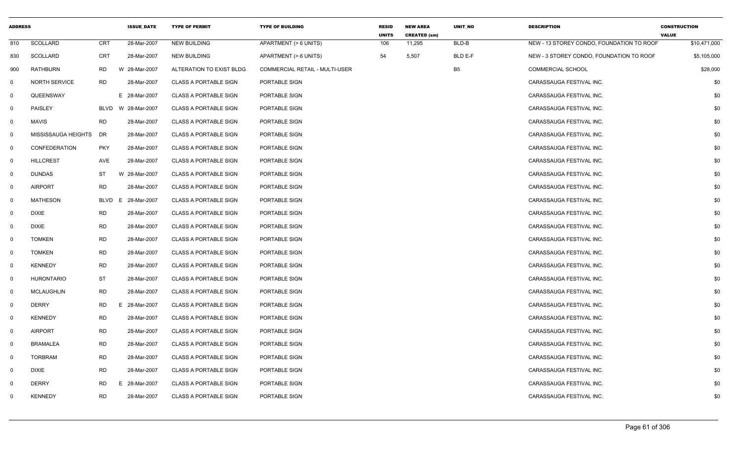| <b>ADDRESS</b> |                      |             | <b>ISSUE DATE</b> | <b>TYPE OF PERMIT</b>        | <b>TYPE OF BUILDING</b>        | <b>RESID</b><br><b>UNITS</b> | <b>NEW AREA</b><br><b>CREATED (sm)</b> | <b>UNIT NO</b> | <b>DESCRIPTION</b>                        | <b>CONSTRUCTION</b><br><b>VALUE</b> |
|----------------|----------------------|-------------|-------------------|------------------------------|--------------------------------|------------------------------|----------------------------------------|----------------|-------------------------------------------|-------------------------------------|
| 810            | <b>SCOLLARD</b>      | CRT         | 28-Mar-2007       | <b>NEW BUILDING</b>          | APARTMENT (> 6 UNITS)          | 106                          | 11,295                                 | BLD-B          | NEW - 13 STOREY CONDO. FOUNDATION TO ROOF | \$10,471,000                        |
| 830            | SCOLLARD             | <b>CRT</b>  | 28-Mar-2007       | NEW BUILDING                 | APARTMENT (> 6 UNITS)          | 54                           | 5,507                                  | BLD E-F        | NEW - 3 STOREY CONDO, FOUNDATION TO ROOF  | \$5,105,000                         |
| 900            | RATHBURN             | <b>RD</b>   | W 28-Mar-2007     | ALTERATION TO EXIST BLDG     | COMMERCIAL RETAIL - MULTI-USER |                              |                                        | B <sub>5</sub> | <b>COMMERCIAL SCHOOL</b>                  | \$28,000                            |
| $\mathbf 0$    | <b>NORTH SERVICE</b> | <b>RD</b>   | 28-Mar-2007       | <b>CLASS A PORTABLE SIGN</b> | PORTABLE SIGN                  |                              |                                        |                | CARASSAUGA FESTIVAL INC.                  | \$0                                 |
| $\mathbf 0$    | QUEENSWAY            |             | E 28-Mar-2007     | <b>CLASS A PORTABLE SIGN</b> | PORTABLE SIGN                  |                              |                                        |                | CARASSAUGA FESTIVAL INC.                  | \$0                                 |
| $\mathbf{0}$   | PAISLEY              | BLVD        | W 28-Mar-2007     | <b>CLASS A PORTABLE SIGN</b> | PORTABLE SIGN                  |                              |                                        |                | CARASSAUGA FESTIVAL INC.                  | \$0                                 |
| $\mathsf{O}$   | <b>MAVIS</b>         | <b>RD</b>   | 28-Mar-2007       | <b>CLASS A PORTABLE SIGN</b> | PORTABLE SIGN                  |                              |                                        |                | CARASSAUGA FESTIVAL INC.                  | \$0                                 |
| $\mathbf{0}$   | MISSISSAUGA HEIGHTS  | DR          | 28-Mar-2007       | <b>CLASS A PORTABLE SIGN</b> | PORTABLE SIGN                  |                              |                                        |                | CARASSAUGA FESTIVAL INC.                  | \$0                                 |
| $\mathbf{0}$   | CONFEDERATION        | <b>PKY</b>  | 28-Mar-2007       | <b>CLASS A PORTABLE SIGN</b> | PORTABLE SIGN                  |                              |                                        |                | CARASSAUGA FESTIVAL INC.                  | \$0                                 |
| $\mathbf 0$    | <b>HILLCREST</b>     | AVE         | 28-Mar-2007       | <b>CLASS A PORTABLE SIGN</b> | PORTABLE SIGN                  |                              |                                        |                | CARASSAUGA FESTIVAL INC.                  | \$0                                 |
| $\mathbf{0}$   | <b>DUNDAS</b>        | ST          | W 28-Mar-2007     | <b>CLASS A PORTABLE SIGN</b> | PORTABLE SIGN                  |                              |                                        |                | CARASSAUGA FESTIVAL INC.                  | \$0                                 |
| $\mathbf{0}$   | <b>AIRPORT</b>       | <b>RD</b>   | 28-Mar-2007       | <b>CLASS A PORTABLE SIGN</b> | PORTABLE SIGN                  |                              |                                        |                | CARASSAUGA FESTIVAL INC.                  | \$0                                 |
| $\mathbf{0}$   | <b>MATHESON</b>      | <b>BLVD</b> | 28-Mar-2007<br>E  | <b>CLASS A PORTABLE SIGN</b> | PORTABLE SIGN                  |                              |                                        |                | CARASSAUGA FESTIVAL INC.                  | \$0                                 |
| $\mathbf{0}$   | <b>DIXIE</b>         | <b>RD</b>   | 28-Mar-2007       | <b>CLASS A PORTABLE SIGN</b> | PORTABLE SIGN                  |                              |                                        |                | CARASSAUGA FESTIVAL INC.                  | \$0                                 |
| $\mathbf 0$    | <b>DIXIE</b>         | <b>RD</b>   | 28-Mar-2007       | <b>CLASS A PORTABLE SIGN</b> | PORTABLE SIGN                  |                              |                                        |                | CARASSAUGA FESTIVAL INC.                  | \$0                                 |
| $\mathbf{0}$   | <b>TOMKEN</b>        | <b>RD</b>   | 28-Mar-2007       | <b>CLASS A PORTABLE SIGN</b> | PORTABLE SIGN                  |                              |                                        |                | CARASSAUGA FESTIVAL INC.                  | \$0                                 |
| $\mathbf{0}$   | <b>TOMKEN</b>        | <b>RD</b>   | 28-Mar-2007       | <b>CLASS A PORTABLE SIGN</b> | PORTABLE SIGN                  |                              |                                        |                | CARASSAUGA FESTIVAL INC.                  | \$0                                 |
| $\mathbf 0$    | <b>KENNEDY</b>       | <b>RD</b>   | 28-Mar-2007       | <b>CLASS A PORTABLE SIGN</b> | PORTABLE SIGN                  |                              |                                        |                | CARASSAUGA FESTIVAL INC.                  | \$0                                 |
| $\mathbf 0$    | <b>HURONTARIO</b>    | ST          | 28-Mar-2007       | <b>CLASS A PORTABLE SIGN</b> | PORTABLE SIGN                  |                              |                                        |                | CARASSAUGA FESTIVAL INC.                  | \$0                                 |
| $\mathbf 0$    | <b>MCLAUGHLIN</b>    | <b>RD</b>   | 28-Mar-2007       | <b>CLASS A PORTABLE SIGN</b> | PORTABLE SIGN                  |                              |                                        |                | CARASSAUGA FESTIVAL INC.                  | \$0                                 |
| $\mathbf 0$    | <b>DERRY</b>         | <b>RD</b>   | E.<br>28-Mar-2007 | <b>CLASS A PORTABLE SIGN</b> | PORTABLE SIGN                  |                              |                                        |                | CARASSAUGA FESTIVAL INC.                  | \$0                                 |
| $\mathbf{0}$   | <b>KENNEDY</b>       | RD          | 28-Mar-2007       | <b>CLASS A PORTABLE SIGN</b> | PORTABLE SIGN                  |                              |                                        |                | CARASSAUGA FESTIVAL INC.                  | \$0                                 |
| $\mathbf{0}$   | <b>AIRPORT</b>       | <b>RD</b>   | 28-Mar-2007       | <b>CLASS A PORTABLE SIGN</b> | PORTABLE SIGN                  |                              |                                        |                | CARASSAUGA FESTIVAL INC.                  | \$0                                 |
| $\mathbf 0$    | <b>BRAMALEA</b>      | <b>RD</b>   | 28-Mar-2007       | <b>CLASS A PORTABLE SIGN</b> | PORTABLE SIGN                  |                              |                                        |                | CARASSAUGA FESTIVAL INC.                  | \$0                                 |
| $\mathbf{0}$   | <b>TORBRAM</b>       | <b>RD</b>   | 28-Mar-2007       | <b>CLASS A PORTABLE SIGN</b> | PORTABLE SIGN                  |                              |                                        |                | CARASSAUGA FESTIVAL INC.                  | \$0                                 |
| $\mathbf 0$    | <b>DIXIE</b>         | <b>RD</b>   | 28-Mar-2007       | <b>CLASS A PORTABLE SIGN</b> | PORTABLE SIGN                  |                              |                                        |                | CARASSAUGA FESTIVAL INC.                  | \$0                                 |
| $\mathbf 0$    | <b>DERRY</b>         | <b>RD</b>   | E.<br>28-Mar-2007 | <b>CLASS A PORTABLE SIGN</b> | PORTABLE SIGN                  |                              |                                        |                | CARASSAUGA FESTIVAL INC.                  | \$0                                 |
| 0              | <b>KENNEDY</b>       | <b>RD</b>   | 28-Mar-2007       | <b>CLASS A PORTABLE SIGN</b> | PORTABLE SIGN                  |                              |                                        |                | CARASSAUGA FESTIVAL INC.                  | \$0                                 |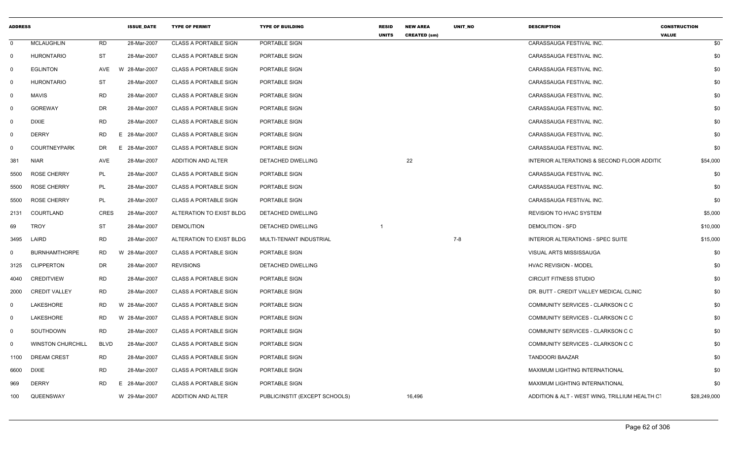| <b>ADDRESS</b> |                          |             | <b>ISSUE DATE</b> | <b>TYPE OF PERMIT</b>        | <b>TYPE OF BUILDING</b>        | <b>RESID</b><br><b>UNITS</b> | <b>NEW AREA</b><br><b>CREATED (sm)</b> | UNIT NO | <b>DESCRIPTION</b>                             | <b>CONSTRUCTION</b><br><b>VALUE</b> |
|----------------|--------------------------|-------------|-------------------|------------------------------|--------------------------------|------------------------------|----------------------------------------|---------|------------------------------------------------|-------------------------------------|
| 0              | <b>MCLAUGHLIN</b>        | <b>RD</b>   | 28-Mar-2007       | <b>CLASS A PORTABLE SIGN</b> | PORTABLE SIGN                  |                              |                                        |         | CARASSAUGA FESTIVAL INC.                       | \$0                                 |
| $\mathbf 0$    | <b>HURONTARIO</b>        | <b>ST</b>   | 28-Mar-2007       | <b>CLASS A PORTABLE SIGN</b> | PORTABLE SIGN                  |                              |                                        |         | CARASSAUGA FESTIVAL INC.                       | \$0                                 |
| 0              | <b>EGLINTON</b>          | AVE         | W 28-Mar-2007     | <b>CLASS A PORTABLE SIGN</b> | PORTABLE SIGN                  |                              |                                        |         | CARASSAUGA FESTIVAL INC.                       | \$0                                 |
| 0              | <b>HURONTARIO</b>        | ST          | 28-Mar-2007       | CLASS A PORTABLE SIGN        | PORTABLE SIGN                  |                              |                                        |         | CARASSAUGA FESTIVAL INC.                       | \$0                                 |
| $\mathbf 0$    | <b>MAVIS</b>             | <b>RD</b>   | 28-Mar-2007       | <b>CLASS A PORTABLE SIGN</b> | PORTABLE SIGN                  |                              |                                        |         | CARASSAUGA FESTIVAL INC.                       | \$0                                 |
| $\mathbf 0$    | <b>GOREWAY</b>           | <b>DR</b>   | 28-Mar-2007       | <b>CLASS A PORTABLE SIGN</b> | PORTABLE SIGN                  |                              |                                        |         | CARASSAUGA FESTIVAL INC.                       | \$0                                 |
| $\mathbf 0$    | <b>DIXIE</b>             | <b>RD</b>   | 28-Mar-2007       | <b>CLASS A PORTABLE SIGN</b> | PORTABLE SIGN                  |                              |                                        |         | CARASSAUGA FESTIVAL INC.                       | \$0                                 |
| $\mathbf 0$    | <b>DERRY</b>             | <b>RD</b>   | E 28-Mar-2007     | <b>CLASS A PORTABLE SIGN</b> | PORTABLE SIGN                  |                              |                                        |         | CARASSAUGA FESTIVAL INC.                       | \$0                                 |
| 0              | <b>COURTNEYPARK</b>      | DR          | E 28-Mar-2007     | <b>CLASS A PORTABLE SIGN</b> | PORTABLE SIGN                  |                              |                                        |         | CARASSAUGA FESTIVAL INC.                       | \$0                                 |
| 381            | <b>NIAR</b>              | AVE         | 28-Mar-2007       | ADDITION AND ALTER           | DETACHED DWELLING              |                              | 22                                     |         | INTERIOR ALTERATIONS & SECOND FLOOR ADDITIC    | \$54,000                            |
| 5500           | <b>ROSE CHERRY</b>       | PL          | 28-Mar-2007       | <b>CLASS A PORTABLE SIGN</b> | PORTABLE SIGN                  |                              |                                        |         | CARASSAUGA FESTIVAL INC.                       | \$0                                 |
| 5500           | <b>ROSE CHERRY</b>       | PL          | 28-Mar-2007       | <b>CLASS A PORTABLE SIGN</b> | PORTABLE SIGN                  |                              |                                        |         | CARASSAUGA FESTIVAL INC.                       | \$0                                 |
| 5500           | <b>ROSE CHERRY</b>       | PL          | 28-Mar-2007       | <b>CLASS A PORTABLE SIGN</b> | PORTABLE SIGN                  |                              |                                        |         | CARASSAUGA FESTIVAL INC.                       | \$0                                 |
| 2131           | COURTLAND                | <b>CRES</b> | 28-Mar-2007       | ALTERATION TO EXIST BLDG     | DETACHED DWELLING              |                              |                                        |         | REVISION TO HVAC SYSTEM                        | \$5,000                             |
| 69             | <b>TROY</b>              | <b>ST</b>   | 28-Mar-2007       | <b>DEMOLITION</b>            | DETACHED DWELLING              |                              |                                        |         | <b>DEMOLITION - SFD</b>                        | \$10,000                            |
| 3495           | LAIRD                    | <b>RD</b>   | 28-Mar-2007       | ALTERATION TO EXIST BLDG     | MULTI-TENANT INDUSTRIAL        |                              |                                        | $7 - 8$ | INTERIOR ALTERATIONS - SPEC SUITE              | \$15,000                            |
| 0              | <b>BURNHAMTHORPE</b>     | RD          | W 28-Mar-2007     | <b>CLASS A PORTABLE SIGN</b> | PORTABLE SIGN                  |                              |                                        |         | VISUAL ARTS MISSISSAUGA                        | \$0                                 |
| 3125           | <b>CLIPPERTON</b>        | <b>DR</b>   | 28-Mar-2007       | <b>REVISIONS</b>             | DETACHED DWELLING              |                              |                                        |         | <b>HVAC REVISION - MODEL</b>                   | \$0                                 |
| 4040           | <b>CREDITVIEW</b>        | <b>RD</b>   | 28-Mar-2007       | <b>CLASS A PORTABLE SIGN</b> | PORTABLE SIGN                  |                              |                                        |         | <b>CIRCUIT FITNESS STUDIO</b>                  | \$0                                 |
| 2000           | <b>CREDIT VALLEY</b>     | <b>RD</b>   | 28-Mar-2007       | <b>CLASS A PORTABLE SIGN</b> | PORTABLE SIGN                  |                              |                                        |         | DR. BUTT - CREDIT VALLEY MEDICAL CLINIC        | \$0                                 |
| - 0            | LAKESHORE                | RD.         | W 28-Mar-2007     | <b>CLASS A PORTABLE SIGN</b> | PORTABLE SIGN                  |                              |                                        |         | COMMUNITY SERVICES - CLARKSON C C              | \$0                                 |
| $\mathbf 0$    | LAKESHORE                | <b>RD</b>   | W 28-Mar-2007     | <b>CLASS A PORTABLE SIGN</b> | PORTABLE SIGN                  |                              |                                        |         | COMMUNITY SERVICES - CLARKSON C C              | \$0                                 |
| $\mathbf 0$    | SOUTHDOWN                | <b>RD</b>   | 28-Mar-2007       | <b>CLASS A PORTABLE SIGN</b> | PORTABLE SIGN                  |                              |                                        |         | COMMUNITY SERVICES - CLARKSON C C              | \$0                                 |
| $\Omega$       | <b>WINSTON CHURCHILL</b> | <b>BLVD</b> | 28-Mar-2007       | <b>CLASS A PORTABLE SIGN</b> | PORTABLE SIGN                  |                              |                                        |         | COMMUNITY SERVICES - CLARKSON C C              | \$0                                 |
| 1100           | <b>DREAM CREST</b>       | <b>RD</b>   | 28-Mar-2007       | <b>CLASS A PORTABLE SIGN</b> | PORTABLE SIGN                  |                              |                                        |         | TANDOORI BAAZAR                                | \$0                                 |
| 6600           | <b>DIXIE</b>             | <b>RD</b>   | 28-Mar-2007       | <b>CLASS A PORTABLE SIGN</b> | PORTABLE SIGN                  |                              |                                        |         | MAXIMUM LIGHTING INTERNATIONAL                 | \$0                                 |
| 969            | <b>DERRY</b>             | <b>RD</b>   | E 28-Mar-2007     | <b>CLASS A PORTABLE SIGN</b> | PORTABLE SIGN                  |                              |                                        |         | MAXIMUM LIGHTING INTERNATIONAL                 | \$0                                 |
| 100            | QUEENSWAY                |             | W 29-Mar-2007     | ADDITION AND ALTER           | PUBLIC/INSTIT (EXCEPT SCHOOLS) |                              | 16,496                                 |         | ADDITION & ALT - WEST WING, TRILLIUM HEALTH C' | \$28,249,000                        |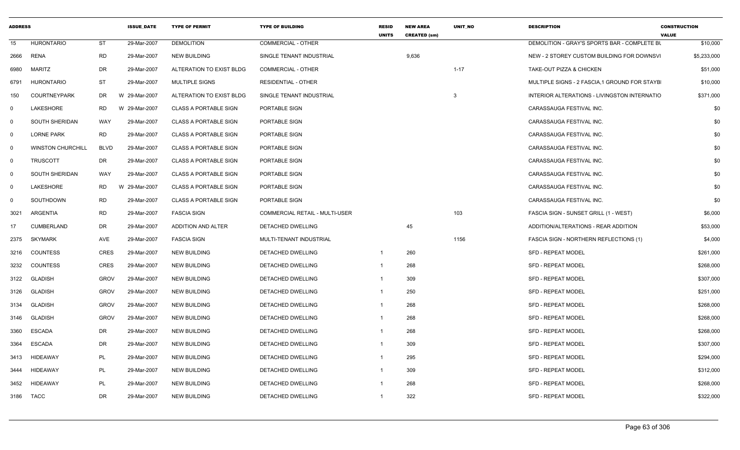| <b>ADDRESS</b> |                          | <b>ISSUE DATE</b> |               | <b>TYPE OF PERMIT</b>        | <b>TYPE OF BUILDING</b>               | <b>RESID</b><br><b>UNITS</b> | <b>NEW AREA</b><br><b>CREATED (sm)</b> | <b>UNIT NO</b> | <b>DESCRIPTION</b>                            | <b>CONSTRUCTION</b><br><b>VALUE</b> |
|----------------|--------------------------|-------------------|---------------|------------------------------|---------------------------------------|------------------------------|----------------------------------------|----------------|-----------------------------------------------|-------------------------------------|
| 15             | <b>HURONTARIO</b>        | <b>ST</b>         | 29-Mar-2007   | <b>DEMOLITION</b>            | <b>COMMERCIAL - OTHER</b>             |                              |                                        |                | DEMOLITION - GRAY'S SPORTS BAR - COMPLETE BU  | \$10,000                            |
| 2666           | <b>RENA</b>              | <b>RD</b>         | 29-Mar-2007   | <b>NEW BUILDING</b>          | SINGLE TENANT INDUSTRIAL              |                              | 9,636                                  |                | NEW - 2 STOREY CUSTOM BUILDING FOR DOWNSVI    | \$5,233,000                         |
| 6980           | <b>MARITZ</b>            | <b>DR</b>         | 29-Mar-2007   | ALTERATION TO EXIST BLDG     | <b>COMMERCIAL - OTHER</b>             |                              |                                        | $1 - 17$       | TAKE-OUT PIZZA & CHICKEN                      | \$51,000                            |
| 6791           | <b>HURONTARIO</b>        | <b>ST</b>         | 29-Mar-2007   | MULTIPLE SIGNS               | <b>RESIDENTIAL - OTHER</b>            |                              |                                        |                | MULTIPLE SIGNS - 2 FASCIA, 1 GROUND FOR STAYB | \$10,000                            |
| 150            | <b>COURTNEYPARK</b>      | DR                | W 29-Mar-2007 | ALTERATION TO EXIST BLDG     | SINGLE TENANT INDUSTRIAL              |                              |                                        | 3              | INTERIOR ALTERATIONS - LIVINGSTON INTERNATIO  | \$371,000                           |
| 0              | LAKESHORE                | <b>RD</b>         | W 29-Mar-2007 | <b>CLASS A PORTABLE SIGN</b> | PORTABLE SIGN                         |                              |                                        |                | CARASSAUGA FESTIVAL INC.                      | \$0                                 |
| 0              | SOUTH SHERIDAN           | <b>WAY</b>        | 29-Mar-2007   | <b>CLASS A PORTABLE SIGN</b> | PORTABLE SIGN                         |                              |                                        |                | CARASSAUGA FESTIVAL INC.                      | \$0                                 |
| $\mathsf{O}$   | <b>LORNE PARK</b>        | <b>RD</b>         | 29-Mar-2007   | <b>CLASS A PORTABLE SIGN</b> | PORTABLE SIGN                         |                              |                                        |                | CARASSAUGA FESTIVAL INC.                      | \$0                                 |
| $\mathbf 0$    | <b>WINSTON CHURCHILL</b> | <b>BLVD</b>       | 29-Mar-2007   | <b>CLASS A PORTABLE SIGN</b> | PORTABLE SIGN                         |                              |                                        |                | CARASSAUGA FESTIVAL INC.                      | \$0                                 |
| $\mathsf{O}$   | <b>TRUSCOTT</b>          | DR                | 29-Mar-2007   | <b>CLASS A PORTABLE SIGN</b> | PORTABLE SIGN                         |                              |                                        |                | CARASSAUGA FESTIVAL INC.                      | \$0                                 |
| $\mathbf 0$    | SOUTH SHERIDAN           | WAY               | 29-Mar-2007   | <b>CLASS A PORTABLE SIGN</b> | PORTABLE SIGN                         |                              |                                        |                | CARASSAUGA FESTIVAL INC.                      | \$0                                 |
| 0              | LAKESHORE                | <b>RD</b>         | W 29-Mar-2007 | <b>CLASS A PORTABLE SIGN</b> | PORTABLE SIGN                         |                              |                                        |                | CARASSAUGA FESTIVAL INC.                      | \$0                                 |
| $\mathbf 0$    | SOUTHDOWN                | <b>RD</b>         | 29-Mar-2007   | <b>CLASS A PORTABLE SIGN</b> | PORTABLE SIGN                         |                              |                                        |                | CARASSAUGA FESTIVAL INC.                      | \$0                                 |
| 3021           | ARGENTIA                 | <b>RD</b>         | 29-Mar-2007   | <b>FASCIA SIGN</b>           | <b>COMMERCIAL RETAIL - MULTI-USER</b> |                              |                                        | 103            | FASCIA SIGN - SUNSET GRILL (1 - WEST)         | \$6,000                             |
| 17             | <b>CUMBERLAND</b>        | DR                | 29-Mar-2007   | ADDITION AND ALTER           | DETACHED DWELLING                     |                              | 45                                     |                | ADDITION/ALTERATIONS - REAR ADDITION          | \$53,000                            |
| 2375           | <b>SKYMARK</b>           | AVE               | 29-Mar-2007   | <b>FASCIA SIGN</b>           | MULTI-TENANT INDUSTRIAL               |                              |                                        | 1156           | FASCIA SIGN - NORTHERN REFLECTIONS (1)        | \$4,000                             |
| 3216           | <b>COUNTESS</b>          | <b>CRES</b>       | 29-Mar-2007   | <b>NEW BUILDING</b>          | DETACHED DWELLING                     | $\mathbf{1}$                 | 260                                    |                | <b>SFD - REPEAT MODEL</b>                     | \$261,000                           |
| 3232           | <b>COUNTESS</b>          | <b>CRES</b>       | 29-Mar-2007   | <b>NEW BUILDING</b>          | DETACHED DWELLING                     | $\mathbf{1}$                 | 268                                    |                | <b>SFD - REPEAT MODEL</b>                     | \$268,000                           |
| 3122           | <b>GLADISH</b>           | <b>GROV</b>       | 29-Mar-2007   | <b>NEW BUILDING</b>          | <b>DETACHED DWELLING</b>              | $\mathbf{1}$                 | 309                                    |                | <b>SFD - REPEAT MODEL</b>                     | \$307,000                           |
| 3126           | <b>GLADISH</b>           | <b>GROV</b>       | 29-Mar-2007   | <b>NEW BUILDING</b>          | DETACHED DWELLING                     | $\mathbf{1}$                 | 250                                    |                | <b>SFD - REPEAT MODEL</b>                     | \$251,000                           |
| 3134           | <b>GLADISH</b>           | <b>GROV</b>       | 29-Mar-2007   | <b>NEW BUILDING</b>          | DETACHED DWELLING                     | $\mathbf{1}$                 | 268                                    |                | <b>SFD - REPEAT MODEL</b>                     | \$268,000                           |
| 3146           | <b>GLADISH</b>           | <b>GROV</b>       | 29-Mar-2007   | <b>NEW BUILDING</b>          | DETACHED DWELLING                     | -1                           | 268                                    |                | <b>SFD - REPEAT MODEL</b>                     | \$268,000                           |
| 3360           | <b>ESCADA</b>            | DR                | 29-Mar-2007   | <b>NEW BUILDING</b>          | DETACHED DWELLING                     | $\mathbf{1}$                 | 268                                    |                | <b>SFD - REPEAT MODEL</b>                     | \$268,000                           |
| 3364           | <b>ESCADA</b>            | DR                | 29-Mar-2007   | <b>NEW BUILDING</b>          | DETACHED DWELLING                     | -1                           | 309                                    |                | <b>SFD - REPEAT MODEL</b>                     | \$307,000                           |
| 3413           | <b>HIDEAWAY</b>          | PL                | 29-Mar-2007   | <b>NEW BUILDING</b>          | DETACHED DWELLING                     | $\mathbf{1}$                 | 295                                    |                | <b>SFD - REPEAT MODEL</b>                     | \$294,000                           |
| 3444           | <b>HIDEAWAY</b>          | PL                | 29-Mar-2007   | <b>NEW BUILDING</b>          | DETACHED DWELLING                     | $\mathbf{1}$                 | 309                                    |                | <b>SFD - REPEAT MODEL</b>                     | \$312,000                           |
| 3452           | <b>HIDEAWAY</b>          | PL                | 29-Mar-2007   | <b>NEW BUILDING</b>          | DETACHED DWELLING                     |                              | 268                                    |                | <b>SFD - REPEAT MODEL</b>                     | \$268,000                           |
| 3186           | <b>TACC</b>              | DR                | 29-Mar-2007   | <b>NEW BUILDING</b>          | <b>DETACHED DWELLING</b>              | $\mathbf{1}$                 | 322                                    |                | <b>SFD - REPEAT MODEL</b>                     | \$322,000                           |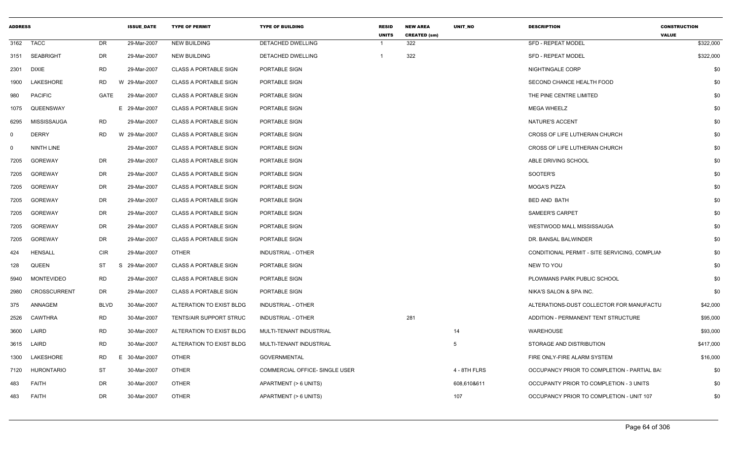| 3162 TACC<br>DR<br>29-Mar-2007<br><b>NEW BUILDING</b><br>322<br><b>SFD - REPEAT MODEL</b><br>\$322,000<br>DETACHED DWELLING<br>\$322,000<br>3151 SEABRIGHT<br>DR<br>29-Mar-2007<br><b>NEW BUILDING</b><br>DETACHED DWELLING<br>322<br>SFD - REPEAT MODEL<br>- 1<br>\$0<br>RD<br>29-Mar-2007<br>2301<br>DIXIE<br><b>CLASS A PORTABLE SIGN</b><br>PORTABLE SIGN<br>NIGHTINGALE CORP<br>LAKESHORE<br>RD<br>\$0<br>W 29-Mar-2007<br><b>CLASS A PORTABLE SIGN</b><br>PORTABLE SIGN<br>SECOND CHANCE HEALTH FOOD<br>1900<br><b>PACIFIC</b><br>GATE<br>29-Mar-2007<br><b>CLASS A PORTABLE SIGN</b><br>PORTABLE SIGN<br>THE PINE CENTRE LIMITED<br>\$0<br>980<br>QUEENSWAY<br>E 29-Mar-2007<br>PORTABLE SIGN<br><b>MEGA WHEELZ</b><br>\$0<br>1075<br><b>CLASS A PORTABLE SIGN</b><br>RD<br>\$0<br>MISSISSAUGA<br>29-Mar-2007<br><b>CLASS A PORTABLE SIGN</b><br>PORTABLE SIGN<br>NATURE'S ACCENT<br>6295<br><b>DERRY</b><br><b>RD</b><br>CROSS OF LIFE LUTHERAN CHURCH<br>\$0<br>W 29-Mar-2007<br><b>CLASS A PORTABLE SIGN</b><br>PORTABLE SIGN<br>$\Omega$<br>\$0<br>29-Mar-2007<br>CROSS OF LIFE LUTHERAN CHURCH<br>NINTH LINE<br><b>CLASS A PORTABLE SIGN</b><br>PORTABLE SIGN<br>$\Omega$<br>DR<br>\$0<br><b>GOREWAY</b><br>29-Mar-2007<br><b>CLASS A PORTABLE SIGN</b><br>PORTABLE SIGN<br>ABLE DRIVING SCHOOL<br>7205<br>GOREWAY<br>DR<br>29-Mar-2007<br><b>CLASS A PORTABLE SIGN</b><br>PORTABLE SIGN<br>SOOTER'S<br>\$0<br>7205<br>DR<br>\$0<br><b>GOREWAY</b><br>29-Mar-2007<br><b>CLASS A PORTABLE SIGN</b><br>PORTABLE SIGN<br><b>MOGA'S PIZZA</b><br>7205<br>GOREWAY<br>DR<br>29-Mar-2007<br>\$0<br><b>CLASS A PORTABLE SIGN</b><br>PORTABLE SIGN<br><b>BED AND BATH</b><br>7205<br>DR<br>29-Mar-2007<br>\$0<br>GOREWAY<br><b>CLASS A PORTABLE SIGN</b><br>PORTABLE SIGN<br><b>SAMEER'S CARPET</b><br>7205<br>DR<br>\$0<br>GOREWAY<br>29-Mar-2007<br>CLASS A PORTABLE SIGN<br>PORTABLE SIGN<br>WESTWOOD MALL MISSISSAUGA<br>7205<br>DR<br>\$0<br>GOREWAY<br>29-Mar-2007<br><b>CLASS A PORTABLE SIGN</b><br>PORTABLE SIGN<br>DR. BANSAL BALWINDER<br>7205<br><b>CIR</b><br><b>HENSALL</b><br>29-Mar-2007<br><b>OTHER</b><br>INDUSTRIAL - OTHER<br>CONDITIONAL PERMIT - SITE SERVICING, COMPLIAN<br>\$0<br>424<br>ST<br>29-Mar-2007<br>\$0<br><b>QUEEN</b><br>-S<br><b>CLASS A PORTABLE SIGN</b><br>PORTABLE SIGN<br>NEW TO YOU<br>128<br><b>RD</b><br><b>MONTEVIDEO</b><br>29-Mar-2007<br><b>CLASS A PORTABLE SIGN</b><br>PORTABLE SIGN<br>PLOWMANS PARK PUBLIC SCHOOL<br>\$0<br>5940<br><b>CROSSCURRENT</b><br>DR<br>29-Mar-2007<br><b>CLASS A PORTABLE SIGN</b><br>NIKA'S SALON & SPA INC.<br>\$0<br>2980<br>PORTABLE SIGN<br>ANNAGEM<br><b>BLVD</b><br>30-Mar-2007<br>ALTERATIONS-DUST COLLECTOR FOR MANUFACTU<br>\$42,000<br>375<br>ALTERATION TO EXIST BLDG<br>INDUSTRIAL - OTHER<br>RD<br>30-Mar-2007<br>281<br>\$95,000<br>CAWTHRA<br>TENTS/AIR SUPPORT STRUC<br>INDUSTRIAL - OTHER<br>ADDITION - PERMANENT TENT STRUCTURE<br>2526<br><b>RD</b><br>LAIRD<br>30-Mar-2007<br>ALTERATION TO EXIST BLDG<br>MULTI-TENANT INDUSTRIAL<br>14<br>WAREHOUSE<br>\$93,000<br>3600<br><b>RD</b><br>3615 LAIRD<br>30-Mar-2007<br>ALTERATION TO EXIST BLDG<br>5<br>STORAGE AND DISTRIBUTION<br>\$417,000<br>MULTI-TENANT INDUSTRIAL<br>LAKESHORE<br>RD<br><b>OTHER</b><br>30-Mar-2007<br><b>GOVERNMENTAL</b><br>FIRE ONLY-FIRE ALARM SYSTEM<br>\$16,000<br>1300<br>Е<br><b>ST</b><br>HURONTARIO<br>30-Mar-2007<br><b>OTHER</b><br>COMMERCIAL OFFICE- SINGLE USER<br>4 - 8TH FLRS<br>OCCUPANCY PRIOR TO COMPLETION - PARTIAL BA<br>\$0<br>7120<br><b>FAITH</b><br>DR<br>30-Mar-2007<br><b>OTHER</b><br>608,610&611<br>OCCUPANTY PRIOR TO COMPLETION - 3 UNITS<br>\$0<br>483<br>APARTMENT (> 6 UNITS)<br>DR<br>30-Mar-2007<br><b>OTHER</b><br>OCCUPANCY PRIOR TO COMPLETION - UNIT 107<br>\$0<br><b>FAITH</b><br>APARTMENT (> 6 UNITS)<br>107<br>483 | <b>ADDRESS</b> |  | <b>ISSUE_DATE</b> | <b>TYPE OF PERMIT</b> | <b>TYPE OF BUILDING</b> | <b>RESID</b><br><b>UNITS</b> | <b>NEW AREA</b><br><b>CREATED (sm)</b> | UNIT_NO | <b>DESCRIPTION</b> | <b>CONSTRUCTION</b><br><b>VALUE</b> |  |
|-----------------------------------------------------------------------------------------------------------------------------------------------------------------------------------------------------------------------------------------------------------------------------------------------------------------------------------------------------------------------------------------------------------------------------------------------------------------------------------------------------------------------------------------------------------------------------------------------------------------------------------------------------------------------------------------------------------------------------------------------------------------------------------------------------------------------------------------------------------------------------------------------------------------------------------------------------------------------------------------------------------------------------------------------------------------------------------------------------------------------------------------------------------------------------------------------------------------------------------------------------------------------------------------------------------------------------------------------------------------------------------------------------------------------------------------------------------------------------------------------------------------------------------------------------------------------------------------------------------------------------------------------------------------------------------------------------------------------------------------------------------------------------------------------------------------------------------------------------------------------------------------------------------------------------------------------------------------------------------------------------------------------------------------------------------------------------------------------------------------------------------------------------------------------------------------------------------------------------------------------------------------------------------------------------------------------------------------------------------------------------------------------------------------------------------------------------------------------------------------------------------------------------------------------------------------------------------------------------------------------------------------------------------------------------------------------------------------------------------------------------------------------------------------------------------------------------------------------------------------------------------------------------------------------------------------------------------------------------------------------------------------------------------------------------------------------------------------------------------------------------------------------------------------------------------------------------------------------------------------------------------------------------------------------------------------------------------------------------------------------------------------------------------------------------------------------------------------------------------------------------------------------------------------------------------------------------------------------------------------------------------------------------------------------------------------------------------------------------------------------------------------------------------------------------------------------------------------------|----------------|--|-------------------|-----------------------|-------------------------|------------------------------|----------------------------------------|---------|--------------------|-------------------------------------|--|
|                                                                                                                                                                                                                                                                                                                                                                                                                                                                                                                                                                                                                                                                                                                                                                                                                                                                                                                                                                                                                                                                                                                                                                                                                                                                                                                                                                                                                                                                                                                                                                                                                                                                                                                                                                                                                                                                                                                                                                                                                                                                                                                                                                                                                                                                                                                                                                                                                                                                                                                                                                                                                                                                                                                                                                                                                                                                                                                                                                                                                                                                                                                                                                                                                                                                                                                                                                                                                                                                                                                                                                                                                                                                                                                                                                                                                                               |                |  |                   |                       |                         |                              |                                        |         |                    |                                     |  |
|                                                                                                                                                                                                                                                                                                                                                                                                                                                                                                                                                                                                                                                                                                                                                                                                                                                                                                                                                                                                                                                                                                                                                                                                                                                                                                                                                                                                                                                                                                                                                                                                                                                                                                                                                                                                                                                                                                                                                                                                                                                                                                                                                                                                                                                                                                                                                                                                                                                                                                                                                                                                                                                                                                                                                                                                                                                                                                                                                                                                                                                                                                                                                                                                                                                                                                                                                                                                                                                                                                                                                                                                                                                                                                                                                                                                                                               |                |  |                   |                       |                         |                              |                                        |         |                    |                                     |  |
|                                                                                                                                                                                                                                                                                                                                                                                                                                                                                                                                                                                                                                                                                                                                                                                                                                                                                                                                                                                                                                                                                                                                                                                                                                                                                                                                                                                                                                                                                                                                                                                                                                                                                                                                                                                                                                                                                                                                                                                                                                                                                                                                                                                                                                                                                                                                                                                                                                                                                                                                                                                                                                                                                                                                                                                                                                                                                                                                                                                                                                                                                                                                                                                                                                                                                                                                                                                                                                                                                                                                                                                                                                                                                                                                                                                                                                               |                |  |                   |                       |                         |                              |                                        |         |                    |                                     |  |
|                                                                                                                                                                                                                                                                                                                                                                                                                                                                                                                                                                                                                                                                                                                                                                                                                                                                                                                                                                                                                                                                                                                                                                                                                                                                                                                                                                                                                                                                                                                                                                                                                                                                                                                                                                                                                                                                                                                                                                                                                                                                                                                                                                                                                                                                                                                                                                                                                                                                                                                                                                                                                                                                                                                                                                                                                                                                                                                                                                                                                                                                                                                                                                                                                                                                                                                                                                                                                                                                                                                                                                                                                                                                                                                                                                                                                                               |                |  |                   |                       |                         |                              |                                        |         |                    |                                     |  |
|                                                                                                                                                                                                                                                                                                                                                                                                                                                                                                                                                                                                                                                                                                                                                                                                                                                                                                                                                                                                                                                                                                                                                                                                                                                                                                                                                                                                                                                                                                                                                                                                                                                                                                                                                                                                                                                                                                                                                                                                                                                                                                                                                                                                                                                                                                                                                                                                                                                                                                                                                                                                                                                                                                                                                                                                                                                                                                                                                                                                                                                                                                                                                                                                                                                                                                                                                                                                                                                                                                                                                                                                                                                                                                                                                                                                                                               |                |  |                   |                       |                         |                              |                                        |         |                    |                                     |  |
|                                                                                                                                                                                                                                                                                                                                                                                                                                                                                                                                                                                                                                                                                                                                                                                                                                                                                                                                                                                                                                                                                                                                                                                                                                                                                                                                                                                                                                                                                                                                                                                                                                                                                                                                                                                                                                                                                                                                                                                                                                                                                                                                                                                                                                                                                                                                                                                                                                                                                                                                                                                                                                                                                                                                                                                                                                                                                                                                                                                                                                                                                                                                                                                                                                                                                                                                                                                                                                                                                                                                                                                                                                                                                                                                                                                                                                               |                |  |                   |                       |                         |                              |                                        |         |                    |                                     |  |
|                                                                                                                                                                                                                                                                                                                                                                                                                                                                                                                                                                                                                                                                                                                                                                                                                                                                                                                                                                                                                                                                                                                                                                                                                                                                                                                                                                                                                                                                                                                                                                                                                                                                                                                                                                                                                                                                                                                                                                                                                                                                                                                                                                                                                                                                                                                                                                                                                                                                                                                                                                                                                                                                                                                                                                                                                                                                                                                                                                                                                                                                                                                                                                                                                                                                                                                                                                                                                                                                                                                                                                                                                                                                                                                                                                                                                                               |                |  |                   |                       |                         |                              |                                        |         |                    |                                     |  |
|                                                                                                                                                                                                                                                                                                                                                                                                                                                                                                                                                                                                                                                                                                                                                                                                                                                                                                                                                                                                                                                                                                                                                                                                                                                                                                                                                                                                                                                                                                                                                                                                                                                                                                                                                                                                                                                                                                                                                                                                                                                                                                                                                                                                                                                                                                                                                                                                                                                                                                                                                                                                                                                                                                                                                                                                                                                                                                                                                                                                                                                                                                                                                                                                                                                                                                                                                                                                                                                                                                                                                                                                                                                                                                                                                                                                                                               |                |  |                   |                       |                         |                              |                                        |         |                    |                                     |  |
|                                                                                                                                                                                                                                                                                                                                                                                                                                                                                                                                                                                                                                                                                                                                                                                                                                                                                                                                                                                                                                                                                                                                                                                                                                                                                                                                                                                                                                                                                                                                                                                                                                                                                                                                                                                                                                                                                                                                                                                                                                                                                                                                                                                                                                                                                                                                                                                                                                                                                                                                                                                                                                                                                                                                                                                                                                                                                                                                                                                                                                                                                                                                                                                                                                                                                                                                                                                                                                                                                                                                                                                                                                                                                                                                                                                                                                               |                |  |                   |                       |                         |                              |                                        |         |                    |                                     |  |
|                                                                                                                                                                                                                                                                                                                                                                                                                                                                                                                                                                                                                                                                                                                                                                                                                                                                                                                                                                                                                                                                                                                                                                                                                                                                                                                                                                                                                                                                                                                                                                                                                                                                                                                                                                                                                                                                                                                                                                                                                                                                                                                                                                                                                                                                                                                                                                                                                                                                                                                                                                                                                                                                                                                                                                                                                                                                                                                                                                                                                                                                                                                                                                                                                                                                                                                                                                                                                                                                                                                                                                                                                                                                                                                                                                                                                                               |                |  |                   |                       |                         |                              |                                        |         |                    |                                     |  |
|                                                                                                                                                                                                                                                                                                                                                                                                                                                                                                                                                                                                                                                                                                                                                                                                                                                                                                                                                                                                                                                                                                                                                                                                                                                                                                                                                                                                                                                                                                                                                                                                                                                                                                                                                                                                                                                                                                                                                                                                                                                                                                                                                                                                                                                                                                                                                                                                                                                                                                                                                                                                                                                                                                                                                                                                                                                                                                                                                                                                                                                                                                                                                                                                                                                                                                                                                                                                                                                                                                                                                                                                                                                                                                                                                                                                                                               |                |  |                   |                       |                         |                              |                                        |         |                    |                                     |  |
|                                                                                                                                                                                                                                                                                                                                                                                                                                                                                                                                                                                                                                                                                                                                                                                                                                                                                                                                                                                                                                                                                                                                                                                                                                                                                                                                                                                                                                                                                                                                                                                                                                                                                                                                                                                                                                                                                                                                                                                                                                                                                                                                                                                                                                                                                                                                                                                                                                                                                                                                                                                                                                                                                                                                                                                                                                                                                                                                                                                                                                                                                                                                                                                                                                                                                                                                                                                                                                                                                                                                                                                                                                                                                                                                                                                                                                               |                |  |                   |                       |                         |                              |                                        |         |                    |                                     |  |
|                                                                                                                                                                                                                                                                                                                                                                                                                                                                                                                                                                                                                                                                                                                                                                                                                                                                                                                                                                                                                                                                                                                                                                                                                                                                                                                                                                                                                                                                                                                                                                                                                                                                                                                                                                                                                                                                                                                                                                                                                                                                                                                                                                                                                                                                                                                                                                                                                                                                                                                                                                                                                                                                                                                                                                                                                                                                                                                                                                                                                                                                                                                                                                                                                                                                                                                                                                                                                                                                                                                                                                                                                                                                                                                                                                                                                                               |                |  |                   |                       |                         |                              |                                        |         |                    |                                     |  |
|                                                                                                                                                                                                                                                                                                                                                                                                                                                                                                                                                                                                                                                                                                                                                                                                                                                                                                                                                                                                                                                                                                                                                                                                                                                                                                                                                                                                                                                                                                                                                                                                                                                                                                                                                                                                                                                                                                                                                                                                                                                                                                                                                                                                                                                                                                                                                                                                                                                                                                                                                                                                                                                                                                                                                                                                                                                                                                                                                                                                                                                                                                                                                                                                                                                                                                                                                                                                                                                                                                                                                                                                                                                                                                                                                                                                                                               |                |  |                   |                       |                         |                              |                                        |         |                    |                                     |  |
|                                                                                                                                                                                                                                                                                                                                                                                                                                                                                                                                                                                                                                                                                                                                                                                                                                                                                                                                                                                                                                                                                                                                                                                                                                                                                                                                                                                                                                                                                                                                                                                                                                                                                                                                                                                                                                                                                                                                                                                                                                                                                                                                                                                                                                                                                                                                                                                                                                                                                                                                                                                                                                                                                                                                                                                                                                                                                                                                                                                                                                                                                                                                                                                                                                                                                                                                                                                                                                                                                                                                                                                                                                                                                                                                                                                                                                               |                |  |                   |                       |                         |                              |                                        |         |                    |                                     |  |
|                                                                                                                                                                                                                                                                                                                                                                                                                                                                                                                                                                                                                                                                                                                                                                                                                                                                                                                                                                                                                                                                                                                                                                                                                                                                                                                                                                                                                                                                                                                                                                                                                                                                                                                                                                                                                                                                                                                                                                                                                                                                                                                                                                                                                                                                                                                                                                                                                                                                                                                                                                                                                                                                                                                                                                                                                                                                                                                                                                                                                                                                                                                                                                                                                                                                                                                                                                                                                                                                                                                                                                                                                                                                                                                                                                                                                                               |                |  |                   |                       |                         |                              |                                        |         |                    |                                     |  |
|                                                                                                                                                                                                                                                                                                                                                                                                                                                                                                                                                                                                                                                                                                                                                                                                                                                                                                                                                                                                                                                                                                                                                                                                                                                                                                                                                                                                                                                                                                                                                                                                                                                                                                                                                                                                                                                                                                                                                                                                                                                                                                                                                                                                                                                                                                                                                                                                                                                                                                                                                                                                                                                                                                                                                                                                                                                                                                                                                                                                                                                                                                                                                                                                                                                                                                                                                                                                                                                                                                                                                                                                                                                                                                                                                                                                                                               |                |  |                   |                       |                         |                              |                                        |         |                    |                                     |  |
|                                                                                                                                                                                                                                                                                                                                                                                                                                                                                                                                                                                                                                                                                                                                                                                                                                                                                                                                                                                                                                                                                                                                                                                                                                                                                                                                                                                                                                                                                                                                                                                                                                                                                                                                                                                                                                                                                                                                                                                                                                                                                                                                                                                                                                                                                                                                                                                                                                                                                                                                                                                                                                                                                                                                                                                                                                                                                                                                                                                                                                                                                                                                                                                                                                                                                                                                                                                                                                                                                                                                                                                                                                                                                                                                                                                                                                               |                |  |                   |                       |                         |                              |                                        |         |                    |                                     |  |
|                                                                                                                                                                                                                                                                                                                                                                                                                                                                                                                                                                                                                                                                                                                                                                                                                                                                                                                                                                                                                                                                                                                                                                                                                                                                                                                                                                                                                                                                                                                                                                                                                                                                                                                                                                                                                                                                                                                                                                                                                                                                                                                                                                                                                                                                                                                                                                                                                                                                                                                                                                                                                                                                                                                                                                                                                                                                                                                                                                                                                                                                                                                                                                                                                                                                                                                                                                                                                                                                                                                                                                                                                                                                                                                                                                                                                                               |                |  |                   |                       |                         |                              |                                        |         |                    |                                     |  |
|                                                                                                                                                                                                                                                                                                                                                                                                                                                                                                                                                                                                                                                                                                                                                                                                                                                                                                                                                                                                                                                                                                                                                                                                                                                                                                                                                                                                                                                                                                                                                                                                                                                                                                                                                                                                                                                                                                                                                                                                                                                                                                                                                                                                                                                                                                                                                                                                                                                                                                                                                                                                                                                                                                                                                                                                                                                                                                                                                                                                                                                                                                                                                                                                                                                                                                                                                                                                                                                                                                                                                                                                                                                                                                                                                                                                                                               |                |  |                   |                       |                         |                              |                                        |         |                    |                                     |  |
|                                                                                                                                                                                                                                                                                                                                                                                                                                                                                                                                                                                                                                                                                                                                                                                                                                                                                                                                                                                                                                                                                                                                                                                                                                                                                                                                                                                                                                                                                                                                                                                                                                                                                                                                                                                                                                                                                                                                                                                                                                                                                                                                                                                                                                                                                                                                                                                                                                                                                                                                                                                                                                                                                                                                                                                                                                                                                                                                                                                                                                                                                                                                                                                                                                                                                                                                                                                                                                                                                                                                                                                                                                                                                                                                                                                                                                               |                |  |                   |                       |                         |                              |                                        |         |                    |                                     |  |
|                                                                                                                                                                                                                                                                                                                                                                                                                                                                                                                                                                                                                                                                                                                                                                                                                                                                                                                                                                                                                                                                                                                                                                                                                                                                                                                                                                                                                                                                                                                                                                                                                                                                                                                                                                                                                                                                                                                                                                                                                                                                                                                                                                                                                                                                                                                                                                                                                                                                                                                                                                                                                                                                                                                                                                                                                                                                                                                                                                                                                                                                                                                                                                                                                                                                                                                                                                                                                                                                                                                                                                                                                                                                                                                                                                                                                                               |                |  |                   |                       |                         |                              |                                        |         |                    |                                     |  |
|                                                                                                                                                                                                                                                                                                                                                                                                                                                                                                                                                                                                                                                                                                                                                                                                                                                                                                                                                                                                                                                                                                                                                                                                                                                                                                                                                                                                                                                                                                                                                                                                                                                                                                                                                                                                                                                                                                                                                                                                                                                                                                                                                                                                                                                                                                                                                                                                                                                                                                                                                                                                                                                                                                                                                                                                                                                                                                                                                                                                                                                                                                                                                                                                                                                                                                                                                                                                                                                                                                                                                                                                                                                                                                                                                                                                                                               |                |  |                   |                       |                         |                              |                                        |         |                    |                                     |  |
|                                                                                                                                                                                                                                                                                                                                                                                                                                                                                                                                                                                                                                                                                                                                                                                                                                                                                                                                                                                                                                                                                                                                                                                                                                                                                                                                                                                                                                                                                                                                                                                                                                                                                                                                                                                                                                                                                                                                                                                                                                                                                                                                                                                                                                                                                                                                                                                                                                                                                                                                                                                                                                                                                                                                                                                                                                                                                                                                                                                                                                                                                                                                                                                                                                                                                                                                                                                                                                                                                                                                                                                                                                                                                                                                                                                                                                               |                |  |                   |                       |                         |                              |                                        |         |                    |                                     |  |
|                                                                                                                                                                                                                                                                                                                                                                                                                                                                                                                                                                                                                                                                                                                                                                                                                                                                                                                                                                                                                                                                                                                                                                                                                                                                                                                                                                                                                                                                                                                                                                                                                                                                                                                                                                                                                                                                                                                                                                                                                                                                                                                                                                                                                                                                                                                                                                                                                                                                                                                                                                                                                                                                                                                                                                                                                                                                                                                                                                                                                                                                                                                                                                                                                                                                                                                                                                                                                                                                                                                                                                                                                                                                                                                                                                                                                                               |                |  |                   |                       |                         |                              |                                        |         |                    |                                     |  |
|                                                                                                                                                                                                                                                                                                                                                                                                                                                                                                                                                                                                                                                                                                                                                                                                                                                                                                                                                                                                                                                                                                                                                                                                                                                                                                                                                                                                                                                                                                                                                                                                                                                                                                                                                                                                                                                                                                                                                                                                                                                                                                                                                                                                                                                                                                                                                                                                                                                                                                                                                                                                                                                                                                                                                                                                                                                                                                                                                                                                                                                                                                                                                                                                                                                                                                                                                                                                                                                                                                                                                                                                                                                                                                                                                                                                                                               |                |  |                   |                       |                         |                              |                                        |         |                    |                                     |  |
|                                                                                                                                                                                                                                                                                                                                                                                                                                                                                                                                                                                                                                                                                                                                                                                                                                                                                                                                                                                                                                                                                                                                                                                                                                                                                                                                                                                                                                                                                                                                                                                                                                                                                                                                                                                                                                                                                                                                                                                                                                                                                                                                                                                                                                                                                                                                                                                                                                                                                                                                                                                                                                                                                                                                                                                                                                                                                                                                                                                                                                                                                                                                                                                                                                                                                                                                                                                                                                                                                                                                                                                                                                                                                                                                                                                                                                               |                |  |                   |                       |                         |                              |                                        |         |                    |                                     |  |
|                                                                                                                                                                                                                                                                                                                                                                                                                                                                                                                                                                                                                                                                                                                                                                                                                                                                                                                                                                                                                                                                                                                                                                                                                                                                                                                                                                                                                                                                                                                                                                                                                                                                                                                                                                                                                                                                                                                                                                                                                                                                                                                                                                                                                                                                                                                                                                                                                                                                                                                                                                                                                                                                                                                                                                                                                                                                                                                                                                                                                                                                                                                                                                                                                                                                                                                                                                                                                                                                                                                                                                                                                                                                                                                                                                                                                                               |                |  |                   |                       |                         |                              |                                        |         |                    |                                     |  |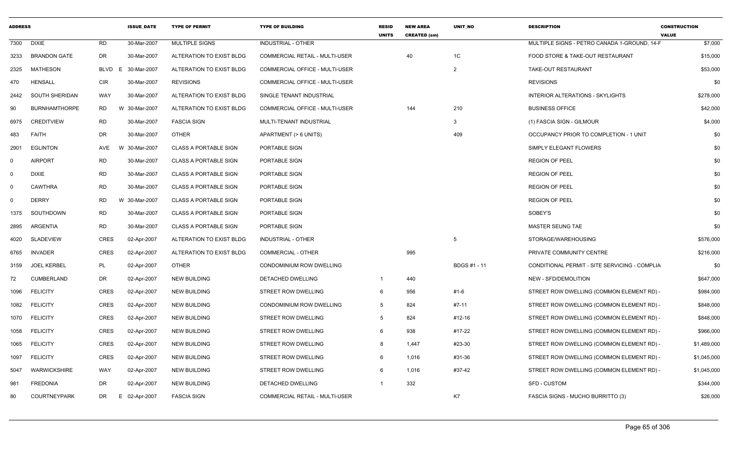| <b>ADDRESS</b> |                      |           | <b>ISSUE DATE</b> | <b>TYPE OF PERMIT</b>        | <b>TYPE OF BUILDING</b>               | <b>RESID</b><br><b>UNITS</b> | <b>NEW AREA</b><br><b>CREATED (sm)</b> | <b>UNIT NO</b>      | <b>DESCRIPTION</b>                            | <b>CONSTRUCTION</b><br><b>VALUE</b> |
|----------------|----------------------|-----------|-------------------|------------------------------|---------------------------------------|------------------------------|----------------------------------------|---------------------|-----------------------------------------------|-------------------------------------|
| 7300           | <b>DIXIE</b>         | <b>RD</b> | 30-Mar-2007       | MULTIPLE SIGNS               | INDUSTRIAL - OTHER                    |                              |                                        |                     | MULTIPLE SIGNS - PETRO CANADA 1-GROUND, 14-F  | \$7,000                             |
| 3233           | <b>BRANDON GATE</b>  | DR        | 30-Mar-2007       | ALTERATION TO EXIST BLDG     | COMMERCIAL RETAIL - MULTI-USER        |                              | 40                                     | 1C                  | FOOD STORE & TAKE-OUT RESTAURANT              | \$15,000                            |
| 2325           | MATHESON             | BLVD      | E 30-Mar-2007     | ALTERATION TO EXIST BLDG     | COMMERCIAL OFFICE - MULTI-USER        |                              |                                        | $\overline{2}$      | TAKE-OUT RESTAURANT                           | \$53,000                            |
| 470            | <b>HENSALL</b>       | CIR       | 30-Mar-2007       | <b>REVISIONS</b>             | COMMERCIAL OFFICE - MULTI-USER        |                              |                                        |                     | <b>REVISIONS</b>                              | \$0                                 |
| 2442           | SOUTH SHERIDAN       | WAY       | 30-Mar-2007       | ALTERATION TO EXIST BLDG     | SINGLE TENANT INDUSTRIAL              |                              |                                        |                     | <b>INTERIOR ALTERATIONS - SKYLIGHTS</b>       | \$278,000                           |
| 90             | <b>BURNHAMTHORPE</b> | <b>RD</b> | W 30-Mar-2007     | ALTERATION TO EXIST BLDG     | COMMERCIAL OFFICE - MULTI-USER        |                              | 144                                    | 210                 | <b>BUSINESS OFFICE</b>                        | \$42,000                            |
| 6975           | <b>CREDITVIEW</b>    | <b>RD</b> | 30-Mar-2007       | <b>FASCIA SIGN</b>           | MULTI-TENANT INDUSTRIAL               |                              |                                        | 3                   | (1) FASCIA SIGN - GILMOUR                     | \$4,000                             |
| 483            | FAITH                | DR        | 30-Mar-2007       | <b>OTHER</b>                 | APARTMENT (> 6 UNITS)                 |                              |                                        | 409                 | OCCUPANCY PRIOR TO COMPLETION - 1 UNIT        | \$0                                 |
| 2901           | <b>EGLINTON</b>      | AVE       | W 30-Mar-2007     | <b>CLASS A PORTABLE SIGN</b> | PORTABLE SIGN                         |                              |                                        |                     | SIMPLY ELEGANT FLOWERS                        | \$0                                 |
| റ              | <b>AIRPORT</b>       | RD        | 30-Mar-2007       | <b>CLASS A PORTABLE SIGN</b> | PORTABLE SIGN                         |                              |                                        |                     | <b>REGION OF PEEL</b>                         | \$0                                 |
| $\Omega$       | <b>DIXIE</b>         | RD        | 30-Mar-2007       | <b>CLASS A PORTABLE SIGN</b> | PORTABLE SIGN                         |                              |                                        |                     | <b>REGION OF PEEL</b>                         | \$0                                 |
| $\Omega$       | <b>CAWTHRA</b>       | <b>RD</b> | 30-Mar-2007       | <b>CLASS A PORTABLE SIGN</b> | PORTABLE SIGN                         |                              |                                        |                     | <b>REGION OF PEEL</b>                         | \$0                                 |
| - 0            | <b>DERRY</b>         | <b>RD</b> | W 30-Mar-2007     | <b>CLASS A PORTABLE SIGN</b> | PORTABLE SIGN                         |                              |                                        |                     | <b>REGION OF PEEL</b>                         | \$0                                 |
| 1375           | SOUTHDOWN            | RD        | 30-Mar-2007       | <b>CLASS A PORTABLE SIGN</b> | PORTABLE SIGN                         |                              |                                        |                     | SOBEY'S                                       | \$0                                 |
| 2895           | ARGENTIA             | <b>RD</b> | 30-Mar-2007       | <b>CLASS A PORTABLE SIGN</b> | PORTABLE SIGN                         |                              |                                        |                     | MASTER SEUNG TAE                              | \$0                                 |
| 4020           | SLADEVIEW            | CRES      | 02-Apr-2007       | ALTERATION TO EXIST BLDG     | <b>INDUSTRIAL - OTHER</b>             |                              |                                        | 5                   | STORAGE/WAREHOUSING                           | \$576,000                           |
| 6765           | <b>INVADER</b>       | CRES      | 02-Apr-2007       | ALTERATION TO EXIST BLDG     | <b>COMMERCIAL - OTHER</b>             |                              | 995                                    |                     | PRIVATE COMMUNITY CENTRE                      | \$216,000                           |
| 3159           | <b>JOEL KERBEL</b>   | PL        | 02-Apr-2007       | <b>OTHER</b>                 | CONDOMINIUM ROW DWELLING              |                              |                                        | <b>BDGS #1 - 11</b> | CONDITIONAL PERMIT - SITE SERVICING - COMPLIA | \$0                                 |
| 72             | <b>CUMBERLAND</b>    | DR        | 02-Apr-2007       | <b>NEW BUILDING</b>          | <b>DETACHED DWELLING</b>              |                              | 440                                    |                     | NEW - SFD/DEMOLITION                          | \$647,000                           |
| 1096           | <b>FELICITY</b>      | CRES      | 02-Apr-2007       | <b>NEW BUILDING</b>          | STREET ROW DWELLING                   | 6                            | 956                                    | #1-6                | STREET ROW DWELLING (COMMON ELEMENT RD) -     | \$984,000                           |
| 1082           | <b>FELICITY</b>      | CRES      | 02-Apr-2007       | <b>NEW BUILDING</b>          | CONDOMINIUM ROW DWELLING              | 5                            | 824                                    | #7-11               | STREET ROW DWELLING (COMMON ELEMENT RD) -     | \$848,000                           |
| 1070           | <b>FELICITY</b>      | CRES      | 02-Apr-2007       | <b>NEW BUILDING</b>          | STREET ROW DWELLING                   | 5                            | 824                                    | #12-16              | STREET ROW DWELLING (COMMON ELEMENT RD) -     | \$848,000                           |
| 1058           | <b>FELICITY</b>      | CRES      | 02-Apr-2007       | <b>NEW BUILDING</b>          | STREET ROW DWELLING                   | 6                            | 938                                    | #17-22              | STREET ROW DWELLING (COMMON ELEMENT RD) -     | \$966,000                           |
| 1065           | <b>FELICITY</b>      | CRES      | 02-Apr-2007       | <b>NEW BUILDING</b>          | STREET ROW DWELLING                   | 8                            | 1,447                                  | #23-30              | STREET ROW DWELLING (COMMON ELEMENT RD) -     | \$1,489,000                         |
| 1097           | <b>FELICITY</b>      | CRES      | 02-Apr-2007       | <b>NEW BUILDING</b>          | STREET ROW DWELLING                   | 6                            | 1,016                                  | #31-36              | STREET ROW DWELLING (COMMON ELEMENT RD) -     | \$1,045,000                         |
| 5047           | WARWICKSHIRE         | WAY       | 02-Apr-2007       | <b>NEW BUILDING</b>          | STREET ROW DWELLING                   |                              | 1,016                                  | #37-42              | STREET ROW DWELLING (COMMON ELEMENT RD) -     | \$1,045,000                         |
| 981            | <b>FREDONIA</b>      | DR        | 02-Apr-2007       | <b>NEW BUILDING</b>          | DETACHED DWELLING                     |                              | 332                                    |                     | SFD - CUSTOM                                  | \$344,000                           |
| 80             | <b>COURTNEYPARK</b>  | DR        | E 02-Apr-2007     | <b>FASCIA SIGN</b>           | <b>COMMERCIAL RETAIL - MULTI-USER</b> |                              |                                        | K7                  | FASCIA SIGNS - MUCHO BURRITTO (3)             | \$26,000                            |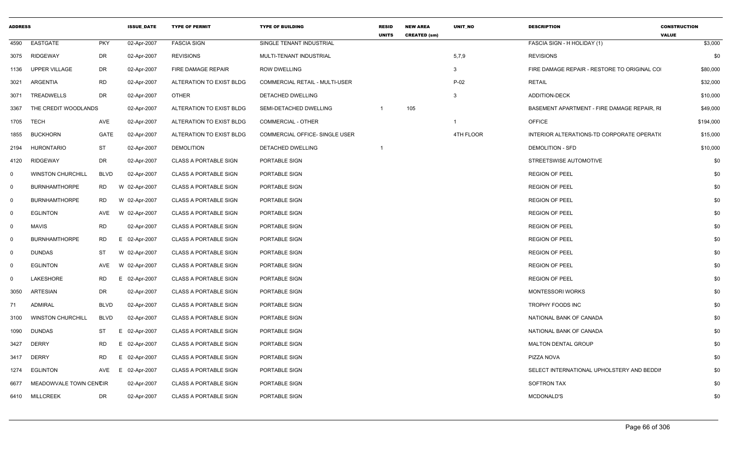| <b>ADDRESS</b> |                          |                 | <b>ISSUE DATE</b> | <b>TYPE OF PERMIT</b>        | <b>TYPE OF BUILDING</b>        | <b>RESID</b><br><b>UNITS</b> | <b>NEW AREA</b><br><b>CREATED (sm)</b> | <b>UNIT NO</b> | <b>DESCRIPTION</b>                          | <b>CONSTRUCTION</b><br><b>VALUE</b> |
|----------------|--------------------------|-----------------|-------------------|------------------------------|--------------------------------|------------------------------|----------------------------------------|----------------|---------------------------------------------|-------------------------------------|
| 4590           | EASTGATE                 | <b>PKY</b>      | 02-Apr-2007       | <b>FASCIA SIGN</b>           | SINGLE TENANT INDUSTRIAL       |                              |                                        |                | FASCIA SIGN - H HOLIDAY (1)                 | \$3,000                             |
| 3075           | RIDGEWAY                 | DR              | 02-Apr-2007       | <b>REVISIONS</b>             | MULTI-TENANT INDUSTRIAL        |                              |                                        | 5,7,9          | <b>REVISIONS</b>                            | \$0                                 |
| 1136           | <b>UPPER VILLAGE</b>     | DR              | 02-Apr-2007       | FIRE DAMAGE REPAIR           | <b>ROW DWELLING</b>            |                              |                                        | $\mathbf{3}$   | FIRE DAMAGE REPAIR - RESTORE TO ORIGINAL CO | \$80,000                            |
| 3021           | ARGENTIA                 | <b>RD</b>       | 02-Apr-2007       | ALTERATION TO EXIST BLDG     | COMMERCIAL RETAIL - MULTI-USER |                              |                                        | $P-02$         | <b>RETAIL</b>                               | \$32,000                            |
| 3071           | <b>TREADWELLS</b>        | <b>DR</b>       | 02-Apr-2007       | OTHER                        | <b>DETACHED DWELLING</b>       |                              |                                        | 3              | <b>ADDITION-DECK</b>                        | \$10,000                            |
| 3367           | THE CREDIT WOODLANDS     |                 | 02-Apr-2007       | ALTERATION TO EXIST BLDG     | SEMI-DETACHED DWELLING         | $\overline{1}$               | 105                                    |                | BASEMENT APARTMENT - FIRE DAMAGE REPAIR. RI | \$49,000                            |
| 1705           | <b>TECH</b>              | AVE             | 02-Apr-2007       | ALTERATION TO EXIST BLDG     | COMMERCIAL - OTHER             |                              |                                        | $\mathbf{1}$   | <b>OFFICE</b>                               | \$194,000                           |
| 1855           | <b>BUCKHORN</b>          | GATE            | 02-Apr-2007       | ALTERATION TO EXIST BLDG     | COMMERCIAL OFFICE- SINGLE USER |                              |                                        | 4TH FLOOR      | INTERIOR ALTERATIONS-TD CORPORATE OPERATIO  | \$15,000                            |
| 2194           | <b>HURONTARIO</b>        | <b>ST</b>       | 02-Apr-2007       | <b>DEMOLITION</b>            | DETACHED DWELLING              | -1                           |                                        |                | <b>DEMOLITION - SFD</b>                     | \$10,000                            |
| 4120           | RIDGEWAY                 | DR              | 02-Apr-2007       | <b>CLASS A PORTABLE SIGN</b> | PORTABLE SIGN                  |                              |                                        |                | STREETSWISE AUTOMOTIVE                      | \$0                                 |
| $\Omega$       | <b>WINSTON CHURCHILL</b> | <b>BLVD</b>     | 02-Apr-2007       | <b>CLASS A PORTABLE SIGN</b> | PORTABLE SIGN                  |                              |                                        |                | <b>REGION OF PEEL</b>                       | \$0                                 |
| $\mathbf 0$    | <b>BURNHAMTHORPE</b>     | <b>RD</b>       | W 02-Apr-2007     | <b>CLASS A PORTABLE SIGN</b> | PORTABLE SIGN                  |                              |                                        |                | <b>REGION OF PEEL</b>                       | \$0                                 |
| $\mathbf 0$    | <b>BURNHAMTHORPE</b>     | <b>RD</b>       | W 02-Apr-2007     | <b>CLASS A PORTABLE SIGN</b> | PORTABLE SIGN                  |                              |                                        |                | <b>REGION OF PEEL</b>                       | \$0                                 |
| $\mathbf 0$    | <b>EGLINTON</b>          | AVE             | W 02-Apr-2007     | <b>CLASS A PORTABLE SIGN</b> | PORTABLE SIGN                  |                              |                                        |                | <b>REGION OF PEEL</b>                       | \$0                                 |
| $\mathbf 0$    | <b>MAVIS</b>             | <b>RD</b>       | 02-Apr-2007       | <b>CLASS A PORTABLE SIGN</b> | PORTABLE SIGN                  |                              |                                        |                | <b>REGION OF PEEL</b>                       | \$0                                 |
| $\mathbf{0}$   | <b>BURNHAMTHORPE</b>     | <b>RD</b><br>E. | 02-Apr-2007       | <b>CLASS A PORTABLE SIGN</b> | PORTABLE SIGN                  |                              |                                        |                | <b>REGION OF PEEL</b>                       | \$0                                 |
| $\mathbf 0$    | <b>DUNDAS</b>            | ST              | W 02-Apr-2007     | <b>CLASS A PORTABLE SIGN</b> | PORTABLE SIGN                  |                              |                                        |                | <b>REGION OF PEEL</b>                       | \$0                                 |
| $\mathbf 0$    | <b>EGLINTON</b>          | W<br>AVE        | 02-Apr-2007       | <b>CLASS A PORTABLE SIGN</b> | PORTABLE SIGN                  |                              |                                        |                | <b>REGION OF PEEL</b>                       | \$0                                 |
| $\mathbf{0}$   | LAKESHORE                | <b>RD</b><br>E. | 02-Apr-2007       | <b>CLASS A PORTABLE SIGN</b> | PORTABLE SIGN                  |                              |                                        |                | <b>REGION OF PEEL</b>                       | \$0                                 |
| 3050           | <b>ARTESIAN</b>          | DR              | 02-Apr-2007       | <b>CLASS A PORTABLE SIGN</b> | PORTABLE SIGN                  |                              |                                        |                | <b>MONTESSORI WORKS</b>                     | \$0                                 |
| 71             | <b>ADMIRAL</b>           | <b>BLVD</b>     | 02-Apr-2007       | <b>CLASS A PORTABLE SIGN</b> | PORTABLE SIGN                  |                              |                                        |                | TROPHY FOODS INC                            | \$0                                 |
| 3100           | <b>WINSTON CHURCHILL</b> | <b>BLVD</b>     | 02-Apr-2007       | <b>CLASS A PORTABLE SIGN</b> | PORTABLE SIGN                  |                              |                                        |                | NATIONAL BANK OF CANADA                     | \$0                                 |
| 1090           | <b>DUNDAS</b>            | ST<br>E         | 02-Apr-2007       | <b>CLASS A PORTABLE SIGN</b> | PORTABLE SIGN                  |                              |                                        |                | NATIONAL BANK OF CANADA                     | \$0                                 |
| 3427           | <b>DERRY</b>             | RD<br>E         | 02-Apr-2007       | <b>CLASS A PORTABLE SIGN</b> | PORTABLE SIGN                  |                              |                                        |                | <b>MALTON DENTAL GROUP</b>                  | \$0                                 |
| 3417           | <b>DERRY</b>             | RD<br>E.        | 02-Apr-2007       | <b>CLASS A PORTABLE SIGN</b> | PORTABLE SIGN                  |                              |                                        |                | PIZZA NOVA                                  | \$0                                 |
| 1274           | <b>EGLINTON</b>          | AVE<br>E        | 02-Apr-2007       | <b>CLASS A PORTABLE SIGN</b> | PORTABLE SIGN                  |                              |                                        |                | SELECT INTERNATIONAL UPHOLSTERY AND BEDDII  | \$0                                 |
| 6677           | MEADOWVALE TOWN CENCIR   |                 | 02-Apr-2007       | <b>CLASS A PORTABLE SIGN</b> | PORTABLE SIGN                  |                              |                                        |                | <b>SOFTRON TAX</b>                          | \$0                                 |
| 6410           | <b>MILLCREEK</b>         | DR              | 02-Apr-2007       | <b>CLASS A PORTABLE SIGN</b> | PORTABLE SIGN                  |                              |                                        |                | <b>MCDONALD'S</b>                           | \$0                                 |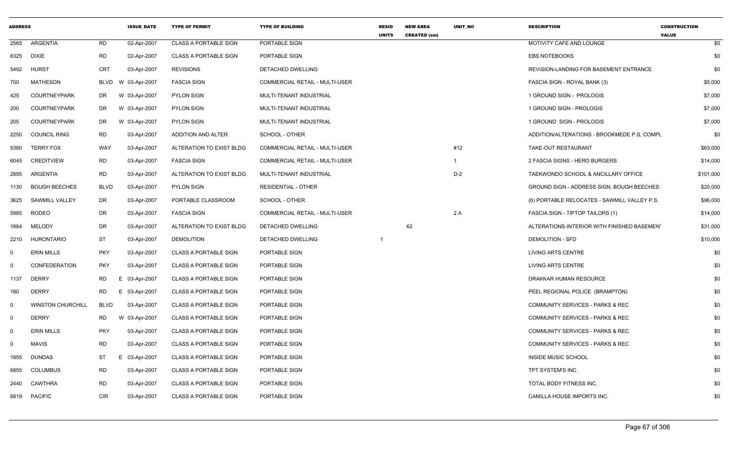| <b>ADDRESS</b> |                          |             | <b>ISSUE DATE</b> | <b>TYPE OF PERMIT</b>        | <b>TYPE OF BUILDING</b>               | <b>RESID</b><br><b>UNITS</b> | <b>NEW AREA</b><br><b>CREATED (sm)</b> | <b>UNIT NO</b> | <b>DESCRIPTION</b>                           | <b>CONSTRUCTION</b><br><b>VALUE</b> |
|----------------|--------------------------|-------------|-------------------|------------------------------|---------------------------------------|------------------------------|----------------------------------------|----------------|----------------------------------------------|-------------------------------------|
| 2565           | ARGENTIA                 | <b>RD</b>   | 02-Apr-2007       | <b>CLASS A PORTABLE SIGN</b> | PORTABLE SIGN                         |                              |                                        |                | MOTIVITY CAFE AND LOUNGE                     | \$0                                 |
| 6325           | <b>DIXIE</b>             | <b>RD</b>   | 02-Apr-2007       | <b>CLASS A PORTABLE SIGN</b> | PORTABLE SIGN                         |                              |                                        |                | <b>EBS NOTEBOOKS</b>                         | \$0                                 |
| 5492           | <b>HURST</b>             | <b>CRT</b>  | 03-Apr-2007       | <b>REVISIONS</b>             | DETACHED DWELLING                     |                              |                                        |                | REVISION-LANDING FOR BASEMENT ENTRANCE       | \$0                                 |
| 700            | <b>MATHESON</b>          | <b>BLVD</b> | W 03-Apr-2007     | <b>FASCIA SIGN</b>           | <b>COMMERCIAL RETAIL - MULTI-USER</b> |                              |                                        |                | FASCIA SIGN - ROYAL BANK (3)                 | \$5,000                             |
| 425            | <b>COURTNEYPARK</b>      | DR          | W 03-Apr-2007     | <b>PYLON SIGN</b>            | MULTI-TENANT INDUSTRIAL               |                              |                                        |                | 1 GROUND SIGN - PROLOGIS                     | \$7,000                             |
| 200            | <b>COURTNEYPARK</b>      | DR          | W 03-Apr-2007     | <b>PYLON SIGN</b>            | MULTI-TENANT INDUSTRIAL               |                              |                                        |                | 1 GROUND SIGN - PROLOGIS                     | \$7,000                             |
| 205            | <b>COURTNEYPARK</b>      | DR          | W 03-Apr-2007     | <b>PYLON SIGN</b>            | MULTI-TENANT INDUSTRIAL               |                              |                                        |                | 1 GROUND SIGN - PROLOGIS                     | \$7,000                             |
| 2250           | <b>COUNCIL RING</b>      | <b>RD</b>   | 03-Apr-2007       | ADDITION AND ALTER           | SCHOOL - OTHER                        |                              |                                        |                | ADDITION/ALTERATIONS - BROOKMEDE P.S, COMPL  | \$0                                 |
| 5380           | <b>TERRY FOX</b>         | WAY         | 03-Apr-2007       | ALTERATION TO EXIST BLDG     | COMMERCIAL RETAIL - MULTI-USER        |                              |                                        | #12            | TAKE-OUT RESTAURANT                          | \$63,000                            |
| 6045           | <b>CREDITVIEW</b>        | <b>RD</b>   | 03-Apr-2007       | <b>FASCIA SIGN</b>           | COMMERCIAL RETAIL - MULTI-USER        |                              |                                        | $\mathbf{1}$   | 2 FASCIA SIGNS - HERO BURGERS                | \$14,000                            |
| 2895           | ARGENTIA                 | <b>RD</b>   | 03-Apr-2007       | ALTERATION TO EXIST BLDG     | MULTI-TENANT INDUSTRIAL               |                              |                                        | $D-2$          | TAEKWONDO SCHOOL & ANCILLARY OFFICE          | \$101,000                           |
| 1130           | <b>BOUGH BEECHES</b>     | <b>BLVD</b> | 03-Apr-2007       | <b>PYLON SIGN</b>            | RESIDENTIAL - OTHER                   |                              |                                        |                | GROUND SIGN - ADDRESS SIGN, BOUGH BEECHES    | \$20,000                            |
| 3625           | <b>SAWMILL VALLEY</b>    | DR          | 03-Apr-2007       | PORTABLE CLASSROOM           | SCHOOL - OTHER                        |                              |                                        |                | (6) PORTABLE RELOCATES - SAWMILL VALLEY P.S. | \$96,000                            |
| 5985           | <b>RODEO</b>             | <b>DR</b>   | 03-Apr-2007       | <b>FASCIA SIGN</b>           | <b>COMMERCIAL RETAIL - MULTI-USER</b> |                              |                                        | 2A             | <b>FASCIA SIGN - TIPTOP TAILORS (1)</b>      | \$14,000                            |
| 1884           | MELODY                   | DR          | 03-Apr-2007       | ALTERATION TO EXIST BLDG     | DETACHED DWELLING                     |                              | 62                                     |                | ALTERATIONS-INTERIOR WITH FINISHED BASEMENT  | \$31,000                            |
| 2210           | <b>HURONTARIO</b>        | <b>ST</b>   | 03-Apr-2007       | <b>DEMOLITION</b>            | DETACHED DWELLING                     | $\overline{1}$               |                                        |                | <b>DEMOLITION - SFD</b>                      | \$10,000                            |
| $\mathbf 0$    | <b>ERIN MILLS</b>        | <b>PKY</b>  | 03-Apr-2007       | <b>CLASS A PORTABLE SIGN</b> | PORTABLE SIGN                         |                              |                                        |                | <b>LIVING ARTS CENTRE</b>                    | \$0                                 |
| $\mathbf 0$    | <b>CONFEDERATION</b>     | <b>PKY</b>  | 03-Apr-2007       | <b>CLASS A PORTABLE SIGN</b> | PORTABLE SIGN                         |                              |                                        |                | <b>LIVING ARTS CENTRE</b>                    | \$0                                 |
| 1137           | <b>DERRY</b>             | RD          | E 03-Apr-2007     | <b>CLASS A PORTABLE SIGN</b> | PORTABLE SIGN                         |                              |                                        |                | DRAKKAR HUMAN RESOURCE                       | \$0                                 |
| 180            | <b>DERRY</b>             | <b>RD</b>   | E 03-Apr-2007     | <b>CLASS A PORTABLE SIGN</b> | PORTABLE SIGN                         |                              |                                        |                | PEEL REGIONAL POLICE (BRAMPTON)              | \$0                                 |
| $\mathbf 0$    | <b>WINSTON CHURCHILL</b> | <b>BLVD</b> | 03-Apr-2007       | <b>CLASS A PORTABLE SIGN</b> | PORTABLE SIGN                         |                              |                                        |                | COMMUNITY SERVICES - PARKS & REC             | \$0                                 |
| $\mathbf 0$    | <b>DERRY</b>             | <b>RD</b>   | W 03-Apr-2007     | <b>CLASS A PORTABLE SIGN</b> | PORTABLE SIGN                         |                              |                                        |                | <b>COMMUNITY SERVICES - PARKS &amp; REC</b>  | \$0                                 |
| $\mathbf 0$    | <b>ERIN MILLS</b>        | <b>PKY</b>  | 03-Apr-2007       | <b>CLASS A PORTABLE SIGN</b> | PORTABLE SIGN                         |                              |                                        |                | COMMUNITY SERVICES - PARKS & REC             | \$0                                 |
| $\mathbf 0$    | <b>MAVIS</b>             | <b>RD</b>   | 03-Apr-2007       | <b>CLASS A PORTABLE SIGN</b> | PORTABLE SIGN                         |                              |                                        |                | COMMUNITY SERVICES - PARKS & REC             | \$0                                 |
| 1855           | <b>DUNDAS</b>            | ST          | E 03-Apr-2007     | <b>CLASS A PORTABLE SIGN</b> | PORTABLE SIGN                         |                              |                                        |                | <b>INSIDE MUSIC SCHOOL</b>                   | \$0                                 |
| 6855           | <b>COLUMBUS</b>          | <b>RD</b>   | 03-Apr-2007       | <b>CLASS A PORTABLE SIGN</b> | PORTABLE SIGN                         |                              |                                        |                | TPT SYSTEM'S INC.                            | \$0                                 |
| 2440           | <b>CAWTHRA</b>           | <b>RD</b>   | 03-Apr-2007       | <b>CLASS A PORTABLE SIGN</b> | PORTABLE SIGN                         |                              |                                        |                | TOTAL BODY FITNESS INC.                      | \$0                                 |
| 6819           | <b>PACIFIC</b>           | <b>CIR</b>  | 03-Apr-2007       | <b>CLASS A PORTABLE SIGN</b> | PORTABLE SIGN                         |                              |                                        |                | CAMILLA HOUSE IMPORTS INC.                   | \$0                                 |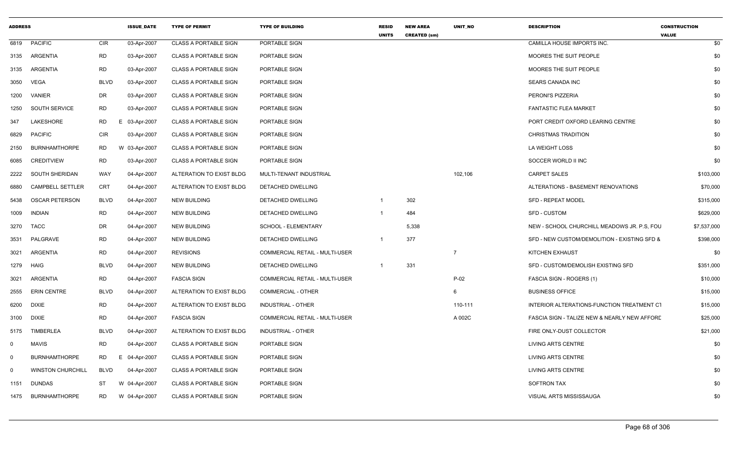| <b>ADDRESS</b> |                          |             | <b>ISSUE DATE</b> | <b>TYPE OF PERMIT</b>        | <b>TYPE OF BUILDING</b>        | <b>RESID</b><br><b>UNITS</b> | <b>NEW AREA</b><br><b>CREATED (sm)</b> | <b>UNIT NO</b> | <b>DESCRIPTION</b>                           | <b>CONSTRUCTION</b><br><b>VALUE</b> |
|----------------|--------------------------|-------------|-------------------|------------------------------|--------------------------------|------------------------------|----------------------------------------|----------------|----------------------------------------------|-------------------------------------|
| 6819           | <b>PACIFIC</b>           | <b>CIR</b>  | 03-Apr-2007       | <b>CLASS A PORTABLE SIGN</b> | PORTABLE SIGN                  |                              |                                        |                | CAMILLA HOUSE IMPORTS INC.                   | \$0                                 |
| 3135           | ARGENTIA                 | <b>RD</b>   | 03-Apr-2007       | <b>CLASS A PORTABLE SIGN</b> | PORTABLE SIGN                  |                              |                                        |                | MOORES THE SUIT PEOPLE                       | \$0                                 |
| 3135           | ARGENTIA                 | <b>RD</b>   | 03-Apr-2007       | <b>CLASS A PORTABLE SIGN</b> | PORTABLE SIGN                  |                              |                                        |                | MOORES THE SUIT PEOPLE                       | \$0                                 |
| 3050           | <b>VEGA</b>              | <b>BLVD</b> | 03-Apr-2007       | CLASS A PORTABLE SIGN        | PORTABLE SIGN                  |                              |                                        |                | <b>SEARS CANADA INC</b>                      | \$0                                 |
| 1200           | <b>VANIER</b>            | DR          | 03-Apr-2007       | <b>CLASS A PORTABLE SIGN</b> | PORTABLE SIGN                  |                              |                                        |                | PERONI'S PIZZERIA                            | \$0                                 |
| 1250           | SOUTH SERVICE            | <b>RD</b>   | 03-Apr-2007       | <b>CLASS A PORTABLE SIGN</b> | PORTABLE SIGN                  |                              |                                        |                | <b>FANTASTIC FLEA MARKET</b>                 | \$0                                 |
| 347            | LAKESHORE                | <b>RD</b>   | E 03-Apr-2007     | <b>CLASS A PORTABLE SIGN</b> | PORTABLE SIGN                  |                              |                                        |                | PORT CREDIT OXFORD LEARING CENTRE            | \$0                                 |
| 6829           | <b>PACIFIC</b>           | <b>CIR</b>  | 03-Apr-2007       | <b>CLASS A PORTABLE SIGN</b> | PORTABLE SIGN                  |                              |                                        |                | <b>CHRISTMAS TRADITION</b>                   | \$0                                 |
| 2150           | <b>BURNHAMTHORPE</b>     | <b>RD</b>   | W 03-Apr-2007     | <b>CLASS A PORTABLE SIGN</b> | PORTABLE SIGN                  |                              |                                        |                | LA WEIGHT LOSS                               | \$0                                 |
| 6085           | <b>CREDITVIEW</b>        | <b>RD</b>   | 03-Apr-2007       | <b>CLASS A PORTABLE SIGN</b> | PORTABLE SIGN                  |                              |                                        |                | SOCCER WORLD II INC                          | \$0                                 |
| 2222           | SOUTH SHERIDAN           | <b>WAY</b>  | 04-Apr-2007       | ALTERATION TO EXIST BLDG     | MULTI-TENANT INDUSTRIAL        |                              |                                        | 102,106        | <b>CARPET SALES</b>                          | \$103,000                           |
| 6880           | <b>CAMPBELL SETTLER</b>  | <b>CRT</b>  | 04-Apr-2007       | ALTERATION TO EXIST BLDG     | DETACHED DWELLING              |                              |                                        |                | ALTERATIONS - BASEMENT RENOVATIONS           | \$70,000                            |
| 5438           | <b>OSCAR PETERSON</b>    | <b>BLVD</b> | 04-Apr-2007       | <b>NEW BUILDING</b>          | DETACHED DWELLING              |                              | 302                                    |                | <b>SFD - REPEAT MODEL</b>                    | \$315,000                           |
| 1009           | <b>INDIAN</b>            | <b>RD</b>   | 04-Apr-2007       | <b>NEW BUILDING</b>          | DETACHED DWELLING              | -1                           | 484                                    |                | <b>SFD - CUSTOM</b>                          | \$629,000                           |
| 3270           | TACC                     | DR          | 04-Apr-2007       | <b>NEW BUILDING</b>          | SCHOOL - ELEMENTARY            |                              | 5,338                                  |                | NEW - SCHOOL CHURCHILL MEADOWS JR. P.S. FOU  | \$7,537,000                         |
| 3531           | PALGRAVE                 | <b>RD</b>   | 04-Apr-2007       | <b>NEW BUILDING</b>          | <b>DETACHED DWELLING</b>       | $\overline{1}$               | 377                                    |                | SFD - NEW CUSTOM/DEMOLITION - EXISTING SFD & | \$398,000                           |
| 3021           | ARGENTIA                 | <b>RD</b>   | 04-Apr-2007       | <b>REVISIONS</b>             | COMMERCIAL RETAIL - MULTI-USER |                              |                                        | $\overline{7}$ | KITCHEN EXHAUST                              | \$0                                 |
| 1279           | HAIG                     | <b>BLVD</b> | 04-Apr-2007       | <b>NEW BUILDING</b>          | DETACHED DWELLING              | -1                           | 331                                    |                | SFD - CUSTOM/DEMOLISH EXISTING SFD           | \$351,000                           |
| 3021           | ARGENTIA                 | <b>RD</b>   | 04-Apr-2007       | <b>FASCIA SIGN</b>           | COMMERCIAL RETAIL - MULTI-USER |                              |                                        | $P-02$         | FASCIA SIGN - ROGERS (1)                     | \$10,000                            |
| 2555           | <b>ERIN CENTRE</b>       | <b>BLVD</b> | 04-Apr-2007       | ALTERATION TO EXIST BLDG     | <b>COMMERCIAL - OTHER</b>      |                              |                                        | 6              | <b>BUSINESS OFFICE</b>                       | \$15,000                            |
| 6200           | <b>DIXIE</b>             | RD          | 04-Apr-2007       | ALTERATION TO EXIST BLDG     | <b>INDUSTRIAL - OTHER</b>      |                              |                                        | 110-111        | INTERIOR ALTERATIONS-FUNCTION TREATMENT CT   | \$15,000                            |
| 3100           | <b>DIXIE</b>             | <b>RD</b>   | 04-Apr-2007       | <b>FASCIA SIGN</b>           | COMMERCIAL RETAIL - MULTI-USER |                              |                                        | A 002C         | FASCIA SIGN - TALIZE NEW & NEARLY NEW AFFORE | \$25,000                            |
| 5175           | <b>TIMBERLEA</b>         | <b>BLVD</b> | 04-Apr-2007       | ALTERATION TO EXIST BLDG     | <b>INDUSTRIAL - OTHER</b>      |                              |                                        |                | FIRE ONLY-DUST COLLECTOR                     | \$21,000                            |
| $\mathbf 0$    | <b>MAVIS</b>             | <b>RD</b>   | 04-Apr-2007       | <b>CLASS A PORTABLE SIGN</b> | PORTABLE SIGN                  |                              |                                        |                | <b>LIVING ARTS CENTRE</b>                    | \$0                                 |
| $\mathbf 0$    | <b>BURNHAMTHORPE</b>     | RD          | E 04-Apr-2007     | <b>CLASS A PORTABLE SIGN</b> | PORTABLE SIGN                  |                              |                                        |                | <b>LIVING ARTS CENTRE</b>                    | \$0                                 |
| $\mathbf 0$    | <b>WINSTON CHURCHILL</b> | <b>BLVD</b> | 04-Apr-2007       | <b>CLASS A PORTABLE SIGN</b> | PORTABLE SIGN                  |                              |                                        |                | LIVING ARTS CENTRE                           | \$0                                 |
| 1151           | <b>DUNDAS</b>            | ST          | W 04-Apr-2007     | <b>CLASS A PORTABLE SIGN</b> | PORTABLE SIGN                  |                              |                                        |                | <b>SOFTRON TAX</b>                           | \$0                                 |
| 1475           | <b>BURNHAMTHORPE</b>     | RD          | W 04-Apr-2007     | <b>CLASS A PORTABLE SIGN</b> | PORTABLE SIGN                  |                              |                                        |                | VISUAL ARTS MISSISSAUGA                      | \$0                                 |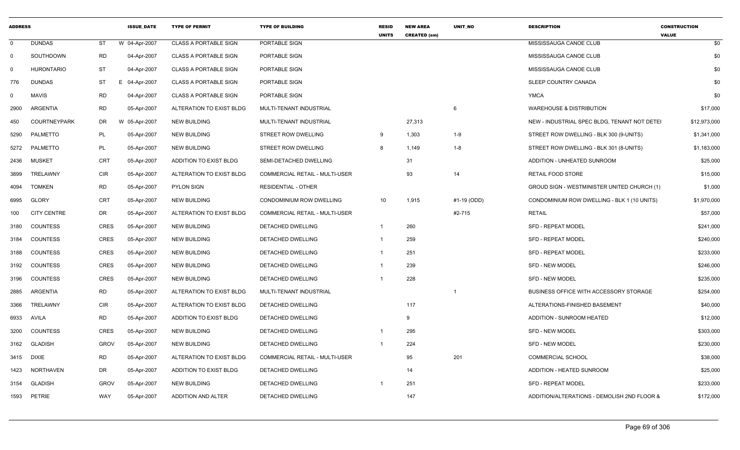| <b>ADDRESS</b> |                     |             | <b>ISSUE DATE</b> | <b>TYPE OF PERMIT</b>        | <b>TYPE OF BUILDING</b>        | <b>RESID</b><br><b>UNITS</b> | <b>NEW AREA</b><br><b>CREATED (sm)</b> | <b>UNIT NO</b> | <b>DESCRIPTION</b>                            | <b>CONSTRUCTION</b><br><b>VALUE</b> |
|----------------|---------------------|-------------|-------------------|------------------------------|--------------------------------|------------------------------|----------------------------------------|----------------|-----------------------------------------------|-------------------------------------|
| $\mathbf{0}$   | <b>DUNDAS</b>       | ST          | W 04-Apr-2007     | CLASS A PORTABLE SIGN        | PORTABLE SIGN                  |                              |                                        |                | MISSISSAUGA CANOE CLUB                        | \$0                                 |
| $\Omega$       | SOUTHDOWN           | <b>RD</b>   | 04-Apr-2007       | <b>CLASS A PORTABLE SIGN</b> | PORTABLE SIGN                  |                              |                                        |                | MISSISSAUGA CANOE CLUB                        | \$0                                 |
| $\Omega$       | <b>HURONTARIO</b>   | ST          | 04-Apr-2007       | <b>CLASS A PORTABLE SIGN</b> | PORTABLE SIGN                  |                              |                                        |                | MISSISSAUGA CANOE CLUB                        | \$0                                 |
| 776            | <b>DUNDAS</b>       | <b>ST</b>   | Е<br>04-Apr-2007  | <b>CLASS A PORTABLE SIGN</b> | PORTABLE SIGN                  |                              |                                        |                | SLEEP COUNTRY CANADA                          | \$0                                 |
| 0              | <b>MAVIS</b>        | RD          | 04-Apr-2007       | <b>CLASS A PORTABLE SIGN</b> | PORTABLE SIGN                  |                              |                                        |                | <b>YMCA</b>                                   | \$0                                 |
| 2900           | ARGENTIA            | <b>RD</b>   | 05-Apr-2007       | ALTERATION TO EXIST BLDG     | MULTI-TENANT INDUSTRIAL        |                              |                                        | - 6            | <b>WAREHOUSE &amp; DISTRIBUTION</b>           | \$17,000                            |
| 450            | <b>COURTNEYPARK</b> | DR          | W 05-Apr-2007     | <b>NEW BUILDING</b>          | MULTI-TENANT INDUSTRIAL        |                              | 27,313                                 |                | NEW - INDUSTRIAL SPEC BLDG, TENANT NOT DETEI  | \$12,973,000                        |
| 5290           | PALMETTO            | PL          | 05-Apr-2007       | <b>NEW BUILDING</b>          | STREET ROW DWELLING            | - 9                          | 1,303                                  | $1 - 9$        | STREET ROW DWELLING - BLK 300 (9-UNITS)       | \$1,341,000                         |
|                | 5272 PALMETTO       | <b>PL</b>   | 05-Apr-2007       | <b>NEW BUILDING</b>          | STREET ROW DWELLING            | 8                            | 1,149                                  | $1 - 8$        | STREET ROW DWELLING - BLK 301 (8-UNITS)       | \$1,183,000                         |
| 2436           | MUSKET              | CRT         | 05-Apr-2007       | ADDITION TO EXIST BLDG       | SEMI-DETACHED DWELLING         |                              | 31                                     |                | ADDITION - UNHEATED SUNROOM                   | \$25,000                            |
| 3899           | TRELAWNY            | CIR         | 05-Apr-2007       | ALTERATION TO EXIST BLDG     | COMMERCIAL RETAIL - MULTI-USER |                              | 93                                     | 14             | RETAIL FOOD STORE                             | \$15,000                            |
| 4094           | <b>TOMKEN</b>       | <b>RD</b>   | 05-Apr-2007       | PYLON SIGN                   | <b>RESIDENTIAL - OTHER</b>     |                              |                                        |                | GROUD SIGN - WESTMINISTER UNITED CHURCH (1)   | \$1,000                             |
| 6995           | <b>GLORY</b>        | CRT         | 05-Apr-2007       | <b>NEW BUILDING</b>          | CONDOMINIUM ROW DWELLING       | 10 <sup>1</sup>              | 1,915                                  | #1-19 (ODD)    | CONDOMINIUM ROW DWELLING - BLK 1 (10 UNITS)   | \$1,970,000                         |
| 100            | <b>CITY CENTRE</b>  | DR          | 05-Apr-2007       | ALTERATION TO EXIST BLDG     | COMMERCIAL RETAIL - MULTI-USER |                              |                                        | #2-715         | RETAIL                                        | \$57,000                            |
| 3180           | COUNTESS            | CRES        | 05-Apr-2007       | <b>NEW BUILDING</b>          | DETACHED DWELLING              |                              | 260                                    |                | <b>SFD - REPEAT MODEL</b>                     | \$241,000                           |
| 3184           | COUNTESS            | CRES        | 05-Apr-2007       | <b>NEW BUILDING</b>          | DETACHED DWELLING              |                              | 259                                    |                | SFD - REPEAT MODEL                            | \$240,000                           |
| 3188           | COUNTESS            | <b>CRES</b> | 05-Apr-2007       | <b>NEW BUILDING</b>          | DETACHED DWELLING              |                              | 251                                    |                | <b>SFD - REPEAT MODEL</b>                     | \$233,000                           |
| 3192           | <b>COUNTESS</b>     | CRES        | 05-Apr-2007       | <b>NEW BUILDING</b>          | DETACHED DWELLING              |                              | 239                                    |                | <b>SFD - NEW MODEL</b>                        | \$246,000                           |
| 3196           | COUNTESS            | CRES        | 05-Apr-2007       | <b>NEW BUILDING</b>          | <b>DETACHED DWELLING</b>       |                              | 228                                    |                | <b>SFD - NEW MODEL</b>                        | \$235,000                           |
| 2885           | ARGENTIA            | RD          | 05-Apr-2007       | ALTERATION TO EXIST BLDG     | MULTI-TENANT INDUSTRIAL        |                              |                                        |                | <b>BUSINESS OFFICE WITH ACCESSORY STORAGE</b> | \$254,000                           |
| 3366           | TRELAWNY            | CIR         | 05-Apr-2007       | ALTERATION TO EXIST BLDG     | DETACHED DWELLING              |                              | 117                                    |                | ALTERATIONS-FINISHED BASEMENT                 | \$40,000                            |
| 6933           | AVILA               | <b>RD</b>   | 05-Apr-2007       | ADDITION TO EXIST BLDG       | DETACHED DWELLING              |                              | 9                                      |                | ADDITION - SUNROOM HEATED                     | \$12,000                            |
| 3200           | <b>COUNTESS</b>     | CRES        | 05-Apr-2007       | <b>NEW BUILDING</b>          | DETACHED DWELLING              |                              | 295                                    |                | SFD - NEW MODEL                               | \$303,000                           |
| 3162           | <b>GLADISH</b>      | <b>GROV</b> | 05-Apr-2007       | <b>NEW BUILDING</b>          | DETACHED DWELLING              |                              | 224                                    |                | <b>SFD - NEW MODEL</b>                        | \$230,000                           |
|                | 3415 DIXIE          | <b>RD</b>   | 05-Apr-2007       | ALTERATION TO EXIST BLDG     | COMMERCIAL RETAIL - MULTI-USER |                              | 95                                     | 201            | <b>COMMERCIAL SCHOOL</b>                      | \$38,000                            |
| 1423           | NORTHAVEN           | DR          | 05-Apr-2007       | ADDITION TO EXIST BLDG       | DETACHED DWELLING              |                              | 14                                     |                | ADDITION - HEATED SUNROOM                     | \$25,000                            |
| 3154           | GLADISH             | <b>GROV</b> | 05-Apr-2007       | <b>NEW BUILDING</b>          | DETACHED DWELLING              |                              | 251                                    |                | <b>SFD - REPEAT MODEL</b>                     | \$233,000                           |
|                | 1593 PETRIE         | <b>WAY</b>  | 05-Apr-2007       | ADDITION AND ALTER           | DETACHED DWELLING              |                              | 147                                    |                | ADDITION/ALTERATIONS - DEMOLISH 2ND FLOOR &   | \$172,000                           |
|                |                     |             |                   |                              |                                |                              |                                        |                |                                               |                                     |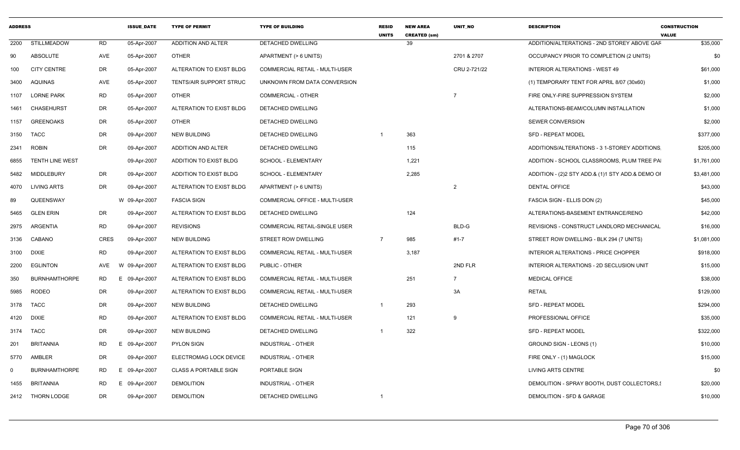| <b>ADDRESS</b> |                      |                 | <b>ISSUE DATE</b> | <b>TYPE OF PERMIT</b>        | <b>TYPE OF BUILDING</b>               | <b>RESID</b><br><b>UNITS</b> | <b>NEW AREA</b><br><b>CREATED (sm)</b> | <b>UNIT NO</b> | <b>DESCRIPTION</b>                               | <b>CONSTRUCTION</b><br><b>VALUE</b> |
|----------------|----------------------|-----------------|-------------------|------------------------------|---------------------------------------|------------------------------|----------------------------------------|----------------|--------------------------------------------------|-------------------------------------|
|                | 2200 STILLMEADOW     | RD              | 05-Apr-2007       | <b>ADDITION AND ALTER</b>    | DETACHED DWELLING                     |                              | 39                                     |                | ADDITION/ALTERATIONS - 2ND STOREY ABOVE GAF      | \$35,000                            |
| 90             | ABSOLUTE             | AVE             | 05-Apr-2007       | <b>OTHER</b>                 | APARTMENT (> 6 UNITS)                 |                              |                                        | 2701 & 2707    | OCCUPANCY PRIOR TO COMPLETION (2 UNITS)          | \$0                                 |
| 100            | <b>CITY CENTRE</b>   | DR              | 05-Apr-2007       | ALTERATION TO EXIST BLDG     | COMMERCIAL RETAIL - MULTI-USER        |                              |                                        | CRU 2-721/22   | INTERIOR ALTERATIONS - WEST 49                   | \$61,000                            |
| 3400           | AQUINAS              | AVE             | 05-Apr-2007       | TENTS/AIR SUPPORT STRUC      | UNKNOWN FROM DATA CONVERSION          |                              |                                        |                | (1) TEMPORARY TENT FOR APRIL 8/07 (30x60)        | \$1,000                             |
|                | 1107 LORNE PARK      | RD              | 05-Apr-2007       | OTHER                        | <b>COMMERCIAL - OTHER</b>             |                              |                                        | -7             | FIRE ONLY-FIRE SUPPRESSION SYSTEM                | \$2,000                             |
|                | 1461 CHASEHURST      | DR              | 05-Apr-2007       | ALTERATION TO EXIST BLDG     | DETACHED DWELLING                     |                              |                                        |                | ALTERATIONS-BEAM/COLUMN INSTALLATION             | \$1,000                             |
|                | 1157 GREENOAKS       | DR              | 05-Apr-2007       | <b>OTHER</b>                 | DETACHED DWELLING                     |                              |                                        |                | <b>SEWER CONVERSION</b>                          | \$2,000                             |
|                | 3150 TACC            | DR              | 09-Apr-2007       | NEW BUILDING                 | DETACHED DWELLING                     | $\overline{1}$               | 363                                    |                | <b>SFD - REPEAT MODEL</b>                        | \$377,000                           |
|                | 2341 ROBIN           | DR              | 09-Apr-2007       | ADDITION AND ALTER           | DETACHED DWELLING                     |                              | 115                                    |                | ADDITIONS/ALTERATIONS - 3 1-STOREY ADDITIONS     | \$205,000                           |
|                | 6855 TENTH LINE WEST |                 | 09-Apr-2007       | ADDITION TO EXIST BLDG       | SCHOOL - ELEMENTARY                   |                              | 1,221                                  |                | ADDITION - SCHOOL CLASSROOMS, PLUM TREE PA       | \$1,761,000                         |
|                | 5482 MIDDLEBURY      | DR              | 09-Apr-2007       | ADDITION TO EXIST BLDG       | SCHOOL - ELEMENTARY                   |                              | 2,285                                  |                | ADDITION - (2)2 STY ADD.& (1)1 STY ADD.& DEMO OF | \$3,481,000                         |
|                | 4070 LIVING ARTS     | DR              | 09-Apr-2007       | ALTERATION TO EXIST BLDG     | APARTMENT (> 6 UNITS)                 |                              |                                        | $\overline{2}$ | <b>DENTAL OFFICE</b>                             | \$43,000                            |
| 89             | QUEENSWAY            |                 | W 09-Apr-2007     | <b>FASCIA SIGN</b>           | COMMERCIAL OFFICE - MULTI-USER        |                              |                                        |                | FASCIA SIGN - ELLIS DON (2)                      | \$45,000                            |
| 5465           | <b>GLEN ERIN</b>     | DR              | 09-Apr-2007       | ALTERATION TO EXIST BLDG     | DETACHED DWELLING                     |                              | 124                                    |                | ALTERATIONS-BASEMENT ENTRANCE/RENO               | \$42,000                            |
|                | 2975 ARGENTIA        | RD              | 09-Apr-2007       | <b>REVISIONS</b>             | COMMERCIAL RETAIL-SINGLE USER         |                              |                                        | BLD-G          | REVISIONS - CONSTRUCT LANDLORD MECHANICAL        | \$16,000                            |
|                | 3136 CABANO          | CRES            | 09-Apr-2007       | <b>NEW BUILDING</b>          | STREET ROW DWELLING                   | $\overline{7}$               | 985                                    | $#1 - 7$       | STREET ROW DWELLING - BLK 294 (7 UNITS)          | \$1,081,000                         |
|                | 3100 DIXIE           | RD              | 09-Apr-2007       | ALTERATION TO EXIST BLDG     | COMMERCIAL RETAIL - MULTI-USER        |                              | 3,187                                  |                | INTERIOR ALTERATIONS - PRICE CHOPPER             | \$918,000                           |
|                | 2200 EGLINTON        |                 | AVE W 09-Apr-2007 | ALTERATION TO EXIST BLDG     | PUBLIC - OTHER                        |                              |                                        | 2ND FLR        | INTERIOR ALTERATIONS - 2D SECLUSION UNIT         | \$15,000                            |
| 350            | <b>BURNHAMTHORPE</b> | RD<br>E.        | 09-Apr-2007       | ALTERATION TO EXIST BLDG     | COMMERCIAL RETAIL - MULTI-USER        |                              | 251                                    | $\overline{7}$ | <b>MEDICAL OFFICE</b>                            | \$38,000                            |
|                | 5985 RODEO           | DR              | 09-Apr-2007       | ALTERATION TO EXIST BLDG     | <b>COMMERCIAL RETAIL - MULTI-USER</b> |                              |                                        | 3A             | <b>RETAIL</b>                                    | \$129,000                           |
|                | 3178 TACC            | DR              | 09-Apr-2007       | <b>NEW BUILDING</b>          | DETACHED DWELLING                     |                              | 293                                    |                | <b>SFD - REPEAT MODEL</b>                        | \$294,000                           |
|                | 4120 DIXIE           | RD              | 09-Apr-2007       | ALTERATION TO EXIST BLDG     | COMMERCIAL RETAIL - MULTI-USER        |                              | 121                                    | <b>q</b>       | PROFESSIONAL OFFICE                              | \$35,000                            |
|                | 3174 TACC            | DR              | 09-Apr-2007       | <b>NEW BUILDING</b>          | DETACHED DWELLING                     |                              | 322                                    |                | SFD - REPEAT MODEL                               | \$322,000                           |
| 201            | BRITANNIA            | RD              | 09-Apr-2007       | <b>PYLON SIGN</b>            | INDUSTRIAL - OTHER                    |                              |                                        |                | GROUND SIGN - LEONS (1)                          | \$10,000                            |
| 5770           | AMBLER               | DR              | 09-Apr-2007       | ELECTROMAG LOCK DEVICE       | INDUSTRIAL - OTHER                    |                              |                                        |                | FIRE ONLY - (1) MAGLOCK                          | \$15,000                            |
| $\Omega$       | <b>BURNHAMTHORPE</b> | <b>RD</b><br>E. | 09-Apr-2007       | <b>CLASS A PORTABLE SIGN</b> | PORTABLE SIGN                         |                              |                                        |                | <b>LIVING ARTS CENTRE</b>                        | \$0                                 |
|                | 1455 BRITANNIA       | RD<br>E.        | 09-Apr-2007       | <b>DEMOLITION</b>            | INDUSTRIAL - OTHER                    |                              |                                        |                | DEMOLITION - SPRAY BOOTH, DUST COLLECTORS,       | \$20,000                            |
|                | 2412 THORN LODGE     | DR              | 09-Apr-2007       | <b>DEMOLITION</b>            | DETACHED DWELLING                     | $\overline{1}$               |                                        |                | DEMOLITION - SFD & GARAGE                        | \$10,000                            |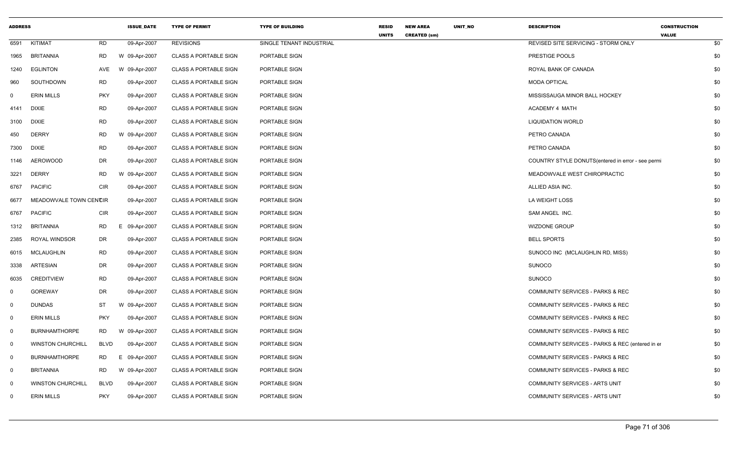| <b>ADDRESS</b> |                          |             | <b>ISSUE_DATE</b> | <b>TYPE OF PERMIT</b>        | <b>TYPE OF BUILDING</b>  | <b>RESID</b><br><b>UNITS</b> | <b>NEW AREA</b><br><b>CREATED (sm)</b> | UNIT_NO | <b>DESCRIPTION</b>                                | <b>CONSTRUCTION</b><br><b>VALUE</b> |     |
|----------------|--------------------------|-------------|-------------------|------------------------------|--------------------------|------------------------------|----------------------------------------|---------|---------------------------------------------------|-------------------------------------|-----|
| 6591           | KITIMAT                  | <b>RD</b>   | 09-Apr-2007       | <b>REVISIONS</b>             | SINGLE TENANT INDUSTRIAL |                              |                                        |         | REVISED SITE SERVICING - STORM ONLY               |                                     | \$0 |
| 1965           | <b>BRITANNIA</b>         | <b>RD</b>   | W 09-Apr-2007     | <b>CLASS A PORTABLE SIGN</b> | PORTABLE SIGN            |                              |                                        |         | PRESTIGE POOLS                                    |                                     | \$0 |
| 1240           | <b>EGLINTON</b>          | AVE         | W 09-Apr-2007     | <b>CLASS A PORTABLE SIGN</b> | PORTABLE SIGN            |                              |                                        |         | ROYAL BANK OF CANADA                              |                                     | \$0 |
| 960            | SOUTHDOWN                | <b>RD</b>   | 09-Apr-2007       | <b>CLASS A PORTABLE SIGN</b> | PORTABLE SIGN            |                              |                                        |         | <b>MODA OPTICAL</b>                               |                                     | \$0 |
| $\mathbf 0$    | <b>ERIN MILLS</b>        | <b>PKY</b>  | 09-Apr-2007       | <b>CLASS A PORTABLE SIGN</b> | PORTABLE SIGN            |                              |                                        |         | MISSISSAUGA MINOR BALL HOCKEY                     |                                     | \$0 |
| 4141           | <b>DIXIE</b>             | <b>RD</b>   | 09-Apr-2007       | <b>CLASS A PORTABLE SIGN</b> | PORTABLE SIGN            |                              |                                        |         | ACADEMY 4 MATH                                    |                                     | \$0 |
| 3100           | <b>DIXIE</b>             | RD          | 09-Apr-2007       | <b>CLASS A PORTABLE SIGN</b> | PORTABLE SIGN            |                              |                                        |         | <b>LIQUIDATION WORLD</b>                          |                                     | \$0 |
| 450            | <b>DERRY</b>             | <b>RD</b>   | W 09-Apr-2007     | <b>CLASS A PORTABLE SIGN</b> | PORTABLE SIGN            |                              |                                        |         | PETRO CANADA                                      |                                     | \$0 |
| 7300           | <b>DIXIE</b>             | RD          | 09-Apr-2007       | <b>CLASS A PORTABLE SIGN</b> | PORTABLE SIGN            |                              |                                        |         | PETRO CANADA                                      |                                     | \$0 |
| 1146           | <b>AEROWOOD</b>          | DR          | 09-Apr-2007       | <b>CLASS A PORTABLE SIGN</b> | PORTABLE SIGN            |                              |                                        |         | COUNTRY STYLE DONUTS(entered in error - see permi |                                     | \$0 |
| 3221           | <b>DERRY</b>             | <b>RD</b>   | W 09-Apr-2007     | <b>CLASS A PORTABLE SIGN</b> | PORTABLE SIGN            |                              |                                        |         | MEADOWVALE WEST CHIROPRACTIC                      |                                     | \$0 |
| 6767           | <b>PACIFIC</b>           | <b>CIR</b>  | 09-Apr-2007       | <b>CLASS A PORTABLE SIGN</b> | PORTABLE SIGN            |                              |                                        |         | ALLIED ASIA INC.                                  |                                     | \$0 |
| 6677           | MEADOWVALE TOWN CENCIR   |             | 09-Apr-2007       | <b>CLASS A PORTABLE SIGN</b> | PORTABLE SIGN            |                              |                                        |         | LA WEIGHT LOSS                                    |                                     | \$0 |
| 6767           | <b>PACIFIC</b>           | <b>CIR</b>  | 09-Apr-2007       | <b>CLASS A PORTABLE SIGN</b> | PORTABLE SIGN            |                              |                                        |         | SAM ANGEL INC.                                    |                                     | \$0 |
| 1312           | BRITANNIA                | <b>RD</b>   | E 09-Apr-2007     | <b>CLASS A PORTABLE SIGN</b> | PORTABLE SIGN            |                              |                                        |         | <b>WIZDONE GROUP</b>                              |                                     | \$0 |
| 2385           | ROYAL WINDSOR            | DR          | 09-Apr-2007       | <b>CLASS A PORTABLE SIGN</b> | PORTABLE SIGN            |                              |                                        |         | <b>BELL SPORTS</b>                                |                                     | \$0 |
| 6015           | <b>MCLAUGHLIN</b>        | <b>RD</b>   | 09-Apr-2007       | <b>CLASS A PORTABLE SIGN</b> | PORTABLE SIGN            |                              |                                        |         | SUNOCO INC (MCLAUGHLIN RD, MISS)                  |                                     | \$0 |
| 3338           | <b>ARTESIAN</b>          | <b>DR</b>   | 09-Apr-2007       | <b>CLASS A PORTABLE SIGN</b> | PORTABLE SIGN            |                              |                                        |         | <b>SUNOCO</b>                                     |                                     | \$0 |
| 6035           | <b>CREDITVIEW</b>        | <b>RD</b>   | 09-Apr-2007       | <b>CLASS A PORTABLE SIGN</b> | PORTABLE SIGN            |                              |                                        |         | <b>SUNOCO</b>                                     |                                     | \$0 |
| $\mathbf 0$    | <b>GOREWAY</b>           | <b>DR</b>   | 09-Apr-2007       | <b>CLASS A PORTABLE SIGN</b> | PORTABLE SIGN            |                              |                                        |         | COMMUNITY SERVICES - PARKS & REC                  |                                     | \$0 |
| 0              | <b>DUNDAS</b>            | ST          | W 09-Apr-2007     | <b>CLASS A PORTABLE SIGN</b> | PORTABLE SIGN            |                              |                                        |         | COMMUNITY SERVICES - PARKS & REC                  |                                     | \$0 |
| $\mathbf 0$    | <b>ERIN MILLS</b>        | <b>PKY</b>  | 09-Apr-2007       | <b>CLASS A PORTABLE SIGN</b> | PORTABLE SIGN            |                              |                                        |         | COMMUNITY SERVICES - PARKS & REC                  |                                     | \$0 |
| $\overline{0}$ | <b>BURNHAMTHORPE</b>     | <b>RD</b>   | W 09-Apr-2007     | <b>CLASS A PORTABLE SIGN</b> | PORTABLE SIGN            |                              |                                        |         | <b>COMMUNITY SERVICES - PARKS &amp; REC</b>       |                                     | \$0 |
| $\mathbf 0$    | <b>WINSTON CHURCHILL</b> | <b>BLVD</b> | 09-Apr-2007       | <b>CLASS A PORTABLE SIGN</b> | PORTABLE SIGN            |                              |                                        |         | COMMUNITY SERVICES - PARKS & REC (entered in er   |                                     | \$0 |
| $\overline{0}$ | <b>BURNHAMTHORPE</b>     | <b>RD</b>   | E.<br>09-Apr-2007 | <b>CLASS A PORTABLE SIGN</b> | PORTABLE SIGN            |                              |                                        |         | COMMUNITY SERVICES - PARKS & REC                  |                                     | \$0 |
| $\mathbf 0$    | <b>BRITANNIA</b>         | <b>RD</b>   | W 09-Apr-2007     | <b>CLASS A PORTABLE SIGN</b> | PORTABLE SIGN            |                              |                                        |         | COMMUNITY SERVICES - PARKS & REC                  |                                     | \$0 |
| $\Omega$       | <b>WINSTON CHURCHILL</b> | <b>BLVD</b> | 09-Apr-2007       | <b>CLASS A PORTABLE SIGN</b> | PORTABLE SIGN            |                              |                                        |         | COMMUNITY SERVICES - ARTS UNIT                    |                                     | \$0 |
| $\Omega$       | <b>ERIN MILLS</b>        | <b>PKY</b>  | 09-Apr-2007       | <b>CLASS A PORTABLE SIGN</b> | PORTABLE SIGN            |                              |                                        |         | COMMUNITY SERVICES - ARTS UNIT                    |                                     | \$0 |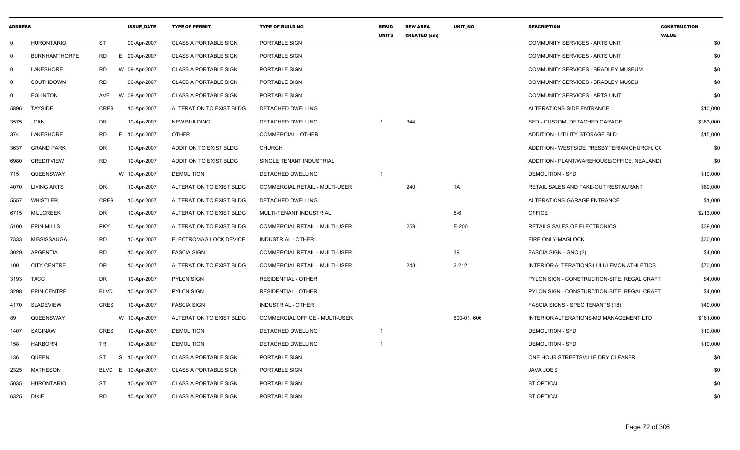| <b>ADDRESS</b> |                      |             | <b>ISSUE DATE</b> | <b>TYPE OF PERMIT</b>        | <b>TYPE OF BUILDING</b>               | <b>RESID</b><br><b>UNITS</b> | <b>NEW AREA</b><br><b>CREATED (sm)</b> | UNIT NO     | <b>DESCRIPTION</b>                          | <b>CONSTRUCTION</b><br><b>VALUE</b> |
|----------------|----------------------|-------------|-------------------|------------------------------|---------------------------------------|------------------------------|----------------------------------------|-------------|---------------------------------------------|-------------------------------------|
| $\mathbf 0$    | <b>HURONTARIO</b>    | <b>ST</b>   | 09-Apr-2007       | <b>CLASS A PORTABLE SIGN</b> | PORTABLE SIGN                         |                              |                                        |             | <b>COMMUNITY SERVICES - ARTS UNIT</b>       | \$0                                 |
| $\mathbf 0$    | <b>BURNHAMTHORPE</b> | <b>RD</b>   | E 09-Apr-2007     | <b>CLASS A PORTABLE SIGN</b> | PORTABLE SIGN                         |                              |                                        |             | COMMUNITY SERVICES - ARTS UNIT              | \$0                                 |
| $\mathbf 0$    | LAKESHORE            | RD          | W 09-Apr-2007     | <b>CLASS A PORTABLE SIGN</b> | PORTABLE SIGN                         |                              |                                        |             | COMMUNITY SERVICES - BRADLEY MUSEUM         | \$0                                 |
| $\mathbf 0$    | SOUTHDOWN            | <b>RD</b>   | 09-Apr-2007       | <b>CLASS A PORTABLE SIGN</b> | PORTABLE SIGN                         |                              |                                        |             | COMMUNITY SERVICES - BRADLEY MUSEU          | \$0                                 |
| 0              | <b>EGLINTON</b>      | AVE         | W 09-Apr-2007     | <b>CLASS A PORTABLE SIGN</b> | PORTABLE SIGN                         |                              |                                        |             | COMMUNITY SERVICES - ARTS UNIT              | \$0                                 |
| 5896           | <b>TAYSIDE</b>       | <b>CRES</b> | 10-Apr-2007       | ALTERATION TO EXIST BLDG     | <b>DETACHED DWELLING</b>              |                              |                                        |             | ALTERATIONS-SIDE ENTRANCE                   | \$10,000                            |
| 3575           | <b>JOAN</b>          | DR          | 10-Apr-2007       | NEW BUILDING                 | DETACHED DWELLING                     |                              | 344                                    |             | SFD - CUSTOM, DETACHED GARAGE               | \$383,000                           |
| 374            | LAKESHORE            | RD.         | E 10-Apr-2007     | <b>OTHER</b>                 | <b>COMMERCIAL - OTHER</b>             |                              |                                        |             | ADDITION - UTILITY STORAGE BLD              | \$15,000                            |
| 3637           | <b>GRAND PARK</b>    | DR          | 10-Apr-2007       | ADDITION TO EXIST BLDG       | <b>CHURCH</b>                         |                              |                                        |             | ADDITION - WESTSIDE PRESBYTERIAN CHURCH, CO | \$0                                 |
| 6980           | <b>CREDITVIEW</b>    | <b>RD</b>   | 10-Apr-2007       | ADDITION TO EXIST BLDG       | SINGLE TENANT INDUSTRIAL              |                              |                                        |             | ADDITION - PLANT/WAREHOUSE/OFFICE, NEALANDI | \$0                                 |
| 715            | QUEENSWAY            |             | W 10-Apr-2007     | <b>DEMOLITION</b>            | DETACHED DWELLING                     | $\overline{1}$               |                                        |             | <b>DEMOLITION - SFD</b>                     | \$10,000                            |
| 4070           | LIVING ARTS          | DR          | 10-Apr-2007       | ALTERATION TO EXIST BLDG     | COMMERCIAL RETAIL - MULTI-USER        |                              | 240                                    | 1A          | RETAIL SALES AND TAKE-OUT RESTAURANT        | \$69,000                            |
| 5557           | WHISTLER             | CRES        | 10-Apr-2007       | ALTERATION TO EXIST BLDG     | DETACHED DWELLING                     |                              |                                        |             | ALTERATIONS-GARAGE ENTRANCE                 | \$1,000                             |
| 6715           | <b>MILLCREEK</b>     | DR.         | 10-Apr-2007       | ALTERATION TO EXIST BLDG     | MULTI-TENANT INDUSTRIAL               |                              |                                        | $5-6$       | <b>OFFICE</b>                               | \$213,000                           |
| 5100           | <b>ERIN MILLS</b>    | <b>PKY</b>  | 10-Apr-2007       | ALTERATION TO EXIST BLDG     | <b>COMMERCIAL RETAIL - MULTI-USER</b> |                              | 259                                    | $E-200$     | <b>RETAILS SALES OF ELECTRONICS</b>         | \$39,000                            |
| 7333           | MISSISSAUGA          | RD          | 10-Apr-2007       | ELECTROMAG LOCK DEVICE       | <b>INDUSTRIAL - OTHER</b>             |                              |                                        |             | FIRE ONLY-MAGLOCK                           | \$30,000                            |
| 3029           | ARGENTIA             | <b>RD</b>   | 10-Apr-2007       | <b>FASCIA SIGN</b>           | COMMERCIAL RETAIL - MULTI-USER        |                              |                                        | 39          | FASCIA SIGN - GNC (2)                       | \$4,000                             |
| 100            | <b>CITY CENTRE</b>   | <b>DR</b>   | 10-Apr-2007       | ALTERATION TO EXIST BLDG     | COMMERCIAL RETAIL - MULTI-USER        |                              | 243                                    | $2 - 212$   | INTERIOR ALTERATIONS-LULULEMON ATHLETICS    | \$70,000                            |
| 3193           | <b>TACC</b>          | <b>DR</b>   | 10-Apr-2007       | <b>PYLON SIGN</b>            | <b>RESIDENTIAL - OTHER</b>            |                              |                                        |             | PYLON SIGN - CONSTRUCTION-SITE, REGAL CRAFT | \$4,000                             |
| 3298           | <b>ERIN CENTRE</b>   | <b>BLVD</b> | 10-Apr-2007       | <b>PYLON SIGN</b>            | <b>RESIDENTIAL - OTHER</b>            |                              |                                        |             | PYLON SIGN - CONSTURCTION-SITE, REGAL CRAFT | \$4,000                             |
| 4170           | SLADEVIEW            | <b>CRES</b> | 10-Apr-2007       | <b>FASCIA SIGN</b>           | INDUSTRIAL - OTHER                    |                              |                                        |             | FASCIA SIGNS - SPEC TENANTS (18)            | \$40,000                            |
| 89             | QUEENSWAY            |             | W 10-Apr-2007     | ALTERATION TO EXIST BLDG     | COMMERCIAL OFFICE - MULTI-USER        |                              |                                        | 600-01, 606 | INTERIOR ALTERATIONS-MD MANAGEMENT LTD      | \$161,000                           |
| 1407           | SAGINAW              | CRES        | 10-Apr-2007       | <b>DEMOLITION</b>            | DETACHED DWELLING                     | $\overline{1}$               |                                        |             | DEMOLITION - SFD                            | \$10,000                            |
| 158            | <b>HARBORN</b>       | <b>TR</b>   | 10-Apr-2007       | <b>DEMOLITION</b>            | DETACHED DWELLING                     | $\overline{1}$               |                                        |             | <b>DEMOLITION - SFD</b>                     | \$10,000                            |
| 136            | QUEEN                | ST          | S 10-Apr-2007     | <b>CLASS A PORTABLE SIGN</b> | PORTABLE SIGN                         |                              |                                        |             | ONE HOUR STREETSVILLE DRY CLEANER           | \$0                                 |
| 2325           | <b>MATHESON</b>      | BLVD        | E 10-Apr-2007     | <b>CLASS A PORTABLE SIGN</b> | PORTABLE SIGN                         |                              |                                        |             | JAVA JOE'S                                  | \$0                                 |
| 5035           | <b>HURONTARIO</b>    | <b>ST</b>   | 10-Apr-2007       | <b>CLASS A PORTABLE SIGN</b> | PORTABLE SIGN                         |                              |                                        |             | <b>BT OPTICAL</b>                           | \$0                                 |
| 6325           | <b>DIXIE</b>         | <b>RD</b>   | 10-Apr-2007       | <b>CLASS A PORTABLE SIGN</b> | PORTABLE SIGN                         |                              |                                        |             | <b>BT OPTICAL</b>                           | \$0                                 |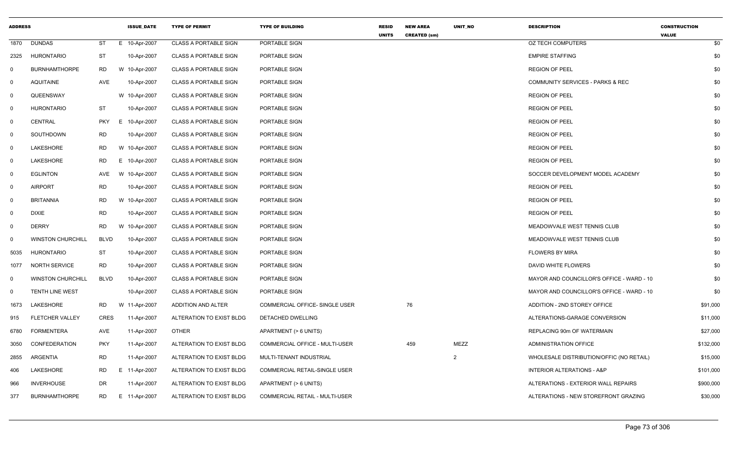| <b>ADDRESS</b> |                          |             | <b>ISSUE_DATE</b> | <b>TYPE OF PERMIT</b>        | <b>TYPE OF BUILDING</b>               | RESID<br><b>UNITS</b> | <b>NEW AREA</b><br><b>CREATED (sm)</b> | UNIT_NO | <b>DESCRIPTION</b>                          | <b>CONSTRUCTION</b><br><b>VALUE</b> |
|----------------|--------------------------|-------------|-------------------|------------------------------|---------------------------------------|-----------------------|----------------------------------------|---------|---------------------------------------------|-------------------------------------|
| 1870           | <b>DUNDAS</b>            | ST          | E 10-Apr-2007     | <b>CLASS A PORTABLE SIGN</b> | PORTABLE SIGN                         |                       |                                        |         | <b>OZ TECH COMPUTERS</b>                    | \$0                                 |
| 2325           | <b>HURONTARIO</b>        | <b>ST</b>   | 10-Apr-2007       | <b>CLASS A PORTABLE SIGN</b> | PORTABLE SIGN                         |                       |                                        |         | <b>EMPIRE STAFFING</b>                      | \$0                                 |
| 0              | <b>BURNHAMTHORPE</b>     | <b>RD</b>   | W 10-Apr-2007     | <b>CLASS A PORTABLE SIGN</b> | PORTABLE SIGN                         |                       |                                        |         | <b>REGION OF PEEL</b>                       | \$0                                 |
| $\mathbf 0$    | <b>AQUITAINE</b>         | AVE         | 10-Apr-2007       | <b>CLASS A PORTABLE SIGN</b> | PORTABLE SIGN                         |                       |                                        |         | <b>COMMUNITY SERVICES - PARKS &amp; REC</b> | \$0                                 |
| 0              | QUEENSWAY                |             | W 10-Apr-2007     | <b>CLASS A PORTABLE SIGN</b> | PORTABLE SIGN                         |                       |                                        |         | <b>REGION OF PEEL</b>                       | \$0                                 |
| $\mathbf 0$    | <b>HURONTARIO</b>        | <b>ST</b>   | 10-Apr-2007       | <b>CLASS A PORTABLE SIGN</b> | PORTABLE SIGN                         |                       |                                        |         | <b>REGION OF PEEL</b>                       | \$0                                 |
| $\mathbf 0$    | CENTRAL                  | <b>PKY</b>  | E 10-Apr-2007     | <b>CLASS A PORTABLE SIGN</b> | PORTABLE SIGN                         |                       |                                        |         | <b>REGION OF PEEL</b>                       | \$0                                 |
| 0              | SOUTHDOWN                | <b>RD</b>   | 10-Apr-2007       | <b>CLASS A PORTABLE SIGN</b> | PORTABLE SIGN                         |                       |                                        |         | <b>REGION OF PEEL</b>                       | \$0                                 |
| $\mathbf 0$    | <b>LAKESHORE</b>         | <b>RD</b>   | W 10-Apr-2007     | <b>CLASS A PORTABLE SIGN</b> | PORTABLE SIGN                         |                       |                                        |         | <b>REGION OF PEEL</b>                       | \$0                                 |
| $\mathbf 0$    | <b>LAKESHORE</b>         | <b>RD</b>   | E 10-Apr-2007     | <b>CLASS A PORTABLE SIGN</b> | PORTABLE SIGN                         |                       |                                        |         | <b>REGION OF PEEL</b>                       | \$0                                 |
| $\mathbf 0$    | <b>EGLINTON</b>          | AVE         | W 10-Apr-2007     | <b>CLASS A PORTABLE SIGN</b> | PORTABLE SIGN                         |                       |                                        |         | SOCCER DEVELOPMENT MODEL ACADEMY            | \$0                                 |
| 0              | <b>AIRPORT</b>           | <b>RD</b>   | 10-Apr-2007       | <b>CLASS A PORTABLE SIGN</b> | PORTABLE SIGN                         |                       |                                        |         | <b>REGION OF PEEL</b>                       | \$0                                 |
| 0              | <b>BRITANNIA</b>         | <b>RD</b>   | W 10-Apr-2007     | <b>CLASS A PORTABLE SIGN</b> | PORTABLE SIGN                         |                       |                                        |         | <b>REGION OF PEEL</b>                       | \$0                                 |
| $\overline{0}$ | <b>DIXIE</b>             | <b>RD</b>   | 10-Apr-2007       | CLASS A PORTABLE SIGN        | PORTABLE SIGN                         |                       |                                        |         | <b>REGION OF PEEL</b>                       | \$0                                 |
| $\mathbf 0$    | <b>DERRY</b>             | <b>RD</b>   | W 10-Apr-2007     | <b>CLASS A PORTABLE SIGN</b> | PORTABLE SIGN                         |                       |                                        |         | MEADOWVALE WEST TENNIS CLUB                 | \$0                                 |
| $\mathbf{0}$   | <b>WINSTON CHURCHILL</b> | <b>BLVD</b> | 10-Apr-2007       | <b>CLASS A PORTABLE SIGN</b> | PORTABLE SIGN                         |                       |                                        |         | MEADOWVALE WEST TENNIS CLUB                 | \$0                                 |
| 5035           | <b>HURONTARIO</b>        | <b>ST</b>   | 10-Apr-2007       | <b>CLASS A PORTABLE SIGN</b> | PORTABLE SIGN                         |                       |                                        |         | <b>FLOWERS BY MIRA</b>                      | \$0                                 |
| 1077           | NORTH SERVICE            | <b>RD</b>   | 10-Apr-2007       | <b>CLASS A PORTABLE SIGN</b> | PORTABLE SIGN                         |                       |                                        |         | DAVID WHITE FLOWERS                         | \$0                                 |
| $\mathbf 0$    | <b>WINSTON CHURCHILL</b> | <b>BLVD</b> | 10-Apr-2007       | <b>CLASS A PORTABLE SIGN</b> | PORTABLE SIGN                         |                       |                                        |         | MAYOR AND COUNCILLOR'S OFFICE - WARD - 10   | \$0                                 |
| $\mathbf 0$    | TENTH LINE WEST          |             | 10-Apr-2007       | <b>CLASS A PORTABLE SIGN</b> | PORTABLE SIGN                         |                       |                                        |         | MAYOR AND COUNCILLOR'S OFFICE - WARD - 10   | \$0                                 |
| 1673           | LAKESHORE                | <b>RD</b>   | W 11-Apr-2007     | ADDITION AND ALTER           | COMMERCIAL OFFICE- SINGLE USER        |                       | 76                                     |         | ADDITION - 2ND STOREY OFFICE                | \$91,000                            |
| 915            | <b>FLETCHER VALLEY</b>   | <b>CRES</b> | 11-Apr-2007       | ALTERATION TO EXIST BLDG     | DETACHED DWELLING                     |                       |                                        |         | ALTERATIONS-GARAGE CONVERSION               | \$11,000                            |
| 6780           | <b>FORMENTERA</b>        | AVE         | 11-Apr-2007       | <b>OTHER</b>                 | APARTMENT (> 6 UNITS)                 |                       |                                        |         | REPLACING 90m OF WATERMAIN                  | \$27,000                            |
| 3050           | <b>CONFEDERATION</b>     | <b>PKY</b>  | 11-Apr-2007       | ALTERATION TO EXIST BLDG     | COMMERCIAL OFFICE - MULTI-USER        |                       | 459                                    | MEZZ    | <b>ADMINISTRATION OFFICE</b>                | \$132,000                           |
| 2855           | <b>ARGENTIA</b>          | <b>RD</b>   | 11-Apr-2007       | ALTERATION TO EXIST BLDG     | MULTI-TENANT INDUSTRIAL               |                       |                                        | 2       | WHOLESALE DISTRIBUTION/OFFIC (NO RETAIL)    | \$15,000                            |
| 406            | LAKESHORE                | <b>RD</b>   | E 11-Apr-2007     | ALTERATION TO EXIST BLDG     | COMMERCIAL RETAIL-SINGLE USER         |                       |                                        |         | <b>INTERIOR ALTERATIONS - A&amp;P</b>       | \$101,000                           |
| 966            | <b>INVERHOUSE</b>        | <b>DR</b>   | 11-Apr-2007       | ALTERATION TO EXIST BLDG     | APARTMENT (> 6 UNITS)                 |                       |                                        |         | ALTERATIONS - EXTERIOR WALL REPAIRS         | \$900,000                           |
| 377            | <b>BURNHAMTHORPE</b>     | RD          | E 11-Apr-2007     | ALTERATION TO EXIST BLDG     | <b>COMMERCIAL RETAIL - MULTI-USER</b> |                       |                                        |         | ALTERATIONS - NEW STOREFRONT GRAZING        | \$30,000                            |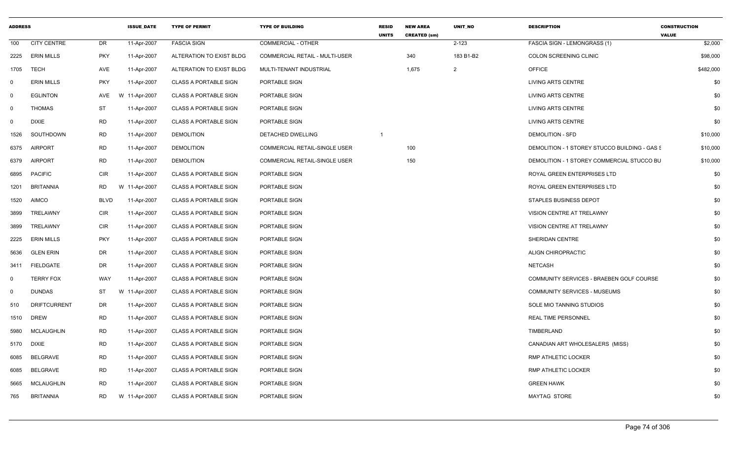| <b>ADDRESS</b> |                     |             | <b>ISSUE DATE</b> | <b>TYPE OF PERMIT</b>        | <b>TYPE OF BUILDING</b>              | <b>RESID</b><br><b>UNITS</b> | <b>NEW AREA</b><br><b>CREATED (sm)</b> | <b>UNIT NO</b> | <b>DESCRIPTION</b>                            | <b>CONSTRUCTION</b><br><b>VALUE</b> |
|----------------|---------------------|-------------|-------------------|------------------------------|--------------------------------------|------------------------------|----------------------------------------|----------------|-----------------------------------------------|-------------------------------------|
| 100            | <b>CITY CENTRE</b>  | DR          | 11-Apr-2007       | <b>FASCIA SIGN</b>           | <b>COMMERCIAL - OTHER</b>            |                              |                                        | $2 - 123$      | <b>FASCIA SIGN - LEMONGRASS (1)</b>           | \$2,000                             |
| 2225           | <b>ERIN MILLS</b>   | <b>PKY</b>  | 11-Apr-2007       | ALTERATION TO EXIST BLDG     | COMMERCIAL RETAIL - MULTI-USER       |                              | 340                                    | 183 B1-B2      | COLON SCREENING CLINIC                        | \$98,000                            |
| 1705           | TECH                | AVE         | 11-Apr-2007       | ALTERATION TO EXIST BLDG     | MULTI-TENANT INDUSTRIAL              |                              | 1,675                                  | $\overline{2}$ | <b>OFFICE</b>                                 | \$482,000                           |
| $\mathbf{0}$   | <b>ERIN MILLS</b>   | <b>PKY</b>  | 11-Apr-2007       | <b>CLASS A PORTABLE SIGN</b> | PORTABLE SIGN                        |                              |                                        |                | LIVING ARTS CENTRE                            | \$0                                 |
| $\mathbf 0$    | <b>EGLINTON</b>     | AVE         | W 11-Apr-2007     | <b>CLASS A PORTABLE SIGN</b> | PORTABLE SIGN                        |                              |                                        |                | <b>LIVING ARTS CENTRE</b>                     | \$0                                 |
| $\mathbf 0$    | THOMAS              | ST          | 11-Apr-2007       | <b>CLASS A PORTABLE SIGN</b> | PORTABLE SIGN                        |                              |                                        |                | LIVING ARTS CENTRE                            | \$0                                 |
| $\mathbf 0$    | <b>DIXIE</b>        | <b>RD</b>   | 11-Apr-2007       | <b>CLASS A PORTABLE SIGN</b> | PORTABLE SIGN                        |                              |                                        |                | LIVING ARTS CENTRE                            | \$0                                 |
| 1526           | SOUTHDOWN           | <b>RD</b>   | 11-Apr-2007       | <b>DEMOLITION</b>            | DETACHED DWELLING                    | $\overline{1}$               |                                        |                | <b>DEMOLITION - SFD</b>                       | \$10,000                            |
| 6375           | <b>AIRPORT</b>      | <b>RD</b>   | 11-Apr-2007       | <b>DEMOLITION</b>            | COMMERCIAL RETAIL-SINGLE USER        |                              | 100                                    |                | DEMOLITION - 1 STOREY STUCCO BUILDING - GAS S | \$10,000                            |
| 6379           | <b>AIRPORT</b>      | <b>RD</b>   | 11-Apr-2007       | <b>DEMOLITION</b>            | <b>COMMERCIAL RETAIL-SINGLE USER</b> |                              | 150                                    |                | DEMOLITION - 1 STOREY COMMERCIAL STUCCO BU    | \$10,000                            |
| 6895           | <b>PACIFIC</b>      | CIR         | 11-Apr-2007       | <b>CLASS A PORTABLE SIGN</b> | PORTABLE SIGN                        |                              |                                        |                | ROYAL GREEN ENTERPRISES LTD                   | \$0                                 |
| 1201           | <b>BRITANNIA</b>    | <b>RD</b>   | W 11-Apr-2007     | <b>CLASS A PORTABLE SIGN</b> | PORTABLE SIGN                        |                              |                                        |                | ROYAL GREEN ENTERPRISES LTD                   | \$0                                 |
| 1520           | <b>AIMCO</b>        | <b>BLVD</b> | 11-Apr-2007       | <b>CLASS A PORTABLE SIGN</b> | PORTABLE SIGN                        |                              |                                        |                | <b>STAPLES BUSINESS DEPOT</b>                 | \$0                                 |
| 3899           | TRELAWNY            | <b>CIR</b>  | 11-Apr-2007       | <b>CLASS A PORTABLE SIGN</b> | PORTABLE SIGN                        |                              |                                        |                | VISION CENTRE AT TRELAWNY                     | \$0                                 |
| 3899           | TRELAWNY            | CIR         | 11-Apr-2007       | <b>CLASS A PORTABLE SIGN</b> | PORTABLE SIGN                        |                              |                                        |                | VISION CENTRE AT TRELAWNY                     | \$0                                 |
| 2225           | <b>ERIN MILLS</b>   | <b>PKY</b>  | 11-Apr-2007       | <b>CLASS A PORTABLE SIGN</b> | PORTABLE SIGN                        |                              |                                        |                | SHERIDAN CENTRE                               | \$0                                 |
| 5636           | <b>GLEN ERIN</b>    | DR          | 11-Apr-2007       | <b>CLASS A PORTABLE SIGN</b> | PORTABLE SIGN                        |                              |                                        |                | ALIGN CHIROPRACTIC                            | \$0                                 |
| 3411           | <b>FIELDGATE</b>    | DR          | 11-Apr-2007       | <b>CLASS A PORTABLE SIGN</b> | PORTABLE SIGN                        |                              |                                        |                | <b>NETCASH</b>                                | \$0                                 |
| $\mathbf 0$    | <b>TERRY FOX</b>    | WAY         | 11-Apr-2007       | <b>CLASS A PORTABLE SIGN</b> | PORTABLE SIGN                        |                              |                                        |                | COMMUNITY SERVICES - BRAEBEN GOLF COURSE      | \$0                                 |
| $\mathbf 0$    | <b>DUNDAS</b>       | ST          | W 11-Apr-2007     | <b>CLASS A PORTABLE SIGN</b> | PORTABLE SIGN                        |                              |                                        |                | <b>COMMUNITY SERVICES - MUSEUMS</b>           | \$0                                 |
| 510            | <b>DRIFTCURRENT</b> | <b>DR</b>   | 11-Apr-2007       | <b>CLASS A PORTABLE SIGN</b> | PORTABLE SIGN                        |                              |                                        |                | SOLE MIO TANNING STUDIOS                      | \$0                                 |
| 1510           | <b>DREW</b>         | RD          | 11-Apr-2007       | <b>CLASS A PORTABLE SIGN</b> | PORTABLE SIGN                        |                              |                                        |                | <b>REAL TIME PERSONNEL</b>                    | \$0                                 |
| 5980           | <b>MCLAUGHLIN</b>   | <b>RD</b>   | 11-Apr-2007       | <b>CLASS A PORTABLE SIGN</b> | PORTABLE SIGN                        |                              |                                        |                | TIMBERLAND                                    | \$0                                 |
| 5170           | <b>DIXIE</b>        | <b>RD</b>   | 11-Apr-2007       | <b>CLASS A PORTABLE SIGN</b> | PORTABLE SIGN                        |                              |                                        |                | CANADIAN ART WHOLESALERS (MISS)               | \$0                                 |
| 6085           | <b>BELGRAVE</b>     | <b>RD</b>   | 11-Apr-2007       | <b>CLASS A PORTABLE SIGN</b> | PORTABLE SIGN                        |                              |                                        |                | RMP ATHLETIC LOCKER                           | \$0                                 |
| 6085           | <b>BELGRAVE</b>     | <b>RD</b>   | 11-Apr-2007       | <b>CLASS A PORTABLE SIGN</b> | PORTABLE SIGN                        |                              |                                        |                | RMP ATHLETIC LOCKER                           | \$0                                 |
| 5665           | <b>MCLAUGHLIN</b>   | <b>RD</b>   | 11-Apr-2007       | <b>CLASS A PORTABLE SIGN</b> | PORTABLE SIGN                        |                              |                                        |                | <b>GREEN HAWK</b>                             | \$0                                 |
| 765            | <b>BRITANNIA</b>    | <b>RD</b>   | W 11-Apr-2007     | <b>CLASS A PORTABLE SIGN</b> | PORTABLE SIGN                        |                              |                                        |                | <b>MAYTAG STORE</b>                           | \$0                                 |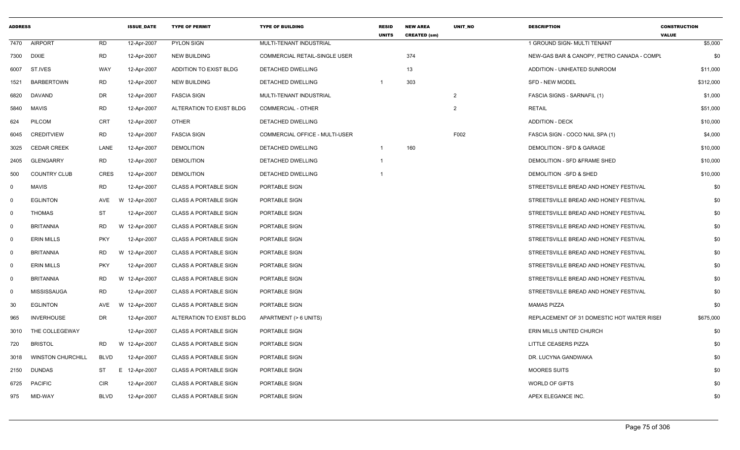| <b>ADDRESS</b> |                          |             | <b>ISSUE DATE</b> | <b>TYPE OF PERMIT</b>        | <b>TYPE OF BUILDING</b>               | <b>RESID</b><br><b>UNITS</b> | <b>NEW AREA</b><br><b>CREATED (sm)</b> | <b>UNIT NO</b> | <b>DESCRIPTION</b>                         | <b>CONSTRUCTION</b><br><b>VALUE</b> |
|----------------|--------------------------|-------------|-------------------|------------------------------|---------------------------------------|------------------------------|----------------------------------------|----------------|--------------------------------------------|-------------------------------------|
| 7470           | <b>AIRPORT</b>           | <b>RD</b>   | 12-Apr-2007       | PYLON SIGN                   | MULTI-TENANT INDUSTRIAL               |                              |                                        |                | 1 GROUND SIGN- MULTI TENANT                | \$5,000                             |
| 7300           | <b>DIXIE</b>             | <b>RD</b>   | 12-Apr-2007       | <b>NEW BUILDING</b>          | COMMERCIAL RETAIL-SINGLE USER         |                              | 374                                    |                | NEW-GAS BAR & CANOPY, PETRO CANADA - COMPL | \$0                                 |
| 6007           | ST.IVES                  | WAY         | 12-Apr-2007       | ADDITION TO EXIST BLDG       | DETACHED DWELLING                     |                              | 13                                     |                | ADDITION - UNHEATED SUNROOM                | \$11,000                            |
| 1521           | <b>BARBERTOWN</b>        | <b>RD</b>   | 12-Apr-2007       | <b>NEW BUILDING</b>          | DETACHED DWELLING                     | $\overline{1}$               | 303                                    |                | <b>SFD - NEW MODEL</b>                     | \$312,000                           |
| 6820           | DAVAND                   | DR          | 12-Apr-2007       | <b>FASCIA SIGN</b>           | MULTI-TENANT INDUSTRIAL               |                              |                                        | $\overline{2}$ | <b>FASCIA SIGNS - SARNAFIL (1)</b>         | \$1,000                             |
| 5840           | <b>MAVIS</b>             | <b>RD</b>   | 12-Apr-2007       | ALTERATION TO EXIST BLDG     | <b>COMMERCIAL - OTHER</b>             |                              |                                        | 2              | <b>RETAIL</b>                              | \$51,000                            |
| 624            | <b>PILCOM</b>            | <b>CRT</b>  | 12-Apr-2007       | <b>OTHER</b>                 | DETACHED DWELLING                     |                              |                                        |                | <b>ADDITION - DECK</b>                     | \$10,000                            |
| 6045           | <b>CREDITVIEW</b>        | RD          | 12-Apr-2007       | <b>FASCIA SIGN</b>           | <b>COMMERCIAL OFFICE - MULTI-USER</b> |                              |                                        | F002           | FASCIA SIGN - COCO NAIL SPA (1)            | \$4,000                             |
| 3025           | <b>CEDAR CREEK</b>       | LANE        | 12-Apr-2007       | <b>DEMOLITION</b>            | DETACHED DWELLING                     | $\overline{1}$               | 160                                    |                | DEMOLITION - SFD & GARAGE                  | \$10,000                            |
| 2405           | <b>GLENGARRY</b>         | <b>RD</b>   | 12-Apr-2007       | <b>DEMOLITION</b>            | DETACHED DWELLING                     | $\mathbf 1$                  |                                        |                | DEMOLITION - SFD & FRAME SHED              | \$10,000                            |
| 500            | <b>COUNTRY CLUB</b>      | <b>CRES</b> | 12-Apr-2007       | <b>DEMOLITION</b>            | DETACHED DWELLING                     | -1                           |                                        |                | DEMOLITION -SFD & SHED                     | \$10,000                            |
| $\mathbf 0$    | <b>MAVIS</b>             | <b>RD</b>   | 12-Apr-2007       | <b>CLASS A PORTABLE SIGN</b> | PORTABLE SIGN                         |                              |                                        |                | STREETSVILLE BREAD AND HONEY FESTIVAL      | \$0                                 |
| $\mathbf 0$    | <b>EGLINTON</b>          | AVE         | W 12-Apr-2007     | <b>CLASS A PORTABLE SIGN</b> | PORTABLE SIGN                         |                              |                                        |                | STREETSVILLE BREAD AND HONEY FESTIVAL      | \$0                                 |
| $\mathbf 0$    | <b>THOMAS</b>            | <b>ST</b>   | 12-Apr-2007       | <b>CLASS A PORTABLE SIGN</b> | PORTABLE SIGN                         |                              |                                        |                | STREETSVILLE BREAD AND HONEY FESTIVAL      | \$0                                 |
| $\mathbf 0$    | <b>BRITANNIA</b>         | <b>RD</b>   | W 12-Apr-2007     | <b>CLASS A PORTABLE SIGN</b> | PORTABLE SIGN                         |                              |                                        |                | STREETSVILLE BREAD AND HONEY FESTIVAL      | \$0                                 |
| $\mathbf 0$    | <b>ERIN MILLS</b>        | <b>PKY</b>  | 12-Apr-2007       | <b>CLASS A PORTABLE SIGN</b> | PORTABLE SIGN                         |                              |                                        |                | STREETSVILLE BREAD AND HONEY FESTIVAL      | \$0                                 |
| $\mathbf 0$    | <b>BRITANNIA</b>         | RD.         | W 12-Apr-2007     | <b>CLASS A PORTABLE SIGN</b> | PORTABLE SIGN                         |                              |                                        |                | STREETSVILLE BREAD AND HONEY FESTIVAL      | \$0                                 |
| $\mathbf 0$    | <b>ERIN MILLS</b>        | PKY         | 12-Apr-2007       | <b>CLASS A PORTABLE SIGN</b> | PORTABLE SIGN                         |                              |                                        |                | STREETSVILLE BREAD AND HONEY FESTIVAL      | \$0                                 |
| $\mathbf 0$    | <b>BRITANNIA</b>         | <b>RD</b>   | W 12-Apr-2007     | <b>CLASS A PORTABLE SIGN</b> | PORTABLE SIGN                         |                              |                                        |                | STREETSVILLE BREAD AND HONEY FESTIVAL      | \$0                                 |
| $\mathbf 0$    | <b>MISSISSAUGA</b>       | <b>RD</b>   | 12-Apr-2007       | <b>CLASS A PORTABLE SIGN</b> | PORTABLE SIGN                         |                              |                                        |                | STREETSVILLE BREAD AND HONEY FESTIVAL      | \$0                                 |
| 30             | <b>EGLINTON</b>          | AVE         | W 12-Apr-2007     | <b>CLASS A PORTABLE SIGN</b> | PORTABLE SIGN                         |                              |                                        |                | MAMAS PIZZA                                | \$0                                 |
| 965            | <b>INVERHOUSE</b>        | <b>DR</b>   | 12-Apr-2007       | ALTERATION TO EXIST BLDG     | APARTMENT (> 6 UNITS)                 |                              |                                        |                | REPLACEMENT OF 31 DOMESTIC HOT WATER RISEI | \$675,000                           |
| 3010           | THE COLLEGEWAY           |             | 12-Apr-2007       | <b>CLASS A PORTABLE SIGN</b> | PORTABLE SIGN                         |                              |                                        |                | ERIN MILLS UNITED CHURCH                   | \$0                                 |
| 720            | <b>BRISTOL</b>           | RD          | W 12-Apr-2007     | <b>CLASS A PORTABLE SIGN</b> | PORTABLE SIGN                         |                              |                                        |                | <b>LITTLE CEASERS PIZZA</b>                | \$0                                 |
| 3018           | <b>WINSTON CHURCHILL</b> | <b>BLVD</b> | 12-Apr-2007       | <b>CLASS A PORTABLE SIGN</b> | PORTABLE SIGN                         |                              |                                        |                | DR. LUCYNA GANDWAKA                        | \$0                                 |
| 2150           | <b>DUNDAS</b>            | ST          | E 12-Apr-2007     | <b>CLASS A PORTABLE SIGN</b> | PORTABLE SIGN                         |                              |                                        |                | <b>MOORES SUITS</b>                        | \$0                                 |
| 6725           | <b>PACIFIC</b>           | <b>CIR</b>  | 12-Apr-2007       | <b>CLASS A PORTABLE SIGN</b> | PORTABLE SIGN                         |                              |                                        |                | WORLD OF GIFTS                             | \$0                                 |
| 975            | MID-WAY                  | <b>BLVD</b> | 12-Apr-2007       | <b>CLASS A PORTABLE SIGN</b> | PORTABLE SIGN                         |                              |                                        |                | APEX ELEGANCE INC.                         | \$0                                 |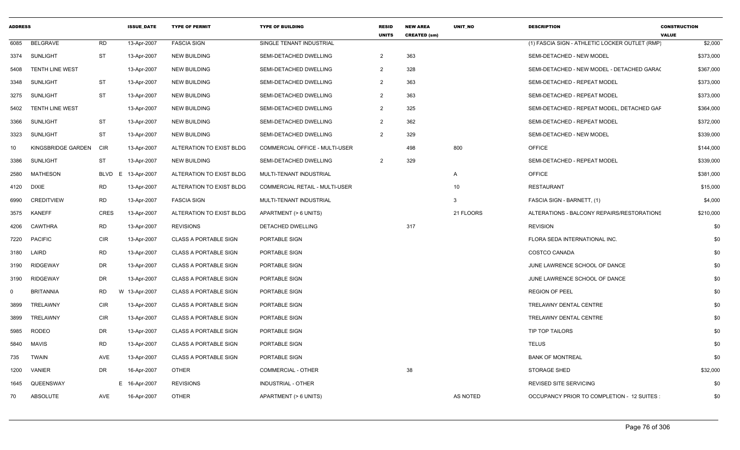| <b>ADDRESS</b> |                        |                  | <b>ISSUE DATE</b> | <b>TYPE OF PERMIT</b>        | <b>TYPE OF BUILDING</b>               | <b>RESID</b><br><b>UNITS</b> | <b>NEW AREA</b><br><b>CREATED (sm)</b> | <b>UNIT NO</b>  | <b>DESCRIPTION</b>                             | <b>CONSTRUCTION</b><br><b>VALUE</b> |
|----------------|------------------------|------------------|-------------------|------------------------------|---------------------------------------|------------------------------|----------------------------------------|-----------------|------------------------------------------------|-------------------------------------|
| 6085           | <b>BELGRAVE</b>        | <b>RD</b>        | 13-Apr-2007       | <b>FASCIA SIGN</b>           | SINGLE TENANT INDUSTRIAL              |                              |                                        |                 | (1) FASCIA SIGN - ATHLETIC LOCKER OUTLET (RMP) | \$2,000                             |
| 3374           | SUNLIGHT               | ST               | 13-Apr-2007       | <b>NEW BUILDING</b>          | SEMI-DETACHED DWELLING                | $\overline{2}$               | 363                                    |                 | SEMI-DETACHED - NEW MODEL                      | \$373,000                           |
| 5408           | <b>TENTH LINE WEST</b> |                  | 13-Apr-2007       | <b>NEW BUILDING</b>          | SEMI-DETACHED DWELLING                | $\overline{2}$               | 328                                    |                 | SEMI-DETACHED - NEW MODEL - DETACHED GARA(     | \$367,000                           |
| 3348           | <b>SUNLIGHT</b>        | <b>ST</b>        | 13-Apr-2007       | <b>NEW BUILDING</b>          | SEMI-DETACHED DWELLING                | $\overline{2}$               | 363                                    |                 | SEMI-DETACHED - REPEAT MODEL                   | \$373,000                           |
| 3275           | SUNLIGHT               | <b>ST</b>        | 13-Apr-2007       | <b>NEW BUILDING</b>          | SEMI-DETACHED DWELLING                | $\overline{2}$               | 363                                    |                 | SEMI-DETACHED - REPEAT MODEL                   | \$373,000                           |
| 5402           | <b>TENTH LINE WEST</b> |                  | 13-Apr-2007       | <b>NEW BUILDING</b>          | SEMI-DETACHED DWELLING                | 2                            | 325                                    |                 | SEMI-DETACHED - REPEAT MODEL. DETACHED GAF     | \$364,000                           |
| 3366           | <b>SUNLIGHT</b>        | ST               | 13-Apr-2007       | <b>NEW BUILDING</b>          | SEMI-DETACHED DWELLING                | $\overline{2}$               | 362                                    |                 | SEMI-DETACHED - REPEAT MODEL                   | \$372,000                           |
| 3323           | <b>SUNLIGHT</b>        | ST               | 13-Apr-2007       | <b>NEW BUILDING</b>          | SEMI-DETACHED DWELLING                | $\overline{2}$               | 329                                    |                 | SEMI-DETACHED - NEW MODEL                      | \$339,000                           |
| 10             | KINGSBRIDGE GARDEN     | <b>CIR</b>       | 13-Apr-2007       | ALTERATION TO EXIST BLDG     | <b>COMMERCIAL OFFICE - MULTI-USER</b> |                              | 498                                    | 800             | <b>OFFICE</b>                                  | \$144,000                           |
| 3386           | <b>SUNLIGHT</b>        | <b>ST</b>        | 13-Apr-2007       | <b>NEW BUILDING</b>          | SEMI-DETACHED DWELLING                | 2                            | 329                                    |                 | SEMI-DETACHED - REPEAT MODEL                   | \$339,000                           |
| 2580           | MATHESON               | <b>BLVD</b><br>E | 13-Apr-2007       | ALTERATION TO EXIST BLDG     | MULTI-TENANT INDUSTRIAL               |                              |                                        | A               | <b>OFFICE</b>                                  | \$381,000                           |
| 4120           | <b>DIXIE</b>           | <b>RD</b>        | 13-Apr-2007       | ALTERATION TO EXIST BLDG     | <b>COMMERCIAL RETAIL - MULTI-USER</b> |                              |                                        | 10 <sup>1</sup> | <b>RESTAURANT</b>                              | \$15,000                            |
| 6990           | <b>CREDITVIEW</b>      | <b>RD</b>        | 13-Apr-2007       | <b>FASCIA SIGN</b>           | MULTI-TENANT INDUSTRIAL               |                              |                                        | 3               | FASCIA SIGN - BARNETT, (1)                     | \$4,000                             |
| 3575           | <b>KANEFF</b>          | <b>CRES</b>      | 13-Apr-2007       | ALTERATION TO EXIST BLDG     | APARTMENT (> 6 UNITS)                 |                              |                                        | 21 FLOORS       | ALTERATIONS - BALCONY REPAIRS/RESTORATIONS     | \$210,000                           |
| 4206           | CAWTHRA                | <b>RD</b>        | 13-Apr-2007       | <b>REVISIONS</b>             | DETACHED DWELLING                     |                              | 317                                    |                 | <b>REVISION</b>                                | \$0                                 |
| 7220           | <b>PACIFIC</b>         | <b>CIR</b>       | 13-Apr-2007       | <b>CLASS A PORTABLE SIGN</b> | PORTABLE SIGN                         |                              |                                        |                 | FLORA SEDA INTERNATIONAL INC.                  | \$0                                 |
| 3180           | LAIRD                  | <b>RD</b>        | 13-Apr-2007       | <b>CLASS A PORTABLE SIGN</b> | PORTABLE SIGN                         |                              |                                        |                 | COSTCO CANADA                                  | \$0                                 |
| 3190           | <b>RIDGEWAY</b>        | <b>DR</b>        | 13-Apr-2007       | <b>CLASS A PORTABLE SIGN</b> | PORTABLE SIGN                         |                              |                                        |                 | JUNE LAWRENCE SCHOOL OF DANCE                  | \$0                                 |
| 3190           | <b>RIDGEWAY</b>        | DR               | 13-Apr-2007       | <b>CLASS A PORTABLE SIGN</b> | PORTABLE SIGN                         |                              |                                        |                 | JUNE LAWRENCE SCHOOL OF DANCE                  | \$0                                 |
| $\mathbf{0}$   | <b>BRITANNIA</b>       | <b>RD</b>        | W 13-Apr-2007     | <b>CLASS A PORTABLE SIGN</b> | PORTABLE SIGN                         |                              |                                        |                 | <b>REGION OF PEEL</b>                          | \$0                                 |
| 3899           | TRELAWNY               | <b>CIR</b>       | 13-Apr-2007       | <b>CLASS A PORTABLE SIGN</b> | PORTABLE SIGN                         |                              |                                        |                 | TRELAWNY DENTAL CENTRE                         | \$0                                 |
| 3899           | TRELAWNY               | <b>CIR</b>       | 13-Apr-2007       | <b>CLASS A PORTABLE SIGN</b> | PORTABLE SIGN                         |                              |                                        |                 | TRELAWNY DENTAL CENTRE                         | \$0                                 |
| 5985           | <b>RODEO</b>           | DR               | 13-Apr-2007       | <b>CLASS A PORTABLE SIGN</b> | PORTABLE SIGN                         |                              |                                        |                 | TIP TOP TAILORS                                | \$0                                 |
| 5840           | <b>MAVIS</b>           | <b>RD</b>        | 13-Apr-2007       | <b>CLASS A PORTABLE SIGN</b> | PORTABLE SIGN                         |                              |                                        |                 | <b>TELUS</b>                                   | \$0                                 |
| 735            | <b>TWAIN</b>           | AVE              | 13-Apr-2007       | <b>CLASS A PORTABLE SIGN</b> | PORTABLE SIGN                         |                              |                                        |                 | <b>BANK OF MONTREAL</b>                        | \$0                                 |
| 1200           | VANIER                 | <b>DR</b>        | 16-Apr-2007       | <b>OTHER</b>                 | <b>COMMERCIAL - OTHER</b>             |                              | 38                                     |                 | <b>STORAGE SHED</b>                            | \$32,000                            |
| 1645           | QUEENSWAY              |                  | E 16-Apr-2007     | <b>REVISIONS</b>             | <b>INDUSTRIAL - OTHER</b>             |                              |                                        |                 | <b>REVISED SITE SERVICING</b>                  | \$0                                 |
| 70             | <b>ABSOLUTE</b>        | AVE              | 16-Apr-2007       | <b>OTHER</b>                 | APARTMENT (> 6 UNITS)                 |                              |                                        | AS NOTED        | OCCUPANCY PRIOR TO COMPLETION - 12 SUITES :    | \$0                                 |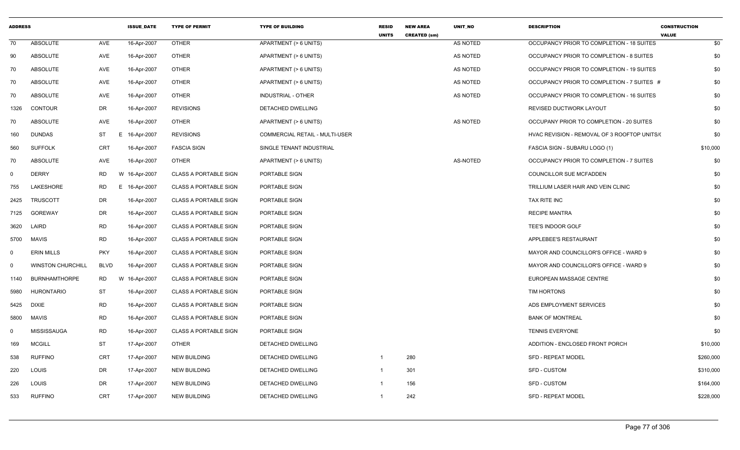| <b>ADDRESS</b> |                          |             | <b>ISSUE_DATE</b> | <b>TYPE OF PERMIT</b>        | <b>TYPE OF BUILDING</b>        | <b>RESID</b><br><b>UNITS</b> | <b>NEW AREA</b><br><b>CREATED (sm)</b> | UNIT_NO  | <b>DESCRIPTION</b>                           | <b>CONSTRUCTION</b><br><b>VALUE</b> |
|----------------|--------------------------|-------------|-------------------|------------------------------|--------------------------------|------------------------------|----------------------------------------|----------|----------------------------------------------|-------------------------------------|
| 70             | ABSOLUTE                 | AVE         | 16-Apr-2007       | <b>OTHER</b>                 | APARTMENT (> 6 UNITS)          |                              |                                        | AS NOTED | OCCUPANCY PRIOR TO COMPLETION - 18 SUITES    | \$0                                 |
| 90             | <b>ABSOLUTE</b>          | AVE         | 16-Apr-2007       | <b>OTHER</b>                 | APARTMENT (> 6 UNITS)          |                              |                                        | AS NOTED | OCCUPANCY PRIOR TO COMPLETION - 8 SUITES     | \$0                                 |
| 70             | <b>ABSOLUTE</b>          | AVE         | 16-Apr-2007       | <b>OTHER</b>                 | APARTMENT (> 6 UNITS)          |                              |                                        | AS NOTED | OCCUPANCY PRIOR TO COMPLETION - 19 SUITES    | \$0                                 |
| 70             | ABSOLUTE                 | AVE         | 16-Apr-2007       | <b>OTHER</b>                 | APARTMENT (> 6 UNITS)          |                              |                                        | AS NOTED | OCCUPANCY PRIOR TO COMPLETION - 7 SUITES #   | \$0                                 |
| 70             | <b>ABSOLUTE</b>          | AVE         | 16-Apr-2007       | <b>OTHER</b>                 | INDUSTRIAL - OTHER             |                              |                                        | AS NOTED | OCCUPANCY PRIOR TO COMPLETION - 16 SUITES    | \$0                                 |
| 1326           | <b>CONTOUR</b>           | DR          | 16-Apr-2007       | <b>REVISIONS</b>             | DETACHED DWELLING              |                              |                                        |          | REVISED DUCTWORK LAYOUT                      | \$0                                 |
| 70             | ABSOLUTE                 | AVE         | 16-Apr-2007       | <b>OTHER</b>                 | APARTMENT (> 6 UNITS)          |                              |                                        | AS NOTED | OCCUPANY PRIOR TO COMPLETION - 20 SUITES     | \$0                                 |
| 160            | <b>DUNDAS</b>            | ST<br>E.    | 16-Apr-2007       | <b>REVISIONS</b>             | COMMERCIAL RETAIL - MULTI-USER |                              |                                        |          | HVAC REVISION - REMOVAL OF 3 ROOFTOP UNITS/( | \$0                                 |
| 560            | <b>SUFFOLK</b>           | CRT         | 16-Apr-2007       | <b>FASCIA SIGN</b>           | SINGLE TENANT INDUSTRIAL       |                              |                                        |          | FASCIA SIGN - SUBARU LOGO (1)                | \$10,000                            |
| 70             | <b>ABSOLUTE</b>          | AVE         | 16-Apr-2007       | <b>OTHER</b>                 | APARTMENT (> 6 UNITS)          |                              |                                        | AS-NOTED | OCCUPANCY PRIOR TO COMPLETION - 7 SUITES     | \$0                                 |
| $\mathbf 0$    | <b>DERRY</b>             | <b>RD</b>   | W 16-Apr-2007     | <b>CLASS A PORTABLE SIGN</b> | PORTABLE SIGN                  |                              |                                        |          | <b>COUNCILLOR SUE MCFADDEN</b>               | \$0                                 |
| 755            | LAKESHORE                | RD          | E 16-Apr-2007     | <b>CLASS A PORTABLE SIGN</b> | PORTABLE SIGN                  |                              |                                        |          | TRILLIUM LASER HAIR AND VEIN CLINIC          | \$0                                 |
| 2425           | <b>TRUSCOTT</b>          | DR          | 16-Apr-2007       | <b>CLASS A PORTABLE SIGN</b> | PORTABLE SIGN                  |                              |                                        |          | TAX RITE INC                                 | \$0                                 |
| 7125           | <b>GOREWAY</b>           | DR          | 16-Apr-2007       | <b>CLASS A PORTABLE SIGN</b> | PORTABLE SIGN                  |                              |                                        |          | <b>RECIPE MANTRA</b>                         | \$0                                 |
| 3620           | LAIRD                    | <b>RD</b>   | 16-Apr-2007       | <b>CLASS A PORTABLE SIGN</b> | PORTABLE SIGN                  |                              |                                        |          | TEE'S INDOOR GOLF                            | \$0                                 |
| 5700           | MAVIS                    | <b>RD</b>   | 16-Apr-2007       | <b>CLASS A PORTABLE SIGN</b> | PORTABLE SIGN                  |                              |                                        |          | APPLEBEE'S RESTAURANT                        | \$0                                 |
| 0              | <b>ERIN MILLS</b>        | <b>PKY</b>  | 16-Apr-2007       | <b>CLASS A PORTABLE SIGN</b> | PORTABLE SIGN                  |                              |                                        |          | MAYOR AND COUNCILLOR'S OFFICE - WARD 9       | \$0                                 |
| $\mathbf 0$    | <b>WINSTON CHURCHILL</b> | <b>BLVD</b> | 16-Apr-2007       | <b>CLASS A PORTABLE SIGN</b> | PORTABLE SIGN                  |                              |                                        |          | MAYOR AND COUNCILLOR'S OFFICE - WARD 9       | \$0                                 |
| 1140           | <b>BURNHAMTHORPE</b>     | RD          | W 16-Apr-2007     | <b>CLASS A PORTABLE SIGN</b> | PORTABLE SIGN                  |                              |                                        |          | EUROPEAN MASSAGE CENTRE                      | \$0                                 |
| 5980           | <b>HURONTARIO</b>        | <b>ST</b>   | 16-Apr-2007       | <b>CLASS A PORTABLE SIGN</b> | PORTABLE SIGN                  |                              |                                        |          | TIM HORTONS                                  | \$0                                 |
| 5425           | <b>DIXIE</b>             | <b>RD</b>   | 16-Apr-2007       | <b>CLASS A PORTABLE SIGN</b> | PORTABLE SIGN                  |                              |                                        |          | ADS EMPLOYMENT SERVICES                      | \$0                                 |
| 5800           | <b>MAVIS</b>             | <b>RD</b>   | 16-Apr-2007       | <b>CLASS A PORTABLE SIGN</b> | PORTABLE SIGN                  |                              |                                        |          | <b>BANK OF MONTREAL</b>                      | \$0                                 |
| 0              | MISSISSAUGA              | RD          | 16-Apr-2007       | <b>CLASS A PORTABLE SIGN</b> | PORTABLE SIGN                  |                              |                                        |          | <b>TENNIS EVERYONE</b>                       | \$0                                 |
| 169            | <b>MCGILL</b>            | ST          | 17-Apr-2007       | <b>OTHER</b>                 | DETACHED DWELLING              |                              |                                        |          | ADDITION - ENCLOSED FRONT PORCH              | \$10,000                            |
| 538            | <b>RUFFINO</b>           | CRT         | 17-Apr-2007       | <b>NEW BUILDING</b>          | DETACHED DWELLING              | $\mathbf 1$                  | 280                                    |          | <b>SFD - REPEAT MODEL</b>                    | \$260,000                           |
| 220            | LOUIS                    | DR          | 17-Apr-2007       | <b>NEW BUILDING</b>          | DETACHED DWELLING              | $\overline{1}$               | 301                                    |          | <b>SFD - CUSTOM</b>                          | \$310,000                           |
| 226            | LOUIS                    | DR          | 17-Apr-2007       | NEW BUILDING                 | DETACHED DWELLING              |                              | 156                                    |          | <b>SFD - CUSTOM</b>                          | \$164,000                           |
| 533            | <b>RUFFINO</b>           | <b>CRT</b>  | 17-Apr-2007       | NEW BUILDING                 | DETACHED DWELLING              | $\mathbf{1}$                 | 242                                    |          | SFD - REPEAT MODEL                           | \$228,000                           |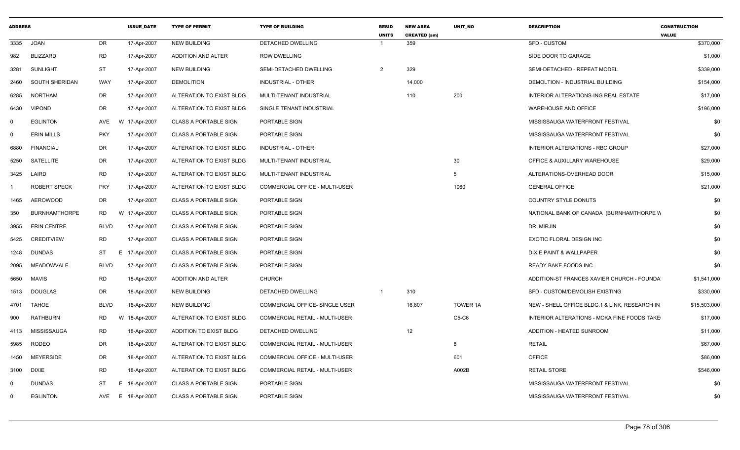| <b>ADDRESS</b> |                      |             | <b>ISSUE DATE</b> | <b>TYPE OF PERMIT</b>        | <b>TYPE OF BUILDING</b>               | <b>RESID</b><br><b>UNITS</b> | <b>NEW AREA</b><br><b>CREATED (sm)</b> | <b>UNIT NO</b> | <b>DESCRIPTION</b>                            | <b>CONSTRUCTION</b><br><b>VALUE</b> |
|----------------|----------------------|-------------|-------------------|------------------------------|---------------------------------------|------------------------------|----------------------------------------|----------------|-----------------------------------------------|-------------------------------------|
| 3335           | <b>JOAN</b>          | DR          | 17-Apr-2007       | NEW BUILDING                 | DETACHED DWELLING                     |                              | 359                                    |                | <b>SFD - CUSTOM</b>                           | \$370,000                           |
| 982            | <b>BLIZZARD</b>      | <b>RD</b>   | 17-Apr-2007       | ADDITION AND ALTER           | <b>ROW DWELLING</b>                   |                              |                                        |                | SIDE DOOR TO GARAGE                           | \$1,000                             |
| 3281           | <b>SUNLIGHT</b>      | ST          | 17-Apr-2007       | <b>NEW BUILDING</b>          | SEMI-DETACHED DWELLING                | $\overline{2}$               | 329                                    |                | SEMI-DETACHED - REPEAT MODEL                  | \$339,000                           |
| 2460           | SOUTH SHERIDAN       | WAY         | 17-Apr-2007       | <b>DEMOLITION</b>            | INDUSTRIAL - OTHER                    |                              | 14,000                                 |                | DEMOLTION - INDUSTRIAL BUILDING               | \$154,000                           |
| 6285           | <b>NORTHAM</b>       | DR          | 17-Apr-2007       | ALTERATION TO EXIST BLDG     | MULTI-TENANT INDUSTRIAL               |                              | 110                                    | 200            | INTERIOR ALTERATIONS-ING REAL ESTATE          | \$17,000                            |
| 6430           | <b>VIPOND</b>        | DR          | 17-Apr-2007       | ALTERATION TO EXIST BLDG     | SINGLE TENANT INDUSTRIAL              |                              |                                        |                | <b>WAREHOUSE AND OFFICE</b>                   | \$196,000                           |
| $\Omega$       | <b>EGLINTON</b>      | AVE         | W 17-Apr-2007     | <b>CLASS A PORTABLE SIGN</b> | PORTABLE SIGN                         |                              |                                        |                | MISSISSAUGA WATERFRONT FESTIVAL               | \$0                                 |
| $\Omega$       | <b>ERIN MILLS</b>    | <b>PKY</b>  | 17-Apr-2007       | <b>CLASS A PORTABLE SIGN</b> | PORTABLE SIGN                         |                              |                                        |                | MISSISSAUGA WATERFRONT FESTIVAL               | \$0                                 |
| 6880           | <b>FINANCIAL</b>     | DR          | 17-Apr-2007       | ALTERATION TO EXIST BLDG     | INDUSTRIAL - OTHER                    |                              |                                        |                | INTERIOR ALTERATIONS - RBC GROUP              | \$27,000                            |
| 5250           | SATELLITE            | DR          | 17-Apr-2007       | ALTERATION TO EXIST BLDG     | MULTI-TENANT INDUSTRIAL               |                              |                                        | 30             | OFFICE & AUXILLARY WAREHOUSE                  | \$29,000                            |
|                | 3425 LAIRD           | <b>RD</b>   | 17-Apr-2007       | ALTERATION TO EXIST BLDG     | MULTI-TENANT INDUSTRIAL               |                              |                                        | -5             | ALTERATIONS-OVERHEAD DOOR                     | \$15,000                            |
|                | <b>ROBERT SPECK</b>  | <b>PKY</b>  | 17-Apr-2007       | ALTERATION TO EXIST BLDG     | COMMERCIAL OFFICE - MULTI-USER        |                              |                                        | 1060           | <b>GENERAL OFFICE</b>                         | \$21,000                            |
| 1465           | <b>AEROWOOD</b>      | DR          | 17-Apr-2007       | <b>CLASS A PORTABLE SIGN</b> | PORTABLE SIGN                         |                              |                                        |                | COUNTRY STYLE DONUTS                          | \$0                                 |
| 350            | <b>BURNHAMTHORPE</b> | RD.         | W 17-Apr-2007     | <b>CLASS A PORTABLE SIGN</b> | PORTABLE SIGN                         |                              |                                        |                | NATIONAL BANK OF CANADA (BURNHAMTHORPE W      | \$0                                 |
| 3955           | <b>ERIN CENTRE</b>   | <b>BLVD</b> | 17-Apr-2007       | <b>CLASS A PORTABLE SIGN</b> | PORTABLE SIGN                         |                              |                                        |                | DR. MIRJIN                                    | \$0                                 |
| 5425           | <b>CREDITVIEW</b>    | <b>RD</b>   | 17-Apr-2007       | <b>CLASS A PORTABLE SIGN</b> | PORTABLE SIGN                         |                              |                                        |                | EXOTIC FLORAL DESIGN INC                      | \$0                                 |
| 1248           | DUNDAS               | ST          | E 17-Apr-2007     | <b>CLASS A PORTABLE SIGN</b> | PORTABLE SIGN                         |                              |                                        |                | DIXIE PAINT & WALLPAPER                       | \$0                                 |
| 2095           | MEADOWVALE           | <b>BLVD</b> | 17-Apr-2007       | <b>CLASS A PORTABLE SIGN</b> | PORTABLE SIGN                         |                              |                                        |                | READY BAKE FOODS INC.                         | \$0                                 |
| 5650           | MAVIS                | <b>RD</b>   | 18-Apr-2007       | <b>ADDITION AND ALTER</b>    | <b>CHURCH</b>                         |                              |                                        |                | ADDITION-ST FRANCES XAVIER CHURCH - FOUNDA    | \$1,541,000                         |
|                | 1513 DOUGLAS         | DR          | 18-Apr-2007       | <b>NEW BUILDING</b>          | DETACHED DWELLING                     | $\overline{1}$               | 310                                    |                | SFD - CUSTOM/DEMOLISH EXISTING                | \$330,000                           |
| 4701           | TAHOE                | <b>BLVD</b> | 18-Apr-2007       | <b>NEW BUILDING</b>          | COMMERCIAL OFFICE- SINGLE USER        |                              | 16,807                                 | TOWER 1A       | NEW - SHELL OFFICE BLDG.1 & LINK, RESEARCH IN | \$15,503,000                        |
| 900            | <b>RATHBURN</b>      | <b>RD</b>   | W 18-Apr-2007     | ALTERATION TO EXIST BLDG     | COMMERCIAL RETAIL - MULTI-USER        |                              |                                        | $C5-C6$        | INTERIOR ALTERATIONS - MOKA FINE FOODS TAKE   | \$17,000                            |
| 4113           | MISSISSAUGA          | RD          | 18-Apr-2007       | ADDITION TO EXIST BLDG       | DETACHED DWELLING                     |                              | 12                                     |                | ADDITION - HEATED SUNROOM                     | \$11,000                            |
| 5985           | RODEO                | DR          | 18-Apr-2007       | ALTERATION TO EXIST BLDG     | COMMERCIAL RETAIL - MULTI-USER        |                              |                                        | 8              | <b>RETAIL</b>                                 | \$67,000                            |
| 1450           | <b>MEYERSIDE</b>     | DR          | 18-Apr-2007       | ALTERATION TO EXIST BLDG     | <b>COMMERCIAL OFFICE - MULTI-USER</b> |                              |                                        | 601            | OFFICE                                        | \$86,000                            |
| 3100           | <b>DIXIE</b>         | <b>RD</b>   | 18-Apr-2007       | ALTERATION TO EXIST BLDG     | COMMERCIAL RETAIL - MULTI-USER        |                              |                                        | A002B          | <b>RETAIL STORE</b>                           | \$546,000                           |
| $\Omega$       | <b>DUNDAS</b>        | ST          | E 18-Apr-2007     | <b>CLASS A PORTABLE SIGN</b> | PORTABLE SIGN                         |                              |                                        |                | MISSISSAUGA WATERFRONT FESTIVAL               | \$0                                 |
| $\Omega$       | <b>EGLINTON</b>      | AVE         | E 18-Apr-2007     | <b>CLASS A PORTABLE SIGN</b> | PORTABLE SIGN                         |                              |                                        |                | MISSISSAUGA WATERFRONT FESTIVAL               | \$0                                 |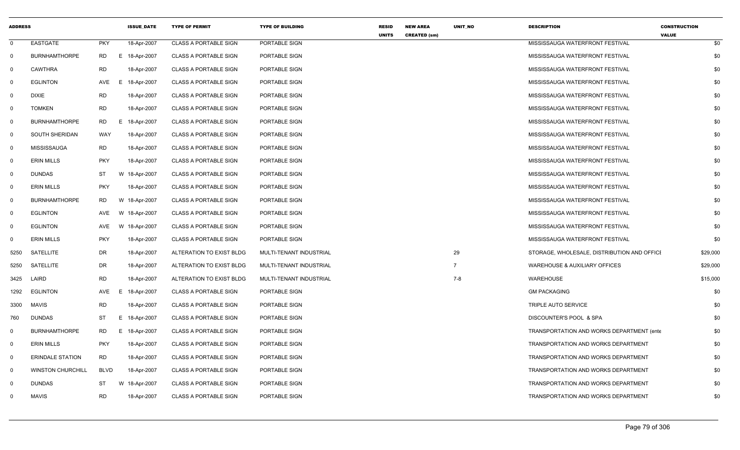| <b>ADDRESS</b> |                          |             | <b>ISSUE_DATE</b> | <b>TYPE OF PERMIT</b>        | <b>TYPE OF BUILDING</b> | <b>RESID</b><br><b>UNITS</b> | <b>NEW AREA</b><br><b>CREATED (sm)</b> | UNIT_NO        | <b>DESCRIPTION</b>                          | <b>CONSTRUCTION</b><br><b>VALUE</b> |
|----------------|--------------------------|-------------|-------------------|------------------------------|-------------------------|------------------------------|----------------------------------------|----------------|---------------------------------------------|-------------------------------------|
| 0              | EASTGATE                 | <b>PKY</b>  | 18-Apr-2007       | <b>CLASS A PORTABLE SIGN</b> | PORTABLE SIGN           |                              |                                        |                | MISSISSAUGA WATERFRONT FESTIVAL             | \$0                                 |
| $\Omega$       | <b>BURNHAMTHORPE</b>     | <b>RD</b>   | E 18-Apr-2007     | <b>CLASS A PORTABLE SIGN</b> | PORTABLE SIGN           |                              |                                        |                | MISSISSAUGA WATERFRONT FESTIVAL             | \$0                                 |
| 0              | <b>CAWTHRA</b>           | <b>RD</b>   | 18-Apr-2007       | <b>CLASS A PORTABLE SIGN</b> | PORTABLE SIGN           |                              |                                        |                | MISSISSAUGA WATERFRONT FESTIVAL             | \$0                                 |
| $\mathbf 0$    | <b>EGLINTON</b>          | AVE         | 18-Apr-2007<br>E. | <b>CLASS A PORTABLE SIGN</b> | PORTABLE SIGN           |                              |                                        |                | MISSISSAUGA WATERFRONT FESTIVAL             | \$0                                 |
| $\mathbf 0$    | <b>DIXIE</b>             | <b>RD</b>   | 18-Apr-2007       | <b>CLASS A PORTABLE SIGN</b> | PORTABLE SIGN           |                              |                                        |                | MISSISSAUGA WATERFRONT FESTIVAL             | \$0                                 |
| $\Omega$       | <b>TOMKEN</b>            | <b>RD</b>   | 18-Apr-2007       | <b>CLASS A PORTABLE SIGN</b> | PORTABLE SIGN           |                              |                                        |                | MISSISSAUGA WATERFRONT FESTIVAL             | \$0                                 |
| $\mathbf 0$    | <b>BURNHAMTHORPE</b>     | RD          | E 18-Apr-2007     | <b>CLASS A PORTABLE SIGN</b> | PORTABLE SIGN           |                              |                                        |                | MISSISSAUGA WATERFRONT FESTIVAL             | \$0                                 |
| $\mathbf 0$    | <b>SOUTH SHERIDAN</b>    | WAY         | 18-Apr-2007       | <b>CLASS A PORTABLE SIGN</b> | PORTABLE SIGN           |                              |                                        |                | MISSISSAUGA WATERFRONT FESTIVAL             | \$0                                 |
| $\mathbf 0$    | <b>MISSISSAUGA</b>       | RD          | 18-Apr-2007       | <b>CLASS A PORTABLE SIGN</b> | PORTABLE SIGN           |                              |                                        |                | MISSISSAUGA WATERFRONT FESTIVAL             | \$0                                 |
| $\Omega$       | <b>ERIN MILLS</b>        | <b>PKY</b>  | 18-Apr-2007       | <b>CLASS A PORTABLE SIGN</b> | PORTABLE SIGN           |                              |                                        |                | MISSISSAUGA WATERFRONT FESTIVAL             | \$0                                 |
| $\mathbf 0$    | DUNDAS                   | ST          | W 18-Apr-2007     | <b>CLASS A PORTABLE SIGN</b> | PORTABLE SIGN           |                              |                                        |                | MISSISSAUGA WATERFRONT FESTIVAL             | \$0                                 |
| $\mathbf 0$    | <b>ERIN MILLS</b>        | <b>PKY</b>  | 18-Apr-2007       | <b>CLASS A PORTABLE SIGN</b> | PORTABLE SIGN           |                              |                                        |                | MISSISSAUGA WATERFRONT FESTIVAL             | \$0                                 |
| $\mathbf 0$    | <b>BURNHAMTHORPE</b>     | <b>RD</b>   | W 18-Apr-2007     | <b>CLASS A PORTABLE SIGN</b> | PORTABLE SIGN           |                              |                                        |                | MISSISSAUGA WATERFRONT FESTIVAL             | \$0                                 |
| $\mathbf 0$    | <b>EGLINTON</b>          | <b>AVE</b>  | W 18-Apr-2007     | <b>CLASS A PORTABLE SIGN</b> | PORTABLE SIGN           |                              |                                        |                | MISSISSAUGA WATERFRONT FESTIVAL             | \$0                                 |
| 0              | <b>EGLINTON</b>          | AVE         | W 18-Apr-2007     | <b>CLASS A PORTABLE SIGN</b> | PORTABLE SIGN           |                              |                                        |                | MISSISSAUGA WATERFRONT FESTIVAL             | \$0                                 |
| 0              | <b>ERIN MILLS</b>        | <b>PKY</b>  | 18-Apr-2007       | <b>CLASS A PORTABLE SIGN</b> | PORTABLE SIGN           |                              |                                        |                | MISSISSAUGA WATERFRONT FESTIVAL             | \$0                                 |
| 5250           | SATELLITE                | DR          | 18-Apr-2007       | ALTERATION TO EXIST BLDG     | MULTI-TENANT INDUSTRIAL |                              |                                        | 29             | STORAGE, WHOLESALE, DISTRIBUTION AND OFFICI | \$29,000                            |
| 5250           | SATELLITE                | DR          | 18-Apr-2007       | ALTERATION TO EXIST BLDG     | MULTI-TENANT INDUSTRIAL |                              |                                        | $\overline{7}$ | WAREHOUSE & AUXILIARY OFFICES               | \$29,000                            |
| 3425           | LAIRD                    | <b>RD</b>   | 18-Apr-2007       | ALTERATION TO EXIST BLDG     | MULTI-TENANT INDUSTRIAL |                              |                                        | $7 - 8$        | WAREHOUSE                                   | \$15,000                            |
| 1292           | <b>EGLINTON</b>          | AVE         | 18-Apr-2007<br>E. | <b>CLASS A PORTABLE SIGN</b> | PORTABLE SIGN           |                              |                                        |                | <b>GM PACKAGING</b>                         | \$0                                 |
| 3300           | <b>MAVIS</b>             | <b>RD</b>   | 18-Apr-2007       | <b>CLASS A PORTABLE SIGN</b> | PORTABLE SIGN           |                              |                                        |                | TRIPLE AUTO SERVICE                         | \$0                                 |
| 760            | DUNDAS                   | <b>ST</b>   | E 18-Apr-2007     | <b>CLASS A PORTABLE SIGN</b> | PORTABLE SIGN           |                              |                                        |                | DISCOUNTER'S POOL & SPA                     | \$0                                 |
| $\Omega$       | <b>BURNHAMTHORPE</b>     | RD          | E 18-Apr-2007     | <b>CLASS A PORTABLE SIGN</b> | PORTABLE SIGN           |                              |                                        |                | TRANSPORTATION AND WORKS DEPARTMENT (enter  | \$0                                 |
| 0              | <b>ERIN MILLS</b>        | <b>PKY</b>  | 18-Apr-2007       | <b>CLASS A PORTABLE SIGN</b> | PORTABLE SIGN           |                              |                                        |                | TRANSPORTATION AND WORKS DEPARTMENT         | \$0                                 |
| $\mathbf 0$    | <b>ERINDALE STATION</b>  | <b>RD</b>   | 18-Apr-2007       | <b>CLASS A PORTABLE SIGN</b> | PORTABLE SIGN           |                              |                                        |                | TRANSPORTATION AND WORKS DEPARTMENT         | \$0                                 |
| $\mathbf 0$    | <b>WINSTON CHURCHILL</b> | <b>BLVD</b> | 18-Apr-2007       | <b>CLASS A PORTABLE SIGN</b> | PORTABLE SIGN           |                              |                                        |                | TRANSPORTATION AND WORKS DEPARTMENT         | \$0                                 |
| $\Omega$       | DUNDAS                   | <b>ST</b>   | W 18-Apr-2007     | <b>CLASS A PORTABLE SIGN</b> | PORTABLE SIGN           |                              |                                        |                | TRANSPORTATION AND WORKS DEPARTMENT         | \$0                                 |
| $\Omega$       | <b>MAVIS</b>             | <b>RD</b>   | 18-Apr-2007       | <b>CLASS A PORTABLE SIGN</b> | PORTABLE SIGN           |                              |                                        |                | TRANSPORTATION AND WORKS DEPARTMENT         | \$0                                 |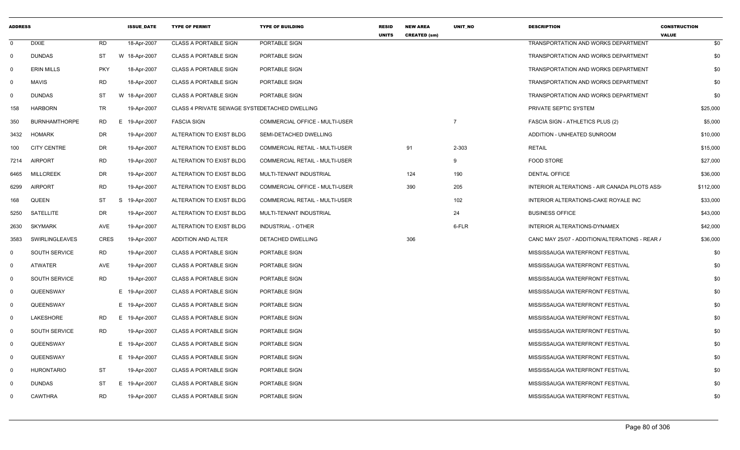| <b>ADDRESS</b> |                       |             | <b>ISSUE DATE</b> | <b>TYPE OF PERMIT</b>                         | <b>TYPE OF BUILDING</b>               | <b>RESID</b><br><b>UNITS</b> | <b>NEW AREA</b><br><b>CREATED (sm)</b> | <b>UNIT NO</b> | <b>DESCRIPTION</b>                             | <b>CONSTRUCTION</b><br><b>VALUE</b> |
|----------------|-----------------------|-------------|-------------------|-----------------------------------------------|---------------------------------------|------------------------------|----------------------------------------|----------------|------------------------------------------------|-------------------------------------|
| $\mathbf 0$    | <b>DIXIE</b>          | <b>RD</b>   | 18-Apr-2007       | <b>CLASS A PORTABLE SIGN</b>                  | PORTABLE SIGN                         |                              |                                        |                | <b>TRANSPORTATION AND WORKS DEPARTMENT</b>     | \$0                                 |
| $\mathbf 0$    | <b>DUNDAS</b>         | ST          | W 18-Apr-2007     | <b>CLASS A PORTABLE SIGN</b>                  | PORTABLE SIGN                         |                              |                                        |                | <b>TRANSPORTATION AND WORKS DEPARTMENT</b>     | \$0                                 |
| $\mathbf 0$    | <b>ERIN MILLS</b>     | <b>PKY</b>  | 18-Apr-2007       | <b>CLASS A PORTABLE SIGN</b>                  | PORTABLE SIGN                         |                              |                                        |                | TRANSPORTATION AND WORKS DEPARTMENT            | \$0                                 |
| $\mathbf 0$    | <b>MAVIS</b>          | <b>RD</b>   | 18-Apr-2007       | <b>CLASS A PORTABLE SIGN</b>                  | PORTABLE SIGN                         |                              |                                        |                | TRANSPORTATION AND WORKS DEPARTMENT            | \$0                                 |
| $\mathbf 0$    | <b>DUNDAS</b>         | <b>ST</b>   | W 18-Apr-2007     | <b>CLASS A PORTABLE SIGN</b>                  | PORTABLE SIGN                         |                              |                                        |                | TRANSPORTATION AND WORKS DEPARTMENT            | \$0                                 |
| 158            | <b>HARBORN</b>        | TR          | 19-Apr-2007       | CLASS 4 PRIVATE SEWAGE SYSTEDETACHED DWELLING |                                       |                              |                                        |                | PRIVATE SEPTIC SYSTEM                          | \$25,000                            |
| 350            | <b>BURNHAMTHORPE</b>  | <b>RD</b>   | E 19-Apr-2007     | <b>FASCIA SIGN</b>                            | COMMERCIAL OFFICE - MULTI-USER        |                              |                                        | $\overline{7}$ | FASCIA SIGN - ATHLETICS PLUS (2)               | \$5,000                             |
| 3432           | <b>HOMARK</b>         | DR          | 19-Apr-2007       | ALTERATION TO EXIST BLDG                      | SEMI-DETACHED DWELLING                |                              |                                        |                | ADDITION - UNHEATED SUNROOM                    | \$10,000                            |
| 100            | <b>CITY CENTRE</b>    | DR          | 19-Apr-2007       | ALTERATION TO EXIST BLDG                      | COMMERCIAL RETAIL - MULTI-USER        |                              | 91                                     | 2-303          | <b>RETAIL</b>                                  | \$15,000                            |
| 7214           | <b>AIRPORT</b>        | <b>RD</b>   | 19-Apr-2007       | ALTERATION TO EXIST BLDG                      | COMMERCIAL RETAIL - MULTI-USER        |                              |                                        | 9              | <b>FOOD STORE</b>                              | \$27,000                            |
| 6465           | <b>MILLCREEK</b>      | DR          | 19-Apr-2007       | ALTERATION TO EXIST BLDG                      | MULTI-TENANT INDUSTRIAL               |                              | 124                                    | 190            | <b>DENTAL OFFICE</b>                           | \$36,000                            |
| 6299           | <b>AIRPORT</b>        | <b>RD</b>   | 19-Apr-2007       | ALTERATION TO EXIST BLDG                      | <b>COMMERCIAL OFFICE - MULTI-USER</b> |                              | 390                                    | 205            | INTERIOR ALTERATIONS - AIR CANADA PILOTS ASS   | \$112,000                           |
| 168            | QUEEN                 | <b>ST</b>   | S<br>19-Apr-2007  | ALTERATION TO EXIST BLDG                      | COMMERCIAL RETAIL - MULTI-USER        |                              |                                        | 102            | INTERIOR ALTERATIONS-CAKE ROYALE INC           | \$33,000                            |
| 5250           | SATELLITE             | <b>DR</b>   | 19-Apr-2007       | ALTERATION TO EXIST BLDG                      | MULTI-TENANT INDUSTRIAL               |                              |                                        | 24             | <b>BUSINESS OFFICE</b>                         | \$43,000                            |
| 2630           | <b>SKYMARK</b>        | AVE         | 19-Apr-2007       | ALTERATION TO EXIST BLDG                      | <b>INDUSTRIAL - OTHER</b>             |                              |                                        | 6-FLR          | INTERIOR ALTERATIONS-DYNAMEX                   | \$42,000                            |
| 3583           | <b>SWIRLINGLEAVES</b> | <b>CRES</b> | 19-Apr-2007       | ADDITION AND ALTER                            | DETACHED DWELLING                     |                              | 306                                    |                | CANC MAY 25/07 - ADDITION/ALTERATIONS - REAR / | \$36,000                            |
| $\mathbf 0$    | <b>SOUTH SERVICE</b>  | RD          | 19-Apr-2007       | <b>CLASS A PORTABLE SIGN</b>                  | PORTABLE SIGN                         |                              |                                        |                | MISSISSAUGA WATERFRONT FESTIVAL                | \$0                                 |
| $\mathbf 0$    | ATWATER               | AVE         | 19-Apr-2007       | CLASS A PORTABLE SIGN                         | PORTABLE SIGN                         |                              |                                        |                | MISSISSAUGA WATERFRONT FESTIVAL                | \$0                                 |
| $\mathbf 0$    | SOUTH SERVICE         | <b>RD</b>   | 19-Apr-2007       | <b>CLASS A PORTABLE SIGN</b>                  | PORTABLE SIGN                         |                              |                                        |                | MISSISSAUGA WATERFRONT FESTIVAL                | \$0                                 |
| $\mathbf 0$    | QUEENSWAY             |             | E 19-Apr-2007     | <b>CLASS A PORTABLE SIGN</b>                  | PORTABLE SIGN                         |                              |                                        |                | MISSISSAUGA WATERFRONT FESTIVAL                | \$0                                 |
| $\mathbf 0$    | QUEENSWAY             |             | E 19-Apr-2007     | <b>CLASS A PORTABLE SIGN</b>                  | PORTABLE SIGN                         |                              |                                        |                | MISSISSAUGA WATERFRONT FESTIVAL                | \$0                                 |
| $\mathbf 0$    | LAKESHORE             | <b>RD</b>   | E 19-Apr-2007     | <b>CLASS A PORTABLE SIGN</b>                  | PORTABLE SIGN                         |                              |                                        |                | MISSISSAUGA WATERFRONT FESTIVAL                | \$0                                 |
| $\mathbf 0$    | SOUTH SERVICE         | RD.         | 19-Apr-2007       | <b>CLASS A PORTABLE SIGN</b>                  | PORTABLE SIGN                         |                              |                                        |                | MISSISSAUGA WATERFRONT FESTIVAL                | \$0                                 |
| $\mathbf 0$    | QUEENSWAY             |             | E 19-Apr-2007     | <b>CLASS A PORTABLE SIGN</b>                  | PORTABLE SIGN                         |                              |                                        |                | MISSISSAUGA WATERFRONT FESTIVAL                | \$0                                 |
| $\mathbf{0}$   | QUEENSWAY             |             | E 19-Apr-2007     | <b>CLASS A PORTABLE SIGN</b>                  | PORTABLE SIGN                         |                              |                                        |                | MISSISSAUGA WATERFRONT FESTIVAL                | \$0                                 |
| $\mathbf{0}$   | <b>HURONTARIO</b>     | <b>ST</b>   | 19-Apr-2007       | <b>CLASS A PORTABLE SIGN</b>                  | PORTABLE SIGN                         |                              |                                        |                | MISSISSAUGA WATERFRONT FESTIVAL                | \$0                                 |
| $\mathbf 0$    | <b>DUNDAS</b>         | <b>ST</b>   | E 19-Apr-2007     | <b>CLASS A PORTABLE SIGN</b>                  | PORTABLE SIGN                         |                              |                                        |                | MISSISSAUGA WATERFRONT FESTIVAL                | \$0                                 |
| 0              | <b>CAWTHRA</b>        | <b>RD</b>   | 19-Apr-2007       | <b>CLASS A PORTABLE SIGN</b>                  | PORTABLE SIGN                         |                              |                                        |                | MISSISSAUGA WATERFRONT FESTIVAL                | \$0                                 |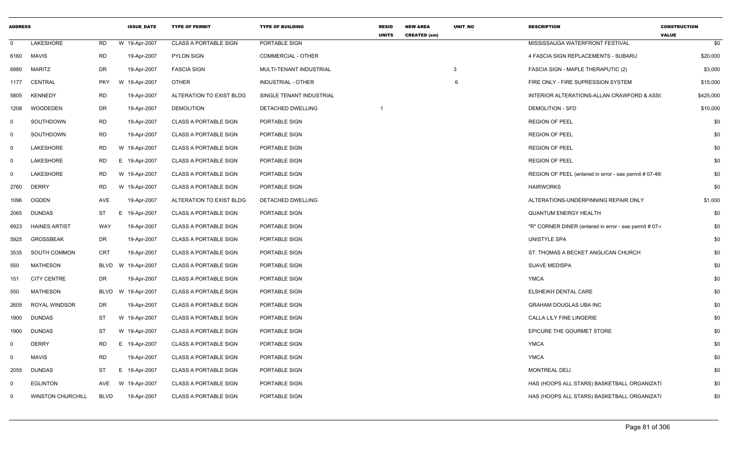| <b>ADDRESS</b> |                          |             | <b>ISSUE DATE</b> | <b>TYPE OF PERMIT</b>        | <b>TYPE OF BUILDING</b>   | <b>RESID</b><br><b>UNITS</b> | <b>NEW AREA</b><br><b>CREATED (sm)</b> | UNIT_NO      | <b>DESCRIPTION</b>                                     | <b>CONSTRUCTION</b><br><b>VALUE</b> |
|----------------|--------------------------|-------------|-------------------|------------------------------|---------------------------|------------------------------|----------------------------------------|--------------|--------------------------------------------------------|-------------------------------------|
| $\mathbf 0$    | LAKESHORE                | <b>RD</b>   | W 19-Apr-2007     | <b>CLASS A PORTABLE SIGN</b> | PORTABLE SIGN             |                              |                                        |              | MISSISSAUGA WATERFRONT FESTIVAL                        | \$0                                 |
| 6160           | MAVIS                    | <b>RD</b>   | 19-Apr-2007       | <b>PYLON SIGN</b>            | <b>COMMERCIAL - OTHER</b> |                              |                                        |              | 4 FASCIA SIGN REPLACEMENTS - SUBARU                    | \$20,000                            |
| 6980           | <b>MARITZ</b>            | <b>DR</b>   | 19-Apr-2007       | <b>FASCIA SIGN</b>           | MULTI-TENANT INDUSTRIAL   |                              |                                        | $\mathbf{3}$ | FASCIA SIGN - MAPLE THERAPUTIC (2)                     | \$3,000                             |
| 1177           | <b>CENTRAL</b>           | <b>PKY</b>  | W 19-Apr-2007     | <b>OTHER</b>                 | INDUSTRIAL - OTHER        |                              |                                        | 6            | FIRE ONLY - FIRE SUPRESSION SYSTEM                     | \$15,000                            |
| 5805           | <b>KENNEDY</b>           | <b>RD</b>   | 19-Apr-2007       | ALTERATION TO EXIST BLDG     | SINGLE TENANT INDUSTRIAL  |                              |                                        |              | INTERIOR ALTERATIONS-ALLAN CRAWFORD & ASSO             | \$425,000                           |
| 1208           | <b>WOODEDEN</b>          | DR          | 19-Apr-2007       | <b>DEMOLITION</b>            | DETACHED DWELLING         |                              |                                        |              | <b>DEMOLITION - SFD</b>                                | \$10,000                            |
| - 0            | SOUTHDOWN                | <b>RD</b>   | 19-Apr-2007       | <b>CLASS A PORTABLE SIGN</b> | PORTABLE SIGN             |                              |                                        |              | <b>REGION OF PEEL</b>                                  | \$0                                 |
| $\mathsf{O}$   | <b>SOUTHDOWN</b>         | <b>RD</b>   | 19-Apr-2007       | <b>CLASS A PORTABLE SIGN</b> | PORTABLE SIGN             |                              |                                        |              | <b>REGION OF PEEL</b>                                  | \$0                                 |
| 0              | LAKESHORE                | <b>RD</b>   | W 19-Apr-2007     | <b>CLASS A PORTABLE SIGN</b> | PORTABLE SIGN             |                              |                                        |              | <b>REGION OF PEEL</b>                                  | \$0                                 |
| 0              | LAKESHORE                | RD          | Е.<br>19-Apr-2007 | <b>CLASS A PORTABLE SIGN</b> | PORTABLE SIGN             |                              |                                        |              | <b>REGION OF PEEL</b>                                  | \$0                                 |
| 0              | LAKESHORE                | <b>RD</b>   | W 19-Apr-2007     | <b>CLASS A PORTABLE SIGN</b> | PORTABLE SIGN             |                              |                                        |              | REGION OF PEEL (entered in error - see permit # 07-46) | \$0                                 |
| 2760           | <b>DERRY</b>             | <b>RD</b>   | W 19-Apr-2007     | <b>CLASS A PORTABLE SIGN</b> | PORTABLE SIGN             |                              |                                        |              | <b>HAIRWORKS</b>                                       | \$0                                 |
| 1096           | <b>OGDEN</b>             | <b>AVE</b>  | 19-Apr-2007       | ALTERATION TO EXIST BLDG     | DETACHED DWELLING         |                              |                                        |              | ALTERATIONS-UNDERPINNING REPAIR ONLY                   | \$1,000                             |
| 2065           | <b>DUNDAS</b>            | ST          | Е.<br>19-Apr-2007 | <b>CLASS A PORTABLE SIGN</b> | PORTABLE SIGN             |                              |                                        |              | <b>QUANTUM ENERGY HEALTH</b>                           | \$0                                 |
| 6923           | <b>HAINES ARTIST</b>     | WAY         | 19-Apr-2007       | <b>CLASS A PORTABLE SIGN</b> | PORTABLE SIGN             |                              |                                        |              | "R" CORNER DINER (entered in error - see permit # 07-4 | \$0                                 |
| 5925           | <b>GROSSBEAK</b>         | DR          | 19-Apr-2007       | <b>CLASS A PORTABLE SIGN</b> | PORTABLE SIGN             |                              |                                        |              | UNISTYLE SPA                                           | \$0                                 |
| 3535           | SOUTH COMMON             | <b>CRT</b>  | 19-Apr-2007       | <b>CLASS A PORTABLE SIGN</b> | PORTABLE SIGN             |                              |                                        |              | ST. THOMAS A BECKET ANGLICAN CHURCH                    | \$0                                 |
| 550            | <b>MATHESON</b>          | BLVD        | W 19-Apr-2007     | <b>CLASS A PORTABLE SIGN</b> | PORTABLE SIGN             |                              |                                        |              | <b>SUAVE MEDISPA</b>                                   | \$0                                 |
| 151            | <b>CITY CENTRE</b>       | <b>DR</b>   | 19-Apr-2007       | <b>CLASS A PORTABLE SIGN</b> | PORTABLE SIGN             |                              |                                        |              | <b>YMCA</b>                                            | \$0                                 |
| 550            | <b>MATHESON</b>          | BLVD        | W 19-Apr-2007     | <b>CLASS A PORTABLE SIGN</b> | PORTABLE SIGN             |                              |                                        |              | ELSHEIKH DENTAL CARE                                   | \$0                                 |
| 2605           | ROYAL WINDSOR            | DR          | 19-Apr-2007       | <b>CLASS A PORTABLE SIGN</b> | PORTABLE SIGN             |                              |                                        |              | <b>GRAHAM DOUGLAS UBA INC</b>                          | \$0                                 |
| 1900           | <b>DUNDAS</b>            | ST          | W 19-Apr-2007     | <b>CLASS A PORTABLE SIGN</b> | PORTABLE SIGN             |                              |                                        |              | CALLA LILY FINE LINGERIE                               | \$0                                 |
| 1900           | <b>DUNDAS</b>            | ST          | W 19-Apr-2007     | <b>CLASS A PORTABLE SIGN</b> | PORTABLE SIGN             |                              |                                        |              | EPICURE THE GOURMET STORE                              | \$0                                 |
| 0              | <b>DERRY</b>             | RD          | E.<br>19-Apr-2007 | <b>CLASS A PORTABLE SIGN</b> | PORTABLE SIGN             |                              |                                        |              | <b>YMCA</b>                                            | \$0                                 |
| 0              | <b>MAVIS</b>             | <b>RD</b>   | 19-Apr-2007       | <b>CLASS A PORTABLE SIGN</b> | PORTABLE SIGN             |                              |                                        |              | <b>YMCA</b>                                            | \$0                                 |
| 2055           | <b>DUNDAS</b>            | <b>ST</b>   | E.<br>19-Apr-2007 | <b>CLASS A PORTABLE SIGN</b> | PORTABLE SIGN             |                              |                                        |              | <b>MONTREAL DELI</b>                                   | \$0                                 |
| $\mathbf 0$    | <b>EGLINTON</b>          | <b>AVE</b>  | W 19-Apr-2007     | <b>CLASS A PORTABLE SIGN</b> | PORTABLE SIGN             |                              |                                        |              | HAS (HOOPS ALL STARS) BASKETBALL ORGANIZATI            | \$0                                 |
| 0              | <b>WINSTON CHURCHILL</b> | <b>BLVD</b> | 19-Apr-2007       | <b>CLASS A PORTABLE SIGN</b> | PORTABLE SIGN             |                              |                                        |              | HAS (HOOPS ALL STARS) BASKETBALL ORGANIZATI            | \$0                                 |
|                |                          |             |                   |                              |                           |                              |                                        |              |                                                        |                                     |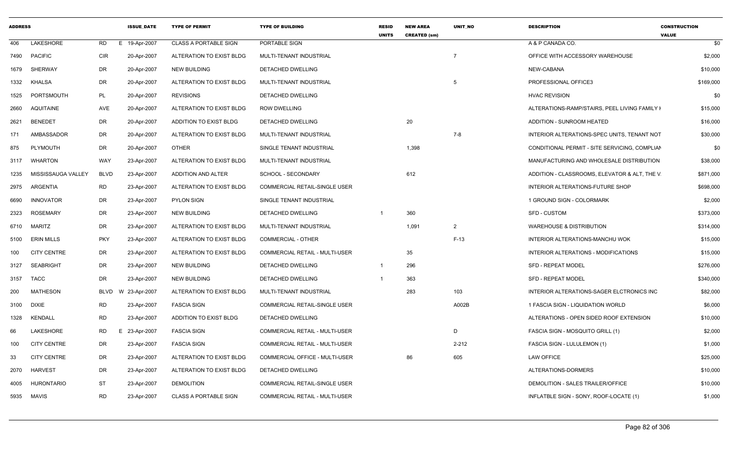| <b>ADDRESS</b> |                    |             | <b>ISSUE DATE</b> | <b>TYPE OF PERMIT</b>        | <b>TYPE OF BUILDING</b>              | <b>RESID</b><br><b>UNITS</b> | <b>NEW AREA</b><br><b>CREATED (sm)</b> | <b>UNIT NO</b> | <b>DESCRIPTION</b>                            | <b>CONSTRUCTION</b><br><b>VALUE</b> |
|----------------|--------------------|-------------|-------------------|------------------------------|--------------------------------------|------------------------------|----------------------------------------|----------------|-----------------------------------------------|-------------------------------------|
| 406            | LAKESHORE          | <b>RD</b>   | E 19-Apr-2007     | <b>CLASS A PORTABLE SIGN</b> | PORTABLE SIGN                        |                              |                                        |                | A & P CANADA CO.                              | \$0                                 |
| 7490           | <b>PACIFIC</b>     | <b>CIR</b>  | 20-Apr-2007       | ALTERATION TO EXIST BLDG     | MULTI-TENANT INDUSTRIAL              |                              |                                        |                | OFFICE WITH ACCESSORY WAREHOUSE               | \$2,000                             |
| 1679           | SHERWAY            | DR          | 20-Apr-2007       | <b>NEW BUILDING</b>          | DETACHED DWELLING                    |                              |                                        |                | NEW-CABANA                                    | \$10,000                            |
| 1332           | KHALSA             | DR          | 20-Apr-2007       | ALTERATION TO EXIST BLDG     | MULTI-TENANT INDUSTRIAL              |                              |                                        | 5              | PROFESSIONAL OFFICE3                          | \$169,000                           |
| 1525           | PORTSMOUTH         | PL          | 20-Apr-2007       | <b>REVISIONS</b>             | DETACHED DWELLING                    |                              |                                        |                | <b>HVAC REVISION</b>                          | \$0                                 |
| 2660           | <b>AQUITAINE</b>   | AVE         | 20-Apr-2007       | ALTERATION TO EXIST BLDG     | ROW DWELLING                         |                              |                                        |                | ALTERATIONS-RAMP/STAIRS, PEEL LIVING FAMILY I | \$15,000                            |
| 2621           | <b>BENEDET</b>     | DR          | 20-Apr-2007       | ADDITION TO EXIST BLDG       | DETACHED DWELLING                    |                              | 20                                     |                | <b>ADDITION - SUNROOM HEATED</b>              | \$16,000                            |
| 171            | AMBASSADOR         | DR          | 20-Apr-2007       | ALTERATION TO EXIST BLDG     | MULTI-TENANT INDUSTRIAL              |                              |                                        | 7-8            | INTERIOR ALTERATIONS-SPEC UNITS, TENANT NOT   | \$30,000                            |
| 875            | PLYMOUTH           | DR          | 20-Apr-2007       | OTHER                        | SINGLE TENANT INDUSTRIAL             |                              | 1,398                                  |                | CONDITIONAL PERMIT - SITE SERVICING, COMPLIAN | \$0                                 |
| 3117           | WHARTON            | WAY         | 23-Apr-2007       | ALTERATION TO EXIST BLDG     | MULTI-TENANT INDUSTRIAL              |                              |                                        |                | MANUFACTURING AND WHOLESALE DISTRIBUTION      | \$38,000                            |
| 1235           | MISSISSAUGA VALLEY | <b>BLVD</b> | 23-Apr-2007       | <b>ADDITION AND ALTER</b>    | SCHOOL - SECONDARY                   |                              | 612                                    |                | ADDITION - CLASSROOMS, ELEVATOR & ALT, THE V. | \$871,000                           |
| 2975           | ARGENTIA           | RD          | 23-Apr-2007       | ALTERATION TO EXIST BLDG     | <b>COMMERCIAL RETAIL-SINGLE USER</b> |                              |                                        |                | INTERIOR ALTERATIONS-FUTURE SHOP              | \$698,000                           |
| 6690           | <b>INNOVATOR</b>   | DR          | 23-Apr-2007       | PYLON SIGN                   | SINGLE TENANT INDUSTRIAL             |                              |                                        |                | 1 GROUND SIGN - COLORMARK                     | \$2,000                             |
| 2323           | <b>ROSEMARY</b>    | DR          | 23-Apr-2007       | <b>NEW BUILDING</b>          | DETACHED DWELLING                    |                              | 360                                    |                | SFD - CUSTOM                                  | \$373,000                           |
| 6710           | <b>MARITZ</b>      | DR          | 23-Apr-2007       | ALTERATION TO EXIST BLDG     | MULTI-TENANT INDUSTRIAL              |                              | 1,091                                  | $\overline{2}$ | <b>WAREHOUSE &amp; DISTRIBUTION</b>           | \$314,000                           |
| 5100           | ERIN MILLS         | <b>PKY</b>  | 23-Apr-2007       | ALTERATION TO EXIST BLDG     | <b>COMMERCIAL - OTHER</b>            |                              |                                        | $F-13$         | INTERIOR ALTERATIONS-MANCHU WOK               | \$15,000                            |
| 100            | <b>CITY CENTRE</b> | DR          | 23-Apr-2007       | ALTERATION TO EXIST BLDG     | COMMERCIAL RETAIL - MULTI-USER       |                              | 35                                     |                | INTERIOR ALTERATIONS - MODIFICATIONS          | \$15,000                            |
| 3127           | <b>SEABRIGHT</b>   | DR          | 23-Apr-2007       | <b>NEW BUILDING</b>          | <b>DETACHED DWELLING</b>             | $\overline{\mathbf{1}}$      | 296                                    |                | <b>SFD - REPEAT MODEL</b>                     | \$276,000                           |
| 3157           | <b>TACC</b>        | DR          | 23-Apr-2007       | <b>NEW BUILDING</b>          | DETACHED DWELLING                    |                              | 363                                    |                | <b>SFD - REPEAT MODEL</b>                     | \$340,000                           |
| 200            | <b>MATHESON</b>    | BLVD        | W 23-Apr-2007     | ALTERATION TO EXIST BLDG     | MULTI-TENANT INDUSTRIAL              |                              | 283                                    | 103            | INTERIOR ALTERATIONS-SAGER ELCTRONICS INC     | \$82,000                            |
| 3100           | DIXIE              | RD          | 23-Apr-2007       | <b>FASCIA SIGN</b>           | <b>COMMERCIAL RETAIL-SINGLE USER</b> |                              |                                        | A002B          | 1 FASCIA SIGN - LIQUIDATION WORLD             | \$6,000                             |
| 1328           | KENDALL            | RD          | 23-Apr-2007       | ADDITION TO EXIST BLDG       | DETACHED DWELLING                    |                              |                                        |                | ALTERATIONS - OPEN SIDED ROOF EXTENSION       | \$10,000                            |
| 66             | LAKESHORE          | RD          | E 23-Apr-2007     | <b>FASCIA SIGN</b>           | COMMERCIAL RETAIL - MULTI-USER       |                              |                                        | D              | FASCIA SIGN - MOSQUITO GRILL (1)              | \$2,000                             |
| 100            | <b>CITY CENTRE</b> | DR          | 23-Apr-2007       | <b>FASCIA SIGN</b>           | COMMERCIAL RETAIL - MULTI-USER       |                              |                                        | 2-212          | FASCIA SIGN - LULULEMON (1)                   | \$1,000                             |
| 33             | <b>CITY CENTRE</b> | <b>DR</b>   | 23-Apr-2007       | ALTERATION TO EXIST BLDG     | COMMERCIAL OFFICE - MULTI-USER       |                              | 86                                     | 605            | LAW OFFICE                                    | \$25,000                            |
| 2070           | <b>HARVEST</b>     | DR          | 23-Apr-2007       | ALTERATION TO EXIST BLDG     | DETACHED DWELLING                    |                              |                                        |                | ALTERATIONS-DORMERS                           | \$10,000                            |
| 4005           | HURONTARIO         | ST          | 23-Apr-2007       | <b>DEMOLITION</b>            | COMMERCIAL RETAIL-SINGLE USER        |                              |                                        |                | DEMOLITION - SALES TRAILER/OFFICE             | \$10,000                            |
|                | 5935 MAVIS         | <b>RD</b>   | 23-Apr-2007       | <b>CLASS A PORTABLE SIGN</b> | COMMERCIAL RETAIL - MULTI-USER       |                              |                                        |                | INFLATBLE SIGN - SONY, ROOF-LOCATE (1)        | \$1,000                             |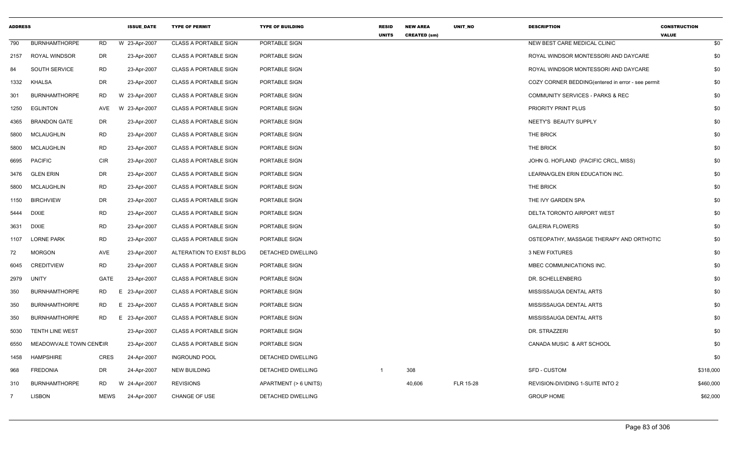| <b>ADDRESS</b> |                        |             | <b>ISSUE DATE</b> | <b>TYPE OF PERMIT</b>        | <b>TYPE OF BUILDING</b> | <b>RESID</b><br><b>UNITS</b> | <b>NEW AREA</b><br><b>CREATED (sm)</b> | UNIT_NO   | <b>DESCRIPTION</b>                                | <b>CONSTRUCTION</b><br><b>VALUE</b> |
|----------------|------------------------|-------------|-------------------|------------------------------|-------------------------|------------------------------|----------------------------------------|-----------|---------------------------------------------------|-------------------------------------|
| 790            | <b>BURNHAMTHORPE</b>   | RD          | W 23-Apr-2007     | <b>CLASS A PORTABLE SIGN</b> | PORTABLE SIGN           |                              |                                        |           | NEW BEST CARE MEDICAL CLINIC                      | \$0                                 |
| 2157           | <b>ROYAL WINDSOR</b>   | DR          | 23-Apr-2007       | <b>CLASS A PORTABLE SIGN</b> | PORTABLE SIGN           |                              |                                        |           | ROYAL WINDSOR MONTESSORI AND DAYCARE              | \$0                                 |
| 84             | SOUTH SERVICE          | <b>RD</b>   | 23-Apr-2007       | <b>CLASS A PORTABLE SIGN</b> | PORTABLE SIGN           |                              |                                        |           | ROYAL WINDSOR MONTESSORI AND DAYCARE              | \$0                                 |
| 1332           | KHALSA                 | <b>DR</b>   | 23-Apr-2007       | <b>CLASS A PORTABLE SIGN</b> | PORTABLE SIGN           |                              |                                        |           | COZY CORNER BEDDING(entered in error - see permit | \$0                                 |
| 301            | <b>BURNHAMTHORPE</b>   | RD          | W 23-Apr-2007     | <b>CLASS A PORTABLE SIGN</b> | PORTABLE SIGN           |                              |                                        |           | <b>COMMUNITY SERVICES - PARKS &amp; REC</b>       | \$0                                 |
| 1250           | <b>EGLINTON</b>        | AVE         | W 23-Apr-2007     | <b>CLASS A PORTABLE SIGN</b> | PORTABLE SIGN           |                              |                                        |           | PRIORITY PRINT PLUS                               | \$0                                 |
| 4365           | <b>BRANDON GATE</b>    | DR          | 23-Apr-2007       | <b>CLASS A PORTABLE SIGN</b> | PORTABLE SIGN           |                              |                                        |           | NEETY'S BEAUTY SUPPLY                             | \$0                                 |
| 5800           | <b>MCLAUGHLIN</b>      | RD          | 23-Apr-2007       | <b>CLASS A PORTABLE SIGN</b> | PORTABLE SIGN           |                              |                                        |           | THE BRICK                                         | \$0                                 |
| 5800           | MCLAUGHLIN             | RD          | 23-Apr-2007       | <b>CLASS A PORTABLE SIGN</b> | PORTABLE SIGN           |                              |                                        |           | THE BRICK                                         | \$0                                 |
| 6695           | <b>PACIFIC</b>         | <b>CIR</b>  | 23-Apr-2007       | <b>CLASS A PORTABLE SIGN</b> | PORTABLE SIGN           |                              |                                        |           | JOHN G. HOFLAND (PACIFIC CRCL, MISS)              | \$0                                 |
| 3476           | <b>GLEN ERIN</b>       | DR          | 23-Apr-2007       | <b>CLASS A PORTABLE SIGN</b> | PORTABLE SIGN           |                              |                                        |           | LEARNA/GLEN ERIN EDUCATION INC.                   | \$0                                 |
| 5800           | MCLAUGHLIN             | <b>RD</b>   | 23-Apr-2007       | <b>CLASS A PORTABLE SIGN</b> | PORTABLE SIGN           |                              |                                        |           | THE BRICK                                         | \$0                                 |
| 1150           | <b>BIRCHVIEW</b>       | DR          | 23-Apr-2007       | <b>CLASS A PORTABLE SIGN</b> | PORTABLE SIGN           |                              |                                        |           | THE IVY GARDEN SPA                                | \$0                                 |
| 5444           | <b>DIXIE</b>           | <b>RD</b>   | 23-Apr-2007       | <b>CLASS A PORTABLE SIGN</b> | PORTABLE SIGN           |                              |                                        |           | DELTA TORONTO AIRPORT WEST                        | \$0                                 |
| 3631           | DIXIE                  | <b>RD</b>   | 23-Apr-2007       | <b>CLASS A PORTABLE SIGN</b> | PORTABLE SIGN           |                              |                                        |           | <b>GALERIA FLOWERS</b>                            | \$0                                 |
| 1107           | <b>LORNE PARK</b>      | <b>RD</b>   | 23-Apr-2007       | <b>CLASS A PORTABLE SIGN</b> | PORTABLE SIGN           |                              |                                        |           | OSTEOPATHY, MASSAGE THERAPY AND ORTHOTIC          | \$0                                 |
| 72             | <b>MORGON</b>          | AVE         | 23-Apr-2007       | ALTERATION TO EXIST BLDG     | DETACHED DWELLING       |                              |                                        |           | 3 NEW FIXTURES                                    | \$0                                 |
| 6045           | <b>CREDITVIEW</b>      | <b>RD</b>   | 23-Apr-2007       | <b>CLASS A PORTABLE SIGN</b> | PORTABLE SIGN           |                              |                                        |           | MBEC COMMUNICATIONS INC.                          | \$0                                 |
| 2979           | <b>UNITY</b>           | <b>GATE</b> | 23-Apr-2007       | <b>CLASS A PORTABLE SIGN</b> | PORTABLE SIGN           |                              |                                        |           | DR. SCHELLENBERG                                  | \$0                                 |
| 350            | <b>BURNHAMTHORPE</b>   | RD.         | E 23-Apr-2007     | <b>CLASS A PORTABLE SIGN</b> | PORTABLE SIGN           |                              |                                        |           | MISSISSAUGA DENTAL ARTS                           | \$0                                 |
| 350            | <b>BURNHAMTHORPE</b>   | RD          | E 23-Apr-2007     | <b>CLASS A PORTABLE SIGN</b> | PORTABLE SIGN           |                              |                                        |           | MISSISSAUGA DENTAL ARTS                           | \$0                                 |
| 350            | <b>BURNHAMTHORPE</b>   | RD.         | E 23-Apr-2007     | <b>CLASS A PORTABLE SIGN</b> | PORTABLE SIGN           |                              |                                        |           | MISSISSAUGA DENTAL ARTS                           | \$0                                 |
| 5030           | <b>TENTH LINE WEST</b> |             | 23-Apr-2007       | <b>CLASS A PORTABLE SIGN</b> | PORTABLE SIGN           |                              |                                        |           | DR. STRAZZERI                                     | \$0                                 |
| 6550           | MEADOWVALE TOWN CENCIR |             | 23-Apr-2007       | <b>CLASS A PORTABLE SIGN</b> | PORTABLE SIGN           |                              |                                        |           | CANADA MUSIC & ART SCHOOL                         | \$0                                 |
| 1458           | HAMPSHIRE              | <b>CRES</b> | 24-Apr-2007       | <b>INGROUND POOL</b>         | DETACHED DWELLING       |                              |                                        |           |                                                   | \$0                                 |
| 968            | <b>FREDONIA</b>        | DR          | 24-Apr-2007       | <b>NEW BUILDING</b>          | DETACHED DWELLING       | -1                           | 308                                    |           | SFD - CUSTOM                                      | \$318,000                           |
| 310            | <b>BURNHAMTHORPE</b>   | <b>RD</b>   | W 24-Apr-2007     | <b>REVISIONS</b>             | APARTMENT (> 6 UNITS)   |                              | 40,606                                 | FLR 15-28 | REVISION-DIVIDING 1-SUITE INTO 2                  | \$460,000                           |
| $\overline{7}$ | <b>LISBON</b>          | MEWS        | 24-Apr-2007       | <b>CHANGE OF USE</b>         | DETACHED DWELLING       |                              |                                        |           | <b>GROUP HOME</b>                                 | \$62,000                            |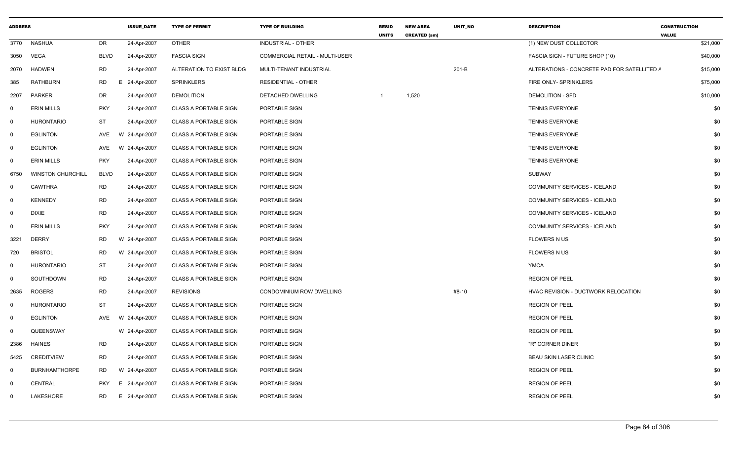| <b>ADDRESS</b> |                          |             | <b>ISSUE DATE</b> | <b>TYPE OF PERMIT</b>        | <b>TYPE OF BUILDING</b>        | <b>RESID</b><br><b>UNITS</b> | <b>NEW AREA</b><br><b>CREATED (sm)</b> | <b>UNIT NO</b> | <b>DESCRIPTION</b>                          | <b>CONSTRUCTION</b><br><b>VALUE</b> |
|----------------|--------------------------|-------------|-------------------|------------------------------|--------------------------------|------------------------------|----------------------------------------|----------------|---------------------------------------------|-------------------------------------|
| 3770           | <b>NASHUA</b>            | <b>DR</b>   | 24-Apr-2007       | <b>OTHER</b>                 | <b>INDUSTRIAL - OTHER</b>      |                              |                                        |                | (1) NEW DUST COLLECTOR                      | \$21,000                            |
| 3050           | VEGA                     | <b>BLVD</b> | 24-Apr-2007       | <b>FASCIA SIGN</b>           | COMMERCIAL RETAIL - MULTI-USER |                              |                                        |                | FASCIA SIGN - FUTURE SHOP (10)              | \$40,000                            |
| 2070           | <b>HADWEN</b>            | RD          | 24-Apr-2007       | ALTERATION TO EXIST BLDG     | MULTI-TENANT INDUSTRIAL        |                              |                                        | $201-B$        | ALTERATIONS - CONCRETE PAD FOR SATELLITED A | \$15,000                            |
| 385            | <b>RATHBURN</b>          | <b>RD</b>   | 24-Apr-2007<br>E. | SPRINKLERS                   | <b>RESIDENTIAL - OTHER</b>     |                              |                                        |                | FIRE ONLY- SPRINKLERS                       | \$75,000                            |
| 2207           | <b>PARKER</b>            | DR          | 24-Apr-2007       | <b>DEMOLITION</b>            | DETACHED DWELLING              | -1                           | 1,520                                  |                | <b>DEMOLITION - SFD</b>                     | \$10,000                            |
| 0              | <b>ERIN MILLS</b>        | <b>PKY</b>  | 24-Apr-2007       | <b>CLASS A PORTABLE SIGN</b> | PORTABLE SIGN                  |                              |                                        |                | <b>TENNIS EVERYONE</b>                      | \$0                                 |
| $\mathbf 0$    | <b>HURONTARIO</b>        | ST          | 24-Apr-2007       | <b>CLASS A PORTABLE SIGN</b> | PORTABLE SIGN                  |                              |                                        |                | <b>TENNIS EVERYONE</b>                      | \$0                                 |
| $\mathbf 0$    | <b>EGLINTON</b>          | AVE         | 24-Apr-2007<br>W  | <b>CLASS A PORTABLE SIGN</b> | PORTABLE SIGN                  |                              |                                        |                | <b>TENNIS EVERYONE</b>                      | \$0                                 |
| $\Omega$       | <b>EGLINTON</b>          | AVE         | W 24-Apr-2007     | <b>CLASS A PORTABLE SIGN</b> | PORTABLE SIGN                  |                              |                                        |                | <b>TENNIS EVERYONE</b>                      | \$0                                 |
| 0              | <b>ERIN MILLS</b>        | <b>PKY</b>  | 24-Apr-2007       | <b>CLASS A PORTABLE SIGN</b> | PORTABLE SIGN                  |                              |                                        |                | <b>TENNIS EVERYONE</b>                      | \$0                                 |
| 6750           | <b>WINSTON CHURCHILL</b> | <b>BLVD</b> | 24-Apr-2007       | <b>CLASS A PORTABLE SIGN</b> | PORTABLE SIGN                  |                              |                                        |                | SUBWAY                                      | \$0                                 |
| $\mathbf 0$    | <b>CAWTHRA</b>           | RD          | 24-Apr-2007       | <b>CLASS A PORTABLE SIGN</b> | PORTABLE SIGN                  |                              |                                        |                | COMMUNITY SERVICES - ICELAND                | \$0                                 |
| 0              | <b>KENNEDY</b>           | <b>RD</b>   | 24-Apr-2007       | <b>CLASS A PORTABLE SIGN</b> | PORTABLE SIGN                  |                              |                                        |                | COMMUNITY SERVICES - ICELAND                | \$0                                 |
| 0              | <b>DIXIE</b>             | <b>RD</b>   | 24-Apr-2007       | <b>CLASS A PORTABLE SIGN</b> | PORTABLE SIGN                  |                              |                                        |                | COMMUNITY SERVICES - ICELAND                | \$0                                 |
| 0              | <b>ERIN MILLS</b>        | <b>PKY</b>  | 24-Apr-2007       | <b>CLASS A PORTABLE SIGN</b> | PORTABLE SIGN                  |                              |                                        |                | <b>COMMUNITY SERVICES - ICELAND</b>         | \$0                                 |
| 3221           | <b>DERRY</b>             | <b>RD</b>   | W 24-Apr-2007     | <b>CLASS A PORTABLE SIGN</b> | PORTABLE SIGN                  |                              |                                        |                | <b>FLOWERS N US</b>                         | \$0                                 |
| 720            | <b>BRISTOL</b>           | <b>RD</b>   | 24-Apr-2007<br>W  | <b>CLASS A PORTABLE SIGN</b> | PORTABLE SIGN                  |                              |                                        |                | <b>FLOWERS N US</b>                         | \$0                                 |
| $\Omega$       | <b>HURONTARIO</b>        | ST          | 24-Apr-2007       | <b>CLASS A PORTABLE SIGN</b> | PORTABLE SIGN                  |                              |                                        |                | <b>YMCA</b>                                 | \$0                                 |
| 0              | SOUTHDOWN                | <b>RD</b>   | 24-Apr-2007       | <b>CLASS A PORTABLE SIGN</b> | PORTABLE SIGN                  |                              |                                        |                | <b>REGION OF PEEL</b>                       | \$0                                 |
| 2635           | <b>ROGERS</b>            | <b>RD</b>   | 24-Apr-2007       | <b>REVISIONS</b>             | CONDOMINIUM ROW DWELLING       |                              |                                        | #8-10          | HVAC REVISION - DUCTWORK RELOCATION         | \$0                                 |
| 0              | <b>HURONTARIO</b>        | ST          | 24-Apr-2007       | <b>CLASS A PORTABLE SIGN</b> | PORTABLE SIGN                  |                              |                                        |                | <b>REGION OF PEEL</b>                       | \$0                                 |
| 0              | <b>EGLINTON</b>          | AVE         | W 24-Apr-2007     | <b>CLASS A PORTABLE SIGN</b> | PORTABLE SIGN                  |                              |                                        |                | <b>REGION OF PEEL</b>                       | \$0                                 |
| 0              | QUEENSWAY                |             | W 24-Apr-2007     | <b>CLASS A PORTABLE SIGN</b> | PORTABLE SIGN                  |                              |                                        |                | <b>REGION OF PEEL</b>                       | \$0                                 |
| 2386           | <b>HAINES</b>            | <b>RD</b>   | 24-Apr-2007       | <b>CLASS A PORTABLE SIGN</b> | PORTABLE SIGN                  |                              |                                        |                | "R" CORNER DINER                            | \$0                                 |
| 5425           | CREDITVIEW               | <b>RD</b>   | 24-Apr-2007       | <b>CLASS A PORTABLE SIGN</b> | PORTABLE SIGN                  |                              |                                        |                | <b>BEAU SKIN LASER CLINIC</b>               | \$0                                 |
| 0              | <b>BURNHAMTHORPE</b>     | RD          | W 24-Apr-2007     | <b>CLASS A PORTABLE SIGN</b> | PORTABLE SIGN                  |                              |                                        |                | <b>REGION OF PEEL</b>                       | \$0                                 |
| $\Omega$       | <b>CENTRAL</b>           | <b>PKY</b>  | 24-Apr-2007<br>E  | <b>CLASS A PORTABLE SIGN</b> | PORTABLE SIGN                  |                              |                                        |                | <b>REGION OF PEEL</b>                       | \$0                                 |
| $\Omega$       | LAKESHORE                | <b>RD</b>   | 24-Apr-2007<br>E. | <b>CLASS A PORTABLE SIGN</b> | PORTABLE SIGN                  |                              |                                        |                | <b>REGION OF PEEL</b>                       | \$0                                 |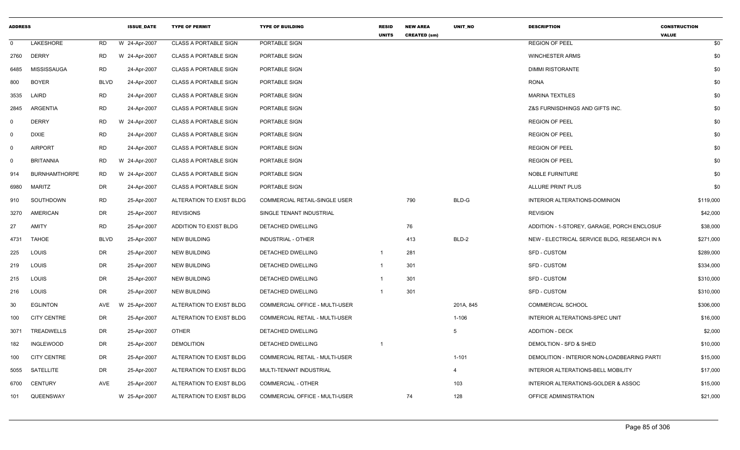| <b>ADDRESS</b> |                      |             | <b>ISSUE_DATE</b> | <b>TYPE OF PERMIT</b>        | <b>TYPE OF BUILDING</b>               | <b>RESID</b><br><b>UNITS</b> | <b>NEW AREA</b><br><b>CREATED (sm)</b> | UNIT_NO        | <b>DESCRIPTION</b>                           | <b>CONSTRUCTION</b><br><b>VALUE</b> |
|----------------|----------------------|-------------|-------------------|------------------------------|---------------------------------------|------------------------------|----------------------------------------|----------------|----------------------------------------------|-------------------------------------|
| $\mathbf 0$    | LAKESHORE            | <b>RD</b>   | W 24-Apr-2007     | <b>CLASS A PORTABLE SIGN</b> | PORTABLE SIGN                         |                              |                                        |                | <b>REGION OF PEEL</b>                        | \$0                                 |
| 2760           | <b>DERRY</b>         | <b>RD</b>   | W 24-Apr-2007     | <b>CLASS A PORTABLE SIGN</b> | PORTABLE SIGN                         |                              |                                        |                | <b>WINCHESTER ARMS</b>                       | \$0                                 |
| 6485           | <b>MISSISSAUGA</b>   | <b>RD</b>   | 24-Apr-2007       | <b>CLASS A PORTABLE SIGN</b> | <b>PORTABLE SIGN</b>                  |                              |                                        |                | <b>DIMMI RISTORANTE</b>                      | \$0                                 |
| 800            | <b>BOYER</b>         | <b>BLVD</b> | 24-Apr-2007       | <b>CLASS A PORTABLE SIGN</b> | PORTABLE SIGN                         |                              |                                        |                | <b>RONA</b>                                  | \$0                                 |
| 3535           | LAIRD                | <b>RD</b>   | 24-Apr-2007       | <b>CLASS A PORTABLE SIGN</b> | PORTABLE SIGN                         |                              |                                        |                | <b>MARINA TEXTILES</b>                       | \$0                                 |
| 2845           | ARGENTIA             | <b>RD</b>   | 24-Apr-2007       | <b>CLASS A PORTABLE SIGN</b> | PORTABLE SIGN                         |                              |                                        |                | Z&S FURNISDHINGS AND GIFTS INC.              | \$0                                 |
| $\Omega$       | <b>DERRY</b>         | RD          | W 24-Apr-2007     | <b>CLASS A PORTABLE SIGN</b> | PORTABLE SIGN                         |                              |                                        |                | <b>REGION OF PEEL</b>                        | \$0                                 |
| $\Omega$       | <b>DIXIE</b>         | <b>RD</b>   | 24-Apr-2007       | <b>CLASS A PORTABLE SIGN</b> | <b>PORTABLE SIGN</b>                  |                              |                                        |                | <b>REGION OF PEEL</b>                        | \$0                                 |
| $\mathbf 0$    | <b>AIRPORT</b>       | <b>RD</b>   | 24-Apr-2007       | <b>CLASS A PORTABLE SIGN</b> | PORTABLE SIGN                         |                              |                                        |                | <b>REGION OF PEEL</b>                        | \$0                                 |
| $\Omega$       | <b>BRITANNIA</b>     | <b>RD</b>   | W 24-Apr-2007     | <b>CLASS A PORTABLE SIGN</b> | PORTABLE SIGN                         |                              |                                        |                | <b>REGION OF PEEL</b>                        | \$0                                 |
| 914            | <b>BURNHAMTHORPE</b> | <b>RD</b>   | W 24-Apr-2007     | <b>CLASS A PORTABLE SIGN</b> | PORTABLE SIGN                         |                              |                                        |                | NOBLE FURNITURE                              | \$0                                 |
| 6980           | <b>MARITZ</b>        | <b>DR</b>   | 24-Apr-2007       | <b>CLASS A PORTABLE SIGN</b> | PORTABLE SIGN                         |                              |                                        |                | <b>ALLURE PRINT PLUS</b>                     | \$0                                 |
| 910            | SOUTHDOWN            | <b>RD</b>   | 25-Apr-2007       | ALTERATION TO EXIST BLDG     | <b>COMMERCIAL RETAIL-SINGLE USER</b>  |                              | 790                                    | BLD-G          | INTERIOR ALTERATIONS-DOMINION                | \$119,000                           |
| 3270           | <b>AMERICAN</b>      | DR          | 25-Apr-2007       | <b>REVISIONS</b>             | SINGLE TENANT INDUSTRIAL              |                              |                                        |                | <b>REVISION</b>                              | \$42,000                            |
| 27             | <b>AMITY</b>         | <b>RD</b>   | 25-Apr-2007       | ADDITION TO EXIST BLDG       | DETACHED DWELLING                     |                              | 76                                     |                | ADDITION - 1-STOREY, GARAGE, PORCH ENCLOSUF  | \$38,000                            |
| 4731           | <b>TAHOE</b>         | <b>BLVD</b> | 25-Apr-2007       | <b>NEW BUILDING</b>          | INDUSTRIAL - OTHER                    |                              | 413                                    | BLD-2          | NEW - ELECTRICAL SERVICE BLDG, RESEARCH IN N | \$271,000                           |
| 225            | LOUIS                | DR          | 25-Apr-2007       | <b>NEW BUILDING</b>          | DETACHED DWELLING                     | - 1                          | 281                                    |                | <b>SFD - CUSTOM</b>                          | \$289,000                           |
| 219            | LOUIS                | DR          | 25-Apr-2007       | <b>NEW BUILDING</b>          | DETACHED DWELLING                     |                              | 301                                    |                | <b>SFD - CUSTOM</b>                          | \$334,000                           |
| 215            | LOUIS                | DR          | 25-Apr-2007       | <b>NEW BUILDING</b>          | DETACHED DWELLING                     |                              | 301                                    |                | <b>SFD - CUSTOM</b>                          | \$310,000                           |
| 216            | LOUIS                | DR          | 25-Apr-2007       | <b>NEW BUILDING</b>          | DETACHED DWELLING                     |                              | 301                                    |                | SFD - CUSTOM                                 | \$310,000                           |
| 30             | <b>EGLINTON</b>      | AVE         | 25-Apr-2007       | ALTERATION TO EXIST BLDG     | COMMERCIAL OFFICE - MULTI-USER        |                              |                                        | 201A, 845      | <b>COMMERCIAL SCHOOL</b>                     | \$306,000                           |
| 100            | <b>CITY CENTRE</b>   | <b>DR</b>   | 25-Apr-2007       | ALTERATION TO EXIST BLDG     | <b>COMMERCIAL RETAIL - MULTI-USER</b> |                              |                                        | $1 - 106$      | INTERIOR ALTERATIONS-SPEC UNIT               | \$16,000                            |
| 3071           | <b>TREADWELLS</b>    | <b>DR</b>   | 25-Apr-2007       | <b>OTHER</b>                 | DETACHED DWELLING                     |                              |                                        | 5              | <b>ADDITION - DECK</b>                       | \$2,000                             |
| 182            | <b>INGLEWOOD</b>     | <b>DR</b>   | 25-Apr-2007       | <b>DEMOLITION</b>            | DETACHED DWELLING                     |                              |                                        |                | DEMOLTION - SFD & SHED                       | \$10,000                            |
| 100            | <b>CITY CENTRE</b>   | DR          | 25-Apr-2007       | ALTERATION TO EXIST BLDG     | COMMERCIAL RETAIL - MULTI-USER        |                              |                                        | $1 - 101$      | DEMOLITION - INTERIOR NON-LOADBEARING PARTI  | \$15,000                            |
| 5055           | SATELLITE            | DR          | 25-Apr-2007       | ALTERATION TO EXIST BLDG     | MULTI-TENANT INDUSTRIAL               |                              |                                        | $\overline{4}$ | INTERIOR ALTERATIONS-BELL MOBILITY           | \$17,000                            |
| 6700           | CENTURY              | AVE         | 25-Apr-2007       | ALTERATION TO EXIST BLDG     | <b>COMMERCIAL - OTHER</b>             |                              |                                        | 103            | INTERIOR ALTERATIONS-GOLDER & ASSOC          | \$15,000                            |
| 101            | QUEENSWAY            |             | W 25-Apr-2007     | ALTERATION TO EXIST BLDG     | COMMERCIAL OFFICE - MULTI-USER        |                              | 74                                     | 128            | OFFICE ADMINISTRATION                        | \$21,000                            |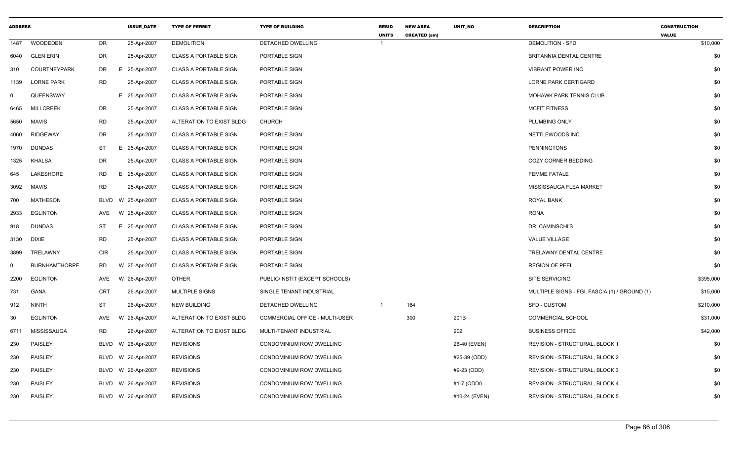| <b>ADDRESS</b> |                      |             | <b>ISSUE_DATE</b>  | <b>TYPE OF PERMIT</b>        | <b>TYPE OF BUILDING</b>         | <b>RESID</b><br><b>UNITS</b> | <b>NEW AREA</b><br><b>CREATED (sm)</b> | UNIT_NO       | <b>DESCRIPTION</b>                            | <b>CONSTRUCTION</b><br><b>VALUE</b> |
|----------------|----------------------|-------------|--------------------|------------------------------|---------------------------------|------------------------------|----------------------------------------|---------------|-----------------------------------------------|-------------------------------------|
| 1487           | <b>WOODEDEN</b>      | DR          | 25-Apr-2007        | <b>DEMOLITION</b>            | DETACHED DWELLING               | 1                            |                                        |               | <b>DEMOLITION - SFD</b>                       | \$10,000                            |
| 6040           | <b>GLEN ERIN</b>     | DR          | 25-Apr-2007        | <b>CLASS A PORTABLE SIGN</b> | PORTABLE SIGN                   |                              |                                        |               | BRITANNIA DENTAL CENTRE                       | \$0                                 |
| 310            | <b>COURTNEYPARK</b>  | DR.         | E 25-Apr-2007      | <b>CLASS A PORTABLE SIGN</b> | PORTABLE SIGN                   |                              |                                        |               | <b>VIBRANT POWER INC.</b>                     | \$0                                 |
| 1139           | <b>LORNE PARK</b>    | RD          | 25-Apr-2007        | <b>CLASS A PORTABLE SIGN</b> | PORTABLE SIGN                   |                              |                                        |               | <b>LORNE PARK CERTIGARD</b>                   | \$0                                 |
| $\mathbf 0$    | QUEENSWAY            |             | E 25-Apr-2007      | <b>CLASS A PORTABLE SIGN</b> | PORTABLE SIGN                   |                              |                                        |               | MOHAWK PARK TENNIS CLUB                       | \$0                                 |
| 6465           | <b>MILLCREEK</b>     | DR          | 25-Apr-2007        | <b>CLASS A PORTABLE SIGN</b> | PORTABLE SIGN                   |                              |                                        |               | <b>MCFIT FITNESS</b>                          | \$0                                 |
| 5650           | MAVIS                | <b>RD</b>   | 25-Apr-2007        | ALTERATION TO EXIST BLDG     | <b>CHURCH</b>                   |                              |                                        |               | PLUMBING ONLY                                 | \$0                                 |
| 4060           | <b>RIDGEWAY</b>      | DR          | 25-Apr-2007        | <b>CLASS A PORTABLE SIGN</b> | PORTABLE SIGN                   |                              |                                        |               | NETTLEWOODS INC.                              | \$0                                 |
| 1970           | <b>DUNDAS</b>        | ST          | E 25-Apr-2007      | <b>CLASS A PORTABLE SIGN</b> | PORTABLE SIGN                   |                              |                                        |               | <b>PENNINGTONS</b>                            | \$0                                 |
| 1325           | <b>KHALSA</b>        | DR          | 25-Apr-2007        | <b>CLASS A PORTABLE SIGN</b> | PORTABLE SIGN                   |                              |                                        |               | <b>COZY CORNER BEDDING</b>                    | \$0                                 |
| 645            | LAKESHORE            | RD          | E 25-Apr-2007      | <b>CLASS A PORTABLE SIGN</b> | PORTABLE SIGN                   |                              |                                        |               | <b>FEMME FATALE</b>                           | \$0                                 |
| 3092           | <b>MAVIS</b>         | <b>RD</b>   | 25-Apr-2007        | <b>CLASS A PORTABLE SIGN</b> | PORTABLE SIGN                   |                              |                                        |               | MISSISSAUGA FLEA MARKET                       | \$0                                 |
| 700            | <b>MATHESON</b>      | <b>BLVD</b> | W 25-Apr-2007      | <b>CLASS A PORTABLE SIGN</b> | PORTABLE SIGN                   |                              |                                        |               | <b>ROYAL BANK</b>                             | \$0                                 |
| 2933           | <b>EGLINTON</b>      | AVE         | W 25-Apr-2007      | <b>CLASS A PORTABLE SIGN</b> | PORTABLE SIGN                   |                              |                                        |               | <b>RONA</b>                                   | \$0                                 |
| 918            | <b>DUNDAS</b>        | ST          | E 25-Apr-2007      | <b>CLASS A PORTABLE SIGN</b> | PORTABLE SIGN                   |                              |                                        |               | DR. CAMINSCHI'S                               | \$0                                 |
| 3130           | <b>DIXIE</b>         | RD          | 25-Apr-2007        | <b>CLASS A PORTABLE SIGN</b> | PORTABLE SIGN                   |                              |                                        |               | VALUE VILLAGE                                 | \$0                                 |
| 3899           | TRELAWNY             | <b>CIR</b>  | 25-Apr-2007        | <b>CLASS A PORTABLE SIGN</b> | PORTABLE SIGN                   |                              |                                        |               | TRELAWNY DENTAL CENTRE                        | \$0                                 |
| $\mathbf 0$    | <b>BURNHAMTHORPE</b> | <b>RD</b>   | W 25-Apr-2007      | <b>CLASS A PORTABLE SIGN</b> | PORTABLE SIGN                   |                              |                                        |               | <b>REGION OF PEEL</b>                         | \$0                                 |
| 2200           | <b>EGLINTON</b>      | AVE         | W 26-Apr-2007      | <b>OTHER</b>                 | PUBLIC/INSTIT (EXCEPT SCHOOLS)  |                              |                                        |               | SITE SERVICING                                | \$395,000                           |
| 731            | GANA                 | CRT         | 26-Apr-2007        | MULTIPLE SIGNS               | SINGLE TENANT INDUSTRIAL        |                              |                                        |               | MULTIPLE SIGNS - FGI, FASCIA (1) / GROUND (1) | \$15,000                            |
| 912            | <b>NINTH</b>         | ST          | 26-Apr-2007        | <b>NEW BUILDING</b>          | DETACHED DWELLING               |                              | 164                                    |               | <b>SFD - CUSTOM</b>                           | \$210,000                           |
| 30             | <b>EGLINTON</b>      | AVE         | W 26-Apr-2007      | ALTERATION TO EXIST BLDG     | COMMERCIAL OFFICE - MULTI-USER  |                              | 300                                    | 201B          | <b>COMMERCIAL SCHOOL</b>                      | \$31,000                            |
| 6711           | MISSISSAUGA          | <b>RD</b>   | 26-Apr-2007        | ALTERATION TO EXIST BLDG     | MULTI-TENANT INDUSTRIAL         |                              |                                        | 202           | <b>BUSINESS OFFICE</b>                        | \$42,000                            |
| 230            | PAISLEY              | BLVD        | W 26-Apr-2007      | <b>REVISIONS</b>             | CONDOMINIUM ROW DWELLING        |                              |                                        | 26-40 (EVEN)  | REVISION - STRUCTURAL, BLOCK 1                | \$0                                 |
| 230            | PAISLEY              | BLVD        | W 26-Apr-2007      | <b>REVISIONS</b>             | CONDOMINIUM ROW DWELLING        |                              |                                        | #25-39 (ODD)  | REVISION - STRUCTURAL, BLOCK 2                | \$0                                 |
| 230            | PAISLEY              | BLVD        | W 26-Apr-2007      | <b>REVISIONS</b>             | CONDOMINIUM ROW DWELLING        |                              |                                        | #9-23 (ODD)   | REVISION - STRUCTURAL, BLOCK 3                | \$0                                 |
| 230            | PAISLEY              | BLVD        | W 26-Apr-2007      | <b>REVISIONS</b>             | CONDOMINIUM ROW DWELLING        |                              |                                        | #1-7 (ODD0    | REVISION - STRUCTURAL, BLOCK 4                | \$0                                 |
| 230            | PAISLEY              |             | BLVD W 26-Apr-2007 | <b>REVISIONS</b>             | <b>CONDOMINIUM ROW DWELLING</b> |                              |                                        | #10-24 (EVEN) | REVISION - STRUCTURAL, BLOCK 5                | \$0                                 |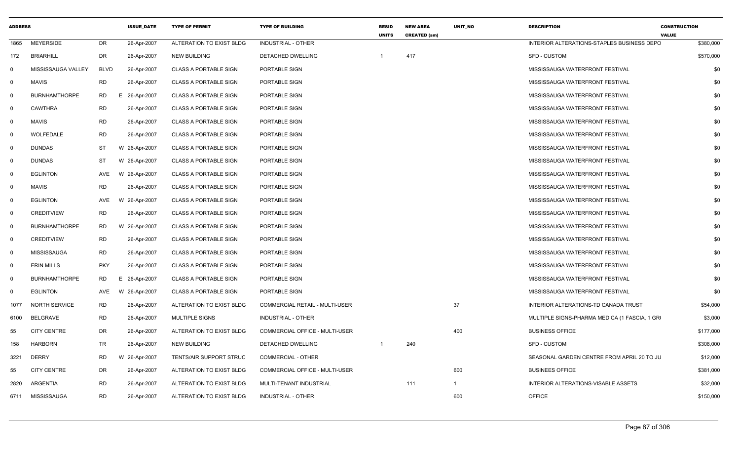| <b>ADDRESS</b> |                      |             | <b>ISSUE DATE</b> | <b>TYPE OF PERMIT</b>        | <b>TYPE OF BUILDING</b>               | <b>RESID</b><br><b>UNITS</b> | <b>NEW AREA</b><br><b>CREATED (sm)</b> | UNIT_NO      | <b>DESCRIPTION</b>                            | <b>CONSTRUCTION</b><br><b>VALUE</b> |
|----------------|----------------------|-------------|-------------------|------------------------------|---------------------------------------|------------------------------|----------------------------------------|--------------|-----------------------------------------------|-------------------------------------|
| 1865           | <b>MEYERSIDE</b>     | DR          | 26-Apr-2007       | ALTERATION TO EXIST BLDG     | <b>INDUSTRIAL - OTHER</b>             |                              |                                        |              | INTERIOR ALTERATIONS-STAPLES BUSINESS DEPO    | \$380,000                           |
| 172            | <b>BRIARHILL</b>     | DR          | 26-Apr-2007       | <b>NEW BUILDING</b>          | DETACHED DWELLING                     | $\mathbf{1}$                 | 417                                    |              | SFD - CUSTOM                                  | \$570,000                           |
| 0              | MISSISSAUGA VALLEY   | <b>BLVD</b> | 26-Apr-2007       | <b>CLASS A PORTABLE SIGN</b> | PORTABLE SIGN                         |                              |                                        |              | MISSISSAUGA WATERFRONT FESTIVAL               | \$0                                 |
| $\mathbf 0$    | <b>MAVIS</b>         | <b>RD</b>   | 26-Apr-2007       | <b>CLASS A PORTABLE SIGN</b> | PORTABLE SIGN                         |                              |                                        |              | MISSISSAUGA WATERFRONT FESTIVAL               | \$0                                 |
| $\mathbf 0$    | <b>BURNHAMTHORPE</b> | <b>RD</b>   | E 26-Apr-2007     | <b>CLASS A PORTABLE SIGN</b> | PORTABLE SIGN                         |                              |                                        |              | MISSISSAUGA WATERFRONT FESTIVAL               | \$0                                 |
| $\Omega$       | <b>CAWTHRA</b>       | <b>RD</b>   | 26-Apr-2007       | <b>CLASS A PORTABLE SIGN</b> | PORTABLE SIGN                         |                              |                                        |              | MISSISSAUGA WATERFRONT FESTIVAL               | \$0                                 |
| $\mathbf 0$    | <b>MAVIS</b>         | <b>RD</b>   | 26-Apr-2007       | <b>CLASS A PORTABLE SIGN</b> | PORTABLE SIGN                         |                              |                                        |              | MISSISSAUGA WATERFRONT FESTIVAL               | \$0                                 |
| 0              | WOLFEDALE            | <b>RD</b>   | 26-Apr-2007       | <b>CLASS A PORTABLE SIGN</b> | PORTABLE SIGN                         |                              |                                        |              | MISSISSAUGA WATERFRONT FESTIVAL               | \$0                                 |
| $\mathbf 0$    | <b>DUNDAS</b>        | ST          | W 26-Apr-2007     | <b>CLASS A PORTABLE SIGN</b> | PORTABLE SIGN                         |                              |                                        |              | MISSISSAUGA WATERFRONT FESTIVAL               | \$0                                 |
| $\Omega$       | <b>DUNDAS</b>        | <b>ST</b>   | W 26-Apr-2007     | <b>CLASS A PORTABLE SIGN</b> | PORTABLE SIGN                         |                              |                                        |              | MISSISSAUGA WATERFRONT FESTIVAL               | \$0                                 |
| $\mathbf 0$    | <b>EGLINTON</b>      | AVE         | W 26-Apr-2007     | <b>CLASS A PORTABLE SIGN</b> | PORTABLE SIGN                         |                              |                                        |              | MISSISSAUGA WATERFRONT FESTIVAL               | \$0                                 |
| $\mathbf 0$    | <b>MAVIS</b>         | <b>RD</b>   | 26-Apr-2007       | <b>CLASS A PORTABLE SIGN</b> | PORTABLE SIGN                         |                              |                                        |              | MISSISSAUGA WATERFRONT FESTIVAL               | \$0                                 |
| 0              | <b>EGLINTON</b>      | AVE         | W 26-Apr-2007     | <b>CLASS A PORTABLE SIGN</b> | PORTABLE SIGN                         |                              |                                        |              | MISSISSAUGA WATERFRONT FESTIVAL               | \$0                                 |
| $\mathbf 0$    | <b>CREDITVIEW</b>    | <b>RD</b>   | 26-Apr-2007       | <b>CLASS A PORTABLE SIGN</b> | PORTABLE SIGN                         |                              |                                        |              | MISSISSAUGA WATERFRONT FESTIVAL               | \$0                                 |
| $\mathbf 0$    | <b>BURNHAMTHORPE</b> | RD.         | W 26-Apr-2007     | <b>CLASS A PORTABLE SIGN</b> | PORTABLE SIGN                         |                              |                                        |              | MISSISSAUGA WATERFRONT FESTIVAL               | \$0                                 |
| $\mathbf 0$    | <b>CREDITVIEW</b>    | <b>RD</b>   | 26-Apr-2007       | <b>CLASS A PORTABLE SIGN</b> | PORTABLE SIGN                         |                              |                                        |              | MISSISSAUGA WATERFRONT FESTIVAL               | \$0                                 |
| 0              | <b>MISSISSAUGA</b>   | <b>RD</b>   | 26-Apr-2007       | <b>CLASS A PORTABLE SIGN</b> | PORTABLE SIGN                         |                              |                                        |              | MISSISSAUGA WATERFRONT FESTIVAL               | \$0                                 |
| $\mathbf 0$    | <b>ERIN MILLS</b>    | <b>PKY</b>  | 26-Apr-2007       | <b>CLASS A PORTABLE SIGN</b> | PORTABLE SIGN                         |                              |                                        |              | MISSISSAUGA WATERFRONT FESTIVAL               | \$0                                 |
| $\mathbf 0$    | <b>BURNHAMTHORPE</b> | <b>RD</b>   | Е.<br>26-Apr-2007 | <b>CLASS A PORTABLE SIGN</b> | PORTABLE SIGN                         |                              |                                        |              | MISSISSAUGA WATERFRONT FESTIVAL               | \$0                                 |
| 0              | <b>EGLINTON</b>      | AVE         | W 26-Apr-2007     | <b>CLASS A PORTABLE SIGN</b> | PORTABLE SIGN                         |                              |                                        |              | MISSISSAUGA WATERFRONT FESTIVAL               | \$0                                 |
| 1077           | <b>NORTH SERVICE</b> | <b>RD</b>   | 26-Apr-2007       | ALTERATION TO EXIST BLDG     | <b>COMMERCIAL RETAIL - MULTI-USER</b> |                              |                                        | 37           | INTERIOR ALTERATIONS-TD CANADA TRUST          | \$54,000                            |
| 6100           | BELGRAVE             | RD          | 26-Apr-2007       | <b>MULTIPLE SIGNS</b>        | INDUSTRIAL - OTHER                    |                              |                                        |              | MULTIPLE SIGNS-PHARMA MEDICA (1 FASCIA, 1 GRI | \$3,000                             |
| 55             | <b>CITY CENTRE</b>   | <b>DR</b>   | 26-Apr-2007       | ALTERATION TO EXIST BLDG     | COMMERCIAL OFFICE - MULTI-USER        |                              |                                        | 400          | <b>BUSINESS OFFICE</b>                        | \$177,000                           |
| 158            | <b>HARBORN</b>       | TR          | 26-Apr-2007       | <b>NEW BUILDING</b>          | DETACHED DWELLING                     |                              | 240                                    |              | <b>SFD - CUSTOM</b>                           | \$308,000                           |
| 3221           | <b>DERRY</b>         | <b>RD</b>   | W 26-Apr-2007     | TENTS/AIR SUPPORT STRUC      | <b>COMMERCIAL - OTHER</b>             |                              |                                        |              | SEASONAL GARDEN CENTRE FROM APRIL 20 TO JU    | \$12,000                            |
| 55             | <b>CITY CENTRE</b>   | DR          | 26-Apr-2007       | ALTERATION TO EXIST BLDG     | COMMERCIAL OFFICE - MULTI-USER        |                              |                                        | 600          | <b>BUSINEES OFFICE</b>                        | \$381,000                           |
| 2820           | <b>ARGENTIA</b>      | <b>RD</b>   | 26-Apr-2007       | ALTERATION TO EXIST BLDG     | MULTI-TENANT INDUSTRIAL               |                              | 111                                    | $\mathbf{1}$ | INTERIOR ALTERATIONS-VISABLE ASSETS           | \$32,000                            |
| 6711           | MISSISSAUGA          | <b>RD</b>   | 26-Apr-2007       | ALTERATION TO EXIST BLDG     | INDUSTRIAL - OTHER                    |                              |                                        | 600          | <b>OFFICE</b>                                 | \$150,000                           |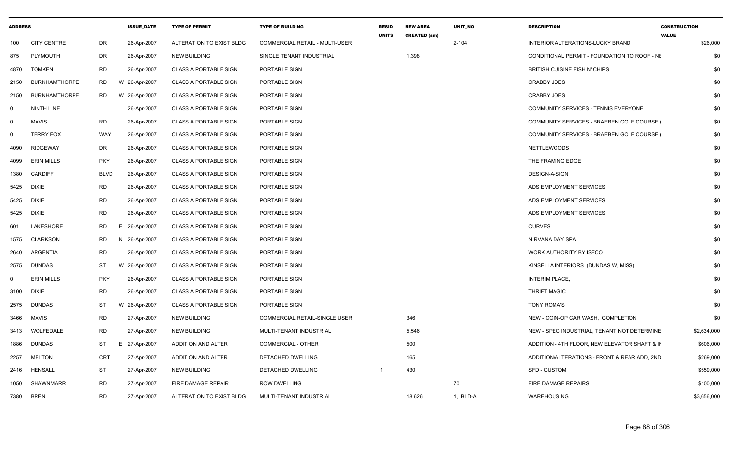| <b>ADDRESS</b> |                      |             | <b>ISSUE_DATE</b> | <b>TYPE OF PERMIT</b>        | <b>TYPE OF BUILDING</b>               | <b>RESID</b><br><b>UNITS</b> | <b>NEW AREA</b><br><b>CREATED (sm)</b> | UNIT_NO   | <b>DESCRIPTION</b>                              | <b>CONSTRUCTION</b><br><b>VALUE</b> |             |
|----------------|----------------------|-------------|-------------------|------------------------------|---------------------------------------|------------------------------|----------------------------------------|-----------|-------------------------------------------------|-------------------------------------|-------------|
| 100            | <b>CITY CENTRE</b>   | DR          | 26-Apr-2007       | ALTERATION TO EXIST BLDG     | <b>COMMERCIAL RETAIL - MULTI-USER</b> |                              |                                        | $2 - 104$ | INTERIOR ALTERATIONS-LUCKY BRAND                |                                     | \$26,000    |
| 875            | PLYMOUTH             | DR          | 26-Apr-2007       | <b>NEW BUILDING</b>          | SINGLE TENANT INDUSTRIAL              |                              | 1,398                                  |           | CONDITIONAL PERMIT - FOUNDATION TO ROOF - NE    |                                     | \$0         |
| 4870           | <b>TOMKEN</b>        | <b>RD</b>   | 26-Apr-2007       | <b>CLASS A PORTABLE SIGN</b> | PORTABLE SIGN                         |                              |                                        |           | BRITISH CUISINE FISH N' CHIPS                   |                                     | \$0         |
| 2150           | <b>BURNHAMTHORPE</b> | <b>RD</b>   | W 26-Apr-2007     | <b>CLASS A PORTABLE SIGN</b> | PORTABLE SIGN                         |                              |                                        |           | <b>CRABBY JOES</b>                              |                                     | \$0         |
| 2150           | <b>BURNHAMTHORPE</b> | RD          | W 26-Apr-2007     | <b>CLASS A PORTABLE SIGN</b> | PORTABLE SIGN                         |                              |                                        |           | <b>CRABBY JOES</b>                              |                                     | \$0         |
| $\Omega$       | <b>NINTH LINE</b>    |             | 26-Apr-2007       | <b>CLASS A PORTABLE SIGN</b> | PORTABLE SIGN                         |                              |                                        |           | COMMUNITY SERVICES - TENNIS EVERYONE            |                                     | \$0         |
| $\Omega$       | <b>MAVIS</b>         | <b>RD</b>   | 26-Apr-2007       | <b>CLASS A PORTABLE SIGN</b> | PORTABLE SIGN                         |                              |                                        |           | COMMUNITY SERVICES - BRAEBEN GOLF COURSE (      |                                     | \$0         |
| $\Omega$       | <b>TERRY FOX</b>     | WAY         | 26-Apr-2007       | <b>CLASS A PORTABLE SIGN</b> | PORTABLE SIGN                         |                              |                                        |           | <b>COMMUNITY SERVICES - BRAEBEN GOLF COURSE</b> |                                     | \$0         |
| 4090           | RIDGEWAY             | DR          | 26-Apr-2007       | <b>CLASS A PORTABLE SIGN</b> | PORTABLE SIGN                         |                              |                                        |           | <b>NETTLEWOODS</b>                              |                                     | \$0         |
| 4099           | <b>ERIN MILLS</b>    | <b>PKY</b>  | 26-Apr-2007       | <b>CLASS A PORTABLE SIGN</b> | PORTABLE SIGN                         |                              |                                        |           | THE FRAMING EDGE                                |                                     | \$0         |
| 1380           | <b>CARDIFF</b>       | <b>BLVD</b> | 26-Apr-2007       | <b>CLASS A PORTABLE SIGN</b> | PORTABLE SIGN                         |                              |                                        |           | <b>DESIGN-A-SIGN</b>                            |                                     | \$0         |
| 5425           | DIXIE                | <b>RD</b>   | 26-Apr-2007       | <b>CLASS A PORTABLE SIGN</b> | PORTABLE SIGN                         |                              |                                        |           | ADS EMPLOYMENT SERVICES                         |                                     | \$0         |
| 5425           | DIXIE                | <b>RD</b>   | 26-Apr-2007       | <b>CLASS A PORTABLE SIGN</b> | PORTABLE SIGN                         |                              |                                        |           | ADS EMPLOYMENT SERVICES                         |                                     | \$0         |
| 5425           | <b>DIXIE</b>         | <b>RD</b>   | 26-Apr-2007       | <b>CLASS A PORTABLE SIGN</b> | PORTABLE SIGN                         |                              |                                        |           | ADS EMPLOYMENT SERVICES                         |                                     | \$0         |
| 601            | LAKESHORE            | <b>RD</b>   | E 26-Apr-2007     | <b>CLASS A PORTABLE SIGN</b> | PORTABLE SIGN                         |                              |                                        |           | <b>CURVES</b>                                   |                                     | \$0         |
| 1575           | <b>CLARKSON</b>      | <b>RD</b>   | N 26-Apr-2007     | <b>CLASS A PORTABLE SIGN</b> | PORTABLE SIGN                         |                              |                                        |           | NIRVANA DAY SPA                                 |                                     | \$0         |
| 2640           | ARGENTIA             | <b>RD</b>   | 26-Apr-2007       | <b>CLASS A PORTABLE SIGN</b> | PORTABLE SIGN                         |                              |                                        |           | WORK AUTHORITY BY ISECO                         |                                     | \$0         |
| 2575           | DUNDAS               | ST          | W 26-Apr-2007     | <b>CLASS A PORTABLE SIGN</b> | PORTABLE SIGN                         |                              |                                        |           | KINSELLA INTERIORS (DUNDAS W, MISS)             |                                     | \$0         |
| $\Omega$       | <b>ERIN MILLS</b>    | <b>PKY</b>  | 26-Apr-2007       | <b>CLASS A PORTABLE SIGN</b> | PORTABLE SIGN                         |                              |                                        |           | <b>INTERIM PLACE,</b>                           |                                     | \$0         |
| 3100           | DIXIE                | <b>RD</b>   | 26-Apr-2007       | <b>CLASS A PORTABLE SIGN</b> | PORTABLE SIGN                         |                              |                                        |           | <b>THRIFT MAGIC</b>                             |                                     | \$0         |
| 2575           | <b>DUNDAS</b>        | ST          | W 26-Apr-2007     | <b>CLASS A PORTABLE SIGN</b> | PORTABLE SIGN                         |                              |                                        |           | <b>TONY ROMA'S</b>                              |                                     | \$0         |
| 3466           | MAVIS                | <b>RD</b>   | 27-Apr-2007       | <b>NEW BUILDING</b>          | COMMERCIAL RETAIL-SINGLE USER         |                              | 346                                    |           | NEW - COIN-OP CAR WASH, COMPLETION              |                                     | \$0         |
| 3413           | WOLFEDALE            | <b>RD</b>   | 27-Apr-2007       | <b>NEW BUILDING</b>          | MULTI-TENANT INDUSTRIAL               |                              | 5,546                                  |           | NEW - SPEC INDUSTRIAL, TENANT NOT DETERMINE     |                                     | \$2,634,000 |
| 1886           | <b>DUNDAS</b>        | ST          | E 27-Apr-2007     | ADDITION AND ALTER           | COMMERCIAL - OTHER                    |                              | 500                                    |           | ADDITION - 4TH FLOOR, NEW ELEVATOR SHAFT & IN   |                                     | \$606,000   |
| 2257           | <b>MELTON</b>        | CRT         | 27-Apr-2007       | ADDITION AND ALTER           | DETACHED DWELLING                     |                              | 165                                    |           | ADDITION/ALTERATIONS - FRONT & REAR ADD, 2ND    |                                     | \$269,000   |
| 2416           | HENSALL              | ST          | 27-Apr-2007       | <b>NEW BUILDING</b>          | DETACHED DWELLING                     | $\overline{1}$               | 430                                    |           | SFD - CUSTOM                                    |                                     | \$559,000   |
| 1050           | SHAWNMARR            | <b>RD</b>   | 27-Apr-2007       | FIRE DAMAGE REPAIR           | <b>ROW DWELLING</b>                   |                              |                                        | 70        | FIRE DAMAGE REPAIRS                             |                                     | \$100,000   |
| 7380           | <b>BREN</b>          | <b>RD</b>   | 27-Apr-2007       | ALTERATION TO EXIST BLDG     | MULTI-TENANT INDUSTRIAL               |                              | 18,626                                 | 1, BLD-A  | WAREHOUSING                                     |                                     | \$3,656,000 |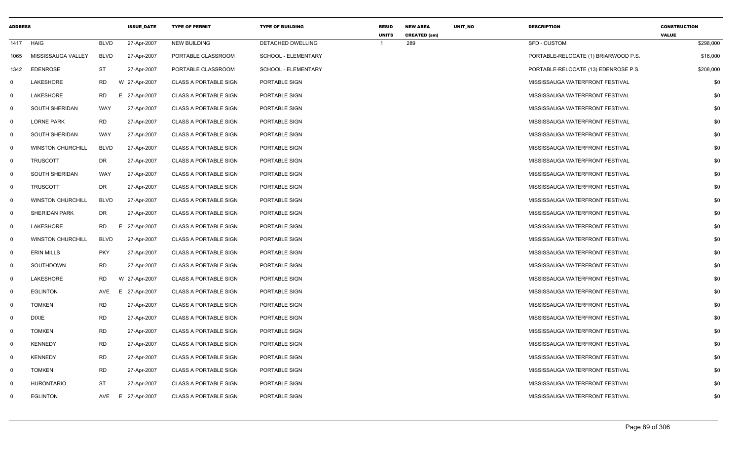| <b>ADDRESS</b> |                          |             | <b>ISSUE_DATE</b> | <b>TYPE OF PERMIT</b>        | <b>TYPE OF BUILDING</b> | <b>RESID</b> | <b>NEW AREA</b>            | UNIT_NO | <b>DESCRIPTION</b>                   | <b>CONSTRUCTION</b><br><b>VALUE</b> |
|----------------|--------------------------|-------------|-------------------|------------------------------|-------------------------|--------------|----------------------------|---------|--------------------------------------|-------------------------------------|
| 1417           | HAIG                     | <b>BLVD</b> | 27-Apr-2007       | <b>NEW BUILDING</b>          | DETACHED DWELLING       | <b>UNITS</b> | <b>CREATED (sm)</b><br>289 |         | <b>SFD - CUSTOM</b>                  | \$298,000                           |
| 1065           | MISSISSAUGA VALLEY       | <b>BLVD</b> | 27-Apr-2007       | PORTABLE CLASSROOM           | SCHOOL - ELEMENTARY     |              |                            |         | PORTABLE-RELOCATE (1) BRIARWOOD P.S. | \$16,000                            |
| 1342           | <b>EDENROSE</b>          | <b>ST</b>   | 27-Apr-2007       | PORTABLE CLASSROOM           | SCHOOL - ELEMENTARY     |              |                            |         | PORTABLE-RELOCATE (13) EDENROSE P.S. | \$208,000                           |
| $\Omega$       | LAKESHORE                | <b>RD</b>   | W 27-Apr-2007     | <b>CLASS A PORTABLE SIGN</b> | PORTABLE SIGN           |              |                            |         | MISSISSAUGA WATERFRONT FESTIVAL      | \$0                                 |
| $\Omega$       | LAKESHORE                | RD          | 27-Apr-2007<br>E. | <b>CLASS A PORTABLE SIGN</b> | PORTABLE SIGN           |              |                            |         | MISSISSAUGA WATERFRONT FESTIVAL      | \$0                                 |
| 0              | SOUTH SHERIDAN           | WAY         | 27-Apr-2007       | <b>CLASS A PORTABLE SIGN</b> | PORTABLE SIGN           |              |                            |         | MISSISSAUGA WATERFRONT FESTIVAL      | \$0                                 |
| $\mathbf 0$    | <b>LORNE PARK</b>        | <b>RD</b>   | 27-Apr-2007       | <b>CLASS A PORTABLE SIGN</b> | PORTABLE SIGN           |              |                            |         | MISSISSAUGA WATERFRONT FESTIVAL      | \$0                                 |
| $\mathbf 0$    | SOUTH SHERIDAN           | WAY         | 27-Apr-2007       | <b>CLASS A PORTABLE SIGN</b> | PORTABLE SIGN           |              |                            |         | MISSISSAUGA WATERFRONT FESTIVAL      | \$0                                 |
| $\mathbf 0$    | <b>WINSTON CHURCHILL</b> | BLVD        | 27-Apr-2007       | <b>CLASS A PORTABLE SIGN</b> | PORTABLE SIGN           |              |                            |         | MISSISSAUGA WATERFRONT FESTIVAL      | \$0                                 |
| $\mathbf 0$    | <b>TRUSCOTT</b>          | DR          | 27-Apr-2007       | <b>CLASS A PORTABLE SIGN</b> | PORTABLE SIGN           |              |                            |         | MISSISSAUGA WATERFRONT FESTIVAL      | \$0                                 |
| $\mathbf 0$    | SOUTH SHERIDAN           | WAY         | 27-Apr-2007       | <b>CLASS A PORTABLE SIGN</b> | PORTABLE SIGN           |              |                            |         | MISSISSAUGA WATERFRONT FESTIVAL      | \$0                                 |
| $\mathbf 0$    | <b>TRUSCOTT</b>          | DR          | 27-Apr-2007       | <b>CLASS A PORTABLE SIGN</b> | PORTABLE SIGN           |              |                            |         | MISSISSAUGA WATERFRONT FESTIVAL      | \$0                                 |
| $\mathbf 0$    | <b>WINSTON CHURCHILL</b> | <b>BLVD</b> | 27-Apr-2007       | <b>CLASS A PORTABLE SIGN</b> | PORTABLE SIGN           |              |                            |         | MISSISSAUGA WATERFRONT FESTIVAL      | \$0                                 |
| 0              | <b>SHERIDAN PARK</b>     | DR          | 27-Apr-2007       | <b>CLASS A PORTABLE SIGN</b> | PORTABLE SIGN           |              |                            |         | MISSISSAUGA WATERFRONT FESTIVAL      | \$0                                 |
| $\mathbf 0$    | LAKESHORE                | RD.         | 27-Apr-2007<br>E. | <b>CLASS A PORTABLE SIGN</b> | PORTABLE SIGN           |              |                            |         | MISSISSAUGA WATERFRONT FESTIVAL      | \$0                                 |
| $\mathbf 0$    | <b>WINSTON CHURCHILL</b> | <b>BLVD</b> | 27-Apr-2007       | <b>CLASS A PORTABLE SIGN</b> | PORTABLE SIGN           |              |                            |         | MISSISSAUGA WATERFRONT FESTIVAL      | \$0                                 |
| $\mathbf 0$    | <b>ERIN MILLS</b>        | <b>PKY</b>  | 27-Apr-2007       | <b>CLASS A PORTABLE SIGN</b> | PORTABLE SIGN           |              |                            |         | MISSISSAUGA WATERFRONT FESTIVAL      | \$0                                 |
| 0              | SOUTHDOWN                | RD.         | 27-Apr-2007       | <b>CLASS A PORTABLE SIGN</b> | PORTABLE SIGN           |              |                            |         | MISSISSAUGA WATERFRONT FESTIVAL      | \$0                                 |
| 0              | LAKESHORE                | <b>RD</b>   | W 27-Apr-2007     | <b>CLASS A PORTABLE SIGN</b> | PORTABLE SIGN           |              |                            |         | MISSISSAUGA WATERFRONT FESTIVAL      | \$0                                 |
| $\mathbf 0$    | <b>EGLINTON</b>          | AVE         | E<br>27-Apr-2007  | <b>CLASS A PORTABLE SIGN</b> | PORTABLE SIGN           |              |                            |         | MISSISSAUGA WATERFRONT FESTIVAL      | \$0                                 |
| $\mathbf 0$    | <b>TOMKEN</b>            | RD          | 27-Apr-2007       | <b>CLASS A PORTABLE SIGN</b> | PORTABLE SIGN           |              |                            |         | MISSISSAUGA WATERFRONT FESTIVAL      | \$0                                 |
| $\mathbf 0$    | <b>DIXIE</b>             | <b>RD</b>   | 27-Apr-2007       | <b>CLASS A PORTABLE SIGN</b> | PORTABLE SIGN           |              |                            |         | MISSISSAUGA WATERFRONT FESTIVAL      | \$0                                 |
| 0              | <b>TOMKEN</b>            | <b>RD</b>   | 27-Apr-2007       | <b>CLASS A PORTABLE SIGN</b> | PORTABLE SIGN           |              |                            |         | MISSISSAUGA WATERFRONT FESTIVAL      | \$0                                 |
| 0              | <b>KENNEDY</b>           | <b>RD</b>   | 27-Apr-2007       | <b>CLASS A PORTABLE SIGN</b> | PORTABLE SIGN           |              |                            |         | MISSISSAUGA WATERFRONT FESTIVAL      | \$0                                 |
| $\mathbf 0$    | <b>KENNEDY</b>           | <b>RD</b>   | 27-Apr-2007       | <b>CLASS A PORTABLE SIGN</b> | PORTABLE SIGN           |              |                            |         | MISSISSAUGA WATERFRONT FESTIVAL      | \$0                                 |
| $\mathbf 0$    | <b>TOMKEN</b>            | RD          | 27-Apr-2007       | <b>CLASS A PORTABLE SIGN</b> | PORTABLE SIGN           |              |                            |         | MISSISSAUGA WATERFRONT FESTIVAL      | \$0                                 |
| $\Omega$       | HURONTARIO               | <b>ST</b>   | 27-Apr-2007       | <b>CLASS A PORTABLE SIGN</b> | PORTABLE SIGN           |              |                            |         | MISSISSAUGA WATERFRONT FESTIVAL      | \$0                                 |
| $\Omega$       | <b>EGLINTON</b>          | AVE         | E 27-Apr-2007     | <b>CLASS A PORTABLE SIGN</b> | PORTABLE SIGN           |              |                            |         | MISSISSAUGA WATERFRONT FESTIVAL      | \$0                                 |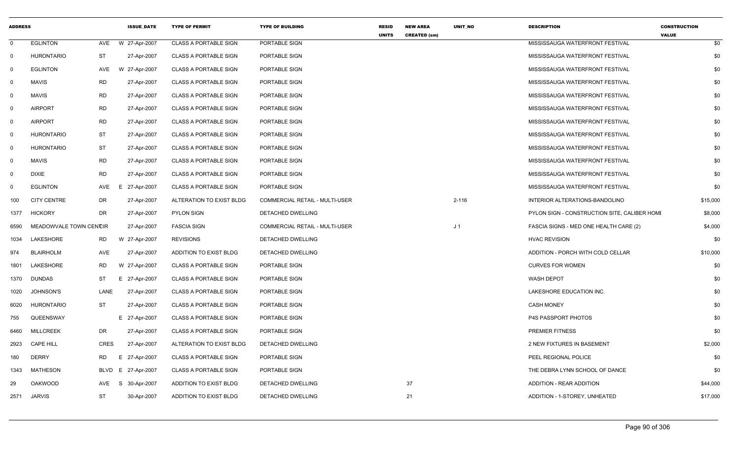| <b>ADDRESS</b> |                        |            | <b>ISSUE DATE</b> | <b>TYPE OF PERMIT</b>        | <b>TYPE OF BUILDING</b>               | <b>RESID</b><br><b>UNITS</b> | <b>NEW AREA</b><br><b>CREATED (sm)</b> | <b>UNIT NO</b> | <b>DESCRIPTION</b>                           | <b>CONSTRUCTION</b><br><b>VALUE</b> |
|----------------|------------------------|------------|-------------------|------------------------------|---------------------------------------|------------------------------|----------------------------------------|----------------|----------------------------------------------|-------------------------------------|
| $\mathbf 0$    | <b>EGLINTON</b>        | AVE        | W 27-Apr-2007     | <b>CLASS A PORTABLE SIGN</b> | PORTABLE SIGN                         |                              |                                        |                | MISSISSAUGA WATERFRONT FESTIVAL              | \$0                                 |
| $\mathbf 0$    | <b>HURONTARIO</b>      | <b>ST</b>  | 27-Apr-2007       | <b>CLASS A PORTABLE SIGN</b> | PORTABLE SIGN                         |                              |                                        |                | MISSISSAUGA WATERFRONT FESTIVAL              | \$0                                 |
| 0              | <b>EGLINTON</b>        | AVE        | W 27-Apr-2007     | <b>CLASS A PORTABLE SIGN</b> | PORTABLE SIGN                         |                              |                                        |                | MISSISSAUGA WATERFRONT FESTIVAL              | \$0                                 |
| $\mathbf{0}$   | MAVIS                  | <b>RD</b>  | 27-Apr-2007       | <b>CLASS A PORTABLE SIGN</b> | PORTABLE SIGN                         |                              |                                        |                | MISSISSAUGA WATERFRONT FESTIVAL              | \$0                                 |
| $\mathbf{0}$   | <b>MAVIS</b>           | <b>RD</b>  | 27-Apr-2007       | <b>CLASS A PORTABLE SIGN</b> | PORTABLE SIGN                         |                              |                                        |                | MISSISSAUGA WATERFRONT FESTIVAL              | \$0                                 |
| $\mathbf 0$    | <b>AIRPORT</b>         | <b>RD</b>  | 27-Apr-2007       | <b>CLASS A PORTABLE SIGN</b> | PORTABLE SIGN                         |                              |                                        |                | MISSISSAUGA WATERFRONT FESTIVAL              | \$0                                 |
| $\mathbf{0}$   | <b>AIRPORT</b>         | RD         | 27-Apr-2007       | <b>CLASS A PORTABLE SIGN</b> | PORTABLE SIGN                         |                              |                                        |                | MISSISSAUGA WATERFRONT FESTIVAL              | \$0                                 |
| $\mathbf 0$    | <b>HURONTARIO</b>      | <b>ST</b>  | 27-Apr-2007       | <b>CLASS A PORTABLE SIGN</b> | PORTABLE SIGN                         |                              |                                        |                | MISSISSAUGA WATERFRONT FESTIVAL              | \$0                                 |
| $\mathbf 0$    | <b>HURONTARIO</b>      | ST         | 27-Apr-2007       | <b>CLASS A PORTABLE SIGN</b> | PORTABLE SIGN                         |                              |                                        |                | MISSISSAUGA WATERFRONT FESTIVAL              | \$0                                 |
| $\mathbf 0$    | <b>MAVIS</b>           | RD         | 27-Apr-2007       | <b>CLASS A PORTABLE SIGN</b> | PORTABLE SIGN                         |                              |                                        |                | MISSISSAUGA WATERFRONT FESTIVAL              | \$0                                 |
| $\mathbf 0$    | <b>DIXIE</b>           | <b>RD</b>  | 27-Apr-2007       | <b>CLASS A PORTABLE SIGN</b> | PORTABLE SIGN                         |                              |                                        |                | MISSISSAUGA WATERFRONT FESTIVAL              | \$0                                 |
| $\Omega$       | <b>EGLINTON</b>        | AVE        | E.<br>27-Apr-2007 | <b>CLASS A PORTABLE SIGN</b> | PORTABLE SIGN                         |                              |                                        |                | MISSISSAUGA WATERFRONT FESTIVAL              | \$0                                 |
| 100            | <b>CITY CENTRE</b>     | DR         | 27-Apr-2007       | ALTERATION TO EXIST BLDG     | <b>COMMERCIAL RETAIL - MULTI-USER</b> |                              |                                        | $2 - 116$      | INTERIOR ALTERATIONS-BANDOLINO               | \$15,000                            |
| 1377           | <b>HICKORY</b>         | DR         | 27-Apr-2007       | PYLON SIGN                   | DETACHED DWELLING                     |                              |                                        |                | PYLON SIGN - CONSTRUCTION SITE, CALIBER HOMI | \$8,000                             |
| 6590           | MEADOWVALE TOWN CENCIR |            | 27-Apr-2007       | <b>FASCIA SIGN</b>           | <b>COMMERCIAL RETAIL - MULTI-USER</b> |                              |                                        | J <sub>1</sub> | FASCIA SIGNS - MED ONE HEALTH CARE (2)       | \$4,000                             |
| 1034           | LAKESHORE              | RD         | W 27-Apr-2007     | <b>REVISIONS</b>             | DETACHED DWELLING                     |                              |                                        |                | <b>HVAC REVISION</b>                         | \$0                                 |
| 974            | <b>BLAIRHOLM</b>       | <b>AVE</b> | 27-Apr-2007       | ADDITION TO EXIST BLDG       | DETACHED DWELLING                     |                              |                                        |                | ADDITION - PORCH WITH COLD CELLAR            | \$10,000                            |
| 1801           | <b>LAKESHORE</b>       | RD         | W 27-Apr-2007     | <b>CLASS A PORTABLE SIGN</b> | PORTABLE SIGN                         |                              |                                        |                | <b>CURVES FOR WOMEN</b>                      | \$0                                 |
| 1370           | <b>DUNDAS</b>          | ST         | E 27-Apr-2007     | <b>CLASS A PORTABLE SIGN</b> | PORTABLE SIGN                         |                              |                                        |                | <b>WASH DEPOT</b>                            | \$0                                 |
| 1020           | <b>JOHNSON'S</b>       | LANE       | 27-Apr-2007       | <b>CLASS A PORTABLE SIGN</b> | PORTABLE SIGN                         |                              |                                        |                | LAKESHORE EDUCATION INC.                     | \$0                                 |
| 6020           | <b>HURONTARIO</b>      | ST         | 27-Apr-2007       | <b>CLASS A PORTABLE SIGN</b> | PORTABLE SIGN                         |                              |                                        |                | <b>CASH MONEY</b>                            | \$0                                 |
| 755            | QUEENSWAY              |            | E 27-Apr-2007     | <b>CLASS A PORTABLE SIGN</b> | PORTABLE SIGN                         |                              |                                        |                | <b>P4S PASSPORT PHOTOS</b>                   | \$0                                 |
| 6460           | <b>MILLCREEK</b>       | DR.        | 27-Apr-2007       | <b>CLASS A PORTABLE SIGN</b> | PORTABLE SIGN                         |                              |                                        |                | PREMIER FITNESS                              | \$0                                 |
| 2923           | <b>CAPE HILL</b>       | CRES       | 27-Apr-2007       | ALTERATION TO EXIST BLDG     | <b>DETACHED DWELLING</b>              |                              |                                        |                | <b>2 NEW FIXTURES IN BASEMENT</b>            | \$2,000                             |
| 180            | <b>DERRY</b>           | <b>RD</b>  | E 27-Apr-2007     | <b>CLASS A PORTABLE SIGN</b> | PORTABLE SIGN                         |                              |                                        |                | PEEL REGIONAL POLICE                         | \$0                                 |
| 1343           | <b>MATHESON</b>        | BLVD       | E 27-Apr-2007     | <b>CLASS A PORTABLE SIGN</b> | PORTABLE SIGN                         |                              |                                        |                | THE DEBRA LYNN SCHOOL OF DANCE               | \$0                                 |
| 29             | <b>OAKWOOD</b>         | AVE        | S 30-Apr-2007     | ADDITION TO EXIST BLDG       | DETACHED DWELLING                     |                              | 37                                     |                | ADDITION - REAR ADDITION                     | \$44,000                            |
| 2571           | <b>JARVIS</b>          | <b>ST</b>  | 30-Apr-2007       | ADDITION TO EXIST BLDG       | <b>DETACHED DWELLING</b>              |                              | 21                                     |                | ADDITION - 1-STOREY, UNHEATED                | \$17,000                            |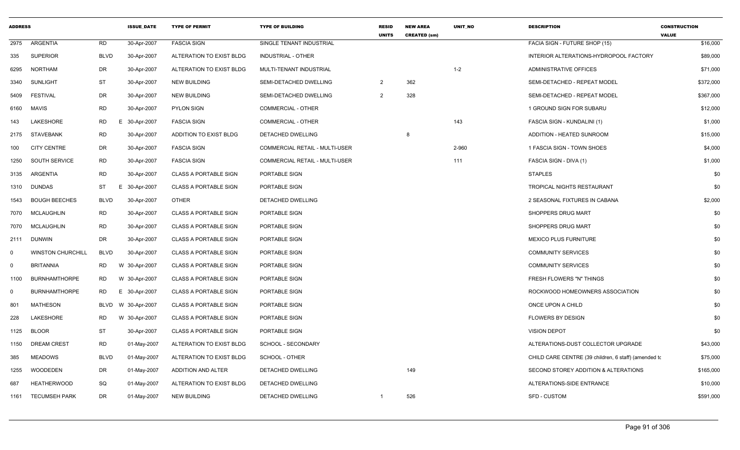| <b>ADDRESS</b> |                          |             | <b>ISSUE DATE</b> | <b>TYPE OF PERMIT</b>        | <b>TYPE OF BUILDING</b>        | <b>RESID</b><br><b>UNITS</b> | <b>NEW AREA</b><br><b>CREATED (sm)</b> | <b>UNIT NO</b> | <b>DESCRIPTION</b>                                   | <b>CONSTRUCTION</b><br><b>VALUE</b> |
|----------------|--------------------------|-------------|-------------------|------------------------------|--------------------------------|------------------------------|----------------------------------------|----------------|------------------------------------------------------|-------------------------------------|
|                | 2975 ARGENTIA            | <b>RD</b>   | 30-Apr-2007       | <b>FASCIA SIGN</b>           | SINGLE TENANT INDUSTRIAL       |                              |                                        |                | FACIA SIGN - FUTURE SHOP (15)                        | \$16,000                            |
| 335            | <b>SUPERIOR</b>          | <b>BLVD</b> | 30-Apr-2007       | ALTERATION TO EXIST BLDG     | <b>INDUSTRIAL - OTHER</b>      |                              |                                        |                | INTERIOR ALTERATIONS-HYDROPOOL FACTORY               | \$89,000                            |
| 6295           | NORTHAM                  | DR          | 30-Apr-2007       | ALTERATION TO EXIST BLDG     | MULTI-TENANT INDUSTRIAL        |                              |                                        | $1 - 2$        | ADMINISTRATIVE OFFICES                               | \$71,000                            |
| 3340           | <b>SUNLIGHT</b>          | <b>ST</b>   | 30-Apr-2007       | <b>NEW BUILDING</b>          | SEMI-DETACHED DWELLING         | $\overline{2}$               | 362                                    |                | SEMI-DETACHED - REPEAT MODEL                         | \$372,000                           |
| 5409           | <b>FESTIVAL</b>          | DR          | 30-Apr-2007       | <b>NEW BUILDING</b>          | SEMI-DETACHED DWELLING         | 2                            | 328                                    |                | SEMI-DETACHED - REPEAT MODEL                         | \$367,000                           |
| 6160           | MAVIS                    | RD          | 30-Apr-2007       | <b>PYLON SIGN</b>            | COMMERCIAL - OTHER             |                              |                                        |                | 1 GROUND SIGN FOR SUBARU                             | \$12,000                            |
| 143            | LAKESHORE                | <b>RD</b>   | E 30-Apr-2007     | <b>FASCIA SIGN</b>           | <b>COMMERCIAL - OTHER</b>      |                              |                                        | 143            | FASCIA SIGN - KUNDALINI (1)                          | \$1,000                             |
|                | 2175 STAVEBANK           | RD          | 30-Apr-2007       | ADDITION TO EXIST BLDG       | DETACHED DWELLING              |                              | 8                                      |                | ADDITION - HEATED SUNROOM                            | \$15,000                            |
| 100            | <b>CITY CENTRE</b>       | DR          | 30-Apr-2007       | <b>FASCIA SIGN</b>           | COMMERCIAL RETAIL - MULTI-USER |                              |                                        | 2-960          | 1 FASCIA SIGN - TOWN SHOES                           | \$4,000                             |
| 1250           | SOUTH SERVICE            | <b>RD</b>   | 30-Apr-2007       | <b>FASCIA SIGN</b>           | COMMERCIAL RETAIL - MULTI-USER |                              |                                        | 111            | FASCIA SIGN - DIVA (1)                               | \$1,000                             |
| 3135           | ARGENTIA                 | <b>RD</b>   | 30-Apr-2007       | <b>CLASS A PORTABLE SIGN</b> | PORTABLE SIGN                  |                              |                                        |                | <b>STAPLES</b>                                       | \$0                                 |
|                | 1310 DUNDAS              | ST          | 30-Apr-2007<br>E. | <b>CLASS A PORTABLE SIGN</b> | PORTABLE SIGN                  |                              |                                        |                | TROPICAL NIGHTS RESTAURANT                           | \$0                                 |
|                | 1543 BOUGH BEECHES       | <b>BLVD</b> | 30-Apr-2007       | <b>OTHER</b>                 | DETACHED DWELLING              |                              |                                        |                | 2 SEASONAL FIXTURES IN CABANA                        | \$2,000                             |
|                | 7070 MCLAUGHLIN          | <b>RD</b>   | 30-Apr-2007       | <b>CLASS A PORTABLE SIGN</b> | PORTABLE SIGN                  |                              |                                        |                | SHOPPERS DRUG MART                                   | \$0                                 |
|                | 7070 MCLAUGHLIN          | <b>RD</b>   | 30-Apr-2007       | <b>CLASS A PORTABLE SIGN</b> | PORTABLE SIGN                  |                              |                                        |                | SHOPPERS DRUG MART                                   | \$0                                 |
|                | 2111 DUNWIN              | DR          | 30-Apr-2007       | <b>CLASS A PORTABLE SIGN</b> | PORTABLE SIGN                  |                              |                                        |                | MEXICO PLUS FURNITURE                                | \$0                                 |
| $\Omega$       | <b>WINSTON CHURCHILL</b> | <b>BLVD</b> | 30-Apr-2007       | <b>CLASS A PORTABLE SIGN</b> | PORTABLE SIGN                  |                              |                                        |                | <b>COMMUNITY SERVICES</b>                            | \$0                                 |
| $\Omega$       | <b>BRITANNIA</b>         | RD          | W 30-Apr-2007     | <b>CLASS A PORTABLE SIGN</b> | PORTABLE SIGN                  |                              |                                        |                | <b>COMMUNITY SERVICES</b>                            | \$0                                 |
| 1100           | <b>BURNHAMTHORPE</b>     | <b>RD</b>   | W 30-Apr-2007     | <b>CLASS A PORTABLE SIGN</b> | PORTABLE SIGN                  |                              |                                        |                | FRESH FLOWERS "N" THINGS                             | \$0                                 |
| $\Omega$       | <b>BURNHAMTHORPE</b>     | <b>RD</b>   | E 30-Apr-2007     | <b>CLASS A PORTABLE SIGN</b> | PORTABLE SIGN                  |                              |                                        |                | ROCKWOOD HOMEOWNERS ASSOCIATION                      | \$0                                 |
| 801            | <b>MATHESON</b>          | BLVD        | W 30-Apr-2007     | <b>CLASS A PORTABLE SIGN</b> | PORTABLE SIGN                  |                              |                                        |                | ONCE UPON A CHILD                                    | \$0                                 |
| 228            | LAKESHORE                | RD          | W 30-Apr-2007     | <b>CLASS A PORTABLE SIGN</b> | PORTABLE SIGN                  |                              |                                        |                | <b>FLOWERS BY DESIGN</b>                             | \$0                                 |
| 1125           | <b>BLOOR</b>             | <b>ST</b>   | 30-Apr-2007       | <b>CLASS A PORTABLE SIGN</b> | PORTABLE SIGN                  |                              |                                        |                | <b>VISION DEPOT</b>                                  | \$0                                 |
| 1150           | <b>DREAM CREST</b>       | <b>RD</b>   | 01-May-2007       | ALTERATION TO EXIST BLDG     | SCHOOL - SECONDARY             |                              |                                        |                | ALTERATIONS-DUST COLLECTOR UPGRADE                   | \$43,000                            |
| 385            | <b>MEADOWS</b>           | <b>BLVD</b> | 01-May-2007       | ALTERATION TO EXIST BLDG     | SCHOOL - OTHER                 |                              |                                        |                | CHILD CARE CENTRE (39 children, 6 staff) (amended to | \$75,000                            |
| 1255           | WOODEDEN                 | DR          | 01-May-2007       | ADDITION AND ALTER           | DETACHED DWELLING              |                              | 149                                    |                | SECOND STOREY ADDITION & ALTERATIONS                 | \$165,000                           |
| 687            | <b>HEATHERWOOD</b>       | SQ          | 01-May-2007       | ALTERATION TO EXIST BLDG     | DETACHED DWELLING              |                              |                                        |                | ALTERATIONS-SIDE ENTRANCE                            | \$10,000                            |
|                | 1161 TECUMSEH PARK       | DR          | 01-May-2007       | <b>NEW BUILDING</b>          | DETACHED DWELLING              | -1                           | 526                                    |                | <b>SFD - CUSTOM</b>                                  | \$591,000                           |
|                |                          |             |                   |                              |                                |                              |                                        |                |                                                      |                                     |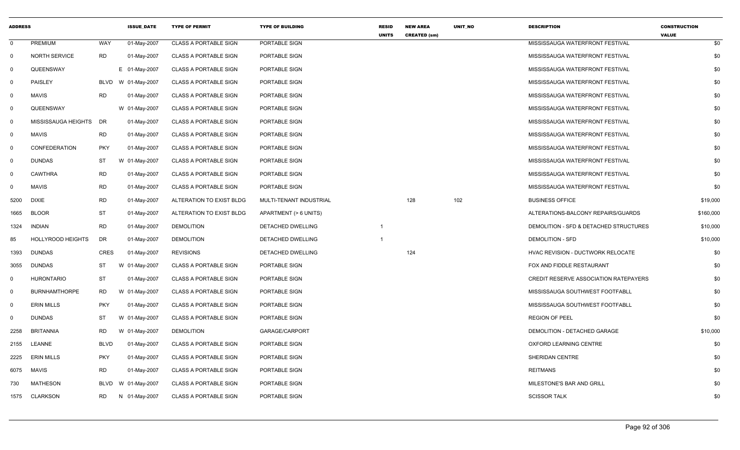| <b>ADDRESS</b> |                          |             | <b>ISSUE DATE</b>  | <b>TYPE OF PERMIT</b>        | <b>TYPE OF BUILDING</b>  | <b>RESID</b><br><b>UNITS</b> | <b>NEW AREA</b><br><b>CREATED (sm)</b> | <b>UNIT NO</b> | <b>DESCRIPTION</b>                     | <b>CONSTRUCTION</b><br><b>VALUE</b> |
|----------------|--------------------------|-------------|--------------------|------------------------------|--------------------------|------------------------------|----------------------------------------|----------------|----------------------------------------|-------------------------------------|
| $\mathbf{0}$   | <b>PREMIUM</b>           | <b>WAY</b>  | 01-May-2007        | <b>CLASS A PORTABLE SIGN</b> | PORTABLE SIGN            |                              |                                        |                | MISSISSAUGA WATERFRONT FESTIVAL        | \$0                                 |
| 0              | <b>NORTH SERVICE</b>     | RD          | 01-May-2007        | <b>CLASS A PORTABLE SIGN</b> | PORTABLE SIGN            |                              |                                        |                | MISSISSAUGA WATERFRONT FESTIVAL        | \$0                                 |
| 0              | QUEENSWAY                |             | E 01-May-2007      | <b>CLASS A PORTABLE SIGN</b> | PORTABLE SIGN            |                              |                                        |                | MISSISSAUGA WATERFRONT FESTIVAL        | \$0                                 |
| $\mathbf 0$    | PAISLEY                  |             | BLVD W 01-May-2007 | <b>CLASS A PORTABLE SIGN</b> | PORTABLE SIGN            |                              |                                        |                | MISSISSAUGA WATERFRONT FESTIVAL        | \$0                                 |
| $\mathbf 0$    | <b>MAVIS</b>             | <b>RD</b>   | 01-May-2007        | <b>CLASS A PORTABLE SIGN</b> | PORTABLE SIGN            |                              |                                        |                | MISSISSAUGA WATERFRONT FESTIVAL        | \$0                                 |
| 0              | QUEENSWAY                |             | W 01-May-2007      | <b>CLASS A PORTABLE SIGN</b> | PORTABLE SIGN            |                              |                                        |                | MISSISSAUGA WATERFRONT FESTIVAL        | \$0                                 |
| 0              | MISSISSAUGA HEIGHTS      | DR          | 01-May-2007        | <b>CLASS A PORTABLE SIGN</b> | PORTABLE SIGN            |                              |                                        |                | MISSISSAUGA WATERFRONT FESTIVAL        | \$0                                 |
| $\mathbf 0$    | <b>MAVIS</b>             | <b>RD</b>   | 01-May-2007        | <b>CLASS A PORTABLE SIGN</b> | PORTABLE SIGN            |                              |                                        |                | MISSISSAUGA WATERFRONT FESTIVAL        | \$0                                 |
| $\mathbf 0$    | CONFEDERATION            | <b>PKY</b>  | 01-May-2007        | <b>CLASS A PORTABLE SIGN</b> | PORTABLE SIGN            |                              |                                        |                | MISSISSAUGA WATERFRONT FESTIVAL        | \$0                                 |
| $\Omega$       | <b>DUNDAS</b>            | <b>ST</b>   | W 01-May-2007      | <b>CLASS A PORTABLE SIGN</b> | PORTABLE SIGN            |                              |                                        |                | MISSISSAUGA WATERFRONT FESTIVAL        | \$0                                 |
| 0              | <b>CAWTHRA</b>           | <b>RD</b>   | 01-May-2007        | <b>CLASS A PORTABLE SIGN</b> | PORTABLE SIGN            |                              |                                        |                | MISSISSAUGA WATERFRONT FESTIVAL        | \$0                                 |
| 0              | <b>MAVIS</b>             | <b>RD</b>   | 01-May-2007        | <b>CLASS A PORTABLE SIGN</b> | PORTABLE SIGN            |                              |                                        |                | MISSISSAUGA WATERFRONT FESTIVAL        | \$0                                 |
| 5200           | <b>DIXIE</b>             | <b>RD</b>   | 01-May-2007        | ALTERATION TO EXIST BLDG     | MULTI-TENANT INDUSTRIAL  |                              | 128                                    | 102            | <b>BUSINESS OFFICE</b>                 | \$19,000                            |
| 1665           | <b>BLOOR</b>             | <b>ST</b>   | 01-May-2007        | ALTERATION TO EXIST BLDG     | APARTMENT (> 6 UNITS)    |                              |                                        |                | ALTERATIONS-BALCONY REPAIRS/GUARDS     | \$160,000                           |
| 1324           | <b>INDIAN</b>            | <b>RD</b>   | 01-May-2007        | <b>DEMOLITION</b>            | <b>DETACHED DWELLING</b> | $\mathbf{1}$                 |                                        |                | DEMOLITION - SFD & DETACHED STRUCTURES | \$10,000                            |
| 85             | <b>HOLLYROOD HEIGHTS</b> | DR          | 01-May-2007        | <b>DEMOLITION</b>            | DETACHED DWELLING        | $\mathbf{1}$                 |                                        |                | <b>DEMOLITION - SFD</b>                | \$10,000                            |
| 1393           | <b>DUNDAS</b>            | <b>CRES</b> | 01-May-2007        | <b>REVISIONS</b>             | DETACHED DWELLING        |                              | 124                                    |                | HVAC REVISION - DUCTWORK RELOCATE      | \$0                                 |
| 3055           | <b>DUNDAS</b>            | ST          | W 01-May-2007      | <b>CLASS A PORTABLE SIGN</b> | PORTABLE SIGN            |                              |                                        |                | FOX AND FIDDLE RESTAURANT              | \$0                                 |
| 0              | <b>HURONTARIO</b>        | <b>ST</b>   | 01-May-2007        | <b>CLASS A PORTABLE SIGN</b> | PORTABLE SIGN            |                              |                                        |                | CREDIT RESERVE ASSOCIATION RATEPAYERS  | \$0                                 |
| $\mathbf 0$    | <b>BURNHAMTHORPE</b>     | <b>RD</b>   | W 01-May-2007      | <b>CLASS A PORTABLE SIGN</b> | PORTABLE SIGN            |                              |                                        |                | MISSISSAUGA SOUTHWEST FOOTFABLL        | \$0                                 |
| $\mathbf 0$    | <b>ERIN MILLS</b>        | <b>PKY</b>  | 01-May-2007        | <b>CLASS A PORTABLE SIGN</b> | PORTABLE SIGN            |                              |                                        |                | MISSISSAUGA SOUTHWEST FOOTFABLL        | \$0                                 |
| $\Omega$       | <b>DUNDAS</b>            | <b>ST</b>   | W 01-May-2007      | <b>CLASS A PORTABLE SIGN</b> | PORTABLE SIGN            |                              |                                        |                | <b>REGION OF PEEL</b>                  | \$0                                 |
| 2258           | <b>BRITANNIA</b>         | <b>RD</b>   | W 01-May-2007      | <b>DEMOLITION</b>            | GARAGE/CARPORT           |                              |                                        |                | DEMOLITION - DETACHED GARAGE           | \$10,000                            |
| 2155           | LEANNE                   | <b>BLVD</b> | 01-May-2007        | <b>CLASS A PORTABLE SIGN</b> | PORTABLE SIGN            |                              |                                        |                | OXFORD LEARNING CENTRE                 | \$0                                 |
| 2225           | <b>ERIN MILLS</b>        | <b>PKY</b>  | 01-May-2007        | <b>CLASS A PORTABLE SIGN</b> | PORTABLE SIGN            |                              |                                        |                | SHERIDAN CENTRE                        | \$0                                 |
| 6075           | <b>MAVIS</b>             | <b>RD</b>   | 01-May-2007        | <b>CLASS A PORTABLE SIGN</b> | PORTABLE SIGN            |                              |                                        |                | <b>REITMANS</b>                        | \$0                                 |
| 730            | <b>MATHESON</b>          | <b>BLVD</b> | W 01-May-2007      | <b>CLASS A PORTABLE SIGN</b> | PORTABLE SIGN            |                              |                                        |                | MILESTONE'S BAR AND GRILL              | \$0                                 |
| 1575           | <b>CLARKSON</b>          | RD          | N 01-May-2007      | <b>CLASS A PORTABLE SIGN</b> | PORTABLE SIGN            |                              |                                        |                | <b>SCISSOR TALK</b>                    | \$0                                 |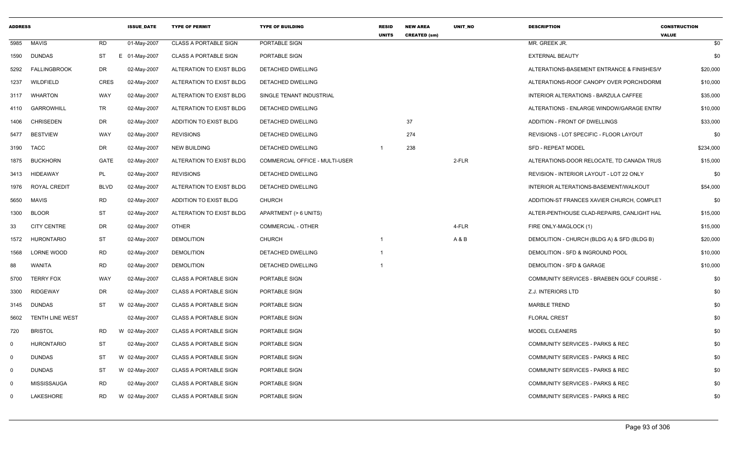| <b>ADDRESS</b> |                        |             | <b>ISSUE DATE</b> | <b>TYPE OF PERMIT</b>        | <b>TYPE OF BUILDING</b>        | <b>RESID</b><br><b>UNITS</b> | <b>NEW AREA</b><br><b>CREATED (sm)</b> | <b>UNIT NO</b> | <b>DESCRIPTION</b>                          | <b>CONSTRUCTION</b><br><b>VALUE</b> |
|----------------|------------------------|-------------|-------------------|------------------------------|--------------------------------|------------------------------|----------------------------------------|----------------|---------------------------------------------|-------------------------------------|
| 5985           | <b>MAVIS</b>           | <b>RD</b>   | 01-May-2007       | <b>CLASS A PORTABLE SIGN</b> | PORTABLE SIGN                  |                              |                                        |                | MR. GREEK JR.                               | \$0                                 |
| 1590           | DUNDAS                 | ST          | E 01-May-2007     | <b>CLASS A PORTABLE SIGN</b> | PORTABLE SIGN                  |                              |                                        |                | <b>EXTERNAL BEAUTY</b>                      | \$0                                 |
| 5292           | <b>FALLINGBROOK</b>    | DR          | 02-May-2007       | ALTERATION TO EXIST BLDG     | DETACHED DWELLING              |                              |                                        |                | ALTERATIONS-BASEMENT ENTRANCE & FINISHES/V  | \$20,000                            |
| 1237           | WILDFIELD              | <b>CRES</b> | 02-May-2007       | ALTERATION TO EXIST BLDG     | DETACHED DWELLING              |                              |                                        |                | ALTERATIONS-ROOF CANOPY OVER PORCH/DORMI    | \$10,000                            |
| 3117           | WHARTON                | WAY         | 02-May-2007       | ALTERATION TO EXIST BLDG     | SINGLE TENANT INDUSTRIAL       |                              |                                        |                | INTERIOR ALTERATIONS - BARZULA CAFFEE       | \$35,000                            |
| 4110           | GARROWHILL             | TR          | 02-May-2007       | ALTERATION TO EXIST BLDG     | DETACHED DWELLING              |                              |                                        |                | ALTERATIONS - ENLARGE WINDOW/GARAGE ENTRA   | \$10,000                            |
| 1406           | <b>CHRISEDEN</b>       | DR          | 02-May-2007       | ADDITION TO EXIST BLDG       | DETACHED DWELLING              |                              | 37                                     |                | ADDITION - FRONT OF DWELLINGS               | \$33,000                            |
| 5477           | <b>BESTVIEW</b>        | WAY         | 02-May-2007       | <b>REVISIONS</b>             | DETACHED DWELLING              |                              | 274                                    |                | REVISIONS - LOT SPECIFIC - FLOOR LAYOUT     | \$0                                 |
| 3190           | <b>TACC</b>            | DR          | 02-May-2007       | <b>NEW BUILDING</b>          | DETACHED DWELLING              | -1                           | 238                                    |                | <b>SFD - REPEAT MODEL</b>                   | \$234,000                           |
| 1875           | <b>BUCKHORN</b>        | <b>GATE</b> | 02-May-2007       | ALTERATION TO EXIST BLDG     | COMMERCIAL OFFICE - MULTI-USER |                              |                                        | 2-FLR          | ALTERATIONS-DOOR RELOCATE, TD CANADA TRUS   | \$15,000                            |
| 3413           | HIDEAWAY               | PL          | 02-May-2007       | <b>REVISIONS</b>             | DETACHED DWELLING              |                              |                                        |                | REVISION - INTERIOR LAYOUT - LOT 22 ONLY    | \$0                                 |
| 1976           | ROYAL CREDIT           | <b>BLVD</b> | 02-May-2007       | ALTERATION TO EXIST BLDG     | DETACHED DWELLING              |                              |                                        |                | INTERIOR ALTERATIONS-BASEMENT/WALKOUT       | \$54,000                            |
| 5650           | <b>MAVIS</b>           | RD          | 02-May-2007       | ADDITION TO EXIST BLDG       | <b>CHURCH</b>                  |                              |                                        |                | ADDITION-ST FRANCES XAVIER CHURCH, COMPLET  | \$0                                 |
| 1300           | <b>BLOOR</b>           | ST          | 02-May-2007       | ALTERATION TO EXIST BLDG     | APARTMENT (> 6 UNITS)          |                              |                                        |                | ALTER-PENTHOUSE CLAD-REPAIRS, CANLIGHT HAL  | \$15,000                            |
| 33             | <b>CITY CENTRE</b>     | DR          | 02-May-2007       | <b>OTHER</b>                 | <b>COMMERCIAL - OTHER</b>      |                              |                                        | 4-FLR          | FIRE ONLY-MAGLOCK (1)                       | \$15,000                            |
| 1572           | HURONTARIO             | ST          | 02-May-2007       | <b>DEMOLITION</b>            | <b>CHURCH</b>                  |                              |                                        | A & B          | DEMOLITION - CHURCH (BLDG A) & SFD (BLDG B) | \$20,000                            |
| 1568           | LORNE WOOD             | <b>RD</b>   | 02-May-2007       | <b>DEMOLITION</b>            | DETACHED DWELLING              |                              |                                        |                | DEMOLITION - SFD & INGROUND POOL            | \$10,000                            |
| 88             | WANITA                 | RD          | 02-May-2007       | <b>DEMOLITION</b>            | DETACHED DWELLING              |                              |                                        |                | DEMOLITION - SFD & GARAGE                   | \$10,000                            |
| 5700           | <b>TERRY FOX</b>       | WAY         | 02-May-2007       | <b>CLASS A PORTABLE SIGN</b> | PORTABLE SIGN                  |                              |                                        |                | COMMUNITY SERVICES - BRAEBEN GOLF COURSE    | \$0                                 |
| 3300           | <b>RIDGEWAY</b>        | DR          | 02-May-2007       | <b>CLASS A PORTABLE SIGN</b> | PORTABLE SIGN                  |                              |                                        |                | Z.J. INTERIORS LTD                          | \$0                                 |
| 3145           | DUNDAS                 | ST          | W 02-May-2007     | <b>CLASS A PORTABLE SIGN</b> | PORTABLE SIGN                  |                              |                                        |                | <b>MARBLE TREND</b>                         | \$0                                 |
| 5602           | <b>TENTH LINE WEST</b> |             | 02-May-2007       | <b>CLASS A PORTABLE SIGN</b> | PORTABLE SIGN                  |                              |                                        |                | <b>FLORAL CREST</b>                         | \$0                                 |
| 720            | <b>BRISTOL</b>         | RD          | W 02-May-2007     | <b>CLASS A PORTABLE SIGN</b> | PORTABLE SIGN                  |                              |                                        |                | MODEL CLEANERS                              | \$0                                 |
| $\mathbf 0$    | HURONTARIO             | ST          | 02-May-2007       | <b>CLASS A PORTABLE SIGN</b> | PORTABLE SIGN                  |                              |                                        |                | <b>COMMUNITY SERVICES - PARKS &amp; REC</b> | \$0                                 |
| $\mathbf 0$    | <b>DUNDAS</b>          | ST          | W 02-May-2007     | <b>CLASS A PORTABLE SIGN</b> | PORTABLE SIGN                  |                              |                                        |                | COMMUNITY SERVICES - PARKS & REC            | \$0                                 |
| $\Omega$       | <b>DUNDAS</b>          | ST          | W 02-May-2007     | <b>CLASS A PORTABLE SIGN</b> | PORTABLE SIGN                  |                              |                                        |                | <b>COMMUNITY SERVICES - PARKS &amp; REC</b> | \$0                                 |
| $\Omega$       | <b>MISSISSAUGA</b>     | <b>RD</b>   | 02-May-2007       | <b>CLASS A PORTABLE SIGN</b> | PORTABLE SIGN                  |                              |                                        |                | <b>COMMUNITY SERVICES - PARKS &amp; REC</b> | \$0                                 |
| $\Omega$       | LAKESHORE              | <b>RD</b>   | W 02-May-2007     | <b>CLASS A PORTABLE SIGN</b> | PORTABLE SIGN                  |                              |                                        |                | <b>COMMUNITY SERVICES - PARKS &amp; REC</b> | \$0                                 |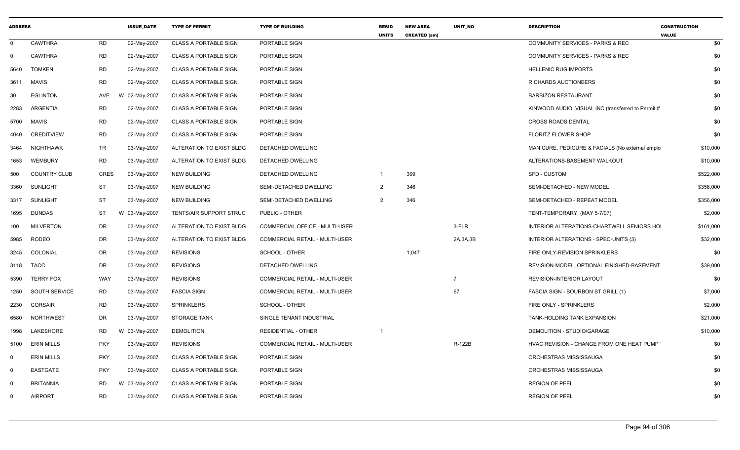| <b>ADDRESS</b> |                     |             | <b>ISSUE DATE</b> | <b>TYPE OF PERMIT</b>        | <b>TYPE OF BUILDING</b>               | <b>RESID</b><br><b>UNITS</b> | <b>NEW AREA</b><br><b>CREATED (sm)</b> | UNIT_NO        | <b>DESCRIPTION</b>                                 | <b>CONSTRUCTION</b><br><b>VALUE</b> |
|----------------|---------------------|-------------|-------------------|------------------------------|---------------------------------------|------------------------------|----------------------------------------|----------------|----------------------------------------------------|-------------------------------------|
| $\mathbf 0$    | <b>CAWTHRA</b>      | <b>RD</b>   | 02-May-2007       | <b>CLASS A PORTABLE SIGN</b> | PORTABLE SIGN                         |                              |                                        |                | <b>COMMUNITY SERVICES - PARKS &amp; REC</b>        | \$0                                 |
| $\mathbf 0$    | <b>CAWTHRA</b>      | <b>RD</b>   | 02-May-2007       | <b>CLASS A PORTABLE SIGN</b> | PORTABLE SIGN                         |                              |                                        |                | COMMUNITY SERVICES - PARKS & REC                   | \$0                                 |
| 5640           | <b>TOMKEN</b>       | <b>RD</b>   | 02-May-2007       | <b>CLASS A PORTABLE SIGN</b> | PORTABLE SIGN                         |                              |                                        |                | <b>HELLENIC RUG IMPORTS</b>                        | \$0                                 |
| 3611           | <b>MAVIS</b>        | <b>RD</b>   | 02-May-2007       | <b>CLASS A PORTABLE SIGN</b> | PORTABLE SIGN                         |                              |                                        |                | RICHARDS AUCTIONEERS                               | \$0                                 |
| 30             | <b>EGLINTON</b>     | AVE         | W 02-May-2007     | <b>CLASS A PORTABLE SIGN</b> | PORTABLE SIGN                         |                              |                                        |                | <b>BARBIZON RESTAURANT</b>                         | \$0                                 |
| 2283           | <b>ARGENTIA</b>     | <b>RD</b>   | 02-May-2007       | <b>CLASS A PORTABLE SIGN</b> | PORTABLE SIGN                         |                              |                                        |                | KINWOOD AUDIO VISUAL INC. (transferred to Permit # | \$0                                 |
| 5700           | MAVIS               | <b>RD</b>   | 02-May-2007       | <b>CLASS A PORTABLE SIGN</b> | PORTABLE SIGN                         |                              |                                        |                | <b>CROSS ROADS DENTAL</b>                          | \$0                                 |
| 4040           | <b>CREDITVIEW</b>   | <b>RD</b>   | 02-May-2007       | <b>CLASS A PORTABLE SIGN</b> | PORTABLE SIGN                         |                              |                                        |                | <b>FLORITZ FLOWER SHOP</b>                         | \$0                                 |
| 3464           | NIGHTHAWK           | <b>TR</b>   | 03-May-2007       | ALTERATION TO EXIST BLDG     | DETACHED DWELLING                     |                              |                                        |                | MANICURE, PEDICURE & FACIALS (No external emplo    | \$10,000                            |
| 1653           | <b>WEMBURY</b>      | <b>RD</b>   | 03-May-2007       | ALTERATION TO EXIST BLDG     | DETACHED DWELLING                     |                              |                                        |                | ALTERATIONS-BASEMENT WALKOUT                       | \$10,000                            |
| 500            | <b>COUNTRY CLUB</b> | <b>CRES</b> | 03-May-2007       | <b>NEW BUILDING</b>          | DETACHED DWELLING                     | $\overline{1}$               | 399                                    |                | <b>SFD - CUSTOM</b>                                | \$522,000                           |
| 3360           | <b>SUNLIGHT</b>     | <b>ST</b>   | 03-May-2007       | <b>NEW BUILDING</b>          | SEMI-DETACHED DWELLING                | 2                            | 346                                    |                | SEMI-DETACHED - NEW MODEL                          | \$356,000                           |
| 3317           | SUNLIGHT            | <b>ST</b>   | 03-May-2007       | <b>NEW BUILDING</b>          | SEMI-DETACHED DWELLING                | $\overline{2}$               | 346                                    |                | SEMI-DETACHED - REPEAT MODEL                       | \$356,000                           |
| 1695           | <b>DUNDAS</b>       | <b>ST</b>   | W 03-May-2007     | TENTS/AIR SUPPORT STRUC      | PUBLIC - OTHER                        |                              |                                        |                | TENT-TEMPORARY, (MAY 5-7/07)                       | \$2,000                             |
| 100            | <b>MILVERTON</b>    | <b>DR</b>   | 03-May-2007       | ALTERATION TO EXIST BLDG     | COMMERCIAL OFFICE - MULTI-USER        |                              |                                        | 3-FLR          | INTERIOR ALTERATIONS-CHARTWELL SENIORS HO          | \$161,000                           |
| 5985           | <b>RODEO</b>        | <b>DR</b>   | 03-May-2007       | ALTERATION TO EXIST BLDG     | <b>COMMERCIAL RETAIL - MULTI-USER</b> |                              |                                        | 2A, 3A, 3B     | INTERIOR ALTERATIONS - SPEC-UNITS (3)              | \$32,000                            |
| 3245           | COLONIAL            | DR          | 03-May-2007       | <b>REVISIONS</b>             | SCHOOL - OTHER                        |                              | 1,047                                  |                | FIRE ONLY-REVISION SPRINKLERS                      | \$0                                 |
| 3118           | TACC                | <b>DR</b>   | 03-May-2007       | <b>REVISIONS</b>             | DETACHED DWELLING                     |                              |                                        |                | REVISION-MODEL, OPTIONAL FINISHED-BASEMENT         | \$39,000                            |
| 5390           | <b>TERRY FOX</b>    | <b>WAY</b>  | 03-May-2007       | <b>REVISIONS</b>             | COMMERCIAL RETAIL - MULTI-USER        |                              |                                        | $\overline{7}$ | <b>REVISION-INTERIOR LAYOUT</b>                    | \$0                                 |
| 1250           | SOUTH SERVICE       | <b>RD</b>   | 03-May-2007       | <b>FASCIA SIGN</b>           | COMMERCIAL RETAIL - MULTI-USER        |                              |                                        | 67             | FASCIA SIGN - BOURBON ST GRILL (1)                 | \$7,000                             |
| 2230           | CORSAIR             | <b>RD</b>   | 03-May-2007       | <b>SPRINKLERS</b>            | SCHOOL - OTHER                        |                              |                                        |                | FIRE ONLY - SPRINKLERS                             | \$2,000                             |
| 6580           | <b>NORTHWEST</b>    | <b>DR</b>   | 03-May-2007       | <b>STORAGE TANK</b>          | SINGLE TENANT INDUSTRIAL              |                              |                                        |                | TANK-HOLDING TANK EXPANSION                        | \$21,000                            |
| 1998           | LAKESHORE           | <b>RD</b>   | W 03-May-2007     | <b>DEMOLITION</b>            | <b>RESIDENTIAL - OTHER</b>            | - 1                          |                                        |                | DEMOLITION - STUDIO/GARAGE                         | \$10,000                            |
| 5100           | <b>ERIN MILLS</b>   | <b>PKY</b>  | 03-May-2007       | <b>REVISIONS</b>             | COMMERCIAL RETAIL - MULTI-USER        |                              |                                        | R-122B         | HVAC REVISION - CHANGE FROM ONE HEAT PUMP          | \$0                                 |
| - 0            | <b>ERIN MILLS</b>   | <b>PKY</b>  | 03-May-2007       | <b>CLASS A PORTABLE SIGN</b> | PORTABLE SIGN                         |                              |                                        |                | ORCHESTRAS MISSISSAUGA                             | \$0                                 |
| $\mathbf 0$    | <b>EASTGATE</b>     | <b>PKY</b>  | 03-May-2007       | <b>CLASS A PORTABLE SIGN</b> | <b>PORTABLE SIGN</b>                  |                              |                                        |                | ORCHESTRAS MISSISSAUGA                             | \$0                                 |
| $\mathbf 0$    | <b>BRITANNIA</b>    | <b>RD</b>   | W 03-May-2007     | <b>CLASS A PORTABLE SIGN</b> | PORTABLE SIGN                         |                              |                                        |                | <b>REGION OF PEEL</b>                              | \$0                                 |
| $\Omega$       | <b>AIRPORT</b>      | <b>RD</b>   | 03-May-2007       | <b>CLASS A PORTABLE SIGN</b> | PORTABLE SIGN                         |                              |                                        |                | <b>REGION OF PEEL</b>                              | \$0                                 |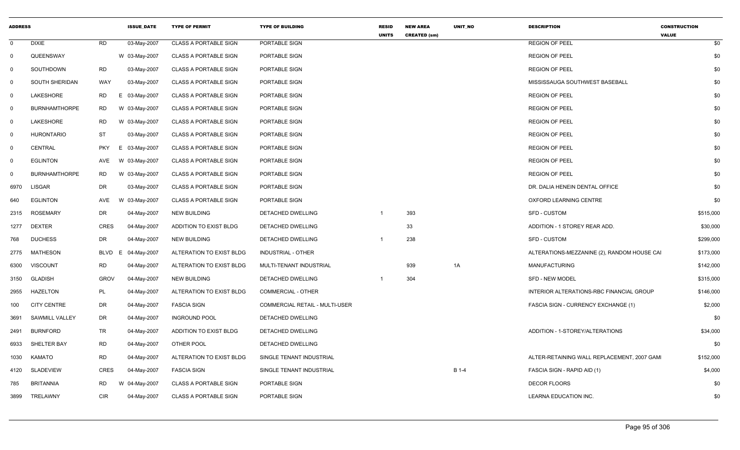| <b>ADDRESS</b>          |                       |             | <b>ISSUE DATE</b> | <b>TYPE OF PERMIT</b>        | <b>TYPE OF BUILDING</b>        | <b>RESID</b><br><b>UNITS</b> | <b>NEW AREA</b><br><b>CREATED (sm)</b> | UNIT_NO | <b>DESCRIPTION</b>                          | <b>CONSTRUCTION</b><br><b>VALUE</b> |
|-------------------------|-----------------------|-------------|-------------------|------------------------------|--------------------------------|------------------------------|----------------------------------------|---------|---------------------------------------------|-------------------------------------|
| $\overline{0}$          | <b>DIXIE</b>          | <b>RD</b>   | 03-May-2007       | <b>CLASS A PORTABLE SIGN</b> | PORTABLE SIGN                  |                              |                                        |         | <b>REGION OF PEEL</b>                       | \$0                                 |
| $\overline{0}$          | QUEENSWAY             |             | W 03-May-2007     | <b>CLASS A PORTABLE SIGN</b> | PORTABLE SIGN                  |                              |                                        |         | <b>REGION OF PEEL</b>                       | \$0                                 |
| $\mathbf 0$             | SOUTHDOWN             | <b>RD</b>   | 03-May-2007       | <b>CLASS A PORTABLE SIGN</b> | PORTABLE SIGN                  |                              |                                        |         | <b>REGION OF PEEL</b>                       | \$0                                 |
| $\mathbf 0$             | <b>SOUTH SHERIDAN</b> | <b>WAY</b>  | 03-May-2007       | <b>CLASS A PORTABLE SIGN</b> | PORTABLE SIGN                  |                              |                                        |         | MISSISSAUGA SOUTHWEST BASEBALL              | \$0                                 |
| $\overline{0}$          | LAKESHORE             | <b>RD</b>   | E 03-May-2007     | <b>CLASS A PORTABLE SIGN</b> | PORTABLE SIGN                  |                              |                                        |         | <b>REGION OF PEEL</b>                       | \$0                                 |
| $\overline{0}$          | <b>BURNHAMTHORPE</b>  | RD          | W 03-May-2007     | <b>CLASS A PORTABLE SIGN</b> | PORTABLE SIGN                  |                              |                                        |         | <b>REGION OF PEEL</b>                       | \$0                                 |
| $\overline{\mathbf{0}}$ | LAKESHORE             | <b>RD</b>   | W 03-May-2007     | <b>CLASS A PORTABLE SIGN</b> | PORTABLE SIGN                  |                              |                                        |         | <b>REGION OF PEEL</b>                       | \$0                                 |
| $\mathbf 0$             | <b>HURONTARIO</b>     | <b>ST</b>   | 03-May-2007       | <b>CLASS A PORTABLE SIGN</b> | PORTABLE SIGN                  |                              |                                        |         | <b>REGION OF PEEL</b>                       | \$0                                 |
| $\mathbf 0$             | <b>CENTRAL</b>        | <b>PKY</b>  | E 03-May-2007     | <b>CLASS A PORTABLE SIGN</b> | PORTABLE SIGN                  |                              |                                        |         | <b>REGION OF PEEL</b>                       | \$0                                 |
| $\mathbf 0$             | <b>EGLINTON</b>       | AVE         | W 03-May-2007     | <b>CLASS A PORTABLE SIGN</b> | PORTABLE SIGN                  |                              |                                        |         | <b>REGION OF PEEL</b>                       | \$0                                 |
| $\mathbf 0$             | <b>BURNHAMTHORPE</b>  | <b>RD</b>   | W 03-May-2007     | <b>CLASS A PORTABLE SIGN</b> | PORTABLE SIGN                  |                              |                                        |         | <b>REGION OF PEEL</b>                       | \$0                                 |
| 6970                    | <b>LISGAR</b>         | <b>DR</b>   | 03-May-2007       | <b>CLASS A PORTABLE SIGN</b> | PORTABLE SIGN                  |                              |                                        |         | DR. DALIA HENEIN DENTAL OFFICE              | \$0                                 |
| 640                     | <b>EGLINTON</b>       | AVE         | W 03-May-2007     | <b>CLASS A PORTABLE SIGN</b> | PORTABLE SIGN                  |                              |                                        |         | OXFORD LEARNING CENTRE                      | \$0                                 |
| 2315                    | <b>ROSEMARY</b>       | DR          | 04-May-2007       | <b>NEW BUILDING</b>          | DETACHED DWELLING              |                              | 393                                    |         | SFD - CUSTOM                                | \$515,000                           |
| 1277                    | <b>DEXTER</b>         | <b>CRES</b> | 04-May-2007       | ADDITION TO EXIST BLDG       | DETACHED DWELLING              |                              | 33                                     |         | ADDITION - 1 STOREY REAR ADD.               | \$30,000                            |
| 768                     | <b>DUCHESS</b>        | <b>DR</b>   | 04-May-2007       | <b>NEW BUILDING</b>          | DETACHED DWELLING              | -1                           | 238                                    |         | <b>SFD - CUSTOM</b>                         | \$299,000                           |
| 2775                    | <b>MATHESON</b>       | BLVD        | 04-May-2007<br>E  | ALTERATION TO EXIST BLDG     | <b>INDUSTRIAL - OTHER</b>      |                              |                                        |         | ALTERATIONS-MEZZANINE (2), RANDOM HOUSE CAI | \$173,000                           |
| 6300                    | <b>VISCOUNT</b>       | <b>RD</b>   | 04-May-2007       | ALTERATION TO EXIST BLDG     | MULTI-TENANT INDUSTRIAL        |                              | 939                                    | 1A      | <b>MANUFACTURING</b>                        | \$142,000                           |
| 3150                    | <b>GLADISH</b>        | <b>GROV</b> | 04-May-2007       | <b>NEW BUILDING</b>          | DETACHED DWELLING              | -1                           | 304                                    |         | <b>SFD - NEW MODEL</b>                      | \$315,000                           |
| 2955                    | <b>HAZELTON</b>       | PL          | 04-May-2007       | ALTERATION TO EXIST BLDG     | COMMERCIAL - OTHER             |                              |                                        |         | INTERIOR ALTERATIONS-RBC FINANCIAL GROUP    | \$146,000                           |
| 100                     | <b>CITY CENTRE</b>    | <b>DR</b>   | 04-May-2007       | <b>FASCIA SIGN</b>           | COMMERCIAL RETAIL - MULTI-USER |                              |                                        |         | FASCIA SIGN - CURRENCY EXCHANGE (1)         | \$2,000                             |
| 3691                    | SAWMILL VALLEY        | <b>DR</b>   | 04-May-2007       | <b>INGROUND POOL</b>         | DETACHED DWELLING              |                              |                                        |         |                                             | \$0                                 |
| 2491                    | <b>BURNFORD</b>       | TR          | 04-May-2007       | ADDITION TO EXIST BLDG       | DETACHED DWELLING              |                              |                                        |         | ADDITION - 1-STOREY/ALTERATIONS             | \$34,000                            |
| 6933                    | SHELTER BAY           | <b>RD</b>   | 04-May-2007       | OTHER POOL                   | DETACHED DWELLING              |                              |                                        |         |                                             | \$0                                 |
| 1030                    | <b>KAMATO</b>         | <b>RD</b>   | 04-May-2007       | ALTERATION TO EXIST BLDG     | SINGLE TENANT INDUSTRIAL       |                              |                                        |         | ALTER-RETAINING WALL REPLACEMENT, 2007 GAM  | \$152,000                           |
| 4120                    | <b>SLADEVIEW</b>      | <b>CRES</b> | 04-May-2007       | <b>FASCIA SIGN</b>           | SINGLE TENANT INDUSTRIAL       |                              |                                        | B 1-4   | FASCIA SIGN - RAPID AID (1)                 | \$4,000                             |
| 785                     | <b>BRITANNIA</b>      | <b>RD</b>   | W 04-May-2007     | <b>CLASS A PORTABLE SIGN</b> | PORTABLE SIGN                  |                              |                                        |         | <b>DECOR FLOORS</b>                         | \$0                                 |
| 3899                    | TRELAWNY              | <b>CIR</b>  | 04-May-2007       | <b>CLASS A PORTABLE SIGN</b> | PORTABLE SIGN                  |                              |                                        |         | LEARNA EDUCATION INC.                       | \$0                                 |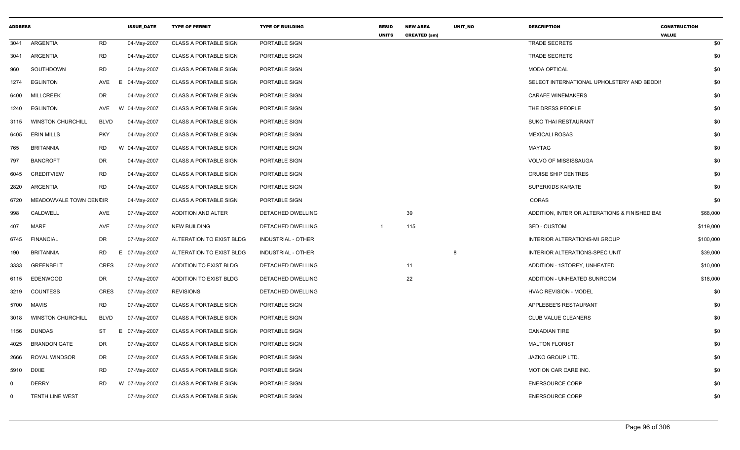| <b>ADDRESS</b> |                          |             | <b>ISSUE_DATE</b> | <b>TYPE OF PERMIT</b>        | <b>TYPE OF BUILDING</b>   | <b>RESID</b><br><b>UNITS</b> | <b>NEW AREA</b><br><b>CREATED (sm)</b> | UNIT_NO | <b>DESCRIPTION</b>                            | <b>CONSTRUCTION</b><br><b>VALUE</b> |
|----------------|--------------------------|-------------|-------------------|------------------------------|---------------------------|------------------------------|----------------------------------------|---------|-----------------------------------------------|-------------------------------------|
| 3041           | <b>ARGENTIA</b>          | RD          | 04-May-2007       | <b>CLASS A PORTABLE SIGN</b> | PORTABLE SIGN             |                              |                                        |         | <b>TRADE SECRETS</b>                          | \$0                                 |
| 3041           | ARGENTIA                 | RD          | 04-May-2007       | <b>CLASS A PORTABLE SIGN</b> | PORTABLE SIGN             |                              |                                        |         | <b>TRADE SECRETS</b>                          | \$0                                 |
| 960            | SOUTHDOWN                | <b>RD</b>   | 04-May-2007       | <b>CLASS A PORTABLE SIGN</b> | PORTABLE SIGN             |                              |                                        |         | <b>MODA OPTICAL</b>                           | \$0                                 |
| 1274           | <b>EGLINTON</b>          | AVE         | E<br>04-May-2007  | <b>CLASS A PORTABLE SIGN</b> | PORTABLE SIGN             |                              |                                        |         | SELECT INTERNATIONAL UPHOLSTERY AND BEDDII    | \$0                                 |
| 6400           | <b>MILLCREEK</b>         | DR          | 04-May-2007       | CLASS A PORTABLE SIGN        | PORTABLE SIGN             |                              |                                        |         | <b>CARAFE WINEMAKERS</b>                      | \$0                                 |
| 1240           | <b>EGLINTON</b>          | AVE         | W 04-May-2007     | <b>CLASS A PORTABLE SIGN</b> | PORTABLE SIGN             |                              |                                        |         | THE DRESS PEOPLE                              | \$0                                 |
| 3115           | <b>WINSTON CHURCHILL</b> | <b>BLVD</b> | 04-May-2007       | <b>CLASS A PORTABLE SIGN</b> | PORTABLE SIGN             |                              |                                        |         | <b>SUKO THAI RESTAURANT</b>                   | \$0                                 |
| 6405           | <b>ERIN MILLS</b>        | <b>PKY</b>  | 04-May-2007       | <b>CLASS A PORTABLE SIGN</b> | PORTABLE SIGN             |                              |                                        |         | <b>MEXICALI ROSAS</b>                         | \$0                                 |
| 765            | <b>BRITANNIA</b>         | RD          | W 04-May-2007     | <b>CLASS A PORTABLE SIGN</b> | PORTABLE SIGN             |                              |                                        |         | MAYTAG                                        | \$0                                 |
| 797            | <b>BANCROFT</b>          | DR          | 04-May-2007       | <b>CLASS A PORTABLE SIGN</b> | PORTABLE SIGN             |                              |                                        |         | <b>VOLVO OF MISSISSAUGA</b>                   | \$0                                 |
| 6045           | <b>CREDITVIEW</b>        | <b>RD</b>   | 04-May-2007       | <b>CLASS A PORTABLE SIGN</b> | PORTABLE SIGN             |                              |                                        |         | <b>CRUISE SHIP CENTRES</b>                    | \$0                                 |
| 2820           | ARGENTIA                 | RD          | 04-May-2007       | <b>CLASS A PORTABLE SIGN</b> | PORTABLE SIGN             |                              |                                        |         | SUPERKIDS KARATE                              | \$0                                 |
| 6720           | MEADOWVALE TOWN CENCIR   |             | 04-May-2007       | <b>CLASS A PORTABLE SIGN</b> | PORTABLE SIGN             |                              |                                        |         | CORAS                                         | \$0                                 |
| 998            | CALDWELL                 | AVE         | 07-May-2007       | ADDITION AND ALTER           | DETACHED DWELLING         |                              | 39                                     |         | ADDITION, INTERIOR ALTERATIONS & FINISHED BAS | \$68,000                            |
| 407            | MARF                     | AVE         | 07-May-2007       | <b>NEW BUILDING</b>          | DETACHED DWELLING         | $\overline{1}$               | 115                                    |         | <b>SFD - CUSTOM</b>                           | \$119,000                           |
| 6745           | <b>FINANCIAL</b>         | DR          | 07-May-2007       | ALTERATION TO EXIST BLDG     | <b>INDUSTRIAL - OTHER</b> |                              |                                        |         | <b>INTERIOR ALTERATIONS-MI GROUP</b>          | \$100,000                           |
| 190            | <b>BRITANNIA</b>         | <b>RD</b>   | E 07-May-2007     | ALTERATION TO EXIST BLDG     | INDUSTRIAL - OTHER        |                              |                                        | 8       | INTERIOR ALTERATIONS-SPEC UNIT                | \$39,000                            |
| 3333           | <b>GREENBELT</b>         | <b>CRES</b> | 07-May-2007       | ADDITION TO EXIST BLDG       | DETACHED DWELLING         |                              | 11                                     |         | ADDITION - 1STOREY, UNHEATED                  | \$10,000                            |
| 6115           | <b>EDENWOOD</b>          | DR          | 07-May-2007       | ADDITION TO EXIST BLDG       | DETACHED DWELLING         |                              | 22                                     |         | ADDITION - UNHEATED SUNROOM                   | \$18,000                            |
| 3219           | COUNTESS                 | <b>CRES</b> | 07-May-2007       | <b>REVISIONS</b>             | DETACHED DWELLING         |                              |                                        |         | <b>HVAC REVISION - MODEL</b>                  | \$0                                 |
| 5700           | MAVIS                    | <b>RD</b>   | 07-May-2007       | <b>CLASS A PORTABLE SIGN</b> | PORTABLE SIGN             |                              |                                        |         | APPLEBEE'S RESTAURANT                         | \$0                                 |
| 3018           | <b>WINSTON CHURCHILL</b> | <b>BLVD</b> | 07-May-2007       | <b>CLASS A PORTABLE SIGN</b> | PORTABLE SIGN             |                              |                                        |         | <b>CLUB VALUE CLEANERS</b>                    | \$0                                 |
| 1156           | DUNDAS                   | ST          | E 07-May-2007     | <b>CLASS A PORTABLE SIGN</b> | PORTABLE SIGN             |                              |                                        |         | <b>CANADIAN TIRE</b>                          | \$0                                 |
| 4025           | <b>BRANDON GATE</b>      | DR          | 07-May-2007       | <b>CLASS A PORTABLE SIGN</b> | PORTABLE SIGN             |                              |                                        |         | <b>MALTON FLORIST</b>                         | \$0                                 |
| 2666           | ROYAL WINDSOR            | DR          | 07-May-2007       | <b>CLASS A PORTABLE SIGN</b> | PORTABLE SIGN             |                              |                                        |         | JAZKO GROUP LTD.                              | \$0                                 |
| 5910           | <b>DIXIE</b>             | RD          | 07-May-2007       | <b>CLASS A PORTABLE SIGN</b> | PORTABLE SIGN             |                              |                                        |         | MOTION CAR CARE INC.                          | \$0                                 |
| $\Omega$       | <b>DERRY</b>             | RD          | W 07-May-2007     | <b>CLASS A PORTABLE SIGN</b> | PORTABLE SIGN             |                              |                                        |         | <b>ENERSOURCE CORP</b>                        | \$0                                 |
| $\Omega$       | <b>TENTH LINE WEST</b>   |             | 07-May-2007       | <b>CLASS A PORTABLE SIGN</b> | PORTABLE SIGN             |                              |                                        |         | <b>ENERSOURCE CORP</b>                        | \$0                                 |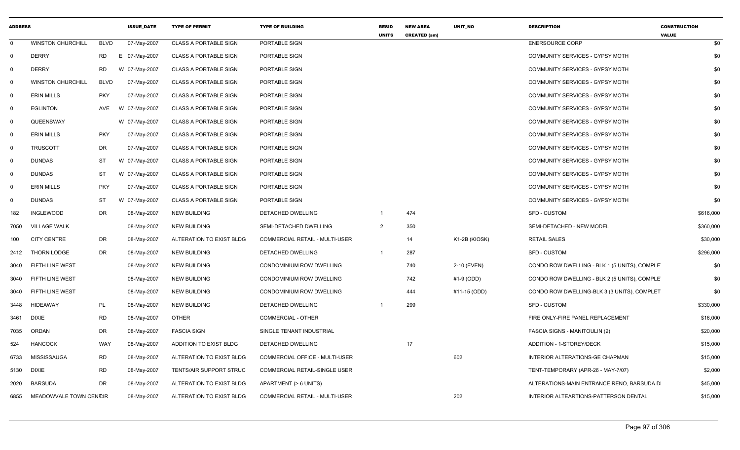| <b>ADDRESS</b> |                          |             | <b>ISSUE_DATE</b> | <b>TYPE OF PERMIT</b>        | <b>TYPE OF BUILDING</b>               | RESID<br><b>UNITS</b> | <b>NEW AREA</b><br><b>CREATED (sm)</b> | UNIT_NO       | <b>DESCRIPTION</b>                            | <b>CONSTRUCTION</b><br><b>VALUE</b> |
|----------------|--------------------------|-------------|-------------------|------------------------------|---------------------------------------|-----------------------|----------------------------------------|---------------|-----------------------------------------------|-------------------------------------|
| $\mathbf 0$    | <b>WINSTON CHURCHILL</b> | <b>BLVD</b> | 07-May-2007       | <b>CLASS A PORTABLE SIGN</b> | PORTABLE SIGN                         |                       |                                        |               | <b>ENERSOURCE CORP</b>                        | \$0                                 |
| $\mathbf 0$    | <b>DERRY</b>             | <b>RD</b>   | E 07-May-2007     | <b>CLASS A PORTABLE SIGN</b> | PORTABLE SIGN                         |                       |                                        |               | COMMUNITY SERVICES - GYPSY MOTH               | \$0                                 |
| 0              | <b>DERRY</b>             | <b>RD</b>   | W 07-May-2007     | <b>CLASS A PORTABLE SIGN</b> | PORTABLE SIGN                         |                       |                                        |               | <b>COMMUNITY SERVICES - GYPSY MOTH</b>        | \$0                                 |
| - 0            | <b>WINSTON CHURCHILL</b> | <b>BLVD</b> | 07-May-2007       | <b>CLASS A PORTABLE SIGN</b> | PORTABLE SIGN                         |                       |                                        |               | COMMUNITY SERVICES - GYPSY MOTH               | \$0                                 |
| $\mathbf{0}$   | <b>ERIN MILLS</b>        | <b>PKY</b>  | 07-May-2007       | <b>CLASS A PORTABLE SIGN</b> | PORTABLE SIGN                         |                       |                                        |               | COMMUNITY SERVICES - GYPSY MOTH               | \$0                                 |
| $\mathbf 0$    | <b>EGLINTON</b>          | AVE         | W 07-May-2007     | <b>CLASS A PORTABLE SIGN</b> | PORTABLE SIGN                         |                       |                                        |               | COMMUNITY SERVICES - GYPSY MOTH               | \$0                                 |
| 0              | QUEENSWAY                |             | W 07-May-2007     | <b>CLASS A PORTABLE SIGN</b> | PORTABLE SIGN                         |                       |                                        |               | COMMUNITY SERVICES - GYPSY MOTH               | \$0                                 |
| $\mathbf 0$    | <b>ERIN MILLS</b>        | <b>PKY</b>  | 07-May-2007       | <b>CLASS A PORTABLE SIGN</b> | <b>PORTABLE SIGN</b>                  |                       |                                        |               | <b>COMMUNITY SERVICES - GYPSY MOTH</b>        | \$0                                 |
| $\mathbf{0}$   | <b>TRUSCOTT</b>          | DR          | 07-May-2007       | <b>CLASS A PORTABLE SIGN</b> | PORTABLE SIGN                         |                       |                                        |               | COMMUNITY SERVICES - GYPSY MOTH               | \$0                                 |
| $\mathbf 0$    | <b>DUNDAS</b>            | <b>ST</b>   | W 07-May-2007     | <b>CLASS A PORTABLE SIGN</b> | PORTABLE SIGN                         |                       |                                        |               | COMMUNITY SERVICES - GYPSY MOTH               | \$0                                 |
| $\mathbf 0$    | <b>DUNDAS</b>            | <b>ST</b>   | W 07-May-2007     | <b>CLASS A PORTABLE SIGN</b> | PORTABLE SIGN                         |                       |                                        |               | COMMUNITY SERVICES - GYPSY MOTH               | \$0                                 |
| 0              | <b>ERIN MILLS</b>        | <b>PKY</b>  | 07-May-2007       | <b>CLASS A PORTABLE SIGN</b> | PORTABLE SIGN                         |                       |                                        |               | COMMUNITY SERVICES - GYPSY MOTH               | \$0                                 |
| $\mathbf 0$    | <b>DUNDAS</b>            | <b>ST</b>   | W 07-May-2007     | <b>CLASS A PORTABLE SIGN</b> | PORTABLE SIGN                         |                       |                                        |               | <b>COMMUNITY SERVICES - GYPSY MOTH</b>        | \$0                                 |
| 182            | <b>INGLEWOOD</b>         | <b>DR</b>   | 08-May-2007       | <b>NEW BUILDING</b>          | DETACHED DWELLING                     |                       | 474                                    |               | <b>SFD - CUSTOM</b>                           | \$616,000                           |
| 7050           | <b>VILLAGE WALK</b>      |             | 08-May-2007       | <b>NEW BUILDING</b>          | SEMI-DETACHED DWELLING                | 2                     | 350                                    |               | SEMI-DETACHED - NEW MODEL                     | \$360,000                           |
| 100            | <b>CITY CENTRE</b>       | DR          | 08-May-2007       | ALTERATION TO EXIST BLDG     | <b>COMMERCIAL RETAIL - MULTI-USER</b> |                       | 14                                     | K1-2B (KIOSK) | <b>RETAIL SALES</b>                           | \$30,000                            |
| 2412           | THORN LODGE              | DR          | 08-May-2007       | <b>NEW BUILDING</b>          | DETACHED DWELLING                     | -1                    | 287                                    |               | <b>SFD - CUSTOM</b>                           | \$296,000                           |
| 3040           | FIFTH LINE WEST          |             | 08-May-2007       | <b>NEW BUILDING</b>          | CONDOMINIUM ROW DWELLING              |                       | 740                                    | 2-10 (EVEN)   | CONDO ROW DWELLING - BLK 1 (5 UNITS), COMPLET | \$0                                 |
| 3040           | FIFTH LINE WEST          |             | 08-May-2007       | <b>NEW BUILDING</b>          | CONDOMINIUM ROW DWELLING              |                       | 742                                    | #1-9 (ODD)    | CONDO ROW DWELLING - BLK 2 (5 UNITS), COMPLET | \$0                                 |
| 3040           | FIFTH LINE WEST          |             | 08-May-2007       | <b>NEW BUILDING</b>          | CONDOMINIUM ROW DWELLING              |                       | 444                                    | #11-15 (ODD)  | CONDO ROW DWELLING-BLK 3 (3 UNITS), COMPLET   | \$0                                 |
| 3448           | <b>HIDEAWAY</b>          | <b>PL</b>   | 08-May-2007       | <b>NEW BUILDING</b>          | DETACHED DWELLING                     |                       | 299                                    |               | <b>SFD - CUSTOM</b>                           | \$330,000                           |
| 3461           | <b>DIXIE</b>             | <b>RD</b>   | 08-May-2007       | <b>OTHER</b>                 | <b>COMMERCIAL - OTHER</b>             |                       |                                        |               | FIRE ONLY-FIRE PANEL REPLACEMENT              | \$16,000                            |
| 7035           | ORDAN                    | DR          | 08-May-2007       | <b>FASCIA SIGN</b>           | SINGLE TENANT INDUSTRIAL              |                       |                                        |               | <b>FASCIA SIGNS - MANITOULIN (2)</b>          | \$20,000                            |
| 524            | <b>HANCOCK</b>           | <b>WAY</b>  | 08-May-2007       | ADDITION TO EXIST BLDG       | DETACHED DWELLING                     |                       | 17                                     |               | ADDITION - 1-STOREY/DECK                      | \$15,000                            |
| 6733           | <b>MISSISSAUGA</b>       | <b>RD</b>   | 08-May-2007       | ALTERATION TO EXIST BLDG     | COMMERCIAL OFFICE - MULTI-USER        |                       |                                        | 602           | INTERIOR ALTERATIONS-GE CHAPMAN               | \$15,000                            |
| 5130           | <b>DIXIE</b>             | <b>RD</b>   | 08-May-2007       | TENTS/AIR SUPPORT STRUC      | COMMERCIAL RETAIL-SINGLE USER         |                       |                                        |               | TENT-TEMPORARY (APR-26 - MAY-7/07)            | \$2,000                             |
| 2020           | <b>BARSUDA</b>           | <b>DR</b>   | 08-May-2007       | ALTERATION TO EXIST BLDG     | APARTMENT (> 6 UNITS)                 |                       |                                        |               | ALTERATIONS-MAIN ENTRANCE RENO, BARSUDA D     | \$45,000                            |
| 6855           | MEADOWVALE TOWN CENCIR   |             | 08-May-2007       | ALTERATION TO EXIST BLDG     | <b>COMMERCIAL RETAIL - MULTI-USER</b> |                       |                                        | 202           | <b>INTERIOR ALTEARTIONS-PATTERSON DENTAL</b>  | \$15,000                            |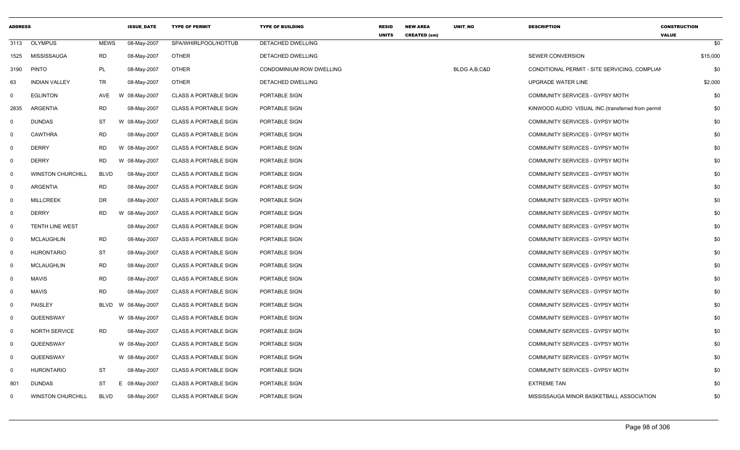| <b>ADDRESS</b> |                          |             | <b>ISSUE DATE</b> | <b>TYPE OF PERMIT</b>        | <b>TYPE OF BUILDING</b>         | <b>RESID</b><br><b>UNITS</b> | <b>NEW AREA</b><br><b>CREATED (sm)</b> | UNIT_NO        | <b>DESCRIPTION</b>                                 | <b>CONSTRUCTION</b><br><b>VALUE</b> |
|----------------|--------------------------|-------------|-------------------|------------------------------|---------------------------------|------------------------------|----------------------------------------|----------------|----------------------------------------------------|-------------------------------------|
| 3113           | <b>OLYMPUS</b>           | <b>MEWS</b> | 08-May-2007       | SPA/WHIRLPOOL/HOTTUB         | DETACHED DWELLING               |                              |                                        |                |                                                    | \$0                                 |
| 1525           | <b>MISSISSAUGA</b>       | <b>RD</b>   | 08-May-2007       | <b>OTHER</b>                 | DETACHED DWELLING               |                              |                                        |                | SEWER CONVERSION                                   | \$15,000                            |
| 3190           | <b>PINTO</b>             | PL          | 08-May-2007       | <b>OTHER</b>                 | <b>CONDOMINIUM ROW DWELLING</b> |                              |                                        | BLDG A, B, C&D | CONDITIONAL PERMIT - SITE SERVICING, COMPLIAN      | \$0                                 |
| 63             | <b>INDIAN VALLEY</b>     | TR          | 08-May-2007       | <b>OTHER</b>                 | DETACHED DWELLING               |                              |                                        |                | UPGRADE WATER LINE                                 | \$2,000                             |
| 0              | <b>EGLINTON</b>          | AVE         | W 08-May-2007     | <b>CLASS A PORTABLE SIGN</b> | PORTABLE SIGN                   |                              |                                        |                | COMMUNITY SERVICES - GYPSY MOTH                    | \$0                                 |
| 2835           | ARGENTIA                 | <b>RD</b>   | 08-May-2007       | <b>CLASS A PORTABLE SIGN</b> | PORTABLE SIGN                   |                              |                                        |                | KINWOOD AUDIO VISUAL INC. (transferred from permit | \$0                                 |
| 0              | <b>DUNDAS</b>            | <b>ST</b>   | W 08-May-2007     | <b>CLASS A PORTABLE SIGN</b> | PORTABLE SIGN                   |                              |                                        |                | COMMUNITY SERVICES - GYPSY MOTH                    | \$0                                 |
| 0              | <b>CAWTHRA</b>           | <b>RD</b>   | 08-May-2007       | <b>CLASS A PORTABLE SIGN</b> | PORTABLE SIGN                   |                              |                                        |                | COMMUNITY SERVICES - GYPSY MOTH                    | \$0                                 |
| 0              | <b>DERRY</b>             | <b>RD</b>   | W 08-May-2007     | <b>CLASS A PORTABLE SIGN</b> | PORTABLE SIGN                   |                              |                                        |                | COMMUNITY SERVICES - GYPSY MOTH                    | \$0                                 |
| $\mathbf 0$    | <b>DERRY</b>             | <b>RD</b>   | W 08-May-2007     | <b>CLASS A PORTABLE SIGN</b> | PORTABLE SIGN                   |                              |                                        |                | COMMUNITY SERVICES - GYPSY MOTH                    | \$0                                 |
| 0              | <b>WINSTON CHURCHILL</b> | <b>BLVD</b> | 08-May-2007       | <b>CLASS A PORTABLE SIGN</b> | PORTABLE SIGN                   |                              |                                        |                | COMMUNITY SERVICES - GYPSY MOTH                    | \$0                                 |
| $\Omega$       | <b>ARGENTIA</b>          | <b>RD</b>   | 08-May-2007       | <b>CLASS A PORTABLE SIGN</b> | PORTABLE SIGN                   |                              |                                        |                | COMMUNITY SERVICES - GYPSY MOTH                    | \$0                                 |
| 0              | <b>MILLCREEK</b>         | <b>DR</b>   | 08-May-2007       | <b>CLASS A PORTABLE SIGN</b> | PORTABLE SIGN                   |                              |                                        |                | COMMUNITY SERVICES - GYPSY MOTH                    | \$0                                 |
| 0              | <b>DERRY</b>             | <b>RD</b>   | W 08-May-2007     | <b>CLASS A PORTABLE SIGN</b> | PORTABLE SIGN                   |                              |                                        |                | COMMUNITY SERVICES - GYPSY MOTH                    | \$0                                 |
| $\mathbf 0$    | TENTH LINE WEST          |             | 08-May-2007       | <b>CLASS A PORTABLE SIGN</b> | PORTABLE SIGN                   |                              |                                        |                | COMMUNITY SERVICES - GYPSY MOTH                    | \$0                                 |
| 0              | <b>MCLAUGHLIN</b>        | RD          | 08-May-2007       | <b>CLASS A PORTABLE SIGN</b> | PORTABLE SIGN                   |                              |                                        |                | COMMUNITY SERVICES - GYPSY MOTH                    | \$0                                 |
| 0              | <b>HURONTARIO</b>        | <b>ST</b>   | 08-May-2007       | <b>CLASS A PORTABLE SIGN</b> | PORTABLE SIGN                   |                              |                                        |                | COMMUNITY SERVICES - GYPSY MOTH                    | \$0                                 |
| $\mathbf 0$    | <b>MCLAUGHLIN</b>        | <b>RD</b>   | 08-May-2007       | <b>CLASS A PORTABLE SIGN</b> | PORTABLE SIGN                   |                              |                                        |                | COMMUNITY SERVICES - GYPSY MOTH                    | \$0                                 |
| $\mathbf{0}$   | <b>MAVIS</b>             | <b>RD</b>   | 08-May-2007       | <b>CLASS A PORTABLE SIGN</b> | PORTABLE SIGN                   |                              |                                        |                | COMMUNITY SERVICES - GYPSY MOTH                    | \$0                                 |
| $\mathbf 0$    | <b>MAVIS</b>             | <b>RD</b>   | 08-May-2007       | <b>CLASS A PORTABLE SIGN</b> | PORTABLE SIGN                   |                              |                                        |                | COMMUNITY SERVICES - GYPSY MOTH                    | \$0                                 |
| $\Omega$       | PAISLEY                  | <b>BLVD</b> | W 08-May-2007     | <b>CLASS A PORTABLE SIGN</b> | PORTABLE SIGN                   |                              |                                        |                | COMMUNITY SERVICES - GYPSY MOTH                    | \$0                                 |
| $\mathbf 0$    | QUEENSWAY                |             | W 08-May-2007     | <b>CLASS A PORTABLE SIGN</b> | PORTABLE SIGN                   |                              |                                        |                | COMMUNITY SERVICES - GYPSY MOTH                    | \$0                                 |
| $\mathbf 0$    | <b>NORTH SERVICE</b>     | RD.         | 08-May-2007       | <b>CLASS A PORTABLE SIGN</b> | PORTABLE SIGN                   |                              |                                        |                | COMMUNITY SERVICES - GYPSY MOTH                    | \$0                                 |
| $\mathbf 0$    | QUEENSWAY                |             | W 08-May-2007     | <b>CLASS A PORTABLE SIGN</b> | PORTABLE SIGN                   |                              |                                        |                | COMMUNITY SERVICES - GYPSY MOTH                    | \$0                                 |
| 0              | QUEENSWAY                |             | W 08-May-2007     | <b>CLASS A PORTABLE SIGN</b> | PORTABLE SIGN                   |                              |                                        |                | COMMUNITY SERVICES - GYPSY MOTH                    | \$0                                 |
| $\Omega$       | <b>HURONTARIO</b>        | ST          | 08-May-2007       | <b>CLASS A PORTABLE SIGN</b> | PORTABLE SIGN                   |                              |                                        |                | COMMUNITY SERVICES - GYPSY MOTH                    | \$0                                 |
| 801            | <b>DUNDAS</b>            | ST          | E 08-May-2007     | <b>CLASS A PORTABLE SIGN</b> | PORTABLE SIGN                   |                              |                                        |                | <b>EXTREME TAN</b>                                 | \$0                                 |
| $\Omega$       | <b>WINSTON CHURCHILL</b> | <b>BLVD</b> | 08-May-2007       | <b>CLASS A PORTABLE SIGN</b> | PORTABLE SIGN                   |                              |                                        |                | MISSISSAUGA MINOR BASKETBALL ASSOCIATION           | \$0                                 |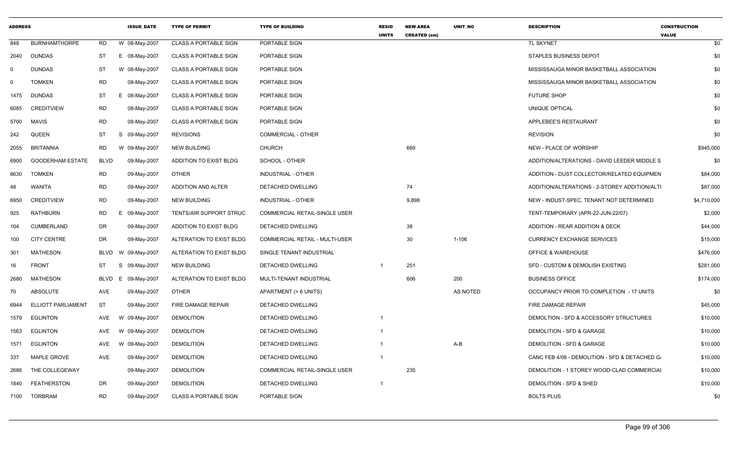| <b>ADDRESS</b> |                           |             | <b>ISSUE DATE</b> | <b>TYPE OF PERMIT</b>        | <b>TYPE OF BUILDING</b>              | <b>RESID</b><br><b>UNITS</b> | <b>NEW AREA</b><br><b>CREATED (sm)</b> | <b>UNIT NO</b> | <b>DESCRIPTION</b>                             | <b>CONSTRUCTION</b><br><b>VALUE</b> |
|----------------|---------------------------|-------------|-------------------|------------------------------|--------------------------------------|------------------------------|----------------------------------------|----------------|------------------------------------------------|-------------------------------------|
| 848            | <b>BURNHAMTHORPE</b>      | <b>RD</b>   | W 08-May-2007     | <b>CLASS A PORTABLE SIGN</b> | PORTABLE SIGN                        |                              |                                        |                | <b>TL SKYNET</b>                               | \$0                                 |
| 2040           | <b>DUNDAS</b>             | ST          | E 08-May-2007     | <b>CLASS A PORTABLE SIGN</b> | PORTABLE SIGN                        |                              |                                        |                | STAPLES BUSINESS DEPOT                         | \$0                                 |
| $\Omega$       | <b>DUNDAS</b>             | ST          | W 08-May-2007     | <b>CLASS A PORTABLE SIGN</b> | PORTABLE SIGN                        |                              |                                        |                | MISSISSAUGA MINOR BASKETBALL ASSOCIATION       | \$0                                 |
| $\Omega$       | TOMKEN                    | <b>RD</b>   | 08-May-2007       | <b>CLASS A PORTABLE SIGN</b> | PORTABLE SIGN                        |                              |                                        |                | MISSISSAUGA MINOR BASKETBALL ASSOCIATION       | \$0                                 |
| 1475           | <b>DUNDAS</b>             | <b>ST</b>   | Е.<br>08-May-2007 | <b>CLASS A PORTABLE SIGN</b> | PORTABLE SIGN                        |                              |                                        |                | <b>FUTURE SHOP</b>                             | \$0                                 |
| 6085           | <b>CREDITVIEW</b>         | <b>RD</b>   | 08-May-2007       | <b>CLASS A PORTABLE SIGN</b> | PORTABLE SIGN                        |                              |                                        |                | UNIQUE OPTICAL                                 | \$0                                 |
| 5700           | MAVIS                     | <b>RD</b>   | 08-May-2007       | <b>CLASS A PORTABLE SIGN</b> | PORTABLE SIGN                        |                              |                                        |                | APPLEBEE'S RESTAURANT                          | \$0                                 |
| 242            | <b>QUEEN</b>              | ST          | S 09-May-2007     | <b>REVISIONS</b>             | <b>COMMERCIAL - OTHER</b>            |                              |                                        |                | <b>REVISION</b>                                | \$0                                 |
| 2055           | <b>BRITANNIA</b>          | RD          | W 09-May-2007     | <b>NEW BUILDING</b>          | <b>CHURCH</b>                        |                              | 669                                    |                | NEW - PLACE OF WORSHIP                         | \$945,000                           |
| 6900           | <b>GOODERHAM ESTATE</b>   | <b>BLVD</b> | 09-May-2007       | ADDITION TO EXIST BLDG       | SCHOOL - OTHER                       |                              |                                        |                | ADDITION/ALTERATIONS - DAVID LEEDER MIDDLE S   | \$0                                 |
| 6630           | <b>TOMKEN</b>             | <b>RD</b>   | 09-May-2007       | OTHER                        | <b>INDUSTRIAL - OTHER</b>            |                              |                                        |                | ADDITION - DUST COLLECTOR/RELATED EQUIPMEN     | \$84,000                            |
| 48             | WANITA                    | <b>RD</b>   | 09-May-2007       | ADDITION AND ALTER           | DETACHED DWELLING                    |                              | 74                                     |                | ADDITION/ALTERATIONS - 2-STOREY ADDITION/ALTI  | \$87,000                            |
| 6950           | <b>CREDITVIEW</b>         | <b>RD</b>   | 09-May-2007       | <b>NEW BUILDING</b>          | <b>INDUSTRIAL - OTHER</b>            |                              | 9,898                                  |                | NEW - INDUST-SPEC, TENANT NOT DETERMINED       | \$4,710,000                         |
| 925            | <b>RATHBURN</b>           | <b>RD</b>   | 09-May-2007<br>E. | TENTS/AIR SUPPORT STRUC      | COMMERCIAL RETAIL-SINGLE USER        |                              |                                        |                | TENT-TEMPORARY (APR-22-JUN-22/07)              | \$2,000                             |
| 104            | CUMBERLAND                | DR          | 09-May-2007       | ADDITION TO EXIST BLDG       | DETACHED DWELLING                    |                              | 38                                     |                | ADDITION - REAR ADDITION & DECK                | \$44,000                            |
| 100            | <b>CITY CENTRE</b>        | DR          | 09-May-2007       | ALTERATION TO EXIST BLDG     | COMMERCIAL RETAIL - MULTI-USER       |                              | 30                                     | $1 - 106$      | <b>CURRENCY EXCHANGE SERVICES</b>              | \$15,000                            |
| 301            | <b>MATHESON</b>           | <b>BLVD</b> | W 09-May-2007     | ALTERATION TO EXIST BLDG     | SINGLE TENANT INDUSTRIAL             |                              |                                        |                | <b>OFFICE &amp; WAREHOUSE</b>                  | \$476,000                           |
| 16             | <b>FRONT</b>              | ST          | S<br>09-May-2007  | <b>NEW BUILDING</b>          | DETACHED DWELLING                    | $\overline{1}$               | 251                                    |                | SFD - CUSTOM & DEMOLISH EXISTING               | \$281,000                           |
| 2680           | <b>MATHESON</b>           | <b>BLVD</b> | 09-May-2007<br>Е. | ALTERATION TO EXIST BLDG     | MULTI-TENANT INDUSTRIAL              |                              | 606                                    | 200            | <b>BUSINESS OFFICE</b>                         | \$174,000                           |
| 70             | ABSOLUTE                  | AVE         | 09-May-2007       | <b>OTHER</b>                 | APARTMENT (> 6 UNITS)                |                              |                                        | AS NOTED       | OCCUPANCY PRIOR TO COMPLETION - 17 UNITS       | \$0                                 |
| 6944           | <b>ELLIOTT PARLIAMENT</b> | <b>ST</b>   | 09-May-2007       | FIRE DAMAGE REPAIR           | DETACHED DWELLING                    |                              |                                        |                | <b>FIRE DAMAGE REPAIR</b>                      | \$45,000                            |
| 1579           | <b>EGLINTON</b>           | AVE         | 09-May-2007<br>W  | <b>DEMOLITION</b>            | DETACHED DWELLING                    | $\overline{\mathbf{1}}$      |                                        |                | DEMOLTION - SFD & ACCESSORY STRUCTURES         | \$10,000                            |
| 1563           | <b>EGLINTON</b>           | AVE         | W 09-May-2007     | <b>DEMOLITION</b>            | DETACHED DWELLING                    | -1                           |                                        |                | DEMOLITION - SFD & GARAGE                      | \$10,000                            |
| 1571           | <b>EGLINTON</b>           | AVE         | W 09-May-2007     | <b>DEMOLITION</b>            | DETACHED DWELLING                    | -1                           |                                        | A-B            | DEMOLITION - SFD & GARAGE                      | \$10,000                            |
| 337            | MAPLE GROVE               | AVE         | 09-May-2007       | <b>DEMOLITION</b>            | DETACHED DWELLING                    | -1                           |                                        |                | CANC FEB 4/08 - DEMOLITION - SFD & DETACHED G. | \$10,000                            |
| 2686           | THE COLLEGEWAY            |             | 09-May-2007       | <b>DEMOLITION</b>            | <b>COMMERCIAL RETAIL-SINGLE USER</b> |                              | 235                                    |                | DEMOLITION - 1 STOREY WOOD-CLAD COMMERCIAL     | \$10,000                            |
| 1840           | <b>FEATHERSTON</b>        | DR          | 09-May-2007       | <b>DEMOLITION</b>            | DETACHED DWELLING                    | $\overline{1}$               |                                        |                | DEMOLITION - SFD & SHED                        | \$10,000                            |
| 7100           | <b>TORBRAM</b>            | <b>RD</b>   | 09-May-2007       | <b>CLASS A PORTABLE SIGN</b> | PORTABLE SIGN                        |                              |                                        |                | <b>BOLTS PLUS</b>                              | \$0                                 |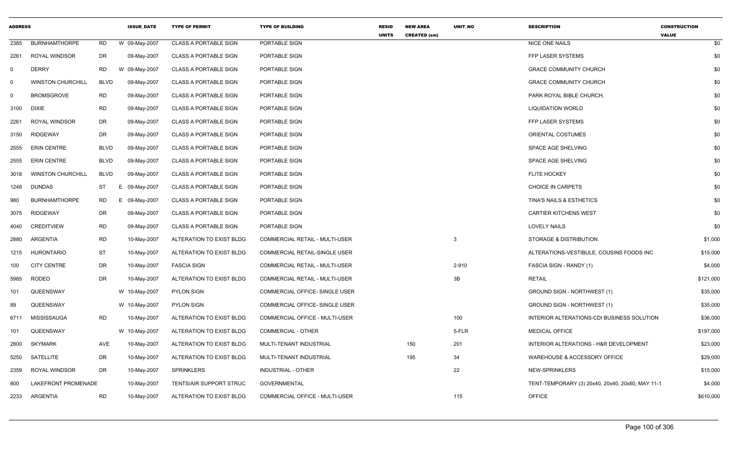| <b>ADDRESS</b> |                          |             | <b>ISSUE_DATE</b> | <b>TYPE OF PERMIT</b>        | <b>TYPE OF BUILDING</b>        | <b>RESID</b><br><b>UNITS</b> | <b>NEW AREA</b><br><b>CREATED (sm)</b> | UNIT_NO   | <b>DESCRIPTION</b>                               | <b>CONSTRUCTION</b><br><b>VALUE</b> |
|----------------|--------------------------|-------------|-------------------|------------------------------|--------------------------------|------------------------------|----------------------------------------|-----------|--------------------------------------------------|-------------------------------------|
| 2385           | <b>BURNHAMTHORPE</b>     | RD          | W 09-May-2007     | <b>CLASS A PORTABLE SIGN</b> | PORTABLE SIGN                  |                              |                                        |           | <b>NICE ONE NAILS</b>                            | \$0                                 |
| 2261           | ROYAL WINDSOR            | DR          | 09-May-2007       | <b>CLASS A PORTABLE SIGN</b> | PORTABLE SIGN                  |                              |                                        |           | FFP LASER SYSTEMS                                | \$0                                 |
| $\Omega$       | <b>DERRY</b>             | RD          | W 09-May-2007     | <b>CLASS A PORTABLE SIGN</b> | PORTABLE SIGN                  |                              |                                        |           | <b>GRACE COMMUNITY CHURCH</b>                    | \$0                                 |
| $\Omega$       | <b>WINSTON CHURCHILL</b> | <b>BLVD</b> | 09-May-2007       | <b>CLASS A PORTABLE SIGN</b> | PORTABLE SIGN                  |                              |                                        |           | <b>GRACE COMMUNITY CHURCH</b>                    | \$0                                 |
| 0              | <b>BROMSGROVE</b>        | RD          | 09-May-2007       | <b>CLASS A PORTABLE SIGN</b> | PORTABLE SIGN                  |                              |                                        |           | PARK ROYAL BIBLE CHURCH                          | \$0                                 |
| 3100           | <b>DIXIE</b>             | <b>RD</b>   | 09-May-2007       | <b>CLASS A PORTABLE SIGN</b> | PORTABLE SIGN                  |                              |                                        |           | <b>LIQUIDATION WORLD</b>                         | \$0                                 |
| 2261           | <b>ROYAL WINDSOR</b>     | DR          | 09-May-2007       | <b>CLASS A PORTABLE SIGN</b> | PORTABLE SIGN                  |                              |                                        |           | FFP LASER SYSTEMS                                | \$0                                 |
| 3150           | <b>RIDGEWAY</b>          | DR          | 09-May-2007       | <b>CLASS A PORTABLE SIGN</b> | PORTABLE SIGN                  |                              |                                        |           | ORIENTAL COSTUMES                                | \$0                                 |
| 2555           | <b>ERIN CENTRE</b>       | <b>BLVD</b> | 09-May-2007       | <b>CLASS A PORTABLE SIGN</b> | PORTABLE SIGN                  |                              |                                        |           | SPACE AGE SHELVING                               | \$0                                 |
| 2555           | <b>ERIN CENTRE</b>       | <b>BLVD</b> | 09-May-2007       | <b>CLASS A PORTABLE SIGN</b> | PORTABLE SIGN                  |                              |                                        |           | SPACE AGE SHELVING                               | \$0                                 |
| 3018           | <b>WINSTON CHURCHILL</b> | <b>BLVD</b> | 09-May-2007       | <b>CLASS A PORTABLE SIGN</b> | PORTABLE SIGN                  |                              |                                        |           | <b>FLITE HOCKEY</b>                              | \$0                                 |
| 1248           | <b>DUNDAS</b>            | ST          | E 09-May-2007     | <b>CLASS A PORTABLE SIGN</b> | PORTABLE SIGN                  |                              |                                        |           | CHOICE IN CARPETS                                | \$0                                 |
| 980            | <b>BURNHAMTHORPE</b>     | RD          | E 09-May-2007     | <b>CLASS A PORTABLE SIGN</b> | PORTABLE SIGN                  |                              |                                        |           | TINA'S NAILS & ESTHETICS                         | \$0                                 |
| 3075           | <b>RIDGEWAY</b>          | DR          | 09-May-2007       | <b>CLASS A PORTABLE SIGN</b> | PORTABLE SIGN                  |                              |                                        |           | <b>CARTIER KITCHENS WEST</b>                     | \$0                                 |
| 4040           | <b>CREDITVIEW</b>        | <b>RD</b>   | 09-May-2007       | <b>CLASS A PORTABLE SIGN</b> | PORTABLE SIGN                  |                              |                                        |           | <b>LOVELY NAILS</b>                              | \$0                                 |
| 2880           | ARGENTIA                 | <b>RD</b>   | 10-May-2007       | ALTERATION TO EXIST BLDG     | COMMERCIAL RETAIL - MULTI-USER |                              |                                        | 3         | STORAGE & DISTRIBUTION                           | \$1,000                             |
| 1215           | <b>HURONTARIO</b>        | ST          | 10-May-2007       | ALTERATION TO EXIST BLDG     | COMMERCIAL RETAIL-SINGLE USER  |                              |                                        |           | ALTERATIONS-VESTIBULE, COUSINS FOODS INC         | \$15,000                            |
| 100            | <b>CITY CENTRE</b>       | DR          | 10-May-2007       | <b>FASCIA SIGN</b>           | COMMERCIAL RETAIL - MULTI-USER |                              |                                        | $2 - 910$ | FASCIA SIGN - RANDY (1)                          | \$4,000                             |
| 5985           | <b>RODEO</b>             | DR          | 10-May-2007       | ALTERATION TO EXIST BLDG     | COMMERCIAL RETAIL - MULTI-USER |                              |                                        | 3B        | <b>RETAIL</b>                                    | \$121,000                           |
| 101            | QUEENSWAY                |             | W 10-May-2007     | <b>PYLON SIGN</b>            | COMMERCIAL OFFICE- SINGLE USER |                              |                                        |           | <b>GROUND SIGN - NORTHWEST (1)</b>               | \$35,000                            |
| 89             | QUEENSWAY                |             | W 10-May-2007     | <b>PYLON SIGN</b>            | COMMERCIAL OFFICE- SINGLE USER |                              |                                        |           | GROUND SIGN - NORTHWEST (1)                      | \$35,000                            |
| 6711           | MISSISSAUGA              | <b>RD</b>   | 10-May-2007       | ALTERATION TO EXIST BLDG     | COMMERCIAL OFFICE - MULTI-USER |                              |                                        | 100       | INTERIOR ALTERATIONS-CDI BUSINESS SOLUTION       | \$36,000                            |
| 101            | QUEENSWAY                |             | W 10-May-2007     | ALTERATION TO EXIST BLDG     | COMMERCIAL - OTHER             |                              |                                        | 5-FLR     | <b>MEDICAL OFFICE</b>                            | \$197,000                           |
| 2800           | <b>SKYMARK</b>           | AVE         | 10-May-2007       | ALTERATION TO EXIST BLDG     | MULTI-TENANT INDUSTRIAL        |                              | 150                                    | 201       | INTERIOR ALTERATIONS - H&R DEVELOPMENT           | \$23,000                            |
| 5250           | SATELLITE                | DR          | 10-May-2007       | ALTERATION TO EXIST BLDG     | MULTI-TENANT INDUSTRIAL        |                              | 195                                    | 34        | WAREHOUSE & ACCESSORY OFFICE                     | \$29,000                            |
| 2359           | <b>ROYAL WINDSOR</b>     | DR          | 10-May-2007       | <b>SPRINKLERS</b>            | <b>INDUSTRIAL - OTHER</b>      |                              |                                        | 22        | <b>NEW-SPRINKLERS</b>                            | \$15,000                            |
| 800            | LAKEFRONT PROMENADE      |             | 10-May-2007       | TENTS/AIR SUPPORT STRUC      | <b>GOVERNMENTAL</b>            |                              |                                        |           | TENT-TEMPORARY (3) 20x40, 20x40, 20x60, MAY 11-1 | \$4,000                             |
| 2233           | ARGENTIA                 | <b>RD</b>   | 10-May-2007       | ALTERATION TO EXIST BLDG     | COMMERCIAL OFFICE - MULTI-USER |                              |                                        | 115       | <b>OFFICE</b>                                    | \$610,000                           |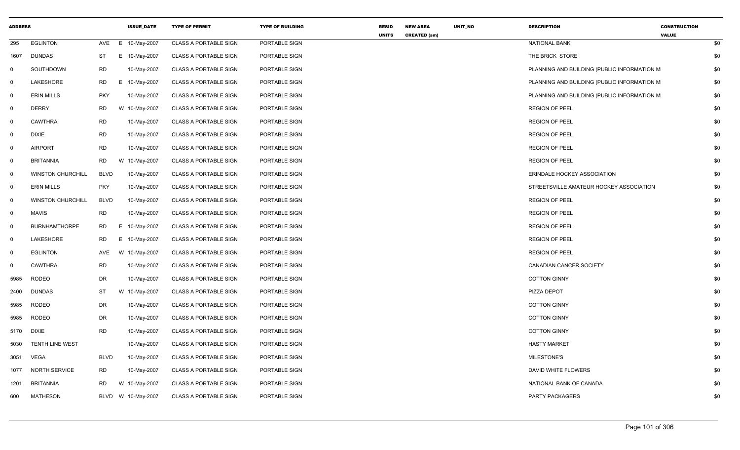| <b>ADDRESS</b> |                          |             | <b>ISSUE_DATE</b>  | <b>TYPE OF PERMIT</b>        | <b>TYPE OF BUILDING</b> | <b>RESID</b><br><b>UNITS</b> | <b>NEW AREA</b><br><b>CREATED (sm)</b> | UNIT_NO | <b>DESCRIPTION</b>                          | <b>CONSTRUCTION</b><br><b>VALUE</b> |     |
|----------------|--------------------------|-------------|--------------------|------------------------------|-------------------------|------------------------------|----------------------------------------|---------|---------------------------------------------|-------------------------------------|-----|
| 295            | <b>EGLINTON</b>          | AVE         | E 10-May-2007      | <b>CLASS A PORTABLE SIGN</b> | PORTABLE SIGN           |                              |                                        |         | <b>NATIONAL BANK</b>                        |                                     | \$0 |
| 1607           | DUNDAS                   | ST          | E.<br>10-May-2007  | <b>CLASS A PORTABLE SIGN</b> | PORTABLE SIGN           |                              |                                        |         | THE BRICK STORE                             |                                     | \$0 |
| $\mathbf 0$    | SOUTHDOWN                | <b>RD</b>   | 10-May-2007        | <b>CLASS A PORTABLE SIGN</b> | PORTABLE SIGN           |                              |                                        |         | PLANNING AND BUILDING (PUBLIC INFORMATION M |                                     | \$0 |
| $\mathbf 0$    | LAKESHORE                | RD          | Е.<br>10-May-2007  | <b>CLASS A PORTABLE SIGN</b> | PORTABLE SIGN           |                              |                                        |         | PLANNING AND BUILDING (PUBLIC INFORMATION M |                                     | \$0 |
| $\mathbf 0$    | <b>ERIN MILLS</b>        | <b>PKY</b>  | 10-May-2007        | <b>CLASS A PORTABLE SIGN</b> | PORTABLE SIGN           |                              |                                        |         | PLANNING AND BUILDING (PUBLIC INFORMATION M |                                     | \$0 |
| $\overline{0}$ | <b>DERRY</b>             | <b>RD</b>   | W 10-May-2007      | <b>CLASS A PORTABLE SIGN</b> | PORTABLE SIGN           |                              |                                        |         | <b>REGION OF PEEL</b>                       |                                     | \$0 |
| $\mathbf 0$    | <b>CAWTHRA</b>           | <b>RD</b>   | 10-May-2007        | <b>CLASS A PORTABLE SIGN</b> | PORTABLE SIGN           |                              |                                        |         | <b>REGION OF PEEL</b>                       |                                     | \$0 |
| 0              | <b>DIXIE</b>             | <b>RD</b>   | 10-May-2007        | <b>CLASS A PORTABLE SIGN</b> | PORTABLE SIGN           |                              |                                        |         | <b>REGION OF PEEL</b>                       |                                     | \$0 |
| $\overline{0}$ | <b>AIRPORT</b>           | RD          | 10-May-2007        | <b>CLASS A PORTABLE SIGN</b> | PORTABLE SIGN           |                              |                                        |         | <b>REGION OF PEEL</b>                       |                                     | \$0 |
| $\mathbf 0$    | <b>BRITANNIA</b>         | <b>RD</b>   | W 10-May-2007      | <b>CLASS A PORTABLE SIGN</b> | PORTABLE SIGN           |                              |                                        |         | <b>REGION OF PEEL</b>                       |                                     | \$0 |
| $\overline{0}$ | <b>WINSTON CHURCHILL</b> | <b>BLVD</b> | 10-May-2007        | <b>CLASS A PORTABLE SIGN</b> | PORTABLE SIGN           |                              |                                        |         | ERINDALE HOCKEY ASSOCIATION                 |                                     | \$0 |
| $\overline{0}$ | <b>ERIN MILLS</b>        | <b>PKY</b>  | 10-May-2007        | <b>CLASS A PORTABLE SIGN</b> | PORTABLE SIGN           |                              |                                        |         | STREETSVILLE AMATEUR HOCKEY ASSOCIATION     |                                     | \$0 |
| $\mathbf 0$    | <b>WINSTON CHURCHILL</b> | <b>BLVD</b> | 10-May-2007        | <b>CLASS A PORTABLE SIGN</b> | PORTABLE SIGN           |                              |                                        |         | <b>REGION OF PEEL</b>                       |                                     | \$0 |
| $\overline{0}$ | <b>MAVIS</b>             | <b>RD</b>   | 10-May-2007        | <b>CLASS A PORTABLE SIGN</b> | PORTABLE SIGN           |                              |                                        |         | <b>REGION OF PEEL</b>                       |                                     | \$0 |
| $\mathbf 0$    | <b>BURNHAMTHORPE</b>     | RD          | E 10-May-2007      | <b>CLASS A PORTABLE SIGN</b> | PORTABLE SIGN           |                              |                                        |         | <b>REGION OF PEEL</b>                       |                                     | \$0 |
| $\overline{0}$ | LAKESHORE                | <b>RD</b>   | E.<br>10-May-2007  | <b>CLASS A PORTABLE SIGN</b> | PORTABLE SIGN           |                              |                                        |         | <b>REGION OF PEEL</b>                       |                                     | \$0 |
| $\mathsf{O}$   | <b>EGLINTON</b>          | AVE         | W 10-May-2007      | <b>CLASS A PORTABLE SIGN</b> | PORTABLE SIGN           |                              |                                        |         | <b>REGION OF PEEL</b>                       |                                     | \$0 |
| $\mathbf 0$    | <b>CAWTHRA</b>           | <b>RD</b>   | 10-May-2007        | <b>CLASS A PORTABLE SIGN</b> | PORTABLE SIGN           |                              |                                        |         | CANADIAN CANCER SOCIETY                     |                                     | \$0 |
| 5985           | <b>RODEO</b>             | DR          | 10-May-2007        | <b>CLASS A PORTABLE SIGN</b> | PORTABLE SIGN           |                              |                                        |         | <b>COTTON GINNY</b>                         |                                     | \$0 |
| 2400           | <b>DUNDAS</b>            | <b>ST</b>   | W 10-May-2007      | <b>CLASS A PORTABLE SIGN</b> | PORTABLE SIGN           |                              |                                        |         | PIZZA DEPOT                                 |                                     | \$0 |
| 5985           | RODEO                    | DR          | 10-May-2007        | <b>CLASS A PORTABLE SIGN</b> | PORTABLE SIGN           |                              |                                        |         | <b>COTTON GINNY</b>                         |                                     | \$0 |
| 5985           | <b>RODEO</b>             | DR          | 10-May-2007        | <b>CLASS A PORTABLE SIGN</b> | PORTABLE SIGN           |                              |                                        |         | <b>COTTON GINNY</b>                         |                                     | \$0 |
| 5170           | DIXIE                    | <b>RD</b>   | 10-May-2007        | <b>CLASS A PORTABLE SIGN</b> | PORTABLE SIGN           |                              |                                        |         | <b>COTTON GINNY</b>                         |                                     | \$0 |
| 5030           | <b>TENTH LINE WEST</b>   |             | 10-May-2007        | <b>CLASS A PORTABLE SIGN</b> | PORTABLE SIGN           |                              |                                        |         | <b>HASTY MARKET</b>                         |                                     | \$0 |
| 3051           | <b>VEGA</b>              | <b>BLVD</b> | 10-May-2007        | <b>CLASS A PORTABLE SIGN</b> | PORTABLE SIGN           |                              |                                        |         | <b>MILESTONE'S</b>                          |                                     | \$0 |
| 1077           | <b>NORTH SERVICE</b>     | <b>RD</b>   | 10-May-2007        | <b>CLASS A PORTABLE SIGN</b> | PORTABLE SIGN           |                              |                                        |         | DAVID WHITE FLOWERS                         |                                     | \$0 |
| 1201           | <b>BRITANNIA</b>         | RD.         | W 10-May-2007      | <b>CLASS A PORTABLE SIGN</b> | PORTABLE SIGN           |                              |                                        |         | NATIONAL BANK OF CANADA                     |                                     | \$0 |
| 600            | <b>MATHESON</b>          |             | BLVD W 10-May-2007 | <b>CLASS A PORTABLE SIGN</b> | PORTABLE SIGN           |                              |                                        |         | PARTY PACKAGERS                             |                                     | \$0 |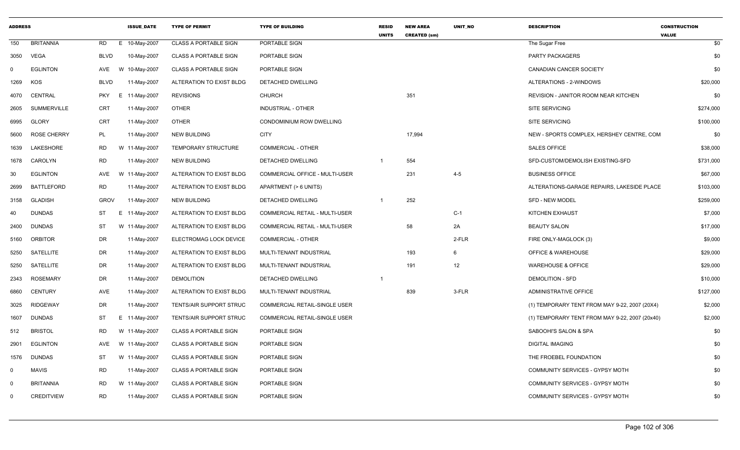| <b>ADDRESS</b> |                    |             | <b>ISSUE DATE</b> | <b>TYPE OF PERMIT</b>        | <b>TYPE OF BUILDING</b>               | <b>RESID</b><br><b>UNITS</b> | <b>NEW AREA</b><br><b>CREATED (sm)</b> | <b>UNIT NO</b> | <b>DESCRIPTION</b>                             | <b>CONSTRUCTION</b><br><b>VALUE</b> |
|----------------|--------------------|-------------|-------------------|------------------------------|---------------------------------------|------------------------------|----------------------------------------|----------------|------------------------------------------------|-------------------------------------|
| 150            | <b>BRITANNIA</b>   | RD          | E 10-May-2007     | <b>CLASS A PORTABLE SIGN</b> | PORTABLE SIGN                         |                              |                                        |                | The Sugar Free                                 | \$0                                 |
| 3050           | <b>VEGA</b>        | <b>BLVD</b> | 10-May-2007       | <b>CLASS A PORTABLE SIGN</b> | PORTABLE SIGN                         |                              |                                        |                | <b>PARTY PACKAGERS</b>                         | \$0                                 |
| $\Omega$       | <b>EGLINTON</b>    | AVE         | W 10-May-2007     | <b>CLASS A PORTABLE SIGN</b> | PORTABLE SIGN                         |                              |                                        |                | CANADIAN CANCER SOCIETY                        | \$0                                 |
| 1269           | KOS                | <b>BLVD</b> | 11-May-2007       | ALTERATION TO EXIST BLDG     | DETACHED DWELLING                     |                              |                                        |                | ALTERATIONS - 2-WINDOWS                        | \$20,000                            |
| 4070           | CENTRAL            | <b>PKY</b>  | E 11-May-2007     | <b>REVISIONS</b>             | <b>CHURCH</b>                         |                              | 351                                    |                | REVISION - JANITOR ROOM NEAR KITCHEN           | \$0                                 |
| 2605           | <b>SUMMERVILLE</b> | <b>CRT</b>  | 11-May-2007       | <b>OTHER</b>                 | <b>INDUSTRIAL - OTHER</b>             |                              |                                        |                | <b>SITE SERVICING</b>                          | \$274,000                           |
| 6995           | <b>GLORY</b>       | CRT         | 11-May-2007       | <b>OTHER</b>                 | CONDOMINIUM ROW DWELLING              |                              |                                        |                | <b>SITE SERVICING</b>                          | \$100,000                           |
| 5600           | <b>ROSE CHERRY</b> | PL          | 11-May-2007       | <b>NEW BUILDING</b>          | <b>CITY</b>                           |                              | 17,994                                 |                | NEW - SPORTS COMPLEX, HERSHEY CENTRE, COM      | \$0                                 |
| 1639           | LAKESHORE          | <b>RD</b>   | W 11-May-2007     | <b>TEMPORARY STRUCTURE</b>   | COMMERCIAL - OTHER                    |                              |                                        |                | SALES OFFICE                                   | \$38,000                            |
| 1678           | CAROLYN            | <b>RD</b>   | 11-May-2007       | <b>NEW BUILDING</b>          | DETACHED DWELLING                     |                              | 554                                    |                | SFD-CUSTOM/DEMOLISH EXISTING-SFD               | \$731,000                           |
| 30             | <b>EGLINTON</b>    | AVE         | W 11-May-2007     | ALTERATION TO EXIST BLDG     | COMMERCIAL OFFICE - MULTI-USER        |                              | 231                                    | $4 - 5$        | <b>BUSINESS OFFICE</b>                         | \$67,000                            |
| 2699           | <b>BATTLEFORD</b>  | <b>RD</b>   | 11-May-2007       | ALTERATION TO EXIST BLDG     | APARTMENT (> 6 UNITS)                 |                              |                                        |                | ALTERATIONS-GARAGE REPAIRS, LAKESIDE PLACE     | \$103,000                           |
| 3158           | <b>GLADISH</b>     | <b>GROV</b> | 11-May-2007       | <b>NEW BUILDING</b>          | DETACHED DWELLING                     |                              | 252                                    |                | <b>SFD - NEW MODEL</b>                         | \$259,000                           |
| 40             | <b>DUNDAS</b>      | <b>ST</b>   | E 11-May-2007     | ALTERATION TO EXIST BLDG     | COMMERCIAL RETAIL - MULTI-USER        |                              |                                        | $C-1$          | <b>KITCHEN EXHAUST</b>                         | \$7,000                             |
| 2400           | <b>DUNDAS</b>      | ST          | W 11-May-2007     | ALTERATION TO EXIST BLDG     | <b>COMMERCIAL RETAIL - MULTI-USER</b> |                              | 58                                     | 2A             | <b>BEAUTY SALON</b>                            | \$17,000                            |
| 5160           | <b>ORBITOR</b>     | DR          | 11-May-2007       | ELECTROMAG LOCK DEVICE       | <b>COMMERCIAL - OTHER</b>             |                              |                                        | 2-FLR          | FIRE ONLY-MAGLOCK (3)                          | \$9,000                             |
| 5250           | SATELLITE          | DR          | 11-May-2007       | ALTERATION TO EXIST BLDG     | MULTI-TENANT INDUSTRIAL               |                              | 193                                    | 6              | OFFICE & WAREHOUSE                             | \$29,000                            |
| 5250           | SATELLITE          | DR          | 11-May-2007       | ALTERATION TO EXIST BLDG     | MULTI-TENANT INDUSTRIAL               |                              | 191                                    | 12             | <b>WAREHOUSE &amp; OFFICE</b>                  | \$29,000                            |
| 2343           | <b>ROSEMARY</b>    | DR          | 11-May-2007       | <b>DEMOLITION</b>            | DETACHED DWELLING                     | -1                           |                                        |                | <b>DEMOLITION - SFD</b>                        | \$10,000                            |
| 6860           | <b>CENTURY</b>     | AVE         | 11-May-2007       | ALTERATION TO EXIST BLDG     | MULTI-TENANT INDUSTRIAL               |                              | 839                                    | 3-FLR          | <b>ADMINISTRATIVE OFFICE</b>                   | \$127,000                           |
| 3025           | <b>RIDGEWAY</b>    | DR          | 11-May-2007       | TENTS/AIR SUPPORT STRUC      | COMMERCIAL RETAIL-SINGLE USER         |                              |                                        |                | (1) TEMPORARY TENT FROM MAY 9-22, 2007 (20X4)  | \$2,000                             |
| 1607           | <b>DUNDAS</b>      | ST          | E 11-May-2007     | TENTS/AIR SUPPORT STRUC      | COMMERCIAL RETAIL-SINGLE USER         |                              |                                        |                | (1) TEMPORARY TENT FROM MAY 9-22, 2007 (20x40) | \$2,000                             |
| 512            | <b>BRISTOL</b>     | RD          | W 11-May-2007     | <b>CLASS A PORTABLE SIGN</b> | PORTABLE SIGN                         |                              |                                        |                | SABOOHI'S SALON & SPA                          | \$0                                 |
| 2901           | <b>EGLINTON</b>    | AVE         | W 11-May-2007     | <b>CLASS A PORTABLE SIGN</b> | PORTABLE SIGN                         |                              |                                        |                | <b>DIGITAL IMAGING</b>                         | \$0                                 |
| 1576           | <b>DUNDAS</b>      | ST          | W 11-May-2007     | <b>CLASS A PORTABLE SIGN</b> | PORTABLE SIGN                         |                              |                                        |                | THE FROEBEL FOUNDATION                         | \$0                                 |
| $\mathbf 0$    | MAVIS              | <b>RD</b>   | 11-May-2007       | <b>CLASS A PORTABLE SIGN</b> | PORTABLE SIGN                         |                              |                                        |                | COMMUNITY SERVICES - GYPSY MOTH                | \$0                                 |
| $\Omega$       | <b>BRITANNIA</b>   | RD          | W 11-May-2007     | <b>CLASS A PORTABLE SIGN</b> | PORTABLE SIGN                         |                              |                                        |                | COMMUNITY SERVICES - GYPSY MOTH                | \$0                                 |
| $\Omega$       | <b>CREDITVIEW</b>  | <b>RD</b>   | 11-May-2007       | <b>CLASS A PORTABLE SIGN</b> | PORTABLE SIGN                         |                              |                                        |                | COMMUNITY SERVICES - GYPSY MOTH                | \$0                                 |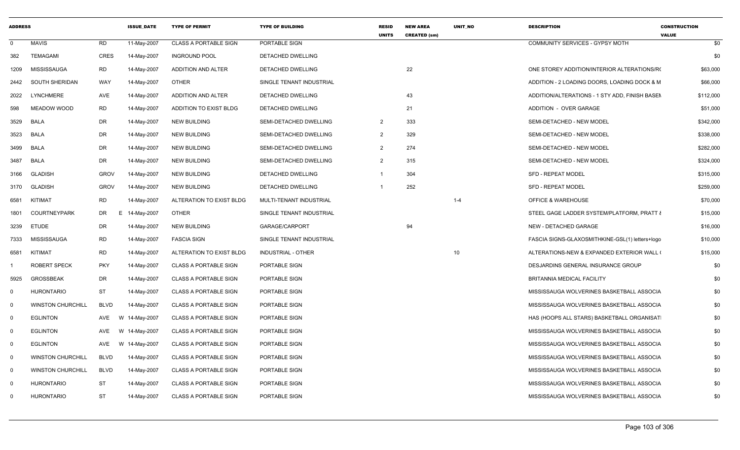| <b>ADDRESS</b> |                          |             | <b>ISSUE DATE</b> | <b>TYPE OF PERMIT</b>        | <b>TYPE OF BUILDING</b>  | <b>RESID</b><br><b>UNITS</b> | <b>NEW AREA</b><br><b>CREATED (sm)</b> | UNIT_NO | <b>DESCRIPTION</b>                              | <b>CONSTRUCTION</b><br><b>VALUE</b> |
|----------------|--------------------------|-------------|-------------------|------------------------------|--------------------------|------------------------------|----------------------------------------|---------|-------------------------------------------------|-------------------------------------|
| $\mathbf 0$    | <b>MAVIS</b>             | RD          | 11-May-2007       | <b>CLASS A PORTABLE SIGN</b> | PORTABLE SIGN            |                              |                                        |         | COMMUNITY SERVICES - GYPSY MOTH                 | \$0                                 |
| 382            | TEMAGAMI                 | <b>CRES</b> | 14-May-2007       | <b>INGROUND POOL</b>         | DETACHED DWELLING        |                              |                                        |         |                                                 | \$0                                 |
| 1209           | MISSISSAUGA              | <b>RD</b>   | 14-May-2007       | <b>ADDITION AND ALTER</b>    | DETACHED DWELLING        |                              | 22                                     |         | ONE STOREY ADDITION/INTERIOR ALTERATIONS/RO     | \$63,000                            |
| 2442           | SOUTH SHERIDAN           | WAY         | 14-May-2007       | <b>OTHER</b>                 | SINGLE TENANT INDUSTRIAL |                              |                                        |         | ADDITION - 2 LOADING DOORS, LOADING DOCK & M    | \$66,000                            |
| 2022           | LYNCHMERE                | AVE         | 14-May-2007       | <b>ADDITION AND ALTER</b>    | DETACHED DWELLING        |                              | 43                                     |         | ADDITION/ALTERATIONS - 1 STY ADD, FINISH BASEN  | \$112,000                           |
| 598            | <b>MEADOW WOOD</b>       | RD          | 14-May-2007       | ADDITION TO EXIST BLDG       | DETACHED DWELLING        |                              | 21                                     |         | ADDITION - OVER GARAGE                          | \$51,000                            |
| 3529           | BALA                     | DR          | 14-May-2007       | NEW BUILDING                 | SEMI-DETACHED DWELLING   | $\overline{2}$               | 333                                    |         | SEMI-DETACHED - NEW MODEL                       | \$342,000                           |
| 3523           | BALA                     | DR          | 14-May-2007       | NEW BUILDING                 | SEMI-DETACHED DWELLING   | $\overline{2}$               | 329                                    |         | SEMI-DETACHED - NEW MODEL                       | \$338,000                           |
| 3499           | BALA                     | DR          | 14-May-2007       | <b>NEW BUILDING</b>          | SEMI-DETACHED DWELLING   | $\overline{2}$               | 274                                    |         | SEMI-DETACHED - NEW MODEL                       | \$282,000                           |
| 3487           | <b>BALA</b>              | DR          | 14-May-2007       | NEW BUILDING                 | SEMI-DETACHED DWELLING   | $\overline{2}$               | 315                                    |         | SEMI-DETACHED - NEW MODEL                       | \$324,000                           |
| 3166           | <b>GLADISH</b>           | <b>GROV</b> | 14-May-2007       | NEW BUILDING                 | DETACHED DWELLING        | $\overline{1}$               | 304                                    |         | SFD - REPEAT MODEL                              | \$315,000                           |
| 3170           | <b>GLADISH</b>           | <b>GROV</b> | 14-May-2007       | <b>NEW BUILDING</b>          | <b>DETACHED DWELLING</b> |                              | 252                                    |         | <b>SFD - REPEAT MODEL</b>                       | \$259,000                           |
| 6581           | KITIMAT                  | <b>RD</b>   | 14-May-2007       | ALTERATION TO EXIST BLDG     | MULTI-TENANT INDUSTRIAL  |                              |                                        | $1 - 4$ | <b>OFFICE &amp; WAREHOUSE</b>                   | \$70,000                            |
| 1801           | <b>COURTNEYPARK</b>      | DR          | E 14-May-2007     | <b>OTHER</b>                 | SINGLE TENANT INDUSTRIAL |                              |                                        |         | STEEL GAGE LADDER SYSTEM/PLATFORM, PRATT &      | \$15,000                            |
| 3239           | <b>ETUDE</b>             | DR          | 14-May-2007       | <b>NEW BUILDING</b>          | GARAGE/CARPORT           |                              | 94                                     |         | NEW - DETACHED GARAGE                           | \$16,000                            |
| 7333           | MISSISSAUGA              | <b>RD</b>   | 14-May-2007       | <b>FASCIA SIGN</b>           | SINGLE TENANT INDUSTRIAL |                              |                                        |         | FASCIA SIGNS-GLAXOSMITHKINE-GSL(1) letters+logo | \$10,000                            |
| 6581           | KITIMAT                  | RD          | 14-May-2007       | ALTERATION TO EXIST BLDG     | INDUSTRIAL - OTHER       |                              |                                        | 10      | ALTERATIONS-NEW & EXPANDED EXTERIOR WALL (      | \$15,000                            |
|                | <b>ROBERT SPECK</b>      | <b>PKY</b>  | 14-May-2007       | <b>CLASS A PORTABLE SIGN</b> | PORTABLE SIGN            |                              |                                        |         | DESJARDINS GENERAL INSURANCE GROUP              | \$0                                 |
| 5925           | <b>GROSSBEAK</b>         | DR          | 14-May-2007       | <b>CLASS A PORTABLE SIGN</b> | PORTABLE SIGN            |                              |                                        |         | BRITANNIA MEDICAL FACILITY                      | \$0                                 |
| $\mathbf 0$    | <b>HURONTARIO</b>        | <b>ST</b>   | 14-May-2007       | <b>CLASS A PORTABLE SIGN</b> | PORTABLE SIGN            |                              |                                        |         | MISSISSAUGA WOLVERINES BASKETBALL ASSOCIA       | \$0                                 |
| $\mathbf 0$    | <b>WINSTON CHURCHILL</b> | BLVD        | 14-May-2007       | <b>CLASS A PORTABLE SIGN</b> | PORTABLE SIGN            |                              |                                        |         | MISSISSAUGA WOLVERINES BASKETBALL ASSOCIA       | \$0                                 |
| $\mathbf 0$    | <b>EGLINTON</b>          | AVE<br>W    | 14-May-2007       | <b>CLASS A PORTABLE SIGN</b> | PORTABLE SIGN            |                              |                                        |         | HAS (HOOPS ALL STARS) BASKETBALL ORGANISAT      | \$0                                 |
| $\mathbf 0$    | <b>EGLINTON</b>          | AVE         | W 14-May-2007     | <b>CLASS A PORTABLE SIGN</b> | PORTABLE SIGN            |                              |                                        |         | MISSISSAUGA WOLVERINES BASKETBALL ASSOCIA       | \$0                                 |
| $\mathbf 0$    | <b>EGLINTON</b>          | AVE         | W 14-May-2007     | <b>CLASS A PORTABLE SIGN</b> | PORTABLE SIGN            |                              |                                        |         | MISSISSAUGA WOLVERINES BASKETBALL ASSOCIA       | \$0                                 |
| $\overline{0}$ | <b>WINSTON CHURCHILL</b> | BLVD        | 14-May-2007       | <b>CLASS A PORTABLE SIGN</b> | PORTABLE SIGN            |                              |                                        |         | MISSISSAUGA WOLVERINES BASKETBALL ASSOCIA       | \$0                                 |
| $\Omega$       | <b>WINSTON CHURCHILL</b> | <b>BLVD</b> | 14-May-2007       | <b>CLASS A PORTABLE SIGN</b> | PORTABLE SIGN            |                              |                                        |         | MISSISSAUGA WOLVERINES BASKETBALL ASSOCIA       | \$0                                 |
| 0              | <b>HURONTARIO</b>        | <b>ST</b>   | 14-May-2007       | <b>CLASS A PORTABLE SIGN</b> | PORTABLE SIGN            |                              |                                        |         | MISSISSAUGA WOLVERINES BASKETBALL ASSOCIA       | \$0                                 |
| 0              | <b>HURONTARIO</b>        | <b>ST</b>   | 14-May-2007       | <b>CLASS A PORTABLE SIGN</b> | PORTABLE SIGN            |                              |                                        |         | MISSISSAUGA WOLVERINES BASKETBALL ASSOCIA       | \$0                                 |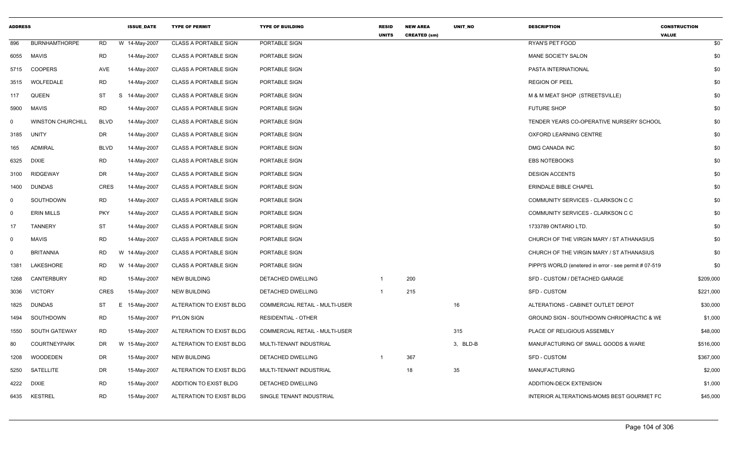| <b>ADDRESS</b>               |                          |             | <b>ISSUE DATE</b> | <b>TYPE OF PERMIT</b>        | <b>TYPE OF BUILDING</b>        | <b>RESID</b><br><b>UNITS</b> | <b>NEW AREA</b><br><b>CREATED (sm)</b> | <b>UNIT NO</b> | <b>DESCRIPTION</b>                                     | <b>CONSTRUCTION</b><br><b>VALUE</b> |
|------------------------------|--------------------------|-------------|-------------------|------------------------------|--------------------------------|------------------------------|----------------------------------------|----------------|--------------------------------------------------------|-------------------------------------|
| 896                          | <b>BURNHAMTHORPE</b>     | RD          | W 14-May-2007     | <b>CLASS A PORTABLE SIGN</b> | PORTABLE SIGN                  |                              |                                        |                | RYAN'S PET FOOD                                        | \$0                                 |
| 6055<br>MAVIS                |                          | <b>RD</b>   | 14-May-2007       | <b>CLASS A PORTABLE SIGN</b> | PORTABLE SIGN                  |                              |                                        |                | MANE SOCIETY SALON                                     | \$0                                 |
| 5715                         | <b>COOPERS</b>           | AVE         | 14-May-2007       | <b>CLASS A PORTABLE SIGN</b> | PORTABLE SIGN                  |                              |                                        |                | PASTA INTERNATIONAL                                    | \$0                                 |
| 3515                         | WOLFEDALE                | <b>RD</b>   | 14-May-2007       | <b>CLASS A PORTABLE SIGN</b> | PORTABLE SIGN                  |                              |                                        |                | <b>REGION OF PEEL</b>                                  | \$0                                 |
| QUEEN<br>117                 |                          | ST          | S<br>14-May-2007  | <b>CLASS A PORTABLE SIGN</b> | PORTABLE SIGN                  |                              |                                        |                | M & M MEAT SHOP (STREETSVILLE)                         | \$0                                 |
| <b>MAVIS</b><br>5900         |                          | <b>RD</b>   | 14-May-2007       | <b>CLASS A PORTABLE SIGN</b> | PORTABLE SIGN                  |                              |                                        |                | <b>FUTURE SHOP</b>                                     | \$0                                 |
| $\Omega$                     | <b>WINSTON CHURCHILL</b> | <b>BLVD</b> | 14-May-2007       | <b>CLASS A PORTABLE SIGN</b> | PORTABLE SIGN                  |                              |                                        |                | TENDER YEARS CO-OPERATIVE NURSERY SCHOOL               | \$0                                 |
| <b>UNITY</b><br>3185         |                          | DR          | 14-May-2007       | <b>CLASS A PORTABLE SIGN</b> | PORTABLE SIGN                  |                              |                                        |                | OXFORD LEARNING CENTRE                                 | \$0                                 |
| 165                          | <b>ADMIRAL</b>           | <b>BLVD</b> | 14-May-2007       | <b>CLASS A PORTABLE SIGN</b> | PORTABLE SIGN                  |                              |                                        |                | DMG CANADA INC                                         | \$0                                 |
| <b>DIXIE</b><br>6325         |                          | RD          | 14-May-2007       | <b>CLASS A PORTABLE SIGN</b> | PORTABLE SIGN                  |                              |                                        |                | <b>EBS NOTEBOOKS</b>                                   | \$0                                 |
| 3100                         | <b>RIDGEWAY</b>          | DR          | 14-May-2007       | <b>CLASS A PORTABLE SIGN</b> | PORTABLE SIGN                  |                              |                                        |                | <b>DESIGN ACCENTS</b>                                  | \$0                                 |
| 1400                         | <b>DUNDAS</b>            | <b>CRES</b> | 14-May-2007       | <b>CLASS A PORTABLE SIGN</b> | PORTABLE SIGN                  |                              |                                        |                | ERINDALE BIBLE CHAPEL                                  | \$0                                 |
| $\mathbf 0$                  | SOUTHDOWN                | <b>RD</b>   | 14-May-2007       | <b>CLASS A PORTABLE SIGN</b> | PORTABLE SIGN                  |                              |                                        |                | COMMUNITY SERVICES - CLARKSON C C                      | \$0                                 |
| $\Omega$                     | <b>ERIN MILLS</b>        | <b>PKY</b>  | 14-May-2007       | <b>CLASS A PORTABLE SIGN</b> | PORTABLE SIGN                  |                              |                                        |                | COMMUNITY SERVICES - CLARKSON C C                      | \$0                                 |
| 17                           | TANNERY                  | <b>ST</b>   | 14-May-2007       | <b>CLASS A PORTABLE SIGN</b> | PORTABLE SIGN                  |                              |                                        |                | 1733789 ONTARIO LTD.                                   | \$0                                 |
| <b>MAVIS</b><br>$\mathbf{0}$ |                          | <b>RD</b>   | 14-May-2007       | <b>CLASS A PORTABLE SIGN</b> | PORTABLE SIGN                  |                              |                                        |                | CHURCH OF THE VIRGIN MARY / ST ATHANASIUS              | \$0                                 |
| $\Omega$                     | <b>BRITANNIA</b>         | RD          | W 14-May-2007     | <b>CLASS A PORTABLE SIGN</b> | PORTABLE SIGN                  |                              |                                        |                | CHURCH OF THE VIRGIN MARY / ST ATHANASIUS              | \$0                                 |
| 1381                         | LAKESHORE                | <b>RD</b>   | W 14-May-2007     | <b>CLASS A PORTABLE SIGN</b> | PORTABLE SIGN                  |                              |                                        |                | PIPPI'S WORLD (enetered in error - see permit # 07-519 | \$0                                 |
| 1268                         | CANTERBURY               | RD          | 15-May-2007       | NEW BUILDING                 | DETACHED DWELLING              |                              | 200                                    |                | SFD - CUSTOM / DETACHED GARAGE                         | \$209,000                           |
| 3036                         | <b>VICTORY</b>           | <b>CRES</b> | 15-May-2007       | <b>NEW BUILDING</b>          | DETACHED DWELLING              |                              | 215                                    |                | SFD - CUSTOM                                           | \$221,000                           |
| 1825                         | DUNDAS                   | ST          | Е<br>15-May-2007  | ALTERATION TO EXIST BLDG     | COMMERCIAL RETAIL - MULTI-USER |                              |                                        | 16             | ALTERATIONS - CABINET OUTLET DEPOT                     | \$30,000                            |
| 1494                         | SOUTHDOWN                | <b>RD</b>   | 15-May-2007       | <b>PYLON SIGN</b>            | <b>RESIDENTIAL - OTHER</b>     |                              |                                        |                | GROUND SIGN - SOUTHDOWN CHRIOPRACTIC & WE              | \$1,000                             |
| 1550                         | SOUTH GATEWAY            | RD          | 15-May-2007       | ALTERATION TO EXIST BLDG     | COMMERCIAL RETAIL - MULTI-USER |                              |                                        | 315            | PLACE OF RELIGIOUS ASSEMBLY                            | \$48,000                            |
| 80                           | <b>COURTNEYPARK</b>      | DR          | W 15-May-2007     | ALTERATION TO EXIST BLDG     | MULTI-TENANT INDUSTRIAL        |                              |                                        | 3, BLD-B       | MANUFACTURING OF SMALL GOODS & WARE                    | \$516,000                           |
| 1208                         | <b>WOODEDEN</b>          | DR          | 15-May-2007       | <b>NEW BUILDING</b>          | DETACHED DWELLING              |                              | 367                                    |                | <b>SFD - CUSTOM</b>                                    | \$367,000                           |
| 5250                         | SATELLITE                | DR          | 15-May-2007       | ALTERATION TO EXIST BLDG     | MULTI-TENANT INDUSTRIAL        |                              | 18                                     | 35             | <b>MANUFACTURING</b>                                   | \$2,000                             |
| <b>DIXIE</b><br>4222         |                          | <b>RD</b>   | 15-May-2007       | ADDITION TO EXIST BLDG       | DETACHED DWELLING              |                              |                                        |                | ADDITION-DECK EXTENSION                                | \$1,000                             |
| 6435                         | <b>KESTREL</b>           | <b>RD</b>   | 15-May-2007       | ALTERATION TO EXIST BLDG     | SINGLE TENANT INDUSTRIAL       |                              |                                        |                | INTERIOR ALTERATIONS-MOMS BEST GOURMET FC              | \$45,000                            |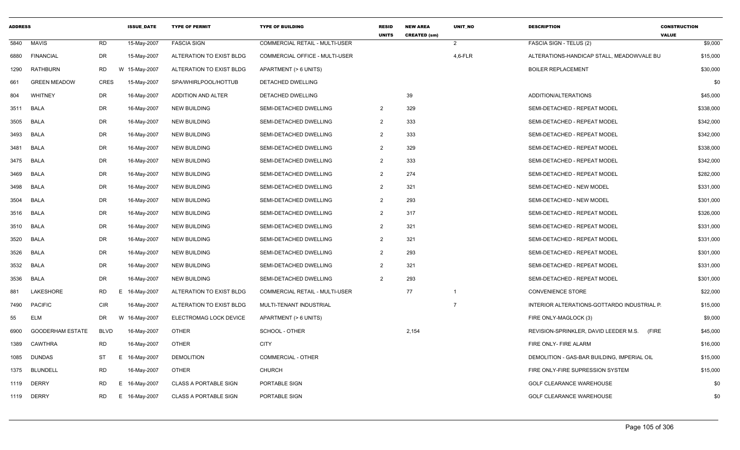| <b>ADDRESS</b> |                         |             | <b>ISSUE DATE</b> | <b>TYPE OF PERMIT</b>        | <b>TYPE OF BUILDING</b>               | <b>RESID</b><br><b>UNITS</b> | <b>NEW AREA</b><br><b>CREATED (sm)</b> | <b>UNIT NO</b> | <b>DESCRIPTION</b>                             | <b>CONSTRUCTION</b><br><b>VALUE</b> |
|----------------|-------------------------|-------------|-------------------|------------------------------|---------------------------------------|------------------------------|----------------------------------------|----------------|------------------------------------------------|-------------------------------------|
| 5840           | <b>MAVIS</b>            | <b>RD</b>   | 15-May-2007       | <b>FASCIA SIGN</b>           | COMMERCIAL RETAIL - MULTI-USER        |                              |                                        | $\overline{2}$ | FASCIA SIGN - TELUS (2)                        | \$9,000                             |
| 6880           | <b>FINANCIAL</b>        | DR          | 15-May-2007       | ALTERATION TO EXIST BLDG     | <b>COMMERCIAL OFFICE - MULTI-USER</b> |                              |                                        | $4,6$ -FLR     | ALTERATIONS-HANDICAP STALL, MEADOWVALE BU      | \$15,000                            |
| 1290           | <b>RATHBURN</b>         | RD          | W 15-May-2007     | ALTERATION TO EXIST BLDG     | APARTMENT (> 6 UNITS)                 |                              |                                        |                | <b>BOILER REPLACEMENT</b>                      | \$30,000                            |
| 661            | <b>GREEN MEADOW</b>     | <b>CRES</b> | 15-May-2007       | SPA/WHIRLPOOL/HOTTUB         | DETACHED DWELLING                     |                              |                                        |                |                                                | \$0                                 |
| 804            | WHITNEY                 | DR          | 16-May-2007       | ADDITION AND ALTER           | DETACHED DWELLING                     |                              | 39                                     |                | ADDITION/ALTERATIONS                           | \$45,000                            |
| 3511           | BALA                    | DR          | 16-May-2007       | <b>NEW BUILDING</b>          | SEMI-DETACHED DWELLING                | $\overline{2}$               | 329                                    |                | SEMI-DETACHED - REPEAT MODEL                   | \$338,000                           |
| 3505           | <b>BALA</b>             | DR          | 16-May-2007       | <b>NEW BUILDING</b>          | SEMI-DETACHED DWELLING                | $\overline{2}$               | 333                                    |                | SEMI-DETACHED - REPEAT MODEL                   | \$342,000                           |
| 3493           | <b>BALA</b>             | DR          | 16-May-2007       | <b>NEW BUILDING</b>          | SEMI-DETACHED DWELLING                | $\overline{2}$               | 333                                    |                | SEMI-DETACHED - REPEAT MODEL                   | \$342,000                           |
| 3481           | BALA                    | DR          | 16-May-2007       | <b>NEW BUILDING</b>          | SEMI-DETACHED DWELLING                | $\overline{2}$               | 329                                    |                | SEMI-DETACHED - REPEAT MODEL                   | \$338,000                           |
| 3475           | <b>BALA</b>             | DR          | 16-May-2007       | <b>NEW BUILDING</b>          | SEMI-DETACHED DWELLING                | $\overline{2}$               | 333                                    |                | SEMI-DETACHED - REPEAT MODEL                   | \$342,000                           |
| 3469           | <b>BALA</b>             | DR          | 16-May-2007       | <b>NEW BUILDING</b>          | SEMI-DETACHED DWELLING                | $\overline{2}$               | 274                                    |                | SEMI-DETACHED - REPEAT MODEL                   | \$282,000                           |
| 3498           | BALA                    | DR          | 16-May-2007       | <b>NEW BUILDING</b>          | SEMI-DETACHED DWELLING                | $\overline{2}$               | 321                                    |                | SEMI-DETACHED - NEW MODEL                      | \$331,000                           |
| 3504           | <b>BALA</b>             | DR          | 16-May-2007       | <b>NEW BUILDING</b>          | SEMI-DETACHED DWELLING                | $\overline{2}$               | 293                                    |                | SEMI-DETACHED - NEW MODEL                      | \$301,000                           |
| 3516           | <b>BALA</b>             | DR          | 16-May-2007       | <b>NEW BUILDING</b>          | SEMI-DETACHED DWELLING                | $\overline{2}$               | 317                                    |                | SEMI-DETACHED - REPEAT MODEL                   | \$326,000                           |
| 3510           | BALA                    | DR          | 16-May-2007       | <b>NEW BUILDING</b>          | SEMI-DETACHED DWELLING                | $\overline{2}$               | 321                                    |                | SEMI-DETACHED - REPEAT MODEL                   | \$331,000                           |
| 3520           | BALA                    | DR          | 16-May-2007       | <b>NEW BUILDING</b>          | SEMI-DETACHED DWELLING                | $\overline{2}$               | 321                                    |                | SEMI-DETACHED - REPEAT MODEL                   | \$331,000                           |
| 3526           | <b>BALA</b>             | DR          | 16-May-2007       | <b>NEW BUILDING</b>          | SEMI-DETACHED DWELLING                | $\overline{2}$               | 293                                    |                | SEMI-DETACHED - REPEAT MODEL                   | \$301,000                           |
| 3532           | BALA                    | DR          | 16-May-2007       | NEW BUILDING                 | SEMI-DETACHED DWELLING                | $\overline{2}$               | 321                                    |                | SEMI-DETACHED - REPEAT MODEL                   | \$331,000                           |
| 3536           | <b>BALA</b>             | DR          | 16-May-2007       | <b>NEW BUILDING</b>          | SEMI-DETACHED DWELLING                | $\overline{2}$               | 293                                    |                | SEMI-DETACHED - REPEAT MODEL                   | \$301,000                           |
| 881            | LAKESHORE               | <b>RD</b>   | E<br>16-May-2007  | ALTERATION TO EXIST BLDG     | COMMERCIAL RETAIL - MULTI-USER        |                              | 77                                     | $\overline{1}$ | <b>CONVENIENCE STORE</b>                       | \$22,000                            |
| 7490           | <b>PACIFIC</b>          | <b>CIR</b>  | 16-May-2007       | ALTERATION TO EXIST BLDG     | MULTI-TENANT INDUSTRIAL               |                              |                                        | $\overline{7}$ | INTERIOR ALTERATIONS-GOTTARDO INDUSTRIAL P     | \$15,000                            |
| 55             | <b>ELM</b>              | DR          | W 16-May-2007     | ELECTROMAG LOCK DEVICE       | APARTMENT (> 6 UNITS)                 |                              |                                        |                | FIRE ONLY-MAGLOCK (3)                          | \$9,000                             |
| 6900           | <b>GOODERHAM ESTATE</b> | <b>BLVD</b> | 16-May-2007       | <b>OTHER</b>                 | SCHOOL - OTHER                        |                              | 2,154                                  |                | REVISION-SPRINKLER, DAVID LEEDER M.S.<br>(FIRE | \$45,000                            |
| 1389           | CAWTHRA                 | <b>RD</b>   | 16-May-2007       | OTHER                        | <b>CITY</b>                           |                              |                                        |                | FIRE ONLY- FIRE ALARM                          | \$16,000                            |
| 1085           | <b>DUNDAS</b>           | ST          | E 16-May-2007     | <b>DEMOLITION</b>            | <b>COMMERCIAL - OTHER</b>             |                              |                                        |                | DEMOLITION - GAS-BAR BUILDING, IMPERIAL OIL    | \$15,000                            |
| 1375           | <b>BLUNDELL</b>         | <b>RD</b>   | 16-May-2007       | <b>OTHER</b>                 | <b>CHURCH</b>                         |                              |                                        |                | FIRE ONLY-FIRE SUPRESSION SYSTEM               | \$15,000                            |
| 1119           | <b>DERRY</b>            | RD          | Е<br>16-May-2007  | <b>CLASS A PORTABLE SIGN</b> | PORTABLE SIGN                         |                              |                                        |                | <b>GOLF CLEARANCE WAREHOUSE</b>                | \$0                                 |
| 1119           | <b>DERRY</b>            | RD          | E 16-May-2007     | <b>CLASS A PORTABLE SIGN</b> | <b>PORTABLE SIGN</b>                  |                              |                                        |                | <b>GOLF CLEARANCE WAREHOUSE</b>                | \$0                                 |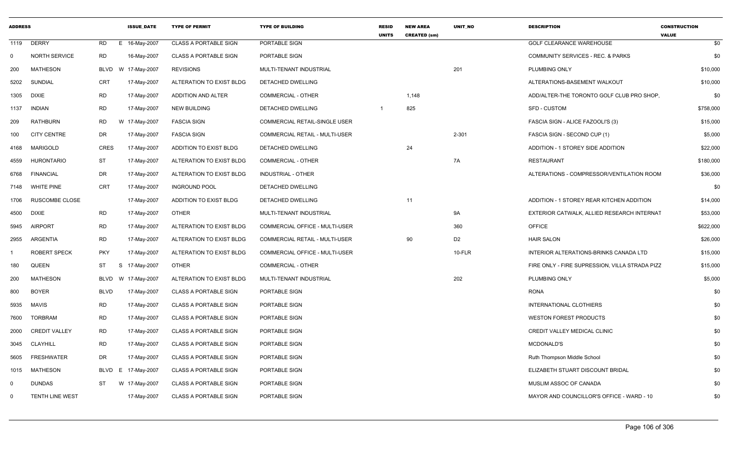| <b>ADDRESS</b> |                       |                 | <b>ISSUE DATE</b> | <b>TYPE OF PERMIT</b>        | <b>TYPE OF BUILDING</b>               | <b>RESID</b><br><b>UNITS</b> | <b>NEW AREA</b><br><b>CREATED (sm)</b> | <b>UNIT NO</b> | <b>DESCRIPTION</b>                             | <b>CONSTRUCTION</b><br><b>VALUE</b> |
|----------------|-----------------------|-----------------|-------------------|------------------------------|---------------------------------------|------------------------------|----------------------------------------|----------------|------------------------------------------------|-------------------------------------|
| 1119           | <b>DERRY</b>          | <b>RD</b><br>E. | 16-May-2007       | <b>CLASS A PORTABLE SIGN</b> | PORTABLE SIGN                         |                              |                                        |                | <b>GOLF CLEARANCE WAREHOUSE</b>                | \$0                                 |
| $\Omega$       | <b>NORTH SERVICE</b>  | RD              | 16-May-2007       | <b>CLASS A PORTABLE SIGN</b> | PORTABLE SIGN                         |                              |                                        |                | COMMUNITY SERVICES - REC. & PARKS              | \$0                                 |
| 200            | <b>MATHESON</b>       | BLVD            | W 17-May-2007     | <b>REVISIONS</b>             | MULTI-TENANT INDUSTRIAL               |                              |                                        | 201            | PLUMBING ONLY                                  | \$10,000                            |
| 5202           | SUNDIAL               | <b>CRT</b>      | 17-May-2007       | ALTERATION TO EXIST BLDG     | DETACHED DWELLING                     |                              |                                        |                | ALTERATIONS-BASEMENT WALKOUT                   | \$10,000                            |
| 1305           | DIXIE                 | <b>RD</b>       | 17-May-2007       | ADDITION AND ALTER           | <b>COMMERCIAL - OTHER</b>             |                              | 1,148                                  |                | ADD/ALTER-THE TORONTO GOLF CLUB PRO SHOP,      | \$0                                 |
| 1137           | <b>INDIAN</b>         | <b>RD</b>       | 17-May-2007       | <b>NEW BUILDING</b>          | <b>DETACHED DWELLING</b>              | $\overline{1}$               | 825                                    |                | <b>SFD - CUSTOM</b>                            | \$758,000                           |
| 209            | <b>RATHBURN</b>       | RD              | W 17-May-2007     | <b>FASCIA SIGN</b>           | COMMERCIAL RETAIL-SINGLE USER         |                              |                                        |                | FASCIA SIGN - ALICE FAZOOLI'S (3)              | \$15,000                            |
| 100            | <b>CITY CENTRE</b>    | <b>DR</b>       | 17-May-2007       | <b>FASCIA SIGN</b>           | COMMERCIAL RETAIL - MULTI-USER        |                              |                                        | $2 - 301$      | FASCIA SIGN - SECOND CUP (1)                   | \$5,000                             |
| 4168           | MARIGOLD              | CRES            | 17-May-2007       | ADDITION TO EXIST BLDG       | DETACHED DWELLING                     |                              | 24                                     |                | ADDITION - 1 STOREY SIDE ADDITION              | \$22,000                            |
| 4559           | <b>HURONTARIO</b>     | <b>ST</b>       | 17-May-2007       | ALTERATION TO EXIST BLDG     | <b>COMMERCIAL - OTHER</b>             |                              |                                        | 7A             | <b>RESTAURANT</b>                              | \$180,000                           |
| 6768           | <b>FINANCIAL</b>      | <b>DR</b>       | 17-May-2007       | ALTERATION TO EXIST BLDG     | <b>INDUSTRIAL - OTHER</b>             |                              |                                        |                | ALTERATIONS - COMPRESSOR/VENTILATION ROOM      | \$36,000                            |
| 7148           | WHITE PINE            | <b>CRT</b>      | 17-May-2007       | <b>INGROUND POOL</b>         | DETACHED DWELLING                     |                              |                                        |                |                                                | \$0                                 |
| 1706           | <b>RUSCOMBE CLOSE</b> |                 | 17-May-2007       | ADDITION TO EXIST BLDG       | DETACHED DWELLING                     |                              | 11                                     |                | ADDITION - 1 STOREY REAR KITCHEN ADDITION      | \$14,000                            |
| 4500           | <b>DIXIE</b>          | <b>RD</b>       | 17-May-2007       | <b>OTHER</b>                 | MULTI-TENANT INDUSTRIAL               |                              |                                        | <b>9A</b>      | EXTERIOR CATWALK, ALLIED RESEARCH INTERNAT     | \$53,000                            |
| 5945           | <b>AIRPORT</b>        | <b>RD</b>       | 17-May-2007       | ALTERATION TO EXIST BLDG     | <b>COMMERCIAL OFFICE - MULTI-USER</b> |                              |                                        | 360            | <b>OFFICE</b>                                  | \$622,000                           |
| 2955           | ARGENTIA              | <b>RD</b>       | 17-May-2007       | ALTERATION TO EXIST BLDG     | COMMERCIAL RETAIL - MULTI-USER        |                              | 90                                     | D <sub>2</sub> | <b>HAIR SALON</b>                              | \$26,000                            |
|                | ROBERT SPECK          | <b>PKY</b>      | 17-May-2007       | ALTERATION TO EXIST BLDG     | COMMERCIAL OFFICE - MULTI-USER        |                              |                                        | 10-FLR         | INTERIOR ALTERATIONS-BRINKS CANADA LTD         | \$15,000                            |
| 180            | <b>QUEEN</b>          | <b>ST</b>       | S 17-May-2007     | <b>OTHER</b>                 | <b>COMMERCIAL - OTHER</b>             |                              |                                        |                | FIRE ONLY - FIRE SUPRESSION, VILLA STRADA PIZZ | \$15,000                            |
| 200            | <b>MATHESON</b>       | <b>BLVD</b>     | W 17-May-2007     | ALTERATION TO EXIST BLDG     | MULTI-TENANT INDUSTRIAL               |                              |                                        | 202            | PLUMBING ONLY                                  | \$5,000                             |
| 800            | <b>BOYER</b>          | <b>BLVD</b>     | 17-May-2007       | <b>CLASS A PORTABLE SIGN</b> | PORTABLE SIGN                         |                              |                                        |                | <b>RONA</b>                                    | \$0                                 |
| 5935           | <b>MAVIS</b>          | <b>RD</b>       | 17-May-2007       | <b>CLASS A PORTABLE SIGN</b> | PORTABLE SIGN                         |                              |                                        |                | INTERNATIONAL CLOTHIERS                        | \$0                                 |
| 7600           | <b>TORBRAM</b>        | <b>RD</b>       | 17-May-2007       | <b>CLASS A PORTABLE SIGN</b> | <b>PORTABLE SIGN</b>                  |                              |                                        |                | WESTON FOREST PRODUCTS                         | \$0                                 |
| 2000           | <b>CREDIT VALLEY</b>  | <b>RD</b>       | 17-May-2007       | <b>CLASS A PORTABLE SIGN</b> | PORTABLE SIGN                         |                              |                                        |                | CREDIT VALLEY MEDICAL CLINIC                   | \$0                                 |
| 3045           | <b>CLAYHILL</b>       | <b>RD</b>       | 17-May-2007       | <b>CLASS A PORTABLE SIGN</b> | PORTABLE SIGN                         |                              |                                        |                | <b>MCDONALD'S</b>                              | \$0                                 |
| 5605           | <b>FRESHWATER</b>     | DR              | 17-May-2007       | <b>CLASS A PORTABLE SIGN</b> | PORTABLE SIGN                         |                              |                                        |                | Ruth Thompson Middle School                    | \$0                                 |
| 1015           | <b>MATHESON</b>       | BLVD            | E 17-May-2007     | <b>CLASS A PORTABLE SIGN</b> | PORTABLE SIGN                         |                              |                                        |                | ELIZABETH STUART DISCOUNT BRIDAL               | \$0                                 |
| - 0            | <b>DUNDAS</b>         | <b>ST</b>       | W 17-May-2007     | <b>CLASS A PORTABLE SIGN</b> | PORTABLE SIGN                         |                              |                                        |                | MUSLIM ASSOC OF CANADA                         | \$0                                 |
| $\Omega$       | TENTH LINE WEST       |                 | 17-May-2007       | <b>CLASS A PORTABLE SIGN</b> | PORTABLE SIGN                         |                              |                                        |                | MAYOR AND COUNCILLOR'S OFFICE - WARD - 10      | \$0                                 |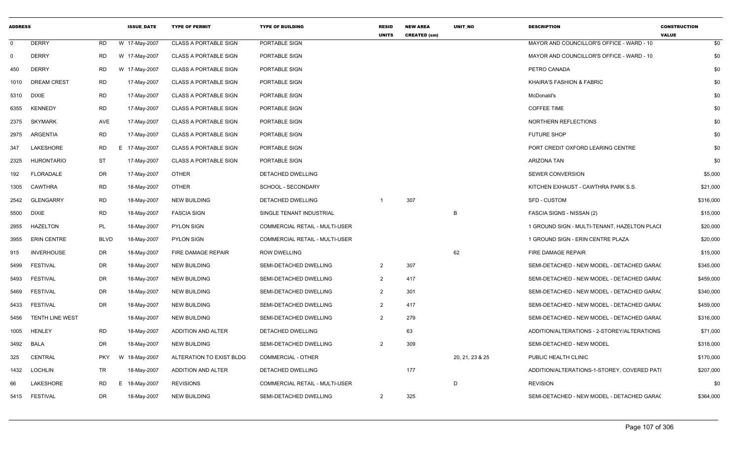| <b>ADDRESS</b> |                        |             | <b>ISSUE_DATE</b> | <b>TYPE OF PERMIT</b>        | <b>TYPE OF BUILDING</b>        | <b>RESID</b><br><b>UNITS</b> | <b>NEW AREA</b><br><b>CREATED (sm)</b> | UNIT_NO         | <b>DESCRIPTION</b>                           | <b>CONSTRUCTION</b><br><b>VALUE</b> |
|----------------|------------------------|-------------|-------------------|------------------------------|--------------------------------|------------------------------|----------------------------------------|-----------------|----------------------------------------------|-------------------------------------|
| $\mathbf 0$    | <b>DERRY</b>           | <b>RD</b>   | W 17-May-2007     | <b>CLASS A PORTABLE SIGN</b> | PORTABLE SIGN                  |                              |                                        |                 | MAYOR AND COUNCILLOR'S OFFICE - WARD - 10    | \$0                                 |
| 0              | <b>DERRY</b>           | <b>RD</b>   | W 17-May-2007     | <b>CLASS A PORTABLE SIGN</b> | PORTABLE SIGN                  |                              |                                        |                 | MAYOR AND COUNCILLOR'S OFFICE - WARD - 10    | \$0                                 |
| 450            | <b>DERRY</b>           | <b>RD</b>   | W 17-May-2007     | <b>CLASS A PORTABLE SIGN</b> | PORTABLE SIGN                  |                              |                                        |                 | PETRO CANADA                                 | \$0                                 |
|                | 1010 DREAM CREST       | <b>RD</b>   | 17-May-2007       | <b>CLASS A PORTABLE SIGN</b> | PORTABLE SIGN                  |                              |                                        |                 | <b>KHAIRA'S FASHION &amp; FABRIC</b>         | \$0                                 |
| 5310 DIXIE     |                        | <b>RD</b>   | 17-May-2007       | <b>CLASS A PORTABLE SIGN</b> | PORTABLE SIGN                  |                              |                                        |                 | McDonald's                                   | \$0                                 |
| 6355           | <b>KENNEDY</b>         | <b>RD</b>   | 17-May-2007       | <b>CLASS A PORTABLE SIGN</b> | PORTABLE SIGN                  |                              |                                        |                 | <b>COFFEE TIME</b>                           | \$0                                 |
| 2375           | <b>SKYMARK</b>         | <b>AVE</b>  | 17-May-2007       | <b>CLASS A PORTABLE SIGN</b> | PORTABLE SIGN                  |                              |                                        |                 | NORTHERN REFLECTIONS                         | \$0                                 |
| 2975           | ARGENTIA               | <b>RD</b>   | 17-May-2007       | <b>CLASS A PORTABLE SIGN</b> | PORTABLE SIGN                  |                              |                                        |                 | <b>FUTURE SHOP</b>                           | \$0                                 |
| 347            | LAKESHORE              | RD          | E 17-May-2007     | <b>CLASS A PORTABLE SIGN</b> | PORTABLE SIGN                  |                              |                                        |                 | PORT CREDIT OXFORD LEARING CENTRE            | \$0                                 |
| 2325           | <b>HURONTARIO</b>      | <b>ST</b>   | 17-May-2007       | <b>CLASS A PORTABLE SIGN</b> | PORTABLE SIGN                  |                              |                                        |                 | <b>ARIZONA TAN</b>                           | \$0                                 |
| 192            | <b>FLORADALE</b>       | <b>DR</b>   | 17-May-2007       | OTHER                        | DETACHED DWELLING              |                              |                                        |                 | SEWER CONVERSION                             | \$5,000                             |
| 1305           | <b>CAWTHRA</b>         | <b>RD</b>   | 18-May-2007       | <b>OTHER</b>                 | SCHOOL - SECONDARY             |                              |                                        |                 | KITCHEN EXHAUST - CAWTHRA PARK S.S.          | \$21,000                            |
| 2542           | <b>GLENGARRY</b>       | <b>RD</b>   | 18-May-2007       | <b>NEW BUILDING</b>          | <b>DETACHED DWELLING</b>       |                              | 307                                    |                 | <b>SFD - CUSTOM</b>                          | \$316,000                           |
| 5500           | <b>DIXIE</b>           | <b>RD</b>   | 18-May-2007       | <b>FASCIA SIGN</b>           | SINGLE TENANT INDUSTRIAL       |                              |                                        | B               | FASCIA SIGNS - NISSAN (2)                    | \$15,000                            |
| 2955           | <b>HAZELTON</b>        | <b>PL</b>   | 18-May-2007       | <b>PYLON SIGN</b>            | COMMERCIAL RETAIL - MULTI-USER |                              |                                        |                 | 1 GROUND SIGN - MULTI-TENANT, HAZELTON PLACI | \$20,000                            |
| 3955           | <b>ERIN CENTRE</b>     | <b>BLVD</b> | 18-May-2007       | <b>PYLON SIGN</b>            | COMMERCIAL RETAIL - MULTI-USER |                              |                                        |                 | 1 GROUND SIGN - ERIN CENTRE PLAZA            | \$20,000                            |
| 915            | <b>INVERHOUSE</b>      | DR          | 18-May-2007       | FIRE DAMAGE REPAIR           | <b>ROW DWELLING</b>            |                              |                                        | 62              | FIRE DAMAGE REPAIR                           | \$15,000                            |
| 5499           | <b>FESTIVAL</b>        | DR          | 18-May-2007       | <b>NEW BUILDING</b>          | SEMI-DETACHED DWELLING         | 2                            | 307                                    |                 | SEMI-DETACHED - NEW MODEL - DETACHED GARA(   | \$345,000                           |
| 5493           | <b>FESTIVAL</b>        | DR          | 18-May-2007       | <b>NEW BUILDING</b>          | SEMI-DETACHED DWELLING         | 2                            | 417                                    |                 | SEMI-DETACHED - NEW MODEL - DETACHED GARA(   | \$459,000                           |
| 5469           | <b>FESTIVAL</b>        | <b>DR</b>   | 18-May-2007       | <b>NEW BUILDING</b>          | SEMI-DETACHED DWELLING         | 2                            | 301                                    |                 | SEMI-DETACHED - NEW MODEL - DETACHED GARA(   | \$340,000                           |
| 5433           | <b>FESTIVAL</b>        | DR          | 18-May-2007       | <b>NEW BUILDING</b>          | SEMI-DETACHED DWELLING         | 2                            | 417                                    |                 | SEMI-DETACHED - NEW MODEL - DETACHED GARA(   | \$459,000                           |
| 5456           | <b>TENTH LINE WEST</b> |             | 18-May-2007       | <b>NEW BUILDING</b>          | SEMI-DETACHED DWELLING         | 2                            | 279                                    |                 | SEMI-DETACHED - NEW MODEL - DETACHED GARA(   | \$316,000                           |
| 1005           | HENLEY                 | <b>RD</b>   | 18-May-2007       | ADDITION AND ALTER           | <b>DETACHED DWELLING</b>       |                              | 63                                     |                 | ADDITION/ALTERATIONS - 2-STOREY/ALTERATIONS  | \$71,000                            |
| 3492           | BALA                   | DR          | 18-May-2007       | <b>NEW BUILDING</b>          | SEMI-DETACHED DWELLING         | $\overline{2}$               | 309                                    |                 | SEMI-DETACHED - NEW MODEL                    | \$318,000                           |
| 325            | <b>CENTRAL</b>         | <b>PKY</b>  | W 18-May-2007     | ALTERATION TO EXIST BLDG     | <b>COMMERCIAL - OTHER</b>      |                              |                                        | 20, 21, 23 & 25 | PUBLIC HEALTH CLINIC                         | \$170,000                           |
| 1432           | <b>LOCHLIN</b>         | <b>TR</b>   | 18-May-2007       | ADDITION AND ALTER           | DETACHED DWELLING              |                              | 177                                    |                 | ADDITION/ALTERATIONS-1-STOREY, COVERED PATI  | \$207,000                           |
| 66             | <b>LAKESHORE</b>       | <b>RD</b>   | E 18-May-2007     | <b>REVISIONS</b>             | COMMERCIAL RETAIL - MULTI-USER |                              |                                        | D               | <b>REVISION</b>                              | \$0                                 |
|                | 5415 FESTIVAL          | <b>DR</b>   | 18-May-2007       | <b>NEW BUILDING</b>          | SEMI-DETACHED DWELLING         | 2                            | 325                                    |                 | SEMI-DETACHED - NEW MODEL - DETACHED GARA(   | \$364,000                           |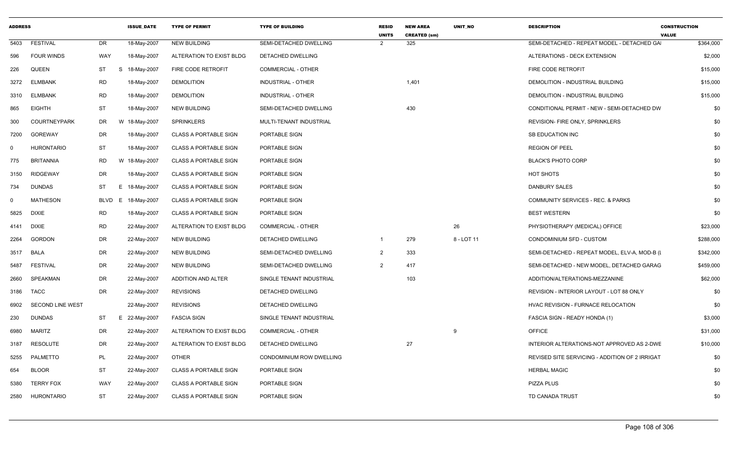| <b>ADDRESS</b> |                     |            | <b>ISSUE DATE</b> | <b>TYPE OF PERMIT</b>        | <b>TYPE OF BUILDING</b>   | <b>RESID</b><br><b>UNITS</b> | <b>NEW AREA</b><br><b>CREATED (sm)</b> | <b>UNIT NO</b> | <b>DESCRIPTION</b>                             | <b>CONSTRUCTION</b><br><b>VALUE</b> |
|----------------|---------------------|------------|-------------------|------------------------------|---------------------------|------------------------------|----------------------------------------|----------------|------------------------------------------------|-------------------------------------|
| 5403           | <b>FESTIVAL</b>     | DR.        | 18-May-2007       | <b>NEW BUILDING</b>          | SEMI-DETACHED DWELLING    | 2                            | 325                                    |                | SEMI-DETACHED - REPEAT MODEL - DETACHED GA     | \$364,000                           |
| 596            | <b>FOUR WINDS</b>   | WAY        | 18-May-2007       | ALTERATION TO EXIST BLDG     | DETACHED DWELLING         |                              |                                        |                | ALTERATIONS - DECK EXTENSION                   | \$2,000                             |
| 226            | <b>QUEEN</b>        | ST<br>S    | 18-May-2007       | FIRE CODE RETROFIT           | <b>COMMERCIAL - OTHER</b> |                              |                                        |                | FIRE CODE RETROFIT                             | \$15,000                            |
| 3272           | <b>ELMBANK</b>      | <b>RD</b>  | 18-May-2007       | <b>DEMOLITION</b>            | INDUSTRIAL - OTHER        |                              | 1,401                                  |                | DEMOLITION - INDUSTRIAL BUILDING               | \$15,000                            |
| 3310           | <b>ELMBANK</b>      | <b>RD</b>  | 18-May-2007       | <b>DEMOLITION</b>            | INDUSTRIAL - OTHER        |                              |                                        |                | DEMOLITION - INDUSTRIAL BUILDING               | \$15,000                            |
| 865            | <b>EIGHTH</b>       | <b>ST</b>  | 18-May-2007       | <b>NEW BUILDING</b>          | SEMI-DETACHED DWELLING    |                              | 430                                    |                | CONDITIONAL PERMIT - NEW - SEMI-DETACHED DW    | \$0                                 |
| 300            | <b>COURTNEYPARK</b> | DR         | W 18-May-2007     | <b>SPRINKLERS</b>            | MULTI-TENANT INDUSTRIAL   |                              |                                        |                | REVISION- FIRE ONLY, SPRINKLERS                | \$0                                 |
| 7200           | <b>GOREWAY</b>      | DR         | 18-May-2007       | <b>CLASS A PORTABLE SIGN</b> | PORTABLE SIGN             |                              |                                        |                | <b>SB EDUCATION INC</b>                        | \$0                                 |
| $\Omega$       | <b>HURONTARIO</b>   | ST         | 18-May-2007       | <b>CLASS A PORTABLE SIGN</b> | PORTABLE SIGN             |                              |                                        |                | <b>REGION OF PEEL</b>                          | \$0                                 |
| 775            | <b>BRITANNIA</b>    | <b>RD</b>  | W 18-May-2007     | <b>CLASS A PORTABLE SIGN</b> | PORTABLE SIGN             |                              |                                        |                | <b>BLACK'S PHOTO CORP</b>                      | \$0                                 |
| 3150           | <b>RIDGEWAY</b>     | DR         | 18-May-2007       | <b>CLASS A PORTABLE SIGN</b> | PORTABLE SIGN             |                              |                                        |                | HOT SHOTS                                      | \$0                                 |
| 734            | <b>DUNDAS</b>       | ST<br>Е.   | 18-May-2007       | <b>CLASS A PORTABLE SIGN</b> | PORTABLE SIGN             |                              |                                        |                | <b>DANBURY SALES</b>                           | \$0                                 |
| $\Omega$       | <b>MATHESON</b>     | BLVD<br>E. | 18-May-2007       | <b>CLASS A PORTABLE SIGN</b> | PORTABLE SIGN             |                              |                                        |                | <b>COMMUNITY SERVICES - REC. &amp; PARKS</b>   | \$0                                 |
| 5825           | <b>DIXIE</b>        | <b>RD</b>  | 18-May-2007       | <b>CLASS A PORTABLE SIGN</b> | PORTABLE SIGN             |                              |                                        |                | <b>BEST WESTERN</b>                            | \$0                                 |
| 4141           | <b>DIXIE</b>        | RD         | 22-May-2007       | ALTERATION TO EXIST BLDG     | <b>COMMERCIAL - OTHER</b> |                              |                                        | 26             | PHYSIOTHERAPY (MEDICAL) OFFICE                 | \$23,000                            |
| 2264           | <b>GORDON</b>       | DR         | 22-May-2007       | NEW BUILDING                 | DETACHED DWELLING         | $\mathbf{1}$                 | 279                                    | 8 - LOT 11     | CONDOMINIUM SFD - CUSTOM                       | \$288,000                           |
| 3517           | <b>BALA</b>         | DR         | 22-May-2007       | <b>NEW BUILDING</b>          | SEMI-DETACHED DWELLING    | 2                            | 333                                    |                | SEMI-DETACHED - REPEAT MODEL, ELV-A, MOD-B (I  | \$342,000                           |
| 5487           | <b>FESTIVAL</b>     | DR         | 22-May-2007       | <b>NEW BUILDING</b>          | SEMI-DETACHED DWELLING    | 2                            | 417                                    |                | SEMI-DETACHED - NEW MODEL. DETACHED GARAG      | \$459,000                           |
| 2660           | SPEAKMAN            | DR         | 22-May-2007       | ADDITION AND ALTER           | SINGLE TENANT INDUSTRIAL  |                              | 103                                    |                | ADDITION/ALTERATIONS-MEZZANINE                 | \$62,000                            |
| 3186           | TACC                | DR         | 22-May-2007       | <b>REVISIONS</b>             | DETACHED DWELLING         |                              |                                        |                | REVISION - INTERIOR LAYOUT - LOT 88 ONLY       | \$0                                 |
| 6902           | SECOND LINE WEST    |            | 22-May-2007       | <b>REVISIONS</b>             | DETACHED DWELLING         |                              |                                        |                | HVAC REVISION - FURNACE RELOCATION             | \$0                                 |
| 230            | <b>DUNDAS</b>       | ST         | E 22-May-2007     | <b>FASCIA SIGN</b>           | SINGLE TENANT INDUSTRIAL  |                              |                                        |                | FASCIA SIGN - READY HONDA (1)                  | \$3,000                             |
| 6980           | <b>MARITZ</b>       | DR         | 22-May-2007       | ALTERATION TO EXIST BLDG     | <b>COMMERCIAL - OTHER</b> |                              |                                        | 9              | <b>OFFICE</b>                                  | \$31,000                            |
| 3187           | <b>RESOLUTE</b>     | <b>DR</b>  | 22-May-2007       | ALTERATION TO EXIST BLDG     | DETACHED DWELLING         |                              | 27                                     |                | INTERIOR ALTERATIONS-NOT APPROVED AS 2-DWE     | \$10,000                            |
| 5255           | PALMETTO            | PL         | 22-May-2007       | <b>OTHER</b>                 | CONDOMINIUM ROW DWELLING  |                              |                                        |                | REVISED SITE SERVICING - ADDITION OF 2 IRRIGAT | \$0                                 |
| 654            | <b>BLOOR</b>        | <b>ST</b>  | 22-May-2007       | <b>CLASS A PORTABLE SIGN</b> | PORTABLE SIGN             |                              |                                        |                | <b>HERBAL MAGIC</b>                            | \$0                                 |
| 5380           | <b>TERRY FOX</b>    | WAY        | 22-May-2007       | <b>CLASS A PORTABLE SIGN</b> | PORTABLE SIGN             |                              |                                        |                | <b>PIZZA PLUS</b>                              | \$0                                 |
| 2580           | <b>HURONTARIO</b>   | <b>ST</b>  | 22-May-2007       | <b>CLASS A PORTABLE SIGN</b> | PORTABLE SIGN             |                              |                                        |                | TD CANADA TRUST                                | \$0                                 |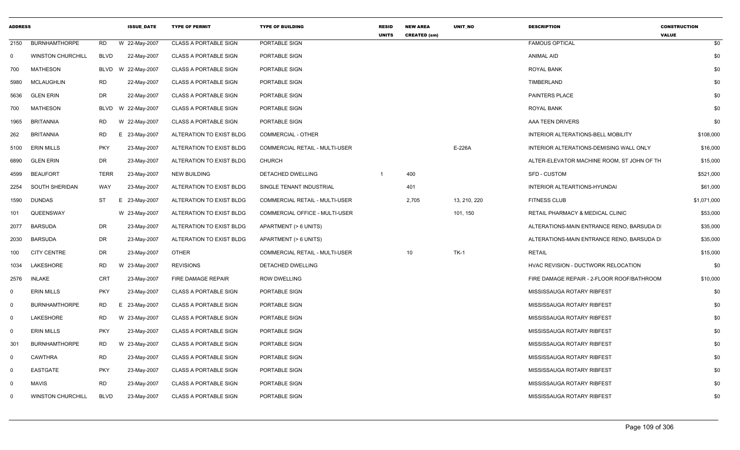| <b>ADDRESS</b> |                          |             | <b>ISSUE DATE</b> | <b>TYPE OF PERMIT</b>        | <b>TYPE OF BUILDING</b>               | <b>RESID</b><br><b>UNITS</b> | <b>NEW AREA</b><br><b>CREATED (sm)</b> | <b>UNIT NO</b> | <b>DESCRIPTION</b>                         | <b>CONSTRUCTION</b><br><b>VALUE</b> |
|----------------|--------------------------|-------------|-------------------|------------------------------|---------------------------------------|------------------------------|----------------------------------------|----------------|--------------------------------------------|-------------------------------------|
| 2150           | <b>BURNHAMTHORPE</b>     | <b>RD</b>   | W 22-May-2007     | <b>CLASS A PORTABLE SIGN</b> | PORTABLE SIGN                         |                              |                                        |                | <b>FAMOUS OPTICAL</b>                      | \$0                                 |
| 0              | <b>WINSTON CHURCHILL</b> | <b>BLVD</b> | 22-May-2007       | <b>CLASS A PORTABLE SIGN</b> | PORTABLE SIGN                         |                              |                                        |                | <b>ANIMAL AID</b>                          | \$0                                 |
| 700            | <b>MATHESON</b>          | BLVD        | W 22-May-2007     | <b>CLASS A PORTABLE SIGN</b> | PORTABLE SIGN                         |                              |                                        |                | <b>ROYAL BANK</b>                          | \$0                                 |
| 5980           | <b>MCLAUGHLIN</b>        | RD          | 22-May-2007       | <b>CLASS A PORTABLE SIGN</b> | <b>PORTABLE SIGN</b>                  |                              |                                        |                | TIMBERLAND                                 | \$0                                 |
| 5636           | <b>GLEN ERIN</b>         | DR          | 22-May-2007       | <b>CLASS A PORTABLE SIGN</b> | PORTABLE SIGN                         |                              |                                        |                | <b>PAINTERS PLACE</b>                      | \$0                                 |
| 700            | <b>MATHESON</b>          | <b>BLVD</b> | W 22-May-2007     | <b>CLASS A PORTABLE SIGN</b> | PORTABLE SIGN                         |                              |                                        |                | <b>ROYAL BANK</b>                          | \$0                                 |
| 1965           | <b>BRITANNIA</b>         | RD          | W 22-May-2007     | <b>CLASS A PORTABLE SIGN</b> | PORTABLE SIGN                         |                              |                                        |                | AAA TEEN DRIVERS                           | \$0                                 |
| 262            | <b>BRITANNIA</b>         | RD          | E 23-May-2007     | ALTERATION TO EXIST BLDG     | <b>COMMERCIAL - OTHER</b>             |                              |                                        |                | INTERIOR ALTERATIONS-BELL MOBILITY         | \$108,000                           |
| 5100           | ERIN MILLS               | <b>PKY</b>  | 23-May-2007       | ALTERATION TO EXIST BLDG     | COMMERCIAL RETAIL - MULTI-USER        |                              |                                        | E-226A         | INTERIOR ALTERATIONS-DEMISING WALL ONLY    | \$16,000                            |
| 6890           | <b>GLEN ERIN</b>         | DR          | 23-May-2007       | ALTERATION TO EXIST BLDG     | CHURCH                                |                              |                                        |                | ALTER-ELEVATOR MACHINE ROOM, ST JOHN OF TH | \$15,000                            |
| 4599           | <b>BEAUFORT</b>          | <b>TERR</b> | 23-May-2007       | NEW BUILDING                 | DETACHED DWELLING                     | -1                           | 400                                    |                | <b>SFD - CUSTOM</b>                        | \$521,000                           |
| 2254           | SOUTH SHERIDAN           | <b>WAY</b>  | 23-May-2007       | ALTERATION TO EXIST BLDG     | SINGLE TENANT INDUSTRIAL              |                              | 401                                    |                | INTERIOR ALTEARTIONS-HYUNDAI               | \$61,000                            |
| 1590           | <b>DUNDAS</b>            | ST          | E 23-May-2007     | ALTERATION TO EXIST BLDG     | <b>COMMERCIAL RETAIL - MULTI-USER</b> |                              | 2,705                                  | 13, 210, 220   | <b>FITNESS CLUB</b>                        | \$1,071,000                         |
| 101            | QUEENSWAY                |             | W 23-May-2007     | ALTERATION TO EXIST BLDG     | COMMERCIAL OFFICE - MULTI-USER        |                              |                                        | 101, 150       | RETAIL PHARMACY & MEDICAL CLINIC           | \$53,000                            |
| 2077           | <b>BARSUDA</b>           | DR          | 23-May-2007       | ALTERATION TO EXIST BLDG     | APARTMENT (> 6 UNITS)                 |                              |                                        |                | ALTERATIONS-MAIN ENTRANCE RENO, BARSUDA D  | \$35,000                            |
| 2030           | <b>BARSUDA</b>           | <b>DR</b>   | 23-May-2007       | ALTERATION TO EXIST BLDG     | APARTMENT (> 6 UNITS)                 |                              |                                        |                | ALTERATIONS-MAIN ENTRANCE RENO, BARSUDA D  | \$35,000                            |
| 100            | <b>CITY CENTRE</b>       | DR          | 23-May-2007       | <b>OTHER</b>                 | <b>COMMERCIAL RETAIL - MULTI-USER</b> |                              | 10                                     | $TK-1$         | <b>RETAIL</b>                              | \$15,000                            |
| 1034           | LAKESHORE                | RD          | W 23-May-2007     | <b>REVISIONS</b>             | DETACHED DWELLING                     |                              |                                        |                | HVAC REVISION - DUCTWORK RELOCATION        | \$0                                 |
| 2576           | <b>INLAKE</b>            | <b>CRT</b>  | 23-May-2007       | <b>FIRE DAMAGE REPAIR</b>    | <b>ROW DWELLING</b>                   |                              |                                        |                | FIRE DAMAGE REPAIR - 2-FLOOR ROOF/BATHROOM | \$10,000                            |
| 0              | <b>ERIN MILLS</b>        | <b>PKY</b>  | 23-May-2007       | <b>CLASS A PORTABLE SIGN</b> | PORTABLE SIGN                         |                              |                                        |                | MISSISSAUGA ROTARY RIBFEST                 | \$0                                 |
| 0              | <b>BURNHAMTHORPE</b>     | RD          | Е.<br>23-May-2007 | <b>CLASS A PORTABLE SIGN</b> | PORTABLE SIGN                         |                              |                                        |                | MISSISSAUGA ROTARY RIBFEST                 | \$0                                 |
| $\mathbf 0$    | LAKESHORE                | RD          | W 23-May-2007     | <b>CLASS A PORTABLE SIGN</b> | PORTABLE SIGN                         |                              |                                        |                | MISSISSAUGA ROTARY RIBFEST                 | \$0                                 |
| $\mathbf 0$    | <b>ERIN MILLS</b>        | <b>PKY</b>  | 23-May-2007       | <b>CLASS A PORTABLE SIGN</b> | PORTABLE SIGN                         |                              |                                        |                | MISSISSAUGA ROTARY RIBFEST                 | \$0                                 |
| 301            | <b>BURNHAMTHORPE</b>     | <b>RD</b>   | W 23-May-2007     | <b>CLASS A PORTABLE SIGN</b> | PORTABLE SIGN                         |                              |                                        |                | MISSISSAUGA ROTARY RIBFEST                 | \$0                                 |
| $\overline{0}$ | <b>CAWTHRA</b>           | <b>RD</b>   | 23-May-2007       | <b>CLASS A PORTABLE SIGN</b> | PORTABLE SIGN                         |                              |                                        |                | MISSISSAUGA ROTARY RIBFEST                 | \$0                                 |
| 0              | <b>EASTGATE</b>          | <b>PKY</b>  | 23-May-2007       | <b>CLASS A PORTABLE SIGN</b> | PORTABLE SIGN                         |                              |                                        |                | MISSISSAUGA ROTARY RIBFEST                 | \$0                                 |
| - 0            | <b>MAVIS</b>             | <b>RD</b>   | 23-May-2007       | <b>CLASS A PORTABLE SIGN</b> | PORTABLE SIGN                         |                              |                                        |                | MISSISSAUGA ROTARY RIBFEST                 | \$0                                 |
| $\Omega$       | <b>WINSTON CHURCHILL</b> | <b>BLVD</b> | 23-May-2007       | <b>CLASS A PORTABLE SIGN</b> | PORTABLE SIGN                         |                              |                                        |                | MISSISSAUGA ROTARY RIBFEST                 | \$0                                 |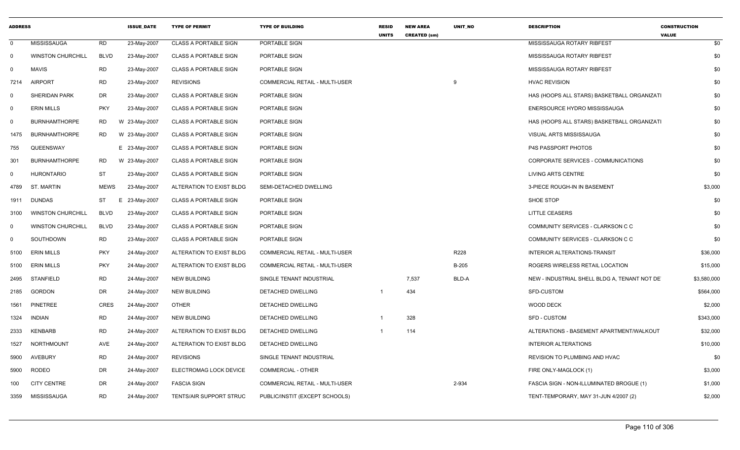| <b>ADDRESS</b> |                          |             | <b>ISSUE DATE</b> | <b>TYPE OF PERMIT</b>        | <b>TYPE OF BUILDING</b>               | <b>RESID</b><br><b>UNITS</b> | <b>NEW AREA</b><br><b>CREATED (sm)</b> | UNIT_NO      | <b>DESCRIPTION</b>                           | <b>CONSTRUCTION</b><br><b>VALUE</b> |
|----------------|--------------------------|-------------|-------------------|------------------------------|---------------------------------------|------------------------------|----------------------------------------|--------------|----------------------------------------------|-------------------------------------|
| $\mathbf{0}$   | <b>MISSISSAUGA</b>       | <b>RD</b>   | 23-May-2007       | <b>CLASS A PORTABLE SIGN</b> | PORTABLE SIGN                         |                              |                                        |              | MISSISSAUGA ROTARY RIBFEST                   | \$0                                 |
| 0              | <b>WINSTON CHURCHILL</b> | <b>BLVD</b> | 23-May-2007       | <b>CLASS A PORTABLE SIGN</b> | PORTABLE SIGN                         |                              |                                        |              | MISSISSAUGA ROTARY RIBFEST                   | \$0                                 |
| $\Omega$       | <b>MAVIS</b>             | <b>RD</b>   | 23-May-2007       | <b>CLASS A PORTABLE SIGN</b> | PORTABLE SIGN                         |                              |                                        |              | MISSISSAUGA ROTARY RIBFEST                   | \$0                                 |
| 7214           | <b>AIRPORT</b>           | <b>RD</b>   | 23-May-2007       | <b>REVISIONS</b>             | COMMERCIAL RETAIL - MULTI-USER        |                              |                                        |              | <b>HVAC REVISION</b>                         | \$0                                 |
| 0              | <b>SHERIDAN PARK</b>     | DR          | 23-May-2007       | <b>CLASS A PORTABLE SIGN</b> | PORTABLE SIGN                         |                              |                                        |              | HAS (HOOPS ALL STARS) BASKETBALL ORGANIZATI  | \$0                                 |
| $\Omega$       | <b>ERIN MILLS</b>        | <b>PKY</b>  | 23-May-2007       | <b>CLASS A PORTABLE SIGN</b> | PORTABLE SIGN                         |                              |                                        |              | ENERSOURCE HYDRO MISSISSAUGA                 | \$0                                 |
| 0              | <b>BURNHAMTHORPE</b>     | <b>RD</b>   | W 23-May-2007     | <b>CLASS A PORTABLE SIGN</b> | PORTABLE SIGN                         |                              |                                        |              | HAS (HOOPS ALL STARS) BASKETBALL ORGANIZATI  | \$0                                 |
| 1475           | <b>BURNHAMTHORPE</b>     | RD          | W 23-May-2007     | <b>CLASS A PORTABLE SIGN</b> | PORTABLE SIGN                         |                              |                                        |              | VISUAL ARTS MISSISSAUGA                      | \$0                                 |
| 755            | QUEENSWAY                |             | E 23-May-2007     | <b>CLASS A PORTABLE SIGN</b> | PORTABLE SIGN                         |                              |                                        |              | <b>P4S PASSPORT PHOTOS</b>                   | \$0                                 |
| 301            | <b>BURNHAMTHORPE</b>     | <b>RD</b>   | W 23-May-2007     | <b>CLASS A PORTABLE SIGN</b> | PORTABLE SIGN                         |                              |                                        |              | CORPORATE SERVICES - COMMUNICATIONS          | \$0                                 |
| $\mathbf 0$    | <b>HURONTARIO</b>        | <b>ST</b>   | 23-May-2007       | <b>CLASS A PORTABLE SIGN</b> | PORTABLE SIGN                         |                              |                                        |              | <b>LIVING ARTS CENTRE</b>                    | \$0                                 |
| 4789           | ST. MARTIN               | <b>MEWS</b> | 23-May-2007       | ALTERATION TO EXIST BLDG     | <b>SEMI-DETACHED DWELLING</b>         |                              |                                        |              | 3-PIECE ROUGH-IN IN BASEMENT                 | \$3,000                             |
| 1911           | <b>DUNDAS</b>            | ST          | 23-May-2007<br>E. | <b>CLASS A PORTABLE SIGN</b> | PORTABLE SIGN                         |                              |                                        |              | <b>SHOE STOP</b>                             | \$0                                 |
| 3100           | <b>WINSTON CHURCHILL</b> | <b>BLVD</b> | 23-May-2007       | <b>CLASS A PORTABLE SIGN</b> | PORTABLE SIGN                         |                              |                                        |              | <b>LITTLE CEASERS</b>                        | \$0                                 |
| 0              | <b>WINSTON CHURCHILL</b> | <b>BLVD</b> | 23-May-2007       | <b>CLASS A PORTABLE SIGN</b> | PORTABLE SIGN                         |                              |                                        |              | COMMUNITY SERVICES - CLARKSON C C            | \$0                                 |
| 0              | SOUTHDOWN                | <b>RD</b>   | 23-May-2007       | <b>CLASS A PORTABLE SIGN</b> | PORTABLE SIGN                         |                              |                                        |              | COMMUNITY SERVICES - CLARKSON C C            | \$0                                 |
| 5100           | <b>ERIN MILLS</b>        | <b>PKY</b>  | 24-May-2007       | ALTERATION TO EXIST BLDG     | <b>COMMERCIAL RETAIL - MULTI-USER</b> |                              |                                        | R228         | <b>INTERIOR ALTERATIONS-TRANSIT</b>          | \$36,000                            |
| 5100           | <b>ERIN MILLS</b>        | <b>PKY</b>  | 24-May-2007       | ALTERATION TO EXIST BLDG     | COMMERCIAL RETAIL - MULTI-USER        |                              |                                        | <b>B-205</b> | ROGERS WIRELESS RETAIL LOCATION              | \$15,000                            |
| 2495           | <b>STANFIELD</b>         | <b>RD</b>   | 24-May-2007       | NEW BUILDING                 | SINGLE TENANT INDUSTRIAL              |                              | 7,537                                  | BLD-A        | NEW - INDUSTRIAL SHELL BLDG A, TENANT NOT DE | \$3,580,000                         |
| 2185           | GORDON                   | <b>DR</b>   | 24-May-2007       | <b>NEW BUILDING</b>          | DETACHED DWELLING                     |                              | 434                                    |              | SFD-CUSTOM                                   | \$564,000                           |
| 1561           | <b>PINETREE</b>          | <b>CRES</b> | 24-May-2007       | <b>OTHER</b>                 | DETACHED DWELLING                     |                              |                                        |              | <b>WOOD DECK</b>                             | \$2,000                             |
| 1324           | <b>INDIAN</b>            | <b>RD</b>   | 24-May-2007       | <b>NEW BUILDING</b>          | DETACHED DWELLING                     |                              | 328                                    |              | <b>SFD - CUSTOM</b>                          | \$343,000                           |
| 2333           | <b>KENBARB</b>           | <b>RD</b>   | 24-May-2007       | ALTERATION TO EXIST BLDG     | <b>DETACHED DWELLING</b>              |                              | 114                                    |              | ALTERATIONS - BASEMENT APARTMENT/WALKOUT     | \$32,000                            |
| 1527           | <b>NORTHMOUNT</b>        | AVE         | 24-May-2007       | ALTERATION TO EXIST BLDG     | DETACHED DWELLING                     |                              |                                        |              | <b>INTERIOR ALTERATIONS</b>                  | \$10,000                            |
| 5900           | <b>AVEBURY</b>           | <b>RD</b>   | 24-May-2007       | <b>REVISIONS</b>             | SINGLE TENANT INDUSTRIAL              |                              |                                        |              | REVISION TO PLUMBING AND HVAC                | \$0                                 |
| 5900           | <b>RODEO</b>             | DR          | 24-May-2007       | ELECTROMAG LOCK DEVICE       | <b>COMMERCIAL - OTHER</b>             |                              |                                        |              | FIRE ONLY-MAGLOCK (1)                        | \$3,000                             |
| 100            | <b>CITY CENTRE</b>       | DR          | 24-May-2007       | <b>FASCIA SIGN</b>           | COMMERCIAL RETAIL - MULTI-USER        |                              |                                        | 2-934        | FASCIA SIGN - NON-ILLUMINATED BROGUE (1)     | \$1,000                             |
| 3359           | MISSISSAUGA              | <b>RD</b>   | 24-May-2007       | TENTS/AIR SUPPORT STRUC      | PUBLIC/INSTIT (EXCEPT SCHOOLS)        |                              |                                        |              | TENT-TEMPORARY, MAY 31-JUN 4/2007 (2)        | \$2,000                             |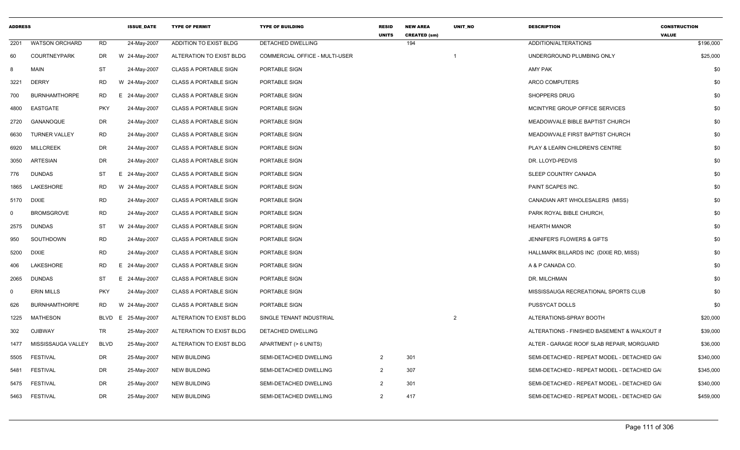| <b>ADDRESS</b> |                       |             | <b>ISSUE DATE</b> | <b>TYPE OF PERMIT</b>        | <b>TYPE OF BUILDING</b>        | <b>RESID</b><br><b>UNITS</b> | <b>NEW AREA</b><br><b>CREATED (sm)</b> | <b>UNIT NO</b> | <b>DESCRIPTION</b>                           | <b>CONSTRUCTION</b><br><b>VALUE</b> |
|----------------|-----------------------|-------------|-------------------|------------------------------|--------------------------------|------------------------------|----------------------------------------|----------------|----------------------------------------------|-------------------------------------|
| 2201           | <b>WATSON ORCHARD</b> | <b>RD</b>   | 24-May-2007       | ADDITION TO EXIST BLDG       | DETACHED DWELLING              |                              | 194                                    |                | ADDITION/ALTERATIONS                         | \$196,000                           |
| 60             | <b>COURTNEYPARK</b>   | DR          | W 24-May-2007     | ALTERATION TO EXIST BLDG     | COMMERCIAL OFFICE - MULTI-USER |                              |                                        | -1             | UNDERGROUND PLUMBING ONLY                    | \$25,000                            |
| -8             | <b>MAIN</b>           | ST          | 24-May-2007       | <b>CLASS A PORTABLE SIGN</b> | PORTABLE SIGN                  |                              |                                        |                | <b>AMY PAK</b>                               | \$0                                 |
| 3221           | <b>DERRY</b>          | <b>RD</b>   | W 24-May-2007     | <b>CLASS A PORTABLE SIGN</b> | PORTABLE SIGN                  |                              |                                        |                | ARCO COMPUTERS                               | \$0                                 |
| 700            | <b>BURNHAMTHORPE</b>  | RD          | E 24-May-2007     | <b>CLASS A PORTABLE SIGN</b> | <b>PORTABLE SIGN</b>           |                              |                                        |                | <b>SHOPPERS DRUG</b>                         | \$0                                 |
| 4800           | EASTGATE              | <b>PKY</b>  | 24-May-2007       | <b>CLASS A PORTABLE SIGN</b> | PORTABLE SIGN                  |                              |                                        |                | MCINTYRE GROUP OFFICE SERVICES               | \$0                                 |
| 2720           | GANANOQUE             | DR          | 24-May-2007       | <b>CLASS A PORTABLE SIGN</b> | PORTABLE SIGN                  |                              |                                        |                | MEADOWVALE BIBLE BAPTIST CHURCH              | \$0                                 |
| 6630           | <b>TURNER VALLEY</b>  | <b>RD</b>   | 24-May-2007       | <b>CLASS A PORTABLE SIGN</b> | PORTABLE SIGN                  |                              |                                        |                | MEADOWVALE FIRST BAPTIST CHURCH              | \$0                                 |
| 6920           | <b>MILLCREEK</b>      | DR          | 24-May-2007       | <b>CLASS A PORTABLE SIGN</b> | PORTABLE SIGN                  |                              |                                        |                | PLAY & LEARN CHILDREN'S CENTRE               | \$0                                 |
| 3050           | <b>ARTESIAN</b>       | DR          | 24-May-2007       | <b>CLASS A PORTABLE SIGN</b> | PORTABLE SIGN                  |                              |                                        |                | DR. LLOYD-PEDVIS                             | \$0                                 |
| 776            | DUNDAS                | ST          | E 24-May-2007     | <b>CLASS A PORTABLE SIGN</b> | PORTABLE SIGN                  |                              |                                        |                | SLEEP COUNTRY CANADA                         | \$0                                 |
| 1865           | LAKESHORE             | RD          | W 24-May-2007     | <b>CLASS A PORTABLE SIGN</b> | PORTABLE SIGN                  |                              |                                        |                | PAINT SCAPES INC.                            | \$0                                 |
| 5170           | <b>DIXIE</b>          | <b>RD</b>   | 24-May-2007       | <b>CLASS A PORTABLE SIGN</b> | PORTABLE SIGN                  |                              |                                        |                | CANADIAN ART WHOLESALERS (MISS)              | \$0                                 |
| $\mathbf 0$    | <b>BROMSGROVE</b>     | <b>RD</b>   | 24-May-2007       | <b>CLASS A PORTABLE SIGN</b> | PORTABLE SIGN                  |                              |                                        |                | PARK ROYAL BIBLE CHURCH.                     | \$0                                 |
| 2575           | DUNDAS                | ST          | W 24-May-2007     | <b>CLASS A PORTABLE SIGN</b> | PORTABLE SIGN                  |                              |                                        |                | <b>HEARTH MANOR</b>                          | \$0                                 |
| 950            | SOUTHDOWN             | <b>RD</b>   | 24-May-2007       | <b>CLASS A PORTABLE SIGN</b> | PORTABLE SIGN                  |                              |                                        |                | JENNIFER'S FLOWERS & GIFTS                   | \$0                                 |
| 5200           | <b>DIXIE</b>          | <b>RD</b>   | 24-May-2007       | <b>CLASS A PORTABLE SIGN</b> | PORTABLE SIGN                  |                              |                                        |                | HALLMARK BILLARDS INC (DIXIE RD, MISS)       | \$0                                 |
| 406            | LAKESHORE             | RD          | E 24-May-2007     | <b>CLASS A PORTABLE SIGN</b> | PORTABLE SIGN                  |                              |                                        |                | A & P CANADA CO.                             | \$0                                 |
| 2065           | DUNDAS                | ST          | E 24-May-2007     | <b>CLASS A PORTABLE SIGN</b> | PORTABLE SIGN                  |                              |                                        |                | DR. MILCHMAN                                 | \$0                                 |
| $\mathbf 0$    | <b>ERIN MILLS</b>     | <b>PKY</b>  | 24-May-2007       | <b>CLASS A PORTABLE SIGN</b> | PORTABLE SIGN                  |                              |                                        |                | MISSISSAUGA RECREATIONAL SPORTS CLUB         | \$0                                 |
| 626            | <b>BURNHAMTHORPE</b>  | RD          | W 24-May-2007     | <b>CLASS A PORTABLE SIGN</b> | PORTABLE SIGN                  |                              |                                        |                | PUSSYCAT DOLLS                               | \$0                                 |
| 1225           | MATHESON              | <b>BLVD</b> | E 25-May-2007     | ALTERATION TO EXIST BLDG     | SINGLE TENANT INDUSTRIAL       |                              |                                        | 2              | ALTERATIONS-SPRAY BOOTH                      | \$20,000                            |
| 302            | <b>OJIBWAY</b>        | TR          | 25-May-2007       | ALTERATION TO EXIST BLDG     | DETACHED DWELLING              |                              |                                        |                | ALTERATIONS - FINISHED BASEMENT & WALKOUT II | \$39,000                            |
| 1477           | MISSISSAUGA VALLEY    | <b>BLVD</b> | 25-May-2007       | ALTERATION TO EXIST BLDG     | APARTMENT (> 6 UNITS)          |                              |                                        |                | ALTER - GARAGE ROOF SLAB REPAIR, MORGUARD    | \$36,000                            |
| 5505           | <b>FESTIVAL</b>       | DR          | 25-May-2007       | <b>NEW BUILDING</b>          | SEMI-DETACHED DWELLING         | $\overline{2}$               | 301                                    |                | SEMI-DETACHED - REPEAT MODEL - DETACHED GA   | \$340,000                           |
| 5481           | <b>FESTIVAL</b>       | DR          | 25-May-2007       | <b>NEW BUILDING</b>          | SEMI-DETACHED DWELLING         | $\overline{2}$               | 307                                    |                | SEMI-DETACHED - REPEAT MODEL - DETACHED GA   | \$345,000                           |
| 5475           | <b>FESTIVAL</b>       | DR          | 25-May-2007       | <b>NEW BUILDING</b>          | SEMI-DETACHED DWELLING         | 2                            | 301                                    |                | SEMI-DETACHED - REPEAT MODEL - DETACHED GA   | \$340,000                           |
|                | 5463 FESTIVAL         | <b>DR</b>   | 25-May-2007       | NEW BUILDING                 | SEMI-DETACHED DWELLING         | $\overline{2}$               | 417                                    |                | SEMI-DETACHED - REPEAT MODEL - DETACHED GA   | \$459,000                           |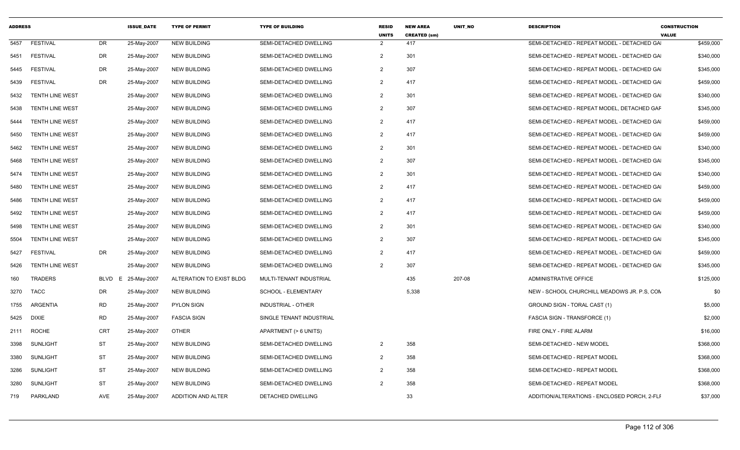| <b>ADDRESS</b> |                        |            | <b>ISSUE DATE</b> | <b>TYPE OF PERMIT</b>    | <b>TYPE OF BUILDING</b>       | <b>RESID</b><br><b>UNITS</b> | <b>NEW AREA</b><br><b>CREATED (sm)</b> | <b>UNIT NO</b> | <b>DESCRIPTION</b>                           | <b>CONSTRUCTION</b><br><b>VALUE</b> |
|----------------|------------------------|------------|-------------------|--------------------------|-------------------------------|------------------------------|----------------------------------------|----------------|----------------------------------------------|-------------------------------------|
| 5457           | <b>FESTIVAL</b>        | <b>DR</b>  | 25-May-2007       | <b>NEW BUILDING</b>      | SEMI-DETACHED DWELLING        | $\overline{2}$               | 417                                    |                | SEMI-DETACHED - REPEAT MODEL - DETACHED GA   | \$459,000                           |
| 5451           | <b>FESTIVAL</b>        | <b>DR</b>  | 25-May-2007       | <b>NEW BUILDING</b>      | <b>SEMI-DETACHED DWELLING</b> | $\overline{2}$               | 301                                    |                | SEMI-DETACHED - REPEAT MODEL - DETACHED GA   | \$340,000                           |
| 5445           | <b>FESTIVAL</b>        | <b>DR</b>  | 25-May-2007       | <b>NEW BUILDING</b>      | SEMI-DETACHED DWELLING        | $\overline{2}$               | 307                                    |                | SEMI-DETACHED - REPEAT MODEL - DETACHED GA   | \$345,000                           |
| 5439           | <b>FESTIVAL</b>        | DR         | 25-May-2007       | <b>NEW BUILDING</b>      | SEMI-DETACHED DWELLING        | $\overline{2}$               | 417                                    |                | SEMI-DETACHED - REPEAT MODEL - DETACHED GA   | \$459,000                           |
| 5432           | <b>TENTH LINE WEST</b> |            | 25-May-2007       | <b>NEW BUILDING</b>      | SEMI-DETACHED DWELLING        | $\overline{2}$               | 301                                    |                | SEMI-DETACHED - REPEAT MODEL - DETACHED GA   | \$340,000                           |
| 5438           | TENTH LINE WEST        |            | 25-May-2007       | <b>NEW BUILDING</b>      | SEMI-DETACHED DWELLING        | $\overline{2}$               | 307                                    |                | SEMI-DETACHED - REPEAT MODEL, DETACHED GAF   | \$345,000                           |
| 5444           | <b>TENTH LINE WEST</b> |            | 25-May-2007       | <b>NEW BUILDING</b>      | SEMI-DETACHED DWELLING        | $\overline{2}$               | 417                                    |                | SEMI-DETACHED - REPEAT MODEL - DETACHED GA   | \$459,000                           |
| 5450           | <b>TENTH LINE WEST</b> |            | 25-May-2007       | <b>NEW BUILDING</b>      | SEMI-DETACHED DWELLING        | $\overline{2}$               | 417                                    |                | SEMI-DETACHED - REPEAT MODEL - DETACHED GA   | \$459,000                           |
| 5462           | <b>TENTH LINE WEST</b> |            | 25-May-2007       | <b>NEW BUILDING</b>      | SEMI-DETACHED DWELLING        | $\overline{2}$               | 301                                    |                | SEMI-DETACHED - REPEAT MODEL - DETACHED GA   | \$340,000                           |
| 5468           | TENTH LINE WEST        |            | 25-May-2007       | <b>NEW BUILDING</b>      | SEMI-DETACHED DWELLING        | $\overline{2}$               | 307                                    |                | SEMI-DETACHED - REPEAT MODEL - DETACHED GA   | \$345,000                           |
| 5474           | <b>TENTH LINE WEST</b> |            | 25-May-2007       | <b>NEW BUILDING</b>      | SEMI-DETACHED DWELLING        | $\overline{2}$               | 301                                    |                | SEMI-DETACHED - REPEAT MODEL - DETACHED GA   | \$340,000                           |
| 5480           | TENTH LINE WEST        |            | 25-May-2007       | <b>NEW BUILDING</b>      | SEMI-DETACHED DWELLING        | $\overline{2}$               | 417                                    |                | SEMI-DETACHED - REPEAT MODEL - DETACHED GA   | \$459,000                           |
| 5486           | <b>TENTH LINE WEST</b> |            | 25-May-2007       | <b>NEW BUILDING</b>      | SEMI-DETACHED DWELLING        | 2                            | 417                                    |                | SEMI-DETACHED - REPEAT MODEL - DETACHED GA   | \$459,000                           |
| 5492           | <b>TENTH LINE WEST</b> |            | 25-May-2007       | <b>NEW BUILDING</b>      | SEMI-DETACHED DWELLING        | $\overline{2}$               | 417                                    |                | SEMI-DETACHED - REPEAT MODEL - DETACHED GA   | \$459,000                           |
| 5498           | <b>TENTH LINE WEST</b> |            | 25-May-2007       | <b>NEW BUILDING</b>      | SEMI-DETACHED DWELLING        | $\overline{2}$               | 301                                    |                | SEMI-DETACHED - REPEAT MODEL - DETACHED GA   | \$340,000                           |
| 5504           | TENTH LINE WEST        |            | 25-May-2007       | <b>NEW BUILDING</b>      | SEMI-DETACHED DWELLING        | $\overline{2}$               | 307                                    |                | SEMI-DETACHED - REPEAT MODEL - DETACHED GA   | \$345,000                           |
| 5427           | <b>FESTIVAL</b>        | <b>DR</b>  | 25-May-2007       | <b>NEW BUILDING</b>      | SEMI-DETACHED DWELLING        | 2                            | 417                                    |                | SEMI-DETACHED - REPEAT MODEL - DETACHED GA   | \$459,000                           |
| 5426           | <b>TENTH LINE WEST</b> |            | 25-May-2007       | <b>NEW BUILDING</b>      | SEMI-DETACHED DWELLING        | $\overline{2}$               | 307                                    |                | SEMI-DETACHED - REPEAT MODEL - DETACHED GA   | \$345,000                           |
| 160            | <b>TRADERS</b>         | BLVD       | E 25-May-2007     | ALTERATION TO EXIST BLDG | MULTI-TENANT INDUSTRIAL       |                              | 435                                    | 207-08         | ADMINISTRATIVE OFFICE                        | \$125,000                           |
| 3270           | TACC                   | DR         | 25-May-2007       | <b>NEW BUILDING</b>      | SCHOOL - ELEMENTARY           |                              | 5,338                                  |                | NEW - SCHOOL CHURCHILL MEADOWS JR. P.S. CON  | \$0                                 |
| 1755           | <b>ARGENTIA</b>        | <b>RD</b>  | 25-May-2007       | <b>PYLON SIGN</b>        | <b>INDUSTRIAL - OTHER</b>     |                              |                                        |                | GROUND SIGN - TORAL CAST (1)                 | \$5,000                             |
| 5425           | <b>DIXIE</b>           | <b>RD</b>  | 25-May-2007       | <b>FASCIA SIGN</b>       | SINGLE TENANT INDUSTRIAL      |                              |                                        |                | <b>FASCIA SIGN - TRANSFORCE (1)</b>          | \$2,000                             |
| 2111           | <b>ROCHE</b>           | CRT        | 25-May-2007       | <b>OTHER</b>             | APARTMENT (> 6 UNITS)         |                              |                                        |                | FIRE ONLY - FIRE ALARM                       | \$16,000                            |
| 3398           | <b>SUNLIGHT</b>        | <b>ST</b>  | 25-May-2007       | <b>NEW BUILDING</b>      | SEMI-DETACHED DWELLING        | $\overline{2}$               | 358                                    |                | SEMI-DETACHED - NEW MODEL                    | \$368,000                           |
| 3380           | <b>SUNLIGHT</b>        | <b>ST</b>  | 25-May-2007       | <b>NEW BUILDING</b>      | SEMI-DETACHED DWELLING        | $\overline{2}$               | 358                                    |                | SEMI-DETACHED - REPEAT MODEL                 | \$368,000                           |
| 3286           | <b>SUNLIGHT</b>        | <b>ST</b>  | 25-May-2007       | NEW BUILDING             | SEMI-DETACHED DWELLING        | $\overline{2}$               | 358                                    |                | SEMI-DETACHED - REPEAT MODEL                 | \$368,000                           |
| 3280           | <b>SUNLIGHT</b>        | <b>ST</b>  | 25-May-2007       | <b>NEW BUILDING</b>      | SEMI-DETACHED DWELLING        | $\overline{2}$               | 358                                    |                | SEMI-DETACHED - REPEAT MODEL                 | \$368,000                           |
| 719            | <b>PARKLAND</b>        | <b>AVE</b> | 25-May-2007       | ADDITION AND ALTER       | DETACHED DWELLING             |                              | 33                                     |                | ADDITION/ALTERATIONS - ENCLOSED PORCH, 2-FLF | \$37,000                            |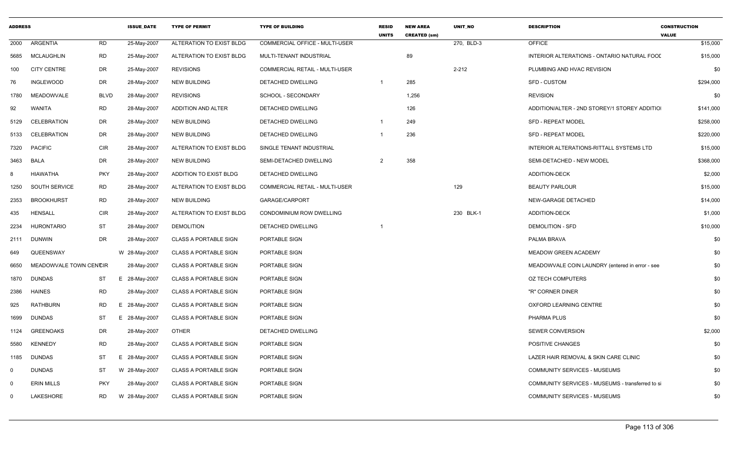| <b>ADDRESS</b> |                        |             | <b>ISSUE DATE</b> | <b>TYPE OF PERMIT</b>         | <b>TYPE OF BUILDING</b>        | <b>RESID</b><br><b>UNITS</b> | <b>NEW AREA</b><br><b>CREATED (sm)</b> | <b>UNIT NO</b> | <b>DESCRIPTION</b>                               | <b>CONSTRUCTION</b><br><b>VALUE</b> |
|----------------|------------------------|-------------|-------------------|-------------------------------|--------------------------------|------------------------------|----------------------------------------|----------------|--------------------------------------------------|-------------------------------------|
| 2000           | ARGENTIA               | <b>RD</b>   | 25-May-2007       | ALTERATION TO EXIST BLDG      | COMMERCIAL OFFICE - MULTI-USER |                              |                                        | 270, BLD-3     | OFFICE                                           | \$15,000                            |
| 5685           | MCLAUGHLIN             | <b>RD</b>   | 25-May-2007       | ALTERATION TO EXIST BLDG      | MULTI-TENANT INDUSTRIAL        |                              | 89                                     |                | INTERIOR ALTERATIONS - ONTARIO NATURAL FOOI      | \$15,000                            |
| 100            | <b>CITY CENTRE</b>     | DR          | 25-May-2007       | <b>REVISIONS</b>              | COMMERCIAL RETAIL - MULTI-USER |                              |                                        | $2 - 212$      | PLUMBING AND HVAC REVISION                       | \$0                                 |
| 76             | <b>INGLEWOOD</b>       | DR          | 28-May-2007       | <b>NEW BUILDING</b>           | DETACHED DWELLING              | $\overline{\mathbf{1}}$      | 285                                    |                | <b>SFD - CUSTOM</b>                              | \$294,000                           |
| 1780           | <b>MEADOWVALE</b>      | <b>BLVD</b> | 28-May-2007       | <b>REVISIONS</b>              | <b>SCHOOL - SECONDARY</b>      |                              | 1,256                                  |                | <b>REVISION</b>                                  | \$0                                 |
| 92             | <b>WANITA</b>          | RD          | 28-May-2007       | ADDITION AND ALTER            | DETACHED DWELLING              |                              | 126                                    |                | ADDITION/ALTER - 2ND STOREY/1 STOREY ADDITIO     | \$141,000                           |
| 5129           | CELEBRATION            | DR          | 28-May-2007       | <b>NEW BUILDING</b>           | DETACHED DWELLING              | $\overline{\mathbf{1}}$      | 249                                    |                | <b>SFD - REPEAT MODEL</b>                        | \$258,000                           |
| 5133           | <b>CELEBRATION</b>     | DR          | 28-May-2007       | <b>NEW BUILDING</b>           | DETACHED DWELLING              | -1                           | 236                                    |                | <b>SFD - REPEAT MODEL</b>                        | \$220,000                           |
| 7320           | <b>PACIFIC</b>         | <b>CIR</b>  | 28-May-2007       | ALTERATION TO EXIST BLDG      | SINGLE TENANT INDUSTRIAL       |                              |                                        |                | INTERIOR ALTERATIONS-RITTALL SYSTEMS LTD         | \$15,000                            |
| 3463           | <b>BALA</b>            | DR          | 28-May-2007       | <b>NEW BUILDING</b>           | SEMI-DETACHED DWELLING         | $\overline{2}$               | 358                                    |                | SEMI-DETACHED - NEW MODEL                        | \$368,000                           |
| -8             | <b>HIAWATHA</b>        | <b>PKY</b>  | 28-May-2007       | <b>ADDITION TO EXIST BLDG</b> | <b>DETACHED DWELLING</b>       |                              |                                        |                | <b>ADDITION-DECK</b>                             | \$2,000                             |
| 1250           | <b>SOUTH SERVICE</b>   | RD          | 28-May-2007       | ALTERATION TO EXIST BLDG      | COMMERCIAL RETAIL - MULTI-USER |                              |                                        | 129            | <b>BEAUTY PARLOUR</b>                            | \$15,000                            |
| 2353           | <b>BROOKHURST</b>      | <b>RD</b>   | 28-May-2007       | <b>NEW BUILDING</b>           | GARAGE/CARPORT                 |                              |                                        |                | NEW-GARAGE DETACHED                              | \$14,000                            |
| 435            | <b>HENSALL</b>         | <b>CIR</b>  | 28-May-2007       | ALTERATION TO EXIST BLDG      | CONDOMINIUM ROW DWELLING       |                              |                                        | 230 BLK-1      | <b>ADDITION-DECK</b>                             | \$1,000                             |
| 2234           | <b>HURONTARIO</b>      | ST          | 28-May-2007       | <b>DEMOLITION</b>             | DETACHED DWELLING              | -1                           |                                        |                | <b>DEMOLITION - SFD</b>                          | \$10,000                            |
| 2111           | DUNWIN                 | DR          | 28-May-2007       | <b>CLASS A PORTABLE SIGN</b>  | PORTABLE SIGN                  |                              |                                        |                | PALMA BRAVA                                      | \$0                                 |
| 649            | QUEENSWAY              |             | W 28-May-2007     | <b>CLASS A PORTABLE SIGN</b>  | PORTABLE SIGN                  |                              |                                        |                | <b>MEADOW GREEN ACADEMY</b>                      | \$0                                 |
| 6650           | MEADOWVALE TOWN CENCIR |             | 28-May-2007       | <b>CLASS A PORTABLE SIGN</b>  | PORTABLE SIGN                  |                              |                                        |                | MEADOWVALE COIN LAUNDRY (entered in error - see  | \$0                                 |
| 1870           | <b>DUNDAS</b>          | ST          | 28-May-2007<br>E. | <b>CLASS A PORTABLE SIGN</b>  | PORTABLE SIGN                  |                              |                                        |                | OZ TECH COMPUTERS                                | \$0                                 |
| 2386           | <b>HAINES</b>          | RD          | 28-May-2007       | <b>CLASS A PORTABLE SIGN</b>  | PORTABLE SIGN                  |                              |                                        |                | "R" CORNER DINER                                 | \$0                                 |
| 925            | <b>RATHBURN</b>        | RD          | Е.<br>28-May-2007 | <b>CLASS A PORTABLE SIGN</b>  | PORTABLE SIGN                  |                              |                                        |                | OXFORD LEARNING CENTRE                           | \$0                                 |
| 1699           | <b>DUNDAS</b>          | ST          | Е.<br>28-May-2007 | <b>CLASS A PORTABLE SIGN</b>  | PORTABLE SIGN                  |                              |                                        |                | PHARMA PLUS                                      | \$0                                 |
| 1124           | <b>GREENOAKS</b>       | DR          | 28-May-2007       | <b>OTHER</b>                  | DETACHED DWELLING              |                              |                                        |                | <b>SEWER CONVERSION</b>                          | \$2,000                             |
| 5580           | <b>KENNEDY</b>         | <b>RD</b>   | 28-May-2007       | <b>CLASS A PORTABLE SIGN</b>  | PORTABLE SIGN                  |                              |                                        |                | POSITIVE CHANGES                                 | \$0                                 |
| 1185           | <b>DUNDAS</b>          | ST          | 28-May-2007<br>Е. | <b>CLASS A PORTABLE SIGN</b>  | PORTABLE SIGN                  |                              |                                        |                | LAZER HAIR REMOVAL & SKIN CARE CLINIC            | \$0                                 |
| $\mathbf 0$    | <b>DUNDAS</b>          | ST          | W 28-May-2007     | <b>CLASS A PORTABLE SIGN</b>  | PORTABLE SIGN                  |                              |                                        |                | <b>COMMUNITY SERVICES - MUSEUMS</b>              | \$0                                 |
| $\mathbf 0$    | <b>ERIN MILLS</b>      | <b>PKY</b>  | 28-May-2007       | <b>CLASS A PORTABLE SIGN</b>  | PORTABLE SIGN                  |                              |                                        |                | COMMUNITY SERVICES - MUSEUMS - transferred to si | \$0                                 |
| $\mathbf 0$    | LAKESHORE              | <b>RD</b>   | W 28-May-2007     | <b>CLASS A PORTABLE SIGN</b>  | PORTABLE SIGN                  |                              |                                        |                | COMMUNITY SERVICES - MUSEUMS                     | \$0                                 |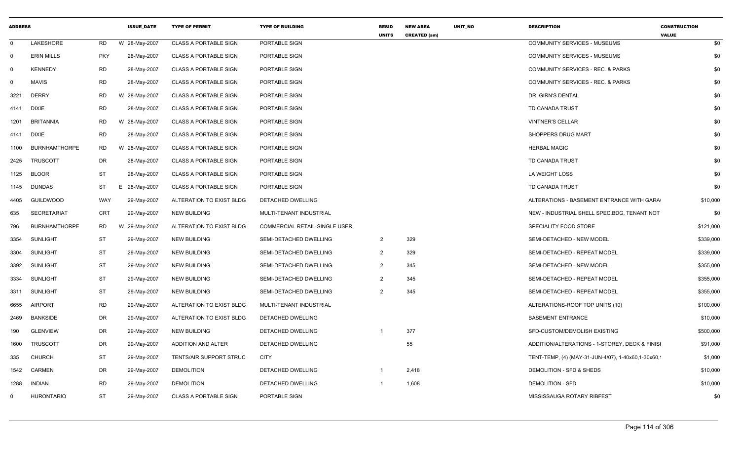| <b>ADDRESS</b> |                      |            | <b>ISSUE_DATE</b> | <b>TYPE OF PERMIT</b>        | <b>TYPE OF BUILDING</b>              | <b>RESID</b><br><b>UNITS</b> | <b>NEW AREA</b><br><b>CREATED (sm)</b> | UNIT_NO | <b>DESCRIPTION</b>                                  | <b>CONSTRUCTION</b><br><b>VALUE</b> |
|----------------|----------------------|------------|-------------------|------------------------------|--------------------------------------|------------------------------|----------------------------------------|---------|-----------------------------------------------------|-------------------------------------|
| $\mathbf 0$    | LAKESHORE            | RD         | W 28-May-2007     | <b>CLASS A PORTABLE SIGN</b> | PORTABLE SIGN                        |                              |                                        |         | <b>COMMUNITY SERVICES - MUSEUMS</b>                 | \$0                                 |
| $\mathbf 0$    | <b>ERIN MILLS</b>    | <b>PKY</b> | 28-May-2007       | <b>CLASS A PORTABLE SIGN</b> | PORTABLE SIGN                        |                              |                                        |         | COMMUNITY SERVICES - MUSEUMS                        | \$0                                 |
| $\Omega$       | <b>KENNEDY</b>       | RD         | 28-May-2007       | <b>CLASS A PORTABLE SIGN</b> | PORTABLE SIGN                        |                              |                                        |         | COMMUNITY SERVICES - REC. & PARKS                   | \$0                                 |
| $\mathbf 0$    | <b>MAVIS</b>         | <b>RD</b>  | 28-May-2007       | <b>CLASS A PORTABLE SIGN</b> | PORTABLE SIGN                        |                              |                                        |         | COMMUNITY SERVICES - REC. & PARKS                   | \$0                                 |
| 3221           | <b>DERRY</b>         | <b>RD</b>  | W 28-May-2007     | <b>CLASS A PORTABLE SIGN</b> | PORTABLE SIGN                        |                              |                                        |         | DR. GIRN'S DENTAL                                   | \$0                                 |
| 4141           | <b>DIXIE</b>         | RD         | 28-May-2007       | <b>CLASS A PORTABLE SIGN</b> | PORTABLE SIGN                        |                              |                                        |         | TD CANADA TRUST                                     | \$0                                 |
| 1201           | <b>BRITANNIA</b>     | <b>RD</b>  | W 28-May-2007     | <b>CLASS A PORTABLE SIGN</b> | PORTABLE SIGN                        |                              |                                        |         | <b>VINTNER'S CELLAR</b>                             | \$0                                 |
| 4141 DIXIE     |                      | <b>RD</b>  | 28-May-2007       | <b>CLASS A PORTABLE SIGN</b> | PORTABLE SIGN                        |                              |                                        |         | SHOPPERS DRUG MART                                  | \$0                                 |
| 1100           | <b>BURNHAMTHORPE</b> | RD         | W 28-May-2007     | <b>CLASS A PORTABLE SIGN</b> | PORTABLE SIGN                        |                              |                                        |         | <b>HERBAL MAGIC</b>                                 | \$0                                 |
| 2425           | <b>TRUSCOTT</b>      | DR         | 28-May-2007       | <b>CLASS A PORTABLE SIGN</b> | PORTABLE SIGN                        |                              |                                        |         | TD CANADA TRUST                                     | \$0                                 |
| 1125           | <b>BLOOR</b>         | <b>ST</b>  | 28-May-2007       | <b>CLASS A PORTABLE SIGN</b> | PORTABLE SIGN                        |                              |                                        |         | LA WEIGHT LOSS                                      | \$0                                 |
| 1145           | <b>DUNDAS</b>        | ST         | E 28-May-2007     | <b>CLASS A PORTABLE SIGN</b> | PORTABLE SIGN                        |                              |                                        |         | <b>TD CANADA TRUST</b>                              | \$0                                 |
| 4405           | GUILDWOOD            | WAY        | 29-May-2007       | ALTERATION TO EXIST BLDG     | DETACHED DWELLING                    |                              |                                        |         | ALTERATIONS - BASEMENT ENTRANCE WITH GARA           | \$10,000                            |
| 635            | <b>SECRETARIAT</b>   | CRT        | 29-May-2007       | <b>NEW BUILDING</b>          | MULTI-TENANT INDUSTRIAL              |                              |                                        |         | NEW - INDUSTRIAL SHELL SPEC.BDG, TENANT NOT         | \$0                                 |
| 796            | <b>BURNHAMTHORPE</b> | RD         | W 29-May-2007     | ALTERATION TO EXIST BLDG     | <b>COMMERCIAL RETAIL-SINGLE USER</b> |                              |                                        |         | SPECIALITY FOOD STORE                               | \$121,000                           |
| 3354           | <b>SUNLIGHT</b>      | <b>ST</b>  | 29-May-2007       | NEW BUILDING                 | SEMI-DETACHED DWELLING               | $\overline{2}$               | 329                                    |         | SEMI-DETACHED - NEW MODEL                           | \$339,000                           |
| 3304           | <b>SUNLIGHT</b>      | ST         | 29-May-2007       | <b>NEW BUILDING</b>          | SEMI-DETACHED DWELLING               | $\overline{2}$               | 329                                    |         | SEMI-DETACHED - REPEAT MODEL                        | \$339,000                           |
| 3392           | <b>SUNLIGHT</b>      | ST         | 29-May-2007       | <b>NEW BUILDING</b>          | SEMI-DETACHED DWELLING               | $\overline{2}$               | 345                                    |         | SEMI-DETACHED - NEW MODEL                           | \$355,000                           |
| 3334           | <b>SUNLIGHT</b>      | ST         | 29-May-2007       | <b>NEW BUILDING</b>          | SEMI-DETACHED DWELLING               | $\overline{2}$               | 345                                    |         | SEMI-DETACHED - REPEAT MODEL                        | \$355,000                           |
| 3311           | <b>SUNLIGHT</b>      | <b>ST</b>  | 29-May-2007       | <b>NEW BUILDING</b>          | SEMI-DETACHED DWELLING               | $\overline{2}$               | 345                                    |         | SEMI-DETACHED - REPEAT MODEL                        | \$355,000                           |
| 6655           | <b>AIRPORT</b>       | <b>RD</b>  | 29-May-2007       | ALTERATION TO EXIST BLDG     | MULTI-TENANT INDUSTRIAL              |                              |                                        |         | ALTERATIONS-ROOF TOP UNITS (10)                     | \$100,000                           |
| 2469           | <b>BANKSIDE</b>      | DR         | 29-May-2007       | ALTERATION TO EXIST BLDG     | DETACHED DWELLING                    |                              |                                        |         | <b>BASEMENT ENTRANCE</b>                            | \$10,000                            |
| 190            | <b>GLENVIEW</b>      | DR         | 29-May-2007       | NEW BUILDING                 | DETACHED DWELLING                    |                              | 377                                    |         | SFD-CUSTOM/DEMOLISH EXISTING                        | \$500,000                           |
| 1600           | <b>TRUSCOTT</b>      | DR         | 29-May-2007       | ADDITION AND ALTER           | DETACHED DWELLING                    |                              | 55                                     |         | ADDITION/ALTERATIONS - 1-STOREY, DECK & FINISI      | \$91,000                            |
| 335            | <b>CHURCH</b>        | ST         | 29-May-2007       | TENTS/AIR SUPPORT STRUC      | <b>CITY</b>                          |                              |                                        |         | TENT-TEMP, (4) (MAY-31-JUN-4/07), 1-40x60, 1-30x60, | \$1,000                             |
| 1542           | <b>CARMEN</b>        | DR         | 29-May-2007       | <b>DEMOLITION</b>            | <b>DETACHED DWELLING</b>             | -1                           | 2,418                                  |         | DEMOLITION - SFD & SHEDS                            | \$10,000                            |
| 1288           | <b>INDIAN</b>        | RD         | 29-May-2007       | <b>DEMOLITION</b>            | DETACHED DWELLING                    |                              | 1,608                                  |         | <b>DEMOLITION - SFD</b>                             | \$10,000                            |
| $\Omega$       | <b>HURONTARIO</b>    | ST         | 29-May-2007       | <b>CLASS A PORTABLE SIGN</b> | PORTABLE SIGN                        |                              |                                        |         | MISSISSAUGA ROTARY RIBFEST                          | \$0                                 |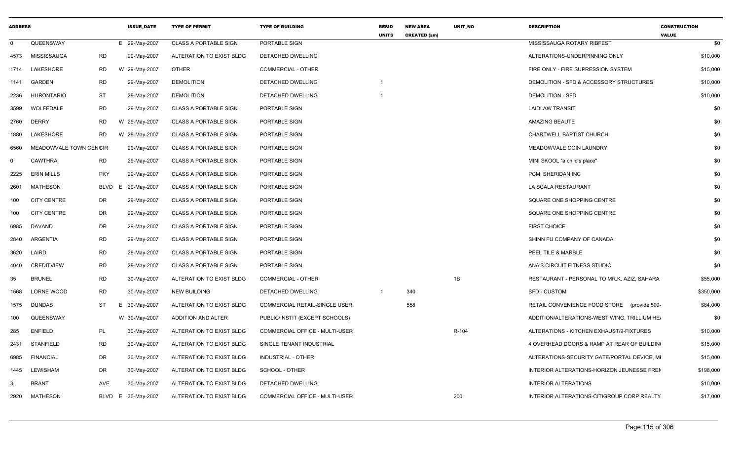| <b>ADDRESS</b> |                        |            | <b>ISSUE DATE</b> | <b>TYPE OF PERMIT</b>        | <b>TYPE OF BUILDING</b>        | <b>RESID</b><br><b>UNITS</b> | <b>NEW AREA</b><br><b>CREATED (sm)</b> | UNIT_NO | <b>DESCRIPTION</b>                           | <b>CONSTRUCTION</b><br><b>VALUE</b> |
|----------------|------------------------|------------|-------------------|------------------------------|--------------------------------|------------------------------|----------------------------------------|---------|----------------------------------------------|-------------------------------------|
| $\Omega$       | QUEENSWAY              |            | E 29-May-2007     | <b>CLASS A PORTABLE SIGN</b> | PORTABLE SIGN                  |                              |                                        |         | MISSISSAUGA ROTARY RIBFEST                   | \$0                                 |
| 4573           | MISSISSAUGA            | <b>RD</b>  | 29-May-2007       | ALTERATION TO EXIST BLDG     | DETACHED DWELLING              |                              |                                        |         | ALTERATIONS-UNDERPINNING ONLY                | \$10,000                            |
|                | 1714 LAKESHORE         | RD         | W 29-May-2007     | OTHER                        | <b>COMMERCIAL - OTHER</b>      |                              |                                        |         | FIRE ONLY - FIRE SUPRESSION SYSTEM           | \$15,000                            |
| 1141           | GARDEN                 | RD         | 29-May-2007       | <b>DEMOLITION</b>            | DETACHED DWELLING              |                              |                                        |         | DEMOLITION - SFD & ACCESSORY STRUCTURES      | \$10,000                            |
| 2236           | <b>HURONTARIO</b>      | <b>ST</b>  | 29-May-2007       | <b>DEMOLITION</b>            | DETACHED DWELLING              | $\overline{\mathbf{1}}$      |                                        |         | <b>DEMOLITION - SFD</b>                      | \$10,000                            |
| 3599           | WOLFEDALE              | RD         | 29-May-2007       | <b>CLASS A PORTABLE SIGN</b> | PORTABLE SIGN                  |                              |                                        |         | <b>LAIDLAW TRANSIT</b>                       | \$0                                 |
| 2760           | <b>DERRY</b>           | <b>RD</b>  | W 29-May-2007     | <b>CLASS A PORTABLE SIGN</b> | PORTABLE SIGN                  |                              |                                        |         | <b>AMAZING BEAUTE</b>                        | \$0                                 |
| 1880           | LAKESHORE              | RD         | W 29-May-2007     | <b>CLASS A PORTABLE SIGN</b> | PORTABLE SIGN                  |                              |                                        |         | CHARTWELL BAPTIST CHURCH                     | \$0                                 |
| 6560           | MEADOWVALE TOWN CENCIR |            | 29-May-2007       | <b>CLASS A PORTABLE SIGN</b> | PORTABLE SIGN                  |                              |                                        |         | MEADOWVALE COIN LAUNDRY                      | \$0                                 |
| $\mathbf 0$    | <b>CAWTHRA</b>         | RD         | 29-May-2007       | <b>CLASS A PORTABLE SIGN</b> | PORTABLE SIGN                  |                              |                                        |         | MINI SKOOL "a child's place"                 | \$0                                 |
| 2225           | <b>ERIN MILLS</b>      | <b>PKY</b> | 29-May-2007       | <b>CLASS A PORTABLE SIGN</b> | PORTABLE SIGN                  |                              |                                        |         | PCM SHERIDAN INC                             | \$0                                 |
| 2601           | <b>MATHESON</b>        | BLVD<br>E  | 29-May-2007       | <b>CLASS A PORTABLE SIGN</b> | PORTABLE SIGN                  |                              |                                        |         | LA SCALA RESTAURANT                          | \$0                                 |
| 100            | <b>CITY CENTRE</b>     | DR         | 29-May-2007       | <b>CLASS A PORTABLE SIGN</b> | PORTABLE SIGN                  |                              |                                        |         | SQUARE ONE SHOPPING CENTRE                   | \$0                                 |
| 100            | <b>CITY CENTRE</b>     | DR         | 29-May-2007       | <b>CLASS A PORTABLE SIGN</b> | PORTABLE SIGN                  |                              |                                        |         | SQUARE ONE SHOPPING CENTRE                   | \$0                                 |
| 6985           | DAVAND                 | DR         | 29-May-2007       | CLASS A PORTABLE SIGN        | PORTABLE SIGN                  |                              |                                        |         | <b>FIRST CHOICE</b>                          | \$0                                 |
| 2840           | ARGENTIA               | RD         | 29-May-2007       | <b>CLASS A PORTABLE SIGN</b> | PORTABLE SIGN                  |                              |                                        |         | SHINN FU COMPANY OF CANADA                   | \$0                                 |
| 3620           | LAIRD                  | <b>RD</b>  | 29-May-2007       | <b>CLASS A PORTABLE SIGN</b> | PORTABLE SIGN                  |                              |                                        |         | PEEL TILE & MARBLE                           | \$0                                 |
| 4040           | <b>CREDITVIEW</b>      | RD         | 29-May-2007       | <b>CLASS A PORTABLE SIGN</b> | PORTABLE SIGN                  |                              |                                        |         | ANA'S CIRCUIT FITNESS STUDIO                 | \$0                                 |
| 35             | <b>BRUNEL</b>          | RD         | 30-May-2007       | ALTERATION TO EXIST BLDG     | COMMERCIAL - OTHER             |                              |                                        | 1B      | RESTAURANT - PERSONAL TO MR.K. AZIZ, SAHARA  | \$55,000                            |
| 1568           | LORNE WOOD             | <b>RD</b>  | 30-May-2007       | <b>NEW BUILDING</b>          | DETACHED DWELLING              | $\mathbf{1}$                 | 340                                    |         | <b>SFD - CUSTOM</b>                          | \$350,000                           |
| 1575           | <b>DUNDAS</b>          | ST<br>E.   | 30-May-2007       | ALTERATION TO EXIST BLDG     | COMMERCIAL RETAIL-SINGLE USER  |                              | 558                                    |         | RETAIL CONVENIENCE FOOD STORE (provide 509-  | \$84,000                            |
| 100            | QUEENSWAY              |            | W 30-May-2007     | ADDITION AND ALTER           | PUBLIC/INSTIT (EXCEPT SCHOOLS) |                              |                                        |         | ADDITION/ALTERATIONS-WEST WING, TRILLIUM HEA | \$0                                 |
| 285            | <b>ENFIELD</b>         | PL         | 30-May-2007       | ALTERATION TO EXIST BLDG     | COMMERCIAL OFFICE - MULTI-USER |                              |                                        | R-104   | ALTERATIONS - KITCHEN EXHAUST/9-FIXTURES     | \$10,000                            |
| 2431           | <b>STANFIELD</b>       | RD         | 30-May-2007       | ALTERATION TO EXIST BLDG     | SINGLE TENANT INDUSTRIAL       |                              |                                        |         | 4 OVERHEAD DOORS & RAMP AT REAR OF BUILDING  | \$15,000                            |
| 6985           | <b>FINANCIAL</b>       | DR         | 30-May-2007       | ALTERATION TO EXIST BLDG     | <b>INDUSTRIAL - OTHER</b>      |                              |                                        |         | ALTERATIONS-SECURITY GATE/PORTAL DEVICE, MI  | \$15,000                            |
| 1445           | LEWISHAM               | DR         | 30-May-2007       | ALTERATION TO EXIST BLDG     | SCHOOL - OTHER                 |                              |                                        |         | INTERIOR ALTERATIONS-HORIZON JEUNESSE FREN   | \$198,000                           |
| -3             | <b>BRANT</b>           | AVE        | 30-May-2007       | ALTERATION TO EXIST BLDG     | DETACHED DWELLING              |                              |                                        |         | <b>INTERIOR ALTERATIONS</b>                  | \$10,000                            |
| 2920           | <b>MATHESON</b>        | BLVD E     | 30-May-2007       | ALTERATION TO EXIST BLDG     | COMMERCIAL OFFICE - MULTI-USER |                              |                                        | 200     | INTERIOR ALTERATIONS-CITIGROUP CORP REALTY   | \$17,000                            |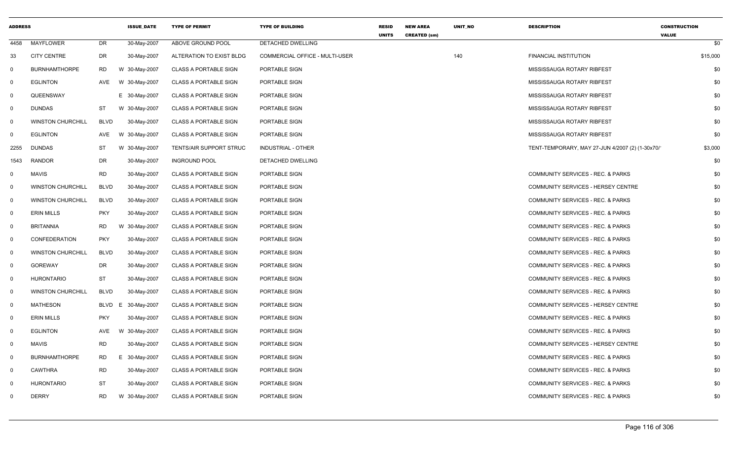| <b>ADDRESS</b> |                          |             | <b>ISSUE DATE</b> | <b>TYPE OF PERMIT</b>          | <b>TYPE OF BUILDING</b>        | <b>RESID</b><br><b>UNITS</b> | <b>NEW AREA</b><br><b>CREATED (sm)</b> | UNIT_NO | <b>DESCRIPTION</b>                              | <b>CONSTRUCTION</b><br><b>VALUE</b> |
|----------------|--------------------------|-------------|-------------------|--------------------------------|--------------------------------|------------------------------|----------------------------------------|---------|-------------------------------------------------|-------------------------------------|
| 4458           | <b>MAYFLOWER</b>         | DR          | 30-May-2007       | ABOVE GROUND POOL              | DETACHED DWELLING              |                              |                                        |         |                                                 | \$0                                 |
| 33             | <b>CITY CENTRE</b>       | DR          | 30-May-2007       | ALTERATION TO EXIST BLDG       | COMMERCIAL OFFICE - MULTI-USER |                              |                                        | 140     | FINANCIAL INSTITUTION                           | \$15,000                            |
| $\Omega$       | <b>BURNHAMTHORPE</b>     | <b>RD</b>   | W 30-May-2007     | <b>CLASS A PORTABLE SIGN</b>   | PORTABLE SIGN                  |                              |                                        |         | MISSISSAUGA ROTARY RIBFEST                      | \$0                                 |
| $\mathbf 0$    | <b>EGLINTON</b>          | AVE         | W 30-May-2007     | <b>CLASS A PORTABLE SIGN</b>   | PORTABLE SIGN                  |                              |                                        |         | MISSISSAUGA ROTARY RIBFEST                      | \$0                                 |
| $\mathbf 0$    | QUEENSWAY                |             | E 30-May-2007     | <b>CLASS A PORTABLE SIGN</b>   | PORTABLE SIGN                  |                              |                                        |         | MISSISSAUGA ROTARY RIBFEST                      | \$0                                 |
| 0              | DUNDAS                   | ST          | W 30-May-2007     | <b>CLASS A PORTABLE SIGN</b>   | PORTABLE SIGN                  |                              |                                        |         | MISSISSAUGA ROTARY RIBFEST                      | \$0                                 |
| 0              | <b>WINSTON CHURCHILL</b> | <b>BLVD</b> | 30-May-2007       | <b>CLASS A PORTABLE SIGN</b>   | PORTABLE SIGN                  |                              |                                        |         | MISSISSAUGA ROTARY RIBFEST                      | \$0                                 |
| 0              | <b>EGLINTON</b>          | AVE         | W 30-May-2007     | <b>CLASS A PORTABLE SIGN</b>   | PORTABLE SIGN                  |                              |                                        |         | MISSISSAUGA ROTARY RIBFEST                      | \$0                                 |
| 2255           | <b>DUNDAS</b>            | ST          | W 30-May-2007     | <b>TENTS/AIR SUPPORT STRUC</b> | INDUSTRIAL - OTHER             |                              |                                        |         | TENT-TEMPORARY, MAY 27-JUN 4/2007 (2) (1-30x70/ | \$3,000                             |
| 1543           | RANDOR                   | DR          | 30-May-2007       | <b>INGROUND POOL</b>           | DETACHED DWELLING              |                              |                                        |         |                                                 | \$0                                 |
| 0              | <b>MAVIS</b>             | <b>RD</b>   | 30-May-2007       | <b>CLASS A PORTABLE SIGN</b>   | PORTABLE SIGN                  |                              |                                        |         | COMMUNITY SERVICES - REC. & PARKS               | \$0                                 |
| $\Omega$       | <b>WINSTON CHURCHILL</b> | <b>BLVD</b> | 30-May-2007       | <b>CLASS A PORTABLE SIGN</b>   | PORTABLE SIGN                  |                              |                                        |         | COMMUNITY SERVICES - HERSEY CENTRE              | \$0                                 |
| $\mathbf 0$    | <b>WINSTON CHURCHILL</b> | <b>BLVD</b> | 30-May-2007       | <b>CLASS A PORTABLE SIGN</b>   | PORTABLE SIGN                  |                              |                                        |         | COMMUNITY SERVICES - REC. & PARKS               | \$0                                 |
| $\mathbf 0$    | <b>ERIN MILLS</b>        | <b>PKY</b>  | 30-May-2007       | <b>CLASS A PORTABLE SIGN</b>   | PORTABLE SIGN                  |                              |                                        |         | COMMUNITY SERVICES - REC. & PARKS               | \$0                                 |
| $\mathbf 0$    | <b>BRITANNIA</b>         | RD          | W 30-May-2007     | <b>CLASS A PORTABLE SIGN</b>   | PORTABLE SIGN                  |                              |                                        |         | COMMUNITY SERVICES - REC. & PARKS               | \$0                                 |
| 0              | CONFEDERATION            | <b>PKY</b>  | 30-May-2007       | <b>CLASS A PORTABLE SIGN</b>   | PORTABLE SIGN                  |                              |                                        |         | COMMUNITY SERVICES - REC. & PARKS               | \$0                                 |
| 0              | <b>WINSTON CHURCHILL</b> | <b>BLVD</b> | 30-May-2007       | <b>CLASS A PORTABLE SIGN</b>   | PORTABLE SIGN                  |                              |                                        |         | COMMUNITY SERVICES - REC. & PARKS               | \$0                                 |
| $\mathbf 0$    | <b>GOREWAY</b>           | DR          | 30-May-2007       | <b>CLASS A PORTABLE SIGN</b>   | PORTABLE SIGN                  |                              |                                        |         | COMMUNITY SERVICES - REC. & PARKS               | \$0                                 |
| $\mathbf 0$    | <b>HURONTARIO</b>        | <b>ST</b>   | 30-May-2007       | <b>CLASS A PORTABLE SIGN</b>   | PORTABLE SIGN                  |                              |                                        |         | COMMUNITY SERVICES - REC. & PARKS               | \$0                                 |
| $\mathbf 0$    | <b>WINSTON CHURCHILL</b> | <b>BLVD</b> | 30-May-2007       | <b>CLASS A PORTABLE SIGN</b>   | PORTABLE SIGN                  |                              |                                        |         | COMMUNITY SERVICES - REC. & PARKS               | \$0                                 |
| $\Omega$       | <b>MATHESON</b>          | <b>BLVD</b> | 30-May-2007<br>E  | <b>CLASS A PORTABLE SIGN</b>   | PORTABLE SIGN                  |                              |                                        |         | COMMUNITY SERVICES - HERSEY CENTRE              | \$0                                 |
| $\mathbf 0$    | <b>ERIN MILLS</b>        | <b>PKY</b>  | 30-May-2007       | <b>CLASS A PORTABLE SIGN</b>   | PORTABLE SIGN                  |                              |                                        |         | COMMUNITY SERVICES - REC. & PARKS               | \$0                                 |
| 0              | <b>EGLINTON</b>          | AVE         | W 30-May-2007     | <b>CLASS A PORTABLE SIGN</b>   | PORTABLE SIGN                  |                              |                                        |         | COMMUNITY SERVICES - REC. & PARKS               | \$0                                 |
| $\mathbf 0$    | <b>MAVIS</b>             | <b>RD</b>   | 30-May-2007       | <b>CLASS A PORTABLE SIGN</b>   | PORTABLE SIGN                  |                              |                                        |         | COMMUNITY SERVICES - HERSEY CENTRE              | \$0                                 |
| 0              | <b>BURNHAMTHORPE</b>     | RD          | Е.<br>30-May-2007 | <b>CLASS A PORTABLE SIGN</b>   | PORTABLE SIGN                  |                              |                                        |         | COMMUNITY SERVICES - REC. & PARKS               | \$0                                 |
| $\Omega$       | <b>CAWTHRA</b>           | <b>RD</b>   | 30-May-2007       | <b>CLASS A PORTABLE SIGN</b>   | PORTABLE SIGN                  |                              |                                        |         | COMMUNITY SERVICES - REC. & PARKS               | \$0                                 |
| $\mathbf 0$    | <b>HURONTARIO</b>        | ST          | 30-May-2007       | <b>CLASS A PORTABLE SIGN</b>   | PORTABLE SIGN                  |                              |                                        |         | COMMUNITY SERVICES - REC. & PARKS               | \$0                                 |
| $\Omega$       | <b>DERRY</b>             | <b>RD</b>   | W 30-May-2007     | <b>CLASS A PORTABLE SIGN</b>   | PORTABLE SIGN                  |                              |                                        |         | COMMUNITY SERVICES - REC. & PARKS               | \$0                                 |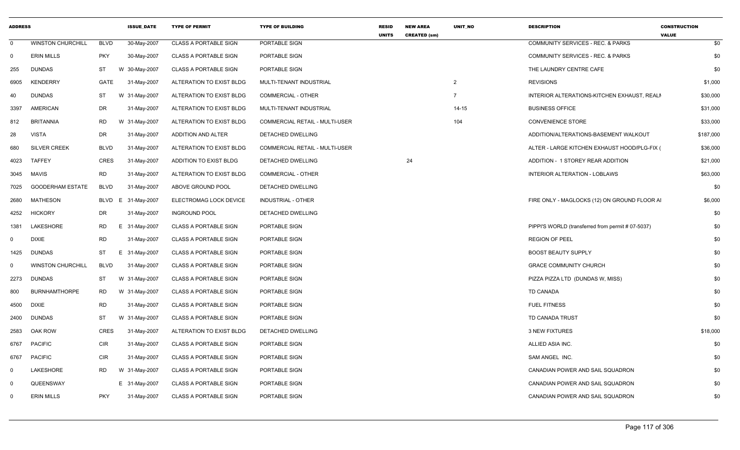| <b>ADDRESS</b> |                          |             | <b>ISSUE DATE</b> | <b>TYPE OF PERMIT</b>        | <b>TYPE OF BUILDING</b>        | <b>RESID</b><br><b>UNITS</b> | <b>NEW AREA</b><br><b>CREATED (sm)</b> | UNIT NO        | <b>DESCRIPTION</b>                                | <b>CONSTRUCTION</b><br><b>VALUE</b> |
|----------------|--------------------------|-------------|-------------------|------------------------------|--------------------------------|------------------------------|----------------------------------------|----------------|---------------------------------------------------|-------------------------------------|
| $\mathbf{0}$   | <b>WINSTON CHURCHILL</b> | <b>BLVD</b> | 30-May-2007       | <b>CLASS A PORTABLE SIGN</b> | PORTABLE SIGN                  |                              |                                        |                | COMMUNITY SERVICES - REC. & PARKS                 | \$0                                 |
| 0              | <b>ERIN MILLS</b>        | <b>PKY</b>  | 30-May-2007       | <b>CLASS A PORTABLE SIGN</b> | PORTABLE SIGN                  |                              |                                        |                | <b>COMMUNITY SERVICES - REC. &amp; PARKS</b>      | \$0                                 |
| 255            | <b>DUNDAS</b>            | ST          | W 30-May-2007     | <b>CLASS A PORTABLE SIGN</b> | PORTABLE SIGN                  |                              |                                        |                | THE LAUNDRY CENTRE CAFE                           | \$0                                 |
| 6905           | <b>KENDERRY</b>          | GATE        | 31-May-2007       | ALTERATION TO EXIST BLDG     | MULTI-TENANT INDUSTRIAL        |                              |                                        | 2              | <b>REVISIONS</b>                                  | \$1,000                             |
| 40             | <b>DUNDAS</b>            | ST          | W 31-May-2007     | ALTERATION TO EXIST BLDG     | <b>COMMERCIAL - OTHER</b>      |                              |                                        | $\overline{7}$ | INTERIOR ALTERATIONS-KITCHEN EXHAUST, REALN       | \$30,000                            |
| 3397           | <b>AMERICAN</b>          | DR          | 31-May-2007       | ALTERATION TO EXIST BLDG     | MULTI-TENANT INDUSTRIAL        |                              |                                        | $14 - 15$      | <b>BUSINESS OFFICE</b>                            | \$31,000                            |
| 812            | <b>BRITANNIA</b>         | <b>RD</b>   | W 31-May-2007     | ALTERATION TO EXIST BLDG     | COMMERCIAL RETAIL - MULTI-USER |                              |                                        | 104            | <b>CONVENIENCE STORE</b>                          | \$33,000                            |
| 28             | <b>VISTA</b>             | <b>DR</b>   | 31-May-2007       | ADDITION AND ALTER           | DETACHED DWELLING              |                              |                                        |                | ADDITION/ALTERATIONS-BASEMENT WALKOUT             | \$187,000                           |
| 680            | <b>SILVER CREEK</b>      | <b>BLVD</b> | 31-May-2007       | ALTERATION TO EXIST BLDG     | COMMERCIAL RETAIL - MULTI-USER |                              |                                        |                | ALTER - LARGE KITCHEN EXHAUST HOOD/PLG-FIX (      | \$36,000                            |
| 4023           | <b>TAFFEY</b>            | <b>CRES</b> | 31-May-2007       | ADDITION TO EXIST BLDG       | DETACHED DWELLING              |                              | 24                                     |                | ADDITION - 1 STOREY REAR ADDITION                 | \$21,000                            |
| 3045           | MAVIS                    | <b>RD</b>   | 31-May-2007       | ALTERATION TO EXIST BLDG     | <b>COMMERCIAL - OTHER</b>      |                              |                                        |                | INTERIOR ALTERATION - LOBLAWS                     | \$63,000                            |
| 7025           | <b>GOODERHAM ESTATE</b>  | <b>BLVD</b> | 31-May-2007       | ABOVE GROUND POOL            | DETACHED DWELLING              |                              |                                        |                |                                                   | \$0                                 |
| 2680           | <b>MATHESON</b>          | BLVD        | 31-May-2007<br>E  | ELECTROMAG LOCK DEVICE       | <b>INDUSTRIAL - OTHER</b>      |                              |                                        |                | FIRE ONLY - MAGLOCKS (12) ON GROUND FLOOR AI      | \$6,000                             |
| 4252           | <b>HICKORY</b>           | DR          | 31-May-2007       | <b>INGROUND POOL</b>         | DETACHED DWELLING              |                              |                                        |                |                                                   | \$0                                 |
| 1381           | <b>LAKESHORE</b>         | RD          | E 31-May-2007     | <b>CLASS A PORTABLE SIGN</b> | PORTABLE SIGN                  |                              |                                        |                | PIPPI'S WORLD (transferred from permit # 07-5037) | \$0                                 |
| 0              | <b>DIXIE</b>             | <b>RD</b>   | 31-May-2007       | <b>CLASS A PORTABLE SIGN</b> | PORTABLE SIGN                  |                              |                                        |                | <b>REGION OF PEEL</b>                             | \$0                                 |
| 1425           | <b>DUNDAS</b>            | <b>ST</b>   | E 31-May-2007     | <b>CLASS A PORTABLE SIGN</b> | PORTABLE SIGN                  |                              |                                        |                | <b>BOOST BEAUTY SUPPLY</b>                        | \$0                                 |
| 0              | <b>WINSTON CHURCHILL</b> | <b>BLVD</b> | 31-May-2007       | <b>CLASS A PORTABLE SIGN</b> | PORTABLE SIGN                  |                              |                                        |                | <b>GRACE COMMUNITY CHURCH</b>                     | \$0                                 |
| 2273           | <b>DUNDAS</b>            | ST          | W 31-May-2007     | <b>CLASS A PORTABLE SIGN</b> | PORTABLE SIGN                  |                              |                                        |                | PIZZA PIZZA LTD (DUNDAS W, MISS)                  | \$0                                 |
| 800            | <b>BURNHAMTHORPE</b>     | RD          | W 31-May-2007     | <b>CLASS A PORTABLE SIGN</b> | PORTABLE SIGN                  |                              |                                        |                | TD CANADA                                         | \$0                                 |
| 4500           | <b>DIXIE</b>             | RD          | 31-May-2007       | <b>CLASS A PORTABLE SIGN</b> | PORTABLE SIGN                  |                              |                                        |                | <b>FUEL FITNESS</b>                               | \$0                                 |
| 2400           | <b>DUNDAS</b>            | ST          | W 31-May-2007     | <b>CLASS A PORTABLE SIGN</b> | PORTABLE SIGN                  |                              |                                        |                | TD CANADA TRUST                                   | \$0                                 |
| 2583           | OAK ROW                  | <b>CRES</b> | 31-May-2007       | ALTERATION TO EXIST BLDG     | DETACHED DWELLING              |                              |                                        |                | <b>3 NEW FIXTURES</b>                             | \$18,000                            |
| 6767           | <b>PACIFIC</b>           | <b>CIR</b>  | 31-May-2007       | <b>CLASS A PORTABLE SIGN</b> | PORTABLE SIGN                  |                              |                                        |                | ALLIED ASIA INC.                                  | \$0                                 |
| 6767           | <b>PACIFIC</b>           | <b>CIR</b>  | 31-May-2007       | <b>CLASS A PORTABLE SIGN</b> | PORTABLE SIGN                  |                              |                                        |                | SAM ANGEL INC.                                    | \$0                                 |
| $\mathbf 0$    | LAKESHORE                | <b>RD</b>   | W 31-May-2007     | <b>CLASS A PORTABLE SIGN</b> | PORTABLE SIGN                  |                              |                                        |                | CANADIAN POWER AND SAIL SQUADRON                  | \$0                                 |
| $\Omega$       | QUEENSWAY                |             | E 31-May-2007     | <b>CLASS A PORTABLE SIGN</b> | PORTABLE SIGN                  |                              |                                        |                | CANADIAN POWER AND SAIL SQUADRON                  | \$0                                 |
| $\Omega$       | <b>ERIN MILLS</b>        | <b>PKY</b>  | 31-May-2007       | <b>CLASS A PORTABLE SIGN</b> | PORTABLE SIGN                  |                              |                                        |                | CANADIAN POWER AND SAIL SQUADRON                  | \$0                                 |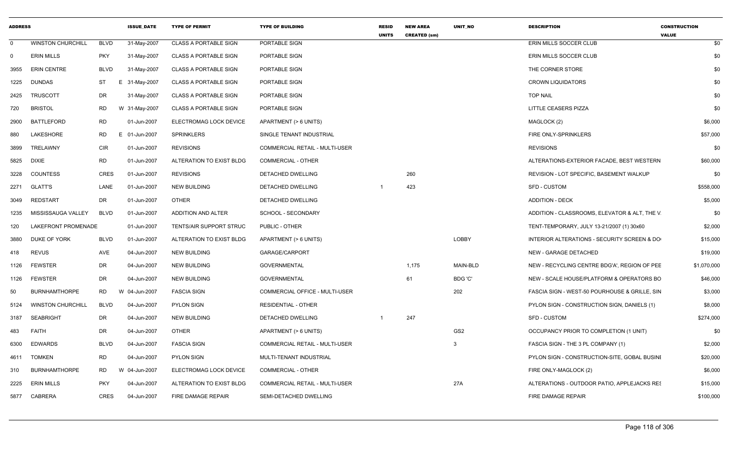| <b>ADDRESS</b> |                          |             | <b>ISSUE DATE</b> | <b>TYPE OF PERMIT</b>        | <b>TYPE OF BUILDING</b>               | <b>RESID</b><br><b>UNITS</b> | <b>NEW AREA</b><br><b>CREATED (sm)</b> | <b>UNIT NO</b> | <b>DESCRIPTION</b>                            | <b>CONSTRUCTION</b><br><b>VALUE</b> |
|----------------|--------------------------|-------------|-------------------|------------------------------|---------------------------------------|------------------------------|----------------------------------------|----------------|-----------------------------------------------|-------------------------------------|
| $\Omega$       | <b>WINSTON CHURCHILL</b> | <b>BLVD</b> | 31-May-2007       | <b>CLASS A PORTABLE SIGN</b> | PORTABLE SIGN                         |                              |                                        |                | ERIN MILLS SOCCER CLUB                        | \$0                                 |
| $\mathbf 0$    | <b>ERIN MILLS</b>        | <b>PKY</b>  | 31-May-2007       | <b>CLASS A PORTABLE SIGN</b> | PORTABLE SIGN                         |                              |                                        |                | ERIN MILLS SOCCER CLUB                        | \$0                                 |
| 3955           | <b>ERIN CENTRE</b>       | <b>BLVD</b> | 31-May-2007       | <b>CLASS A PORTABLE SIGN</b> | PORTABLE SIGN                         |                              |                                        |                | THE CORNER STORE                              | \$0                                 |
| 1225           | DUNDAS                   | ST          | E 31-May-2007     | <b>CLASS A PORTABLE SIGN</b> | PORTABLE SIGN                         |                              |                                        |                | <b>CROWN LIQUIDATORS</b>                      | \$0                                 |
| 2425           | <b>TRUSCOTT</b>          | DR          | 31-May-2007       | <b>CLASS A PORTABLE SIGN</b> | PORTABLE SIGN                         |                              |                                        |                | <b>TOP NAIL</b>                               | \$0                                 |
| 720            | <b>BRISTOL</b>           | <b>RD</b>   | W 31-May-2007     | <b>CLASS A PORTABLE SIGN</b> | PORTABLE SIGN                         |                              |                                        |                | LITTLE CEASERS PIZZA                          | \$0                                 |
| 2900           | <b>BATTLEFORD</b>        | RD          | 01-Jun-2007       | ELECTROMAG LOCK DEVICE       | APARTMENT (> 6 UNITS)                 |                              |                                        |                | MAGLOCK (2)                                   | \$6,000                             |
| 880            | <b>LAKESHORE</b>         | RD          | E 01-Jun-2007     | <b>SPRINKLERS</b>            | SINGLE TENANT INDUSTRIAL              |                              |                                        |                | FIRE ONLY-SPRINKLERS                          | \$57,000                            |
| 3899           | TRELAWNY                 | <b>CIR</b>  | 01-Jun-2007       | <b>REVISIONS</b>             | COMMERCIAL RETAIL - MULTI-USER        |                              |                                        |                | <b>REVISIONS</b>                              | \$0                                 |
| 5825           | <b>DIXIE</b>             | <b>RD</b>   | 01-Jun-2007       | ALTERATION TO EXIST BLDG     | <b>COMMERCIAL - OTHER</b>             |                              |                                        |                | ALTERATIONS-EXTERIOR FACADE, BEST WESTERN     | \$60,000                            |
| 3228           | <b>COUNTESS</b>          | CRES        | 01-Jun-2007       | <b>REVISIONS</b>             | DETACHED DWELLING                     |                              | 260                                    |                | REVISION - LOT SPECIFIC, BASEMENT WALKUP      | \$0                                 |
| 2271           | <b>GLATT'S</b>           | LANE        | 01-Jun-2007       | <b>NEW BUILDING</b>          | DETACHED DWELLING                     |                              | 423                                    |                | SFD - CUSTOM                                  | \$558,000                           |
| 3049           | REDSTART                 | DR          | 01-Jun-2007       | <b>OTHER</b>                 | DETACHED DWELLING                     |                              |                                        |                | <b>ADDITION - DECK</b>                        | \$5,000                             |
| 1235           | MISSISSAUGA VALLEY       | <b>BLVD</b> | 01-Jun-2007       | ADDITION AND ALTER           | SCHOOL - SECONDARY                    |                              |                                        |                | ADDITION - CLASSROOMS, ELEVATOR & ALT, THE V. | \$0                                 |
| 120            | LAKEFRONT PROMENADE      |             | 01-Jun-2007       | TENTS/AIR SUPPORT STRUC      | PUBLIC - OTHER                        |                              |                                        |                | TENT-TEMPORARY, JULY 13-21/2007 (1) 30x60     | \$2,000                             |
| 3880           | <b>DUKE OF YORK</b>      | <b>BLVD</b> | 01-Jun-2007       | ALTERATION TO EXIST BLDG     | APARTMENT (> 6 UNITS)                 |                              |                                        | LOBBY          | INTERIOR ALTERATIONS - SECURITY SCREEN & DO   | \$15,000                            |
| 418            | <b>REVUS</b>             | AVE         | 04-Jun-2007       | <b>NEW BUILDING</b>          | GARAGE/CARPORT                        |                              |                                        |                | NEW - GARAGE DETACHED                         | \$19,000                            |
| 1126           | <b>FEWSTER</b>           | DR          | 04-Jun-2007       | <b>NEW BUILDING</b>          | <b>GOVERNMENTAL</b>                   |                              | 1,175                                  | MAIN-BLD       | NEW - RECYCLING CENTRE BDG'A', REGION OF PEE  | \$1,070,000                         |
| 1126           | <b>FEWSTER</b>           | DR          | 04-Jun-2007       | <b>NEW BUILDING</b>          | <b>GOVERNMENTAL</b>                   |                              | 61                                     | BDG 'C'        | NEW - SCALE HOUSE/PLATFORM & OPERATORS BO     | \$46,000                            |
| 50             | <b>BURNHAMTHORPE</b>     | <b>RD</b>   | W 04-Jun-2007     | <b>FASCIA SIGN</b>           | COMMERCIAL OFFICE - MULTI-USER        |                              |                                        | 202            | FASCIA SIGN - WEST-50 POURHOUSE & GRILLE, SIN | \$3,000                             |
| 5124           | <b>WINSTON CHURCHILL</b> | <b>BLVD</b> | 04-Jun-2007       | <b>PYLON SIGN</b>            | <b>RESIDENTIAL - OTHER</b>            |                              |                                        |                | PYLON SIGN - CONSTRUCTION SIGN, DANIELS (1)   | \$8,000                             |
| 3187           | <b>SEABRIGHT</b>         | DR          | 04-Jun-2007       | <b>NEW BUILDING</b>          | DETACHED DWELLING                     |                              | 247                                    |                | <b>SFD - CUSTOM</b>                           | \$274,000                           |
| 483            | <b>FAITH</b>             | DR          | 04-Jun-2007       | <b>OTHER</b>                 | APARTMENT (> 6 UNITS)                 |                              |                                        | GS2            | OCCUPANCY PRIOR TO COMPLETION (1 UNIT)        | \$0                                 |
| 6300           | <b>EDWARDS</b>           | <b>BLVD</b> | 04-Jun-2007       | <b>FASCIA SIGN</b>           | <b>COMMERCIAL RETAIL - MULTI-USER</b> |                              |                                        | 3              | FASCIA SIGN - THE 3 PL COMPANY (1)            | \$2,000                             |
| 4611           | <b>TOMKEN</b>            | RD          | 04-Jun-2007       | <b>PYLON SIGN</b>            | MULTI-TENANT INDUSTRIAL               |                              |                                        |                | PYLON SIGN - CONSTRUCTION-SITE, GOBAL BUSINE  | \$20,000                            |
| 310            | <b>BURNHAMTHORPE</b>     | RD          | W 04-Jun-2007     | ELECTROMAG LOCK DEVICE       | <b>COMMERCIAL - OTHER</b>             |                              |                                        |                | FIRE ONLY-MAGLOCK (2)                         | \$6,000                             |
| 2225           | <b>ERIN MILLS</b>        | <b>PKY</b>  | 04-Jun-2007       | ALTERATION TO EXIST BLDG     | COMMERCIAL RETAIL - MULTI-USER        |                              |                                        | 27A            | ALTERATIONS - OUTDOOR PATIO, APPLEJACKS RES   | \$15,000                            |
| 5877           | CABRERA                  | CRES        | 04-Jun-2007       | FIRE DAMAGE REPAIR           | SEMI-DETACHED DWELLING                |                              |                                        |                | FIRE DAMAGE REPAIR                            | \$100,000                           |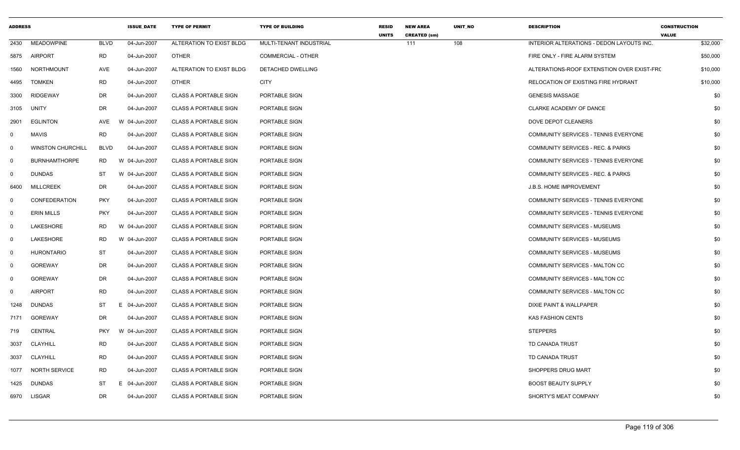| <b>ADDRESS</b> |                          |             | <b>ISSUE_DATE</b> | <b>TYPE OF PERMIT</b>        | <b>TYPE OF BUILDING</b>   | <b>RESID</b><br><b>UNITS</b> | <b>NEW AREA</b><br><b>CREATED (sm)</b> | UNIT_NO | <b>DESCRIPTION</b>                           | <b>CONSTRUCTION</b><br><b>VALUE</b> |
|----------------|--------------------------|-------------|-------------------|------------------------------|---------------------------|------------------------------|----------------------------------------|---------|----------------------------------------------|-------------------------------------|
| 2430           | <b>MEADOWPINE</b>        | <b>BLVD</b> | 04-Jun-2007       | ALTERATION TO EXIST BLDG     | MULTI-TENANT INDUSTRIAL   |                              | 111                                    | 108     | INTERIOR ALTERATIONS - DEDON LAYOUTS INC.    | \$32,000                            |
| 5875           | AIRPORT                  | <b>RD</b>   | 04-Jun-2007       | <b>OTHER</b>                 | <b>COMMERCIAL - OTHER</b> |                              |                                        |         | FIRE ONLY - FIRE ALARM SYSTEM                | \$50,000                            |
| 1560           | <b>NORTHMOUNT</b>        | AVE         | 04-Jun-2007       | ALTERATION TO EXIST BLDG     | DETACHED DWELLING         |                              |                                        |         | ALTERATIONS-ROOF EXTENSTION OVER EXIST-FRO   | \$10,000                            |
| 4495           | <b>TOMKEN</b>            | <b>RD</b>   | 04-Jun-2007       | <b>OTHER</b>                 | <b>CITY</b>               |                              |                                        |         | <b>RELOCATION OF EXISTING FIRE HYDRANT</b>   | \$10,000                            |
| 3300           | <b>RIDGEWAY</b>          | DR          | 04-Jun-2007       | <b>CLASS A PORTABLE SIGN</b> | PORTABLE SIGN             |                              |                                        |         | <b>GENESIS MASSAGE</b>                       | \$0                                 |
| 3105           | UNITY                    | DR          | 04-Jun-2007       | <b>CLASS A PORTABLE SIGN</b> | PORTABLE SIGN             |                              |                                        |         | CLARKE ACADEMY OF DANCE                      | \$0                                 |
| 2901           | <b>EGLINTON</b>          | <b>AVE</b>  | W 04-Jun-2007     | <b>CLASS A PORTABLE SIGN</b> | PORTABLE SIGN             |                              |                                        |         | DOVE DEPOT CLEANERS                          | \$0                                 |
| $\mathbf 0$    | MAVIS                    | <b>RD</b>   | 04-Jun-2007       | <b>CLASS A PORTABLE SIGN</b> | PORTABLE SIGN             |                              |                                        |         | COMMUNITY SERVICES - TENNIS EVERYONE         | \$0                                 |
| $\overline{0}$ | <b>WINSTON CHURCHILL</b> | <b>BLVD</b> | 04-Jun-2007       | <b>CLASS A PORTABLE SIGN</b> | PORTABLE SIGN             |                              |                                        |         | <b>COMMUNITY SERVICES - REC. &amp; PARKS</b> | \$0                                 |
| $\overline{0}$ | <b>BURNHAMTHORPE</b>     | RD          | W 04-Jun-2007     | <b>CLASS A PORTABLE SIGN</b> | PORTABLE SIGN             |                              |                                        |         | COMMUNITY SERVICES - TENNIS EVERYONE         | \$0                                 |
| $\mathbf 0$    | <b>DUNDAS</b>            | ST          | W 04-Jun-2007     | <b>CLASS A PORTABLE SIGN</b> | PORTABLE SIGN             |                              |                                        |         | COMMUNITY SERVICES - REC. & PARKS            | \$0                                 |
| 6400           | MILLCREEK                | DR          | 04-Jun-2007       | <b>CLASS A PORTABLE SIGN</b> | PORTABLE SIGN             |                              |                                        |         | J.B.S. HOME IMPROVEMENT                      | \$0                                 |
| 0              | <b>CONFEDERATION</b>     | <b>PKY</b>  | 04-Jun-2007       | <b>CLASS A PORTABLE SIGN</b> | PORTABLE SIGN             |                              |                                        |         | COMMUNITY SERVICES - TENNIS EVERYONE         | \$0                                 |
| 0              | <b>ERIN MILLS</b>        | <b>PKY</b>  | 04-Jun-2007       | <b>CLASS A PORTABLE SIGN</b> | PORTABLE SIGN             |                              |                                        |         | COMMUNITY SERVICES - TENNIS EVERYONE         | \$0                                 |
| $\mathbf 0$    | LAKESHORE                | RD.         | W 04-Jun-2007     | <b>CLASS A PORTABLE SIGN</b> | PORTABLE SIGN             |                              |                                        |         | <b>COMMUNITY SERVICES - MUSEUMS</b>          | \$0                                 |
| $\mathbf 0$    | LAKESHORE                | <b>RD</b>   | W 04-Jun-2007     | <b>CLASS A PORTABLE SIGN</b> | PORTABLE SIGN             |                              |                                        |         | <b>COMMUNITY SERVICES - MUSEUMS</b>          | \$0                                 |
| $\mathbf 0$    | <b>HURONTARIO</b>        | ST          | 04-Jun-2007       | <b>CLASS A PORTABLE SIGN</b> | PORTABLE SIGN             |                              |                                        |         | <b>COMMUNITY SERVICES - MUSEUMS</b>          | \$0                                 |
| $\mathsf{O}$   | <b>GOREWAY</b>           | <b>DR</b>   | 04-Jun-2007       | <b>CLASS A PORTABLE SIGN</b> | PORTABLE SIGN             |                              |                                        |         | COMMUNITY SERVICES - MALTON CC               | \$0                                 |
| 0              | <b>GOREWAY</b>           | <b>DR</b>   | 04-Jun-2007       | <b>CLASS A PORTABLE SIGN</b> | PORTABLE SIGN             |                              |                                        |         | COMMUNITY SERVICES - MALTON CC               | \$0                                 |
| $\Omega$       | <b>AIRPORT</b>           | <b>RD</b>   | 04-Jun-2007       | <b>CLASS A PORTABLE SIGN</b> | PORTABLE SIGN             |                              |                                        |         | <b>COMMUNITY SERVICES - MALTON CC</b>        | \$0                                 |
| 1248           | <b>DUNDAS</b>            | ST          | Е.<br>04-Jun-2007 | <b>CLASS A PORTABLE SIGN</b> | PORTABLE SIGN             |                              |                                        |         | DIXIE PAINT & WALLPAPER                      | \$0                                 |
| 7171           | <b>GOREWAY</b>           | <b>DR</b>   | 04-Jun-2007       | <b>CLASS A PORTABLE SIGN</b> | PORTABLE SIGN             |                              |                                        |         | <b>KAS FASHION CENTS</b>                     | \$0                                 |
| 719            | <b>CENTRAL</b>           | <b>PKY</b>  | W 04-Jun-2007     | <b>CLASS A PORTABLE SIGN</b> | PORTABLE SIGN             |                              |                                        |         | <b>STEPPERS</b>                              | \$0                                 |
| 3037           | <b>CLAYHILL</b>          | <b>RD</b>   | 04-Jun-2007       | <b>CLASS A PORTABLE SIGN</b> | PORTABLE SIGN             |                              |                                        |         | TD CANADA TRUST                              | \$0                                 |
| 3037           | CLAYHILL                 | <b>RD</b>   | 04-Jun-2007       | <b>CLASS A PORTABLE SIGN</b> | PORTABLE SIGN             |                              |                                        |         | TD CANADA TRUST                              | \$0                                 |
| 1077           | <b>NORTH SERVICE</b>     | <b>RD</b>   | 04-Jun-2007       | <b>CLASS A PORTABLE SIGN</b> | PORTABLE SIGN             |                              |                                        |         | SHOPPERS DRUG MART                           | \$0                                 |
| 1425           | <b>DUNDAS</b>            | <b>ST</b>   | 04-Jun-2007<br>E. | <b>CLASS A PORTABLE SIGN</b> | PORTABLE SIGN             |                              |                                        |         | <b>BOOST BEAUTY SUPPLY</b>                   | \$0                                 |
| 6970           | LISGAR                   | <b>DR</b>   | 04-Jun-2007       | <b>CLASS A PORTABLE SIGN</b> | PORTABLE SIGN             |                              |                                        |         | SHORTY'S MEAT COMPANY                        | \$0                                 |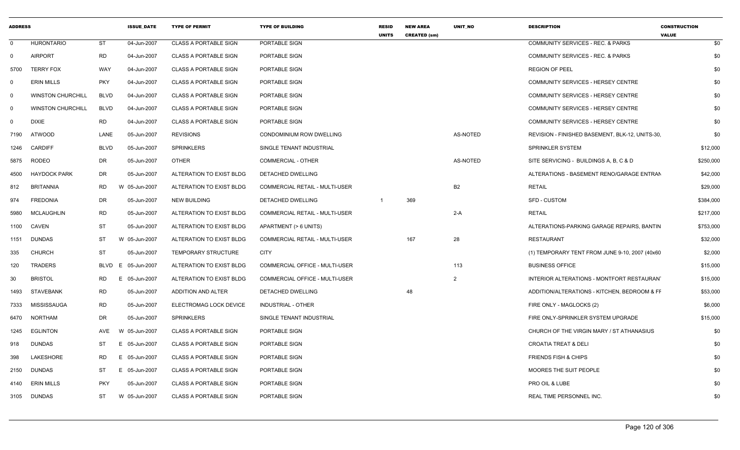| <b>ADDRESS</b> |                          |             | <b>ISSUE DATE</b> | <b>TYPE OF PERMIT</b>        | <b>TYPE OF BUILDING</b>               | <b>RESID</b><br><b>UNITS</b> | <b>NEW AREA</b><br><b>CREATED (sm)</b> | <b>UNIT NO</b>  | <b>DESCRIPTION</b>                              | <b>CONSTRUCTION</b><br><b>VALUE</b> |
|----------------|--------------------------|-------------|-------------------|------------------------------|---------------------------------------|------------------------------|----------------------------------------|-----------------|-------------------------------------------------|-------------------------------------|
| $\Omega$       | <b>HURONTARIO</b>        | <b>ST</b>   | 04-Jun-2007       | <b>CLASS A PORTABLE SIGN</b> | PORTABLE SIGN                         |                              |                                        |                 | <b>COMMUNITY SERVICES - REC. &amp; PARKS</b>    | \$0                                 |
| $\Omega$       | <b>AIRPORT</b>           | <b>RD</b>   | 04-Jun-2007       | <b>CLASS A PORTABLE SIGN</b> | PORTABLE SIGN                         |                              |                                        |                 | <b>COMMUNITY SERVICES - REC. &amp; PARKS</b>    | \$0                                 |
| 5700           | <b>TERRY FOX</b>         | WAY         | 04-Jun-2007       | <b>CLASS A PORTABLE SIGN</b> | PORTABLE SIGN                         |                              |                                        |                 | <b>REGION OF PEEL</b>                           | \$0                                 |
| $\mathbf 0$    | <b>ERIN MILLS</b>        | <b>PKY</b>  | 04-Jun-2007       | <b>CLASS A PORTABLE SIGN</b> | PORTABLE SIGN                         |                              |                                        |                 | COMMUNITY SERVICES - HERSEY CENTRE              | \$0                                 |
| $\mathbf 0$    | <b>WINSTON CHURCHILL</b> | <b>BLVD</b> | 04-Jun-2007       | <b>CLASS A PORTABLE SIGN</b> | PORTABLE SIGN                         |                              |                                        |                 | COMMUNITY SERVICES - HERSEY CENTRE              | \$0                                 |
| $\Omega$       | <b>WINSTON CHURCHILL</b> | <b>BLVD</b> | 04-Jun-2007       | <b>CLASS A PORTABLE SIGN</b> | PORTABLE SIGN                         |                              |                                        |                 | COMMUNITY SERVICES - HERSEY CENTRE              | \$0                                 |
| $\mathbf 0$    | <b>DIXIE</b>             | <b>RD</b>   | 04-Jun-2007       | <b>CLASS A PORTABLE SIGN</b> | PORTABLE SIGN                         |                              |                                        |                 | COMMUNITY SERVICES - HERSEY CENTRE              | \$0                                 |
| 7190           | <b>ATWOOD</b>            | LANE        | 05-Jun-2007       | <b>REVISIONS</b>             | <b>CONDOMINIUM ROW DWELLING</b>       |                              |                                        | AS-NOTED        | REVISION - FINISHED BASEMENT, BLK-12, UNITS-30, | \$0                                 |
| 1246           | <b>CARDIFF</b>           | <b>BLVD</b> | 05-Jun-2007       | <b>SPRINKLERS</b>            | SINGLE TENANT INDUSTRIAL              |                              |                                        |                 | SPRINKLER SYSTEM                                | \$12,000                            |
| 5875           | <b>RODEO</b>             | DR          | 05-Jun-2007       | <b>OTHER</b>                 | <b>COMMERCIAL - OTHER</b>             |                              |                                        | <b>AS-NOTED</b> | SITE SERVICING - BUILDINGS A, B, C & D          | \$250,000                           |
| 4500           | <b>HAYDOCK PARK</b>      | DR          | 05-Jun-2007       | ALTERATION TO EXIST BLDG     | DETACHED DWELLING                     |                              |                                        |                 | ALTERATIONS - BASEMENT RENO/GARAGE ENTRAN       | \$42,000                            |
| 812            | <b>BRITANNIA</b>         | <b>RD</b>   | W 05-Jun-2007     | ALTERATION TO EXIST BLDG     | <b>COMMERCIAL RETAIL - MULTI-USER</b> |                              |                                        | <b>B2</b>       | <b>RETAIL</b>                                   | \$29,000                            |
| 974            | <b>FREDONIA</b>          | DR          | 05-Jun-2007       | <b>NEW BUILDING</b>          | DETACHED DWELLING                     | - 1                          | 369                                    |                 | <b>SFD - CUSTOM</b>                             | \$384,000                           |
| 5980           | <b>MCLAUGHLIN</b>        | <b>RD</b>   | 05-Jun-2007       | ALTERATION TO EXIST BLDG     | COMMERCIAL RETAIL - MULTI-USER        |                              |                                        | $2-A$           | <b>RETAIL</b>                                   | \$217,000                           |
| 1100           | <b>CAVEN</b>             | <b>ST</b>   | 05-Jun-2007       | ALTERATION TO EXIST BLDG     | APARTMENT (> 6 UNITS)                 |                              |                                        |                 | ALTERATIONS-PARKING GARAGE REPAIRS, BANTIN      | \$753,000                           |
| 1151           | <b>DUNDAS</b>            | ST          | W 05-Jun-2007     | ALTERATION TO EXIST BLDG     | <b>COMMERCIAL RETAIL - MULTI-USER</b> |                              | 167                                    | 28              | <b>RESTAURANT</b>                               | \$32,000                            |
| 335            | <b>CHURCH</b>            | <b>ST</b>   | 05-Jun-2007       | <b>TEMPORARY STRUCTURE</b>   | <b>CITY</b>                           |                              |                                        |                 | (1) TEMPORARY TENT FROM JUNE 9-10, 2007 (40x60) | \$2,000                             |
| 120            | TRADERS                  | <b>BLVD</b> | E 05-Jun-2007     | ALTERATION TO EXIST BLDG     | <b>COMMERCIAL OFFICE - MULTI-USER</b> |                              |                                        | 113             | <b>BUSINESS OFFICE</b>                          | \$15,000                            |
| 30             | <b>BRISTOL</b>           | RD<br>E.    | 05-Jun-2007       | ALTERATION TO EXIST BLDG     | <b>COMMERCIAL OFFICE - MULTI-USER</b> |                              |                                        | 2               | INTERIOR ALTERATIONS - MONTFORT RESTAURANT      | \$15,000                            |
| 1493           | <b>STAVEBANK</b>         | <b>RD</b>   | 05-Jun-2007       | ADDITION AND ALTER           | DETACHED DWELLING                     |                              | 48                                     |                 | ADDITION/ALTERATIONS - KITCHEN, BEDROOM & FF    | \$53,000                            |
| 7333           | MISSISSAUGA              | <b>RD</b>   | 05-Jun-2007       | ELECTROMAG LOCK DEVICE       | INDUSTRIAL - OTHER                    |                              |                                        |                 | FIRE ONLY - MAGLOCKS (2)                        | \$6,000                             |
| 6470           | <b>NORTHAM</b>           | <b>DR</b>   | 05-Jun-2007       | <b>SPRINKLERS</b>            | SINGLE TENANT INDUSTRIAL              |                              |                                        |                 | FIRE ONLY-SPRINKLER SYSTEM UPGRADE              | \$15,000                            |
| 1245           | <b>EGLINTON</b>          | AVE         | W 05-Jun-2007     | <b>CLASS A PORTABLE SIGN</b> | PORTABLE SIGN                         |                              |                                        |                 | CHURCH OF THE VIRGIN MARY / ST ATHANASIUS       | \$0                                 |
| 918            | <b>DUNDAS</b>            | ST          | E 05-Jun-2007     | <b>CLASS A PORTABLE SIGN</b> | PORTABLE SIGN                         |                              |                                        |                 | <b>CROATIA TREAT &amp; DELI</b>                 | \$0                                 |
| 398            | LAKESHORE                | <b>RD</b>   | E 05-Jun-2007     | <b>CLASS A PORTABLE SIGN</b> | PORTABLE SIGN                         |                              |                                        |                 | <b>FRIENDS FISH &amp; CHIPS</b>                 | \$0                                 |
| 2150           | <b>DUNDAS</b>            | <b>ST</b>   | E 05-Jun-2007     | <b>CLASS A PORTABLE SIGN</b> | PORTABLE SIGN                         |                              |                                        |                 | MOORES THE SUIT PEOPLE                          | \$0                                 |
| 4140           | <b>ERIN MILLS</b>        | <b>PKY</b>  | 05-Jun-2007       | <b>CLASS A PORTABLE SIGN</b> | PORTABLE SIGN                         |                              |                                        |                 | PRO OIL & LUBE                                  | \$0                                 |
| 3105           | DUNDAS                   | ST          | W 05-Jun-2007     | <b>CLASS A PORTABLE SIGN</b> | PORTABLE SIGN                         |                              |                                        |                 | REAL TIME PERSONNEL INC.                        | \$0                                 |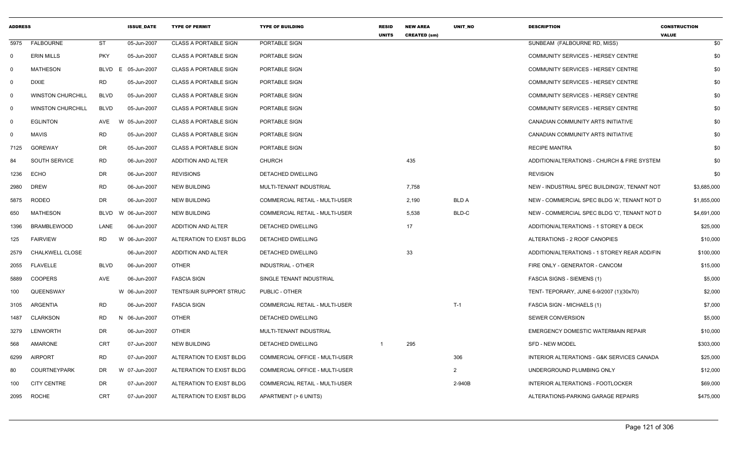| <b>ADDRESS</b> |                          |             | <b>ISSUE_DATE</b> | <b>TYPE OF PERMIT</b>        | <b>TYPE OF BUILDING</b>               | <b>RESID</b><br><b>UNITS</b> | <b>NEW AREA</b><br><b>CREATED (sm)</b> | UNIT_NO        | <b>DESCRIPTION</b>                            | <b>CONSTRUCTION</b><br><b>VALUE</b> |
|----------------|--------------------------|-------------|-------------------|------------------------------|---------------------------------------|------------------------------|----------------------------------------|----------------|-----------------------------------------------|-------------------------------------|
| 5975           | <b>FALBOURNE</b>         | <b>ST</b>   | 05-Jun-2007       | <b>CLASS A PORTABLE SIGN</b> | PORTABLE SIGN                         |                              |                                        |                | SUNBEAM (FALBOURNE RD, MISS)                  | \$0                                 |
| $\mathbf{0}$   | <b>ERIN MILLS</b>        | <b>PKY</b>  | 05-Jun-2007       | <b>CLASS A PORTABLE SIGN</b> | PORTABLE SIGN                         |                              |                                        |                | COMMUNITY SERVICES - HERSEY CENTRE            | \$0                                 |
| $\Omega$       | <b>MATHESON</b>          | <b>BLVD</b> | E 05-Jun-2007     | <b>CLASS A PORTABLE SIGN</b> | PORTABLE SIGN                         |                              |                                        |                | <b>COMMUNITY SERVICES - HERSEY CENTRE</b>     | \$0                                 |
| 0              | <b>DIXIE</b>             | RD.         | 05-Jun-2007       | <b>CLASS A PORTABLE SIGN</b> | PORTABLE SIGN                         |                              |                                        |                | COMMUNITY SERVICES - HERSEY CENTRE            | \$0                                 |
| $\mathbf 0$    | <b>WINSTON CHURCHILL</b> | <b>BLVD</b> | 05-Jun-2007       | <b>CLASS A PORTABLE SIGN</b> | PORTABLE SIGN                         |                              |                                        |                | COMMUNITY SERVICES - HERSEY CENTRE            | \$0                                 |
| $\overline{0}$ | <b>WINSTON CHURCHILL</b> | <b>BLVD</b> | 05-Jun-2007       | <b>CLASS A PORTABLE SIGN</b> | PORTABLE SIGN                         |                              |                                        |                | COMMUNITY SERVICES - HERSEY CENTRE            | \$0                                 |
| - 0            | <b>EGLINTON</b>          | AVE         | W 05-Jun-2007     | <b>CLASS A PORTABLE SIGN</b> | PORTABLE SIGN                         |                              |                                        |                | CANADIAN COMMUNITY ARTS INITIATIVE            | \$0                                 |
| $\Omega$       | <b>MAVIS</b>             | <b>RD</b>   | 05-Jun-2007       | <b>CLASS A PORTABLE SIGN</b> | PORTABLE SIGN                         |                              |                                        |                | CANADIAN COMMUNITY ARTS INITIATIVE            | \$0                                 |
| 7125           | GOREWAY                  | DR.         | 05-Jun-2007       | <b>CLASS A PORTABLE SIGN</b> | PORTABLE SIGN                         |                              |                                        |                | <b>RECIPE MANTRA</b>                          | \$0                                 |
| 84             | SOUTH SERVICE            | <b>RD</b>   | 06-Jun-2007       | ADDITION AND ALTER           | <b>CHURCH</b>                         |                              | 435                                    |                | ADDITION/ALTERATIONS - CHURCH & FIRE SYSTEM   | \$0                                 |
| 1236           | <b>ECHO</b>              | DR.         | 06-Jun-2007       | <b>REVISIONS</b>             | DETACHED DWELLING                     |                              |                                        |                | <b>REVISION</b>                               | \$0                                 |
| 2980           | <b>DREW</b>              | RD.         | 06-Jun-2007       | <b>NEW BUILDING</b>          | MULTI-TENANT INDUSTRIAL               |                              | 7,758                                  |                | NEW - INDUSTRIAL SPEC BUILDING'A', TENANT NOT | \$3,685,000                         |
| 5875           | <b>RODEO</b>             | <b>DR</b>   | 06-Jun-2007       | <b>NEW BUILDING</b>          | COMMERCIAL RETAIL - MULTI-USER        |                              | 2,190                                  | <b>BLD A</b>   | NEW - COMMERCIAL SPEC BLDG 'A'. TENANT NOT D  | \$1,855,000                         |
| 650            | <b>MATHESON</b>          | BLVD        | W 06-Jun-2007     | <b>NEW BUILDING</b>          | COMMERCIAL RETAIL - MULTI-USER        |                              | 5,538                                  | BLD-C          | NEW - COMMERCIAL SPEC BLDG 'C', TENANT NOT D  | \$4,691,000                         |
| 1396           | <b>BRAMBLEWOOD</b>       | LANE        | 06-Jun-2007       | ADDITION AND ALTER           | DETACHED DWELLING                     |                              | 17                                     |                | ADDITION/ALTERATIONS - 1 STOREY & DECK        | \$25,000                            |
| 125            | <b>FAIRVIEW</b>          | <b>RD</b>   | W 06-Jun-2007     | ALTERATION TO EXIST BLDG     | DETACHED DWELLING                     |                              |                                        |                | ALTERATIONS - 2 ROOF CANOPIES                 | \$10,000                            |
| 2579           | <b>CHALKWELL CLOSE</b>   |             | 06-Jun-2007       | ADDITION AND ALTER           | DETACHED DWELLING                     |                              | 33                                     |                | ADDITION/ALTERATIONS - 1 STOREY REAR ADD/FIN  | \$100,000                           |
| 2055           | <b>FLAVELLE</b>          | <b>BLVD</b> | 06-Jun-2007       | <b>OTHER</b>                 | <b>INDUSTRIAL - OTHER</b>             |                              |                                        |                | FIRE ONLY - GENERATOR - CANCOM                | \$15,000                            |
| 5889           | <b>COOPERS</b>           | AVE         | 06-Jun-2007       | <b>FASCIA SIGN</b>           | SINGLE TENANT INDUSTRIAL              |                              |                                        |                | <b>FASCIA SIGNS - SIEMENS (1)</b>             | \$5,000                             |
| 100            | QUEENSWAY                |             | W 06-Jun-2007     | TENTS/AIR SUPPORT STRUC      | PUBLIC - OTHER                        |                              |                                        |                | TENT- TEPORARY, JUNE 6-9/2007 (1)(30x70)      | \$2,000                             |
| 3105           | ARGENTIA                 | <b>RD</b>   | 06-Jun-2007       | <b>FASCIA SIGN</b>           | <b>COMMERCIAL RETAIL - MULTI-USER</b> |                              |                                        | $T-1$          | <b>FASCIA SIGN - MICHAELS (1)</b>             | \$7,000                             |
| 1487           | <b>CLARKSON</b>          | RD          | N 06-Jun-2007     | <b>OTHER</b>                 | DETACHED DWELLING                     |                              |                                        |                | SEWER CONVERSION                              | \$5,000                             |
| 3279           | <b>LENWORTH</b>          | DR          | 06-Jun-2007       | OTHER                        | MULTI-TENANT INDUSTRIAL               |                              |                                        |                | <b>EMERGENCY DOMESTIC WATERMAIN REPAIR</b>    | \$10,000                            |
| 568            | AMARONE                  | <b>CRT</b>  | 07-Jun-2007       | <b>NEW BUILDING</b>          | DETACHED DWELLING                     |                              | 295                                    |                | SFD - NEW MODEL                               | \$303,000                           |
| 6299           | <b>AIRPORT</b>           | <b>RD</b>   | 07-Jun-2007       | ALTERATION TO EXIST BLDG     | COMMERCIAL OFFICE - MULTI-USER        |                              |                                        | 306            | INTERIOR ALTERATIONS - G&K SERVICES CANADA    | \$25,000                            |
| 80             | <b>COURTNEYPARK</b>      | DR          | W 07-Jun-2007     | ALTERATION TO EXIST BLDG     | COMMERCIAL OFFICE - MULTI-USER        |                              |                                        | $\overline{2}$ | UNDERGROUND PLUMBING ONLY                     | \$12,000                            |
| 100            | <b>CITY CENTRE</b>       | DR          | 07-Jun-2007       | ALTERATION TO EXIST BLDG     | COMMERCIAL RETAIL - MULTI-USER        |                              |                                        | 2-940B         | INTERIOR ALTERATIONS - FOOTLOCKER             | \$69,000                            |
| 2095           | <b>ROCHE</b>             | <b>CRT</b>  | 07-Jun-2007       | ALTERATION TO EXIST BLDG     | APARTMENT (> 6 UNITS)                 |                              |                                        |                | ALTERATIONS-PARKING GARAGE REPAIRS            | \$475,000                           |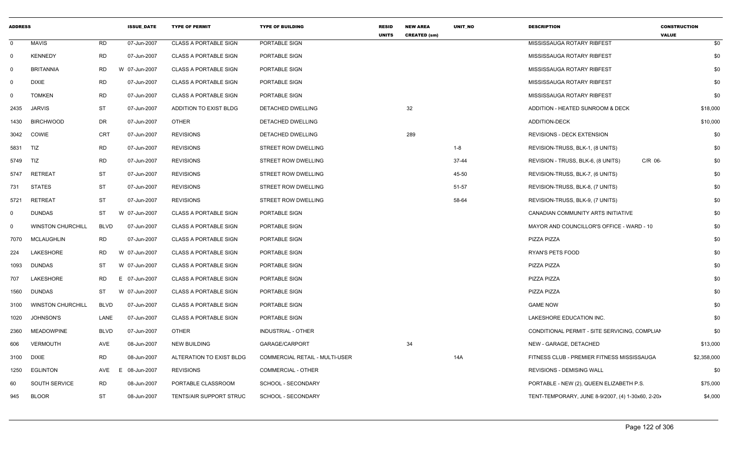| <b>ADDRESS</b> |                          |             | <b>ISSUE DATE</b> | <b>TYPE OF PERMIT</b>        | <b>TYPE OF BUILDING</b>        | <b>RESID</b><br><b>UNITS</b> | <b>NEW AREA</b><br><b>CREATED (sm)</b> | UNIT_NO   | <b>DESCRIPTION</b>                                | <b>CONSTRUCTION</b><br><b>VALUE</b> |
|----------------|--------------------------|-------------|-------------------|------------------------------|--------------------------------|------------------------------|----------------------------------------|-----------|---------------------------------------------------|-------------------------------------|
| $\mathbf 0$    | <b>MAVIS</b>             | <b>RD</b>   | 07-Jun-2007       | <b>CLASS A PORTABLE SIGN</b> | PORTABLE SIGN                  |                              |                                        |           | MISSISSAUGA ROTARY RIBFEST                        | \$0                                 |
| $\mathbf 0$    | <b>KENNEDY</b>           | RD          | 07-Jun-2007       | <b>CLASS A PORTABLE SIGN</b> | PORTABLE SIGN                  |                              |                                        |           | MISSISSAUGA ROTARY RIBFEST                        | \$0                                 |
| - 0            | <b>BRITANNIA</b>         | <b>RD</b>   | W 07-Jun-2007     | <b>CLASS A PORTABLE SIGN</b> | PORTABLE SIGN                  |                              |                                        |           | MISSISSAUGA ROTARY RIBFEST                        | \$0                                 |
| 0              | <b>DIXIE</b>             | <b>RD</b>   | 07-Jun-2007       | <b>CLASS A PORTABLE SIGN</b> | PORTABLE SIGN                  |                              |                                        |           | MISSISSAUGA ROTARY RIBFEST                        | \$0                                 |
| 0              | <b>TOMKEN</b>            | <b>RD</b>   | 07-Jun-2007       | <b>CLASS A PORTABLE SIGN</b> | PORTABLE SIGN                  |                              |                                        |           | MISSISSAUGA ROTARY RIBFEST                        | \$0                                 |
| 2435           | <b>JARVIS</b>            | ST          | 07-Jun-2007       | ADDITION TO EXIST BLDG       | DETACHED DWELLING              |                              | 32                                     |           | ADDITION - HEATED SUNROOM & DECK                  | \$18,000                            |
| 1430           | <b>BIRCHWOOD</b>         | <b>DR</b>   | 07-Jun-2007       | <b>OTHER</b>                 | DETACHED DWELLING              |                              |                                        |           | ADDITION-DECK                                     | \$10,000                            |
| 3042           | <b>COWIE</b>             | <b>CRT</b>  | 07-Jun-2007       | <b>REVISIONS</b>             | DETACHED DWELLING              |                              | 289                                    |           | <b>REVISIONS - DECK EXTENSION</b>                 | \$0                                 |
| 5831           | TIZ                      | <b>RD</b>   | 07-Jun-2007       | <b>REVISIONS</b>             | <b>STREET ROW DWELLING</b>     |                              |                                        | $1 - 8$   | REVISION-TRUSS, BLK-1, (8 UNITS)                  | \$0                                 |
| 5749           | TIZ                      | <b>RD</b>   | 07-Jun-2007       | <b>REVISIONS</b>             | STREET ROW DWELLING            |                              |                                        | $37 - 44$ | REVISION - TRUSS, BLK-6, (8 UNITS)<br>C/R 06-     | \$0                                 |
| 5747           | RETREAT                  | <b>ST</b>   | 07-Jun-2007       | <b>REVISIONS</b>             | STREET ROW DWELLING            |                              |                                        | 45-50     | REVISION-TRUSS, BLK-7, (6 UNITS)                  | \$0                                 |
| 731            | <b>STATES</b>            | <b>ST</b>   | 07-Jun-2007       | <b>REVISIONS</b>             | <b>STREET ROW DWELLING</b>     |                              |                                        | 51-57     | REVISION-TRUSS, BLK-8, (7 UNITS)                  | \$0                                 |
| 5721           | <b>RETREAT</b>           | <b>ST</b>   | 07-Jun-2007       | <b>REVISIONS</b>             | STREET ROW DWELLING            |                              |                                        | 58-64     | REVISION-TRUSS, BLK-9, (7 UNITS)                  | \$0                                 |
| 0              | <b>DUNDAS</b>            | <b>ST</b>   | W 07-Jun-2007     | <b>CLASS A PORTABLE SIGN</b> | PORTABLE SIGN                  |                              |                                        |           | CANADIAN COMMUNITY ARTS INITIATIVE                | \$0                                 |
| $\mathbf 0$    | <b>WINSTON CHURCHILL</b> | <b>BLVD</b> | 07-Jun-2007       | <b>CLASS A PORTABLE SIGN</b> | PORTABLE SIGN                  |                              |                                        |           | MAYOR AND COUNCILLOR'S OFFICE - WARD - 10         | \$0                                 |
| 7070           | MCLAUGHLIN               | <b>RD</b>   | 07-Jun-2007       | <b>CLASS A PORTABLE SIGN</b> | PORTABLE SIGN                  |                              |                                        |           | PIZZA PIZZA                                       | \$0                                 |
| 224            | <b>LAKESHORE</b>         | <b>RD</b>   | W 07-Jun-2007     | <b>CLASS A PORTABLE SIGN</b> | PORTABLE SIGN                  |                              |                                        |           | <b>RYAN'S PETS FOOD</b>                           | \$0                                 |
| 1093           | <b>DUNDAS</b>            | ST          | W 07-Jun-2007     | <b>CLASS A PORTABLE SIGN</b> | PORTABLE SIGN                  |                              |                                        |           | PIZZA PIZZA                                       | \$0                                 |
| 707            | <b>LAKESHORE</b>         | <b>RD</b>   | E 07-Jun-2007     | <b>CLASS A PORTABLE SIGN</b> | PORTABLE SIGN                  |                              |                                        |           | PIZZA PIZZA                                       | \$0                                 |
| 1560           | <b>DUNDAS</b>            | <b>ST</b>   | W 07-Jun-2007     | <b>CLASS A PORTABLE SIGN</b> | PORTABLE SIGN                  |                              |                                        |           | PIZZA PIZZA                                       | \$0                                 |
| 3100           | <b>WINSTON CHURCHILL</b> | <b>BLVD</b> | 07-Jun-2007       | <b>CLASS A PORTABLE SIGN</b> | PORTABLE SIGN                  |                              |                                        |           | <b>GAME NOW</b>                                   | \$0                                 |
| 1020           | <b>JOHNSON'S</b>         | LANE        | 07-Jun-2007       | <b>CLASS A PORTABLE SIGN</b> | PORTABLE SIGN                  |                              |                                        |           | LAKESHORE EDUCATION INC.                          | \$0                                 |
| 2360           | <b>MEADOWPINE</b>        | <b>BLVD</b> | 07-Jun-2007       | <b>OTHER</b>                 | <b>INDUSTRIAL - OTHER</b>      |                              |                                        |           | CONDITIONAL PERMIT - SITE SERVICING, COMPLIAN     | \$0                                 |
| 606            | <b>VERMOUTH</b>          | AVE         | 08-Jun-2007       | <b>NEW BUILDING</b>          | GARAGE/CARPORT                 |                              | 34                                     |           | NEW - GARAGE, DETACHED                            | \$13,000                            |
| 3100           | <b>DIXIE</b>             | <b>RD</b>   | 08-Jun-2007       | ALTERATION TO EXIST BLDG     | COMMERCIAL RETAIL - MULTI-USER |                              |                                        | 14A       | FITNESS CLUB - PREMIER FITNESS MISSISSAUGA        | \$2,358,000                         |
| 1250           | <b>EGLINTON</b>          | <b>AVE</b>  | E.<br>08-Jun-2007 | <b>REVISIONS</b>             | <b>COMMERCIAL - OTHER</b>      |                              |                                        |           | <b>REVISIONS - DEMISING WALL</b>                  | \$0                                 |
| 60             | <b>SOUTH SERVICE</b>     | <b>RD</b>   | 08-Jun-2007       | PORTABLE CLASSROOM           | SCHOOL - SECONDARY             |                              |                                        |           | PORTABLE - NEW (2), QUEEN ELIZABETH P.S.          | \$75,000                            |
| 945            | <b>BLOOR</b>             | ST          | 08-Jun-2007       | TENTS/AIR SUPPORT STRUC      | SCHOOL - SECONDARY             |                              |                                        |           | TENT-TEMPORARY, JUNE 8-9/2007, (4) 1-30x60, 2-20> | \$4,000                             |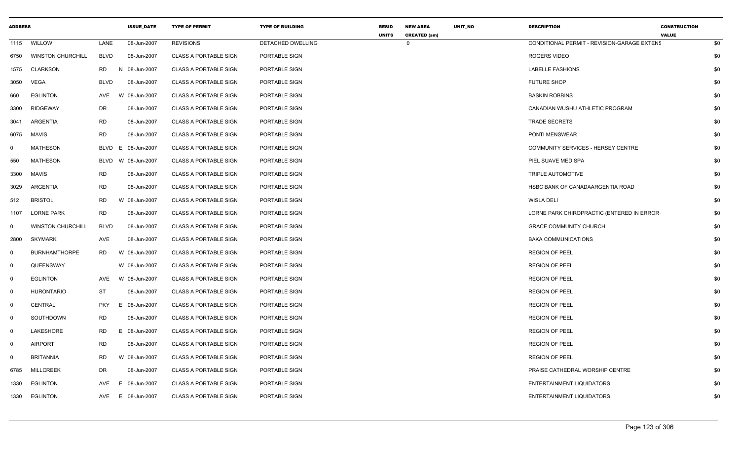| <b>ADDRESS</b> |                          |             | <b>ISSUE_DATE</b>  | <b>TYPE OF PERMIT</b>        | <b>TYPE OF BUILDING</b> | <b>RESID</b><br><b>UNITS</b> | <b>NEW AREA</b><br><b>CREATED (sm)</b> | UNIT_NO | <b>DESCRIPTION</b>                          | <b>CONSTRUCTION</b><br><b>VALUE</b> |     |
|----------------|--------------------------|-------------|--------------------|------------------------------|-------------------------|------------------------------|----------------------------------------|---------|---------------------------------------------|-------------------------------------|-----|
|                | 1115 WILLOW              | LANE        | 08-Jun-2007        | <b>REVISIONS</b>             | DETACHED DWELLING       |                              | $\Omega$                               |         | CONDITIONAL PERMIT - REVISION-GARAGE EXTENS |                                     | \$0 |
| 6750           | <b>WINSTON CHURCHILL</b> | <b>BLVD</b> | 08-Jun-2007        | <b>CLASS A PORTABLE SIGN</b> | PORTABLE SIGN           |                              |                                        |         | ROGERS VIDEO                                |                                     | \$0 |
| 1575           | <b>CLARKSON</b>          | RD<br>N     | 08-Jun-2007        | <b>CLASS A PORTABLE SIGN</b> | PORTABLE SIGN           |                              |                                        |         | <b>LABELLE FASHIONS</b>                     |                                     | \$0 |
| 3050           | VEGA                     | <b>BLVD</b> | 08-Jun-2007        | <b>CLASS A PORTABLE SIGN</b> | PORTABLE SIGN           |                              |                                        |         | <b>FUTURE SHOP</b>                          |                                     | \$0 |
| 660            | <b>EGLINTON</b>          | AVE         | W 08-Jun-2007      | <b>CLASS A PORTABLE SIGN</b> | PORTABLE SIGN           |                              |                                        |         | <b>BASKIN ROBBINS</b>                       |                                     | \$0 |
| 3300           | <b>RIDGEWAY</b>          | DR          | 08-Jun-2007        | <b>CLASS A PORTABLE SIGN</b> | PORTABLE SIGN           |                              |                                        |         | CANADIAN WUSHU ATHLETIC PROGRAM             |                                     | \$0 |
| 3041           | ARGENTIA                 | RD          | 08-Jun-2007        | <b>CLASS A PORTABLE SIGN</b> | PORTABLE SIGN           |                              |                                        |         | <b>TRADE SECRETS</b>                        |                                     | \$0 |
| 6075           | MAVIS                    | <b>RD</b>   | 08-Jun-2007        | <b>CLASS A PORTABLE SIGN</b> | PORTABLE SIGN           |                              |                                        |         | PONTI MENSWEAR                              |                                     | \$0 |
| $\mathbf 0$    | MATHESON                 |             | BLVD E 08-Jun-2007 | <b>CLASS A PORTABLE SIGN</b> | PORTABLE SIGN           |                              |                                        |         | COMMUNITY SERVICES - HERSEY CENTRE          |                                     | \$0 |
| 550            | <b>MATHESON</b>          | BLVD        | W 08-Jun-2007      | <b>CLASS A PORTABLE SIGN</b> | PORTABLE SIGN           |                              |                                        |         | PIEL SUAVE MEDISPA                          |                                     | \$0 |
| 3300           | MAVIS                    | RD          | 08-Jun-2007        | <b>CLASS A PORTABLE SIGN</b> | PORTABLE SIGN           |                              |                                        |         | TRIPLE AUTOMOTIVE                           |                                     | \$0 |
| 3029           | ARGENTIA                 | <b>RD</b>   | 08-Jun-2007        | <b>CLASS A PORTABLE SIGN</b> | PORTABLE SIGN           |                              |                                        |         | HSBC BANK OF CANADAARGENTIA ROAD            |                                     | \$0 |
| 512            | <b>BRISTOL</b>           | RD.         | W 08-Jun-2007      | <b>CLASS A PORTABLE SIGN</b> | PORTABLE SIGN           |                              |                                        |         | <b>WISLA DELI</b>                           |                                     | \$0 |
| 1107           | <b>LORNE PARK</b>        | <b>RD</b>   | 08-Jun-2007        | <b>CLASS A PORTABLE SIGN</b> | PORTABLE SIGN           |                              |                                        |         | LORNE PARK CHIROPRACTIC (ENTERED IN ERROR   |                                     | \$0 |
| $\mathbf 0$    | <b>WINSTON CHURCHILL</b> | <b>BLVD</b> | 08-Jun-2007        | <b>CLASS A PORTABLE SIGN</b> | PORTABLE SIGN           |                              |                                        |         | <b>GRACE COMMUNITY CHURCH</b>               |                                     | \$0 |
| 2800           | <b>SKYMARK</b>           | AVE         | 08-Jun-2007        | <b>CLASS A PORTABLE SIGN</b> | PORTABLE SIGN           |                              |                                        |         | <b>BAKA COMMUNICATIONS</b>                  |                                     | \$0 |
| $\mathbf 0$    | <b>BURNHAMTHORPE</b>     | RD          | W 08-Jun-2007      | <b>CLASS A PORTABLE SIGN</b> | PORTABLE SIGN           |                              |                                        |         | <b>REGION OF PEEL</b>                       |                                     | \$0 |
| $\mathbf 0$    | QUEENSWAY                |             | W 08-Jun-2007      | <b>CLASS A PORTABLE SIGN</b> | PORTABLE SIGN           |                              |                                        |         | <b>REGION OF PEEL</b>                       |                                     | \$0 |
| $\Omega$       | <b>EGLINTON</b>          | AVE         | W 08-Jun-2007      | <b>CLASS A PORTABLE SIGN</b> | PORTABLE SIGN           |                              |                                        |         | <b>REGION OF PEEL</b>                       |                                     | \$0 |
| $\mathbf 0$    | <b>HURONTARIO</b>        | <b>ST</b>   | 08-Jun-2007        | <b>CLASS A PORTABLE SIGN</b> | PORTABLE SIGN           |                              |                                        |         | <b>REGION OF PEEL</b>                       |                                     | \$0 |
| $\mathbf 0$    | CENTRAL                  | <b>PKY</b>  | E 08-Jun-2007      | <b>CLASS A PORTABLE SIGN</b> | PORTABLE SIGN           |                              |                                        |         | <b>REGION OF PEEL</b>                       |                                     | \$0 |
| $\mathbf 0$    | SOUTHDOWN                | RD          | 08-Jun-2007        | <b>CLASS A PORTABLE SIGN</b> | PORTABLE SIGN           |                              |                                        |         | <b>REGION OF PEEL</b>                       |                                     | \$0 |
| $\mathbf 0$    | LAKESHORE                | <b>RD</b>   | E 08-Jun-2007      | <b>CLASS A PORTABLE SIGN</b> | PORTABLE SIGN           |                              |                                        |         | <b>REGION OF PEEL</b>                       |                                     | \$0 |
| $\mathbf 0$    | <b>AIRPORT</b>           | RD          | 08-Jun-2007        | <b>CLASS A PORTABLE SIGN</b> | PORTABLE SIGN           |                              |                                        |         | <b>REGION OF PEEL</b>                       |                                     | \$0 |
| $\mathbf 0$    | <b>BRITANNIA</b>         | RD.         | W 08-Jun-2007      | <b>CLASS A PORTABLE SIGN</b> | PORTABLE SIGN           |                              |                                        |         | <b>REGION OF PEEL</b>                       |                                     | \$0 |
| 6785           | <b>MILLCREEK</b>         | DR          | 08-Jun-2007        | <b>CLASS A PORTABLE SIGN</b> | PORTABLE SIGN           |                              |                                        |         | PRAISE CATHEDRAL WORSHIP CENTRE             |                                     | \$0 |
| 1330           | EGLINTON                 | AVE<br>E    | 08-Jun-2007        | <b>CLASS A PORTABLE SIGN</b> | PORTABLE SIGN           |                              |                                        |         | ENTERTAINMENT LIQUIDATORS                   |                                     | \$0 |
| 1330           | <b>EGLINTON</b>          |             | AVE E 08-Jun-2007  | <b>CLASS A PORTABLE SIGN</b> | PORTABLE SIGN           |                              |                                        |         | <b>ENTERTAINMENT LIQUIDATORS</b>            |                                     | \$0 |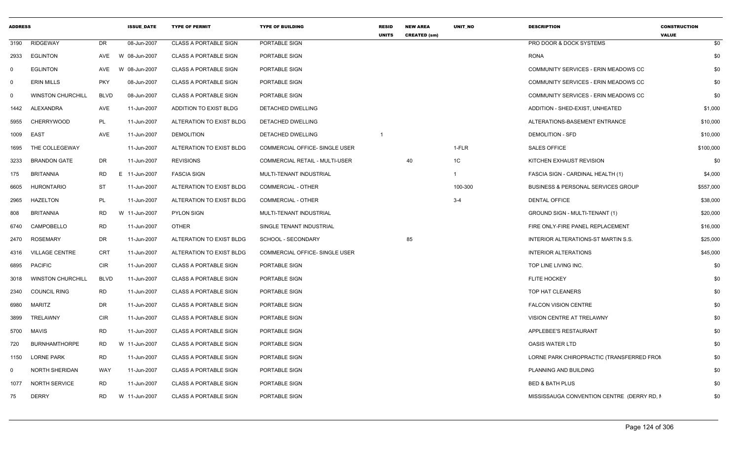| <b>ADDRESS</b> |                          |             | <b>ISSUE DATE</b> | <b>TYPE OF PERMIT</b>        | <b>TYPE OF BUILDING</b>        | <b>RESID</b><br><b>UNITS</b> | <b>NEW AREA</b><br><b>CREATED (sm)</b> | <b>UNIT NO</b> | <b>DESCRIPTION</b>                            | <b>CONSTRUCTION</b><br><b>VALUE</b> |
|----------------|--------------------------|-------------|-------------------|------------------------------|--------------------------------|------------------------------|----------------------------------------|----------------|-----------------------------------------------|-------------------------------------|
| 3190           | <b>RIDGEWAY</b>          | <b>DR</b>   | 08-Jun-2007       | <b>CLASS A PORTABLE SIGN</b> | PORTABLE SIGN                  |                              |                                        |                | PRO DOOR & DOCK SYSTEMS                       | \$0                                 |
| 2933           | <b>EGLINTON</b>          | AVE         | W 08-Jun-2007     | <b>CLASS A PORTABLE SIGN</b> | PORTABLE SIGN                  |                              |                                        |                | <b>RONA</b>                                   | \$0                                 |
| - 0            | <b>EGLINTON</b>          | AVE         | W 08-Jun-2007     | <b>CLASS A PORTABLE SIGN</b> | PORTABLE SIGN                  |                              |                                        |                | COMMUNITY SERVICES - ERIN MEADOWS CC          | \$0                                 |
| $\mathbf 0$    | <b>ERIN MILLS</b>        | <b>PKY</b>  | 08-Jun-2007       | <b>CLASS A PORTABLE SIGN</b> | PORTABLE SIGN                  |                              |                                        |                | COMMUNITY SERVICES - ERIN MEADOWS CC          | \$0                                 |
| $\mathbf 0$    | <b>WINSTON CHURCHILL</b> | <b>BLVD</b> | 08-Jun-2007       | <b>CLASS A PORTABLE SIGN</b> | PORTABLE SIGN                  |                              |                                        |                | COMMUNITY SERVICES - ERIN MEADOWS CC          | \$0                                 |
| 1442           | ALEXANDRA                | AVE         | 11-Jun-2007       | ADDITION TO EXIST BLDG       | DETACHED DWELLING              |                              |                                        |                | ADDITION - SHED-EXIST, UNHEATED               | \$1,000                             |
| 5955           | <b>CHERRYWOOD</b>        | PL          | 11-Jun-2007       | ALTERATION TO EXIST BLDG     | DETACHED DWELLING              |                              |                                        |                | ALTERATIONS-BASEMENT ENTRANCE                 | \$10,000                            |
| 1009           | EAST                     | <b>AVE</b>  | 11-Jun-2007       | <b>DEMOLITION</b>            | DETACHED DWELLING              | $\overline{\mathbf{1}}$      |                                        |                | <b>DEMOLITION - SFD</b>                       | \$10,000                            |
| 1695           | THE COLLEGEWAY           |             | 11-Jun-2007       | ALTERATION TO EXIST BLDG     | COMMERCIAL OFFICE- SINGLE USER |                              |                                        | 1-FLR          | <b>SALES OFFICE</b>                           | \$100,000                           |
| 3233           | <b>BRANDON GATE</b>      | DR          | 11-Jun-2007       | <b>REVISIONS</b>             | COMMERCIAL RETAIL - MULTI-USER |                              | 40                                     | 1C             | KITCHEN EXHAUST REVISION                      | \$0                                 |
| 175            | <b>BRITANNIA</b>         | <b>RD</b>   | E 11-Jun-2007     | <b>FASCIA SIGN</b>           | MULTI-TENANT INDUSTRIAL        |                              |                                        | $\mathbf{1}$   | FASCIA SIGN - CARDINAL HEALTH (1)             | \$4,000                             |
| 6605           | <b>HURONTARIO</b>        | <b>ST</b>   | 11-Jun-2007       | ALTERATION TO EXIST BLDG     | <b>COMMERCIAL - OTHER</b>      |                              |                                        | 100-300        | <b>BUSINESS &amp; PERSONAL SERVICES GROUP</b> | \$557,000                           |
| 2965           | <b>HAZELTON</b>          | PL          | 11-Jun-2007       | ALTERATION TO EXIST BLDG     | <b>COMMERCIAL - OTHER</b>      |                              |                                        | $3 - 4$        | <b>DENTAL OFFICE</b>                          | \$38,000                            |
| 808            | <b>BRITANNIA</b>         | <b>RD</b>   | W 11-Jun-2007     | <b>PYLON SIGN</b>            | MULTI-TENANT INDUSTRIAL        |                              |                                        |                | GROUND SIGN - MULTI-TENANT (1)                | \$20,000                            |
| 6740           | CAMPOBELLO               | <b>RD</b>   | 11-Jun-2007       | <b>OTHER</b>                 | SINGLE TENANT INDUSTRIAL       |                              |                                        |                | FIRE ONLY-FIRE PANEL REPLACEMENT              | \$16,000                            |
| 2470           | <b>ROSEMARY</b>          | DR          | 11-Jun-2007       | ALTERATION TO EXIST BLDG     | SCHOOL - SECONDARY             |                              | 85                                     |                | INTERIOR ALTERATIONS-ST MARTIN S.S.           | \$25,000                            |
| 4316           | <b>VILLAGE CENTRE</b>    | <b>CRT</b>  | 11-Jun-2007       | ALTERATION TO EXIST BLDG     | COMMERCIAL OFFICE- SINGLE USER |                              |                                        |                | <b>INTERIOR ALTERATIONS</b>                   | \$45,000                            |
| 6895           | <b>PACIFIC</b>           | <b>CIR</b>  | 11-Jun-2007       | <b>CLASS A PORTABLE SIGN</b> | PORTABLE SIGN                  |                              |                                        |                | TOP LINE LIVING INC.                          | \$0                                 |
| 3018           | <b>WINSTON CHURCHILL</b> | <b>BLVD</b> | 11-Jun-2007       | <b>CLASS A PORTABLE SIGN</b> | PORTABLE SIGN                  |                              |                                        |                | <b>FLITE HOCKEY</b>                           | \$0                                 |
| 2340           | <b>COUNCIL RING</b>      | <b>RD</b>   | 11-Jun-2007       | <b>CLASS A PORTABLE SIGN</b> | PORTABLE SIGN                  |                              |                                        |                | TOP HAT CLEANERS                              | \$0                                 |
| 6980           | <b>MARITZ</b>            | DR          | 11-Jun-2007       | <b>CLASS A PORTABLE SIGN</b> | PORTABLE SIGN                  |                              |                                        |                | <b>FALCON VISION CENTRE</b>                   | \$0                                 |
| 3899           | TRELAWNY                 | <b>CIR</b>  | 11-Jun-2007       | <b>CLASS A PORTABLE SIGN</b> | PORTABLE SIGN                  |                              |                                        |                | VISION CENTRE AT TRELAWNY                     | \$0                                 |
| 5700           | MAVIS                    | <b>RD</b>   | 11-Jun-2007       | <b>CLASS A PORTABLE SIGN</b> | PORTABLE SIGN                  |                              |                                        |                | APPLEBEE'S RESTAURANT                         | \$0                                 |
| 720            | <b>BURNHAMTHORPE</b>     | <b>RD</b>   | W 11-Jun-2007     | <b>CLASS A PORTABLE SIGN</b> | PORTABLE SIGN                  |                              |                                        |                | <b>OASIS WATER LTD</b>                        | \$0                                 |
| 1150           | <b>LORNE PARK</b>        | <b>RD</b>   | 11-Jun-2007       | <b>CLASS A PORTABLE SIGN</b> | PORTABLE SIGN                  |                              |                                        |                | LORNE PARK CHIROPRACTIC (TRANSFERRED FROM     | \$0                                 |
| $\Omega$       | <b>NORTH SHERIDAN</b>    | <b>WAY</b>  | 11-Jun-2007       | <b>CLASS A PORTABLE SIGN</b> | PORTABLE SIGN                  |                              |                                        |                | PLANNING AND BUILDING                         | \$0                                 |
| 1077           | <b>NORTH SERVICE</b>     | <b>RD</b>   | 11-Jun-2007       | <b>CLASS A PORTABLE SIGN</b> | PORTABLE SIGN                  |                              |                                        |                | <b>BED &amp; BATH PLUS</b>                    | \$0                                 |
| 75             | <b>DERRY</b>             | <b>RD</b>   | W 11-Jun-2007     | <b>CLASS A PORTABLE SIGN</b> | PORTABLE SIGN                  |                              |                                        |                | MISSISSAUGA CONVENTION CENTRE (DERRY RD, I    | \$0                                 |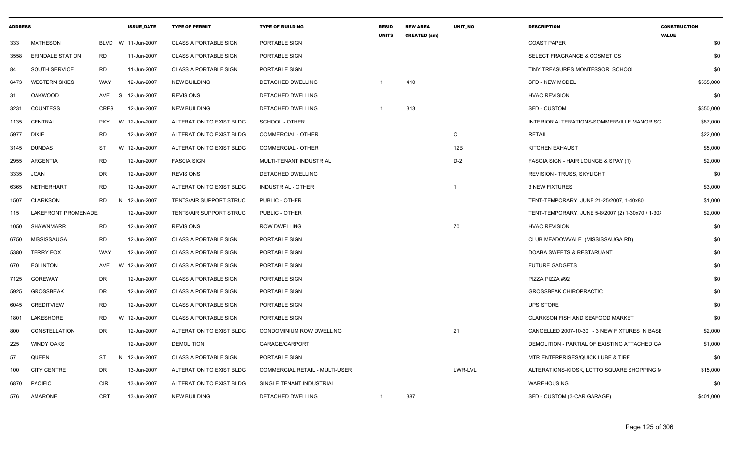| <b>ADDRESS</b> |                         |             | <b>ISSUE DATE</b> | <b>TYPE OF PERMIT</b>        | <b>TYPE OF BUILDING</b>               | <b>RESID</b><br><b>UNITS</b> | <b>NEW AREA</b><br><b>CREATED (sm)</b> | <b>UNIT NO</b> | <b>DESCRIPTION</b>                                | <b>CONSTRUCTION</b><br><b>VALUE</b> |
|----------------|-------------------------|-------------|-------------------|------------------------------|---------------------------------------|------------------------------|----------------------------------------|----------------|---------------------------------------------------|-------------------------------------|
| 333            | <b>MATHESON</b>         | <b>BLVD</b> | W 11-Jun-2007     | <b>CLASS A PORTABLE SIGN</b> | PORTABLE SIGN                         |                              |                                        |                | <b>COAST PAPER</b>                                | \$0                                 |
| 3558           | <b>ERINDALE STATION</b> | RD          | 11-Jun-2007       | <b>CLASS A PORTABLE SIGN</b> | <b>PORTABLE SIGN</b>                  |                              |                                        |                | <b>SELECT FRAGRANCE &amp; COSMETICS</b>           | \$0                                 |
| 84             | <b>SOUTH SERVICE</b>    | <b>RD</b>   | 11-Jun-2007       | <b>CLASS A PORTABLE SIGN</b> | PORTABLE SIGN                         |                              |                                        |                | TINY TREASURES MONTESSORI SCHOOL                  | \$0                                 |
| 6473           | <b>WESTERN SKIES</b>    | WAY         | 12-Jun-2007       | <b>NEW BUILDING</b>          | DETACHED DWELLING                     |                              | 410                                    |                | <b>SFD - NEW MODEL</b>                            | \$535,000                           |
| 31             | <b>OAKWOOD</b>          | AVE         | 12-Jun-2007<br>-S | <b>REVISIONS</b>             | DETACHED DWELLING                     |                              |                                        |                | <b>HVAC REVISION</b>                              | \$0                                 |
| 3231           | <b>COUNTESS</b>         | <b>CRES</b> | 12-Jun-2007       | <b>NEW BUILDING</b>          | DETACHED DWELLING                     |                              | 313                                    |                | <b>SFD - CUSTOM</b>                               | \$350,000                           |
| 1135           | CENTRAL                 | <b>PKY</b>  | 12-Jun-2007<br>W  | ALTERATION TO EXIST BLDG     | SCHOOL - OTHER                        |                              |                                        |                | INTERIOR ALTERATIONS-SOMMERVILLE MANOR SC         | \$87,000                            |
| 5977           | DIXIE                   | <b>RD</b>   | 12-Jun-2007       | ALTERATION TO EXIST BLDG     | <b>COMMERCIAL - OTHER</b>             |                              |                                        | C              | <b>RETAIL</b>                                     | \$22,000                            |
| 3145           | DUNDAS                  | ST          | W 12-Jun-2007     | ALTERATION TO EXIST BLDG     | COMMERCIAL - OTHER                    |                              |                                        | 12B            | KITCHEN EXHAUST                                   | \$5,000                             |
| 2955           | ARGENTIA                | <b>RD</b>   | 12-Jun-2007       | <b>FASCIA SIGN</b>           | MULTI-TENANT INDUSTRIAL               |                              |                                        | $D-2$          | FASCIA SIGN - HAIR LOUNGE & SPAY (1)              | \$2,000                             |
| 3335           | <b>JOAN</b>             | DR          | 12-Jun-2007       | <b>REVISIONS</b>             | DETACHED DWELLING                     |                              |                                        |                | <b>REVISION - TRUSS, SKYLIGHT</b>                 | \$0                                 |
| 6365           | NETHERHART              | RD          | 12-Jun-2007       | ALTERATION TO EXIST BLDG     | <b>INDUSTRIAL - OTHER</b>             |                              |                                        | -1             | <b>3 NEW FIXTURES</b>                             | \$3,000                             |
| 1507           | <b>CLARKSON</b>         | <b>RD</b>   | N 12-Jun-2007     | TENTS/AIR SUPPORT STRUC      | PUBLIC - OTHER                        |                              |                                        |                | TENT-TEMPORARY, JUNE 21-25/2007, 1-40x80          | \$1,000                             |
| 115            | LAKEFRONT PROMENADE     |             | 12-Jun-2007       | TENTS/AIR SUPPORT STRUC      | PUBLIC - OTHER                        |                              |                                        |                | TENT-TEMPORARY, JUNE 5-8/2007 (2) 1-30x70 / 1-30) | \$2,000                             |
| 1050           | SHAWNMARR               | RD          | 12-Jun-2007       | <b>REVISIONS</b>             | <b>ROW DWELLING</b>                   |                              |                                        | 70             | <b>HVAC REVISION</b>                              | \$0                                 |
| 6750           | MISSISSAUGA             | <b>RD</b>   | 12-Jun-2007       | <b>CLASS A PORTABLE SIGN</b> | PORTABLE SIGN                         |                              |                                        |                | CLUB MEADOWVALE (MISSISSAUGA RD)                  | \$0                                 |
| 5380           | <b>TERRY FOX</b>        | WAY         | 12-Jun-2007       | <b>CLASS A PORTABLE SIGN</b> | PORTABLE SIGN                         |                              |                                        |                | DOABA SWEETS & RESTARUANT                         | \$0                                 |
| 670            | <b>EGLINTON</b>         | AVE         | 12-Jun-2007<br>W. | <b>CLASS A PORTABLE SIGN</b> | PORTABLE SIGN                         |                              |                                        |                | <b>FUTURE GADGETS</b>                             | \$0                                 |
| 7125           | <b>GOREWAY</b>          | DR          | 12-Jun-2007       | <b>CLASS A PORTABLE SIGN</b> | <b>PORTABLE SIGN</b>                  |                              |                                        |                | PIZZA PIZZA #92                                   | \$0                                 |
| 5925           | <b>GROSSBEAK</b>        | DR          | 12-Jun-2007       | <b>CLASS A PORTABLE SIGN</b> | PORTABLE SIGN                         |                              |                                        |                | <b>GROSSBEAK CHIROPRACTIC</b>                     | \$0                                 |
| 6045           | <b>CREDITVIEW</b>       | <b>RD</b>   | 12-Jun-2007       | <b>CLASS A PORTABLE SIGN</b> | PORTABLE SIGN                         |                              |                                        |                | <b>UPS STORE</b>                                  | \$0                                 |
| 1801           | LAKESHORE               | <b>RD</b>   | W 12-Jun-2007     | <b>CLASS A PORTABLE SIGN</b> | PORTABLE SIGN                         |                              |                                        |                | CLARKSON FISH AND SEAFOOD MARKET                  | \$0                                 |
| 800            | CONSTELLATION           | <b>DR</b>   | 12-Jun-2007       | ALTERATION TO EXIST BLDG     | CONDOMINIUM ROW DWELLING              |                              |                                        | 21             | CANCELLED 2007-10-30 - 3 NEW FIXTURES IN BASE     | \$2,000                             |
| 225            | <b>WINDY OAKS</b>       |             | 12-Jun-2007       | <b>DEMOLITION</b>            | GARAGE/CARPORT                        |                              |                                        |                | DEMOLITION - PARTIAL OF EXISTING ATTACHED GA      | \$1,000                             |
| 57             | QUEEN                   | ST          | N<br>12-Jun-2007  | <b>CLASS A PORTABLE SIGN</b> | PORTABLE SIGN                         |                              |                                        |                | MTR ENTERPRISES/QUICK LUBE & TIRE                 | \$0                                 |
| 100            | <b>CITY CENTRE</b>      | DR          | 13-Jun-2007       | ALTERATION TO EXIST BLDG     | <b>COMMERCIAL RETAIL - MULTI-USER</b> |                              |                                        | LWR-LVL        | ALTERATIONS-KIOSK, LOTTO SQUARE SHOPPING M        | \$15,000                            |
| 6870           | <b>PACIFIC</b>          | <b>CIR</b>  | 13-Jun-2007       | ALTERATION TO EXIST BLDG     | SINGLE TENANT INDUSTRIAL              |                              |                                        |                | WAREHOUSING                                       | \$0                                 |
| 576            | AMARONE                 | <b>CRT</b>  | 13-Jun-2007       | <b>NEW BUILDING</b>          | DETACHED DWELLING                     | 1                            | 387                                    |                | SFD - CUSTOM (3-CAR GARAGE)                       | \$401,000                           |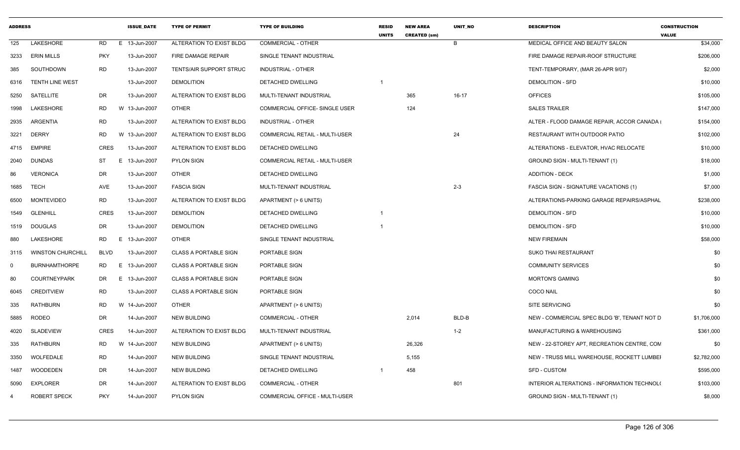| <b>ADDRESS</b> |                          |             | <b>ISSUE DATE</b> | <b>TYPE OF PERMIT</b>        | <b>TYPE OF BUILDING</b>               | <b>RESID</b><br><b>UNITS</b> | <b>NEW AREA</b><br><b>CREATED (sm)</b> | <b>UNIT NO</b> | <b>DESCRIPTION</b>                           | <b>CONSTRUCTION</b><br><b>VALUE</b> |
|----------------|--------------------------|-------------|-------------------|------------------------------|---------------------------------------|------------------------------|----------------------------------------|----------------|----------------------------------------------|-------------------------------------|
| 125            | LAKESHORE                | RD          | E 13-Jun-2007     | ALTERATION TO EXIST BLDG     | <b>COMMERCIAL - OTHER</b>             |                              |                                        | B              | MEDICAL OFFICE AND BEAUTY SALON              | \$34,000                            |
| 3233           | <b>ERIN MILLS</b>        | <b>PKY</b>  | 13-Jun-2007       | FIRE DAMAGE REPAIR           | SINGLE TENANT INDUSTRIAL              |                              |                                        |                | FIRE DAMAGE REPAIR-ROOF STRUCTURE            | \$206,000                           |
| 385            | SOUTHDOWN                | RD          | 13-Jun-2007       | TENTS/AIR SUPPORT STRUC      | <b>INDUSTRIAL - OTHER</b>             |                              |                                        |                | TENT-TEMPORARY, (MAR 26-APR 9/07)            | \$2,000                             |
| 6316           | <b>TENTH LINE WEST</b>   |             | 13-Jun-2007       | <b>DEMOLITION</b>            | DETACHED DWELLING                     |                              |                                        |                | <b>DEMOLITION - SFD</b>                      | \$10,000                            |
| 5250           | <b>SATELLITE</b>         | DR.         | 13-Jun-2007       | ALTERATION TO EXIST BLDG     | MULTI-TENANT INDUSTRIAL               |                              | 365                                    | $16-17$        | <b>OFFICES</b>                               | \$105,000                           |
| 1998           | LAKESHORE                | RD          | W 13-Jun-2007     | OTHER                        | COMMERCIAL OFFICE- SINGLE USER        |                              | 124                                    |                | <b>SALES TRAILER</b>                         | \$147,000                           |
| 2935           | ARGENTIA                 | <b>RD</b>   | 13-Jun-2007       | ALTERATION TO EXIST BLDG     | <b>INDUSTRIAL - OTHER</b>             |                              |                                        |                | ALTER - FLOOD DAMAGE REPAIR, ACCOR CANADA    | \$154,000                           |
| 3221           | <b>DERRY</b>             | RD          | W 13-Jun-2007     | ALTERATION TO EXIST BLDG     | <b>COMMERCIAL RETAIL - MULTI-USER</b> |                              |                                        | 24             | RESTAURANT WITH OUTDOOR PATIO                | \$102,000                           |
| 4715           | <b>EMPIRE</b>            | <b>CRES</b> | 13-Jun-2007       | ALTERATION TO EXIST BLDG     | DETACHED DWELLING                     |                              |                                        |                | ALTERATIONS - ELEVATOR, HVAC RELOCATE        | \$10,000                            |
| 2040           | <b>DUNDAS</b>            | ST          | 13-Jun-2007<br>E. | <b>PYLON SIGN</b>            | <b>COMMERCIAL RETAIL - MULTI-USER</b> |                              |                                        |                | GROUND SIGN - MULTI-TENANT (1)               | \$18,000                            |
| 86             | <b>VERONICA</b>          | DR          | 13-Jun-2007       | <b>OTHER</b>                 | DETACHED DWELLING                     |                              |                                        |                | <b>ADDITION - DECK</b>                       | \$1,000                             |
| 1685           | <b>TECH</b>              | AVE         | 13-Jun-2007       | <b>FASCIA SIGN</b>           | MULTI-TENANT INDUSTRIAL               |                              |                                        | $2 - 3$        | FASCIA SIGN - SIGNATURE VACATIONS (1)        | \$7,000                             |
| 6500           | <b>MONTEVIDEO</b>        | <b>RD</b>   | 13-Jun-2007       | ALTERATION TO EXIST BLDG     | APARTMENT (> 6 UNITS)                 |                              |                                        |                | ALTERATIONS-PARKING GARAGE REPAIRS/ASPHAL    | \$238,000                           |
| 1549           | <b>GLENHILL</b>          | <b>CRES</b> | 13-Jun-2007       | <b>DEMOLITION</b>            | DETACHED DWELLING                     |                              |                                        |                | <b>DEMOLITION - SFD</b>                      | \$10,000                            |
| 1519           | <b>DOUGLAS</b>           | DR.         | 13-Jun-2007       | <b>DEMOLITION</b>            | DETACHED DWELLING                     |                              |                                        |                | <b>DEMOLITION - SFD</b>                      | \$10,000                            |
| 880            | LAKESHORE                | <b>RD</b>   | E.<br>13-Jun-2007 | <b>OTHER</b>                 | SINGLE TENANT INDUSTRIAL              |                              |                                        |                | <b>NEW FIREMAIN</b>                          | \$58,000                            |
| 3115           | <b>WINSTON CHURCHILL</b> | <b>BLVD</b> | 13-Jun-2007       | <b>CLASS A PORTABLE SIGN</b> | PORTABLE SIGN                         |                              |                                        |                | <b>SUKO THAI RESTAURANT</b>                  | \$0                                 |
| $\Omega$       | <b>BURNHAMTHORPE</b>     | <b>RD</b>   | E 13-Jun-2007     | <b>CLASS A PORTABLE SIGN</b> | PORTABLE SIGN                         |                              |                                        |                | <b>COMMUNITY SERVICES</b>                    | \$0                                 |
| 80             | <b>COURTNEYPARK</b>      | DR          | E 13-Jun-2007     | <b>CLASS A PORTABLE SIGN</b> | PORTABLE SIGN                         |                              |                                        |                | <b>MORTON'S GAMING</b>                       | \$0                                 |
| 6045           | <b>CREDITVIEW</b>        | <b>RD</b>   | 13-Jun-2007       | <b>CLASS A PORTABLE SIGN</b> | PORTABLE SIGN                         |                              |                                        |                | <b>COCO NAIL</b>                             | \$0                                 |
| 335            | <b>RATHBURN</b>          | RD          | W 14-Jun-2007     | OTHER                        | APARTMENT (> 6 UNITS)                 |                              |                                        |                | <b>SITE SERVICING</b>                        | \$0                                 |
| 5885           | RODEO                    | DR.         | 14-Jun-2007       | <b>NEW BUILDING</b>          | <b>COMMERCIAL - OTHER</b>             |                              | 2,014                                  | BLD-B          | NEW - COMMERCIAL SPEC BLDG 'B', TENANT NOT D | \$1,706,000                         |
| 4020           | <b>SLADEVIEW</b>         | <b>CRES</b> | 14-Jun-2007       | ALTERATION TO EXIST BLDG     | MULTI-TENANT INDUSTRIAL               |                              |                                        | $1 - 2$        | MANUFACTURING & WAREHOUSING                  | \$361,000                           |
| 335            | <b>RATHBURN</b>          | RD          | W 14-Jun-2007     | <b>NEW BUILDING</b>          | APARTMENT (> 6 UNITS)                 |                              | 26,326                                 |                | NEW - 22-STOREY APT, RECREATION CENTRE, CON  | \$0                                 |
| 3350           | WOLFEDALE                | <b>RD</b>   | 14-Jun-2007       | <b>NEW BUILDING</b>          | SINGLE TENANT INDUSTRIAL              |                              | 5,155                                  |                | NEW - TRUSS MILL WAREHOUSE, ROCKETT LUMBEI   | \$2,782,000                         |
| 1487           | WOODEDEN                 | DR          | 14-Jun-2007       | <b>NEW BUILDING</b>          | DETACHED DWELLING                     |                              | 458                                    |                | <b>SFD - CUSTOM</b>                          | \$595,000                           |
| 5090           | <b>EXPLORER</b>          | DR.         | 14-Jun-2007       | ALTERATION TO EXIST BLDG     | <b>COMMERCIAL - OTHER</b>             |                              |                                        | 801            | INTERIOR ALTERATIONS - INFORMATION TECHNOL(  | \$103,000                           |
| 4              | <b>ROBERT SPECK</b>      | <b>PKY</b>  | 14-Jun-2007       | <b>PYLON SIGN</b>            | COMMERCIAL OFFICE - MULTI-USER        |                              |                                        |                | GROUND SIGN - MULTI-TENANT (1)               | \$8,000                             |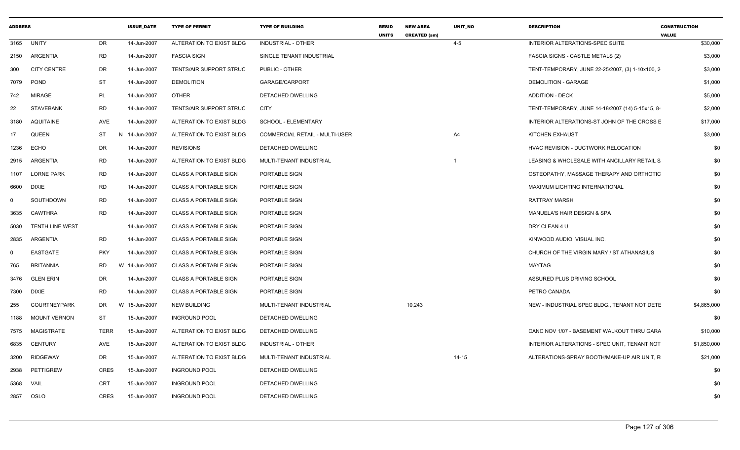| <b>ADDRESS</b> |                        |             | <b>ISSUE DATE</b> | <b>TYPE OF PERMIT</b>        | <b>TYPE OF BUILDING</b>               | <b>RESID</b><br><b>UNITS</b> | <b>NEW AREA</b><br><b>CREATED (sm)</b> | <b>UNIT NO</b> | <b>DESCRIPTION</b>                               | <b>CONSTRUCTION</b><br><b>VALUE</b> |
|----------------|------------------------|-------------|-------------------|------------------------------|---------------------------------------|------------------------------|----------------------------------------|----------------|--------------------------------------------------|-------------------------------------|
| 3165           | <b>UNITY</b>           | DR          | 14-Jun-2007       | ALTERATION TO EXIST BLDG     | <b>INDUSTRIAL - OTHER</b>             |                              |                                        | $4 - 5$        | INTERIOR ALTERATIONS-SPEC SUITE                  | \$30,000                            |
| 2150           | ARGENTIA               | <b>RD</b>   | 14-Jun-2007       | <b>FASCIA SIGN</b>           | SINGLE TENANT INDUSTRIAL              |                              |                                        |                | <b>FASCIA SIGNS - CASTLE METALS (2)</b>          | \$3,000                             |
| 300            | <b>CITY CENTRE</b>     | DR          | 14-Jun-2007       | TENTS/AIR SUPPORT STRUC      | PUBLIC - OTHER                        |                              |                                        |                | TENT-TEMPORARY, JUNE 22-25/2007, (3) 1-10x100, 2 | \$3,000                             |
| 7079           | POND                   | <b>ST</b>   | 14-Jun-2007       | <b>DEMOLITION</b>            | GARAGE/CARPORT                        |                              |                                        |                | <b>DEMOLITION - GARAGE</b>                       | \$1,000                             |
| 742            | <b>MIRAGE</b>          | PL          | 14-Jun-2007       | <b>OTHER</b>                 | DETACHED DWELLING                     |                              |                                        |                | <b>ADDITION - DECK</b>                           | \$5,000                             |
| 22             | <b>STAVEBANK</b>       | <b>RD</b>   | 14-Jun-2007       | TENTS/AIR SUPPORT STRUC      | CITY                                  |                              |                                        |                | TENT-TEMPORARY, JUNE 14-18/2007 (14) 5-15x15, 8- | \$2,000                             |
| 3180           | AQUITAINE              | AVE         | 14-Jun-2007       | ALTERATION TO EXIST BLDG     | SCHOOL - ELEMENTARY                   |                              |                                        |                | INTERIOR ALTERATIONS-ST JOHN OF THE CROSS E      | \$17,000                            |
| 17             | <b>QUEEN</b>           | ST          | N<br>14-Jun-2007  | ALTERATION TO EXIST BLDG     | <b>COMMERCIAL RETAIL - MULTI-USER</b> |                              |                                        | A4             | KITCHEN EXHAUST                                  | \$3,000                             |
| 1236           | ECHO                   | DR          | 14-Jun-2007       | <b>REVISIONS</b>             | <b>DETACHED DWELLING</b>              |                              |                                        |                | HVAC REVISION - DUCTWORK RELOCATION              | \$0                                 |
| 2915           | ARGENTIA               | RD.         | 14-Jun-2007       | ALTERATION TO EXIST BLDG     | MULTI-TENANT INDUSTRIAL               |                              |                                        | $\mathbf 1$    | LEASING & WHOLESALE WITH ANCILLARY RETAIL S      | \$0                                 |
| 1107           | <b>LORNE PARK</b>      | RD          | 14-Jun-2007       | <b>CLASS A PORTABLE SIGN</b> | PORTABLE SIGN                         |                              |                                        |                | OSTEOPATHY, MASSAGE THERAPY AND ORTHOTIC         | \$0                                 |
| 6600           | <b>DIXIE</b>           | <b>RD</b>   | 14-Jun-2007       | <b>CLASS A PORTABLE SIGN</b> | PORTABLE SIGN                         |                              |                                        |                | MAXIMUM LIGHTING INTERNATIONAL                   | \$0                                 |
| $\mathbf 0$    | SOUTHDOWN              | <b>RD</b>   | 14-Jun-2007       | <b>CLASS A PORTABLE SIGN</b> | PORTABLE SIGN                         |                              |                                        |                | RATTRAY MARSH                                    | \$0                                 |
| 3635           | CAWTHRA                | <b>RD</b>   | 14-Jun-2007       | <b>CLASS A PORTABLE SIGN</b> | PORTABLE SIGN                         |                              |                                        |                | MANUELA'S HAIR DESIGN & SPA                      | \$0                                 |
| 5030           | <b>TENTH LINE WEST</b> |             | 14-Jun-2007       | <b>CLASS A PORTABLE SIGN</b> | PORTABLE SIGN                         |                              |                                        |                | DRY CLEAN 4 U                                    | \$0                                 |
| 2835           | ARGENTIA               | RD          | 14-Jun-2007       | <b>CLASS A PORTABLE SIGN</b> | PORTABLE SIGN                         |                              |                                        |                | KINWOOD AUDIO VISUAL INC.                        | \$0                                 |
| $\mathbf 0$    | <b>EASTGATE</b>        | <b>PKY</b>  | 14-Jun-2007       | <b>CLASS A PORTABLE SIGN</b> | PORTABLE SIGN                         |                              |                                        |                | CHURCH OF THE VIRGIN MARY / ST ATHANASIUS        | \$0                                 |
| 765            | <b>BRITANNIA</b>       | <b>RD</b>   | W<br>14-Jun-2007  | <b>CLASS A PORTABLE SIGN</b> | PORTABLE SIGN                         |                              |                                        |                | MAYTAG                                           | \$0                                 |
| 3476           | <b>GLEN ERIN</b>       | DR          | 14-Jun-2007       | <b>CLASS A PORTABLE SIGN</b> | PORTABLE SIGN                         |                              |                                        |                | ASSURED PLUS DRIVING SCHOOL                      | \$0                                 |
| 7300           | DIXIE                  | RD.         | 14-Jun-2007       | <b>CLASS A PORTABLE SIGN</b> | PORTABLE SIGN                         |                              |                                        |                | PETRO CANADA                                     | \$0                                 |
| 255            | <b>COURTNEYPARK</b>    | DR          | W 15-Jun-2007     | <b>NEW BUILDING</b>          | MULTI-TENANT INDUSTRIAL               |                              | 10,243                                 |                | NEW - INDUSTRIAL SPEC BLDG., TENANT NOT DETE     | \$4,865,000                         |
| 1188           | <b>MOUNT VERNON</b>    | ST          | 15-Jun-2007       | <b>INGROUND POOL</b>         | DETACHED DWELLING                     |                              |                                        |                |                                                  | \$0                                 |
| 7575           | MAGISTRATE             | <b>TERR</b> | 15-Jun-2007       | ALTERATION TO EXIST BLDG     | DETACHED DWELLING                     |                              |                                        |                | CANC NOV 1/07 - BASEMENT WALKOUT THRU GARA       | \$10,000                            |
| 6835           | CENTURY                | AVE         | 15-Jun-2007       | ALTERATION TO EXIST BLDG     | INDUSTRIAL - OTHER                    |                              |                                        |                | INTERIOR ALTERATIONS - SPEC UNIT, TENANT NOT     | \$1,850,000                         |
| 3200           | <b>RIDGEWAY</b>        | DR          | 15-Jun-2007       | ALTERATION TO EXIST BLDG     | MULTI-TENANT INDUSTRIAL               |                              |                                        | $14 - 15$      | ALTERATIONS-SPRAY BOOTH/MAKE-UP AIR UNIT, R      | \$21,000                            |
| 2938           | <b>PETTIGREW</b>       | <b>CRES</b> | 15-Jun-2007       | <b>INGROUND POOL</b>         | DETACHED DWELLING                     |                              |                                        |                |                                                  | \$0                                 |
| 5368           | <b>VAIL</b>            | CRT         | 15-Jun-2007       | <b>INGROUND POOL</b>         | <b>DETACHED DWELLING</b>              |                              |                                        |                |                                                  | \$0                                 |
| 2857           | OSLO                   | <b>CRES</b> | 15-Jun-2007       | <b>INGROUND POOL</b>         | DETACHED DWELLING                     |                              |                                        |                |                                                  | \$0                                 |
|                |                        |             |                   |                              |                                       |                              |                                        |                |                                                  |                                     |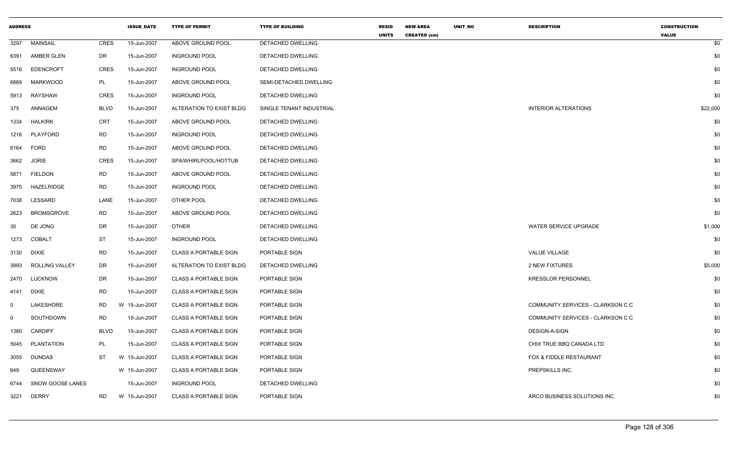| <b>ADDRESS</b> |                       |             | <b>ISSUE_DATE</b> | <b>TYPE OF PERMIT</b>        | <b>TYPE OF BUILDING</b>  | <b>RESID</b><br><b>UNITS</b> | <b>NEW AREA</b><br><b>CREATED (sm)</b> | UNIT_NO | <b>DESCRIPTION</b>                | <b>CONSTRUCTION</b><br><b>VALUE</b> |
|----------------|-----------------------|-------------|-------------------|------------------------------|--------------------------|------------------------------|----------------------------------------|---------|-----------------------------------|-------------------------------------|
| 3297           | <b>MAINSAIL</b>       | <b>CRES</b> | 15-Jun-2007       | ABOVE GROUND POOL            | DETACHED DWELLING        |                              |                                        |         |                                   | \$0                                 |
| 6391           | AMBER GLEN            | DR          | 15-Jun-2007       | <b>INGROUND POOL</b>         | DETACHED DWELLING        |                              |                                        |         |                                   | \$0                                 |
| 5516           | <b>EDENCROFT</b>      | <b>CRES</b> | 15-Jun-2007       | <b>INGROUND POOL</b>         | DETACHED DWELLING        |                              |                                        |         |                                   | \$0                                 |
| 6869           | <b>MARKWOOD</b>       | PL          | 15-Jun-2007       | ABOVE GROUND POOL            | SEMI-DETACHED DWELLING   |                              |                                        |         |                                   | \$0                                 |
| 5913           | RAYSHAW               | CRES        | 15-Jun-2007       | <b>INGROUND POOL</b>         | DETACHED DWELLING        |                              |                                        |         |                                   | \$0                                 |
| 375            | ANNAGEM               | <b>BLVD</b> | 15-Jun-2007       | ALTERATION TO EXIST BLDG     | SINGLE TENANT INDUSTRIAL |                              |                                        |         | <b>INTERIOR ALTERATIONS</b>       | \$22,000                            |
| 1334           | <b>HALKIRK</b>        | CRT         | 15-Jun-2007       | ABOVE GROUND POOL            | DETACHED DWELLING        |                              |                                        |         |                                   | \$0                                 |
| 1216           | PLAYFORD              | <b>RD</b>   | 15-Jun-2007       | <b>INGROUND POOL</b>         | DETACHED DWELLING        |                              |                                        |         |                                   | \$0                                 |
| 6164           | FORD                  | <b>RD</b>   | 15-Jun-2007       | ABOVE GROUND POOL            | DETACHED DWELLING        |                              |                                        |         |                                   | \$0                                 |
| 3662           | <b>JORIE</b>          | <b>CRES</b> | 15-Jun-2007       | SPA/WHIRLPOOL/HOTTUB         | DETACHED DWELLING        |                              |                                        |         |                                   | \$0                                 |
| 5871           | <b>FIELDON</b>        | <b>RD</b>   | 15-Jun-2007       | ABOVE GROUND POOL            | DETACHED DWELLING        |                              |                                        |         |                                   | \$0                                 |
| 3975           | <b>HAZELRIDGE</b>     | <b>RD</b>   | 15-Jun-2007       | <b>INGROUND POOL</b>         | DETACHED DWELLING        |                              |                                        |         |                                   | \$0                                 |
| 7038           | LESSARD               | LANE        | 15-Jun-2007       | OTHER POOL                   | DETACHED DWELLING        |                              |                                        |         |                                   | \$0                                 |
| 2623           | <b>BROMSGROVE</b>     | <b>RD</b>   | 15-Jun-2007       | ABOVE GROUND POOL            | DETACHED DWELLING        |                              |                                        |         |                                   | \$0                                 |
| 35             | DE JONG               | DR          | 15-Jun-2007       | <b>OTHER</b>                 | DETACHED DWELLING        |                              |                                        |         | WATER SERVICE UPGRADE             | \$1,000                             |
| 1273           | <b>COBALT</b>         | <b>ST</b>   | 15-Jun-2007       | <b>INGROUND POOL</b>         | DETACHED DWELLING        |                              |                                        |         |                                   | \$0                                 |
| 3130           | <b>DIXIE</b>          | RD          | 15-Jun-2007       | <b>CLASS A PORTABLE SIGN</b> | PORTABLE SIGN            |                              |                                        |         | <b>VALUE VILLAGE</b>              | \$0                                 |
| 3993           | <b>ROLLING VALLEY</b> | DR          | 15-Jun-2007       | ALTERATION TO EXIST BLDG     | DETACHED DWELLING        |                              |                                        |         | 2 NEW FIXTURES                    | \$5,000                             |
| 2470           | <b>LUCKNOW</b>        | DR          | 15-Jun-2007       | <b>CLASS A PORTABLE SIGN</b> | PORTABLE SIGN            |                              |                                        |         | <b>KRESSLOR PERSONNEL</b>         | \$0                                 |
| 4141           | <b>DIXIE</b>          | <b>RD</b>   | 15-Jun-2007       | <b>CLASS A PORTABLE SIGN</b> | PORTABLE SIGN            |                              |                                        |         |                                   | \$0                                 |
| $\mathbf 0$    | LAKESHORE             | RD          | W 15-Jun-2007     | <b>CLASS A PORTABLE SIGN</b> | PORTABLE SIGN            |                              |                                        |         | COMMUNITY SERVICES - CLARKSON C C | \$0                                 |
| $\mathbf{0}$   | SOUTHDOWN             | <b>RD</b>   | 15-Jun-2007       | <b>CLASS A PORTABLE SIGN</b> | PORTABLE SIGN            |                              |                                        |         | COMMUNITY SERVICES - CLARKSON C C | \$0                                 |
| 1380           | <b>CARDIFF</b>        | <b>BLVD</b> | 15-Jun-2007       | <b>CLASS A PORTABLE SIGN</b> | PORTABLE SIGN            |                              |                                        |         | DESIGN-A-SIGN                     | \$0                                 |
| 5045           | PLANTATION            | PL          | 15-Jun-2007       | <b>CLASS A PORTABLE SIGN</b> | PORTABLE SIGN            |                              |                                        |         | CHIX TRUE BBQ CANADA LTD          | \$0                                 |
| 3055           | <b>DUNDAS</b>         | ST          | W 15-Jun-2007     | <b>CLASS A PORTABLE SIGN</b> | PORTABLE SIGN            |                              |                                        |         | FOX & FIDDLE RESTAURANT           | \$0                                 |
| 649            | QUEENSWAY             |             | W 15-Jun-2007     | <b>CLASS A PORTABLE SIGN</b> | PORTABLE SIGN            |                              |                                        |         | PREPSKILLS INC.                   | \$0                                 |
| 6744           | SNOW GOOSE LANES      |             | 15-Jun-2007       | <b>INGROUND POOL</b>         | DETACHED DWELLING        |                              |                                        |         |                                   | \$0                                 |
| 3221           | <b>DERRY</b>          | <b>RD</b>   | W 15-Jun-2007     | <b>CLASS A PORTABLE SIGN</b> | PORTABLE SIGN            |                              |                                        |         | ARCO BUSINESS SOLUTIONS INC.      | \$0                                 |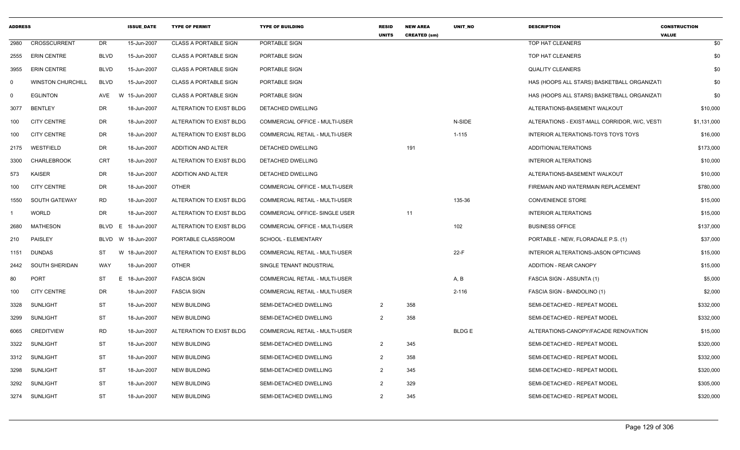| <b>ADDRESS</b> |                          |             | <b>ISSUE DATE</b> | <b>TYPE OF PERMIT</b>        | <b>TYPE OF BUILDING</b>               | <b>RESID</b><br><b>UNITS</b> | <b>NEW AREA</b><br><b>CREATED (sm)</b> | UNIT_NO      | <b>DESCRIPTION</b>                           | <b>CONSTRUCTION</b><br><b>VALUE</b> |
|----------------|--------------------------|-------------|-------------------|------------------------------|---------------------------------------|------------------------------|----------------------------------------|--------------|----------------------------------------------|-------------------------------------|
| 2980           | CROSSCURRENT             | <b>DR</b>   | 15-Jun-2007       | <b>CLASS A PORTABLE SIGN</b> | PORTABLE SIGN                         |                              |                                        |              | TOP HAT CLEANERS                             | \$0                                 |
| 2555           | <b>ERIN CENTRE</b>       | <b>BLVD</b> | 15-Jun-2007       | <b>CLASS A PORTABLE SIGN</b> | PORTABLE SIGN                         |                              |                                        |              | TOP HAT CLEANERS                             | \$0                                 |
| 3955           | <b>ERIN CENTRE</b>       | <b>BLVD</b> | 15-Jun-2007       | <b>CLASS A PORTABLE SIGN</b> | PORTABLE SIGN                         |                              |                                        |              | <b>QUALITY CLEANERS</b>                      | \$0                                 |
| 0              | <b>WINSTON CHURCHILL</b> | <b>BLVD</b> | 15-Jun-2007       | <b>CLASS A PORTABLE SIGN</b> | PORTABLE SIGN                         |                              |                                        |              | HAS (HOOPS ALL STARS) BASKETBALL ORGANIZATI  | \$0                                 |
| $\Omega$       | <b>EGLINTON</b>          | AVE         | W 15-Jun-2007     | <b>CLASS A PORTABLE SIGN</b> | PORTABLE SIGN                         |                              |                                        |              | HAS (HOOPS ALL STARS) BASKETBALL ORGANIZATI  | \$0                                 |
| 3077           | <b>BENTLEY</b>           | <b>DR</b>   | 18-Jun-2007       | ALTERATION TO EXIST BLDG     | DETACHED DWELLING                     |                              |                                        |              | ALTERATIONS-BASEMENT WALKOUT                 | \$10,000                            |
| 100            | <b>CITY CENTRE</b>       | <b>DR</b>   | 18-Jun-2007       | ALTERATION TO EXIST BLDG     | COMMERCIAL OFFICE - MULTI-USER        |                              |                                        | N-SIDE       | ALTERATIONS - EXIST-MALL CORRIDOR, W/C, VEST | \$1,131,000                         |
| 100            | <b>CITY CENTRE</b>       | DR          | 18-Jun-2007       | ALTERATION TO EXIST BLDG     | COMMERCIAL RETAIL - MULTI-USER        |                              |                                        | $1 - 115$    | INTERIOR ALTERATIONS-TOYS TOYS TOYS          | \$16,000                            |
| 2175           | WESTFIELD                | <b>DR</b>   | 18-Jun-2007       | <b>ADDITION AND ALTER</b>    | <b>DETACHED DWELLING</b>              |                              | 191                                    |              | ADDITION/ALTERATIONS                         | \$173,000                           |
| 3300           | <b>CHARLEBROOK</b>       | <b>CRT</b>  | 18-Jun-2007       | ALTERATION TO EXIST BLDG     | <b>DETACHED DWELLING</b>              |                              |                                        |              | <b>INTERIOR ALTERATIONS</b>                  | \$10,000                            |
| 573            | KAISER                   | DR          | 18-Jun-2007       | ADDITION AND ALTER           | DETACHED DWELLING                     |                              |                                        |              | ALTERATIONS-BASEMENT WALKOUT                 | \$10,000                            |
| 100            | <b>CITY CENTRE</b>       | DR          | 18-Jun-2007       | <b>OTHER</b>                 | <b>COMMERCIAL OFFICE - MULTI-USER</b> |                              |                                        |              | FIREMAIN AND WATERMAIN REPLACEMENT           | \$780,000                           |
| 1550           | SOUTH GATEWAY            | <b>RD</b>   | 18-Jun-2007       | ALTERATION TO EXIST BLDG     | COMMERCIAL RETAIL - MULTI-USER        |                              |                                        | 135-36       | <b>CONVENIENCE STORE</b>                     | \$15,000                            |
|                | <b>WORLD</b>             | <b>DR</b>   | 18-Jun-2007       | ALTERATION TO EXIST BLDG     | COMMERCIAL OFFICE- SINGLE USER        |                              | 11                                     |              | <b>INTERIOR ALTERATIONS</b>                  | \$15,000                            |
| 2680           | <b>MATHESON</b>          | <b>BLVD</b> | E<br>18-Jun-2007  | ALTERATION TO EXIST BLDG     | COMMERCIAL OFFICE - MULTI-USER        |                              |                                        | 102          | <b>BUSINESS OFFICE</b>                       | \$137,000                           |
| 210            | PAISLEY                  | BLVD        | W 18-Jun-2007     | PORTABLE CLASSROOM           | SCHOOL - ELEMENTARY                   |                              |                                        |              | PORTABLE - NEW, FLORADALE P.S. (1)           | \$37,000                            |
| 1151           | <b>DUNDAS</b>            | ST          | W 18-Jun-2007     | ALTERATION TO EXIST BLDG     | COMMERCIAL RETAIL - MULTI-USER        |                              |                                        | $22-F$       | INTERIOR ALTERATIONS-JASON OPTICIANS         | \$15,000                            |
| 2442           | SOUTH SHERIDAN           | WAY         | 18-Jun-2007       | <b>OTHER</b>                 | SINGLE TENANT INDUSTRIAL              |                              |                                        |              | ADDITION - REAR CANOPY                       | \$15,000                            |
| 80             | <b>PORT</b>              | <b>ST</b>   | E.<br>18-Jun-2007 | <b>FASCIA SIGN</b>           | COMMERCIAL RETAIL - MULTI-USER        |                              |                                        | A, B         | FASCIA SIGN - ASSUNTA (1)                    | \$5,000                             |
| 100            | <b>CITY CENTRE</b>       | DR          | 18-Jun-2007       | <b>FASCIA SIGN</b>           | COMMERCIAL RETAIL - MULTI-USER        |                              |                                        | $2 - 116$    | FASCIA SIGN - BANDOLINO (1)                  | \$2,000                             |
| 3328           | <b>SUNLIGHT</b>          | <b>ST</b>   | 18-Jun-2007       | <b>NEW BUILDING</b>          | SEMI-DETACHED DWELLING                | 2                            | 358                                    |              | SEMI-DETACHED - REPEAT MODEL                 | \$332,000                           |
| 3299           | <b>SUNLIGHT</b>          | ST          | 18-Jun-2007       | <b>NEW BUILDING</b>          | SEMI-DETACHED DWELLING                | $\overline{2}$               | 358                                    |              | SEMI-DETACHED - REPEAT MODEL                 | \$332,000                           |
| 6065           | <b>CREDITVIEW</b>        | <b>RD</b>   | 18-Jun-2007       | ALTERATION TO EXIST BLDG     | <b>COMMERCIAL RETAIL - MULTI-USER</b> |                              |                                        | <b>BLDGE</b> | ALTERATIONS-CANOPY/FACADE RENOVATION         | \$15,000                            |
| 3322           | <b>SUNLIGHT</b>          | <b>ST</b>   | 18-Jun-2007       | NEW BUILDING                 | SEMI-DETACHED DWELLING                | $\overline{2}$               | 345                                    |              | SEMI-DETACHED - REPEAT MODEL                 | \$320,000                           |
| 3312           | <b>SUNLIGHT</b>          | <b>ST</b>   | 18-Jun-2007       | <b>NEW BUILDING</b>          | SEMI-DETACHED DWELLING                | 2                            | 358                                    |              | SEMI-DETACHED - REPEAT MODEL                 | \$332,000                           |
| 3298           | SUNLIGHT                 | <b>ST</b>   | 18-Jun-2007       | <b>NEW BUILDING</b>          | SEMI-DETACHED DWELLING                | 2                            | 345                                    |              | SEMI-DETACHED - REPEAT MODEL                 | \$320,000                           |
| 3292           | SUNLIGHT                 | ST          | 18-Jun-2007       | <b>NEW BUILDING</b>          | SEMI-DETACHED DWELLING                | 2                            | 329                                    |              | SEMI-DETACHED - REPEAT MODEL                 | \$305,000                           |
| 3274           | SUNLIGHT                 | <b>ST</b>   | 18-Jun-2007       | <b>NEW BUILDING</b>          | SEMI-DETACHED DWELLING                | $\overline{2}$               | 345                                    |              | SEMI-DETACHED - REPEAT MODEL                 | \$320,000                           |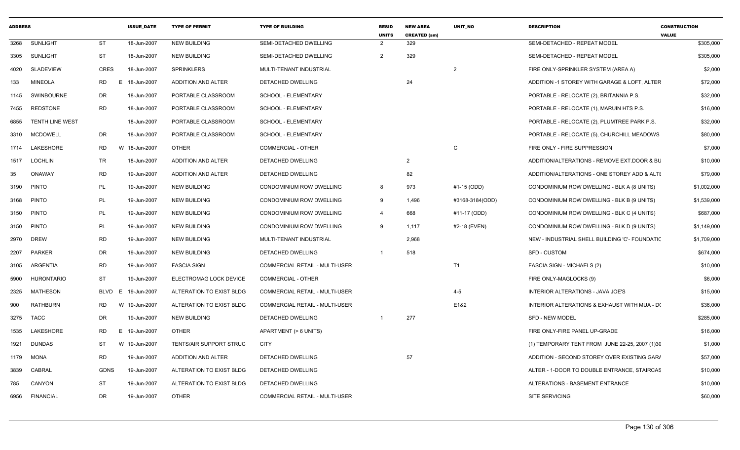| <b>ADDRESS</b> |                  |                | <b>ISSUE DATE</b> | <b>TYPE OF PERMIT</b>     | <b>TYPE OF BUILDING</b>               | RESID<br><b>UNITS</b> | <b>NEW AREA</b><br><b>CREATED (sm)</b> | <b>UNIT NO</b>  | <b>DESCRIPTION</b>                             | <b>CONSTRUCTION</b><br><b>VALUE</b> |
|----------------|------------------|----------------|-------------------|---------------------------|---------------------------------------|-----------------------|----------------------------------------|-----------------|------------------------------------------------|-------------------------------------|
| 3268           | <b>SUNLIGHT</b>  | ST             | 18-Jun-2007       | <b>NEW BUILDING</b>       | SEMI-DETACHED DWELLING                | 2                     | 329                                    |                 | SEMI-DETACHED - REPEAT MODEL                   | \$305,000                           |
| 3305           | SUNLIGHT         | <b>ST</b>      | 18-Jun-2007       | <b>NEW BUILDING</b>       | SEMI-DETACHED DWELLING                | 2                     | 329                                    |                 | SEMI-DETACHED - REPEAT MODEL                   | \$305,000                           |
| 4020           | <b>SLADEVIEW</b> | <b>CRES</b>    | 18-Jun-2007       | <b>SPRINKLERS</b>         | MULTI-TENANT INDUSTRIAL               |                       |                                        | $\overline{2}$  | FIRE ONLY-SPRINKLER SYSTEM (AREA A)            | \$2,000                             |
| 133            | <b>MINEOLA</b>   | <b>RD</b><br>E | 18-Jun-2007       | <b>ADDITION AND ALTER</b> | DETACHED DWELLING                     |                       | 24                                     |                 | ADDITION -1 STOREY WITH GARAGE & LOFT. ALTER   | \$72,000                            |
| 1145           | SWINBOURNE       | DR             | 18-Jun-2007       | PORTABLE CLASSROOM        | SCHOOL - ELEMENTARY                   |                       |                                        |                 | PORTABLE - RELOCATE (2), BRITANNIA P.S.        | \$32,000                            |
| 7455           | REDSTONE         | <b>RD</b>      | 18-Jun-2007       | PORTABLE CLASSROOM        | SCHOOL - ELEMENTARY                   |                       |                                        |                 | PORTABLE - RELOCATE (1), MARUIN HTS P.S.       | \$16,000                            |
| 6855           | TENTH LINE WEST  |                | 18-Jun-2007       | PORTABLE CLASSROOM        | SCHOOL - ELEMENTARY                   |                       |                                        |                 | PORTABLE - RELOCATE (2), PLUMTREE PARK P.S.    | \$32,000                            |
| 3310           | MCDOWELL         | DR             | 18-Jun-2007       | PORTABLE CLASSROOM        | <b>SCHOOL - ELEMENTARY</b>            |                       |                                        |                 | PORTABLE - RELOCATE (5), CHURCHILL MEADOWS     | \$80,000                            |
|                | 1714 LAKESHORE   | RD             | W 18-Jun-2007     | <b>OTHER</b>              | COMMERCIAL - OTHER                    |                       |                                        | C               | FIRE ONLY - FIRE SUPPRESSION                   | \$7,000                             |
| 1517           | <b>LOCHLIN</b>   | TR             | 18-Jun-2007       | ADDITION AND ALTER        | DETACHED DWELLING                     |                       | 2                                      |                 | ADDITION/ALTERATIONS - REMOVE EXT.DOOR & BU    | \$10,000                            |
| 35             | ONAWAY           | RD             | 19-Jun-2007       | ADDITION AND ALTER        | DETACHED DWELLING                     |                       | 82                                     |                 | ADDITION/ALTERATIONS - ONE STOREY ADD & ALTE   | \$79,000                            |
| 3190           | <b>PINTO</b>     | PL             | 19-Jun-2007       | <b>NEW BUILDING</b>       | CONDOMINIUM ROW DWELLING              | 8                     | 973                                    | #1-15 (ODD)     | CONDOMINIUM ROW DWELLING - BLK A (8 UNITS)     | \$1,002,000                         |
|                | 3168 PINTO       | PL             | 19-Jun-2007       | <b>NEW BUILDING</b>       | CONDOMINIUM ROW DWELLING              | 9                     | 1,496                                  | #3168-3184(ODD) | CONDOMINIUM ROW DWELLING - BLK B (9 UNITS)     | \$1,539,000                         |
| 3150           | <b>PINTO</b>     | PL             | 19-Jun-2007       | <b>NEW BUILDING</b>       | CONDOMINIUM ROW DWELLING              | $\overline{4}$        | 668                                    | #11-17 (ODD)    | CONDOMINIUM ROW DWELLING - BLK C (4 UNITS)     | \$687,000                           |
|                | 3150 PINTO       | <b>PL</b>      | 19-Jun-2007       | <b>NEW BUILDING</b>       | CONDOMINIUM ROW DWELLING              | 9                     | 1,117                                  | #2-18 (EVEN)    | CONDOMINIUM ROW DWELLING - BLK D (9 UNITS)     | \$1,149,000                         |
|                | 2970 DREW        | RD             | 19-Jun-2007       | <b>NEW BUILDING</b>       | MULTI-TENANT INDUSTRIAL               |                       | 2,968                                  |                 | NEW - INDUSTRIAL SHELL BUILDING 'C'- FOUNDATIC | \$1,709,000                         |
| 2207           | <b>PARKER</b>    | DR             | 19-Jun-2007       | <b>NEW BUILDING</b>       | DETACHED DWELLING                     | -1                    | 518                                    |                 | SFD - CUSTOM                                   | \$674,000                           |
| 3105           | ARGENTIA         | RD             | 19-Jun-2007       | <b>FASCIA SIGN</b>        | <b>COMMERCIAL RETAIL - MULTI-USER</b> |                       |                                        | T1              | <b>FASCIA SIGN - MICHAELS (2)</b>              | \$10,000                            |
| 5900           | HURONTARIO       | <b>ST</b>      | 19-Jun-2007       | ELECTROMAG LOCK DEVICE    | COMMERCIAL - OTHER                    |                       |                                        |                 | FIRE ONLY-MAGLOCKS (9)                         | \$6,000                             |
| 2325           | <b>MATHESON</b>  | BLVD E         | 19-Jun-2007       | ALTERATION TO EXIST BLDG  | <b>COMMERCIAL RETAIL - MULTI-USER</b> |                       |                                        | $4 - 5$         | INTERIOR ALTERATIONS - JAVA JOE'S              | \$15,000                            |
| 900            | RATHBURN         | <b>RD</b><br>W | 19-Jun-2007       | ALTERATION TO EXIST BLDG  | COMMERCIAL RETAIL - MULTI-USER        |                       |                                        | E1&2            | INTERIOR ALTERATIONS & EXHAUST WITH MUA - D(   | \$36,000                            |
| 3275           | <b>TACC</b>      | DR             | 19-Jun-2007       | <b>NEW BUILDING</b>       | DETACHED DWELLING                     |                       | 277                                    |                 | <b>SFD - NEW MODEL</b>                         | \$285,000                           |
| 1535           | LAKESHORE        | <b>RD</b><br>E | 19-Jun-2007       | <b>OTHER</b>              | APARTMENT (> 6 UNITS)                 |                       |                                        |                 | FIRE ONLY-FIRE PANEL UP-GRADE                  | \$16,000                            |
| 1921           | <b>DUNDAS</b>    | ST             | W 19-Jun-2007     | TENTS/AIR SUPPORT STRUC   | <b>CITY</b>                           |                       |                                        |                 | (1) TEMPORARY TENT FROM JUNE 22-25, 2007 (1)30 | \$1,000                             |
| 1179           | MONA             | <b>RD</b>      | 19-Jun-2007       | ADDITION AND ALTER        | DETACHED DWELLING                     |                       | 57                                     |                 | ADDITION - SECOND STOREY OVER EXISTING GARA    | \$57,000                            |
| 3839           | CABRAL           | GDNS           | 19-Jun-2007       | ALTERATION TO EXIST BLDG  | DETACHED DWELLING                     |                       |                                        |                 | ALTER - 1-DOOR TO DOUBLE ENTRANCE, STAIRCAS    | \$10,000                            |
| 785            | CANYON           | <b>ST</b>      | 19-Jun-2007       | ALTERATION TO EXIST BLDG  | DETACHED DWELLING                     |                       |                                        |                 | ALTERATIONS - BASEMENT ENTRANCE                | \$10,000                            |
| 6956           | <b>FINANCIAL</b> | DR             | 19-Jun-2007       | <b>OTHER</b>              | COMMERCIAL RETAIL - MULTI-USER        |                       |                                        |                 | <b>SITE SERVICING</b>                          | \$60,000                            |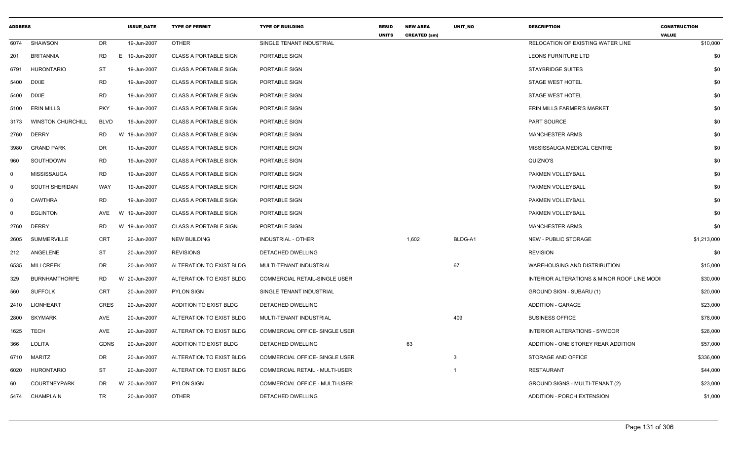| <b>ADDRESS</b> |                          |             | <b>ISSUE_DATE</b> | <b>TYPE OF PERMIT</b>        | <b>TYPE OF BUILDING</b>               | <b>RESID</b><br><b>UNITS</b> | <b>NEW AREA</b><br><b>CREATED (sm)</b> | UNIT_NO | <b>DESCRIPTION</b>                          | <b>CONSTRUCTION</b><br><b>VALUE</b> |
|----------------|--------------------------|-------------|-------------------|------------------------------|---------------------------------------|------------------------------|----------------------------------------|---------|---------------------------------------------|-------------------------------------|
| 6074           | SHAWSON                  | <b>DR</b>   | 19-Jun-2007       | <b>OTHER</b>                 | SINGLE TENANT INDUSTRIAL              |                              |                                        |         | RELOCATION OF EXISTING WATER LINE           | \$10,000                            |
| 201            | BRITANNIA                | RD          | E 19-Jun-2007     | <b>CLASS A PORTABLE SIGN</b> | PORTABLE SIGN                         |                              |                                        |         | LEONS FURNITURE LTD                         | \$0                                 |
| 6791           | <b>HURONTARIO</b>        | ST          | 19-Jun-2007       | <b>CLASS A PORTABLE SIGN</b> | PORTABLE SIGN                         |                              |                                        |         | <b>STAYBRIDGE SUITES</b>                    | \$0                                 |
| 5400           | DIXIE                    | <b>RD</b>   | 19-Jun-2007       | <b>CLASS A PORTABLE SIGN</b> | PORTABLE SIGN                         |                              |                                        |         | <b>STAGE WEST HOTEL</b>                     | \$0                                 |
| 5400           | <b>DIXIE</b>             | <b>RD</b>   | 19-Jun-2007       | <b>CLASS A PORTABLE SIGN</b> | PORTABLE SIGN                         |                              |                                        |         | <b>STAGE WEST HOTEL</b>                     | \$0                                 |
| 5100           | <b>ERIN MILLS</b>        | <b>PKY</b>  | 19-Jun-2007       | <b>CLASS A PORTABLE SIGN</b> | PORTABLE SIGN                         |                              |                                        |         | ERIN MILLS FARMER'S MARKET                  | \$0                                 |
| 3173           | <b>WINSTON CHURCHILL</b> | <b>BLVD</b> | 19-Jun-2007       | <b>CLASS A PORTABLE SIGN</b> | PORTABLE SIGN                         |                              |                                        |         | PART SOURCE                                 | \$0                                 |
| 2760           | <b>DERRY</b>             | <b>RD</b>   | W 19-Jun-2007     | <b>CLASS A PORTABLE SIGN</b> | PORTABLE SIGN                         |                              |                                        |         | <b>MANCHESTER ARMS</b>                      | \$0                                 |
| 3980           | <b>GRAND PARK</b>        | DR          | 19-Jun-2007       | <b>CLASS A PORTABLE SIGN</b> | PORTABLE SIGN                         |                              |                                        |         | MISSISSAUGA MEDICAL CENTRE                  | \$0                                 |
| 960            | SOUTHDOWN                | <b>RD</b>   | 19-Jun-2007       | <b>CLASS A PORTABLE SIGN</b> | PORTABLE SIGN                         |                              |                                        |         | QUIZNO'S                                    | \$0                                 |
| $\mathbf 0$    | MISSISSAUGA              | RD          | 19-Jun-2007       | <b>CLASS A PORTABLE SIGN</b> | PORTABLE SIGN                         |                              |                                        |         | PAKMEN VOLLEYBALL                           | \$0                                 |
| $\Omega$       | SOUTH SHERIDAN           | WAY         | 19-Jun-2007       | <b>CLASS A PORTABLE SIGN</b> | PORTABLE SIGN                         |                              |                                        |         | PAKMEN VOLLEYBALL                           | \$0                                 |
| $\mathbf 0$    | <b>CAWTHRA</b>           | RD          | 19-Jun-2007       | <b>CLASS A PORTABLE SIGN</b> | PORTABLE SIGN                         |                              |                                        |         | PAKMEN VOLLEYBALL                           | \$0                                 |
| $\Omega$       | <b>EGLINTON</b>          | AVE         | 19-Jun-2007<br>W  | <b>CLASS A PORTABLE SIGN</b> | PORTABLE SIGN                         |                              |                                        |         | PAKMEN VOLLEYBALL                           | \$0                                 |
| 2760           | <b>DERRY</b>             | RD          | W 19-Jun-2007     | <b>CLASS A PORTABLE SIGN</b> | PORTABLE SIGN                         |                              |                                        |         | <b>MANCHESTER ARMS</b>                      | \$0                                 |
| 2605           | <b>SUMMERVILLE</b>       | CRT         | 20-Jun-2007       | <b>NEW BUILDING</b>          | INDUSTRIAL - OTHER                    |                              | 1,602                                  | BLDG-A1 | <b>NEW - PUBLIC STORAGE</b>                 | \$1,213,000                         |
| 212            | ANGELENE                 | ST          | 20-Jun-2007       | <b>REVISIONS</b>             | <b>DETACHED DWELLING</b>              |                              |                                        |         | <b>REVISION</b>                             | \$0                                 |
| 6535           | <b>MILLCREEK</b>         | DR          | 20-Jun-2007       | ALTERATION TO EXIST BLDG     | MULTI-TENANT INDUSTRIAL               |                              |                                        | 67      | WAREHOUSING AND DISTRIBUTION                | \$15,000                            |
| 329            | <b>BURNHAMTHORPE</b>     | RD          | W 20-Jun-2007     | ALTERATION TO EXIST BLDG     | COMMERCIAL RETAIL-SINGLE USER         |                              |                                        |         | INTERIOR ALTERATIONS & MINOR ROOF LINE MODI | \$30,000                            |
| 560            | <b>SUFFOLK</b>           | CRT         | 20-Jun-2007       | <b>PYLON SIGN</b>            | SINGLE TENANT INDUSTRIAL              |                              |                                        |         | GROUND SIGN - SUBARU (1)                    | \$20,000                            |
| 2410           | LIONHEART                | <b>CRES</b> | 20-Jun-2007       | ADDITION TO EXIST BLDG       | DETACHED DWELLING                     |                              |                                        |         | <b>ADDITION - GARAGE</b>                    | \$23,000                            |
| 2800           | SKYMARK                  | AVE         | 20-Jun-2007       | ALTERATION TO EXIST BLDG     | MULTI-TENANT INDUSTRIAL               |                              |                                        | 409     | <b>BUSINESS OFFICE</b>                      | \$78,000                            |
| 1625           | <b>TECH</b>              | AVE         | 20-Jun-2007       | ALTERATION TO EXIST BLDG     | COMMERCIAL OFFICE- SINGLE USER        |                              |                                        |         | INTERIOR ALTERATIONS - SYMCOR               | \$26,000                            |
| 366            | LOLITA                   | <b>GDNS</b> | 20-Jun-2007       | ADDITION TO EXIST BLDG       | DETACHED DWELLING                     |                              | 63                                     |         | ADDITION - ONE STOREY REAR ADDITION         | \$57,000                            |
|                | 6710 MARITZ              | DR          | 20-Jun-2007       | ALTERATION TO EXIST BLDG     | COMMERCIAL OFFICE- SINGLE USER        |                              |                                        | 3       | STORAGE AND OFFICE                          | \$336,000                           |
| 6020           | <b>HURONTARIO</b>        | ST          | 20-Jun-2007       | ALTERATION TO EXIST BLDG     | <b>COMMERCIAL RETAIL - MULTI-USER</b> |                              |                                        |         | RESTAURANT                                  | \$44,000                            |
| 60             | COURTNEYPARK             | DR          | W 20-Jun-2007     | <b>PYLON SIGN</b>            | COMMERCIAL OFFICE - MULTI-USER        |                              |                                        |         | GROUND SIGNS - MULTI-TENANT (2)             | \$23,000                            |
|                | 5474 CHAMPLAIN           | TR          | 20-Jun-2007       | <b>OTHER</b>                 | DETACHED DWELLING                     |                              |                                        |         | ADDITION - PORCH EXTENSION                  | \$1,000                             |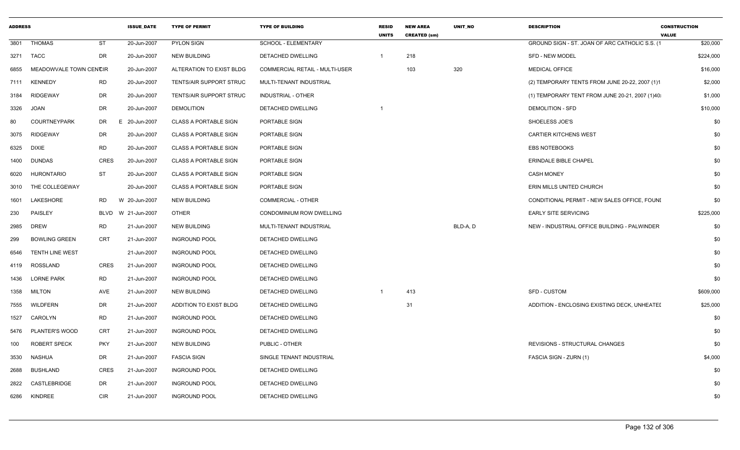| <b>ADDRESS</b> |                        |             | <b>ISSUE_DATE</b>  | <b>TYPE OF PERMIT</b>        | <b>TYPE OF BUILDING</b>        | <b>RESID</b><br><b>UNITS</b> | <b>NEW AREA</b><br><b>CREATED (sm)</b> | <b>UNIT NO</b> | <b>DESCRIPTION</b>                              | <b>CONSTRUCTION</b><br><b>VALUE</b> |
|----------------|------------------------|-------------|--------------------|------------------------------|--------------------------------|------------------------------|----------------------------------------|----------------|-------------------------------------------------|-------------------------------------|
|                | 3801 THOMAS            | ST          | 20-Jun-2007        | <b>PYLON SIGN</b>            | SCHOOL - ELEMENTARY            |                              |                                        |                | GROUND SIGN - ST. JOAN OF ARC CATHOLIC S.S. (1  | \$20,000                            |
|                | 3271 TACC              | DR          | 20-Jun-2007        | <b>NEW BUILDING</b>          | DETACHED DWELLING              | $\overline{1}$               | 218                                    |                | <b>SFD - NEW MODEL</b>                          | \$224,000                           |
| 6855           | MEADOWVALE TOWN CENCIR |             | 20-Jun-2007        | ALTERATION TO EXIST BLDG     | COMMERCIAL RETAIL - MULTI-USER |                              | 103                                    | 320            | <b>MEDICAL OFFICE</b>                           | \$16,000                            |
|                | 7111 KENNEDY           | <b>RD</b>   | 20-Jun-2007        | TENTS/AIR SUPPORT STRUC      | MULTI-TENANT INDUSTRIAL        |                              |                                        |                | (2) TEMPORARY TENTS FROM JUNE 20-22, 2007 (1)1  | \$2,000                             |
|                | 3184 RIDGEWAY          | DR          | 20-Jun-2007        | TENTS/AIR SUPPORT STRUC      | INDUSTRIAL - OTHER             |                              |                                        |                | (1) TEMPORARY TENT FROM JUNE 20-21, 2007 (1)40: | \$1,000                             |
|                | 3326 JOAN              | DR          | 20-Jun-2007        | <b>DEMOLITION</b>            | <b>DETACHED DWELLING</b>       | $\overline{1}$               |                                        |                | <b>DEMOLITION - SFD</b>                         | \$10,000                            |
| 80             | <b>COURTNEYPARK</b>    | DR<br>F     | 20-Jun-2007        | <b>CLASS A PORTABLE SIGN</b> | PORTABLE SIGN                  |                              |                                        |                | SHOELESS JOE'S                                  | \$0                                 |
|                | 3075 RIDGEWAY          | DR          | 20-Jun-2007        | <b>CLASS A PORTABLE SIGN</b> | PORTABLE SIGN                  |                              |                                        |                | <b>CARTIER KITCHENS WEST</b>                    | \$0                                 |
|                | 6325 DIXIE             | <b>RD</b>   | 20-Jun-2007        | CLASS A PORTABLE SIGN        | PORTABLE SIGN                  |                              |                                        |                | <b>EBS NOTEBOOKS</b>                            | \$0                                 |
|                | 1400 DUNDAS            | <b>CRES</b> | 20-Jun-2007        | <b>CLASS A PORTABLE SIGN</b> | PORTABLE SIGN                  |                              |                                        |                | <b>ERINDALE BIBLE CHAPEL</b>                    | \$0                                 |
|                | 6020 HURONTARIO        | <b>ST</b>   | 20-Jun-2007        | <b>CLASS A PORTABLE SIGN</b> | PORTABLE SIGN                  |                              |                                        |                | <b>CASH MONEY</b>                               | \$0                                 |
|                | 3010 THE COLLEGEWAY    |             | 20-Jun-2007        | <b>CLASS A PORTABLE SIGN</b> | PORTABLE SIGN                  |                              |                                        |                | ERIN MILLS UNITED CHURCH                        | \$0                                 |
|                | 1601 LAKESHORE         | <b>RD</b>   | W 20-Jun-2007      | NEW BUILDING                 | COMMERCIAL - OTHER             |                              |                                        |                | CONDITIONAL PERMIT - NEW SALES OFFICE, FOUNI    | \$0                                 |
| 230            | <b>PAISLEY</b>         |             | BLVD W 21-Jun-2007 | OTHER                        | CONDOMINIUM ROW DWELLING       |                              |                                        |                | <b>EARLY SITE SERVICING</b>                     | \$225,000                           |
| 2985           | <b>DREW</b>            | <b>RD</b>   | 21-Jun-2007        | <b>NEW BUILDING</b>          | MULTI-TENANT INDUSTRIAL        |                              |                                        | BLD-A, D       | NEW - INDUSTRIAL OFFICE BUILDING - PALWINDER    | \$0                                 |
| 299            | <b>BOWLING GREEN</b>   | <b>CRT</b>  | 21-Jun-2007        | <b>INGROUND POOL</b>         | DETACHED DWELLING              |                              |                                        |                |                                                 | \$0                                 |
|                | 6546 TENTH LINE WEST   |             | 21-Jun-2007        | <b>INGROUND POOL</b>         | DETACHED DWELLING              |                              |                                        |                |                                                 | \$0                                 |
|                | 4119 ROSSLAND          | CRES        | 21-Jun-2007        | <b>INGROUND POOL</b>         | DETACHED DWELLING              |                              |                                        |                |                                                 | \$0                                 |
|                | 1436 LORNE PARK        | <b>RD</b>   | 21-Jun-2007        | <b>INGROUND POOL</b>         | DETACHED DWELLING              |                              |                                        |                |                                                 | \$0                                 |
|                | 1358 MILTON            | AVE         | 21-Jun-2007        | <b>NEW BUILDING</b>          | DETACHED DWELLING              | $\overline{1}$               | 413                                    |                | SFD - CUSTOM                                    | \$609,000                           |
|                | 7555 WILDFERN          | DR          | 21-Jun-2007        | ADDITION TO EXIST BLDG       | DETACHED DWELLING              |                              | 31                                     |                | ADDITION - ENCLOSING EXISTING DECK, UNHEATEI    | \$25,000                            |
|                | 1527 CAROLYN           | <b>RD</b>   | 21-Jun-2007        | <b>INGROUND POOL</b>         | <b>DETACHED DWELLING</b>       |                              |                                        |                |                                                 | \$0                                 |
|                | 5476 PLANTER'S WOOD    | CRT         | 21-Jun-2007        | <b>INGROUND POOL</b>         | DETACHED DWELLING              |                              |                                        |                |                                                 | \$0                                 |
| 100            | <b>ROBERT SPECK</b>    | <b>PKY</b>  | 21-Jun-2007        | <b>NEW BUILDING</b>          | PUBLIC - OTHER                 |                              |                                        |                | REVISIONS - STRUCTURAL CHANGES                  | \$0                                 |
| 3530           | NASHUA                 | DR          | 21-Jun-2007        | <b>FASCIA SIGN</b>           | SINGLE TENANT INDUSTRIAL       |                              |                                        |                | FASCIA SIGN - ZURN (1)                          | \$4,000                             |
|                | 2688 BUSHLAND          | <b>CRES</b> | 21-Jun-2007        | <b>INGROUND POOL</b>         | DETACHED DWELLING              |                              |                                        |                |                                                 | \$0                                 |
|                | 2822 CASTLEBRIDGE      | DR          | 21-Jun-2007        | <b>INGROUND POOL</b>         | DETACHED DWELLING              |                              |                                        |                |                                                 | \$0                                 |
|                | 6286 KINDREE           | CIR         | 21-Jun-2007        | <b>INGROUND POOL</b>         | DETACHED DWELLING              |                              |                                        |                |                                                 | \$0                                 |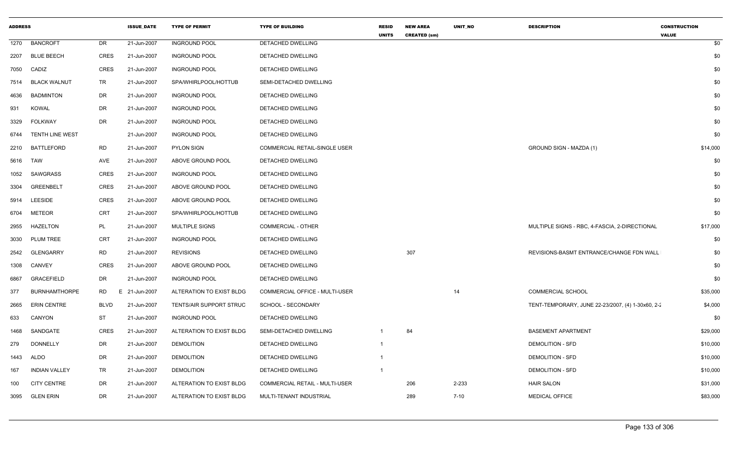| <b>ADDRESS</b> |                      |             | <b>ISSUE_DATE</b> | <b>TYPE OF PERMIT</b>    | <b>TYPE OF BUILDING</b>        | <b>RESID</b><br><b>UNITS</b> | <b>NEW AREA</b><br><b>CREATED (sm)</b> | UNIT_NO  | <b>DESCRIPTION</b>                                | <b>CONSTRUCTION</b><br><b>VALUE</b> |
|----------------|----------------------|-------------|-------------------|--------------------------|--------------------------------|------------------------------|----------------------------------------|----------|---------------------------------------------------|-------------------------------------|
| 1270           | <b>BANCROFT</b>      | DR          | 21-Jun-2007       | <b>INGROUND POOL</b>     | DETACHED DWELLING              |                              |                                        |          |                                                   | \$0                                 |
| 2207           | <b>BLUE BEECH</b>    | CRES        | 21-Jun-2007       | <b>INGROUND POOL</b>     | DETACHED DWELLING              |                              |                                        |          |                                                   | \$0                                 |
| 7050           | CADIZ                | <b>CRES</b> | 21-Jun-2007       | <b>INGROUND POOL</b>     | DETACHED DWELLING              |                              |                                        |          |                                                   | \$0                                 |
| 7514           | <b>BLACK WALNUT</b>  | TR          | 21-Jun-2007       | SPA/WHIRLPOOL/HOTTUB     | SEMI-DETACHED DWELLING         |                              |                                        |          |                                                   | \$0                                 |
| 4636           | <b>BADMINTON</b>     | DR          | 21-Jun-2007       | <b>INGROUND POOL</b>     | DETACHED DWELLING              |                              |                                        |          |                                                   | \$0                                 |
| 931            | <b>KOWAL</b>         | DR          | 21-Jun-2007       | <b>INGROUND POOL</b>     | DETACHED DWELLING              |                              |                                        |          |                                                   | \$0                                 |
| 3329           | <b>FOLKWAY</b>       | DR          | 21-Jun-2007       | <b>INGROUND POOL</b>     | DETACHED DWELLING              |                              |                                        |          |                                                   | \$0                                 |
| 6744           | TENTH LINE WEST      |             | 21-Jun-2007       | <b>INGROUND POOL</b>     | DETACHED DWELLING              |                              |                                        |          |                                                   | \$0                                 |
| 2210           | BATTLEFORD           | RD          | 21-Jun-2007       | <b>PYLON SIGN</b>        | COMMERCIAL RETAIL-SINGLE USER  |                              |                                        |          | GROUND SIGN - MAZDA (1)                           | \$14,000                            |
| 5616           | <b>TAW</b>           | AVE         | 21-Jun-2007       | ABOVE GROUND POOL        | DETACHED DWELLING              |                              |                                        |          |                                                   | \$0                                 |
| 1052           | SAWGRASS             | CRES        | 21-Jun-2007       | <b>INGROUND POOL</b>     | DETACHED DWELLING              |                              |                                        |          |                                                   | \$0                                 |
| 3304           | <b>GREENBELT</b>     | <b>CRES</b> | 21-Jun-2007       | ABOVE GROUND POOL        | DETACHED DWELLING              |                              |                                        |          |                                                   | \$0                                 |
| 5914           | LEESIDE              | CRES        | 21-Jun-2007       | ABOVE GROUND POOL        | DETACHED DWELLING              |                              |                                        |          |                                                   | \$0                                 |
| 6704           | <b>METEOR</b>        | CRT         | 21-Jun-2007       | SPA/WHIRLPOOL/HOTTUB     | DETACHED DWELLING              |                              |                                        |          |                                                   | \$0                                 |
| 2955           | HAZELTON             | PL          | 21-Jun-2007       | MULTIPLE SIGNS           | COMMERCIAL - OTHER             |                              |                                        |          | MULTIPLE SIGNS - RBC, 4-FASCIA, 2-DIRECTIONAL     | \$17,000                            |
| 3030           | PLUM TREE            | CRT         | 21-Jun-2007       | <b>INGROUND POOL</b>     | DETACHED DWELLING              |                              |                                        |          |                                                   | \$0                                 |
| 2542           | <b>GLENGARRY</b>     | RD          | 21-Jun-2007       | <b>REVISIONS</b>         | DETACHED DWELLING              |                              | 307                                    |          | REVISIONS-BASMT ENTRANCE/CHANGE FDN WALL          | \$0                                 |
| 1308           | <b>CANVEY</b>        | <b>CRES</b> | 21-Jun-2007       | ABOVE GROUND POOL        | DETACHED DWELLING              |                              |                                        |          |                                                   | \$0                                 |
| 6867           | <b>GRACEFIELD</b>    | DR          | 21-Jun-2007       | <b>INGROUND POOL</b>     | DETACHED DWELLING              |                              |                                        |          |                                                   | \$0                                 |
| 377            | <b>BURNHAMTHORPE</b> | <b>RD</b>   | E 21-Jun-2007     | ALTERATION TO EXIST BLDG | COMMERCIAL OFFICE - MULTI-USER |                              |                                        | 14       | COMMERCIAL SCHOOL                                 | \$35,000                            |
| 2665           | <b>ERIN CENTRE</b>   | <b>BLVD</b> | 21-Jun-2007       | TENTS/AIR SUPPORT STRUC  | SCHOOL - SECONDARY             |                              |                                        |          | TENT-TEMPORARY, JUNE 22-23/2007, (4) 1-30x60, 2-2 | \$4,000                             |
| 633            | CANYON               | ST          | 21-Jun-2007       | <b>INGROUND POOL</b>     | DETACHED DWELLING              |                              |                                        |          |                                                   | \$0                                 |
| 1468           | SANDGATE             | CRES        | 21-Jun-2007       | ALTERATION TO EXIST BLDG | SEMI-DETACHED DWELLING         | -1                           | 84                                     |          | <b>BASEMENT APARTMENT</b>                         | \$29,000                            |
| 279            | DONNELLY             | DR          | 21-Jun-2007       | <b>DEMOLITION</b>        | DETACHED DWELLING              | $\mathbf 1$                  |                                        |          | <b>DEMOLITION - SFD</b>                           | \$10,000                            |
| 1443           | <b>ALDO</b>          | DR          | 21-Jun-2007       | <b>DEMOLITION</b>        | DETACHED DWELLING              | $\mathbf 1$                  |                                        |          | <b>DEMOLITION - SFD</b>                           | \$10,000                            |
| 167            | <b>INDIAN VALLEY</b> | TR          | 21-Jun-2007       | <b>DEMOLITION</b>        | DETACHED DWELLING              |                              |                                        |          | <b>DEMOLITION - SFD</b>                           | \$10,000                            |
| 100            | <b>CITY CENTRE</b>   | DR          | 21-Jun-2007       | ALTERATION TO EXIST BLDG | COMMERCIAL RETAIL - MULTI-USER |                              | 206                                    | 2-233    | <b>HAIR SALON</b>                                 | \$31,000                            |
| 3095           | <b>GLEN ERIN</b>     | DR          | 21-Jun-2007       | ALTERATION TO EXIST BLDG | MULTI-TENANT INDUSTRIAL        |                              | 289                                    | $7 - 10$ | MEDICAL OFFICE                                    | \$83,000                            |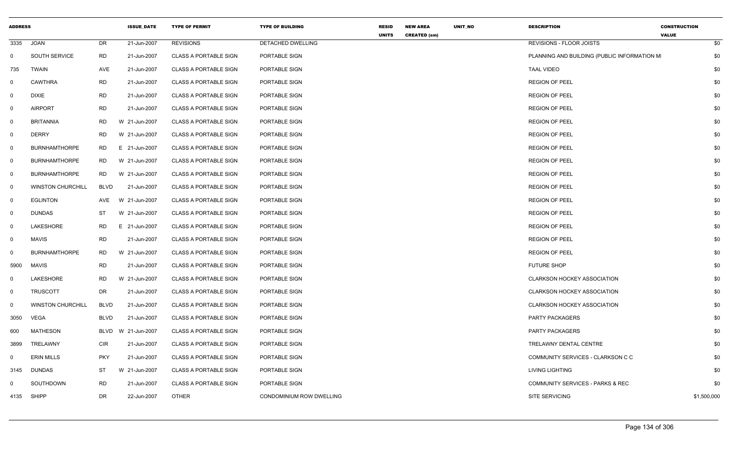| <b>ADDRESS</b> |                          |             | <b>ISSUE_DATE</b> | <b>TYPE OF PERMIT</b>        | <b>TYPE OF BUILDING</b>  | <b>RESID</b><br><b>UNITS</b> | <b>NEW AREA</b><br><b>CREATED (sm)</b> | UNIT_NO | <b>DESCRIPTION</b>                          | <b>CONSTRUCTION</b><br><b>VALUE</b> |     |
|----------------|--------------------------|-------------|-------------------|------------------------------|--------------------------|------------------------------|----------------------------------------|---------|---------------------------------------------|-------------------------------------|-----|
| 3335           | <b>JOAN</b>              | DR          | 21-Jun-2007       | <b>REVISIONS</b>             | DETACHED DWELLING        |                              |                                        |         | REVISIONS - FLOOR JOISTS                    |                                     | \$0 |
| $\mathbf 0$    | <b>SOUTH SERVICE</b>     | RD          | 21-Jun-2007       | <b>CLASS A PORTABLE SIGN</b> | PORTABLE SIGN            |                              |                                        |         | PLANNING AND BUILDING (PUBLIC INFORMATION M |                                     | \$0 |
| 735            | <b>TWAIN</b>             | AVE         | 21-Jun-2007       | <b>CLASS A PORTABLE SIGN</b> | PORTABLE SIGN            |                              |                                        |         | <b>TAAL VIDEO</b>                           |                                     | \$0 |
| 0              | <b>CAWTHRA</b>           | <b>RD</b>   | 21-Jun-2007       | <b>CLASS A PORTABLE SIGN</b> | PORTABLE SIGN            |                              |                                        |         | <b>REGION OF PEEL</b>                       |                                     | \$0 |
| $\mathsf{O}$   | <b>DIXIE</b>             | <b>RD</b>   | 21-Jun-2007       | <b>CLASS A PORTABLE SIGN</b> | PORTABLE SIGN            |                              |                                        |         | <b>REGION OF PEEL</b>                       |                                     | \$0 |
| $\mathbf 0$    | <b>AIRPORT</b>           | <b>RD</b>   | 21-Jun-2007       | <b>CLASS A PORTABLE SIGN</b> | PORTABLE SIGN            |                              |                                        |         | <b>REGION OF PEEL</b>                       |                                     | \$0 |
| $\mathbf 0$    | <b>BRITANNIA</b>         | <b>RD</b>   | W 21-Jun-2007     | <b>CLASS A PORTABLE SIGN</b> | PORTABLE SIGN            |                              |                                        |         | <b>REGION OF PEEL</b>                       |                                     | \$0 |
| $\mathbf 0$    | <b>DERRY</b>             | <b>RD</b>   | W 21-Jun-2007     | <b>CLASS A PORTABLE SIGN</b> | PORTABLE SIGN            |                              |                                        |         | <b>REGION OF PEEL</b>                       |                                     | \$0 |
| $\mathbf{0}$   | <b>BURNHAMTHORPE</b>     | <b>RD</b>   | E 21-Jun-2007     | <b>CLASS A PORTABLE SIGN</b> | PORTABLE SIGN            |                              |                                        |         | <b>REGION OF PEEL</b>                       |                                     | \$0 |
| $\mathsf{O}$   | <b>BURNHAMTHORPE</b>     | <b>RD</b>   | W 21-Jun-2007     | <b>CLASS A PORTABLE SIGN</b> | PORTABLE SIGN            |                              |                                        |         | <b>REGION OF PEEL</b>                       |                                     | \$0 |
| $\mathbf 0$    | <b>BURNHAMTHORPE</b>     | RD.         | W 21-Jun-2007     | <b>CLASS A PORTABLE SIGN</b> | PORTABLE SIGN            |                              |                                        |         | <b>REGION OF PEEL</b>                       |                                     | \$0 |
| $\mathbf 0$    | <b>WINSTON CHURCHILL</b> | <b>BLVD</b> | 21-Jun-2007       | <b>CLASS A PORTABLE SIGN</b> | PORTABLE SIGN            |                              |                                        |         | <b>REGION OF PEEL</b>                       |                                     | \$0 |
| 0              | <b>EGLINTON</b>          | AVE         | W 21-Jun-2007     | <b>CLASS A PORTABLE SIGN</b> | PORTABLE SIGN            |                              |                                        |         | <b>REGION OF PEEL</b>                       |                                     | \$0 |
| $\mathbf 0$    | <b>DUNDAS</b>            | ST          | W 21-Jun-2007     | <b>CLASS A PORTABLE SIGN</b> | PORTABLE SIGN            |                              |                                        |         | <b>REGION OF PEEL</b>                       |                                     | \$0 |
| 0              | LAKESHORE                | <b>RD</b>   | E 21-Jun-2007     | <b>CLASS A PORTABLE SIGN</b> | PORTABLE SIGN            |                              |                                        |         | <b>REGION OF PEEL</b>                       |                                     | \$0 |
| $\mathbf{0}$   | <b>MAVIS</b>             | <b>RD</b>   | 21-Jun-2007       | <b>CLASS A PORTABLE SIGN</b> | PORTABLE SIGN            |                              |                                        |         | <b>REGION OF PEEL</b>                       |                                     | \$0 |
| $\mathbf 0$    | <b>BURNHAMTHORPE</b>     | <b>RD</b>   | W 21-Jun-2007     | <b>CLASS A PORTABLE SIGN</b> | PORTABLE SIGN            |                              |                                        |         | <b>REGION OF PEEL</b>                       |                                     | \$0 |
| 5900           | <b>MAVIS</b>             | <b>RD</b>   | 21-Jun-2007       | <b>CLASS A PORTABLE SIGN</b> | PORTABLE SIGN            |                              |                                        |         | <b>FUTURE SHOP</b>                          |                                     | \$0 |
| 0              | LAKESHORE                | <b>RD</b>   | W 21-Jun-2007     | <b>CLASS A PORTABLE SIGN</b> | PORTABLE SIGN            |                              |                                        |         | CLARKSON HOCKEY ASSOCIATION                 |                                     | \$0 |
| 0              | <b>TRUSCOTT</b>          | DR          | 21-Jun-2007       | CLASS A PORTABLE SIGN        | PORTABLE SIGN            |                              |                                        |         | <b>CLARKSON HOCKEY ASSOCIATION</b>          |                                     | \$0 |
| 0              | <b>WINSTON CHURCHILL</b> | <b>BLVD</b> | 21-Jun-2007       | <b>CLASS A PORTABLE SIGN</b> | PORTABLE SIGN            |                              |                                        |         | <b>CLARKSON HOCKEY ASSOCIATION</b>          |                                     | \$0 |
| 3050           | <b>VEGA</b>              | <b>BLVD</b> | 21-Jun-2007       | <b>CLASS A PORTABLE SIGN</b> | PORTABLE SIGN            |                              |                                        |         | PARTY PACKAGERS                             |                                     | \$0 |
| 600            | <b>MATHESON</b>          | BLVD        | W 21-Jun-2007     | <b>CLASS A PORTABLE SIGN</b> | PORTABLE SIGN            |                              |                                        |         | <b>PARTY PACKAGERS</b>                      |                                     | \$0 |
| 3899           | TRELAWNY                 | <b>CIR</b>  | 21-Jun-2007       | <b>CLASS A PORTABLE SIGN</b> | PORTABLE SIGN            |                              |                                        |         | TRELAWNY DENTAL CENTRE                      |                                     | \$0 |
| $\mathbf 0$    | <b>ERIN MILLS</b>        | <b>PKY</b>  | 21-Jun-2007       | <b>CLASS A PORTABLE SIGN</b> | PORTABLE SIGN            |                              |                                        |         | COMMUNITY SERVICES - CLARKSON C C           |                                     | \$0 |
| 3145           | <b>DUNDAS</b>            | ST          | W 21-Jun-2007     | <b>CLASS A PORTABLE SIGN</b> | PORTABLE SIGN            |                              |                                        |         | <b>LIVING LIGHTING</b>                      |                                     | \$0 |
| 0              | SOUTHDOWN                | <b>RD</b>   | 21-Jun-2007       | <b>CLASS A PORTABLE SIGN</b> | PORTABLE SIGN            |                              |                                        |         | <b>COMMUNITY SERVICES - PARKS &amp; REC</b> |                                     | \$0 |
| 4135           | <b>SHIPP</b>             | <b>DR</b>   | 22-Jun-2007       | <b>OTHER</b>                 | CONDOMINIUM ROW DWELLING |                              |                                        |         | SITE SERVICING                              | \$1,500,000                         |     |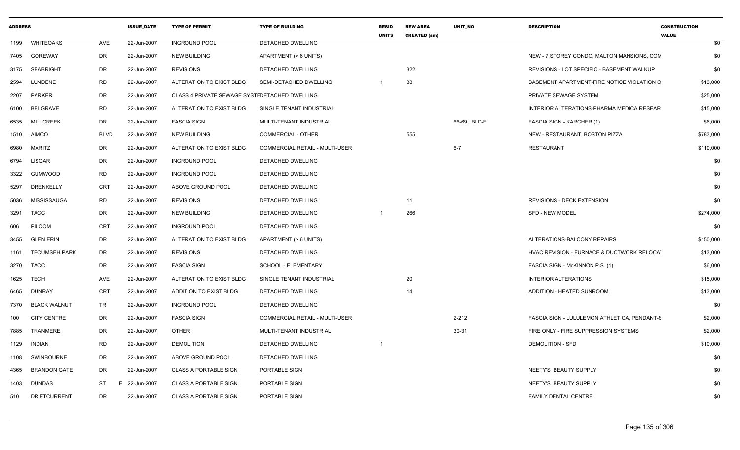| <b>ADDRESS</b> |                      |             | <b>ISSUE DATE</b> | <b>TYPE OF PERMIT</b>                         | <b>TYPE OF BUILDING</b>               | <b>RESID</b><br><b>UNITS</b> | <b>NEW AREA</b><br><b>CREATED (sm)</b> | <b>UNIT NO</b> | <b>DESCRIPTION</b>                                      | <b>CONSTRUCTION</b><br><b>VALUE</b> |
|----------------|----------------------|-------------|-------------------|-----------------------------------------------|---------------------------------------|------------------------------|----------------------------------------|----------------|---------------------------------------------------------|-------------------------------------|
| 1199           | <b>WHITEOAKS</b>     | AVE         | 22-Jun-2007       | <b>INGROUND POOL</b>                          | <b>DETACHED DWELLING</b>              |                              |                                        |                |                                                         | \$0                                 |
| 7405           | <b>GOREWAY</b>       | DR          | 22-Jun-2007       | <b>NEW BUILDING</b>                           | APARTMENT (> 6 UNITS)                 |                              |                                        |                | NEW - 7 STOREY CONDO, MALTON MANSIONS, CON              | \$0                                 |
| 3175           | <b>SEABRIGHT</b>     | DR          | 22-Jun-2007       | <b>REVISIONS</b>                              | DETACHED DWELLING                     |                              | 322                                    |                | REVISIONS - LOT SPECIFIC - BASEMENT WALKUP              | \$0                                 |
| 2594           | LUNDENE              | <b>RD</b>   | 22-Jun-2007       | ALTERATION TO EXIST BLDG                      | SEMI-DETACHED DWELLING                |                              | 38                                     |                | BASEMENT APARTMENT-FIRE NOTICE VIOLATION O              | \$13,000                            |
| 2207           | <b>PARKER</b>        | DR          | 22-Jun-2007       | CLASS 4 PRIVATE SEWAGE SYSTEDETACHED DWELLING |                                       |                              |                                        |                | PRIVATE SEWAGE SYSTEM                                   | \$25,000                            |
| 6100           | <b>BELGRAVE</b>      | RD          | 22-Jun-2007       | ALTERATION TO EXIST BLDG                      | SINGLE TENANT INDUSTRIAL              |                              |                                        |                | INTERIOR ALTERATIONS-PHARMA MEDICA RESEAR               | \$15,000                            |
| 6535           | <b>MILLCREEK</b>     | DR          | 22-Jun-2007       | <b>FASCIA SIGN</b>                            | MULTI-TENANT INDUSTRIAL               |                              |                                        | 66-69, BLD-F   | FASCIA SIGN - KARCHER (1)                               | \$6,000                             |
| 1510           | <b>AIMCO</b>         | <b>BLVD</b> | 22-Jun-2007       | <b>NEW BUILDING</b>                           | <b>COMMERCIAL - OTHER</b>             |                              | 555                                    |                | NEW - RESTAURANT, BOSTON PIZZA                          | \$783,000                           |
| 6980           | <b>MARITZ</b>        | DR          | 22-Jun-2007       | ALTERATION TO EXIST BLDG                      | COMMERCIAL RETAIL - MULTI-USER        |                              |                                        | $6 - 7$        | <b>RESTAURANT</b>                                       | \$110,000                           |
| 6794           | <b>LISGAR</b>        | DR          | 22-Jun-2007       | <b>INGROUND POOL</b>                          | DETACHED DWELLING                     |                              |                                        |                |                                                         | \$0                                 |
| 3322           | <b>GUMWOOD</b>       | <b>RD</b>   | 22-Jun-2007       | <b>INGROUND POOL</b>                          | DETACHED DWELLING                     |                              |                                        |                |                                                         | \$0                                 |
| 5297           | DRENKELLY            | <b>CRT</b>  | 22-Jun-2007       | ABOVE GROUND POOL                             | DETACHED DWELLING                     |                              |                                        |                |                                                         | \$0                                 |
| 5036           | MISSISSAUGA          | <b>RD</b>   | 22-Jun-2007       | <b>REVISIONS</b>                              | DETACHED DWELLING                     |                              | 11                                     |                | <b>REVISIONS - DECK EXTENSION</b>                       | \$0                                 |
| 3291           | <b>TACC</b>          | DR          | 22-Jun-2007       | <b>NEW BUILDING</b>                           | DETACHED DWELLING                     |                              | 266                                    |                | SFD - NEW MODEL                                         | \$274,000                           |
| 606            | <b>PILCOM</b>        | <b>CRT</b>  | 22-Jun-2007       | <b>INGROUND POOL</b>                          | DETACHED DWELLING                     |                              |                                        |                |                                                         | \$0                                 |
| 3455           | <b>GLEN ERIN</b>     | DR          | 22-Jun-2007       | ALTERATION TO EXIST BLDG                      | APARTMENT (> 6 UNITS)                 |                              |                                        |                | ALTERATIONS-BALCONY REPAIRS                             | \$150,000                           |
| 1161           | <b>TECUMSEH PARK</b> | DR          | 22-Jun-2007       | <b>REVISIONS</b>                              | <b>DETACHED DWELLING</b>              |                              |                                        |                | <b>HVAC REVISION - FURNACE &amp; DUCTWORK RELOCATED</b> | \$13,000                            |
| 3270           | TACC                 | DR          | 22-Jun-2007       | <b>FASCIA SIGN</b>                            | SCHOOL - ELEMENTARY                   |                              |                                        |                | FASCIA SIGN - McKINNON P.S. (1)                         | \$6,000                             |
| 1625           | <b>TECH</b>          | AVE         | 22-Jun-2007       | ALTERATION TO EXIST BLDG                      | SINGLE TENANT INDUSTRIAL              |                              | 20                                     |                | <b>INTERIOR ALTERATIONS</b>                             | \$15,000                            |
| 6465           | <b>DUNRAY</b>        | <b>CRT</b>  | 22-Jun-2007       | ADDITION TO EXIST BLDG                        | DETACHED DWELLING                     |                              | 14                                     |                | ADDITION - HEATED SUNROOM                               | \$13,000                            |
| 7370           | <b>BLACK WALNUT</b>  | TR          | 22-Jun-2007       | <b>INGROUND POOL</b>                          | DETACHED DWELLING                     |                              |                                        |                |                                                         | \$0                                 |
| 100            | <b>CITY CENTRE</b>   | DR          | 22-Jun-2007       | <b>FASCIA SIGN</b>                            | <b>COMMERCIAL RETAIL - MULTI-USER</b> |                              |                                        | $2 - 212$      | FASCIA SIGN - LULULEMON ATHLETICA, PENDANT-S            | \$2,000                             |
| 7885           | TRANMERE             | DR          | 22-Jun-2007       | <b>OTHER</b>                                  | MULTI-TENANT INDUSTRIAL               |                              |                                        | 30-31          | FIRE ONLY - FIRE SUPPRESSION SYSTEMS                    | \$2,000                             |
| 1129           | <b>INDIAN</b>        | <b>RD</b>   | 22-Jun-2007       | <b>DEMOLITION</b>                             | DETACHED DWELLING                     |                              |                                        |                | <b>DEMOLITION - SFD</b>                                 | \$10,000                            |
| 1108           | <b>SWINBOURNE</b>    | DR          | 22-Jun-2007       | ABOVE GROUND POOL                             | DETACHED DWELLING                     |                              |                                        |                |                                                         | \$0                                 |
| 4365           | <b>BRANDON GATE</b>  | DR          | 22-Jun-2007       | <b>CLASS A PORTABLE SIGN</b>                  | PORTABLE SIGN                         |                              |                                        |                | NEETY'S BEAUTY SUPPLY                                   | \$0                                 |
| 1403           | <b>DUNDAS</b>        | ST          | 22-Jun-2007<br>F. | <b>CLASS A PORTABLE SIGN</b>                  | PORTABLE SIGN                         |                              |                                        |                | NEETY'S BEAUTY SUPPLY                                   | \$0                                 |
| 510            | <b>DRIFTCURRENT</b>  | DR          | 22-Jun-2007       | <b>CLASS A PORTABLE SIGN</b>                  | PORTABLE SIGN                         |                              |                                        |                | FAMILY DENTAL CENTRE                                    | \$0                                 |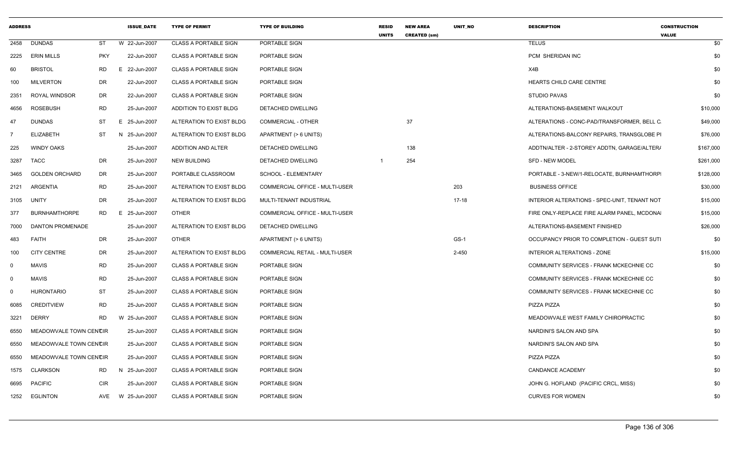| <b>ADDRESS</b> |                         |            | <b>ISSUE DATE</b> | <b>TYPE OF PERMIT</b>        | <b>TYPE OF BUILDING</b>        | <b>RESID</b><br><b>UNITS</b> | <b>NEW AREA</b><br><b>CREATED (sm)</b> | <b>UNIT NO</b> | <b>DESCRIPTION</b>                           | <b>CONSTRUCTION</b><br><b>VALUE</b> |
|----------------|-------------------------|------------|-------------------|------------------------------|--------------------------------|------------------------------|----------------------------------------|----------------|----------------------------------------------|-------------------------------------|
| 2458           | <b>DUNDAS</b>           | <b>ST</b>  | W 22-Jun-2007     | <b>CLASS A PORTABLE SIGN</b> | PORTABLE SIGN                  |                              |                                        |                | <b>TELUS</b>                                 | \$0                                 |
| 2225           | <b>ERIN MILLS</b>       | <b>PKY</b> | 22-Jun-2007       | <b>CLASS A PORTABLE SIGN</b> | PORTABLE SIGN                  |                              |                                        |                | PCM SHERIDAN INC                             | \$0                                 |
| 60             | <b>BRISTOL</b>          | <b>RD</b>  | E 22-Jun-2007     | <b>CLASS A PORTABLE SIGN</b> | PORTABLE SIGN                  |                              |                                        |                | X4B                                          | \$0                                 |
| 100            | <b>MILVERTON</b>        | DR         | 22-Jun-2007       | <b>CLASS A PORTABLE SIGN</b> | PORTABLE SIGN                  |                              |                                        |                | HEARTS CHILD CARE CENTRE                     | \$0                                 |
| 2351           | ROYAL WINDSOR           | <b>DR</b>  | 22-Jun-2007       | <b>CLASS A PORTABLE SIGN</b> | PORTABLE SIGN                  |                              |                                        |                | STUDIO PAVAS                                 | \$0                                 |
| 4656           | <b>ROSEBUSH</b>         | <b>RD</b>  | 25-Jun-2007       | ADDITION TO EXIST BLDG       | DETACHED DWELLING              |                              |                                        |                | ALTERATIONS-BASEMENT WALKOUT                 | \$10,000                            |
| 47             | <b>DUNDAS</b>           | ST         | E 25-Jun-2007     | ALTERATION TO EXIST BLDG     | <b>COMMERCIAL - OTHER</b>      |                              | 37                                     |                | ALTERATIONS - CONC-PAD/TRANSFORMER, BELL C   | \$49,000                            |
| $\overline{7}$ | ELIZABETH               | <b>ST</b>  | N 25-Jun-2007     | ALTERATION TO EXIST BLDG     | APARTMENT (> 6 UNITS)          |                              |                                        |                | ALTERATIONS-BALCONY REPAIRS, TRANSGLOBE PI   | \$76,000                            |
| 225            | <b>WINDY OAKS</b>       |            | 25-Jun-2007       | ADDITION AND ALTER           | DETACHED DWELLING              |                              | 138                                    |                | ADDTN/ALTER - 2-STOREY ADDTN, GARAGE/ALTER/  | \$167,000                           |
| 3287           | <b>TACC</b>             | <b>DR</b>  | 25-Jun-2007       | <b>NEW BUILDING</b>          | DETACHED DWELLING              |                              | 254                                    |                | <b>SFD - NEW MODEL</b>                       | \$261,000                           |
| 3465           | <b>GOLDEN ORCHARD</b>   | <b>DR</b>  | 25-Jun-2007       | PORTABLE CLASSROOM           | SCHOOL - ELEMENTARY            |                              |                                        |                | PORTABLE - 3-NEW/1-RELOCATE, BURNHAMTHORP    | \$128,000                           |
| 2121           | ARGENTIA                | <b>RD</b>  | 25-Jun-2007       | ALTERATION TO EXIST BLDG     | COMMERCIAL OFFICE - MULTI-USER |                              |                                        | 203            | <b>BUSINESS OFFICE</b>                       | \$30,000                            |
| 3105           | UNITY                   | <b>DR</b>  | 25-Jun-2007       | ALTERATION TO EXIST BLDG     | MULTI-TENANT INDUSTRIAL        |                              |                                        | $17 - 18$      | INTERIOR ALTERATIONS - SPEC-UNIT, TENANT NOT | \$15,000                            |
| 377            | <b>BURNHAMTHORPE</b>    | RD.        | 25-Jun-2007<br>Е. | <b>OTHER</b>                 | COMMERCIAL OFFICE - MULTI-USER |                              |                                        |                | FIRE ONLY-REPLACE FIRE ALARM PANEL, MCDONA   | \$15,000                            |
| 7000           | <b>DANTON PROMENADE</b> |            | 25-Jun-2007       | ALTERATION TO EXIST BLDG     | <b>DETACHED DWELLING</b>       |                              |                                        |                | ALTERATIONS-BASEMENT FINISHED                | \$26,000                            |
| 483            | FAITH                   | DR         | 25-Jun-2007       | <b>OTHER</b>                 | APARTMENT (> 6 UNITS)          |                              |                                        | GS-1           | OCCUPANCY PRIOR TO COMPLETION - GUEST SUTI   | \$0                                 |
| 100            | <b>CITY CENTRE</b>      | DR         | 25-Jun-2007       | ALTERATION TO EXIST BLDG     | COMMERCIAL RETAIL - MULTI-USER |                              |                                        | $2 - 450$      | INTERIOR ALTERATIONS - ZONE                  | \$15,000                            |
| $\mathbf 0$    | <b>MAVIS</b>            | <b>RD</b>  | 25-Jun-2007       | <b>CLASS A PORTABLE SIGN</b> | PORTABLE SIGN                  |                              |                                        |                | COMMUNITY SERVICES - FRANK MCKECHNIE CC      | \$0                                 |
| $\mathbf 0$    | <b>MAVIS</b>            | <b>RD</b>  | 25-Jun-2007       | <b>CLASS A PORTABLE SIGN</b> | PORTABLE SIGN                  |                              |                                        |                | COMMUNITY SERVICES - FRANK MCKECHNIE CC      | \$0                                 |
| $\mathbf 0$    | <b>HURONTARIO</b>       | <b>ST</b>  | 25-Jun-2007       | <b>CLASS A PORTABLE SIGN</b> | PORTABLE SIGN                  |                              |                                        |                | COMMUNITY SERVICES - FRANK MCKECHNIE CC      | \$0                                 |
| 6085           | CREDITVIEW              | <b>RD</b>  | 25-Jun-2007       | <b>CLASS A PORTABLE SIGN</b> | PORTABLE SIGN                  |                              |                                        |                | PIZZA PIZZA                                  | \$0                                 |
| 3221           | <b>DERRY</b>            | <b>RD</b>  | W 25-Jun-2007     | <b>CLASS A PORTABLE SIGN</b> | PORTABLE SIGN                  |                              |                                        |                | MEADOWVALE WEST FAMILY CHIROPRACTIC          | \$0                                 |
| 6550           | MEADOWVALE TOWN CENCIR  |            | 25-Jun-2007       | <b>CLASS A PORTABLE SIGN</b> | PORTABLE SIGN                  |                              |                                        |                | NARDINI'S SALON AND SPA                      | \$0                                 |
| 6550           | MEADOWVALE TOWN CENCIR  |            | 25-Jun-2007       | <b>CLASS A PORTABLE SIGN</b> | PORTABLE SIGN                  |                              |                                        |                | NARDINI'S SALON AND SPA                      | \$0                                 |
| 6550           | MEADOWVALE TOWN CENCIR  |            | 25-Jun-2007       | <b>CLASS A PORTABLE SIGN</b> | PORTABLE SIGN                  |                              |                                        |                | PIZZA PIZZA                                  | \$0                                 |
| 1575           | <b>CLARKSON</b>         | RD         | N 25-Jun-2007     | <b>CLASS A PORTABLE SIGN</b> | PORTABLE SIGN                  |                              |                                        |                | <b>CANDANCE ACADEMY</b>                      | \$0                                 |
| 6695           | <b>PACIFIC</b>          | <b>CIR</b> | 25-Jun-2007       | <b>CLASS A PORTABLE SIGN</b> | PORTABLE SIGN                  |                              |                                        |                | JOHN G. HOFLAND (PACIFIC CRCL, MISS)         | \$0                                 |
| 1252           | <b>EGLINTON</b>         | AVE        | W 25-Jun-2007     | <b>CLASS A PORTABLE SIGN</b> | PORTABLE SIGN                  |                              |                                        |                | <b>CURVES FOR WOMEN</b>                      | \$0                                 |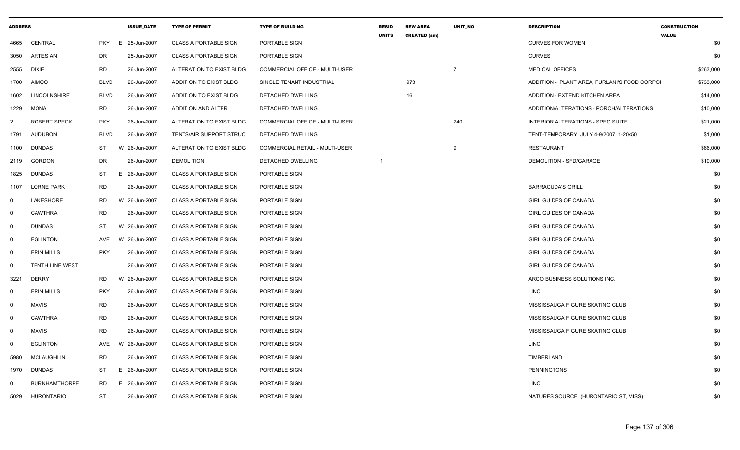| <b>ADDRESS</b> |                        |             | <b>ISSUE DATE</b> | <b>TYPE OF PERMIT</b>        | <b>TYPE OF BUILDING</b>        | <b>RESID</b><br><b>UNITS</b> | <b>NEW AREA</b><br><b>CREATED (sm)</b> | <b>UNIT NO</b> | <b>DESCRIPTION</b>                           | <b>CONSTRUCTION</b><br><b>VALUE</b> |
|----------------|------------------------|-------------|-------------------|------------------------------|--------------------------------|------------------------------|----------------------------------------|----------------|----------------------------------------------|-------------------------------------|
| 4665           | CENTRAL                | <b>PKY</b>  | E 25-Jun-2007     | <b>CLASS A PORTABLE SIGN</b> | PORTABLE SIGN                  |                              |                                        |                | <b>CURVES FOR WOMEN</b>                      | \$0                                 |
| 3050           | ARTESIAN               | DR          | 25-Jun-2007       | <b>CLASS A PORTABLE SIGN</b> | PORTABLE SIGN                  |                              |                                        |                | <b>CURVES</b>                                | \$0                                 |
| 2555           | DIXIE                  | RD          | 26-Jun-2007       | ALTERATION TO EXIST BLDG     | COMMERCIAL OFFICE - MULTI-USER |                              |                                        | $\overline{7}$ | <b>MEDICAL OFFICES</b>                       | \$263,000                           |
| 1700           | AIMCO                  | <b>BLVD</b> | 26-Jun-2007       | ADDITION TO EXIST BLDG       | SINGLE TENANT INDUSTRIAL       |                              | 973                                    |                | ADDITION - PLANT AREA, FURLANI'S FOOD CORPOI | \$733,000                           |
| 1602           | <b>LINCOLNSHIRE</b>    | <b>BLVD</b> | 26-Jun-2007       | ADDITION TO EXIST BLDG       | DETACHED DWELLING              |                              | 16                                     |                | ADDITION - EXTEND KITCHEN AREA               | \$14,000                            |
| 1229           | <b>MONA</b>            | <b>RD</b>   | 26-Jun-2007       | ADDITION AND ALTER           | DETACHED DWELLING              |                              |                                        |                | ADDITION/ALTERATIONS - PORCH/ALTERATIONS     | \$10,000                            |
| 2              | <b>ROBERT SPECK</b>    | <b>PKY</b>  | 26-Jun-2007       | ALTERATION TO EXIST BLDG     | COMMERCIAL OFFICE - MULTI-USER |                              |                                        | 240            | INTERIOR ALTERATIONS - SPEC SUITE            | \$21,000                            |
| 1791           | <b>AUDUBON</b>         | <b>BLVD</b> | 26-Jun-2007       | TENTS/AIR SUPPORT STRUC      | DETACHED DWELLING              |                              |                                        |                | TENT-TEMPORARY, JULY 4-9/2007, 1-20x50       | \$1,000                             |
| 1100           | DUNDAS                 | ST          | W 26-Jun-2007     | ALTERATION TO EXIST BLDG     | COMMERCIAL RETAIL - MULTI-USER |                              |                                        | 9              | <b>RESTAURANT</b>                            | \$66,000                            |
| 2119           | <b>GORDON</b>          | DR          | 26-Jun-2007       | <b>DEMOLITION</b>            | DETACHED DWELLING              |                              |                                        |                | DEMOLITION - SFD/GARAGE                      | \$10,000                            |
| 1825           | <b>DUNDAS</b>          | ST          | E 26-Jun-2007     | <b>CLASS A PORTABLE SIGN</b> | PORTABLE SIGN                  |                              |                                        |                |                                              | \$0                                 |
| 1107           | <b>LORNE PARK</b>      | RD          | 26-Jun-2007       | <b>CLASS A PORTABLE SIGN</b> | PORTABLE SIGN                  |                              |                                        |                | <b>BARRACUDA'S GRILL</b>                     | \$0                                 |
| 0              | LAKESHORE              | RD          | W 26-Jun-2007     | <b>CLASS A PORTABLE SIGN</b> | PORTABLE SIGN                  |                              |                                        |                | <b>GIRL GUIDES OF CANADA</b>                 | \$0                                 |
| 0              | <b>CAWTHRA</b>         | <b>RD</b>   | 26-Jun-2007       | <b>CLASS A PORTABLE SIGN</b> | PORTABLE SIGN                  |                              |                                        |                | <b>GIRL GUIDES OF CANADA</b>                 | \$0                                 |
| $\Omega$       | <b>DUNDAS</b>          | ST          | W 26-Jun-2007     | <b>CLASS A PORTABLE SIGN</b> | PORTABLE SIGN                  |                              |                                        |                | <b>GIRL GUIDES OF CANADA</b>                 | \$0                                 |
| $\mathbf 0$    | <b>EGLINTON</b>        | AVE         | W 26-Jun-2007     | <b>CLASS A PORTABLE SIGN</b> | PORTABLE SIGN                  |                              |                                        |                | <b>GIRL GUIDES OF CANADA</b>                 | \$0                                 |
| $\Omega$       | <b>ERIN MILLS</b>      | <b>PKY</b>  | 26-Jun-2007       | <b>CLASS A PORTABLE SIGN</b> | PORTABLE SIGN                  |                              |                                        |                | <b>GIRL GUIDES OF CANADA</b>                 | \$0                                 |
| $\mathbf 0$    | <b>TENTH LINE WEST</b> |             | 26-Jun-2007       | <b>CLASS A PORTABLE SIGN</b> | PORTABLE SIGN                  |                              |                                        |                | <b>GIRL GUIDES OF CANADA</b>                 | \$0                                 |
| 3221           | <b>DERRY</b>           | RD          | W 26-Jun-2007     | <b>CLASS A PORTABLE SIGN</b> | PORTABLE SIGN                  |                              |                                        |                | ARCO BUSINESS SOLUTIONS INC.                 | \$0                                 |
| $\Omega$       | <b>ERIN MILLS</b>      | <b>PKY</b>  | 26-Jun-2007       | <b>CLASS A PORTABLE SIGN</b> | PORTABLE SIGN                  |                              |                                        |                | LINC                                         | \$0                                 |
| 0              | <b>MAVIS</b>           | RD          | 26-Jun-2007       | <b>CLASS A PORTABLE SIGN</b> | PORTABLE SIGN                  |                              |                                        |                | MISSISSAUGA FIGURE SKATING CLUB              | \$0                                 |
| 0              | <b>CAWTHRA</b>         | <b>RD</b>   | 26-Jun-2007       | <b>CLASS A PORTABLE SIGN</b> | PORTABLE SIGN                  |                              |                                        |                | MISSISSAUGA FIGURE SKATING CLUB              | \$0                                 |
| 0              | <b>MAVIS</b>           | <b>RD</b>   | 26-Jun-2007       | <b>CLASS A PORTABLE SIGN</b> | PORTABLE SIGN                  |                              |                                        |                | MISSISSAUGA FIGURE SKATING CLUB              | \$0                                 |
| $\Omega$       | <b>EGLINTON</b>        | AVE         | W 26-Jun-2007     | <b>CLASS A PORTABLE SIGN</b> | PORTABLE SIGN                  |                              |                                        |                | <b>LINC</b>                                  | \$0                                 |
| 5980           | MCLAUGHLIN             | <b>RD</b>   | 26-Jun-2007       | <b>CLASS A PORTABLE SIGN</b> | PORTABLE SIGN                  |                              |                                        |                | TIMBERLAND                                   | \$0                                 |
| 1970           | DUNDAS                 | ST          | E 26-Jun-2007     | <b>CLASS A PORTABLE SIGN</b> | PORTABLE SIGN                  |                              |                                        |                | <b>PENNINGTONS</b>                           | \$0                                 |
| $\Omega$       | <b>BURNHAMTHORPE</b>   | RD          | E 26-Jun-2007     | <b>CLASS A PORTABLE SIGN</b> | PORTABLE SIGN                  |                              |                                        |                | <b>LINC</b>                                  | \$0                                 |
| 5029           | HURONTARIO             | ST          | 26-Jun-2007       | <b>CLASS A PORTABLE SIGN</b> | PORTABLE SIGN                  |                              |                                        |                | NATURES SOURCE (HURONTARIO ST, MISS)         | \$0                                 |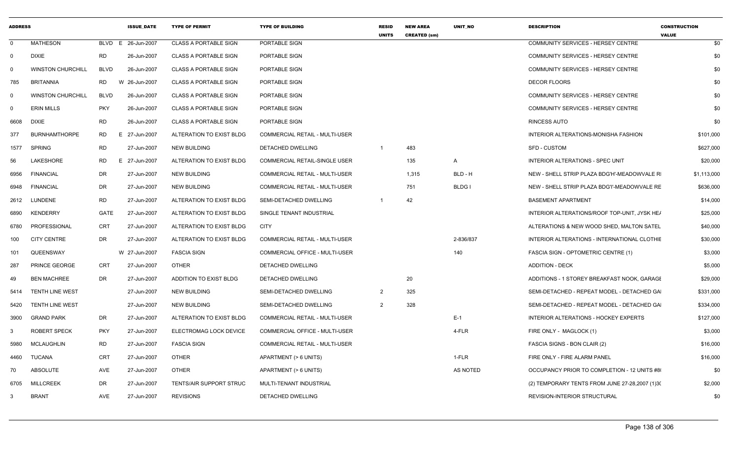| <b>ADDRESS</b> |                          |             | <b>ISSUE DATE</b>  | <b>TYPE OF PERMIT</b>        | <b>TYPE OF BUILDING</b>               | <b>RESID</b><br><b>UNITS</b> | <b>NEW AREA</b><br><b>CREATED (sm)</b> | UNIT_NO        | <b>DESCRIPTION</b>                             | <b>CONSTRUCTION</b><br><b>VALUE</b> |
|----------------|--------------------------|-------------|--------------------|------------------------------|---------------------------------------|------------------------------|----------------------------------------|----------------|------------------------------------------------|-------------------------------------|
| $\Omega$       | <b>MATHESON</b>          |             | BLVD E 26-Jun-2007 | <b>CLASS A PORTABLE SIGN</b> | PORTABLE SIGN                         |                              |                                        |                | COMMUNITY SERVICES - HERSEY CENTRE             | \$0                                 |
| 0              | <b>DIXIE</b>             | <b>RD</b>   | 26-Jun-2007        | <b>CLASS A PORTABLE SIGN</b> | PORTABLE SIGN                         |                              |                                        |                | COMMUNITY SERVICES - HERSEY CENTRE             | \$0                                 |
| $\Omega$       | <b>WINSTON CHURCHILL</b> | <b>BLVD</b> | 26-Jun-2007        | <b>CLASS A PORTABLE SIGN</b> | PORTABLE SIGN                         |                              |                                        |                | COMMUNITY SERVICES - HERSEY CENTRE             | \$0                                 |
| 785            | <b>BRITANNIA</b>         | RD          | W 26-Jun-2007      | <b>CLASS A PORTABLE SIGN</b> | PORTABLE SIGN                         |                              |                                        |                | <b>DECOR FLOORS</b>                            | \$0                                 |
| $\Omega$       | <b>WINSTON CHURCHILL</b> | <b>BLVD</b> | 26-Jun-2007        | <b>CLASS A PORTABLE SIGN</b> | PORTABLE SIGN                         |                              |                                        |                | COMMUNITY SERVICES - HERSEY CENTRE             | \$0                                 |
| $\Omega$       | <b>ERIN MILLS</b>        | <b>PKY</b>  | 26-Jun-2007        | <b>CLASS A PORTABLE SIGN</b> | PORTABLE SIGN                         |                              |                                        |                | COMMUNITY SERVICES - HERSEY CENTRE             | \$0                                 |
| 6608           | <b>DIXIE</b>             | <b>RD</b>   | 26-Jun-2007        | <b>CLASS A PORTABLE SIGN</b> | PORTABLE SIGN                         |                              |                                        |                | RINCESS AUTO                                   | \$0                                 |
| 377            | <b>BURNHAMTHORPE</b>     | RD          | E 27-Jun-2007      | ALTERATION TO EXIST BLDG     | COMMERCIAL RETAIL - MULTI-USER        |                              |                                        |                | INTERIOR ALTERATIONS-MONISHA FASHION           | \$101,000                           |
| 1577           | <b>SPRING</b>            | <b>RD</b>   | 27-Jun-2007        | <b>NEW BUILDING</b>          | DETACHED DWELLING                     | $\overline{1}$               | 483                                    |                | <b>SFD - CUSTOM</b>                            | \$627,000                           |
| 56             | LAKESHORE                | <b>RD</b>   | E 27-Jun-2007      | ALTERATION TO EXIST BLDG     | COMMERCIAL RETAIL-SINGLE USER         |                              | 135                                    | $\overline{A}$ | <b>INTERIOR ALTERATIONS - SPEC UNIT</b>        | \$20,000                            |
| 6956           | <b>FINANCIAL</b>         | <b>DR</b>   | 27-Jun-2007        | <b>NEW BUILDING</b>          | COMMERCIAL RETAIL - MULTI-USER        |                              | 1,315                                  | BLD - H        | NEW - SHELL STRIP PLAZA BDG'H'-MEADOWVALE R    | \$1,113,000                         |
| 6948           | <b>FINANCIAL</b>         | DR.         | 27-Jun-2007        | <b>NEW BUILDING</b>          | COMMERCIAL RETAIL - MULTI-USER        |                              | 751                                    | <b>BLDG I</b>  | NEW - SHELL STRIP PLAZA BDG'I'-MEADOWVALE RE   | \$636,000                           |
| 2612           | <b>LUNDENE</b>           | <b>RD</b>   | 27-Jun-2007        | ALTERATION TO EXIST BLDG     | SEMI-DETACHED DWELLING                |                              | 42                                     |                | <b>BASEMENT APARTMENT</b>                      | \$14,000                            |
| 6890           | <b>KENDERRY</b>          | GATE        | 27-Jun-2007        | ALTERATION TO EXIST BLDG     | SINGLE TENANT INDUSTRIAL              |                              |                                        |                | INTERIOR ALTERATIONS/ROOF TOP-UNIT, JYSK HE/   | \$25,000                            |
| 6780           | PROFESSIONAL             | CRT         | 27-Jun-2007        | ALTERATION TO EXIST BLDG     | <b>CITY</b>                           |                              |                                        |                | ALTERATIONS & NEW WOOD SHED, MALTON SATEL      | \$40,000                            |
| 100            | <b>CITY CENTRE</b>       | DR          | 27-Jun-2007        | ALTERATION TO EXIST BLDG     | <b>COMMERCIAL RETAIL - MULTI-USER</b> |                              |                                        | 2-836/837      | INTERIOR ALTERATIONS - INTERNATIONAL CLOTHIE   | \$30,000                            |
| 101            | QUEENSWAY                |             | W 27-Jun-2007      | <b>FASCIA SIGN</b>           | COMMERCIAL OFFICE - MULTI-USER        |                              |                                        | 140            | FASCIA SIGN - OPTOMETRIC CENTRE (1)            | \$3,000                             |
| 287            | PRINCE GEORGE            | <b>CRT</b>  | 27-Jun-2007        | <b>OTHER</b>                 | DETACHED DWELLING                     |                              |                                        |                | <b>ADDITION - DECK</b>                         | \$5,000                             |
| 49             | <b>BEN MACHREE</b>       | <b>DR</b>   | 27-Jun-2007        | ADDITION TO EXIST BLDG       | DETACHED DWELLING                     |                              | 20                                     |                | ADDITIONS - 1 STOREY BREAKFAST NOOK, GARAGE    | \$29,000                            |
| 5414           | <b>TENTH LINE WEST</b>   |             | 27-Jun-2007        | <b>NEW BUILDING</b>          | SEMI-DETACHED DWELLING                | $\overline{2}$               | 325                                    |                | SEMI-DETACHED - REPEAT MODEL - DETACHED GA     | \$331,000                           |
| 5420           | <b>TENTH LINE WEST</b>   |             | 27-Jun-2007        | <b>NEW BUILDING</b>          | SEMI-DETACHED DWELLING                | $\overline{2}$               | 328                                    |                | SEMI-DETACHED - REPEAT MODEL - DETACHED GA     | \$334,000                           |
| 3900           | <b>GRAND PARK</b>        | DR          | 27-Jun-2007        | ALTERATION TO EXIST BLDG     | COMMERCIAL RETAIL - MULTI-USER        |                              |                                        | $E-1$          | <b>INTERIOR ALTERATIONS - HOCKEY EXPERTS</b>   | \$127,000                           |
| -3             | ROBERT SPECK             | <b>PKY</b>  | 27-Jun-2007        | ELECTROMAG LOCK DEVICE       | COMMERCIAL OFFICE - MULTI-USER        |                              |                                        | 4-FLR          | FIRE ONLY - MAGLOCK (1)                        | \$3,000                             |
| 5980           | <b>MCLAUGHLIN</b>        | <b>RD</b>   | 27-Jun-2007        | <b>FASCIA SIGN</b>           | COMMERCIAL RETAIL - MULTI-USER        |                              |                                        |                | FASCIA SIGNS - BON CLAIR (2)                   | \$16,000                            |
| 4460           | <b>TUCANA</b>            | CRT         | 27-Jun-2007        | <b>OTHER</b>                 | APARTMENT (> 6 UNITS)                 |                              |                                        | 1-FLR          | FIRE ONLY - FIRE ALARM PANEL                   | \$16,000                            |
| 70             | ABSOLUTE                 | AVE         | 27-Jun-2007        | <b>OTHER</b>                 | APARTMENT (> 6 UNITS)                 |                              |                                        | AS NOTED       | OCCUPANCY PRIOR TO COMPLETION - 12 UNITS #8    | \$0                                 |
| 6705           | <b>MILLCREEK</b>         | <b>DR</b>   | 27-Jun-2007        | TENTS/AIR SUPPORT STRUC      | MULTI-TENANT INDUSTRIAL               |                              |                                        |                | (2) TEMPORARY TENTS FROM JUNE 27-28,2007 (1)30 | \$2,000                             |
| 3              | <b>BRANT</b>             | <b>AVE</b>  | 27-Jun-2007        | <b>REVISIONS</b>             | DETACHED DWELLING                     |                              |                                        |                | REVISION-INTERIOR STRUCTURAL                   | \$0                                 |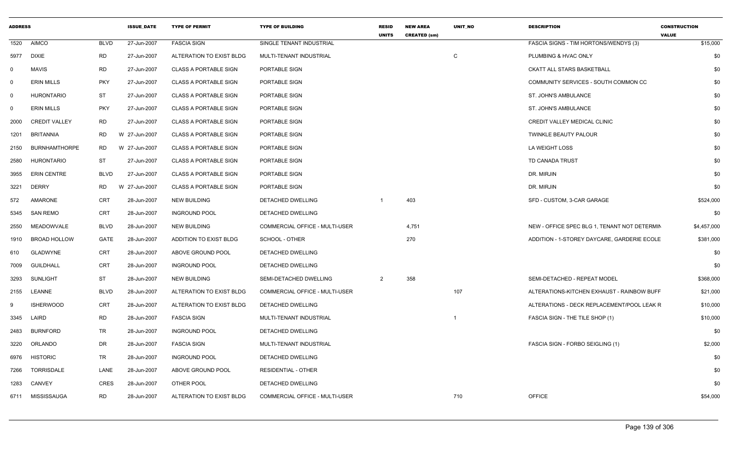| <b>ADDRESS</b> |                      |             | <b>ISSUE_DATE</b> | <b>TYPE OF PERMIT</b>        | <b>TYPE OF BUILDING</b>               | <b>RESID</b><br><b>UNITS</b> | <b>NEW AREA</b><br><b>CREATED (sm)</b> | UNIT_NO | <b>DESCRIPTION</b>                           | <b>CONSTRUCTION</b><br><b>VALUE</b> |
|----------------|----------------------|-------------|-------------------|------------------------------|---------------------------------------|------------------------------|----------------------------------------|---------|----------------------------------------------|-------------------------------------|
| 1520           | <b>AIMCO</b>         | <b>BLVD</b> | 27-Jun-2007       | <b>FASCIA SIGN</b>           | SINGLE TENANT INDUSTRIAL              |                              |                                        |         | FASCIA SIGNS - TIM HORTONS/WENDYS (3)        | \$15,000                            |
| 5977           | <b>DIXIE</b>         | <b>RD</b>   | 27-Jun-2007       | ALTERATION TO EXIST BLDG     | MULTI-TENANT INDUSTRIAL               |                              |                                        | C       | PLUMBING & HVAC ONLY                         | \$0                                 |
| $\mathbf 0$    | <b>MAVIS</b>         | <b>RD</b>   | 27-Jun-2007       | <b>CLASS A PORTABLE SIGN</b> | PORTABLE SIGN                         |                              |                                        |         | <b>CKATT ALL STARS BASKETBALL</b>            | \$0                                 |
| $\mathbf 0$    | <b>ERIN MILLS</b>    | <b>PKY</b>  | 27-Jun-2007       | <b>CLASS A PORTABLE SIGN</b> | PORTABLE SIGN                         |                              |                                        |         | COMMUNITY SERVICES - SOUTH COMMON CC         | \$0                                 |
| $\mathbf 0$    | <b>HURONTARIO</b>    | <b>ST</b>   | 27-Jun-2007       | <b>CLASS A PORTABLE SIGN</b> | PORTABLE SIGN                         |                              |                                        |         | ST. JOHN'S AMBULANCE                         | \$0                                 |
| $\mathbf 0$    | <b>ERIN MILLS</b>    | <b>PKY</b>  | 27-Jun-2007       | <b>CLASS A PORTABLE SIGN</b> | PORTABLE SIGN                         |                              |                                        |         | ST. JOHN'S AMBULANCE                         | \$0                                 |
| 2000           | <b>CREDIT VALLEY</b> | <b>RD</b>   | 27-Jun-2007       | <b>CLASS A PORTABLE SIGN</b> | PORTABLE SIGN                         |                              |                                        |         | CREDIT VALLEY MEDICAL CLINIC                 | \$0                                 |
| 1201           | <b>BRITANNIA</b>     | <b>RD</b>   | W 27-Jun-2007     | <b>CLASS A PORTABLE SIGN</b> | PORTABLE SIGN                         |                              |                                        |         | TWINKLE BEAUTY PALOUR                        | \$0                                 |
| 2150           | <b>BURNHAMTHORPE</b> | RD.         | W 27-Jun-2007     | <b>CLASS A PORTABLE SIGN</b> | PORTABLE SIGN                         |                              |                                        |         | LA WEIGHT LOSS                               | \$0                                 |
| 2580           | <b>HURONTARIO</b>    | ST          | 27-Jun-2007       | <b>CLASS A PORTABLE SIGN</b> | PORTABLE SIGN                         |                              |                                        |         | TD CANADA TRUST                              | \$0                                 |
| 3955           | <b>ERIN CENTRE</b>   | <b>BLVD</b> | 27-Jun-2007       | <b>CLASS A PORTABLE SIGN</b> | PORTABLE SIGN                         |                              |                                        |         | DR. MIRJIN                                   | \$0                                 |
| 3221           | <b>DERRY</b>         | <b>RD</b>   | W 27-Jun-2007     | <b>CLASS A PORTABLE SIGN</b> | PORTABLE SIGN                         |                              |                                        |         | DR. MIRJIN                                   | \$0                                 |
| 572            | AMARONE              | <b>CRT</b>  | 28-Jun-2007       | NEW BUILDING                 | DETACHED DWELLING                     | $\overline{\mathbf{1}}$      | 403                                    |         | SFD - CUSTOM, 3-CAR GARAGE                   | \$524,000                           |
| 5345           | <b>SAN REMO</b>      | <b>CRT</b>  | 28-Jun-2007       | <b>INGROUND POOL</b>         | DETACHED DWELLING                     |                              |                                        |         |                                              | \$0                                 |
| 2550           | <b>MEADOWVALE</b>    | <b>BLVD</b> | 28-Jun-2007       | <b>NEW BUILDING</b>          | COMMERCIAL OFFICE - MULTI-USER        |                              | 4,751                                  |         | NEW - OFFICE SPEC BLG 1, TENANT NOT DETERMIN | \$4,457,000                         |
| 1910           | <b>BROAD HOLLOW</b>  | GATE        | 28-Jun-2007       | ADDITION TO EXIST BLDG       | SCHOOL - OTHER                        |                              | 270                                    |         | ADDITION - 1-STOREY DAYCARE, GARDERIE ECOLE  | \$381,000                           |
| 610            | GLADWYNE             | <b>CRT</b>  | 28-Jun-2007       | ABOVE GROUND POOL            | DETACHED DWELLING                     |                              |                                        |         |                                              | \$0                                 |
| 7009           | <b>GUILDHALL</b>     | <b>CRT</b>  | 28-Jun-2007       | <b>INGROUND POOL</b>         | DETACHED DWELLING                     |                              |                                        |         |                                              | \$0                                 |
| 3293           | SUNLIGHT             | <b>ST</b>   | 28-Jun-2007       | <b>NEW BUILDING</b>          | SEMI-DETACHED DWELLING                | 2                            | 358                                    |         | SEMI-DETACHED - REPEAT MODEL                 | \$368,000                           |
| 2155           | <b>LEANNE</b>        | <b>BLVD</b> | 28-Jun-2007       | ALTERATION TO EXIST BLDG     | COMMERCIAL OFFICE - MULTI-USER        |                              |                                        | 107     | ALTERATIONS-KITCHEN EXHAUST - RAINBOW BUFF   | \$21,000                            |
| 9              | <b>ISHERWOOD</b>     | <b>CRT</b>  | 28-Jun-2007       | ALTERATION TO EXIST BLDG     | DETACHED DWELLING                     |                              |                                        |         | ALTERATIONS - DECK REPLACEMENT/POOL LEAK R   | \$10,000                            |
| 3345           | LAIRD                | <b>RD</b>   | 28-Jun-2007       | <b>FASCIA SIGN</b>           | MULTI-TENANT INDUSTRIAL               |                              |                                        |         | FASCIA SIGN - THE TILE SHOP (1)              | \$10,000                            |
| 2483           | <b>BURNFORD</b>      | <b>TR</b>   | 28-Jun-2007       | <b>INGROUND POOL</b>         | DETACHED DWELLING                     |                              |                                        |         |                                              | \$0                                 |
| 3220           | ORLANDO              | <b>DR</b>   | 28-Jun-2007       | <b>FASCIA SIGN</b>           | MULTI-TENANT INDUSTRIAL               |                              |                                        |         | FASCIA SIGN - FORBO SEIGLING (1)             | \$2,000                             |
| 6976           | <b>HISTORIC</b>      | <b>TR</b>   | 28-Jun-2007       | <b>INGROUND POOL</b>         | DETACHED DWELLING                     |                              |                                        |         |                                              | \$0                                 |
| 7266           | TORRISDALE           | LANE        | 28-Jun-2007       | ABOVE GROUND POOL            | <b>RESIDENTIAL - OTHER</b>            |                              |                                        |         |                                              | \$0                                 |
| 1283           | CANVEY               | <b>CRES</b> | 28-Jun-2007       | OTHER POOL                   | DETACHED DWELLING                     |                              |                                        |         |                                              | \$0                                 |
| 6711           | MISSISSAUGA          | RD          | 28-Jun-2007       | ALTERATION TO EXIST BLDG     | <b>COMMERCIAL OFFICE - MULTI-USER</b> |                              |                                        | 710     | <b>OFFICE</b>                                | \$54,000                            |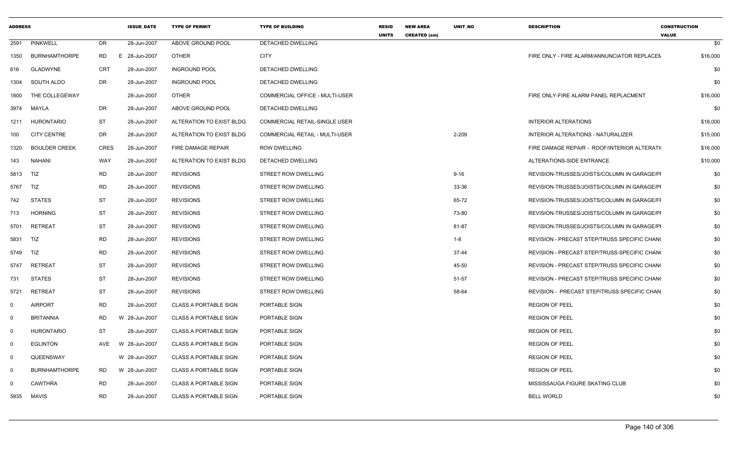| <b>ADDRESS</b> |                      |             | <b>ISSUE DATE</b> | <b>TYPE OF PERMIT</b>        | <b>TYPE OF BUILDING</b>               | <b>RESID</b><br><b>UNITS</b> | <b>NEW AREA</b><br><b>CREATED (sm)</b> | <b>UNIT NO</b> | <b>DESCRIPTION</b>                           | <b>CONSTRUCTION</b><br><b>VALUE</b> |          |
|----------------|----------------------|-------------|-------------------|------------------------------|---------------------------------------|------------------------------|----------------------------------------|----------------|----------------------------------------------|-------------------------------------|----------|
| 2591           | <b>PINKWELL</b>      | <b>DR</b>   | 28-Jun-2007       | ABOVE GROUND POOL            | <b>DETACHED DWELLING</b>              |                              |                                        |                |                                              |                                     | \$0      |
| 1350           | <b>BURNHAMTHORPE</b> | <b>RD</b>   | E 28-Jun-2007     | <b>OTHER</b>                 | <b>CITY</b>                           |                              |                                        |                | FIRE ONLY - FIRE ALARM/ANNUNCIATOR REPLACEN  |                                     | \$16,000 |
| 616            | GLADWYNE             | <b>CRT</b>  | 28-Jun-2007       | <b>INGROUND POOL</b>         | DETACHED DWELLING                     |                              |                                        |                |                                              |                                     | \$0      |
| 1304           | SOUTH ALDO           | <b>DR</b>   | 28-Jun-2007       | <b>INGROUND POOL</b>         | DETACHED DWELLING                     |                              |                                        |                |                                              |                                     | \$0      |
| 1800           | THE COLLEGEWAY       |             | 28-Jun-2007       | <b>OTHER</b>                 | <b>COMMERCIAL OFFICE - MULTI-USER</b> |                              |                                        |                | FIRE ONLY-FIRE ALARM PANEL REPLACMENT        |                                     | \$16,000 |
| 3974           | MAYLA                | <b>DR</b>   | 28-Jun-2007       | ABOVE GROUND POOL            | DETACHED DWELLING                     |                              |                                        |                |                                              |                                     | \$0      |
| 1211           | <b>HURONTARIO</b>    | <b>ST</b>   | 28-Jun-2007       | ALTERATION TO EXIST BLDG     | COMMERCIAL RETAIL-SINGLE USER         |                              |                                        |                | <b>INTERIOR ALTERATIONS</b>                  |                                     | \$18,000 |
| 100            | <b>CITY CENTRE</b>   | <b>DR</b>   | 28-Jun-2007       | ALTERATION TO EXIST BLDG     | <b>COMMERCIAL RETAIL - MULTI-USER</b> |                              |                                        | 2-209          | INTERIOR ALTERATIONS - NATURALIZER           |                                     | \$15,000 |
| 1320           | <b>BOULDER CREEK</b> | <b>CRES</b> | 28-Jun-2007       | FIRE DAMAGE REPAIR           | <b>ROW DWELLING</b>                   |                              |                                        |                | FIRE DAMAGE REPAIR - ROOF/INTERIOR ALTERATI  |                                     | \$16,000 |
| 143            | <b>NAHANI</b>        | WAY         | 28-Jun-2007       | ALTERATION TO EXIST BLDG     | DETACHED DWELLING                     |                              |                                        |                | ALTERATIONS-SIDE ENTRANCE                    |                                     | \$10,000 |
| 5813           | TIZ                  | <b>RD</b>   | 28-Jun-2007       | <b>REVISIONS</b>             | STREET ROW DWELLING                   |                              |                                        | $9 - 16$       | REVISION-TRUSSES/JOISTS/COLUMN IN GARAGE/PI  |                                     | \$0      |
| 5767           | TIZ                  | <b>RD</b>   | 28-Jun-2007       | <b>REVISIONS</b>             | <b>STREET ROW DWELLING</b>            |                              |                                        | 33-36          | REVISION-TRUSSES/JOISTS/COLUMN IN GARAGE/PI  |                                     | \$0      |
| 742            | <b>STATES</b>        | <b>ST</b>   | 28-Jun-2007       | <b>REVISIONS</b>             | STREET ROW DWELLING                   |                              |                                        | 65-72          | REVISION-TRUSSES/JOISTS/COLUMN IN GARAGE/FI  |                                     | \$0      |
| 713            | <b>HORNING</b>       | <b>ST</b>   | 28-Jun-2007       | <b>REVISIONS</b>             | STREET ROW DWELLING                   |                              |                                        | 73-80          | REVISION-TRUSSES/JOISTS/COLUMN IN GARAGE/PI  |                                     | \$0      |
| 5701           | RETREAT              | ST          | 28-Jun-2007       | <b>REVISIONS</b>             | STREET ROW DWELLING                   |                              |                                        | 81-87          | REVISION-TRUSSES/JOISTS/COLUMN IN GARAGE/PI  |                                     | \$0      |
| 5831           | TIZ                  | <b>RD</b>   | 28-Jun-2007       | <b>REVISIONS</b>             | STREET ROW DWELLING                   |                              |                                        | $1 - 8$        | REVISION - PRECAST STEP/TRUSS SPECIFIC CHANG |                                     | \$0      |
| 5749           | TIZ                  | <b>RD</b>   | 28-Jun-2007       | <b>REVISIONS</b>             | STREET ROW DWELLING                   |                              |                                        | $37 - 44$      | REVISION - PRECAST STEP/TRUSS-SPECIFIC CHANG |                                     | \$0      |
| 5747           | RETREAT              | <b>ST</b>   | 28-Jun-2007       | <b>REVISIONS</b>             | STREET ROW DWELLING                   |                              |                                        | 45-50          | REVISION - PRECAST STEP/TRUSS SPECIFIC CHANG |                                     | \$0      |
| 731            | <b>STATES</b>        | <b>ST</b>   | 28-Jun-2007       | <b>REVISIONS</b>             | STREET ROW DWELLING                   |                              |                                        | 51-57          | REVISION - PRECAST STEP/TRUSS SPECIFIC CHANG |                                     | \$0      |
| 5721           | RETREAT              | <b>ST</b>   | 28-Jun-2007       | <b>REVISIONS</b>             | STREET ROW DWELLING                   |                              |                                        | 58-64          | REVISION - PRECAST STEP/TRUSS SPECIFIC CHAN  |                                     | \$0      |
| 0              | <b>AIRPORT</b>       | <b>RD</b>   | 28-Jun-2007       | <b>CLASS A PORTABLE SIGN</b> | PORTABLE SIGN                         |                              |                                        |                | <b>REGION OF PEEL</b>                        |                                     | \$0      |
| 0              | <b>BRITANNIA</b>     | RD          | W 28-Jun-2007     | <b>CLASS A PORTABLE SIGN</b> | PORTABLE SIGN                         |                              |                                        |                | <b>REGION OF PEEL</b>                        |                                     | \$0      |
| $\mathbf 0$    | <b>HURONTARIO</b>    | <b>ST</b>   | 28-Jun-2007       | <b>CLASS A PORTABLE SIGN</b> | PORTABLE SIGN                         |                              |                                        |                | <b>REGION OF PEEL</b>                        |                                     | \$0      |
| $\mathbf 0$    | <b>EGLINTON</b>      | AVE         | W 28-Jun-2007     | <b>CLASS A PORTABLE SIGN</b> | PORTABLE SIGN                         |                              |                                        |                | <b>REGION OF PEEL</b>                        |                                     | \$0      |
| 0              | QUEENSWAY            |             | W 28-Jun-2007     | <b>CLASS A PORTABLE SIGN</b> | PORTABLE SIGN                         |                              |                                        |                | <b>REGION OF PEEL</b>                        |                                     | \$0      |
| $\Omega$       | <b>BURNHAMTHORPE</b> | RD.         | W 28-Jun-2007     | <b>CLASS A PORTABLE SIGN</b> | PORTABLE SIGN                         |                              |                                        |                | <b>REGION OF PEEL</b>                        |                                     | \$0      |
| 0              | <b>CAWTHRA</b>       | <b>RD</b>   | 28-Jun-2007       | <b>CLASS A PORTABLE SIGN</b> | PORTABLE SIGN                         |                              |                                        |                | MISSISSAUGA FIGURE SKATING CLUB              |                                     | \$0      |
| 5935           | MAVIS                | <b>RD</b>   | 28-Jun-2007       | <b>CLASS A PORTABLE SIGN</b> | PORTABLE SIGN                         |                              |                                        |                | <b>BELL WORLD</b>                            |                                     | \$0      |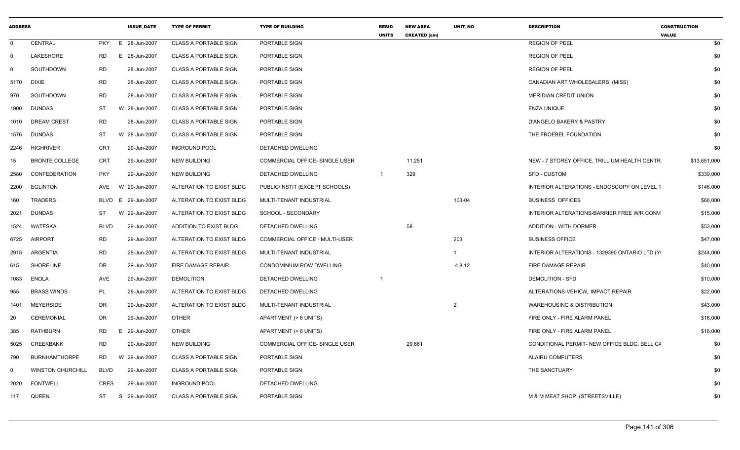| <b>ADDRESS</b> |                          |             | <b>ISSUE DATE</b>  | <b>TYPE OF PERMIT</b>        | <b>TYPE OF BUILDING</b>        | <b>RESID</b><br><b>UNITS</b> | <b>NEW AREA</b><br><b>CREATED (sm)</b> | <b>UNIT NO</b> | <b>DESCRIPTION</b>                             | <b>CONSTRUCTION</b><br><b>VALUE</b> |
|----------------|--------------------------|-------------|--------------------|------------------------------|--------------------------------|------------------------------|----------------------------------------|----------------|------------------------------------------------|-------------------------------------|
| $\Omega$       | CENTRAL                  |             | PKY E 28-Jun-2007  | <b>CLASS A PORTABLE SIGN</b> | PORTABLE SIGN                  |                              |                                        |                | <b>REGION OF PEEL</b>                          | \$0                                 |
| $\Omega$       | LAKESHORE                | <b>RD</b>   | 28-Jun-2007<br>E   | <b>CLASS A PORTABLE SIGN</b> | PORTABLE SIGN                  |                              |                                        |                | <b>REGION OF PEEL</b>                          | \$0                                 |
| $\mathbf{0}$   | SOUTHDOWN                | <b>RD</b>   | 28-Jun-2007        | <b>CLASS A PORTABLE SIGN</b> | PORTABLE SIGN                  |                              |                                        |                | <b>REGION OF PEEL</b>                          | \$0                                 |
| 5170 DIXIE     |                          | <b>RD</b>   | 28-Jun-2007        | <b>CLASS A PORTABLE SIGN</b> | PORTABLE SIGN                  |                              |                                        |                | CANADIAN ART WHOLESALERS (MISS)                | \$0                                 |
| 970            | SOUTHDOWN                | <b>RD</b>   | 28-Jun-2007        | <b>CLASS A PORTABLE SIGN</b> | PORTABLE SIGN                  |                              |                                        |                | <b>MERIDIAN CREDIT UNION</b>                   | \$0                                 |
|                | 1900 DUNDAS              | ST          | W 28-Jun-2007      | <b>CLASS A PORTABLE SIGN</b> | PORTABLE SIGN                  |                              |                                        |                | ENZA UNIQUE                                    | \$0                                 |
|                | 1010 DREAM CREST         | <b>RD</b>   | 28-Jun-2007        | <b>CLASS A PORTABLE SIGN</b> | PORTABLE SIGN                  |                              |                                        |                | D'ANGELO BAKERY & PASTRY                       | \$0                                 |
|                | 1576 DUNDAS              | ST          | 28-Jun-2007<br>- W | <b>CLASS A PORTABLE SIGN</b> | PORTABLE SIGN                  |                              |                                        |                | THE FROEBEL FOUNDATION                         | \$0                                 |
|                | 2246 HIGHRIVER           | CRT         | 29-Jun-2007        | <b>INGROUND POOL</b>         | DETACHED DWELLING              |                              |                                        |                |                                                | \$0                                 |
| 15             | <b>BRONTE COLLEGE</b>    | CRT         | 29-Jun-2007        | <b>NEW BUILDING</b>          | COMMERCIAL OFFICE- SINGLE USER |                              | 11,251                                 |                | NEW - 7 STOREY OFFICE, TRILLIUM HEALTH CENTR   | \$13,651,000                        |
|                | 2580 CONFEDERATION       | <b>PKY</b>  | 29-Jun-2007        | <b>NEW BUILDING</b>          | DETACHED DWELLING              | $\overline{1}$               | 329                                    |                | <b>SFD - CUSTOM</b>                            | \$339,000                           |
|                | 2200 EGLINTON            | AVE W       | 29-Jun-2007        | ALTERATION TO EXIST BLDG     | PUBLIC/INSTIT (EXCEPT SCHOOLS) |                              |                                        |                | INTERIOR ALTERATIONS - ENDOSCOPY ON LEVEL 1    | \$146,000                           |
| 160            | TRADERS                  | BLVD E      | 29-Jun-2007        | ALTERATION TO EXIST BLDG     | MULTI-TENANT INDUSTRIAL        |                              |                                        | 103-04         | <b>BUSINESS OFFICES</b>                        | \$66,000                            |
|                | 2021 DUNDAS              | ST          | - W<br>29-Jun-2007 | ALTERATION TO EXIST BLDG     | SCHOOL - SECONDARY             |                              |                                        |                | INTERIOR ALTERATIONS-BARRIER FREE W/R CONV     | \$15,000                            |
|                | 1524 WATESKA             | <b>BLVD</b> | 29-Jun-2007        | ADDITION TO EXIST BLDG       | DETACHED DWELLING              |                              | 58                                     |                | <b>ADDITION - WITH DORMER</b>                  | \$53,000                            |
|                | 6725 AIRPORT             | <b>RD</b>   | 29-Jun-2007        | ALTERATION TO EXIST BLDG     | COMMERCIAL OFFICE - MULTI-USER |                              |                                        | 203            | <b>BUSINESS OFFICE</b>                         | \$47,000                            |
|                | 2915 ARGENTIA            | <b>RD</b>   | 29-Jun-2007        | ALTERATION TO EXIST BLDG     | MULTI-TENANT INDUSTRIAL        |                              |                                        | -1             | INTERIOR ALTERATIONS - 1329390 ONTARIO LTD (Y) | \$244,000                           |
| 615            | SHORELINE                | DR          | 29-Jun-2007        | FIRE DAMAGE REPAIR           | CONDOMINIUM ROW DWELLING       |                              |                                        | 4,8,12         | FIRE DAMAGE REPAIR                             | \$40,000                            |
|                | 1083 ENOLA               | AVE         | 29-Jun-2007        | <b>DEMOLITION</b>            | DETACHED DWELLING              | $\overline{1}$               |                                        |                | <b>DEMOLITION - SFD</b>                        | \$10,000                            |
| 955            | <b>BRASS WINDS</b>       | PL          | 29-Jun-2007        | ALTERATION TO EXIST BLDG     | <b>DETACHED DWELLING</b>       |                              |                                        |                | ALTERATIONS-VEHICAL IMPACT REPAIR              | \$22,000                            |
| 1401           | MEYERSIDE                | <b>DR</b>   | 29-Jun-2007        | ALTERATION TO EXIST BLDG     | MULTI-TENANT INDUSTRIAL        |                              |                                        | $\overline{2}$ | <b>WAREHOUSING &amp; DISTRIBUTION</b>          | \$43,000                            |
| 20             | CEREMONIAL               | <b>DR</b>   | 29-Jun-2007        | <b>OTHER</b>                 | APARTMENT (> 6 UNITS)          |                              |                                        |                | FIRE ONLY - FIRE ALARM PANEL                   | \$16,000                            |
| 385            | RATHBURN                 | RD          | 29-Jun-2007<br>E   | OTHER                        | APARTMENT (> 6 UNITS)          |                              |                                        |                | FIRE ONLY - FIRE ALARM PANEL                   | \$16,000                            |
| 5025           | <b>CREEKBANK</b>         | <b>RD</b>   | 29-Jun-2007        | <b>NEW BUILDING</b>          | COMMERCIAL OFFICE- SINGLE USER |                              | 29,661                                 |                | CONDITIONAL PERMIT- NEW OFFICE BLDG, BELL CA   | \$0                                 |
| 790            | <b>BURNHAMTHORPE</b>     | <b>RD</b>   | W 29-Jun-2007      | <b>CLASS A PORTABLE SIGN</b> | PORTABLE SIGN                  |                              |                                        |                | ALAIRU COMPUTERS                               | \$0                                 |
| $\Omega$       | <b>WINSTON CHURCHILL</b> | <b>BLVD</b> | 29-Jun-2007        | <b>CLASS A PORTABLE SIGN</b> | PORTABLE SIGN                  |                              |                                        |                | THE SANCTUARY                                  | \$0                                 |
| 2020           | <b>FONTWELL</b>          | <b>CRES</b> | 29-Jun-2007        | <b>INGROUND POOL</b>         | DETACHED DWELLING              |                              |                                        |                |                                                | \$0                                 |
|                | 117 QUEEN                | <b>ST</b>   | 29-Jun-2007<br>S.  | <b>CLASS A PORTABLE SIGN</b> | PORTABLE SIGN                  |                              |                                        |                | M & M MEAT SHOP (STREETSVILLE)                 | \$0                                 |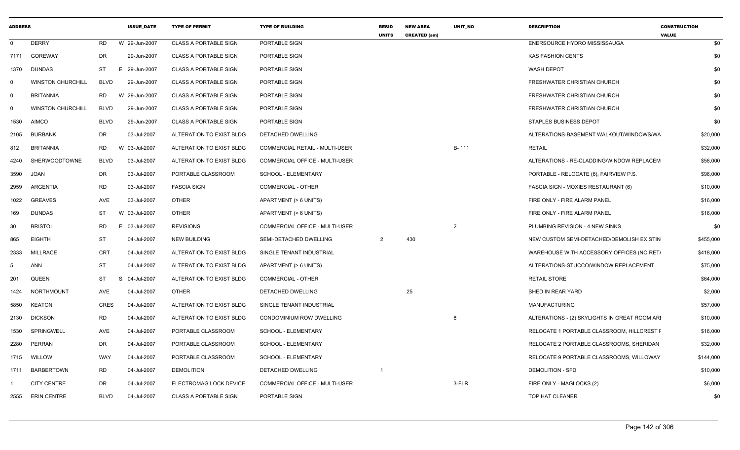| <b>ADDRESS</b> |                          |             | <b>ISSUE DATE</b> | <b>TYPE OF PERMIT</b>        | <b>TYPE OF BUILDING</b>        | <b>RESID</b><br><b>UNITS</b> | <b>NEW AREA</b><br><b>CREATED (sm)</b> | <b>UNIT NO</b> | <b>DESCRIPTION</b>                            | <b>CONSTRUCTION</b><br><b>VALUE</b> |
|----------------|--------------------------|-------------|-------------------|------------------------------|--------------------------------|------------------------------|----------------------------------------|----------------|-----------------------------------------------|-------------------------------------|
| $\mathbf 0$    | <b>DERRY</b>             | RD          | W 29-Jun-2007     | <b>CLASS A PORTABLE SIGN</b> | PORTABLE SIGN                  |                              |                                        |                | ENERSOURCE HYDRO MISSISSAUGA                  | \$0                                 |
| 7171           | GOREWAY                  | DR          | 29-Jun-2007       | <b>CLASS A PORTABLE SIGN</b> | PORTABLE SIGN                  |                              |                                        |                | <b>KAS FASHION CENTS</b>                      | \$0                                 |
| 1370           | <b>DUNDAS</b>            | ST          | E 29-Jun-2007     | <b>CLASS A PORTABLE SIGN</b> | PORTABLE SIGN                  |                              |                                        |                | <b>WASH DEPOT</b>                             | \$0                                 |
| $\mathbf 0$    | <b>WINSTON CHURCHILL</b> | <b>BLVD</b> | 29-Jun-2007       | <b>CLASS A PORTABLE SIGN</b> | PORTABLE SIGN                  |                              |                                        |                | FRESHWATER CHRISTIAN CHURCH                   | \$0                                 |
| $\overline{0}$ | <b>BRITANNIA</b>         | <b>RD</b>   | W 29-Jun-2007     | <b>CLASS A PORTABLE SIGN</b> | PORTABLE SIGN                  |                              |                                        |                | FRESHWATER CHRISTIAN CHURCH                   | \$0                                 |
| $\mathbf 0$    | <b>WINSTON CHURCHILL</b> | <b>BLVD</b> | 29-Jun-2007       | <b>CLASS A PORTABLE SIGN</b> | PORTABLE SIGN                  |                              |                                        |                | FRESHWATER CHRISTIAN CHURCH                   | \$0                                 |
| 1530           | <b>AIMCO</b>             | <b>BLVD</b> | 29-Jun-2007       | <b>CLASS A PORTABLE SIGN</b> | PORTABLE SIGN                  |                              |                                        |                | STAPLES BUSINESS DEPOT                        | \$0                                 |
| 2105           | <b>BURBANK</b>           | DR          | 03-Jul-2007       | ALTERATION TO EXIST BLDG     | <b>DETACHED DWELLING</b>       |                              |                                        |                | ALTERATIONS-BASEMENT WALKOUT/WINDOWS/WA       | \$20,000                            |
| 812            | <b>BRITANNIA</b>         | RD.         | W 03-Jul-2007     | ALTERATION TO EXIST BLDG     | COMMERCIAL RETAIL - MULTI-USER |                              |                                        | B-111          | <b>RETAIL</b>                                 | \$32,000                            |
| 4240           | <b>SHERWOODTOWNE</b>     | <b>BLVD</b> | 03-Jul-2007       | ALTERATION TO EXIST BLDG     | COMMERCIAL OFFICE - MULTI-USER |                              |                                        |                | ALTERATIONS - RE-CLADDING/WINDOW REPLACEM     | \$58,000                            |
| 3590           | <b>JOAN</b>              | DR          | 03-Jul-2007       | PORTABLE CLASSROOM           | SCHOOL - ELEMENTARY            |                              |                                        |                | PORTABLE - RELOCATE (6), FAIRVIEW P.S.        | \$96,000                            |
| 2959           | ARGENTIA                 | <b>RD</b>   | 03-Jul-2007       | <b>FASCIA SIGN</b>           | <b>COMMERCIAL - OTHER</b>      |                              |                                        |                | FASCIA SIGN - MOXIES RESTAURANT (6)           | \$10,000                            |
| 1022           | <b>GREAVES</b>           | AVE         | 03-Jul-2007       | <b>OTHER</b>                 | APARTMENT (> 6 UNITS)          |                              |                                        |                | FIRE ONLY - FIRE ALARM PANEL                  | \$16,000                            |
| 169            | <b>DUNDAS</b>            | <b>ST</b>   | W 03-Jul-2007     | <b>OTHER</b>                 | APARTMENT (> 6 UNITS)          |                              |                                        |                | FIRE ONLY - FIRE ALARM PANEL                  | \$16,000                            |
| 30             | <b>BRISTOL</b>           | <b>RD</b>   | E 03-Jul-2007     | <b>REVISIONS</b>             | COMMERCIAL OFFICE - MULTI-USER |                              |                                        | $\mathcal{P}$  | PLUMBING REVISION - 4 NEW SINKS               | \$0                                 |
| 865            | <b>EIGHTH</b>            | <b>ST</b>   | 04-Jul-2007       | <b>NEW BUILDING</b>          | SEMI-DETACHED DWELLING         | 2                            | 430                                    |                | NEW CUSTOM SEMI-DETACHED/DEMOLISH EXISTIN     | \$455,000                           |
| 2333           | <b>MILLRACE</b>          | CRT         | 04-Jul-2007       | ALTERATION TO EXIST BLDG     | SINGLE TENANT INDUSTRIAL       |                              |                                        |                | WAREHOUSE WITH ACCESSORY OFFICES (NO RET/     | \$418,000                           |
| 5              | <b>ANN</b>               | ST          | 04-Jul-2007       | ALTERATION TO EXIST BLDG     | APARTMENT (> 6 UNITS)          |                              |                                        |                | ALTERATIONS-STUCCO/WINDOW REPLACEMENT         | \$75,000                            |
| 201            | <b>QUEEN</b>             | <b>ST</b>   | S 04-Jul-2007     | ALTERATION TO EXIST BLDG     | <b>COMMERCIAL - OTHER</b>      |                              |                                        |                | <b>RETAIL STORE</b>                           | \$64,000                            |
| 1424           | NORTHMOUNT               | AVE         | 04-Jul-2007       | OTHER                        | DETACHED DWELLING              |                              | 25                                     |                | SHED IN REAR YARD                             | \$2,000                             |
| 5850           | <b>KEATON</b>            | <b>CRES</b> | 04-Jul-2007       | ALTERATION TO EXIST BLDG     | SINGLE TENANT INDUSTRIAL       |                              |                                        |                | <b>MANUFACTURING</b>                          | \$57,000                            |
| 2130           | <b>DICKSON</b>           | <b>RD</b>   | 04-Jul-2007       | ALTERATION TO EXIST BLDG     | CONDOMINIUM ROW DWELLING       |                              |                                        |                | ALTERATIONS - (2) SKYLIGHTS IN GREAT ROOM ARI | \$10,000                            |
| 1530           | SPRINGWELL               | AVE         | 04-Jul-2007       | PORTABLE CLASSROOM           | SCHOOL - ELEMENTARY            |                              |                                        |                | RELOCATE 1 PORTABLE CLASSROOM, HILLCREST F    | \$16,000                            |
| 2280           | PERRAN                   | DR          | 04-Jul-2007       | PORTABLE CLASSROOM           | SCHOOL - ELEMENTARY            |                              |                                        |                | RELOCATE 2 PORTABLE CLASSROOMS, SHERIDAN      | \$32,000                            |
| 1715           | WILLOW                   | WAY         | 04-Jul-2007       | PORTABLE CLASSROOM           | <b>SCHOOL - ELEMENTARY</b>     |                              |                                        |                | RELOCATE 9 PORTABLE CLASSROOMS, WILLOWAY      | \$144,000                           |
| 1711           | <b>BARBERTOWN</b>        | <b>RD</b>   | 04-Jul-2007       | <b>DEMOLITION</b>            | DETACHED DWELLING              |                              |                                        |                | <b>DEMOLITION - SFD</b>                       | \$10,000                            |
|                | <b>CITY CENTRE</b>       | DR          | 04-Jul-2007       | ELECTROMAG LOCK DEVICE       | COMMERCIAL OFFICE - MULTI-USER |                              |                                        | 3-FLR          | FIRE ONLY - MAGLOCKS (2)                      | \$6,000                             |
| 2555           | <b>ERIN CENTRE</b>       | <b>BLVD</b> | 04-Jul-2007       | <b>CLASS A PORTABLE SIGN</b> | PORTABLE SIGN                  |                              |                                        |                | TOP HAT CLEANER                               | \$0                                 |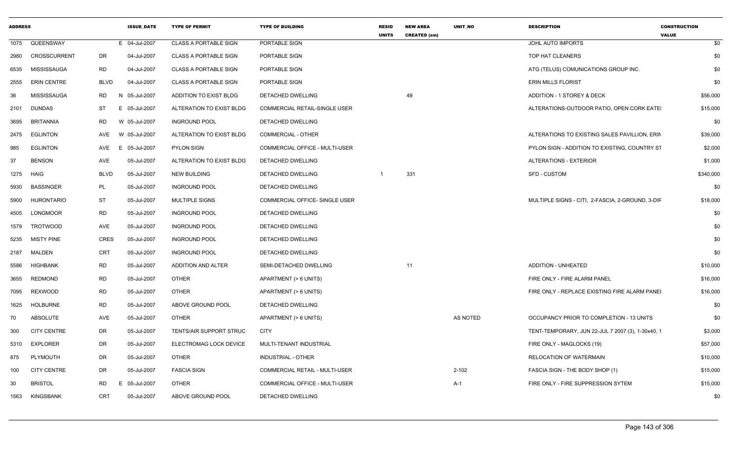| <b>ADDRESS</b> |                     |             | <b>ISSUE DATE</b> | <b>TYPE OF PERMIT</b>        | <b>TYPE OF BUILDING</b>              | <b>RESID</b><br><b>UNITS</b> | <b>NEW AREA</b><br><b>CREATED (sm)</b> | <b>UNIT NO</b> | <b>DESCRIPTION</b>                                | <b>CONSTRUCTION</b><br><b>VALUE</b> |
|----------------|---------------------|-------------|-------------------|------------------------------|--------------------------------------|------------------------------|----------------------------------------|----------------|---------------------------------------------------|-------------------------------------|
| 1075           | QUEENSWAY           |             | E 04-Jul-2007     | <b>CLASS A PORTABLE SIGN</b> | PORTABLE SIGN                        |                              |                                        |                | JOHL AUTO IMPORTS                                 | \$0                                 |
| 2980           | <b>CROSSCURRENT</b> | DR          | 04-Jul-2007       | <b>CLASS A PORTABLE SIGN</b> | PORTABLE SIGN                        |                              |                                        |                | TOP HAT CLEANERS                                  | \$0                                 |
| 6535           | MISSISSAUGA         | <b>RD</b>   | 04-Jul-2007       | CLASS A PORTABLE SIGN        | PORTABLE SIGN                        |                              |                                        |                | ATG (TELUS) COMUNICATIONS GROUP INC.              | \$0                                 |
| 2555           | <b>ERIN CENTRE</b>  | <b>BLVD</b> | 04-Jul-2007       | <b>CLASS A PORTABLE SIGN</b> | PORTABLE SIGN                        |                              |                                        |                | <b>ERIN MILLS FLORIST</b>                         | \$0                                 |
| 36             | MISSISSAUGA         | RD.         | N 05-Jul-2007     | ADDITION TO EXIST BLDG       | DETACHED DWELLING                    |                              | 49                                     |                | <b>ADDITION - 1 STOREY &amp; DECK</b>             | \$56,000                            |
| 2101           | <b>DUNDAS</b>       | <b>ST</b>   | E 05-Jul-2007     | ALTERATION TO EXIST BLDG     | <b>COMMERCIAL RETAIL-SINGLE USER</b> |                              |                                        |                | ALTERATIONS-OUTDOOR PATIO, OPEN CORK EATE         | \$15,000                            |
| 3695           | <b>BRITANNIA</b>    | <b>RD</b>   | W 05-Jul-2007     | <b>INGROUND POOL</b>         | DETACHED DWELLING                    |                              |                                        |                |                                                   | \$0                                 |
| 2475           | <b>EGLINTON</b>     | AVE         | W 05-Jul-2007     | ALTERATION TO EXIST BLDG     | <b>COMMERCIAL - OTHER</b>            |                              |                                        |                | ALTERATIONS TO EXISTING SALES PAVILLION, ERIN     | \$39,000                            |
| 985            | <b>EGLINTON</b>     | AVE         | E 05-Jul-2007     | <b>PYLON SIGN</b>            | COMMERCIAL OFFICE - MULTI-USER       |                              |                                        |                | PYLON SIGN - ADDITION TO EXISTING, COUNTRY ST     | \$2,000                             |
| 37             | <b>BENSON</b>       | <b>AVE</b>  | 05-Jul-2007       | ALTERATION TO EXIST BLDG     | DETACHED DWELLING                    |                              |                                        |                | <b>ALTERATIONS - EXTERIOR</b>                     | \$1,000                             |
| 1275           | HAIG                | <b>BLVD</b> | 05-Jul-2007       | <b>NEW BUILDING</b>          | DETACHED DWELLING                    | -1                           | 331                                    |                | <b>SFD - CUSTOM</b>                               | \$340,000                           |
| 5930           | <b>BASSINGER</b>    | PL          | 05-Jul-2007       | <b>INGROUND POOL</b>         | DETACHED DWELLING                    |                              |                                        |                |                                                   | \$0                                 |
| 5900           | <b>HURONTARIO</b>   | ST          | 05-Jul-2007       | MULTIPLE SIGNS               | COMMERCIAL OFFICE- SINGLE USER       |                              |                                        |                | MULTIPLE SIGNS - CITI, 2-FASCIA, 2-GROUND, 3-DIF  | \$18,000                            |
| 4505           | <b>LONGMOOR</b>     | <b>RD</b>   | 05-Jul-2007       | <b>INGROUND POOL</b>         | DETACHED DWELLING                    |                              |                                        |                |                                                   | \$0                                 |
| 1579           | TROTWOOD            | <b>AVE</b>  | 05-Jul-2007       | <b>INGROUND POOL</b>         | DETACHED DWELLING                    |                              |                                        |                |                                                   | \$0                                 |
| 5235           | <b>MISTY PINE</b>   | <b>CRES</b> | 05-Jul-2007       | <b>INGROUND POOL</b>         | DETACHED DWELLING                    |                              |                                        |                |                                                   | \$0                                 |
| 2187           | <b>MALDEN</b>       | CRT         | 05-Jul-2007       | <b>INGROUND POOL</b>         | <b>DETACHED DWELLING</b>             |                              |                                        |                |                                                   | \$0                                 |
| 5586           | <b>HIGHBANK</b>     | <b>RD</b>   | 05-Jul-2007       | ADDITION AND ALTER           | SEMI-DETACHED DWELLING               |                              | 11                                     |                | <b>ADDITION - UNHEATED</b>                        | \$10,000                            |
| 3655           | <b>REDMOND</b>      | <b>RD</b>   | 05-Jul-2007       | <b>OTHER</b>                 | APARTMENT (> 6 UNITS)                |                              |                                        |                | FIRE ONLY - FIRE ALARM PANEL                      | \$16,000                            |
| 7095           | <b>REXWOOD</b>      | <b>RD</b>   | 05-Jul-2007       | <b>OTHER</b>                 | APARTMENT (> 6 UNITS)                |                              |                                        |                | FIRE ONLY - REPLACE EXISTING FIRE ALARM PANEI     | \$16,000                            |
| 1625           | <b>HOLBURNE</b>     | <b>RD</b>   | 05-Jul-2007       | ABOVE GROUND POOL            | DETACHED DWELLING                    |                              |                                        |                |                                                   | \$0                                 |
| 70             | <b>ABSOLUTE</b>     | <b>AVE</b>  | 05-Jul-2007       | <b>OTHER</b>                 | APARTMENT (> 6 UNITS)                |                              |                                        | AS NOTED       | OCCUPANCY PRIOR TO COMPLETION - 13 UNITS          | \$0                                 |
| 300            | <b>CITY CENTRE</b>  | <b>DR</b>   | 05-Jul-2007       | TENTS/AIR SUPPORT STRUC      | <b>CITY</b>                          |                              |                                        |                | TENT-TEMPORARY, JUN 22-JUL 7 2007 (3), 1-30x40, 1 | \$3,000                             |
| 5310           | <b>EXPLORER</b>     | DR          | 05-Jul-2007       | ELECTROMAG LOCK DEVICE       | MULTI-TENANT INDUSTRIAL              |                              |                                        |                | FIRE ONLY - MAGLOCKS (19)                         | \$57,000                            |
| 875            | PLYMOUTH            | DR          | 05-Jul-2007       | <b>OTHER</b>                 | INDUSTRIAL - OTHER                   |                              |                                        |                | RELOCATION OF WATERMAIN                           | \$10,000                            |
| 100            | <b>CITY CENTRE</b>  | <b>DR</b>   | 05-Jul-2007       | <b>FASCIA SIGN</b>           | COMMERCIAL RETAIL - MULTI-USER       |                              |                                        | $2 - 102$      | FASCIA SIGN - THE BODY SHOP (1)                   | \$15,000                            |
| 30             | <b>BRISTOL</b>      | <b>RD</b>   | E 05-Jul-2007     | <b>OTHER</b>                 | COMMERCIAL OFFICE - MULTI-USER       |                              |                                        | $A-1$          | FIRE ONLY - FIRE SUPPRESSION SYTEM                | \$15,000                            |
| 1563           | KINGSBANK           | <b>CRT</b>  | 05-Jul-2007       | ABOVE GROUND POOL            | DETACHED DWELLING                    |                              |                                        |                |                                                   | \$0                                 |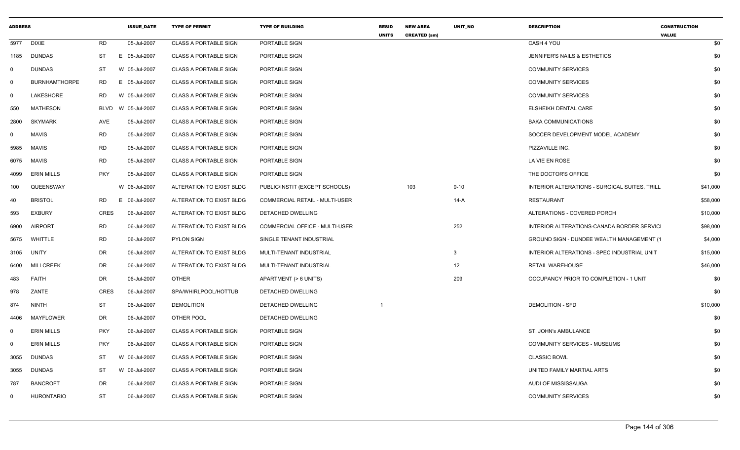| <b>ADDRESS</b> |                      |             | <b>ISSUE DATE</b> | <b>TYPE OF PERMIT</b>        | <b>TYPE OF BUILDING</b>        | <b>RESID</b><br><b>UNITS</b> | <b>NEW AREA</b><br><b>CREATED (sm)</b> | <b>UNIT NO</b>  | <b>DESCRIPTION</b>                            | <b>CONSTRUCTION</b><br><b>VALUE</b> |  |
|----------------|----------------------|-------------|-------------------|------------------------------|--------------------------------|------------------------------|----------------------------------------|-----------------|-----------------------------------------------|-------------------------------------|--|
| 5977           | <b>DIXIE</b>         | <b>RD</b>   | 05-Jul-2007       | <b>CLASS A PORTABLE SIGN</b> | PORTABLE SIGN                  |                              |                                        |                 | CASH 4 YOU                                    | \$0                                 |  |
| 1185           | <b>DUNDAS</b>        | <b>ST</b>   | E 05-Jul-2007     | <b>CLASS A PORTABLE SIGN</b> | PORTABLE SIGN                  |                              |                                        |                 | JENNIFER'S NAILS & ESTHETICS                  | \$0                                 |  |
| $\mathbf 0$    | <b>DUNDAS</b>        | ST          | W 05-Jul-2007     | <b>CLASS A PORTABLE SIGN</b> | PORTABLE SIGN                  |                              |                                        |                 | <b>COMMUNITY SERVICES</b>                     | \$0                                 |  |
| $\mathbf 0$    | <b>BURNHAMTHORPE</b> | RD          | E 05-Jul-2007     | <b>CLASS A PORTABLE SIGN</b> | PORTABLE SIGN                  |                              |                                        |                 | <b>COMMUNITY SERVICES</b>                     | \$0                                 |  |
| $\mathbf 0$    | LAKESHORE            | <b>RD</b>   | W 05-Jul-2007     | <b>CLASS A PORTABLE SIGN</b> | PORTABLE SIGN                  |                              |                                        |                 | <b>COMMUNITY SERVICES</b>                     | \$0                                 |  |
| 550            | <b>MATHESON</b>      | <b>BLVD</b> | W 05-Jul-2007     | <b>CLASS A PORTABLE SIGN</b> | PORTABLE SIGN                  |                              |                                        |                 | ELSHEIKH DENTAL CARE                          | \$0                                 |  |
| 2800           | <b>SKYMARK</b>       | <b>AVE</b>  | 05-Jul-2007       | <b>CLASS A PORTABLE SIGN</b> | PORTABLE SIGN                  |                              |                                        |                 | <b>BAKA COMMUNICATIONS</b>                    | \$0                                 |  |
| 0              | <b>MAVIS</b>         | <b>RD</b>   | 05-Jul-2007       | <b>CLASS A PORTABLE SIGN</b> | PORTABLE SIGN                  |                              |                                        |                 | SOCCER DEVELOPMENT MODEL ACADEMY              | \$0                                 |  |
| 5985           | <b>MAVIS</b>         | <b>RD</b>   | 05-Jul-2007       | <b>CLASS A PORTABLE SIGN</b> | PORTABLE SIGN                  |                              |                                        |                 | PIZZAVILLE INC.                               | \$0                                 |  |
| 6075           | <b>MAVIS</b>         | <b>RD</b>   | 05-Jul-2007       | <b>CLASS A PORTABLE SIGN</b> | PORTABLE SIGN                  |                              |                                        |                 | LA VIE EN ROSE                                | \$0                                 |  |
| 4099           | <b>ERIN MILLS</b>    | <b>PKY</b>  | 05-Jul-2007       | <b>CLASS A PORTABLE SIGN</b> | PORTABLE SIGN                  |                              |                                        |                 | THE DOCTOR'S OFFICE                           | \$0                                 |  |
| 100            | QUEENSWAY            |             | W 06-Jul-2007     | ALTERATION TO EXIST BLDG     | PUBLIC/INSTIT (EXCEPT SCHOOLS) |                              | 103                                    | $9 - 10$        | INTERIOR ALTERATIONS - SURGICAL SUITES, TRILL | \$41,000                            |  |
| 40             | <b>BRISTOL</b>       | <b>RD</b>   | E 06-Jul-2007     | ALTERATION TO EXIST BLDG     | COMMERCIAL RETAIL - MULTI-USER |                              |                                        | $14-A$          | <b>RESTAURANT</b>                             | \$58,000                            |  |
| 593            | <b>EXBURY</b>        | <b>CRES</b> | 06-Jul-2007       | ALTERATION TO EXIST BLDG     | DETACHED DWELLING              |                              |                                        |                 | ALTERATIONS - COVERED PORCH                   | \$10,000                            |  |
| 6900           | <b>AIRPORT</b>       | <b>RD</b>   | 06-Jul-2007       | ALTERATION TO EXIST BLDG     | COMMERCIAL OFFICE - MULTI-USER |                              |                                        | 252             | INTERIOR ALTERATIONS-CANADA BORDER SERVICI    | \$98,000                            |  |
| 5675           | WHITTLE              | <b>RD</b>   | 06-Jul-2007       | <b>PYLON SIGN</b>            | SINGLE TENANT INDUSTRIAL       |                              |                                        |                 | GROUND SIGN - DUNDEE WEALTH MANAGEMENT (1     | \$4,000                             |  |
| 3105           | UNITY                | <b>DR</b>   | 06-Jul-2007       | ALTERATION TO EXIST BLDG     | MULTI-TENANT INDUSTRIAL        |                              |                                        | 3               | INTERIOR ALTERATIONS - SPEC INDUSTRIAL UNIT   | \$15,000                            |  |
| 6400           | <b>MILLCREEK</b>     | <b>DR</b>   | 06-Jul-2007       | ALTERATION TO EXIST BLDG     | MULTI-TENANT INDUSTRIAL        |                              |                                        | 12 <sup>2</sup> | <b>RETAIL WAREHOUSE</b>                       | \$46,000                            |  |
| 483            | <b>FAITH</b>         | DR          | 06-Jul-2007       | <b>OTHER</b>                 | APARTMENT (> 6 UNITS)          |                              |                                        | 209             | OCCUPANCY PRIOR TO COMPLETION - 1 UNIT        | \$0                                 |  |
| 978            | ZANTE                | CRES        | 06-Jul-2007       | SPA/WHIRLPOOL/HOTTUB         | DETACHED DWELLING              |                              |                                        |                 |                                               | \$0                                 |  |
| 874            | <b>NINTH</b>         | ST          | 06-Jul-2007       | <b>DEMOLITION</b>            | DETACHED DWELLING              |                              |                                        |                 | <b>DEMOLITION - SFD</b>                       | \$10,000                            |  |
| 4406           | MAYFLOWER            | <b>DR</b>   | 06-Jul-2007       | OTHER POOL                   | DETACHED DWELLING              |                              |                                        |                 |                                               | \$0                                 |  |
| $\mathbf 0$    | <b>ERIN MILLS</b>    | <b>PKY</b>  | 06-Jul-2007       | <b>CLASS A PORTABLE SIGN</b> | PORTABLE SIGN                  |                              |                                        |                 | <b>ST. JOHN's AMBULANCE</b>                   | \$0                                 |  |
| $\mathbf 0$    | <b>ERIN MILLS</b>    | <b>PKY</b>  | 06-Jul-2007       | <b>CLASS A PORTABLE SIGN</b> | PORTABLE SIGN                  |                              |                                        |                 | <b>COMMUNITY SERVICES - MUSEUMS</b>           | \$0                                 |  |
| 3055           | <b>DUNDAS</b>        | ST          | W 06-Jul-2007     | <b>CLASS A PORTABLE SIGN</b> | PORTABLE SIGN                  |                              |                                        |                 | <b>CLASSIC BOWL</b>                           | \$0                                 |  |
| 3055           | <b>DUNDAS</b>        | ST          | W 06-Jul-2007     | <b>CLASS A PORTABLE SIGN</b> | PORTABLE SIGN                  |                              |                                        |                 | UNITED FAMILY MARTIAL ARTS                    | \$0                                 |  |
| 787            | <b>BANCROFT</b>      | <b>DR</b>   | 06-Jul-2007       | <b>CLASS A PORTABLE SIGN</b> | PORTABLE SIGN                  |                              |                                        |                 | AUDI OF MISSISSAUGA                           | \$0                                 |  |
| $\Omega$       | <b>HURONTARIO</b>    | <b>ST</b>   | 06-Jul-2007       | <b>CLASS A PORTABLE SIGN</b> | PORTABLE SIGN                  |                              |                                        |                 | <b>COMMUNITY SERVICES</b>                     | \$0                                 |  |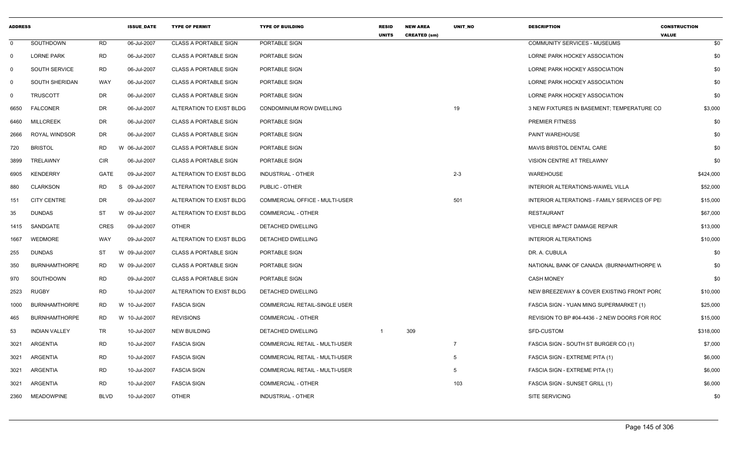| <b>ADDRESS</b> |                       |             | <b>ISSUE DATE</b> | <b>TYPE OF PERMIT</b>        | <b>TYPE OF BUILDING</b>              | <b>RESID</b><br><b>UNITS</b> | <b>NEW AREA</b><br><b>CREATED (sm)</b> | UNIT_NO        | <b>DESCRIPTION</b>                            | <b>CONSTRUCTION</b><br><b>VALUE</b> |           |
|----------------|-----------------------|-------------|-------------------|------------------------------|--------------------------------------|------------------------------|----------------------------------------|----------------|-----------------------------------------------|-------------------------------------|-----------|
| $\mathbf{0}$   | SOUTHDOWN             | RD          | 06-Jul-2007       | <b>CLASS A PORTABLE SIGN</b> | PORTABLE SIGN                        |                              |                                        |                | <b>COMMUNITY SERVICES - MUSEUMS</b>           |                                     | \$0       |
| $\Omega$       | <b>LORNE PARK</b>     | RD          | 06-Jul-2007       | <b>CLASS A PORTABLE SIGN</b> | PORTABLE SIGN                        |                              |                                        |                | LORNE PARK HOCKEY ASSOCIATION                 |                                     | \$0       |
| $\Omega$       | <b>SOUTH SERVICE</b>  | RD          | 06-Jul-2007       | <b>CLASS A PORTABLE SIGN</b> | PORTABLE SIGN                        |                              |                                        |                | LORNE PARK HOCKEY ASSOCIATION                 |                                     | \$0       |
| $\Omega$       | <b>SOUTH SHERIDAN</b> | WAY         | 06-Jul-2007       | <b>CLASS A PORTABLE SIGN</b> | PORTABLE SIGN                        |                              |                                        |                | LORNE PARK HOCKEY ASSOCIATION                 |                                     | \$0       |
| $\Omega$       | <b>TRUSCOTT</b>       | DR          | 06-Jul-2007       | <b>CLASS A PORTABLE SIGN</b> | PORTABLE SIGN                        |                              |                                        |                | LORNE PARK HOCKEY ASSOCIATION                 |                                     | \$0       |
| 6650           | <b>FALCONER</b>       | DR          | 06-Jul-2007       | ALTERATION TO EXIST BLDG     | CONDOMINIUM ROW DWELLING             |                              |                                        | 19             | 3 NEW FIXTURES IN BASEMENT; TEMPERATURE CO    |                                     | \$3,000   |
| 6460           | <b>MILLCREEK</b>      | DR          | 06-Jul-2007       | <b>CLASS A PORTABLE SIGN</b> | PORTABLE SIGN                        |                              |                                        |                | PREMIER FITNESS                               |                                     | \$0       |
| 2666           | ROYAL WINDSOR         | DR          | 06-Jul-2007       | <b>CLASS A PORTABLE SIGN</b> | PORTABLE SIGN                        |                              |                                        |                | <b>PAINT WAREHOUSE</b>                        |                                     | \$0       |
| 720            | <b>BRISTOL</b>        | <b>RD</b>   | W 06-Jul-2007     | <b>CLASS A PORTABLE SIGN</b> | PORTABLE SIGN                        |                              |                                        |                | MAVIS BRISTOL DENTAL CARE                     |                                     | \$0       |
| 3899           | TRELAWNY              | CIR         | 06-Jul-2007       | <b>CLASS A PORTABLE SIGN</b> | PORTABLE SIGN                        |                              |                                        |                | VISION CENTRE AT TRELAWNY                     |                                     | \$0       |
| 6905           | <b>KENDERRY</b>       | GATE        | 09-Jul-2007       | ALTERATION TO EXIST BLDG     | <b>INDUSTRIAL - OTHER</b>            |                              |                                        | $2 - 3$        | WAREHOUSE                                     |                                     | \$424,000 |
| 880            | <b>CLARKSON</b>       | RD          | 09-Jul-2007<br>S. | ALTERATION TO EXIST BLDG     | PUBLIC - OTHER                       |                              |                                        |                | INTERIOR ALTERATIONS-WAWEL VILLA              |                                     | \$52,000  |
| 151            | <b>CITY CENTRE</b>    | DR          | 09-Jul-2007       | ALTERATION TO EXIST BLDG     | COMMERCIAL OFFICE - MULTI-USER       |                              |                                        | 501            | INTERIOR ALTERATIONS - FAMILY SERVICES OF PE  |                                     | \$15,000  |
| 35             | <b>DUNDAS</b>         | ST          | W 09-Jul-2007     | ALTERATION TO EXIST BLDG     | <b>COMMERCIAL - OTHER</b>            |                              |                                        |                | <b>RESTAURANT</b>                             |                                     | \$67,000  |
| 1415           | SANDGATE              | CRES        | 09-Jul-2007       | OTHER                        | DETACHED DWELLING                    |                              |                                        |                | VEHICLE IMPACT DAMAGE REPAIR                  |                                     | \$13,000  |
| 1667           | <b>WEDMORE</b>        | WAY         | 09-Jul-2007       | ALTERATION TO EXIST BLDG     | DETACHED DWELLING                    |                              |                                        |                | <b>INTERIOR ALTERATIONS</b>                   |                                     | \$10,000  |
| 255            | DUNDAS                | ST          | W 09-Jul-2007     | <b>CLASS A PORTABLE SIGN</b> | PORTABLE SIGN                        |                              |                                        |                | DR. A. CUBULA                                 |                                     | \$0       |
| 350            | <b>BURNHAMTHORPE</b>  | <b>RD</b>   | W 09-Jul-2007     | <b>CLASS A PORTABLE SIGN</b> | PORTABLE SIGN                        |                              |                                        |                | NATIONAL BANK OF CANADA (BURNHAMTHORPE W      |                                     | \$0       |
| 970            | SOUTHDOWN             | RD          | 09-Jul-2007       | <b>CLASS A PORTABLE SIGN</b> | PORTABLE SIGN                        |                              |                                        |                | <b>CASH MONEY</b>                             |                                     | \$0       |
| 2523           | RUGBY                 | <b>RD</b>   | 10-Jul-2007       | ALTERATION TO EXIST BLDG     | DETACHED DWELLING                    |                              |                                        |                | NEW BREEZEWAY & COVER EXISTING FRONT PORC     |                                     | \$10,000  |
| 1000           | <b>BURNHAMTHORPE</b>  | RD          | W 10-Jul-2007     | <b>FASCIA SIGN</b>           | <b>COMMERCIAL RETAIL-SINGLE USER</b> |                              |                                        |                | FASCIA SIGN - YUAN MING SUPERMARKET (1)       |                                     | \$25,000  |
| 465            | <b>BURNHAMTHORPE</b>  | <b>RD</b>   | W 10-Jul-2007     | <b>REVISIONS</b>             | <b>COMMERCIAL - OTHER</b>            |                              |                                        |                | REVISION TO BP #04-4436 - 2 NEW DOORS FOR ROC |                                     | \$15,000  |
| 53             | <b>INDIAN VALLEY</b>  | TR          | 10-Jul-2007       | <b>NEW BUILDING</b>          | DETACHED DWELLING                    |                              | 309                                    |                | SFD-CUSTOM                                    |                                     | \$318,000 |
| 3021           | ARGENTIA              | <b>RD</b>   | 10-Jul-2007       | <b>FASCIA SIGN</b>           | COMMERCIAL RETAIL - MULTI-USER       |                              |                                        | $\overline{7}$ | FASCIA SIGN - SOUTH ST BURGER CO (1)          |                                     | \$7,000   |
| 3021           | ARGENTIA              | RD          | 10-Jul-2007       | <b>FASCIA SIGN</b>           | COMMERCIAL RETAIL - MULTI-USER       |                              |                                        | 5              | FASCIA SIGN - EXTREME PITA (1)                |                                     | \$6,000   |
| 3021           | ARGENTIA              | RD          | 10-Jul-2007       | <b>FASCIA SIGN</b>           | COMMERCIAL RETAIL - MULTI-USER       |                              |                                        | 5              | FASCIA SIGN - EXTREME PITA (1)                |                                     | \$6,000   |
| 3021           | ARGENTIA              | RD          | 10-Jul-2007       | <b>FASCIA SIGN</b>           | <b>COMMERCIAL - OTHER</b>            |                              |                                        | 103            | FASCIA SIGN - SUNSET GRILL (1)                |                                     | \$6,000   |
| 2360           | <b>MEADOWPINE</b>     | <b>BLVD</b> | 10-Jul-2007       | <b>OTHER</b>                 | INDUSTRIAL - OTHER                   |                              |                                        |                | SITE SERVICING                                |                                     | \$0       |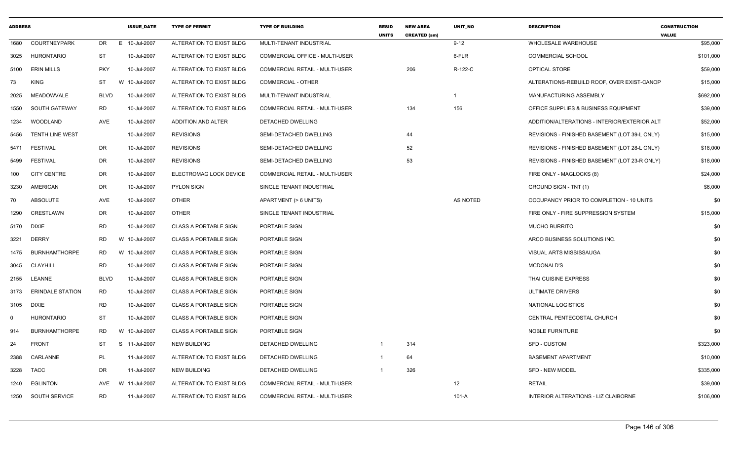| <b>ADDRESS</b> |                         |             | <b>ISSUE_DATE</b> | <b>TYPE OF PERMIT</b>        | <b>TYPE OF BUILDING</b>               | <b>RESID</b><br><b>UNITS</b> | <b>NEW AREA</b><br><b>CREATED (sm)</b> | UNIT_NO      | <b>DESCRIPTION</b>                            | <b>CONSTRUCTION</b><br><b>VALUE</b> |
|----------------|-------------------------|-------------|-------------------|------------------------------|---------------------------------------|------------------------------|----------------------------------------|--------------|-----------------------------------------------|-------------------------------------|
| 1680           | <b>COURTNEYPARK</b>     | DR.         | E 10-Jul-2007     | ALTERATION TO EXIST BLDG     | MULTI-TENANT INDUSTRIAL               |                              |                                        | $9 - 12$     | WHOLESALE WAREHOUSE                           | \$95,000                            |
| 3025           | <b>HURONTARIO</b>       | ST          | 10-Jul-2007       | ALTERATION TO EXIST BLDG     | COMMERCIAL OFFICE - MULTI-USER        |                              |                                        | 6-FLR        | <b>COMMERCIAL SCHOOL</b>                      | \$101,000                           |
| 5100           | <b>ERIN MILLS</b>       | <b>PKY</b>  | 10-Jul-2007       | ALTERATION TO EXIST BLDG     | COMMERCIAL RETAIL - MULTI-USER        |                              | 206                                    | R-122-C      | OPTICAL STORE                                 | \$59,000                            |
| 73             | <b>KING</b>             | ST          | W 10-Jul-2007     | ALTERATION TO EXIST BLDG     | COMMERCIAL - OTHER                    |                              |                                        |              | ALTERATIONS-REBUILD ROOF, OVER EXIST-CANOP    | \$15,000                            |
| 2025           | MEADOWVALE              | <b>BLVD</b> | 10-Jul-2007       | ALTERATION TO EXIST BLDG     | MULTI-TENANT INDUSTRIAL               |                              |                                        | $\mathbf{1}$ | MANUFACTURING ASSEMBLY                        | \$692,000                           |
| 1550           | SOUTH GATEWAY           | <b>RD</b>   | 10-Jul-2007       | ALTERATION TO EXIST BLDG     | COMMERCIAL RETAIL - MULTI-USER        |                              | 134                                    | 156          | OFFICE SUPPLIES & BUSINESS EQUIPMENT          | \$39,000                            |
| 1234           | WOODLAND                | AVE         | 10-Jul-2007       | ADDITION AND ALTER           | DETACHED DWELLING                     |                              |                                        |              | ADDITION/ALTERATIONS - INTERIOR/EXTERIOR ALT  | \$52,000                            |
| 5456           | <b>TENTH LINE WEST</b>  |             | 10-Jul-2007       | <b>REVISIONS</b>             | SEMI-DETACHED DWELLING                |                              | 44                                     |              | REVISIONS - FINISHED BASEMENT (LOT 39-L ONLY) | \$15,000                            |
| 5471           | <b>FESTIVAL</b>         | DR          | 10-Jul-2007       | <b>REVISIONS</b>             | SEMI-DETACHED DWELLING                |                              | 52                                     |              | REVISIONS - FINISHED BASEMENT (LOT 28-L ONLY) | \$18,000                            |
| 5499           | <b>FESTIVAL</b>         | DR          | 10-Jul-2007       | <b>REVISIONS</b>             | SEMI-DETACHED DWELLING                |                              | 53                                     |              | REVISIONS - FINISHED BASEMENT (LOT 23-R ONLY) | \$18,000                            |
| 100            | <b>CITY CENTRE</b>      | DR          | 10-Jul-2007       | ELECTROMAG LOCK DEVICE       | <b>COMMERCIAL RETAIL - MULTI-USER</b> |                              |                                        |              | FIRE ONLY - MAGLOCKS (8)                      | \$24,000                            |
| 3230           | AMERICAN                | DR          | 10-Jul-2007       | <b>PYLON SIGN</b>            | SINGLE TENANT INDUSTRIAL              |                              |                                        |              | GROUND SIGN - TNT (1)                         | \$6,000                             |
| 70             | <b>ABSOLUTE</b>         | AVE         | 10-Jul-2007       | <b>OTHER</b>                 | APARTMENT (> 6 UNITS)                 |                              |                                        | AS NOTED     | OCCUPANCY PRIOR TO COMPLETION - 10 UNITS      | \$0                                 |
| 1290           | CRESTLAWN               | DR          | 10-Jul-2007       | <b>OTHER</b>                 | SINGLE TENANT INDUSTRIAL              |                              |                                        |              | FIRE ONLY - FIRE SUPPRESSION SYSTEM           | \$15,000                            |
| 5170           | <b>DIXIE</b>            | RD          | 10-Jul-2007       | <b>CLASS A PORTABLE SIGN</b> | PORTABLE SIGN                         |                              |                                        |              | <b>MUCHO BURRITO</b>                          | \$0                                 |
| 3221           | <b>DERRY</b>            | RD          | W 10-Jul-2007     | <b>CLASS A PORTABLE SIGN</b> | PORTABLE SIGN                         |                              |                                        |              | ARCO BUSINESS SOLUTIONS INC.                  | \$0                                 |
| 1475           | <b>BURNHAMTHORPE</b>    | RD          | W 10-Jul-2007     | <b>CLASS A PORTABLE SIGN</b> | PORTABLE SIGN                         |                              |                                        |              | VISUAL ARTS MISSISSAUGA                       | \$0                                 |
| 3045           | CLAYHILL                | RD          | 10-Jul-2007       | <b>CLASS A PORTABLE SIGN</b> | PORTABLE SIGN                         |                              |                                        |              | MCDONALD'S                                    | \$0                                 |
| 2155           | LEANNE                  | <b>BLVD</b> | 10-Jul-2007       | <b>CLASS A PORTABLE SIGN</b> | PORTABLE SIGN                         |                              |                                        |              | THAI CUISINE EXPRESS                          | \$0                                 |
| 3173           | <b>ERINDALE STATION</b> | <b>RD</b>   | 10-Jul-2007       | <b>CLASS A PORTABLE SIGN</b> | PORTABLE SIGN                         |                              |                                        |              | <b>ULTIMATE DRIVERS</b>                       | \$0                                 |
| 3105           | <b>DIXIE</b>            | RD          | 10-Jul-2007       | <b>CLASS A PORTABLE SIGN</b> | PORTABLE SIGN                         |                              |                                        |              | NATIONAL LOGISTICS                            | \$0                                 |
| 0              | <b>HURONTARIO</b>       | ST          | 10-Jul-2007       | <b>CLASS A PORTABLE SIGN</b> | PORTABLE SIGN                         |                              |                                        |              | CENTRAL PENTECOSTAL CHURCH                    | \$0                                 |
| 914            | <b>BURNHAMTHORPE</b>    | RD          | W 10-Jul-2007     | <b>CLASS A PORTABLE SIGN</b> | PORTABLE SIGN                         |                              |                                        |              | <b>NOBLE FURNITURE</b>                        | \$0                                 |
| 24             | <b>FRONT</b>            | ST          | S 11-Jul-2007     | <b>NEW BUILDING</b>          | DETACHED DWELLING                     |                              | 314                                    |              | SFD - CUSTOM                                  | \$323,000                           |
| 2388           | CARLANNE                | PL          | 11-Jul-2007       | ALTERATION TO EXIST BLDG     | DETACHED DWELLING                     |                              | 64                                     |              | <b>BASEMENT APARTMENT</b>                     | \$10,000                            |
| 3228           | TACC                    | DR          | 11-Jul-2007       | <b>NEW BUILDING</b>          | DETACHED DWELLING                     |                              | 326                                    |              | <b>SFD - NEW MODEL</b>                        | \$335,000                           |
| 1240           | <b>EGLINTON</b>         | AVE         | W 11-Jul-2007     | ALTERATION TO EXIST BLDG     | COMMERCIAL RETAIL - MULTI-USER        |                              |                                        | 12           | <b>RETAIL</b>                                 | \$39,000                            |
| 1250           | SOUTH SERVICE           | <b>RD</b>   | 11-Jul-2007       | ALTERATION TO EXIST BLDG     | <b>COMMERCIAL RETAIL - MULTI-USER</b> |                              |                                        | $101-A$      | INTERIOR ALTERATIONS - LIZ CLAIBORNE          | \$106,000                           |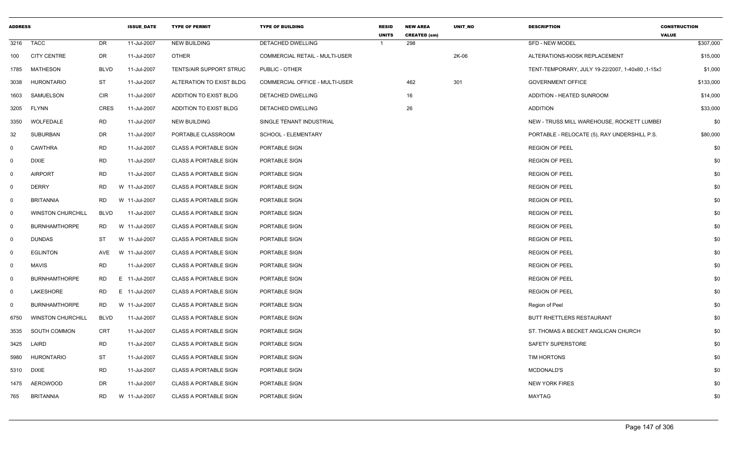| <b>ADDRESS</b> |                          |             | <b>ISSUE DATE</b> | <b>TYPE OF PERMIT</b>        | <b>TYPE OF BUILDING</b>               | <b>RESID</b><br><b>UNITS</b> | <b>NEW AREA</b><br><b>CREATED (sm)</b> | <b>UNIT NO</b> | <b>DESCRIPTION</b>                               | <b>CONSTRUCTION</b><br><b>VALUE</b> |
|----------------|--------------------------|-------------|-------------------|------------------------------|---------------------------------------|------------------------------|----------------------------------------|----------------|--------------------------------------------------|-------------------------------------|
| 3216           | <b>TACC</b>              | <b>DR</b>   | 11-Jul-2007       | <b>NEW BUILDING</b>          | <b>DETACHED DWELLING</b>              |                              | 298                                    |                | SFD - NEW MODEL                                  | \$307,000                           |
| 100            | <b>CITY CENTRE</b>       | DR          | 11-Jul-2007       | <b>OTHER</b>                 | <b>COMMERCIAL RETAIL - MULTI-USER</b> |                              |                                        | 2K-06          | ALTERATIONS-KIOSK REPLACEMENT                    | \$15,000                            |
| 1785           | <b>MATHESON</b>          | BLVD        | 11-Jul-2007       | TENTS/AIR SUPPORT STRUC      | PUBLIC - OTHER                        |                              |                                        |                | TENT-TEMPORARY, JULY 19-22/2007, 1-40x80, 1-15x3 | \$1,000                             |
| 3038           | <b>HURONTARIO</b>        | <b>ST</b>   | 11-Jul-2007       | ALTERATION TO EXIST BLDG     | COMMERCIAL OFFICE - MULTI-USER        |                              | 462                                    | 301            | <b>GOVERNMENT OFFICE</b>                         | \$133,000                           |
| 1603           | SAMUELSON                | <b>CIR</b>  | 11-Jul-2007       | ADDITION TO EXIST BLDG       | DETACHED DWELLING                     |                              | 16                                     |                | ADDITION - HEATED SUNROOM                        | \$14,000                            |
| 3205           | FLYNN                    | <b>CRES</b> | 11-Jul-2007       | ADDITION TO EXIST BLDG       | DETACHED DWELLING                     |                              | 26                                     |                | <b>ADDITION</b>                                  | \$33,000                            |
| 3350           | WOLFEDALE                | <b>RD</b>   | 11-Jul-2007       | <b>NEW BUILDING</b>          | SINGLE TENANT INDUSTRIAL              |                              |                                        |                | NEW - TRUSS MILL WAREHOUSE, ROCKETT LUMBEI       | \$0                                 |
| 32             | <b>SUBURBAN</b>          | DR          | 11-Jul-2007       | PORTABLE CLASSROOM           | SCHOOL - ELEMENTARY                   |                              |                                        |                | PORTABLE - RELOCATE (5), RAY UNDERSHILL P.S.     | \$80,000                            |
| $\mathbf{0}$   | <b>CAWTHRA</b>           | <b>RD</b>   | 11-Jul-2007       | <b>CLASS A PORTABLE SIGN</b> | PORTABLE SIGN                         |                              |                                        |                | <b>REGION OF PEEL</b>                            | \$0                                 |
| $\mathbf 0$    | <b>DIXIE</b>             | <b>RD</b>   | 11-Jul-2007       | <b>CLASS A PORTABLE SIGN</b> | PORTABLE SIGN                         |                              |                                        |                | <b>REGION OF PEEL</b>                            | \$0                                 |
| $\mathbf 0$    | <b>AIRPORT</b>           | <b>RD</b>   | 11-Jul-2007       | <b>CLASS A PORTABLE SIGN</b> | PORTABLE SIGN                         |                              |                                        |                | <b>REGION OF PEEL</b>                            | \$0                                 |
| $\mathbf 0$    | <b>DERRY</b>             | <b>RD</b>   | W 11-Jul-2007     | <b>CLASS A PORTABLE SIGN</b> | PORTABLE SIGN                         |                              |                                        |                | <b>REGION OF PEEL</b>                            | \$0                                 |
| $\mathbf 0$    | <b>BRITANNIA</b>         | RD          | W 11-Jul-2007     | <b>CLASS A PORTABLE SIGN</b> | PORTABLE SIGN                         |                              |                                        |                | <b>REGION OF PEEL</b>                            | \$0                                 |
| $\mathbf 0$    | <b>WINSTON CHURCHILL</b> | <b>BLVD</b> | 11-Jul-2007       | CLASS A PORTABLE SIGN        | PORTABLE SIGN                         |                              |                                        |                | <b>REGION OF PEEL</b>                            | \$0                                 |
| $\mathbf 0$    | <b>BURNHAMTHORPE</b>     | RD          | W 11-Jul-2007     | <b>CLASS A PORTABLE SIGN</b> | PORTABLE SIGN                         |                              |                                        |                | <b>REGION OF PEEL</b>                            | \$0                                 |
| $\mathbf 0$    | <b>DUNDAS</b>            | <b>ST</b>   | W 11-Jul-2007     | CLASS A PORTABLE SIGN        | PORTABLE SIGN                         |                              |                                        |                | REGION OF PEEL                                   | \$0                                 |
| $\mathbf 0$    | <b>EGLINTON</b>          | AVE         | W 11-Jul-2007     | <b>CLASS A PORTABLE SIGN</b> | PORTABLE SIGN                         |                              |                                        |                | <b>REGION OF PEEL</b>                            | \$0                                 |
| $\mathbf 0$    | <b>MAVIS</b>             | <b>RD</b>   | 11-Jul-2007       | <b>CLASS A PORTABLE SIGN</b> | PORTABLE SIGN                         |                              |                                        |                | <b>REGION OF PEEL</b>                            | \$0                                 |
| $\mathbf 0$    | <b>BURNHAMTHORPE</b>     | RD          | E 11-Jul-2007     | <b>CLASS A PORTABLE SIGN</b> | PORTABLE SIGN                         |                              |                                        |                | <b>REGION OF PEEL</b>                            | \$0                                 |
| $\mathbf 0$    | LAKESHORE                | <b>RD</b>   | E 11-Jul-2007     | <b>CLASS A PORTABLE SIGN</b> | PORTABLE SIGN                         |                              |                                        |                | <b>REGION OF PEEL</b>                            | \$0                                 |
| $\mathbf 0$    | <b>BURNHAMTHORPE</b>     | RD          | W 11-Jul-2007     | <b>CLASS A PORTABLE SIGN</b> | PORTABLE SIGN                         |                              |                                        |                | Region of Peel                                   | \$0                                 |
| 6750           | <b>WINSTON CHURCHILL</b> | <b>BLVD</b> | 11-Jul-2007       | <b>CLASS A PORTABLE SIGN</b> | PORTABLE SIGN                         |                              |                                        |                | BUTT RHETTLERS RESTAURANT                        | \$0                                 |
| 3535           | SOUTH COMMON             | <b>CRT</b>  | 11-Jul-2007       | <b>CLASS A PORTABLE SIGN</b> | PORTABLE SIGN                         |                              |                                        |                | ST. THOMAS A BECKET ANGLICAN CHURCH              | \$0                                 |
| 3425           | LAIRD                    | RD          | 11-Jul-2007       | <b>CLASS A PORTABLE SIGN</b> | PORTABLE SIGN                         |                              |                                        |                | SAFETY SUPERSTORE                                | \$0                                 |
| 5980           | HURONTARIO               | <b>ST</b>   | 11-Jul-2007       | CLASS A PORTABLE SIGN        | PORTABLE SIGN                         |                              |                                        |                | TIM HORTONS                                      | \$0                                 |
| 5310           | <b>DIXIE</b>             | RD          | 11-Jul-2007       | <b>CLASS A PORTABLE SIGN</b> | PORTABLE SIGN                         |                              |                                        |                | MCDONALD'S                                       | \$0                                 |
| 1475           | <b>AEROWOOD</b>          | <b>DR</b>   | 11-Jul-2007       | <b>CLASS A PORTABLE SIGN</b> | PORTABLE SIGN                         |                              |                                        |                | <b>NEW YORK FIRES</b>                            | \$0                                 |
| 765            | <b>BRITANNIA</b>         | RD          | W 11-Jul-2007     | <b>CLASS A PORTABLE SIGN</b> | PORTABLE SIGN                         |                              |                                        |                | MAYTAG                                           | \$0                                 |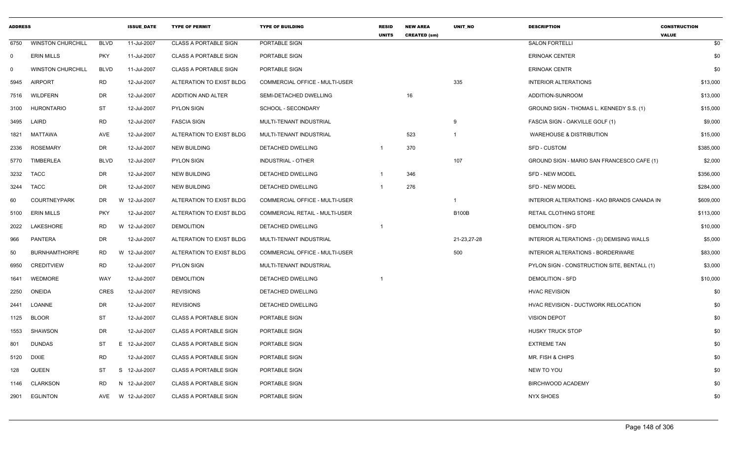| <b>ADDRESS</b> |                          |             | <b>ISSUE DATE</b> | <b>TYPE OF PERMIT</b>        | <b>TYPE OF BUILDING</b>               | <b>RESID</b><br><b>UNITS</b> | <b>NEW AREA</b><br><b>CREATED (sm)</b> | <b>UNIT NO</b>          | <b>DESCRIPTION</b>                          | <b>CONSTRUCTION</b><br><b>VALUE</b> |
|----------------|--------------------------|-------------|-------------------|------------------------------|---------------------------------------|------------------------------|----------------------------------------|-------------------------|---------------------------------------------|-------------------------------------|
| 6750           | <b>WINSTON CHURCHILL</b> | <b>BLVD</b> | 11-Jul-2007       | <b>CLASS A PORTABLE SIGN</b> | PORTABLE SIGN                         |                              |                                        |                         | <b>SALON FORTELLI</b>                       | \$0                                 |
| $\mathbf 0$    | <b>ERIN MILLS</b>        | <b>PKY</b>  | 11-Jul-2007       | <b>CLASS A PORTABLE SIGN</b> | PORTABLE SIGN                         |                              |                                        |                         | <b>ERINOAK CENTER</b>                       | \$0                                 |
| $\mathbf 0$    | <b>WINSTON CHURCHILL</b> | <b>BLVD</b> | 11-Jul-2007       | <b>CLASS A PORTABLE SIGN</b> | PORTABLE SIGN                         |                              |                                        |                         | <b>ERINOAK CENTR</b>                        | \$0                                 |
| 5945           | <b>AIRPORT</b>           | <b>RD</b>   | 12-Jul-2007       | ALTERATION TO EXIST BLDG     | COMMERCIAL OFFICE - MULTI-USER        |                              |                                        | 335                     | <b>INTERIOR ALTERATIONS</b>                 | \$13,000                            |
| 7516           | WILDFERN                 | DR          | 12-Jul-2007       | ADDITION AND ALTER           | SEMI-DETACHED DWELLING                |                              | 16                                     |                         | ADDITION-SUNROOM                            | \$13,000                            |
| 3100           | <b>HURONTARIO</b>        | ST          | 12-Jul-2007       | <b>PYLON SIGN</b>            | SCHOOL - SECONDARY                    |                              |                                        |                         | GROUND SIGN - THOMAS L. KENNEDY S.S. (1)    | \$15,000                            |
| 3495           | LAIRD                    | <b>RD</b>   | 12-Jul-2007       | <b>FASCIA SIGN</b>           | MULTI-TENANT INDUSTRIAL               |                              |                                        | 9                       | FASCIA SIGN - OAKVILLE GOLF (1)             | \$9,000                             |
| 1821           | MATTAWA                  | AVE         | 12-Jul-2007       | ALTERATION TO EXIST BLDG     | MULTI-TENANT INDUSTRIAL               |                              | 523                                    | $\overline{\mathbf{1}}$ | <b>WAREHOUSE &amp; DISTRIBUTION</b>         | \$15,000                            |
| 2336           | <b>ROSEMARY</b>          | DR          | 12-Jul-2007       | <b>NEW BUILDING</b>          | DETACHED DWELLING                     | -1                           | 370                                    |                         | SFD - CUSTOM                                | \$385,000                           |
| 5770           | <b>TIMBERLEA</b>         | <b>BLVD</b> | 12-Jul-2007       | <b>PYLON SIGN</b>            | <b>INDUSTRIAL - OTHER</b>             |                              |                                        | 107                     | GROUND SIGN - MARIO SAN FRANCESCO CAFE (1)  | \$2,000                             |
| 3232           | <b>TACC</b>              | DR          | 12-Jul-2007       | <b>NEW BUILDING</b>          | <b>DETACHED DWELLING</b>              | -1                           | 346                                    |                         | <b>SFD - NEW MODEL</b>                      | \$356,000                           |
| 3244           | <b>TACC</b>              | <b>DR</b>   | 12-Jul-2007       | <b>NEW BUILDING</b>          | <b>DETACHED DWELLING</b>              | $\overline{1}$               | 276                                    |                         | <b>SFD - NEW MODEL</b>                      | \$284,000                           |
| 60             | <b>COURTNEYPARK</b>      | DR          | W 12-Jul-2007     | ALTERATION TO EXIST BLDG     | <b>COMMERCIAL OFFICE - MULTI-USER</b> |                              |                                        | $\overline{\mathbf{1}}$ | INTERIOR ALTERATIONS - KAO BRANDS CANADA IN | \$609,000                           |
| 5100           | <b>ERIN MILLS</b>        | <b>PKY</b>  | 12-Jul-2007       | ALTERATION TO EXIST BLDG     | COMMERCIAL RETAIL - MULTI-USER        |                              |                                        | <b>B100B</b>            | RETAIL CLOTHING STORE                       | \$113,000                           |
| 2022           | LAKESHORE                | <b>RD</b>   | W 12-Jul-2007     | <b>DEMOLITION</b>            | DETACHED DWELLING                     | -1                           |                                        |                         | <b>DEMOLITION - SFD</b>                     | \$10,000                            |
| 966            | PANTERA                  | <b>DR</b>   | 12-Jul-2007       | ALTERATION TO EXIST BLDG     | MULTI-TENANT INDUSTRIAL               |                              |                                        | 21-23,27-28             | INTERIOR ALTERATIONS - (3) DEMISING WALLS   | \$5,000                             |
| 50             | <b>BURNHAMTHORPE</b>     | <b>RD</b>   | W 12-Jul-2007     | ALTERATION TO EXIST BLDG     | <b>COMMERCIAL OFFICE - MULTI-USER</b> |                              |                                        | 500                     | INTERIOR ALTERATIONS - BORDERWARE           | \$83,000                            |
| 6950           | <b>CREDITVIEW</b>        | <b>RD</b>   | 12-Jul-2007       | <b>PYLON SIGN</b>            | MULTI-TENANT INDUSTRIAL               |                              |                                        |                         | PYLON SIGN - CONSTRUCTION SITE, BENTALL (1) | \$3,000                             |
| 1641           | WEDMORE                  | WAY         | 12-Jul-2007       | <b>DEMOLITION</b>            | DETACHED DWELLING                     | -1                           |                                        |                         | <b>DEMOLITION - SFD</b>                     | \$10,000                            |
| 2250           | <b>ONEIDA</b>            | <b>CRES</b> | 12-Jul-2007       | <b>REVISIONS</b>             | DETACHED DWELLING                     |                              |                                        |                         | <b>HVAC REVISION</b>                        | \$0                                 |
| 2441           | LOANNE                   | DR          | 12-Jul-2007       | <b>REVISIONS</b>             | DETACHED DWELLING                     |                              |                                        |                         | HVAC REVISION - DUCTWORK RELOCATION         | \$0                                 |
| 1125           | <b>BLOOR</b>             | <b>ST</b>   | 12-Jul-2007       | <b>CLASS A PORTABLE SIGN</b> | PORTABLE SIGN                         |                              |                                        |                         | <b>VISION DEPOT</b>                         | \$0                                 |
| 1553           | SHAWSON                  | DR          | 12-Jul-2007       | <b>CLASS A PORTABLE SIGN</b> | PORTABLE SIGN                         |                              |                                        |                         | <b>HUSKY TRUCK STOP</b>                     | \$0                                 |
| 801            | <b>DUNDAS</b>            | <b>ST</b>   | E 12-Jul-2007     | <b>CLASS A PORTABLE SIGN</b> | PORTABLE SIGN                         |                              |                                        |                         | <b>EXTREME TAN</b>                          | \$0                                 |
| 5120           | DIXIE                    | <b>RD</b>   | 12-Jul-2007       | <b>CLASS A PORTABLE SIGN</b> | PORTABLE SIGN                         |                              |                                        |                         | MR. FISH & CHIPS                            | \$0                                 |
| 128            | <b>QUEEN</b>             | <b>ST</b>   | S 12-Jul-2007     | <b>CLASS A PORTABLE SIGN</b> | PORTABLE SIGN                         |                              |                                        |                         | NEW TO YOU                                  | \$0                                 |
| 1146           | <b>CLARKSON</b>          | <b>RD</b>   | N 12-Jul-2007     | <b>CLASS A PORTABLE SIGN</b> | PORTABLE SIGN                         |                              |                                        |                         | <b>BIRCHWOOD ACADEMY</b>                    | \$0                                 |
| 2901           | <b>EGLINTON</b>          | AVE         | W 12-Jul-2007     | <b>CLASS A PORTABLE SIGN</b> | PORTABLE SIGN                         |                              |                                        |                         | <b>NYX SHOES</b>                            | \$0                                 |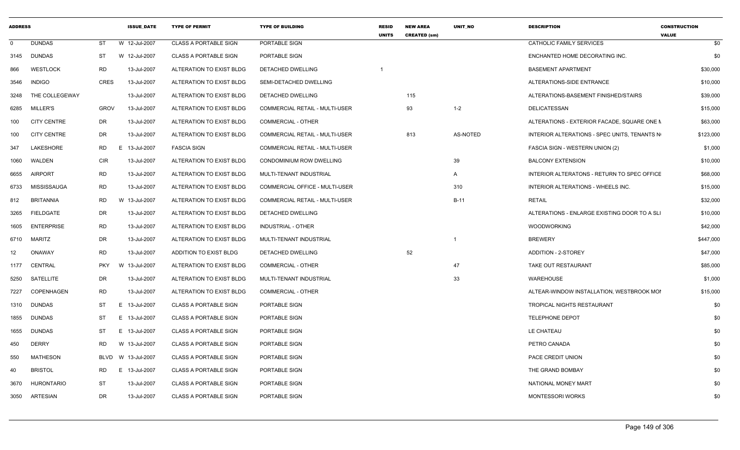| <b>ADDRESS</b> |                    |             | <b>ISSUE DATE</b> | <b>TYPE OF PERMIT</b>        | <b>TYPE OF BUILDING</b>               | <b>RESID</b><br><b>UNITS</b> | <b>NEW AREA</b><br><b>CREATED (sm)</b> | UNIT NO  | <b>DESCRIPTION</b>                           | <b>CONSTRUCTION</b><br><b>VALUE</b> |
|----------------|--------------------|-------------|-------------------|------------------------------|---------------------------------------|------------------------------|----------------------------------------|----------|----------------------------------------------|-------------------------------------|
| $\mathbf 0$    | <b>DUNDAS</b>      | <b>ST</b>   | W 12-Jul-2007     | <b>CLASS A PORTABLE SIGN</b> | PORTABLE SIGN                         |                              |                                        |          | CATHOLIC FAMILY SERVICES                     | \$0                                 |
| 3145           | <b>DUNDAS</b>      | ST          | W 12-Jul-2007     | <b>CLASS A PORTABLE SIGN</b> | PORTABLE SIGN                         |                              |                                        |          | ENCHANTED HOME DECORATING INC                | \$0                                 |
| 866            | <b>WESTLOCK</b>    | <b>RD</b>   | 13-Jul-2007       | ALTERATION TO EXIST BLDG     | DETACHED DWELLING                     |                              |                                        |          | <b>BASEMENT APARTMENT</b>                    | \$30,000                            |
| 3546           | <b>INDIGO</b>      | <b>CRES</b> | 13-Jul-2007       | ALTERATION TO EXIST BLDG     | SEMI-DETACHED DWELLING                |                              |                                        |          | ALTERATIONS-SIDE ENTRANCE                    | \$10,000                            |
| 3248           | THE COLLEGEWAY     |             | 13-Jul-2007       | ALTERATION TO EXIST BLDG     | DETACHED DWELLING                     |                              | 115                                    |          | ALTERATIONS-BASEMENT FINISHED/STAIRS         | \$39,000                            |
| 6285           | <b>MILLER'S</b>    | <b>GROV</b> | 13-Jul-2007       | ALTERATION TO EXIST BLDG     | <b>COMMERCIAL RETAIL - MULTI-USER</b> |                              | 93                                     | $1 - 2$  | DELICATESSAN                                 | \$15,000                            |
| 100            | <b>CITY CENTRE</b> | DR          | 13-Jul-2007       | ALTERATION TO EXIST BLDG     | <b>COMMERCIAL - OTHER</b>             |                              |                                        |          | ALTERATIONS - EXTERIOR FACADE, SQUARE ONE N  | \$63,000                            |
| 100            | <b>CITY CENTRE</b> | DR          | 13-Jul-2007       | ALTERATION TO EXIST BLDG     | <b>COMMERCIAL RETAIL - MULTI-USER</b> |                              | 813                                    | AS-NOTED | INTERIOR ALTERATIONS - SPEC UNITS, TENANTS N | \$123,000                           |
| 347            | LAKESHORE          | <b>RD</b>   | E.<br>13-Jul-2007 | <b>FASCIA SIGN</b>           | <b>COMMERCIAL RETAIL - MULTI-USER</b> |                              |                                        |          | FASCIA SIGN - WESTERN UNION (2)              | \$1,000                             |
| 1060           | WALDEN             | CIR         | 13-Jul-2007       | ALTERATION TO EXIST BLDG     | CONDOMINIUM ROW DWELLING              |                              |                                        | 39       | <b>BALCONY EXTENSION</b>                     | \$10,000                            |
| 6655           | <b>AIRPORT</b>     | <b>RD</b>   | 13-Jul-2007       | ALTERATION TO EXIST BLDG     | MULTI-TENANT INDUSTRIAL               |                              |                                        | A        | INTERIOR ALTERATONS - RETURN TO SPEC OFFICE  | \$68,000                            |
| 6733           | MISSISSAUGA        | <b>RD</b>   | 13-Jul-2007       | ALTERATION TO EXIST BLDG     | COMMERCIAL OFFICE - MULTI-USER        |                              |                                        | 310      | INTERIOR ALTERATIONS - WHEELS INC.           | \$15,000                            |
| 812            | <b>BRITANNIA</b>   | <b>RD</b>   | W 13-Jul-2007     | ALTERATION TO EXIST BLDG     | COMMERCIAL RETAIL - MULTI-USER        |                              |                                        | $B-11$   | RETAIL                                       | \$32,000                            |
| 3265           | <b>FIELDGATE</b>   | DR          | 13-Jul-2007       | ALTERATION TO EXIST BLDG     | DETACHED DWELLING                     |                              |                                        |          | ALTERATIONS - ENLARGE EXISTING DOOR TO A SLI | \$10,000                            |
| 1605           | <b>ENTERPRISE</b>  | RD          | 13-Jul-2007       | ALTERATION TO EXIST BLDG     | INDUSTRIAL - OTHER                    |                              |                                        |          | <b>WOODWORKING</b>                           | \$42,000                            |
| 6710           | <b>MARITZ</b>      | DR          | 13-Jul-2007       | ALTERATION TO EXIST BLDG     | MULTI-TENANT INDUSTRIAL               |                              |                                        |          | <b>BREWERY</b>                               | \$447,000                           |
| 12             | ONAWAY             | RD          | 13-Jul-2007       | ADDITION TO EXIST BLDG       | DETACHED DWELLING                     |                              | 52                                     |          | ADDITION - 2-STOREY                          | \$47,000                            |
| 1177           | CENTRAL            | <b>PKY</b>  | W<br>13-Jul-2007  | ALTERATION TO EXIST BLDG     | <b>COMMERCIAL - OTHER</b>             |                              |                                        | 47       | TAKE OUT RESTAURANT                          | \$85,000                            |
| 5250           | SATELLITE          | DR          | 13-Jul-2007       | ALTERATION TO EXIST BLDG     | MULTI-TENANT INDUSTRIAL               |                              |                                        | 33       | <b>WAREHOUSE</b>                             | \$1,000                             |
| 7227           | COPENHAGEN         | <b>RD</b>   | 13-Jul-2007       | ALTERATION TO EXIST BLDG     | <b>COMMERCIAL - OTHER</b>             |                              |                                        |          | ALTEAR-WINDOW INSTALLATION, WESTBROOK MOI    | \$15,000                            |
| 1310           | <b>DUNDAS</b>      | ST          | 13-Jul-2007<br>E. | <b>CLASS A PORTABLE SIGN</b> | PORTABLE SIGN                         |                              |                                        |          | <b>TROPICAL NIGHTS RESTAURANT</b>            | \$0                                 |
| 1855           | <b>DUNDAS</b>      | ST          | E 13-Jul-2007     | <b>CLASS A PORTABLE SIGN</b> | PORTABLE SIGN                         |                              |                                        |          | <b>TELEPHONE DEPOT</b>                       | \$0                                 |
| 1655           | <b>DUNDAS</b>      | ST          | E 13-Jul-2007     | <b>CLASS A PORTABLE SIGN</b> | PORTABLE SIGN                         |                              |                                        |          | LE CHATEAU                                   | \$0                                 |
| 450            | <b>DERRY</b>       | <b>RD</b>   | W 13-Jul-2007     | <b>CLASS A PORTABLE SIGN</b> | PORTABLE SIGN                         |                              |                                        |          | PETRO CANADA                                 | \$0                                 |
| 550            | <b>MATHESON</b>    | <b>BLVD</b> | W 13-Jul-2007     | <b>CLASS A PORTABLE SIGN</b> | PORTABLE SIGN                         |                              |                                        |          | PACE CREDIT UNION                            | \$0                                 |
| 40             | <b>BRISTOL</b>     | RD.         | 13-Jul-2007<br>E  | <b>CLASS A PORTABLE SIGN</b> | PORTABLE SIGN                         |                              |                                        |          | THE GRAND BOMBAY                             | \$0                                 |
| 3670           | <b>HURONTARIO</b>  | ST          | 13-Jul-2007       | <b>CLASS A PORTABLE SIGN</b> | PORTABLE SIGN                         |                              |                                        |          | NATIONAL MONEY MART                          | \$0                                 |
| 3050           | ARTESIAN           | <b>DR</b>   | 13-Jul-2007       | <b>CLASS A PORTABLE SIGN</b> | PORTABLE SIGN                         |                              |                                        |          | <b>MONTESSORI WORKS</b>                      | \$0                                 |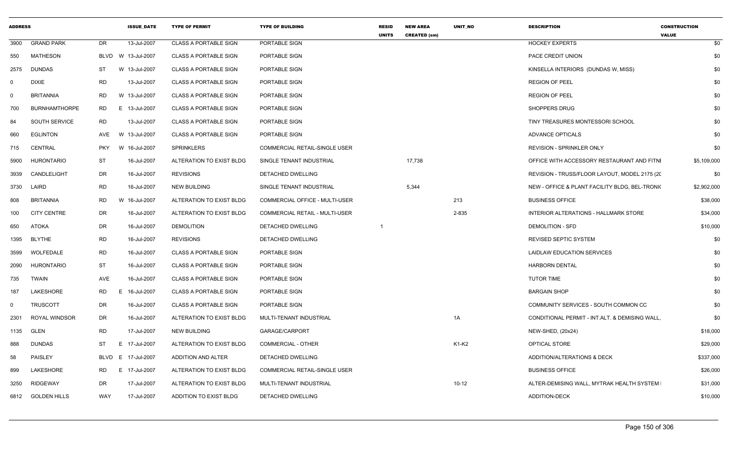| <b>ADDRESS</b> |                      |            | <b>ISSUE_DATE</b>  | <b>TYPE OF PERMIT</b>        | <b>TYPE OF BUILDING</b>        | <b>RESID</b><br><b>UNITS</b> | <b>NEW AREA</b><br><b>CREATED (sm)</b> | UNIT_NO   | <b>DESCRIPTION</b>                             | <b>CONSTRUCTION</b><br><b>VALUE</b> |
|----------------|----------------------|------------|--------------------|------------------------------|--------------------------------|------------------------------|----------------------------------------|-----------|------------------------------------------------|-------------------------------------|
| 3900           | <b>GRAND PARK</b>    | DR         | 13-Jul-2007        | <b>CLASS A PORTABLE SIGN</b> | PORTABLE SIGN                  |                              |                                        |           | <b>HOCKEY EXPERTS</b>                          | \$0                                 |
| 550            | <b>MATHESON</b>      |            | BLVD W 13-Jul-2007 | <b>CLASS A PORTABLE SIGN</b> | PORTABLE SIGN                  |                              |                                        |           | PACE CREDIT UNION                              | \$0                                 |
| 2575           | <b>DUNDAS</b>        | ST         | W 13-Jul-2007      | <b>CLASS A PORTABLE SIGN</b> | <b>PORTABLE SIGN</b>           |                              |                                        |           | KINSELLA INTERIORS (DUNDAS W, MISS)            | \$0                                 |
| $\mathbf 0$    | <b>DIXIE</b>         | <b>RD</b>  | 13-Jul-2007        | <b>CLASS A PORTABLE SIGN</b> | PORTABLE SIGN                  |                              |                                        |           | <b>REGION OF PEEL</b>                          | \$0                                 |
| $\mathbf 0$    | <b>BRITANNIA</b>     | RD         | W 13-Jul-2007      | <b>CLASS A PORTABLE SIGN</b> | PORTABLE SIGN                  |                              |                                        |           | <b>REGION OF PEEL</b>                          | \$0                                 |
| 700            | <b>BURNHAMTHORPE</b> | RD         | E 13-Jul-2007      | <b>CLASS A PORTABLE SIGN</b> | PORTABLE SIGN                  |                              |                                        |           | <b>SHOPPERS DRUG</b>                           | \$0                                 |
| 84             | <b>SOUTH SERVICE</b> | RD         | 13-Jul-2007        | <b>CLASS A PORTABLE SIGN</b> | PORTABLE SIGN                  |                              |                                        |           | TINY TREASURES MONTESSORI SCHOOL               | \$0                                 |
| 660            | <b>EGLINTON</b>      | AVE        | W 13-Jul-2007      | <b>CLASS A PORTABLE SIGN</b> | <b>PORTABLE SIGN</b>           |                              |                                        |           | <b>ADVANCE OPTICALS</b>                        | \$0                                 |
| 715            | CENTRAL              | <b>PKY</b> | W 16-Jul-2007      | <b>SPRINKLERS</b>            | COMMERCIAL RETAIL-SINGLE USER  |                              |                                        |           | <b>REVISION - SPRINKLER ONLY</b>               | \$0                                 |
| 5900           | <b>HURONTARIO</b>    | ST         | 16-Jul-2007        | ALTERATION TO EXIST BLDG     | SINGLE TENANT INDUSTRIAL       |                              | 17,738                                 |           | OFFICE WITH ACCESSORY RESTAURANT AND FITNI     | \$5,109,000                         |
| 3939           | CANDLELIGHT          | DR         | 16-Jul-2007        | <b>REVISIONS</b>             | DETACHED DWELLING              |                              |                                        |           | REVISION - TRUSS/FLOOR LAYOUT, MODEL 2175 (20  | \$0                                 |
| 3730           | LAIRD                | <b>RD</b>  | 16-Jul-2007        | <b>NEW BUILDING</b>          | SINGLE TENANT INDUSTRIAL       |                              | 5,344                                  |           | NEW - OFFICE & PLANT FACILITY BLDG, BEL-TRONIC | \$2,902,000                         |
| 808            | <b>BRITANNIA</b>     | <b>RD</b>  | W 16-Jul-2007      | ALTERATION TO EXIST BLDG     | COMMERCIAL OFFICE - MULTI-USER |                              |                                        | 213       | <b>BUSINESS OFFICE</b>                         | \$38,000                            |
| 100            | <b>CITY CENTRE</b>   | DR         | 16-Jul-2007        | ALTERATION TO EXIST BLDG     | COMMERCIAL RETAIL - MULTI-USER |                              |                                        | 2-835     | INTERIOR ALTERATIONS - HALLMARK STORE          | \$34,000                            |
| 650            | <b>ATOKA</b>         | DR         | 16-Jul-2007        | <b>DEMOLITION</b>            | DETACHED DWELLING              |                              |                                        |           | <b>DEMOLITION - SFD</b>                        | \$10,000                            |
| 1395           | <b>BLYTHE</b>        | RD         | 16-Jul-2007        | <b>REVISIONS</b>             | DETACHED DWELLING              |                              |                                        |           | <b>REVISED SEPTIC SYSTEM</b>                   | \$0                                 |
| 3599           | WOLFEDALE            | <b>RD</b>  | 16-Jul-2007        | <b>CLASS A PORTABLE SIGN</b> | PORTABLE SIGN                  |                              |                                        |           | LAIDLAW EDUCATION SERVICES                     | \$0                                 |
| 2090           | <b>HURONTARIO</b>    | ST         | 16-Jul-2007        | <b>CLASS A PORTABLE SIGN</b> | PORTABLE SIGN                  |                              |                                        |           | <b>HARBORN DENTAL</b>                          | \$0                                 |
| 735            | <b>TWAIN</b>         | AVE        | 16-Jul-2007        | <b>CLASS A PORTABLE SIGN</b> | PORTABLE SIGN                  |                              |                                        |           | <b>TUTOR TIME</b>                              | \$0                                 |
| 187            | LAKESHORE            | <b>RD</b>  | E 16-Jul-2007      | <b>CLASS A PORTABLE SIGN</b> | PORTABLE SIGN                  |                              |                                        |           | <b>BARGAIN SHOP</b>                            | \$0                                 |
| $\mathbf 0$    | <b>TRUSCOTT</b>      | DR         | 16-Jul-2007        | <b>CLASS A PORTABLE SIGN</b> | PORTABLE SIGN                  |                              |                                        |           | COMMUNITY SERVICES - SOUTH COMMON CC           | \$0                                 |
| 2301           | ROYAL WINDSOR        | DR         | 16-Jul-2007        | ALTERATION TO EXIST BLDG     | MULTI-TENANT INDUSTRIAL        |                              |                                        | 1A        | CONDITIONAL PERMIT - INT.ALT. & DEMISING WALL, | \$0                                 |
| 1135           | <b>GLEN</b>          | <b>RD</b>  | 17-Jul-2007        | <b>NEW BUILDING</b>          | GARAGE/CARPORT                 |                              |                                        |           | NEW-SHED, (20x24)                              | \$18,000                            |
| 888            | <b>DUNDAS</b>        | ST         | E 17-Jul-2007      | ALTERATION TO EXIST BLDG     | COMMERCIAL - OTHER             |                              |                                        | K1-K2     | OPTICAL STORE                                  | \$29,000                            |
| 58             | PAISLEY              | BLVD       | E 17-Jul-2007      | ADDITION AND ALTER           | DETACHED DWELLING              |                              |                                        |           | ADDITION/ALTERATIONS & DECK                    | \$337,000                           |
| 899            | LAKESHORE            | RD         | E 17-Jul-2007      | ALTERATION TO EXIST BLDG     | COMMERCIAL RETAIL-SINGLE USER  |                              |                                        |           | <b>BUSINESS OFFICE</b>                         | \$26,000                            |
| 3250           | <b>RIDGEWAY</b>      | DR.        | 17-Jul-2007        | ALTERATION TO EXIST BLDG     | MULTI-TENANT INDUSTRIAL        |                              |                                        | $10 - 12$ | ALTER-DEMISING WALL, MYTRAK HEALTH SYSTEM      | \$31,000                            |
| 6812           | <b>GOLDEN HILLS</b>  | <b>WAY</b> | 17-Jul-2007        | ADDITION TO EXIST BLDG       | DETACHED DWELLING              |                              |                                        |           | ADDITION-DECK                                  | \$10,000                            |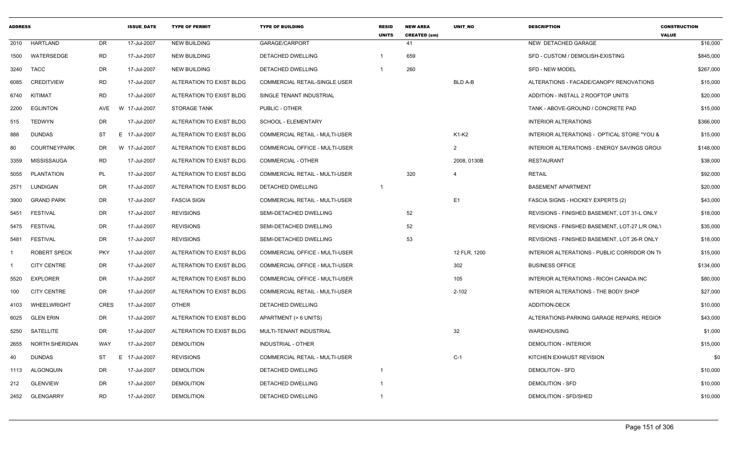| <b>ADDRESS</b> |                       |             | <b>ISSUE DATE</b> | <b>TYPE OF PERMIT</b>    | <b>TYPE OF BUILDING</b>               | <b>RESID</b><br><b>UNITS</b> | <b>NEW AREA</b><br><b>CREATED (sm)</b> | <b>UNIT NO</b> | <b>DESCRIPTION</b>                             | <b>CONSTRUCTION</b><br><b>VALUE</b> |
|----------------|-----------------------|-------------|-------------------|--------------------------|---------------------------------------|------------------------------|----------------------------------------|----------------|------------------------------------------------|-------------------------------------|
| 2010           | HARTLAND              | <b>DR</b>   | 17-Jul-2007       | <b>NEW BUILDING</b>      | GARAGE/CARPORT                        |                              | 41                                     |                | NEW DETACHED GARAGE                            | \$16,000                            |
| 1500           | WATERSEDGE            | <b>RD</b>   | 17-Jul-2007       | <b>NEW BUILDING</b>      | DETACHED DWELLING                     |                              | 659                                    |                | SFD - CUSTOM / DEMOLISH-EXISTING               | \$845,000                           |
| 3240           | TACC                  | DR          | 17-Jul-2007       | <b>NEW BUILDING</b>      | DETACHED DWELLING                     |                              | 260                                    |                | <b>SFD - NEW MODEL</b>                         | \$267,000                           |
| 6085           | <b>CREDITVIEW</b>     | <b>RD</b>   | 17-Jul-2007       | ALTERATION TO EXIST BLDG | <b>COMMERCIAL RETAIL-SINGLE USER</b>  |                              |                                        | <b>BLD A-B</b> | ALTERATIONS - FACADE/CANOPY RENOVATIONS        | \$15,000                            |
| 6740           | KITIMAT               | <b>RD</b>   | 17-Jul-2007       | ALTERATION TO EXIST BLDG | SINGLE TENANT INDUSTRIAL              |                              |                                        |                | ADDITION - INSTALL 2 ROOFTOP UNITS             | \$20,000                            |
| 2200           | <b>EGLINTON</b>       | AVE<br>W    | 17-Jul-2007       | <b>STORAGE TANK</b>      | PUBLIC - OTHER                        |                              |                                        |                | TANK - ABOVE-GROUND / CONCRETE PAD             | \$15,000                            |
| 515            | <b>TEDWYN</b>         | <b>DR</b>   | 17-Jul-2007       | ALTERATION TO EXIST BLDG | SCHOOL - ELEMENTARY                   |                              |                                        |                | <b>INTERIOR ALTERATIONS</b>                    | \$366,000                           |
| 888            | <b>DUNDAS</b>         | ST          | E 17-Jul-2007     | ALTERATION TO EXIST BLDG | COMMERCIAL RETAIL - MULTI-USER        |                              |                                        | K1-K2          | INTERIOR ALTERATIONS - OPTICAL STORE "YOU &    | \$15,000                            |
| 80             | <b>COURTNEYPARK</b>   | DR          | W 17-Jul-2007     | ALTERATION TO EXIST BLDG | COMMERCIAL OFFICE - MULTI-USER        |                              |                                        | 2              | INTERIOR ALTERATIONS - ENERGY SAVINGS GROU     | \$148,000                           |
| 3359           | MISSISSAUGA           | <b>RD</b>   | 17-Jul-2007       | ALTERATION TO EXIST BLDG | <b>COMMERCIAL - OTHER</b>             |                              |                                        | 2008, 0130B    | <b>RESTAURANT</b>                              | \$38,000                            |
| 5055           | <b>PLANTATION</b>     | PL          | 17-Jul-2007       | ALTERATION TO EXIST BLDG | COMMERCIAL RETAIL - MULTI-USER        |                              | 320                                    |                | <b>RETAIL</b>                                  | \$92,000                            |
| 2571           | LUNDIGAN              | <b>DR</b>   | 17-Jul-2007       | ALTERATION TO EXIST BLDG | DETACHED DWELLING                     | $\overline{1}$               |                                        |                | <b>BASEMENT APARTMENT</b>                      | \$20,000                            |
| 3900           | <b>GRAND PARK</b>     | DR          | 17-Jul-2007       | <b>FASCIA SIGN</b>       | COMMERCIAL RETAIL - MULTI-USER        |                              |                                        | E <sub>1</sub> | <b>FASCIA SIGNS - HOCKEY EXPERTS (2)</b>       | \$43,000                            |
| 5451           | <b>FESTIVAL</b>       | <b>DR</b>   | 17-Jul-2007       | <b>REVISIONS</b>         | SEMI-DETACHED DWELLING                |                              | 52                                     |                | REVISIONS - FINISHED BASEMENT, LOT 31-L ONLY   | \$18,000                            |
| 5475           | FESTIVAL              | <b>DR</b>   | 17-Jul-2007       | <b>REVISIONS</b>         | SEMI-DETACHED DWELLING                |                              | 52                                     |                | REVISIONS - FINISHED BASEMENT, LOT-27 L/R ONLY | \$35,000                            |
| 5481           | <b>FESTIVAL</b>       | <b>DR</b>   | 17-Jul-2007       | <b>REVISIONS</b>         | SEMI-DETACHED DWELLING                |                              | 53                                     |                | REVISIONS - FINISHED BASEMENT, LOT 26-R ONLY   | \$18,000                            |
|                | ROBERT SPECK          | <b>PKY</b>  | 17-Jul-2007       | ALTERATION TO EXIST BLDG | COMMERCIAL OFFICE - MULTI-USER        |                              |                                        | 12 FLR, 1200   | INTERIOR ALTERATIONS - PUBLIC CORRIDOR ON TH   | \$15,000                            |
|                | <b>CITY CENTRE</b>    | <b>DR</b>   | 17-Jul-2007       | ALTERATION TO EXIST BLDG | COMMERCIAL OFFICE - MULTI-USER        |                              |                                        | 302            | <b>BUSINESS OFFICE</b>                         | \$134,000                           |
| 5520           | <b>EXPLORER</b>       | <b>DR</b>   | 17-Jul-2007       | ALTERATION TO EXIST BLDG | <b>COMMERCIAL OFFICE - MULTI-USER</b> |                              |                                        | 105            | INTERIOR ALTERATIONS - RICOH CANADA INC        | \$80,000                            |
| 100            | <b>CITY CENTRE</b>    | <b>DR</b>   | 17-Jul-2007       | ALTERATION TO EXIST BLDG | COMMERCIAL RETAIL - MULTI-USER        |                              |                                        | $2 - 102$      | <b>INTERIOR ALTERATIONS - THE BODY SHOP</b>    | \$27,000                            |
| 4103           | WHEELWRIGHT           | <b>CRES</b> | 17-Jul-2007       | <b>OTHER</b>             | DETACHED DWELLING                     |                              |                                        |                | <b>ADDITION-DECK</b>                           | \$10,000                            |
| 6025           | <b>GLEN ERIN</b>      | <b>DR</b>   | 17-Jul-2007       | ALTERATION TO EXIST BLDG | APARTMENT (> 6 UNITS)                 |                              |                                        |                | ALTERATIONS-PARKING GARAGE REPAIRS, REGION     | \$43,000                            |
| 5250           | SATELLITE             | <b>DR</b>   | 17-Jul-2007       | ALTERATION TO EXIST BLDG | MULTI-TENANT INDUSTRIAL               |                              |                                        | 32             | <b>WAREHOUSING</b>                             | \$1,000                             |
| 2655           | <b>NORTH SHERIDAN</b> | <b>WAY</b>  | 17-Jul-2007       | <b>DEMOLITION</b>        | <b>INDUSTRIAL - OTHER</b>             |                              |                                        |                | <b>DEMOLITION - INTERIOR</b>                   | \$15,000                            |
| 40             | <b>DUNDAS</b>         | ST          | E 17-Jul-2007     | <b>REVISIONS</b>         | COMMERCIAL RETAIL - MULTI-USER        |                              |                                        | $C-1$          | KITCHEN EXHAUST REVISION                       | \$0                                 |
| 1113           | ALGONQUIN             | <b>DR</b>   | 17-Jul-2007       | <b>DEMOLITION</b>        | DETACHED DWELLING                     | $\overline{1}$               |                                        |                | <b>DEMOLITON - SFD</b>                         | \$10,000                            |
| 212            | <b>GLENVIEW</b>       | <b>DR</b>   | 17-Jul-2007       | <b>DEMOLITION</b>        | DETACHED DWELLING                     |                              |                                        |                | <b>DEMOLITION - SFD</b>                        | \$10,000                            |
| 2452           | <b>GLENGARRY</b>      | <b>RD</b>   | 17-Jul-2007       | <b>DEMOLITION</b>        | DETACHED DWELLING                     | $\overline{1}$               |                                        |                | DEMOLITION - SFD/SHED                          | \$10,000                            |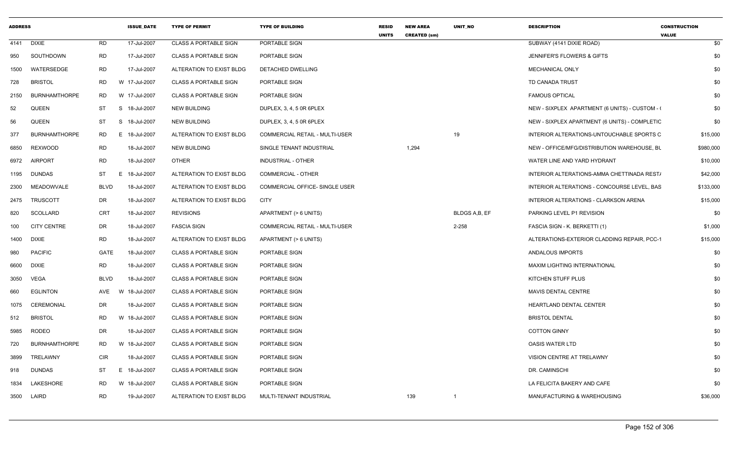| <b>ADDRESS</b> |                      |             | <b>ISSUE DATE</b> | <b>TYPE OF PERMIT</b>        | <b>TYPE OF BUILDING</b>               | <b>RESID</b><br><b>UNITS</b> | <b>NEW AREA</b><br><b>CREATED (sm)</b> | <b>UNIT NO</b> | <b>DESCRIPTION</b>                             | <b>CONSTRUCTION</b><br><b>VALUE</b> |
|----------------|----------------------|-------------|-------------------|------------------------------|---------------------------------------|------------------------------|----------------------------------------|----------------|------------------------------------------------|-------------------------------------|
| 4141           | DIXIE                | <b>RD</b>   | 17-Jul-2007       | <b>CLASS A PORTABLE SIGN</b> | PORTABLE SIGN                         |                              |                                        |                | SUBWAY (4141 DIXIE ROAD)                       | \$0                                 |
| 950            | SOUTHDOWN            | <b>RD</b>   | 17-Jul-2007       | <b>CLASS A PORTABLE SIGN</b> | PORTABLE SIGN                         |                              |                                        |                | <b>JENNIFER'S FLOWERS &amp; GIFTS</b>          | \$0                                 |
| 1500           | WATERSEDGE           | <b>RD</b>   | 17-Jul-2007       | ALTERATION TO EXIST BLDG     | DETACHED DWELLING                     |                              |                                        |                | <b>MECHANICAL ONLY</b>                         | \$0                                 |
| 728            | <b>BRISTOL</b>       | <b>RD</b>   | W 17-Jul-2007     | <b>CLASS A PORTABLE SIGN</b> | PORTABLE SIGN                         |                              |                                        |                | <b>TD CANADA TRUST</b>                         | \$0                                 |
| 2150           | <b>BURNHAMTHORPE</b> | <b>RD</b>   | W 17-Jul-2007     | <b>CLASS A PORTABLE SIGN</b> | PORTABLE SIGN                         |                              |                                        |                | <b>FAMOUS OPTICAL</b>                          | \$0                                 |
| 52             | <b>QUEEN</b>         | <b>ST</b>   | S 18-Jul-2007     | <b>NEW BUILDING</b>          | DUPLEX, 3, 4, 5 0R 6PLEX              |                              |                                        |                | NEW - SIXPLEX APARTMENT (6 UNITS) - CUSTOM - ( | \$0                                 |
| 56             | <b>QUEEN</b>         | ST          | S 18-Jul-2007     | <b>NEW BUILDING</b>          | DUPLEX, 3, 4, 5 0R 6PLEX              |                              |                                        |                | NEW - SIXPLEX APARTMENT (6 UNITS) - COMPLETIC  | \$0                                 |
| 377            | <b>BURNHAMTHORPE</b> | RD          | E 18-Jul-2007     | ALTERATION TO EXIST BLDG     | <b>COMMERCIAL RETAIL - MULTI-USER</b> |                              |                                        | 19             | INTERIOR ALTERATIONS-UNTOUCHABLE SPORTS C      | \$15,000                            |
| 6850           | <b>REXWOOD</b>       | <b>RD</b>   | 18-Jul-2007       | <b>NEW BUILDING</b>          | SINGLE TENANT INDUSTRIAL              |                              | 1,294                                  |                | NEW - OFFICE/MFG/DISTRIBUTION WAREHOUSE, BL    | \$980,000                           |
| 6972           | <b>AIRPORT</b>       | <b>RD</b>   | 18-Jul-2007       | <b>OTHER</b>                 | INDUSTRIAL - OTHER                    |                              |                                        |                | WATER LINE AND YARD HYDRANT                    | \$10,000                            |
| 1195           | <b>DUNDAS</b>        | ST          | 18-Jul-2007<br>E. | ALTERATION TO EXIST BLDG     | <b>COMMERCIAL - OTHER</b>             |                              |                                        |                | INTERIOR ALTERATIONS-AMMA CHETTINADA REST/     | \$42,000                            |
| 2300           | MEADOWVALE           | <b>BLVD</b> | 18-Jul-2007       | ALTERATION TO EXIST BLDG     | <b>COMMERCIAL OFFICE- SINGLE USER</b> |                              |                                        |                | INTERIOR ALTERATIONS - CONCOURSE LEVEL, BAS    | \$133,000                           |
| 2475           | <b>TRUSCOTT</b>      | DR          | 18-Jul-2007       | ALTERATION TO EXIST BLDG     | <b>CITY</b>                           |                              |                                        |                | INTERIOR ALTERATIONS - CLARKSON ARENA          | \$15,000                            |
| 820            | <b>SCOLLARD</b>      | <b>CRT</b>  | 18-Jul-2007       | <b>REVISIONS</b>             | APARTMENT (> 6 UNITS)                 |                              |                                        | BLDGS A,B, EF  | PARKING LEVEL P1 REVISION                      | \$0                                 |
| 100            | <b>CITY CENTRE</b>   | DR          | 18-Jul-2007       | <b>FASCIA SIGN</b>           | COMMERCIAL RETAIL - MULTI-USER        |                              |                                        | 2-258          | FASCIA SIGN - K. BERKETTI (1)                  | \$1,000                             |
| 1400           | <b>DIXIE</b>         | <b>RD</b>   | 18-Jul-2007       | ALTERATION TO EXIST BLDG     | APARTMENT (> 6 UNITS)                 |                              |                                        |                | ALTERATIONS-EXTERIOR CLADDING REPAIR, PCC-1    | \$15,000                            |
| 980            | <b>PACIFIC</b>       | <b>GATE</b> | 18-Jul-2007       | <b>CLASS A PORTABLE SIGN</b> | PORTABLE SIGN                         |                              |                                        |                | ANDALOUS IMPORTS                               | \$0                                 |
| 6600           | <b>DIXIE</b>         | <b>RD</b>   | 18-Jul-2007       | <b>CLASS A PORTABLE SIGN</b> | PORTABLE SIGN                         |                              |                                        |                | MAXIM LIGHTING INTERNATIONAL                   | \$0                                 |
| 3050           | VEGA                 | <b>BLVD</b> | 18-Jul-2007       | <b>CLASS A PORTABLE SIGN</b> | PORTABLE SIGN                         |                              |                                        |                | KITCHEN STUFF PLUS                             | \$0                                 |
| 660            | <b>EGLINTON</b>      | AVE         | W 18-Jul-2007     | <b>CLASS A PORTABLE SIGN</b> | PORTABLE SIGN                         |                              |                                        |                | MAVIS DENTAL CENTRE                            | \$0                                 |
| 1075           | CEREMONIAL           | <b>DR</b>   | 18-Jul-2007       | <b>CLASS A PORTABLE SIGN</b> | PORTABLE SIGN                         |                              |                                        |                | <b>HEARTLAND DENTAL CENTER</b>                 | \$0                                 |
| 512            | <b>BRISTOL</b>       | <b>RD</b>   | W 18-Jul-2007     | <b>CLASS A PORTABLE SIGN</b> | PORTABLE SIGN                         |                              |                                        |                | <b>BRISTOL DENTAL</b>                          | \$0                                 |
| 5985           | RODEO                | <b>DR</b>   | 18-Jul-2007       | <b>CLASS A PORTABLE SIGN</b> | PORTABLE SIGN                         |                              |                                        |                | <b>COTTON GINNY</b>                            | \$0                                 |
| 720            | <b>BURNHAMTHORPE</b> | <b>RD</b>   | W 18-Jul-2007     | <b>CLASS A PORTABLE SIGN</b> | PORTABLE SIGN                         |                              |                                        |                | <b>OASIS WATER LTD</b>                         | \$0                                 |
| 3899           | TRELAWNY             | <b>CIR</b>  | 18-Jul-2007       | <b>CLASS A PORTABLE SIGN</b> | PORTABLE SIGN                         |                              |                                        |                | VISION CENTRE AT TRELAWNY                      | \$0                                 |
| 918            | <b>DUNDAS</b>        | <b>ST</b>   | E 18-Jul-2007     | <b>CLASS A PORTABLE SIGN</b> | PORTABLE SIGN                         |                              |                                        |                | DR. CAMINSCHI                                  | \$0                                 |
| 1834           | LAKESHORE            | RD.         | W 18-Jul-2007     | <b>CLASS A PORTABLE SIGN</b> | PORTABLE SIGN                         |                              |                                        |                | LA FELICITA BAKERY AND CAFE                    | \$0                                 |
|                | 3500 LAIRD           | <b>RD</b>   | 19-Jul-2007       | ALTERATION TO EXIST BLDG     | MULTI-TENANT INDUSTRIAL               |                              | 139                                    | -1             | MANUFACTURING & WAREHOUSING                    | \$36,000                            |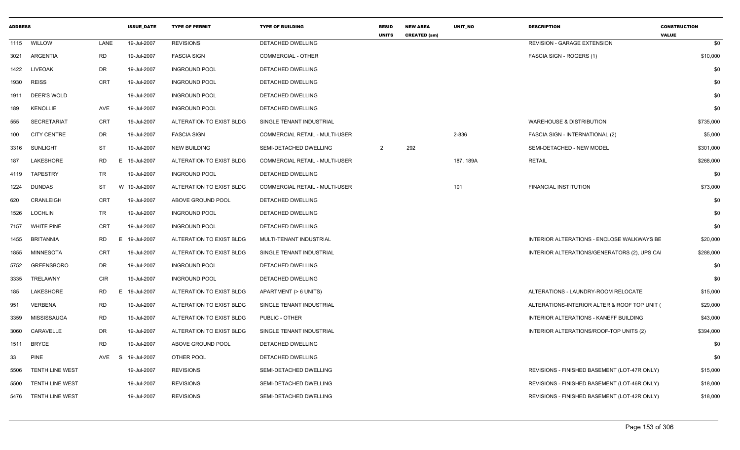| <b>ADDRESS</b> |                        |            | <b>ISSUE DATE</b> | <b>TYPE OF PERMIT</b>    | <b>TYPE OF BUILDING</b>        | <b>RESID</b><br><b>UNITS</b> | <b>NEW AREA</b><br><b>CREATED (sm)</b> | UNIT_NO   | <b>DESCRIPTION</b>                           | <b>CONSTRUCTION</b><br><b>VALUE</b> |     |
|----------------|------------------------|------------|-------------------|--------------------------|--------------------------------|------------------------------|----------------------------------------|-----------|----------------------------------------------|-------------------------------------|-----|
|                | 1115 WILLOW            | LANE       | 19-Jul-2007       | <b>REVISIONS</b>         | <b>DETACHED DWELLING</b>       |                              |                                        |           | <b>REVISION - GARAGE EXTENSION</b>           |                                     | \$0 |
| 3021           | ARGENTIA               | <b>RD</b>  | 19-Jul-2007       | <b>FASCIA SIGN</b>       | COMMERCIAL - OTHER             |                              |                                        |           | FASCIA SIGN - ROGERS (1)                     | \$10,000                            |     |
| 1422           | <b>LIVEOAK</b>         | DR         | 19-Jul-2007       | <b>INGROUND POOL</b>     | DETACHED DWELLING              |                              |                                        |           |                                              |                                     | \$0 |
| 1930           | <b>REISS</b>           | <b>CRT</b> | 19-Jul-2007       | <b>INGROUND POOL</b>     | DETACHED DWELLING              |                              |                                        |           |                                              |                                     | \$0 |
| 1911           | DEER'S WOLD            |            | 19-Jul-2007       | <b>INGROUND POOL</b>     | DETACHED DWELLING              |                              |                                        |           |                                              |                                     | \$0 |
| 189            | <b>KENOLLIE</b>        | AVE        | 19-Jul-2007       | <b>INGROUND POOL</b>     | DETACHED DWELLING              |                              |                                        |           |                                              |                                     | \$0 |
| 555            | <b>SECRETARIAT</b>     | <b>CRT</b> | 19-Jul-2007       | ALTERATION TO EXIST BLDG | SINGLE TENANT INDUSTRIAL       |                              |                                        |           | <b>WAREHOUSE &amp; DISTRIBUTION</b>          | \$735,000                           |     |
| 100            | <b>CITY CENTRE</b>     | DR         | 19-Jul-2007       | <b>FASCIA SIGN</b>       | COMMERCIAL RETAIL - MULTI-USER |                              |                                        | 2-836     | FASCIA SIGN - INTERNATIONAL (2)              | \$5,000                             |     |
| 3316           | <b>SUNLIGHT</b>        | ST         | 19-Jul-2007       | NEW BUILDING             | SEMI-DETACHED DWELLING         | $\overline{2}$               | 292                                    |           | SEMI-DETACHED - NEW MODEL                    | \$301,000                           |     |
| 187            | LAKESHORE              | <b>RD</b>  | E 19-Jul-2007     | ALTERATION TO EXIST BLDG | COMMERCIAL RETAIL - MULTI-USER |                              |                                        | 187, 189A | <b>RETAIL</b>                                | \$268,000                           |     |
| 4119           | <b>TAPESTRY</b>        | <b>TR</b>  | 19-Jul-2007       | <b>INGROUND POOL</b>     | DETACHED DWELLING              |                              |                                        |           |                                              |                                     | \$0 |
| 1224           | <b>DUNDAS</b>          | ST         | W 19-Jul-2007     | ALTERATION TO EXIST BLDG | COMMERCIAL RETAIL - MULTI-USER |                              |                                        | 101       | <b>FINANCIAL INSTITUTION</b>                 | \$73,000                            |     |
| 620            | CRANLEIGH              | CRT        | 19-Jul-2007       | ABOVE GROUND POOL        | DETACHED DWELLING              |                              |                                        |           |                                              |                                     | \$0 |
| 1526           | <b>LOCHLIN</b>         | TR         | 19-Jul-2007       | <b>INGROUND POOL</b>     | DETACHED DWELLING              |                              |                                        |           |                                              |                                     | \$0 |
| 7157           | <b>WHITE PINE</b>      | <b>CRT</b> | 19-Jul-2007       | <b>INGROUND POOL</b>     | DETACHED DWELLING              |                              |                                        |           |                                              |                                     | \$0 |
| 1455           | <b>BRITANNIA</b>       | RD         | E 19-Jul-2007     | ALTERATION TO EXIST BLDG | MULTI-TENANT INDUSTRIAL        |                              |                                        |           | INTERIOR ALTERATIONS - ENCLOSE WALKWAYS BE   | \$20,000                            |     |
| 1855           | MINNESOTA              | CRT        | 19-Jul-2007       | ALTERATION TO EXIST BLDG | SINGLE TENANT INDUSTRIAL       |                              |                                        |           | INTERIOR ALTERATIONS/GENERATORS (2), UPS CAI | \$288,000                           |     |
| 5752           | <b>GREENSBORO</b>      | DR         | 19-Jul-2007       | <b>INGROUND POOL</b>     | DETACHED DWELLING              |                              |                                        |           |                                              |                                     | \$0 |
| 3335           | TRELAWNY               | <b>CIR</b> | 19-Jul-2007       | <b>INGROUND POOL</b>     | DETACHED DWELLING              |                              |                                        |           |                                              |                                     | \$0 |
| 185            | LAKESHORE              | RD         | E 19-Jul-2007     | ALTERATION TO EXIST BLDG | APARTMENT (> 6 UNITS)          |                              |                                        |           | ALTERATIONS - LAUNDRY-ROOM RELOCATE          | \$15,000                            |     |
| 951            | <b>VERBENA</b>         | <b>RD</b>  | 19-Jul-2007       | ALTERATION TO EXIST BLDG | SINGLE TENANT INDUSTRIAL       |                              |                                        |           | ALTERATIONS-INTERIOR ALTER & ROOF TOP UNIT ( | \$29,000                            |     |
| 3359           | <b>MISSISSAUGA</b>     | <b>RD</b>  | 19-Jul-2007       | ALTERATION TO EXIST BLDG | PUBLIC - OTHER                 |                              |                                        |           | INTERIOR ALTERATIONS - KANEFF BUILDING       | \$43,000                            |     |
| 3060           | CARAVELLE              | DR         | 19-Jul-2007       | ALTERATION TO EXIST BLDG | SINGLE TENANT INDUSTRIAL       |                              |                                        |           | INTERIOR ALTERATIONS/ROOF-TOP UNITS (2)      | \$394,000                           |     |
| 1511           | <b>BRYCE</b>           | <b>RD</b>  | 19-Jul-2007       | ABOVE GROUND POOL        | DETACHED DWELLING              |                              |                                        |           |                                              |                                     | \$0 |
| 33             | <b>PINE</b>            | AVE<br>S   | 19-Jul-2007       | OTHER POOL               | DETACHED DWELLING              |                              |                                        |           |                                              |                                     | \$0 |
| 5506           | TENTH LINE WEST        |            | 19-Jul-2007       | <b>REVISIONS</b>         | SEMI-DETACHED DWELLING         |                              |                                        |           | REVISIONS - FINISHED BASEMENT (LOT-47R ONLY) | \$15,000                            |     |
| 5500           | <b>TENTH LINE WEST</b> |            | 19-Jul-2007       | <b>REVISIONS</b>         | SEMI-DETACHED DWELLING         |                              |                                        |           | REVISIONS - FINISHED BASEMENT (LOT-46R ONLY) | \$18,000                            |     |
|                | 5476 TENTH LINE WEST   |            | 19-Jul-2007       | <b>REVISIONS</b>         | SEMI-DETACHED DWELLING         |                              |                                        |           | REVISIONS - FINISHED BASEMENT (LOT-42R ONLY) | \$18,000                            |     |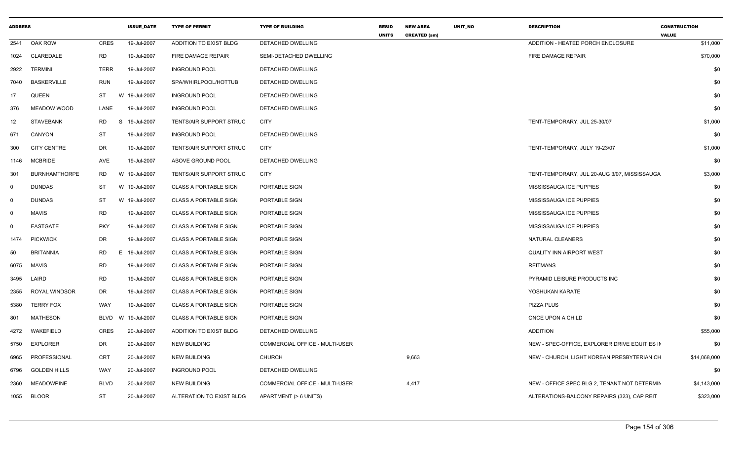| <b>ADDRESS</b> |                      |                | <b>ISSUE DATE</b> | <b>TYPE OF PERMIT</b>          | <b>TYPE OF BUILDING</b>               | <b>RESID</b><br><b>UNITS</b> | <b>NEW AREA</b><br><b>CREATED (sm)</b> | UNIT NO | <b>DESCRIPTION</b>                            | <b>CONSTRUCTION</b><br><b>VALUE</b> |
|----------------|----------------------|----------------|-------------------|--------------------------------|---------------------------------------|------------------------------|----------------------------------------|---------|-----------------------------------------------|-------------------------------------|
| 2541           | OAK ROW              | <b>CRES</b>    | 19-Jul-2007       | ADDITION TO EXIST BLDG         | <b>DETACHED DWELLING</b>              |                              |                                        |         | ADDITION - HEATED PORCH ENCLOSURE             | \$11,000                            |
| 1024           | CLAREDALE            | <b>RD</b>      | 19-Jul-2007       | FIRE DAMAGE REPAIR             | SEMI-DETACHED DWELLING                |                              |                                        |         | FIRE DAMAGE REPAIR                            | \$70,000                            |
| 2922           | <b>TERMINI</b>       | <b>TERR</b>    | 19-Jul-2007       | <b>INGROUND POOL</b>           | DETACHED DWELLING                     |                              |                                        |         |                                               | \$0                                 |
| 7040           | <b>BASKERVILLE</b>   | <b>RUN</b>     | 19-Jul-2007       | SPA/WHIRLPOOL/HOTTUB           | <b>DETACHED DWELLING</b>              |                              |                                        |         |                                               | \$0                                 |
| 17             | <b>QUEEN</b>         | ST             | W 19-Jul-2007     | <b>INGROUND POOL</b>           | DETACHED DWELLING                     |                              |                                        |         |                                               | \$0                                 |
| 376            | MEADOW WOOD          | LANE           | 19-Jul-2007       | <b>INGROUND POOL</b>           | <b>DETACHED DWELLING</b>              |                              |                                        |         |                                               | \$0                                 |
| 12             | <b>STAVEBANK</b>     | <b>RD</b><br>S | 19-Jul-2007       | <b>TENTS/AIR SUPPORT STRUC</b> | <b>CITY</b>                           |                              |                                        |         | TENT-TEMPORARY, JUL 25-30/07                  | \$1,000                             |
| 671            | <b>CANYON</b>        | <b>ST</b>      | 19-Jul-2007       | <b>INGROUND POOL</b>           | <b>DETACHED DWELLING</b>              |                              |                                        |         |                                               | \$0                                 |
| 300            | <b>CITY CENTRE</b>   | DR.            | 19-Jul-2007       | TENTS/AIR SUPPORT STRUC        | <b>CITY</b>                           |                              |                                        |         | TENT-TEMPORARY, JULY 19-23/07                 | \$1,000                             |
| 1146           | <b>MCBRIDE</b>       | AVE            | 19-Jul-2007       | ABOVE GROUND POOL              | DETACHED DWELLING                     |                              |                                        |         |                                               | \$0                                 |
| 301            | <b>BURNHAMTHORPE</b> | RD             | W 19-Jul-2007     | TENTS/AIR SUPPORT STRUC        | CITY                                  |                              |                                        |         | TENT-TEMPORARY, JUL 20-AUG 3/07, MISSISSAUGA  | \$3,000                             |
| 0              | <b>DUNDAS</b>        | <b>ST</b>      | W 19-Jul-2007     | <b>CLASS A PORTABLE SIGN</b>   | PORTABLE SIGN                         |                              |                                        |         | MISSISSAUGA ICE PUPPIES                       | \$0                                 |
| 0              | <b>DUNDAS</b>        | ST             | W 19-Jul-2007     | <b>CLASS A PORTABLE SIGN</b>   | PORTABLE SIGN                         |                              |                                        |         | MISSISSAUGA ICE PUPPIES                       | \$0                                 |
| $\mathbf{0}$   | <b>MAVIS</b>         | <b>RD</b>      | 19-Jul-2007       | <b>CLASS A PORTABLE SIGN</b>   | PORTABLE SIGN                         |                              |                                        |         | MISSISSAUGA ICE PUPPIES                       | \$0                                 |
| $\Omega$       | <b>EASTGATE</b>      | <b>PKY</b>     | 19-Jul-2007       | <b>CLASS A PORTABLE SIGN</b>   | PORTABLE SIGN                         |                              |                                        |         | MISSISSAUGA ICE PUPPIES                       | \$0                                 |
| 1474           | <b>PICKWICK</b>      | DR.            | 19-Jul-2007       | <b>CLASS A PORTABLE SIGN</b>   | PORTABLE SIGN                         |                              |                                        |         | NATURAL CLEANERS                              | \$0                                 |
| 50             | <b>BRITANNIA</b>     | <b>RD</b>      | E 19-Jul-2007     | <b>CLASS A PORTABLE SIGN</b>   | PORTABLE SIGN                         |                              |                                        |         | <b>QUALITY INN AIRPORT WEST</b>               | \$0                                 |
| 6075           | MAVIS                | <b>RD</b>      | 19-Jul-2007       | <b>CLASS A PORTABLE SIGN</b>   | <b>PORTABLE SIGN</b>                  |                              |                                        |         | <b>REITMANS</b>                               | \$0                                 |
| 3495           | LAIRD                | <b>RD</b>      | 19-Jul-2007       | <b>CLASS A PORTABLE SIGN</b>   | PORTABLE SIGN                         |                              |                                        |         | PYRAMID LEISURE PRODUCTS INC                  | \$0                                 |
| 2355           | ROYAL WINDSOR        | DR             | 19-Jul-2007       | <b>CLASS A PORTABLE SIGN</b>   | PORTABLE SIGN                         |                              |                                        |         | YOSHUKAN KARATE                               | \$0                                 |
| 5380           | <b>TERRY FOX</b>     | WAY            | 19-Jul-2007       | <b>CLASS A PORTABLE SIGN</b>   | PORTABLE SIGN                         |                              |                                        |         | <b>PIZZA PLUS</b>                             | \$0                                 |
| 801            | <b>MATHESON</b>      | BLVD           | W 19-Jul-2007     | <b>CLASS A PORTABLE SIGN</b>   | PORTABLE SIGN                         |                              |                                        |         | ONCE UPON A CHILD                             | \$0                                 |
| 4272           | WAKEFIELD            | CRES           | 20-Jul-2007       | ADDITION TO EXIST BLDG         | <b>DETACHED DWELLING</b>              |                              |                                        |         | <b>ADDITION</b>                               | \$55,000                            |
| 5750           | EXPLORER             | DR.            | 20-Jul-2007       | <b>NEW BUILDING</b>            | <b>COMMERCIAL OFFICE - MULTI-USER</b> |                              |                                        |         | NEW - SPEC-OFFICE. EXPLORER DRIVE EQUITIES IN | \$0                                 |
| 6965           | PROFESSIONAL         | <b>CRT</b>     | 20-Jul-2007       | <b>NEW BUILDING</b>            | <b>CHURCH</b>                         |                              | 9,663                                  |         | NEW - CHURCH, LIGHT KOREAN PRESBYTERIAN CH    | \$14,068,000                        |
|                | 6796 GOLDEN HILLS    | WAY            | 20-Jul-2007       | <b>INGROUND POOL</b>           | DETACHED DWELLING                     |                              |                                        |         |                                               | \$0                                 |
| 2360           | <b>MEADOWPINE</b>    | <b>BLVD</b>    | 20-Jul-2007       | <b>NEW BUILDING</b>            | COMMERCIAL OFFICE - MULTI-USER        |                              | 4,417                                  |         | NEW - OFFICE SPEC BLG 2, TENANT NOT DETERMIN  | \$4,143,000                         |
|                | 1055 BLOOR           | <b>ST</b>      | 20-Jul-2007       | ALTERATION TO EXIST BLDG       | APARTMENT (> 6 UNITS)                 |                              |                                        |         | ALTERATIONS-BALCONY REPAIRS (323), CAP REIT   | \$323,000                           |
|                |                      |                |                   |                                |                                       |                              |                                        |         |                                               |                                     |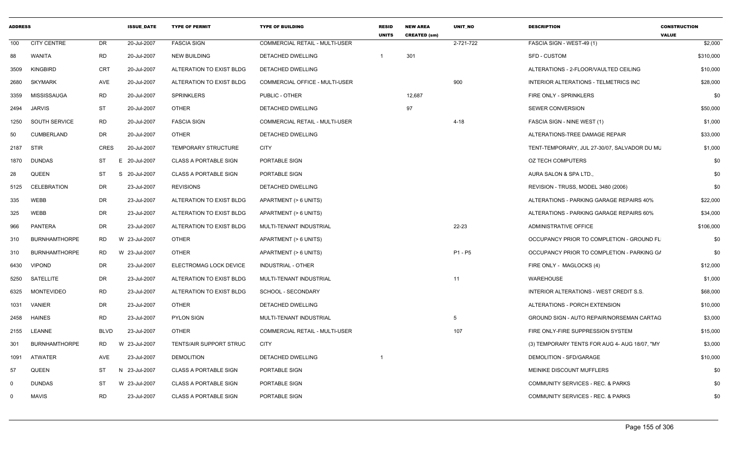| <b>ADDRESS</b> |                      |           | <b>ISSUE DATE</b>       | <b>TYPE OF PERMIT</b>        | <b>TYPE OF BUILDING</b>               | <b>RESID</b><br><b>UNITS</b> | <b>NEW AREA</b><br><b>CREATED (sm)</b> | <b>UNIT NO</b>  | <b>DESCRIPTION</b>                            | <b>CONSTRUCTION</b><br><b>VALUE</b> |
|----------------|----------------------|-----------|-------------------------|------------------------------|---------------------------------------|------------------------------|----------------------------------------|-----------------|-----------------------------------------------|-------------------------------------|
| 100            | <b>CITY CENTRE</b>   | DR        | 20-Jul-2007             | <b>FASCIA SIGN</b>           | COMMERCIAL RETAIL - MULTI-USER        |                              |                                        | 2-721-722       | FASCIA SIGN - WEST-49 (1)                     | \$2,000                             |
| 88             | WANITA               | <b>RD</b> | 20-Jul-2007             | <b>NEW BUILDING</b>          | <b>DETACHED DWELLING</b>              | $\overline{1}$               | 301                                    |                 | <b>SFD - CUSTOM</b>                           | \$310,000                           |
| 3509           | KINGBIRD             | CRT       | 20-Jul-2007             | ALTERATION TO EXIST BLDG     | DETACHED DWELLING                     |                              |                                        |                 | ALTERATIONS - 2-FLOOR/VAULTED CEILING         | \$10,000                            |
| 2680           | <b>SKYMARK</b>       | AVE       | 20-Jul-2007             | ALTERATION TO EXIST BLDG     | COMMERCIAL OFFICE - MULTI-USER        |                              |                                        | 900             | INTERIOR ALTERATIONS - TELMETRICS INC         | \$28,000                            |
| 3359           | MISSISSAUGA          | <b>RD</b> | 20-Jul-2007             | SPRINKLERS                   | PUBLIC - OTHER                        |                              | 12,687                                 |                 | FIRE ONLY - SPRINKLERS                        | \$0                                 |
| 2494           | <b>JARVIS</b>        | <b>ST</b> | 20-Jul-2007             | <b>OTHER</b>                 | <b>DETACHED DWELLING</b>              |                              | 97                                     |                 | SEWER CONVERSION                              | \$50,000                            |
| 1250           | SOUTH SERVICE        | <b>RD</b> | 20-Jul-2007             | <b>FASCIA SIGN</b>           | COMMERCIAL RETAIL - MULTI-USER        |                              |                                        | 4-18            | FASCIA SIGN - NINE WEST (1)                   | \$1,000                             |
| 50             | CUMBERLAND           | DR        | 20-Jul-2007             | <b>OTHER</b>                 | DETACHED DWELLING                     |                              |                                        |                 | ALTERATIONS-TREE DAMAGE REPAIR                | \$33,000                            |
|                | 2187 STIR            | CRES      | 20-Jul-2007             | TEMPORARY STRUCTURE          | <b>CITY</b>                           |                              |                                        |                 | TENT-TEMPORARY, JUL 27-30/07, SALVADOR DU MU  | \$1,000                             |
| 1870           | <b>DUNDAS</b>        | ST        | 20-Jul-2007<br>E        | <b>CLASS A PORTABLE SIGN</b> | PORTABLE SIGN                         |                              |                                        |                 | <b>OZ TECH COMPUTERS</b>                      | \$0                                 |
| 28             | QUEEN                | ST        | S 20-Jul-2007           | <b>CLASS A PORTABLE SIGN</b> | PORTABLE SIGN                         |                              |                                        |                 | AURA SALON & SPA LTD.,                        | \$0                                 |
| 5125           | CELEBRATION          | <b>DR</b> | 23-Jul-2007             | <b>REVISIONS</b>             | DETACHED DWELLING                     |                              |                                        |                 | REVISION - TRUSS, MODEL 3480 (2006)           | \$0                                 |
| 335            | WEBB                 | DR        | 23-Jul-2007             | ALTERATION TO EXIST BLDG     | APARTMENT (> 6 UNITS)                 |                              |                                        |                 | ALTERATIONS - PARKING GARAGE REPAIRS 40%      | \$22,000                            |
| 325            | <b>WEBB</b>          | DR        | 23-Jul-2007             | ALTERATION TO EXIST BLDG     | APARTMENT (> 6 UNITS)                 |                              |                                        |                 | ALTERATIONS - PARKING GARAGE REPAIRS 60%      | \$34,000                            |
| 966            | PANTERA              | DR        | 23-Jul-2007             | ALTERATION TO EXIST BLDG     | MULTI-TENANT INDUSTRIAL               |                              |                                        | 22-23           | ADMINISTRATIVE OFFICE                         | \$106,000                           |
| 310            | <b>BURNHAMTHORPE</b> | <b>RD</b> | W 23-Jul-2007           | <b>OTHER</b>                 | APARTMENT (> 6 UNITS)                 |                              |                                        |                 | OCCUPANCY PRIOR TO COMPLETION - GROUND FL     | \$0                                 |
| 310            | <b>BURNHAMTHORPE</b> | <b>RD</b> | W 23-Jul-2007           | <b>OTHER</b>                 | APARTMENT (> 6 UNITS)                 |                              |                                        | P1 - P5         | OCCUPANCY PRIOR TO COMPLETION - PARKING G/    | \$0                                 |
|                | 6430 VIPOND          | DR        | 23-Jul-2007             | ELECTROMAG LOCK DEVICE       | INDUSTRIAL - OTHER                    |                              |                                        |                 | FIRE ONLY - MAGLOCKS (4)                      | \$12,000                            |
|                | 5250 SATELLITE       | DR        | 23-Jul-2007             | ALTERATION TO EXIST BLDG     | MULTI-TENANT INDUSTRIAL               |                              |                                        | 11              | <b>WAREHOUSE</b>                              | \$1,000                             |
|                | 6325 MONTEVIDEO      | <b>RD</b> | 23-Jul-2007             | ALTERATION TO EXIST BLDG     | SCHOOL - SECONDARY                    |                              |                                        |                 | INTERIOR ALTERATIONS - WEST CREDIT S.S.       | \$68,000                            |
|                | 1031 VANIER          | <b>DR</b> | 23-Jul-2007             | <b>OTHER</b>                 | DETACHED DWELLING                     |                              |                                        |                 | ALTERATIONS - PORCH EXTENSION                 | \$10,000                            |
|                | 2458 HAINES          | <b>RD</b> | 23-Jul-2007             | <b>PYLON SIGN</b>            | MULTI-TENANT INDUSTRIAL               |                              |                                        | $5\overline{5}$ | GROUND SIGN - AUTO REPAIR/NORSEMAN CARTAG     | \$3,000                             |
|                | 2155 LEANNE          | BLVD      | 23-Jul-2007             | <b>OTHER</b>                 | <b>COMMERCIAL RETAIL - MULTI-USER</b> |                              |                                        | 107             | FIRE ONLY-FIRE SUPPRESSION SYSTEM             | \$15,000                            |
| 301            | <b>BURNHAMTHORPE</b> | <b>RD</b> | 23-Jul-2007<br><b>W</b> | TENTS/AIR SUPPORT STRUC      | <b>CITY</b>                           |                              |                                        |                 | (3) TEMPORARY TENTS FOR AUG 4- AUG 18/07, "MY | \$3,000                             |
| 1091           | ATWATER              | AVE       | 23-Jul-2007             | <b>DEMOLITION</b>            | DETACHED DWELLING                     |                              |                                        |                 | DEMOLITION - SFD/GARAGE                       | \$10,000                            |
| 57             | QUEEN                | ST        | N 23-Jul-2007           | <b>CLASS A PORTABLE SIGN</b> | PORTABLE SIGN                         |                              |                                        |                 | MEINIKE DISCOUNT MUFFLERS                     | \$0                                 |
| $\Omega$       | <b>DUNDAS</b>        | ST        | W 23-Jul-2007           | <b>CLASS A PORTABLE SIGN</b> | PORTABLE SIGN                         |                              |                                        |                 | COMMUNITY SERVICES - REC. & PARKS             | \$0                                 |
| $\Omega$       | MAVIS                | RD        | 23-Jul-2007             | <b>CLASS A PORTABLE SIGN</b> | PORTABLE SIGN                         |                              |                                        |                 | COMMUNITY SERVICES - REC. & PARKS             | \$0                                 |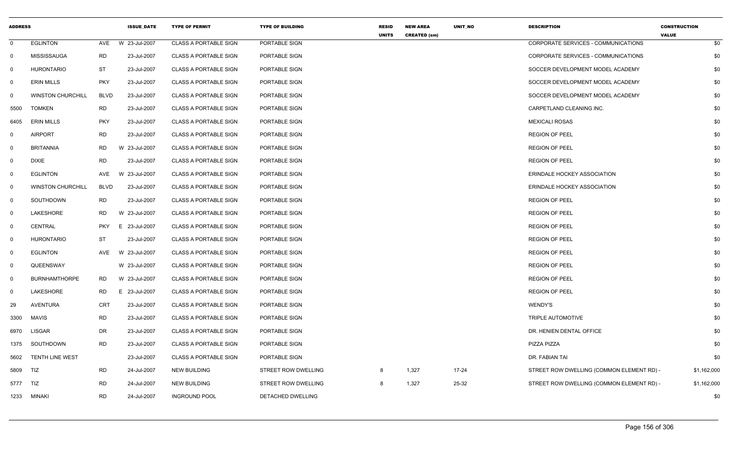| <b>ADDRESS</b> |                          |             | <b>ISSUE DATE</b> | <b>TYPE OF PERMIT</b>        | <b>TYPE OF BUILDING</b> | <b>RESID</b><br><b>UNITS</b> | <b>NEW AREA</b><br><b>CREATED (sm)</b> | UNIT_NO | <b>DESCRIPTION</b>                        | <b>CONSTRUCTION</b><br><b>VALUE</b> |
|----------------|--------------------------|-------------|-------------------|------------------------------|-------------------------|------------------------------|----------------------------------------|---------|-------------------------------------------|-------------------------------------|
| $\mathbf 0$    | <b>EGLINTON</b>          | AVE         | W 23-Jul-2007     | <b>CLASS A PORTABLE SIGN</b> | PORTABLE SIGN           |                              |                                        |         | CORPORATE SERVICES - COMMUNICATIONS       | \$0                                 |
| 0              | <b>MISSISSAUGA</b>       | <b>RD</b>   | 23-Jul-2007       | <b>CLASS A PORTABLE SIGN</b> | PORTABLE SIGN           |                              |                                        |         | CORPORATE SERVICES - COMMUNICATIONS       | \$0                                 |
| $\mathbf 0$    | <b>HURONTARIO</b>        | ST          | 23-Jul-2007       | <b>CLASS A PORTABLE SIGN</b> | PORTABLE SIGN           |                              |                                        |         | SOCCER DEVELOPMENT MODEL ACADEMY          | \$0                                 |
| 0              | <b>ERIN MILLS</b>        | <b>PKY</b>  | 23-Jul-2007       | CLASS A PORTABLE SIGN        | PORTABLE SIGN           |                              |                                        |         | SOCCER DEVELOPMENT MODEL ACADEMY          | \$0                                 |
| 0              | <b>WINSTON CHURCHILL</b> | <b>BLVD</b> | 23-Jul-2007       | <b>CLASS A PORTABLE SIGN</b> | PORTABLE SIGN           |                              |                                        |         | SOCCER DEVELOPMENT MODEL ACADEMY          | \$0                                 |
| 5500           | <b>TOMKEN</b>            | RD          | 23-Jul-2007       | <b>CLASS A PORTABLE SIGN</b> | PORTABLE SIGN           |                              |                                        |         | CARPETLAND CLEANING INC.                  | \$0                                 |
| 6405           | <b>ERIN MILLS</b>        | <b>PKY</b>  | 23-Jul-2007       | <b>CLASS A PORTABLE SIGN</b> | PORTABLE SIGN           |                              |                                        |         | <b>MEXICALI ROSAS</b>                     | \$0                                 |
| $\mathbf{0}$   | <b>AIRPORT</b>           | RD          | 23-Jul-2007       | <b>CLASS A PORTABLE SIGN</b> | PORTABLE SIGN           |                              |                                        |         | <b>REGION OF PEEL</b>                     | \$0                                 |
| $\mathbf{0}$   | <b>BRITANNIA</b>         | <b>RD</b>   | W 23-Jul-2007     | <b>CLASS A PORTABLE SIGN</b> | PORTABLE SIGN           |                              |                                        |         | <b>REGION OF PEEL</b>                     | \$0                                 |
| 0              | <b>DIXIE</b>             | <b>RD</b>   | 23-Jul-2007       | <b>CLASS A PORTABLE SIGN</b> | PORTABLE SIGN           |                              |                                        |         | <b>REGION OF PEEL</b>                     | \$0                                 |
| $\Omega$       | <b>EGLINTON</b>          | AVE         | W 23-Jul-2007     | <b>CLASS A PORTABLE SIGN</b> | PORTABLE SIGN           |                              |                                        |         | ERINDALE HOCKEY ASSOCIATION               | \$0                                 |
| $\mathbf 0$    | <b>WINSTON CHURCHILL</b> | <b>BLVD</b> | 23-Jul-2007       | <b>CLASS A PORTABLE SIGN</b> | PORTABLE SIGN           |                              |                                        |         | ERINDALE HOCKEY ASSOCIATION               | \$0                                 |
| 0              | SOUTHDOWN                | <b>RD</b>   | 23-Jul-2007       | <b>CLASS A PORTABLE SIGN</b> | PORTABLE SIGN           |                              |                                        |         | <b>REGION OF PEEL</b>                     | \$0                                 |
| $\mathbf 0$    | LAKESHORE                | RD.         | W 23-Jul-2007     | <b>CLASS A PORTABLE SIGN</b> | PORTABLE SIGN           |                              |                                        |         | <b>REGION OF PEEL</b>                     | \$0                                 |
| 0              | <b>CENTRAL</b>           | <b>PKY</b>  | E 23-Jul-2007     | <b>CLASS A PORTABLE SIGN</b> | PORTABLE SIGN           |                              |                                        |         | <b>REGION OF PEEL</b>                     | \$0                                 |
| $\mathbf 0$    | <b>HURONTARIO</b>        | <b>ST</b>   | 23-Jul-2007       | <b>CLASS A PORTABLE SIGN</b> | PORTABLE SIGN           |                              |                                        |         | <b>REGION OF PEEL</b>                     | \$0                                 |
| $\mathbf{0}$   | <b>EGLINTON</b>          | AVE         | W 23-Jul-2007     | <b>CLASS A PORTABLE SIGN</b> | PORTABLE SIGN           |                              |                                        |         | <b>REGION OF PEEL</b>                     | \$0                                 |
| $\mathsf{O}$   | QUEENSWAY                |             | W 23-Jul-2007     | <b>CLASS A PORTABLE SIGN</b> | PORTABLE SIGN           |                              |                                        |         | <b>REGION OF PEEL</b>                     | \$0                                 |
| 0              | <b>BURNHAMTHORPE</b>     | RD          | W 23-Jul-2007     | <b>CLASS A PORTABLE SIGN</b> | PORTABLE SIGN           |                              |                                        |         | <b>REGION OF PEEL</b>                     | \$0                                 |
| 0              | LAKESHORE                | RD          | E 23-Jul-2007     | <b>CLASS A PORTABLE SIGN</b> | PORTABLE SIGN           |                              |                                        |         | <b>REGION OF PEEL</b>                     | \$0                                 |
| 29             | AVENTURA                 | <b>CRT</b>  | 23-Jul-2007       | <b>CLASS A PORTABLE SIGN</b> | PORTABLE SIGN           |                              |                                        |         | WENDY'S                                   | \$0                                 |
| 3300           | <b>MAVIS</b>             | <b>RD</b>   | 23-Jul-2007       | <b>CLASS A PORTABLE SIGN</b> | PORTABLE SIGN           |                              |                                        |         | TRIPLE AUTOMOTIVE                         | \$0                                 |
| 6970           | <b>LISGAR</b>            | DR          | 23-Jul-2007       | <b>CLASS A PORTABLE SIGN</b> | PORTABLE SIGN           |                              |                                        |         | DR. HENIEN DENTAL OFFICE                  | \$0                                 |
| 1375           | SOUTHDOWN                | <b>RD</b>   | 23-Jul-2007       | <b>CLASS A PORTABLE SIGN</b> | PORTABLE SIGN           |                              |                                        |         | PIZZA PIZZA                               | \$0                                 |
| 5602           | <b>TENTH LINE WEST</b>   |             | 23-Jul-2007       | <b>CLASS A PORTABLE SIGN</b> | PORTABLE SIGN           |                              |                                        |         | DR. FABIAN TAI                            | \$0                                 |
| 5809           | TIZ                      | RD          | 24-Jul-2007       | NEW BUILDING                 | STREET ROW DWELLING     | 8                            | 1,327                                  | 17-24   | STREET ROW DWELLING (COMMON ELEMENT RD) - | \$1,162,000                         |
| 5777           | TIZ                      | <b>RD</b>   | 24-Jul-2007       | <b>NEW BUILDING</b>          | STREET ROW DWELLING     | 8                            | 1,327                                  | 25-32   | STREET ROW DWELLING (COMMON ELEMENT RD) - | \$1,162,000                         |
| 1233           | <b>MINAKI</b>            | <b>RD</b>   | 24-Jul-2007       | <b>INGROUND POOL</b>         | DETACHED DWELLING       |                              |                                        |         |                                           | \$0                                 |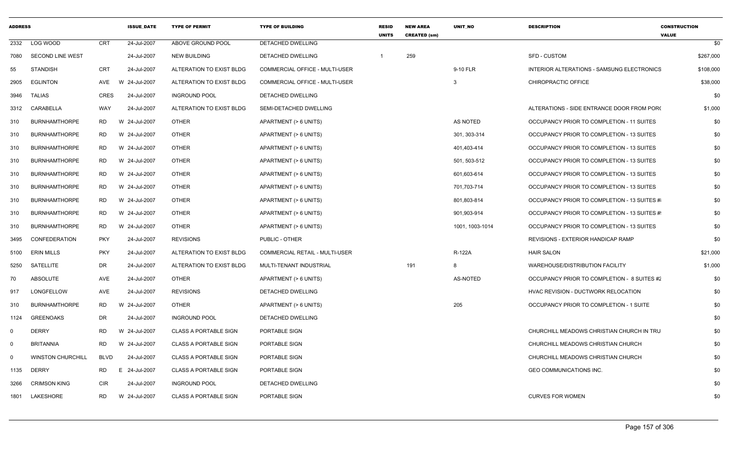| <b>ADDRESS</b> |                          |             | <b>ISSUE DATE</b> | <b>TYPE OF PERMIT</b>        | <b>TYPE OF BUILDING</b>        | <b>RESID</b><br><b>UNITS</b> | <b>NEW AREA</b><br><b>CREATED (sm)</b> | <b>UNIT NO</b>  | <b>DESCRIPTION</b>                          | <b>CONSTRUCTION</b><br><b>VALUE</b> |     |
|----------------|--------------------------|-------------|-------------------|------------------------------|--------------------------------|------------------------------|----------------------------------------|-----------------|---------------------------------------------|-------------------------------------|-----|
| 2332           | LOG WOOD                 | <b>CRT</b>  | 24-Jul-2007       | ABOVE GROUND POOL            | DETACHED DWELLING              |                              |                                        |                 |                                             |                                     | \$0 |
| 7080           | SECOND LINE WEST         |             | 24-Jul-2007       | <b>NEW BUILDING</b>          | DETACHED DWELLING              |                              | 259                                    |                 | <b>SFD - CUSTOM</b>                         | \$267,000                           |     |
| 55             | <b>STANDISH</b>          | <b>CRT</b>  | 24-Jul-2007       | ALTERATION TO EXIST BLDG     | COMMERCIAL OFFICE - MULTI-USER |                              |                                        | 9-10 FLR        | INTERIOR ALTERATIONS - SAMSUNG ELECTRONICS  | \$108,000                           |     |
| 2905           | <b>EGLINTON</b>          | AVE         | 24-Jul-2007<br>W  | ALTERATION TO EXIST BLDG     | COMMERCIAL OFFICE - MULTI-USER |                              |                                        | 3               | CHIROPRACTIC OFFICE                         | \$38,000                            |     |
| 3946           | <b>TALIAS</b>            | CRES        | 24-Jul-2007       | <b>INGROUND POOL</b>         | DETACHED DWELLING              |                              |                                        |                 |                                             |                                     | \$0 |
| 3312           | CARABELLA                | WAY         | 24-Jul-2007       | ALTERATION TO EXIST BLDG     | SEMI-DETACHED DWELLING         |                              |                                        |                 | ALTERATIONS - SIDE ENTRANCE DOOR FROM PORC  | \$1,000                             |     |
| 310            | <b>BURNHAMTHORPE</b>     | RD          | W<br>24-Jul-2007  | <b>OTHER</b>                 | APARTMENT (> 6 UNITS)          |                              |                                        | AS NOTED        | OCCUPANCY PRIOR TO COMPLETION - 11 SUITES   |                                     | \$0 |
| 310            | <b>BURNHAMTHORPE</b>     | RD          | W 24-Jul-2007     | <b>OTHER</b>                 | APARTMENT (> 6 UNITS)          |                              |                                        | 301, 303-314    | OCCUPANCY PRIOR TO COMPLETION - 13 SUITES   |                                     | \$0 |
| 310            | <b>BURNHAMTHORPE</b>     | <b>RD</b>   | W 24-Jul-2007     | <b>OTHER</b>                 | APARTMENT (> 6 UNITS)          |                              |                                        | 401,403-414     | OCCUPANCY PRIOR TO COMPLETION - 13 SUITES   |                                     | \$0 |
| 310            | <b>BURNHAMTHORPE</b>     | <b>RD</b>   | W 24-Jul-2007     | <b>OTHER</b>                 | APARTMENT (> 6 UNITS)          |                              |                                        | 501, 503-512    | OCCUPANCY PRIOR TO COMPLETION - 13 SUITES   |                                     | \$0 |
| 310            | <b>BURNHAMTHORPE</b>     | RD          | W 24-Jul-2007     | <b>OTHER</b>                 | APARTMENT (> 6 UNITS)          |                              |                                        | 601,603-614     | OCCUPANCY PRIOR TO COMPLETION - 13 SUITES   |                                     | \$0 |
| 310            | <b>BURNHAMTHORPE</b>     | RD.         | W 24-Jul-2007     | <b>OTHER</b>                 | APARTMENT (> 6 UNITS)          |                              |                                        | 701,703-714     | OCCUPANCY PRIOR TO COMPLETION - 13 SUITES   |                                     | \$0 |
| 310            | <b>BURNHAMTHORPE</b>     | RD          | W 24-Jul-2007     | <b>OTHER</b>                 | APARTMENT (> 6 UNITS)          |                              |                                        | 801,803-814     | OCCUPANCY PRIOR TO COMPLETION - 13 SUITES # |                                     | \$0 |
| 310            | <b>BURNHAMTHORPE</b>     | <b>RD</b>   | W 24-Jul-2007     | <b>OTHER</b>                 | APARTMENT (> 6 UNITS)          |                              |                                        | 901,903-914     | OCCUPANCY PRIOR TO COMPLETION - 13 SUITES # |                                     | \$0 |
| 310            | <b>BURNHAMTHORPE</b>     | RD.         | W 24-Jul-2007     | <b>OTHER</b>                 | APARTMENT (> 6 UNITS)          |                              |                                        | 1001, 1003-1014 | OCCUPANCY PRIOR TO COMPLETION - 13 SUITES   |                                     | \$0 |
| 3495           | CONFEDERATION            | <b>PKY</b>  | 24-Jul-2007       | <b>REVISIONS</b>             | <b>PUBLIC - OTHER</b>          |                              |                                        |                 | REVISIONS - EXTERIOR HANDICAP RAMP          |                                     | \$0 |
| 5100           | <b>ERIN MILLS</b>        | <b>PKY</b>  | 24-Jul-2007       | ALTERATION TO EXIST BLDG     | COMMERCIAL RETAIL - MULTI-USER |                              |                                        | R-122A          | <b>HAIR SALON</b>                           | \$21,000                            |     |
| 5250           | SATELLITE                | DR          | 24-Jul-2007       | ALTERATION TO EXIST BLDG     | MULTI-TENANT INDUSTRIAL        |                              | 191                                    | 8               | WAREHOUSE/DISTRIBUTION FACILITY             | \$1,000                             |     |
| 70             | ABSOLUTE                 | AVE         | 24-Jul-2007       | <b>OTHER</b>                 | APARTMENT (> 6 UNITS)          |                              |                                        | <b>AS-NOTED</b> | OCCUPANCY PRIOR TO COMPLETION - 8 SUITES #2 |                                     | \$0 |
| 917            | LONGFELLOW               | AVE         | 24-Jul-2007       | <b>REVISIONS</b>             | DETACHED DWELLING              |                              |                                        |                 | HVAC REVISION - DUCTWORK RELOCATION         |                                     | \$0 |
| 310            | <b>BURNHAMTHORPE</b>     | RD          | 24-Jul-2007<br>W  | <b>OTHER</b>                 | APARTMENT (> 6 UNITS)          |                              |                                        | 205             | OCCUPANCY PRIOR TO COMPLETION - 1 SUITE     |                                     | \$0 |
| 1124           | <b>GREENOAKS</b>         | DR          | 24-Jul-2007       | <b>INGROUND POOL</b>         | DETACHED DWELLING              |                              |                                        |                 |                                             |                                     | \$0 |
| $\Omega$       | <b>DERRY</b>             | <b>RD</b>   | W 24-Jul-2007     | <b>CLASS A PORTABLE SIGN</b> | PORTABLE SIGN                  |                              |                                        |                 | CHURCHILL MEADOWS CHRISTIAN CHURCH IN TRU   |                                     | \$0 |
| $\mathbf 0$    | <b>BRITANNIA</b>         | <b>RD</b>   | W 24-Jul-2007     | <b>CLASS A PORTABLE SIGN</b> | PORTABLE SIGN                  |                              |                                        |                 | CHURCHILL MEADOWS CHRISTIAN CHURCH          |                                     | \$0 |
| $\Omega$       | <b>WINSTON CHURCHILL</b> | <b>BLVD</b> | 24-Jul-2007       | <b>CLASS A PORTABLE SIGN</b> | PORTABLE SIGN                  |                              |                                        |                 | CHURCHILL MEADOWS CHRISTIAN CHURCH          |                                     | \$0 |
| 1135           | DERRY                    | RD          | 24-Jul-2007<br>E. | CLASS A PORTABLE SIGN        | PORTABLE SIGN                  |                              |                                        |                 | GEO COMMUNICATIONS INC.                     |                                     | \$0 |
| 3266           | <b>CRIMSON KING</b>      | CIR         | 24-Jul-2007       | <b>INGROUND POOL</b>         | DETACHED DWELLING              |                              |                                        |                 |                                             |                                     | \$0 |
|                | 1801 LAKESHORE           | <b>RD</b>   | 24-Jul-2007<br>W  | <b>CLASS A PORTABLE SIGN</b> | PORTABLE SIGN                  |                              |                                        |                 | <b>CURVES FOR WOMEN</b>                     |                                     | \$0 |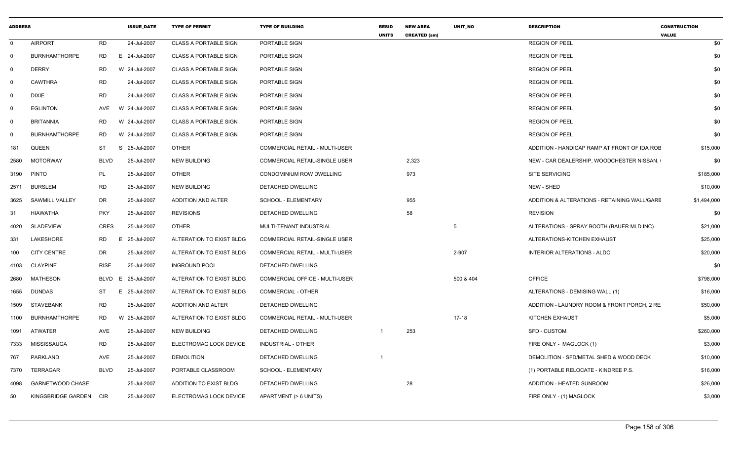| <b>ADDRESS</b> |                         |             | <b>ISSUE DATE</b> | <b>TYPE OF PERMIT</b>        | <b>TYPE OF BUILDING</b>        | <b>RESID</b><br><b>UNITS</b> | <b>NEW AREA</b><br><b>CREATED (sm)</b> | <b>UNIT NO</b> | <b>DESCRIPTION</b>                           | <b>CONSTRUCTION</b><br><b>VALUE</b> |
|----------------|-------------------------|-------------|-------------------|------------------------------|--------------------------------|------------------------------|----------------------------------------|----------------|----------------------------------------------|-------------------------------------|
| $\mathbf 0$    | <b>AIRPORT</b>          | <b>RD</b>   | 24-Jul-2007       | <b>CLASS A PORTABLE SIGN</b> | PORTABLE SIGN                  |                              |                                        |                | <b>REGION OF PEEL</b>                        | \$0                                 |
| 0              | <b>BURNHAMTHORPE</b>    | <b>RD</b>   | E 24-Jul-2007     | <b>CLASS A PORTABLE SIGN</b> | PORTABLE SIGN                  |                              |                                        |                | <b>REGION OF PEEL</b>                        | \$0                                 |
| 0              | <b>DERRY</b>            | <b>RD</b>   | W 24-Jul-2007     | <b>CLASS A PORTABLE SIGN</b> | PORTABLE SIGN                  |                              |                                        |                | <b>REGION OF PEEL</b>                        | \$0                                 |
| $\mathbf 0$    | <b>CAWTHRA</b>          | <b>RD</b>   | 24-Jul-2007       | <b>CLASS A PORTABLE SIGN</b> | PORTABLE SIGN                  |                              |                                        |                | <b>REGION OF PEEL</b>                        | \$0                                 |
| $\overline{0}$ | <b>DIXIE</b>            | <b>RD</b>   | 24-Jul-2007       | <b>CLASS A PORTABLE SIGN</b> | PORTABLE SIGN                  |                              |                                        |                | <b>REGION OF PEEL</b>                        | \$0                                 |
| $\mathbf 0$    | <b>EGLINTON</b>         | AVE         | W 24-Jul-2007     | <b>CLASS A PORTABLE SIGN</b> | PORTABLE SIGN                  |                              |                                        |                | <b>REGION OF PEEL</b>                        | \$0                                 |
| $\mathbf 0$    | <b>BRITANNIA</b>        | RD          | W 24-Jul-2007     | <b>CLASS A PORTABLE SIGN</b> | PORTABLE SIGN                  |                              |                                        |                | <b>REGION OF PEEL</b>                        | \$0                                 |
| $\mathbf 0$    | <b>BURNHAMTHORPE</b>    | <b>RD</b>   | W 24-Jul-2007     | <b>CLASS A PORTABLE SIGN</b> | PORTABLE SIGN                  |                              |                                        |                | <b>REGION OF PEEL</b>                        | \$0                                 |
| 181            | QUEEN                   | ST          | S 25-Jul-2007     | <b>OTHER</b>                 | COMMERCIAL RETAIL - MULTI-USER |                              |                                        |                | ADDITION - HANDICAP RAMP AT FRONT OF IDA ROE | \$15,000                            |
| 2580           | <b>MOTORWAY</b>         | <b>BLVD</b> | 25-Jul-2007       | <b>NEW BUILDING</b>          | COMMERCIAL RETAIL-SINGLE USER  |                              | 2,323                                  |                | NEW - CAR DEALERSHIP, WOODCHESTER NISSAN,    | \$0                                 |
| 3190           | <b>PINTO</b>            | PL          | 25-Jul-2007       | <b>OTHER</b>                 | CONDOMINIUM ROW DWELLING       |                              | 973                                    |                | <b>SITE SERVICING</b>                        | \$185,000                           |
| 2571           | <b>BURSLEM</b>          | <b>RD</b>   | 25-Jul-2007       | <b>NEW BUILDING</b>          | DETACHED DWELLING              |                              |                                        |                | NEW - SHED                                   | \$10,000                            |
| 3625           | SAWMILL VALLEY          | DR          | 25-Jul-2007       | ADDITION AND ALTER           | <b>SCHOOL - ELEMENTARY</b>     |                              | 955                                    |                | ADDITION & ALTERATIONS - RETAINING WALL/GARE | \$1,494,000                         |
| 31             | <b>HIAWATHA</b>         | <b>PKY</b>  | 25-Jul-2007       | <b>REVISIONS</b>             | DETACHED DWELLING              |                              | 58                                     |                | <b>REVISION</b>                              | \$0                                 |
| 4020           | SLADEVIEW               | <b>CRES</b> | 25-Jul-2007       | <b>OTHER</b>                 | MULTI-TENANT INDUSTRIAL        |                              |                                        | 5              | ALTERATIONS - SPRAY BOOTH (BAUER MLD INC)    | \$21,000                            |
| 331            | LAKESHORE               | <b>RD</b>   | 25-Jul-2007<br>E. | ALTERATION TO EXIST BLDG     | COMMERCIAL RETAIL-SINGLE USER  |                              |                                        |                | ALTERATIONS-KITCHEN EXHAUST                  | \$25,000                            |
| 100            | <b>CITY CENTRE</b>      | <b>DR</b>   | 25-Jul-2007       | ALTERATION TO EXIST BLDG     | COMMERCIAL RETAIL - MULTI-USER |                              |                                        | 2-907          | <b>INTERIOR ALTERATIONS - ALDO</b>           | \$20,000                            |
| 4103           | <b>CLAYPINE</b>         | <b>RISE</b> | 25-Jul-2007       | <b>INGROUND POOL</b>         | DETACHED DWELLING              |                              |                                        |                |                                              | \$0                                 |
| 2680           | <b>MATHESON</b>         | <b>BLVD</b> | 25-Jul-2007<br>E  | ALTERATION TO EXIST BLDG     | COMMERCIAL OFFICE - MULTI-USER |                              |                                        | 500 & 404      | <b>OFFICE</b>                                | \$798,000                           |
| 1655           | <b>DUNDAS</b>           | ST          | E 25-Jul-2007     | ALTERATION TO EXIST BLDG     | <b>COMMERCIAL - OTHER</b>      |                              |                                        |                | ALTERATIONS - DEMISING WALL (1)              | \$16,000                            |
| 1509           | STAVEBANK               | <b>RD</b>   | 25-Jul-2007       | ADDITION AND ALTER           | DETACHED DWELLING              |                              |                                        |                | ADDITION - LAUNDRY ROOM & FRONT PORCH, 2 RE  | \$50,000                            |
| 1100           | <b>BURNHAMTHORPE</b>    | <b>RD</b>   | W 25-Jul-2007     | ALTERATION TO EXIST BLDG     | COMMERCIAL RETAIL - MULTI-USER |                              |                                        | $17-18$        | <b>KITCHEN EXHAUST</b>                       | \$5,000                             |
| 1091           | ATWATER                 | AVE         | 25-Jul-2007       | <b>NEW BUILDING</b>          | DETACHED DWELLING              |                              | 253                                    |                | <b>SFD - CUSTOM</b>                          | \$260,000                           |
| 7333           | MISSISSAUGA             | <b>RD</b>   | 25-Jul-2007       | ELECTROMAG LOCK DEVICE       | INDUSTRIAL - OTHER             |                              |                                        |                | FIRE ONLY - MAGLOCK (1)                      | \$3,000                             |
| 767            | PARKLAND                | AVE         | 25-Jul-2007       | <b>DEMOLITION</b>            | DETACHED DWELLING              | $\overline{1}$               |                                        |                | DEMOLITION - SFD/METAL SHED & WOOD DECK      | \$10,000                            |
| 7370           | TERRAGAR                | <b>BLVD</b> | 25-Jul-2007       | PORTABLE CLASSROOM           | SCHOOL - ELEMENTARY            |                              |                                        |                | (1) PORTABLE RELOCATE - KINDREE P.S.         | \$16,000                            |
| 4098           | <b>GARNETWOOD CHASE</b> |             | 25-Jul-2007       | ADDITION TO EXIST BLDG       | DETACHED DWELLING              |                              | 28                                     |                | ADDITION - HEATED SUNROOM                    | \$26,000                            |
| 50             | KINGSBRIDGE GARDEN      | CIR         | 25-Jul-2007       | ELECTROMAG LOCK DEVICE       | APARTMENT (> 6 UNITS)          |                              |                                        |                | FIRE ONLY - (1) MAGLOCK                      | \$3,000                             |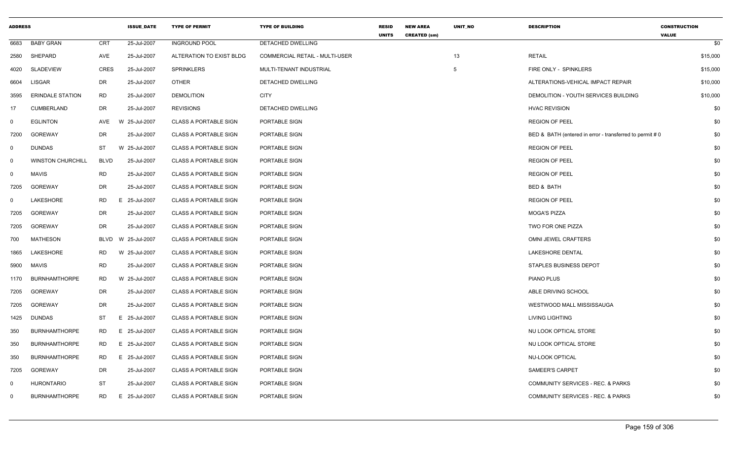| <b>ADDRESS</b> |                          |             | <b>ISSUE DATE</b> | <b>TYPE OF PERMIT</b>        | <b>TYPE OF BUILDING</b>        | <b>RESID</b><br><b>UNITS</b> | <b>NEW AREA</b><br><b>CREATED (sm)</b> | UNIT_NO | <b>DESCRIPTION</b>                                       | <b>CONSTRUCTION</b><br><b>VALUE</b> |
|----------------|--------------------------|-------------|-------------------|------------------------------|--------------------------------|------------------------------|----------------------------------------|---------|----------------------------------------------------------|-------------------------------------|
| 6683           | <b>BABY GRAN</b>         | <b>CRT</b>  | 25-Jul-2007       | <b>INGROUND POOL</b>         | DETACHED DWELLING              |                              |                                        |         |                                                          | \$0                                 |
| 2580           | SHEPARD                  | AVE         | 25-Jul-2007       | ALTERATION TO EXIST BLDG     | COMMERCIAL RETAIL - MULTI-USER |                              |                                        | 13      | <b>RETAIL</b>                                            | \$15,000                            |
| 4020           | <b>SLADEVIEW</b>         | <b>CRES</b> | 25-Jul-2007       | <b>SPRINKLERS</b>            | MULTI-TENANT INDUSTRIAL        |                              |                                        | 5       | FIRE ONLY - SPINKLERS                                    | \$15,000                            |
| 6604           | <b>LISGAR</b>            | DR          | 25-Jul-2007       | <b>OTHER</b>                 | DETACHED DWELLING              |                              |                                        |         | ALTERATIONS-VEHICAL IMPACT REPAIR                        | \$10,000                            |
| 3595           | <b>ERINDALE STATION</b>  | <b>RD</b>   | 25-Jul-2007       | <b>DEMOLITION</b>            | <b>CITY</b>                    |                              |                                        |         | DEMOLITION - YOUTH SERVICES BUILDING                     | \$10,000                            |
| 17             | <b>CUMBERLAND</b>        | <b>DR</b>   | 25-Jul-2007       | <b>REVISIONS</b>             | DETACHED DWELLING              |                              |                                        |         | <b>HVAC REVISION</b>                                     | \$0                                 |
| $\mathbf 0$    | <b>EGLINTON</b>          | <b>AVE</b>  | W 25-Jul-2007     | <b>CLASS A PORTABLE SIGN</b> | PORTABLE SIGN                  |                              |                                        |         | <b>REGION OF PEEL</b>                                    | \$0                                 |
| 7200           | <b>GOREWAY</b>           | DR          | 25-Jul-2007       | <b>CLASS A PORTABLE SIGN</b> | PORTABLE SIGN                  |                              |                                        |         | BED & BATH (entered in error - transferred to permit # 0 | \$0                                 |
| $\mathbf 0$    | <b>DUNDAS</b>            | <b>ST</b>   | W 25-Jul-2007     | <b>CLASS A PORTABLE SIGN</b> | PORTABLE SIGN                  |                              |                                        |         | <b>REGION OF PEEL</b>                                    | \$0                                 |
| 0              | <b>WINSTON CHURCHILL</b> | <b>BLVD</b> | 25-Jul-2007       | <b>CLASS A PORTABLE SIGN</b> | PORTABLE SIGN                  |                              |                                        |         | <b>REGION OF PEEL</b>                                    | \$0                                 |
| $\mathbf 0$    | <b>MAVIS</b>             | <b>RD</b>   | 25-Jul-2007       | <b>CLASS A PORTABLE SIGN</b> | PORTABLE SIGN                  |                              |                                        |         | <b>REGION OF PEEL</b>                                    | \$0                                 |
| 7205           | <b>GOREWAY</b>           | DR          | 25-Jul-2007       | <b>CLASS A PORTABLE SIGN</b> | PORTABLE SIGN                  |                              |                                        |         | BED & BATH                                               | \$0                                 |
| 0              | LAKESHORE                | <b>RD</b>   | E 25-Jul-2007     | <b>CLASS A PORTABLE SIGN</b> | PORTABLE SIGN                  |                              |                                        |         | <b>REGION OF PEEL</b>                                    | \$0                                 |
| 7205           | <b>GOREWAY</b>           | <b>DR</b>   | 25-Jul-2007       | <b>CLASS A PORTABLE SIGN</b> | PORTABLE SIGN                  |                              |                                        |         | <b>MOGA'S PIZZA</b>                                      | \$0                                 |
| 7205           | <b>GOREWAY</b>           | <b>DR</b>   | 25-Jul-2007       | <b>CLASS A PORTABLE SIGN</b> | PORTABLE SIGN                  |                              |                                        |         | TWO FOR ONE PIZZA                                        | \$0                                 |
| 700            | <b>MATHESON</b>          | BLVD        | W 25-Jul-2007     | <b>CLASS A PORTABLE SIGN</b> | PORTABLE SIGN                  |                              |                                        |         | OMNI JEWEL CRAFTERS                                      | \$0                                 |
| 1865           | LAKESHORE                | <b>RD</b>   | W 25-Jul-2007     | <b>CLASS A PORTABLE SIGN</b> | PORTABLE SIGN                  |                              |                                        |         | <b>LAKESHORE DENTAL</b>                                  | \$0                                 |
| 5900           | MAVIS                    | <b>RD</b>   | 25-Jul-2007       | <b>CLASS A PORTABLE SIGN</b> | PORTABLE SIGN                  |                              |                                        |         | STAPLES BUSINESS DEPOT                                   | \$0                                 |
| 1170           | <b>BURNHAMTHORPE</b>     | <b>RD</b>   | W 25-Jul-2007     | <b>CLASS A PORTABLE SIGN</b> | PORTABLE SIGN                  |                              |                                        |         | <b>PIANO PLUS</b>                                        | \$0                                 |
| 7205           | <b>GOREWAY</b>           | DR          | 25-Jul-2007       | <b>CLASS A PORTABLE SIGN</b> | PORTABLE SIGN                  |                              |                                        |         | ABLE DRIVING SCHOOL                                      | \$0                                 |
| 7205           | <b>GOREWAY</b>           | DR          | 25-Jul-2007       | <b>CLASS A PORTABLE SIGN</b> | PORTABLE SIGN                  |                              |                                        |         | WESTWOOD MALL MISSISSAUGA                                | \$0                                 |
| 1425           | <b>DUNDAS</b>            | ST          | E 25-Jul-2007     | <b>CLASS A PORTABLE SIGN</b> | PORTABLE SIGN                  |                              |                                        |         | <b>LIVING LIGHTING</b>                                   | \$0                                 |
| 350            | <b>BURNHAMTHORPE</b>     | <b>RD</b>   | E 25-Jul-2007     | <b>CLASS A PORTABLE SIGN</b> | PORTABLE SIGN                  |                              |                                        |         | NU LOOK OPTICAL STORE                                    | \$0                                 |
| 350            | <b>BURNHAMTHORPE</b>     | <b>RD</b>   | E 25-Jul-2007     | <b>CLASS A PORTABLE SIGN</b> | PORTABLE SIGN                  |                              |                                        |         | NU LOOK OPTICAL STORE                                    | \$0                                 |
| 350            | <b>BURNHAMTHORPE</b>     | RD          | E 25-Jul-2007     | <b>CLASS A PORTABLE SIGN</b> | PORTABLE SIGN                  |                              |                                        |         | <b>NU-LOOK OPTICAL</b>                                   | \$0                                 |
| 7205           | GOREWAY                  | DR          | 25-Jul-2007       | <b>CLASS A PORTABLE SIGN</b> | PORTABLE SIGN                  |                              |                                        |         | <b>SAMEER'S CARPET</b>                                   | \$0                                 |
| $\Omega$       | <b>HURONTARIO</b>        | <b>ST</b>   | 25-Jul-2007       | <b>CLASS A PORTABLE SIGN</b> | PORTABLE SIGN                  |                              |                                        |         | COMMUNITY SERVICES - REC. & PARKS                        | \$0                                 |
| $\Omega$       | <b>BURNHAMTHORPE</b>     | <b>RD</b>   | E.<br>25-Jul-2007 | <b>CLASS A PORTABLE SIGN</b> | PORTABLE SIGN                  |                              |                                        |         | COMMUNITY SERVICES - REC. & PARKS                        | \$0                                 |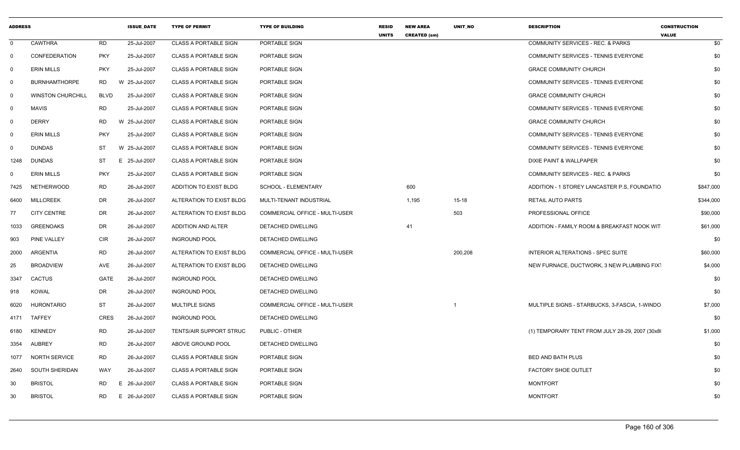| <b>ADDRESS</b> |                          |                | <b>ISSUE DATE</b> | <b>TYPE OF PERMIT</b>        | <b>TYPE OF BUILDING</b>               | <b>RESID</b><br><b>UNITS</b> | <b>NEW AREA</b><br><b>CREATED (sm)</b> | UNIT_NO   | <b>DESCRIPTION</b>                              | <b>CONSTRUCTION</b><br><b>VALUE</b> |           |
|----------------|--------------------------|----------------|-------------------|------------------------------|---------------------------------------|------------------------------|----------------------------------------|-----------|-------------------------------------------------|-------------------------------------|-----------|
| $\Omega$       | <b>CAWTHRA</b>           | RD             | 25-Jul-2007       | <b>CLASS A PORTABLE SIGN</b> | PORTABLE SIGN                         |                              |                                        |           | <b>COMMUNITY SERVICES - REC. &amp; PARKS</b>    |                                     | \$0       |
| 0              | CONFEDERATION            | <b>PKY</b>     | 25-Jul-2007       | <b>CLASS A PORTABLE SIGN</b> | PORTABLE SIGN                         |                              |                                        |           | COMMUNITY SERVICES - TENNIS EVERYONE            |                                     | \$0       |
| 0              | <b>ERIN MILLS</b>        | <b>PKY</b>     | 25-Jul-2007       | <b>CLASS A PORTABLE SIGN</b> | PORTABLE SIGN                         |                              |                                        |           | <b>GRACE COMMUNITY CHURCH</b>                   |                                     | \$0       |
| 0              | <b>BURNHAMTHORPE</b>     | <b>RD</b>      | W 25-Jul-2007     | <b>CLASS A PORTABLE SIGN</b> | PORTABLE SIGN                         |                              |                                        |           | <b>COMMUNITY SERVICES - TENNIS EVERYONE</b>     |                                     | \$0       |
| $\Omega$       | <b>WINSTON CHURCHILL</b> | BLVD           | 25-Jul-2007       | <b>CLASS A PORTABLE SIGN</b> | PORTABLE SIGN                         |                              |                                        |           | <b>GRACE COMMUNITY CHURCH</b>                   |                                     | \$0       |
| 0              | <b>MAVIS</b>             | <b>RD</b>      | 25-Jul-2007       | <b>CLASS A PORTABLE SIGN</b> | PORTABLE SIGN                         |                              |                                        |           | COMMUNITY SERVICES - TENNIS EVERYONE            |                                     | \$0       |
| 0              | <b>DERRY</b>             | <b>RD</b>      | W 25-Jul-2007     | <b>CLASS A PORTABLE SIGN</b> | PORTABLE SIGN                         |                              |                                        |           | <b>GRACE COMMUNITY CHURCH</b>                   |                                     | \$0       |
| 0              | <b>ERIN MILLS</b>        | <b>PKY</b>     | 25-Jul-2007       | <b>CLASS A PORTABLE SIGN</b> | PORTABLE SIGN                         |                              |                                        |           | COMMUNITY SERVICES - TENNIS EVERYONE            |                                     | \$0       |
| $\Omega$       | <b>DUNDAS</b>            | ST             | W 25-Jul-2007     | <b>CLASS A PORTABLE SIGN</b> | PORTABLE SIGN                         |                              |                                        |           | COMMUNITY SERVICES - TENNIS EVERYONE            |                                     | \$0       |
| 1248           | <b>DUNDAS</b>            | ST             | E 25-Jul-2007     | <b>CLASS A PORTABLE SIGN</b> | PORTABLE SIGN                         |                              |                                        |           | DIXIE PAINT & WALLPAPER                         |                                     | \$0       |
| 0              | <b>ERIN MILLS</b>        | <b>PKY</b>     | 25-Jul-2007       | <b>CLASS A PORTABLE SIGN</b> | PORTABLE SIGN                         |                              |                                        |           | <b>COMMUNITY SERVICES - REC. &amp; PARKS</b>    |                                     | \$0       |
| 7425           | NETHERWOOD               | RD             | 26-Jul-2007       | ADDITION TO EXIST BLDG       | SCHOOL - ELEMENTARY                   |                              | 600                                    |           | ADDITION - 1 STOREY LANCASTER P.S. FOUNDATIO    |                                     | \$847,000 |
| 6400           | <b>MILLCREEK</b>         | DR             | 26-Jul-2007       | ALTERATION TO EXIST BLDG     | MULTI-TENANT INDUSTRIAL               |                              | 1,195                                  | $15 - 18$ | <b>RETAIL AUTO PARTS</b>                        |                                     | \$344,000 |
| 77             | <b>CITY CENTRE</b>       | DR             | 26-Jul-2007       | ALTERATION TO EXIST BLDG     | COMMERCIAL OFFICE - MULTI-USER        |                              |                                        | 503       | PROFESSIONAL OFFICE                             |                                     | \$90,000  |
| 1033           | <b>GREENOAKS</b>         | DR             | 26-Jul-2007       | ADDITION AND ALTER           | DETACHED DWELLING                     |                              | 41                                     |           | ADDITION - FAMILY ROOM & BREAKFAST NOOK WIT     |                                     | \$61,000  |
| 903            | PINE VALLEY              | <b>CIR</b>     | 26-Jul-2007       | <b>INGROUND POOL</b>         | DETACHED DWELLING                     |                              |                                        |           |                                                 |                                     | \$0       |
| 2000           | ARGENTIA                 | <b>RD</b>      | 26-Jul-2007       | ALTERATION TO EXIST BLDG     | <b>COMMERCIAL OFFICE - MULTI-USER</b> |                              |                                        | 200,208   | INTERIOR ALTERATIONS - SPEC SUITE               |                                     | \$60,000  |
| 25             | <b>BROADVIEW</b>         | AVE            | 26-Jul-2007       | ALTERATION TO EXIST BLDG     | DETACHED DWELLING                     |                              |                                        |           | NEW FURNACE, DUCTWORK, 3 NEW PLUMBING FIXT      |                                     | \$4,000   |
| 3347           | <b>CACTUS</b>            | GATE           | 26-Jul-2007       | <b>INGROUND POOL</b>         | DETACHED DWELLING                     |                              |                                        |           |                                                 |                                     | \$0       |
| 918            | <b>KOWAL</b>             | DR             | 26-Jul-2007       | <b>INGROUND POOL</b>         | DETACHED DWELLING                     |                              |                                        |           |                                                 |                                     | \$0       |
| 6020           | HURONTARIO               | <b>ST</b>      | 26-Jul-2007       | MULTIPLE SIGNS               | COMMERCIAL OFFICE - MULTI-USER        |                              |                                        |           | MULTIPLE SIGNS - STARBUCKS, 3-FASCIA, 1-WINDO   |                                     | \$7,000   |
|                | 4171 TAFFEY              | CRES           | 26-Jul-2007       | <b>INGROUND POOL</b>         | DETACHED DWELLING                     |                              |                                        |           |                                                 |                                     | \$0       |
| 6180           | <b>KENNEDY</b>           | <b>RD</b>      | 26-Jul-2007       | TENTS/AIR SUPPORT STRUC      | PUBLIC - OTHER                        |                              |                                        |           | (1) TEMPORARY TENT FROM JULY 28-29, 2007 (30x8) |                                     | \$1,000   |
| 3354           | <b>AUBREY</b>            | <b>RD</b>      | 26-Jul-2007       | ABOVE GROUND POOL            | <b>DETACHED DWELLING</b>              |                              |                                        |           |                                                 |                                     | \$0       |
| 1077           | <b>NORTH SERVICE</b>     | <b>RD</b>      | 26-Jul-2007       | <b>CLASS A PORTABLE SIGN</b> | PORTABLE SIGN                         |                              |                                        |           | BED AND BATH PLUS                               |                                     | \$0       |
| 2640           | <b>SOUTH SHERIDAN</b>    | WAY            | 26-Jul-2007       | <b>CLASS A PORTABLE SIGN</b> | PORTABLE SIGN                         |                              |                                        |           | <b>FACTORY SHOE OUTLET</b>                      |                                     | \$0       |
| 30             | <b>BRISTOL</b>           | <b>RD</b><br>E | 26-Jul-2007       | <b>CLASS A PORTABLE SIGN</b> | PORTABLE SIGN                         |                              |                                        |           | <b>MONTFORT</b>                                 |                                     | \$0       |
| 30             | <b>BRISTOL</b>           | RD             | E 26-Jul-2007     | <b>CLASS A PORTABLE SIGN</b> | PORTABLE SIGN                         |                              |                                        |           | <b>MONTFORT</b>                                 |                                     | \$0       |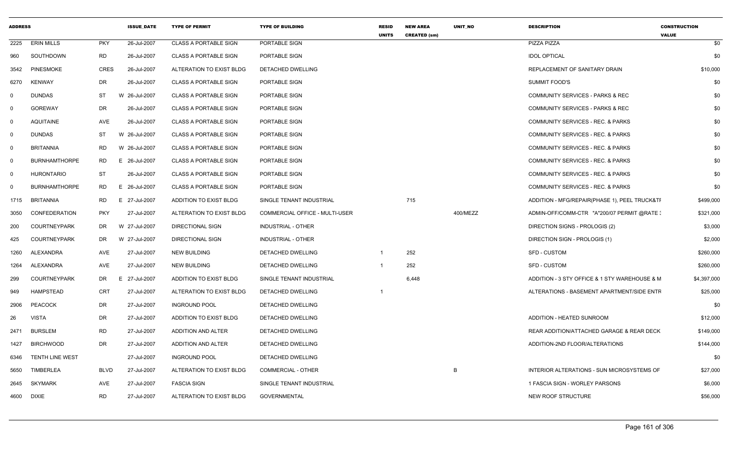| <b>ADDRESS</b> |                        |             | <b>ISSUE DATE</b> | <b>TYPE OF PERMIT</b>        | <b>TYPE OF BUILDING</b>        | <b>RESID</b><br><b>UNITS</b> | <b>NEW AREA</b><br><b>CREATED (sm)</b> | UNIT_NO  | <b>DESCRIPTION</b>                            | <b>CONSTRUCTION</b><br><b>VALUE</b> |
|----------------|------------------------|-------------|-------------------|------------------------------|--------------------------------|------------------------------|----------------------------------------|----------|-----------------------------------------------|-------------------------------------|
| 2225           | <b>ERIN MILLS</b>      | <b>PKY</b>  | 26-Jul-2007       | <b>CLASS A PORTABLE SIGN</b> | PORTABLE SIGN                  |                              |                                        |          | PIZZA PIZZA                                   | \$0                                 |
| 960            | SOUTHDOWN              | <b>RD</b>   | 26-Jul-2007       | <b>CLASS A PORTABLE SIGN</b> | PORTABLE SIGN                  |                              |                                        |          | <b>IDOL OPTICAL</b>                           | \$0                                 |
| 3542           | <b>PINESMOKE</b>       | <b>CRES</b> | 26-Jul-2007       | ALTERATION TO EXIST BLDG     | DETACHED DWELLING              |                              |                                        |          | REPLACEMENT OF SANITARY DRAIN                 | \$10,000                            |
| 6270           | KENWAY                 | DR          | 26-Jul-2007       | <b>CLASS A PORTABLE SIGN</b> | PORTABLE SIGN                  |                              |                                        |          | <b>SUMMIT FOOD'S</b>                          | \$0                                 |
| 0              | <b>DUNDAS</b>          | ST          | W 26-Jul-2007     | <b>CLASS A PORTABLE SIGN</b> | PORTABLE SIGN                  |                              |                                        |          | COMMUNITY SERVICES - PARKS & REC              | \$0                                 |
| 0              | <b>GOREWAY</b>         | DR          | 26-Jul-2007       | <b>CLASS A PORTABLE SIGN</b> | PORTABLE SIGN                  |                              |                                        |          | <b>COMMUNITY SERVICES - PARKS &amp; REC</b>   | \$0                                 |
| $\mathbf{0}$   | <b>AQUITAINE</b>       | AVE         | 26-Jul-2007       | <b>CLASS A PORTABLE SIGN</b> | PORTABLE SIGN                  |                              |                                        |          | COMMUNITY SERVICES - REC. & PARKS             | \$0                                 |
| $\mathbf 0$    | <b>DUNDAS</b>          | ST          | W 26-Jul-2007     | <b>CLASS A PORTABLE SIGN</b> | PORTABLE SIGN                  |                              |                                        |          | COMMUNITY SERVICES - REC. & PARKS             | \$0                                 |
| $\mathbf{0}$   | <b>BRITANNIA</b>       | RD          | W 26-Jul-2007     | <b>CLASS A PORTABLE SIGN</b> | PORTABLE SIGN                  |                              |                                        |          | COMMUNITY SERVICES - REC. & PARKS             | \$0                                 |
| $\mathbf 0$    | <b>BURNHAMTHORPE</b>   | RD          | 26-Jul-2007<br>E. | <b>CLASS A PORTABLE SIGN</b> | PORTABLE SIGN                  |                              |                                        |          | <b>COMMUNITY SERVICES - REC. &amp; PARKS</b>  | \$0                                 |
| $\mathbf 0$    | <b>HURONTARIO</b>      | <b>ST</b>   | 26-Jul-2007       | <b>CLASS A PORTABLE SIGN</b> | PORTABLE SIGN                  |                              |                                        |          | COMMUNITY SERVICES - REC. & PARKS             | \$0                                 |
| $\Omega$       | <b>BURNHAMTHORPE</b>   | RD          | E 26-Jul-2007     | <b>CLASS A PORTABLE SIGN</b> | PORTABLE SIGN                  |                              |                                        |          | COMMUNITY SERVICES - REC. & PARKS             | \$0                                 |
| 1715           | <b>BRITANNIA</b>       | RD          | E 27-Jul-2007     | ADDITION TO EXIST BLDG       | SINGLE TENANT INDUSTRIAL       |                              | 715                                    |          | ADDITION - MFG/REPAIR(PHASE 1), PEEL TRUCK&TF | \$499,000                           |
| 3050           | CONFEDERATION          | <b>PKY</b>  | 27-Jul-2007       | ALTERATION TO EXIST BLDG     | COMMERCIAL OFFICE - MULTI-USER |                              |                                        | 400/MEZZ | ADMIN-OFF/COMM-CTR "A"200/07 PERMIT @RATE :   | \$321,000                           |
| 200            | <b>COURTNEYPARK</b>    | DR          | W 27-Jul-2007     | <b>DIRECTIONAL SIGN</b>      | INDUSTRIAL - OTHER             |                              |                                        |          | DIRECTION SIGNS - PROLOGIS (2)                | \$3,000                             |
| 425            | <b>COURTNEYPARK</b>    | DR          | W 27-Jul-2007     | <b>DIRECTIONAL SIGN</b>      | <b>INDUSTRIAL - OTHER</b>      |                              |                                        |          | DIRECTION SIGN - PROLOGIS (1)                 | \$2,000                             |
| 1260           | ALEXANDRA              | AVE         | 27-Jul-2007       | <b>NEW BUILDING</b>          | DETACHED DWELLING              | $\overline{1}$               | 252                                    |          | SFD - CUSTOM                                  | \$260,000                           |
| 1264           | ALEXANDRA              | AVE         | 27-Jul-2007       | <b>NEW BUILDING</b>          | DETACHED DWELLING              | $\overline{1}$               | 252                                    |          | SFD - CUSTOM                                  | \$260,000                           |
| 299            | <b>COURTNEYPARK</b>    | DR          | E 27-Jul-2007     | ADDITION TO EXIST BLDG       | SINGLE TENANT INDUSTRIAL       |                              | 6,448                                  |          | ADDITION - 3 STY OFFICE & 1 STY WAREHOUSE & M | \$4,397,000                         |
| 949            | HAMPSTEAD              | <b>CRT</b>  | 27-Jul-2007       | ALTERATION TO EXIST BLDG     | DETACHED DWELLING              | $\overline{1}$               |                                        |          | ALTERATIONS - BASEMENT APARTMENT/SIDE ENTF    | \$25,000                            |
| 2906           | PEACOCK                | DR          | 27-Jul-2007       | <b>INGROUND POOL</b>         | DETACHED DWELLING              |                              |                                        |          |                                               | \$0                                 |
| 26             | <b>VISTA</b>           | DR          | 27-Jul-2007       | ADDITION TO EXIST BLDG       | DETACHED DWELLING              |                              |                                        |          | ADDITION - HEATED SUNROOM                     | \$12,000                            |
| 2471           | <b>BURSLEM</b>         | RD          | 27-Jul-2007       | <b>ADDITION AND ALTER</b>    | DETACHED DWELLING              |                              |                                        |          | REAR ADDITION/ATTACHED GARAGE & REAR DECK     | \$149,000                           |
| 1427           | <b>BIRCHWOOD</b>       | DR          | 27-Jul-2007       | ADDITION AND ALTER           | DETACHED DWELLING              |                              |                                        |          | ADDITION-2ND FLOOR/ALTERATIONS                | \$144,000                           |
| 6346           | <b>TENTH LINE WEST</b> |             | 27-Jul-2007       | <b>INGROUND POOL</b>         | DETACHED DWELLING              |                              |                                        |          |                                               | \$0                                 |
| 5650           | TIMBERLEA              | BLVD        | 27-Jul-2007       | ALTERATION TO EXIST BLDG     | <b>COMMERCIAL - OTHER</b>      |                              |                                        | B        | INTERIOR ALTERATIONS - SUN MICROSYSTEMS OF    | \$27,000                            |
| 2645           | <b>SKYMARK</b>         | AVE         | 27-Jul-2007       | <b>FASCIA SIGN</b>           | SINGLE TENANT INDUSTRIAL       |                              |                                        |          | 1 FASCIA SIGN - WORLEY PARSONS                | \$6,000                             |
| 4600           | <b>DIXIE</b>           | <b>RD</b>   | 27-Jul-2007       | ALTERATION TO EXIST BLDG     | <b>GOVERNMENTAL</b>            |                              |                                        |          | NEW ROOF STRUCTURE                            | \$56,000                            |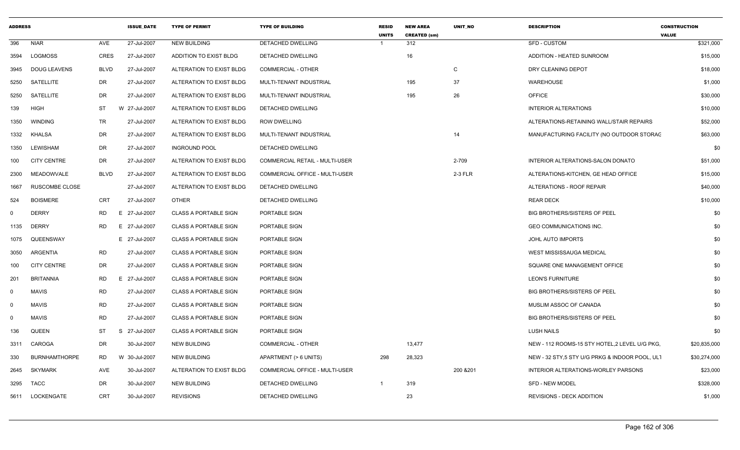| <b>ADDRESS</b> |                      |             | <b>ISSUE_DATE</b> | <b>TYPE OF PERMIT</b>        | <b>TYPE OF BUILDING</b>        | <b>RESID</b><br><b>UNITS</b> | <b>NEW AREA</b><br><b>CREATED (sm)</b> | UNIT_NO      | <b>DESCRIPTION</b>                             | <b>CONSTRUCTION</b><br><b>VALUE</b> |
|----------------|----------------------|-------------|-------------------|------------------------------|--------------------------------|------------------------------|----------------------------------------|--------------|------------------------------------------------|-------------------------------------|
| 396            | NIAR                 | AVE         | 27-Jul-2007       | <b>NEW BUILDING</b>          | DETACHED DWELLING              |                              | 312                                    |              | <b>SFD - CUSTOM</b>                            | \$321,000                           |
| 3594           | <b>LOGMOSS</b>       | CRES        | 27-Jul-2007       | ADDITION TO EXIST BLDG       | DETACHED DWELLING              |                              | 16                                     |              | ADDITION - HEATED SUNROOM                      | \$15,000                            |
| 3945           | DOUG LEAVENS         | <b>BLVD</b> | 27-Jul-2007       | ALTERATION TO EXIST BLDG     | <b>COMMERCIAL - OTHER</b>      |                              |                                        | $\mathsf{C}$ | DRY CLEANING DEPOT                             | \$18,000                            |
| 5250           | SATELLITE            | DR          | 27-Jul-2007       | ALTERATION TO EXIST BLDG     | MULTI-TENANT INDUSTRIAL        |                              | 195                                    | 37           | <b>WAREHOUSE</b>                               | \$1,000                             |
| 5250           | SATELLITE            | DR          | 27-Jul-2007       | ALTERATION TO EXIST BLDG     | MULTI-TENANT INDUSTRIAL        |                              | 195                                    | 26           | <b>OFFICE</b>                                  | \$30,000                            |
| 139            | <b>HIGH</b>          | <b>ST</b>   | W 27-Jul-2007     | ALTERATION TO EXIST BLDG     | DETACHED DWELLING              |                              |                                        |              | <b>INTERIOR ALTERATIONS</b>                    | \$10,000                            |
| 1350           | <b>WINDING</b>       | TR          | 27-Jul-2007       | ALTERATION TO EXIST BLDG     | <b>ROW DWELLING</b>            |                              |                                        |              | ALTERATIONS-RETAINING WALL/STAIR REPAIRS       | \$52,000                            |
| 1332           | KHALSA               | DR          | 27-Jul-2007       | ALTERATION TO EXIST BLDG     | MULTI-TENANT INDUSTRIAL        |                              |                                        | 14           | MANUFACTURING FACILITY (NO OUTDOOR STORAC      | \$63,000                            |
| 1350           | LEWISHAM             | DR          | 27-Jul-2007       | <b>INGROUND POOL</b>         | DETACHED DWELLING              |                              |                                        |              |                                                | \$0                                 |
| 100            | <b>CITY CENTRE</b>   | DR          | 27-Jul-2007       | ALTERATION TO EXIST BLDG     | COMMERCIAL RETAIL - MULTI-USER |                              |                                        | 2-709        | INTERIOR ALTERATIONS-SALON DONATO              | \$51,000                            |
| 2300           | MEADOWVALE           | BLVD        | 27-Jul-2007       | ALTERATION TO EXIST BLDG     | COMMERCIAL OFFICE - MULTI-USER |                              |                                        | 2-3 FLR      | ALTERATIONS-KITCHEN, GE HEAD OFFICE            | \$15,000                            |
| 1667           | RUSCOMBE CLOSE       |             | 27-Jul-2007       | ALTERATION TO EXIST BLDG     | DETACHED DWELLING              |                              |                                        |              | ALTERATIONS - ROOF REPAIR                      | \$40,000                            |
| 524            | <b>BOISMERE</b>      | CRT         | 27-Jul-2007       | OTHER                        | DETACHED DWELLING              |                              |                                        |              | <b>REAR DECK</b>                               | \$10,000                            |
| $\mathbf{0}$   | <b>DERRY</b>         | RD          | 27-Jul-2007<br>E. | <b>CLASS A PORTABLE SIGN</b> | PORTABLE SIGN                  |                              |                                        |              | <b>BIG BROTHERS/SISTERS OF PEEL</b>            | \$0                                 |
| 1135           | <b>DERRY</b>         | RD          | E 27-Jul-2007     | <b>CLASS A PORTABLE SIGN</b> | PORTABLE SIGN                  |                              |                                        |              | GEO COMMUNICATIONS INC.                        | \$0                                 |
| 1075           | QUEENSWAY            |             | E 27-Jul-2007     | <b>CLASS A PORTABLE SIGN</b> | PORTABLE SIGN                  |                              |                                        |              | JOHL AUTO IMPORTS                              | \$0                                 |
| 3050           | ARGENTIA             | RD          | 27-Jul-2007       | <b>CLASS A PORTABLE SIGN</b> | PORTABLE SIGN                  |                              |                                        |              | WEST MISSISSAUGA MEDICAL                       | \$0                                 |
| 100            | CITY CENTRE          | DR          | 27-Jul-2007       | <b>CLASS A PORTABLE SIGN</b> | PORTABLE SIGN                  |                              |                                        |              | SQUARE ONE MANAGEMENT OFFICE                   | \$0                                 |
| 201            | <b>BRITANNIA</b>     | RD          | 27-Jul-2007<br>E. | <b>CLASS A PORTABLE SIGN</b> | PORTABLE SIGN                  |                              |                                        |              | LEON'S FURNITURE                               | \$0                                 |
| $\Omega$       | MAVIS                | RD          | 27-Jul-2007       | <b>CLASS A PORTABLE SIGN</b> | PORTABLE SIGN                  |                              |                                        |              | <b>BIG BROTHERS/SISTERS OF PEEL</b>            | \$0                                 |
| $\Omega$       | <b>MAVIS</b>         | <b>RD</b>   | 27-Jul-2007       | <b>CLASS A PORTABLE SIGN</b> | PORTABLE SIGN                  |                              |                                        |              | MUSLIM ASSOC OF CANADA                         | \$0                                 |
| $\Omega$       | <b>MAVIS</b>         | RD          | 27-Jul-2007       | <b>CLASS A PORTABLE SIGN</b> | PORTABLE SIGN                  |                              |                                        |              | <b>BIG BROTHERS/SISTERS OF PEEL</b>            | \$0                                 |
| 136            | QUEEN                | ST          | 27-Jul-2007<br>-S | <b>CLASS A PORTABLE SIGN</b> | PORTABLE SIGN                  |                              |                                        |              | LUSH NAILS                                     | \$0                                 |
| 3311           | CAROGA               | DR          | 30-Jul-2007       | <b>NEW BUILDING</b>          | <b>COMMERCIAL - OTHER</b>      |                              | 13,477                                 |              | NEW - 112 ROOMS-15 STY HOTEL, 2 LEVEL U/G PKG, | \$20,835,000                        |
| 330            | <b>BURNHAMTHORPE</b> | RD.         | W 30-Jul-2007     | <b>NEW BUILDING</b>          | APARTMENT (> 6 UNITS)          | 298                          | 28,323                                 |              | NEW - 32 STY,5 STY U/G PRKG & INDOOR POOL, ULT | \$30,274,000                        |
|                | 2645 SKYMARK         | AVE         | 30-Jul-2007       | ALTERATION TO EXIST BLDG     | COMMERCIAL OFFICE - MULTI-USER |                              |                                        | 200 & 201    | INTERIOR ALTERATIONS-WORLEY PARSONS            | \$23,000                            |
|                | 3295 TACC            | DR          | 30-Jul-2007       | NEW BUILDING                 | DETACHED DWELLING              |                              | 319                                    |              | SFD - NEW MODEL                                | \$328,000                           |
|                | 5611 LOCKENGATE      | CRT         | 30-Jul-2007       | <b>REVISIONS</b>             | DETACHED DWELLING              |                              | 23                                     |              | <b>REVISIONS - DECK ADDITION</b>               | \$1,000                             |
|                |                      |             |                   |                              |                                |                              |                                        |              |                                                |                                     |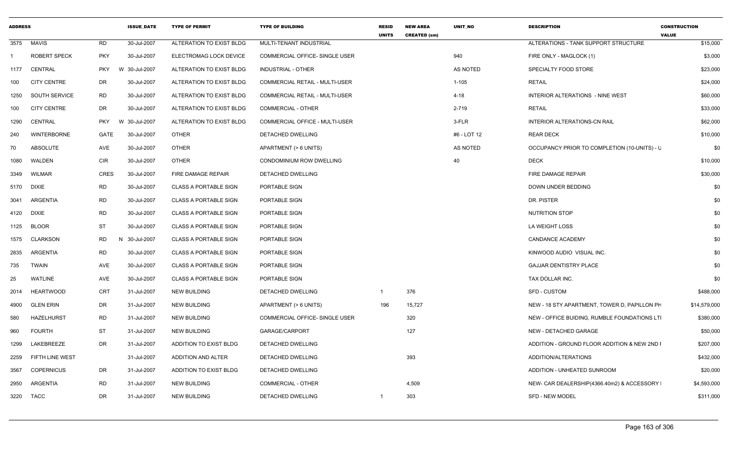| <b>ADDRESS</b> |                     |            | <b>ISSUE DATE</b> | <b>TYPE OF PERMIT</b>        | <b>TYPE OF BUILDING</b>               | <b>RESID</b><br><b>UNITS</b> | <b>NEW AREA</b><br><b>CREATED (sm)</b> | UNIT_NO     | <b>DESCRIPTION</b>                           | <b>CONSTRUCTION</b><br><b>VALUE</b> |
|----------------|---------------------|------------|-------------------|------------------------------|---------------------------------------|------------------------------|----------------------------------------|-------------|----------------------------------------------|-------------------------------------|
|                | 3575 MAVIS          | RD         | 30-Jul-2007       | ALTERATION TO EXIST BLDG     | MULTI-TENANT INDUSTRIAL               |                              |                                        |             | ALTERATIONS - TANK SUPPORT STRUCTURE         | \$15,000                            |
|                | <b>ROBERT SPECK</b> | <b>PKY</b> | 30-Jul-2007       | ELECTROMAG LOCK DEVICE       | COMMERCIAL OFFICE- SINGLE USER        |                              |                                        | 940         | FIRE ONLY - MAGLOCK (1)                      | \$3,000                             |
| 1177           | CENTRAL             | <b>PKY</b> | W 30-Jul-2007     | ALTERATION TO EXIST BLDG     | INDUSTRIAL - OTHER                    |                              |                                        | AS NOTED    | SPECIALTY FOOD STORE                         | \$23,000                            |
| 100            | <b>CITY CENTRE</b>  | DR         | 30-Jul-2007       | ALTERATION TO EXIST BLDG     | <b>COMMERCIAL RETAIL - MULTI-USER</b> |                              |                                        | $1 - 105$   | <b>RETAIL</b>                                | \$24,000                            |
| 1250           | SOUTH SERVICE       | RD         | 30-Jul-2007       | ALTERATION TO EXIST BLDG     | COMMERCIAL RETAIL - MULTI-USER        |                              |                                        | $4 - 18$    | <b>INTERIOR ALTERATIONS - NINE WEST</b>      | \$60,000                            |
| 100            | <b>CITY CENTRE</b>  | DR         | 30-Jul-2007       | ALTERATION TO EXIST BLDG     | <b>COMMERCIAL - OTHER</b>             |                              |                                        | 2-719       | <b>RETAIL</b>                                | \$33,000                            |
| 1290           | CENTRAL             | <b>PKY</b> | W 30-Jul-2007     | ALTERATION TO EXIST BLDG     | <b>COMMERCIAL OFFICE - MULTI-USER</b> |                              |                                        | 3-FLR       | <b>INTERIOR ALTERATIONS-CN RAIL</b>          | \$62,000                            |
| 240            | <b>WINTERBORNE</b>  | GATE       | 30-Jul-2007       | <b>OTHER</b>                 | DETACHED DWELLING                     |                              |                                        | #6 - LOT 12 | <b>REAR DECK</b>                             | \$10,000                            |
| 70             | ABSOLUTE            | AVE        | 30-Jul-2007       | <b>OTHER</b>                 | APARTMENT (> 6 UNITS)                 |                              |                                        | AS NOTED    | OCCUPANCY PRIOR TO COMPLETION (10-UNITS) - L | \$0                                 |
| 1080           | WALDEN              | <b>CIR</b> | 30-Jul-2007       | <b>OTHER</b>                 | CONDOMINIUM ROW DWELLING              |                              |                                        | 40          | <b>DECK</b>                                  | \$10,000                            |
| 3349           | WILMAR              | CRES       | 30-Jul-2007       | FIRE DAMAGE REPAIR           | DETACHED DWELLING                     |                              |                                        |             | FIRE DAMAGE REPAIR                           | \$30,000                            |
|                | 5170 DIXIE          | RD         | 30-Jul-2007       | <b>CLASS A PORTABLE SIGN</b> | PORTABLE SIGN                         |                              |                                        |             | DOWN UNDER BEDDING                           | \$0                                 |
|                | 3041 ARGENTIA       | RD         | 30-Jul-2007       | <b>CLASS A PORTABLE SIGN</b> | PORTABLE SIGN                         |                              |                                        |             | DR. PISTER                                   | \$0                                 |
|                | 4120 DIXIE          | <b>RD</b>  | 30-Jul-2007       | <b>CLASS A PORTABLE SIGN</b> | PORTABLE SIGN                         |                              |                                        |             | <b>NUTRITION STOP</b>                        | \$0                                 |
|                | 1125 BLOOR          | ST         | 30-Jul-2007       | <b>CLASS A PORTABLE SIGN</b> | PORTABLE SIGN                         |                              |                                        |             | LA WEIGHT LOSS                               | \$0                                 |
| 1575           | CLARKSON            | RD         | N 30-Jul-2007     | <b>CLASS A PORTABLE SIGN</b> | PORTABLE SIGN                         |                              |                                        |             | CANDANCE ACADEMY                             | \$0                                 |
| 2835           | ARGENTIA            | <b>RD</b>  | 30-Jul-2007       | <b>CLASS A PORTABLE SIGN</b> | PORTABLE SIGN                         |                              |                                        |             | KINWOOD AUDIO VISUAL INC.                    | \$0                                 |
| 735            | TWAIN               | AVE        | 30-Jul-2007       | <b>CLASS A PORTABLE SIGN</b> | PORTABLE SIGN                         |                              |                                        |             | <b>GAJJAR DENTISTRY PLACE</b>                | \$0                                 |
| 25             | WATLINE             | AVE        | 30-Jul-2007       | <b>CLASS A PORTABLE SIGN</b> | PORTABLE SIGN                         |                              |                                        |             | TAX DOLLAR INC.                              | \$0                                 |
| 2014           | <b>HEARTWOOD</b>    | CRT        | 31-Jul-2007       | NEW BUILDING                 | DETACHED DWELLING                     | - 1                          | 376                                    |             | <b>SFD - CUSTOM</b>                          | \$488,000                           |
| 4900           | GLEN ERIN           | DR         | 31-Jul-2007       | <b>NEW BUILDING</b>          | APARTMENT (> 6 UNITS)                 | 196                          | 15,727                                 |             | NEW - 18 STY APARTMENT, TOWER D, PAPILLON PH | \$14,579,000                        |
| 580            | <b>HAZELHURST</b>   | RD         | 31-Jul-2007       | NEW BUILDING                 | COMMERCIAL OFFICE- SINGLE USER        |                              | 320                                    |             | NEW - OFFICE BUIDING, RUMBLE FOUNDATIONS LTI | \$380,000                           |
| 960            | <b>FOURTH</b>       | ST         | 31-Jul-2007       | NEW BUILDING                 | GARAGE/CARPORT                        |                              | 127                                    |             | NEW - DETACHED GARAGE                        | \$50,000                            |
| 1299           | LAKEBREEZE          | DR         | 31-Jul-2007       | ADDITION TO EXIST BLDG       | DETACHED DWELLING                     |                              |                                        |             | ADDITION - GROUND FLOOR ADDITION & NEW 2ND I | \$207,000                           |
| 2259           | FIFTH LINE WEST     |            | 31-Jul-2007       | ADDITION AND ALTER           | <b>DETACHED DWELLING</b>              |                              | 393                                    |             | ADDITION/ALTERATIONS                         | \$432,000                           |
| 3567           | COPERNICUS          | DR         | 31-Jul-2007       | ADDITION TO EXIST BLDG       | DETACHED DWELLING                     |                              |                                        |             | ADDITION - UNHEATED SUNROOM                  | \$20,000                            |
| 2950           | ARGENTIA            | RD         | 31-Jul-2007       | NEW BUILDING                 | COMMERCIAL - OTHER                    |                              | 4,509                                  |             | NEW- CAR DEALERSHIP(4366.40m2) & ACCESSORY   | \$4,593,000                         |
|                | 3220 TACC           | DR         | 31-Jul-2007       | NEW BUILDING                 | DETACHED DWELLING                     | -1                           | 303                                    |             | <b>SFD - NEW MODEL</b>                       | \$311,000                           |
|                |                     |            |                   |                              |                                       |                              |                                        |             |                                              |                                     |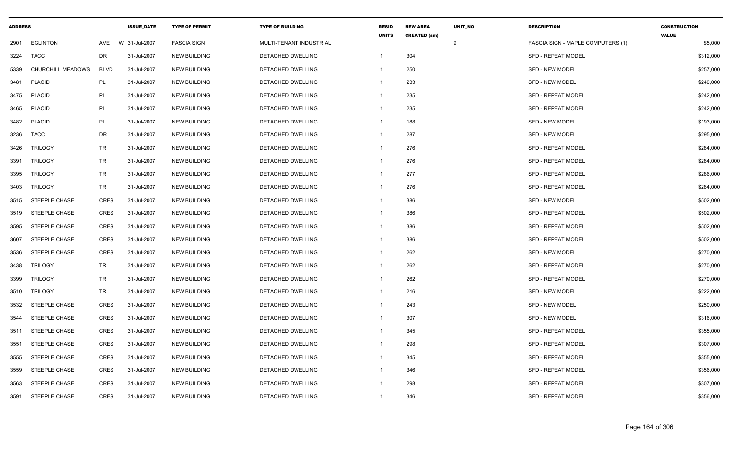| <b>ADDRESS</b> |                      |             | <b>ISSUE DATE</b> | <b>TYPE OF PERMIT</b> | <b>TYPE OF BUILDING</b>  | <b>RESID</b><br><b>UNITS</b> | <b>NEW AREA</b><br><b>CREATED (sm)</b> | UNIT_NO | <b>DESCRIPTION</b>                | <b>CONSTRUCTION</b><br><b>VALUE</b> |
|----------------|----------------------|-------------|-------------------|-----------------------|--------------------------|------------------------------|----------------------------------------|---------|-----------------------------------|-------------------------------------|
| 2901           | <b>EGLINTON</b>      | AVE         | W 31-Jul-2007     | <b>FASCIA SIGN</b>    | MULTI-TENANT INDUSTRIAL  |                              |                                        | 9       | FASCIA SIGN - MAPLE COMPUTERS (1) | \$5,000                             |
| 3224           | TACC                 | <b>DR</b>   | 31-Jul-2007       | <b>NEW BUILDING</b>   | DETACHED DWELLING        | $\mathbf{1}$                 | 304                                    |         | <b>SFD - REPEAT MODEL</b>         | \$312,000                           |
| 5339           | CHURCHILL MEADOWS    | <b>BLVD</b> | 31-Jul-2007       | <b>NEW BUILDING</b>   | DETACHED DWELLING        | -1                           | 250                                    |         | <b>SFD - NEW MODEL</b>            | \$257,000                           |
| 3481           | <b>PLACID</b>        | PL          | 31-Jul-2007       | <b>NEW BUILDING</b>   | DETACHED DWELLING        | -1                           | 233                                    |         | <b>SFD - NEW MODEL</b>            | \$240,000                           |
| 3475           | <b>PLACID</b>        | PL          | 31-Jul-2007       | <b>NEW BUILDING</b>   | DETACHED DWELLING        | $\overline{1}$               | 235                                    |         | <b>SFD - REPEAT MODEL</b>         | \$242,000                           |
| 3465           | <b>PLACID</b>        | PL          | 31-Jul-2007       | <b>NEW BUILDING</b>   | DETACHED DWELLING        | $\overline{1}$               | 235                                    |         | <b>SFD - REPEAT MODEL</b>         | \$242,000                           |
| 3482           | <b>PLACID</b>        | PL          | 31-Jul-2007       | <b>NEW BUILDING</b>   | DETACHED DWELLING        | -1                           | 188                                    |         | <b>SFD - NEW MODEL</b>            | \$193,000                           |
| 3236           | <b>TACC</b>          | DR          | 31-Jul-2007       | <b>NEW BUILDING</b>   | <b>DETACHED DWELLING</b> | $\overline{1}$               | 287                                    |         | <b>SFD - NEW MODEL</b>            | \$295,000                           |
| 3426           | <b>TRILOGY</b>       | <b>TR</b>   | 31-Jul-2007       | <b>NEW BUILDING</b>   | DETACHED DWELLING        | $\mathbf{1}$                 | 276                                    |         | <b>SFD - REPEAT MODEL</b>         | \$284,000                           |
| 3391           | <b>TRILOGY</b>       | TR          | 31-Jul-2007       | <b>NEW BUILDING</b>   | DETACHED DWELLING        | $\overline{1}$               | 276                                    |         | <b>SFD - REPEAT MODEL</b>         | \$284,000                           |
| 3395           | <b>TRILOGY</b>       | <b>TR</b>   | 31-Jul-2007       | <b>NEW BUILDING</b>   | DETACHED DWELLING        | $\mathbf{1}$                 | 277                                    |         | <b>SFD - REPEAT MODEL</b>         | \$286,000                           |
| 3403           | <b>TRILOGY</b>       | TR          | 31-Jul-2007       | <b>NEW BUILDING</b>   | DETACHED DWELLING        | $\overline{1}$               | 276                                    |         | <b>SFD - REPEAT MODEL</b>         | \$284,000                           |
| 3515           | <b>STEEPLE CHASE</b> | CRES        | 31-Jul-2007       | <b>NEW BUILDING</b>   | DETACHED DWELLING        | -1                           | 386                                    |         | SFD - NEW MODEL                   | \$502,000                           |
| 3519           | <b>STEEPLE CHASE</b> | CRES        | 31-Jul-2007       | <b>NEW BUILDING</b>   | <b>DETACHED DWELLING</b> | $\mathbf 1$                  | 386                                    |         | <b>SFD - REPEAT MODEL</b>         | \$502,000                           |
| 3595           | <b>STEEPLE CHASE</b> | <b>CRES</b> | 31-Jul-2007       | <b>NEW BUILDING</b>   | DETACHED DWELLING        | $\overline{1}$               | 386                                    |         | SFD - REPEAT MODEL                | \$502,000                           |
| 3607           | <b>STEEPLE CHASE</b> | <b>CRES</b> | 31-Jul-2007       | <b>NEW BUILDING</b>   | DETACHED DWELLING        | -1                           | 386                                    |         | <b>SFD - REPEAT MODEL</b>         | \$502,000                           |
| 3536           | <b>STEEPLE CHASE</b> | <b>CRES</b> | 31-Jul-2007       | <b>NEW BUILDING</b>   | DETACHED DWELLING        | -1                           | 262                                    |         | SFD - NEW MODEL                   | \$270,000                           |
| 3438           | <b>TRILOGY</b>       | <b>TR</b>   | 31-Jul-2007       | <b>NEW BUILDING</b>   | DETACHED DWELLING        | $\mathbf 1$                  | 262                                    |         | <b>SFD - REPEAT MODEL</b>         | \$270,000                           |
| 3399           | <b>TRILOGY</b>       | <b>TR</b>   | 31-Jul-2007       | <b>NEW BUILDING</b>   | DETACHED DWELLING        | $\overline{1}$               | 262                                    |         | <b>SFD - REPEAT MODEL</b>         | \$270,000                           |
| 3510           | <b>TRILOGY</b>       | TR          | 31-Jul-2007       | <b>NEW BUILDING</b>   | DETACHED DWELLING        | $\overline{1}$               | 216                                    |         | SFD - NEW MODEL                   | \$222,000                           |
| 3532           | STEEPLE CHASE        | <b>CRES</b> | 31-Jul-2007       | <b>NEW BUILDING</b>   | DETACHED DWELLING        | $\mathbf{1}$                 | 243                                    |         | <b>SFD - NEW MODEL</b>            | \$250,000                           |
| 3544           | <b>STEEPLE CHASE</b> | <b>CRES</b> | 31-Jul-2007       | <b>NEW BUILDING</b>   | DETACHED DWELLING        | $\mathbf{1}$                 | 307                                    |         | <b>SFD - NEW MODEL</b>            | \$316,000                           |
| 3511           | <b>STEEPLE CHASE</b> | <b>CRES</b> | 31-Jul-2007       | <b>NEW BUILDING</b>   | DETACHED DWELLING        | -1                           | 345                                    |         | <b>SFD - REPEAT MODEL</b>         | \$355,000                           |
| 3551           | STEEPLE CHASE        | <b>CRES</b> | 31-Jul-2007       | <b>NEW BUILDING</b>   | DETACHED DWELLING        | $\mathbf 1$                  | 298                                    |         | SFD - REPEAT MODEL                | \$307,000                           |
| 3555           | STEEPLE CHASE        | <b>CRES</b> | 31-Jul-2007       | <b>NEW BUILDING</b>   | DETACHED DWELLING        | $\overline{1}$               | 345                                    |         | SFD - REPEAT MODEL                | \$355,000                           |
| 3559           | <b>STEEPLE CHASE</b> | <b>CRES</b> | 31-Jul-2007       | <b>NEW BUILDING</b>   | DETACHED DWELLING        | -1                           | 346                                    |         | <b>SFD - REPEAT MODEL</b>         | \$356,000                           |
| 3563           | STEEPLE CHASE        | <b>CRES</b> | 31-Jul-2007       | <b>NEW BUILDING</b>   | DETACHED DWELLING        | -1                           | 298                                    |         | SFD - REPEAT MODEL                | \$307,000                           |
| 3591           | <b>STEEPLE CHASE</b> | <b>CRES</b> | 31-Jul-2007       | <b>NEW BUILDING</b>   | DETACHED DWELLING        | $\mathbf{1}$                 | 346                                    |         | SFD - REPEAT MODEL                | \$356,000                           |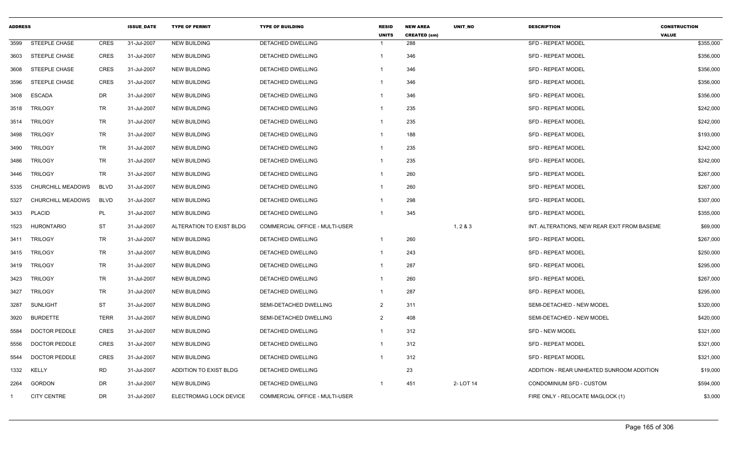| <b>ADDRESS</b> |                          |             | <b>ISSUE_DATE</b> | <b>TYPE OF PERMIT</b>    | <b>TYPE OF BUILDING</b>               | <b>RESID</b><br><b>UNITS</b> | <b>NEW AREA</b><br><b>CREATED (sm)</b> | UNIT_NO  | <b>DESCRIPTION</b>                          | <b>CONSTRUCTION</b><br><b>VALUE</b> |
|----------------|--------------------------|-------------|-------------------|--------------------------|---------------------------------------|------------------------------|----------------------------------------|----------|---------------------------------------------|-------------------------------------|
| 3599           | <b>STEEPLE CHASE</b>     | <b>CRES</b> | 31-Jul-2007       | <b>NEW BUILDING</b>      | DETACHED DWELLING                     | $\overline{1}$               | 288                                    |          | <b>SFD - REPEAT MODEL</b>                   | \$355,000                           |
| 3603           | STEEPLE CHASE            | <b>CRES</b> | 31-Jul-2007       | <b>NEW BUILDING</b>      | DETACHED DWELLING                     | $\overline{1}$               | 346                                    |          | <b>SFD - REPEAT MODEL</b>                   | \$356,000                           |
| 3608           | <b>STEEPLE CHASE</b>     | <b>CRES</b> | 31-Jul-2007       | <b>NEW BUILDING</b>      | DETACHED DWELLING                     | $\overline{\mathbf{1}}$      | 346                                    |          | <b>SFD - REPEAT MODEL</b>                   | \$356,000                           |
| 3596           | STEEPLE CHASE            | <b>CRES</b> | 31-Jul-2007       | <b>NEW BUILDING</b>      | DETACHED DWELLING                     | $\overline{1}$               | 346                                    |          | <b>SFD - REPEAT MODEL</b>                   | \$356,000                           |
| 3408           | <b>ESCADA</b>            | DR          | 31-Jul-2007       | <b>NEW BUILDING</b>      | DETACHED DWELLING                     | -1                           | 346                                    |          | <b>SFD - REPEAT MODEL</b>                   | \$356,000                           |
| 3518           | TRILOGY                  | TR          | 31-Jul-2007       | <b>NEW BUILDING</b>      | DETACHED DWELLING                     | $\overline{1}$               | 235                                    |          | <b>SFD - REPEAT MODEL</b>                   | \$242,000                           |
| 3514           | <b>TRILOGY</b>           | <b>TR</b>   | 31-Jul-2007       | <b>NEW BUILDING</b>      | DETACHED DWELLING                     | $\mathbf{1}$                 | 235                                    |          | <b>SFD - REPEAT MODEL</b>                   | \$242,000                           |
| 3498           | <b>TRILOGY</b>           | TR          | 31-Jul-2007       | <b>NEW BUILDING</b>      | <b>DETACHED DWELLING</b>              | $\overline{1}$               | 188                                    |          | <b>SFD - REPEAT MODEL</b>                   | \$193,000                           |
| 3490           | <b>TRILOGY</b>           | TR          | 31-Jul-2007       | <b>NEW BUILDING</b>      | DETACHED DWELLING                     | $\overline{1}$               | 235                                    |          | <b>SFD - REPEAT MODEL</b>                   | \$242,000                           |
| 3486           | <b>TRILOGY</b>           | TR          | 31-Jul-2007       | <b>NEW BUILDING</b>      | DETACHED DWELLING                     | $\overline{1}$               | 235                                    |          | <b>SFD - REPEAT MODEL</b>                   | \$242,000                           |
| 3446           | <b>TRILOGY</b>           | TR          | 31-Jul-2007       | <b>NEW BUILDING</b>      | DETACHED DWELLING                     | $\overline{1}$               | 260                                    |          | <b>SFD - REPEAT MODEL</b>                   | \$267,000                           |
| 5335           | <b>CHURCHILL MEADOWS</b> | <b>BLVD</b> | 31-Jul-2007       | <b>NEW BUILDING</b>      | DETACHED DWELLING                     | $\overline{1}$               | 260                                    |          | <b>SFD - REPEAT MODEL</b>                   | \$267,000                           |
| 5327           | CHURCHILL MEADOWS        | <b>BLVD</b> | 31-Jul-2007       | <b>NEW BUILDING</b>      | <b>DETACHED DWELLING</b>              | $\overline{1}$               | 298                                    |          | <b>SFD - REPEAT MODEL</b>                   | \$307,000                           |
| 3433           | PLACID                   | PL          | 31-Jul-2007       | <b>NEW BUILDING</b>      | DETACHED DWELLING                     | $\overline{\mathbf{1}}$      | 345                                    |          | <b>SFD - REPEAT MODEL</b>                   | \$355,000                           |
| 1523           | <b>HURONTARIO</b>        | <b>ST</b>   | 31-Jul-2007       | ALTERATION TO EXIST BLDG | COMMERCIAL OFFICE - MULTI-USER        |                              |                                        | 1, 283   | INT. ALTERATIONS, NEW REAR EXIT FROM BASEME | \$69,000                            |
| 3411           | <b>TRILOGY</b>           | <b>TR</b>   | 31-Jul-2007       | <b>NEW BUILDING</b>      | DETACHED DWELLING                     | $\overline{1}$               | 260                                    |          | <b>SFD - REPEAT MODEL</b>                   | \$267,000                           |
| 3415           | TRILOGY                  | <b>TR</b>   | 31-Jul-2007       | <b>NEW BUILDING</b>      | DETACHED DWELLING                     | $\overline{1}$               | 243                                    |          | <b>SFD - REPEAT MODEL</b>                   | \$250,000                           |
| 3419           | <b>TRILOGY</b>           | TR          | 31-Jul-2007       | <b>NEW BUILDING</b>      | DETACHED DWELLING                     | $\overline{1}$               | 287                                    |          | <b>SFD - REPEAT MODEL</b>                   | \$295,000                           |
| 3423           | <b>TRILOGY</b>           | TR          | 31-Jul-2007       | <b>NEW BUILDING</b>      | DETACHED DWELLING                     | $\overline{1}$               | 260                                    |          | <b>SFD - REPEAT MODEL</b>                   | \$267,000                           |
| 3427           | <b>TRILOGY</b>           | <b>TR</b>   | 31-Jul-2007       | <b>NEW BUILDING</b>      | DETACHED DWELLING                     | $\overline{1}$               | 287                                    |          | SFD - REPEAT MODEL                          | \$295,000                           |
| 3287           | <b>SUNLIGHT</b>          | <b>ST</b>   | 31-Jul-2007       | <b>NEW BUILDING</b>      | SEMI-DETACHED DWELLING                | 2                            | 311                                    |          | SEMI-DETACHED - NEW MODEL                   | \$320,000                           |
| 3920           | <b>BURDETTE</b>          | <b>TERR</b> | 31-Jul-2007       | <b>NEW BUILDING</b>      | SEMI-DETACHED DWELLING                | $\overline{2}$               | 408                                    |          | SEMI-DETACHED - NEW MODEL                   | \$420,000                           |
| 5584           | <b>DOCTOR PEDDLE</b>     | <b>CRES</b> | 31-Jul-2007       | <b>NEW BUILDING</b>      | DETACHED DWELLING                     | $\overline{1}$               | 312                                    |          | SFD - NEW MODEL                             | \$321,000                           |
| 5556           | <b>DOCTOR PEDDLE</b>     | <b>CRES</b> | 31-Jul-2007       | <b>NEW BUILDING</b>      | DETACHED DWELLING                     | $\overline{1}$               | 312                                    |          | <b>SFD - REPEAT MODEL</b>                   | \$321,000                           |
| 5544           | <b>DOCTOR PEDDLE</b>     | <b>CRES</b> | 31-Jul-2007       | <b>NEW BUILDING</b>      | DETACHED DWELLING                     | $\overline{1}$               | 312                                    |          | <b>SFD - REPEAT MODEL</b>                   | \$321,000                           |
| 1332           | KELLY                    | <b>RD</b>   | 31-Jul-2007       | ADDITION TO EXIST BLDG   | DETACHED DWELLING                     |                              | 23                                     |          | ADDITION - REAR UNHEATED SUNROOM ADDITION   | \$19,000                            |
| 2264           | GORDON                   | DR          | 31-Jul-2007       | <b>NEW BUILDING</b>      | DETACHED DWELLING                     | - 1                          | 451                                    | 2-LOT 14 | CONDOMINIUM SFD - CUSTOM                    | \$594,000                           |
|                | <b>CITY CENTRE</b>       | DR          | 31-Jul-2007       | ELECTROMAG LOCK DEVICE   | <b>COMMERCIAL OFFICE - MULTI-USER</b> |                              |                                        |          | FIRE ONLY - RELOCATE MAGLOCK (1)            | \$3,000                             |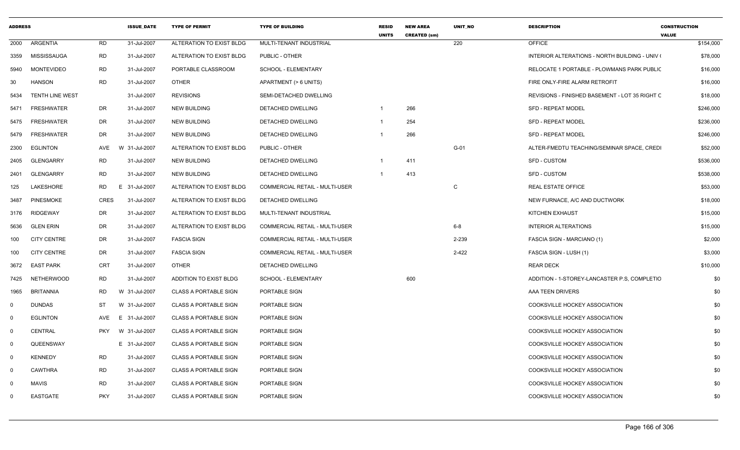| <b>ADDRESS</b> |                        |             | <b>ISSUE DATE</b> | <b>TYPE OF PERMIT</b>        | <b>TYPE OF BUILDING</b>               | <b>RESID</b><br><b>UNITS</b> | <b>NEW AREA</b><br><b>CREATED (sm)</b> | <b>UNIT NO</b> | <b>DESCRIPTION</b>                                    | <b>CONSTRUCTION</b><br><b>VALUE</b> |
|----------------|------------------------|-------------|-------------------|------------------------------|---------------------------------------|------------------------------|----------------------------------------|----------------|-------------------------------------------------------|-------------------------------------|
| 2000           | ARGENTIA               | <b>RD</b>   | 31-Jul-2007       | ALTERATION TO EXIST BLDG     | MULTI-TENANT INDUSTRIAL               |                              |                                        | 220            | <b>OFFICE</b>                                         | \$154,000                           |
| 3359           | MISSISSAUGA            | RD          | 31-Jul-2007       | ALTERATION TO EXIST BLDG     | PUBLIC - OTHER                        |                              |                                        |                | <b>INTERIOR ALTERATIONS - NORTH BUILDING - UNIV (</b> | \$78,000                            |
| 5940           | <b>MONTEVIDEO</b>      | <b>RD</b>   | 31-Jul-2007       | PORTABLE CLASSROOM           | SCHOOL - ELEMENTARY                   |                              |                                        |                | RELOCATE 1 PORTABLE - PLOWMANS PARK PUBLIC            | \$16,000                            |
| 30             | <b>HANSON</b>          | RD          | 31-Jul-2007       | <b>OTHER</b>                 | APARTMENT (> 6 UNITS)                 |                              |                                        |                | FIRE ONLY-FIRE ALARM RETROFIT                         | \$16,000                            |
| 5434           | <b>TENTH LINE WEST</b> |             | 31-Jul-2007       | <b>REVISIONS</b>             | SEMI-DETACHED DWELLING                |                              |                                        |                | REVISIONS - FINISHED BASEMENT - LOT 35 RIGHT C        | \$18,000                            |
| 5471           | <b>FRESHWATER</b>      | DR          | 31-Jul-2007       | <b>NEW BUILDING</b>          | <b>DETACHED DWELLING</b>              | $\overline{1}$               | 266                                    |                | <b>SFD - REPEAT MODEL</b>                             | \$246,000                           |
| 5475           | <b>FRESHWATER</b>      | DR          | 31-Jul-2007       | <b>NEW BUILDING</b>          | <b>DETACHED DWELLING</b>              | $\overline{1}$               | 254                                    |                | <b>SFD - REPEAT MODEL</b>                             | \$236,000                           |
| 5479           | <b>FRESHWATER</b>      | DR          | 31-Jul-2007       | <b>NEW BUILDING</b>          | DETACHED DWELLING                     | -1                           | 266                                    |                | <b>SFD - REPEAT MODEL</b>                             | \$246,000                           |
| 2300           | <b>EGLINTON</b>        | AVE         | W 31-Jul-2007     | ALTERATION TO EXIST BLDG     | PUBLIC - OTHER                        |                              |                                        | $G-01$         | ALTER-FMEDTU TEACHING/SEMINAR SPACE, CRED             | \$52,000                            |
| 2405           | <b>GLENGARRY</b>       | RD          | 31-Jul-2007       | <b>NEW BUILDING</b>          | <b>DETACHED DWELLING</b>              |                              | 411                                    |                | <b>SFD - CUSTOM</b>                                   | \$536,000                           |
| 2401           | <b>GLENGARRY</b>       | <b>RD</b>   | 31-Jul-2007       | <b>NEW BUILDING</b>          | DETACHED DWELLING                     | $\overline{1}$               | 413                                    |                | <b>SFD - CUSTOM</b>                                   | \$538,000                           |
| 125            | LAKESHORE              | RD          | 31-Jul-2007<br>E  | ALTERATION TO EXIST BLDG     | <b>COMMERCIAL RETAIL - MULTI-USER</b> |                              |                                        | C              | <b>REAL ESTATE OFFICE</b>                             | \$53,000                            |
| 3487           | <b>PINESMOKE</b>       | <b>CRES</b> | 31-Jul-2007       | ALTERATION TO EXIST BLDG     | DETACHED DWELLING                     |                              |                                        |                | NEW FURNACE, A/C AND DUCTWORK                         | \$18,000                            |
| 3176           | <b>RIDGEWAY</b>        | DR          | 31-Jul-2007       | ALTERATION TO EXIST BLDG     | MULTI-TENANT INDUSTRIAL               |                              |                                        |                | KITCHEN EXHAUST                                       | \$15,000                            |
| 5636           | <b>GLEN ERIN</b>       | DR          | 31-Jul-2007       | ALTERATION TO EXIST BLDG     | <b>COMMERCIAL RETAIL - MULTI-USER</b> |                              |                                        | $6 - 8$        | <b>INTERIOR ALTERATIONS</b>                           | \$15,000                            |
| 100            | <b>CITY CENTRE</b>     | DR          | 31-Jul-2007       | <b>FASCIA SIGN</b>           | COMMERCIAL RETAIL - MULTI-USER        |                              |                                        | 2-239          | FASCIA SIGN - MARCIANO (1)                            | \$2,000                             |
| 100            | <b>CITY CENTRE</b>     | DR          | 31-Jul-2007       | <b>FASCIA SIGN</b>           | COMMERCIAL RETAIL - MULTI-USER        |                              |                                        | 2-422          | FASCIA SIGN - LUSH (1)                                | \$3,000                             |
| 3672           | <b>EAST PARK</b>       | CRT         | 31-Jul-2007       | <b>OTHER</b>                 | DETACHED DWELLING                     |                              |                                        |                | <b>REAR DECK</b>                                      | \$10,000                            |
| 7425           | NETHERWOOD             | RD          | 31-Jul-2007       | ADDITION TO EXIST BLDG       | SCHOOL - ELEMENTARY                   |                              | 600                                    |                | ADDITION - 1-STOREY-LANCASTER P.S. COMPLETIC          | \$0                                 |
| 1965           | <b>BRITANNIA</b>       | <b>RD</b>   | W 31-Jul-2007     | <b>CLASS A PORTABLE SIGN</b> | PORTABLE SIGN                         |                              |                                        |                | AAA TEEN DRIVERS                                      | \$0                                 |
| $\mathbf{0}$   | <b>DUNDAS</b>          | ST          | W 31-Jul-2007     | <b>CLASS A PORTABLE SIGN</b> | PORTABLE SIGN                         |                              |                                        |                | <b>COOKSVILLE HOCKEY ASSOCIATION</b>                  | \$0                                 |
| 0              | <b>EGLINTON</b>        | AVE         | E<br>31-Jul-2007  | <b>CLASS A PORTABLE SIGN</b> | PORTABLE SIGN                         |                              |                                        |                | COOKSVILLE HOCKEY ASSOCIATION                         | \$0                                 |
| $\mathbf 0$    | CENTRAL                | <b>PKY</b>  | W 31-Jul-2007     | <b>CLASS A PORTABLE SIGN</b> | PORTABLE SIGN                         |                              |                                        |                | COOKSVILLE HOCKEY ASSOCIATION                         | \$0                                 |
| $\mathbf 0$    | QUEENSWAY              |             | E 31-Jul-2007     | <b>CLASS A PORTABLE SIGN</b> | PORTABLE SIGN                         |                              |                                        |                | COOKSVILLE HOCKEY ASSOCIATION                         | \$0                                 |
| $\mathbf 0$    | <b>KENNEDY</b>         | RD          | 31-Jul-2007       | <b>CLASS A PORTABLE SIGN</b> | PORTABLE SIGN                         |                              |                                        |                | COOKSVILLE HOCKEY ASSOCIATION                         | \$0                                 |
| $\mathbf{0}$   | <b>CAWTHRA</b>         | <b>RD</b>   | 31-Jul-2007       | <b>CLASS A PORTABLE SIGN</b> | PORTABLE SIGN                         |                              |                                        |                | COOKSVILLE HOCKEY ASSOCIATION                         | \$0                                 |
| $\mathbf 0$    | <b>MAVIS</b>           | RD          | 31-Jul-2007       | <b>CLASS A PORTABLE SIGN</b> | PORTABLE SIGN                         |                              |                                        |                | COOKSVILLE HOCKEY ASSOCIATION                         | \$0                                 |
| 0              | <b>EASTGATE</b>        | <b>PKY</b>  | 31-Jul-2007       | <b>CLASS A PORTABLE SIGN</b> | PORTABLE SIGN                         |                              |                                        |                | COOKSVILLE HOCKEY ASSOCIATION                         | \$0                                 |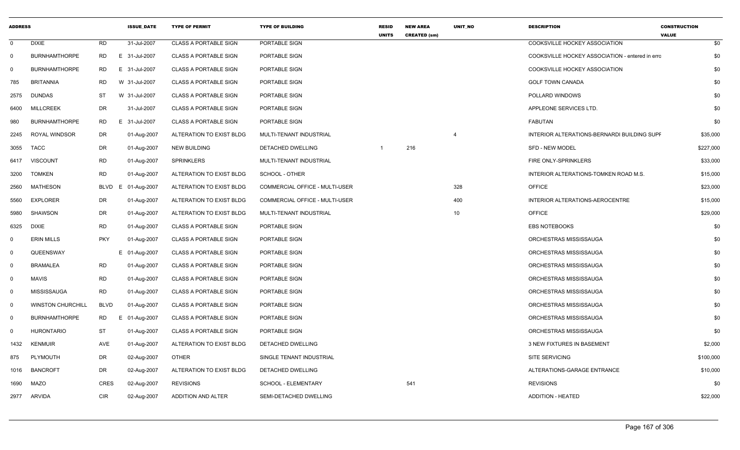| <b>ADDRESS</b>          |                          |             | <b>ISSUE DATE</b> | <b>TYPE OF PERMIT</b>        | <b>TYPE OF BUILDING</b>        | <b>RESID</b><br><b>UNITS</b> | <b>NEW AREA</b><br><b>CREATED (sm)</b> | <b>UNIT NO</b> | <b>DESCRIPTION</b>                              | <b>CONSTRUCTION</b><br><b>VALUE</b> |
|-------------------------|--------------------------|-------------|-------------------|------------------------------|--------------------------------|------------------------------|----------------------------------------|----------------|-------------------------------------------------|-------------------------------------|
| $\mathbf 0$             | <b>DIXIE</b>             | <b>RD</b>   | 31-Jul-2007       | <b>CLASS A PORTABLE SIGN</b> | PORTABLE SIGN                  |                              |                                        |                | <b>COOKSVILLE HOCKEY ASSOCIATION</b>            | \$0                                 |
| $\mathbf 0$             | <b>BURNHAMTHORPE</b>     | RD.         | E 31-Jul-2007     | <b>CLASS A PORTABLE SIGN</b> | PORTABLE SIGN                  |                              |                                        |                | COOKSVILLE HOCKEY ASSOCIATION - entered in erro | \$0                                 |
| $\Omega$                | <b>BURNHAMTHORPE</b>     | RD          | E 31-Jul-2007     | <b>CLASS A PORTABLE SIGN</b> | PORTABLE SIGN                  |                              |                                        |                | COOKSVILLE HOCKEY ASSOCIATION                   | \$0                                 |
| 785                     | <b>BRITANNIA</b>         | <b>RD</b>   | W 31-Jul-2007     | <b>CLASS A PORTABLE SIGN</b> | PORTABLE SIGN                  |                              |                                        |                | <b>GOLF TOWN CANADA</b>                         | \$0                                 |
| 2575                    | <b>DUNDAS</b>            | <b>ST</b>   | W 31-Jul-2007     | <b>CLASS A PORTABLE SIGN</b> | PORTABLE SIGN                  |                              |                                        |                | POLLARD WINDOWS                                 | \$0                                 |
| 6400                    | <b>MILLCREEK</b>         | DR          | 31-Jul-2007       | <b>CLASS A PORTABLE SIGN</b> | PORTABLE SIGN                  |                              |                                        |                | APPLEONE SERVICES LTD.                          | \$0                                 |
| 980                     | <b>BURNHAMTHORPE</b>     | <b>RD</b>   | E 31-Jul-2007     | <b>CLASS A PORTABLE SIGN</b> | PORTABLE SIGN                  |                              |                                        |                | <b>FABUTAN</b>                                  | \$0                                 |
| 2245                    | ROYAL WINDSOR            | DR          | 01-Aug-2007       | ALTERATION TO EXIST BLDG     | MULTI-TENANT INDUSTRIAL        |                              |                                        | $\overline{4}$ | INTERIOR ALTERATIONS-BERNARDI BUILDING SUPF     | \$35,000                            |
| 3055                    | <b>TACC</b>              | <b>DR</b>   | 01-Aug-2007       | <b>NEW BUILDING</b>          | DETACHED DWELLING              | -1                           | 216                                    |                | SFD - NEW MODEL                                 | \$227,000                           |
| 6417                    | <b>VISCOUNT</b>          | <b>RD</b>   | 01-Aug-2007       | <b>SPRINKLERS</b>            | MULTI-TENANT INDUSTRIAL        |                              |                                        |                | <b>FIRE ONLY-SPRINKLERS</b>                     | \$33,000                            |
| 3200                    | <b>TOMKEN</b>            | <b>RD</b>   | 01-Aug-2007       | ALTERATION TO EXIST BLDG     | SCHOOL - OTHER                 |                              |                                        |                | INTERIOR ALTERATIONS-TOMKEN ROAD M.S.           | \$15,000                            |
| 2560                    | <b>MATHESON</b>          | <b>BLVD</b> | E 01-Aug-2007     | ALTERATION TO EXIST BLDG     | COMMERCIAL OFFICE - MULTI-USER |                              |                                        | 328            | <b>OFFICE</b>                                   | \$23,000                            |
| 5560                    | <b>EXPLORER</b>          | DR          | 01-Aug-2007       | ALTERATION TO EXIST BLDG     | COMMERCIAL OFFICE - MULTI-USER |                              |                                        | 400            | INTERIOR ALTERATIONS-AEROCENTRE                 | \$15,000                            |
| 5980                    | <b>SHAWSON</b>           | DR          | 01-Aug-2007       | ALTERATION TO EXIST BLDG     | MULTI-TENANT INDUSTRIAL        |                              |                                        | 10             | <b>OFFICE</b>                                   | \$29,000                            |
| 6325                    | <b>DIXIE</b>             | <b>RD</b>   | 01-Aug-2007       | <b>CLASS A PORTABLE SIGN</b> | PORTABLE SIGN                  |                              |                                        |                | <b>EBS NOTEBOOKS</b>                            | \$0                                 |
| $\mathbf 0$             | <b>ERIN MILLS</b>        | <b>PKY</b>  | 01-Aug-2007       | <b>CLASS A PORTABLE SIGN</b> | PORTABLE SIGN                  |                              |                                        |                | ORCHESTRAS MISSISSAUGA                          | \$0                                 |
| $\mathbf 0$             | QUEENSWAY                |             | E 01-Aug-2007     | <b>CLASS A PORTABLE SIGN</b> | PORTABLE SIGN                  |                              |                                        |                | ORCHESTRAS MISSISSAUGA                          | \$0                                 |
| 0                       | <b>BRAMALEA</b>          | <b>RD</b>   | 01-Aug-2007       | <b>CLASS A PORTABLE SIGN</b> | PORTABLE SIGN                  |                              |                                        |                | ORCHESTRAS MISSISSAUGA                          | \$0                                 |
| $\mathbf 0$             | <b>MAVIS</b>             | <b>RD</b>   | 01-Aug-2007       | <b>CLASS A PORTABLE SIGN</b> | PORTABLE SIGN                  |                              |                                        |                | ORCHESTRAS MISSISSAUGA                          | \$0                                 |
| $\overline{0}$          | <b>MISSISSAUGA</b>       | <b>RD</b>   | 01-Aug-2007       | <b>CLASS A PORTABLE SIGN</b> | PORTABLE SIGN                  |                              |                                        |                | ORCHESTRAS MISSISSAUGA                          | \$0                                 |
| $\overline{0}$          | <b>WINSTON CHURCHILL</b> | <b>BLVD</b> | 01-Aug-2007       | <b>CLASS A PORTABLE SIGN</b> | PORTABLE SIGN                  |                              |                                        |                | ORCHESTRAS MISSISSAUGA                          | \$0                                 |
| $\overline{\mathbf{0}}$ | <b>BURNHAMTHORPE</b>     | RD          | E 01-Aug-2007     | <b>CLASS A PORTABLE SIGN</b> | PORTABLE SIGN                  |                              |                                        |                | ORCHESTRAS MISSISSAUGA                          | \$0                                 |
| $\Omega$                | <b>HURONTARIO</b>        | <b>ST</b>   | 01-Aug-2007       | <b>CLASS A PORTABLE SIGN</b> | PORTABLE SIGN                  |                              |                                        |                | ORCHESTRAS MISSISSAUGA                          | \$0                                 |
| 1432                    | <b>KENMUIR</b>           | <b>AVE</b>  | 01-Aug-2007       | ALTERATION TO EXIST BLDG     | DETACHED DWELLING              |                              |                                        |                | <b>3 NEW FIXTURES IN BASEMENT</b>               | \$2,000                             |
| 875                     | PLYMOUTH                 | DR          | 02-Aug-2007       | <b>OTHER</b>                 | SINGLE TENANT INDUSTRIAL       |                              |                                        |                | <b>SITE SERVICING</b>                           | \$100,000                           |
| 1016                    | <b>BANCROFT</b>          | DR          | 02-Aug-2007       | ALTERATION TO EXIST BLDG     | DETACHED DWELLING              |                              |                                        |                | ALTERATIONS-GARAGE ENTRANCE                     | \$10,000                            |
| 1690                    | <b>MAZO</b>              | <b>CRES</b> | 02-Aug-2007       | <b>REVISIONS</b>             | SCHOOL - ELEMENTARY            |                              | 541                                    |                | <b>REVISIONS</b>                                | \$0                                 |
| 2977                    | ARVIDA                   | <b>CIR</b>  | 02-Aug-2007       | <b>ADDITION AND ALTER</b>    | SEMI-DETACHED DWELLING         |                              |                                        |                | <b>ADDITION - HEATED</b>                        | \$22,000                            |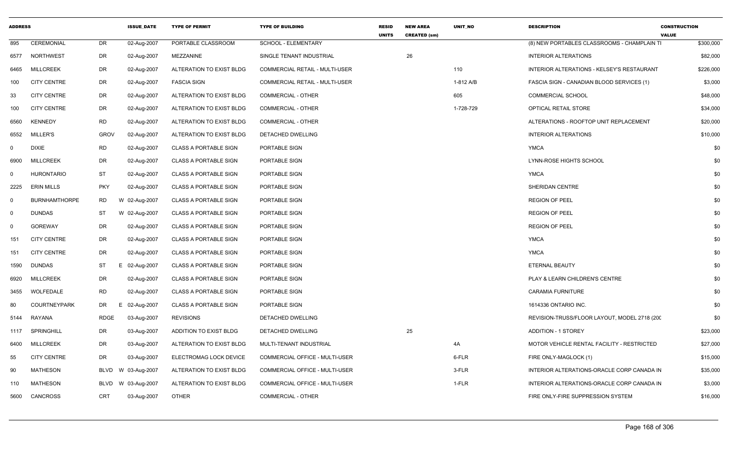| <b>ADDRESS</b> |                      |             | <b>ISSUE DATE</b> | <b>TYPE OF PERMIT</b>        | <b>TYPE OF BUILDING</b>        | <b>RESID</b><br><b>UNITS</b> | <b>NEW AREA</b><br><b>CREATED (sm)</b> | <b>UNIT NO</b> | <b>DESCRIPTION</b>                            | <b>CONSTRUCTION</b><br><b>VALUE</b> |
|----------------|----------------------|-------------|-------------------|------------------------------|--------------------------------|------------------------------|----------------------------------------|----------------|-----------------------------------------------|-------------------------------------|
| 895            | CEREMONIAL           | DR          | 02-Aug-2007       | PORTABLE CLASSROOM           | <b>SCHOOL - ELEMENTARY</b>     |                              |                                        |                | (8) NEW PORTABLES CLASSROOMS - CHAMPLAIN TI   | \$300,000                           |
| 6577           | <b>NORTHWEST</b>     | DR          | 02-Aug-2007       | MEZZANINE                    | SINGLE TENANT INDUSTRIAL       |                              | 26                                     |                | <b>INTERIOR ALTERATIONS</b>                   | \$82,000                            |
| 6465           | <b>MILLCREEK</b>     | DR          | 02-Aug-2007       | ALTERATION TO EXIST BLDG     | COMMERCIAL RETAIL - MULTI-USER |                              |                                        | 110            | INTERIOR ALTERATIONS - KELSEY'S RESTAURANT    | \$226,000                           |
| 100            | <b>CITY CENTRE</b>   | DR          | 02-Aug-2007       | <b>FASCIA SIGN</b>           | COMMERCIAL RETAIL - MULTI-USER |                              |                                        | 1-812 A/B      | FASCIA SIGN - CANADIAN BLOOD SERVICES (1)     | \$3,000                             |
| 33             | <b>CITY CENTRE</b>   | DR          | 02-Aug-2007       | ALTERATION TO EXIST BLDG     | COMMERCIAL - OTHER             |                              |                                        | 605            | <b>COMMERCIAL SCHOOL</b>                      | \$48,000                            |
| 100            | <b>CITY CENTRE</b>   | DR          | 02-Aug-2007       | ALTERATION TO EXIST BLDG     | COMMERCIAL - OTHER             |                              |                                        | 1-728-729      | OPTICAL RETAIL STORE                          | \$34,000                            |
| 6560           | <b>KENNEDY</b>       | RD          | 02-Aug-2007       | ALTERATION TO EXIST BLDG     | <b>COMMERCIAL - OTHER</b>      |                              |                                        |                | ALTERATIONS - ROOFTOP UNIT REPLACEMENT        | \$20,000                            |
| 6552           | MILLER'S             | <b>GROV</b> | 02-Aug-2007       | ALTERATION TO EXIST BLDG     | <b>DETACHED DWELLING</b>       |                              |                                        |                | <b>INTERIOR ALTERATIONS</b>                   | \$10,000                            |
| $\mathbf 0$    | <b>DIXIE</b>         | <b>RD</b>   | 02-Aug-2007       | <b>CLASS A PORTABLE SIGN</b> | PORTABLE SIGN                  |                              |                                        |                | <b>YMCA</b>                                   | \$0                                 |
| 6900           | <b>MILLCREEK</b>     | DR          | 02-Aug-2007       | <b>CLASS A PORTABLE SIGN</b> | PORTABLE SIGN                  |                              |                                        |                | LYNN-ROSE HIGHTS SCHOOL                       | \$0                                 |
| $\Omega$       | <b>HURONTARIO</b>    | <b>ST</b>   | 02-Aug-2007       | <b>CLASS A PORTABLE SIGN</b> | PORTABLE SIGN                  |                              |                                        |                | <b>YMCA</b>                                   | \$0                                 |
| 2225           | <b>ERIN MILLS</b>    | <b>PKY</b>  | 02-Aug-2007       | <b>CLASS A PORTABLE SIGN</b> | PORTABLE SIGN                  |                              |                                        |                | <b>SHERIDAN CENTRE</b>                        | \$0                                 |
| 0              | <b>BURNHAMTHORPE</b> | RD          | W 02-Aug-2007     | <b>CLASS A PORTABLE SIGN</b> | PORTABLE SIGN                  |                              |                                        |                | <b>REGION OF PEEL</b>                         | \$0                                 |
| 0              | <b>DUNDAS</b>        | ST          | W 02-Aug-2007     | <b>CLASS A PORTABLE SIGN</b> | PORTABLE SIGN                  |                              |                                        |                | <b>REGION OF PEEL</b>                         | \$0                                 |
| 0              | <b>GOREWAY</b>       | DR          | 02-Aug-2007       | <b>CLASS A PORTABLE SIGN</b> | PORTABLE SIGN                  |                              |                                        |                | <b>REGION OF PEEL</b>                         | \$0                                 |
| 151            | <b>CITY CENTRE</b>   | DR          | 02-Aug-2007       | <b>CLASS A PORTABLE SIGN</b> | PORTABLE SIGN                  |                              |                                        |                | <b>YMCA</b>                                   | \$0                                 |
| 151            | <b>CITY CENTRE</b>   | DR          | 02-Aug-2007       | <b>CLASS A PORTABLE SIGN</b> | PORTABLE SIGN                  |                              |                                        |                | YMCA                                          | \$0                                 |
| 1590           | DUNDAS               | ST          | Е.<br>02-Aug-2007 | <b>CLASS A PORTABLE SIGN</b> | PORTABLE SIGN                  |                              |                                        |                | ETERNAL BEAUTY                                | \$0                                 |
| 6920           | <b>MILLCREEK</b>     | DR          | 02-Aug-2007       | <b>CLASS A PORTABLE SIGN</b> | PORTABLE SIGN                  |                              |                                        |                | PLAY & LEARN CHILDREN'S CENTRE                | \$0                                 |
| 3455           | WOLFEDALE            | RD          | 02-Aug-2007       | <b>CLASS A PORTABLE SIGN</b> | PORTABLE SIGN                  |                              |                                        |                | <b>CARAMIA FURNITURE</b>                      | \$0                                 |
| 80             | <b>COURTNEYPARK</b>  | DR          | E.<br>02-Aug-2007 | <b>CLASS A PORTABLE SIGN</b> | PORTABLE SIGN                  |                              |                                        |                | 1614336 ONTARIO INC.                          | \$0                                 |
| 5144           | RAYANA               | <b>RDGE</b> | 03-Aug-2007       | <b>REVISIONS</b>             | DETACHED DWELLING              |                              |                                        |                | REVISION-TRUSS/FLOOR LAYOUT, MODEL 2718 (200) | \$0                                 |
| 1117           | <b>SPRINGHILL</b>    | DR          | 03-Aug-2007       | ADDITION TO EXIST BLDG       | DETACHED DWELLING              |                              | 25                                     |                | <b>ADDITION - 1 STOREY</b>                    | \$23,000                            |
| 6400           | <b>MILLCREEK</b>     | DR          | 03-Aug-2007       | ALTERATION TO EXIST BLDG     | MULTI-TENANT INDUSTRIAL        |                              |                                        | 4A             | MOTOR VEHICLE RENTAL FACILITY - RESTRICTED    | \$27,000                            |
| 55             | <b>CITY CENTRE</b>   | DR          | 03-Aug-2007       | ELECTROMAG LOCK DEVICE       | COMMERCIAL OFFICE - MULTI-USER |                              |                                        | 6-FLR          | FIRE ONLY-MAGLOCK (1)                         | \$15,000                            |
| 90             | <b>MATHESON</b>      | <b>BLVD</b> | W 03-Aug-2007     | ALTERATION TO EXIST BLDG     | COMMERCIAL OFFICE - MULTI-USER |                              |                                        | 3-FLR          | INTERIOR ALTERATIONS-ORACLE CORP CANADA IN    | \$35,000                            |
| 110            | <b>MATHESON</b>      | <b>BLVD</b> | W 03-Aug-2007     | ALTERATION TO EXIST BLDG     | COMMERCIAL OFFICE - MULTI-USER |                              |                                        | 1-FLR          | INTERIOR ALTERATIONS-ORACLE CORP CANADA IN    | \$3,000                             |
| 5600           | CANCROSS             | CRT         | 03-Aug-2007       | <b>OTHER</b>                 | <b>COMMERCIAL - OTHER</b>      |                              |                                        |                | FIRE ONLY-FIRE SUPPRESSION SYSTEM             | \$16,000                            |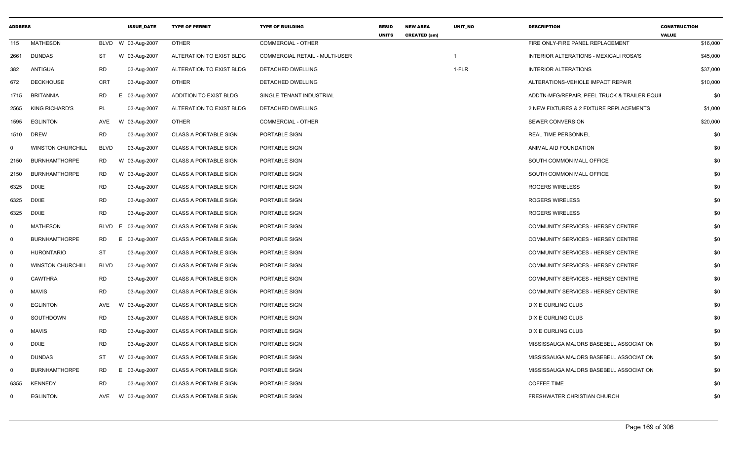| <b>ADDRESS</b> |                          |             | <b>ISSUE DATE</b> | <b>TYPE OF PERMIT</b>        | <b>TYPE OF BUILDING</b>        | <b>RESID</b><br><b>UNITS</b> | <b>NEW AREA</b><br><b>CREATED (sm)</b> | <b>UNIT NO</b> | <b>DESCRIPTION</b>                           | <b>CONSTRUCTION</b><br><b>VALUE</b> |
|----------------|--------------------------|-------------|-------------------|------------------------------|--------------------------------|------------------------------|----------------------------------------|----------------|----------------------------------------------|-------------------------------------|
| 115            | <b>MATHESON</b>          | BLVD        | W 03-Aug-2007     | <b>OTHER</b>                 | <b>COMMERCIAL - OTHER</b>      |                              |                                        |                | FIRE ONLY-FIRE PANEL REPLACEMENT             | \$16,000                            |
| 2661           | <b>DUNDAS</b>            | ST          | W 03-Aug-2007     | ALTERATION TO EXIST BLDG     | COMMERCIAL RETAIL - MULTI-USER |                              |                                        |                | INTERIOR ALTERATIONS - MEXICALI ROSA'S       | \$45,000                            |
| 382            | ANTIGUA                  | <b>RD</b>   | 03-Aug-2007       | ALTERATION TO EXIST BLDG     | DETACHED DWELLING              |                              |                                        | 1-FLR          | <b>INTERIOR ALTERATIONS</b>                  | \$37,000                            |
| 672            | <b>DECKHOUSE</b>         | <b>CRT</b>  | 03-Aug-2007       | <b>OTHER</b>                 | DETACHED DWELLING              |                              |                                        |                | ALTERATIONS-VEHICLE IMPACT REPAIR            | \$10,000                            |
| 1715           | BRITANNIA                | RD          | E 03-Aug-2007     | ADDITION TO EXIST BLDG       | SINGLE TENANT INDUSTRIAL       |                              |                                        |                | ADDTN-MFG/REPAIR, PEEL TRUCK & TRAILER EQUII | \$0                                 |
| 2565           | <b>KING RICHARD'S</b>    | <b>PL</b>   | 03-Aug-2007       | ALTERATION TO EXIST BLDG     | DETACHED DWELLING              |                              |                                        |                | 2 NEW FIXTURES & 2 FIXTURE REPLACEMENTS      | \$1,000                             |
| 1595           | <b>EGLINTON</b>          | AVE         | W 03-Aug-2007     | <b>OTHER</b>                 | <b>COMMERCIAL - OTHER</b>      |                              |                                        |                | SEWER CONVERSION                             | \$20,000                            |
| 1510           | <b>DREW</b>              | <b>RD</b>   | 03-Aug-2007       | <b>CLASS A PORTABLE SIGN</b> | PORTABLE SIGN                  |                              |                                        |                | <b>REAL TIME PERSONNEL</b>                   | \$0                                 |
| 0              | <b>WINSTON CHURCHILL</b> | <b>BLVD</b> | 03-Aug-2007       | <b>CLASS A PORTABLE SIGN</b> | PORTABLE SIGN                  |                              |                                        |                | ANIMAL AID FOUNDATION                        | \$0                                 |
| 2150           | <b>BURNHAMTHORPE</b>     | RD          | W 03-Aug-2007     | <b>CLASS A PORTABLE SIGN</b> | PORTABLE SIGN                  |                              |                                        |                | SOUTH COMMON MALL OFFICE                     | \$0                                 |
| 2150           | <b>BURNHAMTHORPE</b>     | <b>RD</b>   | W 03-Aug-2007     | <b>CLASS A PORTABLE SIGN</b> | PORTABLE SIGN                  |                              |                                        |                | SOUTH COMMON MALL OFFICE                     | \$0                                 |
| 6325           | <b>DIXIE</b>             | <b>RD</b>   | 03-Aug-2007       | <b>CLASS A PORTABLE SIGN</b> | PORTABLE SIGN                  |                              |                                        |                | ROGERS WIRELESS                              | \$0                                 |
| 6325           | DIXIE                    | <b>RD</b>   | 03-Aug-2007       | <b>CLASS A PORTABLE SIGN</b> | PORTABLE SIGN                  |                              |                                        |                | <b>ROGERS WIRELESS</b>                       | \$0                                 |
| 6325           | <b>DIXIE</b>             | <b>RD</b>   | 03-Aug-2007       | <b>CLASS A PORTABLE SIGN</b> | PORTABLE SIGN                  |                              |                                        |                | <b>ROGERS WIRELESS</b>                       | \$0                                 |
| $\mathbf 0$    | <b>MATHESON</b>          | BLVD        | E 03-Aug-2007     | <b>CLASS A PORTABLE SIGN</b> | PORTABLE SIGN                  |                              |                                        |                | COMMUNITY SERVICES - HERSEY CENTRE           | \$0                                 |
| $\mathbf 0$    | <b>BURNHAMTHORPE</b>     | <b>RD</b>   | E 03-Aug-2007     | <b>CLASS A PORTABLE SIGN</b> | PORTABLE SIGN                  |                              |                                        |                | COMMUNITY SERVICES - HERSEY CENTRE           | \$0                                 |
| $\mathbf 0$    | <b>HURONTARIO</b>        | ST          | 03-Aug-2007       | <b>CLASS A PORTABLE SIGN</b> | PORTABLE SIGN                  |                              |                                        |                | COMMUNITY SERVICES - HERSEY CENTRE           | \$0                                 |
| $\mathbf 0$    | <b>WINSTON CHURCHILL</b> | <b>BLVD</b> | 03-Aug-2007       | <b>CLASS A PORTABLE SIGN</b> | PORTABLE SIGN                  |                              |                                        |                | COMMUNITY SERVICES - HERSEY CENTRE           | \$0                                 |
| $\mathbf 0$    | <b>CAWTHRA</b>           | <b>RD</b>   | 03-Aug-2007       | <b>CLASS A PORTABLE SIGN</b> | PORTABLE SIGN                  |                              |                                        |                | COMMUNITY SERVICES - HERSEY CENTRE           | \$0                                 |
| $\mathbf 0$    | <b>MAVIS</b>             | <b>RD</b>   | 03-Aug-2007       | <b>CLASS A PORTABLE SIGN</b> | PORTABLE SIGN                  |                              |                                        |                | COMMUNITY SERVICES - HERSEY CENTRE           | \$0                                 |
| 0              | <b>EGLINTON</b>          | AVE         | 03-Aug-2007<br>W  | <b>CLASS A PORTABLE SIGN</b> | PORTABLE SIGN                  |                              |                                        |                | <b>DIXIE CURLING CLUB</b>                    | \$0                                 |
| 0              | SOUTHDOWN                | <b>RD</b>   | 03-Aug-2007       | <b>CLASS A PORTABLE SIGN</b> | PORTABLE SIGN                  |                              |                                        |                | DIXIE CURLING CLUB                           | \$0                                 |
| $\mathbf 0$    | <b>MAVIS</b>             | <b>RD</b>   | 03-Aug-2007       | <b>CLASS A PORTABLE SIGN</b> | PORTABLE SIGN                  |                              |                                        |                | DIXIE CURLING CLUB                           | \$0                                 |
| $\mathbf 0$    | <b>DIXIE</b>             | <b>RD</b>   | 03-Aug-2007       | <b>CLASS A PORTABLE SIGN</b> | PORTABLE SIGN                  |                              |                                        |                | MISSISSAUGA MAJORS BASEBELL ASSOCIATION      | \$0                                 |
| 0              | <b>DUNDAS</b>            | ST          | W 03-Aug-2007     | <b>CLASS A PORTABLE SIGN</b> | PORTABLE SIGN                  |                              |                                        |                | MISSISSAUGA MAJORS BASEBELL ASSOCIATION      | \$0                                 |
| $\Omega$       | <b>BURNHAMTHORPE</b>     | <b>RD</b>   | E 03-Aug-2007     | <b>CLASS A PORTABLE SIGN</b> | PORTABLE SIGN                  |                              |                                        |                | MISSISSAUGA MAJORS BASEBELL ASSOCIATION      | \$0                                 |
| 6355           | <b>KENNEDY</b>           | <b>RD</b>   | 03-Aug-2007       | <b>CLASS A PORTABLE SIGN</b> | PORTABLE SIGN                  |                              |                                        |                | <b>COFFEE TIME</b>                           | \$0                                 |
| $\Omega$       | <b>EGLINTON</b>          | AVE         | W 03-Aug-2007     | <b>CLASS A PORTABLE SIGN</b> | PORTABLE SIGN                  |                              |                                        |                | FRESHWATER CHRISTIAN CHURCH                  | \$0                                 |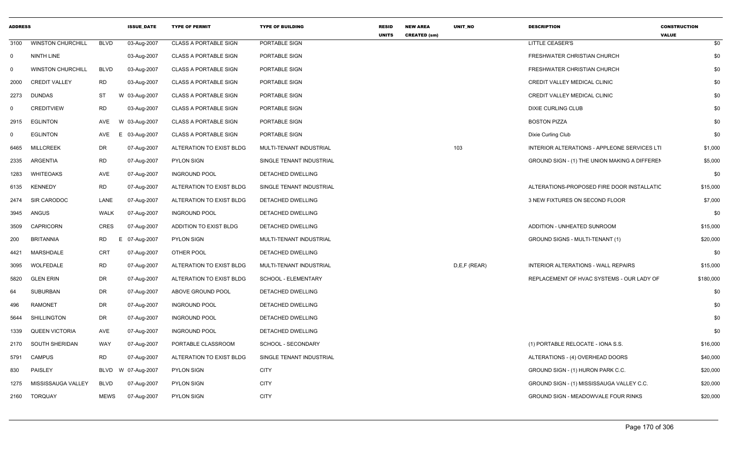| <b>ADDRESS</b> |                          |             | <b>ISSUE DATE</b> | <b>TYPE OF PERMIT</b>        | <b>TYPE OF BUILDING</b>  | <b>RESID</b><br><b>UNITS</b> | <b>NEW AREA</b><br><b>CREATED (sm)</b> | <b>UNIT NO</b> | <b>DESCRIPTION</b>                            | <b>CONSTRUCTION</b><br><b>VALUE</b> |
|----------------|--------------------------|-------------|-------------------|------------------------------|--------------------------|------------------------------|----------------------------------------|----------------|-----------------------------------------------|-------------------------------------|
| 3100           | <b>WINSTON CHURCHILL</b> | <b>BLVD</b> | 03-Aug-2007       | <b>CLASS A PORTABLE SIGN</b> | PORTABLE SIGN            |                              |                                        |                | <b>LITTLE CEASER'S</b>                        | \$0                                 |
| $\mathbf{0}$   | NINTH LINE               |             | 03-Aug-2007       | <b>CLASS A PORTABLE SIGN</b> | PORTABLE SIGN            |                              |                                        |                | FRESHWATER CHRISTIAN CHURCH                   | \$0                                 |
| 0              | <b>WINSTON CHURCHILL</b> | <b>BLVD</b> | 03-Aug-2007       | <b>CLASS A PORTABLE SIGN</b> | PORTABLE SIGN            |                              |                                        |                | FRESHWATER CHRISTIAN CHURCH                   | \$0                                 |
| 2000           | <b>CREDIT VALLEY</b>     | <b>RD</b>   | 03-Aug-2007       | <b>CLASS A PORTABLE SIGN</b> | PORTABLE SIGN            |                              |                                        |                | CREDIT VALLEY MEDICAL CLINIC                  | \$0                                 |
| 2273           | <b>DUNDAS</b>            | <b>ST</b>   | W 03-Aug-2007     | <b>CLASS A PORTABLE SIGN</b> | PORTABLE SIGN            |                              |                                        |                | CREDIT VALLEY MEDICAL CLINIC                  | \$0                                 |
| 0              | <b>CREDITVIEW</b>        | <b>RD</b>   | 03-Aug-2007       | <b>CLASS A PORTABLE SIGN</b> | PORTABLE SIGN            |                              |                                        |                | <b>DIXIE CURLING CLUB</b>                     | \$0                                 |
| 2915           | <b>EGLINTON</b>          | <b>AVE</b>  | W 03-Aug-2007     | <b>CLASS A PORTABLE SIGN</b> | PORTABLE SIGN            |                              |                                        |                | <b>BOSTON PIZZA</b>                           | \$0                                 |
| $\mathbf 0$    | <b>EGLINTON</b>          | AVE         | E.<br>03-Aug-2007 | <b>CLASS A PORTABLE SIGN</b> | PORTABLE SIGN            |                              |                                        |                | Dixie Curling Club                            | \$0                                 |
| 6465           | <b>MILLCREEK</b>         | DR          | 07-Aug-2007       | ALTERATION TO EXIST BLDG     | MULTI-TENANT INDUSTRIAL  |                              |                                        | 103            | INTERIOR ALTERATIONS - APPLEONE SERVICES LTI  | \$1,000                             |
| 2335           | <b>ARGENTIA</b>          | <b>RD</b>   | 07-Aug-2007       | <b>PYLON SIGN</b>            | SINGLE TENANT INDUSTRIAL |                              |                                        |                | GROUND SIGN - (1) THE UNION MAKING A DIFFEREN | \$5,000                             |
| 1283           | <b>WHITEOAKS</b>         | AVE         | 07-Aug-2007       | <b>INGROUND POOL</b>         | DETACHED DWELLING        |                              |                                        |                |                                               | \$0                                 |
| 6135           | <b>KENNEDY</b>           | <b>RD</b>   | 07-Aug-2007       | ALTERATION TO EXIST BLDG     | SINGLE TENANT INDUSTRIAL |                              |                                        |                | ALTERATIONS-PROPOSED FIRE DOOR INSTALLATIC    | \$15,000                            |
| 2474           | SIR CARODOC              | LANE        | 07-Aug-2007       | ALTERATION TO EXIST BLDG     | DETACHED DWELLING        |                              |                                        |                | 3 NEW FIXTURES ON SECOND FLOOR                | \$7,000                             |
| 3945           | ANGUS                    | <b>WALK</b> | 07-Aug-2007       | <b>INGROUND POOL</b>         | DETACHED DWELLING        |                              |                                        |                |                                               | \$0                                 |
| 3509           | <b>CAPRICORN</b>         | <b>CRES</b> | 07-Aug-2007       | ADDITION TO EXIST BLDG       | DETACHED DWELLING        |                              |                                        |                | ADDITION - UNHEATED SUNROOM                   | \$15,000                            |
| 200            | <b>BRITANNIA</b>         | <b>RD</b>   | E<br>07-Aug-2007  | <b>PYLON SIGN</b>            | MULTI-TENANT INDUSTRIAL  |                              |                                        |                | GROUND SIGNS - MULTI-TENANT (1)               | \$20,000                            |
| 4421           | <b>MARSHDALE</b>         | <b>CRT</b>  | 07-Aug-2007       | OTHER POOL                   | DETACHED DWELLING        |                              |                                        |                |                                               | \$0                                 |
| 3095           | WOLFEDALE                | <b>RD</b>   | 07-Aug-2007       | ALTERATION TO EXIST BLDG     | MULTI-TENANT INDUSTRIAL  |                              |                                        | D,E,F (REAR)   | INTERIOR ALTERATIONS - WALL REPAIRS           | \$15,000                            |
| 5820           | <b>GLEN ERIN</b>         | DR          | 07-Aug-2007       | ALTERATION TO EXIST BLDG     | SCHOOL - ELEMENTARY      |                              |                                        |                | REPLACEMENT OF HVAC SYSTEMS - OUR LADY OF     | \$180,000                           |
| 64             | <b>SUBURBAN</b>          | <b>DR</b>   | 07-Aug-2007       | ABOVE GROUND POOL            | DETACHED DWELLING        |                              |                                        |                |                                               | \$0                                 |
| 496            | <b>RAMONET</b>           | <b>DR</b>   | 07-Aug-2007       | <b>INGROUND POOL</b>         | DETACHED DWELLING        |                              |                                        |                |                                               | \$0                                 |
| 5644           | <b>SHILLINGTON</b>       | DR          | 07-Aug-2007       | <b>INGROUND POOL</b>         | DETACHED DWELLING        |                              |                                        |                |                                               | \$0                                 |
| 1339           | <b>QUEEN VICTORIA</b>    | AVE         | 07-Aug-2007       | <b>INGROUND POOL</b>         | DETACHED DWELLING        |                              |                                        |                |                                               | \$0                                 |
| 2170           | <b>SOUTH SHERIDAN</b>    | WAY         | 07-Aug-2007       | PORTABLE CLASSROOM           | SCHOOL - SECONDARY       |                              |                                        |                | (1) PORTABLE RELOCATE - IONA S.S.             | \$16,000                            |
| 5791           | <b>CAMPUS</b>            | <b>RD</b>   | 07-Aug-2007       | ALTERATION TO EXIST BLDG     | SINGLE TENANT INDUSTRIAL |                              |                                        |                | ALTERATIONS - (4) OVERHEAD DOORS              | \$40,000                            |
| 830            | <b>PAISLEY</b>           | <b>BLVD</b> | W 07-Aug-2007     | <b>PYLON SIGN</b>            | <b>CITY</b>              |                              |                                        |                | GROUND SIGN - (1) HURON PARK C.C.             | \$20,000                            |
| 1275           | MISSISSAUGA VALLEY       | <b>BLVD</b> | 07-Aug-2007       | <b>PYLON SIGN</b>            | <b>CITY</b>              |                              |                                        |                | GROUND SIGN - (1) MISSISSAUGA VALLEY C.C.     | \$20,000                            |
| 2160           | <b>TORQUAY</b>           | <b>MEWS</b> | 07-Aug-2007       | <b>PYLON SIGN</b>            | <b>CITY</b>              |                              |                                        |                | GROUND SIGN - MEADOWVALE FOUR RINKS           | \$20,000                            |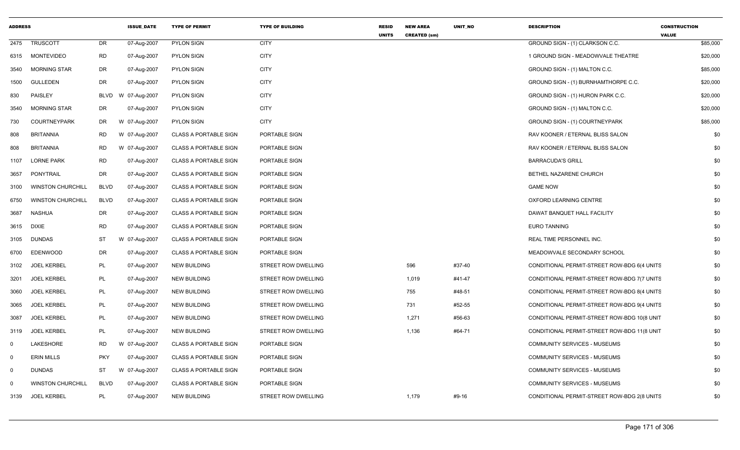| <b>ADDRESS</b> |                          |             | <b>ISSUE_DATE</b> | <b>TYPE OF PERMIT</b>        | <b>TYPE OF BUILDING</b> | <b>RESID</b><br><b>UNITS</b> | <b>NEW AREA</b><br><b>CREATED (sm)</b> | UNIT_NO | <b>DESCRIPTION</b>                          | <b>CONSTRUCTION</b><br><b>VALUE</b> |          |
|----------------|--------------------------|-------------|-------------------|------------------------------|-------------------------|------------------------------|----------------------------------------|---------|---------------------------------------------|-------------------------------------|----------|
|                | 2475 TRUSCOTT            | DR          | 07-Aug-2007       | PYLON SIGN                   | <b>CITY</b>             |                              |                                        |         | GROUND SIGN - (1) CLARKSON C.C.             |                                     | \$85,000 |
|                | 6315 MONTEVIDEO          | <b>RD</b>   | 07-Aug-2007       | PYLON SIGN                   | <b>CITY</b>             |                              |                                        |         | 1 GROUND SIGN - MEADOWVALE THEATRE          |                                     | \$20,000 |
| 3540           | <b>MORNING STAR</b>      | DR          | 07-Aug-2007       | PYLON SIGN                   | <b>CITY</b>             |                              |                                        |         | GROUND SIGN - (1) MALTON C.C.               |                                     | \$85,000 |
|                | 1500 GULLEDEN            | DR          | 07-Aug-2007       | <b>PYLON SIGN</b>            | <b>CITY</b>             |                              |                                        |         | GROUND SIGN - (1) BURNHAMTHORPE C.C.        |                                     | \$20,000 |
| 830            | PAISLEY                  | BLVD        | 07-Aug-2007<br>W  | PYLON SIGN                   | <b>CITY</b>             |                              |                                        |         | GROUND SIGN - (1) HURON PARK C.C.           |                                     | \$20,000 |
| 3540           | <b>MORNING STAR</b>      | DR          | 07-Aug-2007       | <b>PYLON SIGN</b>            | <b>CITY</b>             |                              |                                        |         | GROUND SIGN - (1) MALTON C.C.               |                                     | \$20,000 |
| 730            | COURTNEYPARK             | DR          | W 07-Aug-2007     | PYLON SIGN                   | <b>CITY</b>             |                              |                                        |         | GROUND SIGN - (1) COURTNEYPARK              |                                     | \$85,000 |
| 808            | <b>BRITANNIA</b>         | <b>RD</b>   | W 07-Aug-2007     | <b>CLASS A PORTABLE SIGN</b> | PORTABLE SIGN           |                              |                                        |         | RAV KOONER / ETERNAL BLISS SALON            |                                     | \$0      |
| 808            | <b>BRITANNIA</b>         | RD          | W 07-Aug-2007     | <b>CLASS A PORTABLE SIGN</b> | PORTABLE SIGN           |                              |                                        |         | RAV KOONER / ETERNAL BLISS SALON            |                                     | \$0      |
| 1107           | LORNE PARK               | <b>RD</b>   | 07-Aug-2007       | <b>CLASS A PORTABLE SIGN</b> | PORTABLE SIGN           |                              |                                        |         | <b>BARRACUDA'S GRILL</b>                    |                                     | \$0      |
| 3657           | PONYTRAIL                | DR          | 07-Aug-2007       | <b>CLASS A PORTABLE SIGN</b> | PORTABLE SIGN           |                              |                                        |         | BETHEL NAZARENE CHURCH                      |                                     | \$0      |
| 3100           | <b>WINSTON CHURCHILL</b> | BLVD        | 07-Aug-2007       | <b>CLASS A PORTABLE SIGN</b> | PORTABLE SIGN           |                              |                                        |         | <b>GAME NOW</b>                             |                                     | \$0      |
|                | 6750 WINSTON CHURCHILL   | <b>BLVD</b> | 07-Aug-2007       | <b>CLASS A PORTABLE SIGN</b> | PORTABLE SIGN           |                              |                                        |         | OXFORD LEARNING CENTRE                      |                                     | \$0      |
| 3687           | NASHUA                   | DR          | 07-Aug-2007       | <b>CLASS A PORTABLE SIGN</b> | PORTABLE SIGN           |                              |                                        |         | DAWAT BANQUET HALL FACILITY                 |                                     | \$0      |
| 3615 DIXIE     |                          | <b>RD</b>   | 07-Aug-2007       | <b>CLASS A PORTABLE SIGN</b> | PORTABLE SIGN           |                              |                                        |         | <b>EURO TANNING</b>                         |                                     | \$0      |
|                | 3105 DUNDAS              | ST          | W 07-Aug-2007     | <b>CLASS A PORTABLE SIGN</b> | PORTABLE SIGN           |                              |                                        |         | REAL TIME PERSONNEL INC.                    |                                     | \$0      |
| 6700           | EDENWOOD                 | DR          | 07-Aug-2007       | <b>CLASS A PORTABLE SIGN</b> | PORTABLE SIGN           |                              |                                        |         | MEADOWVALE SECONDARY SCHOOL                 |                                     | \$0      |
|                | 3102 JOEL KERBEL         | PL          | 07-Aug-2007       | NEW BUILDING                 | STREET ROW DWELLING     |                              | 596                                    | #37-40  | CONDITIONAL PERMIT-STREET ROW-BDG 6(4 UNITS |                                     | \$0      |
| 3201           | <b>JOEL KERBEL</b>       | PL          | 07-Aug-2007       | NEW BUILDING                 | STREET ROW DWELLING     |                              | 1,019                                  | #41-47  | CONDITIONAL PERMIT-STREET ROW-BDG 7(7 UNITS |                                     | \$0      |
| 3060           | <b>JOEL KERBEL</b>       | PL          | 07-Aug-2007       | NEW BUILDING                 | STREET ROW DWELLING     |                              | 755                                    | #48-51  | CONDITIONAL PERMIT-STREET ROW-BDG 8(4 UNITS |                                     | \$0      |
| 3065           | KERBEL<br>JOEL           | PL          | 07-Aug-2007       | <b>NEW BUILDING</b>          | STREET ROW DWELLING     |                              | 731                                    | #52-55  | CONDITIONAL PERMIT-STREET ROW-BDG 9(4 UNITS |                                     | \$0      |
| 3087           | <b>JOEL KERBEL</b>       | PL          | 07-Aug-2007       | NEW BUILDING                 | STREET ROW DWELLING     |                              | 1,271                                  | #56-63  | CONDITIONAL PERMIT-STREET ROW-BDG 10(8 UNIT |                                     | \$0      |
| 3119           | <b>JOEL KERBEL</b>       | PL          | 07-Aug-2007       | NEW BUILDING                 | STREET ROW DWELLING     |                              | 1,136                                  | #64-71  | CONDITIONAL PERMIT-STREET ROW-BDG 11(8 UNIT |                                     | \$0      |
|                | LAKESHORE                | <b>RD</b>   | W<br>07-Aug-2007  | <b>CLASS A PORTABLE SIGN</b> | PORTABLE SIGN           |                              |                                        |         | COMMUNITY SERVICES - MUSEUMS                |                                     | \$0      |
|                | <b>ERIN MILLS</b>        | <b>PKY</b>  | 07-Aug-2007       | <b>CLASS A PORTABLE SIGN</b> | PORTABLE SIGN           |                              |                                        |         | <b>COMMUNITY SERVICES - MUSEUMS</b>         |                                     | \$0      |
| - 0            | <b>DUNDAS</b>            | ST          | W 07-Aug-2007     | CLASS A PORTABLE SIGN        | PORTABLE SIGN           |                              |                                        |         | <b>COMMUNITY SERVICES - MUSEUMS</b>         |                                     | \$0      |
| റ              | <b>WINSTON CHURCHILL</b> | <b>BLVD</b> | 07-Aug-2007       | <b>CLASS A PORTABLE SIGN</b> | PORTABLE SIGN           |                              |                                        |         | COMMUNITY SERVICES - MUSEUMS                |                                     | \$0      |
|                | 3139 JOEL KERBEL         | PL          | 07-Aug-2007       | <b>NEW BUILDING</b>          | STREET ROW DWELLING     |                              | 1,179                                  | #9-16   | CONDITIONAL PERMIT-STREET ROW-BDG 2(8 UNITS |                                     | \$0      |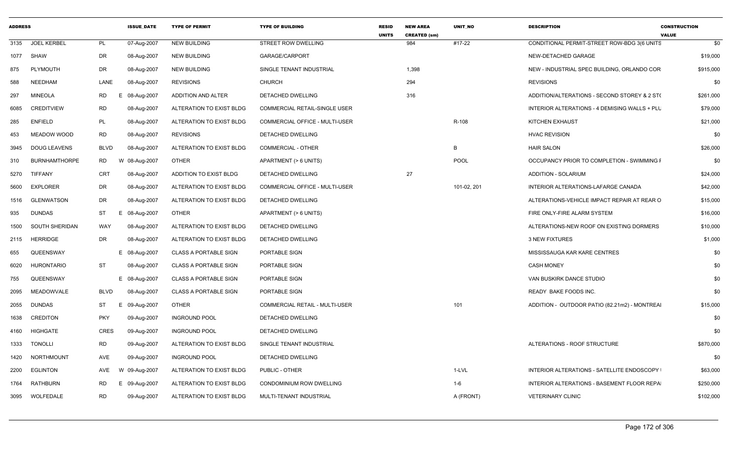| <b>ADDRESS</b> |                      |                | <b>ISSUE DATE</b> | <b>TYPE OF PERMIT</b>        | <b>TYPE OF BUILDING</b>        | <b>RESID</b><br><b>UNITS</b> | <b>NEW AREA</b><br><b>CREATED (sm)</b> | <b>UNIT NO</b> | <b>DESCRIPTION</b>                            | <b>CONSTRUCTION</b><br><b>VALUE</b> |
|----------------|----------------------|----------------|-------------------|------------------------------|--------------------------------|------------------------------|----------------------------------------|----------------|-----------------------------------------------|-------------------------------------|
| 3135           | <b>JOEL KERBEL</b>   | <b>PL</b>      | 07-Aug-2007       | <b>NEW BUILDING</b>          | STREET ROW DWELLING            |                              | 984                                    | #17-22         | CONDITIONAL PERMIT-STREET ROW-BDG 3(6 UNITS   | \$0                                 |
| 1077           | SHAW                 | DR             | 08-Aug-2007       | <b>NEW BUILDING</b>          | GARAGE/CARPORT                 |                              |                                        |                | NEW-DETACHED GARAGE                           | \$19,000                            |
| 875            | PLYMOUTH             | <b>DR</b>      | 08-Aug-2007       | <b>NEW BUILDING</b>          | SINGLE TENANT INDUSTRIAL       |                              | 1,398                                  |                | NEW - INDUSTRIAL SPEC BUILDING, ORLANDO COR   | \$915,000                           |
| 588            | NEEDHAM              | LANE           | 08-Aug-2007       | <b>REVISIONS</b>             | <b>CHURCH</b>                  |                              | 294                                    |                | <b>REVISIONS</b>                              | \$0                                 |
| 297            | <b>MINEOLA</b>       | <b>RD</b><br>E | 08-Aug-2007       | ADDITION AND ALTER           | DETACHED DWELLING              |                              | 316                                    |                | ADDITION/ALTERATIONS - SECOND STOREY & 2 ST(  | \$261,000                           |
| 6085           | <b>CREDITVIEW</b>    | <b>RD</b>      | 08-Aug-2007       | ALTERATION TO EXIST BLDG     | COMMERCIAL RETAIL-SINGLE USER  |                              |                                        |                | INTERIOR ALTERATIONS - 4 DEMISING WALLS + PLU | \$79,000                            |
| 285            | <b>ENFIELD</b>       | PL             | 08-Aug-2007       | ALTERATION TO EXIST BLDG     | COMMERCIAL OFFICE - MULTI-USER |                              |                                        | R-108          | KITCHEN EXHAUST                               | \$21,000                            |
| 453            | MEADOW WOOD          | <b>RD</b>      | 08-Aug-2007       | <b>REVISIONS</b>             | DETACHED DWELLING              |                              |                                        |                | <b>HVAC REVISION</b>                          | \$0                                 |
| 3945           | <b>DOUG LEAVENS</b>  | <b>BLVD</b>    | 08-Aug-2007       | ALTERATION TO EXIST BLDG     | <b>COMMERCIAL - OTHER</b>      |                              |                                        | B              | <b>HAIR SALON</b>                             | \$26,000                            |
| 310            | <b>BURNHAMTHORPE</b> | RD<br>W        | 08-Aug-2007       | OTHER                        | APARTMENT (> 6 UNITS)          |                              |                                        | POOL           | OCCUPANCY PRIOR TO COMPLETION - SWIMMING F    | \$0                                 |
| 5270           | <b>TIFFANY</b>       | CRT            | 08-Aug-2007       | ADDITION TO EXIST BLDG       | DETACHED DWELLING              |                              | 27                                     |                | <b>ADDITION - SOLARIUM</b>                    | \$24,000                            |
| 5600           | <b>EXPLORER</b>      | <b>DR</b>      | 08-Aug-2007       | ALTERATION TO EXIST BLDG     | COMMERCIAL OFFICE - MULTI-USER |                              |                                        | 101-02, 201    | INTERIOR ALTERATIONS-LAFARGE CANADA           | \$42,000                            |
| 1516           | GLENWATSON           | DR             | 08-Aug-2007       | ALTERATION TO EXIST BLDG     | DETACHED DWELLING              |                              |                                        |                | ALTERATIONS-VEHICLE IMPACT REPAIR AT REAR O   | \$15,000                            |
| 935            | <b>DUNDAS</b>        | ST<br>Е        | 08-Aug-2007       | <b>OTHER</b>                 | APARTMENT (> 6 UNITS)          |                              |                                        |                | FIRE ONLY-FIRE ALARM SYSTEM                   | \$16,000                            |
| 1500           | SOUTH SHERIDAN       | WAY            | 08-Aug-2007       | ALTERATION TO EXIST BLDG     | DETACHED DWELLING              |                              |                                        |                | ALTERATIONS-NEW ROOF ON EXISTING DORMERS      | \$10,000                            |
| 2115           | HERRIDGE             | <b>DR</b>      | 08-Aug-2007       | ALTERATION TO EXIST BLDG     | DETACHED DWELLING              |                              |                                        |                | <b>3 NEW FIXTURES</b>                         | \$1,000                             |
| 655            | QUEENSWAY            |                | E 08-Aug-2007     | <b>CLASS A PORTABLE SIGN</b> | PORTABLE SIGN                  |                              |                                        |                | MISSISSAUGA KAR KARE CENTRES                  | \$0                                 |
| 6020           | <b>HURONTARIO</b>    | <b>ST</b>      | 08-Aug-2007       | <b>CLASS A PORTABLE SIGN</b> | PORTABLE SIGN                  |                              |                                        |                | <b>CASH MONEY</b>                             | \$0                                 |
| 755            | QUEENSWAY            |                | E 08-Aug-2007     | <b>CLASS A PORTABLE SIGN</b> | PORTABLE SIGN                  |                              |                                        |                | VAN BUSKIRK DANCE STUDIO                      | \$0                                 |
| 2095           | MEADOWVALE           | <b>BLVD</b>    | 08-Aug-2007       | <b>CLASS A PORTABLE SIGN</b> | PORTABLE SIGN                  |                              |                                        |                | READY BAKE FOODS INC.                         | \$0                                 |
| 2055           | <b>DUNDAS</b>        | ST             | 09-Aug-2007       | <b>OTHER</b>                 | COMMERCIAL RETAIL - MULTI-USER |                              |                                        | 101            | ADDITION - OUTDOOR PATIO (82.21m2) - MONTREAI | \$15,000                            |
| 1638           | <b>CREDITON</b>      | <b>PKY</b>     | 09-Aug-2007       | <b>INGROUND POOL</b>         | DETACHED DWELLING              |                              |                                        |                |                                               | \$0                                 |
| 4160           | HIGHGATE             | <b>CRES</b>    | 09-Aug-2007       | <b>INGROUND POOL</b>         | DETACHED DWELLING              |                              |                                        |                |                                               | \$0                                 |
| 1333           | <b>TONOLLI</b>       | <b>RD</b>      | 09-Aug-2007       | ALTERATION TO EXIST BLDG     | SINGLE TENANT INDUSTRIAL       |                              |                                        |                | ALTERATIONS - ROOF STRUCTURE                  | \$870,000                           |
| 1420           | NORTHMOUNT           | AVE            | 09-Aug-2007       | <b>INGROUND POOL</b>         | DETACHED DWELLING              |                              |                                        |                |                                               | \$0                                 |
| 2200           | <b>EGLINTON</b>      | AVE<br>W       | 09-Aug-2007       | ALTERATION TO EXIST BLDG     | PUBLIC - OTHER                 |                              |                                        | 1-LVL          | INTERIOR ALTERATIONS - SATELLITE ENDOSCOPY    | \$63,000                            |
| 1764           | RATHBURN             | RD<br>E        | 09-Aug-2007       | ALTERATION TO EXIST BLDG     | CONDOMINIUM ROW DWELLING       |                              |                                        | 1-6            | INTERIOR ALTERATIONS - BASEMENT FLOOR REPA    | \$250,000                           |
| 3095           | WOLFEDALE            | <b>RD</b>      | 09-Aug-2007       | ALTERATION TO EXIST BLDG     | MULTI-TENANT INDUSTRIAL        |                              |                                        | A (FRONT)      | <b>VETERINARY CLINIC</b>                      | \$102,000                           |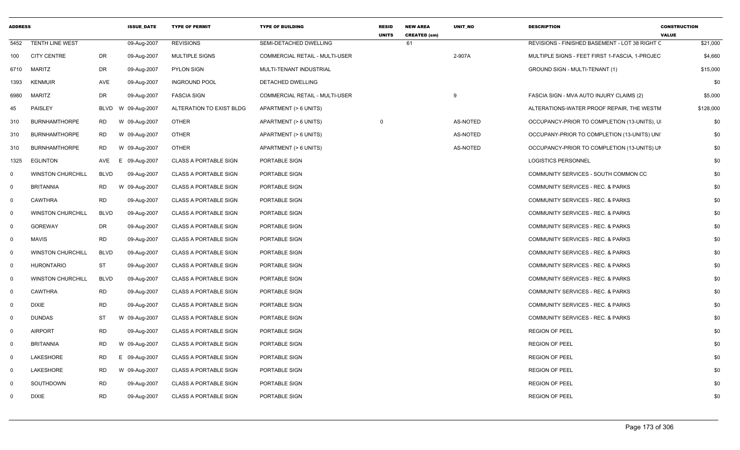| <b>ADDRESS</b> |                          |             | <b>ISSUE DATE</b>  | <b>TYPE OF PERMIT</b>        | <b>TYPE OF BUILDING</b>        | <b>RESID</b><br><b>UNITS</b> | <b>NEW AREA</b><br><b>CREATED (sm)</b> | UNIT NO  | <b>DESCRIPTION</b>                             | <b>CONSTRUCTION</b><br><b>VALUE</b> |     |
|----------------|--------------------------|-------------|--------------------|------------------------------|--------------------------------|------------------------------|----------------------------------------|----------|------------------------------------------------|-------------------------------------|-----|
| 5452           | <b>TENTH LINE WEST</b>   |             | 09-Aug-2007        | <b>REVISIONS</b>             | SEMI-DETACHED DWELLING         |                              | 61                                     |          | REVISIONS - FINISHED BASEMENT - LOT 38 RIGHT C | \$21,000                            |     |
| 100            | <b>CITY CENTRE</b>       | <b>DR</b>   | 09-Aug-2007        | <b>MULTIPLE SIGNS</b>        | COMMERCIAL RETAIL - MULTI-USER |                              |                                        | 2-907A   | MULTIPLE SIGNS - FEET FIRST 1-FASCIA, 1-PROJEC | \$4,660                             |     |
| 6710           | MARITZ                   | DR          | 09-Aug-2007        | <b>PYLON SIGN</b>            | MULTI-TENANT INDUSTRIAL        |                              |                                        |          | GROUND SIGN - MULTI-TENANT (1)                 | \$15,000                            |     |
| 1393           | KENMUIR                  | AVE         | 09-Aug-2007        | <b>INGROUND POOL</b>         | DETACHED DWELLING              |                              |                                        |          |                                                |                                     | \$0 |
| 6980           | <b>MARITZ</b>            | DR          | 09-Aug-2007        | <b>FASCIA SIGN</b>           | COMMERCIAL RETAIL - MULTI-USER |                              |                                        | 9        | FASCIA SIGN - MVA AUTO INJURY CLAIMS (2)       | \$5,000                             |     |
| 45             | PAISLEY                  |             | BLVD W 09-Aug-2007 | ALTERATION TO EXIST BLDG     | APARTMENT (> 6 UNITS)          |                              |                                        |          | ALTERATIONS-WATER PROOF REPAIR, THE WESTM      | \$128,000                           |     |
| 310            | <b>BURNHAMTHORPE</b>     | RD          | W 09-Aug-2007      | <b>OTHER</b>                 | APARTMENT (> 6 UNITS)          | $\overline{0}$               |                                        | AS-NOTED | OCCUPANCY-PRIOR TO COMPLETION (13-UNITS), U    |                                     | \$0 |
| 310            | <b>BURNHAMTHORPE</b>     | RD          | W 09-Aug-2007      | <b>OTHER</b>                 | APARTMENT (> 6 UNITS)          |                              |                                        | AS-NOTED | OCCUPANY-PRIOR TO COMPLETION (13-UNITS) UNI    |                                     | \$0 |
| 310            | <b>BURNHAMTHORPE</b>     | RD          | W 09-Aug-2007      | <b>OTHER</b>                 | APARTMENT (> 6 UNITS)          |                              |                                        | AS-NOTED | OCCUPANCY-PRIOR TO COMPLETION (13-UNITS) UN    |                                     | \$0 |
| 1325           | <b>EGLINTON</b>          | AVE         | 09-Aug-2007<br>E.  | CLASS A PORTABLE SIGN        | PORTABLE SIGN                  |                              |                                        |          | <b>LOGISTICS PERSONNEL</b>                     |                                     | \$0 |
| $\Omega$       | <b>WINSTON CHURCHILL</b> | <b>BLVD</b> | 09-Aug-2007        | <b>CLASS A PORTABLE SIGN</b> | PORTABLE SIGN                  |                              |                                        |          | COMMUNITY SERVICES - SOUTH COMMON CC           |                                     | \$0 |
| $\Omega$       | <b>BRITANNIA</b>         | RD          | W 09-Aug-2007      | <b>CLASS A PORTABLE SIGN</b> | PORTABLE SIGN                  |                              |                                        |          | COMMUNITY SERVICES - REC. & PARKS              |                                     | \$0 |
| $\Omega$       | <b>CAWTHRA</b>           | <b>RD</b>   | 09-Aug-2007        | <b>CLASS A PORTABLE SIGN</b> | PORTABLE SIGN                  |                              |                                        |          | COMMUNITY SERVICES - REC. & PARKS              |                                     | \$0 |
| $\Omega$       | <b>WINSTON CHURCHILL</b> | <b>BLVD</b> | 09-Aug-2007        | <b>CLASS A PORTABLE SIGN</b> | PORTABLE SIGN                  |                              |                                        |          | COMMUNITY SERVICES - REC. & PARKS              |                                     | \$0 |
| $\mathbf 0$    | <b>GOREWAY</b>           | DR          | 09-Aug-2007        | <b>CLASS A PORTABLE SIGN</b> | PORTABLE SIGN                  |                              |                                        |          | <b>COMMUNITY SERVICES - REC. &amp; PARKS</b>   |                                     | \$0 |
| $\Omega$       | <b>MAVIS</b>             | <b>RD</b>   | 09-Aug-2007        | <b>CLASS A PORTABLE SIGN</b> | PORTABLE SIGN                  |                              |                                        |          | COMMUNITY SERVICES - REC. & PARKS              |                                     | \$0 |
| $\Omega$       | <b>WINSTON CHURCHILL</b> | <b>BLVD</b> | 09-Aug-2007        | <b>CLASS A PORTABLE SIGN</b> | PORTABLE SIGN                  |                              |                                        |          | COMMUNITY SERVICES - REC. & PARKS              |                                     | \$0 |
| $\mathbf 0$    | <b>HURONTARIO</b>        | <b>ST</b>   | 09-Aug-2007        | <b>CLASS A PORTABLE SIGN</b> | PORTABLE SIGN                  |                              |                                        |          | <b>COMMUNITY SERVICES - REC. &amp; PARKS</b>   |                                     | \$0 |
| $\Omega$       | <b>WINSTON CHURCHILL</b> | <b>BLVD</b> | 09-Aug-2007        | <b>CLASS A PORTABLE SIGN</b> | PORTABLE SIGN                  |                              |                                        |          | COMMUNITY SERVICES - REC. & PARKS              |                                     | \$0 |
| $\Omega$       | <b>CAWTHRA</b>           | <b>RD</b>   | 09-Aug-2007        | <b>CLASS A PORTABLE SIGN</b> | PORTABLE SIGN                  |                              |                                        |          | COMMUNITY SERVICES - REC. & PARKS              |                                     | \$0 |
| $\Omega$       | <b>DIXIE</b>             | RD          | 09-Aug-2007        | <b>CLASS A PORTABLE SIGN</b> | PORTABLE SIGN                  |                              |                                        |          | COMMUNITY SERVICES - REC. & PARKS              |                                     | \$0 |
| 0              | <b>DUNDAS</b>            | <b>ST</b>   | W 09-Aug-2007      | <b>CLASS A PORTABLE SIGN</b> | PORTABLE SIGN                  |                              |                                        |          | COMMUNITY SERVICES - REC. & PARKS              |                                     | \$0 |
| $\mathbf{0}$   | <b>AIRPORT</b>           | <b>RD</b>   | 09-Aug-2007        | <b>CLASS A PORTABLE SIGN</b> | PORTABLE SIGN                  |                              |                                        |          | <b>REGION OF PEEL</b>                          |                                     | \$0 |
| $\Omega$       | <b>BRITANNIA</b>         | <b>RD</b>   | 09-Aug-2007<br>W   | <b>CLASS A PORTABLE SIGN</b> | PORTABLE SIGN                  |                              |                                        |          | <b>REGION OF PEEL</b>                          |                                     | \$0 |
| $\Omega$       | LAKESHORE                | <b>RD</b>   | E<br>09-Aug-2007   | <b>CLASS A PORTABLE SIGN</b> | PORTABLE SIGN                  |                              |                                        |          | <b>REGION OF PEEL</b>                          |                                     | \$0 |
| $\Omega$       | LAKESHORE                | RD          | W 09-Aug-2007      | <b>CLASS A PORTABLE SIGN</b> | PORTABLE SIGN                  |                              |                                        |          | <b>REGION OF PEEL</b>                          |                                     | \$0 |
| $\Omega$       | SOUTHDOWN                | RD          | 09-Aug-2007        | <b>CLASS A PORTABLE SIGN</b> | PORTABLE SIGN                  |                              |                                        |          | <b>REGION OF PEEL</b>                          |                                     | \$0 |
| 0              | <b>DIXIE</b>             | <b>RD</b>   | 09-Aug-2007        | <b>CLASS A PORTABLE SIGN</b> | PORTABLE SIGN                  |                              |                                        |          | <b>REGION OF PEEL</b>                          |                                     | \$0 |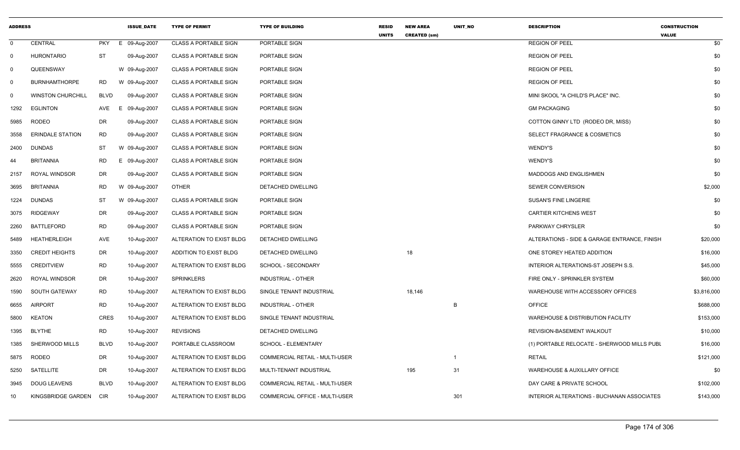| <b>ADDRESS</b> |                          |             | <b>ISSUE DATE</b> | <b>TYPE OF PERMIT</b>        | <b>TYPE OF BUILDING</b>               | <b>RESID</b><br><b>UNITS</b> | <b>NEW AREA</b><br><b>CREATED (sm)</b> | UNIT_NO        | <b>DESCRIPTION</b>                                | <b>CONSTRUCTION</b><br><b>VALUE</b> |
|----------------|--------------------------|-------------|-------------------|------------------------------|---------------------------------------|------------------------------|----------------------------------------|----------------|---------------------------------------------------|-------------------------------------|
| $\mathbf 0$    | CENTRAL                  | <b>PKY</b>  | E 09-Aug-2007     | <b>CLASS A PORTABLE SIGN</b> | PORTABLE SIGN                         |                              |                                        |                | <b>REGION OF PEEL</b>                             | \$0                                 |
| $\overline{0}$ | <b>HURONTARIO</b>        | <b>ST</b>   | 09-Aug-2007       | <b>CLASS A PORTABLE SIGN</b> | PORTABLE SIGN                         |                              |                                        |                | <b>REGION OF PEEL</b>                             | \$0                                 |
| 0              | QUEENSWAY                |             | W 09-Aug-2007     | <b>CLASS A PORTABLE SIGN</b> | PORTABLE SIGN                         |                              |                                        |                | <b>REGION OF PEEL</b>                             | \$0                                 |
| 0              | <b>BURNHAMTHORPE</b>     | <b>RD</b>   | W 09-Aug-2007     | <b>CLASS A PORTABLE SIGN</b> | PORTABLE SIGN                         |                              |                                        |                | <b>REGION OF PEEL</b>                             | \$0                                 |
| $\mathbf 0$    | <b>WINSTON CHURCHILL</b> | <b>BLVD</b> | 09-Aug-2007       | <b>CLASS A PORTABLE SIGN</b> | PORTABLE SIGN                         |                              |                                        |                | MINI SKOOL "A CHILD'S PLACE" INC.                 | \$0                                 |
| 1292           | <b>EGLINTON</b>          | AVE         | Е.<br>09-Aug-2007 | <b>CLASS A PORTABLE SIGN</b> | PORTABLE SIGN                         |                              |                                        |                | <b>GM PACKAGING</b>                               | \$0                                 |
| 5985           | <b>RODEO</b>             | DR          | 09-Aug-2007       | <b>CLASS A PORTABLE SIGN</b> | PORTABLE SIGN                         |                              |                                        |                | COTTON GINNY LTD (RODEO DR, MISS)                 | \$0                                 |
| 3558           | <b>ERINDALE STATION</b>  | <b>RD</b>   | 09-Aug-2007       | <b>CLASS A PORTABLE SIGN</b> | <b>PORTABLE SIGN</b>                  |                              |                                        |                | <b>SELECT FRAGRANCE &amp; COSMETICS</b>           | \$0                                 |
| 2400           | <b>DUNDAS</b>            | ST          | W 09-Aug-2007     | <b>CLASS A PORTABLE SIGN</b> | PORTABLE SIGN                         |                              |                                        |                | WENDY'S                                           | \$0                                 |
| 44             | <b>BRITANNIA</b>         | RD          | Е.<br>09-Aug-2007 | <b>CLASS A PORTABLE SIGN</b> | PORTABLE SIGN                         |                              |                                        |                | <b>WENDY'S</b>                                    | \$0                                 |
| 2157           | ROYAL WINDSOR            | DR          | 09-Aug-2007       | <b>CLASS A PORTABLE SIGN</b> | PORTABLE SIGN                         |                              |                                        |                | MADDOGS AND ENGLISHMEN                            | \$0                                 |
| 3695           | <b>BRITANNIA</b>         | <b>RD</b>   | W 09-Aug-2007     | <b>OTHER</b>                 | DETACHED DWELLING                     |                              |                                        |                | SEWER CONVERSION                                  | \$2,000                             |
| 1224           | <b>DUNDAS</b>            | <b>ST</b>   | W 09-Aug-2007     | <b>CLASS A PORTABLE SIGN</b> | PORTABLE SIGN                         |                              |                                        |                | <b>SUSAN'S FINE LINGERIE</b>                      | \$0                                 |
| 3075           | <b>RIDGEWAY</b>          | DR          | 09-Aug-2007       | <b>CLASS A PORTABLE SIGN</b> | PORTABLE SIGN                         |                              |                                        |                | <b>CARTIER KITCHENS WEST</b>                      | \$0                                 |
| 2260           | <b>BATTLEFORD</b>        | <b>RD</b>   | 09-Aug-2007       | <b>CLASS A PORTABLE SIGN</b> | PORTABLE SIGN                         |                              |                                        |                | PARKWAY CHRYSLER                                  | \$0                                 |
| 5489           | <b>HEATHERLEIGH</b>      | <b>AVE</b>  | 10-Aug-2007       | ALTERATION TO EXIST BLDG     | DETACHED DWELLING                     |                              |                                        |                | ALTERATIONS - SIDE & GARAGE ENTRANCE, FINISH      | \$20,000                            |
| 3350           | <b>CREDIT HEIGHTS</b>    | DR          | 10-Aug-2007       | ADDITION TO EXIST BLDG       | DETACHED DWELLING                     |                              | 18                                     |                | ONE STOREY HEATED ADDITION                        | \$16,000                            |
| 5555           | <b>CREDITVIEW</b>        | <b>RD</b>   | 10-Aug-2007       | ALTERATION TO EXIST BLDG     | SCHOOL - SECONDARY                    |                              |                                        |                | INTERIOR ALTERATIONS-ST JOSEPH S.S.               | \$45,000                            |
| 2620           | <b>ROYAL WINDSOR</b>     | DR          | 10-Aug-2007       | <b>SPRINKLERS</b>            | <b>INDUSTRIAL - OTHER</b>             |                              |                                        |                | FIRE ONLY - SPRINKLER SYSTEM                      | \$60,000                            |
| 1590           | <b>SOUTH GATEWAY</b>     | <b>RD</b>   | 10-Aug-2007       | ALTERATION TO EXIST BLDG     | SINGLE TENANT INDUSTRIAL              |                              | 18,146                                 |                | WAREHOUSE WITH ACCESSORY OFFICES                  | \$3,816,000                         |
| 6655           | <b>AIRPORT</b>           | <b>RD</b>   | 10-Aug-2007       | ALTERATION TO EXIST BLDG     | <b>INDUSTRIAL - OTHER</b>             |                              |                                        | B              | <b>OFFICE</b>                                     | \$688,000                           |
| 5800           | <b>KEATON</b>            | <b>CRES</b> | 10-Aug-2007       | ALTERATION TO EXIST BLDG     | SINGLE TENANT INDUSTRIAL              |                              |                                        |                | <b>WAREHOUSE &amp; DISTRIBUTION FACILITY</b>      | \$153,000                           |
| 1395           | <b>BLYTHE</b>            | <b>RD</b>   | 10-Aug-2007       | <b>REVISIONS</b>             | <b>DETACHED DWELLING</b>              |                              |                                        |                | REVISION-BASEMENT WALKOUT                         | \$10,000                            |
| 1385           | SHERWOOD MILLS           | <b>BLVD</b> | 10-Aug-2007       | PORTABLE CLASSROOM           | SCHOOL - ELEMENTARY                   |                              |                                        |                | (1) PORTABLE RELOCATE - SHERWOOD MILLS PUBL       | \$16,000                            |
| 5875           | RODEO                    | DR          | 10-Aug-2007       | ALTERATION TO EXIST BLDG     | COMMERCIAL RETAIL - MULTI-USER        |                              |                                        | $\overline{1}$ | <b>RETAIL</b>                                     | \$121,000                           |
| 5250           | SATELLITE                | <b>DR</b>   | 10-Aug-2007       | ALTERATION TO EXIST BLDG     | MULTI-TENANT INDUSTRIAL               |                              | 195                                    | 31             | WAREHOUSE & AUXILLARY OFFICE                      | \$0                                 |
| 3945           | <b>DOUG LEAVENS</b>      | <b>BLVD</b> | 10-Aug-2007       | ALTERATION TO EXIST BLDG     | COMMERCIAL RETAIL - MULTI-USER        |                              |                                        |                | DAY CARE & PRIVATE SCHOOL                         | \$102,000                           |
| 10             | KINGSBRIDGE GARDEN       | <b>CIR</b>  | 10-Aug-2007       | ALTERATION TO EXIST BLDG     | <b>COMMERCIAL OFFICE - MULTI-USER</b> |                              |                                        | 301            | <b>INTERIOR ALTERATIONS - BUCHANAN ASSOCIATES</b> | \$143,000                           |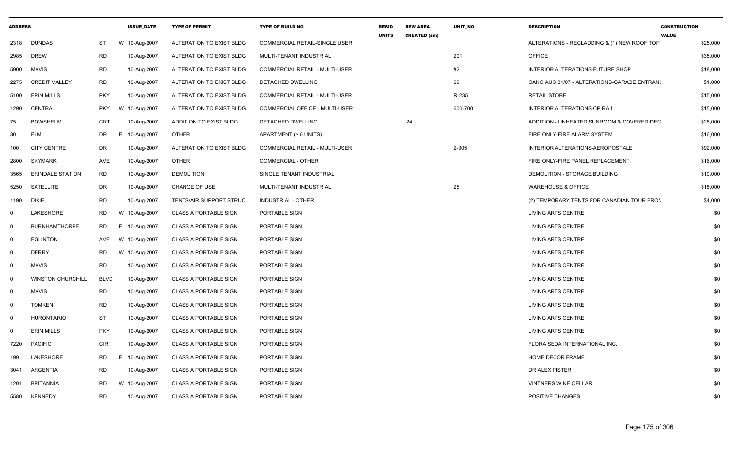| <b>ADDRESS</b> |                          |             | <b>ISSUE_DATE</b> | <b>TYPE OF PERMIT</b>          | <b>TYPE OF BUILDING</b>               | <b>RESID</b><br><b>UNITS</b> | <b>NEW AREA</b><br><b>CREATED (sm)</b> | UNIT_NO | <b>DESCRIPTION</b>                          | <b>CONSTRUCTION</b><br><b>VALUE</b> |
|----------------|--------------------------|-------------|-------------------|--------------------------------|---------------------------------------|------------------------------|----------------------------------------|---------|---------------------------------------------|-------------------------------------|
| 2318           | DUNDAS                   | ST          | W 10-Aug-2007     | ALTERATION TO EXIST BLDG       | COMMERCIAL RETAIL-SINGLE USER         |                              |                                        |         | ALTERATIONS - RECLADDING & (1) NEW ROOF TOP | \$25,000                            |
| 2985           | <b>DREW</b>              | <b>RD</b>   | 10-Aug-2007       | ALTERATION TO EXIST BLDG       | MULTI-TENANT INDUSTRIAL               |                              |                                        | 201     | <b>OFFICE</b>                               | \$35,000                            |
| 5900           | <b>MAVIS</b>             | <b>RD</b>   | 10-Aug-2007       | ALTERATION TO EXIST BLDG       | <b>COMMERCIAL RETAIL - MULTI-USER</b> |                              |                                        | #2      | INTERIOR ALTERATIONS-FUTURE SHOP            | \$18,000                            |
| 2275           | <b>CREDIT VALLEY</b>     | RD          | 10-Aug-2007       | ALTERATION TO EXIST BLDG       | DETACHED DWELLING                     |                              |                                        | 99      | CANC AUG 31/07 - ALTERATIONS-GARAGE ENTRANO | \$1,000                             |
| 5100           | <b>ERIN MILLS</b>        | <b>PKY</b>  | 10-Aug-2007       | ALTERATION TO EXIST BLDG       | COMMERCIAL RETAIL - MULTI-USER        |                              |                                        | R-235   | <b>RETAIL STORE</b>                         | \$15,000                            |
| 1290           | CENTRAL                  | <b>PKY</b>  | W 10-Aug-2007     | ALTERATION TO EXIST BLDG       | <b>COMMERCIAL OFFICE - MULTI-USER</b> |                              |                                        | 600-700 | <b>INTERIOR ALTERATIONS-CP RAIL</b>         | \$15,000                            |
| 75             | <b>BOWSHELM</b>          | CRT         | 10-Aug-2007       | ADDITION TO EXIST BLDG         | DETACHED DWELLING                     |                              | 24                                     |         | ADDITION - UNHEATED SUNROOM & COVERED DEC   | \$28,000                            |
| 30             | <b>ELM</b>               | DR          | E 10-Aug-2007     | <b>OTHER</b>                   | APARTMENT (> 6 UNITS)                 |                              |                                        |         | FIRE ONLY-FIRE ALARM SYSTEM                 | \$16,000                            |
| 100            | <b>CITY CENTRE</b>       | DR.         | 10-Aug-2007       | ALTERATION TO EXIST BLDG       | <b>COMMERCIAL RETAIL - MULTI-USER</b> |                              |                                        | 2-305   | INTERIOR ALTERATIONS-AEROPOSTALE            | \$92,000                            |
| 2800           | SKYMARK                  | AVE         | 10-Aug-2007       | <b>OTHER</b>                   | <b>COMMERCIAL - OTHER</b>             |                              |                                        |         | FIRE ONLY-FIRE PANEL REPLACEMENT            | \$16,000                            |
| 3565           | <b>ERINDALE STATION</b>  | <b>RD</b>   | 10-Aug-2007       | <b>DEMOLITION</b>              | SINGLE TENANT INDUSTRIAL              |                              |                                        |         | DEMOLITION - STORAGE BUILDING               | \$10,000                            |
| 5250           | SATELLITE                | DR          | 10-Aug-2007       | CHANGE OF USE                  | MULTI-TENANT INDUSTRIAL               |                              |                                        | 25      | <b>WAREHOUSE &amp; OFFICE</b>               | \$15,000                            |
| 1190           | <b>DIXIE</b>             | <b>RD</b>   | 10-Aug-2007       | <b>TENTS/AIR SUPPORT STRUC</b> | INDUSTRIAL - OTHER                    |                              |                                        |         | (2) TEMPORARY TENTS FOR CANADIAN TOUR FROM  | \$4,000                             |
| 0              | LAKESHORE                | RD          | W 10-Aug-2007     | <b>CLASS A PORTABLE SIGN</b>   | PORTABLE SIGN                         |                              |                                        |         | LIVING ARTS CENTRE                          | \$0                                 |
| $\Omega$       | <b>BURNHAMTHORPE</b>     | <b>RD</b>   | E 10-Aug-2007     | <b>CLASS A PORTABLE SIGN</b>   | PORTABLE SIGN                         |                              |                                        |         | <b>LIVING ARTS CENTRE</b>                   | \$0                                 |
| $\mathbf 0$    | <b>EGLINTON</b>          | AVE         | W 10-Aug-2007     | <b>CLASS A PORTABLE SIGN</b>   | PORTABLE SIGN                         |                              |                                        |         | <b>LIVING ARTS CENTRE</b>                   | \$0                                 |
| 0              | <b>DERRY</b>             | RD          | W 10-Aug-2007     | <b>CLASS A PORTABLE SIGN</b>   | PORTABLE SIGN                         |                              |                                        |         | LIVING ARTS CENTRE                          | \$0                                 |
| 0              | MAVIS                    | <b>RD</b>   | 10-Aug-2007       | <b>CLASS A PORTABLE SIGN</b>   | PORTABLE SIGN                         |                              |                                        |         | LIVING ARTS CENTRE                          | \$0                                 |
| $\Omega$       | <b>WINSTON CHURCHILL</b> | <b>BLVD</b> | 10-Aug-2007       | <b>CLASS A PORTABLE SIGN</b>   | PORTABLE SIGN                         |                              |                                        |         | LIVING ARTS CENTRE                          | \$0                                 |
| 0              | <b>MAVIS</b>             | <b>RD</b>   | 10-Aug-2007       | <b>CLASS A PORTABLE SIGN</b>   | PORTABLE SIGN                         |                              |                                        |         | <b>LIVING ARTS CENTRE</b>                   | \$0                                 |
| 0              | <b>TOMKEN</b>            | <b>RD</b>   | 10-Aug-2007       | <b>CLASS A PORTABLE SIGN</b>   | PORTABLE SIGN                         |                              |                                        |         | LIVING ARTS CENTRE                          | \$0                                 |
| $\mathbf 0$    | <b>HURONTARIO</b>        | ST          | 10-Aug-2007       | <b>CLASS A PORTABLE SIGN</b>   | PORTABLE SIGN                         |                              |                                        |         | LIVING ARTS CENTRE                          | \$0                                 |
| $\Omega$       | <b>ERIN MILLS</b>        | <b>PKY</b>  | 10-Aug-2007       | <b>CLASS A PORTABLE SIGN</b>   | PORTABLE SIGN                         |                              |                                        |         | LIVING ARTS CENTRE                          | \$0                                 |
| 7220           | <b>PACIFIC</b>           | <b>CIR</b>  | 10-Aug-2007       | <b>CLASS A PORTABLE SIGN</b>   | PORTABLE SIGN                         |                              |                                        |         | FLORA SEDA INTERNATIONAL INC.               | \$0                                 |
| 199            | LAKESHORE                | RD          | E 10-Aug-2007     | <b>CLASS A PORTABLE SIGN</b>   | PORTABLE SIGN                         |                              |                                        |         | HOME DECOR FRAME                            | \$0                                 |
| 3041           | ARGENTIA                 | <b>RD</b>   | 10-Aug-2007       | <b>CLASS A PORTABLE SIGN</b>   | PORTABLE SIGN                         |                              |                                        |         | DR ALEX PISTER                              | \$0                                 |
| 1201           | BRITANNIA                | RD          | W 10-Aug-2007     | <b>CLASS A PORTABLE SIGN</b>   | PORTABLE SIGN                         |                              |                                        |         | <b>VINTNERS WINE CELLAR</b>                 | \$0                                 |
| 5580           | KENNEDY                  | <b>RD</b>   | 10-Aug-2007       | <b>CLASS A PORTABLE SIGN</b>   | PORTABLE SIGN                         |                              |                                        |         | POSITIVE CHANGES                            | \$0                                 |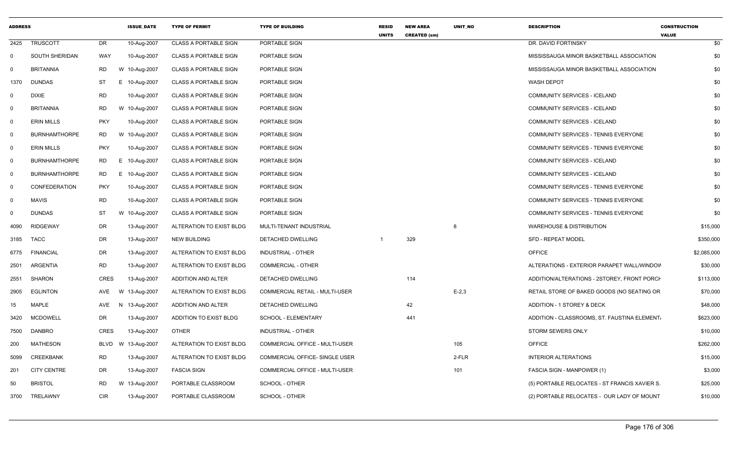| <b>ADDRESS</b> |                      |             | <b>ISSUE_DATE</b> | <b>TYPE OF PERMIT</b>        | <b>TYPE OF BUILDING</b>               | <b>RESID</b><br><b>UNITS</b> | <b>NEW AREA</b><br><b>CREATED (sm)</b> | UNIT_NO    | <b>DESCRIPTION</b>                            | <b>CONSTRUCTION</b><br><b>VALUE</b> |
|----------------|----------------------|-------------|-------------------|------------------------------|---------------------------------------|------------------------------|----------------------------------------|------------|-----------------------------------------------|-------------------------------------|
| 2425           | <b>TRUSCOTT</b>      | DR          | 10-Aug-2007       | <b>CLASS A PORTABLE SIGN</b> | PORTABLE SIGN                         |                              |                                        |            | DR. DAVID FORTINSKY                           | \$0                                 |
| $\mathsf{O}$   | SOUTH SHERIDAN       | WAY         | 10-Aug-2007       | <b>CLASS A PORTABLE SIGN</b> | PORTABLE SIGN                         |                              |                                        |            | MISSISSAUGA MINOR BASKETBALL ASSOCIATION      | \$0                                 |
| 0              | <b>BRITANNIA</b>     | <b>RD</b>   | W 10-Aug-2007     | <b>CLASS A PORTABLE SIGN</b> | PORTABLE SIGN                         |                              |                                        |            | MISSISSAUGA MINOR BASKETBALL ASSOCIATION      | \$0                                 |
| 1370           | <b>DUNDAS</b>        | <b>ST</b>   | E.<br>10-Aug-2007 | <b>CLASS A PORTABLE SIGN</b> | PORTABLE SIGN                         |                              |                                        |            | <b>WASH DEPOT</b>                             | \$0                                 |
| $\mathbf 0$    | <b>DIXIE</b>         | <b>RD</b>   | 10-Aug-2007       | <b>CLASS A PORTABLE SIGN</b> | PORTABLE SIGN                         |                              |                                        |            | COMMUNITY SERVICES - ICELAND                  | \$0                                 |
| $\mathbf 0$    | <b>BRITANNIA</b>     | <b>RD</b>   | W 10-Aug-2007     | <b>CLASS A PORTABLE SIGN</b> | PORTABLE SIGN                         |                              |                                        |            | COMMUNITY SERVICES - ICELAND                  | \$0                                 |
| $\overline{0}$ | <b>ERIN MILLS</b>    | <b>PKY</b>  | 10-Aug-2007       | <b>CLASS A PORTABLE SIGN</b> | PORTABLE SIGN                         |                              |                                        |            | COMMUNITY SERVICES - ICELAND                  | \$0                                 |
| 0              | <b>BURNHAMTHORPE</b> | RD          | W 10-Aug-2007     | <b>CLASS A PORTABLE SIGN</b> | PORTABLE SIGN                         |                              |                                        |            | COMMUNITY SERVICES - TENNIS EVERYONE          | \$0                                 |
| - 0            | <b>ERIN MILLS</b>    | <b>PKY</b>  | 10-Aug-2007       | CLASS A PORTABLE SIGN        | PORTABLE SIGN                         |                              |                                        |            | <b>COMMUNITY SERVICES - TENNIS EVERYONE</b>   | \$0                                 |
| $\mathbf 0$    | <b>BURNHAMTHORPE</b> | RD          | E.<br>10-Aug-2007 | <b>CLASS A PORTABLE SIGN</b> | PORTABLE SIGN                         |                              |                                        |            | <b>COMMUNITY SERVICES - ICELAND</b>           | \$0                                 |
| $\mathbf 0$    | <b>BURNHAMTHORPE</b> | <b>RD</b>   | Е.<br>10-Aug-2007 | <b>CLASS A PORTABLE SIGN</b> | PORTABLE SIGN                         |                              |                                        |            | COMMUNITY SERVICES - ICELAND                  | \$0                                 |
| $\mathbf 0$    | <b>CONFEDERATION</b> | <b>PKY</b>  | 10-Aug-2007       | <b>CLASS A PORTABLE SIGN</b> | PORTABLE SIGN                         |                              |                                        |            | COMMUNITY SERVICES - TENNIS EVERYONE          | \$0                                 |
| 0              | <b>MAVIS</b>         | <b>RD</b>   | 10-Aug-2007       | <b>CLASS A PORTABLE SIGN</b> | PORTABLE SIGN                         |                              |                                        |            | COMMUNITY SERVICES - TENNIS EVERYONE          | \$0                                 |
| 0              | <b>DUNDAS</b>        | <b>ST</b>   | W 10-Aug-2007     | <b>CLASS A PORTABLE SIGN</b> | PORTABLE SIGN                         |                              |                                        |            | COMMUNITY SERVICES - TENNIS EVERYONE          | \$0                                 |
| 4090           | <b>RIDGEWAY</b>      | DR          | 13-Aug-2007       | ALTERATION TO EXIST BLDG     | MULTI-TENANT INDUSTRIAL               |                              |                                        | 8          | <b>WAREHOUSE &amp; DISTRIBUTION</b>           | \$15,000                            |
| 3185           | <b>TACC</b>          | DR          | 13-Aug-2007       | <b>NEW BUILDING</b>          | DETACHED DWELLING                     | -1                           | 329                                    |            | <b>SFD - REPEAT MODEL</b>                     | \$350,000                           |
| 6775           | <b>FINANCIAL</b>     | <b>DR</b>   | 13-Aug-2007       | ALTERATION TO EXIST BLDG     | <b>INDUSTRIAL - OTHER</b>             |                              |                                        |            | <b>OFFICE</b>                                 | \$2,085,000                         |
| 2501           | ARGENTIA             | RD          | 13-Aug-2007       | ALTERATION TO EXIST BLDG     | COMMERCIAL - OTHER                    |                              |                                        |            | ALTERATIONS - EXTERIOR PARAPET WALL/WINDOV    | \$30,000                            |
| 2551           | <b>SHARON</b>        | <b>CRES</b> | 13-Aug-2007       | ADDITION AND ALTER           | <b>DETACHED DWELLING</b>              |                              | 114                                    |            | ADDITION/ALTERATIONS - 2STOREY, FRONT PORCH   | \$113,000                           |
| 2905           | <b>EGLINTON</b>      | AVE         | W 13-Aug-2007     | ALTERATION TO EXIST BLDG     | <b>COMMERCIAL RETAIL - MULTI-USER</b> |                              |                                        | $E - 2, 3$ | RETAIL STORE OF BAKED GOODS (NO SEATING OR    | \$70,000                            |
| 15             | <b>MAPLE</b>         | AVE         | 13-Aug-2007<br>N. | ADDITION AND ALTER           | DETACHED DWELLING                     |                              | 42                                     |            | ADDITION - 1 STOREY & DECK                    | \$48,000                            |
| 3420           | <b>MCDOWELL</b>      | <b>DR</b>   | 13-Aug-2007       | ADDITION TO EXIST BLDG       | SCHOOL - ELEMENTARY                   |                              | 441                                    |            | ADDITION - CLASSROOMS, ST. FAUSTINA ELEMENT.  | \$623,000                           |
| 7500           | <b>DANBRO</b>        | <b>CRES</b> | 13-Aug-2007       | OTHER                        | INDUSTRIAL - OTHER                    |                              |                                        |            | STORM SEWERS ONLY                             | \$10,000                            |
| 200            | <b>MATHESON</b>      | BLVD        | W 13-Aug-2007     | ALTERATION TO EXIST BLDG     | <b>COMMERCIAL OFFICE - MULTI-USER</b> |                              |                                        | 105        | <b>OFFICE</b>                                 | \$262,000                           |
| 5099           | <b>CREEKBANK</b>     | RD          | 13-Aug-2007       | ALTERATION TO EXIST BLDG     | COMMERCIAL OFFICE- SINGLE USER        |                              |                                        | 2-FLR      | <b>INTERIOR ALTERATIONS</b>                   | \$15,000                            |
| 201            | <b>CITY CENTRE</b>   | <b>DR</b>   | 13-Aug-2007       | <b>FASCIA SIGN</b>           | COMMERCIAL OFFICE - MULTI-USER        |                              |                                        | 101        | FASCIA SIGN - MANPOWER (1)                    | \$3,000                             |
| 50             | <b>BRISTOL</b>       | <b>RD</b>   | W 13-Aug-2007     | PORTABLE CLASSROOM           | SCHOOL - OTHER                        |                              |                                        |            | (5) PORTABLE RELOCATES - ST FRANCIS XAVIER S. | \$25,000                            |
| 3700           | TRELAWNY             | <b>CIR</b>  | 13-Aug-2007       | PORTABLE CLASSROOM           | SCHOOL - OTHER                        |                              |                                        |            | (2) PORTABLE RELOCATES - OUR LADY OF MOUNT    | \$10,000                            |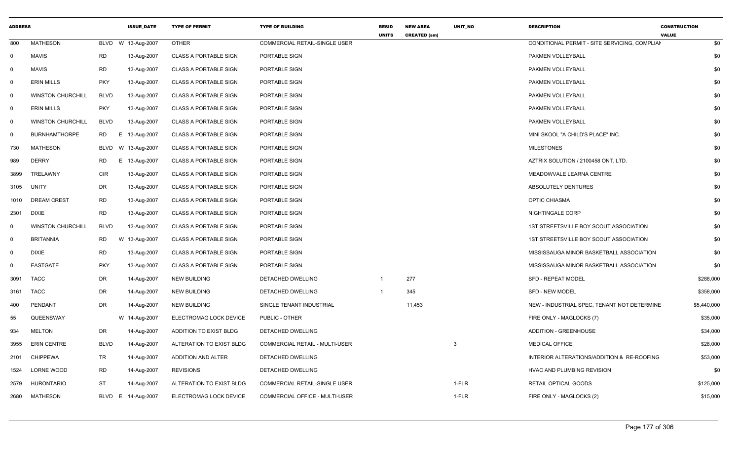| <b>ADDRESS</b> |                          |                 | <b>ISSUE_DATE</b>  | <b>TYPE OF PERMIT</b>        | <b>TYPE OF BUILDING</b>              | <b>RESID</b><br><b>UNITS</b> | <b>NEW AREA</b><br><b>CREATED (sm)</b> | UNIT_NO | <b>DESCRIPTION</b>                            | <b>CONSTRUCTION</b><br><b>VALUE</b> |
|----------------|--------------------------|-----------------|--------------------|------------------------------|--------------------------------------|------------------------------|----------------------------------------|---------|-----------------------------------------------|-------------------------------------|
| 800            | <b>MATHESON</b>          | <b>BLVD</b>     | W 13-Aug-2007      | <b>OTHER</b>                 | COMMERCIAL RETAIL-SINGLE USER        |                              |                                        |         | CONDITIONAL PERMIT - SITE SERVICING, COMPLIAN | \$0                                 |
| $\mathbf 0$    | <b>MAVIS</b>             | <b>RD</b>       | 13-Aug-2007        | <b>CLASS A PORTABLE SIGN</b> | PORTABLE SIGN                        |                              |                                        |         | PAKMEN VOLLEYBALL                             | \$0                                 |
| 0              | <b>MAVIS</b>             | <b>RD</b>       | 13-Aug-2007        | <b>CLASS A PORTABLE SIGN</b> | PORTABLE SIGN                        |                              |                                        |         | PAKMEN VOLLEYBALL                             | \$0                                 |
| 0              | <b>ERIN MILLS</b>        | <b>PKY</b>      | 13-Aug-2007        | <b>CLASS A PORTABLE SIGN</b> | PORTABLE SIGN                        |                              |                                        |         | PAKMEN VOLLEYBALL                             | \$0                                 |
| $\overline{0}$ | <b>WINSTON CHURCHILL</b> | <b>BLVD</b>     | 13-Aug-2007        | CLASS A PORTABLE SIGN        | PORTABLE SIGN                        |                              |                                        |         | PAKMEN VOLLEYBALL                             | \$0                                 |
| $\mathbf 0$    | <b>ERIN MILLS</b>        | <b>PKY</b>      | 13-Aug-2007        | <b>CLASS A PORTABLE SIGN</b> | PORTABLE SIGN                        |                              |                                        |         | PAKMEN VOLLEYBALL                             | \$0                                 |
| $\mathbf 0$    | <b>WINSTON CHURCHILL</b> | <b>BLVD</b>     | 13-Aug-2007        | <b>CLASS A PORTABLE SIGN</b> | PORTABLE SIGN                        |                              |                                        |         | PAKMEN VOLLEYBALL                             | \$0                                 |
| $\mathbf 0$    | <b>BURNHAMTHORPE</b>     | <b>RD</b><br>Е. | 13-Aug-2007        | <b>CLASS A PORTABLE SIGN</b> | PORTABLE SIGN                        |                              |                                        |         | MINI SKOOL "A CHILD'S PLACE" INC.             | \$0                                 |
| 730            | <b>MATHESON</b>          | BLVD            | W 13-Aug-2007      | <b>CLASS A PORTABLE SIGN</b> | PORTABLE SIGN                        |                              |                                        |         | <b>MILESTONES</b>                             | \$0                                 |
| 989            | <b>DERRY</b>             | <b>RD</b><br>E. | 13-Aug-2007        | <b>CLASS A PORTABLE SIGN</b> | PORTABLE SIGN                        |                              |                                        |         | AZTRIX SOLUTION / 2100458 ONT. LTD.           | \$0                                 |
| 3899           | TRELAWNY                 | <b>CIR</b>      | 13-Aug-2007        | <b>CLASS A PORTABLE SIGN</b> | PORTABLE SIGN                        |                              |                                        |         | MEADOWVALE LEARNA CENTRE                      | \$0                                 |
| 3105           | <b>UNITY</b>             | DR              | 13-Aug-2007        | <b>CLASS A PORTABLE SIGN</b> | PORTABLE SIGN                        |                              |                                        |         | ABSOLUTELY DENTURES                           | \$0                                 |
| 1010           | <b>DREAM CREST</b>       | <b>RD</b>       | 13-Aug-2007        | <b>CLASS A PORTABLE SIGN</b> | PORTABLE SIGN                        |                              |                                        |         | OPTIC CHIASMA                                 | \$0                                 |
| 2301           | <b>DIXIE</b>             | <b>RD</b>       | 13-Aug-2007        | <b>CLASS A PORTABLE SIGN</b> | PORTABLE SIGN                        |                              |                                        |         | NIGHTINGALE CORP                              | \$0                                 |
| $\mathbf 0$    | <b>WINSTON CHURCHILL</b> | <b>BLVD</b>     | 13-Aug-2007        | <b>CLASS A PORTABLE SIGN</b> | PORTABLE SIGN                        |                              |                                        |         | 1ST STREETSVILLE BOY SCOUT ASSOCIATION        | \$0                                 |
| $\mathbf 0$    | <b>BRITANNIA</b>         | <b>RD</b><br>W  | 13-Aug-2007        | <b>CLASS A PORTABLE SIGN</b> | PORTABLE SIGN                        |                              |                                        |         | 1ST STREETSVILLE BOY SCOUT ASSOCIATION        | \$0                                 |
| 0              | <b>DIXIE</b>             | <b>RD</b>       | 13-Aug-2007        | CLASS A PORTABLE SIGN        | PORTABLE SIGN                        |                              |                                        |         | MISSISSAUGA MINOR BASKETBALL ASSOCIATION      | \$0                                 |
| $\mathbf 0$    | <b>EASTGATE</b>          | <b>PKY</b>      | 13-Aug-2007        | <b>CLASS A PORTABLE SIGN</b> | PORTABLE SIGN                        |                              |                                        |         | MISSISSAUGA MINOR BASKETBALL ASSOCIATION      | \$0                                 |
| 3091           | <b>TACC</b>              | DR              | 14-Aug-2007        | <b>NEW BUILDING</b>          | DETACHED DWELLING                    |                              | 277                                    |         | <b>SFD - REPEAT MODEL</b>                     | \$288,000                           |
| 3161           | <b>TACC</b>              | <b>DR</b>       | 14-Aug-2007        | <b>NEW BUILDING</b>          | DETACHED DWELLING                    | $\mathbf{1}$                 | 345                                    |         | <b>SFD - NEW MODEL</b>                        | \$358,000                           |
| 400            | PENDANT                  | DR              | 14-Aug-2007        | <b>NEW BUILDING</b>          | SINGLE TENANT INDUSTRIAL             |                              | 11,453                                 |         | NEW - INDUSTRIAL SPEC, TENANT NOT DETERMINE   | \$5,440,000                         |
| 55             | QUEENSWAY                |                 | W 14-Aug-2007      | ELECTROMAG LOCK DEVICE       | PUBLIC - OTHER                       |                              |                                        |         | FIRE ONLY - MAGLOCKS (7)                      | \$35,000                            |
| 934            | <b>MELTON</b>            | DR              | 14-Aug-2007        | ADDITION TO EXIST BLDG       | DETACHED DWELLING                    |                              |                                        |         | <b>ADDITION - GREENHOUSE</b>                  | \$34,000                            |
| 3955           | <b>ERIN CENTRE</b>       | <b>BLVD</b>     | 14-Aug-2007        | ALTERATION TO EXIST BLDG     | COMMERCIAL RETAIL - MULTI-USER       |                              |                                        | 3       | <b>MEDICAL OFFICE</b>                         | \$28,000                            |
| 2101           | <b>CHIPPEWA</b>          | TR              | 14-Aug-2007        | ADDITION AND ALTER           | DETACHED DWELLING                    |                              |                                        |         | INTERIOR ALTERATIONS/ADDITION & RE-ROOFING    | \$53,000                            |
| 1524           | LORNE WOOD               | <b>RD</b>       | 14-Aug-2007        | <b>REVISIONS</b>             | DETACHED DWELLING                    |                              |                                        |         | HVAC AND PLUMBING REVISION                    | \$0                                 |
| 2579           | <b>HURONTARIO</b>        | <b>ST</b>       | 14-Aug-2007        | ALTERATION TO EXIST BLDG     | <b>COMMERCIAL RETAIL-SINGLE USER</b> |                              |                                        | 1-FLR   | <b>RETAIL OPTICAL GOODS</b>                   | \$125,000                           |
| 2680           | MATHESON                 |                 | BLVD E 14-Aug-2007 | ELECTROMAG LOCK DEVICE       | COMMERCIAL OFFICE - MULTI-USER       |                              |                                        | 1-FLR   | FIRE ONLY - MAGLOCKS (2)                      | \$15,000                            |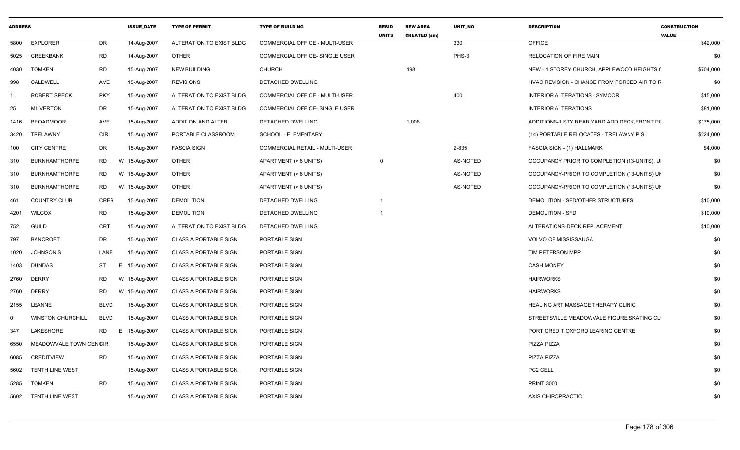| <b>ADDRESS</b> |                          |             | <b>ISSUE_DATE</b> | <b>TYPE OF PERMIT</b>        | <b>TYPE OF BUILDING</b>               | <b>RESID</b><br><b>UNITS</b> | <b>NEW AREA</b><br><b>CREATED (sm)</b> | <b>UNIT NO</b> | <b>DESCRIPTION</b>                            | <b>CONSTRUCTION</b><br><b>VALUE</b> |
|----------------|--------------------------|-------------|-------------------|------------------------------|---------------------------------------|------------------------------|----------------------------------------|----------------|-----------------------------------------------|-------------------------------------|
| 5800           | <b>EXPLORER</b>          | <b>DR</b>   | 14-Aug-2007       | ALTERATION TO EXIST BLDG     | <b>COMMERCIAL OFFICE - MULTI-USER</b> |                              |                                        | 330            | <b>OFFICE</b>                                 | \$42,000                            |
| 5025           | CREEKBANK                | <b>RD</b>   | 14-Aug-2007       | <b>OTHER</b>                 | <b>COMMERCIAL OFFICE- SINGLE USER</b> |                              |                                        | PHS-3          | <b>RELOCATION OF FIRE MAIN</b>                | \$0                                 |
| 4030           | <b>TOMKEN</b>            | <b>RD</b>   | 15-Aug-2007       | <b>NEW BUILDING</b>          | CHURCH                                |                              | 498                                    |                | NEW - 1 STOREY CHURCH, APPLEWOOD HEIGHTS (    | \$704,000                           |
| 998            | CALDWELL                 | AVE         | 15-Aug-2007       | <b>REVISIONS</b>             | DETACHED DWELLING                     |                              |                                        |                | HVAC REVISION - CHANGE FROM FORCED AIR TO R   | \$0                                 |
| -1             | ROBERT SPECK             | <b>PKY</b>  | 15-Aug-2007       | ALTERATION TO EXIST BLDG     | COMMERCIAL OFFICE - MULTI-USER        |                              |                                        | 400            | INTERIOR ALTERATIONS - SYMCOR                 | \$15,000                            |
| 25             | <b>MILVERTON</b>         | DR          | 15-Aug-2007       | ALTERATION TO EXIST BLDG     | COMMERCIAL OFFICE- SINGLE USER        |                              |                                        |                | <b>INTERIOR ALTERATIONS</b>                   | \$81,000                            |
| 1416           | <b>BROADMOOR</b>         | AVE         | 15-Aug-2007       | ADDITION AND ALTER           | DETACHED DWELLING                     |                              | 1,008                                  |                | ADDITIONS-1 STY REAR YARD ADD, DECK, FRONT PC | \$175,000                           |
| 3420           | TRELAWNY                 | <b>CIR</b>  | 15-Aug-2007       | PORTABLE CLASSROOM           | SCHOOL - ELEMENTARY                   |                              |                                        |                | (14) PORTABLE RELOCATES - TRELAWNY P.S.       | \$224,000                           |
| 100            | <b>CITY CENTRE</b>       | DR          | 15-Aug-2007       | <b>FASCIA SIGN</b>           | COMMERCIAL RETAIL - MULTI-USER        |                              |                                        | 2-835          | FASCIA SIGN - (1) HALLMARK                    | \$4,000                             |
| 310            | <b>BURNHAMTHORPE</b>     | <b>RD</b>   | W 15-Aug-2007     | <b>OTHER</b>                 | APARTMENT (> 6 UNITS)                 | $\Omega$                     |                                        | AS-NOTED       | OCCUPANCY PRIOR TO COMPLETION (13-UNITS), UI  | \$0                                 |
| 310            | <b>BURNHAMTHORPE</b>     | <b>RD</b>   | W 15-Aug-2007     | <b>OTHER</b>                 | APARTMENT (> 6 UNITS)                 |                              |                                        | AS-NOTED       | OCCUPANCY-PRIOR TO COMPLETION (13-UNITS) UN   | \$0                                 |
| 310            | <b>BURNHAMTHORPE</b>     | <b>RD</b>   | W 15-Aug-2007     | <b>OTHER</b>                 | APARTMENT (> 6 UNITS)                 |                              |                                        | AS-NOTED       | OCCUPANCY-PRIOR TO COMPLETION (13-UNITS) UN   | \$0                                 |
| 461            | <b>COUNTRY CLUB</b>      | CRES        | 15-Aug-2007       | <b>DEMOLITION</b>            | DETACHED DWELLING                     |                              |                                        |                | DEMOLITION - SFD/OTHER STRUCTURES             | \$10,000                            |
| 4201           | <b>WILCOX</b>            | RD          | 15-Aug-2007       | <b>DEMOLITION</b>            | DETACHED DWELLING                     |                              |                                        |                | <b>DEMOLITION - SFD</b>                       | \$10,000                            |
| 752            | <b>GUILD</b>             | <b>CRT</b>  | 15-Aug-2007       | ALTERATION TO EXIST BLDG     | DETACHED DWELLING                     |                              |                                        |                | ALTERATIONS-DECK REPLACEMENT                  | \$10,000                            |
| 797            | <b>BANCROFT</b>          | DR          | 15-Aug-2007       | <b>CLASS A PORTABLE SIGN</b> | PORTABLE SIGN                         |                              |                                        |                | VOLVO OF MISSISSAUGA                          | \$0                                 |
| 1020           | JOHNSON'S                | LANE        | 15-Aug-2007       | <b>CLASS A PORTABLE SIGN</b> | PORTABLE SIGN                         |                              |                                        |                | TIM PETERSON MPP                              | \$0                                 |
| 1403           | <b>DUNDAS</b>            | <b>ST</b>   | 15-Aug-2007<br>E  | <b>CLASS A PORTABLE SIGN</b> | PORTABLE SIGN                         |                              |                                        |                | <b>CASH MONEY</b>                             | \$0                                 |
| 2760           | <b>DERRY</b>             | <b>RD</b>   | W 15-Aug-2007     | <b>CLASS A PORTABLE SIGN</b> | PORTABLE SIGN                         |                              |                                        |                | <b>HAIRWORKS</b>                              | \$0                                 |
| 2760           | <b>DERRY</b>             | <b>RD</b>   | W 15-Aug-2007     | <b>CLASS A PORTABLE SIGN</b> | PORTABLE SIGN                         |                              |                                        |                | <b>HAIRWORKS</b>                              | \$0                                 |
| 2155           | LEANNE                   | <b>BLVD</b> | 15-Aug-2007       | <b>CLASS A PORTABLE SIGN</b> | PORTABLE SIGN                         |                              |                                        |                | HEALING ART MASSAGE THERAPY CLINIC            | \$0                                 |
| 0              | <b>WINSTON CHURCHILL</b> | <b>BLVD</b> | 15-Aug-2007       | <b>CLASS A PORTABLE SIGN</b> | PORTABLE SIGN                         |                              |                                        |                | STREETSVILLE MEADOWVALE FIGURE SKATING CLI    | \$0                                 |
| 347            | LAKESHORE                | <b>RD</b>   | E 15-Aug-2007     | <b>CLASS A PORTABLE SIGN</b> | PORTABLE SIGN                         |                              |                                        |                | PORT CREDIT OXFORD LEARING CENTRE             | \$0                                 |
| 6550           | MEADOWVALE TOWN CENCIR   |             | 15-Aug-2007       | <b>CLASS A PORTABLE SIGN</b> | PORTABLE SIGN                         |                              |                                        |                | PIZZA PIZZA                                   | \$0                                 |
| 6085           | <b>CREDITVIEW</b>        | RD          | 15-Aug-2007       | <b>CLASS A PORTABLE SIGN</b> | PORTABLE SIGN                         |                              |                                        |                | PIZZA PIZZA                                   | \$0                                 |
| 5602           | TENTH LINE WEST          |             | 15-Aug-2007       | <b>CLASS A PORTABLE SIGN</b> | PORTABLE SIGN                         |                              |                                        |                | PC2 CELL                                      | \$0                                 |
| 5285           | <b>TOMKEN</b>            | <b>RD</b>   | 15-Aug-2007       | <b>CLASS A PORTABLE SIGN</b> | PORTABLE SIGN                         |                              |                                        |                | <b>PRINT 3000.</b>                            | \$0                                 |
|                | 5602 TENTH LINE WEST     |             | 15-Aug-2007       | <b>CLASS A PORTABLE SIGN</b> | PORTABLE SIGN                         |                              |                                        |                | AXIS CHIROPRACTIC                             | \$0                                 |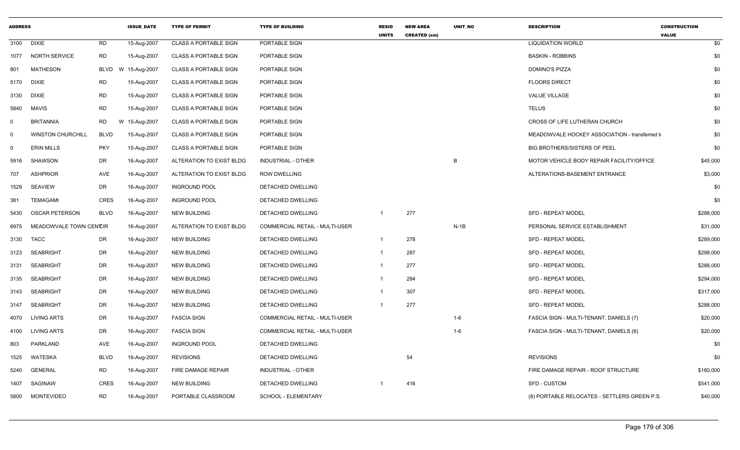| <b>ADDRESS</b> |                          |             | <b>ISSUE DATE</b> | <b>TYPE OF PERMIT</b>        | <b>TYPE OF BUILDING</b>               | <b>RESID</b><br><b>UNITS</b> | <b>NEW AREA</b><br><b>CREATED (sm)</b> | <b>UNIT NO</b> | <b>DESCRIPTION</b>                             | <b>CONSTRUCTION</b><br><b>VALUE</b> |
|----------------|--------------------------|-------------|-------------------|------------------------------|---------------------------------------|------------------------------|----------------------------------------|----------------|------------------------------------------------|-------------------------------------|
| 3100           | <b>DIXIE</b>             | <b>RD</b>   | 15-Aug-2007       | <b>CLASS A PORTABLE SIGN</b> | PORTABLE SIGN                         |                              |                                        |                | <b>LIQUIDATION WORLD</b>                       | \$0                                 |
| 1077           | <b>NORTH SERVICE</b>     | <b>RD</b>   | 15-Aug-2007       | <b>CLASS A PORTABLE SIGN</b> | PORTABLE SIGN                         |                              |                                        |                | <b>BASKIN - ROBBINS</b>                        | \$0                                 |
| 801            | MATHESON                 | <b>BLVD</b> | W 15-Aug-2007     | <b>CLASS A PORTABLE SIGN</b> | PORTABLE SIGN                         |                              |                                        |                | <b>DOMINO'S PIZZA</b>                          | \$0                                 |
| 5170           | <b>DIXIE</b>             | RD          | 15-Aug-2007       | <b>CLASS A PORTABLE SIGN</b> | PORTABLE SIGN                         |                              |                                        |                | <b>FLOORS DIRECT</b>                           | \$0                                 |
| 3130           | <b>DIXIE</b>             | <b>RD</b>   | 15-Aug-2007       | <b>CLASS A PORTABLE SIGN</b> | PORTABLE SIGN                         |                              |                                        |                | <b>VALUE VILLAGE</b>                           | \$0                                 |
| 5840           | <b>MAVIS</b>             | <b>RD</b>   | 15-Aug-2007       | <b>CLASS A PORTABLE SIGN</b> | PORTABLE SIGN                         |                              |                                        |                | TELUS                                          | \$0                                 |
| $\mathbf 0$    | <b>BRITANNIA</b>         | <b>RD</b>   | W 15-Aug-2007     | <b>CLASS A PORTABLE SIGN</b> | <b>PORTABLE SIGN</b>                  |                              |                                        |                | CROSS OF LIFE LUTHERAN CHURCH                  | \$0                                 |
| $\mathbf 0$    | <b>WINSTON CHURCHILL</b> | <b>BLVD</b> | 15-Aug-2007       | <b>CLASS A PORTABLE SIGN</b> | PORTABLE SIGN                         |                              |                                        |                | MEADOWVALE HOCKEY ASSOCIATION - transferred to | \$0                                 |
| $\mathbf 0$    | <b>ERIN MILLS</b>        | <b>PKY</b>  | 15-Aug-2007       | <b>CLASS A PORTABLE SIGN</b> | PORTABLE SIGN                         |                              |                                        |                | BIG BROTHERS/SISTERS OF PEEL                   | \$0                                 |
| 5916           | SHAWSON                  | DR          | 16-Aug-2007       | ALTERATION TO EXIST BLDG     | <b>INDUSTRIAL - OTHER</b>             |                              |                                        | B              | MOTOR VEHICLE BODY REPAIR FACILITY/OFFICE      | \$45,000                            |
| 707            | <b>ASHPRIOR</b>          | AVE         | 16-Aug-2007       | ALTERATION TO EXIST BLDG     | <b>ROW DWELLING</b>                   |                              |                                        |                | ALTERATIONS-BASEMENT ENTRANCE                  | \$3,000                             |
| 1529           | <b>SEAVIEW</b>           | DR          | 16-Aug-2007       | <b>INGROUND POOL</b>         | DETACHED DWELLING                     |                              |                                        |                |                                                | \$0                                 |
| 381            | <b>TEMAGAMI</b>          | <b>CRES</b> | 16-Aug-2007       | <b>INGROUND POOL</b>         | DETACHED DWELLING                     |                              |                                        |                |                                                | \$0                                 |
| 5430           | <b>OSCAR PETERSON</b>    | <b>BLVD</b> | 16-Aug-2007       | <b>NEW BUILDING</b>          | DETACHED DWELLING                     | $\overline{1}$               | 277                                    |                | <b>SFD - REPEAT MODEL</b>                      | \$288,000                           |
| 6975           | MEADOWVALE TOWN CENCIR   |             | 16-Aug-2007       | ALTERATION TO EXIST BLDG     | COMMERCIAL RETAIL - MULTI-USER        |                              |                                        | $N-1B$         | PERSONAL SERVICE ESTABLISHMENT                 | \$31,000                            |
| 3130           | TACC                     | DR          | 16-Aug-2007       | <b>NEW BUILDING</b>          | DETACHED DWELLING                     | 1                            | 278                                    |                | <b>SFD - REPEAT MODEL</b>                      | \$289,000                           |
| 3123           | <b>SEABRIGHT</b>         | DR          | 16-Aug-2007       | NEW BUILDING                 | DETACHED DWELLING                     | 1                            | 287                                    |                | <b>SFD - REPEAT MODEL</b>                      | \$298,000                           |
| 3131           | <b>SEABRIGHT</b>         | DR          | 16-Aug-2007       | <b>NEW BUILDING</b>          | DETACHED DWELLING                     | 1                            | 277                                    |                | SFD - REPEAT MODEL                             | \$288,000                           |
| 3135           | SEABRIGHT                | DR          | 16-Aug-2007       | <b>NEW BUILDING</b>          | DETACHED DWELLING                     | 1                            | 284                                    |                | <b>SFD - REPEAT MODEL</b>                      | \$294,000                           |
| 3143           | <b>SEABRIGHT</b>         | DR          | 16-Aug-2007       | <b>NEW BUILDING</b>          | DETACHED DWELLING                     |                              | 307                                    |                | <b>SFD - REPEAT MODEL</b>                      | \$317,000                           |
| 3147           | <b>SEABRIGHT</b>         | DR          | 16-Aug-2007       | <b>NEW BUILDING</b>          | DETACHED DWELLING                     |                              | 277                                    |                | <b>SFD - REPEAT MODEL</b>                      | \$288,000                           |
| 4070           | <b>LIVING ARTS</b>       | DR          | 16-Aug-2007       | <b>FASCIA SIGN</b>           | <b>COMMERCIAL RETAIL - MULTI-USER</b> |                              |                                        | $1 - 6$        | FASCIA SIGN - MULTI-TENANT, DANIELS (7)        | \$20,000                            |
| 4100           | <b>LIVING ARTS</b>       | DR          | 16-Aug-2007       | <b>FASCIA SIGN</b>           | COMMERCIAL RETAIL - MULTI-USER        |                              |                                        | $1-6$          | FASCIA SIGN - MULTI-TENANT, DANIELS (6)        | \$20,000                            |
| 803            | PARKLAND                 | AVE         | 16-Aug-2007       | <b>INGROUND POOL</b>         | DETACHED DWELLING                     |                              |                                        |                |                                                | \$0                                 |
| 1525           | WATESKA                  | <b>BLVD</b> | 16-Aug-2007       | <b>REVISIONS</b>             | DETACHED DWELLING                     |                              | 54                                     |                | <b>REVISIONS</b>                               | \$0                                 |
| 5240           | GENERAL                  | RD          | 16-Aug-2007       | FIRE DAMAGE REPAIR           | <b>INDUSTRIAL - OTHER</b>             |                              |                                        |                | FIRE DAMAGE REPAIR - ROOF STRUCTURE            | \$160,000                           |
| 1407           | SAGINAW                  | <b>CRES</b> | 16-Aug-2007       | <b>NEW BUILDING</b>          | DETACHED DWELLING                     |                              | 416                                    |                | SFD - CUSTOM                                   | \$541,000                           |
| 5800           | <b>MONTEVIDEO</b>        | <b>RD</b>   | 16-Aug-2007       | PORTABLE CLASSROOM           | SCHOOL - ELEMENTARY                   |                              |                                        |                | (8) PORTABLE RELOCATES - SETTLERS GREEN P.S.   | \$40,000                            |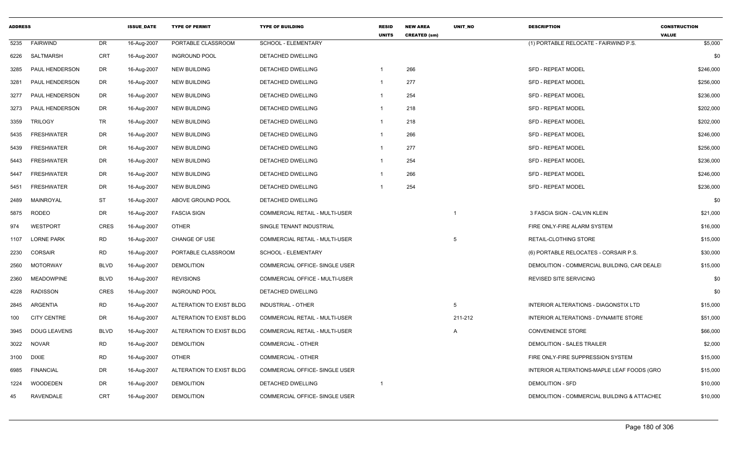| <b>ADDRESS</b> |                     |             | <b>ISSUE_DATE</b> | <b>TYPE OF PERMIT</b>    | <b>TYPE OF BUILDING</b>               | <b>RESID</b><br><b>UNITS</b> | <b>NEW AREA</b><br><b>CREATED (sm)</b> | UNIT_NO        | <b>DESCRIPTION</b>                          | <b>CONSTRUCTION</b><br><b>VALUE</b> |
|----------------|---------------------|-------------|-------------------|--------------------------|---------------------------------------|------------------------------|----------------------------------------|----------------|---------------------------------------------|-------------------------------------|
| 5235           | <b>FAIRWIND</b>     | DR          | 16-Aug-2007       | PORTABLE CLASSROOM       | SCHOOL - ELEMENTARY                   |                              |                                        |                | (1) PORTABLE RELOCATE - FAIRWIND P.S.       | \$5,000                             |
| 6226           | SALTMARSH           | CRT         | 16-Aug-2007       | <b>INGROUND POOL</b>     | DETACHED DWELLING                     |                              |                                        |                |                                             | \$0                                 |
| 3285           | PAUL HENDERSON      | <b>DR</b>   | 16-Aug-2007       | <b>NEW BUILDING</b>      | <b>DETACHED DWELLING</b>              |                              | 266                                    |                | <b>SFD - REPEAT MODEL</b>                   | \$246,000                           |
| 3281           | PAUL HENDERSON      | DR          | 16-Aug-2007       | <b>NEW BUILDING</b>      | DETACHED DWELLING                     | $\mathbf{1}$                 | 277                                    |                | <b>SFD - REPEAT MODEL</b>                   | \$256,000                           |
| 3277           | PAUL HENDERSON      | DR          | 16-Aug-2007       | <b>NEW BUILDING</b>      | DETACHED DWELLING                     | -1                           | 254                                    |                | <b>SFD - REPEAT MODEL</b>                   | \$236,000                           |
| 3273           | PAUL HENDERSON      | DR          | 16-Aug-2007       | <b>NEW BUILDING</b>      | DETACHED DWELLING                     | $\overline{1}$               | 218                                    |                | <b>SFD - REPEAT MODEL</b>                   | \$202,000                           |
| 3359           | <b>TRILOGY</b>      | <b>TR</b>   | 16-Aug-2007       | <b>NEW BUILDING</b>      | DETACHED DWELLING                     | -1                           | 218                                    |                | <b>SFD - REPEAT MODEL</b>                   | \$202,000                           |
| 5435           | <b>FRESHWATER</b>   | <b>DR</b>   | 16-Aug-2007       | <b>NEW BUILDING</b>      | <b>DETACHED DWELLING</b>              | $\overline{1}$               | 266                                    |                | <b>SFD - REPEAT MODEL</b>                   | \$246,000                           |
| 5439           | <b>FRESHWATER</b>   | DR          | 16-Aug-2007       | <b>NEW BUILDING</b>      | DETACHED DWELLING                     | -1                           | 277                                    |                | <b>SFD - REPEAT MODEL</b>                   | \$256,000                           |
| 5443           | <b>FRESHWATER</b>   | DR          | 16-Aug-2007       | <b>NEW BUILDING</b>      | DETACHED DWELLING                     | $\mathbf{1}$                 | 254                                    |                | <b>SFD - REPEAT MODEL</b>                   | \$236,000                           |
| 5447           | <b>FRESHWATER</b>   | DR          | 16-Aug-2007       | <b>NEW BUILDING</b>      | DETACHED DWELLING                     | $\overline{1}$               | 266                                    |                | <b>SFD - REPEAT MODEL</b>                   | \$246,000                           |
| 5451           | <b>FRESHWATER</b>   | <b>DR</b>   | 16-Aug-2007       | <b>NEW BUILDING</b>      | DETACHED DWELLING                     |                              | 254                                    |                | <b>SFD - REPEAT MODEL</b>                   | \$236,000                           |
| 2489           | MAINROYAL           | <b>ST</b>   | 16-Aug-2007       | ABOVE GROUND POOL        | <b>DETACHED DWELLING</b>              |                              |                                        |                |                                             | \$0                                 |
| 5875           | <b>RODEO</b>        | DR          | 16-Aug-2007       | <b>FASCIA SIGN</b>       | COMMERCIAL RETAIL - MULTI-USER        |                              |                                        |                | 3 FASCIA SIGN - CALVIN KLEIN                | \$21,000                            |
| 974            | WESTPORT            | CRES        | 16-Aug-2007       | <b>OTHER</b>             | SINGLE TENANT INDUSTRIAL              |                              |                                        |                | FIRE ONLY-FIRE ALARM SYSTEM                 | \$16,000                            |
| 1107           | <b>LORNE PARK</b>   | <b>RD</b>   | 16-Aug-2007       | <b>CHANGE OF USE</b>     | COMMERCIAL RETAIL - MULTI-USER        |                              |                                        | -5             | RETAIL-CLOTHING STORE                       | \$15,000                            |
| 2230           | <b>CORSAIR</b>      | <b>RD</b>   | 16-Aug-2007       | PORTABLE CLASSROOM       | SCHOOL - ELEMENTARY                   |                              |                                        |                | (6) PORTABLE RELOCATES - CORSAIR P.S.       | \$30,000                            |
| 2560           | <b>MOTORWAY</b>     | <b>BLVD</b> | 16-Aug-2007       | <b>DEMOLITION</b>        | COMMERCIAL OFFICE- SINGLE USER        |                              |                                        |                | DEMOLITION - COMMERCIAL BUILDING, CAR DEALE | \$15,000                            |
| 2360           | <b>MEADOWPINE</b>   | <b>BLVD</b> | 16-Aug-2007       | <b>REVISIONS</b>         | COMMERCIAL OFFICE - MULTI-USER        |                              |                                        |                | <b>REVISED SITE SERVICING</b>               | \$0                                 |
| 4228           | <b>RADISSON</b>     | CRES        | 16-Aug-2007       | <b>INGROUND POOL</b>     | DETACHED DWELLING                     |                              |                                        |                |                                             | \$0                                 |
| 2845           | ARGENTIA            | <b>RD</b>   | 16-Aug-2007       | ALTERATION TO EXIST BLDG | <b>INDUSTRIAL - OTHER</b>             |                              |                                        | -5             | INTERIOR ALTERATIONS - DIAGONSTIX LTD       | \$15,000                            |
| 100            | <b>CITY CENTRE</b>  | DR          | 16-Aug-2007       | ALTERATION TO EXIST BLDG | COMMERCIAL RETAIL - MULTI-USER        |                              |                                        | 211-212        | INTERIOR ALTERATIONS - DYNAMITE STORE       | \$51,000                            |
| 3945           | <b>DOUG LEAVENS</b> | <b>BLVD</b> | 16-Aug-2007       | ALTERATION TO EXIST BLDG | <b>COMMERCIAL RETAIL - MULTI-USER</b> |                              |                                        | $\overline{A}$ | <b>CONVENIENCE STORE</b>                    | \$66,000                            |
| 3022           | <b>NOVAR</b>        | RD          | 16-Aug-2007       | <b>DEMOLITION</b>        | <b>COMMERCIAL - OTHER</b>             |                              |                                        |                | DEMOLITION - SALES TRAILER                  | \$2,000                             |
| 3100           | <b>DIXIE</b>        | <b>RD</b>   | 16-Aug-2007       | <b>OTHER</b>             | COMMERCIAL - OTHER                    |                              |                                        |                | FIRE ONLY-FIRE SUPPRESSION SYSTEM           | \$15,000                            |
| 6985           | <b>FINANCIAL</b>    | DR          | 16-Aug-2007       | ALTERATION TO EXIST BLDG | COMMERCIAL OFFICE- SINGLE USER        |                              |                                        |                | INTERIOR ALTERATIONS-MAPLE LEAF FOODS (GRO  | \$15,000                            |
| 1224           | WOODEDEN            | DR          | 16-Aug-2007       | <b>DEMOLITION</b>        | DETACHED DWELLING                     | $\overline{\mathbf{1}}$      |                                        |                | <b>DEMOLITION - SFD</b>                     | \$10,000                            |
| 45             | <b>RAVENDALE</b>    | <b>CRT</b>  | 16-Aug-2007       | <b>DEMOLITION</b>        | COMMERCIAL OFFICE- SINGLE USER        |                              |                                        |                | DEMOLITION - COMMERCIAL BUILDING & ATTACHED | \$10,000                            |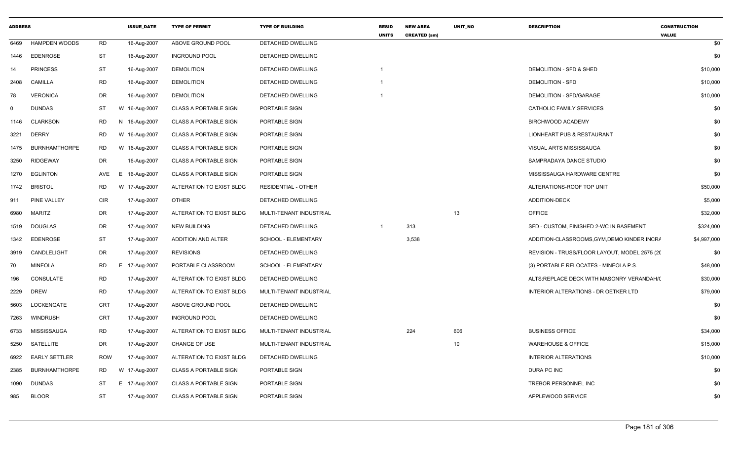| <b>ADDRESS</b> |                      |            | <b>ISSUE DATE</b> | <b>TYPE OF PERMIT</b>        | <b>TYPE OF BUILDING</b>    | <b>RESID</b><br><b>UNITS</b> | <b>NEW AREA</b><br><b>CREATED (sm)</b> | UNIT NO | <b>DESCRIPTION</b>                            | <b>CONSTRUCTION</b><br><b>VALUE</b> |
|----------------|----------------------|------------|-------------------|------------------------------|----------------------------|------------------------------|----------------------------------------|---------|-----------------------------------------------|-------------------------------------|
| 6469           | <b>HAMPDEN WOODS</b> | <b>RD</b>  | 16-Aug-2007       | ABOVE GROUND POOL            | <b>DETACHED DWELLING</b>   |                              |                                        |         |                                               | \$0                                 |
| 1446           | <b>EDENROSE</b>      | <b>ST</b>  | 16-Aug-2007       | <b>INGROUND POOL</b>         | DETACHED DWELLING          |                              |                                        |         |                                               | \$0                                 |
| 14             | <b>PRINCESS</b>      | <b>ST</b>  | 16-Aug-2007       | <b>DEMOLITION</b>            | DETACHED DWELLING          |                              |                                        |         | DEMOLITION - SFD & SHED                       | \$10,000                            |
| 2408           | <b>CAMILLA</b>       | <b>RD</b>  | 16-Aug-2007       | <b>DEMOLITION</b>            | DETACHED DWELLING          | -1                           |                                        |         | <b>DEMOLITION - SFD</b>                       | \$10,000                            |
| 78             | <b>VERONICA</b>      | DR         | 16-Aug-2007       | <b>DEMOLITION</b>            | DETACHED DWELLING          |                              |                                        |         | DEMOLITION - SFD/GARAGE                       | \$10,000                            |
| $\Omega$       | <b>DUNDAS</b>        | ST         | W 16-Aug-2007     | <b>CLASS A PORTABLE SIGN</b> | PORTABLE SIGN              |                              |                                        |         | CATHOLIC FAMILY SERVICES                      | \$0                                 |
| 1146           | <b>CLARKSON</b>      | <b>RD</b>  | 16-Aug-2007<br>N. | <b>CLASS A PORTABLE SIGN</b> | PORTABLE SIGN              |                              |                                        |         | BIRCHWOOD ACADEMY                             | \$0                                 |
| 3221           | <b>DERRY</b>         | <b>RD</b>  | W 16-Aug-2007     | <b>CLASS A PORTABLE SIGN</b> | PORTABLE SIGN              |                              |                                        |         | LIONHEART PUB & RESTAURANT                    | \$0                                 |
| 1475           | <b>BURNHAMTHORPE</b> | <b>RD</b>  | W 16-Aug-2007     | <b>CLASS A PORTABLE SIGN</b> | PORTABLE SIGN              |                              |                                        |         | VISUAL ARTS MISSISSAUGA                       | \$0                                 |
| 3250           | <b>RIDGEWAY</b>      | DR         | 16-Aug-2007       | <b>CLASS A PORTABLE SIGN</b> | PORTABLE SIGN              |                              |                                        |         | SAMPRADAYA DANCE STUDIO                       | \$0                                 |
| 1270           | <b>EGLINTON</b>      | AVE        | 16-Aug-2007<br>E. | <b>CLASS A PORTABLE SIGN</b> | PORTABLE SIGN              |                              |                                        |         | MISSISSAUGA HARDWARE CENTRE                   | \$0                                 |
| 1742           | <b>BRISTOL</b>       | RD         | W 17-Aug-2007     | ALTERATION TO EXIST BLDG     | <b>RESIDENTIAL - OTHER</b> |                              |                                        |         | ALTERATIONS-ROOF TOP UNIT                     | \$50,000                            |
| 911            | PINE VALLEY          | <b>CIR</b> | 17-Aug-2007       | OTHER                        | DETACHED DWELLING          |                              |                                        |         | <b>ADDITION-DECK</b>                          | \$5,000                             |
| 6980           | <b>MARITZ</b>        | DR         | 17-Aug-2007       | ALTERATION TO EXIST BLDG     | MULTI-TENANT INDUSTRIAL    |                              |                                        | 13      | OFFICE                                        | \$32,000                            |
| 1519           | <b>DOUGLAS</b>       | DR         | 17-Aug-2007       | <b>NEW BUILDING</b>          | DETACHED DWELLING          | $\overline{1}$               | 313                                    |         | SFD - CUSTOM, FINISHED 2-WC IN BASEMENT       | \$324,000                           |
| 1342           | <b>EDENROSE</b>      | <b>ST</b>  | 17-Aug-2007       | ADDITION AND ALTER           | SCHOOL - ELEMENTARY        |                              | 3,538                                  |         | ADDITION-CLASSROOMS, GYM, DEMO KINDER, INCRA  | \$4,997,000                         |
| 3919           | CANDLELIGHT          | DR         | 17-Aug-2007       | <b>REVISIONS</b>             | DETACHED DWELLING          |                              |                                        |         | REVISION - TRUSS/FLOOR LAYOUT, MODEL 2575 (20 | \$0                                 |
| 70             | <b>MINEOLA</b>       | <b>RD</b>  | 17-Aug-2007<br>E. | PORTABLE CLASSROOM           | SCHOOL - ELEMENTARY        |                              |                                        |         | (3) PORTABLE RELOCATES - MINEOLA P.S.         | \$48,000                            |
| 196            | CONSULATE            | <b>RD</b>  | 17-Aug-2007       | ALTERATION TO EXIST BLDG     | DETACHED DWELLING          |                              |                                        |         | ALTS:REPLACE DECK WITH MASONRY VERANDAH/(     | \$30,000                            |
| 2229           | <b>DREW</b>          | <b>RD</b>  | 17-Aug-2007       | ALTERATION TO EXIST BLDG     | MULTI-TENANT INDUSTRIAL    |                              |                                        |         | INTERIOR ALTERATIONS - DR OETKER LTD          | \$79,000                            |
| 5603           | LOCKENGATE           | CRT        | 17-Aug-2007       | ABOVE GROUND POOL            | DETACHED DWELLING          |                              |                                        |         |                                               | \$0                                 |
| 7263           | WINDRUSH             | CRT        | 17-Aug-2007       | <b>INGROUND POOL</b>         | <b>DETACHED DWELLING</b>   |                              |                                        |         |                                               | \$0                                 |
| 6733           | MISSISSAUGA          | <b>RD</b>  | 17-Aug-2007       | ALTERATION TO EXIST BLDG     | MULTI-TENANT INDUSTRIAL    |                              | 224                                    | 606     | <b>BUSINESS OFFICE</b>                        | \$34,000                            |
| 5250           | SATELLITE            | DR         | 17-Aug-2007       | CHANGE OF USE                | MULTI-TENANT INDUSTRIAL    |                              |                                        | 10      | <b>WAREHOUSE &amp; OFFICE</b>                 | \$15,000                            |
| 6922           | <b>EARLY SETTLER</b> | <b>ROW</b> | 17-Aug-2007       | ALTERATION TO EXIST BLDG     | DETACHED DWELLING          |                              |                                        |         | <b>INTERIOR ALTERATIONS</b>                   | \$10,000                            |
| 2385           | <b>BURNHAMTHORPE</b> | RD         | W 17-Aug-2007     | <b>CLASS A PORTABLE SIGN</b> | PORTABLE SIGN              |                              |                                        |         | DURA PC INC                                   | \$0                                 |
| 1090           | <b>DUNDAS</b>        | <b>ST</b>  | E 17-Aug-2007     | <b>CLASS A PORTABLE SIGN</b> | PORTABLE SIGN              |                              |                                        |         | TREBOR PERSONNEL INC                          | \$0                                 |
| 985            | <b>BLOOR</b>         | <b>ST</b>  | 17-Aug-2007       | <b>CLASS A PORTABLE SIGN</b> | PORTABLE SIGN              |                              |                                        |         | APPLEWOOD SERVICE                             | \$0                                 |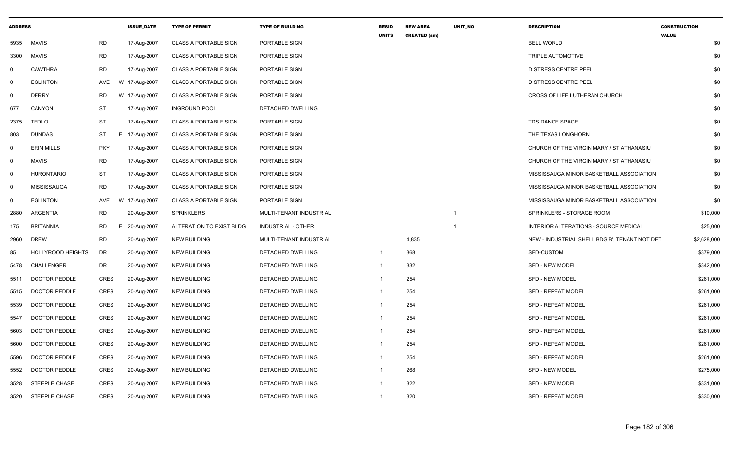| <b>ADDRESS</b> |                      |             | <b>ISSUE DATE</b> | <b>TYPE OF PERMIT</b>        | <b>TYPE OF BUILDING</b>   | <b>RESID</b><br><b>UNITS</b> | <b>NEW AREA</b><br><b>CREATED (sm)</b> | <b>UNIT NO</b>          | <b>DESCRIPTION</b>                            | <b>CONSTRUCTION</b><br><b>VALUE</b> |
|----------------|----------------------|-------------|-------------------|------------------------------|---------------------------|------------------------------|----------------------------------------|-------------------------|-----------------------------------------------|-------------------------------------|
| 5935           | <b>MAVIS</b>         | <b>RD</b>   | 17-Aug-2007       | <b>CLASS A PORTABLE SIGN</b> | PORTABLE SIGN             |                              |                                        |                         | <b>BELL WORLD</b>                             | \$0                                 |
| 3300           | MAVIS                | <b>RD</b>   | 17-Aug-2007       | <b>CLASS A PORTABLE SIGN</b> | PORTABLE SIGN             |                              |                                        |                         | TRIPLE AUTOMOTIVE                             | \$0                                 |
| $\mathbf{0}$   | <b>CAWTHRA</b>       | RD          | 17-Aug-2007       | <b>CLASS A PORTABLE SIGN</b> | PORTABLE SIGN             |                              |                                        |                         | DISTRESS CENTRE PEEL                          | \$0                                 |
| $\mathbf 0$    | <b>EGLINTON</b>      | AVE         | W 17-Aug-2007     | <b>CLASS A PORTABLE SIGN</b> | PORTABLE SIGN             |                              |                                        |                         | <b>DISTRESS CENTRE PEEL</b>                   | \$0                                 |
| $\mathbf 0$    | <b>DERRY</b>         | RD          | W 17-Aug-2007     | <b>CLASS A PORTABLE SIGN</b> | PORTABLE SIGN             |                              |                                        |                         | CROSS OF LIFE LUTHERAN CHURCH                 | \$0                                 |
| 677            | CANYON               | <b>ST</b>   | 17-Aug-2007       | <b>INGROUND POOL</b>         | DETACHED DWELLING         |                              |                                        |                         |                                               | \$0                                 |
| 2375           | <b>TEDLO</b>         | ST          | 17-Aug-2007       | <b>CLASS A PORTABLE SIGN</b> | PORTABLE SIGN             |                              |                                        |                         | <b>TDS DANCE SPACE</b>                        | \$0                                 |
| 803            | <b>DUNDAS</b>        | ST          | E 17-Aug-2007     | <b>CLASS A PORTABLE SIGN</b> | PORTABLE SIGN             |                              |                                        |                         | THE TEXAS LONGHORN                            | \$0                                 |
| $\mathbf 0$    | <b>ERIN MILLS</b>    | <b>PKY</b>  | 17-Aug-2007       | <b>CLASS A PORTABLE SIGN</b> | PORTABLE SIGN             |                              |                                        |                         | CHURCH OF THE VIRGIN MARY / ST ATHANASIU      | \$0                                 |
| $\mathbf{0}$   | <b>MAVIS</b>         | <b>RD</b>   | 17-Aug-2007       | <b>CLASS A PORTABLE SIGN</b> | PORTABLE SIGN             |                              |                                        |                         | CHURCH OF THE VIRGIN MARY / ST ATHANASIU      | \$0                                 |
| $\mathbf 0$    | HURONTARIO           | <b>ST</b>   | 17-Aug-2007       | <b>CLASS A PORTABLE SIGN</b> | PORTABLE SIGN             |                              |                                        |                         | MISSISSAUGA MINOR BASKETBALL ASSOCIATION      | \$0                                 |
| $\mathbf{0}$   | <b>MISSISSAUGA</b>   | RD          | 17-Aug-2007       | <b>CLASS A PORTABLE SIGN</b> | PORTABLE SIGN             |                              |                                        |                         | MISSISSAUGA MINOR BASKETBALL ASSOCIATION      | \$0                                 |
| $\mathbf 0$    | <b>EGLINTON</b>      | AVE         | W 17-Aug-2007     | <b>CLASS A PORTABLE SIGN</b> | PORTABLE SIGN             |                              |                                        |                         | MISSISSAUGA MINOR BASKETBALL ASSOCIATION      | \$0                                 |
| 2880           | ARGENTIA             | <b>RD</b>   | 20-Aug-2007       | <b>SPRINKLERS</b>            | MULTI-TENANT INDUSTRIAL   |                              |                                        | $\overline{\mathbf{1}}$ | SPRINKLERS - STORAGE ROOM                     | \$10,000                            |
| 175            | <b>BRITANNIA</b>     | RD          | E 20-Aug-2007     | ALTERATION TO EXIST BLDG     | <b>INDUSTRIAL - OTHER</b> |                              |                                        | -1                      | INTERIOR ALTERATIONS - SOURCE MEDICAL         | \$25,000                            |
| 2960           | <b>DREW</b>          | <b>RD</b>   | 20-Aug-2007       | <b>NEW BUILDING</b>          | MULTI-TENANT INDUSTRIAL   |                              | 4,835                                  |                         | NEW - INDUSTRIAL SHELL BDG'B', TENANT NOT DET | \$2,628,000                         |
| 85             | HOLLYROOD HEIGHTS    | DR          | 20-Aug-2007       | <b>NEW BUILDING</b>          | DETACHED DWELLING         |                              | 368                                    |                         | SFD-CUSTOM                                    | \$379,000                           |
| 5478           | CHALLENGER           | DR          | 20-Aug-2007       | <b>NEW BUILDING</b>          | DETACHED DWELLING         |                              | 332                                    |                         | <b>SFD - NEW MODEL</b>                        | \$342,000                           |
| 5511           | DOCTOR PEDDLE        | <b>CRES</b> | 20-Aug-2007       | <b>NEW BUILDING</b>          | DETACHED DWELLING         |                              | 254                                    |                         | <b>SFD - NEW MODEL</b>                        | \$261,000                           |
| 5515           | <b>DOCTOR PEDDLE</b> | <b>CRES</b> | 20-Aug-2007       | <b>NEW BUILDING</b>          | DETACHED DWELLING         |                              | 254                                    |                         | <b>SFD - REPEAT MODEL</b>                     | \$261,000                           |
| 5539           | DOCTOR PEDDLE        | <b>CRES</b> | 20-Aug-2007       | <b>NEW BUILDING</b>          | DETACHED DWELLING         |                              | 254                                    |                         | <b>SFD - REPEAT MODEL</b>                     | \$261,000                           |
| 5547           | <b>DOCTOR PEDDLE</b> | <b>CRES</b> | 20-Aug-2007       | <b>NEW BUILDING</b>          | DETACHED DWELLING         |                              | 254                                    |                         | <b>SFD - REPEAT MODEL</b>                     | \$261,000                           |
| 5603           | <b>DOCTOR PEDDLE</b> | CRES        | 20-Aug-2007       | <b>NEW BUILDING</b>          | DETACHED DWELLING         |                              | 254                                    |                         | SFD - REPEAT MODEL                            | \$261,000                           |
| 5600           | <b>DOCTOR PEDDLE</b> | CRES        | 20-Aug-2007       | <b>NEW BUILDING</b>          | DETACHED DWELLING         |                              | 254                                    |                         | <b>SFD - REPEAT MODEL</b>                     | \$261,000                           |
| 5596           | DOCTOR PEDDLE        | <b>CRES</b> | 20-Aug-2007       | <b>NEW BUILDING</b>          | DETACHED DWELLING         |                              | 254                                    |                         | <b>SFD - REPEAT MODEL</b>                     | \$261,000                           |
| 5552           | <b>DOCTOR PEDDLE</b> | <b>CRES</b> | 20-Aug-2007       | <b>NEW BUILDING</b>          | DETACHED DWELLING         |                              | 268                                    |                         | <b>SFD - NEW MODEL</b>                        | \$275,000                           |
| 3528           | STEEPLE CHASE        | <b>CRES</b> | 20-Aug-2007       | <b>NEW BUILDING</b>          | DETACHED DWELLING         |                              | 322                                    |                         | <b>SFD - NEW MODEL</b>                        | \$331,000                           |
| 3520           | STEEPLE CHASE        | CRES        | 20-Aug-2007       | <b>NEW BUILDING</b>          | <b>DETACHED DWELLING</b>  |                              | 320                                    |                         | <b>SFD - REPEAT MODEL</b>                     | \$330,000                           |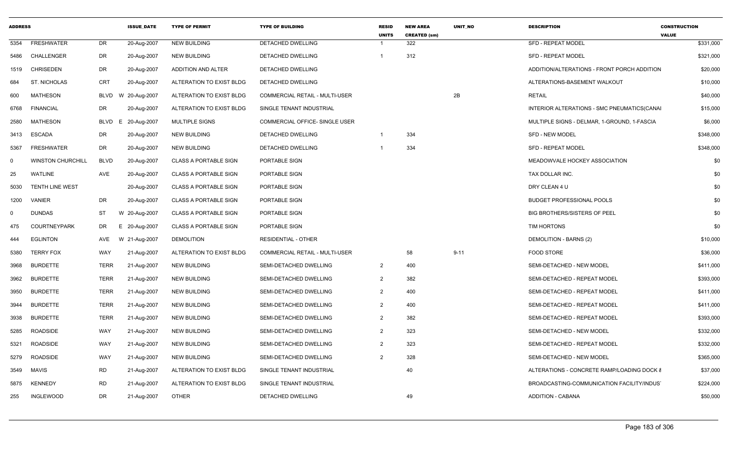| <b>ADDRESS</b> |                          |             | <b>ISSUE DATE</b> | <b>TYPE OF PERMIT</b>        | <b>TYPE OF BUILDING</b>        | <b>RESID</b><br><b>UNITS</b> | <b>NEW AREA</b><br><b>CREATED (sm)</b> | <b>UNIT NO</b> | <b>DESCRIPTION</b>                          | <b>CONSTRUCTION</b><br><b>VALUE</b> |
|----------------|--------------------------|-------------|-------------------|------------------------------|--------------------------------|------------------------------|----------------------------------------|----------------|---------------------------------------------|-------------------------------------|
| 5354           | <b>FRESHWATER</b>        | DR.         | 20-Aug-2007       | <b>NEW BUILDING</b>          | <b>DETACHED DWELLING</b>       |                              | 322                                    |                | <b>SFD - REPEAT MODEL</b>                   | \$331,000                           |
| 5486           | <b>CHALLENGER</b>        | DR          | 20-Aug-2007       | <b>NEW BUILDING</b>          | DETACHED DWELLING              |                              | 312                                    |                | <b>SFD - REPEAT MODEL</b>                   | \$321,000                           |
| 1519           | <b>CHRISEDEN</b>         | DR          | 20-Aug-2007       | ADDITION AND ALTER           | DETACHED DWELLING              |                              |                                        |                | ADDITION/ALTERATIONS - FRONT PORCH ADDITION | \$20,000                            |
| 684            | ST. NICHOLAS             | <b>CRT</b>  | 20-Aug-2007       | ALTERATION TO EXIST BLDG     | DETACHED DWELLING              |                              |                                        |                | ALTERATIONS-BASEMENT WALKOUT                | \$10,000                            |
| 600            | <b>MATHESON</b>          | BLVD        | W 20-Aug-2007     | ALTERATION TO EXIST BLDG     | COMMERCIAL RETAIL - MULTI-USER |                              |                                        | 2B             | <b>RETAIL</b>                               | \$40,000                            |
| 6768           | <b>FINANCIAL</b>         | DR          | 20-Aug-2007       | ALTERATION TO EXIST BLDG     | SINGLE TENANT INDUSTRIAL       |                              |                                        |                | INTERIOR ALTERATIONS - SMC PNEUMATICS(CANAI | \$15,000                            |
| 2580           | MATHESON                 | BLVD<br>E.  | 20-Aug-2007       | <b>MULTIPLE SIGNS</b>        | COMMERCIAL OFFICE- SINGLE USER |                              |                                        |                | MULTIPLE SIGNS - DELMAR, 1-GROUND, 1-FASCIA | \$6,000                             |
| 3413           | ESCADA                   | DR          | 20-Aug-2007       | <b>NEW BUILDING</b>          | DETACHED DWELLING              |                              | 334                                    |                | <b>SFD - NEW MODEL</b>                      | \$348,000                           |
| 5367           | FRESHWATER               | DR          | 20-Aug-2007       | <b>NEW BUILDING</b>          | DETACHED DWELLING              |                              | 334                                    |                | <b>SFD - REPEAT MODEL</b>                   | \$348,000                           |
| $\mathbf 0$    | <b>WINSTON CHURCHILL</b> | <b>BLVD</b> | 20-Aug-2007       | <b>CLASS A PORTABLE SIGN</b> | PORTABLE SIGN                  |                              |                                        |                | MEADOWVALE HOCKEY ASSOCIATION               | \$0                                 |
| 25             | WATLINE                  | AVE         | 20-Aug-2007       | <b>CLASS A PORTABLE SIGN</b> | PORTABLE SIGN                  |                              |                                        |                | TAX DOLLAR INC.                             | \$0                                 |
| 5030           | TENTH LINE WEST          |             | 20-Aug-2007       | <b>CLASS A PORTABLE SIGN</b> | PORTABLE SIGN                  |                              |                                        |                | DRY CLEAN 4 U                               | \$0                                 |
| 1200           | VANIER                   | DR          | 20-Aug-2007       | <b>CLASS A PORTABLE SIGN</b> | PORTABLE SIGN                  |                              |                                        |                | <b>BUDGET PROFESSIONAL POOLS</b>            | \$0                                 |
| $\mathbf 0$    | <b>DUNDAS</b>            | ST          | W 20-Aug-2007     | <b>CLASS A PORTABLE SIGN</b> | PORTABLE SIGN                  |                              |                                        |                | <b>BIG BROTHERS/SISTERS OF PEEL</b>         | \$0                                 |
| 475            | <b>COURTNEYPARK</b>      | DR          | E 20-Aug-2007     | CLASS A PORTABLE SIGN        | PORTABLE SIGN                  |                              |                                        |                | TIM HORTONS                                 | \$0                                 |
| 444            | <b>EGLINTON</b>          | AVE         | W 21-Aug-2007     | <b>DEMOLITION</b>            | RESIDENTIAL - OTHER            |                              |                                        |                | DEMOLITION - BARNS (2)                      | \$10,000                            |
| 5380           | <b>TERRY FOX</b>         | WAY         | 21-Aug-2007       | ALTERATION TO EXIST BLDG     | COMMERCIAL RETAIL - MULTI-USER |                              | 58                                     | $9 - 11$       | FOOD STORE                                  | \$36,000                            |
| 3968           | <b>BURDETTE</b>          | <b>TERR</b> | 21-Aug-2007       | <b>NEW BUILDING</b>          | SEMI-DETACHED DWELLING         | $\overline{2}$               | 400                                    |                | SEMI-DETACHED - NEW MODEL                   | \$411,000                           |
| 3962           | <b>BURDETTE</b>          | <b>TERR</b> | 21-Aug-2007       | <b>NEW BUILDING</b>          | SEMI-DETACHED DWELLING         | $\overline{2}$               | 382                                    |                | SEMI-DETACHED - REPEAT MODEL                | \$393,000                           |
| 3950           | <b>BURDETTE</b>          | <b>TERR</b> | 21-Aug-2007       | <b>NEW BUILDING</b>          | SEMI-DETACHED DWELLING         | $\overline{2}$               | 400                                    |                | SEMI-DETACHED - REPEAT MODEL                | \$411,000                           |
| 3944           | <b>BURDETTE</b>          | <b>TERR</b> | 21-Aug-2007       | <b>NEW BUILDING</b>          | SEMI-DETACHED DWELLING         | $\overline{2}$               | 400                                    |                | SEMI-DETACHED - REPEAT MODEL                | \$411,000                           |
| 3938           | <b>BURDETTE</b>          | <b>TERR</b> | 21-Aug-2007       | <b>NEW BUILDING</b>          | SEMI-DETACHED DWELLING         | $\overline{2}$               | 382                                    |                | SEMI-DETACHED - REPEAT MODEL                | \$393,000                           |
| 5285           | <b>ROADSIDE</b>          | WAY         | 21-Aug-2007       | <b>NEW BUILDING</b>          | SEMI-DETACHED DWELLING         | $\overline{2}$               | 323                                    |                | SEMI-DETACHED - NEW MODEL                   | \$332,000                           |
| 5321           | <b>ROADSIDE</b>          | WAY         | 21-Aug-2007       | <b>NEW BUILDING</b>          | SEMI-DETACHED DWELLING         | $\overline{2}$               | 323                                    |                | SEMI-DETACHED - REPEAT MODEL                | \$332,000                           |
| 5279           | <b>ROADSIDE</b>          | WAY         | 21-Aug-2007       | <b>NEW BUILDING</b>          | SEMI-DETACHED DWELLING         | $\overline{2}$               | 328                                    |                | SEMI-DETACHED - NEW MODEL                   | \$365,000                           |
| 3549           | MAVIS                    | <b>RD</b>   | 21-Aug-2007       | ALTERATION TO EXIST BLDG     | SINGLE TENANT INDUSTRIAL       |                              | 40                                     |                | ALTERATIONS - CONCRETE RAMP/LOADING DOCK &  | \$37,000                            |
| 5875           | <b>KENNEDY</b>           | <b>RD</b>   | 21-Aug-2007       | ALTERATION TO EXIST BLDG     | SINGLE TENANT INDUSTRIAL       |                              |                                        |                | BROADCASTING-COMMUNICATION FACILITY/INDUS'  | \$224,000                           |
| 255            | <b>INGLEWOOD</b>         | <b>DR</b>   | 21-Aug-2007       | <b>OTHER</b>                 | DETACHED DWELLING              |                              | 49                                     |                | <b>ADDITION - CABANA</b>                    | \$50,000                            |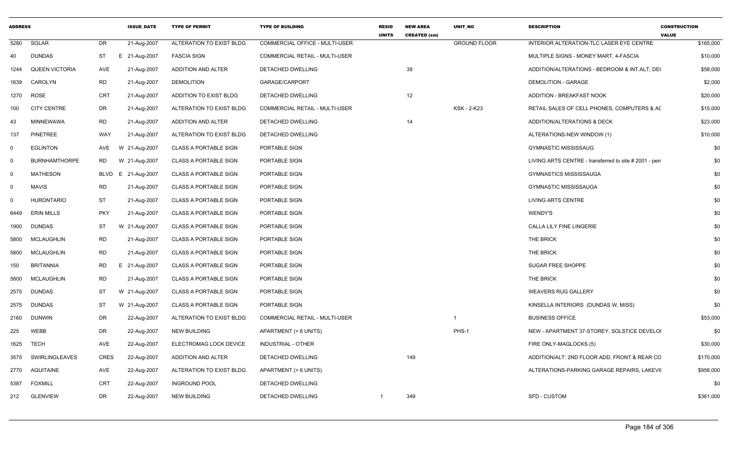| <b>ADDRESS</b> |                       |            | <b>ISSUE DATE</b>  | <b>TYPE OF PERMIT</b>        | <b>TYPE OF BUILDING</b>               | <b>RESID</b><br><b>UNITS</b> | <b>NEW AREA</b><br><b>CREATED (sm)</b> | UNIT_NO             | <b>DESCRIPTION</b>                                     | <b>CONSTRUCTION</b><br><b>VALUE</b> |
|----------------|-----------------------|------------|--------------------|------------------------------|---------------------------------------|------------------------------|----------------------------------------|---------------------|--------------------------------------------------------|-------------------------------------|
| 5280           | SOLAR                 | DR         | 21-Aug-2007        | ALTERATION TO EXIST BLDG     | COMMERCIAL OFFICE - MULTI-USER        |                              |                                        | <b>GROUND FLOOR</b> | INTERIOR ALTERATION-TLC LASER EYE CENTRE               | \$165,000                           |
| 40             | <b>DUNDAS</b>         | ST         | E 21-Aug-2007      | <b>FASCIA SIGN</b>           | <b>COMMERCIAL RETAIL - MULTI-USER</b> |                              |                                        |                     | MULTIPLE SIGNS - MONEY MART, 4-FASCIA                  | \$10,000                            |
| 1244           | <b>QUEEN VICTORIA</b> | AVE        | 21-Aug-2007        | ADDITION AND ALTER           | DETACHED DWELLING                     |                              | 39                                     |                     | ADDITION/ALTERATIONS - BEDROOM & INT.ALT, DEC          | \$58,000                            |
| 1639           | CAROLYN               | <b>RD</b>  | 21-Aug-2007        | <b>DEMOLITION</b>            | GARAGE/CARPORT                        |                              |                                        |                     | <b>DEMOLITION - GARAGE</b>                             | \$2,000                             |
| 1270           | <b>ROSE</b>           | CRT        | 21-Aug-2007        | ADDITION TO EXIST BLDG       | DETACHED DWELLING                     |                              | 12                                     |                     | ADDITION - BREAKFAST NOOK                              | \$20,000                            |
| 100            | <b>CITY CENTRE</b>    | DR         | 21-Aug-2007        | ALTERATION TO EXIST BLDG     | COMMERCIAL RETAIL - MULTI-USER        |                              |                                        | KSK - 2-K23         | RETAIL SALES OF CELL PHONES, COMPUTERS & AC            | \$15,000                            |
| 43             | MINNEWAWA             | RD         | 21-Aug-2007        | ADDITION AND ALTER           | DETACHED DWELLING                     |                              | 14                                     |                     | ADDITION/ALTERATIONS & DECK                            | \$23,000                            |
| 137            | PINETREE              | WAY        | 21-Aug-2007        | ALTERATION TO EXIST BLDG     | DETACHED DWELLING                     |                              |                                        |                     | ALTERATIONS-NEW WINDOW (1)                             | \$10,000                            |
| 0              | <b>EGLINTON</b>       | AVE        | W 21-Aug-2007      | <b>CLASS A PORTABLE SIGN</b> | PORTABLE SIGN                         |                              |                                        |                     | <b>GYMNASTIC MISSISSAUG</b>                            | \$0                                 |
| 0              | <b>BURNHAMTHORPE</b>  | <b>RD</b>  | W 21-Aug-2007      | <b>CLASS A PORTABLE SIGN</b> | PORTABLE SIGN                         |                              |                                        |                     | LIVING ARTS CENTRE - transferred to site # 2001 - perr | \$0                                 |
| 0              | MATHESON              |            | BLVD E 21-Aug-2007 | <b>CLASS A PORTABLE SIGN</b> | PORTABLE SIGN                         |                              |                                        |                     | <b>GYMNASTICS MISSISSAUGA</b>                          | \$0                                 |
| 0              | MAVIS                 | RD         | 21-Aug-2007        | <b>CLASS A PORTABLE SIGN</b> | PORTABLE SIGN                         |                              |                                        |                     | <b>GYMNASTIC MISSISSAUGA</b>                           | \$0                                 |
| 0              | HURONTARIO            | ST         | 21-Aug-2007        | <b>CLASS A PORTABLE SIGN</b> | PORTABLE SIGN                         |                              |                                        |                     | LIVING ARTS CENTRE                                     | \$0                                 |
| 6449           | <b>ERIN MILLS</b>     | <b>PKY</b> | 21-Aug-2007        | <b>CLASS A PORTABLE SIGN</b> | PORTABLE SIGN                         |                              |                                        |                     | WENDY'S                                                | \$0                                 |
| 1900           | DUNDAS                | ST         | W 21-Aug-2007      | <b>CLASS A PORTABLE SIGN</b> | PORTABLE SIGN                         |                              |                                        |                     | <b>CALLA LILY FINE LINGERIE</b>                        | \$0                                 |
| 5800           | MCLAUGHLIN            | RD         | 21-Aug-2007        | <b>CLASS A PORTABLE SIGN</b> | PORTABLE SIGN                         |                              |                                        |                     | THE BRICK                                              | \$0                                 |
| 5800           | MCLAUGHLIN            | RD         | 21-Aug-2007        | <b>CLASS A PORTABLE SIGN</b> | PORTABLE SIGN                         |                              |                                        |                     | THE BRICK                                              | \$0                                 |
| 150            | <b>BRITANNIA</b>      | RD<br>Е    | 21-Aug-2007        | <b>CLASS A PORTABLE SIGN</b> | PORTABLE SIGN                         |                              |                                        |                     | SUGAR FREE SHOPPE                                      | \$0                                 |
| 5800           | MCLAUGHLIN            | RD         | 21-Aug-2007        | <b>CLASS A PORTABLE SIGN</b> | PORTABLE SIGN                         |                              |                                        |                     | THE BRICK                                              | \$0                                 |
| 2575           | DUNDAS                | ST         | W 21-Aug-2007      | <b>CLASS A PORTABLE SIGN</b> | PORTABLE SIGN                         |                              |                                        |                     | <b>WEAVERS RUG GALLERY</b>                             | \$0                                 |
| 2575           | DUNDAS                | ST         | W 21-Aug-2007      | <b>CLASS A PORTABLE SIGN</b> | PORTABLE SIGN                         |                              |                                        |                     | KINSELLA INTERIORS (DUNDAS W, MISS)                    | \$0                                 |
| 2160           | DUNWIN                | DR         | 22-Aug-2007        | ALTERATION TO EXIST BLDG     | COMMERCIAL RETAIL - MULTI-USER        |                              |                                        | -1                  | <b>BUSINESS OFFICE</b>                                 | \$53,000                            |
| 225            | WEBB                  | DR         | 22-Aug-2007        | <b>NEW BUILDING</b>          | APARTMENT (> 6 UNITS)                 |                              |                                        | PHS-1               | NEW - APARTMENT 37-STOREY, SOLSTICE DEVELOI            | \$0                                 |
| 1625           | TECH                  | AVE        | 22-Aug-2007        | ELECTROMAG LOCK DEVICE       | INDUSTRIAL - OTHER                    |                              |                                        |                     | FIRE ONLY-MAGLOCKS (5)                                 | \$30,000                            |
|                | 3575 SWIRLINGLEAVES   | CRES       | 22-Aug-2007        | ADDITION AND ALTER           | DETACHED DWELLING                     |                              | 149                                    |                     | ADDITION/ALT: 2ND FLOOR ADD, FRONT & REAR CC           | \$170,000                           |
|                | 2770 AQUITAINE        | AVE        | 22-Aug-2007        | ALTERATION TO EXIST BLDG     | APARTMENT (> 6 UNITS)                 |                              |                                        |                     | ALTERATIONS-PARKING GARAGE REPAIRS, LAKEVII            | \$958,000                           |
| 5387           | <b>FOXMILL</b>        | CRT        | 22-Aug-2007        | <b>INGROUND POOL</b>         | DETACHED DWELLING                     |                              |                                        |                     |                                                        | \$0                                 |
| 212            | <b>GLENVIEW</b>       | DR         | 22-Aug-2007        | <b>NEW BUILDING</b>          | DETACHED DWELLING                     |                              | 349                                    |                     | SFD - CUSTOM                                           | \$361,000                           |
|                |                       |            |                    |                              |                                       |                              |                                        |                     |                                                        |                                     |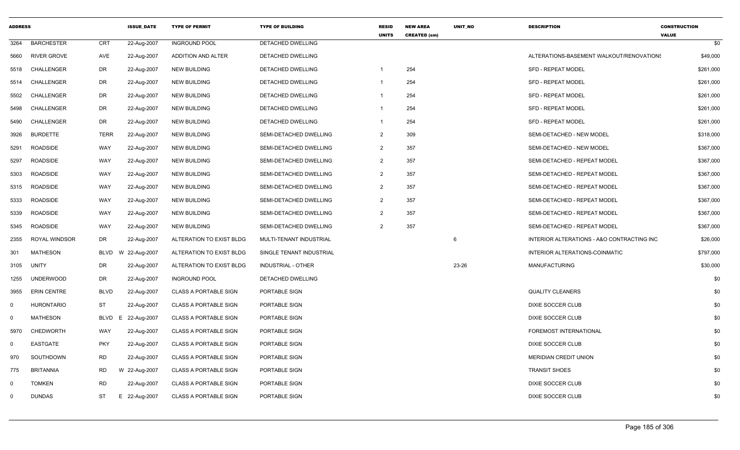| <b>ADDRESS</b> |                      |             | <b>ISSUE DATE</b> | <b>TYPE OF PERMIT</b>        | <b>TYPE OF BUILDING</b>   | <b>RESID</b><br><b>UNITS</b> | <b>NEW AREA</b><br><b>CREATED (sm)</b> | UNIT_NO | <b>DESCRIPTION</b>                         | <b>CONSTRUCTION</b><br><b>VALUE</b> |
|----------------|----------------------|-------------|-------------------|------------------------------|---------------------------|------------------------------|----------------------------------------|---------|--------------------------------------------|-------------------------------------|
| 3264           | <b>BARCHESTER</b>    | CRT         | 22-Aug-2007       | <b>INGROUND POOL</b>         | DETACHED DWELLING         |                              |                                        |         |                                            | \$0                                 |
| 5660           | <b>RIVER GROVE</b>   | AVE         | 22-Aug-2007       | ADDITION AND ALTER           | DETACHED DWELLING         |                              |                                        |         | ALTERATIONS-BASEMENT WALKOUT/RENOVATIONS   | \$49,000                            |
| 5518           | CHALLENGER           | DR          | 22-Aug-2007       | <b>NEW BUILDING</b>          | <b>DETACHED DWELLING</b>  | -1                           | 254                                    |         | <b>SFD - REPEAT MODEL</b>                  | \$261,000                           |
| 5514           | CHALLENGER           | DR          | 22-Aug-2007       | NEW BUILDING                 | DETACHED DWELLING         | -1                           | 254                                    |         | <b>SFD - REPEAT MODEL</b>                  | \$261,000                           |
| 5502           | <b>CHALLENGER</b>    | DR          | 22-Aug-2007       | <b>NEW BUILDING</b>          | <b>DETACHED DWELLING</b>  | -1                           | 254                                    |         | <b>SFD - REPEAT MODEL</b>                  | \$261,000                           |
| 5498           | CHALLENGER           | DR          | 22-Aug-2007       | <b>NEW BUILDING</b>          | DETACHED DWELLING         | -1                           | 254                                    |         | <b>SFD - REPEAT MODEL</b>                  | \$261,000                           |
| 5490           | CHALLENGER           | DR          | 22-Aug-2007       | <b>NEW BUILDING</b>          | DETACHED DWELLING         | $\mathbf{1}$                 | 254                                    |         | <b>SFD - REPEAT MODEL</b>                  | \$261,000                           |
| 3926           | <b>BURDETTE</b>      | <b>TERR</b> | 22-Aug-2007       | NEW BUILDING                 | SEMI-DETACHED DWELLING    | $\overline{2}$               | 309                                    |         | SEMI-DETACHED - NEW MODEL                  | \$318,000                           |
| 5291           | ROADSIDE             | WAY         | 22-Aug-2007       | <b>NEW BUILDING</b>          | SEMI-DETACHED DWELLING    | $\overline{2}$               | 357                                    |         | SEMI-DETACHED - NEW MODEL                  | \$367,000                           |
| 5297           | <b>ROADSIDE</b>      | WAY         | 22-Aug-2007       | <b>NEW BUILDING</b>          | SEMI-DETACHED DWELLING    | $\overline{2}$               | 357                                    |         | SEMI-DETACHED - REPEAT MODEL               | \$367,000                           |
| 5303           | <b>ROADSIDE</b>      | WAY         | 22-Aug-2007       | <b>NEW BUILDING</b>          | SEMI-DETACHED DWELLING    | $\overline{2}$               | 357                                    |         | SEMI-DETACHED - REPEAT MODEL               | \$367,000                           |
| 5315           | <b>ROADSIDE</b>      | WAY         | 22-Aug-2007       | <b>NEW BUILDING</b>          | SEMI-DETACHED DWELLING    | $\overline{2}$               | 357                                    |         | SEMI-DETACHED - REPEAT MODEL               | \$367,000                           |
| 5333           | <b>ROADSIDE</b>      | WAY         | 22-Aug-2007       | <b>NEW BUILDING</b>          | SEMI-DETACHED DWELLING    | $\overline{2}$               | 357                                    |         | SEMI-DETACHED - REPEAT MODEL               | \$367,000                           |
| 5339           | <b>ROADSIDE</b>      | WAY         | 22-Aug-2007       | <b>NEW BUILDING</b>          | SEMI-DETACHED DWELLING    | $\overline{2}$               | 357                                    |         | SEMI-DETACHED - REPEAT MODEL               | \$367,000                           |
| 5345           | <b>ROADSIDE</b>      | WAY         | 22-Aug-2007       | <b>NEW BUILDING</b>          | SEMI-DETACHED DWELLING    | 2                            | 357                                    |         | SEMI-DETACHED - REPEAT MODEL               | \$367,000                           |
| 2355           | <b>ROYAL WINDSOR</b> | DR          | 22-Aug-2007       | ALTERATION TO EXIST BLDG     | MULTI-TENANT INDUSTRIAL   |                              |                                        | 6       | INTERIOR ALTERATIONS - A&O CONTRACTING INC | \$26,000                            |
| 301            | MATHESON             | <b>BLVD</b> | W 22-Aug-2007     | ALTERATION TO EXIST BLDG     | SINGLE TENANT INDUSTRIAL  |                              |                                        |         | INTERIOR ALTERATIONS-COINMATIC             | \$797,000                           |
| 3105           | UNITY                | DR          | 22-Aug-2007       | ALTERATION TO EXIST BLDG     | <b>INDUSTRIAL - OTHER</b> |                              |                                        | 23-26   | <b>MANUFACTURING</b>                       | \$30,000                            |
| 1255           | <b>UNDERWOOD</b>     | DR          | 22-Aug-2007       | <b>INGROUND POOL</b>         | <b>DETACHED DWELLING</b>  |                              |                                        |         |                                            | \$0                                 |
| 3955           | <b>ERIN CENTRE</b>   | <b>BLVD</b> | 22-Aug-2007       | <b>CLASS A PORTABLE SIGN</b> | PORTABLE SIGN             |                              |                                        |         | <b>QUALITY CLEANERS</b>                    | \$0                                 |
| $\mathbf 0$    | <b>HURONTARIO</b>    | <b>ST</b>   | 22-Aug-2007       | <b>CLASS A PORTABLE SIGN</b> | PORTABLE SIGN             |                              |                                        |         | DIXIE SOCCER CLUB                          | \$0                                 |
| $\mathbf 0$    | <b>MATHESON</b>      | BLVD        | 22-Aug-2007<br>E  | <b>CLASS A PORTABLE SIGN</b> | PORTABLE SIGN             |                              |                                        |         | DIXIE SOCCER CLUB                          | \$0                                 |
| 5970           | <b>CHEDWORTH</b>     | WAY         | 22-Aug-2007       | <b>CLASS A PORTABLE SIGN</b> | PORTABLE SIGN             |                              |                                        |         | <b>FOREMOST INTERNATIONAL</b>              | \$0                                 |
| $\mathbf 0$    | <b>EASTGATE</b>      | <b>PKY</b>  | 22-Aug-2007       | <b>CLASS A PORTABLE SIGN</b> | PORTABLE SIGN             |                              |                                        |         | DIXIE SOCCER CLUB                          | \$0                                 |
| 970            | SOUTHDOWN            | <b>RD</b>   | 22-Aug-2007       | <b>CLASS A PORTABLE SIGN</b> | PORTABLE SIGN             |                              |                                        |         | <b>MERIDIAN CREDIT UNION</b>               | \$0                                 |
| 775            | <b>BRITANNIA</b>     | RD          | W 22-Aug-2007     | <b>CLASS A PORTABLE SIGN</b> | PORTABLE SIGN             |                              |                                        |         | <b>TRANSIT SHOES</b>                       | \$0                                 |
| $\mathbf 0$    | <b>TOMKEN</b>        | <b>RD</b>   | 22-Aug-2007       | <b>CLASS A PORTABLE SIGN</b> | PORTABLE SIGN             |                              |                                        |         | DIXIE SOCCER CLUB                          | \$0                                 |
| $\Omega$       | <b>DUNDAS</b>        | ST          | E 22-Aug-2007     | <b>CLASS A PORTABLE SIGN</b> | PORTABLE SIGN             |                              |                                        |         | <b>DIXIE SOCCER CLUB</b>                   | \$0                                 |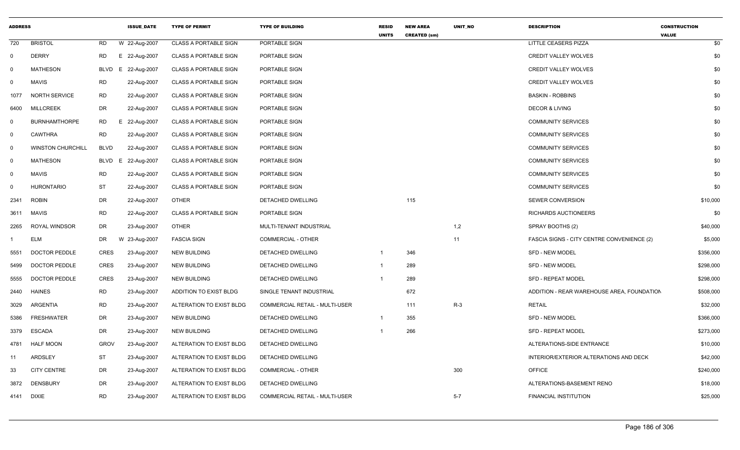| <b>ADDRESS</b> |                          |             | <b>ISSUE_DATE</b> | <b>TYPE OF PERMIT</b>        | <b>TYPE OF BUILDING</b>        | <b>RESID</b><br><b>UNITS</b> | <b>NEW AREA</b><br><b>CREATED (sm)</b> | UNIT_NO | <b>DESCRIPTION</b>                         | <b>CONSTRUCTION</b><br><b>VALUE</b> |
|----------------|--------------------------|-------------|-------------------|------------------------------|--------------------------------|------------------------------|----------------------------------------|---------|--------------------------------------------|-------------------------------------|
| 720            | <b>BRISTOL</b>           | RD          | W 22-Aug-2007     | <b>CLASS A PORTABLE SIGN</b> | PORTABLE SIGN                  |                              |                                        |         | LITTLE CEASERS PIZZA                       | \$0                                 |
| $\overline{0}$ | <b>DERRY</b>             | RD          | E 22-Aug-2007     | <b>CLASS A PORTABLE SIGN</b> | PORTABLE SIGN                  |                              |                                        |         | <b>CREDIT VALLEY WOLVES</b>                | \$0                                 |
| $\mathbf 0$    | <b>MATHESON</b>          | BLVD<br>E.  | 22-Aug-2007       | <b>CLASS A PORTABLE SIGN</b> | PORTABLE SIGN                  |                              |                                        |         | <b>CREDIT VALLEY WOLVES</b>                | \$0                                 |
| $\mathbf 0$    | <b>MAVIS</b>             | <b>RD</b>   | 22-Aug-2007       | <b>CLASS A PORTABLE SIGN</b> | PORTABLE SIGN                  |                              |                                        |         | <b>CREDIT VALLEY WOLVES</b>                | \$0                                 |
| 1077           | <b>NORTH SERVICE</b>     | <b>RD</b>   | 22-Aug-2007       | <b>CLASS A PORTABLE SIGN</b> | PORTABLE SIGN                  |                              |                                        |         | <b>BASKIN - ROBBINS</b>                    | \$0                                 |
| 6400           | <b>MILLCREEK</b>         | DR          | 22-Aug-2007       | <b>CLASS A PORTABLE SIGN</b> | PORTABLE SIGN                  |                              |                                        |         | <b>DECOR &amp; LIVING</b>                  | \$0                                 |
| 0              | <b>BURNHAMTHORPE</b>     | RD          | E 22-Aug-2007     | <b>CLASS A PORTABLE SIGN</b> | PORTABLE SIGN                  |                              |                                        |         | <b>COMMUNITY SERVICES</b>                  | \$0                                 |
| $\mathbf 0$    | <b>CAWTHRA</b>           | RD.         | 22-Aug-2007       | <b>CLASS A PORTABLE SIGN</b> | PORTABLE SIGN                  |                              |                                        |         | <b>COMMUNITY SERVICES</b>                  | \$0                                 |
| $\mathbf 0$    | <b>WINSTON CHURCHILL</b> | <b>BLVD</b> | 22-Aug-2007       | <b>CLASS A PORTABLE SIGN</b> | PORTABLE SIGN                  |                              |                                        |         | <b>COMMUNITY SERVICES</b>                  | \$0                                 |
| $\mathbf 0$    | <b>MATHESON</b>          | BLVD<br>E.  | 22-Aug-2007       | <b>CLASS A PORTABLE SIGN</b> | PORTABLE SIGN                  |                              |                                        |         | <b>COMMUNITY SERVICES</b>                  | \$0                                 |
| $\mathbf 0$    | <b>MAVIS</b>             | <b>RD</b>   | 22-Aug-2007       | <b>CLASS A PORTABLE SIGN</b> | PORTABLE SIGN                  |                              |                                        |         | <b>COMMUNITY SERVICES</b>                  | \$0                                 |
| $\Omega$       | <b>HURONTARIO</b>        | <b>ST</b>   | 22-Aug-2007       | <b>CLASS A PORTABLE SIGN</b> | PORTABLE SIGN                  |                              |                                        |         | <b>COMMUNITY SERVICES</b>                  | \$0                                 |
| 2341           | <b>ROBIN</b>             | <b>DR</b>   | 22-Aug-2007       | <b>OTHER</b>                 | DETACHED DWELLING              |                              | 115                                    |         | <b>SEWER CONVERSION</b>                    | \$10,000                            |
| 3611           | <b>MAVIS</b>             | <b>RD</b>   | 22-Aug-2007       | <b>CLASS A PORTABLE SIGN</b> | PORTABLE SIGN                  |                              |                                        |         | RICHARDS AUCTIONEERS                       | \$0                                 |
| 2265           | ROYAL WINDSOR            | DR          | 23-Aug-2007       | <b>OTHER</b>                 | MULTI-TENANT INDUSTRIAL        |                              |                                        | 1,2     | SPRAY BOOTHS (2)                           | \$40,000                            |
|                | <b>ELM</b>               | DR          | W 23-Aug-2007     | <b>FASCIA SIGN</b>           | <b>COMMERCIAL - OTHER</b>      |                              |                                        | 11      | FASCIA SIGNS - CITY CENTRE CONVENIENCE (2) | \$5,000                             |
| 5551           | <b>DOCTOR PEDDLE</b>     | <b>CRES</b> | 23-Aug-2007       | <b>NEW BUILDING</b>          | <b>DETACHED DWELLING</b>       | $\overline{1}$               | 346                                    |         | <b>SFD - NEW MODEL</b>                     | \$356,000                           |
| 5499           | <b>DOCTOR PEDDLE</b>     | CRES        | 23-Aug-2007       | NEW BUILDING                 | DETACHED DWELLING              | -1                           | 289                                    |         | <b>SFD - NEW MODEL</b>                     | \$298,000                           |
| 5555           | <b>DOCTOR PEDDLE</b>     | <b>CRES</b> | 23-Aug-2007       | <b>NEW BUILDING</b>          | <b>DETACHED DWELLING</b>       | $\mathbf 1$                  | 289                                    |         | <b>SFD - REPEAT MODEL</b>                  | \$298,000                           |
| 2440           | <b>HAINES</b>            | RD.         | 23-Aug-2007       | ADDITION TO EXIST BLDG       | SINGLE TENANT INDUSTRIAL       |                              | 672                                    |         | ADDITION - REAR WAREHOUSE AREA, FOUNDATION | \$508,000                           |
| 3029           | ARGENTIA                 | <b>RD</b>   | 23-Aug-2007       | ALTERATION TO EXIST BLDG     | COMMERCIAL RETAIL - MULTI-USER |                              | 111                                    | $R-3$   | <b>RETAIL</b>                              | \$32,000                            |
| 5386           | FRESHWATER               | DR          | 23-Aug-2007       | <b>NEW BUILDING</b>          | DETACHED DWELLING              |                              | 355                                    |         | <b>SFD - NEW MODEL</b>                     | \$366,000                           |
| 3379           | ESCADA                   | DR          | 23-Aug-2007       | <b>NEW BUILDING</b>          | DETACHED DWELLING              |                              | 266                                    |         | <b>SFD - REPEAT MODEL</b>                  | \$273,000                           |
| 4781           | <b>HALF MOON</b>         | <b>GROV</b> | 23-Aug-2007       | ALTERATION TO EXIST BLDG     | DETACHED DWELLING              |                              |                                        |         | ALTERATIONS-SIDE ENTRANCE                  | \$10,000                            |
| 11             | ARDSLEY                  | ST          | 23-Aug-2007       | ALTERATION TO EXIST BLDG     | DETACHED DWELLING              |                              |                                        |         | INTERIOR/EXTERIOR ALTERATIONS AND DECK     | \$42,000                            |
| 33             | <b>CITY CENTRE</b>       | DR          | 23-Aug-2007       | ALTERATION TO EXIST BLDG     | <b>COMMERCIAL - OTHER</b>      |                              |                                        | 300     | <b>OFFICE</b>                              | \$240,000                           |
| 3872           | DENSBURY                 | DR          | 23-Aug-2007       | ALTERATION TO EXIST BLDG     | DETACHED DWELLING              |                              |                                        |         | ALTERATIONS-BASEMENT RENO                  | \$18,000                            |
| 4141           | DIXIE                    | <b>RD</b>   | 23-Aug-2007       | ALTERATION TO EXIST BLDG     | COMMERCIAL RETAIL - MULTI-USER |                              |                                        | $5 - 7$ | FINANCIAL INSTITUTION                      | \$25,000                            |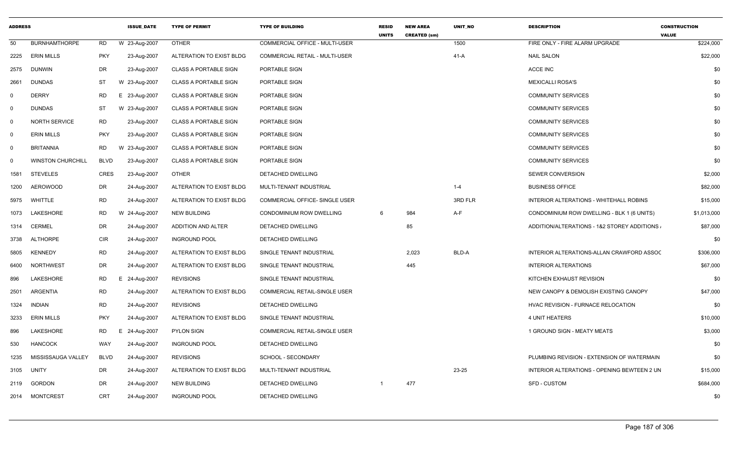| <b>ADDRESS</b> |                          |             | <b>ISSUE DATE</b> | <b>TYPE OF PERMIT</b>        | <b>TYPE OF BUILDING</b>               | <b>RESID</b><br><b>UNITS</b> | <b>NEW AREA</b><br><b>CREATED (sm)</b> | <b>UNIT NO</b> | <b>DESCRIPTION</b>                          | <b>CONSTRUCTION</b><br><b>VALUE</b> |
|----------------|--------------------------|-------------|-------------------|------------------------------|---------------------------------------|------------------------------|----------------------------------------|----------------|---------------------------------------------|-------------------------------------|
| 50             | <b>BURNHAMTHORPE</b>     | <b>RD</b>   | W 23-Aug-2007     | <b>OTHER</b>                 | <b>COMMERCIAL OFFICE - MULTI-USER</b> |                              |                                        | 1500           | FIRE ONLY - FIRE ALARM UPGRADE              | \$224,000                           |
| 2225           | <b>ERIN MILLS</b>        | <b>PKY</b>  | 23-Aug-2007       | ALTERATION TO EXIST BLDG     | <b>COMMERCIAL RETAIL - MULTI-USER</b> |                              |                                        | $41-A$         | <b>NAIL SALON</b>                           | \$22,000                            |
| 2575           | <b>DUNWIN</b>            | <b>DR</b>   | 23-Aug-2007       | <b>CLASS A PORTABLE SIGN</b> | PORTABLE SIGN                         |                              |                                        |                | ACCE INC                                    | \$0                                 |
| 2661           | <b>DUNDAS</b>            | <b>ST</b>   | W 23-Aug-2007     | <b>CLASS A PORTABLE SIGN</b> | PORTABLE SIGN                         |                              |                                        |                | <b>MEXICALLI ROSA'S</b>                     | \$0                                 |
| $\mathbf 0$    | <b>DERRY</b>             | <b>RD</b>   | E 23-Aug-2007     | <b>CLASS A PORTABLE SIGN</b> | PORTABLE SIGN                         |                              |                                        |                | <b>COMMUNITY SERVICES</b>                   | \$0                                 |
| $\mathbf 0$    | <b>DUNDAS</b>            | <b>ST</b>   | W 23-Aug-2007     | <b>CLASS A PORTABLE SIGN</b> | PORTABLE SIGN                         |                              |                                        |                | <b>COMMUNITY SERVICES</b>                   | \$0                                 |
| $\mathbf 0$    | <b>NORTH SERVICE</b>     | <b>RD</b>   | 23-Aug-2007       | <b>CLASS A PORTABLE SIGN</b> | PORTABLE SIGN                         |                              |                                        |                | <b>COMMUNITY SERVICES</b>                   | \$0                                 |
| $\mathbf 0$    | <b>ERIN MILLS</b>        | <b>PKY</b>  | 23-Aug-2007       | <b>CLASS A PORTABLE SIGN</b> | PORTABLE SIGN                         |                              |                                        |                | <b>COMMUNITY SERVICES</b>                   | \$0                                 |
| $\mathbf 0$    | <b>BRITANNIA</b>         | <b>RD</b>   | W 23-Aug-2007     | <b>CLASS A PORTABLE SIGN</b> | PORTABLE SIGN                         |                              |                                        |                | <b>COMMUNITY SERVICES</b>                   | \$0                                 |
| $\overline{0}$ | <b>WINSTON CHURCHILL</b> | <b>BLVD</b> | 23-Aug-2007       | <b>CLASS A PORTABLE SIGN</b> | PORTABLE SIGN                         |                              |                                        |                | <b>COMMUNITY SERVICES</b>                   | \$0                                 |
| 1581           | <b>STEVELES</b>          | <b>CRES</b> | 23-Aug-2007       | <b>OTHER</b>                 | DETACHED DWELLING                     |                              |                                        |                | <b>SEWER CONVERSION</b>                     | \$2,000                             |
| 1200           | <b>AEROWOOD</b>          | <b>DR</b>   | 24-Aug-2007       | ALTERATION TO EXIST BLDG     | MULTI-TENANT INDUSTRIAL               |                              |                                        | $1 - 4$        | <b>BUSINESS OFFICE</b>                      | \$82,000                            |
| 5975           | WHITTLE                  | <b>RD</b>   | 24-Aug-2007       | ALTERATION TO EXIST BLDG     | COMMERCIAL OFFICE- SINGLE USER        |                              |                                        | 3RD FLR        | INTERIOR ALTERATIONS - WHITEHALL ROBINS     | \$15,000                            |
| 1073           | LAKESHORE                | <b>RD</b>   | W 24-Aug-2007     | <b>NEW BUILDING</b>          | CONDOMINIUM ROW DWELLING              | 6                            | 984                                    | A-F            | CONDOMINIUM ROW DWELLING - BLK 1 (6 UNITS)  | \$1,013,000                         |
| 1314           | <b>CERMEL</b>            | <b>DR</b>   | 24-Aug-2007       | ADDITION AND ALTER           | DETACHED DWELLING                     |                              | 85                                     |                | ADDITION/ALTERATIONS - 1&2 STOREY ADDITIONS | \$87,000                            |
| 3738           | <b>ALTHORPE</b>          | <b>CIR</b>  | 24-Aug-2007       | <b>INGROUND POOL</b>         | DETACHED DWELLING                     |                              |                                        |                |                                             | \$0                                 |
| 5805           | <b>KENNEDY</b>           | <b>RD</b>   | 24-Aug-2007       | ALTERATION TO EXIST BLDG     | SINGLE TENANT INDUSTRIAL              |                              | 2,023                                  | BLD-A          | INTERIOR ALTERATIONS-ALLAN CRAWFORD ASSOC   | \$306,000                           |
| 6400           | <b>NORTHWEST</b>         | <b>DR</b>   | 24-Aug-2007       | ALTERATION TO EXIST BLDG     | SINGLE TENANT INDUSTRIAL              |                              | 445                                    |                | <b>INTERIOR ALTERATIONS</b>                 | \$67,000                            |
| 896            | LAKESHORE                | RD          | E 24-Aug-2007     | <b>REVISIONS</b>             | SINGLE TENANT INDUSTRIAL              |                              |                                        |                | KITCHEN EXHAUST REVISION                    | \$0                                 |
| 2501           | <b>ARGENTIA</b>          | <b>RD</b>   | 24-Aug-2007       | ALTERATION TO EXIST BLDG     | <b>COMMERCIAL RETAIL-SINGLE USER</b>  |                              |                                        |                | NEW CANOPY & DEMOLISH EXISTING CANOPY       | \$47,000                            |
| 1324           | <b>INDIAN</b>            | <b>RD</b>   | 24-Aug-2007       | <b>REVISIONS</b>             | DETACHED DWELLING                     |                              |                                        |                | HVAC REVISION - FURNACE RELOCATION          | \$0                                 |
| 3233           | <b>ERIN MILLS</b>        | <b>PKY</b>  | 24-Aug-2007       | ALTERATION TO EXIST BLDG     | SINGLE TENANT INDUSTRIAL              |                              |                                        |                | 4 UNIT HEATERS                              | \$10,000                            |
| 896            | <b>LAKESHORE</b>         | <b>RD</b>   | Ε<br>24-Aug-2007  | <b>PYLON SIGN</b>            | COMMERCIAL RETAIL-SINGLE USER         |                              |                                        |                | 1 GROUND SIGN - MEATY MEATS                 | \$3,000                             |
| 530            | <b>HANCOCK</b>           | WAY         | 24-Aug-2007       | <b>INGROUND POOL</b>         | DETACHED DWELLING                     |                              |                                        |                |                                             | \$0                                 |
| 1235           | MISSISSAUGA VALLEY       | <b>BLVD</b> | 24-Aug-2007       | <b>REVISIONS</b>             | SCHOOL - SECONDARY                    |                              |                                        |                | PLUMBING REVISION - EXTENSION OF WATERMAIN  | \$0                                 |
| 3105           | <b>UNITY</b>             | DR          | 24-Aug-2007       | ALTERATION TO EXIST BLDG     | MULTI-TENANT INDUSTRIAL               |                              |                                        | $23 - 25$      | INTERIOR ALTERATIONS - OPENING BEWTEEN 2 UN | \$15,000                            |
| 2119           | <b>GORDON</b>            | <b>DR</b>   | 24-Aug-2007       | <b>NEW BUILDING</b>          | DETACHED DWELLING                     |                              | 477                                    |                | <b>SFD - CUSTOM</b>                         | \$684,000                           |
| 2014           | <b>MONTCREST</b>         | <b>CRT</b>  | 24-Aug-2007       | <b>INGROUND POOL</b>         | DETACHED DWELLING                     |                              |                                        |                |                                             | \$0                                 |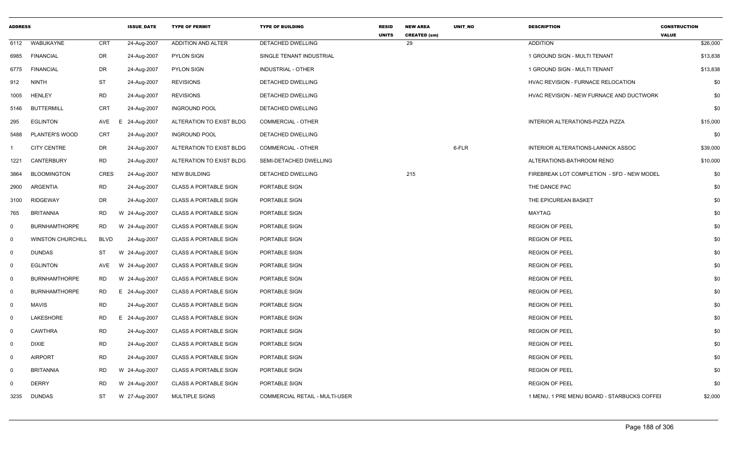| <b>ADDRESS</b> |                          |             | <b>ISSUE_DATE</b> | <b>TYPE OF PERMIT</b>        | <b>TYPE OF BUILDING</b>               | <b>RESID</b><br><b>UNITS</b> | <b>NEW AREA</b><br><b>CREATED (sm)</b> | UNIT_NO | <b>DESCRIPTION</b>                          | <b>CONSTRUCTION</b><br><b>VALUE</b> |
|----------------|--------------------------|-------------|-------------------|------------------------------|---------------------------------------|------------------------------|----------------------------------------|---------|---------------------------------------------|-------------------------------------|
| 6112           | WABUKAYNE                | CRT         | 24-Aug-2007       | ADDITION AND ALTER           | DETACHED DWELLING                     |                              | 29                                     |         | <b>ADDITION</b>                             | \$26,000                            |
| 6985           | <b>FINANCIAL</b>         | <b>DR</b>   | 24-Aug-2007       | <b>PYLON SIGN</b>            | SINGLE TENANT INDUSTRIAL              |                              |                                        |         | 1 GROUND SIGN - MULTI TENANT                | \$13,838                            |
| 6775           | <b>FINANCIAL</b>         | <b>DR</b>   | 24-Aug-2007       | <b>PYLON SIGN</b>            | INDUSTRIAL - OTHER                    |                              |                                        |         | 1 GROUND SIGN - MULTI TENANT                | \$13,838                            |
| 912            | NINTH                    | <b>ST</b>   | 24-Aug-2007       | <b>REVISIONS</b>             | DETACHED DWELLING                     |                              |                                        |         | HVAC REVISION - FURNACE RELOCATION          | \$0                                 |
| 1005           | <b>HENLEY</b>            | <b>RD</b>   | 24-Aug-2007       | <b>REVISIONS</b>             | DETACHED DWELLING                     |                              |                                        |         | HVAC REVISION - NEW FURNACE AND DUCTWORK    | \$0                                 |
| 5146           | <b>BUTTERMILL</b>        | <b>CRT</b>  | 24-Aug-2007       | <b>INGROUND POOL</b>         | DETACHED DWELLING                     |                              |                                        |         |                                             | \$0                                 |
| 295            | <b>EGLINTON</b>          | AVE         | E<br>24-Aug-2007  | ALTERATION TO EXIST BLDG     | COMMERCIAL - OTHER                    |                              |                                        |         | INTERIOR ALTERATIONS-PIZZA PIZZA            | \$15,000                            |
| 5488           | PLANTER'S WOOD           | <b>CRT</b>  | 24-Aug-2007       | <b>INGROUND POOL</b>         | DETACHED DWELLING                     |                              |                                        |         |                                             | \$0                                 |
|                | <b>CITY CENTRE</b>       | DR          | 24-Aug-2007       | ALTERATION TO EXIST BLDG     | COMMERCIAL - OTHER                    |                              |                                        | 6-FLR   | INTERIOR ALTERATIONS-LANNICK ASSOC          | \$39,000                            |
| 1221           | <b>CANTERBURY</b>        | <b>RD</b>   | 24-Aug-2007       | ALTERATION TO EXIST BLDG     | SEMI-DETACHED DWELLING                |                              |                                        |         | ALTERATIONS-BATHROOM RENO                   | \$10,000                            |
| 3864           | <b>BLOOMINGTON</b>       | <b>CRES</b> | 24-Aug-2007       | <b>NEW BUILDING</b>          | DETACHED DWELLING                     |                              | 215                                    |         | FIREBREAK LOT COMPLETION - SFD - NEW MODEL  | \$0                                 |
| 2900           | <b>ARGENTIA</b>          | <b>RD</b>   | 24-Aug-2007       | <b>CLASS A PORTABLE SIGN</b> | PORTABLE SIGN                         |                              |                                        |         | THE DANCE PAC                               | \$0                                 |
| 3100           | <b>RIDGEWAY</b>          | <b>DR</b>   | 24-Aug-2007       | <b>CLASS A PORTABLE SIGN</b> | PORTABLE SIGN                         |                              |                                        |         | THE EPICUREAN BASKET                        | \$0                                 |
| 765            | <b>BRITANNIA</b>         | <b>RD</b>   | W 24-Aug-2007     | <b>CLASS A PORTABLE SIGN</b> | PORTABLE SIGN                         |                              |                                        |         | MAYTAG                                      | \$0                                 |
| $\mathbf 0$    | <b>BURNHAMTHORPE</b>     | <b>RD</b>   | W 24-Aug-2007     | <b>CLASS A PORTABLE SIGN</b> | PORTABLE SIGN                         |                              |                                        |         | <b>REGION OF PEEL</b>                       | \$0                                 |
| $\mathbf 0$    | <b>WINSTON CHURCHILL</b> | <b>BLVD</b> | 24-Aug-2007       | <b>CLASS A PORTABLE SIGN</b> | PORTABLE SIGN                         |                              |                                        |         | <b>REGION OF PEEL</b>                       | \$0                                 |
| $\mathbf 0$    | <b>DUNDAS</b>            | ST          | W 24-Aug-2007     | <b>CLASS A PORTABLE SIGN</b> | PORTABLE SIGN                         |                              |                                        |         | <b>REGION OF PEEL</b>                       | \$0                                 |
| $\mathbf 0$    | <b>EGLINTON</b>          | AVE         | W 24-Aug-2007     | <b>CLASS A PORTABLE SIGN</b> | PORTABLE SIGN                         |                              |                                        |         | <b>REGION OF PEEL</b>                       | \$0                                 |
| $\mathbf 0$    | <b>BURNHAMTHORPE</b>     | <b>RD</b>   | W 24-Aug-2007     | <b>CLASS A PORTABLE SIGN</b> | PORTABLE SIGN                         |                              |                                        |         | <b>REGION OF PEEL</b>                       | \$0                                 |
| $\mathbf 0$    | <b>BURNHAMTHORPE</b>     | <b>RD</b>   | E 24-Aug-2007     | <b>CLASS A PORTABLE SIGN</b> | PORTABLE SIGN                         |                              |                                        |         | <b>REGION OF PEEL</b>                       | \$0                                 |
| $\mathbf{0}$   | <b>MAVIS</b>             | <b>RD</b>   | 24-Aug-2007       | <b>CLASS A PORTABLE SIGN</b> | PORTABLE SIGN                         |                              |                                        |         | <b>REGION OF PEEL</b>                       | \$0                                 |
| $\mathbf 0$    | LAKESHORE                | <b>RD</b>   | E 24-Aug-2007     | <b>CLASS A PORTABLE SIGN</b> | PORTABLE SIGN                         |                              |                                        |         | <b>REGION OF PEEL</b>                       | \$0                                 |
| $\mathbf 0$    | <b>CAWTHRA</b>           | <b>RD</b>   | 24-Aug-2007       | <b>CLASS A PORTABLE SIGN</b> | PORTABLE SIGN                         |                              |                                        |         | <b>REGION OF PEEL</b>                       | \$0                                 |
| $\mathbf 0$    | <b>DIXIE</b>             | <b>RD</b>   | 24-Aug-2007       | <b>CLASS A PORTABLE SIGN</b> | PORTABLE SIGN                         |                              |                                        |         | <b>REGION OF PEEL</b>                       | \$0                                 |
| $\mathbf 0$    | <b>AIRPORT</b>           | <b>RD</b>   | 24-Aug-2007       | CLASS A PORTABLE SIGN        | PORTABLE SIGN                         |                              |                                        |         | <b>REGION OF PEEL</b>                       | \$0                                 |
| $\mathbf 0$    | <b>BRITANNIA</b>         | <b>RD</b>   | W 24-Aug-2007     | <b>CLASS A PORTABLE SIGN</b> | PORTABLE SIGN                         |                              |                                        |         | <b>REGION OF PEEL</b>                       | \$0                                 |
| $\Omega$       | <b>DERRY</b>             | <b>RD</b>   | W 24-Aug-2007     | <b>CLASS A PORTABLE SIGN</b> | PORTABLE SIGN                         |                              |                                        |         | <b>REGION OF PEEL</b>                       | \$0                                 |
| 3235           | <b>DUNDAS</b>            | ST          | W 27-Aug-2007     | MULTIPLE SIGNS               | <b>COMMERCIAL RETAIL - MULTI-USER</b> |                              |                                        |         | 1 MENU, 1 PRE MENU BOARD - STARBUCKS COFFEI | \$2,000                             |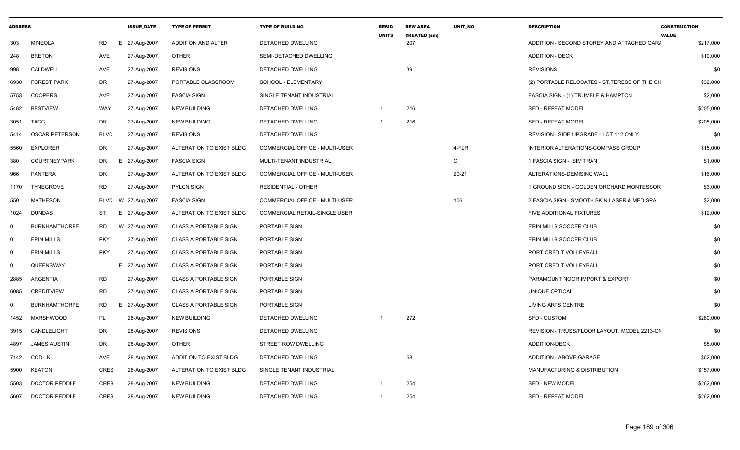| <b>ADDRESS</b> |                       |             | <b>ISSUE DATE</b> | <b>TYPE OF PERMIT</b>        | <b>TYPE OF BUILDING</b>              | <b>RESID</b><br><b>UNITS</b> | <b>NEW AREA</b><br><b>CREATED (sm)</b> | <b>UNIT NO</b> | <b>DESCRIPTION</b>                            | <b>CONSTRUCTION</b><br><b>VALUE</b> |
|----------------|-----------------------|-------------|-------------------|------------------------------|--------------------------------------|------------------------------|----------------------------------------|----------------|-----------------------------------------------|-------------------------------------|
| 303            | <b>MINEOLA</b>        | RD.         | E 27-Aug-2007     | ADDITION AND ALTER           | DETACHED DWELLING                    |                              | 207                                    |                | ADDITION - SECOND STOREY AND ATTACHED GARA    | \$217,000                           |
| 248            | <b>BRETON</b>         | AVE         | 27-Aug-2007       | <b>OTHER</b>                 | SEMI-DETACHED DWELLING               |                              |                                        |                | <b>ADDITION - DECK</b>                        | \$10,000                            |
| 998            | CALDWELL              | AVE         | 27-Aug-2007       | <b>REVISIONS</b>             | DETACHED DWELLING                    |                              | 39                                     |                | <b>REVISIONS</b>                              | \$0                                 |
| 6930           | <b>FOREST PARK</b>    | DR          | 27-Aug-2007       | PORTABLE CLASSROOM           | SCHOOL - ELEMENTARY                  |                              |                                        |                | (2) PORTABLE RELOCATES - ST. TERESE OF THE CH | \$32,000                            |
| 5753           | <b>COOPERS</b>        | AVE         | 27-Aug-2007       | <b>FASCIA SIGN</b>           | SINGLE TENANT INDUSTRIAL             |                              |                                        |                | FASCIA SIGN - (1) TRUMBLE & HAMPTON           | \$2,000                             |
| 5482           | <b>BESTVIEW</b>       | WAY         | 27-Aug-2007       | <b>NEW BUILDING</b>          | DETACHED DWELLING                    | $\mathbf{1}$                 | 216                                    |                | <b>SFD - REPEAT MODEL</b>                     | \$205,000                           |
| 3051           | TACC                  | DR.         | 27-Aug-2007       | <b>NEW BUILDING</b>          | <b>DETACHED DWELLING</b>             | $\mathbf{1}$                 | 216                                    |                | <b>SFD - REPEAT MODEL</b>                     | \$205,000                           |
| 5414           | <b>OSCAR PETERSON</b> | <b>BLVD</b> | 27-Aug-2007       | <b>REVISIONS</b>             | DETACHED DWELLING                    |                              |                                        |                | REVISION - SIDE UPGRADE - LOT 112 ONLY        | \$0                                 |
| 5560           | <b>EXPLORER</b>       | DR          | 27-Aug-2007       | ALTERATION TO EXIST BLDG     | COMMERCIAL OFFICE - MULTI-USER       |                              |                                        | 4-FLR          | INTERIOR ALTERATIONS-COMPASS GROUP            | \$15,000                            |
| 380            | <b>COURTNEYPARK</b>   | DR          | E 27-Aug-2007     | <b>FASCIA SIGN</b>           | MULTI-TENANT INDUSTRIAL              |                              |                                        | C              | 1 FASCIA SIGN - SIM TRAN                      | \$1,000                             |
| 966            | PANTERA               | <b>DR</b>   | 27-Aug-2007       | ALTERATION TO EXIST BLDG     | COMMERCIAL OFFICE - MULTI-USER       |                              |                                        | $20 - 21$      | ALTERATIONS-DEMISING WALL                     | \$16,000                            |
| 1170           | <b>TYNEGROVE</b>      | <b>RD</b>   | 27-Aug-2007       | <b>PYLON SIGN</b>            | <b>RESIDENTIAL - OTHER</b>           |                              |                                        |                | 1 GROUND SIGN - GOLDEN ORCHARD MONTESSOR      | \$3,000                             |
| 550            | <b>MATHESON</b>       | <b>BLVD</b> | W 27-Aug-2007     | <b>FASCIA SIGN</b>           | COMMERCIAL OFFICE - MULTI-USER       |                              |                                        | 106            | 2 FASCIA SIGN - SMOOTH SKIN LASER & MEDISPA   | \$2,000                             |
| 1024           | <b>DUNDAS</b>         | ST          | E 27-Aug-2007     | ALTERATION TO EXIST BLDG     | <b>COMMERCIAL RETAIL-SINGLE USER</b> |                              |                                        |                | FIVE ADDITIONAL FIXTURES                      | \$12,000                            |
| $\mathbf 0$    | <b>BURNHAMTHORPE</b>  | RD.         | W 27-Aug-2007     | <b>CLASS A PORTABLE SIGN</b> | PORTABLE SIGN                        |                              |                                        |                | ERIN MILLS SOCCER CLUB                        | \$0                                 |
| $\mathbf 0$    | <b>ERIN MILLS</b>     | <b>PKY</b>  | 27-Aug-2007       | <b>CLASS A PORTABLE SIGN</b> | PORTABLE SIGN                        |                              |                                        |                | ERIN MILLS SOCCER CLUB                        | \$0                                 |
| $\mathbf 0$    | <b>ERIN MILLS</b>     | <b>PKY</b>  | 27-Aug-2007       | <b>CLASS A PORTABLE SIGN</b> | PORTABLE SIGN                        |                              |                                        |                | PORT CREDIT VOLLEYBALL                        | \$0                                 |
| $\mathbf 0$    | QUEENSWAY             |             | E 27-Aug-2007     | <b>CLASS A PORTABLE SIGN</b> | PORTABLE SIGN                        |                              |                                        |                | PORT CREDIT VOLLEYBALL                        | \$0                                 |
| 2885           | ARGENTIA              | RD          | 27-Aug-2007       | <b>CLASS A PORTABLE SIGN</b> | <b>PORTABLE SIGN</b>                 |                              |                                        |                | PARAMOUNT NOOR IMPORT & EXPORT                | \$0                                 |
| 6085           | <b>CREDITVIEW</b>     | <b>RD</b>   | 27-Aug-2007       | <b>CLASS A PORTABLE SIGN</b> | PORTABLE SIGN                        |                              |                                        |                | UNIQUE OPTICAL                                | \$0                                 |
| $\mathbf 0$    | <b>BURNHAMTHORPE</b>  | RD          | 27-Aug-2007<br>Е  | <b>CLASS A PORTABLE SIGN</b> | PORTABLE SIGN                        |                              |                                        |                | <b>LIVING ARTS CENTRE</b>                     | \$0                                 |
| 1452           | <b>MARSHWOOD</b>      | PL          | 28-Aug-2007       | <b>NEW BUILDING</b>          | DETACHED DWELLING                    |                              | 272                                    |                | SFD - CUSTOM                                  | \$280,000                           |
| 3915           | CANDLELIGHT           | <b>DR</b>   | 28-Aug-2007       | <b>REVISIONS</b>             | <b>DETACHED DWELLING</b>             |                              |                                        |                | REVISION - TRUSS/FLOOR LAYOUT. MODEL 2213-CN  | \$0                                 |
| 4897           | <b>JAMES AUSTIN</b>   | DR          | 28-Aug-2007       | <b>OTHER</b>                 | <b>STREET ROW DWELLING</b>           |                              |                                        |                | <b>ADDITION-DECK</b>                          | \$5,000                             |
| 7142           | <b>CODLIN</b>         | AVE         | 28-Aug-2007       | ADDITION TO EXIST BLDG       | DETACHED DWELLING                    |                              | 68                                     |                | ADDITION - ABOVE GARAGE                       | \$62,000                            |
| 5900           | KEATON                | <b>CRES</b> | 28-Aug-2007       | ALTERATION TO EXIST BLDG     | SINGLE TENANT INDUSTRIAL             |                              |                                        |                | MANUFACTURING & DISTRIBUTION                  | \$157,000                           |
| 5503           | <b>DOCTOR PEDDLE</b>  | <b>CRES</b> | 28-Aug-2007       | <b>NEW BUILDING</b>          | DETACHED DWELLING                    | -1                           | 254                                    |                | SFD - NEW MODEL                               | \$262,000                           |
| 5607           | <b>DOCTOR PEDDLE</b>  | <b>CRES</b> | 28-Aug-2007       | <b>NEW BUILDING</b>          | DETACHED DWELLING                    | 1                            | 254                                    |                | <b>SFD - REPEAT MODEL</b>                     | \$262,000                           |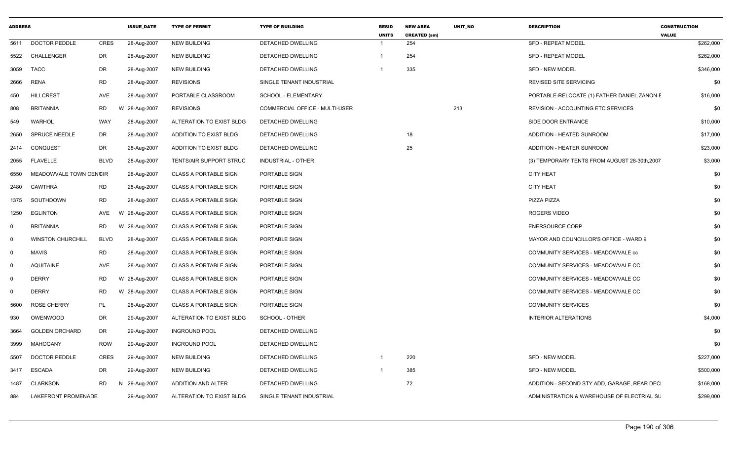| <b>ADDRESS</b> |                          |             | <b>ISSUE_DATE</b> | <b>TYPE OF PERMIT</b>        | <b>TYPE OF BUILDING</b>        | <b>RESID</b><br><b>UNITS</b> | <b>NEW AREA</b><br><b>CREATED (sm)</b> | UNIT_NO | <b>DESCRIPTION</b>                            | <b>CONSTRUCTION</b><br><b>VALUE</b> |
|----------------|--------------------------|-------------|-------------------|------------------------------|--------------------------------|------------------------------|----------------------------------------|---------|-----------------------------------------------|-------------------------------------|
| 5611           | <b>DOCTOR PEDDLE</b>     | CRES        | 28-Aug-2007       | <b>NEW BUILDING</b>          | DETACHED DWELLING              | $\mathbf{1}$                 | 254                                    |         | <b>SFD - REPEAT MODEL</b>                     | \$262,000                           |
|                | 5522 CHALLENGER          | DR          | 28-Aug-2007       | <b>NEW BUILDING</b>          | DETACHED DWELLING              | $\mathbf{1}$                 | 254                                    |         | <b>SFD - REPEAT MODEL</b>                     | \$262,000                           |
| 3059           | <b>TACC</b>              | DR          | 28-Aug-2007       | <b>NEW BUILDING</b>          | DETACHED DWELLING              | $\mathbf 1$                  | 335                                    |         | <b>SFD - NEW MODEL</b>                        | \$346,000                           |
| 2666           | <b>RENA</b>              | <b>RD</b>   | 28-Aug-2007       | <b>REVISIONS</b>             | SINGLE TENANT INDUSTRIAL       |                              |                                        |         | <b>REVISED SITE SERVICING</b>                 | \$0                                 |
| 450            | <b>HILLCREST</b>         | AVE         | 28-Aug-2007       | PORTABLE CLASSROOM           | SCHOOL - ELEMENTARY            |                              |                                        |         | PORTABLE-RELOCATE (1) FATHER DANIEL ZANON E   | \$16,000                            |
| 808            | <b>BRITANNIA</b>         | RD          | W 28-Aug-2007     | <b>REVISIONS</b>             | COMMERCIAL OFFICE - MULTI-USER |                              |                                        | 213     | REVISION - ACCOUNTING ETC SERVICES            | \$0                                 |
| 549            | <b>WARHOL</b>            | WAY         | 28-Aug-2007       | ALTERATION TO EXIST BLDG     | DETACHED DWELLING              |                              |                                        |         | SIDE DOOR ENTRANCE                            | \$10,000                            |
| 2650           | <b>SPRUCE NEEDLE</b>     | <b>DR</b>   | 28-Aug-2007       | ADDITION TO EXIST BLDG       | DETACHED DWELLING              |                              | 18                                     |         | ADDITION - HEATED SUNROOM                     | \$17,000                            |
|                | 2414 CONQUEST            | DR          | 28-Aug-2007       | ADDITION TO EXIST BLDG       | DETACHED DWELLING              |                              | 25                                     |         | ADDITION - HEATER SUNROOM                     | \$23,000                            |
| 2055           | <b>FLAVELLE</b>          | <b>BLVD</b> | 28-Aug-2007       | TENTS/AIR SUPPORT STRUC      | INDUSTRIAL - OTHER             |                              |                                        |         | (3) TEMPORARY TENTS FROM AUGUST 28-30th, 2007 | \$3,000                             |
| 6550           | MEADOWVALE TOWN CENCIR   |             | 28-Aug-2007       | <b>CLASS A PORTABLE SIGN</b> | PORTABLE SIGN                  |                              |                                        |         | <b>CITY HEAT</b>                              | \$0                                 |
| 2480           | <b>CAWTHRA</b>           | <b>RD</b>   | 28-Aug-2007       | <b>CLASS A PORTABLE SIGN</b> | PORTABLE SIGN                  |                              |                                        |         | <b>CITY HEAT</b>                              | \$0                                 |
| 1375           | SOUTHDOWN                | <b>RD</b>   | 28-Aug-2007       | <b>CLASS A PORTABLE SIGN</b> | PORTABLE SIGN                  |                              |                                        |         | PIZZA PIZZA                                   | \$0                                 |
| 1250           | EGLINTON                 | AVE<br>W    | 28-Aug-2007       | <b>CLASS A PORTABLE SIGN</b> | PORTABLE SIGN                  |                              |                                        |         | <b>ROGERS VIDEO</b>                           | \$0                                 |
| $\mathbf 0$    | <b>BRITANNIA</b>         | RD          | W 28-Aug-2007     | <b>CLASS A PORTABLE SIGN</b> | PORTABLE SIGN                  |                              |                                        |         | <b>ENERSOURCE CORP</b>                        | \$0                                 |
| $\Omega$       | <b>WINSTON CHURCHILL</b> | <b>BLVD</b> | 28-Aug-2007       | <b>CLASS A PORTABLE SIGN</b> | PORTABLE SIGN                  |                              |                                        |         | MAYOR AND COUNCILLOR'S OFFICE - WARD 9        | \$0                                 |
| $\Omega$       | <b>MAVIS</b>             | <b>RD</b>   | 28-Aug-2007       | <b>CLASS A PORTABLE SIGN</b> | PORTABLE SIGN                  |                              |                                        |         | COMMUNITY SERVICES - MEADOWVALE cc            | \$0                                 |
| $\Omega$       | <b>AQUITAINE</b>         | AVE         | 28-Aug-2007       | <b>CLASS A PORTABLE SIGN</b> | PORTABLE SIGN                  |                              |                                        |         | COMMUNITY SERVICES - MEADOWVALE CC            | \$0                                 |
| $\Omega$       | <b>DERRY</b>             | <b>RD</b>   | W 28-Aug-2007     | <b>CLASS A PORTABLE SIGN</b> | PORTABLE SIGN                  |                              |                                        |         | COMMUNITY SERVICES - MEADOWVALE CC            | \$0                                 |
| $\Omega$       | <b>DERRY</b>             | RD          | W 28-Aug-2007     | <b>CLASS A PORTABLE SIGN</b> | PORTABLE SIGN                  |                              |                                        |         | COMMUNITY SERVICES - MEADOWVALE CC            | \$0                                 |
| 5600           | <b>ROSE CHERRY</b>       | PL          | 28-Aug-2007       | <b>CLASS A PORTABLE SIGN</b> | PORTABLE SIGN                  |                              |                                        |         | <b>COMMUNITY SERVICES</b>                     | \$0                                 |
| 930            | OWENWOOD                 | DR          | 29-Aug-2007       | ALTERATION TO EXIST BLDG     | SCHOOL - OTHER                 |                              |                                        |         | <b>INTERIOR ALTERATIONS</b>                   | \$4,000                             |
| 3664           | <b>GOLDEN ORCHARD</b>    | DR          | 29-Aug-2007       | <b>INGROUND POOL</b>         | DETACHED DWELLING              |                              |                                        |         |                                               | \$0                                 |
| 3999           | MAHOGANY                 | ROW         | 29-Aug-2007       | <b>INGROUND POOL</b>         | <b>DETACHED DWELLING</b>       |                              |                                        |         |                                               | \$0                                 |
| 5507           | <b>DOCTOR PEDDLE</b>     | <b>CRES</b> | 29-Aug-2007       | <b>NEW BUILDING</b>          | DETACHED DWELLING              | $\mathbf 1$                  | 220                                    |         | <b>SFD - NEW MODEL</b>                        | \$227,000                           |
| 3417           | <b>ESCADA</b>            | DR          | 29-Aug-2007       | <b>NEW BUILDING</b>          | DETACHED DWELLING              | -1                           | 385                                    |         | SFD - NEW MODEL                               | \$500,000                           |
| 1487           | <b>CLARKSON</b>          | <b>RD</b>   | N 29-Aug-2007     | <b>ADDITION AND ALTER</b>    | DETACHED DWELLING              |                              | 72                                     |         | ADDITION - SECOND STY ADD, GARAGE, REAR DEC   | \$168,000                           |
| 884            | LAKEFRONT PROMENADE      |             | 29-Aug-2007       | ALTERATION TO EXIST BLDG     | SINGLE TENANT INDUSTRIAL       |                              |                                        |         | ADMINISTRATION & WAREHOUSE OF ELECTRIAL SU    | \$299,000                           |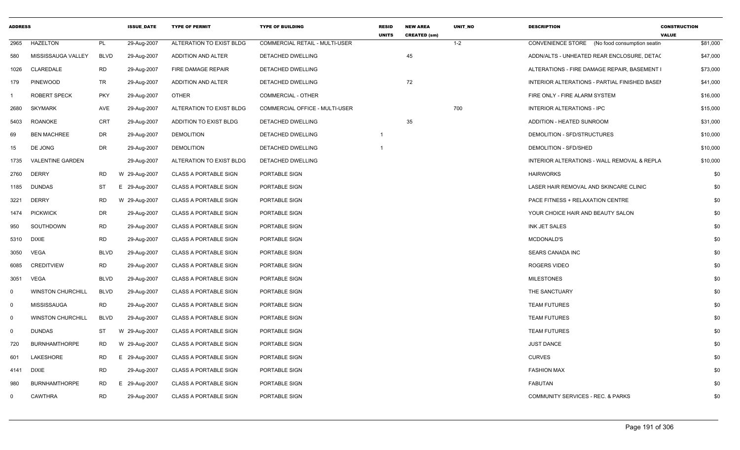| <b>ADDRESS</b> |                          |             | <b>ISSUE DATE</b> | <b>TYPE OF PERMIT</b>        | <b>TYPE OF BUILDING</b>               | <b>RESID</b><br><b>UNITS</b> | <b>NEW AREA</b><br><b>CREATED (sm)</b> | <b>UNIT NO</b> | <b>DESCRIPTION</b>                            | <b>CONSTRUCTION</b><br><b>VALUE</b> |
|----------------|--------------------------|-------------|-------------------|------------------------------|---------------------------------------|------------------------------|----------------------------------------|----------------|-----------------------------------------------|-------------------------------------|
| 2965           | <b>HAZELTON</b>          | PL          | 29-Aug-2007       | ALTERATION TO EXIST BLDG     | <b>COMMERCIAL RETAIL - MULTI-USER</b> |                              |                                        | $1 - 2$        | CONVENIENCE STORE (No food consumption seatin | \$81,000                            |
| 580            | MISSISSAUGA VALLEY       | <b>BLVD</b> | 29-Aug-2007       | ADDITION AND ALTER           | DETACHED DWELLING                     |                              | 45                                     |                | ADDN/ALTS - UNHEATED REAR ENCLOSURE, DETAC    | \$47,000                            |
| 1026           | CLAREDALE                | <b>RD</b>   | 29-Aug-2007       | FIRE DAMAGE REPAIR           | DETACHED DWELLING                     |                              |                                        |                | ALTERATIONS - FIRE DAMAGE REPAIR, BASEMENT I  | \$73,000                            |
| 179            | <b>PINEWOOD</b>          | TR          | 29-Aug-2007       | ADDITION AND ALTER           | DETACHED DWELLING                     |                              | 72                                     |                | INTERIOR ALTERATIONS - PARTIAL FINISHED BASE! | \$41,000                            |
|                | <b>ROBERT SPECK</b>      | PKY         | 29-Aug-2007       | <b>OTHER</b>                 | <b>COMMERCIAL - OTHER</b>             |                              |                                        |                | FIRE ONLY - FIRE ALARM SYSTEM                 | \$16,000                            |
| 2680           | <b>SKYMARK</b>           | AVE         | 29-Aug-2007       | ALTERATION TO EXIST BLDG     | COMMERCIAL OFFICE - MULTI-USER        |                              |                                        | 700            | <b>INTERIOR ALTERATIONS - IPC</b>             | \$15,000                            |
| 5403           | <b>ROANOKE</b>           | CRT         | 29-Aug-2007       | ADDITION TO EXIST BLDG       | DETACHED DWELLING                     |                              | 35                                     |                | ADDITION - HEATED SUNROOM                     | \$31,000                            |
| 69             | <b>BEN MACHREE</b>       | DR          | 29-Aug-2007       | <b>DEMOLITION</b>            | DETACHED DWELLING                     | $\overline{1}$               |                                        |                | DEMOLITION - SFD/STRUCTURES                   | \$10,000                            |
| 15             | DE JONG                  | DR          | 29-Aug-2007       | <b>DEMOLITION</b>            | DETACHED DWELLING                     |                              |                                        |                | DEMOLITION - SFD/SHED                         | \$10,000                            |
| 1735           | <b>VALENTINE GARDEN</b>  |             | 29-Aug-2007       | ALTERATION TO EXIST BLDG     | DETACHED DWELLING                     |                              |                                        |                | INTERIOR ALTERATIONS - WALL REMOVAL & REPLA   | \$10,000                            |
| 2760           | <b>DERRY</b>             | <b>RD</b>   | W 29-Aug-2007     | <b>CLASS A PORTABLE SIGN</b> | PORTABLE SIGN                         |                              |                                        |                | <b>HAIRWORKS</b>                              | \$0                                 |
| 1185           | DUNDAS                   | ST          | E 29-Aug-2007     | <b>CLASS A PORTABLE SIGN</b> | PORTABLE SIGN                         |                              |                                        |                | LASER HAIR REMOVAL AND SKINCARE CLINIC        | \$0                                 |
| 3221           | <b>DERRY</b>             | RD          | W 29-Aug-2007     | <b>CLASS A PORTABLE SIGN</b> | PORTABLE SIGN                         |                              |                                        |                | PACE FITNESS + RELAXATION CENTRE              | \$0                                 |
| 1474           | <b>PICKWICK</b>          | DR          | 29-Aug-2007       | <b>CLASS A PORTABLE SIGN</b> | PORTABLE SIGN                         |                              |                                        |                | YOUR CHOICE HAIR AND BEAUTY SALON             | \$0                                 |
| 950            | SOUTHDOWN                | RD          | 29-Aug-2007       | <b>CLASS A PORTABLE SIGN</b> | PORTABLE SIGN                         |                              |                                        |                | INK JET SALES                                 | \$0                                 |
| 5310           | DIXIE                    | RD          | 29-Aug-2007       | <b>CLASS A PORTABLE SIGN</b> | PORTABLE SIGN                         |                              |                                        |                | MCDONALD'S                                    | \$0                                 |
| 3050           | VEGA                     | <b>BLVD</b> | 29-Aug-2007       | <b>CLASS A PORTABLE SIGN</b> | PORTABLE SIGN                         |                              |                                        |                | SEARS CANADA INC                              | \$0                                 |
| 6085           | <b>CREDITVIEW</b>        | <b>RD</b>   | 29-Aug-2007       | <b>CLASS A PORTABLE SIGN</b> | PORTABLE SIGN                         |                              |                                        |                | ROGERS VIDEO                                  | \$0                                 |
| 3051           | <b>VEGA</b>              | <b>BLVD</b> | 29-Aug-2007       | <b>CLASS A PORTABLE SIGN</b> | PORTABLE SIGN                         |                              |                                        |                | <b>MILESTONES</b>                             | \$0                                 |
| $\mathbf 0$    | <b>WINSTON CHURCHILL</b> | <b>BLVD</b> | 29-Aug-2007       | <b>CLASS A PORTABLE SIGN</b> | PORTABLE SIGN                         |                              |                                        |                | THE SANCTUARY                                 | \$0                                 |
| $\mathbf 0$    | MISSISSAUGA              | <b>RD</b>   | 29-Aug-2007       | <b>CLASS A PORTABLE SIGN</b> | PORTABLE SIGN                         |                              |                                        |                | <b>TEAM FUTURES</b>                           | \$0                                 |
| $\mathbf 0$    | <b>WINSTON CHURCHILL</b> | <b>BLVD</b> | 29-Aug-2007       | <b>CLASS A PORTABLE SIGN</b> | PORTABLE SIGN                         |                              |                                        |                | <b>TEAM FUTURES</b>                           | \$0                                 |
| $\mathbf 0$    | <b>DUNDAS</b>            | ST          | W 29-Aug-2007     | <b>CLASS A PORTABLE SIGN</b> | PORTABLE SIGN                         |                              |                                        |                | <b>TEAM FUTURES</b>                           | \$0                                 |
| 720            | <b>BURNHAMTHORPE</b>     | RD          | W 29-Aug-2007     | <b>CLASS A PORTABLE SIGN</b> | PORTABLE SIGN                         |                              |                                        |                | <b>JUST DANCE</b>                             | \$0                                 |
| 601            | LAKESHORE                | RD          | E 29-Aug-2007     | <b>CLASS A PORTABLE SIGN</b> | PORTABLE SIGN                         |                              |                                        |                | <b>CURVES</b>                                 | \$0                                 |
| 4141           | <b>DIXIE</b>             | RD          | 29-Aug-2007       | <b>CLASS A PORTABLE SIGN</b> | PORTABLE SIGN                         |                              |                                        |                | <b>FASHION MAX</b>                            | \$0                                 |
| 980            | <b>BURNHAMTHORPE</b>     | RD          | E 29-Aug-2007     | <b>CLASS A PORTABLE SIGN</b> | PORTABLE SIGN                         |                              |                                        |                | <b>FABUTAN</b>                                | \$0                                 |
| $\mathbf 0$    | <b>CAWTHRA</b>           | <b>RD</b>   | 29-Aug-2007       | <b>CLASS A PORTABLE SIGN</b> | PORTABLE SIGN                         |                              |                                        |                | <b>COMMUNITY SERVICES - REC. &amp; PARKS</b>  | \$0                                 |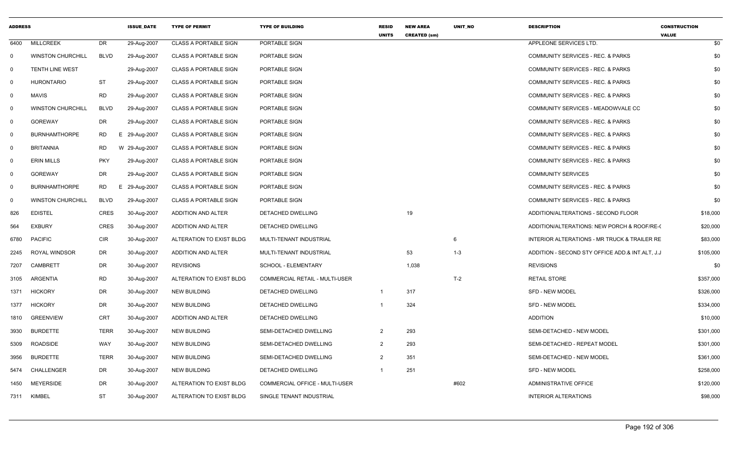| <b>ADDRESS</b> |                          |                 | <b>ISSUE_DATE</b> | <b>TYPE OF PERMIT</b>        | <b>TYPE OF BUILDING</b>               | <b>RESID</b><br><b>UNITS</b> | <b>NEW AREA</b><br><b>CREATED (sm)</b> | UNIT_NO | <b>DESCRIPTION</b>                              | <b>CONSTRUCTION</b><br><b>VALUE</b> |
|----------------|--------------------------|-----------------|-------------------|------------------------------|---------------------------------------|------------------------------|----------------------------------------|---------|-------------------------------------------------|-------------------------------------|
| 6400           | <b>MILLCREEK</b>         | DR              | 29-Aug-2007       | <b>CLASS A PORTABLE SIGN</b> | PORTABLE SIGN                         |                              |                                        |         | APPLEONE SERVICES LTD.                          | \$0                                 |
| $\Omega$       | <b>WINSTON CHURCHILL</b> | <b>BLVD</b>     | 29-Aug-2007       | <b>CLASS A PORTABLE SIGN</b> | PORTABLE SIGN                         |                              |                                        |         | COMMUNITY SERVICES - REC. & PARKS               | \$0                                 |
| $\overline{0}$ | <b>TENTH LINE WEST</b>   |                 | 29-Aug-2007       | <b>CLASS A PORTABLE SIGN</b> | PORTABLE SIGN                         |                              |                                        |         | <b>COMMUNITY SERVICES - REC. &amp; PARKS</b>    | \$0                                 |
| $\mathbf 0$    | <b>HURONTARIO</b>        | ST              | 29-Aug-2007       | <b>CLASS A PORTABLE SIGN</b> | PORTABLE SIGN                         |                              |                                        |         | <b>COMMUNITY SERVICES - REC. &amp; PARKS</b>    | \$0                                 |
| $\mathbf 0$    | <b>MAVIS</b>             | RD              | 29-Aug-2007       | <b>CLASS A PORTABLE SIGN</b> | PORTABLE SIGN                         |                              |                                        |         | <b>COMMUNITY SERVICES - REC. &amp; PARKS</b>    | \$0                                 |
| $\mathbf 0$    | <b>WINSTON CHURCHILL</b> | <b>BLVD</b>     | 29-Aug-2007       | <b>CLASS A PORTABLE SIGN</b> | PORTABLE SIGN                         |                              |                                        |         | COMMUNITY SERVICES - MEADOWVALE CC              | \$0                                 |
| $\mathbf 0$    | <b>GOREWAY</b>           | DR              | 29-Aug-2007       | <b>CLASS A PORTABLE SIGN</b> | PORTABLE SIGN                         |                              |                                        |         | <b>COMMUNITY SERVICES - REC. &amp; PARKS</b>    | \$0                                 |
| 0              | <b>BURNHAMTHORPE</b>     | <b>RD</b>       | E.<br>29-Aug-2007 | <b>CLASS A PORTABLE SIGN</b> | PORTABLE SIGN                         |                              |                                        |         | <b>COMMUNITY SERVICES - REC. &amp; PARKS</b>    | \$0                                 |
| $\mathbf 0$    | <b>BRITANNIA</b>         | RD              | W 29-Aug-2007     | <b>CLASS A PORTABLE SIGN</b> | PORTABLE SIGN                         |                              |                                        |         | <b>COMMUNITY SERVICES - REC. &amp; PARKS</b>    | \$0                                 |
| $\mathbf 0$    | <b>ERIN MILLS</b>        | <b>PKY</b>      | 29-Aug-2007       | <b>CLASS A PORTABLE SIGN</b> | PORTABLE SIGN                         |                              |                                        |         | COMMUNITY SERVICES - REC. & PARKS               | \$0                                 |
| $\overline{0}$ | <b>GOREWAY</b>           | DR              | 29-Aug-2007       | <b>CLASS A PORTABLE SIGN</b> | PORTABLE SIGN                         |                              |                                        |         | <b>COMMUNITY SERVICES</b>                       | \$0                                 |
| $\mathbf 0$    | <b>BURNHAMTHORPE</b>     | <b>RD</b><br>Е. | 29-Aug-2007       | <b>CLASS A PORTABLE SIGN</b> | PORTABLE SIGN                         |                              |                                        |         | <b>COMMUNITY SERVICES - REC. &amp; PARKS</b>    | \$0                                 |
| 0              | <b>WINSTON CHURCHILL</b> | <b>BLVD</b>     | 29-Aug-2007       | <b>CLASS A PORTABLE SIGN</b> | PORTABLE SIGN                         |                              |                                        |         | <b>COMMUNITY SERVICES - REC. &amp; PARKS</b>    | \$0                                 |
| 826            | <b>EDISTEL</b>           | <b>CRES</b>     | 30-Aug-2007       | ADDITION AND ALTER           | DETACHED DWELLING                     |                              | 19                                     |         | ADDITION/ALTERATIONS - SECOND FLOOR             | \$18,000                            |
| 564            | <b>EXBURY</b>            | <b>CRES</b>     | 30-Aug-2007       | <b>ADDITION AND ALTER</b>    | DETACHED DWELLING                     |                              |                                        |         | ADDITION/ALTERATIONS: NEW PORCH & ROOF/RE-(     | \$20,000                            |
| 6780           | PACIFIC                  | <b>CIR</b>      | 30-Aug-2007       | ALTERATION TO EXIST BLDG     | MULTI-TENANT INDUSTRIAL               |                              |                                        | 6       | INTERIOR ALTERATIONS - MR TRUCK & TRAILER RE    | \$83,000                            |
| 2245           | ROYAL WINDSOR            | DR              | 30-Aug-2007       | <b>ADDITION AND ALTER</b>    | MULTI-TENANT INDUSTRIAL               |                              | 53                                     | $1 - 3$ | ADDITION - SECOND STY OFFICE ADD.& INT.ALT, J.J | \$105,000                           |
| 7207           | CAMBRETT                 | DR              | 30-Aug-2007       | <b>REVISIONS</b>             | SCHOOL - ELEMENTARY                   |                              | 1,038                                  |         | <b>REVISIONS</b>                                | \$0                                 |
| 3105           | ARGENTIA                 | RD              | 30-Aug-2007       | ALTERATION TO EXIST BLDG     | <b>COMMERCIAL RETAIL - MULTI-USER</b> |                              |                                        | $T-2$   | <b>RETAIL STORE</b>                             | \$357,000                           |
| 1371           | <b>HICKORY</b>           | DR              | 30-Aug-2007       | <b>NEW BUILDING</b>          | DETACHED DWELLING                     | $\mathbf{1}$                 | 317                                    |         | <b>SFD - NEW MODEL</b>                          | \$326,000                           |
| 1377           | <b>HICKORY</b>           | DR.             | 30-Aug-2007       | <b>NEW BUILDING</b>          | <b>DETACHED DWELLING</b>              | -1                           | 324                                    |         | <b>SFD - NEW MODEL</b>                          | \$334,000                           |
| 1810           | <b>GREENVIEW</b>         | CRT             | 30-Aug-2007       | ADDITION AND ALTER           | DETACHED DWELLING                     |                              |                                        |         | <b>ADDITION</b>                                 | \$10,000                            |
| 3930           | <b>BURDETTE</b>          | <b>TERR</b>     | 30-Aug-2007       | <b>NEW BUILDING</b>          | SEMI-DETACHED DWELLING                | $\overline{2}$               | 293                                    |         | SEMI-DETACHED - NEW MODEL                       | \$301,000                           |
| 5309           | <b>ROADSIDE</b>          | WAY             | 30-Aug-2007       | <b>NEW BUILDING</b>          | SEMI-DETACHED DWELLING                | 2                            | 293                                    |         | SEMI-DETACHED - REPEAT MODEL                    | \$301,000                           |
| 3956           | <b>BURDETTE</b>          | <b>TERR</b>     | 30-Aug-2007       | <b>NEW BUILDING</b>          | SEMI-DETACHED DWELLING                | 2                            | 351                                    |         | SEMI-DETACHED - NEW MODEL                       | \$361,000                           |
| 5474           | CHALLENGER               | DR              | 30-Aug-2007       | <b>NEW BUILDING</b>          | DETACHED DWELLING                     | $\overline{\mathbf{1}}$      | 251                                    |         | <b>SFD - NEW MODEL</b>                          | \$258,000                           |
| 1450           | <b>MEYERSIDE</b>         | <b>DR</b>       | 30-Aug-2007       | ALTERATION TO EXIST BLDG     | COMMERCIAL OFFICE - MULTI-USER        |                              |                                        | #602    | <b>ADMINISTRATIVE OFFICE</b>                    | \$120,000                           |
| 7311           | KIMBEL                   | <b>ST</b>       | 30-Aug-2007       | ALTERATION TO EXIST BLDG     | SINGLE TENANT INDUSTRIAL              |                              |                                        |         | <b>INTERIOR ALTERATIONS</b>                     | \$98,000                            |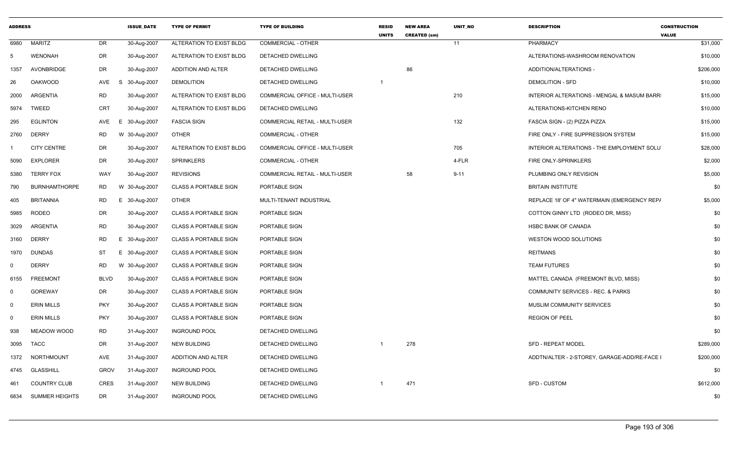| <b>ADDRESS</b> |                       |             | <b>ISSUE_DATE</b> | <b>TYPE OF PERMIT</b>        | <b>TYPE OF BUILDING</b>        | <b>RESID</b><br><b>UNITS</b> | <b>NEW AREA</b><br><b>CREATED (sm)</b> | UNIT_NO  | <b>DESCRIPTION</b>                           | <b>CONSTRUCTION</b><br><b>VALUE</b> |
|----------------|-----------------------|-------------|-------------------|------------------------------|--------------------------------|------------------------------|----------------------------------------|----------|----------------------------------------------|-------------------------------------|
| 6980           | <b>MARITZ</b>         | DR          | 30-Aug-2007       | ALTERATION TO EXIST BLDG     | <b>COMMERCIAL - OTHER</b>      |                              |                                        | 11       | PHARMACY                                     | \$31,000                            |
| -5             | <b>WENONAH</b>        | <b>DR</b>   | 30-Aug-2007       | ALTERATION TO EXIST BLDG     | DETACHED DWELLING              |                              |                                        |          | ALTERATIONS-WASHROOM RENOVATION              | \$10,000                            |
| 1357           | AVONBRIDGE            | DR          | 30-Aug-2007       | ADDITION AND ALTER           | DETACHED DWELLING              |                              | 86                                     |          | ADDITION/ALTERATIONS -                       | \$206,000                           |
| 26             | <b>OAKWOOD</b>        | AVE         | 30-Aug-2007<br>S. | <b>DEMOLITION</b>            | DETACHED DWELLING              | $\overline{1}$               |                                        |          | <b>DEMOLITION - SFD</b>                      | \$10,000                            |
| 2000           | ARGENTIA              | <b>RD</b>   | 30-Aug-2007       | ALTERATION TO EXIST BLDG     | COMMERCIAL OFFICE - MULTI-USER |                              |                                        | 210      | INTERIOR ALTERATIONS - MENGAL & MASUM BARR   | \$15,000                            |
| 5974           | <b>TWEED</b>          | <b>CRT</b>  | 30-Aug-2007       | ALTERATION TO EXIST BLDG     | DETACHED DWELLING              |                              |                                        |          | ALTERATIONS-KITCHEN RENO                     | \$10,000                            |
| 295            | <b>EGLINTON</b>       | AVE         | E 30-Aug-2007     | <b>FASCIA SIGN</b>           | COMMERCIAL RETAIL - MULTI-USER |                              |                                        | 132      | FASCIA SIGN - (2) PIZZA PIZZA                | \$15,000                            |
| 2760           | <b>DERRY</b>          | RD.         | W 30-Aug-2007     | <b>OTHER</b>                 | COMMERCIAL - OTHER             |                              |                                        |          | FIRE ONLY - FIRE SUPPRESSION SYSTEM          | \$15,000                            |
|                | <b>CITY CENTRE</b>    | <b>DR</b>   | 30-Aug-2007       | ALTERATION TO EXIST BLDG     | COMMERCIAL OFFICE - MULTI-USER |                              |                                        | 705      | INTERIOR ALTERATIONS - THE EMPLOYMENT SOLU   | \$28,000                            |
| 5090           | <b>EXPLORER</b>       | <b>DR</b>   | 30-Aug-2007       | <b>SPRINKLERS</b>            | <b>COMMERCIAL - OTHER</b>      |                              |                                        | 4-FLR    | FIRE ONLY-SPRINKLERS                         | \$2,000                             |
| 5380           | <b>TERRY FOX</b>      | <b>WAY</b>  | 30-Aug-2007       | <b>REVISIONS</b>             | COMMERCIAL RETAIL - MULTI-USER |                              | 58                                     | $9 - 11$ | PLUMBING ONLY REVISION                       | \$5,000                             |
| 790            | <b>BURNHAMTHORPE</b>  | RD.         | W 30-Aug-2007     | <b>CLASS A PORTABLE SIGN</b> | PORTABLE SIGN                  |                              |                                        |          | <b>BRITAIN INSTITUTE</b>                     | \$0                                 |
| 405            | <b>BRITANNIA</b>      | RD          | E 30-Aug-2007     | <b>OTHER</b>                 | MULTI-TENANT INDUSTRIAL        |                              |                                        |          | REPLACE 18' OF 4" WATERMAIN (EMERGENCY REP/  | \$5,000                             |
| 5985           | <b>RODEO</b>          | <b>DR</b>   | 30-Aug-2007       | <b>CLASS A PORTABLE SIGN</b> | PORTABLE SIGN                  |                              |                                        |          | COTTON GINNY LTD (RODEO DR, MISS)            | \$0                                 |
| 3029           | ARGENTIA              | <b>RD</b>   | 30-Aug-2007       | <b>CLASS A PORTABLE SIGN</b> | PORTABLE SIGN                  |                              |                                        |          | <b>HSBC BANK OF CANADA</b>                   | \$0                                 |
| 3160           | DERRY                 | <b>RD</b>   | E 30-Aug-2007     | <b>CLASS A PORTABLE SIGN</b> | PORTABLE SIGN                  |                              |                                        |          | WESTON WOOD SOLUTIONS                        | \$0                                 |
| 1970           | <b>DUNDAS</b>         | ST          | E 30-Aug-2007     | <b>CLASS A PORTABLE SIGN</b> | <b>PORTABLE SIGN</b>           |                              |                                        |          | <b>REITMANS</b>                              | \$0                                 |
| $\Omega$       | <b>DERRY</b>          | RD.         | W 30-Aug-2007     | <b>CLASS A PORTABLE SIGN</b> | PORTABLE SIGN                  |                              |                                        |          | <b>TEAM FUTURES</b>                          | \$0                                 |
| 6155           | <b>FREEMONT</b>       | <b>BLVD</b> | 30-Aug-2007       | <b>CLASS A PORTABLE SIGN</b> | PORTABLE SIGN                  |                              |                                        |          | MATTEL CANADA (FREEMONT BLVD, MISS)          | \$0                                 |
| 0              | <b>GOREWAY</b>        | <b>DR</b>   | 30-Aug-2007       | <b>CLASS A PORTABLE SIGN</b> | PORTABLE SIGN                  |                              |                                        |          | <b>COMMUNITY SERVICES - REC. &amp; PARKS</b> | \$0                                 |
| $\Omega$       | <b>ERIN MILLS</b>     | <b>PKY</b>  | 30-Aug-2007       | <b>CLASS A PORTABLE SIGN</b> | <b>PORTABLE SIGN</b>           |                              |                                        |          | MUSLIM COMMUNITY SERVICES                    | \$0                                 |
| $\mathbf 0$    | <b>ERIN MILLS</b>     | <b>PKY</b>  | 30-Aug-2007       | <b>CLASS A PORTABLE SIGN</b> | PORTABLE SIGN                  |                              |                                        |          | <b>REGION OF PEEL</b>                        | \$0                                 |
| 938            | MEADOW WOOD           | <b>RD</b>   | 31-Aug-2007       | <b>INGROUND POOL</b>         | DETACHED DWELLING              |                              |                                        |          |                                              | \$0                                 |
| 3095           | <b>TACC</b>           | DR          | 31-Aug-2007       | <b>NEW BUILDING</b>          | DETACHED DWELLING              |                              | 278                                    |          | <b>SFD - REPEAT MODEL</b>                    | \$289,000                           |
| 1372           | NORTHMOUNT            | AVE         | 31-Aug-2007       | ADDITION AND ALTER           | DETACHED DWELLING              |                              |                                        |          | ADDTN/ALTER - 2-STOREY, GARAGE-ADD/RE-FACE   | \$200,000                           |
| 4745           | <b>GLASSHILL</b>      | <b>GROV</b> | 31-Aug-2007       | <b>INGROUND POOL</b>         | DETACHED DWELLING              |                              |                                        |          |                                              | \$0                                 |
| 461            | <b>COUNTRY CLUB</b>   | <b>CRES</b> | 31-Aug-2007       | <b>NEW BUILDING</b>          | DETACHED DWELLING              |                              | 471                                    |          | <b>SFD - CUSTOM</b>                          | \$612,000                           |
| 6834           | <b>SUMMER HEIGHTS</b> | DR          | 31-Aug-2007       | <b>INGROUND POOL</b>         | DETACHED DWELLING              |                              |                                        |          |                                              | \$0                                 |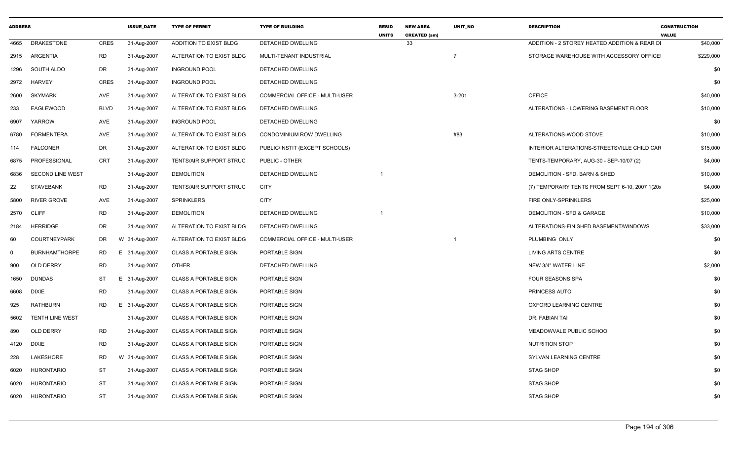| <b>ADDRESS</b> |                        |             | <b>ISSUE DATE</b> | <b>TYPE OF PERMIT</b>        | <b>TYPE OF BUILDING</b>        | <b>RESID</b><br><b>UNITS</b> | <b>NEW AREA</b><br><b>CREATED (sm)</b> | <b>UNIT NO</b> | <b>DESCRIPTION</b>                              | <b>CONSTRUCTION</b><br><b>VALUE</b> |          |
|----------------|------------------------|-------------|-------------------|------------------------------|--------------------------------|------------------------------|----------------------------------------|----------------|-------------------------------------------------|-------------------------------------|----------|
| 4665           | <b>DRAKESTONE</b>      | <b>CRES</b> | 31-Aug-2007       | ADDITION TO EXIST BLDG       | <b>DETACHED DWELLING</b>       |                              | 33                                     |                | ADDITION - 2 STOREY HEATED ADDITION & REAR DI   |                                     | \$40,000 |
|                | 2915 ARGENTIA          | RD          | 31-Aug-2007       | ALTERATION TO EXIST BLDG     | MULTI-TENANT INDUSTRIAL        |                              |                                        |                | STORAGE WAREHOUSE WITH ACCESSORY OFFICE:        | \$229,000                           |          |
| 1296           | SOUTH ALDO             | DR          | 31-Aug-2007       | <b>INGROUND POOL</b>         | DETACHED DWELLING              |                              |                                        |                |                                                 |                                     | \$0      |
| 2972           | HARVEY                 | <b>CRES</b> | 31-Aug-2007       | <b>INGROUND POOL</b>         | DETACHED DWELLING              |                              |                                        |                |                                                 |                                     | \$0      |
| 2600           | <b>SKYMARK</b>         | AVE         | 31-Aug-2007       | ALTERATION TO EXIST BLDG     | COMMERCIAL OFFICE - MULTI-USER |                              |                                        | $3 - 201$      | <b>OFFICE</b>                                   |                                     | \$40,000 |
| 233            | EAGLEWOOD              | <b>BLVD</b> | 31-Aug-2007       | ALTERATION TO EXIST BLDG     | DETACHED DWELLING              |                              |                                        |                | ALTERATIONS - LOWERING BASEMENT FLOOR           |                                     | \$10,000 |
| 6907           | YARROW                 | AVE         | 31-Aug-2007       | <b>INGROUND POOL</b>         | DETACHED DWELLING              |                              |                                        |                |                                                 |                                     | \$0      |
| 6780           | <b>FORMENTERA</b>      | AVE         | 31-Aug-2007       | ALTERATION TO EXIST BLDG     | CONDOMINIUM ROW DWELLING       |                              |                                        | #83            | ALTERATIONS-WOOD STOVE                          |                                     | \$10,000 |
| 114            | <b>FALCONER</b>        | DR          | 31-Aug-2007       | ALTERATION TO EXIST BLDG     | PUBLIC/INSTIT (EXCEPT SCHOOLS) |                              |                                        |                | INTERIOR ALTERATIONS-STREETSVILLE CHILD CAR     |                                     | \$15,000 |
| 6875           | PROFESSIONAL           | CRT         | 31-Aug-2007       | TENTS/AIR SUPPORT STRUC      | PUBLIC - OTHER                 |                              |                                        |                | TENTS-TEMPORARY, AUG-30 - SEP-10/07 (2)         |                                     | \$4,000  |
| 6836           | SECOND LINE WEST       |             | 31-Aug-2007       | <b>DEMOLITION</b>            | DETACHED DWELLING              |                              |                                        |                | DEMOLITION - SFD, BARN & SHED                   |                                     | \$10,000 |
| 22             | <b>STAVEBANK</b>       | <b>RD</b>   | 31-Aug-2007       | TENTS/AIR SUPPORT STRUC      | <b>CITY</b>                    |                              |                                        |                | (7) TEMPORARY TENTS FROM SEPT 6-10, 2007 1(20x) |                                     | \$4,000  |
| 5800           | RIVER GROVE            | AVE         | 31-Aug-2007       | <b>SPRINKLERS</b>            | <b>CITY</b>                    |                              |                                        |                | FIRE ONLY-SPRINKLERS                            |                                     | \$25,000 |
|                | 2570 CLIFF             | <b>RD</b>   | 31-Aug-2007       | <b>DEMOLITION</b>            | DETACHED DWELLING              | - 1                          |                                        |                | DEMOLITION - SFD & GARAGE                       |                                     | \$10,000 |
| 2184           | <b>HERRIDGE</b>        | DR          | 31-Aug-2007       | ALTERATION TO EXIST BLDG     | <b>DETACHED DWELLING</b>       |                              |                                        |                | ALTERATIONS-FINISHED BASEMENT/WINDOWS           |                                     | \$33,000 |
| 60             | <b>COURTNEYPARK</b>    | DR          | W 31-Aug-2007     | ALTERATION TO EXIST BLDG     | COMMERCIAL OFFICE - MULTI-USER |                              |                                        |                | PLUMBING ONLY                                   |                                     | \$0      |
| $\Omega$       | <b>BURNHAMTHORPE</b>   | RD          | 31-Aug-2007<br>E  | <b>CLASS A PORTABLE SIGN</b> | PORTABLE SIGN                  |                              |                                        |                | LIVING ARTS CENTRE                              |                                     | \$0      |
| 900            | OLD DERRY              | <b>RD</b>   | 31-Aug-2007       | <b>OTHER</b>                 | DETACHED DWELLING              |                              |                                        |                | NEW 3/4" WATER LINE                             |                                     | \$2,000  |
| 1650           | <b>DUNDAS</b>          | <b>ST</b>   | 31-Aug-2007<br>E. | <b>CLASS A PORTABLE SIGN</b> | PORTABLE SIGN                  |                              |                                        |                | <b>FOUR SEASONS SPA</b>                         |                                     | \$0      |
| 6608           | <b>DIXIE</b>           | <b>RD</b>   | 31-Aug-2007       | <b>CLASS A PORTABLE SIGN</b> | PORTABLE SIGN                  |                              |                                        |                | PRINCESS AUTO                                   |                                     | \$0      |
| 925            | <b>RATHBURN</b>        | RD          | 31-Aug-2007<br>E. | CLASS A PORTABLE SIGN        | PORTABLE SIGN                  |                              |                                        |                | OXFORD LEARNING CENTRE                          |                                     | \$0      |
| 5602           | <b>TENTH LINE WEST</b> |             | 31-Aug-2007       | <b>CLASS A PORTABLE SIGN</b> | PORTABLE SIGN                  |                              |                                        |                | DR. FABIAN TAI                                  |                                     | \$0      |
| 890            | OLD DERRY              | <b>RD</b>   | 31-Aug-2007       | <b>CLASS A PORTABLE SIGN</b> | PORTABLE SIGN                  |                              |                                        |                | MEADOWVALE PUBLIC SCHOO                         |                                     | \$0      |
| 4120           | <b>DIXIE</b>           | <b>RD</b>   | 31-Aug-2007       | <b>CLASS A PORTABLE SIGN</b> | PORTABLE SIGN                  |                              |                                        |                | <b>NUTRITION STOP</b>                           |                                     | \$0      |
| 228            | LAKESHORE              | <b>RD</b>   | W 31-Aug-2007     | CLASS A PORTABLE SIGN        | PORTABLE SIGN                  |                              |                                        |                | SYLVAN LEARNING CENTRE                          |                                     | \$0      |
| 6020           | HURONTARIO             | ST          | 31-Aug-2007       | <b>CLASS A PORTABLE SIGN</b> | PORTABLE SIGN                  |                              |                                        |                | STAG SHOP                                       |                                     | \$0      |
| 6020           | <b>HURONTARIO</b>      | <b>ST</b>   | 31-Aug-2007       | <b>CLASS A PORTABLE SIGN</b> | PORTABLE SIGN                  |                              |                                        |                | <b>STAG SHOP</b>                                |                                     | \$0      |
|                | 6020 HURONTARIO        | <b>ST</b>   | 31-Aug-2007       | <b>CLASS A PORTABLE SIGN</b> | PORTABLE SIGN                  |                              |                                        |                | <b>STAG SHOP</b>                                |                                     | \$0      |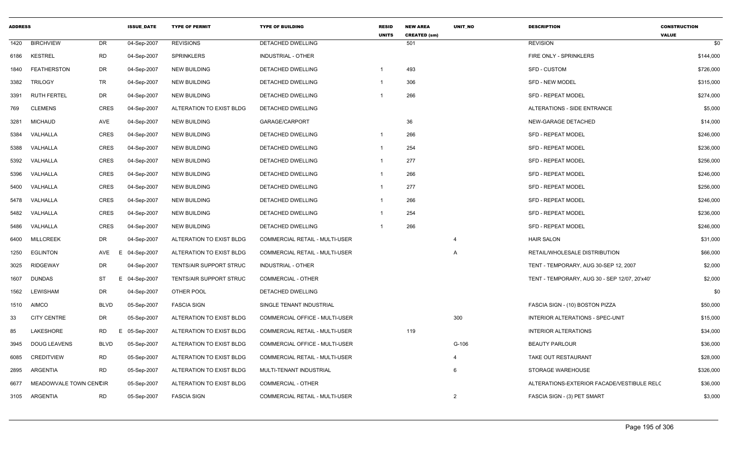| <b>ADDRESS</b> |                        |             | <b>ISSUE DATE</b> | <b>TYPE OF PERMIT</b>    | <b>TYPE OF BUILDING</b>        | <b>RESID</b><br><b>UNITS</b> | <b>NEW AREA</b><br><b>CREATED (sm)</b> | <b>UNIT NO</b> | <b>DESCRIPTION</b>                            | <b>CONSTRUCTION</b><br><b>VALUE</b> |
|----------------|------------------------|-------------|-------------------|--------------------------|--------------------------------|------------------------------|----------------------------------------|----------------|-----------------------------------------------|-------------------------------------|
| 1420           | <b>BIRCHVIEW</b>       | DR          | 04-Sep-2007       | <b>REVISIONS</b>         | DETACHED DWELLING              |                              | 501                                    |                | <b>REVISION</b>                               | \$0                                 |
| 6186           | <b>KESTREL</b>         | <b>RD</b>   | 04-Sep-2007       | <b>SPRINKLERS</b>        | <b>INDUSTRIAL - OTHER</b>      |                              |                                        |                | FIRE ONLY - SPRINKLERS                        | \$144,000                           |
| 1840           | <b>FEATHERSTON</b>     | DR          | 04-Sep-2007       | <b>NEW BUILDING</b>      | <b>DETACHED DWELLING</b>       |                              | 493                                    |                | SFD - CUSTOM                                  | \$726,000                           |
| 3382           | <b>TRILOGY</b>         | TR          | 04-Sep-2007       | <b>NEW BUILDING</b>      | DETACHED DWELLING              | $\overline{1}$               | 306                                    |                | SFD - NEW MODEL                               | \$315,000                           |
| 3391           | <b>RUTH FERTEL</b>     | <b>DR</b>   | 04-Sep-2007       | <b>NEW BUILDING</b>      | <b>DETACHED DWELLING</b>       |                              | 266                                    |                | <b>SFD - REPEAT MODEL</b>                     | \$274,000                           |
| 769            | <b>CLEMENS</b>         | <b>CRES</b> | 04-Sep-2007       | ALTERATION TO EXIST BLDG | DETACHED DWELLING              |                              |                                        |                | ALTERATIONS - SIDE ENTRANCE                   | \$5,000                             |
| 3281           | <b>MICHAUD</b>         | AVE         | 04-Sep-2007       | <b>NEW BUILDING</b>      | GARAGE/CARPORT                 |                              | 36                                     |                | NEW-GARAGE DETACHED                           | \$14,000                            |
| 5384           | VALHALLA               | <b>CRES</b> | 04-Sep-2007       | <b>NEW BUILDING</b>      | <b>DETACHED DWELLING</b>       | $\overline{1}$               | 266                                    |                | <b>SFD - REPEAT MODEL</b>                     | \$246,000                           |
| 5388           | VALHALLA               | <b>CRES</b> | 04-Sep-2007       | <b>NEW BUILDING</b>      | DETACHED DWELLING              | $\overline{1}$               | 254                                    |                | <b>SFD - REPEAT MODEL</b>                     | \$236,000                           |
| 5392           | VALHALLA               | CRES        | 04-Sep-2007       | <b>NEW BUILDING</b>      | DETACHED DWELLING              | -1                           | 277                                    |                | SFD - REPEAT MODEL                            | \$256,000                           |
| 5396           | VALHALLA               | <b>CRES</b> | 04-Sep-2007       | <b>NEW BUILDING</b>      | <b>DETACHED DWELLING</b>       | $\overline{1}$               | 266                                    |                | <b>SFD - REPEAT MODEL</b>                     | \$246,000                           |
| 5400           | VALHALLA               | <b>CRES</b> | 04-Sep-2007       | <b>NEW BUILDING</b>      | <b>DETACHED DWELLING</b>       |                              | 277                                    |                | <b>SFD - REPEAT MODEL</b>                     | \$256,000                           |
| 5478           | VALHALLA               | CRES        | 04-Sep-2007       | <b>NEW BUILDING</b>      | DETACHED DWELLING              |                              | 266                                    |                | <b>SFD - REPEAT MODEL</b>                     | \$246,000                           |
| 5482           | VALHALLA               | <b>CRES</b> | 04-Sep-2007       | <b>NEW BUILDING</b>      | <b>DETACHED DWELLING</b>       |                              | 254                                    |                | <b>SFD - REPEAT MODEL</b>                     | \$236,000                           |
| 5486           | VALHALLA               | <b>CRES</b> | 04-Sep-2007       | <b>NEW BUILDING</b>      | DETACHED DWELLING              | $\overline{1}$               | 266                                    |                | <b>SFD - REPEAT MODEL</b>                     | \$246,000                           |
| 6400           | <b>MILLCREEK</b>       | DR          | 04-Sep-2007       | ALTERATION TO EXIST BLDG | COMMERCIAL RETAIL - MULTI-USER |                              |                                        | $\overline{a}$ | <b>HAIR SALON</b>                             | \$31,000                            |
| 1250           | <b>EGLINTON</b>        | AVE<br>E    | 04-Sep-2007       | ALTERATION TO EXIST BLDG | COMMERCIAL RETAIL - MULTI-USER |                              |                                        | A              | RETAIL/WHOLESALE DISTRIBUTION                 | \$66,000                            |
| 3025           | <b>RIDGEWAY</b>        | DR          | 04-Sep-2007       | TENTS/AIR SUPPORT STRUC  | <b>INDUSTRIAL - OTHER</b>      |                              |                                        |                | TENT - TEMPORARY, AUG 30-SEP 12, 2007         | \$2,000                             |
| 1607           | <b>DUNDAS</b>          | ST          | E 04-Sep-2007     | TENTS/AIR SUPPORT STRUC  | <b>COMMERCIAL - OTHER</b>      |                              |                                        |                | TENT - TEMPORARY, AUG 30 - SEP 12/07, 20'x40' | \$2,000                             |
| 1562           | LEWISHAM               | <b>DR</b>   | 04-Sep-2007       | OTHER POOL               | DETACHED DWELLING              |                              |                                        |                |                                               | \$0                                 |
| 1510           | <b>AIMCO</b>           | <b>BLVD</b> | 05-Sep-2007       | <b>FASCIA SIGN</b>       | SINGLE TENANT INDUSTRIAL       |                              |                                        |                | FASCIA SIGN - (10) BOSTON PIZZA               | \$50,000                            |
| 33             | <b>CITY CENTRE</b>     | DR          | 05-Sep-2007       | ALTERATION TO EXIST BLDG | COMMERCIAL OFFICE - MULTI-USER |                              |                                        | 300            | INTERIOR ALTERATIONS - SPEC-UNIT              | \$15,000                            |
| 85             | LAKESHORE              | RD<br>E.    | 05-Sep-2007       | ALTERATION TO EXIST BLDG | COMMERCIAL RETAIL - MULTI-USER |                              | 119                                    |                | <b>INTERIOR ALTERATIONS</b>                   | \$34,000                            |
| 3945           | <b>DOUG LEAVENS</b>    | <b>BLVD</b> | 05-Sep-2007       | ALTERATION TO EXIST BLDG | COMMERCIAL OFFICE - MULTI-USER |                              |                                        | G-106          | <b>BEAUTY PARLOUR</b>                         | \$36,000                            |
| 6085           | <b>CREDITVIEW</b>      | <b>RD</b>   | 05-Sep-2007       | ALTERATION TO EXIST BLDG | COMMERCIAL RETAIL - MULTI-USER |                              |                                        |                | TAKE OUT RESTAURANT                           | \$28,000                            |
| 2895           | ARGENTIA               | <b>RD</b>   | 05-Sep-2007       | ALTERATION TO EXIST BLDG | MULTI-TENANT INDUSTRIAL        |                              |                                        | 6              | STORAGE WAREHOUSE                             | \$326,000                           |
| 6677           | MEADOWVALE TOWN CENCIR |             | 05-Sep-2007       | ALTERATION TO EXIST BLDG | COMMERCIAL - OTHER             |                              |                                        |                | ALTERATIONS-EXTERIOR FACADE/VESTIBULE RELO    | \$36,000                            |
| 3105           | ARGENTIA               | <b>RD</b>   | 05-Sep-2007       | <b>FASCIA SIGN</b>       | COMMERCIAL RETAIL - MULTI-USER |                              |                                        | 2              | FASCIA SIGN - (3) PET SMART                   | \$3,000                             |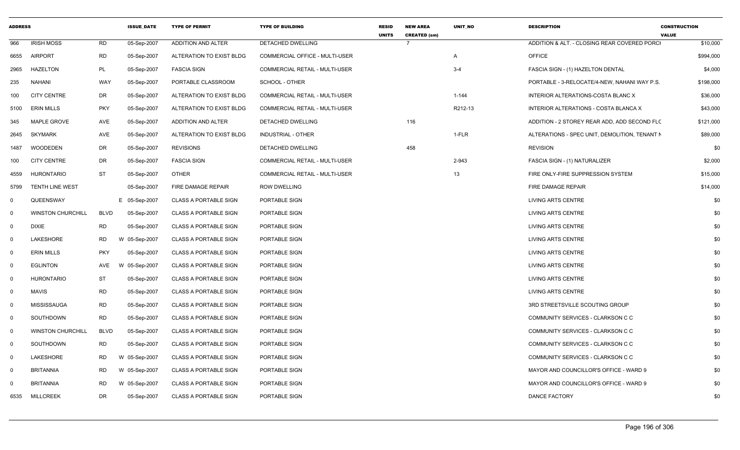| <b>ADDRESS</b> |                          |             | <b>ISSUE DATE</b> | <b>TYPE OF PERMIT</b>        | <b>TYPE OF BUILDING</b>               | <b>RESID</b><br><b>UNITS</b> | <b>NEW AREA</b><br><b>CREATED (sm)</b> | <b>UNIT NO</b> | <b>DESCRIPTION</b>                            | <b>CONSTRUCTION</b><br><b>VALUE</b> |
|----------------|--------------------------|-------------|-------------------|------------------------------|---------------------------------------|------------------------------|----------------------------------------|----------------|-----------------------------------------------|-------------------------------------|
| 966            | <b>IRISH MOSS</b>        | RD          | 05-Sep-2007       | ADDITION AND ALTER           | DETACHED DWELLING                     |                              |                                        |                | ADDITION & ALT. - CLOSING REAR COVERED PORCH  | \$10,000                            |
| 6655           | <b>AIRPORT</b>           | <b>RD</b>   | 05-Sep-2007       | ALTERATION TO EXIST BLDG     | <b>COMMERCIAL OFFICE - MULTI-USER</b> |                              |                                        | A              | <b>OFFICE</b>                                 | \$994,000                           |
| 2965           | <b>HAZELTON</b>          | PL          | 05-Sep-2007       | <b>FASCIA SIGN</b>           | COMMERCIAL RETAIL - MULTI-USER        |                              |                                        | $3 - 4$        | FASCIA SIGN - (1) HAZELTON DENTAL             | \$4,000                             |
| 235            | <b>NAHANI</b>            | WAY         | 05-Sep-2007       | PORTABLE CLASSROOM           | SCHOOL - OTHER                        |                              |                                        |                | PORTABLE - 3-RELOCATE/4-NEW, NAHANI WAY P.S.  | \$198,000                           |
| 100            | <b>CITY CENTRE</b>       | DR          | 05-Sep-2007       | ALTERATION TO EXIST BLDG     | <b>COMMERCIAL RETAIL - MULTI-USER</b> |                              |                                        | $1 - 144$      | INTERIOR ALTERATIONS-COSTA BLANC X            | \$36,000                            |
| 5100           | <b>ERIN MILLS</b>        | <b>PKY</b>  | 05-Sep-2007       | ALTERATION TO EXIST BLDG     | <b>COMMERCIAL RETAIL - MULTI-USER</b> |                              |                                        | R212-13        | INTERIOR ALTERATIONS - COSTA BLANCA X         | \$43,000                            |
| 345            | MAPLE GROVE              | AVE         | 05-Sep-2007       | ADDITION AND ALTER           | DETACHED DWELLING                     |                              | 116                                    |                | ADDITION - 2 STOREY REAR ADD, ADD SECOND FLC  | \$121,000                           |
| 2645           | <b>SKYMARK</b>           | AVE         | 05-Sep-2007       | ALTERATION TO EXIST BLDG     | <b>INDUSTRIAL - OTHER</b>             |                              |                                        | 1-FLR          | ALTERATIONS - SPEC UNIT, DEMOLITION, TENANT N | \$89,000                            |
| 1487           | WOODEDEN                 | DR          | 05-Sep-2007       | <b>REVISIONS</b>             | DETACHED DWELLING                     |                              | 458                                    |                | <b>REVISION</b>                               | \$0                                 |
| 100            | <b>CITY CENTRE</b>       | <b>DR</b>   | 05-Sep-2007       | <b>FASCIA SIGN</b>           | <b>COMMERCIAL RETAIL - MULTI-USER</b> |                              |                                        | 2-943          | FASCIA SIGN - (1) NATURALIZER                 | \$2,000                             |
| 4559           | <b>HURONTARIO</b>        | <b>ST</b>   | 05-Sep-2007       | <b>OTHER</b>                 | COMMERCIAL RETAIL - MULTI-USER        |                              |                                        | 13             | FIRE ONLY-FIRE SUPPRESSION SYSTEM             | \$15,000                            |
| 5799           | <b>TENTH LINE WEST</b>   |             | 05-Sep-2007       | FIRE DAMAGE REPAIR           | ROW DWELLING                          |                              |                                        |                | FIRE DAMAGE REPAIR                            | \$14,000                            |
| $\Omega$       | QUEENSWAY                |             | E 05-Sep-2007     | <b>CLASS A PORTABLE SIGN</b> | PORTABLE SIGN                         |                              |                                        |                | LIVING ARTS CENTRE                            | \$0                                 |
| $\Omega$       | <b>WINSTON CHURCHILL</b> | <b>BLVD</b> | 05-Sep-2007       | <b>CLASS A PORTABLE SIGN</b> | PORTABLE SIGN                         |                              |                                        |                | LIVING ARTS CENTRE                            | \$0                                 |
| $\mathbf 0$    | <b>DIXIE</b>             | <b>RD</b>   | 05-Sep-2007       | <b>CLASS A PORTABLE SIGN</b> | PORTABLE SIGN                         |                              |                                        |                | LIVING ARTS CENTRE                            | \$0                                 |
| $\mathbf 0$    | LAKESHORE                | <b>RD</b>   | W 05-Sep-2007     | <b>CLASS A PORTABLE SIGN</b> | PORTABLE SIGN                         |                              |                                        |                | LIVING ARTS CENTRE                            | \$0                                 |
| $\Omega$       | <b>ERIN MILLS</b>        | <b>PKY</b>  | 05-Sep-2007       | <b>CLASS A PORTABLE SIGN</b> | PORTABLE SIGN                         |                              |                                        |                | <b>LIVING ARTS CENTRE</b>                     | \$0                                 |
| $\mathbf 0$    | <b>EGLINTON</b>          | AVE         | 05-Sep-2007<br>W  | <b>CLASS A PORTABLE SIGN</b> | PORTABLE SIGN                         |                              |                                        |                | LIVING ARTS CENTRE                            | \$0                                 |
| $\mathbf 0$    | <b>HURONTARIO</b>        | <b>ST</b>   | 05-Sep-2007       | CLASS A PORTABLE SIGN        | PORTABLE SIGN                         |                              |                                        |                | LIVING ARTS CENTRE                            | \$0                                 |
| $\mathbf 0$    | <b>MAVIS</b>             | <b>RD</b>   | 05-Sep-2007       | <b>CLASS A PORTABLE SIGN</b> | PORTABLE SIGN                         |                              |                                        |                | LIVING ARTS CENTRE                            | \$0                                 |
| $\Omega$       | MISSISSAUGA              | <b>RD</b>   | 05-Sep-2007       | <b>CLASS A PORTABLE SIGN</b> | PORTABLE SIGN                         |                              |                                        |                | 3RD STREETSVILLE SCOUTING GROUP               | \$0                                 |
| $\mathbf 0$    | SOUTHDOWN                | <b>RD</b>   | 05-Sep-2007       | <b>CLASS A PORTABLE SIGN</b> | PORTABLE SIGN                         |                              |                                        |                | COMMUNITY SERVICES - CLARKSON C C             | \$0                                 |
| $\mathbf 0$    | <b>WINSTON CHURCHILL</b> | <b>BLVD</b> | 05-Sep-2007       | <b>CLASS A PORTABLE SIGN</b> | PORTABLE SIGN                         |                              |                                        |                | COMMUNITY SERVICES - CLARKSON C C             | \$0                                 |
| $\Omega$       | SOUTHDOWN                | <b>RD</b>   | 05-Sep-2007       | <b>CLASS A PORTABLE SIGN</b> | PORTABLE SIGN                         |                              |                                        |                | COMMUNITY SERVICES - CLARKSON C C             | \$0                                 |
| $\mathbf 0$    | LAKESHORE                | RD          | W 05-Sep-2007     | <b>CLASS A PORTABLE SIGN</b> | PORTABLE SIGN                         |                              |                                        |                | COMMUNITY SERVICES - CLARKSON C C             | \$0                                 |
| $\mathbf 0$    | <b>BRITANNIA</b>         | RD          | W 05-Sep-2007     | CLASS A PORTABLE SIGN        | PORTABLE SIGN                         |                              |                                        |                | MAYOR AND COUNCILLOR'S OFFICE - WARD 9        | \$0                                 |
| $\Omega$       | <b>BRITANNIA</b>         | <b>RD</b>   | W 05-Sep-2007     | <b>CLASS A PORTABLE SIGN</b> | PORTABLE SIGN                         |                              |                                        |                | MAYOR AND COUNCILLOR'S OFFICE - WARD 9        | \$0                                 |
| 6535           | <b>MILLCREEK</b>         | <b>DR</b>   | 05-Sep-2007       | <b>CLASS A PORTABLE SIGN</b> | PORTABLE SIGN                         |                              |                                        |                | <b>DANCE FACTORY</b>                          | \$0                                 |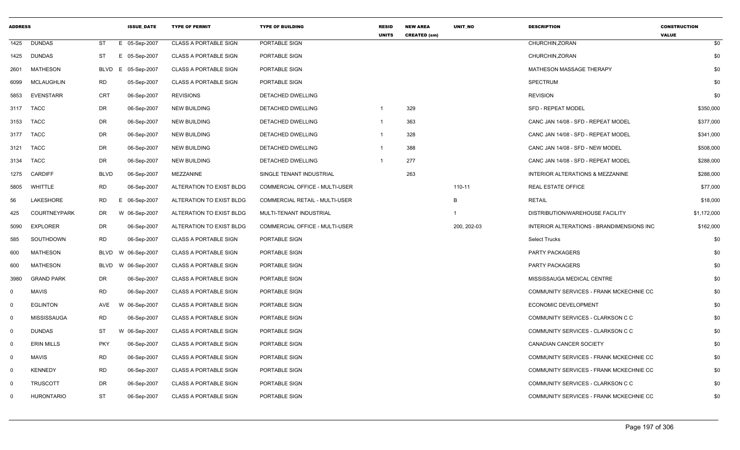| <b>ADDRESS</b> |                     |             | <b>ISSUE DATE</b> | <b>TYPE OF PERMIT</b>        | <b>TYPE OF BUILDING</b>               | <b>RESID</b><br><b>UNITS</b> | <b>NEW AREA</b><br><b>CREATED (sm)</b> | UNIT_NO     | <b>DESCRIPTION</b>                        | <b>CONSTRUCTION</b><br><b>VALUE</b> |
|----------------|---------------------|-------------|-------------------|------------------------------|---------------------------------------|------------------------------|----------------------------------------|-------------|-------------------------------------------|-------------------------------------|
| 1425           | <b>DUNDAS</b>       | ST          | E 05-Sep-2007     | <b>CLASS A PORTABLE SIGN</b> | PORTABLE SIGN                         |                              |                                        |             | CHURCHIN, ZORAN                           | \$0                                 |
| 1425           | DUNDAS              | <b>ST</b>   | E 05-Sep-2007     | <b>CLASS A PORTABLE SIGN</b> | PORTABLE SIGN                         |                              |                                        |             | CHURCHIN, ZORAN                           | \$0                                 |
| 2601           | MATHESON            | <b>BLVD</b> | 05-Sep-2007<br>E. | <b>CLASS A PORTABLE SIGN</b> | PORTABLE SIGN                         |                              |                                        |             | MATHESON MASSAGE THERAPY                  | \$0                                 |
| 6099           | MCLAUGHLIN          | RD          | 05-Sep-2007       | <b>CLASS A PORTABLE SIGN</b> | PORTABLE SIGN                         |                              |                                        |             | <b>SPECTRUM</b>                           | \$0                                 |
| 5853           | <b>EVENSTARR</b>    | CRT         | 06-Sep-2007       | <b>REVISIONS</b>             | DETACHED DWELLING                     |                              |                                        |             | <b>REVISION</b>                           | \$0                                 |
| 3117           | <b>TACC</b>         | <b>DR</b>   | 06-Sep-2007       | <b>NEW BUILDING</b>          | <b>DETACHED DWELLING</b>              | $\mathbf 1$                  | 329                                    |             | <b>SFD - REPEAT MODEL</b>                 | \$350,000                           |
| 3153           | <b>TACC</b>         | <b>DR</b>   | 06-Sep-2007       | <b>NEW BUILDING</b>          | <b>DETACHED DWELLING</b>              | -1                           | 363                                    |             | CANC JAN 14/08 - SFD - REPEAT MODEL       | \$377,000                           |
| 3177           | <b>TACC</b>         | DR          | 06-Sep-2007       | <b>NEW BUILDING</b>          | <b>DETACHED DWELLING</b>              | $\mathbf{1}$                 | 328                                    |             | CANC JAN 14/08 - SFD - REPEAT MODEL       | \$341,000                           |
| 3121           | <b>TACC</b>         | DR          | 06-Sep-2007       | <b>NEW BUILDING</b>          | DETACHED DWELLING                     | -1                           | 388                                    |             | CANC JAN 14/08 - SFD - NEW MODEL          | \$508,000                           |
| 3134           | <b>TACC</b>         | DR          | 06-Sep-2007       | <b>NEW BUILDING</b>          | DETACHED DWELLING                     | -1                           | 277                                    |             | CANC JAN 14/08 - SFD - REPEAT MODEL       | \$288,000                           |
| 1275           | <b>CARDIFF</b>      | <b>BLVD</b> | 06-Sep-2007       | MEZZANINE                    | SINGLE TENANT INDUSTRIAL              |                              | 263                                    |             | INTERIOR ALTERATIONS & MEZZANINE          | \$288,000                           |
| 5805           | WHITTLE             | <b>RD</b>   | 06-Sep-2007       | ALTERATION TO EXIST BLDG     | <b>COMMERCIAL OFFICE - MULTI-USER</b> |                              |                                        | 110-11      | <b>REAL ESTATE OFFICE</b>                 | \$77,000                            |
| 56             | LAKESHORE           | <b>RD</b>   | E 06-Sep-2007     | ALTERATION TO EXIST BLDG     | <b>COMMERCIAL RETAIL - MULTI-USER</b> |                              |                                        | B           | <b>RETAIL</b>                             | \$18,000                            |
| 425            | <b>COURTNEYPARK</b> | DR          | W 06-Sep-2007     | ALTERATION TO EXIST BLDG     | MULTI-TENANT INDUSTRIAL               |                              |                                        | -1          | DISTRIBUTION/WAREHOUSE FACILITY           | \$1,172,000                         |
| 5090           | <b>EXPLORER</b>     | DR          | 06-Sep-2007       | ALTERATION TO EXIST BLDG     | COMMERCIAL OFFICE - MULTI-USER        |                              |                                        | 200, 202-03 | INTERIOR ALTERATIONS - BRANDIMENSIONS INC | \$162,000                           |
| 585            | SOUTHDOWN           | <b>RD</b>   | 06-Sep-2007       | <b>CLASS A PORTABLE SIGN</b> | PORTABLE SIGN                         |                              |                                        |             | <b>Select Trucks</b>                      | \$0                                 |
| 600            | <b>MATHESON</b>     | <b>BLVD</b> | W 06-Sep-2007     | <b>CLASS A PORTABLE SIGN</b> | PORTABLE SIGN                         |                              |                                        |             | <b>PARTY PACKAGERS</b>                    | \$0                                 |
| 600            | MATHESON            | <b>BLVD</b> | W 06-Sep-2007     | <b>CLASS A PORTABLE SIGN</b> | PORTABLE SIGN                         |                              |                                        |             | <b>PARTY PACKAGERS</b>                    | \$0                                 |
| 3980           | <b>GRAND PARK</b>   | DR          | 06-Sep-2007       | <b>CLASS A PORTABLE SIGN</b> | PORTABLE SIGN                         |                              |                                        |             | MISSISSAUGA MEDICAL CENTRE                | \$0                                 |
| $\mathbf 0$    | <b>MAVIS</b>        | <b>RD</b>   | 06-Sep-2007       | <b>CLASS A PORTABLE SIGN</b> | PORTABLE SIGN                         |                              |                                        |             | COMMUNITY SERVICES - FRANK MCKECHNIE CC   | \$0                                 |
| $\mathbf 0$    | <b>EGLINTON</b>     | AVE         | W 06-Sep-2007     | <b>CLASS A PORTABLE SIGN</b> | PORTABLE SIGN                         |                              |                                        |             | ECONOMIC DEVELOPMENT                      | \$0                                 |
| $\mathbf 0$    | <b>MISSISSAUGA</b>  | <b>RD</b>   | 06-Sep-2007       | <b>CLASS A PORTABLE SIGN</b> | PORTABLE SIGN                         |                              |                                        |             | COMMUNITY SERVICES - CLARKSON C C         | \$0                                 |
| $\mathbf 0$    | <b>DUNDAS</b>       | ST          | W 06-Sep-2007     | <b>CLASS A PORTABLE SIGN</b> | PORTABLE SIGN                         |                              |                                        |             | COMMUNITY SERVICES - CLARKSON C C         | \$0                                 |
| $\mathbf 0$    | <b>ERIN MILLS</b>   | <b>PKY</b>  | 06-Sep-2007       | <b>CLASS A PORTABLE SIGN</b> | PORTABLE SIGN                         |                              |                                        |             | <b>CANADIAN CANCER SOCIETY</b>            | \$0                                 |
| $\mathbf 0$    | <b>MAVIS</b>        | <b>RD</b>   | 06-Sep-2007       | <b>CLASS A PORTABLE SIGN</b> | PORTABLE SIGN                         |                              |                                        |             | COMMUNITY SERVICES - FRANK MCKECHNIE CC   | \$0                                 |
| $\mathbf 0$    | <b>KENNEDY</b>      | <b>RD</b>   | 06-Sep-2007       | <b>CLASS A PORTABLE SIGN</b> | PORTABLE SIGN                         |                              |                                        |             | COMMUNITY SERVICES - FRANK MCKECHNIE CC   | \$0                                 |
| $\mathbf 0$    | <b>TRUSCOTT</b>     | <b>DR</b>   | 06-Sep-2007       | <b>CLASS A PORTABLE SIGN</b> | PORTABLE SIGN                         |                              |                                        |             | COMMUNITY SERVICES - CLARKSON C C         | \$0                                 |
| $\mathbf{0}$   | <b>HURONTARIO</b>   | ST          | 06-Sep-2007       | <b>CLASS A PORTABLE SIGN</b> | PORTABLE SIGN                         |                              |                                        |             | COMMUNITY SERVICES - FRANK MCKECHNIE CC   | \$0                                 |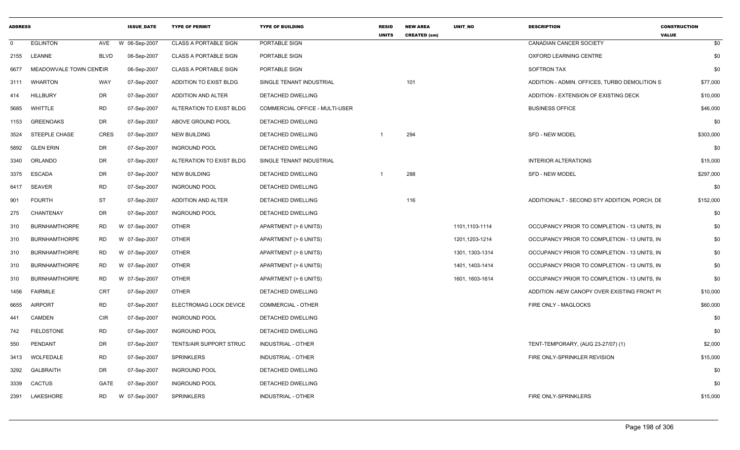| <b>ADDRESS</b> |                        |             | <b>ISSUE DATE</b> | <b>TYPE OF PERMIT</b>        | <b>TYPE OF BUILDING</b>        | <b>RESID</b><br><b>UNITS</b> | <b>NEW AREA</b><br><b>CREATED (sm)</b> | <b>UNIT NO</b>  | <b>DESCRIPTION</b>                            | <b>CONSTRUCTION</b><br><b>VALUE</b> |
|----------------|------------------------|-------------|-------------------|------------------------------|--------------------------------|------------------------------|----------------------------------------|-----------------|-----------------------------------------------|-------------------------------------|
| 0              | <b>EGLINTON</b>        | AVE         | W 06-Sep-2007     | CLASS A PORTABLE SIGN        | PORTABLE SIGN                  |                              |                                        |                 | CANADIAN CANCER SOCIETY                       | \$0                                 |
| 2155           | <b>LEANNE</b>          | <b>BLVD</b> | 06-Sep-2007       | <b>CLASS A PORTABLE SIGN</b> | PORTABLE SIGN                  |                              |                                        |                 | OXFORD LEARNING CENTRE                        | \$0                                 |
| 6677           | MEADOWVALE TOWN CENCIR |             | 06-Sep-2007       | <b>CLASS A PORTABLE SIGN</b> | PORTABLE SIGN                  |                              |                                        |                 | <b>SOFTRON TAX</b>                            | \$0                                 |
| 3111           | <b>WHARTON</b>         | WAY         | 07-Sep-2007       | ADDITION TO EXIST BLDG       | SINGLE TENANT INDUSTRIAL       |                              | 101                                    |                 | ADDITION - ADMIN. OFFICES, TURBO DEMOLITION S | \$77,000                            |
| 414            | <b>HILLBURY</b>        | <b>DR</b>   | 07-Sep-2007       | ADDITION AND ALTER           | <b>DETACHED DWELLING</b>       |                              |                                        |                 | ADDITION - EXTENSION OF EXISTING DECK         | \$10,000                            |
| 5685           | WHITTLE                | <b>RD</b>   | 07-Sep-2007       | ALTERATION TO EXIST BLDG     | COMMERCIAL OFFICE - MULTI-USER |                              |                                        |                 | <b>BUSINESS OFFICE</b>                        | \$46,000                            |
| 1153           | <b>GREENOAKS</b>       | DR          | 07-Sep-2007       | ABOVE GROUND POOL            | DETACHED DWELLING              |                              |                                        |                 |                                               | \$0                                 |
| 3524           | <b>STEEPLE CHASE</b>   | CRES        | 07-Sep-2007       | <b>NEW BUILDING</b>          | DETACHED DWELLING              |                              | 294                                    |                 | <b>SFD - NEW MODEL</b>                        | \$303,000                           |
| 5892           | <b>GLEN ERIN</b>       | DR          | 07-Sep-2007       | <b>INGROUND POOL</b>         | DETACHED DWELLING              |                              |                                        |                 |                                               | \$0                                 |
| 3340           | ORLANDO                | <b>DR</b>   | 07-Sep-2007       | ALTERATION TO EXIST BLDG     | SINGLE TENANT INDUSTRIAL       |                              |                                        |                 | <b>INTERIOR ALTERATIONS</b>                   | \$15,000                            |
| 3375           | <b>ESCADA</b>          | <b>DR</b>   | 07-Sep-2007       | <b>NEW BUILDING</b>          | DETACHED DWELLING              |                              | 288                                    |                 | <b>SFD - NEW MODEL</b>                        | \$297,000                           |
| 6417           | <b>SEAVER</b>          | <b>RD</b>   | 07-Sep-2007       | <b>INGROUND POOL</b>         | DETACHED DWELLING              |                              |                                        |                 |                                               | \$0                                 |
| 901            | <b>FOURTH</b>          | <b>ST</b>   | 07-Sep-2007       | ADDITION AND ALTER           | DETACHED DWELLING              |                              | 116                                    |                 | ADDITION/ALT - SECOND STY ADDITION, PORCH, DE | \$152,000                           |
| 275            | CHANTENAY              | <b>DR</b>   | 07-Sep-2007       | <b>INGROUND POOL</b>         | DETACHED DWELLING              |                              |                                        |                 |                                               | \$0                                 |
| 310            | <b>BURNHAMTHORPE</b>   | RD          | W 07-Sep-2007     | <b>OTHER</b>                 | APARTMENT (> 6 UNITS)          |                              |                                        | 1101,1103-1114  | OCCUPANCY PRIOR TO COMPLETION - 13 UNITS, IN  | \$0                                 |
| 310            | <b>BURNHAMTHORPE</b>   | <b>RD</b>   | W 07-Sep-2007     | <b>OTHER</b>                 | APARTMENT (> 6 UNITS)          |                              |                                        | 1201,1203-1214  | OCCUPANCY PRIOR TO COMPLETION - 13 UNITS, IN  | \$0                                 |
| 310            | <b>BURNHAMTHORPE</b>   | <b>RD</b>   | W 07-Sep-2007     | <b>OTHER</b>                 | APARTMENT (> 6 UNITS)          |                              |                                        | 1301, 1303-1314 | OCCUPANCY PRIOR TO COMPLETION - 13 UNITS, IN  | \$0                                 |
| 310            | <b>BURNHAMTHORPE</b>   | RD          | W 07-Sep-2007     | <b>OTHER</b>                 | APARTMENT (> 6 UNITS)          |                              |                                        | 1401, 1403-1414 | OCCUPANCY PRIOR TO COMPLETION - 13 UNITS, IN  | \$0                                 |
| 310            | <b>BURNHAMTHORPE</b>   | <b>RD</b>   | W 07-Sep-2007     | <b>OTHER</b>                 | APARTMENT (> 6 UNITS)          |                              |                                        | 1601, 1603-1614 | OCCUPANCY PRIOR TO COMPLETION - 13 UNITS, IN  | \$0                                 |
| 1456           | <b>FAIRMILE</b>        | <b>CRT</b>  | 07-Sep-2007       | <b>OTHER</b>                 | <b>DETACHED DWELLING</b>       |                              |                                        |                 | ADDITION -NEW CANOPY OVER EXISTING FRONT PO   | \$10,000                            |
| 6655           | <b>AIRPORT</b>         | <b>RD</b>   | 07-Sep-2007       | ELECTROMAG LOCK DEVICE       | COMMERCIAL - OTHER             |                              |                                        |                 | FIRE ONLY - MAGLOCKS                          | \$60,000                            |
| 441            | CAMDEN                 | CIR         | 07-Sep-2007       | <b>INGROUND POOL</b>         | <b>DETACHED DWELLING</b>       |                              |                                        |                 |                                               | \$0                                 |
| 742            | <b>FIELDSTONE</b>      | <b>RD</b>   | 07-Sep-2007       | <b>INGROUND POOL</b>         | DETACHED DWELLING              |                              |                                        |                 |                                               | \$0                                 |
| 550            | PENDANT                | <b>DR</b>   | 07-Sep-2007       | TENTS/AIR SUPPORT STRUC      | INDUSTRIAL - OTHER             |                              |                                        |                 | TENT-TEMPORARY, (AUG 23-27/07) (1)            | \$2,000                             |
| 3413           | WOLFEDALE              | <b>RD</b>   | 07-Sep-2007       | <b>SPRINKLERS</b>            | INDUSTRIAL - OTHER             |                              |                                        |                 | FIRE ONLY-SPRINKLER REVISION                  | \$15,000                            |
| 3292           | <b>GALBRAITH</b>       | <b>DR</b>   | 07-Sep-2007       | <b>INGROUND POOL</b>         | DETACHED DWELLING              |                              |                                        |                 |                                               | \$0                                 |
| 3339           | <b>CACTUS</b>          | <b>GATE</b> | 07-Sep-2007       | <b>INGROUND POOL</b>         | DETACHED DWELLING              |                              |                                        |                 |                                               | \$0                                 |
| 2391           | LAKESHORE              | <b>RD</b>   | W 07-Sep-2007     | <b>SPRINKLERS</b>            | INDUSTRIAL - OTHER             |                              |                                        |                 | FIRE ONLY-SPRINKLERS                          | \$15,000                            |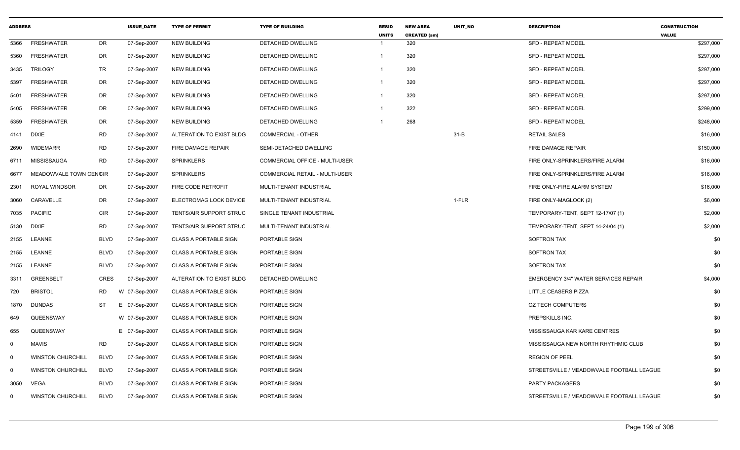| <b>ADDRESS</b> |                          |             | <b>ISSUE_DATE</b> | <b>TYPE OF PERMIT</b>          | <b>TYPE OF BUILDING</b>               | <b>RESID</b><br><b>UNITS</b> | <b>NEW AREA</b><br><b>CREATED (sm)</b> | UNIT_NO  | <b>DESCRIPTION</b>                          | <b>CONSTRUCTION</b><br><b>VALUE</b> |
|----------------|--------------------------|-------------|-------------------|--------------------------------|---------------------------------------|------------------------------|----------------------------------------|----------|---------------------------------------------|-------------------------------------|
| 5366           | <b>FRESHWATER</b>        | DR          | 07-Sep-2007       | <b>NEW BUILDING</b>            | DETACHED DWELLING                     | $\mathbf{1}$                 | 320                                    |          | <b>SFD - REPEAT MODEL</b>                   | \$297,000                           |
| 5360           | <b>FRESHWATER</b>        | DR          | 07-Sep-2007       | <b>NEW BUILDING</b>            | DETACHED DWELLING                     | -1                           | 320                                    |          | SFD - REPEAT MODEL                          | \$297,000                           |
| 3435           | <b>TRILOGY</b>           | TR          | 07-Sep-2007       | <b>NEW BUILDING</b>            | DETACHED DWELLING                     | -1                           | 320                                    |          | SFD - REPEAT MODEL                          | \$297,000                           |
| 5397           | <b>FRESHWATER</b>        | DR          | 07-Sep-2007       | <b>NEW BUILDING</b>            | <b>DETACHED DWELLING</b>              | $\mathbf{1}$                 | 320                                    |          | <b>SFD - REPEAT MODEL</b>                   | \$297,000                           |
| 5401           | FRESHWATER               | DR          | 07-Sep-2007       | <b>NEW BUILDING</b>            | DETACHED DWELLING                     | -1                           | 320                                    |          | <b>SFD - REPEAT MODEL</b>                   | \$297,000                           |
| 5405           | <b>FRESHWATER</b>        | DR          | 07-Sep-2007       | <b>NEW BUILDING</b>            | DETACHED DWELLING                     | -1                           | 322                                    |          | <b>SFD - REPEAT MODEL</b>                   | \$299,000                           |
| 5359           | <b>FRESHWATER</b>        | DR          | 07-Sep-2007       | <b>NEW BUILDING</b>            | DETACHED DWELLING                     | $\mathbf{1}$                 | 268                                    |          | <b>SFD - REPEAT MODEL</b>                   | \$248,000                           |
| 4141           | <b>DIXIE</b>             | <b>RD</b>   | 07-Sep-2007       | ALTERATION TO EXIST BLDG       | <b>COMMERCIAL - OTHER</b>             |                              |                                        | $31 - B$ | <b>RETAIL SALES</b>                         | \$16,000                            |
| 2690           | WIDEMARR                 | <b>RD</b>   | 07-Sep-2007       | FIRE DAMAGE REPAIR             | SEMI-DETACHED DWELLING                |                              |                                        |          | FIRE DAMAGE REPAIR                          | \$150,000                           |
| 6711           | MISSISSAUGA              | <b>RD</b>   | 07-Sep-2007       | <b>SPRINKLERS</b>              | <b>COMMERCIAL OFFICE - MULTI-USER</b> |                              |                                        |          | FIRE ONLY-SPRINKLERS/FIRE ALARM             | \$16,000                            |
| 6677           | MEADOWVALE TOWN CENCIR   |             | 07-Sep-2007       | <b>SPRINKLERS</b>              | <b>COMMERCIAL RETAIL - MULTI-USER</b> |                              |                                        |          | FIRE ONLY-SPRINKLERS/FIRE ALARM             | \$16,000                            |
| 2301           | <b>ROYAL WINDSOR</b>     | DR          | 07-Sep-2007       | FIRE CODE RETROFIT             | MULTI-TENANT INDUSTRIAL               |                              |                                        |          | FIRE ONLY-FIRE ALARM SYSTEM                 | \$16,000                            |
| 3060           | CARAVELLE                | DR          | 07-Sep-2007       | ELECTROMAG LOCK DEVICE         | MULTI-TENANT INDUSTRIAL               |                              |                                        | 1-FLR    | FIRE ONLY-MAGLOCK (2)                       | \$6,000                             |
| 7035           | <b>PACIFIC</b>           | <b>CIR</b>  | 07-Sep-2007       | <b>TENTS/AIR SUPPORT STRUC</b> | SINGLE TENANT INDUSTRIAL              |                              |                                        |          | TEMPORARY-TENT, SEPT 12-17/07 (1)           | \$2,000                             |
| 5130           | <b>DIXIE</b>             | <b>RD</b>   | 07-Sep-2007       | <b>TENTS/AIR SUPPORT STRUC</b> | MULTI-TENANT INDUSTRIAL               |                              |                                        |          | TEMPORARY-TENT, SEPT 14-24/04 (1)           | \$2,000                             |
| 2155           | LEANNE                   | <b>BLVD</b> | 07-Sep-2007       | <b>CLASS A PORTABLE SIGN</b>   | PORTABLE SIGN                         |                              |                                        |          | SOFTRON TAX                                 | \$0                                 |
| 2155           | <b>LEANNE</b>            | <b>BLVD</b> | 07-Sep-2007       | <b>CLASS A PORTABLE SIGN</b>   | PORTABLE SIGN                         |                              |                                        |          | <b>SOFTRON TAX</b>                          | \$0                                 |
| 2155           | LEANNE                   | <b>BLVD</b> | 07-Sep-2007       | <b>CLASS A PORTABLE SIGN</b>   | PORTABLE SIGN                         |                              |                                        |          | <b>SOFTRON TAX</b>                          | \$0                                 |
| 3311           | <b>GREENBELT</b>         | <b>CRES</b> | 07-Sep-2007       | ALTERATION TO EXIST BLDG       | DETACHED DWELLING                     |                              |                                        |          | <b>EMERGENCY 3/4" WATER SERVICES REPAIR</b> | \$4,000                             |
| 720            | <b>BRISTOL</b>           | <b>RD</b>   | W 07-Sep-2007     | <b>CLASS A PORTABLE SIGN</b>   | PORTABLE SIGN                         |                              |                                        |          | LITTLE CEASERS PIZZA                        | \$0                                 |
| 1870           | <b>DUNDAS</b>            | <b>ST</b>   | E 07-Sep-2007     | <b>CLASS A PORTABLE SIGN</b>   | PORTABLE SIGN                         |                              |                                        |          | <b>OZ TECH COMPUTERS</b>                    | \$0                                 |
| 649            | QUEENSWAY                |             | W 07-Sep-2007     | <b>CLASS A PORTABLE SIGN</b>   | PORTABLE SIGN                         |                              |                                        |          | PREPSKILLS INC.                             | \$0                                 |
| 655            | QUEENSWAY                |             | E 07-Sep-2007     | <b>CLASS A PORTABLE SIGN</b>   | PORTABLE SIGN                         |                              |                                        |          | MISSISSAUGA KAR KARE CENTRES                | \$0                                 |
| $\mathbf 0$    | <b>MAVIS</b>             | <b>RD</b>   | 07-Sep-2007       | <b>CLASS A PORTABLE SIGN</b>   | PORTABLE SIGN                         |                              |                                        |          | MISSISSAUGA NEW NORTH RHYTHMIC CLUB         | \$0                                 |
| $\mathbf 0$    | <b>WINSTON CHURCHILL</b> | <b>BLVD</b> | 07-Sep-2007       | <b>CLASS A PORTABLE SIGN</b>   | PORTABLE SIGN                         |                              |                                        |          | <b>REGION OF PEEL</b>                       | \$0                                 |
| $\mathbf 0$    | <b>WINSTON CHURCHILL</b> | <b>BLVD</b> | 07-Sep-2007       | <b>CLASS A PORTABLE SIGN</b>   | PORTABLE SIGN                         |                              |                                        |          | STREETSVILLE / MEADOWVALE FOOTBALL LEAGUE   | \$0                                 |
| 3050           | VEGA                     | <b>BLVD</b> | 07-Sep-2007       | <b>CLASS A PORTABLE SIGN</b>   | PORTABLE SIGN                         |                              |                                        |          | <b>PARTY PACKAGERS</b>                      | \$0                                 |
| $\mathbf{0}$   | <b>WINSTON CHURCHILL</b> | <b>BLVD</b> | 07-Sep-2007       | <b>CLASS A PORTABLE SIGN</b>   | PORTABLE SIGN                         |                              |                                        |          | STREETSVILLE / MEADOWVALE FOOTBALL LEAGUE   | \$0                                 |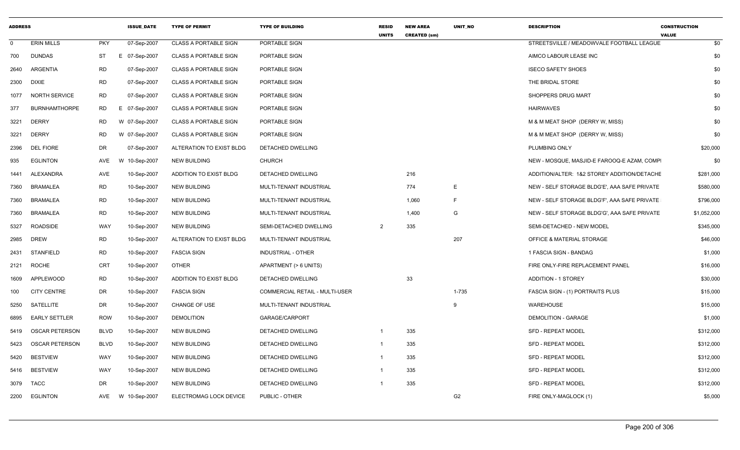| <b>ADDRESS</b> |                       |             | <b>ISSUE_DATE</b> | <b>TYPE OF PERMIT</b>        | <b>TYPE OF BUILDING</b>        | <b>RESID</b><br><b>UNITS</b> | <b>NEW AREA</b><br><b>CREATED (sm)</b> | UNIT_NO        | <b>DESCRIPTION</b>                           | <b>CONSTRUCTION</b><br><b>VALUE</b> |
|----------------|-----------------------|-------------|-------------------|------------------------------|--------------------------------|------------------------------|----------------------------------------|----------------|----------------------------------------------|-------------------------------------|
| $\Omega$       | <b>ERIN MILLS</b>     | <b>PKY</b>  | 07-Sep-2007       | <b>CLASS A PORTABLE SIGN</b> | PORTABLE SIGN                  |                              |                                        |                | STREETSVILLE / MEADOWVALE FOOTBALL LEAGUE    | \$0                                 |
| 700            | DUNDAS                | ST          | E 07-Sep-2007     | <b>CLASS A PORTABLE SIGN</b> | PORTABLE SIGN                  |                              |                                        |                | AIMCO LABOUR LEASE INC                       | \$0                                 |
| 2640           | ARGENTIA              | RD          | 07-Sep-2007       | <b>CLASS A PORTABLE SIGN</b> | PORTABLE SIGN                  |                              |                                        |                | <b>ISECO SAFETY SHOES</b>                    | \$0                                 |
| 2300 DIXIE     |                       | RD          | 07-Sep-2007       | <b>CLASS A PORTABLE SIGN</b> | PORTABLE SIGN                  |                              |                                        |                | THE BRIDAL STORE                             | \$0                                 |
| 1077           | <b>NORTH SERVICE</b>  | <b>RD</b>   | 07-Sep-2007       | <b>CLASS A PORTABLE SIGN</b> | PORTABLE SIGN                  |                              |                                        |                | SHOPPERS DRUG MART                           | \$0                                 |
| 377            | <b>BURNHAMTHORPE</b>  | RD          | E 07-Sep-2007     | <b>CLASS A PORTABLE SIGN</b> | PORTABLE SIGN                  |                              |                                        |                | HAIRWAVES                                    | \$0                                 |
| 3221           | <b>DERRY</b>          | RD          | W 07-Sep-2007     | <b>CLASS A PORTABLE SIGN</b> | PORTABLE SIGN                  |                              |                                        |                | M & M MEAT SHOP (DERRY W, MISS)              | \$0                                 |
| 3221           | <b>DERRY</b>          | RD          | W 07-Sep-2007     | <b>CLASS A PORTABLE SIGN</b> | PORTABLE SIGN                  |                              |                                        |                | M & M MEAT SHOP (DERRY W, MISS)              | \$0                                 |
| 2396           | <b>DEL FIORE</b>      | DR          | 07-Sep-2007       | ALTERATION TO EXIST BLDG     | DETACHED DWELLING              |                              |                                        |                | PLUMBING ONLY                                | \$20,000                            |
| 935            | <b>EGLINTON</b>       | AVE         | 10-Sep-2007       | NEW BUILDING                 | <b>CHURCH</b>                  |                              |                                        |                | NEW - MOSQUE, MASJID-E FAROOQ-E AZAM, COMP   | \$0                                 |
| 1441           | ALEXANDRA             | AVE         | 10-Sep-2007       | ADDITION TO EXIST BLDG       | DETACHED DWELLING              |                              | 216                                    |                | ADDITION/ALTER: 1&2 STOREY ADDITION/DETACHE  | \$281,000                           |
| 7360           | BRAMALEA              | <b>RD</b>   | 10-Sep-2007       | <b>NEW BUILDING</b>          | MULTI-TENANT INDUSTRIAL        |                              | 774                                    | E              | NEW - SELF STORAGE BLDG'E', AAA SAFE PRIVATE | \$580,000                           |
| 7360           | BRAMALEA              | RD          | 10-Sep-2007       | <b>NEW BUILDING</b>          | MULTI-TENANT INDUSTRIAL        |                              | 1,060                                  | E              | NEW - SELF STORAGE BLDG'F', AAA SAFE PRIVATE | \$796,000                           |
| 7360           | BRAMALEA              | RD          | 10-Sep-2007       | <b>NEW BUILDING</b>          | MULTI-TENANT INDUSTRIAL        |                              | 1,400                                  | G              | NEW - SELF STORAGE BLDG'G', AAA SAFE PRIVATE | \$1,052,000                         |
| 5327           | <b>ROADSIDE</b>       | WAY         | 10-Sep-2007       | <b>NEW BUILDING</b>          | SEMI-DETACHED DWELLING         | 2                            | 335                                    |                | SEMI-DETACHED - NEW MODEL                    | \$345,000                           |
| 2985           | <b>DREW</b>           | RD          | 10-Sep-2007       | ALTERATION TO EXIST BLDG     | MULTI-TENANT INDUSTRIAL        |                              |                                        | 207            | <b>OFFICE &amp; MATERIAL STORAGE</b>         | \$46,000                            |
| 2431           | <b>STANFIELD</b>      | <b>RD</b>   | 10-Sep-2007       | <b>FASCIA SIGN</b>           | INDUSTRIAL - OTHER             |                              |                                        |                | 1 FASCIA SIGN - BANDAG                       | \$1,000                             |
| 2121           | ROCHE                 | CRT         | 10-Sep-2007       | <b>OTHER</b>                 | APARTMENT (> 6 UNITS)          |                              |                                        |                | FIRE ONLY-FIRE REPLACEMENT PANEL             | \$16,000                            |
| 1609           | APPLEWOOD             | <b>RD</b>   | 10-Sep-2007       | ADDITION TO EXIST BLDG       | DETACHED DWELLING              |                              | 33                                     |                | <b>ADDITION - 1 STOREY</b>                   | \$30,000                            |
| 100            | <b>CITY CENTRE</b>    | DR          | 10-Sep-2007       | <b>FASCIA SIGN</b>           | COMMERCIAL RETAIL - MULTI-USER |                              |                                        | $1 - 735$      | FASCIA SIGN - (1) PORTRAITS PLUS             | \$15,000                            |
| 5250           | SATELLITE             | DR          | 10-Sep-2007       | <b>CHANGE OF USE</b>         | MULTI-TENANT INDUSTRIAL        |                              |                                        |                | WAREHOUSE                                    | \$15,000                            |
| 6895           | <b>EARLY SETTLER</b>  | <b>ROW</b>  | 10-Sep-2007       | <b>DEMOLITION</b>            | GARAGE/CARPORT                 |                              |                                        |                | <b>DEMOLITION - GARAGE</b>                   | \$1,000                             |
| 5419           | OSCAR PETERSON        | <b>BLVD</b> | 10-Sep-2007       | <b>NEW BUILDING</b>          | <b>DETACHED DWELLING</b>       |                              | 335                                    |                | SFD - REPEAT MODEL                           | \$312,000                           |
| 5423           | <b>OSCAR PETERSON</b> | <b>BLVD</b> | 10-Sep-2007       | <b>NEW BUILDING</b>          | DETACHED DWELLING              |                              | 335                                    |                | SFD - REPEAT MODEL                           | \$312,000                           |
| 5420           | <b>BESTVIEW</b>       | WAY         | 10-Sep-2007       | <b>NEW BUILDING</b>          | DETACHED DWELLING              | -1                           | 335                                    |                | <b>SFD - REPEAT MODEL</b>                    | \$312,000                           |
| 5416           | <b>BESTVIEW</b>       | WAY         | 10-Sep-2007       | <b>NEW BUILDING</b>          | DETACHED DWELLING              | -1                           | 335                                    |                | <b>SFD - REPEAT MODEL</b>                    | \$312,000                           |
| 3079           | <b>TACC</b>           | DR          | 10-Sep-2007       | <b>NEW BUILDING</b>          | DETACHED DWELLING              |                              | 335                                    |                | <b>SFD - REPEAT MODEL</b>                    | \$312,000                           |
|                | 2200 EGLINTON         | AVE         | W 10-Sep-2007     | ELECTROMAG LOCK DEVICE       | PUBLIC - OTHER                 |                              |                                        | G <sub>2</sub> | FIRE ONLY-MAGLOCK (1)                        | \$5,000                             |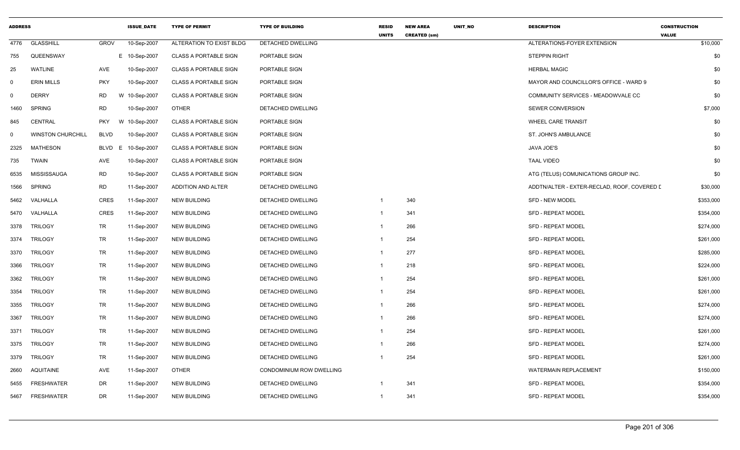| <b>ADDRESS</b> |                          |             | <b>ISSUE DATE</b> | <b>TYPE OF PERMIT</b>        | <b>TYPE OF BUILDING</b>  | <b>RESID</b><br><b>UNITS</b> | <b>NEW AREA</b><br><b>CREATED (sm)</b> | UNIT_NO | <b>DESCRIPTION</b>                          | <b>CONSTRUCTION</b><br><b>VALUE</b> |
|----------------|--------------------------|-------------|-------------------|------------------------------|--------------------------|------------------------------|----------------------------------------|---------|---------------------------------------------|-------------------------------------|
| 4776           | <b>GLASSHILL</b>         | <b>GROV</b> | 10-Sep-2007       | ALTERATION TO EXIST BLDG     | <b>DETACHED DWELLING</b> |                              |                                        |         | ALTERATIONS-FOYER EXTENSION                 | \$10,000                            |
| 755            | QUEENSWAY                |             | E 10-Sep-2007     | <b>CLASS A PORTABLE SIGN</b> | PORTABLE SIGN            |                              |                                        |         | <b>STEPPIN RIGHT</b>                        | \$0                                 |
| 25             | <b>WATLINE</b>           | AVE         | 10-Sep-2007       | <b>CLASS A PORTABLE SIGN</b> | PORTABLE SIGN            |                              |                                        |         | <b>HERBAL MAGIC</b>                         | \$0                                 |
| $\mathbf 0$    | <b>ERIN MILLS</b>        | <b>PKY</b>  | 10-Sep-2007       | <b>CLASS A PORTABLE SIGN</b> | PORTABLE SIGN            |                              |                                        |         | MAYOR AND COUNCILLOR'S OFFICE - WARD 9      | \$0                                 |
| $\mathbf 0$    | <b>DERRY</b>             | <b>RD</b>   | W 10-Sep-2007     | <b>CLASS A PORTABLE SIGN</b> | PORTABLE SIGN            |                              |                                        |         | COMMUNITY SERVICES - MEADOWVALE CC          | \$0                                 |
| 1460           | <b>SPRING</b>            | <b>RD</b>   | 10-Sep-2007       | <b>OTHER</b>                 | <b>DETACHED DWELLING</b> |                              |                                        |         | SEWER CONVERSION                            | \$7,000                             |
| 845            | <b>CENTRAL</b>           | <b>PKY</b>  | W 10-Sep-2007     | <b>CLASS A PORTABLE SIGN</b> | PORTABLE SIGN            |                              |                                        |         | <b>WHEEL CARE TRANSIT</b>                   | \$0                                 |
| 0              | <b>WINSTON CHURCHILL</b> | <b>BLVD</b> | 10-Sep-2007       | <b>CLASS A PORTABLE SIGN</b> | PORTABLE SIGN            |                              |                                        |         | ST. JOHN'S AMBULANCE                        | \$0                                 |
| 2325           | <b>MATHESON</b>          | BLVD        | E<br>10-Sep-2007  | <b>CLASS A PORTABLE SIGN</b> | PORTABLE SIGN            |                              |                                        |         | JAVA JOE'S                                  | \$0                                 |
| 735            | <b>TWAIN</b>             | AVE         | 10-Sep-2007       | <b>CLASS A PORTABLE SIGN</b> | PORTABLE SIGN            |                              |                                        |         | <b>TAAL VIDEO</b>                           | \$0                                 |
| 6535           | <b>MISSISSAUGA</b>       | <b>RD</b>   | 10-Sep-2007       | <b>CLASS A PORTABLE SIGN</b> | PORTABLE SIGN            |                              |                                        |         | ATG (TELUS) COMUNICATIONS GROUP INC.        | \$0                                 |
| 1566           | <b>SPRING</b>            | <b>RD</b>   | 11-Sep-2007       | <b>ADDITION AND ALTER</b>    | DETACHED DWELLING        |                              |                                        |         | ADDTN/ALTER - EXTER-RECLAD, ROOF, COVERED I | \$30,000                            |
| 5462           | VALHALLA                 | <b>CRES</b> | 11-Sep-2007       | <b>NEW BUILDING</b>          | DETACHED DWELLING        | -1                           | 340                                    |         | <b>SFD - NEW MODEL</b>                      | \$353,000                           |
| 5470           | VALHALLA                 | CRES        | 11-Sep-2007       | <b>NEW BUILDING</b>          | DETACHED DWELLING        | -1                           | 341                                    |         | <b>SFD - REPEAT MODEL</b>                   | \$354,000                           |
| 3378           | <b>TRILOGY</b>           | TR          | 11-Sep-2007       | <b>NEW BUILDING</b>          | DETACHED DWELLING        | $\overline{1}$               | 266                                    |         | <b>SFD - REPEAT MODEL</b>                   | \$274,000                           |
| 3374           | <b>TRILOGY</b>           | <b>TR</b>   | 11-Sep-2007       | <b>NEW BUILDING</b>          | DETACHED DWELLING        | -1                           | 254                                    |         | SFD - REPEAT MODEL                          | \$261,000                           |
| 3370           | <b>TRILOGY</b>           | TR          | 11-Sep-2007       | <b>NEW BUILDING</b>          | <b>DETACHED DWELLING</b> | -1                           | 277                                    |         | <b>SFD - REPEAT MODEL</b>                   | \$285,000                           |
| 3366           | <b>TRILOGY</b>           | TR          | 11-Sep-2007       | <b>NEW BUILDING</b>          | DETACHED DWELLING        | $\overline{1}$               | 218                                    |         | SFD - REPEAT MODEL                          | \$224,000                           |
| 3362           | <b>TRILOGY</b>           | TR          | 11-Sep-2007       | NEW BUILDING                 | DETACHED DWELLING        | $\overline{1}$               | 254                                    |         | <b>SFD - REPEAT MODEL</b>                   | \$261,000                           |
| 3354           | <b>TRILOGY</b>           | TR          | 11-Sep-2007       | <b>NEW BUILDING</b>          | DETACHED DWELLING        | $\overline{1}$               | 254                                    |         | SFD - REPEAT MODEL                          | \$261,000                           |
| 3355           | <b>TRILOGY</b>           | TR          | 11-Sep-2007       | <b>NEW BUILDING</b>          | DETACHED DWELLING        | -1                           | 266                                    |         | SFD - REPEAT MODEL                          | \$274,000                           |
| 3367           | <b>TRILOGY</b>           | <b>TR</b>   | 11-Sep-2007       | NEW BUILDING                 | DETACHED DWELLING        | -1                           | 266                                    |         | <b>SFD - REPEAT MODEL</b>                   | \$274,000                           |
| 3371           | <b>TRILOGY</b>           | TR          | 11-Sep-2007       | <b>NEW BUILDING</b>          | DETACHED DWELLING        |                              | 254                                    |         | <b>SFD - REPEAT MODEL</b>                   | \$261,000                           |
| 3375           | <b>TRILOGY</b>           | TR          | 11-Sep-2007       | <b>NEW BUILDING</b>          | DETACHED DWELLING        |                              | 266                                    |         | SFD - REPEAT MODEL                          | \$274,000                           |
| 3379           | <b>TRILOGY</b>           | TR          | 11-Sep-2007       | <b>NEW BUILDING</b>          | DETACHED DWELLING        | -1                           | 254                                    |         | <b>SFD - REPEAT MODEL</b>                   | \$261,000                           |
| 2660           | <b>AQUITAINE</b>         | AVE         | 11-Sep-2007       | <b>OTHER</b>                 | CONDOMINIUM ROW DWELLING |                              |                                        |         | <b>WATERMAIN REPLACEMENT</b>                | \$150,000                           |
| 5455           | <b>FRESHWATER</b>        | DR          | 11-Sep-2007       | <b>NEW BUILDING</b>          | DETACHED DWELLING        |                              | 341                                    |         | SFD - REPEAT MODEL                          | \$354,000                           |
| 5467           | <b>FRESHWATER</b>        | DR          | 11-Sep-2007       | <b>NEW BUILDING</b>          | <b>DETACHED DWELLING</b> | $\overline{1}$               | 341                                    |         | <b>SFD - REPEAT MODEL</b>                   | \$354,000                           |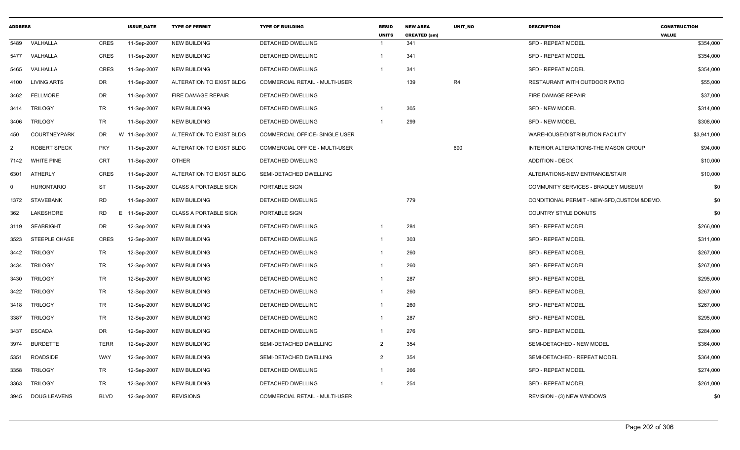| <b>ADDRESS</b> |                      |             | <b>ISSUE DATE</b> | <b>TYPE OF PERMIT</b>        | <b>TYPE OF BUILDING</b>        | <b>RESID</b><br><b>UNITS</b> | <b>NEW AREA</b><br><b>CREATED (sm)</b> | <b>UNIT NO</b> | <b>DESCRIPTION</b>                           | <b>CONSTRUCTION</b><br><b>VALUE</b> |
|----------------|----------------------|-------------|-------------------|------------------------------|--------------------------------|------------------------------|----------------------------------------|----------------|----------------------------------------------|-------------------------------------|
| 5489           | VALHALLA             | CRES        | 11-Sep-2007       | <b>NEW BUILDING</b>          | DETACHED DWELLING              | -1                           | 341                                    |                | <b>SFD - REPEAT MODEL</b>                    | \$354,000                           |
|                | 5477 VALHALLA        | CRES        | 11-Sep-2007       | <b>NEW BUILDING</b>          | <b>DETACHED DWELLING</b>       | $\mathbf{1}$                 | 341                                    |                | <b>SFD - REPEAT MODEL</b>                    | \$354,000                           |
| 5465           | VALHALLA             | <b>CRES</b> | 11-Sep-2007       | <b>NEW BUILDING</b>          | <b>DETACHED DWELLING</b>       |                              | 341                                    |                | SFD - REPEAT MODEL                           | \$354,000                           |
|                | 4100 LIVING ARTS     | DR          | 11-Sep-2007       | ALTERATION TO EXIST BLDG     | COMMERCIAL RETAIL - MULTI-USER |                              | 139                                    | R4             | RESTAURANT WITH OUTDOOR PATIO                | \$55,000                            |
| 3462           | <b>FELLMORE</b>      | DR          | 11-Sep-2007       | FIRE DAMAGE REPAIR           | <b>DETACHED DWELLING</b>       |                              |                                        |                | FIRE DAMAGE REPAIR                           | \$37,000                            |
|                | 3414 TRILOGY         | TR          | 11-Sep-2007       | <b>NEW BUILDING</b>          | DETACHED DWELLING              | 1                            | 305                                    |                | <b>SFD - NEW MODEL</b>                       | \$314,000                           |
| 3406           | <b>TRILOGY</b>       | TR          | 11-Sep-2007       | <b>NEW BUILDING</b>          | DETACHED DWELLING              | -1                           | 299                                    |                | SFD - NEW MODEL                              | \$308,000                           |
| 450            | <b>COURTNEYPARK</b>  | DR          | W 11-Sep-2007     | ALTERATION TO EXIST BLDG     | COMMERCIAL OFFICE- SINGLE USER |                              |                                        |                | WAREHOUSE/DISTRIBUTION FACILITY              | \$3,941,000                         |
| 2              | <b>ROBERT SPECK</b>  | <b>PKY</b>  | 11-Sep-2007       | ALTERATION TO EXIST BLDG     | COMMERCIAL OFFICE - MULTI-USER |                              |                                        | 690            | INTERIOR ALTERATIONS-THE MASON GROUP         | \$94,000                            |
| 7142           | <b>WHITE PINE</b>    | <b>CRT</b>  | 11-Sep-2007       | <b>OTHER</b>                 | DETACHED DWELLING              |                              |                                        |                | <b>ADDITION - DECK</b>                       | \$10,000                            |
|                | 6301 ATHERLY         | <b>CRES</b> | 11-Sep-2007       | ALTERATION TO EXIST BLDG     | SEMI-DETACHED DWELLING         |                              |                                        |                | ALTERATIONS-NEW ENTRANCE/STAIR               | \$10,000                            |
| $\Omega$       | <b>HURONTARIO</b>    | ST          | 11-Sep-2007       | <b>CLASS A PORTABLE SIGN</b> | PORTABLE SIGN                  |                              |                                        |                | COMMUNITY SERVICES - BRADLEY MUSEUM          | \$0                                 |
|                | 1372 STAVEBANK       | <b>RD</b>   | 11-Sep-2007       | <b>NEW BUILDING</b>          | DETACHED DWELLING              |                              | 779                                    |                | CONDITIONAL PERMIT - NEW-SFD, CUSTOM & DEMO. | \$0                                 |
| 362            | LAKESHORE            | <b>RD</b>   | E 11-Sep-2007     | <b>CLASS A PORTABLE SIGN</b> | PORTABLE SIGN                  |                              |                                        |                | <b>COUNTRY STYLE DONUTS</b>                  | \$0                                 |
|                | 3119 SEABRIGHT       | DR          | 12-Sep-2007       | <b>NEW BUILDING</b>          | <b>DETACHED DWELLING</b>       | -1                           | 284                                    |                | SFD - REPEAT MODEL                           | \$266,000                           |
| 3523           | <b>STEEPLE CHASE</b> | CRES        | 12-Sep-2007       | <b>NEW BUILDING</b>          | DETACHED DWELLING              | -1                           | 303                                    |                | SFD - REPEAT MODEL                           | \$311,000                           |
| 3442           | TRILOGY              | TR          | 12-Sep-2007       | <b>NEW BUILDING</b>          | <b>DETACHED DWELLING</b>       | $\overline{1}$               | 260                                    |                | SFD - REPEAT MODEL                           | \$267,000                           |
| 3434           | TRILOGY              | TR          | 12-Sep-2007       | <b>NEW BUILDING</b>          | DETACHED DWELLING              | $\overline{1}$               | 260                                    |                | SFD - REPEAT MODEL                           | \$267,000                           |
| 3430           | <b>TRILOGY</b>       | TR          | 12-Sep-2007       | <b>NEW BUILDING</b>          | DETACHED DWELLING              | $\overline{1}$               | 287                                    |                | SFD - REPEAT MODEL                           | \$295,000                           |
|                | 3422 TRILOGY         | TR          | 12-Sep-2007       | <b>NEW BUILDING</b>          | <b>DETACHED DWELLING</b>       | $\mathbf 1$                  | 260                                    |                | SFD - REPEAT MODEL                           | \$267,000                           |
|                | 3418 TRILOGY         | TR          | 12-Sep-2007       | <b>NEW BUILDING</b>          | DETACHED DWELLING              |                              | 260                                    |                | SFD - REPEAT MODEL                           | \$267,000                           |
|                | 3387 TRILOGY         | TR          | 12-Sep-2007       | <b>NEW BUILDING</b>          | DETACHED DWELLING              | $\overline{1}$               | 287                                    |                | <b>SFD - REPEAT MODEL</b>                    | \$295,000                           |
| 3437           | <b>ESCADA</b>        | DR          | 12-Sep-2007       | <b>NEW BUILDING</b>          | <b>DETACHED DWELLING</b>       | $\mathbf{1}$                 | 276                                    |                | SFD - REPEAT MODEL                           | \$284,000                           |
|                | 3974 BURDETTE        | <b>TERR</b> | 12-Sep-2007       | <b>NEW BUILDING</b>          | SEMI-DETACHED DWELLING         | $\overline{2}$               | 354                                    |                | SEMI-DETACHED - NEW MODEL                    | \$364,000                           |
| 5351           | <b>ROADSIDE</b>      | WAY         | 12-Sep-2007       | <b>NEW BUILDING</b>          | SEMI-DETACHED DWELLING         | 2                            | 354                                    |                | SEMI-DETACHED - REPEAT MODEL                 | \$364,000                           |
| 3358           | TRILOGY              | TR          | 12-Sep-2007       | <b>NEW BUILDING</b>          | <b>DETACHED DWELLING</b>       | $\overline{1}$               | 266                                    |                | <b>SFD - REPEAT MODEL</b>                    | \$274,000                           |
|                | 3363 TRILOGY         | TR          | 12-Sep-2007       | <b>NEW BUILDING</b>          | DETACHED DWELLING              |                              | 254                                    |                | SFD - REPEAT MODEL                           | \$261,000                           |
|                | 3945 DOUG LEAVENS    | <b>BLVD</b> | 12-Sep-2007       | <b>REVISIONS</b>             | COMMERCIAL RETAIL - MULTI-USER |                              |                                        |                | REVISION - (3) NEW WINDOWS                   | \$0                                 |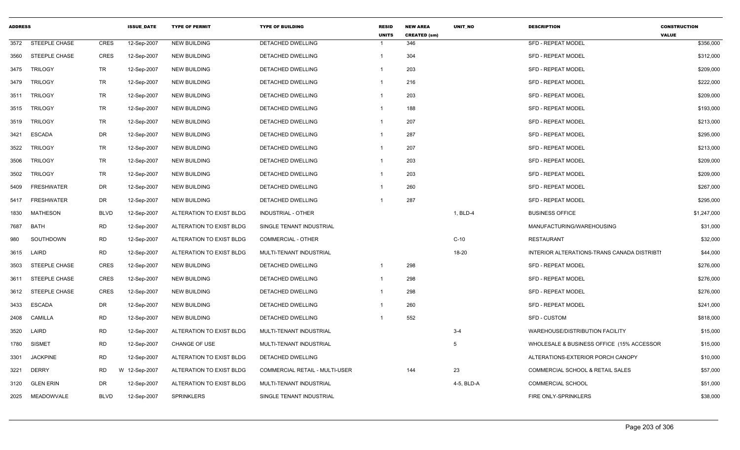| <b>ADDRESS</b> |                      |             | <b>ISSUE DATE</b> | <b>TYPE OF PERMIT</b>    | <b>TYPE OF BUILDING</b>        | <b>RESID</b><br><b>UNITS</b> | <b>NEW AREA</b><br><b>CREATED (sm)</b> | <b>UNIT NO</b>  | <b>DESCRIPTION</b>                          | <b>CONSTRUCTION</b><br><b>VALUE</b> |
|----------------|----------------------|-------------|-------------------|--------------------------|--------------------------------|------------------------------|----------------------------------------|-----------------|---------------------------------------------|-------------------------------------|
| 3572           | STEEPLE CHASE        | <b>CRES</b> | 12-Sep-2007       | <b>NEW BUILDING</b>      | <b>DETACHED DWELLING</b>       |                              | 346                                    |                 | <b>SFD - REPEAT MODEL</b>                   | \$356,000                           |
| 3560           | STEEPLE CHASE        | CRES        | 12-Sep-2007       | <b>NEW BUILDING</b>      | DETACHED DWELLING              | -1                           | 304                                    |                 | <b>SFD - REPEAT MODEL</b>                   | \$312,000                           |
| 3475           | <b>TRILOGY</b>       | TR          | 12-Sep-2007       | <b>NEW BUILDING</b>      | DETACHED DWELLING              |                              | 203                                    |                 | <b>SFD - REPEAT MODEL</b>                   | \$209,000                           |
| 3479           | <b>TRILOGY</b>       | TR          | 12-Sep-2007       | <b>NEW BUILDING</b>      | DETACHED DWELLING              | -1                           | 216                                    |                 | <b>SFD - REPEAT MODEL</b>                   | \$222,000                           |
| 3511           | <b>TRILOGY</b>       | TR          | 12-Sep-2007       | <b>NEW BUILDING</b>      | DETACHED DWELLING              | -1                           | 203                                    |                 | <b>SFD - REPEAT MODEL</b>                   | \$209,000                           |
| 3515           | <b>TRILOGY</b>       | TR          | 12-Sep-2007       | <b>NEW BUILDING</b>      | DETACHED DWELLING              | -1                           | 188                                    |                 | <b>SFD - REPEAT MODEL</b>                   | \$193,000                           |
| 3519           | TRILOGY              | TR          | 12-Sep-2007       | <b>NEW BUILDING</b>      | DETACHED DWELLING              | -1                           | 207                                    |                 | <b>SFD - REPEAT MODEL</b>                   | \$213,000                           |
| 3421           | <b>ESCADA</b>        | DR          | 12-Sep-2007       | <b>NEW BUILDING</b>      | <b>DETACHED DWELLING</b>       | $\mathbf{1}$                 | 287                                    |                 | <b>SFD - REPEAT MODEL</b>                   | \$295,000                           |
| 3522           | <b>TRILOGY</b>       | TR          | 12-Sep-2007       | NEW BUILDING             | DETACHED DWELLING              | -1                           | 207                                    |                 | <b>SFD - REPEAT MODEL</b>                   | \$213,000                           |
| 3506           | <b>TRILOGY</b>       | TR          | 12-Sep-2007       | <b>NEW BUILDING</b>      | DETACHED DWELLING              | $\mathbf{1}$                 | 203                                    |                 | SFD - REPEAT MODEL                          | \$209,000                           |
| 3502           | <b>TRILOGY</b>       | TR          | 12-Sep-2007       | <b>NEW BUILDING</b>      | DETACHED DWELLING              | -1                           | 203                                    |                 | <b>SFD - REPEAT MODEL</b>                   | \$209,000                           |
| 5409           | <b>FRESHWATER</b>    | DR          | 12-Sep-2007       | <b>NEW BUILDING</b>      | DETACHED DWELLING              |                              | 260                                    |                 | <b>SFD - REPEAT MODEL</b>                   | \$267,000                           |
| 5417           | <b>FRESHWATER</b>    | DR          | 12-Sep-2007       | <b>NEW BUILDING</b>      | DETACHED DWELLING              |                              | 287                                    |                 | <b>SFD - REPEAT MODEL</b>                   | \$295,000                           |
| 1830           | MATHESON             | <b>BLVD</b> | 12-Sep-2007       | ALTERATION TO EXIST BLDG | INDUSTRIAL - OTHER             |                              |                                        | 1, BLD-4        | <b>BUSINESS OFFICE</b>                      | \$1,247,000                         |
| 7687           | <b>BATH</b>          | <b>RD</b>   | 12-Sep-2007       | ALTERATION TO EXIST BLDG | SINGLE TENANT INDUSTRIAL       |                              |                                        |                 | MANUFACTURING/WAREHOUSING                   | \$31,000                            |
| 980            | SOUTHDOWN            | <b>RD</b>   | 12-Sep-2007       | ALTERATION TO EXIST BLDG | COMMERCIAL - OTHER             |                              |                                        | $C-10$          | <b>RESTAURANT</b>                           | \$32,000                            |
| 3615           | LAIRD                | <b>RD</b>   | 12-Sep-2007       | ALTERATION TO EXIST BLDG | MULTI-TENANT INDUSTRIAL        |                              |                                        | 18-20           | INTERIOR ALTERATIONS-TRANS CANADA DISTRIBTI | \$44,000                            |
| 3503           | STEEPLE CHASE        | <b>CRES</b> | 12-Sep-2007       | <b>NEW BUILDING</b>      | DETACHED DWELLING              | $\overline{1}$               | 298                                    |                 | <b>SFD - REPEAT MODEL</b>                   | \$276,000                           |
| 3611           | <b>STEEPLE CHASE</b> | <b>CRES</b> | 12-Sep-2007       | <b>NEW BUILDING</b>      | DETACHED DWELLING              | -1                           | 298                                    |                 | SFD - REPEAT MODEL                          | \$276,000                           |
| 3612           | <b>STEEPLE CHASE</b> | <b>CRES</b> | 12-Sep-2007       | <b>NEW BUILDING</b>      | DETACHED DWELLING              |                              | 298                                    |                 | <b>SFD - REPEAT MODEL</b>                   | \$276,000                           |
| 3433           | <b>ESCADA</b>        | DR          | 12-Sep-2007       | <b>NEW BUILDING</b>      | DETACHED DWELLING              |                              | 260                                    |                 | <b>SFD - REPEAT MODEL</b>                   | \$241,000                           |
| 2408           | <b>CAMILLA</b>       | <b>RD</b>   | 12-Sep-2007       | <b>NEW BUILDING</b>      | <b>DETACHED DWELLING</b>       |                              | 552                                    |                 | <b>SFD - CUSTOM</b>                         | \$818,000                           |
| 3520           | LAIRD                | <b>RD</b>   | 12-Sep-2007       | ALTERATION TO EXIST BLDG | MULTI-TENANT INDUSTRIAL        |                              |                                        | $3 - 4$         | WAREHOUSE/DISTRIBUTION FACILITY             | \$15,000                            |
| 1780           | <b>SISMET</b>        | <b>RD</b>   | 12-Sep-2007       | <b>CHANGE OF USE</b>     | MULTI-TENANT INDUSTRIAL        |                              |                                        | $5\overline{5}$ | WHOLESALE & BUSINESS OFFICE (15% ACCESSOR   | \$15,000                            |
| 3301           | <b>JACKPINE</b>      | <b>RD</b>   | 12-Sep-2007       | ALTERATION TO EXIST BLDG | DETACHED DWELLING              |                              |                                        |                 | ALTERATIONS-EXTERIOR PORCH CANOPY           | \$10,000                            |
| 3221           | <b>DERRY</b>         | <b>RD</b>   | W 12-Sep-2007     | ALTERATION TO EXIST BLDG | COMMERCIAL RETAIL - MULTI-USER |                              | 144                                    | 23              | COMMERCIAL SCHOOL & RETAIL SALES            | \$57,000                            |
| 3120           | <b>GLEN ERIN</b>     | DR          | 12-Sep-2007       | ALTERATION TO EXIST BLDG | MULTI-TENANT INDUSTRIAL        |                              |                                        | 4-5, BLD-A      | <b>COMMERCIAL SCHOOL</b>                    | \$51,000                            |
| 2025           | MEADOWVALE           | <b>BLVD</b> | 12-Sep-2007       | <b>SPRINKLERS</b>        | SINGLE TENANT INDUSTRIAL       |                              |                                        |                 | FIRE ONLY-SPRINKLERS                        | \$38,000                            |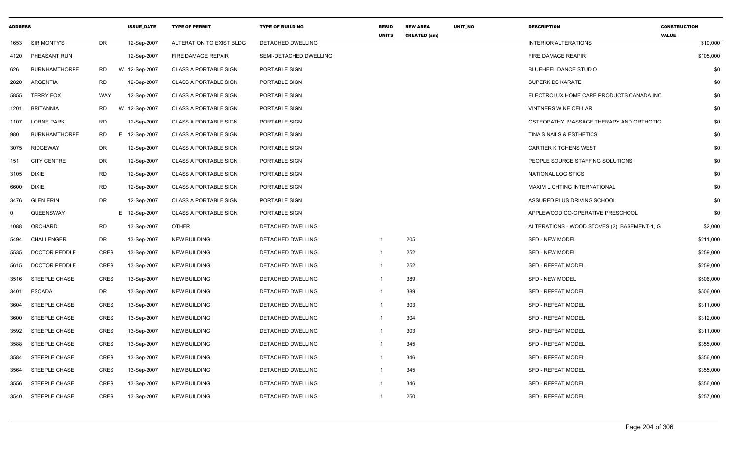| <b>ADDRESS</b> |                      |             | <b>ISSUE DATE</b> | <b>TYPE OF PERMIT</b>        | <b>TYPE OF BUILDING</b>  | <b>RESID</b><br><b>UNITS</b> | <b>NEW AREA</b><br><b>CREATED (sm)</b> | <b>UNIT NO</b> | <b>DESCRIPTION</b>                           | <b>CONSTRUCTION</b><br><b>VALUE</b> |
|----------------|----------------------|-------------|-------------------|------------------------------|--------------------------|------------------------------|----------------------------------------|----------------|----------------------------------------------|-------------------------------------|
| 1653           | SIR MONTY'S          | <b>DR</b>   | 12-Sep-2007       | ALTERATION TO EXIST BLDG     | DETACHED DWELLING        |                              |                                        |                | <b>INTERIOR ALTERATIONS</b>                  | \$10,000                            |
| 4120           | PHEASANT RUN         |             | 12-Sep-2007       | <b>FIRE DAMAGE REPAIR</b>    | SEMI-DETACHED DWELLING   |                              |                                        |                | FIRE DAMAGE REAPIR                           | \$105,000                           |
| 626            | <b>BURNHAMTHORPE</b> | <b>RD</b>   | W 12-Sep-2007     | <b>CLASS A PORTABLE SIGN</b> | PORTABLE SIGN            |                              |                                        |                | <b>BLUEHEEL DANCE STUDIO</b>                 | \$0                                 |
| 2820           | ARGENTIA             | <b>RD</b>   | 12-Sep-2007       | <b>CLASS A PORTABLE SIGN</b> | PORTABLE SIGN            |                              |                                        |                | <b>SUPERKIDS KARATE</b>                      | \$0                                 |
| 5855           | <b>TERRY FOX</b>     | WAY         | 12-Sep-2007       | <b>CLASS A PORTABLE SIGN</b> | PORTABLE SIGN            |                              |                                        |                | ELECTROLUX HOME CARE PRODUCTS CANADA INC     | \$0                                 |
| 1201           | <b>BRITANNIA</b>     | <b>RD</b>   | W 12-Sep-2007     | <b>CLASS A PORTABLE SIGN</b> | PORTABLE SIGN            |                              |                                        |                | <b>VINTNERS WINE CELLAR</b>                  | \$0                                 |
| 1107           | <b>LORNE PARK</b>    | <b>RD</b>   | 12-Sep-2007       | <b>CLASS A PORTABLE SIGN</b> | PORTABLE SIGN            |                              |                                        |                | OSTEOPATHY, MASSAGE THERAPY AND ORTHOTIC     | \$0                                 |
| 980            | <b>BURNHAMTHORPE</b> | <b>RD</b>   | E 12-Sep-2007     | <b>CLASS A PORTABLE SIGN</b> | PORTABLE SIGN            |                              |                                        |                | <b>TINA'S NAILS &amp; ESTHETICS</b>          | \$0                                 |
| 3075           | RIDGEWAY             | DR          | 12-Sep-2007       | <b>CLASS A PORTABLE SIGN</b> | PORTABLE SIGN            |                              |                                        |                | <b>CARTIER KITCHENS WEST</b>                 | \$0                                 |
| 151            | <b>CITY CENTRE</b>   | DR          | 12-Sep-2007       | <b>CLASS A PORTABLE SIGN</b> | PORTABLE SIGN            |                              |                                        |                | PEOPLE SOURCE STAFFING SOLUTIONS             | \$0                                 |
| 3105           | <b>DIXIE</b>         | <b>RD</b>   | 12-Sep-2007       | <b>CLASS A PORTABLE SIGN</b> | PORTABLE SIGN            |                              |                                        |                | NATIONAL LOGISTICS                           | \$0                                 |
| 6600           | <b>DIXIE</b>         | <b>RD</b>   | 12-Sep-2007       | <b>CLASS A PORTABLE SIGN</b> | PORTABLE SIGN            |                              |                                        |                | <b>MAXIM LIGHTING INTERNATIONAL</b>          | \$0                                 |
| 3476           | <b>GLEN ERIN</b>     | <b>DR</b>   | 12-Sep-2007       | <b>CLASS A PORTABLE SIGN</b> | PORTABLE SIGN            |                              |                                        |                | ASSURED PLUS DRIVING SCHOOL                  | \$0                                 |
| 0              | QUEENSWAY            |             | E 12-Sep-2007     | <b>CLASS A PORTABLE SIGN</b> | PORTABLE SIGN            |                              |                                        |                | APPLEWOOD CO-OPERATIVE PRESCHOOL             | \$0                                 |
| 1088           | ORCHARD              | <b>RD</b>   | 13-Sep-2007       | <b>OTHER</b>                 | DETACHED DWELLING        |                              |                                        |                | ALTERATIONS - WOOD STOVES (2), BASEMENT-1, G | \$2,000                             |
| 5494           | CHALLENGER           | <b>DR</b>   | 13-Sep-2007       | <b>NEW BUILDING</b>          | DETACHED DWELLING        | -1                           | 205                                    |                | <b>SFD - NEW MODEL</b>                       | \$211,000                           |
| 5535           | <b>DOCTOR PEDDLE</b> | <b>CRES</b> | 13-Sep-2007       | <b>NEW BUILDING</b>          | DETACHED DWELLING        | -1                           | 252                                    |                | <b>SFD - NEW MODEL</b>                       | \$259,000                           |
| 5615           | <b>DOCTOR PEDDLE</b> | CRES        | 13-Sep-2007       | <b>NEW BUILDING</b>          | DETACHED DWELLING        | $\mathbf{1}$                 | 252                                    |                | <b>SFD - REPEAT MODEL</b>                    | \$259,000                           |
| 3516           | <b>STEEPLE CHASE</b> | <b>CRES</b> | 13-Sep-2007       | <b>NEW BUILDING</b>          | DETACHED DWELLING        | $\overline{1}$               | 389                                    |                | <b>SFD - NEW MODEL</b>                       | \$506,000                           |
| 3401           | <b>ESCADA</b>        | <b>DR</b>   | 13-Sep-2007       | <b>NEW BUILDING</b>          | DETACHED DWELLING        | $\mathbf 1$                  | 389                                    |                | SFD - REPEAT MODEL                           | \$506,000                           |
| 3604           | STEEPLE CHASE        | <b>CRES</b> | 13-Sep-2007       | <b>NEW BUILDING</b>          | DETACHED DWELLING        | $\overline{1}$               | 303                                    |                | <b>SFD - REPEAT MODEL</b>                    | \$311,000                           |
| 3600           | <b>STEEPLE CHASE</b> | <b>CRES</b> | 13-Sep-2007       | <b>NEW BUILDING</b>          | DETACHED DWELLING        | $\overline{1}$               | 304                                    |                | <b>SFD - REPEAT MODEL</b>                    | \$312,000                           |
| 3592           | <b>STEEPLE CHASE</b> | <b>CRES</b> | 13-Sep-2007       | <b>NEW BUILDING</b>          | DETACHED DWELLING        |                              | 303                                    |                | SFD - REPEAT MODEL                           | \$311,000                           |
| 3588           | <b>STEEPLE CHASE</b> | CRES        | 13-Sep-2007       | <b>NEW BUILDING</b>          | <b>DETACHED DWELLING</b> |                              | 345                                    |                | <b>SFD - REPEAT MODEL</b>                    | \$355,000                           |
| 3584           | <b>STEEPLE CHASE</b> | <b>CRES</b> | 13-Sep-2007       | <b>NEW BUILDING</b>          | DETACHED DWELLING        | $\mathbf{1}$                 | 346                                    |                | <b>SFD - REPEAT MODEL</b>                    | \$356,000                           |
| 3564           | <b>STEEPLE CHASE</b> | <b>CRES</b> | 13-Sep-2007       | <b>NEW BUILDING</b>          | DETACHED DWELLING        | -1                           | 345                                    |                | SFD - REPEAT MODEL                           | \$355,000                           |
| 3556           | <b>STEEPLE CHASE</b> | <b>CRES</b> | 13-Sep-2007       | <b>NEW BUILDING</b>          | DETACHED DWELLING        |                              | 346                                    |                | <b>SFD - REPEAT MODEL</b>                    | \$356,000                           |
| 3540           | <b>STEEPLE CHASE</b> | <b>CRES</b> | 13-Sep-2007       | <b>NEW BUILDING</b>          | <b>DETACHED DWELLING</b> | $\overline{1}$               | 250                                    |                | <b>SFD - REPEAT MODEL</b>                    | \$257,000                           |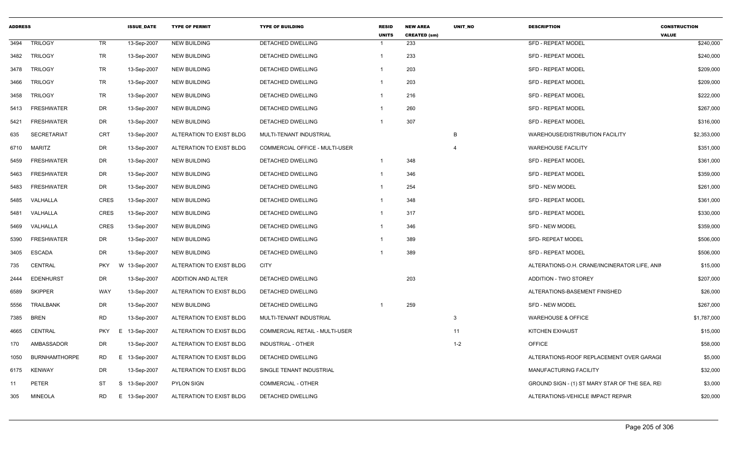| <b>ADDRESS</b> |                      |                 | <b>ISSUE DATE</b> | <b>TYPE OF PERMIT</b>    | <b>TYPE OF BUILDING</b>        | <b>RESID</b><br><b>UNITS</b> | <b>NEW AREA</b><br><b>CREATED (sm)</b> | <b>UNIT NO</b> | <b>DESCRIPTION</b>                            | <b>CONSTRUCTION</b><br><b>VALUE</b> |
|----------------|----------------------|-----------------|-------------------|--------------------------|--------------------------------|------------------------------|----------------------------------------|----------------|-----------------------------------------------|-------------------------------------|
| 3494           | <b>TRILOGY</b>       | <b>TR</b>       | 13-Sep-2007       | <b>NEW BUILDING</b>      | <b>DETACHED DWELLING</b>       |                              | 233                                    |                | <b>SFD - REPEAT MODEL</b>                     | \$240,000                           |
| 3482           | <b>TRILOGY</b>       | TR              | 13-Sep-2007       | <b>NEW BUILDING</b>      | DETACHED DWELLING              | $\mathbf{1}$                 | 233                                    |                | <b>SFD - REPEAT MODEL</b>                     | \$240,000                           |
| 3478           | <b>TRILOGY</b>       | <b>TR</b>       | 13-Sep-2007       | <b>NEW BUILDING</b>      | DETACHED DWELLING              |                              | 203                                    |                | <b>SFD - REPEAT MODEL</b>                     | \$209,000                           |
| 3466           | <b>TRILOGY</b>       | TR              | 13-Sep-2007       | <b>NEW BUILDING</b>      | DETACHED DWELLING              | 1                            | 203                                    |                | <b>SFD - REPEAT MODEL</b>                     | \$209,000                           |
| 3458           | <b>TRILOGY</b>       | TR              | 13-Sep-2007       | <b>NEW BUILDING</b>      | DETACHED DWELLING              | 1                            | 216                                    |                | <b>SFD - REPEAT MODEL</b>                     | \$222,000                           |
| 5413           | <b>FRESHWATER</b>    | DR              | 13-Sep-2007       | <b>NEW BUILDING</b>      | DETACHED DWELLING              |                              | 260                                    |                | <b>SFD - REPEAT MODEL</b>                     | \$267,000                           |
| 5421           | <b>FRESHWATER</b>    | DR              | 13-Sep-2007       | <b>NEW BUILDING</b>      | DETACHED DWELLING              |                              | 307                                    |                | <b>SFD - REPEAT MODEL</b>                     | \$316,000                           |
| 635            | <b>SECRETARIAT</b>   | <b>CRT</b>      | 13-Sep-2007       | ALTERATION TO EXIST BLDG | MULTI-TENANT INDUSTRIAL        |                              |                                        | B              | WAREHOUSE/DISTRIBUTION FACILITY               | \$2,353,000                         |
| 6710           | MARITZ               | DR              | 13-Sep-2007       | ALTERATION TO EXIST BLDG | COMMERCIAL OFFICE - MULTI-USER |                              |                                        | $\overline{4}$ | <b>WAREHOUSE FACILITY</b>                     | \$351,000                           |
| 5459           | <b>FRESHWATER</b>    | DR              | 13-Sep-2007       | <b>NEW BUILDING</b>      | DETACHED DWELLING              |                              | 348                                    |                | <b>SFD - REPEAT MODEL</b>                     | \$361,000                           |
| 5463           | <b>FRESHWATER</b>    | DR              | 13-Sep-2007       | <b>NEW BUILDING</b>      | DETACHED DWELLING              | 1                            | 346                                    |                | <b>SFD - REPEAT MODEL</b>                     | \$359,000                           |
| 5483           | <b>FRESHWATER</b>    | DR              | 13-Sep-2007       | <b>NEW BUILDING</b>      | <b>DETACHED DWELLING</b>       |                              | 254                                    |                | <b>SFD - NEW MODEL</b>                        | \$261,000                           |
| 5485           | VALHALLA             | <b>CRES</b>     | 13-Sep-2007       | <b>NEW BUILDING</b>      | DETACHED DWELLING              |                              | 348                                    |                | <b>SFD - REPEAT MODEL</b>                     | \$361,000                           |
| 5481           | VALHALLA             | <b>CRES</b>     | 13-Sep-2007       | NEW BUILDING             | DETACHED DWELLING              | 1                            | 317                                    |                | <b>SFD - REPEAT MODEL</b>                     | \$330,000                           |
| 5469           | VALHALLA             | <b>CRES</b>     | 13-Sep-2007       | <b>NEW BUILDING</b>      | DETACHED DWELLING              | 1                            | 346                                    |                | <b>SFD - NEW MODEL</b>                        | \$359,000                           |
| 5390           | <b>FRESHWATER</b>    | DR              | 13-Sep-2007       | <b>NEW BUILDING</b>      | DETACHED DWELLING              |                              | 389                                    |                | <b>SFD- REPEAT MODEL</b>                      | \$506,000                           |
| 3405           | <b>ESCADA</b>        | DR              | 13-Sep-2007       | <b>NEW BUILDING</b>      | DETACHED DWELLING              |                              | 389                                    |                | <b>SFD - REPEAT MODEL</b>                     | \$506,000                           |
| 735            | <b>CENTRAL</b>       | <b>PKY</b>      | W 13-Sep-2007     | ALTERATION TO EXIST BLDG | <b>CITY</b>                    |                              |                                        |                | ALTERATIONS-O.H. CRANE/INCINERATOR LIFE, ANIM | \$15,000                            |
| 2444           | <b>EDENHURST</b>     | DR              | 13-Sep-2007       | ADDITION AND ALTER       | DETACHED DWELLING              |                              | 203                                    |                | <b>ADDITION - TWO STOREY</b>                  | \$207,000                           |
| 6589           | <b>SKIPPER</b>       | WAY             | 13-Sep-2007       | ALTERATION TO EXIST BLDG | DETACHED DWELLING              |                              |                                        |                | ALTERATIONS-BASEMENT FINISHED                 | \$26,000                            |
| 5556           | <b>TRAILBANK</b>     | DR              | 13-Sep-2007       | <b>NEW BUILDING</b>      | DETACHED DWELLING              |                              | 259                                    |                | <b>SFD - NEW MODEL</b>                        | \$267,000                           |
| 7385           | <b>BREN</b>          | <b>RD</b>       | 13-Sep-2007       | ALTERATION TO EXIST BLDG | MULTI-TENANT INDUSTRIAL        |                              |                                        | 3              | <b>WAREHOUSE &amp; OFFICE</b>                 | \$1,787,000                         |
| 4665           | CENTRAL              | <b>PKY</b><br>E | 13-Sep-2007       | ALTERATION TO EXIST BLDG | COMMERCIAL RETAIL - MULTI-USER |                              |                                        | 11             | KITCHEN EXHAUST                               | \$15,000                            |
| 170            | AMBASSADOR           | DR              | 13-Sep-2007       | ALTERATION TO EXIST BLDG | <b>INDUSTRIAL - OTHER</b>      |                              |                                        | $1 - 2$        | <b>OFFICE</b>                                 | \$58,000                            |
| 1050           | <b>BURNHAMTHORPE</b> | <b>RD</b>       | E<br>13-Sep-2007  | ALTERATION TO EXIST BLDG | DETACHED DWELLING              |                              |                                        |                | ALTERATIONS-ROOF REPLACEMENT OVER GARAGE      | \$5,000                             |
| 6175           | <b>KENWAY</b>        | DR              | 13-Sep-2007       | ALTERATION TO EXIST BLDG | SINGLE TENANT INDUSTRIAL       |                              |                                        |                | <b>MANUFACTURING FACILITY</b>                 | \$32,000                            |
| 11             | <b>PETER</b>         | ST<br>S.        | 13-Sep-2007       | <b>PYLON SIGN</b>        | COMMERCIAL - OTHER             |                              |                                        |                | GROUND SIGN - (1) ST MARY STAR OF THE SEA, RE | \$3,000                             |
| 305            | <b>MINEOLA</b>       | <b>RD</b>       | E.<br>13-Sep-2007 | ALTERATION TO EXIST BLDG | DETACHED DWELLING              |                              |                                        |                | ALTERATIONS-VEHICLE IMPACT REPAIR             | \$20,000                            |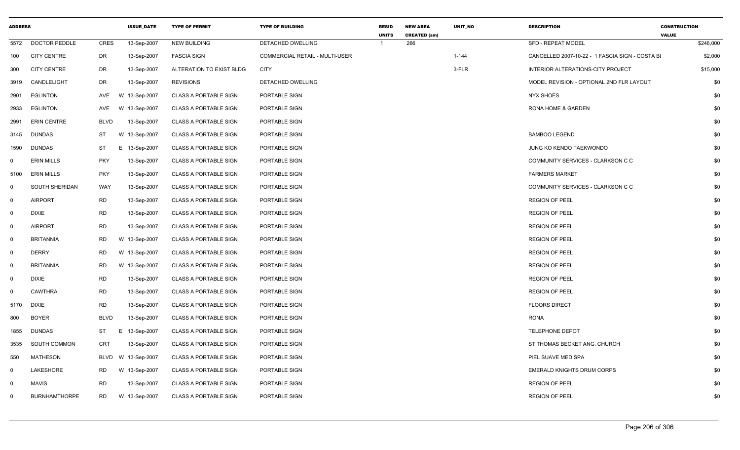| <b>ADDRESS</b> |                      |             | <b>ISSUE DATE</b> | <b>TYPE OF PERMIT</b>        | <b>TYPE OF BUILDING</b>        | <b>RESID</b><br><b>UNITS</b> | <b>NEW AREA</b><br><b>CREATED (sm)</b> | UNIT_NO   | <b>DESCRIPTION</b>                              | <b>CONSTRUCTION</b><br><b>VALUE</b> |
|----------------|----------------------|-------------|-------------------|------------------------------|--------------------------------|------------------------------|----------------------------------------|-----------|-------------------------------------------------|-------------------------------------|
| 5572           | <b>DOCTOR PEDDLE</b> | <b>CRES</b> | 13-Sep-2007       | <b>NEW BUILDING</b>          | DETACHED DWELLING              | -1                           | 266                                    |           | <b>SFD - REPEAT MODEL</b>                       | \$246,000                           |
| 100            | <b>CITY CENTRE</b>   | DR          | 13-Sep-2007       | <b>FASCIA SIGN</b>           | COMMERCIAL RETAIL - MULTI-USER |                              |                                        | $1 - 144$ | CANCELLED 2007-10-22 - 1 FASCIA SIGN - COSTA BI | \$2,000                             |
| 300            | <b>CITY CENTRE</b>   | DR          | 13-Sep-2007       | ALTERATION TO EXIST BLDG     | <b>CITY</b>                    |                              |                                        | 3-FLR     | INTERIOR ALTERATIONS-CITY PROJECT               | \$15,000                            |
| 3919           | CANDLELIGHT          | DR          | 13-Sep-2007       | <b>REVISIONS</b>             | DETACHED DWELLING              |                              |                                        |           | MODEL REVISION - OPTIONAL 2ND FLR LAYOUT        | \$0                                 |
| 2901           | <b>EGLINTON</b>      | AVE         | W 13-Sep-2007     | <b>CLASS A PORTABLE SIGN</b> | PORTABLE SIGN                  |                              |                                        |           | <b>NYX SHOES</b>                                | \$0                                 |
| 2933           | EGLINTON             | AVE         | W 13-Sep-2007     | <b>CLASS A PORTABLE SIGN</b> | PORTABLE SIGN                  |                              |                                        |           | RONA HOME & GARDEN                              | \$0                                 |
| 2991           | <b>ERIN CENTRE</b>   | <b>BLVD</b> | 13-Sep-2007       | <b>CLASS A PORTABLE SIGN</b> | PORTABLE SIGN                  |                              |                                        |           |                                                 | \$0                                 |
| 3145           | <b>DUNDAS</b>        | ST          | W 13-Sep-2007     | <b>CLASS A PORTABLE SIGN</b> | PORTABLE SIGN                  |                              |                                        |           | <b>BAMBOO LEGEND</b>                            | \$0                                 |
| 1590           | <b>DUNDAS</b>        | ST          | E.<br>13-Sep-2007 | <b>CLASS A PORTABLE SIGN</b> | PORTABLE SIGN                  |                              |                                        |           | JUNG KO KENDO TAEKWONDO                         | \$0                                 |
| $\mathbf 0$    | <b>ERIN MILLS</b>    | <b>PKY</b>  | 13-Sep-2007       | <b>CLASS A PORTABLE SIGN</b> | PORTABLE SIGN                  |                              |                                        |           | COMMUNITY SERVICES - CLARKSON C C               | \$0                                 |
| 5100           | <b>ERIN MILLS</b>    | <b>PKY</b>  | 13-Sep-2007       | <b>CLASS A PORTABLE SIGN</b> | PORTABLE SIGN                  |                              |                                        |           | <b>FARMERS MARKET</b>                           | \$0                                 |
| $\mathbf 0$    | SOUTH SHERIDAN       | WAY         | 13-Sep-2007       | <b>CLASS A PORTABLE SIGN</b> | PORTABLE SIGN                  |                              |                                        |           | COMMUNITY SERVICES - CLARKSON C C               | \$0                                 |
| $\mathbf 0$    | <b>AIRPORT</b>       | <b>RD</b>   | 13-Sep-2007       | <b>CLASS A PORTABLE SIGN</b> | PORTABLE SIGN                  |                              |                                        |           | <b>REGION OF PEEL</b>                           | \$0                                 |
| $\mathbf 0$    | <b>DIXIE</b>         | <b>RD</b>   | 13-Sep-2007       | <b>CLASS A PORTABLE SIGN</b> | PORTABLE SIGN                  |                              |                                        |           | <b>REGION OF PEEL</b>                           | \$0                                 |
| $\mathbf 0$    | <b>AIRPORT</b>       | <b>RD</b>   | 13-Sep-2007       | <b>CLASS A PORTABLE SIGN</b> | PORTABLE SIGN                  |                              |                                        |           | <b>REGION OF PEEL</b>                           | \$0                                 |
| $\mathbf 0$    | <b>BRITANNIA</b>     | <b>RD</b>   | W 13-Sep-2007     | <b>CLASS A PORTABLE SIGN</b> | PORTABLE SIGN                  |                              |                                        |           | <b>REGION OF PEEL</b>                           | \$0                                 |
| $\mathbf 0$    | <b>DERRY</b>         | RD          | W 13-Sep-2007     | <b>CLASS A PORTABLE SIGN</b> | PORTABLE SIGN                  |                              |                                        |           | <b>REGION OF PEEL</b>                           | \$0                                 |
| $\mathbf 0$    | <b>BRITANNIA</b>     | <b>RD</b>   | W 13-Sep-2007     | <b>CLASS A PORTABLE SIGN</b> | PORTABLE SIGN                  |                              |                                        |           | <b>REGION OF PEEL</b>                           | \$0                                 |
| $\mathbf 0$    | <b>DIXIE</b>         | <b>RD</b>   | 13-Sep-2007       | <b>CLASS A PORTABLE SIGN</b> | PORTABLE SIGN                  |                              |                                        |           | <b>REGION OF PEEL</b>                           | \$0                                 |
| $\mathbf 0$    | <b>CAWTHRA</b>       | <b>RD</b>   | 13-Sep-2007       | <b>CLASS A PORTABLE SIGN</b> | PORTABLE SIGN                  |                              |                                        |           | <b>REGION OF PEEL</b>                           | \$0                                 |
| 5170           | <b>DIXIE</b>         | <b>RD</b>   | 13-Sep-2007       | CLASS A PORTABLE SIGN        | PORTABLE SIGN                  |                              |                                        |           | <b>FLOORS DIRECT</b>                            | \$0                                 |
| 800            | <b>BOYER</b>         | <b>BLVD</b> | 13-Sep-2007       | <b>CLASS A PORTABLE SIGN</b> | PORTABLE SIGN                  |                              |                                        |           | <b>RONA</b>                                     | \$0                                 |
| 1855           | <b>DUNDAS</b>        | ST          | E.<br>13-Sep-2007 | <b>CLASS A PORTABLE SIGN</b> | PORTABLE SIGN                  |                              |                                        |           | <b>TELEPHONE DEPOT</b>                          | \$0                                 |
| 3535           | SOUTH COMMON         | <b>CRT</b>  | 13-Sep-2007       | <b>CLASS A PORTABLE SIGN</b> | PORTABLE SIGN                  |                              |                                        |           | ST THOMAS BECKET ANG. CHURCH                    | \$0                                 |
| 550            | <b>MATHESON</b>      | BLVD        | W 13-Sep-2007     | <b>CLASS A PORTABLE SIGN</b> | PORTABLE SIGN                  |                              |                                        |           | PIEL SUAVE MEDISPA                              | \$0                                 |
| $\mathbf 0$    | LAKESHORE            | RD          | W 13-Sep-2007     | <b>CLASS A PORTABLE SIGN</b> | PORTABLE SIGN                  |                              |                                        |           | <b>EMERALD KNIGHTS DRUM CORPS</b>               | \$0                                 |
| $\mathbf 0$    | <b>MAVIS</b>         | <b>RD</b>   | 13-Sep-2007       | <b>CLASS A PORTABLE SIGN</b> | PORTABLE SIGN                  |                              |                                        |           | <b>REGION OF PEEL</b>                           | \$0                                 |
| $\mathbf 0$    | <b>BURNHAMTHORPE</b> | <b>RD</b>   | W 13-Sep-2007     | <b>CLASS A PORTABLE SIGN</b> | PORTABLE SIGN                  |                              |                                        |           | <b>REGION OF PEEL</b>                           | \$0                                 |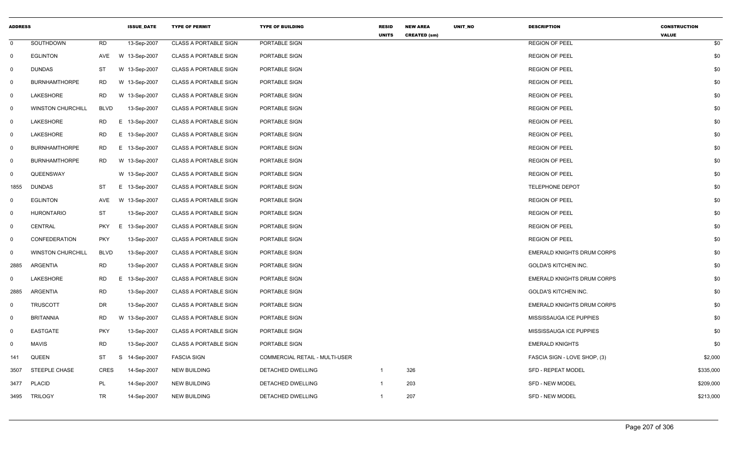| <b>ADDRESS</b> |                          |             | <b>ISSUE DATE</b> | <b>TYPE OF PERMIT</b>        | <b>TYPE OF BUILDING</b>        | <b>RESID</b><br><b>UNITS</b> | <b>NEW AREA</b><br><b>CREATED (sm)</b> | UNIT_NO | <b>DESCRIPTION</b>                | <b>CONSTRUCTION</b><br><b>VALUE</b> |  |
|----------------|--------------------------|-------------|-------------------|------------------------------|--------------------------------|------------------------------|----------------------------------------|---------|-----------------------------------|-------------------------------------|--|
| $\mathbf{0}$   | SOUTHDOWN                | <b>RD</b>   | 13-Sep-2007       | <b>CLASS A PORTABLE SIGN</b> | PORTABLE SIGN                  |                              |                                        |         | <b>REGION OF PEEL</b>             | \$0                                 |  |
| $\mathbf 0$    | <b>EGLINTON</b>          | AVE         | W 13-Sep-2007     | <b>CLASS A PORTABLE SIGN</b> | PORTABLE SIGN                  |                              |                                        |         | <b>REGION OF PEEL</b>             | \$0                                 |  |
| $\mathbf 0$    | <b>DUNDAS</b>            | ST          | W 13-Sep-2007     | <b>CLASS A PORTABLE SIGN</b> | PORTABLE SIGN                  |                              |                                        |         | <b>REGION OF PEEL</b>             | \$0                                 |  |
| $\mathbf 0$    | <b>BURNHAMTHORPE</b>     | RD          | W 13-Sep-2007     | <b>CLASS A PORTABLE SIGN</b> | PORTABLE SIGN                  |                              |                                        |         | <b>REGION OF PEEL</b>             | \$0                                 |  |
| $\mathbf 0$    | LAKESHORE                | <b>RD</b>   | W 13-Sep-2007     | <b>CLASS A PORTABLE SIGN</b> | PORTABLE SIGN                  |                              |                                        |         | <b>REGION OF PEEL</b>             | \$0                                 |  |
| $\mathbf 0$    | <b>WINSTON CHURCHILL</b> | <b>BLVD</b> | 13-Sep-2007       | <b>CLASS A PORTABLE SIGN</b> | PORTABLE SIGN                  |                              |                                        |         | <b>REGION OF PEEL</b>             | \$0                                 |  |
| $\mathbf{0}$   | LAKESHORE                | <b>RD</b>   | E 13-Sep-2007     | <b>CLASS A PORTABLE SIGN</b> | PORTABLE SIGN                  |                              |                                        |         | <b>REGION OF PEEL</b>             | \$0                                 |  |
| $\mathbf 0$    | LAKESHORE                | RD          | E 13-Sep-2007     | <b>CLASS A PORTABLE SIGN</b> | PORTABLE SIGN                  |                              |                                        |         | <b>REGION OF PEEL</b>             | \$0                                 |  |
| $\mathbf{0}$   | <b>BURNHAMTHORPE</b>     | RD          | E 13-Sep-2007     | <b>CLASS A PORTABLE SIGN</b> | PORTABLE SIGN                  |                              |                                        |         | <b>REGION OF PEEL</b>             | \$0                                 |  |
| $\mathbf{0}$   | <b>BURNHAMTHORPE</b>     | RD          | W 13-Sep-2007     | <b>CLASS A PORTABLE SIGN</b> | PORTABLE SIGN                  |                              |                                        |         | <b>REGION OF PEEL</b>             | \$0                                 |  |
| $\mathbf 0$    | QUEENSWAY                |             | W 13-Sep-2007     | <b>CLASS A PORTABLE SIGN</b> | PORTABLE SIGN                  |                              |                                        |         | <b>REGION OF PEEL</b>             | \$0                                 |  |
| 1855           | <b>DUNDAS</b>            | ST          | E 13-Sep-2007     | <b>CLASS A PORTABLE SIGN</b> | PORTABLE SIGN                  |                              |                                        |         | <b>TELEPHONE DEPOT</b>            | \$0                                 |  |
| $\mathbf 0$    | <b>EGLINTON</b>          | AVE         | W 13-Sep-2007     | <b>CLASS A PORTABLE SIGN</b> | PORTABLE SIGN                  |                              |                                        |         | <b>REGION OF PEEL</b>             | \$0                                 |  |
| $\mathbf 0$    | <b>HURONTARIO</b>        | ST          | 13-Sep-2007       | <b>CLASS A PORTABLE SIGN</b> | PORTABLE SIGN                  |                              |                                        |         | <b>REGION OF PEEL</b>             | \$0                                 |  |
| $\mathbf 0$    | CENTRAL                  | <b>PKY</b>  | E.<br>13-Sep-2007 | <b>CLASS A PORTABLE SIGN</b> | PORTABLE SIGN                  |                              |                                        |         | <b>REGION OF PEEL</b>             | \$0                                 |  |
| $\mathbf 0$    | CONFEDERATION            | <b>PKY</b>  | 13-Sep-2007       | <b>CLASS A PORTABLE SIGN</b> | PORTABLE SIGN                  |                              |                                        |         | <b>REGION OF PEEL</b>             | \$0                                 |  |
| $\mathbf 0$    | <b>WINSTON CHURCHILL</b> | <b>BLVD</b> | 13-Sep-2007       | <b>CLASS A PORTABLE SIGN</b> | PORTABLE SIGN                  |                              |                                        |         | <b>EMERALD KNIGHTS DRUM CORPS</b> | \$0                                 |  |
| 2885           | ARGENTIA                 | RD          | 13-Sep-2007       | <b>CLASS A PORTABLE SIGN</b> | PORTABLE SIGN                  |                              |                                        |         | <b>GOLDA'S KITCHEN INC.</b>       | \$0                                 |  |
| $\mathbf{0}$   | LAKESHORE                | RD          | E 13-Sep-2007     | <b>CLASS A PORTABLE SIGN</b> | PORTABLE SIGN                  |                              |                                        |         | EMERALD KNIGHTS DRUM CORPS        | \$0                                 |  |
| 2885           | ARGENTIA                 | <b>RD</b>   | 13-Sep-2007       | <b>CLASS A PORTABLE SIGN</b> | PORTABLE SIGN                  |                              |                                        |         | GOLDA'S KITCHEN INC.              | \$0                                 |  |
| $\mathbf 0$    | <b>TRUSCOTT</b>          | <b>DR</b>   | 13-Sep-2007       | <b>CLASS A PORTABLE SIGN</b> | PORTABLE SIGN                  |                              |                                        |         | <b>EMERALD KNIGHTS DRUM CORPS</b> | \$0                                 |  |
| $\mathbf 0$    | <b>BRITANNIA</b>         | <b>RD</b>   | W 13-Sep-2007     | <b>CLASS A PORTABLE SIGN</b> | PORTABLE SIGN                  |                              |                                        |         | MISSISSAUGA ICE PUPPIES           | \$0                                 |  |
| $\mathbf 0$    | EASTGATE                 | <b>PKY</b>  | 13-Sep-2007       | <b>CLASS A PORTABLE SIGN</b> | PORTABLE SIGN                  |                              |                                        |         | MISSISSAUGA ICE PUPPIES           | \$0                                 |  |
| $\mathbf 0$    | <b>MAVIS</b>             | <b>RD</b>   | 13-Sep-2007       | <b>CLASS A PORTABLE SIGN</b> | PORTABLE SIGN                  |                              |                                        |         | <b>EMERALD KNIGHTS</b>            | \$0                                 |  |
| 141            | QUEEN                    | ST          | S<br>14-Sep-2007  | <b>FASCIA SIGN</b>           | COMMERCIAL RETAIL - MULTI-USER |                              |                                        |         | FASCIA SIGN - LOVE SHOP, (3)      | \$2,000                             |  |
| 3507           | STEEPLE CHASE            | <b>CRES</b> | 14-Sep-2007       | <b>NEW BUILDING</b>          | DETACHED DWELLING              | $\mathbf{1}$                 | 326                                    |         | <b>SFD - REPEAT MODEL</b>         | \$335,000                           |  |
| 3477           | <b>PLACID</b>            | <b>PL</b>   | 14-Sep-2007       | <b>NEW BUILDING</b>          | DETACHED DWELLING              | $\mathbf{1}$                 | 203                                    |         | SFD - NEW MODEL                   | \$209,000                           |  |
| 3495           | <b>TRILOGY</b>           | <b>TR</b>   | 14-Sep-2007       | <b>NEW BUILDING</b>          | DETACHED DWELLING              | $\mathbf{1}$                 | 207                                    |         | <b>SFD - NEW MODEL</b>            | \$213,000                           |  |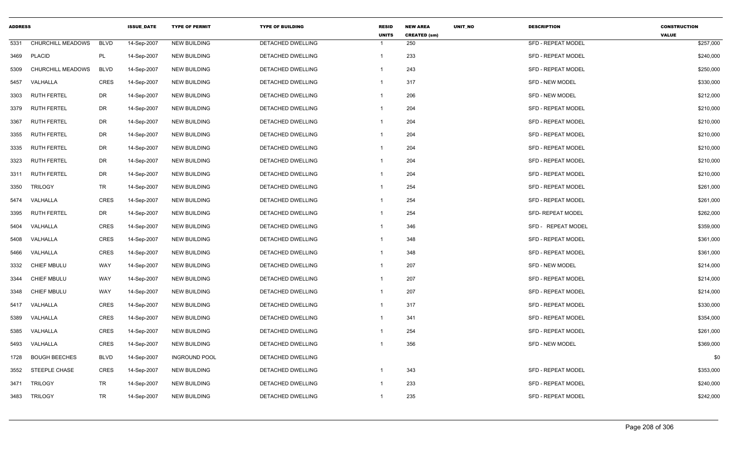| <b>ADDRESS</b> |                          |             | <b>ISSUE DATE</b> | <b>TYPE OF PERMIT</b> | <b>TYPE OF BUILDING</b>  | <b>RESID</b><br><b>UNITS</b> | <b>NEW AREA</b><br><b>CREATED (sm)</b> | <b>UNIT NO</b> | <b>DESCRIPTION</b>        | <b>CONSTRUCTION</b><br><b>VALUE</b> |
|----------------|--------------------------|-------------|-------------------|-----------------------|--------------------------|------------------------------|----------------------------------------|----------------|---------------------------|-------------------------------------|
| 5331           | <b>CHURCHILL MEADOWS</b> | <b>BLVD</b> | 14-Sep-2007       | <b>NEW BUILDING</b>   | <b>DETACHED DWELLING</b> | $\mathbf{1}$                 | 250                                    |                | <b>SFD - REPEAT MODEL</b> | \$257,000                           |
| 3469           | <b>PLACID</b>            | PL          | 14-Sep-2007       | <b>NEW BUILDING</b>   | DETACHED DWELLING        | -1                           | 233                                    |                | <b>SFD - REPEAT MODEL</b> | \$240,000                           |
| 5309           | CHURCHILL MEADOWS        | <b>BLVD</b> | 14-Sep-2007       | <b>NEW BUILDING</b>   | DETACHED DWELLING        | $\mathbf{1}$                 | 243                                    |                | <b>SFD - REPEAT MODEL</b> | \$250,000                           |
| 5457           | VALHALLA                 | <b>CRES</b> | 14-Sep-2007       | <b>NEW BUILDING</b>   | DETACHED DWELLING        | $\overline{1}$               | 317                                    |                | SFD - NEW MODEL           | \$330,000                           |
| 3303           | <b>RUTH FERTEL</b>       | DR          | 14-Sep-2007       | <b>NEW BUILDING</b>   | <b>DETACHED DWELLING</b> | -1                           | 206                                    |                | SFD - NEW MODEL           | \$212,000                           |
| 3379           | <b>RUTH FERTEL</b>       | DR          | 14-Sep-2007       | <b>NEW BUILDING</b>   | DETACHED DWELLING        | -1                           | 204                                    |                | <b>SFD - REPEAT MODEL</b> | \$210,000                           |
| 3367           | <b>RUTH FERTEL</b>       | DR          | 14-Sep-2007       | <b>NEW BUILDING</b>   | <b>DETACHED DWELLING</b> | -1                           | 204                                    |                | <b>SFD - REPEAT MODEL</b> | \$210,000                           |
| 3355           | <b>RUTH FERTEL</b>       | DR          | 14-Sep-2007       | <b>NEW BUILDING</b>   | <b>DETACHED DWELLING</b> | $\mathbf{1}$                 | 204                                    |                | <b>SFD - REPEAT MODEL</b> | \$210,000                           |
| 3335           | RUTH FERTEL              | DR          | 14-Sep-2007       | <b>NEW BUILDING</b>   | DETACHED DWELLING        | -1                           | 204                                    |                | <b>SFD - REPEAT MODEL</b> | \$210,000                           |
| 3323           | <b>RUTH FERTEL</b>       | DR          | 14-Sep-2007       | <b>NEW BUILDING</b>   | DETACHED DWELLING        | -1                           | 204                                    |                | <b>SFD - REPEAT MODEL</b> | \$210,000                           |
| 3311           | <b>RUTH FERTEL</b>       | DR          | 14-Sep-2007       | <b>NEW BUILDING</b>   | DETACHED DWELLING        | -1                           | 204                                    |                | <b>SFD - REPEAT MODEL</b> | \$210,000                           |
| 3350           | <b>TRILOGY</b>           | TR          | 14-Sep-2007       | <b>NEW BUILDING</b>   | DETACHED DWELLING        | $\mathbf{1}$                 | 254                                    |                | SFD - REPEAT MODEL        | \$261,000                           |
| 5474           | VALHALLA                 | <b>CRES</b> | 14-Sep-2007       | <b>NEW BUILDING</b>   | DETACHED DWELLING        | -1                           | 254                                    |                | <b>SFD - REPEAT MODEL</b> | \$261,000                           |
| 3395           | <b>RUTH FERTEL</b>       | DR          | 14-Sep-2007       | <b>NEW BUILDING</b>   | DETACHED DWELLING        | -1                           | 254                                    |                | <b>SFD- REPEAT MODEL</b>  | \$262,000                           |
| 5404           | VALHALLA                 | <b>CRES</b> | 14-Sep-2007       | <b>NEW BUILDING</b>   | DETACHED DWELLING        | -1                           | 346                                    |                | SFD - REPEAT MODEL        | \$359,000                           |
| 5408           | VALHALLA                 | CRES        | 14-Sep-2007       | <b>NEW BUILDING</b>   | DETACHED DWELLING        | -1                           | 348                                    |                | SFD - REPEAT MODEL        | \$361,000                           |
| 5466           | VALHALLA                 | <b>CRES</b> | 14-Sep-2007       | <b>NEW BUILDING</b>   | <b>DETACHED DWELLING</b> | $\mathbf{1}$                 | 348                                    |                | <b>SFD - REPEAT MODEL</b> | \$361,000                           |
| 3332           | <b>CHIEF MBULU</b>       | WAY         | 14-Sep-2007       | <b>NEW BUILDING</b>   | <b>DETACHED DWELLING</b> | -1                           | 207                                    |                | SFD - NEW MODEL           | \$214,000                           |
| 3344           | <b>CHIEF MBULU</b>       | WAY         | 14-Sep-2007       | <b>NEW BUILDING</b>   | DETACHED DWELLING        | $\overline{1}$               | 207                                    |                | <b>SFD - REPEAT MODEL</b> | \$214,000                           |
| 3348           | <b>CHIEF MBULU</b>       | WAY         | 14-Sep-2007       | <b>NEW BUILDING</b>   | DETACHED DWELLING        | -1                           | 207                                    |                | <b>SFD - REPEAT MODEL</b> | \$214,000                           |
| 5417           | VALHALLA                 | <b>CRES</b> | 14-Sep-2007       | <b>NEW BUILDING</b>   | DETACHED DWELLING        | $\mathbf{1}$                 | 317                                    |                | <b>SFD - REPEAT MODEL</b> | \$330,000                           |
| 5389           | VALHALLA                 | CRES        | 14-Sep-2007       | <b>NEW BUILDING</b>   | DETACHED DWELLING        | $\mathbf{1}$                 | 341                                    |                | <b>SFD - REPEAT MODEL</b> | \$354,000                           |
| 5385           | VALHALLA                 | <b>CRES</b> | 14-Sep-2007       | <b>NEW BUILDING</b>   | DETACHED DWELLING        | $\mathbf{1}$                 | 254                                    |                | <b>SFD - REPEAT MODEL</b> | \$261,000                           |
| 5493           | VALHALLA                 | <b>CRES</b> | 14-Sep-2007       | <b>NEW BUILDING</b>   | DETACHED DWELLING        | -1                           | 356                                    |                | SFD - NEW MODEL           | \$369,000                           |
| 1728           | <b>BOUGH BEECHES</b>     | <b>BLVD</b> | 14-Sep-2007       | <b>INGROUND POOL</b>  | <b>DETACHED DWELLING</b> |                              |                                        |                |                           | \$0                                 |
| 3552           | <b>STEEPLE CHASE</b>     | <b>CRES</b> | 14-Sep-2007       | <b>NEW BUILDING</b>   | DETACHED DWELLING        | -1                           | 343                                    |                | <b>SFD - REPEAT MODEL</b> | \$353,000                           |
| 3471           | <b>TRILOGY</b>           | TR          | 14-Sep-2007       | <b>NEW BUILDING</b>   | <b>DETACHED DWELLING</b> | -1                           | 233                                    |                | <b>SFD - REPEAT MODEL</b> | \$240,000                           |
| 3483           | <b>TRILOGY</b>           | TR          | 14-Sep-2007       | <b>NEW BUILDING</b>   | DETACHED DWELLING        | -1                           | 235                                    |                | SFD - REPEAT MODEL        | \$242,000                           |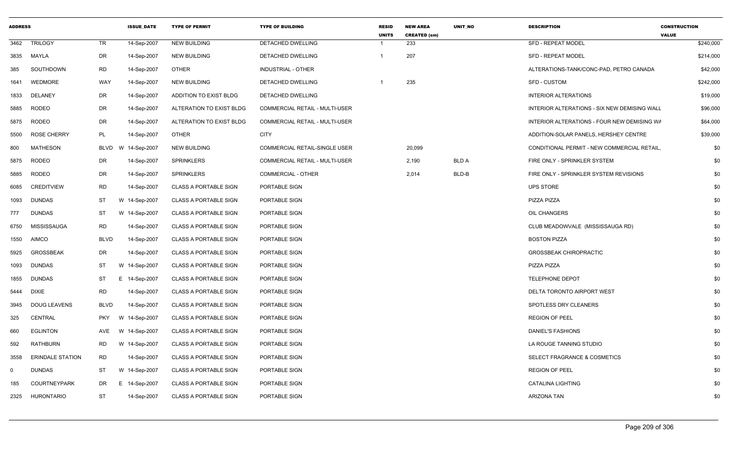| <b>ADDRESS</b> |                         |                 | <b>ISSUE DATE</b>  | <b>TYPE OF PERMIT</b>        | <b>TYPE OF BUILDING</b>               | <b>RESID</b><br><b>UNITS</b> | <b>NEW AREA</b><br><b>CREATED (sm)</b> | UNIT NO      | <b>DESCRIPTION</b>                           | <b>CONSTRUCTION</b><br><b>VALUE</b> |           |
|----------------|-------------------------|-----------------|--------------------|------------------------------|---------------------------------------|------------------------------|----------------------------------------|--------------|----------------------------------------------|-------------------------------------|-----------|
| 3462           | <b>TRILOGY</b>          | TR              | 14-Sep-2007        | <b>NEW BUILDING</b>          | DETACHED DWELLING                     | $\overline{\mathbf{1}}$      | 233                                    |              | <b>SFD - REPEAT MODEL</b>                    |                                     | \$240,000 |
|                | 3835 MAYLA              | DR              | 14-Sep-2007        | <b>NEW BUILDING</b>          | DETACHED DWELLING                     | $\overline{1}$               | 207                                    |              | <b>SFD - REPEAT MODEL</b>                    |                                     | \$214,000 |
| 385            | SOUTHDOWN               | RD              | 14-Sep-2007        | <b>OTHER</b>                 | INDUSTRIAL - OTHER                    |                              |                                        |              | ALTERATIONS-TANK/CONC-PAD, PETRO CANADA      |                                     | \$42,000  |
| 1641           | WEDMORE                 | WAY             | 14-Sep-2007        | <b>NEW BUILDING</b>          | DETACHED DWELLING                     |                              | 235                                    |              | SFD - CUSTOM                                 |                                     | \$242,000 |
| 1833           | DELANEY                 | DR              | 14-Sep-2007        | ADDITION TO EXIST BLDG       | DETACHED DWELLING                     |                              |                                        |              | <b>INTERIOR ALTERATIONS</b>                  |                                     | \$19,000  |
| 5885           | RODEO                   | DR              | 14-Sep-2007        | ALTERATION TO EXIST BLDG     | <b>COMMERCIAL RETAIL - MULTI-USER</b> |                              |                                        |              | INTERIOR ALTERATIONS - SIX NEW DEMISING WALL |                                     | \$96,000  |
| 5875           | RODEO                   | DR              | 14-Sep-2007        | ALTERATION TO EXIST BLDG     | COMMERCIAL RETAIL - MULTI-USER        |                              |                                        |              | INTERIOR ALTERATIONS - FOUR NEW DEMISING WA  |                                     | \$64,000  |
| 5500           | <b>ROSE CHERRY</b>      | PL              | 14-Sep-2007        | <b>OTHER</b>                 | <b>CITY</b>                           |                              |                                        |              | ADDITION-SOLAR PANELS, HERSHEY CENTRE        |                                     | \$39,000  |
| 800            | MATHESON                |                 | BLVD W 14-Sep-2007 | <b>NEW BUILDING</b>          | COMMERCIAL RETAIL-SINGLE USER         |                              | 20,099                                 |              | CONDITIONAL PERMIT - NEW COMMERCIAL RETAIL,  |                                     | \$0       |
| 5875           | RODEO                   | DR              | 14-Sep-2007        | <b>SPRINKLERS</b>            | COMMERCIAL RETAIL - MULTI-USER        |                              | 2,190                                  | <b>BLD A</b> | FIRE ONLY - SPRINKLER SYSTEM                 |                                     | \$0       |
| 5885           | RODEO                   | <b>DR</b>       | 14-Sep-2007        | <b>SPRINKLERS</b>            | COMMERCIAL - OTHER                    |                              | 2,014                                  | BLD-B        | FIRE ONLY - SPRINKLER SYSTEM REVISIONS       |                                     | \$0       |
| 6085           | <b>CREDITVIEW</b>       | <b>RD</b>       | 14-Sep-2007        | <b>CLASS A PORTABLE SIGN</b> | PORTABLE SIGN                         |                              |                                        |              | <b>UPS STORE</b>                             |                                     | \$0       |
| 1093           | DUNDAS                  | ST<br>W         | 14-Sep-2007        | <b>CLASS A PORTABLE SIGN</b> | PORTABLE SIGN                         |                              |                                        |              | PIZZA PIZZA                                  |                                     | \$0       |
| 777            | <b>DUNDAS</b>           | ST<br>W         | 14-Sep-2007        | <b>CLASS A PORTABLE SIGN</b> | PORTABLE SIGN                         |                              |                                        |              | OIL CHANGERS                                 |                                     | \$0       |
| 6750           | MISSISSAUGA             | RD              | 14-Sep-2007        | <b>CLASS A PORTABLE SIGN</b> | PORTABLE SIGN                         |                              |                                        |              | CLUB MEADOWVALE (MISSISSAUGA RD)             |                                     | \$0       |
| 1550           | <b>AIMCO</b>            | <b>BLVD</b>     | 14-Sep-2007        | <b>CLASS A PORTABLE SIGN</b> | PORTABLE SIGN                         |                              |                                        |              | <b>BOSTON PIZZA</b>                          |                                     | \$0       |
| 5925           | <b>GROSSBEAK</b>        | DR              | 14-Sep-2007        | <b>CLASS A PORTABLE SIGN</b> | PORTABLE SIGN                         |                              |                                        |              | <b>GROSSBEAK CHIROPRACTIC</b>                |                                     | \$0       |
| 1093           | <b>DUNDAS</b>           | ST<br>W         | 14-Sep-2007        | <b>CLASS A PORTABLE SIGN</b> | PORTABLE SIGN                         |                              |                                        |              | PIZZA PIZZA                                  |                                     | \$0       |
| 1855           | <b>DUNDAS</b>           | ST<br>E.        | 14-Sep-2007        | <b>CLASS A PORTABLE SIGN</b> | PORTABLE SIGN                         |                              |                                        |              | <b>TELEPHONE DEPOT</b>                       |                                     | \$0       |
| 5444           | DIXIE                   | <b>RD</b>       | 14-Sep-2007        | <b>CLASS A PORTABLE SIGN</b> | PORTABLE SIGN                         |                              |                                        |              | DELTA TORONTO AIRPORT WEST                   |                                     | \$0       |
| 3945           | <b>DOUG LEAVENS</b>     | <b>BLVD</b>     | 14-Sep-2007        | <b>CLASS A PORTABLE SIGN</b> | PORTABLE SIGN                         |                              |                                        |              | SPOTLESS DRY CLEANERS                        |                                     | \$0       |
| 325            | CENTRAL                 | <b>PKY</b><br>W | 14-Sep-2007        | <b>CLASS A PORTABLE SIGN</b> | PORTABLE SIGN                         |                              |                                        |              | <b>REGION OF PEEL</b>                        |                                     | \$0       |
| 660            | <b>EGLINTON</b>         | AVE<br>W        | 14-Sep-2007        | <b>CLASS A PORTABLE SIGN</b> | PORTABLE SIGN                         |                              |                                        |              | <b>DANIEL'S FASHIONS</b>                     |                                     | \$0       |
| 592            | RATHBURN                | <b>RD</b>       | W 14-Sep-2007      | <b>CLASS A PORTABLE SIGN</b> | PORTABLE SIGN                         |                              |                                        |              | LA ROUGE TANNING STUDIO                      |                                     | \$0       |
| 3558           | <b>ERINDALE STATION</b> | RD              | 14-Sep-2007        | <b>CLASS A PORTABLE SIGN</b> | PORTABLE SIGN                         |                              |                                        |              | SELECT FRAGRANCE & COSMETICS                 |                                     | \$0       |
| $\Omega$       | <b>DUNDAS</b>           | <b>ST</b>       | W 14-Sep-2007      | <b>CLASS A PORTABLE SIGN</b> | PORTABLE SIGN                         |                              |                                        |              | <b>REGION OF PEEL</b>                        |                                     | \$0       |
| 185            | <b>COURTNEYPARK</b>     | DR<br>E.        | 14-Sep-2007        | <b>CLASS A PORTABLE SIGN</b> | PORTABLE SIGN                         |                              |                                        |              | CATALINA LIGHTING                            |                                     | \$0       |
|                | 2325 HURONTARIO         | ST              | 14-Sep-2007        | <b>CLASS A PORTABLE SIGN</b> | PORTABLE SIGN                         |                              |                                        |              | ARIZONA TAN                                  |                                     | \$0       |
|                |                         |                 |                    |                              |                                       |                              |                                        |              |                                              |                                     |           |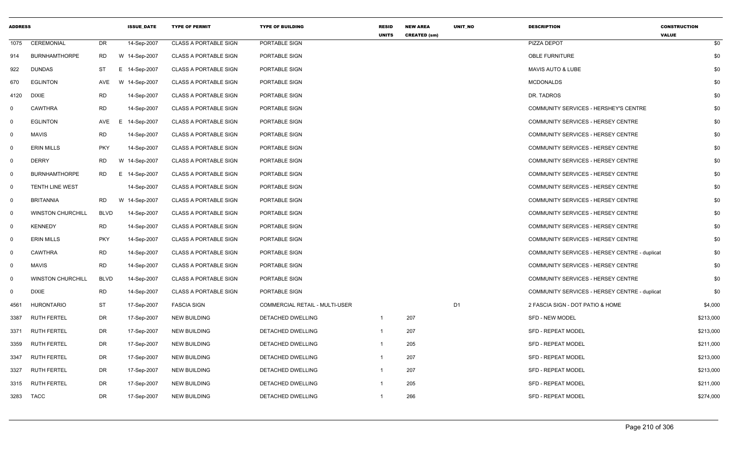| <b>ADDRESS</b>          |                          |             | <b>ISSUE DATE</b> | <b>TYPE OF PERMIT</b>        | <b>TYPE OF BUILDING</b>               | <b>RESID</b><br><b>UNITS</b> | <b>NEW AREA</b><br><b>CREATED (sm)</b> | <b>UNIT NO</b> | <b>DESCRIPTION</b>                            | <b>CONSTRUCTION</b><br><b>VALUE</b> |
|-------------------------|--------------------------|-------------|-------------------|------------------------------|---------------------------------------|------------------------------|----------------------------------------|----------------|-----------------------------------------------|-------------------------------------|
| 1075                    | CEREMONIAL               | DR          | 14-Sep-2007       | <b>CLASS A PORTABLE SIGN</b> | PORTABLE SIGN                         |                              |                                        |                | PIZZA DEPOT                                   | \$0                                 |
| 914                     | <b>BURNHAMTHORPE</b>     | RD          | W 14-Sep-2007     | <b>CLASS A PORTABLE SIGN</b> | PORTABLE SIGN                         |                              |                                        |                | OBLE FURNITURE                                | \$0                                 |
| 922                     | <b>DUNDAS</b>            | ST          | E 14-Sep-2007     | <b>CLASS A PORTABLE SIGN</b> | PORTABLE SIGN                         |                              |                                        |                | <b>MAVIS AUTO &amp; LUBE</b>                  | \$0                                 |
| 670                     | <b>EGLINTON</b>          | AVE         | W 14-Sep-2007     | <b>CLASS A PORTABLE SIGN</b> | PORTABLE SIGN                         |                              |                                        |                | <b>MCDONALDS</b>                              | \$0                                 |
| 4120                    | <b>DIXIE</b>             | <b>RD</b>   | 14-Sep-2007       | <b>CLASS A PORTABLE SIGN</b> | PORTABLE SIGN                         |                              |                                        |                | DR. TADROS                                    | \$0                                 |
| 0                       | <b>CAWTHRA</b>           | <b>RD</b>   | 14-Sep-2007       | <b>CLASS A PORTABLE SIGN</b> | PORTABLE SIGN                         |                              |                                        |                | COMMUNITY SERVICES - HERSHEY'S CENTRE         | \$0                                 |
| $\overline{\mathbf{0}}$ | <b>EGLINTON</b>          | AVE         | E.<br>14-Sep-2007 | <b>CLASS A PORTABLE SIGN</b> | PORTABLE SIGN                         |                              |                                        |                | COMMUNITY SERVICES - HERSEY CENTRE            | \$0                                 |
| $\mathbf 0$             | <b>MAVIS</b>             | <b>RD</b>   | 14-Sep-2007       | <b>CLASS A PORTABLE SIGN</b> | PORTABLE SIGN                         |                              |                                        |                | COMMUNITY SERVICES - HERSEY CENTRE            | \$0                                 |
| $\overline{0}$          | ERIN MILLS               | <b>PKY</b>  | 14-Sep-2007       | <b>CLASS A PORTABLE SIGN</b> | PORTABLE SIGN                         |                              |                                        |                | COMMUNITY SERVICES - HERSEY CENTRE            | \$0                                 |
| $\mathbf{0}$            | <b>DERRY</b>             | RD.         | W 14-Sep-2007     | <b>CLASS A PORTABLE SIGN</b> | PORTABLE SIGN                         |                              |                                        |                | COMMUNITY SERVICES - HERSEY CENTRE            | \$0                                 |
| $\mathbf 0$             | <b>BURNHAMTHORPE</b>     | RD          | 14-Sep-2007<br>Е. | <b>CLASS A PORTABLE SIGN</b> | PORTABLE SIGN                         |                              |                                        |                | COMMUNITY SERVICES - HERSEY CENTRE            | \$0                                 |
| $\mathbf 0$             | <b>TENTH LINE WEST</b>   |             | 14-Sep-2007       | <b>CLASS A PORTABLE SIGN</b> | PORTABLE SIGN                         |                              |                                        |                | COMMUNITY SERVICES - HERSEY CENTRE            | \$0                                 |
| $\mathbf 0$             | <b>BRITANNIA</b>         | RD          | W 14-Sep-2007     | <b>CLASS A PORTABLE SIGN</b> | PORTABLE SIGN                         |                              |                                        |                | COMMUNITY SERVICES - HERSEY CENTRE            | \$0                                 |
| 0                       | <b>WINSTON CHURCHILL</b> | <b>BLVD</b> | 14-Sep-2007       | <b>CLASS A PORTABLE SIGN</b> | PORTABLE SIGN                         |                              |                                        |                | COMMUNITY SERVICES - HERSEY CENTRE            | \$0                                 |
| $\mathbf 0$             | <b>KENNEDY</b>           | <b>RD</b>   | 14-Sep-2007       | <b>CLASS A PORTABLE SIGN</b> | PORTABLE SIGN                         |                              |                                        |                | COMMUNITY SERVICES - HERSEY CENTRE            | \$0                                 |
| $\mathbf{0}$            | <b>ERIN MILLS</b>        | <b>PKY</b>  | 14-Sep-2007       | <b>CLASS A PORTABLE SIGN</b> | PORTABLE SIGN                         |                              |                                        |                | COMMUNITY SERVICES - HERSEY CENTRE            | \$0                                 |
| $\mathbf 0$             | <b>CAWTHRA</b>           | <b>RD</b>   | 14-Sep-2007       | <b>CLASS A PORTABLE SIGN</b> | PORTABLE SIGN                         |                              |                                        |                | COMMUNITY SERVICES - HERSEY CENTRE - duplicat | \$0                                 |
| $\overline{0}$          | <b>MAVIS</b>             | RD          | 14-Sep-2007       | <b>CLASS A PORTABLE SIGN</b> | PORTABLE SIGN                         |                              |                                        |                | COMMUNITY SERVICES - HERSEY CENTRE            | \$0                                 |
| $\mathbf 0$             | <b>WINSTON CHURCHILL</b> | <b>BLVD</b> | 14-Sep-2007       | <b>CLASS A PORTABLE SIGN</b> | PORTABLE SIGN                         |                              |                                        |                | COMMUNITY SERVICES - HERSEY CENTRE            | \$0                                 |
| $\mathbf{0}$            | <b>DIXIE</b>             | <b>RD</b>   | 14-Sep-2007       | <b>CLASS A PORTABLE SIGN</b> | PORTABLE SIGN                         |                              |                                        |                | COMMUNITY SERVICES - HERSEY CENTRE - duplicat | \$0                                 |
| 4561                    | <b>HURONTARIO</b>        | ST          | 17-Sep-2007       | <b>FASCIA SIGN</b>           | <b>COMMERCIAL RETAIL - MULTI-USER</b> |                              |                                        | D <sub>1</sub> | 2 FASCIA SIGN - DOT PATIO & HOME              | \$4,000                             |
| 3387                    | <b>RUTH FERTEL</b>       | DR          | 17-Sep-2007       | <b>NEW BUILDING</b>          | DETACHED DWELLING                     | $\overline{1}$               | 207                                    |                | <b>SFD - NEW MODEL</b>                        | \$213,000                           |
| 3371                    | <b>RUTH FERTEL</b>       | DR          | 17-Sep-2007       | <b>NEW BUILDING</b>          | DETACHED DWELLING                     | $\overline{1}$               | 207                                    |                | <b>SFD - REPEAT MODEL</b>                     | \$213,000                           |
| 3359                    | <b>RUTH FERTEL</b>       | DR          | 17-Sep-2007       | <b>NEW BUILDING</b>          | DETACHED DWELLING                     | $\overline{1}$               | 205                                    |                | SFD - REPEAT MODEL                            | \$211,000                           |
| 3347                    | <b>RUTH FERTEL</b>       | DR          | 17-Sep-2007       | <b>NEW BUILDING</b>          | DETACHED DWELLING                     | -1                           | 207                                    |                | <b>SFD - REPEAT MODEL</b>                     | \$213,000                           |
| 3327                    | <b>RUTH FERTEL</b>       | DR          | 17-Sep-2007       | <b>NEW BUILDING</b>          | DETACHED DWELLING                     | $\overline{1}$               | 207                                    |                | <b>SFD - REPEAT MODEL</b>                     | \$213,000                           |
| 3315                    | <b>RUTH FERTEL</b>       | DR          | 17-Sep-2007       | NEW BUILDING                 | DETACHED DWELLING                     |                              | 205                                    |                | <b>SFD - REPEAT MODEL</b>                     | \$211,000                           |
|                         | 3283 TACC                | DR          | 17-Sep-2007       | NEW BUILDING                 | DETACHED DWELLING                     | 1                            | 266                                    |                | <b>SFD - REPEAT MODEL</b>                     | \$274,000                           |
|                         |                          |             |                   |                              |                                       |                              |                                        |                |                                               |                                     |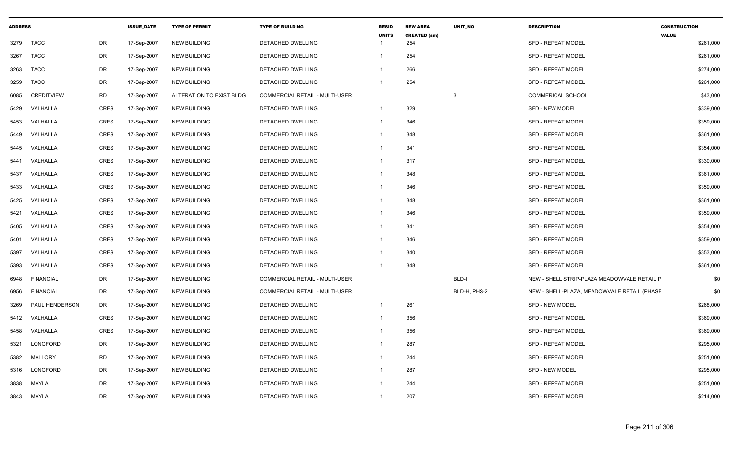| <b>ADDRESS</b> |                   |             | <b>ISSUE DATE</b> | <b>TYPE OF PERMIT</b>    | <b>TYPE OF BUILDING</b>               | <b>RESID</b><br><b>UNITS</b> | <b>NEW AREA</b><br><b>CREATED (sm)</b> | <b>UNIT NO</b> | <b>DESCRIPTION</b>                          | <b>CONSTRUCTION</b><br><b>VALUE</b> |
|----------------|-------------------|-------------|-------------------|--------------------------|---------------------------------------|------------------------------|----------------------------------------|----------------|---------------------------------------------|-------------------------------------|
| 3279           | <b>TACC</b>       | <b>DR</b>   | 17-Sep-2007       | <b>NEW BUILDING</b>      | DETACHED DWELLING                     |                              | 254                                    |                | <b>SFD - REPEAT MODEL</b>                   | \$261,000                           |
| 3267           | <b>TACC</b>       | <b>DR</b>   | 17-Sep-2007       | <b>NEW BUILDING</b>      | <b>DETACHED DWELLING</b>              | $\mathbf{1}$                 | 254                                    |                | <b>SFD - REPEAT MODEL</b>                   | \$261,000                           |
| 3263           | <b>TACC</b>       | DR          | 17-Sep-2007       | <b>NEW BUILDING</b>      | DETACHED DWELLING                     | -1                           | 266                                    |                | <b>SFD - REPEAT MODEL</b>                   | \$274,000                           |
| 3259           | <b>TACC</b>       | DR          | 17-Sep-2007       | <b>NEW BUILDING</b>      | DETACHED DWELLING                     | $\overline{1}$               | 254                                    |                | <b>SFD - REPEAT MODEL</b>                   | \$261,000                           |
| 6085           | <b>CREDITVIEW</b> | <b>RD</b>   | 17-Sep-2007       | ALTERATION TO EXIST BLDG | COMMERCIAL RETAIL - MULTI-USER        |                              |                                        | -3             | <b>COMMERICAL SCHOOL</b>                    | \$43,000                            |
| 5429           | VALHALLA          | <b>CRES</b> | 17-Sep-2007       | <b>NEW BUILDING</b>      | DETACHED DWELLING                     | $\overline{1}$               | 329                                    |                | <b>SFD - NEW MODEL</b>                      | \$339,000                           |
| 5453           | VALHALLA          | CRES        | 17-Sep-2007       | <b>NEW BUILDING</b>      | DETACHED DWELLING                     | $\mathbf{1}$                 | 346                                    |                | <b>SFD - REPEAT MODEL</b>                   | \$359,000                           |
| 5449           | VALHALLA          | <b>CRES</b> | 17-Sep-2007       | <b>NEW BUILDING</b>      | DETACHED DWELLING                     | $\mathbf{1}$                 | 348                                    |                | <b>SFD - REPEAT MODEL</b>                   | \$361,000                           |
| 5445           | VALHALLA          | <b>CRES</b> | 17-Sep-2007       | <b>NEW BUILDING</b>      | <b>DETACHED DWELLING</b>              | $\mathbf{1}$                 | 341                                    |                | <b>SFD - REPEAT MODEL</b>                   | \$354,000                           |
| 5441           | VALHALLA          | <b>CRES</b> | 17-Sep-2007       | <b>NEW BUILDING</b>      | DETACHED DWELLING                     | $\mathbf{1}$                 | 317                                    |                | <b>SFD - REPEAT MODEL</b>                   | \$330,000                           |
| 5437           | VALHALLA          | CRES        | 17-Sep-2007       | <b>NEW BUILDING</b>      | DETACHED DWELLING                     | $\mathbf{1}$                 | 348                                    |                | <b>SFD - REPEAT MODEL</b>                   | \$361,000                           |
| 5433           | VALHALLA          | CRES        | 17-Sep-2007       | <b>NEW BUILDING</b>      | DETACHED DWELLING                     | -1                           | 346                                    |                | <b>SFD - REPEAT MODEL</b>                   | \$359,000                           |
| 5425           | VALHALLA          | <b>CRES</b> | 17-Sep-2007       | <b>NEW BUILDING</b>      | DETACHED DWELLING                     | $\overline{1}$               | 348                                    |                | <b>SFD - REPEAT MODEL</b>                   | \$361,000                           |
| 5421           | VALHALLA          | <b>CRES</b> | 17-Sep-2007       | <b>NEW BUILDING</b>      | DETACHED DWELLING                     | $\overline{1}$               | 346                                    |                | <b>SFD - REPEAT MODEL</b>                   | \$359,000                           |
| 5405           | VALHALLA          | <b>CRES</b> | 17-Sep-2007       | <b>NEW BUILDING</b>      | DETACHED DWELLING                     | $\mathbf{1}$                 | 341                                    |                | <b>SFD - REPEAT MODEL</b>                   | \$354,000                           |
| 5401           | VALHALLA          | <b>CRES</b> | 17-Sep-2007       | <b>NEW BUILDING</b>      | DETACHED DWELLING                     | -1                           | 346                                    |                | <b>SFD - REPEAT MODEL</b>                   | \$359,000                           |
| 5397           | VALHALLA          | <b>CRES</b> | 17-Sep-2007       | <b>NEW BUILDING</b>      | DETACHED DWELLING                     | -1                           | 340                                    |                | <b>SFD - REPEAT MODEL</b>                   | \$353,000                           |
| 5393           | VALHALLA          | <b>CRES</b> | 17-Sep-2007       | <b>NEW BUILDING</b>      | DETACHED DWELLING                     | -1                           | 348                                    |                | <b>SFD - REPEAT MODEL</b>                   | \$361,000                           |
| 6948           | <b>FINANCIAL</b>  | DR          | 17-Sep-2007       | <b>NEW BUILDING</b>      | COMMERCIAL RETAIL - MULTI-USER        |                              |                                        | BLD-I          | NEW - SHELL STRIP-PLAZA MEADOWVALE RETAIL P | \$0                                 |
| 6956           | <b>FINANCIAL</b>  | DR          | 17-Sep-2007       | <b>NEW BUILDING</b>      | <b>COMMERCIAL RETAIL - MULTI-USER</b> |                              |                                        | BLD-H, PHS-2   | NEW - SHELL-PLAZA, MEADOWVALE RETAIL (PHASE | \$0                                 |
| 3269           | PAUL HENDERSON    | DR          | 17-Sep-2007       | <b>NEW BUILDING</b>      | DETACHED DWELLING                     | $\mathbf{1}$                 | 261                                    |                | <b>SFD - NEW MODEL</b>                      | \$268,000                           |
| 5412           | VALHALLA          | <b>CRES</b> | 17-Sep-2007       | <b>NEW BUILDING</b>      | DETACHED DWELLING                     | $\mathbf{1}$                 | 356                                    |                | <b>SFD - REPEAT MODEL</b>                   | \$369,000                           |
| 5458           | VALHALLA          | CRES        | 17-Sep-2007       | <b>NEW BUILDING</b>      | DETACHED DWELLING                     | -1                           | 356                                    |                | <b>SFD - REPEAT MODEL</b>                   | \$369,000                           |
| 5321           | LONGFORD          | <b>DR</b>   | 17-Sep-2007       | <b>NEW BUILDING</b>      | <b>DETACHED DWELLING</b>              | $\mathbf{1}$                 | 287                                    |                | <b>SFD - REPEAT MODEL</b>                   | \$295,000                           |
| 5382           | MALLORY           | RD          | 17-Sep-2007       | <b>NEW BUILDING</b>      | DETACHED DWELLING                     | $\mathbf{1}$                 | 244                                    |                | <b>SFD - REPEAT MODEL</b>                   | \$251,000                           |
| 5316           | LONGFORD          | DR          | 17-Sep-2007       | <b>NEW BUILDING</b>      | DETACHED DWELLING                     | $\mathbf{1}$                 | 287                                    |                | SFD - NEW MODEL                             | \$295,000                           |
| 3838           | MAYLA             | <b>DR</b>   | 17-Sep-2007       | <b>NEW BUILDING</b>      | <b>DETACHED DWELLING</b>              | -1                           | 244                                    |                | <b>SFD - REPEAT MODEL</b>                   | \$251,000                           |
| 3843           | MAYLA             | <b>DR</b>   | 17-Sep-2007       | <b>NEW BUILDING</b>      | DETACHED DWELLING                     | -1                           | 207                                    |                | <b>SFD - REPEAT MODEL</b>                   | \$214,000                           |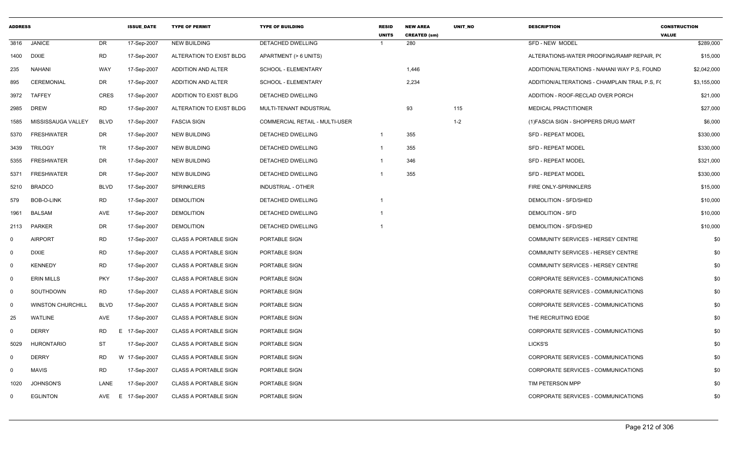| <b>ADDRESS</b> |                          |             | <b>ISSUE DATE</b> | <b>TYPE OF PERMIT</b>        | <b>TYPE OF BUILDING</b>        | <b>RESID</b><br><b>UNITS</b> | <b>NEW AREA</b><br><b>CREATED (sm)</b> | <b>UNIT NO</b> | <b>DESCRIPTION</b>                             | <b>CONSTRUCTION</b><br><b>VALUE</b> |
|----------------|--------------------------|-------------|-------------------|------------------------------|--------------------------------|------------------------------|----------------------------------------|----------------|------------------------------------------------|-------------------------------------|
| 3816           | <b>JANICE</b>            | DR          | 17-Sep-2007       | <b>NEW BUILDING</b>          | DETACHED DWELLING              |                              | 280                                    |                | SFD - NEW MODEL                                | \$289,000                           |
| 1400           | <b>DIXIE</b>             | <b>RD</b>   | 17-Sep-2007       | ALTERATION TO EXIST BLDG     | APARTMENT (> 6 UNITS)          |                              |                                        |                | ALTERATIONS-WATER PROOFING/RAMP REPAIR, PO     | \$15,000                            |
| 235            | <b>NAHANI</b>            | <b>WAY</b>  | 17-Sep-2007       | ADDITION AND ALTER           | SCHOOL - ELEMENTARY            |                              | 1,446                                  |                | ADDITION/ALTERATIONS - NAHANI WAY P.S. FOUND   | \$2,042,000                         |
| 895            | <b>CEREMONIAL</b>        | DR          | 17-Sep-2007       | ADDITION AND ALTER           | SCHOOL - ELEMENTARY            |                              | 2,234                                  |                | ADDITION/ALTERATIONS - CHAMPLAIN TRAIL P.S, F( | \$3,155,000                         |
| 3972           | <b>TAFFEY</b>            | <b>CRES</b> | 17-Sep-2007       | ADDITION TO EXIST BLDG       | DETACHED DWELLING              |                              |                                        |                | ADDITION - ROOF-RECLAD OVER PORCH              | \$21,000                            |
| 2985           | <b>DREW</b>              | <b>RD</b>   | 17-Sep-2007       | ALTERATION TO EXIST BLDG     | MULTI-TENANT INDUSTRIAL        |                              | 93                                     | 115            | <b>MEDICAL PRACTITIONER</b>                    | \$27,000                            |
| 1585           | MISSISSAUGA VALLEY       | <b>BLVD</b> | 17-Sep-2007       | <b>FASCIA SIGN</b>           | COMMERCIAL RETAIL - MULTI-USER |                              |                                        | $1 - 2$        | (1) FASCIA SIGN - SHOPPERS DRUG MART           | \$6,000                             |
| 5370           | <b>FRESHWATER</b>        | DR          | 17-Sep-2007       | <b>NEW BUILDING</b>          | DETACHED DWELLING              | $\overline{1}$               | 355                                    |                | <b>SFD - REPEAT MODEL</b>                      | \$330,000                           |
| 3439           | <b>TRILOGY</b>           | TR          | 17-Sep-2007       | NEW BUILDING                 | DETACHED DWELLING              | $\overline{1}$               | 355                                    |                | <b>SFD - REPEAT MODEL</b>                      | \$330,000                           |
| 5355           | <b>FRESHWATER</b>        | DR          | 17-Sep-2007       | NEW BUILDING                 | DETACHED DWELLING              |                              | 346                                    |                | SFD - REPEAT MODEL                             | \$321,000                           |
| 5371           | <b>FRESHWATER</b>        | DR          | 17-Sep-2007       | <b>NEW BUILDING</b>          | DETACHED DWELLING              |                              | 355                                    |                | <b>SFD - REPEAT MODEL</b>                      | \$330,000                           |
| 5210           | <b>BRADCO</b>            | <b>BLVD</b> | 17-Sep-2007       | <b>SPRINKLERS</b>            | INDUSTRIAL - OTHER             |                              |                                        |                | FIRE ONLY-SPRINKLERS                           | \$15,000                            |
| 579            | BOB-O-LINK               | <b>RD</b>   | 17-Sep-2007       | <b>DEMOLITION</b>            | <b>DETACHED DWELLING</b>       |                              |                                        |                | DEMOLITION - SFD/SHED                          | \$10,000                            |
| 1961           | <b>BALSAM</b>            | AVE         | 17-Sep-2007       | <b>DEMOLITION</b>            | DETACHED DWELLING              |                              |                                        |                | <b>DEMOLITION - SFD</b>                        | \$10,000                            |
| 2113           | <b>PARKER</b>            | DR          | 17-Sep-2007       | <b>DEMOLITION</b>            | DETACHED DWELLING              |                              |                                        |                | DEMOLITION - SFD/SHED                          | \$10,000                            |
| $\mathbf 0$    | <b>AIRPORT</b>           | <b>RD</b>   | 17-Sep-2007       | <b>CLASS A PORTABLE SIGN</b> | PORTABLE SIGN                  |                              |                                        |                | COMMUNITY SERVICES - HERSEY CENTRE             | \$0                                 |
| $\mathbf 0$    | <b>DIXIE</b>             | <b>RD</b>   | 17-Sep-2007       | <b>CLASS A PORTABLE SIGN</b> | PORTABLE SIGN                  |                              |                                        |                | COMMUNITY SERVICES - HERSEY CENTRE             | \$0                                 |
| $\mathbf 0$    | <b>KENNEDY</b>           | RD          | 17-Sep-2007       | <b>CLASS A PORTABLE SIGN</b> | PORTABLE SIGN                  |                              |                                        |                | COMMUNITY SERVICES - HERSEY CENTRE             | \$0                                 |
| $\mathsf{O}$   | <b>ERIN MILLS</b>        | <b>PKY</b>  | 17-Sep-2007       | <b>CLASS A PORTABLE SIGN</b> | PORTABLE SIGN                  |                              |                                        |                | CORPORATE SERVICES - COMMUNICATIONS            | \$0                                 |
| $\mathbf 0$    | SOUTHDOWN                | <b>RD</b>   | 17-Sep-2007       | <b>CLASS A PORTABLE SIGN</b> | PORTABLE SIGN                  |                              |                                        |                | CORPORATE SERVICES - COMMUNICATIONS            | \$0                                 |
| $\mathbf 0$    | <b>WINSTON CHURCHILL</b> | <b>BLVD</b> | 17-Sep-2007       | <b>CLASS A PORTABLE SIGN</b> | PORTABLE SIGN                  |                              |                                        |                | CORPORATE SERVICES - COMMUNICATIONS            | \$0                                 |
| 25             | <b>WATLINE</b>           | AVE         | 17-Sep-2007       | <b>CLASS A PORTABLE SIGN</b> | PORTABLE SIGN                  |                              |                                        |                | THE RECRUITING EDGE                            | \$0                                 |
| $\mathbf 0$    | <b>DERRY</b>             | RD<br>E.    | 17-Sep-2007       | <b>CLASS A PORTABLE SIGN</b> | PORTABLE SIGN                  |                              |                                        |                | CORPORATE SERVICES - COMMUNICATIONS            | \$0                                 |
| 5029           | <b>HURONTARIO</b>        | ST          | 17-Sep-2007       | <b>CLASS A PORTABLE SIGN</b> | PORTABLE SIGN                  |                              |                                        |                | LICKS'S                                        | \$0                                 |
| $\mathbf 0$    | <b>DERRY</b>             | <b>RD</b>   | W 17-Sep-2007     | <b>CLASS A PORTABLE SIGN</b> | PORTABLE SIGN                  |                              |                                        |                | CORPORATE SERVICES - COMMUNICATIONS            | \$0                                 |
| $\mathbf 0$    | <b>MAVIS</b>             | <b>RD</b>   | 17-Sep-2007       | <b>CLASS A PORTABLE SIGN</b> | PORTABLE SIGN                  |                              |                                        |                | CORPORATE SERVICES - COMMUNICATIONS            | \$0                                 |
| 1020           | JOHNSON'S                | LANE        | 17-Sep-2007       | <b>CLASS A PORTABLE SIGN</b> | PORTABLE SIGN                  |                              |                                        |                | TIM PETERSON MPP                               | \$0                                 |
| $\mathbf{0}$   | <b>EGLINTON</b>          | AVE<br>E    | 17-Sep-2007       | <b>CLASS A PORTABLE SIGN</b> | PORTABLE SIGN                  |                              |                                        |                | CORPORATE SERVICES - COMMUNICATIONS            | \$0                                 |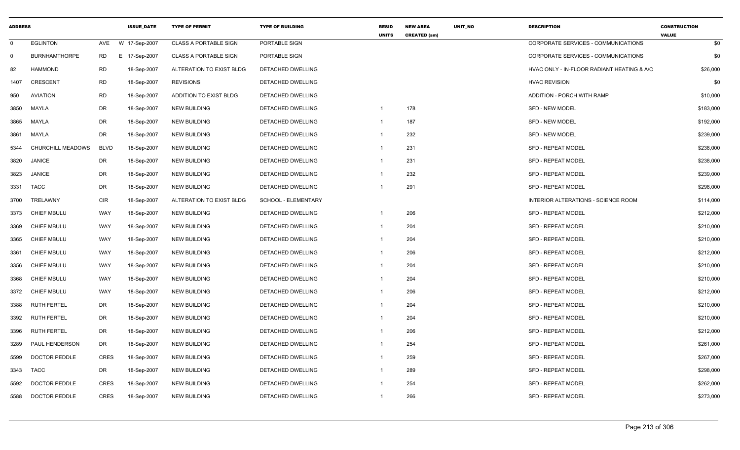| <b>ADDRESS</b> |                          |             | <b>ISSUE DATE</b> | <b>TYPE OF PERMIT</b>        | <b>TYPE OF BUILDING</b>  | <b>RESID</b><br><b>UNITS</b> | <b>NEW AREA</b><br><b>CREATED (sm)</b> | UNIT_NO | <b>DESCRIPTION</b>                         | <b>CONSTRUCTION</b><br><b>VALUE</b> |
|----------------|--------------------------|-------------|-------------------|------------------------------|--------------------------|------------------------------|----------------------------------------|---------|--------------------------------------------|-------------------------------------|
| $\mathbf 0$    | <b>EGLINTON</b>          | AVE         | W 17-Sep-2007     | <b>CLASS A PORTABLE SIGN</b> | PORTABLE SIGN            |                              |                                        |         | CORPORATE SERVICES - COMMUNICATIONS        | \$0                                 |
| $\mathbf 0$    | <b>BURNHAMTHORPE</b>     | RD          | E 17-Sep-2007     | <b>CLASS A PORTABLE SIGN</b> | PORTABLE SIGN            |                              |                                        |         | CORPORATE SERVICES - COMMUNICATIONS        | \$0                                 |
| 82             | <b>HAMMOND</b>           | <b>RD</b>   | 18-Sep-2007       | ALTERATION TO EXIST BLDG     | DETACHED DWELLING        |                              |                                        |         | HVAC ONLY - IN-FLOOR RADIANT HEATING & A/C | \$26,000                            |
| 1407           | <b>CRESCENT</b>          | <b>RD</b>   | 18-Sep-2007       | <b>REVISIONS</b>             | DETACHED DWELLING        |                              |                                        |         | <b>HVAC REVISION</b>                       | \$0                                 |
| 950            | <b>AVIATION</b>          | <b>RD</b>   | 18-Sep-2007       | ADDITION TO EXIST BLDG       | DETACHED DWELLING        |                              |                                        |         | ADDITION - PORCH WITH RAMP                 | \$10,000                            |
| 3850           | MAYLA                    | DR          | 18-Sep-2007       | <b>NEW BUILDING</b>          | DETACHED DWELLING        | $\overline{1}$               | 178                                    |         | <b>SFD - NEW MODEL</b>                     | \$183,000                           |
| 3865           | <b>MAYLA</b>             | <b>DR</b>   | 18-Sep-2007       | <b>NEW BUILDING</b>          | <b>DETACHED DWELLING</b> | $\overline{1}$               | 187                                    |         | <b>SFD - NEW MODEL</b>                     | \$192,000                           |
| 3861           | MAYLA                    | DR          | 18-Sep-2007       | <b>NEW BUILDING</b>          | DETACHED DWELLING        | $\overline{1}$               | 232                                    |         | SFD - NEW MODEL                            | \$239,000                           |
| 5344           | <b>CHURCHILL MEADOWS</b> | <b>BLVD</b> | 18-Sep-2007       | <b>NEW BUILDING</b>          | <b>DETACHED DWELLING</b> | $\overline{1}$               | 231                                    |         | <b>SFD - REPEAT MODEL</b>                  | \$238,000                           |
| 3820           | <b>JANICE</b>            | DR          | 18-Sep-2007       | <b>NEW BUILDING</b>          | DETACHED DWELLING        | $\overline{1}$               | 231                                    |         | <b>SFD - REPEAT MODEL</b>                  | \$238,000                           |
| 3823           | <b>JANICE</b>            | DR          | 18-Sep-2007       | NEW BUILDING                 | DETACHED DWELLING        | -1                           | 232                                    |         | <b>SFD - REPEAT MODEL</b>                  | \$239,000                           |
| 3331           | <b>TACC</b>              | <b>DR</b>   | 18-Sep-2007       | <b>NEW BUILDING</b>          | <b>DETACHED DWELLING</b> |                              | 291                                    |         | <b>SFD - REPEAT MODEL</b>                  | \$298,000                           |
| 3700           | TRELAWNY                 | <b>CIR</b>  | 18-Sep-2007       | ALTERATION TO EXIST BLDG     | SCHOOL - ELEMENTARY      |                              |                                        |         | INTERIOR ALTERATIONS - SCIENCE ROOM        | \$114,000                           |
| 3373           | <b>CHIEF MBULU</b>       | WAY         | 18-Sep-2007       | <b>NEW BUILDING</b>          | DETACHED DWELLING        | -1                           | 206                                    |         | <b>SFD - REPEAT MODEL</b>                  | \$212,000                           |
| 3369           | <b>CHIEF MBULU</b>       | <b>WAY</b>  | 18-Sep-2007       | <b>NEW BUILDING</b>          | DETACHED DWELLING        | $\overline{1}$               | 204                                    |         | <b>SFD - REPEAT MODEL</b>                  | \$210,000                           |
| 3365           | <b>CHIEF MBULU</b>       | <b>WAY</b>  | 18-Sep-2007       | NEW BUILDING                 | DETACHED DWELLING        | -1                           | 204                                    |         | SFD - REPEAT MODEL                         | \$210,000                           |
| 3361           | <b>CHIEF MBULU</b>       | WAY         | 18-Sep-2007       | <b>NEW BUILDING</b>          | <b>DETACHED DWELLING</b> | -1                           | 206                                    |         | <b>SFD - REPEAT MODEL</b>                  | \$212,000                           |
| 3356           | <b>CHIEF MBULU</b>       | <b>WAY</b>  | 18-Sep-2007       | <b>NEW BUILDING</b>          | DETACHED DWELLING        | $\overline{\mathbf{1}}$      | 204                                    |         | SFD - REPEAT MODEL                         | \$210,000                           |
| 3368           | <b>CHIEF MBULU</b>       | WAY         | 18-Sep-2007       | <b>NEW BUILDING</b>          | DETACHED DWELLING        | $\overline{1}$               | 204                                    |         | <b>SFD - REPEAT MODEL</b>                  | \$210,000                           |
| 3372           | <b>CHIEF MBULU</b>       | WAY         | 18-Sep-2007       | <b>NEW BUILDING</b>          | DETACHED DWELLING        | $\overline{1}$               | 206                                    |         | SFD - REPEAT MODEL                         | \$212,000                           |
| 3388           | <b>RUTH FERTEL</b>       | <b>DR</b>   | 18-Sep-2007       | <b>NEW BUILDING</b>          | DETACHED DWELLING        | -1                           | 204                                    |         | SFD - REPEAT MODEL                         | \$210,000                           |
| 3392           | <b>RUTH FERTEL</b>       | DR          | 18-Sep-2007       | <b>NEW BUILDING</b>          | DETACHED DWELLING        | -1                           | 204                                    |         | <b>SFD - REPEAT MODEL</b>                  | \$210,000                           |
| 3396           | <b>RUTH FERTEL</b>       | DR          | 18-Sep-2007       | <b>NEW BUILDING</b>          | DETACHED DWELLING        | -1                           | 206                                    |         | <b>SFD - REPEAT MODEL</b>                  | \$212,000                           |
| 3289           | PAUL HENDERSON           | DR          | 18-Sep-2007       | <b>NEW BUILDING</b>          | DETACHED DWELLING        | -1                           | 254                                    |         | SFD - REPEAT MODEL                         | \$261,000                           |
| 5599           | <b>DOCTOR PEDDLE</b>     | <b>CRES</b> | 18-Sep-2007       | <b>NEW BUILDING</b>          | DETACHED DWELLING        | -1                           | 259                                    |         | <b>SFD - REPEAT MODEL</b>                  | \$267,000                           |
| 3343           | <b>TACC</b>              | DR          | 18-Sep-2007       | <b>NEW BUILDING</b>          | DETACHED DWELLING        | $\overline{1}$               | 289                                    |         | <b>SFD - REPEAT MODEL</b>                  | \$298,000                           |
| 5592           | <b>DOCTOR PEDDLE</b>     | <b>CRES</b> | 18-Sep-2007       | <b>NEW BUILDING</b>          | DETACHED DWELLING        |                              | 254                                    |         | SFD - REPEAT MODEL                         | \$262,000                           |
| 5588           | <b>DOCTOR PEDDLE</b>     | <b>CRES</b> | 18-Sep-2007       | <b>NEW BUILDING</b>          | <b>DETACHED DWELLING</b> | $\overline{1}$               | 266                                    |         | <b>SFD - REPEAT MODEL</b>                  | \$273,000                           |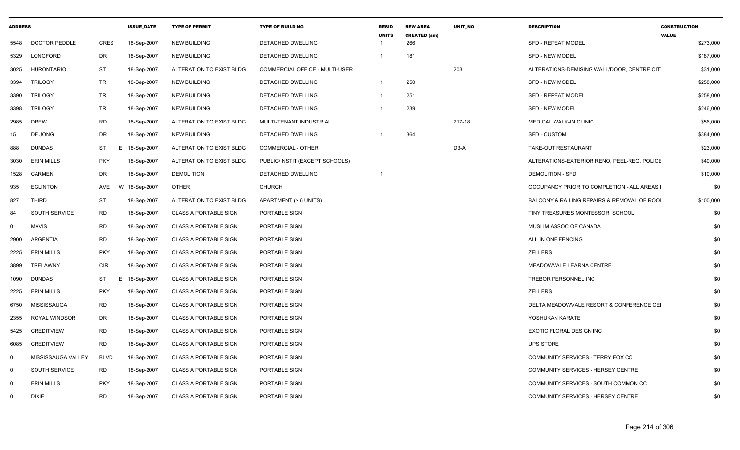| <b>ADDRESS</b> |                      |             | <b>ISSUE DATE</b> | <b>TYPE OF PERMIT</b>        | <b>TYPE OF BUILDING</b>        | <b>RESID</b><br><b>UNITS</b> | <b>NEW AREA</b><br><b>CREATED (sm)</b> | <b>UNIT NO</b> | <b>DESCRIPTION</b>                          | <b>CONSTRUCTION</b><br><b>VALUE</b> |
|----------------|----------------------|-------------|-------------------|------------------------------|--------------------------------|------------------------------|----------------------------------------|----------------|---------------------------------------------|-------------------------------------|
| 5548           | <b>DOCTOR PEDDLE</b> | <b>CRES</b> | 18-Sep-2007       | <b>NEW BUILDING</b>          | DETACHED DWELLING              |                              | 266                                    |                | <b>SFD - REPEAT MODEL</b>                   | \$273,000                           |
| 5329           | LONGFORD             | DR          | 18-Sep-2007       | <b>NEW BUILDING</b>          | DETACHED DWELLING              | $\mathbf 1$                  | 181                                    |                | SFD - NEW MODEL                             | \$187,000                           |
| 3025           | <b>HURONTARIO</b>    | ST          | 18-Sep-2007       | ALTERATION TO EXIST BLDG     | COMMERCIAL OFFICE - MULTI-USER |                              |                                        | 203            | ALTERATIONS-DEMISING WALL/DOOR, CENTRE CIT  | \$31,000                            |
| 3394           | <b>TRILOGY</b>       | <b>TR</b>   | 18-Sep-2007       | <b>NEW BUILDING</b>          | DETACHED DWELLING              | $\overline{1}$               | 250                                    |                | <b>SFD - NEW MODEL</b>                      | \$258,000                           |
| 3390           | <b>TRILOGY</b>       | TR          | 18-Sep-2007       | <b>NEW BUILDING</b>          | DETACHED DWELLING              | $\mathbf 1$                  | 251                                    |                | <b>SFD - REPEAT MODEL</b>                   | \$258,000                           |
| 3398           | <b>TRILOGY</b>       | TR          | 18-Sep-2007       | <b>NEW BUILDING</b>          | <b>DETACHED DWELLING</b>       | $\mathbf 1$                  | 239                                    |                | <b>SFD - NEW MODEL</b>                      | \$246,000                           |
| 2985           | <b>DREW</b>          | RD          | 18-Sep-2007       | ALTERATION TO EXIST BLDG     | MULTI-TENANT INDUSTRIAL        |                              |                                        | 217-18         | MEDICAL WALK-IN CLINIC                      | \$56,000                            |
| 15             | DE JONG              | DR          | 18-Sep-2007       | <b>NEW BUILDING</b>          | DETACHED DWELLING              | -1                           | 364                                    |                | <b>SFD - CUSTOM</b>                         | \$384,000                           |
| 888            | <b>DUNDAS</b>        | ST          | E 18-Sep-2007     | ALTERATION TO EXIST BLDG     | <b>COMMERCIAL - OTHER</b>      |                              |                                        | D3-A           | TAKE-OUT RESTAURANT                         | \$23,000                            |
| 3030           | <b>ERIN MILLS</b>    | <b>PKY</b>  | 18-Sep-2007       | ALTERATION TO EXIST BLDG     | PUBLIC/INSTIT (EXCEPT SCHOOLS) |                              |                                        |                | ALTERATIONS-EXTERIOR RENO, PEEL-REG. POLICE | \$40,000                            |
| 1528           | CARMEN               | DR          | 18-Sep-2007       | <b>DEMOLITION</b>            | DETACHED DWELLING              |                              |                                        |                | <b>DEMOLITION - SFD</b>                     | \$10,000                            |
| 935            | <b>EGLINTON</b>      | AVE         | W 18-Sep-2007     | <b>OTHER</b>                 | <b>CHURCH</b>                  |                              |                                        |                | OCCUPANCY PRIOR TO COMPLETION - ALL AREAS I | \$0                                 |
| 827            | <b>THIRD</b>         | ST          | 18-Sep-2007       | ALTERATION TO EXIST BLDG     | APARTMENT (> 6 UNITS)          |                              |                                        |                | BALCONY & RAILING REPAIRS & REMOVAL OF ROOI | \$100,000                           |
| 84             | SOUTH SERVICE        | <b>RD</b>   | 18-Sep-2007       | <b>CLASS A PORTABLE SIGN</b> | PORTABLE SIGN                  |                              |                                        |                | TINY TREASURES MONTESSORI SCHOOL            | \$0                                 |
| $\mathbf 0$    | <b>MAVIS</b>         | RD          | 18-Sep-2007       | <b>CLASS A PORTABLE SIGN</b> | PORTABLE SIGN                  |                              |                                        |                | MUSLIM ASSOC OF CANADA                      | \$0                                 |
| 2900           | ARGENTIA             | RD          | 18-Sep-2007       | <b>CLASS A PORTABLE SIGN</b> | PORTABLE SIGN                  |                              |                                        |                | ALL IN ONE FENCING                          | \$0                                 |
| 2225           | <b>ERIN MILLS</b>    | <b>PKY</b>  | 18-Sep-2007       | <b>CLASS A PORTABLE SIGN</b> | PORTABLE SIGN                  |                              |                                        |                | ZELLERS                                     | \$0                                 |
| 3899           | TRELAWNY             | CIR         | 18-Sep-2007       | <b>CLASS A PORTABLE SIGN</b> | PORTABLE SIGN                  |                              |                                        |                | MEADOWVALE LEARNA CENTRE                    | \$0                                 |
| 1090           | <b>DUNDAS</b>        | ST<br>E.    | 18-Sep-2007       | <b>CLASS A PORTABLE SIGN</b> | PORTABLE SIGN                  |                              |                                        |                | TREBOR PERSONNEL INC                        | \$0                                 |
| 2225           | <b>ERIN MILLS</b>    | <b>PKY</b>  | 18-Sep-2007       | <b>CLASS A PORTABLE SIGN</b> | PORTABLE SIGN                  |                              |                                        |                | <b>ZELLERS</b>                              | \$0                                 |
| 6750           | MISSISSAUGA          | <b>RD</b>   | 18-Sep-2007       | <b>CLASS A PORTABLE SIGN</b> | PORTABLE SIGN                  |                              |                                        |                | DELTA MEADOWVALE RESORT & CONFERENCE CEI    | \$0                                 |
| 2355           | ROYAL WINDSOR        | DR          | 18-Sep-2007       | <b>CLASS A PORTABLE SIGN</b> | PORTABLE SIGN                  |                              |                                        |                | YOSHUKAN KARATE                             | \$0                                 |
| 5425           | <b>CREDITVIEW</b>    | RD          | 18-Sep-2007       | <b>CLASS A PORTABLE SIGN</b> | PORTABLE SIGN                  |                              |                                        |                | EXOTIC FLORAL DESIGN INC                    | \$0                                 |
| 6085           | <b>CREDITVIEW</b>    | <b>RD</b>   | 18-Sep-2007       | <b>CLASS A PORTABLE SIGN</b> | PORTABLE SIGN                  |                              |                                        |                | <b>UPS STORE</b>                            | \$0                                 |
| $\Omega$       | MISSISSAUGA VALLEY   | <b>BLVD</b> | 18-Sep-2007       | <b>CLASS A PORTABLE SIGN</b> | PORTABLE SIGN                  |                              |                                        |                | COMMUNITY SERVICES - TERRY FOX CC           | \$0                                 |
| $\Omega$       | <b>SOUTH SERVICE</b> | RD          | 18-Sep-2007       | <b>CLASS A PORTABLE SIGN</b> | PORTABLE SIGN                  |                              |                                        |                | COMMUNITY SERVICES - HERSEY CENTRE          | \$0                                 |
| $\Omega$       | <b>ERIN MILLS</b>    | <b>PKY</b>  | 18-Sep-2007       | <b>CLASS A PORTABLE SIGN</b> | PORTABLE SIGN                  |                              |                                        |                | COMMUNITY SERVICES - SOUTH COMMON CC        | \$0                                 |
| $\mathbf 0$    | <b>DIXIE</b>         | <b>RD</b>   | 18-Sep-2007       | <b>CLASS A PORTABLE SIGN</b> | PORTABLE SIGN                  |                              |                                        |                | COMMUNITY SERVICES - HERSEY CENTRE          | \$0                                 |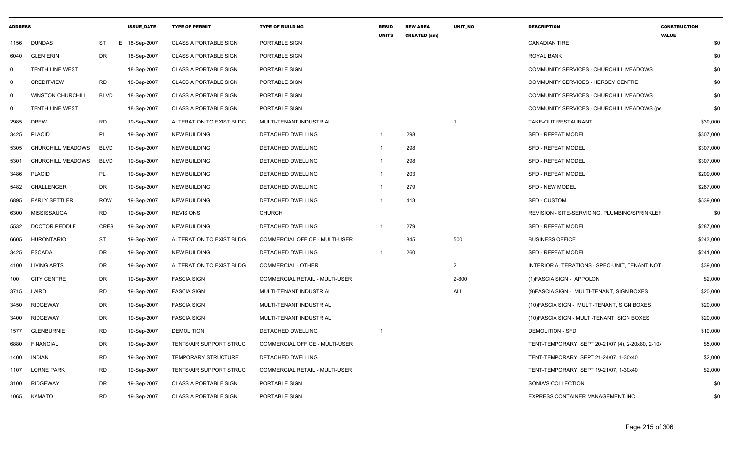| <b>ADDRESS</b> |                          |             | <b>ISSUE DATE</b> | <b>TYPE OF PERMIT</b>          | <b>TYPE OF BUILDING</b>               | <b>RESID</b><br><b>UNITS</b> | <b>NEW AREA</b><br><b>CREATED (sm)</b> | UNIT_NO        | <b>DESCRIPTION</b>                                | <b>CONSTRUCTION</b><br><b>VALUE</b> |
|----------------|--------------------------|-------------|-------------------|--------------------------------|---------------------------------------|------------------------------|----------------------------------------|----------------|---------------------------------------------------|-------------------------------------|
| 1156           | <b>DUNDAS</b>            | ST          | E 18-Sep-2007     | <b>CLASS A PORTABLE SIGN</b>   | PORTABLE SIGN                         |                              |                                        |                | <b>CANADIAN TIRE</b>                              | \$0                                 |
| 6040           | <b>GLEN ERIN</b>         | DR          | 18-Sep-2007       | <b>CLASS A PORTABLE SIGN</b>   | PORTABLE SIGN                         |                              |                                        |                | ROYAL BANK                                        | \$0                                 |
| $\Omega$       | <b>TENTH LINE WEST</b>   |             | 18-Sep-2007       | <b>CLASS A PORTABLE SIGN</b>   | PORTABLE SIGN                         |                              |                                        |                | COMMUNITY SERVICES - CHURCHILL MEADOWS            | \$0                                 |
| 0              | <b>CREDITVIEW</b>        | <b>RD</b>   | 18-Sep-2007       | <b>CLASS A PORTABLE SIGN</b>   | PORTABLE SIGN                         |                              |                                        |                | COMMUNITY SERVICES - HERSEY CENTRE                | \$0                                 |
| $\overline{0}$ | <b>WINSTON CHURCHILL</b> | <b>BLVD</b> | 18-Sep-2007       | <b>CLASS A PORTABLE SIGN</b>   | PORTABLE SIGN                         |                              |                                        |                | COMMUNITY SERVICES - CHURCHILL MEADOWS            | \$0                                 |
| $\mathbf 0$    | <b>TENTH LINE WEST</b>   |             | 18-Sep-2007       | <b>CLASS A PORTABLE SIGN</b>   | PORTABLE SIGN                         |                              |                                        |                | COMMUNITY SERVICES - CHURCHILL MEADOWS (pe        | \$0                                 |
| 2985           | <b>DREW</b>              | <b>RD</b>   | 19-Sep-2007       | ALTERATION TO EXIST BLDG       | MULTI-TENANT INDUSTRIAL               |                              |                                        | $\overline{1}$ | TAKE-OUT RESTAURANT                               | \$39,000                            |
| 3425           | <b>PLACID</b>            | PL          | 19-Sep-2007       | <b>NEW BUILDING</b>            | <b>DETACHED DWELLING</b>              | $\overline{1}$               | 298                                    |                | <b>SFD - REPEAT MODEL</b>                         | \$307,000                           |
| 5305           | CHURCHILL MEADOWS        | <b>BLVD</b> | 19-Sep-2007       | <b>NEW BUILDING</b>            | DETACHED DWELLING                     | $\overline{1}$               | 298                                    |                | <b>SFD - REPEAT MODEL</b>                         | \$307,000                           |
| 5301           | CHURCHILL MEADOWS        | <b>BLVD</b> | 19-Sep-2007       | <b>NEW BUILDING</b>            | DETACHED DWELLING                     | $\overline{1}$               | 298                                    |                | <b>SFD - REPEAT MODEL</b>                         | \$307,000                           |
| 3486           | <b>PLACID</b>            | PL          | 19-Sep-2007       | <b>NEW BUILDING</b>            | DETACHED DWELLING                     | $\overline{1}$               | 203                                    |                | <b>SFD - REPEAT MODEL</b>                         | \$209,000                           |
| 5482           | <b>CHALLENGER</b>        | DR          | 19-Sep-2007       | <b>NEW BUILDING</b>            | DETACHED DWELLING                     | $\overline{1}$               | 279                                    |                | <b>SFD - NEW MODEL</b>                            | \$287,000                           |
| 6895           | <b>EARLY SETTLER</b>     | <b>ROW</b>  | 19-Sep-2007       | <b>NEW BUILDING</b>            | DETACHED DWELLING                     |                              | 413                                    |                | <b>SFD - CUSTOM</b>                               | \$539,000                           |
| 6300           | <b>MISSISSAUGA</b>       | RD          | 19-Sep-2007       | <b>REVISIONS</b>               | <b>CHURCH</b>                         |                              |                                        |                | REVISION - SITE-SERVICING, PLUMBING/SPRINKLEF     | \$0                                 |
| 5532           | <b>DOCTOR PEDDLE</b>     | <b>CRES</b> | 19-Sep-2007       | <b>NEW BUILDING</b>            | DETACHED DWELLING                     |                              | 279                                    |                | SFD - REPEAT MODEL                                | \$287,000                           |
| 6605           | <b>HURONTARIO</b>        | <b>ST</b>   | 19-Sep-2007       | ALTERATION TO EXIST BLDG       | COMMERCIAL OFFICE - MULTI-USER        |                              | 845                                    | 500            | <b>BUSINESS OFFICE</b>                            | \$243,000                           |
| 3425           | <b>ESCADA</b>            | DR          | 19-Sep-2007       | <b>NEW BUILDING</b>            | DETACHED DWELLING                     | $\overline{1}$               | 260                                    |                | <b>SFD - REPEAT MODEL</b>                         | \$241,000                           |
| 4100           | <b>LIVING ARTS</b>       | DR          | 19-Sep-2007       | ALTERATION TO EXIST BLDG       | <b>COMMERCIAL - OTHER</b>             |                              |                                        | $\overline{2}$ | INTERIOR ALTERATIONS - SPEC-UNIT. TENANT NOT      | \$39,000                            |
| 100            | <b>CITY CENTRE</b>       | DR          | 19-Sep-2007       | <b>FASCIA SIGN</b>             | COMMERCIAL RETAIL - MULTI-USER        |                              |                                        | 2-800          | (1) FASCIA SIGN - APPOLON                         | \$2,000                             |
| 3715           | LAIRD                    | <b>RD</b>   | 19-Sep-2007       | <b>FASCIA SIGN</b>             | MULTI-TENANT INDUSTRIAL               |                              |                                        | <b>ALL</b>     | (9) FASCIA SIGN - MULTI-TENANT, SIGN BOXES        | \$20,000                            |
| 3450           | <b>RIDGEWAY</b>          | DR          | 19-Sep-2007       | <b>FASCIA SIGN</b>             | MULTI-TENANT INDUSTRIAL               |                              |                                        |                | (10) FASCIA SIGN - MULTI-TENANT, SIGN BOXES       | \$20,000                            |
| 3400           | <b>RIDGEWAY</b>          | DR          | 19-Sep-2007       | <b>FASCIA SIGN</b>             | MULTI-TENANT INDUSTRIAL               |                              |                                        |                | (10) FASCIA SIGN - MULTI-TENANT, SIGN BOXES       | \$20,000                            |
| 1577           | <b>GLENBURNIE</b>        | <b>RD</b>   | 19-Sep-2007       | <b>DEMOLITION</b>              | <b>DETACHED DWELLING</b>              | -1                           |                                        |                | <b>DEMOLITION - SFD</b>                           | \$10,000                            |
| 6880           | <b>FINANCIAL</b>         | DR          | 19-Sep-2007       | TENTS/AIR SUPPORT STRUC        | COMMERCIAL OFFICE - MULTI-USER        |                              |                                        |                | TENT-TEMPORARY, SEPT 20-21/07 (4), 2-20x80, 2-10> | \$5,000                             |
| 1400           | <b>INDIAN</b>            | <b>RD</b>   | 19-Sep-2007       | <b>TEMPORARY STRUCTURE</b>     | DETACHED DWELLING                     |                              |                                        |                | TENT-TEMPORARY, SEPT 21-24/07, 1-30x40            | \$2,000                             |
| 1107           | <b>LORNE PARK</b>        | RD          | 19-Sep-2007       | <b>TENTS/AIR SUPPORT STRUC</b> | <b>COMMERCIAL RETAIL - MULTI-USER</b> |                              |                                        |                | TENT-TEMPORARY, SEPT 19-21/07, 1-30x40            | \$2,000                             |
| 3100           | <b>RIDGEWAY</b>          | DR          | 19-Sep-2007       | <b>CLASS A PORTABLE SIGN</b>   | PORTABLE SIGN                         |                              |                                        |                | SONIA'S COLLECTION                                | \$0                                 |
| 1065           | <b>KAMATO</b>            | <b>RD</b>   | 19-Sep-2007       | <b>CLASS A PORTABLE SIGN</b>   | PORTABLE SIGN                         |                              |                                        |                | EXPRESS CONTAINER MANAGEMENT INC.                 | \$0                                 |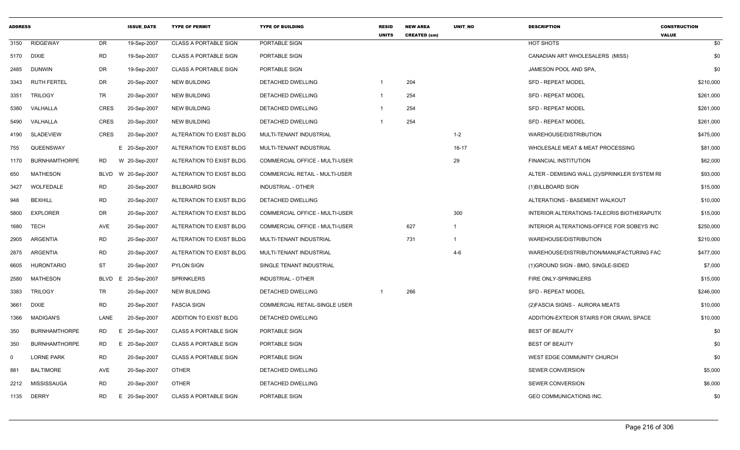| <b>ADDRESS</b> |                      |                 | <b>ISSUE DATE</b> | <b>TYPE OF PERMIT</b>        | <b>TYPE OF BUILDING</b>               | <b>RESID</b><br><b>UNITS</b> | <b>NEW AREA</b><br><b>CREATED (sm)</b> | <b>UNIT NO</b> | <b>DESCRIPTION</b>                            | <b>CONSTRUCTION</b><br><b>VALUE</b> |
|----------------|----------------------|-----------------|-------------------|------------------------------|---------------------------------------|------------------------------|----------------------------------------|----------------|-----------------------------------------------|-------------------------------------|
| 3150           | <b>RIDGEWAY</b>      | DR              | 19-Sep-2007       | <b>CLASS A PORTABLE SIGN</b> | PORTABLE SIGN                         |                              |                                        |                | HOT SHOTS                                     | \$0                                 |
| 5170 DIXIE     |                      | <b>RD</b>       | 19-Sep-2007       | <b>CLASS A PORTABLE SIGN</b> | PORTABLE SIGN                         |                              |                                        |                | CANADIAN ART WHOLESALERS (MISS)               | \$0                                 |
| 2485           | <b>DUNWIN</b>        | <b>DR</b>       | 19-Sep-2007       | <b>CLASS A PORTABLE SIGN</b> | PORTABLE SIGN                         |                              |                                        |                | JAMESON POOL AND SPA,                         | \$0                                 |
| 3343           | <b>RUTH FERTEL</b>   | DR              | 20-Sep-2007       | <b>NEW BUILDING</b>          | DETACHED DWELLING                     |                              | 204                                    |                | <b>SFD - REPEAT MODEL</b>                     | \$210,000                           |
| 3351           | <b>TRILOGY</b>       | <b>TR</b>       | 20-Sep-2007       | <b>NEW BUILDING</b>          | DETACHED DWELLING                     |                              | 254                                    |                | <b>SFD - REPEAT MODEL</b>                     | \$261,000                           |
| 5380           | VALHALLA             | CRES            | 20-Sep-2007       | <b>NEW BUILDING</b>          | DETACHED DWELLING                     |                              | 254                                    |                | <b>SFD - REPEAT MODEL</b>                     | \$261,000                           |
| 5490           | VALHALLA             | <b>CRES</b>     | 20-Sep-2007       | <b>NEW BUILDING</b>          | DETACHED DWELLING                     |                              | 254                                    |                | SFD - REPEAT MODEL                            | \$261,000                           |
| 4190           | <b>SLADEVIEW</b>     | CRES            | 20-Sep-2007       | ALTERATION TO EXIST BLDG     | MULTI-TENANT INDUSTRIAL               |                              |                                        | $1 - 2$        | WAREHOUSE/DISTRIBUTION                        | \$475,000                           |
| 755            | QUEENSWAY            |                 | E 20-Sep-2007     | ALTERATION TO EXIST BLDG     | MULTI-TENANT INDUSTRIAL               |                              |                                        | $16-17$        | WHOLESALE MEAT & MEAT PROCESSING              | \$81,000                            |
| 1170           | <b>BURNHAMTHORPE</b> | RD              | W 20-Sep-2007     | ALTERATION TO EXIST BLDG     | COMMERCIAL OFFICE - MULTI-USER        |                              |                                        | 29             | FINANCIAL INSTITUTION                         | \$62,000                            |
| 650            | <b>MATHESON</b>      | BLVD            | W 20-Sep-2007     | ALTERATION TO EXIST BLDG     | <b>COMMERCIAL RETAIL - MULTI-USER</b> |                              |                                        |                | ALTER - DEMISING WALL (2)/SPRINKLER SYSTEM RE | \$93,000                            |
| 3427           | WOLFEDALE            | RD              | 20-Sep-2007       | <b>BILLBOARD SIGN</b>        | <b>INDUSTRIAL - OTHER</b>             |                              |                                        |                | (1) BILLBOARD SIGN                            | \$15,000                            |
| 948            | <b>BEXHILL</b>       | <b>RD</b>       | 20-Sep-2007       | ALTERATION TO EXIST BLDG     | DETACHED DWELLING                     |                              |                                        |                | ALTERATIONS - BASEMENT WALKOUT                | \$10,000                            |
| 5800           | <b>EXPLORER</b>      | <b>DR</b>       | 20-Sep-2007       | ALTERATION TO EXIST BLDG     | COMMERCIAL OFFICE - MULTI-USER        |                              |                                        | 300            | INTERIOR ALTERATIONS-TALECRIS BIOTHERAPUTI(   | \$15,000                            |
| 1680           | <b>TECH</b>          | AVE             | 20-Sep-2007       | ALTERATION TO EXIST BLDG     | <b>COMMERCIAL OFFICE - MULTI-USER</b> |                              | 627                                    | $\overline{1}$ | INTERIOR ALTERATIONS-OFFICE FOR SOBEYS INC    | \$250,000                           |
| 2905           | ARGENTIA             | <b>RD</b>       | 20-Sep-2007       | ALTERATION TO EXIST BLDG     | MULTI-TENANT INDUSTRIAL               |                              | 731                                    | $\overline{1}$ | WAREHOUSE/DISTRIBUTION                        | \$210,000                           |
| 2875           | ARGENTIA             | <b>RD</b>       | 20-Sep-2007       | ALTERATION TO EXIST BLDG     | MULTI-TENANT INDUSTRIAL               |                              |                                        | 4-6            | WAREHOUSE/DISTRIBUTION/MANUFACTURING FAC      | \$477,000                           |
| 6605           | <b>HURONTARIO</b>    | <b>ST</b>       | 20-Sep-2007       | <b>PYLON SIGN</b>            | SINGLE TENANT INDUSTRIAL              |                              |                                        |                | (1) GROUND SIGN - BMO, SINGLE-SIDED           | \$7,000                             |
| 2580           | <b>MATHESON</b>      | <b>BLVD</b>     | E 20-Sep-2007     | <b>SPRINKLERS</b>            | <b>INDUSTRIAL - OTHER</b>             |                              |                                        |                | FIRE ONLY-SPRINKLERS                          | \$15,000                            |
| 3383           | <b>TRILOGY</b>       | TR              | 20-Sep-2007       | <b>NEW BUILDING</b>          | DETACHED DWELLING                     |                              | 266                                    |                | <b>SFD - REPEAT MODEL</b>                     | \$246,000                           |
| 3661           | <b>DIXIE</b>         | <b>RD</b>       | 20-Sep-2007       | <b>FASCIA SIGN</b>           | COMMERCIAL RETAIL-SINGLE USER         |                              |                                        |                | (2) FASCIA SIGNS - AURORA MEATS               | \$10,000                            |
| 1366           | <b>MADIGAN'S</b>     | LANE            | 20-Sep-2007       | ADDITION TO EXIST BLDG       | DETACHED DWELLING                     |                              |                                        |                | ADDITION-EXTEIOR STAIRS FOR CRAWL SPACE       | \$10,000                            |
| 350            | <b>BURNHAMTHORPE</b> | RD<br>Е.        | 20-Sep-2007       | <b>CLASS A PORTABLE SIGN</b> | PORTABLE SIGN                         |                              |                                        |                | <b>BEST OF BEAUTY</b>                         | \$0                                 |
| 350            | <b>BURNHAMTHORPE</b> | RD              | E 20-Sep-2007     | <b>CLASS A PORTABLE SIGN</b> | PORTABLE SIGN                         |                              |                                        |                | <b>BEST OF BEAUTY</b>                         | \$0                                 |
| $\Omega$       | <b>LORNE PARK</b>    | <b>RD</b>       | 20-Sep-2007       | CLASS A PORTABLE SIGN        | PORTABLE SIGN                         |                              |                                        |                | WEST EDGE COMMUNITY CHURCH                    | \$0                                 |
| 881            | <b>BALTIMORE</b>     | AVE             | 20-Sep-2007       | <b>OTHER</b>                 | DETACHED DWELLING                     |                              |                                        |                | <b>SEWER CONVERSION</b>                       | \$5,000                             |
| 2212           | MISSISSAUGA          | RD              | 20-Sep-2007       | <b>OTHER</b>                 | DETACHED DWELLING                     |                              |                                        |                | <b>SEWER CONVERSION</b>                       | \$6,000                             |
| 1135           | <b>DERRY</b>         | <b>RD</b><br>Е. | 20-Sep-2007       | <b>CLASS A PORTABLE SIGN</b> | PORTABLE SIGN                         |                              |                                        |                | GEO COMMUNICATIONS INC.                       | \$0                                 |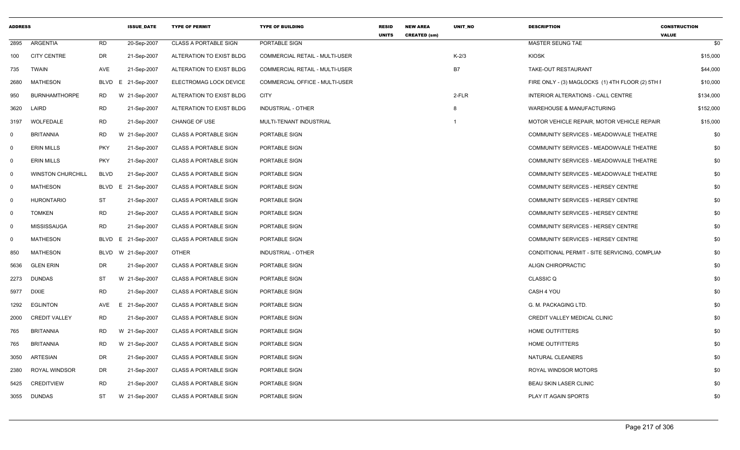| <b>ADDRESS</b> |                          |             | <b>ISSUE_DATE</b>  | <b>TYPE OF PERMIT</b>        | <b>TYPE OF BUILDING</b>        | <b>RESID</b><br><b>UNITS</b> | <b>NEW AREA</b><br><b>CREATED (sm)</b> | <b>UNIT NO</b> | <b>DESCRIPTION</b>                               | <b>CONSTRUCTION</b><br><b>VALUE</b> |
|----------------|--------------------------|-------------|--------------------|------------------------------|--------------------------------|------------------------------|----------------------------------------|----------------|--------------------------------------------------|-------------------------------------|
|                | 2895 ARGENTIA            | RD          | 20-Sep-2007        | <b>CLASS A PORTABLE SIGN</b> | PORTABLE SIGN                  |                              |                                        |                | MASTER SEUNG TAE                                 | \$0                                 |
|                | 100 CITY CENTRE          | DR          | 21-Sep-2007        | ALTERATION TO EXIST BLDG     | COMMERCIAL RETAIL - MULTI-USER |                              |                                        | $K-2/3$        | <b>KIOSK</b>                                     | \$15,000                            |
| 735            | TWAIN                    | AVE         | 21-Sep-2007        | ALTERATION TO EXIST BLDG     | COMMERCIAL RETAIL - MULTI-USER |                              |                                        | <b>B7</b>      | TAKE-OUT RESTAURANT                              | \$44,000                            |
| 2680           | MATHESON                 |             | BLVD E 21-Sep-2007 | ELECTROMAG LOCK DEVICE       | COMMERCIAL OFFICE - MULTI-USER |                              |                                        |                | FIRE ONLY - (3) MAGLOCKS (1) 4TH FLOOR (2) 5TH I | \$10,000                            |
| 950            | <b>BURNHAMTHORPE</b>     | <b>RD</b>   | W 21-Sep-2007      | ALTERATION TO EXIST BLDG     | <b>CITY</b>                    |                              |                                        | 2-FLR          | INTERIOR ALTERATIONS - CALL CENTRE               | \$134,000                           |
| 3620           | LAIRD                    | RD          | 21-Sep-2007        | ALTERATION TO EXIST BLDG     | <b>INDUSTRIAL - OTHER</b>      |                              |                                        |                | <b>WAREHOUSE &amp; MANUFACTURING</b>             | \$152,000                           |
|                | 3197 WOLFEDALE           | <b>RD</b>   | 21-Sep-2007        | CHANGE OF USE                | MULTI-TENANT INDUSTRIAL        |                              |                                        |                | MOTOR VEHICLE REPAIR, MOTOR VEHICLE REPAIR       | \$15,000                            |
| $\mathbf 0$    | BRITANNIA                | RD          | W 21-Sep-2007      | <b>CLASS A PORTABLE SIGN</b> | PORTABLE SIGN                  |                              |                                        |                | COMMUNITY SERVICES - MEADOWVALE THEATRE          | \$0                                 |
| $\Omega$       | <b>ERIN MILLS</b>        | <b>PKY</b>  | 21-Sep-2007        | <b>CLASS A PORTABLE SIGN</b> | PORTABLE SIGN                  |                              |                                        |                | COMMUNITY SERVICES - MEADOWVALE THEATRE          | \$0                                 |
| $\Omega$       | <b>ERIN MILLS</b>        | <b>PKY</b>  | 21-Sep-2007        | <b>CLASS A PORTABLE SIGN</b> | PORTABLE SIGN                  |                              |                                        |                | COMMUNITY SERVICES - MEADOWVALE THEATRE          | \$0                                 |
| $\Omega$       | <b>WINSTON CHURCHILL</b> | <b>BLVD</b> | 21-Sep-2007        | CLASS A PORTABLE SIGN        | PORTABLE SIGN                  |                              |                                        |                | COMMUNITY SERVICES - MEADOWVALE THEATRE          | \$0                                 |
| $\Omega$       | <b>MATHESON</b>          |             | BLVD E 21-Sep-2007 | CLASS A PORTABLE SIGN        | PORTABLE SIGN                  |                              |                                        |                | COMMUNITY SERVICES - HERSEY CENTRE               | \$0                                 |
| $\Omega$       | <b>HURONTARIO</b>        | ST          | 21-Sep-2007        | <b>CLASS A PORTABLE SIGN</b> | PORTABLE SIGN                  |                              |                                        |                | COMMUNITY SERVICES - HERSEY CENTRE               | \$0                                 |
| $\Omega$       | <b>TOMKEN</b>            | <b>RD</b>   | 21-Sep-2007        | <b>CLASS A PORTABLE SIGN</b> | PORTABLE SIGN                  |                              |                                        |                | COMMUNITY SERVICES - HERSEY CENTRE               | \$0                                 |
| $\Omega$       | MISSISSAUGA              | RD          | 21-Sep-2007        | <b>CLASS A PORTABLE SIGN</b> | PORTABLE SIGN                  |                              |                                        |                | COMMUNITY SERVICES - HERSEY CENTRE               | \$0                                 |
| $\Omega$       | <b>MATHESON</b>          |             | BLVD E 21-Sep-2007 | <b>CLASS A PORTABLE SIGN</b> | PORTABLE SIGN                  |                              |                                        |                | COMMUNITY SERVICES - HERSEY CENTRE               | \$0                                 |
| 850            | MATHESON                 |             | BLVD W 21-Sep-2007 | OTHER                        | INDUSTRIAL - OTHER             |                              |                                        |                | CONDITIONAL PERMIT - SITE SERVICING, COMPLIAN    | \$0                                 |
| 5636           | <b>GLEN ERIN</b>         | DR          | 21-Sep-2007        | <b>CLASS A PORTABLE SIGN</b> | PORTABLE SIGN                  |                              |                                        |                | ALIGN CHIROPRACTIC                               | \$0                                 |
|                | 2273 DUNDAS              | ST          | W 21-Sep-2007      | <b>CLASS A PORTABLE SIGN</b> | PORTABLE SIGN                  |                              |                                        |                | <b>CLASSIC Q</b>                                 | \$0                                 |
|                | 5977 DIXIE               | <b>RD</b>   | 21-Sep-2007        | <b>CLASS A PORTABLE SIGN</b> | PORTABLE SIGN                  |                              |                                        |                | CASH 4 YOU                                       | \$0                                 |
|                | 1292 EGLINTON            | AVE         | E 21-Sep-2007      | <b>CLASS A PORTABLE SIGN</b> | PORTABLE SIGN                  |                              |                                        |                | G. M. PACKAGING LTD.                             | \$0                                 |
|                | 2000 CREDIT VALLEY       | <b>RD</b>   | 21-Sep-2007        | <b>CLASS A PORTABLE SIGN</b> | PORTABLE SIGN                  |                              |                                        |                | CREDIT VALLEY MEDICAL CLINIC                     | \$0                                 |
| 765            | BRITANNIA                | <b>RD</b>   | W 21-Sep-2007      | <b>CLASS A PORTABLE SIGN</b> | PORTABLE SIGN                  |                              |                                        |                | <b>HOME OUTFITTERS</b>                           | \$0                                 |
| 765            | BRITANNIA                | <b>RD</b>   | W 21-Sep-2007      | <b>CLASS A PORTABLE SIGN</b> | PORTABLE SIGN                  |                              |                                        |                | <b>HOME OUTFITTERS</b>                           | \$0                                 |
|                | 3050 ARTESIAN            | DR          | 21-Sep-2007        | <b>CLASS A PORTABLE SIGN</b> | PORTABLE SIGN                  |                              |                                        |                | NATURAL CLEANERS                                 | \$0                                 |
|                | 2380 ROYAL WINDSOR       | DR          | 21-Sep-2007        | <b>CLASS A PORTABLE SIGN</b> | PORTABLE SIGN                  |                              |                                        |                | ROYAL WINDSOR MOTORS                             | \$0                                 |
|                | 5425 CREDITVIEW          | <b>RD</b>   | 21-Sep-2007        | <b>CLASS A PORTABLE SIGN</b> | PORTABLE SIGN                  |                              |                                        |                | <b>BEAU SKIN LASER CLINIC</b>                    | \$0                                 |
|                | 3055 DUNDAS              | ST          | W 21-Sep-2007      | <b>CLASS A PORTABLE SIGN</b> | PORTABLE SIGN                  |                              |                                        |                | PLAY IT AGAIN SPORTS                             | \$0                                 |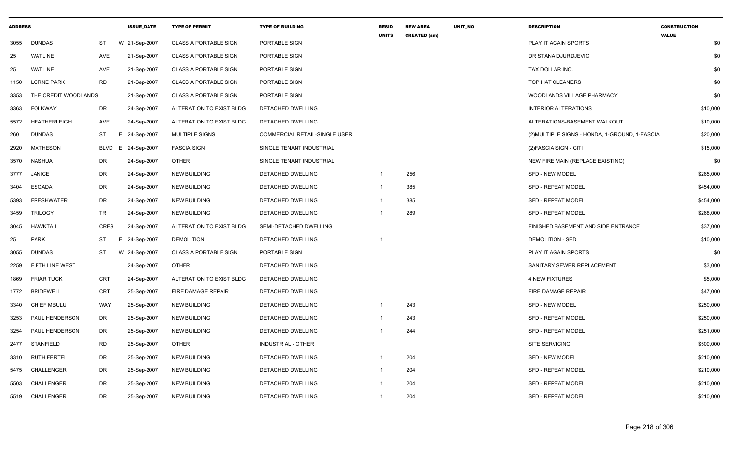| <b>ADDRESS</b> |                        |             | <b>ISSUE DATE</b> | <b>TYPE OF PERMIT</b>        | <b>TYPE OF BUILDING</b>              | <b>RESID</b><br><b>UNITS</b> | <b>NEW AREA</b><br><b>CREATED (sm)</b> | <b>UNIT NO</b> | <b>DESCRIPTION</b>                             | <b>CONSTRUCTION</b><br><b>VALUE</b> |
|----------------|------------------------|-------------|-------------------|------------------------------|--------------------------------------|------------------------------|----------------------------------------|----------------|------------------------------------------------|-------------------------------------|
| 3055           | <b>DUNDAS</b>          | ST          | W 21-Sep-2007     | <b>CLASS A PORTABLE SIGN</b> | PORTABLE SIGN                        |                              |                                        |                | PLAY IT AGAIN SPORTS                           | \$0                                 |
| 25             | <b>WATLINE</b>         | AVE         | 21-Sep-2007       | <b>CLASS A PORTABLE SIGN</b> | PORTABLE SIGN                        |                              |                                        |                | DR STANA DJURDJEVIC                            | \$0                                 |
| 25             | <b>WATLINE</b>         | AVE         | 21-Sep-2007       | <b>CLASS A PORTABLE SIGN</b> | PORTABLE SIGN                        |                              |                                        |                | TAX DOLLAR INC.                                | \$0                                 |
| 1150           | <b>LORNE PARK</b>      | <b>RD</b>   | 21-Sep-2007       | <b>CLASS A PORTABLE SIGN</b> | PORTABLE SIGN                        |                              |                                        |                | TOP HAT CLEANERS                               | \$0                                 |
| 3353           | THE CREDIT WOODLANDS   |             | 21-Sep-2007       | <b>CLASS A PORTABLE SIGN</b> | PORTABLE SIGN                        |                              |                                        |                | WOODLANDS VILLAGE PHARMACY                     | \$0                                 |
| 3363           | <b>FOLKWAY</b>         | DR          | 24-Sep-2007       | ALTERATION TO EXIST BLDG     | DETACHED DWELLING                    |                              |                                        |                | <b>INTERIOR ALTERATIONS</b>                    | \$10,000                            |
| 5572           | <b>HEATHERLEIGH</b>    | <b>AVE</b>  | 24-Sep-2007       | ALTERATION TO EXIST BLDG     | DETACHED DWELLING                    |                              |                                        |                | ALTERATIONS-BASEMENT WALKOUT                   | \$10,000                            |
| 260            | <b>DUNDAS</b>          | <b>ST</b>   | E 24-Sep-2007     | <b>MULTIPLE SIGNS</b>        | <b>COMMERCIAL RETAIL-SINGLE USER</b> |                              |                                        |                | (2) MULTIPLE SIGNS - HONDA, 1-GROUND, 1-FASCIA | \$20,000                            |
| 2920           | MATHESON               | BLVD        | E 24-Sep-2007     | <b>FASCIA SIGN</b>           | SINGLE TENANT INDUSTRIAL             |                              |                                        |                | (2) FASCIA SIGN - CITI                         | \$15,000                            |
| 3570           | NASHUA                 | DR          | 24-Sep-2007       | <b>OTHER</b>                 | SINGLE TENANT INDUSTRIAL             |                              |                                        |                | NEW FIRE MAIN (REPLACE EXISTING)               | \$0                                 |
| 3777           | <b>JANICE</b>          | DR          | 24-Sep-2007       | <b>NEW BUILDING</b>          | DETACHED DWELLING                    | $\mathbf{1}$                 | 256                                    |                | <b>SFD - NEW MODEL</b>                         | \$265,000                           |
| 3404           | <b>ESCADA</b>          | DR          | 24-Sep-2007       | <b>NEW BUILDING</b>          | DETACHED DWELLING                    | $\mathbf{1}$                 | 385                                    |                | <b>SFD - REPEAT MODEL</b>                      | \$454,000                           |
| 5393           | <b>FRESHWATER</b>      | <b>DR</b>   | 24-Sep-2007       | <b>NEW BUILDING</b>          | <b>DETACHED DWELLING</b>             | -1                           | 385                                    |                | <b>SFD - REPEAT MODEL</b>                      | \$454,000                           |
| 3459           | <b>TRILOGY</b>         | TR          | 24-Sep-2007       | <b>NEW BUILDING</b>          | <b>DETACHED DWELLING</b>             |                              | 289                                    |                | <b>SFD - REPEAT MODEL</b>                      | \$268,000                           |
| 3045           | <b>HAWKTAIL</b>        | <b>CRES</b> | 24-Sep-2007       | ALTERATION TO EXIST BLDG     | SEMI-DETACHED DWELLING               |                              |                                        |                | FINISHED BASEMENT AND SIDE ENTRANCE            | \$37,000                            |
| 25             | <b>PARK</b>            | ST          | E 24-Sep-2007     | <b>DEMOLITION</b>            | <b>DETACHED DWELLING</b>             | -1                           |                                        |                | <b>DEMOLITION - SFD</b>                        | \$10,000                            |
| 3055           | <b>DUNDAS</b>          | <b>ST</b>   | W 24-Sep-2007     | <b>CLASS A PORTABLE SIGN</b> | PORTABLE SIGN                        |                              |                                        |                | PLAY IT AGAIN SPORTS                           | \$0                                 |
| 2259           | <b>FIFTH LINE WEST</b> |             | 24-Sep-2007       | <b>OTHER</b>                 | DETACHED DWELLING                    |                              |                                        |                | SANITARY SEWER REPLACEMENT                     | \$3,000                             |
| 1869           | <b>FRIAR TUCK</b>      | CRT         | 24-Sep-2007       | ALTERATION TO EXIST BLDG     | DETACHED DWELLING                    |                              |                                        |                | <b>4 NEW FIXTURES</b>                          | \$5,000                             |
| 1772           | <b>BRIDEWELL</b>       | <b>CRT</b>  | 25-Sep-2007       | FIRE DAMAGE REPAIR           | DETACHED DWELLING                    |                              |                                        |                | FIRE DAMAGE REPAIR                             | \$47,000                            |
| 3340           | <b>CHIEF MBULU</b>     | WAY         | 25-Sep-2007       | <b>NEW BUILDING</b>          | DETACHED DWELLING                    | $\mathbf 1$                  | 243                                    |                | <b>SFD - NEW MODEL</b>                         | \$250,000                           |
| 3253           | PAUL HENDERSON         | DR          | 25-Sep-2007       | <b>NEW BUILDING</b>          | DETACHED DWELLING                    | -1                           | 243                                    |                | <b>SFD - REPEAT MODEL</b>                      | \$250,000                           |
| 3254           | PAUL HENDERSON         | DR          | 25-Sep-2007       | <b>NEW BUILDING</b>          | DETACHED DWELLING                    |                              | 244                                    |                | <b>SFD - REPEAT MODEL</b>                      | \$251,000                           |
| 2477           | STANFIELD              | <b>RD</b>   | 25-Sep-2007       | <b>OTHER</b>                 | <b>INDUSTRIAL - OTHER</b>            |                              |                                        |                | <b>SITE SERVICING</b>                          | \$500,000                           |
| 3310           | <b>RUTH FERTEL</b>     | DR          | 25-Sep-2007       | <b>NEW BUILDING</b>          | DETACHED DWELLING                    | -1                           | 204                                    |                | <b>SFD - NEW MODEL</b>                         | \$210,000                           |
| 5475           | CHALLENGER             | DR          | 25-Sep-2007       | <b>NEW BUILDING</b>          | DETACHED DWELLING                    | -1                           | 204                                    |                | <b>SFD - REPEAT MODEL</b>                      | \$210,000                           |
| 5503           | CHALLENGER             | DR          | 25-Sep-2007       | <b>NEW BUILDING</b>          | DETACHED DWELLING                    | -1                           | 204                                    |                | SFD - REPEAT MODEL                             | \$210,000                           |
| 5519           | CHALLENGER             | <b>DR</b>   | 25-Sep-2007       | <b>NEW BUILDING</b>          | <b>DETACHED DWELLING</b>             | $\mathbf{1}$                 | 204                                    |                | <b>SFD - REPEAT MODEL</b>                      | \$210,000                           |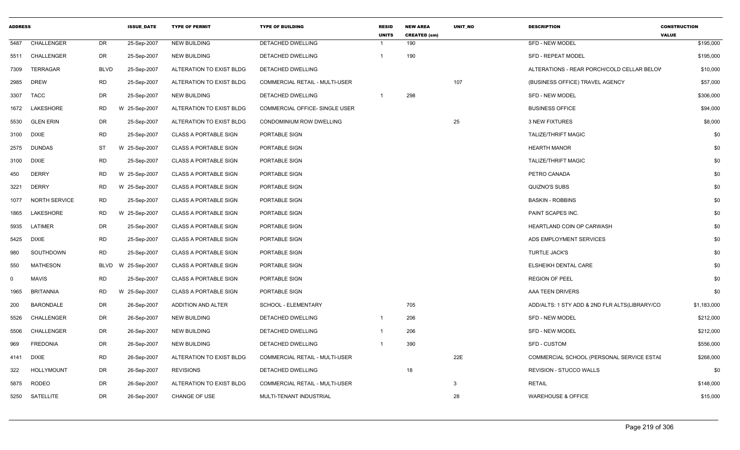| <b>ADDRESS</b> |                      |           | <b>ISSUE DATE</b> | <b>TYPE OF PERMIT</b>        | <b>TYPE OF BUILDING</b>               | <b>RESID</b><br><b>UNITS</b> | <b>NEW AREA</b><br><b>CREATED (sm)</b> | <b>UNIT NO</b> | <b>DESCRIPTION</b>                            | <b>CONSTRUCTION</b><br><b>VALUE</b> |
|----------------|----------------------|-----------|-------------------|------------------------------|---------------------------------------|------------------------------|----------------------------------------|----------------|-----------------------------------------------|-------------------------------------|
| 5487           | CHALLENGER           | DR        | 25-Sep-2007       | <b>NEW BUILDING</b>          | DETACHED DWELLING                     |                              | 190                                    |                | SFD - NEW MODEL                               | \$195,000                           |
|                | 5511 CHALLENGER      | DR        | 25-Sep-2007       | <b>NEW BUILDING</b>          | <b>DETACHED DWELLING</b>              |                              | 190                                    |                | <b>SFD - REPEAT MODEL</b>                     | \$195,000                           |
| 7309           | <b>TERRAGAR</b>      | BLVD      | 25-Sep-2007       | ALTERATION TO EXIST BLDG     | DETACHED DWELLING                     |                              |                                        |                | ALTERATIONS - REAR PORCH/COLD CELLAR BELOV    | \$10,000                            |
| 2985           | <b>DREW</b>          | <b>RD</b> | 25-Sep-2007       | ALTERATION TO EXIST BLDG     | <b>COMMERCIAL RETAIL - MULTI-USER</b> |                              |                                        | 107            | (BUSINESS OFFICE) TRAVEL AGENCY               | \$57,000                            |
| 3307           | <b>TACC</b>          | DR        | 25-Sep-2007       | <b>NEW BUILDING</b>          | <b>DETACHED DWELLING</b>              | $\overline{1}$               | 298                                    |                | <b>SFD - NEW MODEL</b>                        | \$306,000                           |
| 1672           | LAKESHORE            | RD        | W 25-Sep-2007     | ALTERATION TO EXIST BLDG     | COMMERCIAL OFFICE- SINGLE USER        |                              |                                        |                | <b>BUSINESS OFFICE</b>                        | \$94,000                            |
| 5530           | <b>GLEN ERIN</b>     | DR        | 25-Sep-2007       | ALTERATION TO EXIST BLDG     | CONDOMINIUM ROW DWELLING              |                              |                                        | 25             | <b>3 NEW FIXTURES</b>                         | \$8,000                             |
| 3100           | <b>DIXIE</b>         | <b>RD</b> | 25-Sep-2007       | <b>CLASS A PORTABLE SIGN</b> | PORTABLE SIGN                         |                              |                                        |                | <b>TALIZE/THRIFT MAGIC</b>                    | \$0                                 |
| 2575           | DUNDAS               | ST        | W 25-Sep-2007     | <b>CLASS A PORTABLE SIGN</b> | PORTABLE SIGN                         |                              |                                        |                | <b>HEARTH MANOR</b>                           | \$0                                 |
| 3100           | <b>DIXIE</b>         | <b>RD</b> | 25-Sep-2007       | <b>CLASS A PORTABLE SIGN</b> | PORTABLE SIGN                         |                              |                                        |                | <b>TALIZE/THRIFT MAGIC</b>                    | \$0                                 |
| 450            | <b>DERRY</b>         | <b>RD</b> | W 25-Sep-2007     | <b>CLASS A PORTABLE SIGN</b> | PORTABLE SIGN                         |                              |                                        |                | PETRO CANADA                                  | \$0                                 |
| 3221           | <b>DERRY</b>         | RD        | W 25-Sep-2007     | <b>CLASS A PORTABLE SIGN</b> | PORTABLE SIGN                         |                              |                                        |                | QUIZNO'S SUBS                                 | \$0                                 |
| 1077           | <b>NORTH SERVICE</b> | <b>RD</b> | 25-Sep-2007       | CLASS A PORTABLE SIGN        | PORTABLE SIGN                         |                              |                                        |                | <b>BASKIN - ROBBINS</b>                       | \$0                                 |
| 1865           | LAKESHORE            | RD        | W 25-Sep-2007     | <b>CLASS A PORTABLE SIGN</b> | PORTABLE SIGN                         |                              |                                        |                | <b>PAINT SCAPES INC.</b>                      | \$0                                 |
| 5935           | LATIMER              | DR        | 25-Sep-2007       | <b>CLASS A PORTABLE SIGN</b> | PORTABLE SIGN                         |                              |                                        |                | HEARTLAND COIN OP CARWASH                     | \$0                                 |
| 5425           | <b>DIXIE</b>         | <b>RD</b> | 25-Sep-2007       | <b>CLASS A PORTABLE SIGN</b> | PORTABLE SIGN                         |                              |                                        |                | ADS EMPLOYMENT SERVICES                       | \$0                                 |
| 980            | SOUTHDOWN            | <b>RD</b> | 25-Sep-2007       | <b>CLASS A PORTABLE SIGN</b> | PORTABLE SIGN                         |                              |                                        |                | <b>TURTLE JACK'S</b>                          | \$0                                 |
| 550            | <b>MATHESON</b>      | BLVD      | W 25-Sep-2007     | <b>CLASS A PORTABLE SIGN</b> | PORTABLE SIGN                         |                              |                                        |                | <b>ELSHEIKH DENTAL CARE</b>                   | \$0                                 |
| 0              | MAVIS                | <b>RD</b> | 25-Sep-2007       | <b>CLASS A PORTABLE SIGN</b> | PORTABLE SIGN                         |                              |                                        |                | <b>REGION OF PEEL</b>                         | \$0                                 |
| 1965           | <b>BRITANNIA</b>     | <b>RD</b> | W 25-Sep-2007     | <b>CLASS A PORTABLE SIGN</b> | PORTABLE SIGN                         |                              |                                        |                | AAA TEEN DRIVERS                              | \$0                                 |
| 200            | <b>BARONDALE</b>     | DR        | 26-Sep-2007       | ADDITION AND ALTER           | SCHOOL - ELEMENTARY                   |                              | 705                                    |                | ADD/ALTS: 1 STY ADD & 2ND FLR ALTS(LIBRARY/CO | \$1,183,000                         |
| 5526           | CHALLENGER           | DR        | 26-Sep-2007       | <b>NEW BUILDING</b>          | <b>DETACHED DWELLING</b>              |                              | 206                                    |                | <b>SFD - NEW MODEL</b>                        | \$212,000                           |
| 5506           | CHALLENGER           | DR        | 26-Sep-2007       | NEW BUILDING                 | DETACHED DWELLING                     |                              | 206                                    |                | <b>SFD - NEW MODEL</b>                        | \$212,000                           |
| 969            | <b>FREDONIA</b>      | <b>DR</b> | 26-Sep-2007       | <b>NEW BUILDING</b>          | <b>DETACHED DWELLING</b>              |                              | 390                                    |                | SFD - CUSTOM                                  | \$556,000                           |
| 4141           | <b>DIXIE</b>         | <b>RD</b> | 26-Sep-2007       | ALTERATION TO EXIST BLDG     | COMMERCIAL RETAIL - MULTI-USER        |                              |                                        | 22E            | COMMERCIAL SCHOOL (PERSONAL SERVICE ESTAE     | \$268,000                           |
| 322            | <b>HOLLYMOUNT</b>    | DR        | 26-Sep-2007       | <b>REVISIONS</b>             | DETACHED DWELLING                     |                              | 18                                     |                | REVISION - STUCCO WALLS                       | \$0                                 |
| 5875           | <b>RODEO</b>         | DR        | 26-Sep-2007       | ALTERATION TO EXIST BLDG     | COMMERCIAL RETAIL - MULTI-USER        |                              |                                        | 3              | <b>RETAIL</b>                                 | \$148,000                           |
|                | 5250 SATELLITE       | DR        | 26-Sep-2007       | <b>CHANGE OF USE</b>         | MULTI-TENANT INDUSTRIAL               |                              |                                        | 28             | <b>WAREHOUSE &amp; OFFICE</b>                 | \$15,000                            |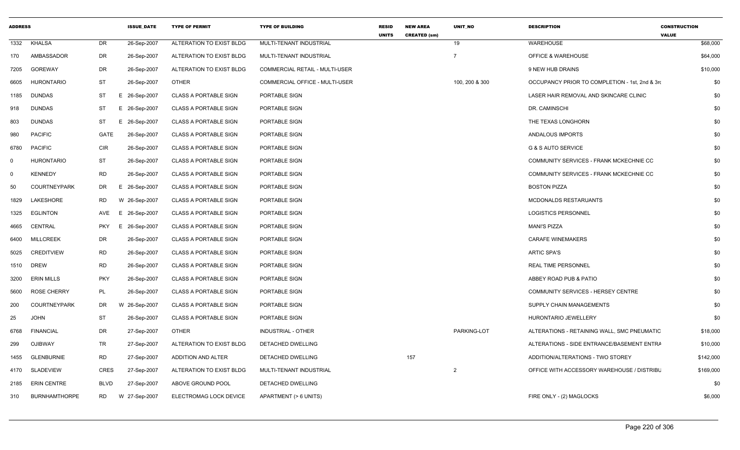| <b>ADDRESS</b> |                      |             | <b>ISSUE DATE</b> | <b>TYPE OF PERMIT</b>        | <b>TYPE OF BUILDING</b>        | <b>RESID</b><br><b>UNITS</b> | <b>NEW AREA</b><br><b>CREATED (sm)</b> | <b>UNIT NO</b> | <b>DESCRIPTION</b>                             | <b>CONSTRUCTION</b><br><b>VALUE</b> |
|----------------|----------------------|-------------|-------------------|------------------------------|--------------------------------|------------------------------|----------------------------------------|----------------|------------------------------------------------|-------------------------------------|
| 1332           | <b>KHALSA</b>        | <b>DR</b>   | 26-Sep-2007       | ALTERATION TO EXIST BLDG     | MULTI-TENANT INDUSTRIAL        |                              |                                        | 19             | <b>WAREHOUSE</b>                               | \$68,000                            |
| 170            | AMBASSADOR           | DR          | 26-Sep-2007       | ALTERATION TO EXIST BLDG     | MULTI-TENANT INDUSTRIAL        |                              |                                        | $\overline{7}$ | <b>OFFICE &amp; WAREHOUSE</b>                  | \$64,000                            |
| 7205           | <b>GOREWAY</b>       | DR          | 26-Sep-2007       | ALTERATION TO EXIST BLDG     | COMMERCIAL RETAIL - MULTI-USER |                              |                                        |                | 9 NEW HUB DRAINS                               | \$10,000                            |
| 6605           | <b>HURONTARIO</b>    | <b>ST</b>   | 26-Sep-2007       | <b>OTHER</b>                 | COMMERCIAL OFFICE - MULTI-USER |                              |                                        | 100, 200 & 300 | OCCUPANCY PRIOR TO COMPLETION - 1st, 2nd & 3rd | \$0                                 |
| 1185           | <b>DUNDAS</b>        | ST          | E 26-Sep-2007     | <b>CLASS A PORTABLE SIGN</b> | PORTABLE SIGN                  |                              |                                        |                | LASER HAIR REMOVAL AND SKINCARE CLINIC         | \$0                                 |
| 918            | <b>DUNDAS</b>        | <b>ST</b>   | E 26-Sep-2007     | <b>CLASS A PORTABLE SIGN</b> | PORTABLE SIGN                  |                              |                                        |                | DR. CAMINSCHI                                  | \$0                                 |
| 803            | <b>DUNDAS</b>        | ST          | E 26-Sep-2007     | <b>CLASS A PORTABLE SIGN</b> | PORTABLE SIGN                  |                              |                                        |                | THE TEXAS LONGHORN                             | \$0                                 |
| 980            | <b>PACIFIC</b>       | GATE        | 26-Sep-2007       | <b>CLASS A PORTABLE SIGN</b> | PORTABLE SIGN                  |                              |                                        |                | ANDALOUS IMPORTS                               | \$0                                 |
| 6780           | <b>PACIFIC</b>       | <b>CIR</b>  | 26-Sep-2007       | <b>CLASS A PORTABLE SIGN</b> | PORTABLE SIGN                  |                              |                                        |                | <b>G &amp; S AUTO SERVICE</b>                  | \$0                                 |
| 0              | <b>HURONTARIO</b>    | ST          | 26-Sep-2007       | <b>CLASS A PORTABLE SIGN</b> | PORTABLE SIGN                  |                              |                                        |                | COMMUNITY SERVICES - FRANK MCKECHNIE CC        | \$0                                 |
| $\Omega$       | <b>KENNEDY</b>       | <b>RD</b>   | 26-Sep-2007       | <b>CLASS A PORTABLE SIGN</b> | PORTABLE SIGN                  |                              |                                        |                | COMMUNITY SERVICES - FRANK MCKECHNIE CC        | \$0                                 |
| 50             | <b>COURTNEYPARK</b>  | DR          | E 26-Sep-2007     | <b>CLASS A PORTABLE SIGN</b> | PORTABLE SIGN                  |                              |                                        |                | <b>BOSTON PIZZA</b>                            | \$0                                 |
| 1829           | LAKESHORE            | <b>RD</b>   | W 26-Sep-2007     | <b>CLASS A PORTABLE SIGN</b> | PORTABLE SIGN                  |                              |                                        |                | <b>MCDONALDS RESTARUANTS</b>                   | \$0                                 |
| 1325           | <b>EGLINTON</b>      | AVE         | E 26-Sep-2007     | CLASS A PORTABLE SIGN        | PORTABLE SIGN                  |                              |                                        |                | <b>LOGISTICS PERSONNEL</b>                     | \$0                                 |
| 4665           | CENTRAL              | <b>PKY</b>  | E 26-Sep-2007     | <b>CLASS A PORTABLE SIGN</b> | PORTABLE SIGN                  |                              |                                        |                | <b>MANI'S PIZZA</b>                            | \$0                                 |
| 6400           | <b>MILLCREEK</b>     | DR          | 26-Sep-2007       | <b>CLASS A PORTABLE SIGN</b> | PORTABLE SIGN                  |                              |                                        |                | <b>CARAFE WINEMAKERS</b>                       | \$0                                 |
| 5025           | <b>CREDITVIEW</b>    | <b>RD</b>   | 26-Sep-2007       | CLASS A PORTABLE SIGN        | PORTABLE SIGN                  |                              |                                        |                | <b>ARTIC SPA'S</b>                             | \$0                                 |
| 1510           | <b>DREW</b>          | <b>RD</b>   | 26-Sep-2007       | CLASS A PORTABLE SIGN        | PORTABLE SIGN                  |                              |                                        |                | <b>REAL TIME PERSONNEL</b>                     | \$0                                 |
| 3200           | <b>ERIN MILLS</b>    | <b>PKY</b>  | 26-Sep-2007       | <b>CLASS A PORTABLE SIGN</b> | PORTABLE SIGN                  |                              |                                        |                | ABBEY ROAD PUB & PATIO                         | \$0                                 |
| 5600           | <b>ROSE CHERRY</b>   | PL          | 26-Sep-2007       | <b>CLASS A PORTABLE SIGN</b> | PORTABLE SIGN                  |                              |                                        |                | COMMUNITY SERVICES - HERSEY CENTRE             | \$0                                 |
| 200            | <b>COURTNEYPARK</b>  | DR          | W 26-Sep-2007     | <b>CLASS A PORTABLE SIGN</b> | PORTABLE SIGN                  |                              |                                        |                | SUPPLY CHAIN MANAGEMENTS                       | \$0                                 |
| 25             | <b>JOHN</b>          | ST          | 26-Sep-2007       | <b>CLASS A PORTABLE SIGN</b> | PORTABLE SIGN                  |                              |                                        |                | HURONTARIO JEWELLERY                           | \$0                                 |
| 6768           | <b>FINANCIAL</b>     | <b>DR</b>   | 27-Sep-2007       | <b>OTHER</b>                 | INDUSTRIAL - OTHER             |                              |                                        | PARKING-LOT    | ALTERATIONS - RETAINING WALL, SMC PNEUMATIC    | \$18,000                            |
| 299            | <b>OJIBWAY</b>       | TR          | 27-Sep-2007       | ALTERATION TO EXIST BLDG     | DETACHED DWELLING              |                              |                                        |                | ALTERATIONS - SIDE ENTRANCE/BASEMENT ENTRA     | \$10,000                            |
| 1455           | <b>GLENBURNIE</b>    | <b>RD</b>   | 27-Sep-2007       | ADDITION AND ALTER           | DETACHED DWELLING              |                              | 157                                    |                | ADDITION/ALTERATIONS - TWO STOREY              | \$142,000                           |
| 4170           | <b>SLADEVIEW</b>     | CRES        | 27-Sep-2007       | ALTERATION TO EXIST BLDG     | MULTI-TENANT INDUSTRIAL        |                              |                                        | 2              | OFFICE WITH ACCESSORY WAREHOUSE / DISTRIBL     | \$169,000                           |
| 2185           | <b>ERIN CENTRE</b>   | <b>BLVD</b> | 27-Sep-2007       | ABOVE GROUND POOL            | DETACHED DWELLING              |                              |                                        |                |                                                | \$0                                 |
| 310            | <b>BURNHAMTHORPE</b> | RD          | W 27-Sep-2007     | ELECTROMAG LOCK DEVICE       | APARTMENT (> 6 UNITS)          |                              |                                        |                | FIRE ONLY - (2) MAGLOCKS                       | \$6,000                             |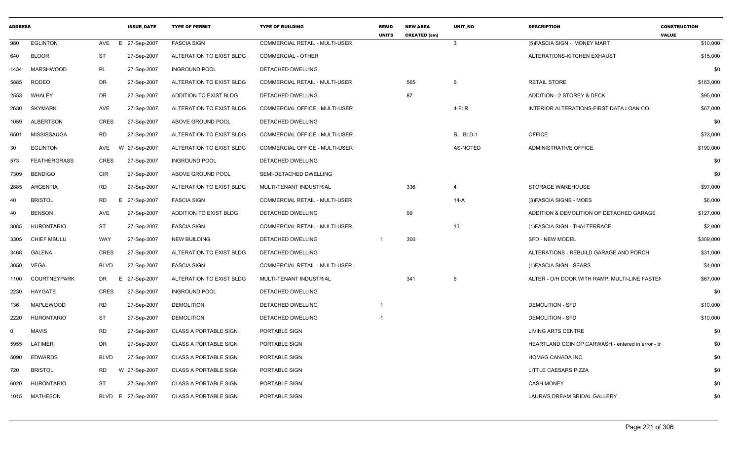| <b>ADDRESS</b> |                     |                 | <b>ISSUE DATE</b>  | <b>TYPE OF PERMIT</b>        | <b>TYPE OF BUILDING</b>               | <b>RESID</b><br><b>UNITS</b> | <b>NEW AREA</b><br><b>CREATED (sm)</b> | <b>UNIT NO</b>  | <b>DESCRIPTION</b>                                | <b>CONSTRUCTION</b><br><b>VALUE</b> |
|----------------|---------------------|-----------------|--------------------|------------------------------|---------------------------------------|------------------------------|----------------------------------------|-----------------|---------------------------------------------------|-------------------------------------|
| 980            | <b>EGLINTON</b>     | AVE<br>E.       | 27-Sep-2007        | <b>FASCIA SIGN</b>           | <b>COMMERCIAL RETAIL - MULTI-USER</b> |                              |                                        | $\mathbf{3}$    | (5) FASCIA SIGN - MONEY MART                      | \$10,000                            |
| 640            | <b>BLOOR</b>        | <b>ST</b>       | 27-Sep-2007        | ALTERATION TO EXIST BLDG     | <b>COMMERCIAL - OTHER</b>             |                              |                                        |                 | ALTERATIONS-KITCHEN EXHAUST                       | \$15,000                            |
| 1434           | <b>MARSHWOOD</b>    | PL              | 27-Sep-2007        | <b>INGROUND POOL</b>         | DETACHED DWELLING                     |                              |                                        |                 |                                                   | \$0                                 |
| 5885           | <b>RODEO</b>        | <b>DR</b>       | 27-Sep-2007        | ALTERATION TO EXIST BLDG     | COMMERCIAL RETAIL - MULTI-USER        |                              | 565                                    | 6               | RETAIL STORE                                      | \$163,000                           |
| 2553           | WHALEY              | DR              | 27-Sep-2007        | ADDITION TO EXIST BLDG       | DETACHED DWELLING                     |                              | 87                                     |                 | ADDITION - 2 STOREY & DECK                        | \$95,000                            |
| 2630           | <b>SKYMARK</b>      | AVE             | 27-Sep-2007        | ALTERATION TO EXIST BLDG     | COMMERCIAL OFFICE - MULTI-USER        |                              |                                        | 4-FLR           | INTERIOR ALTERATIONS-FIRST DATA LOAN CO           | \$67,000                            |
| 1059           | ALBERTSON           | <b>CRES</b>     | 27-Sep-2007        | ABOVE GROUND POOL            | <b>DETACHED DWELLING</b>              |                              |                                        |                 |                                                   | \$0                                 |
| 6501           | MISSISSAUGA         | RD              | 27-Sep-2007        | ALTERATION TO EXIST BLDG     | <b>COMMERCIAL OFFICE - MULTI-USER</b> |                              |                                        | B, BLD-1        | <b>OFFICE</b>                                     | \$73,000                            |
| 30             | <b>EGLINTON</b>     | AVE             | W 27-Sep-2007      | ALTERATION TO EXIST BLDG     | COMMERCIAL OFFICE - MULTI-USER        |                              |                                        | <b>AS-NOTED</b> | ADMINISTRATIVE OFFICE                             | \$190,000                           |
| 573            | <b>FEATHERGRASS</b> | <b>CRES</b>     | 27-Sep-2007        | <b>INGROUND POOL</b>         | DETACHED DWELLING                     |                              |                                        |                 |                                                   | \$0                                 |
| 7309           | <b>BENDIGO</b>      | <b>CIR</b>      | 27-Sep-2007        | ABOVE GROUND POOL            | SEMI-DETACHED DWELLING                |                              |                                        |                 |                                                   | \$0                                 |
| 2885           | ARGENTIA            | <b>RD</b>       | 27-Sep-2007        | ALTERATION TO EXIST BLDG     | MULTI-TENANT INDUSTRIAL               |                              | 336                                    | $\overline{4}$  | <b>STORAGE WAREHOUSE</b>                          | \$97,000                            |
| 40             | <b>BRISTOL</b>      | <b>RD</b><br>E. | 27-Sep-2007        | <b>FASCIA SIGN</b>           | COMMERCIAL RETAIL - MULTI-USER        |                              |                                        | 14-A            | (3) FASCIA SIGNS - MOES                           | \$6,000                             |
| 40             | <b>BENSON</b>       | AVE             | 27-Sep-2007        | ADDITION TO EXIST BLDG       | DETACHED DWELLING                     |                              | 99                                     |                 | ADDITION & DEMOLITION OF DETACHED GARAGE          | \$127,000                           |
| 3085           | HURONTARIO          | <b>ST</b>       | 27-Sep-2007        | <b>FASCIA SIGN</b>           | COMMERCIAL RETAIL - MULTI-USER        |                              |                                        | 13              | (1) FASCIA SIGN - THAI TERRACE                    | \$2,000                             |
| 3305           | <b>CHIEF MBULU</b>  | <b>WAY</b>      | 27-Sep-2007        | <b>NEW BUILDING</b>          | DETACHED DWELLING                     |                              | 300                                    |                 | SFD - NEW MODEL                                   | \$309,000                           |
| 3468           | <b>GALENA</b>       | <b>CRES</b>     | 27-Sep-2007        | ALTERATION TO EXIST BLDG     | DETACHED DWELLING                     |                              |                                        |                 | ALTERATIONS - REBUILD GARAGE AND PORCH            | \$31,000                            |
| 3050           | VEGA                | <b>BLVD</b>     | 27-Sep-2007        | <b>FASCIA SIGN</b>           | COMMERCIAL RETAIL - MULTI-USER        |                              |                                        |                 | (1) FASCIA SIGN - SEARS                           | \$4,000                             |
| 1100           | <b>COURTNEYPARK</b> | DR<br>Е.        | 27-Sep-2007        | ALTERATION TO EXIST BLDG     | MULTI-TENANT INDUSTRIAL               |                              | 341                                    | 5               | ALTER - O/H DOOR WITH RAMP, MULTI-LINE FASTEN     | \$67,000                            |
| 2230           | HAYGATE             | <b>CRES</b>     | 27-Sep-2007        | <b>INGROUND POOL</b>         | DETACHED DWELLING                     |                              |                                        |                 |                                                   | \$0                                 |
| 136            | MAPLEWOOD           | <b>RD</b>       | 27-Sep-2007        | <b>DEMOLITION</b>            | DETACHED DWELLING                     |                              |                                        |                 | <b>DEMOLITION - SFD</b>                           | \$10,000                            |
| 2220           | <b>HURONTARIO</b>   | ST              | 27-Sep-2007        | <b>DEMOLITION</b>            | DETACHED DWELLING                     |                              |                                        |                 | <b>DEMOLITION - SFD</b>                           | \$10,000                            |
| $\Omega$       | <b>MAVIS</b>        | <b>RD</b>       | 27-Sep-2007        | <b>CLASS A PORTABLE SIGN</b> | PORTABLE SIGN                         |                              |                                        |                 | LIVING ARTS CENTRE                                | \$0                                 |
| 5955           | LATIMER             | DR              | 27-Sep-2007        | <b>CLASS A PORTABLE SIGN</b> | PORTABLE SIGN                         |                              |                                        |                 | HEARTLAND COIN OP CARWASH - entered in error - tr | \$0                                 |
| 5090           | <b>EDWARDS</b>      | <b>BLVD</b>     | 27-Sep-2007        | <b>CLASS A PORTABLE SIGN</b> | PORTABLE SIGN                         |                              |                                        |                 | HOMAG CANADA INC                                  | \$0                                 |
| 720            | <b>BRISTOL</b>      | <b>RD</b>       | W 27-Sep-2007      | <b>CLASS A PORTABLE SIGN</b> | PORTABLE SIGN                         |                              |                                        |                 | LITTLE CAESARS PIZZA                              | \$0                                 |
| 6020           | HURONTARIO          | ST              | 27-Sep-2007        | <b>CLASS A PORTABLE SIGN</b> | PORTABLE SIGN                         |                              |                                        |                 | <b>CASH MONEY</b>                                 | \$0                                 |
|                | 1015 MATHESON       |                 | BLVD E 27-Sep-2007 | <b>CLASS A PORTABLE SIGN</b> | PORTABLE SIGN                         |                              |                                        |                 | LAURA'S DREAM BRIDAL GALLERY                      | \$0                                 |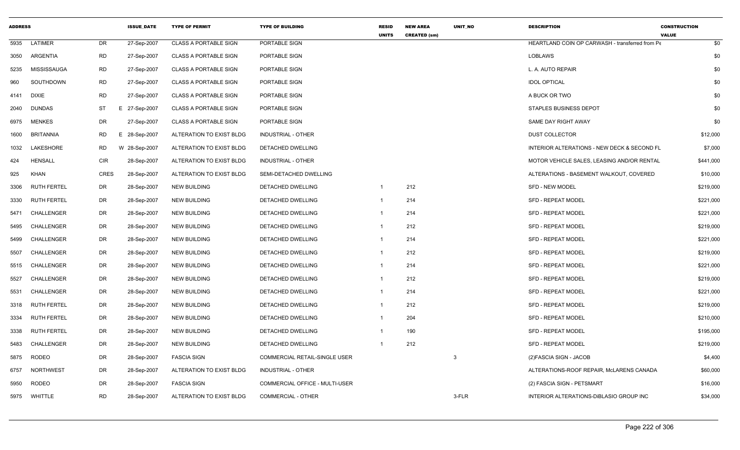| <b>ADDRESS</b> |                    |            | <b>ISSUE_DATE</b> | <b>TYPE OF PERMIT</b>        | <b>TYPE OF BUILDING</b>        | <b>RESID</b><br><b>UNITS</b> | <b>NEW AREA</b><br><b>CREATED (sm)</b> | UNIT_NO | <b>DESCRIPTION</b>                              | <b>CONSTRUCTION</b><br><b>VALUE</b> |
|----------------|--------------------|------------|-------------------|------------------------------|--------------------------------|------------------------------|----------------------------------------|---------|-------------------------------------------------|-------------------------------------|
| 5935           | LATIMER            | DR         | 27-Sep-2007       | <b>CLASS A PORTABLE SIGN</b> | PORTABLE SIGN                  |                              |                                        |         | HEARTLAND COIN OP CARWASH - transferred from Pe | \$0                                 |
| 3050           | ARGENTIA           | <b>RD</b>  | 27-Sep-2007       | <b>CLASS A PORTABLE SIGN</b> | PORTABLE SIGN                  |                              |                                        |         | <b>LOBLAWS</b>                                  | \$0                                 |
| 5235           | <b>MISSISSAUGA</b> | <b>RD</b>  | 27-Sep-2007       | <b>CLASS A PORTABLE SIGN</b> | PORTABLE SIGN                  |                              |                                        |         | L. A. AUTO REPAIR                               | \$0                                 |
| 960            | SOUTHDOWN          | RD         | 27-Sep-2007       | <b>CLASS A PORTABLE SIGN</b> | PORTABLE SIGN                  |                              |                                        |         | <b>IDOL OPTICAL</b>                             | \$0                                 |
| 4141           | <b>DIXIE</b>       | RD         | 27-Sep-2007       | <b>CLASS A PORTABLE SIGN</b> | PORTABLE SIGN                  |                              |                                        |         | A BUCK OR TWO                                   | \$0                                 |
| 2040           | <b>DUNDAS</b>      | ST         | E 27-Sep-2007     | <b>CLASS A PORTABLE SIGN</b> | PORTABLE SIGN                  |                              |                                        |         | <b>STAPLES BUSINESS DEPOT</b>                   | \$0                                 |
| 6975           | MENKES             | DR         | 27-Sep-2007       | <b>CLASS A PORTABLE SIGN</b> | PORTABLE SIGN                  |                              |                                        |         | SAME DAY RIGHT AWAY                             | \$0                                 |
| 1600           | <b>BRITANNIA</b>   | <b>RD</b>  | E 28-Sep-2007     | ALTERATION TO EXIST BLDG     | INDUSTRIAL - OTHER             |                              |                                        |         | <b>DUST COLLECTOR</b>                           | \$12,000                            |
| 1032           | LAKESHORE          | RD         | W 28-Sep-2007     | ALTERATION TO EXIST BLDG     | DETACHED DWELLING              |                              |                                        |         | INTERIOR ALTERATIONS - NEW DECK & SECOND FL     | \$7,000                             |
| 424            | <b>HENSALL</b>     | <b>CIR</b> | 28-Sep-2007       | ALTERATION TO EXIST BLDG     | INDUSTRIAL - OTHER             |                              |                                        |         | MOTOR VEHICLE SALES, LEASING AND/OR RENTAL      | \$441,000                           |
| 925            | <b>KHAN</b>        | CRES       | 28-Sep-2007       | ALTERATION TO EXIST BLDG     | SEMI-DETACHED DWELLING         |                              |                                        |         | ALTERATIONS - BASEMENT WALKOUT, COVERED         | \$10,000                            |
| 3306           | <b>RUTH FERTEL</b> | DR         | 28-Sep-2007       | <b>NEW BUILDING</b>          | DETACHED DWELLING              | - 1                          | 212                                    |         | <b>SFD - NEW MODEL</b>                          | \$219,000                           |
| 3330           | <b>RUTH FERTEL</b> | DR         | 28-Sep-2007       | <b>NEW BUILDING</b>          | DETACHED DWELLING              | $\overline{1}$               | 214                                    |         | <b>SFD - REPEAT MODEL</b>                       | \$221,000                           |
| 5471           | CHALLENGER         | <b>DR</b>  | 28-Sep-2007       | <b>NEW BUILDING</b>          | DETACHED DWELLING              | $\overline{1}$               | 214                                    |         | <b>SFD - REPEAT MODEL</b>                       | \$221,000                           |
| 5495           | CHALLENGER         | DR         | 28-Sep-2007       | <b>NEW BUILDING</b>          | DETACHED DWELLING              | $\overline{1}$               | 212                                    |         | <b>SFD - REPEAT MODEL</b>                       | \$219,000                           |
| 5499           | CHALLENGER         | DR         | 28-Sep-2007       | <b>NEW BUILDING</b>          | DETACHED DWELLING              | $\overline{1}$               | 214                                    |         | <b>SFD - REPEAT MODEL</b>                       | \$221,000                           |
| 5507           | CHALLENGER         | DR         | 28-Sep-2007       | NEW BUILDING                 | DETACHED DWELLING              | $\overline{1}$               | 212                                    |         | <b>SFD - REPEAT MODEL</b>                       | \$219,000                           |
| 5515           | CHALLENGER         | <b>DR</b>  | 28-Sep-2007       | <b>NEW BUILDING</b>          | DETACHED DWELLING              | $\overline{1}$               | 214                                    |         | <b>SFD - REPEAT MODEL</b>                       | \$221,000                           |
| 5527           | CHALLENGER         | DR         | 28-Sep-2007       | <b>NEW BUILDING</b>          | DETACHED DWELLING              | $\overline{1}$               | 212                                    |         | <b>SFD - REPEAT MODEL</b>                       | \$219,000                           |
| 5531           | CHALLENGER         | DR         | 28-Sep-2007       | <b>NEW BUILDING</b>          | DETACHED DWELLING              | $\overline{1}$               | 214                                    |         | SFD - REPEAT MODEL                              | \$221,000                           |
| 3318           | <b>RUTH FERTEL</b> | DR         | 28-Sep-2007       | <b>NEW BUILDING</b>          | DETACHED DWELLING              | $\overline{1}$               | 212                                    |         | SFD - REPEAT MODEL                              | \$219,000                           |
| 3334           | <b>RUTH FERTEL</b> | <b>DR</b>  | 28-Sep-2007       | <b>NEW BUILDING</b>          | DETACHED DWELLING              | $\overline{1}$               | 204                                    |         | <b>SFD - REPEAT MODEL</b>                       | \$210,000                           |
| 3338           | <b>RUTH FERTEL</b> | DR         | 28-Sep-2007       | <b>NEW BUILDING</b>          | DETACHED DWELLING              | -1                           | 190                                    |         | <b>SFD - REPEAT MODEL</b>                       | \$195,000                           |
| 5483           | CHALLENGER         | DR         | 28-Sep-2007       | <b>NEW BUILDING</b>          | DETACHED DWELLING              | $\overline{1}$               | 212                                    |         | <b>SFD - REPEAT MODEL</b>                       | \$219,000                           |
| 5875           | <b>RODEO</b>       | DR         | 28-Sep-2007       | <b>FASCIA SIGN</b>           | COMMERCIAL RETAIL-SINGLE USER  |                              |                                        | -3      | (2) FASCIA SIGN - JACOB                         | \$4,400                             |
| 6757           | <b>NORTHWEST</b>   | DR         | 28-Sep-2007       | ALTERATION TO EXIST BLDG     | INDUSTRIAL - OTHER             |                              |                                        |         | ALTERATIONS-ROOF REPAIR, McLARENS CANADA        | \$60,000                            |
| 5950           | <b>RODEO</b>       | <b>DR</b>  | 28-Sep-2007       | <b>FASCIA SIGN</b>           | COMMERCIAL OFFICE - MULTI-USER |                              |                                        |         | (2) FASCIA SIGN - PETSMART                      | \$16,000                            |
|                | 5975 WHITTLE       | <b>RD</b>  | 28-Sep-2007       | ALTERATION TO EXIST BLDG     | <b>COMMERCIAL - OTHER</b>      |                              |                                        | 3-FLR   | INTERIOR ALTERATIONS-DIBLASIO GROUP INC         | \$34,000                            |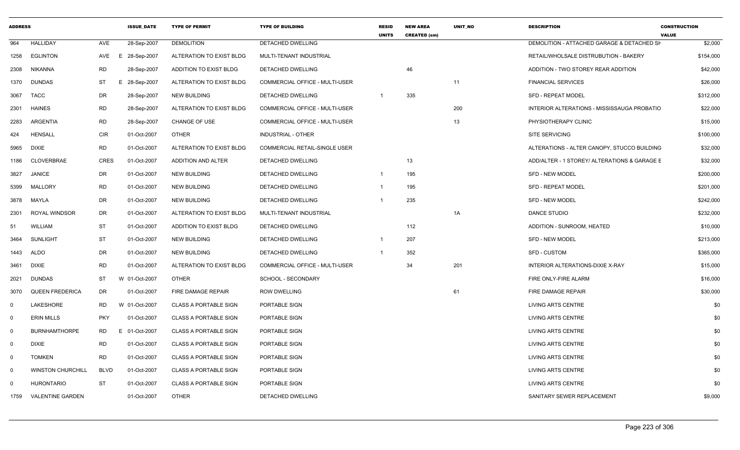| <b>ADDRESS</b> |                          |             | <b>ISSUE DATE</b> | <b>TYPE OF PERMIT</b>        | <b>TYPE OF BUILDING</b>               | <b>RESID</b><br><b>UNITS</b> | <b>NEW AREA</b><br><b>CREATED (sm)</b> | UNIT NO | <b>DESCRIPTION</b>                           | <b>CONSTRUCTION</b><br><b>VALUE</b> |
|----------------|--------------------------|-------------|-------------------|------------------------------|---------------------------------------|------------------------------|----------------------------------------|---------|----------------------------------------------|-------------------------------------|
| 964            | <b>HALLIDAY</b>          | AVE         | 28-Sep-2007       | <b>DEMOLITION</b>            | <b>DETACHED DWELLING</b>              |                              |                                        |         | DEMOLITION - ATTACHED GARAGE & DETACHED SH   | \$2,000                             |
| 1258           | <b>EGLINTON</b>          | AVE         | E 28-Sep-2007     | ALTERATION TO EXIST BLDG     | MULTI-TENANT INDUSTRIAL               |                              |                                        |         | RETAIL/WHOLSALE DISTRUBUTION - BAKERY        | \$154,000                           |
| 2308           | <b>NIKANNA</b>           | RD          | 28-Sep-2007       | ADDITION TO EXIST BLDG       | DETACHED DWELLING                     |                              | 46                                     |         | ADDITION - TWO STOREY REAR ADDITION          | \$42,000                            |
| 1370           | <b>DUNDAS</b>            | <b>ST</b>   | E 28-Sep-2007     | ALTERATION TO EXIST BLDG     | COMMERCIAL OFFICE - MULTI-USER        |                              |                                        | 11      | <b>FINANCIAL SERVICES</b>                    | \$26,000                            |
| 3067           | TACC                     | <b>DR</b>   | 28-Sep-2007       | <b>NEW BUILDING</b>          | DETACHED DWELLING                     | $\mathbf{1}$                 | 335                                    |         | SFD - REPEAT MODEL                           | \$312,000                           |
| 2301           | <b>HAINES</b>            | <b>RD</b>   | 28-Sep-2007       | ALTERATION TO EXIST BLDG     | <b>COMMERCIAL OFFICE - MULTI-USER</b> |                              |                                        | 200     | INTERIOR ALTERATIONS - MISSISSAUGA PROBATIO  | \$22,000                            |
| 2283           | ARGENTIA                 | RD          | 28-Sep-2007       | CHANGE OF USE                | <b>COMMERCIAL OFFICE - MULTI-USER</b> |                              |                                        | 13      | PHYSIOTHERAPY CLINIC                         | \$15,000                            |
| 424            | <b>HENSALL</b>           | <b>CIR</b>  | 01-Oct-2007       | <b>OTHER</b>                 | <b>INDUSTRIAL - OTHER</b>             |                              |                                        |         | <b>SITE SERVICING</b>                        | \$100,000                           |
| 5965           | <b>DIXIE</b>             | <b>RD</b>   | 01-Oct-2007       | ALTERATION TO EXIST BLDG     | COMMERCIAL RETAIL-SINGLE USER         |                              |                                        |         | ALTERATIONS - ALTER CANOPY, STUCCO BUILDING  | \$32,000                            |
| 1186           | <b>CLOVERBRAE</b>        | <b>CRES</b> | 01-Oct-2007       | ADDITION AND ALTER           | DETACHED DWELLING                     |                              | 13                                     |         | ADD/ALTER - 1 STOREY/ ALTERATIONS & GARAGE E | \$32,000                            |
| 3827           | <b>JANICE</b>            | DR          | 01-Oct-2007       | <b>NEW BUILDING</b>          | DETACHED DWELLING                     | -1                           | 195                                    |         | <b>SFD - NEW MODEL</b>                       | \$200,000                           |
| 5399           | MALLORY                  | <b>RD</b>   | 01-Oct-2007       | <b>NEW BUILDING</b>          | DETACHED DWELLING                     | 1                            | 195                                    |         | <b>SFD - REPEAT MODEL</b>                    | \$201,000                           |
| 3878           | MAYLA                    | DR          | 01-Oct-2007       | <b>NEW BUILDING</b>          | DETACHED DWELLING                     | -1                           | 235                                    |         | SFD - NEW MODEL                              | \$242,000                           |
| 2301           | <b>ROYAL WINDSOR</b>     | DR          | 01-Oct-2007       | ALTERATION TO EXIST BLDG     | MULTI-TENANT INDUSTRIAL               |                              |                                        | 1A      | DANCE STUDIO                                 | \$232,000                           |
| 51             | <b>WILLIAM</b>           | <b>ST</b>   | 01-Oct-2007       | ADDITION TO EXIST BLDG       | <b>DETACHED DWELLING</b>              |                              | 112                                    |         | ADDITION - SUNROOM. HEATED                   | \$10,000                            |
| 3464           | <b>SUNLIGHT</b>          | <b>ST</b>   | 01-Oct-2007       | <b>NEW BUILDING</b>          | DETACHED DWELLING                     | $\overline{1}$               | 207                                    |         | <b>SFD - NEW MODEL</b>                       | \$213,000                           |
| 1443           | ALDO                     | <b>DR</b>   | 01-Oct-2007       | <b>NEW BUILDING</b>          | DETACHED DWELLING                     | $\overline{1}$               | 352                                    |         | SFD - CUSTOM                                 | \$365,000                           |
| 3461           | <b>DIXIE</b>             | <b>RD</b>   | 01-Oct-2007       | ALTERATION TO EXIST BLDG     | <b>COMMERCIAL OFFICE - MULTI-USER</b> |                              | 34                                     | 201     | INTERIOR ALTERATIONS-DIXIE X-RAY             | \$15,000                            |
| 2021           | <b>DUNDAS</b>            | ST          | W 01-Oct-2007     | <b>OTHER</b>                 | SCHOOL - SECONDARY                    |                              |                                        |         | FIRE ONLY-FIRE ALARM                         | \$16,000                            |
| 3070           | <b>QUEEN FREDERICA</b>   | DR          | 01-Oct-2007       | FIRE DAMAGE REPAIR           | <b>ROW DWELLING</b>                   |                              |                                        | 61      | FIRE DAMAGE REPAIR                           | \$30,000                            |
| $\Omega$       | LAKESHORE                | <b>RD</b>   | W 01-Oct-2007     | <b>CLASS A PORTABLE SIGN</b> | PORTABLE SIGN                         |                              |                                        |         | LIVING ARTS CENTRE                           | \$0                                 |
| $\mathbf 0$    | <b>ERIN MILLS</b>        | <b>PKY</b>  | 01-Oct-2007       | <b>CLASS A PORTABLE SIGN</b> | PORTABLE SIGN                         |                              |                                        |         | LIVING ARTS CENTRE                           | \$0                                 |
| $\mathbf 0$    | <b>BURNHAMTHORPE</b>     | <b>RD</b>   | E 01-Oct-2007     | <b>CLASS A PORTABLE SIGN</b> | PORTABLE SIGN                         |                              |                                        |         | <b>LIVING ARTS CENTRE</b>                    | \$0                                 |
| $\mathbf 0$    | <b>DIXIE</b>             | <b>RD</b>   | 01-Oct-2007       | <b>CLASS A PORTABLE SIGN</b> | PORTABLE SIGN                         |                              |                                        |         | LIVING ARTS CENTRE                           | \$0                                 |
| $\Omega$       | <b>TOMKEN</b>            | <b>RD</b>   | 01-Oct-2007       | <b>CLASS A PORTABLE SIGN</b> | PORTABLE SIGN                         |                              |                                        |         | LIVING ARTS CENTRE                           | \$0                                 |
| $\Omega$       | <b>WINSTON CHURCHILL</b> | <b>BLVD</b> | 01-Oct-2007       | <b>CLASS A PORTABLE SIGN</b> | PORTABLE SIGN                         |                              |                                        |         | <b>LIVING ARTS CENTRE</b>                    | \$0                                 |
| $\Omega$       | <b>HURONTARIO</b>        | ST          | 01-Oct-2007       | <b>CLASS A PORTABLE SIGN</b> | PORTABLE SIGN                         |                              |                                        |         | <b>LIVING ARTS CENTRE</b>                    | \$0                                 |
| 1759           | <b>VALENTINE GARDEN</b>  |             | 01-Oct-2007       | <b>OTHER</b>                 | DETACHED DWELLING                     |                              |                                        |         | SANITARY SEWER REPLACEMENT                   | \$9,000                             |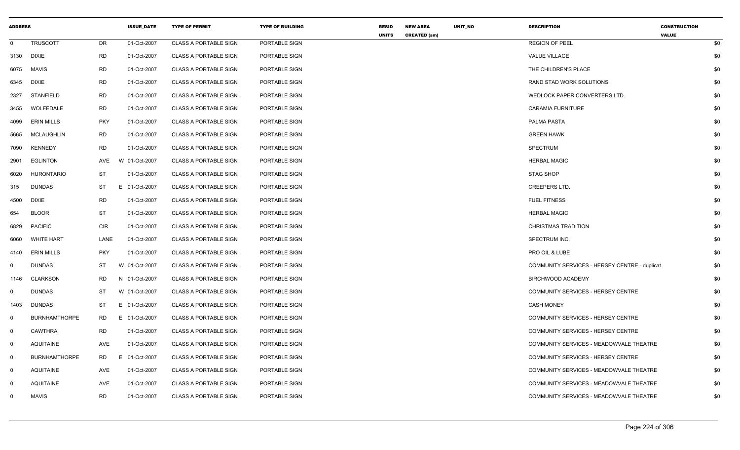|              | <b>ADDRESS</b>       |            | <b>ISSUE_DATE</b> | <b>TYPE OF PERMIT</b>        | <b>TYPE OF BUILDING</b> | <b>RESID</b><br><b>UNITS</b> | <b>NEW AREA</b><br><b>CREATED (sm)</b> | UNIT_NO | <b>DESCRIPTION</b>                            | <b>CONSTRUCTION</b><br><b>VALUE</b> |     |
|--------------|----------------------|------------|-------------------|------------------------------|-------------------------|------------------------------|----------------------------------------|---------|-----------------------------------------------|-------------------------------------|-----|
| $\mathbf 0$  | <b>TRUSCOTT</b>      | DR         | 01-Oct-2007       | <b>CLASS A PORTABLE SIGN</b> | PORTABLE SIGN           |                              |                                        |         | <b>REGION OF PEEL</b>                         |                                     | \$0 |
| 3130         | DIXIE                | <b>RD</b>  | 01-Oct-2007       | <b>CLASS A PORTABLE SIGN</b> | PORTABLE SIGN           |                              |                                        |         | <b>VALUE VILLAGE</b>                          |                                     | \$0 |
| 6075         | <b>MAVIS</b>         | <b>RD</b>  | 01-Oct-2007       | <b>CLASS A PORTABLE SIGN</b> | PORTABLE SIGN           |                              |                                        |         | THE CHILDREN'S PLACE                          |                                     | \$0 |
| 6345         | <b>DIXIE</b>         | <b>RD</b>  | 01-Oct-2007       | <b>CLASS A PORTABLE SIGN</b> | PORTABLE SIGN           |                              |                                        |         | RAND STAD WORK SOLUTIONS                      |                                     | \$0 |
| 2327         | <b>STANFIELD</b>     | <b>RD</b>  | 01-Oct-2007       | <b>CLASS A PORTABLE SIGN</b> | PORTABLE SIGN           |                              |                                        |         | WEDLOCK PAPER CONVERTERS LTD.                 |                                     | \$0 |
| 3455         | WOLFEDALE            | RD         | 01-Oct-2007       | <b>CLASS A PORTABLE SIGN</b> | PORTABLE SIGN           |                              |                                        |         | <b>CARAMIA FURNITURE</b>                      |                                     | \$0 |
| 4099         | <b>ERIN MILLS</b>    | <b>PKY</b> | 01-Oct-2007       | <b>CLASS A PORTABLE SIGN</b> | PORTABLE SIGN           |                              |                                        |         | PALMA PASTA                                   |                                     | \$0 |
| 5665         | <b>MCLAUGHLIN</b>    | <b>RD</b>  | 01-Oct-2007       | <b>CLASS A PORTABLE SIGN</b> | PORTABLE SIGN           |                              |                                        |         | <b>GREEN HAWK</b>                             |                                     | \$0 |
| 7090         | <b>KENNEDY</b>       | <b>RD</b>  | 01-Oct-2007       | <b>CLASS A PORTABLE SIGN</b> | PORTABLE SIGN           |                              |                                        |         | <b>SPECTRUM</b>                               |                                     | \$0 |
| 2901         | <b>EGLINTON</b>      | AVE        | W 01-Oct-2007     | <b>CLASS A PORTABLE SIGN</b> | PORTABLE SIGN           |                              |                                        |         | <b>HERBAL MAGIC</b>                           |                                     | \$0 |
| 6020         | <b>HURONTARIO</b>    | ST         | 01-Oct-2007       | <b>CLASS A PORTABLE SIGN</b> | PORTABLE SIGN           |                              |                                        |         | <b>STAG SHOP</b>                              |                                     | \$0 |
| 315          | <b>DUNDAS</b>        | ST         | E 01-Oct-2007     | <b>CLASS A PORTABLE SIGN</b> | PORTABLE SIGN           |                              |                                        |         | <b>CREEPERS LTD.</b>                          |                                     | \$0 |
| 4500         | <b>DIXIE</b>         | <b>RD</b>  | 01-Oct-2007       | <b>CLASS A PORTABLE SIGN</b> | PORTABLE SIGN           |                              |                                        |         | <b>FUEL FITNESS</b>                           |                                     | \$0 |
| 654          | <b>BLOOR</b>         | ST         | 01-Oct-2007       | <b>CLASS A PORTABLE SIGN</b> | PORTABLE SIGN           |                              |                                        |         | <b>HERBAL MAGIC</b>                           |                                     | \$0 |
| 6829         | <b>PACIFIC</b>       | CIR        | 01-Oct-2007       | <b>CLASS A PORTABLE SIGN</b> | PORTABLE SIGN           |                              |                                        |         | <b>CHRISTMAS TRADITION</b>                    |                                     | \$0 |
| 6060         | WHITE HART           | LANE       | 01-Oct-2007       | <b>CLASS A PORTABLE SIGN</b> | PORTABLE SIGN           |                              |                                        |         | SPECTRUM INC.                                 |                                     | \$0 |
| 4140         | <b>ERIN MILLS</b>    | <b>PKY</b> | 01-Oct-2007       | <b>CLASS A PORTABLE SIGN</b> | PORTABLE SIGN           |                              |                                        |         | PRO OIL & LUBE                                |                                     | \$0 |
| $\mathbf{0}$ | <b>DUNDAS</b>        | ST         | W 01-Oct-2007     | <b>CLASS A PORTABLE SIGN</b> | PORTABLE SIGN           |                              |                                        |         | COMMUNITY SERVICES - HERSEY CENTRE - duplicat |                                     | \$0 |
| 1146         | CLARKSON             | RD         | N 01-Oct-2007     | <b>CLASS A PORTABLE SIGN</b> | PORTABLE SIGN           |                              |                                        |         | BIRCHWOOD ACADEMY                             |                                     | \$0 |
| $\mathbf 0$  | <b>DUNDAS</b>        | ST         | W 01-Oct-2007     | <b>CLASS A PORTABLE SIGN</b> | PORTABLE SIGN           |                              |                                        |         | COMMUNITY SERVICES - HERSEY CENTRE            |                                     | \$0 |
| 1403         | <b>DUNDAS</b>        | ST         | E 01-Oct-2007     | <b>CLASS A PORTABLE SIGN</b> | PORTABLE SIGN           |                              |                                        |         | <b>CASH MONEY</b>                             |                                     | \$0 |
| $\mathbf 0$  | <b>BURNHAMTHORPE</b> | RD         | E 01-Oct-2007     | <b>CLASS A PORTABLE SIGN</b> | PORTABLE SIGN           |                              |                                        |         | COMMUNITY SERVICES - HERSEY CENTRE            |                                     | \$0 |
| $\mathbf 0$  | <b>CAWTHRA</b>       | <b>RD</b>  | 01-Oct-2007       | <b>CLASS A PORTABLE SIGN</b> | PORTABLE SIGN           |                              |                                        |         | COMMUNITY SERVICES - HERSEY CENTRE            |                                     | \$0 |
| $\mathbf 0$  | <b>AQUITAINE</b>     | AVE        | 01-Oct-2007       | <b>CLASS A PORTABLE SIGN</b> | PORTABLE SIGN           |                              |                                        |         | COMMUNITY SERVICES - MEADOWVALE THEATRE       |                                     | \$0 |
| $\mathbf 0$  | <b>BURNHAMTHORPE</b> | RD         | E 01-Oct-2007     | <b>CLASS A PORTABLE SIGN</b> | PORTABLE SIGN           |                              |                                        |         | COMMUNITY SERVICES - HERSEY CENTRE            |                                     | \$0 |
| $\mathbf 0$  | <b>AQUITAINE</b>     | AVE        | 01-Oct-2007       | <b>CLASS A PORTABLE SIGN</b> | PORTABLE SIGN           |                              |                                        |         | COMMUNITY SERVICES - MEADOWVALE THEATRE       |                                     | \$0 |
| $\mathbf 0$  | <b>AQUITAINE</b>     | <b>AVE</b> | 01-Oct-2007       | <b>CLASS A PORTABLE SIGN</b> | PORTABLE SIGN           |                              |                                        |         | COMMUNITY SERVICES - MEADOWVALE THEATRE       |                                     | \$0 |
| $\mathbf{0}$ | <b>MAVIS</b>         | <b>RD</b>  | 01-Oct-2007       | <b>CLASS A PORTABLE SIGN</b> | PORTABLE SIGN           |                              |                                        |         | COMMUNITY SERVICES - MEADOWVALE THEATRE       |                                     | \$0 |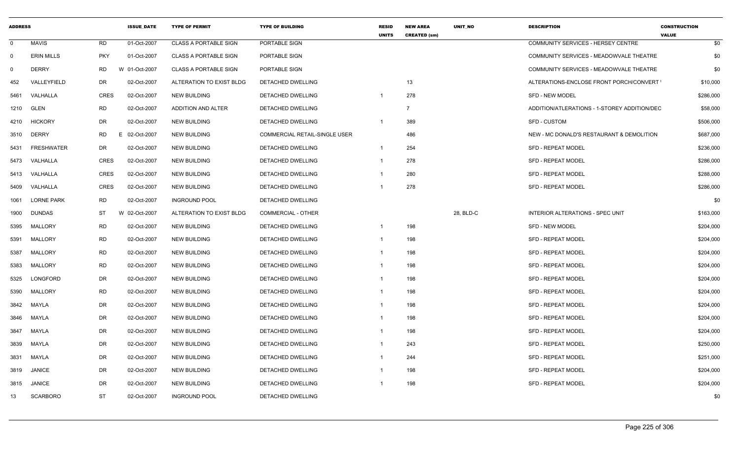| <b>ADDRESS</b> |                   |             | <b>ISSUE_DATE</b> | <b>TYPE OF PERMIT</b>        | <b>TYPE OF BUILDING</b>       | <b>RESID</b><br><b>UNITS</b> | <b>NEW AREA</b><br><b>CREATED (sm)</b> | <b>UNIT NO</b> | <b>DESCRIPTION</b>                           | <b>CONSTRUCTION</b><br><b>VALUE</b> |
|----------------|-------------------|-------------|-------------------|------------------------------|-------------------------------|------------------------------|----------------------------------------|----------------|----------------------------------------------|-------------------------------------|
| $\Omega$       | MAVIS             | <b>RD</b>   | 01-Oct-2007       | <b>CLASS A PORTABLE SIGN</b> | PORTABLE SIGN                 |                              |                                        |                | COMMUNITY SERVICES - HERSEY CENTRE           | \$0                                 |
| $\Omega$       | <b>ERIN MILLS</b> | <b>PKY</b>  | 01-Oct-2007       | <b>CLASS A PORTABLE SIGN</b> | PORTABLE SIGN                 |                              |                                        |                | COMMUNITY SERVICES - MEADOWVALE THEATRE      | \$0                                 |
| $\Omega$       | <b>DERRY</b>      | <b>RD</b>   | 01-Oct-2007       | <b>CLASS A PORTABLE SIGN</b> | PORTABLE SIGN                 |                              |                                        |                | COMMUNITY SERVICES - MEADOWVALE THEATRE      | \$0                                 |
| 452            | VALLEYFIELD       | <b>DR</b>   | 02-Oct-2007       | ALTERATION TO EXIST BLDG     | DETACHED DWELLING             |                              | 13                                     |                | ALTERATIONS-ENCLOSE FRONT PORCH/CONVERT      | \$10,000                            |
| 5461           | VALHALLA          | <b>CRES</b> | 02-Oct-2007       | <b>NEW BUILDING</b>          | DETACHED DWELLING             |                              | 278                                    |                | SFD - NEW MODEL                              | \$286,000                           |
|                | 1210 GLEN         | <b>RD</b>   | 02-Oct-2007       | ADDITION AND ALTER           | DETACHED DWELLING             |                              | $\overline{7}$                         |                | ADDITION/ATLERATIONS - 1-STOREY ADDITION/DEC | \$58,000                            |
|                | 4210 HICKORY      | <b>DR</b>   | 02-Oct-2007       | <b>NEW BUILDING</b>          | <b>DETACHED DWELLING</b>      |                              | 389                                    |                | <b>SFD - CUSTOM</b>                          | \$506,000                           |
|                | 3510 DERRY        | <b>RD</b>   | 02-Oct-2007       | <b>NEW BUILDING</b>          | COMMERCIAL RETAIL-SINGLE USER |                              | 486                                    |                | NEW - MC DONALD'S RESTAURANT & DEMOLITION    | \$687,000                           |
|                | 5431 FRESHWATER   | DR          | 02-Oct-2007       | <b>NEW BUILDING</b>          | DETACHED DWELLING             |                              | 254                                    |                | <b>SFD - REPEAT MODEL</b>                    | \$236,000                           |
|                | 5473 VALHALLA     | <b>CRES</b> | 02-Oct-2007       | <b>NEW BUILDING</b>          | DETACHED DWELLING             |                              | 278                                    |                | SFD - REPEAT MODEL                           | \$286,000                           |
|                | 5413 VALHALLA     | <b>CRES</b> | 02-Oct-2007       | <b>NEW BUILDING</b>          | <b>DETACHED DWELLING</b>      |                              | 280                                    |                | <b>SFD - REPEAT MODEL</b>                    | \$288,000                           |
| 5409           | VALHALLA          | <b>CRES</b> | 02-Oct-2007       | <b>NEW BUILDING</b>          | <b>DETACHED DWELLING</b>      |                              | 278                                    |                | <b>SFD - REPEAT MODEL</b>                    | \$286,000                           |
|                | 1061 LORNE PARK   | <b>RD</b>   | 02-Oct-2007       | <b>INGROUND POOL</b>         | DETACHED DWELLING             |                              |                                        |                |                                              | \$0                                 |
| 1900           | <b>DUNDAS</b>     | <b>ST</b>   | 02-Oct-2007       | ALTERATION TO EXIST BLDG     | <b>COMMERCIAL - OTHER</b>     |                              |                                        | 28, BLD-C      | <b>INTERIOR ALTERATIONS - SPEC UNIT</b>      | \$163,000                           |
| 5395           | MALLORY           | <b>RD</b>   | 02-Oct-2007       | <b>NEW BUILDING</b>          | <b>DETACHED DWELLING</b>      |                              | 198                                    |                | SFD - NEW MODEL                              | \$204,000                           |
| 5391           | MALLORY           | <b>RD</b>   | 02-Oct-2007       | <b>NEW BUILDING</b>          | <b>DETACHED DWELLING</b>      |                              | 198                                    |                | <b>SFD - REPEAT MODEL</b>                    | \$204,000                           |
| 5387           | MALLORY           | <b>RD</b>   | 02-Oct-2007       | <b>NEW BUILDING</b>          | <b>DETACHED DWELLING</b>      |                              | 198                                    |                | <b>SFD - REPEAT MODEL</b>                    | \$204,000                           |
| 5383           | MALLORY           | <b>RD</b>   | 02-Oct-2007       | <b>NEW BUILDING</b>          | DETACHED DWELLING             |                              | 198                                    |                | SFD - REPEAT MODEL                           | \$204,000                           |
| 5325           | LONGFORD          | <b>DR</b>   | 02-Oct-2007       | <b>NEW BUILDING</b>          | <b>DETACHED DWELLING</b>      |                              | 198                                    |                | SFD - REPEAT MODEL                           | \$204,000                           |
|                | 5390 MALLORY      | <b>RD</b>   | 02-Oct-2007       | <b>NEW BUILDING</b>          | DETACHED DWELLING             |                              | 198                                    |                | SFD - REPEAT MODEL                           | \$204,000                           |
| 3842           | MAYLA             | <b>DR</b>   | 02-Oct-2007       | <b>NEW BUILDING</b>          | <b>DETACHED DWELLING</b>      |                              | 198                                    |                | <b>SFD - REPEAT MODEL</b>                    | \$204,000                           |
|                | 3846 MAYLA        | <b>DR</b>   | 02-Oct-2007       | <b>NEW BUILDING</b>          | DETACHED DWELLING             |                              | 198                                    |                | <b>SFD - REPEAT MODEL</b>                    | \$204,000                           |
|                | 3847 MAYLA        | <b>DR</b>   | 02-Oct-2007       | <b>NEW BUILDING</b>          | <b>DETACHED DWELLING</b>      |                              | 198                                    |                | <b>SFD - REPEAT MODEL</b>                    | \$204,000                           |
| 3839           | MAYLA             | <b>DR</b>   | 02-Oct-2007       | <b>NEW BUILDING</b>          | DETACHED DWELLING             |                              | 243                                    |                | <b>SFD - REPEAT MODEL</b>                    | \$250,000                           |
| 3831           | MAYLA             | <b>DR</b>   | 02-Oct-2007       | <b>NEW BUILDING</b>          | <b>DETACHED DWELLING</b>      |                              | 244                                    |                | <b>SFD - REPEAT MODEL</b>                    | \$251,000                           |
|                | 3819 JANICE       | DR          | 02-Oct-2007       | <b>NEW BUILDING</b>          | DETACHED DWELLING             |                              | 198                                    |                | <b>SFD - REPEAT MODEL</b>                    | \$204,000                           |
|                | 3815 JANICE       | <b>DR</b>   | 02-Oct-2007       | <b>NEW BUILDING</b>          | DETACHED DWELLING             |                              | 198                                    |                | SFD - REPEAT MODEL                           | \$204,000                           |
| 13             | <b>SCARBORO</b>   | <b>ST</b>   | 02-Oct-2007       | <b>INGROUND POOL</b>         | <b>DETACHED DWELLING</b>      |                              |                                        |                |                                              | \$0                                 |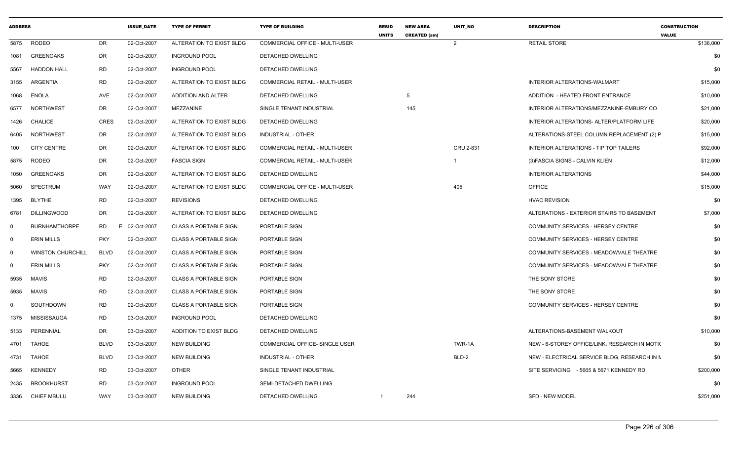| <b>ADDRESS</b> |                          |             | <b>ISSUE DATE</b> | <b>TYPE OF PERMIT</b>        | <b>TYPE OF BUILDING</b>               | <b>RESID</b><br><b>UNITS</b> | <b>NEW AREA</b><br><b>CREATED (sm)</b> | UNIT NO        | <b>DESCRIPTION</b>                            | <b>CONSTRUCTION</b><br><b>VALUE</b> |
|----------------|--------------------------|-------------|-------------------|------------------------------|---------------------------------------|------------------------------|----------------------------------------|----------------|-----------------------------------------------|-------------------------------------|
|                | 5875 RODEO               | DR          | 02-Oct-2007       | ALTERATION TO EXIST BLDG     | COMMERCIAL OFFICE - MULTI-USER        |                              |                                        | 2              | <b>RETAIL STORE</b>                           | \$136,000                           |
| 1081           | <b>GREENOAKS</b>         | DR          | 02-Oct-2007       | <b>INGROUND POOL</b>         | DETACHED DWELLING                     |                              |                                        |                |                                               | \$0                                 |
| 5567           | <b>HADDON HALL</b>       | RD          | 02-Oct-2007       | <b>INGROUND POOL</b>         | DETACHED DWELLING                     |                              |                                        |                |                                               | \$0                                 |
| 3155           | ARGENTIA                 | <b>RD</b>   | 02-Oct-2007       | ALTERATION TO EXIST BLDG     | <b>COMMERCIAL RETAIL - MULTI-USER</b> |                              |                                        |                | INTERIOR ALTERATIONS-WALMART                  | \$15,000                            |
| 1068           | <b>ENOLA</b>             | AVE         | 02-Oct-2007       | ADDITION AND ALTER           | DETACHED DWELLING                     |                              | 5                                      |                | ADDITION - HEATED FRONT ENTRANCE              | \$10,000                            |
| 6577           | <b>NORTHWEST</b>         | DR          | 02-Oct-2007       | MEZZANINE                    | SINGLE TENANT INDUSTRIAL              |                              | 145                                    |                | INTERIOR ALTERATIONS/MEZZANINE-EMBURY CO      | \$21,000                            |
| 1426           | CHALICE                  | <b>CRES</b> | 02-Oct-2007       | ALTERATION TO EXIST BLDG     | <b>DETACHED DWELLING</b>              |                              |                                        |                | INTERIOR ALTERATIONS- ALTER/PLATFORM LIFE     | \$20,000                            |
| 6405           | <b>NORTHWEST</b>         | DR          | 02-Oct-2007       | ALTERATION TO EXIST BLDG     | INDUSTRIAL - OTHER                    |                              |                                        |                | ALTERATIONS-STEEL COLUMN REPLACEMENT (2) P    | \$15,000                            |
| 100            | <b>CITY CENTRE</b>       | DR          | 02-Oct-2007       | ALTERATION TO EXIST BLDG     | COMMERCIAL RETAIL - MULTI-USER        |                              |                                        | CRU 2-831      | INTERIOR ALTERATIONS - TIP TOP TAILERS        | \$92,000                            |
| 5875           | <b>RODEO</b>             | DR          | 02-Oct-2007       | <b>FASCIA SIGN</b>           | <b>COMMERCIAL RETAIL - MULTI-USER</b> |                              |                                        | $\overline{1}$ | (3) FASCIA SIGNS - CALVIN KLIEN               | \$12,000                            |
| 1050           | GREENOAKS                | DR          | 02-Oct-2007       | ALTERATION TO EXIST BLDG     | DETACHED DWELLING                     |                              |                                        |                | <b>INTERIOR ALTERATIONS</b>                   | \$44,000                            |
| 5060           | <b>SPECTRUM</b>          | WAY         | 02-Oct-2007       | ALTERATION TO EXIST BLDG     | COMMERCIAL OFFICE - MULTI-USER        |                              |                                        | 405            | <b>OFFICE</b>                                 | \$15,000                            |
| 1395           | <b>BLYTHE</b>            | RD          | 02-Oct-2007       | <b>REVISIONS</b>             | <b>DETACHED DWELLING</b>              |                              |                                        |                | <b>HVAC REVISION</b>                          | \$0                                 |
| 6781           | <b>DILLINGWOOD</b>       | DR          | 02-Oct-2007       | ALTERATION TO EXIST BLDG     | DETACHED DWELLING                     |                              |                                        |                | ALTERATIONS - EXTERIOR STAIRS TO BASEMENT     | \$7,000                             |
| $\mathbf 0$    | <b>BURNHAMTHORPE</b>     | RD<br>E.    | 02-Oct-2007       | <b>CLASS A PORTABLE SIGN</b> | PORTABLE SIGN                         |                              |                                        |                | <b>COMMUNITY SERVICES - HERSEY CENTRE</b>     | \$0                                 |
| 0              | <b>ERIN MILLS</b>        | <b>PKY</b>  | 02-Oct-2007       | <b>CLASS A PORTABLE SIGN</b> | PORTABLE SIGN                         |                              |                                        |                | COMMUNITY SERVICES - HERSEY CENTRE            | \$0                                 |
| $\mathbf 0$    | <b>WINSTON CHURCHILL</b> | <b>BLVD</b> | 02-Oct-2007       | <b>CLASS A PORTABLE SIGN</b> | PORTABLE SIGN                         |                              |                                        |                | COMMUNITY SERVICES - MEADOWVALE THEATRE       | \$0                                 |
| 0              | <b>ERIN MILLS</b>        | <b>PKY</b>  | 02-Oct-2007       | <b>CLASS A PORTABLE SIGN</b> | PORTABLE SIGN                         |                              |                                        |                | COMMUNITY SERVICES - MEADOWVALE THEATRE       | \$0                                 |
| 5935           | MAVIS                    | <b>RD</b>   | 02-Oct-2007       | <b>CLASS A PORTABLE SIGN</b> | PORTABLE SIGN                         |                              |                                        |                | THE SONY STORE                                | \$0                                 |
| 5935           | <b>MAVIS</b>             | <b>RD</b>   | 02-Oct-2007       | <b>CLASS A PORTABLE SIGN</b> | PORTABLE SIGN                         |                              |                                        |                | THE SONY STORE                                | \$0                                 |
| 0              | SOUTHDOWN                | RD          | 02-Oct-2007       | <b>CLASS A PORTABLE SIGN</b> | PORTABLE SIGN                         |                              |                                        |                | COMMUNITY SERVICES - HERSEY CENTRE            | \$0                                 |
| 1375           | <b>MISSISSAUGA</b>       | RD          | 03-Oct-2007       | <b>INGROUND POOL</b>         | DETACHED DWELLING                     |                              |                                        |                |                                               | \$0                                 |
| 5133           | PERENNIAL                | DR          | 03-Oct-2007       | ADDITION TO EXIST BLDG       | DETACHED DWELLING                     |                              |                                        |                | ALTERATIONS-BASEMENT WALKOUT                  | \$10,000                            |
|                | 4701 TAHOE               | <b>BLVD</b> | 03-Oct-2007       | NEW BUILDING                 | COMMERCIAL OFFICE- SINGLE USER        |                              |                                        | TWR-1A         | NEW - 6-STOREY OFFICE/LINK, RESEARCH IN MOTIC | \$0                                 |
|                | 4731 TAHOE               | <b>BLVD</b> | 03-Oct-2007       | <b>NEW BUILDING</b>          | INDUSTRIAL - OTHER                    |                              |                                        | BLD-2          | NEW - ELECTRICAL SERVICE BLDG, RESEARCH IN N  | \$0                                 |
| 5665           | KENNEDY                  | <b>RD</b>   | 03-Oct-2007       | <b>OTHER</b>                 | SINGLE TENANT INDUSTRIAL              |                              |                                        |                | SITE SERVICING - 5665 & 5671 KENNEDY RD       | \$200,000                           |
|                | 2435 BROOKHURST          | <b>RD</b>   | 03-Oct-2007       | <b>INGROUND POOL</b>         | SEMI-DETACHED DWELLING                |                              |                                        |                |                                               | \$0                                 |
|                | 3336 CHIEF MBULU         | WAY         | 03-Oct-2007       | <b>NEW BUILDING</b>          | DETACHED DWELLING                     | -1                           | 244                                    |                | <b>SFD - NEW MODEL</b>                        | \$251,000                           |
|                |                          |             |                   |                              |                                       |                              |                                        |                |                                               |                                     |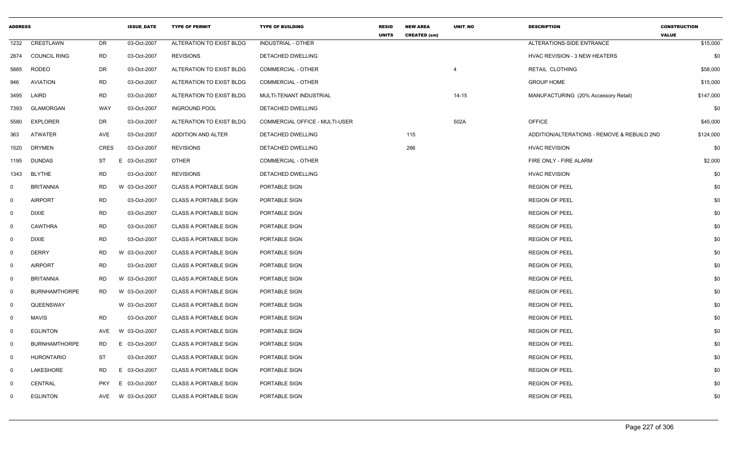| <b>ADDRESS</b> |                      |             | <b>ISSUE_DATE</b> | <b>TYPE OF PERMIT</b>        | <b>TYPE OF BUILDING</b>        | <b>RESID</b><br><b>UNITS</b> | <b>NEW AREA</b><br><b>CREATED (sm)</b> | <b>UNIT NO</b> | <b>DESCRIPTION</b>                          | <b>CONSTRUCTION</b><br><b>VALUE</b> |
|----------------|----------------------|-------------|-------------------|------------------------------|--------------------------------|------------------------------|----------------------------------------|----------------|---------------------------------------------|-------------------------------------|
| 1232           | CRESTLAWN            | DR          | 03-Oct-2007       | ALTERATION TO EXIST BLDG     | INDUSTRIAL - OTHER             |                              |                                        |                | ALTERATIONS-SIDE ENTRANCE                   | \$15,000                            |
| 2874           | <b>COUNCIL RING</b>  | RD          | 03-Oct-2007       | <b>REVISIONS</b>             | <b>DETACHED DWELLING</b>       |                              |                                        |                | <b>HVAC REVISION - 3 NEW HEATERS</b>        | \$0                                 |
| 5885           | <b>RODEO</b>         | DR          | 03-Oct-2007       | ALTERATION TO EXIST BLDG     | <b>COMMERCIAL - OTHER</b>      |                              |                                        | $\overline{4}$ | <b>RETAIL CLOTHING</b>                      | \$58,000                            |
| 946            | <b>AVIATION</b>      | <b>RD</b>   | 03-Oct-2007       | ALTERATION TO EXIST BLDG     | <b>COMMERCIAL - OTHER</b>      |                              |                                        |                | <b>GROUP HOME</b>                           | \$15,000                            |
| 3495           | LAIRD                | <b>RD</b>   | 03-Oct-2007       | ALTERATION TO EXIST BLDG     | MULTI-TENANT INDUSTRIAL        |                              |                                        | $14 - 15$      | MANUFACTURING (20% Accessory Retail)        | \$147,000                           |
| 7393           | <b>GLAMORGAN</b>     | <b>WAY</b>  | 03-Oct-2007       | <b>INGROUND POOL</b>         | <b>DETACHED DWELLING</b>       |                              |                                        |                |                                             | \$0                                 |
| 5580           | <b>EXPLORER</b>      | DR          | 03-Oct-2007       | ALTERATION TO EXIST BLDG     | COMMERCIAL OFFICE - MULTI-USER |                              |                                        | 502A           | <b>OFFICE</b>                               | \$45,000                            |
| 363            | <b>ATWATER</b>       | AVE         | 03-Oct-2007       | ADDITION AND ALTER           | DETACHED DWELLING              |                              | 115                                    |                | ADDITION/ALTERATIONS - REMOVE & REBUILD 2ND | \$124,000                           |
| 1520           | <b>DRYMEN</b>        | <b>CRES</b> | 03-Oct-2007       | <b>REVISIONS</b>             | DETACHED DWELLING              |                              | 266                                    |                | <b>HVAC REVISION</b>                        | \$0                                 |
| 1195           | <b>DUNDAS</b>        | ST          | 03-Oct-2007<br>E  | <b>OTHER</b>                 | <b>COMMERCIAL - OTHER</b>      |                              |                                        |                | FIRE ONLY - FIRE ALARM                      | \$2,000                             |
| 1343           | <b>BLYTHE</b>        | <b>RD</b>   | 03-Oct-2007       | <b>REVISIONS</b>             | DETACHED DWELLING              |                              |                                        |                | <b>HVAC REVISION</b>                        | \$0                                 |
| $\mathbf 0$    | <b>BRITANNIA</b>     | <b>RD</b>   | W 03-Oct-2007     | <b>CLASS A PORTABLE SIGN</b> | PORTABLE SIGN                  |                              |                                        |                | <b>REGION OF PEEL</b>                       | \$0                                 |
| $\mathbf 0$    | <b>AIRPORT</b>       | <b>RD</b>   | 03-Oct-2007       | <b>CLASS A PORTABLE SIGN</b> | PORTABLE SIGN                  |                              |                                        |                | <b>REGION OF PEEL</b>                       | \$0                                 |
| $\mathbf 0$    | <b>DIXIE</b>         | <b>RD</b>   | 03-Oct-2007       | <b>CLASS A PORTABLE SIGN</b> | PORTABLE SIGN                  |                              |                                        |                | <b>REGION OF PEEL</b>                       | \$0                                 |
| $\mathbf 0$    | <b>CAWTHRA</b>       | <b>RD</b>   | 03-Oct-2007       | <b>CLASS A PORTABLE SIGN</b> | PORTABLE SIGN                  |                              |                                        |                | <b>REGION OF PEEL</b>                       | \$0                                 |
| $\mathbf 0$    | <b>DIXIE</b>         | <b>RD</b>   | 03-Oct-2007       | <b>CLASS A PORTABLE SIGN</b> | PORTABLE SIGN                  |                              |                                        |                | <b>REGION OF PEEL</b>                       | \$0                                 |
| $\mathbf 0$    | <b>DERRY</b>         | RD          | W 03-Oct-2007     | <b>CLASS A PORTABLE SIGN</b> | PORTABLE SIGN                  |                              |                                        |                | <b>REGION OF PEEL</b>                       | \$0                                 |
| $\mathbf{0}$   | <b>AIRPORT</b>       | <b>RD</b>   | 03-Oct-2007       | <b>CLASS A PORTABLE SIGN</b> | PORTABLE SIGN                  |                              |                                        |                | <b>REGION OF PEEL</b>                       | \$0                                 |
| $\mathbf 0$    | <b>BRITANNIA</b>     | <b>RD</b>   | W 03-Oct-2007     | <b>CLASS A PORTABLE SIGN</b> | PORTABLE SIGN                  |                              |                                        |                | <b>REGION OF PEEL</b>                       | \$0                                 |
| $\mathbf 0$    | <b>BURNHAMTHORPE</b> | <b>RD</b>   | W 03-Oct-2007     | <b>CLASS A PORTABLE SIGN</b> | PORTABLE SIGN                  |                              |                                        |                | <b>REGION OF PEEL</b>                       | \$0                                 |
| $\mathbf 0$    | QUEENSWAY            |             | W 03-Oct-2007     | <b>CLASS A PORTABLE SIGN</b> | PORTABLE SIGN                  |                              |                                        |                | <b>REGION OF PEEL</b>                       | \$0                                 |
| $\mathbf 0$    | MAVIS                | <b>RD</b>   | 03-Oct-2007       | <b>CLASS A PORTABLE SIGN</b> | PORTABLE SIGN                  |                              |                                        |                | <b>REGION OF PEEL</b>                       | \$0                                 |
| $\mathbf 0$    | EGLINTON             | AVE         | W 03-Oct-2007     | <b>CLASS A PORTABLE SIGN</b> | PORTABLE SIGN                  |                              |                                        |                | <b>REGION OF PEEL</b>                       | \$0                                 |
| $\mathbf 0$    | <b>BURNHAMTHORPE</b> | <b>RD</b>   | E 03-Oct-2007     | <b>CLASS A PORTABLE SIGN</b> | PORTABLE SIGN                  |                              |                                        |                | <b>REGION OF PEEL</b>                       | \$0                                 |
| $\mathbf 0$    | <b>HURONTARIO</b>    | ST          | 03-Oct-2007       | <b>CLASS A PORTABLE SIGN</b> | PORTABLE SIGN                  |                              |                                        |                | <b>REGION OF PEEL</b>                       | \$0                                 |
| $\mathbf 0$    | LAKESHORE            | <b>RD</b>   | E 03-Oct-2007     | <b>CLASS A PORTABLE SIGN</b> | PORTABLE SIGN                  |                              |                                        |                | <b>REGION OF PEEL</b>                       | \$0                                 |
| $\mathbf 0$    | CENTRAL              | <b>PKY</b>  | E<br>03-Oct-2007  | <b>CLASS A PORTABLE SIGN</b> | PORTABLE SIGN                  |                              |                                        |                | <b>REGION OF PEEL</b>                       | \$0                                 |
| $\mathbf 0$    | EGLINTON             | AVE         | W 03-Oct-2007     | <b>CLASS A PORTABLE SIGN</b> | PORTABLE SIGN                  |                              |                                        |                | <b>REGION OF PEEL</b>                       | \$0                                 |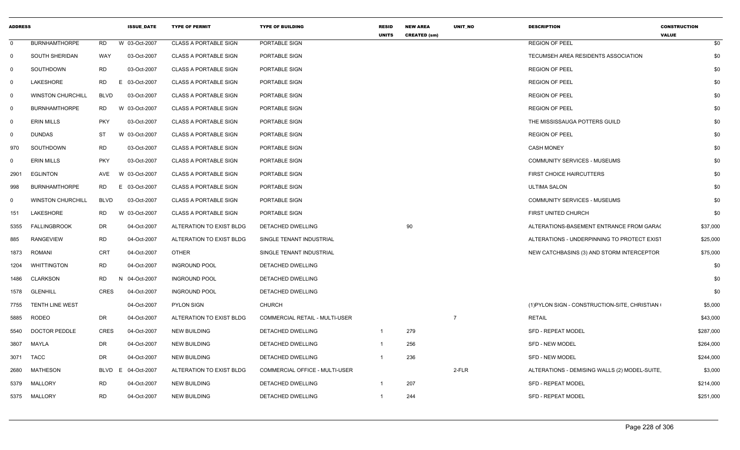| <b>ADDRESS</b> |                          |            | <b>ISSUE DATE</b> | <b>TYPE OF PERMIT</b>        | <b>TYPE OF BUILDING</b>        | <b>RESID</b><br><b>UNITS</b> | <b>NEW AREA</b><br><b>CREATED (sm)</b> | <b>UNIT NO</b> | <b>DESCRIPTION</b>                            | <b>CONSTRUCTION</b><br><b>VALUE</b> |
|----------------|--------------------------|------------|-------------------|------------------------------|--------------------------------|------------------------------|----------------------------------------|----------------|-----------------------------------------------|-------------------------------------|
| $\mathbf 0$    | <b>BURNHAMTHORPE</b>     | <b>RD</b>  | W 03-Oct-2007     | <b>CLASS A PORTABLE SIGN</b> | PORTABLE SIGN                  |                              |                                        |                | <b>REGION OF PEEL</b>                         | \$0                                 |
| $\mathbf 0$    | SOUTH SHERIDAN           | WAY        | 03-Oct-2007       | <b>CLASS A PORTABLE SIGN</b> | PORTABLE SIGN                  |                              |                                        |                | TECUMSEH AREA RESIDENTS ASSOCIATION           | \$0                                 |
| 0              | SOUTHDOWN                | <b>RD</b>  | 03-Oct-2007       | <b>CLASS A PORTABLE SIGN</b> | PORTABLE SIGN                  |                              |                                        |                | <b>REGION OF PEEL</b>                         | \$0                                 |
| 0              | LAKESHORE                | RD         | E 03-Oct-2007     | <b>CLASS A PORTABLE SIGN</b> | PORTABLE SIGN                  |                              |                                        |                | <b>REGION OF PEEL</b>                         | \$0                                 |
| $\mathbf 0$    | <b>WINSTON CHURCHILL</b> | BLVD       | 03-Oct-2007       | <b>CLASS A PORTABLE SIGN</b> | PORTABLE SIGN                  |                              |                                        |                | <b>REGION OF PEEL</b>                         | \$0                                 |
| $\mathbf 0$    | <b>BURNHAMTHORPE</b>     | <b>RD</b>  | W 03-Oct-2007     | <b>CLASS A PORTABLE SIGN</b> | PORTABLE SIGN                  |                              |                                        |                | <b>REGION OF PEEL</b>                         | \$0                                 |
| 0              | <b>ERIN MILLS</b>        | <b>PKY</b> | 03-Oct-2007       | <b>CLASS A PORTABLE SIGN</b> | PORTABLE SIGN                  |                              |                                        |                | THE MISSISSAUGA POTTERS GUILD                 | \$0                                 |
| 0              | <b>DUNDAS</b>            | ST         | W 03-Oct-2007     | <b>CLASS A PORTABLE SIGN</b> | PORTABLE SIGN                  |                              |                                        |                | <b>REGION OF PEEL</b>                         | \$0                                 |
| 970            | SOUTHDOWN                | RD.        | 03-Oct-2007       | <b>CLASS A PORTABLE SIGN</b> | PORTABLE SIGN                  |                              |                                        |                | <b>CASH MONEY</b>                             | \$0                                 |
| 0              | <b>ERIN MILLS</b>        | <b>PKY</b> | 03-Oct-2007       | <b>CLASS A PORTABLE SIGN</b> | PORTABLE SIGN                  |                              |                                        |                | <b>COMMUNITY SERVICES - MUSEUMS</b>           | \$0                                 |
| 2901           | <b>EGLINTON</b>          | AVE        | W 03-Oct-2007     | <b>CLASS A PORTABLE SIGN</b> | PORTABLE SIGN                  |                              |                                        |                | FIRST CHOICE HAIRCUTTERS                      | \$0                                 |
| 998            | <b>BURNHAMTHORPE</b>     | <b>RD</b>  | E 03-Oct-2007     | <b>CLASS A PORTABLE SIGN</b> | PORTABLE SIGN                  |                              |                                        |                | <b>ULTIMA SALON</b>                           | \$0                                 |
| 0              | <b>WINSTON CHURCHILL</b> | BLVD       | 03-Oct-2007       | <b>CLASS A PORTABLE SIGN</b> | PORTABLE SIGN                  |                              |                                        |                | <b>COMMUNITY SERVICES - MUSEUMS</b>           | \$0                                 |
| 151            | LAKESHORE                | RD         | W 03-Oct-2007     | <b>CLASS A PORTABLE SIGN</b> | PORTABLE SIGN                  |                              |                                        |                | FIRST UNITED CHURCH                           | \$0                                 |
| 5355           | <b>FALLINGBROOK</b>      | <b>DR</b>  | 04-Oct-2007       | ALTERATION TO EXIST BLDG     | DETACHED DWELLING              |                              | 90                                     |                | ALTERATIONS-BASEMENT ENTRANCE FROM GARA(      | \$37,000                            |
| 885            | <b>RANGEVIEW</b>         | <b>RD</b>  | 04-Oct-2007       | ALTERATION TO EXIST BLDG     | SINGLE TENANT INDUSTRIAL       |                              |                                        |                | ALTERATIONS - UNDERPINNING TO PROTECT EXIST   | \$25,000                            |
| 1873           | ROMANI                   | <b>CRT</b> | 04-Oct-2007       | OTHER                        | SINGLE TENANT INDUSTRIAL       |                              |                                        |                | NEW CATCHBASINS (3) AND STORM INTERCEPTOR     | \$75,000                            |
| 1204           | <b>WHITTINGTON</b>       | RD.        | 04-Oct-2007       | <b>INGROUND POOL</b>         | DETACHED DWELLING              |                              |                                        |                |                                               | \$0                                 |
| 1486           | <b>CLARKSON</b>          | <b>RD</b>  | N 04-Oct-2007     | <b>INGROUND POOL</b>         | DETACHED DWELLING              |                              |                                        |                |                                               | \$0                                 |
| 1578           | <b>GLENHILL</b>          | CRES       | 04-Oct-2007       | <b>INGROUND POOL</b>         | DETACHED DWELLING              |                              |                                        |                |                                               | \$0                                 |
| 7755           | <b>TENTH LINE WEST</b>   |            | 04-Oct-2007       | <b>PYLON SIGN</b>            | <b>CHURCH</b>                  |                              |                                        |                | (1) PYLON SIGN - CONSTRUCTION-SITE, CHRISTIAN | \$5,000                             |
| 5885           | RODEO                    | DR.        | 04-Oct-2007       | ALTERATION TO EXIST BLDG     | COMMERCIAL RETAIL - MULTI-USER |                              |                                        | $\overline{7}$ | <b>RETAIL</b>                                 | \$43,000                            |
| 5540           | DOCTOR PEDDLE            | CRES       | 04-Oct-2007       | <b>NEW BUILDING</b>          | DETACHED DWELLING              | $\overline{1}$               | 279                                    |                | <b>SFD - REPEAT MODEL</b>                     | \$287,000                           |
| 3807           | MAYLA                    | DR         | 04-Oct-2007       | <b>NEW BUILDING</b>          | DETACHED DWELLING              | $\overline{1}$               | 256                                    |                | <b>SFD - NEW MODEL</b>                        | \$264,000                           |
| 3071           | <b>TACC</b>              | DR         | 04-Oct-2007       | <b>NEW BUILDING</b>          | DETACHED DWELLING              | $\overline{1}$               | 236                                    |                | SFD - NEW MODEL                               | \$244,000                           |
| 2680           | <b>MATHESON</b>          | BLVD       | E 04-Oct-2007     | ALTERATION TO EXIST BLDG     | COMMERCIAL OFFICE - MULTI-USER |                              |                                        | 2-FLR          | ALTERATIONS - DEMISING WALLS (2) MODEL-SUITE. | \$3,000                             |
| 5379           | MALLORY                  | <b>RD</b>  | 04-Oct-2007       | <b>NEW BUILDING</b>          | DETACHED DWELLING              |                              | 207                                    |                | <b>SFD - REPEAT MODEL</b>                     | \$214,000                           |
|                | 5375 MALLORY             | <b>RD</b>  | 04-Oct-2007       | <b>NEW BUILDING</b>          | DETACHED DWELLING              |                              | 244                                    |                | <b>SFD - REPEAT MODEL</b>                     | \$251,000                           |
|                |                          |            |                   |                              |                                |                              |                                        |                |                                               |                                     |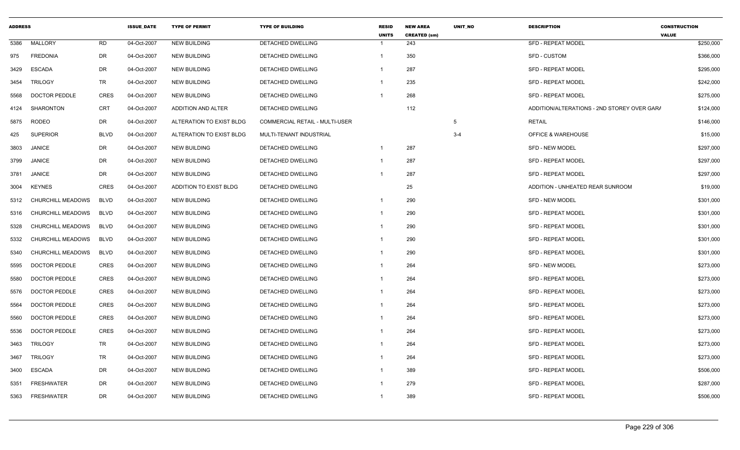| <b>ADDRESS</b> |                          |             | <b>ISSUE DATE</b> | <b>TYPE OF PERMIT</b>    | <b>TYPE OF BUILDING</b>        | <b>RESID</b><br><b>UNITS</b> | <b>NEW AREA</b><br><b>CREATED (sm)</b> | <b>UNIT NO</b> | <b>DESCRIPTION</b>                          | <b>CONSTRUCTION</b><br><b>VALUE</b> |
|----------------|--------------------------|-------------|-------------------|--------------------------|--------------------------------|------------------------------|----------------------------------------|----------------|---------------------------------------------|-------------------------------------|
| 5386           | MALLORY                  | RD          | 04-Oct-2007       | <b>NEW BUILDING</b>      | DETACHED DWELLING              | -1                           | 243                                    |                | <b>SFD - REPEAT MODEL</b>                   | \$250,000                           |
| 975            | <b>FREDONIA</b>          | DR          | 04-Oct-2007       | <b>NEW BUILDING</b>      | DETACHED DWELLING              | $\overline{1}$               | 350                                    |                | <b>SFD - CUSTOM</b>                         | \$366,000                           |
| 3429           | <b>ESCADA</b>            | DR          | 04-Oct-2007       | <b>NEW BUILDING</b>      | DETACHED DWELLING              | $\overline{1}$               | 287                                    |                | <b>SFD - REPEAT MODEL</b>                   | \$295,000                           |
| 3454           | <b>TRILOGY</b>           | TR          | 04-Oct-2007       | <b>NEW BUILDING</b>      | DETACHED DWELLING              | $\overline{1}$               | 235                                    |                | <b>SFD - REPEAT MODEL</b>                   | \$242,000                           |
| 5568           | DOCTOR PEDDLE            | <b>CRES</b> | 04-Oct-2007       | <b>NEW BUILDING</b>      | DETACHED DWELLING              | $\mathbf{1}$                 | 268                                    |                | <b>SFD - REPEAT MODEL</b>                   | \$275,000                           |
| 4124           | <b>SHARONTON</b>         | <b>CRT</b>  | 04-Oct-2007       | ADDITION AND ALTER       | DETACHED DWELLING              |                              | 112                                    |                | ADDITION/ALTERATIONS - 2ND STOREY OVER GAR/ | \$124,000                           |
| 5875           | <b>RODEO</b>             | DR          | 04-Oct-2007       | ALTERATION TO EXIST BLDG | COMMERCIAL RETAIL - MULTI-USER |                              |                                        | 5              | <b>RETAIL</b>                               | \$146,000                           |
| 425            | <b>SUPERIOR</b>          | <b>BLVD</b> | 04-Oct-2007       | ALTERATION TO EXIST BLDG | MULTI-TENANT INDUSTRIAL        |                              |                                        | $3 - 4$        | <b>OFFICE &amp; WAREHOUSE</b>               | \$15,000                            |
| 3803           | <b>JANICE</b>            | DR          | 04-Oct-2007       | <b>NEW BUILDING</b>      | DETACHED DWELLING              | $\overline{1}$               | 287                                    |                | <b>SFD - NEW MODEL</b>                      | \$297,000                           |
| 3799           | <b>JANICE</b>            | DR          | 04-Oct-2007       | <b>NEW BUILDING</b>      | DETACHED DWELLING              | $\overline{1}$               | 287                                    |                | <b>SFD - REPEAT MODEL</b>                   | \$297,000                           |
| 3781           | <b>JANICE</b>            | DR          | 04-Oct-2007       | <b>NEW BUILDING</b>      | DETACHED DWELLING              | $\overline{1}$               | 287                                    |                | <b>SFD - REPEAT MODEL</b>                   | \$297,000                           |
| 3004           | <b>KEYNES</b>            | <b>CRES</b> | 04-Oct-2007       | ADDITION TO EXIST BLDG   | DETACHED DWELLING              |                              | 25                                     |                | ADDITION - UNHEATED REAR SUNROOM            | \$19,000                            |
| 5312           | <b>CHURCHILL MEADOWS</b> | <b>BLVD</b> | 04-Oct-2007       | <b>NEW BUILDING</b>      | DETACHED DWELLING              | $\mathbf{1}$                 | 290                                    |                | <b>SFD - NEW MODEL</b>                      | \$301,000                           |
| 5316           | CHURCHILL MEADOWS        | <b>BLVD</b> | 04-Oct-2007       | <b>NEW BUILDING</b>      | DETACHED DWELLING              | $\overline{\mathbf{1}}$      | 290                                    |                | <b>SFD - REPEAT MODEL</b>                   | \$301,000                           |
| 5328           | CHURCHILL MEADOWS        | <b>BLVD</b> | 04-Oct-2007       | <b>NEW BUILDING</b>      | DETACHED DWELLING              | $\overline{1}$               | 290                                    |                | <b>SFD - REPEAT MODEL</b>                   | \$301,000                           |
| 5332           | <b>CHURCHILL MEADOWS</b> | <b>BLVD</b> | 04-Oct-2007       | <b>NEW BUILDING</b>      | DETACHED DWELLING              | $\overline{1}$               | 290                                    |                | <b>SFD - REPEAT MODEL</b>                   | \$301,000                           |
| 5340           | CHURCHILL MEADOWS        | <b>BLVD</b> | 04-Oct-2007       | <b>NEW BUILDING</b>      | DETACHED DWELLING              | $\overline{1}$               | 290                                    |                | <b>SFD - REPEAT MODEL</b>                   | \$301,000                           |
| 5595           | <b>DOCTOR PEDDLE</b>     | CRES        | 04-Oct-2007       | <b>NEW BUILDING</b>      | DETACHED DWELLING              | -1                           | 264                                    |                | <b>SFD - NEW MODEL</b>                      | \$273,000                           |
| 5580           | DOCTOR PEDDLE            | <b>CRES</b> | 04-Oct-2007       | <b>NEW BUILDING</b>      | <b>DETACHED DWELLING</b>       | $\overline{1}$               | 264                                    |                | <b>SFD - REPEAT MODEL</b>                   | \$273,000                           |
| 5576           | <b>DOCTOR PEDDLE</b>     | <b>CRES</b> | 04-Oct-2007       | <b>NEW BUILDING</b>      | DETACHED DWELLING              | $\overline{1}$               | 264                                    |                | <b>SFD - REPEAT MODEL</b>                   | \$273,000                           |
| 5564           | DOCTOR PEDDLE            | <b>CRES</b> | 04-Oct-2007       | <b>NEW BUILDING</b>      | DETACHED DWELLING              | $\overline{1}$               | 264                                    |                | <b>SFD - REPEAT MODEL</b>                   | \$273,000                           |
| 5560           | <b>DOCTOR PEDDLE</b>     | <b>CRES</b> | 04-Oct-2007       | <b>NEW BUILDING</b>      | <b>DETACHED DWELLING</b>       | $\overline{\mathbf{1}}$      | 264                                    |                | <b>SFD - REPEAT MODEL</b>                   | \$273,000                           |
| 5536           | <b>DOCTOR PEDDLE</b>     | <b>CRES</b> | 04-Oct-2007       | <b>NEW BUILDING</b>      | <b>DETACHED DWELLING</b>       | $\overline{1}$               | 264                                    |                | <b>SFD - REPEAT MODEL</b>                   | \$273,000                           |
| 3463           | <b>TRILOGY</b>           | TR          | 04-Oct-2007       | <b>NEW BUILDING</b>      | DETACHED DWELLING              | $\overline{1}$               | 264                                    |                | <b>SFD - REPEAT MODEL</b>                   | \$273,000                           |
| 3467           | <b>TRILOGY</b>           | TR          | 04-Oct-2007       | <b>NEW BUILDING</b>      | DETACHED DWELLING              | $\mathbf{1}$                 | 264                                    |                | <b>SFD - REPEAT MODEL</b>                   | \$273,000                           |
| 3400           | <b>ESCADA</b>            | DR          | 04-Oct-2007       | <b>NEW BUILDING</b>      | DETACHED DWELLING              | $\overline{1}$               | 389                                    |                | <b>SFD - REPEAT MODEL</b>                   | \$506,000                           |
| 5351           | <b>FRESHWATER</b>        | <b>DR</b>   | 04-Oct-2007       | <b>NEW BUILDING</b>      | DETACHED DWELLING              | -1                           | 279                                    |                | <b>SFD - REPEAT MODEL</b>                   | \$287,000                           |
| 5363           | <b>FRESHWATER</b>        | <b>DR</b>   | 04-Oct-2007       | <b>NEW BUILDING</b>      | DETACHED DWELLING              | $\overline{1}$               | 389                                    |                | <b>SFD - REPEAT MODEL</b>                   | \$506,000                           |
|                |                          |             |                   |                          |                                |                              |                                        |                |                                             |                                     |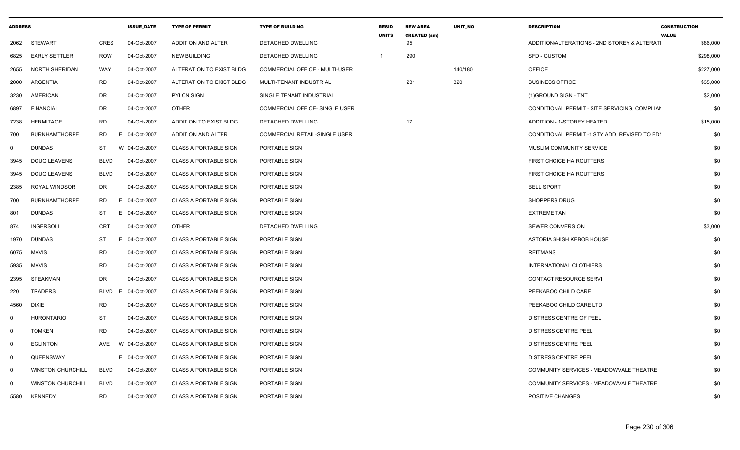| <b>ADDRESS</b> |                          |             | <b>ISSUE DATE</b> | <b>TYPE OF PERMIT</b>        | <b>TYPE OF BUILDING</b>               | <b>RESID</b><br><b>UNITS</b> | <b>NEW AREA</b><br><b>CREATED (sm)</b> | <b>UNIT NO</b> | <b>DESCRIPTION</b>                            | <b>CONSTRUCTION</b><br><b>VALUE</b> |
|----------------|--------------------------|-------------|-------------------|------------------------------|---------------------------------------|------------------------------|----------------------------------------|----------------|-----------------------------------------------|-------------------------------------|
|                | 2062 STEWART             | <b>CRES</b> | 04-Oct-2007       | ADDITION AND ALTER           | DETACHED DWELLING                     |                              | 95                                     |                | ADDITION/ALTERATIONS - 2ND STOREY & ALTERATI  | \$86,000                            |
|                | 6825 EARLY SETTLER       | ROW         | 04-Oct-2007       | <b>NEW BUILDING</b>          | DETACHED DWELLING                     |                              | 290                                    |                | <b>SFD - CUSTOM</b>                           | \$298,000                           |
| 2655           | NORTH SHERIDAN           | WAY         | 04-Oct-2007       | ALTERATION TO EXIST BLDG     | COMMERCIAL OFFICE - MULTI-USER        |                              |                                        | 140/180        | <b>OFFICE</b>                                 | \$227,000                           |
|                | 2000 ARGENTIA            | RD          | 04-Oct-2007       | ALTERATION TO EXIST BLDG     | MULTI-TENANT INDUSTRIAL               |                              | 231                                    | 320            | <b>BUSINESS OFFICE</b>                        | \$35,000                            |
| 3230           | <b>AMERICAN</b>          | DR          | 04-Oct-2007       | PYLON SIGN                   | SINGLE TENANT INDUSTRIAL              |                              |                                        |                | (1) GROUND SIGN - TNT                         | \$2,000                             |
|                | 6897 FINANCIAL           | DR          | 04-Oct-2007       | OTHER                        | <b>COMMERCIAL OFFICE- SINGLE USER</b> |                              |                                        |                | CONDITIONAL PERMIT - SITE SERVICING, COMPLIAN | \$0                                 |
| 7238           | HERMITAGE                | <b>RD</b>   | 04-Oct-2007       | ADDITION TO EXIST BLDG       | DETACHED DWELLING                     |                              | 17                                     |                | ADDITION - 1-STOREY HEATED                    | \$15,000                            |
| 700            | <b>BURNHAMTHORPE</b>     | RD          | 04-Oct-2007<br>E. | ADDITION AND ALTER           | <b>COMMERCIAL RETAIL-SINGLE USER</b>  |                              |                                        |                | CONDITIONAL PERMIT -1 STY ADD, REVISED TO FDI | \$0                                 |
| $\Omega$       | DUNDAS                   | ST          | W 04-Oct-2007     | <b>CLASS A PORTABLE SIGN</b> | PORTABLE SIGN                         |                              |                                        |                | MUSLIM COMMUNITY SERVICE                      | \$0                                 |
| 3945           | <b>DOUG LEAVENS</b>      | <b>BLVD</b> | 04-Oct-2007       | <b>CLASS A PORTABLE SIGN</b> | PORTABLE SIGN                         |                              |                                        |                | FIRST CHOICE HAIRCUTTERS                      | \$0                                 |
|                | 3945 DOUG LEAVENS        | BLVD        | 04-Oct-2007       | <b>CLASS A PORTABLE SIGN</b> | PORTABLE SIGN                         |                              |                                        |                | FIRST CHOICE HAIRCUTTERS                      | \$0                                 |
|                | 2385 ROYAL WINDSOR       | DR          | 04-Oct-2007       | <b>CLASS A PORTABLE SIGN</b> | PORTABLE SIGN                         |                              |                                        |                | <b>BELL SPORT</b>                             | \$0                                 |
| 700            | <b>BURNHAMTHORPE</b>     | <b>RD</b>   | 04-Oct-2007       | CLASS A PORTABLE SIGN        | PORTABLE SIGN                         |                              |                                        |                | SHOPPERS DRUG                                 | \$0                                 |
| 801            | DUNDAS                   | ST          | 04-Oct-2007       | <b>CLASS A PORTABLE SIGN</b> | PORTABLE SIGN                         |                              |                                        |                | <b>EXTREME TAN</b>                            | \$0                                 |
| 874            | INGERSOLI                | CRT         | 04-Oct-2007       | <b>OTHER</b>                 | DETACHED DWELLING                     |                              |                                        |                | SEWER CONVERSION                              | \$3,000                             |
|                | 1970 DUNDAS              | ST          | 04-Oct-2007       | <b>CLASS A PORTABLE SIGN</b> | PORTABLE SIGN                         |                              |                                        |                | ASTORIA SHISH KEBOB HOUSE                     | \$0                                 |
|                | 6075 MAVIS               | <b>RD</b>   | 04-Oct-2007       | <b>CLASS A PORTABLE SIGN</b> | PORTABLE SIGN                         |                              |                                        |                | <b>REITMANS</b>                               | \$0                                 |
|                | 5935 MAVIS               | <b>RD</b>   | 04-Oct-2007       | <b>CLASS A PORTABLE SIGN</b> | PORTABLE SIGN                         |                              |                                        |                | INTERNATIONAL CLOTHIERS                       | \$0                                 |
| 2395           | SPEAKMAN                 | DR          | 04-Oct-2007       | <b>CLASS A PORTABLE SIGN</b> | PORTABLE SIGN                         |                              |                                        |                | CONTACT RESOURCE SERVI                        | \$0                                 |
| 220            | <b>TRADERS</b>           | BLVD        | 04-Oct-2007       | <b>CLASS A PORTABLE SIGN</b> | PORTABLE SIGN                         |                              |                                        |                | PEEKABOO CHILD CARE                           | \$0                                 |
| 4560           | DIXIE                    | <b>RD</b>   | 04-Oct-2007       | <b>CLASS A PORTABLE SIGN</b> | PORTABLE SIGN                         |                              |                                        |                | PEEKABOO CHILD CARE LTD                       | \$0                                 |
|                | HURONTARIO               | <b>ST</b>   | 04-Oct-2007       | <b>CLASS A PORTABLE SIGN</b> | PORTABLE SIGN                         |                              |                                        |                | DISTRESS CENTRE OF PEEL                       | \$0                                 |
| - 0            | <b>TOMKEN</b>            | RD          | 04-Oct-2007       | <b>CLASS A PORTABLE SIGN</b> | PORTABLE SIGN                         |                              |                                        |                | <b>DISTRESS CENTRE PEEL</b>                   | \$0                                 |
| - 0            | <b>EGLINTON</b>          |             |                   | <b>CLASS A PORTABLE SIGN</b> | PORTABLE SIGN                         |                              |                                        |                | <b>DISTRESS CENTRE PEEL</b>                   | \$0                                 |
| - 0            | QUEENSWAY                |             | E 04-Oct-2007     | <b>CLASS A PORTABLE SIGN</b> | PORTABLE SIGN                         |                              |                                        |                | <b>DISTRESS CENTRE PEEL</b>                   | \$0                                 |
| <u>ດ</u>       | <b>WINSTON CHURCHILL</b> | BLVD        | 04-Oct-2007       | <b>CLASS A PORTABLE SIGN</b> | PORTABLE SIGN                         |                              |                                        |                | COMMUNITY SERVICES - MEADOWVALE THEATRE       | \$0                                 |
|                | <b>WINSTON CHURCHILL</b> | <b>BLVD</b> | 04-Oct-2007       | <b>CLASS A PORTABLE SIGN</b> | PORTABLE SIGN                         |                              |                                        |                | COMMUNITY SERVICES - MEADOWVALE THEATRE       | \$0                                 |
|                | 5580 KENNEDY             | <b>RD</b>   | 04-Oct-2007       | <b>CLASS A PORTABLE SIGN</b> | PORTABLE SIGN                         |                              |                                        |                | POSITIVE CHANGES                              | \$0                                 |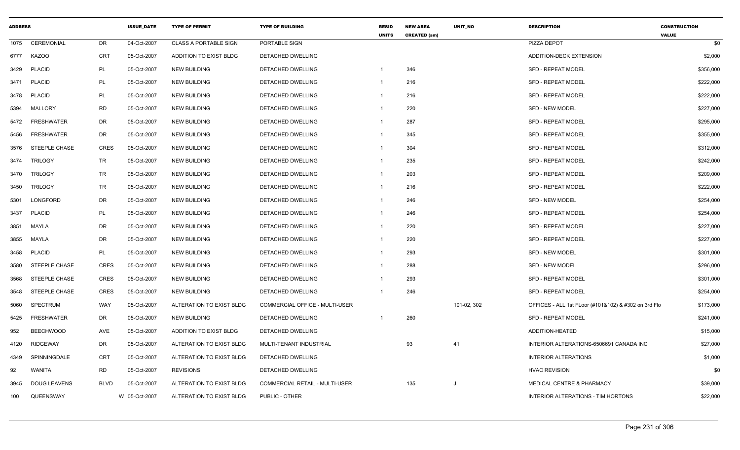| <b>ADDRESS</b> |                      |             | <b>ISSUE_DATE</b> | <b>TYPE OF PERMIT</b>        | <b>TYPE OF BUILDING</b>        | <b>RESID</b><br><b>UNITS</b> | <b>NEW AREA</b><br><b>CREATED (sm)</b> | UNIT_NO     | <b>DESCRIPTION</b>                                   | <b>CONSTRUCTION</b><br><b>VALUE</b> |
|----------------|----------------------|-------------|-------------------|------------------------------|--------------------------------|------------------------------|----------------------------------------|-------------|------------------------------------------------------|-------------------------------------|
| 1075           | CEREMONIAL           | DR          | 04-Oct-2007       | <b>CLASS A PORTABLE SIGN</b> | PORTABLE SIGN                  |                              |                                        |             | PIZZA DEPOT                                          | \$0                                 |
| 6777           | <b>KAZOO</b>         | CRT         | 05-Oct-2007       | ADDITION TO EXIST BLDG       | DETACHED DWELLING              |                              |                                        |             | ADDITION-DECK EXTENSION                              | \$2,000                             |
| 3429           | <b>PLACID</b>        | PL          | 05-Oct-2007       | <b>NEW BUILDING</b>          | DETACHED DWELLING              |                              | 346                                    |             | <b>SFD - REPEAT MODEL</b>                            | \$356,000                           |
| 3471           | <b>PLACID</b>        | PL          | 05-Oct-2007       | <b>NEW BUILDING</b>          | <b>DETACHED DWELLING</b>       |                              | 216                                    |             | <b>SFD - REPEAT MODEL</b>                            | \$222,000                           |
| 3478           | <b>PLACID</b>        | PL          | 05-Oct-2007       | <b>NEW BUILDING</b>          | DETACHED DWELLING              |                              | 216                                    |             | <b>SFD - REPEAT MODEL</b>                            | \$222,000                           |
| 5394           | <b>MALLORY</b>       | <b>RD</b>   | 05-Oct-2007       | <b>NEW BUILDING</b>          | <b>DETACHED DWELLING</b>       |                              | 220                                    |             | SFD - NEW MODEL                                      | \$227,000                           |
| 5472           | <b>FRESHWATER</b>    | DR          | 05-Oct-2007       | <b>NEW BUILDING</b>          | DETACHED DWELLING              | 1                            | 287                                    |             | <b>SFD - REPEAT MODEL</b>                            | \$295,000                           |
| 5456           | <b>FRESHWATER</b>    | DR          | 05-Oct-2007       | <b>NEW BUILDING</b>          | DETACHED DWELLING              |                              | 345                                    |             | <b>SFD - REPEAT MODEL</b>                            | \$355,000                           |
| 3576           | STEEPLE CHASE        | <b>CRES</b> | 05-Oct-2007       | <b>NEW BUILDING</b>          | DETACHED DWELLING              |                              | 304                                    |             | <b>SFD - REPEAT MODEL</b>                            | \$312,000                           |
| 3474           | <b>TRILOGY</b>       | <b>TR</b>   | 05-Oct-2007       | <b>NEW BUILDING</b>          | DETACHED DWELLING              |                              | 235                                    |             | SFD - REPEAT MODEL                                   | \$242,000                           |
| 3470           | TRILOGY              | TR          | 05-Oct-2007       | <b>NEW BUILDING</b>          | DETACHED DWELLING              | -1                           | 203                                    |             | <b>SFD - REPEAT MODEL</b>                            | \$209,000                           |
| 3450           | TRILOGY              | TR          | 05-Oct-2007       | NEW BUILDING                 | DETACHED DWELLING              |                              | 216                                    |             | <b>SFD - REPEAT MODEL</b>                            | \$222,000                           |
| 5301           | LONGFORD             | DR          | 05-Oct-2007       | <b>NEW BUILDING</b>          | DETACHED DWELLING              |                              | 246                                    |             | <b>SFD - NEW MODEL</b>                               | \$254,000                           |
| 3437           | <b>PLACID</b>        | PL          | 05-Oct-2007       | <b>NEW BUILDING</b>          | DETACHED DWELLING              |                              | 246                                    |             | <b>SFD - REPEAT MODEL</b>                            | \$254,000                           |
| 3851           | MAYLA                | DR          | 05-Oct-2007       | <b>NEW BUILDING</b>          | DETACHED DWELLING              | 1                            | 220                                    |             | <b>SFD - REPEAT MODEL</b>                            | \$227,000                           |
| 3855           | MAYLA                | DR          | 05-Oct-2007       | NEW BUILDING                 | DETACHED DWELLING              |                              | 220                                    |             | <b>SFD - REPEAT MODEL</b>                            | \$227,000                           |
| 3458           | <b>PLACID</b>        | PL          | 05-Oct-2007       | <b>NEW BUILDING</b>          | DETACHED DWELLING              |                              | 293                                    |             | <b>SFD - NEW MODEL</b>                               | \$301,000                           |
| 3580           | <b>STEEPLE CHASE</b> | CRES        | 05-Oct-2007       | <b>NEW BUILDING</b>          | DETACHED DWELLING              |                              | 288                                    |             | <b>SFD - NEW MODEL</b>                               | \$296,000                           |
| 3568           | <b>STEEPLE CHASE</b> | CRES        | 05-Oct-2007       | <b>NEW BUILDING</b>          | DETACHED DWELLING              |                              | 293                                    |             | <b>SFD - REPEAT MODEL</b>                            | \$301,000                           |
| 3548           | <b>STEEPLE CHASE</b> | <b>CRES</b> | 05-Oct-2007       | <b>NEW BUILDING</b>          | DETACHED DWELLING              |                              | 246                                    |             | <b>SFD - REPEAT MODEL</b>                            | \$254,000                           |
| 5060           | SPECTRUM             | WAY         | 05-Oct-2007       | ALTERATION TO EXIST BLDG     | COMMERCIAL OFFICE - MULTI-USER |                              |                                        | 101-02, 302 | OFFICES - ALL 1st FLoor (#101&102) & #302 on 3rd Flo | \$173,000                           |
| 5425           | <b>FRESHWATER</b>    | DR          | 05-Oct-2007       | <b>NEW BUILDING</b>          | DETACHED DWELLING              |                              | 260                                    |             | <b>SFD - REPEAT MODEL</b>                            | \$241,000                           |
| 952            | <b>BEECHWOOD</b>     | AVE         | 05-Oct-2007       | ADDITION TO EXIST BLDG       | DETACHED DWELLING              |                              |                                        |             | ADDITION-HEATED                                      | \$15,000                            |
| 4120           | <b>RIDGEWAY</b>      | DR          | 05-Oct-2007       | ALTERATION TO EXIST BLDG     | MULTI-TENANT INDUSTRIAL        |                              | 93                                     | 41          | INTERIOR ALTERATIONS-6506691 CANADA INC              | \$27,000                            |
| 4349           | SPINNINGDALE         | <b>CRT</b>  | 05-Oct-2007       | ALTERATION TO EXIST BLDG     | DETACHED DWELLING              |                              |                                        |             | <b>INTERIOR ALTERATIONS</b>                          | \$1,000                             |
| 92             | WANITA               | RD          | 05-Oct-2007       | <b>REVISIONS</b>             | DETACHED DWELLING              |                              |                                        |             | <b>HVAC REVISION</b>                                 | \$0                                 |
| 3945           | <b>DOUG LEAVENS</b>  | <b>BLVD</b> | 05-Oct-2007       | ALTERATION TO EXIST BLDG     | COMMERCIAL RETAIL - MULTI-USER |                              | 135                                    | IJ          | MEDICAL CENTRE & PHARMACY                            | \$39,000                            |
| 100            | QUEENSWAY            |             | W 05-Oct-2007     | ALTERATION TO EXIST BLDG     | PUBLIC - OTHER                 |                              |                                        |             | INTERIOR ALTERATIONS - TIM HORTONS                   | \$22,000                            |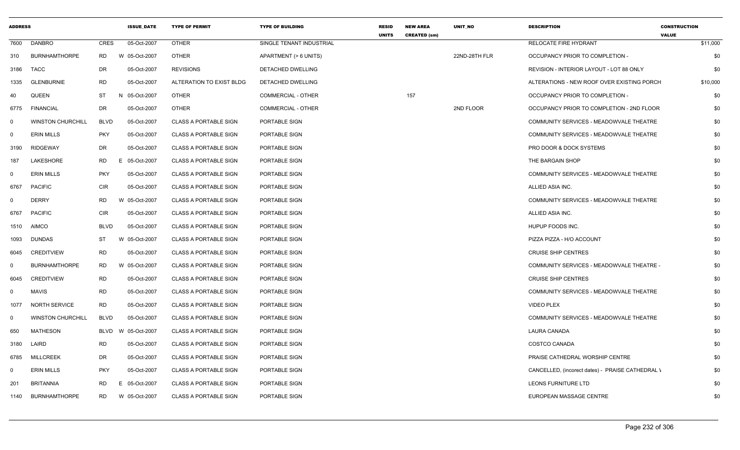| <b>ADDRESS</b> |                          |             | <b>ISSUE DATE</b> | <b>TYPE OF PERMIT</b>        | <b>TYPE OF BUILDING</b>   | <b>RESID</b><br><b>UNITS</b> | <b>NEW AREA</b><br><b>CREATED (sm)</b> | <b>UNIT NO</b> | <b>DESCRIPTION</b>                               | <b>CONSTRUCTION</b><br><b>VALUE</b> |
|----------------|--------------------------|-------------|-------------------|------------------------------|---------------------------|------------------------------|----------------------------------------|----------------|--------------------------------------------------|-------------------------------------|
| 7600           | DANBRO                   | CRES        | 05-Oct-2007       | <b>OTHER</b>                 | SINGLE TENANT INDUSTRIAL  |                              |                                        |                | RELOCATE FIRE HYDRANT                            | \$11,000                            |
| 310            | <b>BURNHAMTHORPE</b>     | RD          | W 05-Oct-2007     | <b>OTHER</b>                 | APARTMENT (> 6 UNITS)     |                              |                                        | 22ND-28TH FLR  | OCCUPANCY PRIOR TO COMPLETION -                  | \$0                                 |
| 3186           | <b>TACC</b>              | <b>DR</b>   | 05-Oct-2007       | <b>REVISIONS</b>             | <b>DETACHED DWELLING</b>  |                              |                                        |                | REVISION - INTERIOR LAYOUT - LOT 88 ONLY         | \$0                                 |
| 1335           | <b>GLENBURNIE</b>        | <b>RD</b>   | 05-Oct-2007       | ALTERATION TO EXIST BLDG     | DETACHED DWELLING         |                              |                                        |                | ALTERATIONS - NEW ROOF OVER EXISTING PORCH       | \$10,000                            |
| 40             | <b>QUEEN</b>             | ST          | N 05-Oct-2007     | <b>OTHER</b>                 | <b>COMMERCIAL - OTHER</b> |                              | 157                                    |                | OCCUPANCY PRIOR TO COMPLETION -                  | \$0                                 |
| 6775           | <b>FINANCIAL</b>         | <b>DR</b>   | 05-Oct-2007       | OTHER                        | <b>COMMERCIAL - OTHER</b> |                              |                                        | 2ND FLOOR      | OCCUPANCY PRIOR TO COMPLETION - 2ND FLOOR        | \$0                                 |
| $\mathbf{0}$   | <b>WINSTON CHURCHILL</b> | <b>BLVD</b> | 05-Oct-2007       | <b>CLASS A PORTABLE SIGN</b> | PORTABLE SIGN             |                              |                                        |                | COMMUNITY SERVICES - MEADOWVALE THEATRE          | \$0                                 |
| $\mathbf 0$    | <b>ERIN MILLS</b>        | <b>PKY</b>  | 05-Oct-2007       | <b>CLASS A PORTABLE SIGN</b> | PORTABLE SIGN             |                              |                                        |                | COMMUNITY SERVICES - MEADOWVALE THEATRE          | \$0                                 |
| 3190           | <b>RIDGEWAY</b>          | DR          | 05-Oct-2007       | <b>CLASS A PORTABLE SIGN</b> | PORTABLE SIGN             |                              |                                        |                | PRO DOOR & DOCK SYSTEMS                          | \$0                                 |
| 187            | LAKESHORE                | RD          | 05-Oct-2007<br>Е. | <b>CLASS A PORTABLE SIGN</b> | PORTABLE SIGN             |                              |                                        |                | THE BARGAIN SHOP                                 | \$0                                 |
| $\mathbf 0$    | <b>ERIN MILLS</b>        | <b>PKY</b>  | 05-Oct-2007       | <b>CLASS A PORTABLE SIGN</b> | PORTABLE SIGN             |                              |                                        |                | COMMUNITY SERVICES - MEADOWVALE THEATRE          | \$0                                 |
| 6767           | <b>PACIFIC</b>           | <b>CIR</b>  | 05-Oct-2007       | <b>CLASS A PORTABLE SIGN</b> | PORTABLE SIGN             |                              |                                        |                | ALLIED ASIA INC.                                 | \$0                                 |
| $\Omega$       | <b>DERRY</b>             | <b>RD</b>   | W 05-Oct-2007     | <b>CLASS A PORTABLE SIGN</b> | PORTABLE SIGN             |                              |                                        |                | COMMUNITY SERVICES - MEADOWVALE THEATRE          | \$0                                 |
| 6767           | <b>PACIFIC</b>           | <b>CIR</b>  | 05-Oct-2007       | <b>CLASS A PORTABLE SIGN</b> | PORTABLE SIGN             |                              |                                        |                | ALLIED ASIA INC.                                 | \$0                                 |
| 1510           | <b>AIMCO</b>             | <b>BLVD</b> | 05-Oct-2007       | <b>CLASS A PORTABLE SIGN</b> | PORTABLE SIGN             |                              |                                        |                | HUPUP FOODS INC.                                 | \$0                                 |
| 1093           | <b>DUNDAS</b>            | ST          | W 05-Oct-2007     | <b>CLASS A PORTABLE SIGN</b> | PORTABLE SIGN             |                              |                                        |                | PIZZA PIZZA - H/O ACCOUNT                        | \$0                                 |
| 6045           | <b>CREDITVIEW</b>        | RD          | 05-Oct-2007       | <b>CLASS A PORTABLE SIGN</b> | PORTABLE SIGN             |                              |                                        |                | <b>CRUISE SHIP CENTRES</b>                       | \$0                                 |
| $\mathbf 0$    | <b>BURNHAMTHORPE</b>     | <b>RD</b>   | W 05-Oct-2007     | CLASS A PORTABLE SIGN        | PORTABLE SIGN             |                              |                                        |                | COMMUNITY SERVICES - MEADOWVALE THEATRE -        | \$0                                 |
| 6045           | <b>CREDITVIEW</b>        | <b>RD</b>   | 05-Oct-2007       | <b>CLASS A PORTABLE SIGN</b> | PORTABLE SIGN             |                              |                                        |                | <b>CRUISE SHIP CENTRES</b>                       | \$0                                 |
| 0              | <b>MAVIS</b>             | <b>RD</b>   | 05-Oct-2007       | <b>CLASS A PORTABLE SIGN</b> | PORTABLE SIGN             |                              |                                        |                | COMMUNITY SERVICES - MEADOWVALE THEATRE          | \$0                                 |
| 1077           | <b>NORTH SERVICE</b>     | <b>RD</b>   | 05-Oct-2007       | <b>CLASS A PORTABLE SIGN</b> | PORTABLE SIGN             |                              |                                        |                | <b>VIDEO PLEX</b>                                | \$0                                 |
| $\mathbf 0$    | <b>WINSTON CHURCHILL</b> | <b>BLVD</b> | 05-Oct-2007       | <b>CLASS A PORTABLE SIGN</b> | PORTABLE SIGN             |                              |                                        |                | COMMUNITY SERVICES - MEADOWVALE THEATRE          | \$0                                 |
| 650            | MATHESON                 | <b>BLVD</b> | W 05-Oct-2007     | <b>CLASS A PORTABLE SIGN</b> | PORTABLE SIGN             |                              |                                        |                | <b>LAURA CANADA</b>                              | \$0                                 |
| 3180           | LAIRD                    | RD.         | 05-Oct-2007       | <b>CLASS A PORTABLE SIGN</b> | PORTABLE SIGN             |                              |                                        |                | COSTCO CANADA                                    | \$0                                 |
| 6785           | <b>MILLCREEK</b>         | DR          | 05-Oct-2007       | <b>CLASS A PORTABLE SIGN</b> | PORTABLE SIGN             |                              |                                        |                | PRAISE CATHEDRAL WORSHIP CENTRE                  | \$0                                 |
| 0              | <b>ERIN MILLS</b>        | <b>PKY</b>  | 05-Oct-2007       | <b>CLASS A PORTABLE SIGN</b> | PORTABLE SIGN             |                              |                                        |                | CANCELLED, (incorect dates) - PRAISE CATHEDRAL \ | \$0                                 |
| 201            | <b>BRITANNIA</b>         | RD.         | 05-Oct-2007<br>E. | <b>CLASS A PORTABLE SIGN</b> | PORTABLE SIGN             |                              |                                        |                | LEONS FURNITURE LTD                              | \$0                                 |
| 1140           | <b>BURNHAMTHORPE</b>     | RD          | W 05-Oct-2007     | <b>CLASS A PORTABLE SIGN</b> | PORTABLE SIGN             |                              |                                        |                | EUROPEAN MASSAGE CENTRE                          | \$0                                 |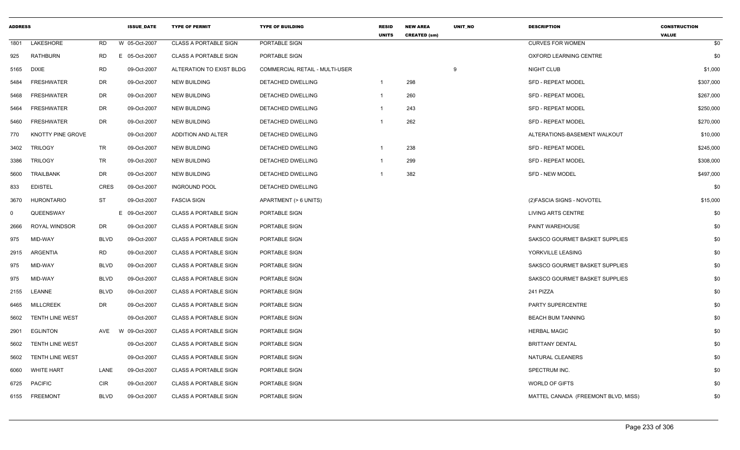| <b>ADDRESS</b> |                        |             | <b>ISSUE DATE</b> | <b>TYPE OF PERMIT</b>        | <b>TYPE OF BUILDING</b>        | <b>RESID</b><br><b>UNITS</b> | <b>NEW AREA</b><br><b>CREATED (sm)</b> | <b>UNIT NO</b> | <b>DESCRIPTION</b>                  | <b>CONSTRUCTION</b><br><b>VALUE</b> |
|----------------|------------------------|-------------|-------------------|------------------------------|--------------------------------|------------------------------|----------------------------------------|----------------|-------------------------------------|-------------------------------------|
| 1801           | LAKESHORE              | RD          | W 05-Oct-2007     | <b>CLASS A PORTABLE SIGN</b> | PORTABLE SIGN                  |                              |                                        |                | <b>CURVES FOR WOMEN</b>             | \$0                                 |
| 925            | <b>RATHBURN</b>        | <b>RD</b>   | E 05-Oct-2007     | <b>CLASS A PORTABLE SIGN</b> | PORTABLE SIGN                  |                              |                                        |                | OXFORD LEARNING CENTRE              | \$0                                 |
| 5165           | <b>DIXIE</b>           | <b>RD</b>   | 09-Oct-2007       | ALTERATION TO EXIST BLDG     | COMMERCIAL RETAIL - MULTI-USER |                              |                                        | 9              | NIGHT CLUB                          | \$1,000                             |
| 5484           | <b>FRESHWATER</b>      | DR          | 09-Oct-2007       | NEW BUILDING                 | DETACHED DWELLING              | 1                            | 298                                    |                | <b>SFD - REPEAT MODEL</b>           | \$307,000                           |
| 5468           | <b>FRESHWATER</b>      | DR          | 09-Oct-2007       | <b>NEW BUILDING</b>          | DETACHED DWELLING              | 1                            | 260                                    |                | <b>SFD - REPEAT MODEL</b>           | \$267,000                           |
| 5464           | <b>FRESHWATER</b>      | DR          | 09-Oct-2007       | NEW BUILDING                 | DETACHED DWELLING              |                              | 243                                    |                | <b>SFD - REPEAT MODEL</b>           | \$250,000                           |
| 5460           | <b>FRESHWATER</b>      | DR          | 09-Oct-2007       | <b>NEW BUILDING</b>          | DETACHED DWELLING              |                              | 262                                    |                | <b>SFD - REPEAT MODEL</b>           | \$270,000                           |
| 770            | KNOTTY PINE GROVE      |             | 09-Oct-2007       | ADDITION AND ALTER           | DETACHED DWELLING              |                              |                                        |                | ALTERATIONS-BASEMENT WALKOUT        | \$10,000                            |
| 3402           | TRILOGY                | TR          | 09-Oct-2007       | <b>NEW BUILDING</b>          | DETACHED DWELLING              | 1                            | 238                                    |                | <b>SFD - REPEAT MODEL</b>           | \$245,000                           |
| 3386           | TRILOGY                | TR          | 09-Oct-2007       | NEW BUILDING                 | DETACHED DWELLING              |                              | 299                                    |                | <b>SFD - REPEAT MODEL</b>           | \$308,000                           |
| 5600           | <b>TRAILBANK</b>       | DR          | 09-Oct-2007       | <b>NEW BUILDING</b>          | DETACHED DWELLING              |                              | 382                                    |                | <b>SFD - NEW MODEL</b>              | \$497,000                           |
| 833            | <b>EDISTEL</b>         | <b>CRES</b> | 09-Oct-2007       | <b>INGROUND POOL</b>         | DETACHED DWELLING              |                              |                                        |                |                                     | \$0                                 |
| 3670           | HURONTARIO             | ST          | 09-Oct-2007       | <b>FASCIA SIGN</b>           | APARTMENT (> 6 UNITS)          |                              |                                        |                | (2) FASCIA SIGNS - NOVOTEL          | \$15,000                            |
| $\mathbf 0$    | QUEENSWAY              |             | E 09-Oct-2007     | <b>CLASS A PORTABLE SIGN</b> | PORTABLE SIGN                  |                              |                                        |                | LIVING ARTS CENTRE                  | \$0                                 |
| 2666           | <b>ROYAL WINDSOR</b>   | DR          | 09-Oct-2007       | <b>CLASS A PORTABLE SIGN</b> | PORTABLE SIGN                  |                              |                                        |                | <b>PAINT WAREHOUSE</b>              | \$0                                 |
| 975            | MID-WAY                | <b>BLVD</b> | 09-Oct-2007       | <b>CLASS A PORTABLE SIGN</b> | PORTABLE SIGN                  |                              |                                        |                | SAKSCO GOURMET BASKET SUPPLIES      | \$0                                 |
| 2915           | ARGENTIA               | RD          | 09-Oct-2007       | <b>CLASS A PORTABLE SIGN</b> | PORTABLE SIGN                  |                              |                                        |                | YORKVILLE LEASING                   | \$0                                 |
| 975            | MID-WAY                | <b>BLVD</b> | 09-Oct-2007       | <b>CLASS A PORTABLE SIGN</b> | PORTABLE SIGN                  |                              |                                        |                | SAKSCO GOURMET BASKET SUPPLIES      | \$0                                 |
| 975            | MID-WAY                | <b>BLVD</b> | 09-Oct-2007       | <b>CLASS A PORTABLE SIGN</b> | PORTABLE SIGN                  |                              |                                        |                | SAKSCO GOURMET BASKET SUPPLIES      | \$0                                 |
| 2155           | LEANNE                 | <b>BLVD</b> | 09-Oct-2007       | <b>CLASS A PORTABLE SIGN</b> | PORTABLE SIGN                  |                              |                                        |                | 241 PIZZA                           | \$0                                 |
| 6465           | <b>MILLCREEK</b>       | DR          | 09-Oct-2007       | <b>CLASS A PORTABLE SIGN</b> | PORTABLE SIGN                  |                              |                                        |                | PARTY SUPERCENTRE                   | \$0                                 |
| 5602           | <b>TENTH LINE WEST</b> |             | 09-Oct-2007       | <b>CLASS A PORTABLE SIGN</b> | PORTABLE SIGN                  |                              |                                        |                | <b>BEACH BUM TANNING</b>            | \$0                                 |
| 2901           | <b>EGLINTON</b>        | AVE         | W 09-Oct-2007     | <b>CLASS A PORTABLE SIGN</b> | PORTABLE SIGN                  |                              |                                        |                | <b>HERBAL MAGIC</b>                 | \$0                                 |
| 5602           | <b>TENTH LINE WEST</b> |             | 09-Oct-2007       | <b>CLASS A PORTABLE SIGN</b> | PORTABLE SIGN                  |                              |                                        |                | <b>BRITTANY DENTAL</b>              | \$0                                 |
| 5602           | <b>TENTH LINE WEST</b> |             | 09-Oct-2007       | <b>CLASS A PORTABLE SIGN</b> | PORTABLE SIGN                  |                              |                                        |                | <b>NATURAL CLEANERS</b>             | \$0                                 |
| 6060           | <b>WHITE HART</b>      | LANE        | 09-Oct-2007       | <b>CLASS A PORTABLE SIGN</b> | PORTABLE SIGN                  |                              |                                        |                | SPECTRUM INC.                       | \$0                                 |
| 6725           | <b>PACIFIC</b>         | <b>CIR</b>  | 09-Oct-2007       | <b>CLASS A PORTABLE SIGN</b> | PORTABLE SIGN                  |                              |                                        |                | WORLD OF GIFTS                      | \$0                                 |
| 6155           | <b>FREEMONT</b>        | <b>BLVD</b> | 09-Oct-2007       | <b>CLASS A PORTABLE SIGN</b> | PORTABLE SIGN                  |                              |                                        |                | MATTEL CANADA (FREEMONT BLVD, MISS) | \$0                                 |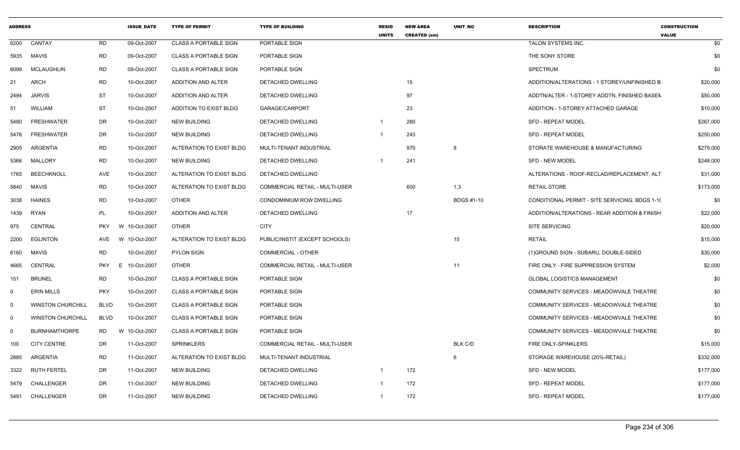| <b>ADDRESS</b> |                          |                  | <b>ISSUE DATE</b> | <b>TYPE OF PERMIT</b>        | <b>TYPE OF BUILDING</b>               | <b>RESID</b><br><b>UNITS</b> | <b>NEW AREA</b><br><b>CREATED (sm)</b> | <b>UNIT NO</b>    | <b>DESCRIPTION</b>                             | <b>CONSTRUCTION</b><br><b>VALUE</b> |
|----------------|--------------------------|------------------|-------------------|------------------------------|---------------------------------------|------------------------------|----------------------------------------|-------------------|------------------------------------------------|-------------------------------------|
| 6200           | CANTAY                   | <b>RD</b>        | 09-Oct-2007       | <b>CLASS A PORTABLE SIGN</b> | PORTABLE SIGN                         |                              |                                        |                   | TALON SYSTEMS INC.                             | \$0                                 |
| 5935           | MAVIS                    | <b>RD</b>        | 09-Oct-2007       | <b>CLASS A PORTABLE SIGN</b> | PORTABLE SIGN                         |                              |                                        |                   | THE SONY STORE                                 | \$0                                 |
| 6099           | <b>MCLAUGHLIN</b>        | <b>RD</b>        | 09-Oct-2007       | <b>CLASS A PORTABLE SIGN</b> | PORTABLE SIGN                         |                              |                                        |                   | <b>SPECTRUM</b>                                | \$0                                 |
| 21             | <b>ARCH</b>              | <b>RD</b>        | 10-Oct-2007       | ADDITION AND ALTER           | <b>DETACHED DWELLING</b>              |                              | 15                                     |                   | ADDITION/ALTERATIONS - 1 STOREY/UNFINISHED B   | \$20,000                            |
| 2494           | <b>JARVIS</b>            | <b>ST</b>        | 10-Oct-2007       | ADDITION AND ALTER           | DETACHED DWELLING                     |                              | 97                                     |                   | ADDTN/ALTER - 1-STOREY ADDTN, FINISHED BASEN   | \$50,000                            |
| 51             | <b>WILLIAM</b>           | <b>ST</b>        | 10-Oct-2007       | ADDITION TO EXIST BLDG       | GARAGE/CARPORT                        |                              | 23                                     |                   | ADDITION - 1-STOREY ATTACHED GARAGE            | \$10,000                            |
| 5480           | <b>FRESHWATER</b>        | <b>DR</b>        | 10-Oct-2007       | <b>NEW BUILDING</b>          | DETACHED DWELLING                     |                              | 260                                    |                   | <b>SFD - REPEAT MODEL</b>                      | \$267,000                           |
| 5476           | <b>FRESHWATER</b>        | DR               | 10-Oct-2007       | <b>NEW BUILDING</b>          | <b>DETACHED DWELLING</b>              | $\overline{1}$               | 243                                    |                   | <b>SFD - REPEAT MODEL</b>                      | \$250,000                           |
| 2905           | ARGENTIA                 | RD               | 10-Oct-2007       | ALTERATION TO EXIST BLDG     | MULTI-TENANT INDUSTRIAL               |                              | 970                                    | 8                 | STORATE WAREHOUSE & MANUFACTURING              | \$279,000                           |
| 5366           | <b>MALLORY</b>           | <b>RD</b>        | 10-Oct-2007       | <b>NEW BUILDING</b>          | DETACHED DWELLING                     | - 1                          | 241                                    |                   | <b>SFD - NEW MODEL</b>                         | \$248,000                           |
| 1765           | <b>BEECHKNOLL</b>        | AVE              | 10-Oct-2007       | ALTERATION TO EXIST BLDG     | DETACHED DWELLING                     |                              |                                        |                   | ALTERATIONS - ROOF-RECLAD/REPLACEMENT, ALT     | \$31,000                            |
| 5840           | <b>MAVIS</b>             | <b>RD</b>        | 10-Oct-2007       | ALTERATION TO EXIST BLDG     | <b>COMMERCIAL RETAIL - MULTI-USER</b> |                              | 600                                    | 1,3               | <b>RETAIL STORE</b>                            | \$173,000                           |
| 3038           | <b>HAINES</b>            | <b>RD</b>        | 10-Oct-2007       | <b>OTHER</b>                 | CONDOMINIUM ROW DWELLING              |                              |                                        | <b>BDGS #1-10</b> | CONDITIONAL PERMIT - SITE SERVICING, BDGS 1-10 | \$0                                 |
| 1439           | <b>RYAN</b>              | <b>PL</b>        | 10-Oct-2007       | ADDITION AND ALTER           | DETACHED DWELLING                     |                              | 17                                     |                   | ADDITION/ALTERATIONS - REAR ADDITION & FINISH  | \$22,000                            |
| 975            | CENTRAL                  | <b>PKY</b>       | W 10-Oct-2007     | <b>OTHER</b>                 | <b>CITY</b>                           |                              |                                        |                   | <b>SITE SERVICING</b>                          | \$20,000                            |
| 2200           | <b>EGLINTON</b>          | AVE              | W 10-Oct-2007     | ALTERATION TO EXIST BLDG     | PUBLIC/INSTIT (EXCEPT SCHOOLS)        |                              |                                        | 15                | <b>RETAIL</b>                                  | \$15,000                            |
| 6160           | MAVIS                    | <b>RD</b>        | 10-Oct-2007       | <b>PYLON SIGN</b>            | <b>COMMERCIAL - OTHER</b>             |                              |                                        |                   | (1) GROUND SIGN - SUBARU, DOUBLE-SIDED         | \$30,000                            |
| 4665           | CENTRAL                  | <b>PKY</b><br>E. | 10-Oct-2007       | <b>OTHER</b>                 | COMMERCIAL RETAIL - MULTI-USER        |                              |                                        | 11                | FIRE ONLY - FIRE SUPPRESSION SYSTEM            | \$2,000                             |
| 151            | <b>BRUNEL</b>            | <b>RD</b>        | 10-Oct-2007       | <b>CLASS A PORTABLE SIGN</b> | PORTABLE SIGN                         |                              |                                        |                   | <b>GLOBAL LOGISTICS MANAGEMENT</b>             | \$0                                 |
| $\Omega$       | <b>ERIN MILLS</b>        | <b>PKY</b>       | 10-Oct-2007       | <b>CLASS A PORTABLE SIGN</b> | PORTABLE SIGN                         |                              |                                        |                   | COMMUNITY SERVICES - MEADOWVALE THEATRE        | \$0                                 |
| 0              | <b>WINSTON CHURCHILL</b> | <b>BLVD</b>      | 10-Oct-2007       | <b>CLASS A PORTABLE SIGN</b> | PORTABLE SIGN                         |                              |                                        |                   | COMMUNITY SERVICES - MEADOWVALE THEATRE        | \$0                                 |
| $\Omega$       | <b>WINSTON CHURCHILL</b> | <b>BLVD</b>      | 10-Oct-2007       | <b>CLASS A PORTABLE SIGN</b> | PORTABLE SIGN                         |                              |                                        |                   | COMMUNITY SERVICES - MEADOWVALE THEATRE        | \$0                                 |
| $\Omega$       | <b>BURNHAMTHORPE</b>     | RD               | W 10-Oct-2007     | <b>CLASS A PORTABLE SIGN</b> | PORTABLE SIGN                         |                              |                                        |                   | COMMUNITY SERVICES - MEADOWVALE THEATRE        | \$0                                 |
| 100            | <b>CITY CENTRE</b>       | <b>DR</b>        | 11-Oct-2007       | <b>SPRINKLERS</b>            | COMMERCIAL RETAIL - MULTI-USER        |                              |                                        | <b>BLK C/D</b>    | FIRE ONLY-SPINKLERS                            | \$15,000                            |
| 2885           | ARGENTIA                 | <b>RD</b>        | 11-Oct-2007       | ALTERATION TO EXIST BLDG     | MULTI-TENANT INDUSTRIAL               |                              |                                        | 6                 | STORAGE WAREHOUSE (20%-RETAIL)                 | \$332,000                           |
| 3322           | <b>RUTH FERTEL</b>       | <b>DR</b>        | 11-Oct-2007       | <b>NEW BUILDING</b>          | DETACHED DWELLING                     | $\overline{\mathbf{1}}$      | 172                                    |                   | <b>SFD - NEW MODEL</b>                         | \$177,000                           |
| 5479           | CHALLENGER               | DR               | 11-Oct-2007       | <b>NEW BUILDING</b>          | DETACHED DWELLING                     |                              | 172                                    |                   | SFD - REPEAT MODEL                             | \$177,000                           |
| 5491           | CHALLENGER               | <b>DR</b>        | 11-Oct-2007       | <b>NEW BUILDING</b>          | <b>DETACHED DWELLING</b>              | $\overline{1}$               | 172                                    |                   | <b>SFD - REPEAT MODEL</b>                      | \$177,000                           |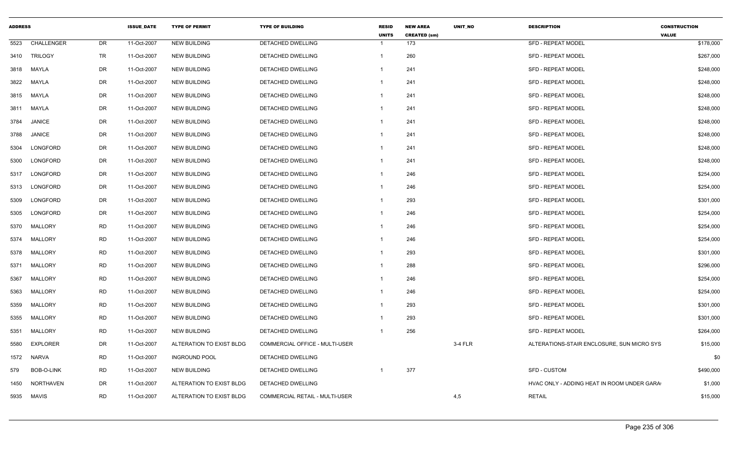| <b>ADDRESS</b> |                  |           | <b>ISSUE DATE</b> | <b>TYPE OF PERMIT</b>    | <b>TYPE OF BUILDING</b>        | <b>RESID</b><br><b>UNITS</b> | <b>NEW AREA</b><br><b>CREATED (sm)</b> | <b>UNIT NO</b> | <b>DESCRIPTION</b>                         | <b>CONSTRUCTION</b><br><b>VALUE</b> |
|----------------|------------------|-----------|-------------------|--------------------------|--------------------------------|------------------------------|----------------------------------------|----------------|--------------------------------------------|-------------------------------------|
| 5523           | CHALLENGER       | DR        | 11-Oct-2007       | <b>NEW BUILDING</b>      | <b>DETACHED DWELLING</b>       |                              | 173                                    |                | <b>SFD - REPEAT MODEL</b>                  | \$178,000                           |
| 3410           | <b>TRILOGY</b>   | TR        | 11-Oct-2007       | <b>NEW BUILDING</b>      | <b>DETACHED DWELLING</b>       | $\mathbf{1}$                 | 260                                    |                | <b>SFD - REPEAT MODEL</b>                  | \$267,000                           |
| 3818           | MAYLA            | DR        | 11-Oct-2007       | <b>NEW BUILDING</b>      | DETACHED DWELLING              |                              | 241                                    |                | <b>SFD - REPEAT MODEL</b>                  | \$248,000                           |
| 3822           | MAYLA            | DR        | 11-Oct-2007       | NEW BUILDING             | DETACHED DWELLING              |                              | 241                                    |                | <b>SFD - REPEAT MODEL</b>                  | \$248,000                           |
| 3815           | MAYLA            | DR        | 11-Oct-2007       | <b>NEW BUILDING</b>      | DETACHED DWELLING              | -1                           | 241                                    |                | <b>SFD - REPEAT MODEL</b>                  | \$248,000                           |
| 3811           | MAYLA            | DR        | 11-Oct-2007       | <b>NEW BUILDING</b>      | DETACHED DWELLING              | 1                            | 241                                    |                | <b>SFD - REPEAT MODEL</b>                  | \$248,000                           |
| 3784           | <b>JANICE</b>    | DR        | 11-Oct-2007       | <b>NEW BUILDING</b>      | DETACHED DWELLING              | 1                            | 241                                    |                | <b>SFD - REPEAT MODEL</b>                  | \$248,000                           |
| 3788           | JANICE           | DR        | 11-Oct-2007       | NEW BUILDING             | DETACHED DWELLING              | 1                            | 241                                    |                | <b>SFD - REPEAT MODEL</b>                  | \$248,000                           |
| 5304           | LONGFORD         | DR        | 11-Oct-2007       | <b>NEW BUILDING</b>      | DETACHED DWELLING              |                              | 241                                    |                | <b>SFD - REPEAT MODEL</b>                  | \$248,000                           |
| 5300           | LONGFORD         | DR        | 11-Oct-2007       | <b>NEW BUILDING</b>      | DETACHED DWELLING              | 1                            | 241                                    |                | <b>SFD - REPEAT MODEL</b>                  | \$248,000                           |
| 5317           | LONGFORD         | DR        | 11-Oct-2007       | <b>NEW BUILDING</b>      | DETACHED DWELLING              | 1                            | 246                                    |                | <b>SFD - REPEAT MODEL</b>                  | \$254,000                           |
| 5313           | LONGFORD         | DR        | 11-Oct-2007       | <b>NEW BUILDING</b>      | DETACHED DWELLING              | 1                            | 246                                    |                | <b>SFD - REPEAT MODEL</b>                  | \$254,000                           |
| 5309           | LONGFORD         | DR        | 11-Oct-2007       | <b>NEW BUILDING</b>      | DETACHED DWELLING              |                              | 293                                    |                | <b>SFD - REPEAT MODEL</b>                  | \$301,000                           |
| 5305           | LONGFORD         | DR        | 11-Oct-2007       | <b>NEW BUILDING</b>      | DETACHED DWELLING              |                              | 246                                    |                | <b>SFD - REPEAT MODEL</b>                  | \$254,000                           |
| 5370           | <b>MALLORY</b>   | <b>RD</b> | 11-Oct-2007       | NEW BUILDING             | DETACHED DWELLING              |                              | 246                                    |                | <b>SFD - REPEAT MODEL</b>                  | \$254,000                           |
| 5374           | MALLORY          | <b>RD</b> | 11-Oct-2007       | <b>NEW BUILDING</b>      | DETACHED DWELLING              | -1                           | 246                                    |                | <b>SFD - REPEAT MODEL</b>                  | \$254,000                           |
| 5378           | MALLORY          | <b>RD</b> | 11-Oct-2007       | <b>NEW BUILDING</b>      | DETACHED DWELLING              |                              | 293                                    |                | <b>SFD - REPEAT MODEL</b>                  | \$301,000                           |
| 5371           | MALLORY          | <b>RD</b> | 11-Oct-2007       | NEW BUILDING             | DETACHED DWELLING              | 1                            | 288                                    |                | <b>SFD - REPEAT MODEL</b>                  | \$296,000                           |
| 5367           | MALLORY          | <b>RD</b> | 11-Oct-2007       | <b>NEW BUILDING</b>      | DETACHED DWELLING              | 1                            | 246                                    |                | <b>SFD - REPEAT MODEL</b>                  | \$254,000                           |
| 5363           | <b>MALLORY</b>   | <b>RD</b> | 11-Oct-2007       | <b>NEW BUILDING</b>      | DETACHED DWELLING              | $\mathbf 1$                  | 246                                    |                | SFD - REPEAT MODEL                         | \$254,000                           |
| 5359           | MALLORY          | <b>RD</b> | 11-Oct-2007       | <b>NEW BUILDING</b>      | DETACHED DWELLING              | 1                            | 293                                    |                | <b>SFD - REPEAT MODEL</b>                  | \$301,000                           |
| 5355           | MALLORY          | <b>RD</b> | 11-Oct-2007       | <b>NEW BUILDING</b>      | DETACHED DWELLING              |                              | 293                                    |                | <b>SFD - REPEAT MODEL</b>                  | \$301,000                           |
| 5351           | MALLORY          | <b>RD</b> | 11-Oct-2007       | <b>NEW BUILDING</b>      | DETACHED DWELLING              |                              | 256                                    |                | <b>SFD - REPEAT MODEL</b>                  | \$264,000                           |
| 5580           | <b>EXPLORER</b>  | DR        | 11-Oct-2007       | ALTERATION TO EXIST BLDG | COMMERCIAL OFFICE - MULTI-USER |                              |                                        | 3-4 FLR        | ALTERATIONS-STAIR ENCLOSURE, SUN MICRO SYS | \$15,000                            |
| 1572           | <b>NARVA</b>     | RD        | 11-Oct-2007       | <b>INGROUND POOL</b>     | DETACHED DWELLING              |                              |                                        |                |                                            | \$0                                 |
| 579            | BOB-O-LINK       | <b>RD</b> | 11-Oct-2007       | <b>NEW BUILDING</b>      | <b>DETACHED DWELLING</b>       |                              | 377                                    |                | SFD - CUSTOM                               | \$490,000                           |
| 1450           | <b>NORTHAVEN</b> | DR        | 11-Oct-2007       | ALTERATION TO EXIST BLDG | DETACHED DWELLING              |                              |                                        |                | HVAC ONLY - ADDING HEAT IN ROOM UNDER GARA | \$1,000                             |
| 5935           | <b>MAVIS</b>     | RD        | 11-Oct-2007       | ALTERATION TO EXIST BLDG | COMMERCIAL RETAIL - MULTI-USER |                              |                                        | 4,5            | <b>RETAIL</b>                              | \$15,000                            |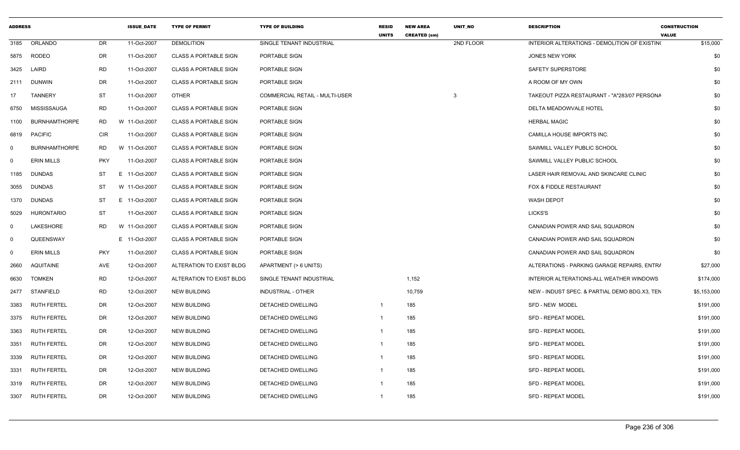| 3185<br>ORLANDO<br>DR<br>11-Oct-2007<br><b>DEMOLITION</b><br>SINGLE TENANT INDUSTRIAL<br>2ND FLOOR<br>INTERIOR ALTERATIONS - DEMOLITION OF EXISTING<br>\$15,000<br><b>DR</b><br>11-Oct-2007<br><b>CLASS A PORTABLE SIGN</b><br>PORTABLE SIGN<br>\$0<br>5875 RODEO<br><b>JONES NEW YORK</b><br>RD<br>11-Oct-2007<br><b>CLASS A PORTABLE SIGN</b><br>PORTABLE SIGN<br><b>SAFETY SUPERSTORE</b><br>\$0<br>3425<br>LAIRD<br>DR<br>PORTABLE SIGN<br>\$0<br>2111 DUNWIN<br>11-Oct-2007<br><b>CLASS A PORTABLE SIGN</b><br>A ROOM OF MY OWN<br><b>OTHER</b><br><b>COMMERCIAL RETAIL - MULTI-USER</b><br><b>TANNERY</b><br>ST<br>11-Oct-2007<br>TAKEOUT PIZZA RESTAURANT - "A"283/07 PERSONA<br>\$0<br>17<br>3<br>MISSISSAUGA<br>RD<br>11-Oct-2007<br><b>CLASS A PORTABLE SIGN</b><br>PORTABLE SIGN<br>DELTA MEADOWVALE HOTEL<br>\$0<br>6750<br><b>BURNHAMTHORPE</b><br><b>RD</b><br><b>HERBAL MAGIC</b><br>\$0<br>W 11-Oct-2007<br><b>CLASS A PORTABLE SIGN</b><br>PORTABLE SIGN<br>1100<br>6819 PACIFIC<br><b>CIR</b><br>11-Oct-2007<br><b>CLASS A PORTABLE SIGN</b><br>PORTABLE SIGN<br>CAMILLA HOUSE IMPORTS INC.<br>\$0<br><b>BURNHAMTHORPE</b><br>RD<br>W 11-Oct-2007<br><b>CLASS A PORTABLE SIGN</b><br>PORTABLE SIGN<br>SAWMILL VALLEY PUBLIC SCHOOL<br>\$0<br>0<br><b>ERIN MILLS</b><br><b>PKY</b><br>11-Oct-2007<br><b>CLASS A PORTABLE SIGN</b><br>PORTABLE SIGN<br>SAWMILL VALLEY PUBLIC SCHOOL<br>\$0<br>$\Omega$<br>E 11-Oct-2007<br>LASER HAIR REMOVAL AND SKINCARE CLINIC<br>\$0<br><b>DUNDAS</b><br>ST<br><b>CLASS A PORTABLE SIGN</b><br>PORTABLE SIGN<br>1185<br>FOX & FIDDLE RESTAURANT<br><b>DUNDAS</b><br>ST<br>W 11-Oct-2007<br><b>CLASS A PORTABLE SIGN</b><br>PORTABLE SIGN<br>\$0<br>3055<br><b>ST</b><br>E 11-Oct-2007<br><b>CLASS A PORTABLE SIGN</b><br>PORTABLE SIGN<br><b>WASH DEPOT</b><br>\$0<br>1370 DUNDAS<br>\$0<br><b>HURONTARIO</b><br>ST<br>11-Oct-2007<br><b>CLASS A PORTABLE SIGN</b><br>PORTABLE SIGN<br>LICKS'S<br>5029<br>LAKESHORE<br>RD<br>W 11-Oct-2007<br><b>CLASS A PORTABLE SIGN</b><br>PORTABLE SIGN<br>CANADIAN POWER AND SAIL SQUADRON<br>\$0<br>$\Omega$<br>QUEENSWAY<br>E 11-Oct-2007<br><b>CLASS A PORTABLE SIGN</b><br>PORTABLE SIGN<br>CANADIAN POWER AND SAIL SQUADRON<br>\$0<br>- 0<br><b>ERIN MILLS</b><br><b>PKY</b><br>11-Oct-2007<br>CANADIAN POWER AND SAIL SQUADRON<br>\$0<br><b>CLASS A PORTABLE SIGN</b><br>PORTABLE SIGN<br>- 0<br>AVE<br>12-Oct-2007<br>ALTERATION TO EXIST BLDG<br>APARTMENT (> 6 UNITS)<br>ALTERATIONS - PARKING GARAGE REPAIRS, ENTRA<br>\$27,000<br>2660<br>AQUITAINE<br>RD<br>12-Oct-2007<br>ALTERATION TO EXIST BLDG<br>1,152<br>INTERIOR ALTERATIONS-ALL WEATHER WINDOWS<br>6630<br>TOMKEN<br>SINGLE TENANT INDUSTRIAL<br>\$174,000<br><b>RD</b><br>12-Oct-2007<br>10,759<br>NEW - INDUST SPEC. & PARTIAL DEMO BDG.X3, TEN<br>\$5,153,000<br>STANFIELD<br>NEW BUILDING<br>INDUSTRIAL - OTHER<br>2477<br>185<br><b>RUTH FERTEL</b><br>DR<br>12-Oct-2007<br>NEW BUILDING<br>DETACHED DWELLING<br>SFD - NEW MODEL<br>\$191,000<br>3383<br>$\mathbf 1$<br>DR<br>12-Oct-2007<br>185<br>3375 RUTH FERTEL<br><b>NEW BUILDING</b><br>DETACHED DWELLING<br><b>SFD - REPEAT MODEL</b><br>\$191,000<br>$\mathbf 1$<br><b>RUTH FERTEL</b><br>DR<br>12-Oct-2007<br>185<br>SFD - REPEAT MODEL<br>\$191,000<br>NEW BUILDING<br>DETACHED DWELLING<br>3363<br><b>RUTH FERTEL</b><br><b>DR</b><br>185<br>12-Oct-2007<br><b>NEW BUILDING</b><br>DETACHED DWELLING<br><b>SFD - REPEAT MODEL</b><br>\$191,000<br>3351<br><b>RUTH FERTEL</b><br>DR<br>12-Oct-2007<br>NEW BUILDING<br>DETACHED DWELLING<br>185<br><b>SFD - REPEAT MODEL</b><br>\$191,000<br>3339<br><b>RUTH FERTEL</b><br>DR<br>12-Oct-2007<br><b>NEW BUILDING</b><br>DETACHED DWELLING<br>185<br>SFD - REPEAT MODEL<br>\$191,000<br>3331<br>185<br>\$191,000<br>RUTH FERTEL<br>DR<br>12-Oct-2007<br><b>NEW BUILDING</b><br>DETACHED DWELLING<br><b>SFD - REPEAT MODEL</b><br>3319<br>3307 RUTH FERTEL<br><b>DR</b><br>185<br>12-Oct-2007<br><b>NEW BUILDING</b><br>DETACHED DWELLING<br><b>SFD - REPEAT MODEL</b><br>\$191,000<br>-1 | <b>ADDRESS</b> |  | <b>ISSUE DATE</b> | <b>TYPE OF PERMIT</b> | <b>TYPE OF BUILDING</b> | <b>RESID</b><br><b>UNITS</b> | <b>NEW AREA</b><br><b>CREATED (sm)</b> | UNIT NO | <b>DESCRIPTION</b> | <b>CONSTRUCTION</b><br><b>VALUE</b> |
|---------------------------------------------------------------------------------------------------------------------------------------------------------------------------------------------------------------------------------------------------------------------------------------------------------------------------------------------------------------------------------------------------------------------------------------------------------------------------------------------------------------------------------------------------------------------------------------------------------------------------------------------------------------------------------------------------------------------------------------------------------------------------------------------------------------------------------------------------------------------------------------------------------------------------------------------------------------------------------------------------------------------------------------------------------------------------------------------------------------------------------------------------------------------------------------------------------------------------------------------------------------------------------------------------------------------------------------------------------------------------------------------------------------------------------------------------------------------------------------------------------------------------------------------------------------------------------------------------------------------------------------------------------------------------------------------------------------------------------------------------------------------------------------------------------------------------------------------------------------------------------------------------------------------------------------------------------------------------------------------------------------------------------------------------------------------------------------------------------------------------------------------------------------------------------------------------------------------------------------------------------------------------------------------------------------------------------------------------------------------------------------------------------------------------------------------------------------------------------------------------------------------------------------------------------------------------------------------------------------------------------------------------------------------------------------------------------------------------------------------------------------------------------------------------------------------------------------------------------------------------------------------------------------------------------------------------------------------------------------------------------------------------------------------------------------------------------------------------------------------------------------------------------------------------------------------------------------------------------------------------------------------------------------------------------------------------------------------------------------------------------------------------------------------------------------------------------------------------------------------------------------------------------------------------------------------------------------------------------------------------------------------------------------------------------------------------------------------------------------------------------------------------------------------------------------------------------------------------------------------------------------------------------------------------------------------------------------------------------------------------------------------------------------------------------------------|----------------|--|-------------------|-----------------------|-------------------------|------------------------------|----------------------------------------|---------|--------------------|-------------------------------------|
|                                                                                                                                                                                                                                                                                                                                                                                                                                                                                                                                                                                                                                                                                                                                                                                                                                                                                                                                                                                                                                                                                                                                                                                                                                                                                                                                                                                                                                                                                                                                                                                                                                                                                                                                                                                                                                                                                                                                                                                                                                                                                                                                                                                                                                                                                                                                                                                                                                                                                                                                                                                                                                                                                                                                                                                                                                                                                                                                                                                                                                                                                                                                                                                                                                                                                                                                                                                                                                                                                                                                                                                                                                                                                                                                                                                                                                                                                                                                                                                                                                                                     |                |  |                   |                       |                         |                              |                                        |         |                    |                                     |
|                                                                                                                                                                                                                                                                                                                                                                                                                                                                                                                                                                                                                                                                                                                                                                                                                                                                                                                                                                                                                                                                                                                                                                                                                                                                                                                                                                                                                                                                                                                                                                                                                                                                                                                                                                                                                                                                                                                                                                                                                                                                                                                                                                                                                                                                                                                                                                                                                                                                                                                                                                                                                                                                                                                                                                                                                                                                                                                                                                                                                                                                                                                                                                                                                                                                                                                                                                                                                                                                                                                                                                                                                                                                                                                                                                                                                                                                                                                                                                                                                                                                     |                |  |                   |                       |                         |                              |                                        |         |                    |                                     |
|                                                                                                                                                                                                                                                                                                                                                                                                                                                                                                                                                                                                                                                                                                                                                                                                                                                                                                                                                                                                                                                                                                                                                                                                                                                                                                                                                                                                                                                                                                                                                                                                                                                                                                                                                                                                                                                                                                                                                                                                                                                                                                                                                                                                                                                                                                                                                                                                                                                                                                                                                                                                                                                                                                                                                                                                                                                                                                                                                                                                                                                                                                                                                                                                                                                                                                                                                                                                                                                                                                                                                                                                                                                                                                                                                                                                                                                                                                                                                                                                                                                                     |                |  |                   |                       |                         |                              |                                        |         |                    |                                     |
|                                                                                                                                                                                                                                                                                                                                                                                                                                                                                                                                                                                                                                                                                                                                                                                                                                                                                                                                                                                                                                                                                                                                                                                                                                                                                                                                                                                                                                                                                                                                                                                                                                                                                                                                                                                                                                                                                                                                                                                                                                                                                                                                                                                                                                                                                                                                                                                                                                                                                                                                                                                                                                                                                                                                                                                                                                                                                                                                                                                                                                                                                                                                                                                                                                                                                                                                                                                                                                                                                                                                                                                                                                                                                                                                                                                                                                                                                                                                                                                                                                                                     |                |  |                   |                       |                         |                              |                                        |         |                    |                                     |
|                                                                                                                                                                                                                                                                                                                                                                                                                                                                                                                                                                                                                                                                                                                                                                                                                                                                                                                                                                                                                                                                                                                                                                                                                                                                                                                                                                                                                                                                                                                                                                                                                                                                                                                                                                                                                                                                                                                                                                                                                                                                                                                                                                                                                                                                                                                                                                                                                                                                                                                                                                                                                                                                                                                                                                                                                                                                                                                                                                                                                                                                                                                                                                                                                                                                                                                                                                                                                                                                                                                                                                                                                                                                                                                                                                                                                                                                                                                                                                                                                                                                     |                |  |                   |                       |                         |                              |                                        |         |                    |                                     |
|                                                                                                                                                                                                                                                                                                                                                                                                                                                                                                                                                                                                                                                                                                                                                                                                                                                                                                                                                                                                                                                                                                                                                                                                                                                                                                                                                                                                                                                                                                                                                                                                                                                                                                                                                                                                                                                                                                                                                                                                                                                                                                                                                                                                                                                                                                                                                                                                                                                                                                                                                                                                                                                                                                                                                                                                                                                                                                                                                                                                                                                                                                                                                                                                                                                                                                                                                                                                                                                                                                                                                                                                                                                                                                                                                                                                                                                                                                                                                                                                                                                                     |                |  |                   |                       |                         |                              |                                        |         |                    |                                     |
|                                                                                                                                                                                                                                                                                                                                                                                                                                                                                                                                                                                                                                                                                                                                                                                                                                                                                                                                                                                                                                                                                                                                                                                                                                                                                                                                                                                                                                                                                                                                                                                                                                                                                                                                                                                                                                                                                                                                                                                                                                                                                                                                                                                                                                                                                                                                                                                                                                                                                                                                                                                                                                                                                                                                                                                                                                                                                                                                                                                                                                                                                                                                                                                                                                                                                                                                                                                                                                                                                                                                                                                                                                                                                                                                                                                                                                                                                                                                                                                                                                                                     |                |  |                   |                       |                         |                              |                                        |         |                    |                                     |
|                                                                                                                                                                                                                                                                                                                                                                                                                                                                                                                                                                                                                                                                                                                                                                                                                                                                                                                                                                                                                                                                                                                                                                                                                                                                                                                                                                                                                                                                                                                                                                                                                                                                                                                                                                                                                                                                                                                                                                                                                                                                                                                                                                                                                                                                                                                                                                                                                                                                                                                                                                                                                                                                                                                                                                                                                                                                                                                                                                                                                                                                                                                                                                                                                                                                                                                                                                                                                                                                                                                                                                                                                                                                                                                                                                                                                                                                                                                                                                                                                                                                     |                |  |                   |                       |                         |                              |                                        |         |                    |                                     |
|                                                                                                                                                                                                                                                                                                                                                                                                                                                                                                                                                                                                                                                                                                                                                                                                                                                                                                                                                                                                                                                                                                                                                                                                                                                                                                                                                                                                                                                                                                                                                                                                                                                                                                                                                                                                                                                                                                                                                                                                                                                                                                                                                                                                                                                                                                                                                                                                                                                                                                                                                                                                                                                                                                                                                                                                                                                                                                                                                                                                                                                                                                                                                                                                                                                                                                                                                                                                                                                                                                                                                                                                                                                                                                                                                                                                                                                                                                                                                                                                                                                                     |                |  |                   |                       |                         |                              |                                        |         |                    |                                     |
|                                                                                                                                                                                                                                                                                                                                                                                                                                                                                                                                                                                                                                                                                                                                                                                                                                                                                                                                                                                                                                                                                                                                                                                                                                                                                                                                                                                                                                                                                                                                                                                                                                                                                                                                                                                                                                                                                                                                                                                                                                                                                                                                                                                                                                                                                                                                                                                                                                                                                                                                                                                                                                                                                                                                                                                                                                                                                                                                                                                                                                                                                                                                                                                                                                                                                                                                                                                                                                                                                                                                                                                                                                                                                                                                                                                                                                                                                                                                                                                                                                                                     |                |  |                   |                       |                         |                              |                                        |         |                    |                                     |
|                                                                                                                                                                                                                                                                                                                                                                                                                                                                                                                                                                                                                                                                                                                                                                                                                                                                                                                                                                                                                                                                                                                                                                                                                                                                                                                                                                                                                                                                                                                                                                                                                                                                                                                                                                                                                                                                                                                                                                                                                                                                                                                                                                                                                                                                                                                                                                                                                                                                                                                                                                                                                                                                                                                                                                                                                                                                                                                                                                                                                                                                                                                                                                                                                                                                                                                                                                                                                                                                                                                                                                                                                                                                                                                                                                                                                                                                                                                                                                                                                                                                     |                |  |                   |                       |                         |                              |                                        |         |                    |                                     |
|                                                                                                                                                                                                                                                                                                                                                                                                                                                                                                                                                                                                                                                                                                                                                                                                                                                                                                                                                                                                                                                                                                                                                                                                                                                                                                                                                                                                                                                                                                                                                                                                                                                                                                                                                                                                                                                                                                                                                                                                                                                                                                                                                                                                                                                                                                                                                                                                                                                                                                                                                                                                                                                                                                                                                                                                                                                                                                                                                                                                                                                                                                                                                                                                                                                                                                                                                                                                                                                                                                                                                                                                                                                                                                                                                                                                                                                                                                                                                                                                                                                                     |                |  |                   |                       |                         |                              |                                        |         |                    |                                     |
|                                                                                                                                                                                                                                                                                                                                                                                                                                                                                                                                                                                                                                                                                                                                                                                                                                                                                                                                                                                                                                                                                                                                                                                                                                                                                                                                                                                                                                                                                                                                                                                                                                                                                                                                                                                                                                                                                                                                                                                                                                                                                                                                                                                                                                                                                                                                                                                                                                                                                                                                                                                                                                                                                                                                                                                                                                                                                                                                                                                                                                                                                                                                                                                                                                                                                                                                                                                                                                                                                                                                                                                                                                                                                                                                                                                                                                                                                                                                                                                                                                                                     |                |  |                   |                       |                         |                              |                                        |         |                    |                                     |
|                                                                                                                                                                                                                                                                                                                                                                                                                                                                                                                                                                                                                                                                                                                                                                                                                                                                                                                                                                                                                                                                                                                                                                                                                                                                                                                                                                                                                                                                                                                                                                                                                                                                                                                                                                                                                                                                                                                                                                                                                                                                                                                                                                                                                                                                                                                                                                                                                                                                                                                                                                                                                                                                                                                                                                                                                                                                                                                                                                                                                                                                                                                                                                                                                                                                                                                                                                                                                                                                                                                                                                                                                                                                                                                                                                                                                                                                                                                                                                                                                                                                     |                |  |                   |                       |                         |                              |                                        |         |                    |                                     |
|                                                                                                                                                                                                                                                                                                                                                                                                                                                                                                                                                                                                                                                                                                                                                                                                                                                                                                                                                                                                                                                                                                                                                                                                                                                                                                                                                                                                                                                                                                                                                                                                                                                                                                                                                                                                                                                                                                                                                                                                                                                                                                                                                                                                                                                                                                                                                                                                                                                                                                                                                                                                                                                                                                                                                                                                                                                                                                                                                                                                                                                                                                                                                                                                                                                                                                                                                                                                                                                                                                                                                                                                                                                                                                                                                                                                                                                                                                                                                                                                                                                                     |                |  |                   |                       |                         |                              |                                        |         |                    |                                     |
|                                                                                                                                                                                                                                                                                                                                                                                                                                                                                                                                                                                                                                                                                                                                                                                                                                                                                                                                                                                                                                                                                                                                                                                                                                                                                                                                                                                                                                                                                                                                                                                                                                                                                                                                                                                                                                                                                                                                                                                                                                                                                                                                                                                                                                                                                                                                                                                                                                                                                                                                                                                                                                                                                                                                                                                                                                                                                                                                                                                                                                                                                                                                                                                                                                                                                                                                                                                                                                                                                                                                                                                                                                                                                                                                                                                                                                                                                                                                                                                                                                                                     |                |  |                   |                       |                         |                              |                                        |         |                    |                                     |
|                                                                                                                                                                                                                                                                                                                                                                                                                                                                                                                                                                                                                                                                                                                                                                                                                                                                                                                                                                                                                                                                                                                                                                                                                                                                                                                                                                                                                                                                                                                                                                                                                                                                                                                                                                                                                                                                                                                                                                                                                                                                                                                                                                                                                                                                                                                                                                                                                                                                                                                                                                                                                                                                                                                                                                                                                                                                                                                                                                                                                                                                                                                                                                                                                                                                                                                                                                                                                                                                                                                                                                                                                                                                                                                                                                                                                                                                                                                                                                                                                                                                     |                |  |                   |                       |                         |                              |                                        |         |                    |                                     |
|                                                                                                                                                                                                                                                                                                                                                                                                                                                                                                                                                                                                                                                                                                                                                                                                                                                                                                                                                                                                                                                                                                                                                                                                                                                                                                                                                                                                                                                                                                                                                                                                                                                                                                                                                                                                                                                                                                                                                                                                                                                                                                                                                                                                                                                                                                                                                                                                                                                                                                                                                                                                                                                                                                                                                                                                                                                                                                                                                                                                                                                                                                                                                                                                                                                                                                                                                                                                                                                                                                                                                                                                                                                                                                                                                                                                                                                                                                                                                                                                                                                                     |                |  |                   |                       |                         |                              |                                        |         |                    |                                     |
|                                                                                                                                                                                                                                                                                                                                                                                                                                                                                                                                                                                                                                                                                                                                                                                                                                                                                                                                                                                                                                                                                                                                                                                                                                                                                                                                                                                                                                                                                                                                                                                                                                                                                                                                                                                                                                                                                                                                                                                                                                                                                                                                                                                                                                                                                                                                                                                                                                                                                                                                                                                                                                                                                                                                                                                                                                                                                                                                                                                                                                                                                                                                                                                                                                                                                                                                                                                                                                                                                                                                                                                                                                                                                                                                                                                                                                                                                                                                                                                                                                                                     |                |  |                   |                       |                         |                              |                                        |         |                    |                                     |
|                                                                                                                                                                                                                                                                                                                                                                                                                                                                                                                                                                                                                                                                                                                                                                                                                                                                                                                                                                                                                                                                                                                                                                                                                                                                                                                                                                                                                                                                                                                                                                                                                                                                                                                                                                                                                                                                                                                                                                                                                                                                                                                                                                                                                                                                                                                                                                                                                                                                                                                                                                                                                                                                                                                                                                                                                                                                                                                                                                                                                                                                                                                                                                                                                                                                                                                                                                                                                                                                                                                                                                                                                                                                                                                                                                                                                                                                                                                                                                                                                                                                     |                |  |                   |                       |                         |                              |                                        |         |                    |                                     |
|                                                                                                                                                                                                                                                                                                                                                                                                                                                                                                                                                                                                                                                                                                                                                                                                                                                                                                                                                                                                                                                                                                                                                                                                                                                                                                                                                                                                                                                                                                                                                                                                                                                                                                                                                                                                                                                                                                                                                                                                                                                                                                                                                                                                                                                                                                                                                                                                                                                                                                                                                                                                                                                                                                                                                                                                                                                                                                                                                                                                                                                                                                                                                                                                                                                                                                                                                                                                                                                                                                                                                                                                                                                                                                                                                                                                                                                                                                                                                                                                                                                                     |                |  |                   |                       |                         |                              |                                        |         |                    |                                     |
|                                                                                                                                                                                                                                                                                                                                                                                                                                                                                                                                                                                                                                                                                                                                                                                                                                                                                                                                                                                                                                                                                                                                                                                                                                                                                                                                                                                                                                                                                                                                                                                                                                                                                                                                                                                                                                                                                                                                                                                                                                                                                                                                                                                                                                                                                                                                                                                                                                                                                                                                                                                                                                                                                                                                                                                                                                                                                                                                                                                                                                                                                                                                                                                                                                                                                                                                                                                                                                                                                                                                                                                                                                                                                                                                                                                                                                                                                                                                                                                                                                                                     |                |  |                   |                       |                         |                              |                                        |         |                    |                                     |
|                                                                                                                                                                                                                                                                                                                                                                                                                                                                                                                                                                                                                                                                                                                                                                                                                                                                                                                                                                                                                                                                                                                                                                                                                                                                                                                                                                                                                                                                                                                                                                                                                                                                                                                                                                                                                                                                                                                                                                                                                                                                                                                                                                                                                                                                                                                                                                                                                                                                                                                                                                                                                                                                                                                                                                                                                                                                                                                                                                                                                                                                                                                                                                                                                                                                                                                                                                                                                                                                                                                                                                                                                                                                                                                                                                                                                                                                                                                                                                                                                                                                     |                |  |                   |                       |                         |                              |                                        |         |                    |                                     |
|                                                                                                                                                                                                                                                                                                                                                                                                                                                                                                                                                                                                                                                                                                                                                                                                                                                                                                                                                                                                                                                                                                                                                                                                                                                                                                                                                                                                                                                                                                                                                                                                                                                                                                                                                                                                                                                                                                                                                                                                                                                                                                                                                                                                                                                                                                                                                                                                                                                                                                                                                                                                                                                                                                                                                                                                                                                                                                                                                                                                                                                                                                                                                                                                                                                                                                                                                                                                                                                                                                                                                                                                                                                                                                                                                                                                                                                                                                                                                                                                                                                                     |                |  |                   |                       |                         |                              |                                        |         |                    |                                     |
|                                                                                                                                                                                                                                                                                                                                                                                                                                                                                                                                                                                                                                                                                                                                                                                                                                                                                                                                                                                                                                                                                                                                                                                                                                                                                                                                                                                                                                                                                                                                                                                                                                                                                                                                                                                                                                                                                                                                                                                                                                                                                                                                                                                                                                                                                                                                                                                                                                                                                                                                                                                                                                                                                                                                                                                                                                                                                                                                                                                                                                                                                                                                                                                                                                                                                                                                                                                                                                                                                                                                                                                                                                                                                                                                                                                                                                                                                                                                                                                                                                                                     |                |  |                   |                       |                         |                              |                                        |         |                    |                                     |
|                                                                                                                                                                                                                                                                                                                                                                                                                                                                                                                                                                                                                                                                                                                                                                                                                                                                                                                                                                                                                                                                                                                                                                                                                                                                                                                                                                                                                                                                                                                                                                                                                                                                                                                                                                                                                                                                                                                                                                                                                                                                                                                                                                                                                                                                                                                                                                                                                                                                                                                                                                                                                                                                                                                                                                                                                                                                                                                                                                                                                                                                                                                                                                                                                                                                                                                                                                                                                                                                                                                                                                                                                                                                                                                                                                                                                                                                                                                                                                                                                                                                     |                |  |                   |                       |                         |                              |                                        |         |                    |                                     |
|                                                                                                                                                                                                                                                                                                                                                                                                                                                                                                                                                                                                                                                                                                                                                                                                                                                                                                                                                                                                                                                                                                                                                                                                                                                                                                                                                                                                                                                                                                                                                                                                                                                                                                                                                                                                                                                                                                                                                                                                                                                                                                                                                                                                                                                                                                                                                                                                                                                                                                                                                                                                                                                                                                                                                                                                                                                                                                                                                                                                                                                                                                                                                                                                                                                                                                                                                                                                                                                                                                                                                                                                                                                                                                                                                                                                                                                                                                                                                                                                                                                                     |                |  |                   |                       |                         |                              |                                        |         |                    |                                     |
|                                                                                                                                                                                                                                                                                                                                                                                                                                                                                                                                                                                                                                                                                                                                                                                                                                                                                                                                                                                                                                                                                                                                                                                                                                                                                                                                                                                                                                                                                                                                                                                                                                                                                                                                                                                                                                                                                                                                                                                                                                                                                                                                                                                                                                                                                                                                                                                                                                                                                                                                                                                                                                                                                                                                                                                                                                                                                                                                                                                                                                                                                                                                                                                                                                                                                                                                                                                                                                                                                                                                                                                                                                                                                                                                                                                                                                                                                                                                                                                                                                                                     |                |  |                   |                       |                         |                              |                                        |         |                    |                                     |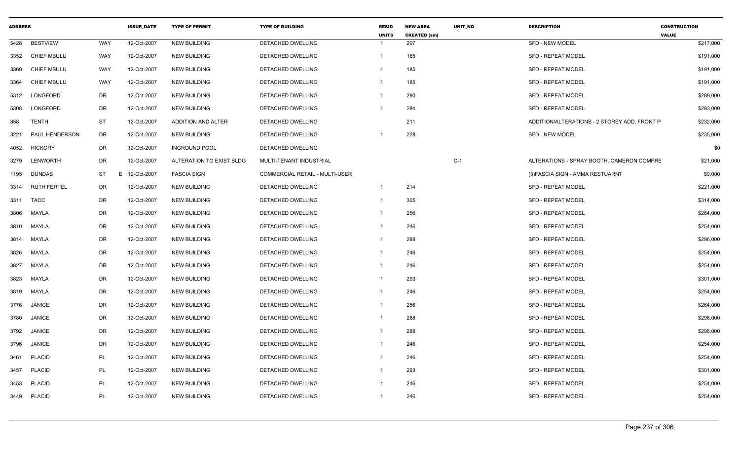| <b>ADDRESS</b> |                    |           | <b>ISSUE_DATE</b> | <b>TYPE OF PERMIT</b>    | <b>TYPE OF BUILDING</b>               | <b>RESID</b><br><b>UNITS</b> | <b>NEW AREA</b><br><b>CREATED (sm)</b> | UNIT_NO | <b>DESCRIPTION</b>                           | <b>CONSTRUCTION</b><br><b>VALUE</b> |
|----------------|--------------------|-----------|-------------------|--------------------------|---------------------------------------|------------------------------|----------------------------------------|---------|----------------------------------------------|-------------------------------------|
| 5428           | <b>BESTVIEW</b>    | WAY       | 12-Oct-2007       | <b>NEW BUILDING</b>      | DETACHED DWELLING                     | 1                            | 207                                    |         | <b>SFD - NEW MODEL</b>                       | \$217,000                           |
| 3352           | <b>CHIEF MBULU</b> | WAY       | 12-Oct-2007       | <b>NEW BUILDING</b>      | DETACHED DWELLING                     | 1                            | 185                                    |         | <b>SFD - REPEAT MODEL</b>                    | \$191,000                           |
| 3360           | <b>CHIEF MBULU</b> | WAY       | 12-Oct-2007       | <b>NEW BUILDING</b>      | DETACHED DWELLING                     | -1                           | 185                                    |         | <b>SFD - REPEAT MODEL</b>                    | \$191,000                           |
| 3364           | <b>CHIEF MBULU</b> | WAY       | 12-Oct-2007       | <b>NEW BUILDING</b>      | DETACHED DWELLING                     | 1                            | 185                                    |         | <b>SFD - REPEAT MODEL</b>                    | \$191,000                           |
| 5312           | LONGFORD           | DR        | 12-Oct-2007       | <b>NEW BUILDING</b>      | DETACHED DWELLING                     | 1                            | 280                                    |         | <b>SFD - REPEAT MODEL</b>                    | \$289,000                           |
| 5308           | <b>LONGFORD</b>    | DR        | 12-Oct-2007       | <b>NEW BUILDING</b>      | DETACHED DWELLING                     |                              | 284                                    |         | <b>SFD - REPEAT MODEL</b>                    | \$293,000                           |
| 858            | TENTH              | ST        | 12-Oct-2007       | ADDITION AND ALTER       | DETACHED DWELLING                     |                              | 211                                    |         | ADDITION/ALTERATIONS - 2 STOREY ADD, FRONT P | \$232,000                           |
| 3221           | PAUL HENDERSON     | DR        | 12-Oct-2007       | <b>NEW BUILDING</b>      | DETACHED DWELLING                     |                              | 228                                    |         | <b>SFD - NEW MODEL</b>                       | \$235,000                           |
| 4052           | <b>HICKORY</b>     | DR        | 12-Oct-2007       | <b>INGROUND POOL</b>     | DETACHED DWELLING                     |                              |                                        |         |                                              | \$0                                 |
| 3279           | <b>LENWORTH</b>    | DR        | 12-Oct-2007       | ALTERATION TO EXIST BLDG | MULTI-TENANT INDUSTRIAL               |                              |                                        | $C-1$   | ALTERATIONS - SPRAY BOOTH, CAMERON COMPRE    | \$21,000                            |
| 1195           | <b>DUNDAS</b>      | <b>ST</b> | E 12-Oct-2007     | <b>FASCIA SIGN</b>       | <b>COMMERCIAL RETAIL - MULTI-USER</b> |                              |                                        |         | (3) FASCIA SIGN - AMMA RESTUARNT             | \$9,000                             |
| 3314           | <b>RUTH FERTEL</b> | DR.       | 12-Oct-2007       | <b>NEW BUILDING</b>      | DETACHED DWELLING                     | $\mathbf 1$                  | 214                                    |         | <b>SFD - REPEAT MODEL</b>                    | \$221,000                           |
| 3311           | <b>TACC</b>        | DR        | 12-Oct-2007       | <b>NEW BUILDING</b>      | DETACHED DWELLING                     | 1                            | 305                                    |         | <b>SFD - REPEAT MODEL</b>                    | \$314,000                           |
| 3806           | MAYLA              | <b>DR</b> | 12-Oct-2007       | <b>NEW BUILDING</b>      | DETACHED DWELLING                     | 1                            | 256                                    |         | <b>SFD - REPEAT MODEL</b>                    | \$264,000                           |
| 3810           | MAYLA              | DR        | 12-Oct-2007       | <b>NEW BUILDING</b>      | DETACHED DWELLING                     | $\mathbf 1$                  | 246                                    |         | SFD - REPEAT MODEL                           | \$254,000                           |
| 3814           | MAYLA              | DR        | 12-Oct-2007       | <b>NEW BUILDING</b>      | <b>DETACHED DWELLING</b>              | 1                            | 288                                    |         | <b>SFD - REPEAT MODEL</b>                    | \$296,000                           |
| 3826           | MAYLA              | <b>DR</b> | 12-Oct-2007       | <b>NEW BUILDING</b>      | DETACHED DWELLING                     |                              | 246                                    |         | SFD - REPEAT MODEL                           | \$254,000                           |
| 3827           | MAYLA              | DR        | 12-Oct-2007       | <b>NEW BUILDING</b>      | DETACHED DWELLING                     | 1                            | 246                                    |         | <b>SFD - REPEAT MODEL</b>                    | \$254,000                           |
| 3823           | MAYLA              | DR        | 12-Oct-2007       | <b>NEW BUILDING</b>      | <b>DETACHED DWELLING</b>              | $\mathbf 1$                  | 293                                    |         | <b>SFD - REPEAT MODEL</b>                    | \$301,000                           |
| 3819           | MAYLA              | DR        | 12-Oct-2007       | <b>NEW BUILDING</b>      | DETACHED DWELLING                     | $\mathbf 1$                  | 246                                    |         | <b>SFD - REPEAT MODEL</b>                    | \$254,000                           |
| 3776           | <b>JANICE</b>      | DR        | 12-Oct-2007       | <b>NEW BUILDING</b>      | DETACHED DWELLING                     |                              | 256                                    |         | <b>SFD - REPEAT MODEL</b>                    | \$264,000                           |
| 3780           | <b>JANICE</b>      | DR        | 12-Oct-2007       | <b>NEW BUILDING</b>      | DETACHED DWELLING                     |                              | 288                                    |         | <b>SFD - REPEAT MODEL</b>                    | \$296,000                           |
| 3792           | <b>JANICE</b>      | <b>DR</b> | 12-Oct-2007       | <b>NEW BUILDING</b>      | DETACHED DWELLING                     |                              | 288                                    |         | <b>SFD - REPEAT MODEL</b>                    | \$296,000                           |
| 3796           | <b>JANICE</b>      | DR        | 12-Oct-2007       | <b>NEW BUILDING</b>      | DETACHED DWELLING                     |                              | 246                                    |         | <b>SFD - REPEAT MODEL</b>                    | \$254,000                           |
| 3461           | <b>PLACID</b>      | PL        | 12-Oct-2007       | <b>NEW BUILDING</b>      | DETACHED DWELLING                     | -1                           | 246                                    |         | SFD - REPEAT MODEL                           | \$254,000                           |
| 3457           | <b>PLACID</b>      | PL        | 12-Oct-2007       | <b>NEW BUILDING</b>      | DETACHED DWELLING                     | -1                           | 293                                    |         | <b>SFD - REPEAT MODEL</b>                    | \$301,000                           |
| 3453           | <b>PLACID</b>      | PL        | 12-Oct-2007       | <b>NEW BUILDING</b>      | DETACHED DWELLING                     | 1                            | 246                                    |         | <b>SFD - REPEAT MODEL</b>                    | \$254,000                           |
| 3449           | <b>PLACID</b>      | PL        | 12-Oct-2007       | <b>NEW BUILDING</b>      | <b>DETACHED DWELLING</b>              | 1                            | 246                                    |         | <b>SFD - REPEAT MODEL</b>                    | \$254,000                           |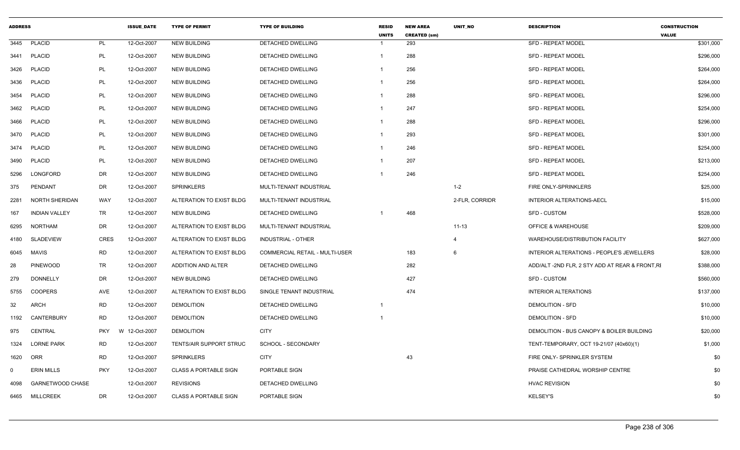| <b>ADDRESS</b> |                         |            | <b>ISSUE DATE</b> | <b>TYPE OF PERMIT</b>        | <b>TYPE OF BUILDING</b>        | <b>RESID</b><br><b>UNITS</b> | <b>NEW AREA</b><br><b>CREATED (sm)</b> | <b>UNIT NO</b> | <b>DESCRIPTION</b>                             | <b>CONSTRUCTION</b><br><b>VALUE</b> |
|----------------|-------------------------|------------|-------------------|------------------------------|--------------------------------|------------------------------|----------------------------------------|----------------|------------------------------------------------|-------------------------------------|
| 3445           | <b>PLACID</b>           | PL         | 12-Oct-2007       | <b>NEW BUILDING</b>          | <b>DETACHED DWELLING</b>       |                              | 293                                    |                | <b>SFD - REPEAT MODEL</b>                      | \$301,000                           |
| 3441           | <b>PLACID</b>           | PL         | 12-Oct-2007       | <b>NEW BUILDING</b>          | DETACHED DWELLING              |                              | 288                                    |                | <b>SFD - REPEAT MODEL</b>                      | \$296,000                           |
| 3426           | <b>PLACID</b>           | PL         | 12-Oct-2007       | <b>NEW BUILDING</b>          | DETACHED DWELLING              |                              | 256                                    |                | <b>SFD - REPEAT MODEL</b>                      | \$264,000                           |
| 3436           | <b>PLACID</b>           | PL         | 12-Oct-2007       | <b>NEW BUILDING</b>          | <b>DETACHED DWELLING</b>       |                              | 256                                    |                | <b>SFD - REPEAT MODEL</b>                      | \$264,000                           |
| 3454           | <b>PLACID</b>           | PL         | 12-Oct-2007       | <b>NEW BUILDING</b>          | DETACHED DWELLING              | $\mathbf 1$                  | 288                                    |                | <b>SFD - REPEAT MODEL</b>                      | \$296,000                           |
| 3462           | <b>PLACID</b>           | PL         | 12-Oct-2007       | <b>NEW BUILDING</b>          | DETACHED DWELLING              | -1                           | 247                                    |                | <b>SFD - REPEAT MODEL</b>                      | \$254,000                           |
| 3466           | <b>PLACID</b>           | PL         | 12-Oct-2007       | <b>NEW BUILDING</b>          | DETACHED DWELLING              | $\mathbf 1$                  | 288                                    |                | <b>SFD - REPEAT MODEL</b>                      | \$296,000                           |
| 3470           | <b>PLACID</b>           | PL         | 12-Oct-2007       | <b>NEW BUILDING</b>          | DETACHED DWELLING              | -1                           | 293                                    |                | <b>SFD - REPEAT MODEL</b>                      | \$301,000                           |
| 3474           | <b>PLACID</b>           | PL         | 12-Oct-2007       | <b>NEW BUILDING</b>          | DETACHED DWELLING              | -1                           | 246                                    |                | <b>SFD - REPEAT MODEL</b>                      | \$254,000                           |
| 3490           | <b>PLACID</b>           | <b>PL</b>  | 12-Oct-2007       | <b>NEW BUILDING</b>          | DETACHED DWELLING              |                              | 207                                    |                | SFD - REPEAT MODEL                             | \$213,000                           |
| 5296           | LONGFORD                | DR         | 12-Oct-2007       | <b>NEW BUILDING</b>          | DETACHED DWELLING              |                              | 246                                    |                | <b>SFD - REPEAT MODEL</b>                      | \$254,000                           |
| 375            | PENDANT                 | DR         | 12-Oct-2007       | <b>SPRINKLERS</b>            | MULTI-TENANT INDUSTRIAL        |                              |                                        | $1 - 2$        | FIRE ONLY-SPRINKLERS                           | \$25,000                            |
| 2281           | NORTH SHERIDAN          | WAY        | 12-Oct-2007       | ALTERATION TO EXIST BLDG     | MULTI-TENANT INDUSTRIAL        |                              |                                        | 2-FLR, CORRIDR | INTERIOR ALTERATIONS-AECL                      | \$15,000                            |
| 167            | <b>INDIAN VALLEY</b>    | TR         | 12-Oct-2007       | <b>NEW BUILDING</b>          | DETACHED DWELLING              |                              | 468                                    |                | <b>SFD - CUSTOM</b>                            | \$528,000                           |
| 6295           | <b>NORTHAM</b>          | DR         | 12-Oct-2007       | ALTERATION TO EXIST BLDG     | MULTI-TENANT INDUSTRIAL        |                              |                                        | $11 - 13$      | OFFICE & WAREHOUSE                             | \$209,000                           |
| 4180           | <b>SLADEVIEW</b>        | CRES       | 12-Oct-2007       | ALTERATION TO EXIST BLDG     | <b>INDUSTRIAL - OTHER</b>      |                              |                                        | $\overline{a}$ | WAREHOUSE/DISTRIBUTION FACILITY                | \$627,000                           |
| 6045           | MAVIS                   | <b>RD</b>  | 12-Oct-2007       | ALTERATION TO EXIST BLDG     | COMMERCIAL RETAIL - MULTI-USER |                              | 183                                    | 6              | INTERIOR ALTERATIONS - PEOPLE'S JEWELLERS      | \$28,000                            |
| 28             | <b>PINEWOOD</b>         | <b>TR</b>  | 12-Oct-2007       | ADDITION AND ALTER           | DETACHED DWELLING              |                              | 282                                    |                | ADD/ALT-2ND FLR, 2 STY ADD AT REAR & FRONT, RI | \$388,000                           |
| 279            | <b>DONNELLY</b>         | DR         | 12-Oct-2007       | <b>NEW BUILDING</b>          | DETACHED DWELLING              |                              | 427                                    |                | <b>SFD - CUSTOM</b>                            | \$560,000                           |
| 5755           | <b>COOPERS</b>          | AVE        | 12-Oct-2007       | ALTERATION TO EXIST BLDG     | SINGLE TENANT INDUSTRIAL       |                              | 474                                    |                | <b>INTERIOR ALTERATIONS</b>                    | \$137,000                           |
| 32             | ARCH                    | <b>RD</b>  | 12-Oct-2007       | <b>DEMOLITION</b>            | DETACHED DWELLING              | -1                           |                                        |                | <b>DEMOLITION - SFD</b>                        | \$10,000                            |
| 1192           | CANTERBURY              | <b>RD</b>  | 12-Oct-2007       | <b>DEMOLITION</b>            | <b>DETACHED DWELLING</b>       |                              |                                        |                | <b>DEMOLITION - SFD</b>                        | \$10,000                            |
| 975            | CENTRAL                 | <b>PKY</b> | W 12-Oct-2007     | <b>DEMOLITION</b>            | <b>CITY</b>                    |                              |                                        |                | DEMOLITION - BUS CANOPY & BOILER BUILDING      | \$20,000                            |
| 1324           | <b>LORNE PARK</b>       | <b>RD</b>  | 12-Oct-2007       | TENTS/AIR SUPPORT STRUC      | SCHOOL - SECONDARY             |                              |                                        |                | TENT-TEMPORARY, OCT 19-21/07 (40x60)(1)        | \$1,000                             |
| 1620           | ORR                     | <b>RD</b>  | 12-Oct-2007       | <b>SPRINKLERS</b>            | <b>CITY</b>                    |                              | 43                                     |                | FIRE ONLY- SPRINKLER SYSTEM                    | \$0                                 |
| $\Omega$       | <b>ERIN MILLS</b>       | <b>PKY</b> | 12-Oct-2007       | <b>CLASS A PORTABLE SIGN</b> | PORTABLE SIGN                  |                              |                                        |                | PRAISE CATHEDRAL WORSHIP CENTRE                | \$0                                 |
| 4098           | <b>GARNETWOOD CHASE</b> |            | 12-Oct-2007       | <b>REVISIONS</b>             | DETACHED DWELLING              |                              |                                        |                | <b>HVAC REVISION</b>                           | \$0                                 |
|                | 6465 MILLCREEK          | DR         | 12-Oct-2007       | <b>CLASS A PORTABLE SIGN</b> | PORTABLE SIGN                  |                              |                                        |                | <b>KELSEY'S</b>                                | \$0                                 |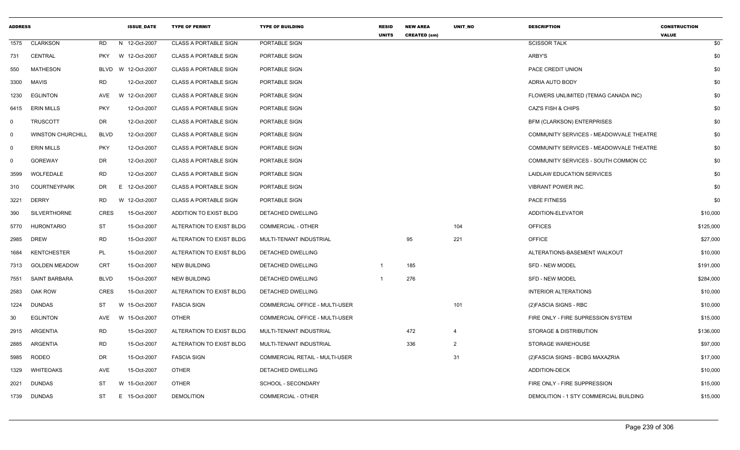| <b>ADDRESS</b> |                          |             | <b>ISSUE DATE</b> | <b>TYPE OF PERMIT</b>        | <b>TYPE OF BUILDING</b>               | <b>RESID</b><br><b>UNITS</b> | <b>NEW AREA</b><br><b>CREATED (sm)</b> | UNIT_NO        | <b>DESCRIPTION</b>                      | <b>CONSTRUCTION</b><br><b>VALUE</b> |
|----------------|--------------------------|-------------|-------------------|------------------------------|---------------------------------------|------------------------------|----------------------------------------|----------------|-----------------------------------------|-------------------------------------|
| 1575           | <b>CLARKSON</b>          | RD.         | N 12-Oct-2007     | <b>CLASS A PORTABLE SIGN</b> | PORTABLE SIGN                         |                              |                                        |                | <b>SCISSOR TALK</b>                     | \$0                                 |
| 731            | <b>CENTRAL</b>           | <b>PKY</b>  | W 12-Oct-2007     | <b>CLASS A PORTABLE SIGN</b> | PORTABLE SIGN                         |                              |                                        |                | ARBY'S                                  | \$0                                 |
| 550            | <b>MATHESON</b>          | <b>BLVD</b> | W 12-Oct-2007     | <b>CLASS A PORTABLE SIGN</b> | PORTABLE SIGN                         |                              |                                        |                | PACE CREDIT UNION                       | \$0                                 |
| 3300           | <b>MAVIS</b>             | <b>RD</b>   | 12-Oct-2007       | <b>CLASS A PORTABLE SIGN</b> | PORTABLE SIGN                         |                              |                                        |                | ADRIA AUTO BODY                         | \$0                                 |
| 1230           | <b>EGLINTON</b>          | AVE         | W 12-Oct-2007     | <b>CLASS A PORTABLE SIGN</b> | PORTABLE SIGN                         |                              |                                        |                | FLOWERS UNLIMITED (TEMAG CANADA INC)    | \$0                                 |
| 6415           | <b>ERIN MILLS</b>        | <b>PKY</b>  | 12-Oct-2007       | <b>CLASS A PORTABLE SIGN</b> | PORTABLE SIGN                         |                              |                                        |                | <b>CAZ'S FISH &amp; CHIPS</b>           | \$0                                 |
| $\mathbf 0$    | <b>TRUSCOTT</b>          | DR          | 12-Oct-2007       | <b>CLASS A PORTABLE SIGN</b> | PORTABLE SIGN                         |                              |                                        |                | <b>BFM (CLARKSON) ENTERPRISES</b>       | \$0                                 |
| $\mathbf 0$    | <b>WINSTON CHURCHILL</b> | <b>BLVD</b> | 12-Oct-2007       | <b>CLASS A PORTABLE SIGN</b> | <b>PORTABLE SIGN</b>                  |                              |                                        |                | COMMUNITY SERVICES - MEADOWVALE THEATRE | \$0                                 |
| $\mathbf 0$    | <b>ERIN MILLS</b>        | <b>PKY</b>  | 12-Oct-2007       | <b>CLASS A PORTABLE SIGN</b> | PORTABLE SIGN                         |                              |                                        |                | COMMUNITY SERVICES - MEADOWVALE THEATRE | \$0                                 |
| $\Omega$       | <b>GOREWAY</b>           | DR          | 12-Oct-2007       | <b>CLASS A PORTABLE SIGN</b> | PORTABLE SIGN                         |                              |                                        |                | COMMUNITY SERVICES - SOUTH COMMON CC    | \$0                                 |
| 3599           | WOLFEDALE                | RD          | 12-Oct-2007       | <b>CLASS A PORTABLE SIGN</b> | PORTABLE SIGN                         |                              |                                        |                | LAIDLAW EDUCATION SERVICES              | \$0                                 |
| 310            | <b>COURTNEYPARK</b>      | DR.         | E 12-Oct-2007     | <b>CLASS A PORTABLE SIGN</b> | <b>PORTABLE SIGN</b>                  |                              |                                        |                | <b>VIBRANT POWER INC.</b>               | \$0                                 |
| 3221           | <b>DERRY</b>             | <b>RD</b>   | W 12-Oct-2007     | <b>CLASS A PORTABLE SIGN</b> | PORTABLE SIGN                         |                              |                                        |                | PACE FITNESS                            | \$0                                 |
| 390            | <b>SILVERTHORNE</b>      | <b>CRES</b> | 15-Oct-2007       | ADDITION TO EXIST BLDG       | DETACHED DWELLING                     |                              |                                        |                | ADDITION-ELEVATOR                       | \$10,000                            |
| 5770           | <b>HURONTARIO</b>        | <b>ST</b>   | 15-Oct-2007       | ALTERATION TO EXIST BLDG     | <b>COMMERCIAL - OTHER</b>             |                              |                                        | 104            | <b>OFFICES</b>                          | \$125,000                           |
| 2985           | <b>DREW</b>              | <b>RD</b>   | 15-Oct-2007       | ALTERATION TO EXIST BLDG     | MULTI-TENANT INDUSTRIAL               |                              | 95                                     | 221            | <b>OFFICE</b>                           | \$27,000                            |
| 1684           | <b>KENTCHESTER</b>       | <b>PL</b>   | 15-Oct-2007       | ALTERATION TO EXIST BLDG     | DETACHED DWELLING                     |                              |                                        |                | ALTERATIONS-BASEMENT WALKOUT            | \$10,000                            |
| 7313           | <b>GOLDEN MEADOW</b>     | <b>CRT</b>  | 15-Oct-2007       | <b>NEW BUILDING</b>          | DETACHED DWELLING                     | 1                            | 185                                    |                | SFD - NEW MODEL                         | \$191,000                           |
| 7551           | <b>SAINT BARBARA</b>     | <b>BLVD</b> | 15-Oct-2007       | <b>NEW BUILDING</b>          | DETACHED DWELLING                     |                              | 276                                    |                | SFD - NEW MODEL                         | \$284,000                           |
| 2583           | OAK ROW                  | <b>CRES</b> | 15-Oct-2007       | ALTERATION TO EXIST BLDG     | DETACHED DWELLING                     |                              |                                        |                | <b>INTERIOR ALTERATIONS</b>             | \$10,000                            |
| 1224           | DUNDAS                   | ST          | W 15-Oct-2007     | <b>FASCIA SIGN</b>           | COMMERCIAL OFFICE - MULTI-USER        |                              |                                        | 101            | (2) FASCIA SIGNS - RBC                  | \$10,000                            |
| 30             | <b>EGLINTON</b>          | AVE         | W 15-Oct-2007     | <b>OTHER</b>                 | COMMERCIAL OFFICE - MULTI-USER        |                              |                                        |                | FIRE ONLY - FIRE SUPRESSION SYSTEM      | \$15,000                            |
| 2915           | <b>ARGENTIA</b>          | <b>RD</b>   | 15-Oct-2007       | ALTERATION TO EXIST BLDG     | MULTI-TENANT INDUSTRIAL               |                              | 472                                    | $\overline{4}$ | STORAGE & DISTRIBUTION                  | \$136,000                           |
| 2885           | ARGENTIA                 | <b>RD</b>   | 15-Oct-2007       | ALTERATION TO EXIST BLDG     | MULTI-TENANT INDUSTRIAL               |                              | 336                                    | $\overline{2}$ | <b>STORAGE WAREHOUSE</b>                | \$97,000                            |
| 5985           | <b>RODEO</b>             | DR          | 15-Oct-2007       | <b>FASCIA SIGN</b>           | <b>COMMERCIAL RETAIL - MULTI-USER</b> |                              |                                        | 31             | (2) FASCIA SIGNS - BCBG MAXAZRIA        | \$17,000                            |
| 1329           | <b>WHITEOAKS</b>         | AVE         | 15-Oct-2007       | <b>OTHER</b>                 | DETACHED DWELLING                     |                              |                                        |                | <b>ADDITION-DECK</b>                    | \$10,000                            |
| 2021           | <b>DUNDAS</b>            | <b>ST</b>   | W 15-Oct-2007     | <b>OTHER</b>                 | SCHOOL - SECONDARY                    |                              |                                        |                | FIRE ONLY - FIRE SUPPRESSION            | \$15,000                            |
| 1739           | <b>DUNDAS</b>            | ST          | E 15-Oct-2007     | <b>DEMOLITION</b>            | COMMERCIAL - OTHER                    |                              |                                        |                | DEMOLITION - 1 STY COMMERCIAL BUILDING  | \$15,000                            |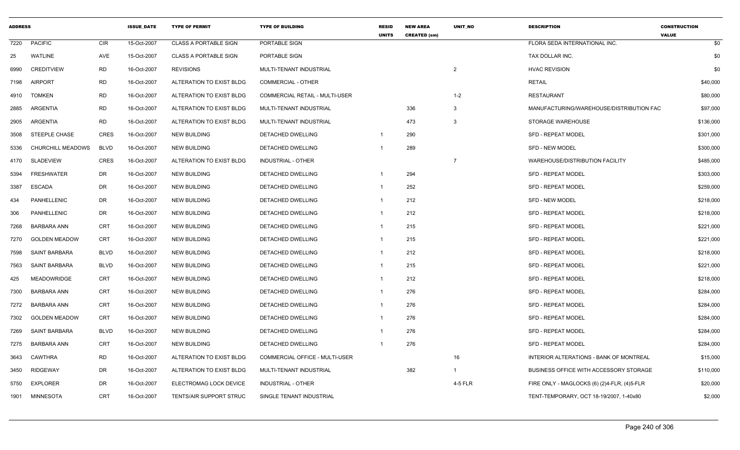| <b>ADDRESS</b> |                      |             | <b>ISSUE DATE</b> | <b>TYPE OF PERMIT</b>          | <b>TYPE OF BUILDING</b>        | <b>RESID</b><br><b>UNITS</b> | <b>NEW AREA</b><br><b>CREATED (sm)</b> | UNIT_NO        | <b>DESCRIPTION</b>                          | <b>CONSTRUCTION</b><br><b>VALUE</b> |
|----------------|----------------------|-------------|-------------------|--------------------------------|--------------------------------|------------------------------|----------------------------------------|----------------|---------------------------------------------|-------------------------------------|
| 7220           | <b>PACIFIC</b>       | CIR         | 15-Oct-2007       | <b>CLASS A PORTABLE SIGN</b>   | PORTABLE SIGN                  |                              |                                        |                | FLORA SEDA INTERNATIONAL INC.               | \$0                                 |
| 25             | <b>WATLINE</b>       | AVE         | 15-Oct-2007       | <b>CLASS A PORTABLE SIGN</b>   | PORTABLE SIGN                  |                              |                                        |                | TAX DOLLAR INC.                             | \$0                                 |
| 6990           | <b>CREDITVIEW</b>    | <b>RD</b>   | 16-Oct-2007       | <b>REVISIONS</b>               | MULTI-TENANT INDUSTRIAL        |                              |                                        | $\overline{2}$ | <b>HVAC REVISION</b>                        | \$0                                 |
| 7198           | <b>AIRPORT</b>       | <b>RD</b>   | 16-Oct-2007       | ALTERATION TO EXIST BLDG       | <b>COMMERCIAL - OTHER</b>      |                              |                                        |                | <b>RETAIL</b>                               | \$40,000                            |
| 4910           | <b>TOMKEN</b>        | <b>RD</b>   | 16-Oct-2007       | ALTERATION TO EXIST BLDG       | COMMERCIAL RETAIL - MULTI-USER |                              |                                        | $1 - 2$        | <b>RESTAURANT</b>                           | \$80,000                            |
| 2885           | ARGENTIA             | <b>RD</b>   | 16-Oct-2007       | ALTERATION TO EXIST BLDG       | MULTI-TENANT INDUSTRIAL        |                              | 336                                    | 3              | MANUFACTURING/WAREHOUSE/DISTRIBUTION FAC    | \$97,000                            |
| 2905           | ARGENTIA             | <b>RD</b>   | 16-Oct-2007       | ALTERATION TO EXIST BLDG       | MULTI-TENANT INDUSTRIAL        |                              | 473                                    | 3              | STORAGE WAREHOUSE                           | \$136,000                           |
| 3508           | <b>STEEPLE CHASE</b> | <b>CRES</b> | 16-Oct-2007       | <b>NEW BUILDING</b>            | DETACHED DWELLING              | -1                           | 290                                    |                | <b>SFD - REPEAT MODEL</b>                   | \$301,000                           |
| 5336           | CHURCHILL MEADOWS    | <b>BLVD</b> | 16-Oct-2007       | <b>NEW BUILDING</b>            | DETACHED DWELLING              | -1                           | 289                                    |                | <b>SFD - NEW MODEL</b>                      | \$300,000                           |
| 4170           | <b>SLADEVIEW</b>     | <b>CRES</b> | 16-Oct-2007       | ALTERATION TO EXIST BLDG       | INDUSTRIAL - OTHER             |                              |                                        | $\overline{7}$ | WAREHOUSE/DISTRIBUTION FACILITY             | \$485,000                           |
| 5394           | <b>FRESHWATER</b>    | DR          | 16-Oct-2007       | <b>NEW BUILDING</b>            | <b>DETACHED DWELLING</b>       | -1                           | 294                                    |                | <b>SFD - REPEAT MODEL</b>                   | \$303,000                           |
| 3387           | <b>ESCADA</b>        | DR          | 16-Oct-2007       | <b>NEW BUILDING</b>            | DETACHED DWELLING              | -1                           | 252                                    |                | <b>SFD - REPEAT MODEL</b>                   | \$259,000                           |
| 434            | PANHELLENIC          | DR          | 16-Oct-2007       | <b>NEW BUILDING</b>            | <b>DETACHED DWELLING</b>       | $\mathbf 1$                  | 212                                    |                | <b>SFD - NEW MODEL</b>                      | \$218,000                           |
| 306            | PANHELLENIC          | DR          | 16-Oct-2007       | <b>NEW BUILDING</b>            | DETACHED DWELLING              | -1                           | 212                                    |                | <b>SFD - REPEAT MODEL</b>                   | \$218,000                           |
| 7268           | <b>BARBARA ANN</b>   | <b>CRT</b>  | 16-Oct-2007       | <b>NEW BUILDING</b>            | <b>DETACHED DWELLING</b>       | $\mathbf{1}$                 | 215                                    |                | <b>SFD - REPEAT MODEL</b>                   | \$221,000                           |
| 7270           | <b>GOLDEN MEADOW</b> | CRT         | 16-Oct-2007       | <b>NEW BUILDING</b>            | DETACHED DWELLING              | -1                           | 215                                    |                | <b>SFD - REPEAT MODEL</b>                   | \$221,000                           |
| 7598           | <b>SAINT BARBARA</b> | <b>BLVD</b> | 16-Oct-2007       | <b>NEW BUILDING</b>            | <b>DETACHED DWELLING</b>       | $\mathbf{1}$                 | 212                                    |                | <b>SFD - REPEAT MODEL</b>                   | \$218,000                           |
| 7563           | SAINT BARBARA        | <b>BLVD</b> | 16-Oct-2007       | <b>NEW BUILDING</b>            | <b>DETACHED DWELLING</b>       | $\mathbf{1}$                 | 215                                    |                | <b>SFD - REPEAT MODEL</b>                   | \$221,000                           |
| 425            | <b>MEADOWRIDGE</b>   | CRT         | 16-Oct-2007       | <b>NEW BUILDING</b>            | DETACHED DWELLING              | $\mathbf 1$                  | 212                                    |                | <b>SFD - REPEAT MODEL</b>                   | \$218,000                           |
| 7300           | <b>BARBARA ANN</b>   | <b>CRT</b>  | 16-Oct-2007       | <b>NEW BUILDING</b>            | DETACHED DWELLING              | -1                           | 276                                    |                | <b>SFD - REPEAT MODEL</b>                   | \$284,000                           |
| 7272           | <b>BARBARA ANN</b>   | <b>CRT</b>  | 16-Oct-2007       | <b>NEW BUILDING</b>            | <b>DETACHED DWELLING</b>       | $\mathbf 1$                  | 276                                    |                | <b>SFD - REPEAT MODEL</b>                   | \$284,000                           |
| 7302           | <b>GOLDEN MEADOW</b> | CRT         | 16-Oct-2007       | <b>NEW BUILDING</b>            | <b>DETACHED DWELLING</b>       | $\mathbf{1}$                 | 276                                    |                | <b>SFD - REPEAT MODEL</b>                   | \$284,000                           |
| 7269           | <b>SAINT BARBARA</b> | <b>BLVD</b> | 16-Oct-2007       | <b>NEW BUILDING</b>            | <b>DETACHED DWELLING</b>       | $\mathbf{1}$                 | 276                                    |                | <b>SFD - REPEAT MODEL</b>                   | \$284,000                           |
| 7275           | <b>BARBARA ANN</b>   | <b>CRT</b>  | 16-Oct-2007       | <b>NEW BUILDING</b>            | DETACHED DWELLING              | -1                           | 276                                    |                | <b>SFD - REPEAT MODEL</b>                   | \$284,000                           |
| 3643           | <b>CAWTHRA</b>       | <b>RD</b>   | 16-Oct-2007       | ALTERATION TO EXIST BLDG       | COMMERCIAL OFFICE - MULTI-USER |                              |                                        | 16             | INTERIOR ALTERATIONS - BANK OF MONTREAL     | \$15,000                            |
| 3450           | <b>RIDGEWAY</b>      | DR          | 16-Oct-2007       | ALTERATION TO EXIST BLDG       | MULTI-TENANT INDUSTRIAL        |                              | 382                                    | $\overline{1}$ | BUSINESS OFFICE WITH ACCESSORY STORAGE      | \$110,000                           |
| 5750           | <b>EXPLORER</b>      | DR          | 16-Oct-2007       | ELECTROMAG LOCK DEVICE         | <b>INDUSTRIAL - OTHER</b>      |                              |                                        | 4-5 FLR        | FIRE ONLY - MAGLOCKS (6) (2)4-FLR, (4)5-FLR | \$20,000                            |
| 1901           | MINNESOTA            | <b>CRT</b>  | 16-Oct-2007       | <b>TENTS/AIR SUPPORT STRUC</b> | SINGLE TENANT INDUSTRIAL       |                              |                                        |                | TENT-TEMPORARY, OCT 18-19/2007, 1-40x80     | \$2,000                             |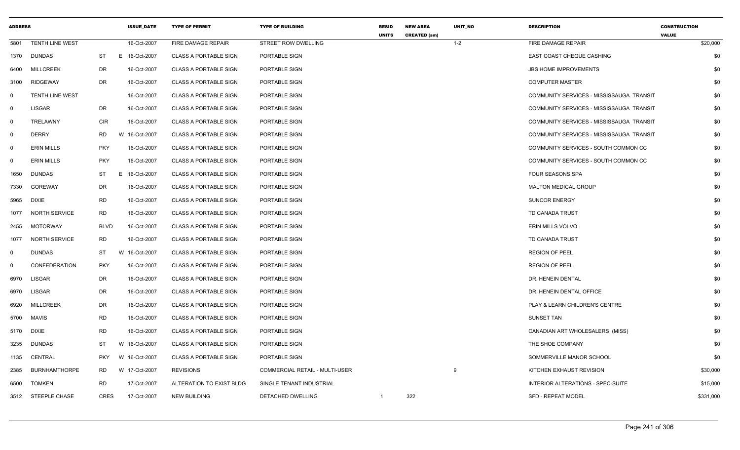| <b>ADDRESS</b> |                        |             |   | <b>ISSUE DATE</b> | <b>TYPE OF PERMIT</b>        | <b>TYPE OF BUILDING</b>        | <b>RESID</b><br><b>UNITS</b> | <b>NEW AREA</b><br><b>CREATED (sm)</b> | UNIT_NO | <b>DESCRIPTION</b>                       | <b>CONSTRUCTION</b><br><b>VALUE</b> |
|----------------|------------------------|-------------|---|-------------------|------------------------------|--------------------------------|------------------------------|----------------------------------------|---------|------------------------------------------|-------------------------------------|
| 5801           | <b>TENTH LINE WEST</b> |             |   | 16-Oct-2007       | FIRE DAMAGE REPAIR           | STREET ROW DWELLING            |                              |                                        | $1 - 2$ | FIRE DAMAGE REPAIR                       | \$20,000                            |
| 1370           | DUNDAS                 | ST          |   | E 16-Oct-2007     | <b>CLASS A PORTABLE SIGN</b> | PORTABLE SIGN                  |                              |                                        |         | EAST COAST CHEQUE CASHING                | \$0                                 |
| 6400           | <b>MILLCREEK</b>       | <b>DR</b>   |   | 16-Oct-2007       | <b>CLASS A PORTABLE SIGN</b> | PORTABLE SIGN                  |                              |                                        |         | <b>JBS HOME IMPROVEMENTS</b>             | \$0                                 |
| 3100           | RIDGEWAY               | <b>DR</b>   |   | 16-Oct-2007       | <b>CLASS A PORTABLE SIGN</b> | PORTABLE SIGN                  |                              |                                        |         | <b>COMPUTER MASTER</b>                   | \$0                                 |
| $\mathbf 0$    | <b>TENTH LINE WEST</b> |             |   | 16-Oct-2007       | <b>CLASS A PORTABLE SIGN</b> | PORTABLE SIGN                  |                              |                                        |         | COMMUNITY SERVICES - MISSISSAUGA TRANSIT | \$0                                 |
| $\mathbf 0$    | <b>LISGAR</b>          | DR          |   | 16-Oct-2007       | <b>CLASS A PORTABLE SIGN</b> | PORTABLE SIGN                  |                              |                                        |         | COMMUNITY SERVICES - MISSISSAUGA TRANSIT | \$0                                 |
| $\mathbf 0$    | <b>TRELAWNY</b>        | <b>CIR</b>  |   | 16-Oct-2007       | <b>CLASS A PORTABLE SIGN</b> | PORTABLE SIGN                  |                              |                                        |         | COMMUNITY SERVICES - MISSISSAUGA TRANSIT | \$0                                 |
| $\mathbf 0$    | <b>DERRY</b>           | RD          |   | W 16-Oct-2007     | <b>CLASS A PORTABLE SIGN</b> | PORTABLE SIGN                  |                              |                                        |         | COMMUNITY SERVICES - MISSISSAUGA TRANSIT | \$0                                 |
| $\mathbf 0$    | <b>ERIN MILLS</b>      | <b>PKY</b>  |   | 16-Oct-2007       | <b>CLASS A PORTABLE SIGN</b> | PORTABLE SIGN                  |                              |                                        |         | COMMUNITY SERVICES - SOUTH COMMON CC     | \$0                                 |
| $\mathbf 0$    | <b>ERIN MILLS</b>      | <b>PKY</b>  |   | 16-Oct-2007       | <b>CLASS A PORTABLE SIGN</b> | PORTABLE SIGN                  |                              |                                        |         | COMMUNITY SERVICES - SOUTH COMMON CC     | \$0                                 |
| 1650           | DUNDAS                 | ST          | E | 16-Oct-2007       | <b>CLASS A PORTABLE SIGN</b> | PORTABLE SIGN                  |                              |                                        |         | FOUR SEASONS SPA                         | \$0                                 |
| 7330           | GOREWAY                | DR          |   | 16-Oct-2007       | <b>CLASS A PORTABLE SIGN</b> | PORTABLE SIGN                  |                              |                                        |         | MALTON MEDICAL GROUP                     | \$0                                 |
| 5965           | <b>DIXIE</b>           | <b>RD</b>   |   | 16-Oct-2007       | <b>CLASS A PORTABLE SIGN</b> | PORTABLE SIGN                  |                              |                                        |         | <b>SUNCOR ENERGY</b>                     | \$0                                 |
| 1077           | <b>NORTH SERVICE</b>   | <b>RD</b>   |   | 16-Oct-2007       | <b>CLASS A PORTABLE SIGN</b> | PORTABLE SIGN                  |                              |                                        |         | TD CANADA TRUST                          | \$0                                 |
| 2455           | MOTORWAY               | <b>BLVD</b> |   | 16-Oct-2007       | <b>CLASS A PORTABLE SIGN</b> | PORTABLE SIGN                  |                              |                                        |         | ERIN MILLS VOLVO                         | \$0                                 |
| 1077           | <b>NORTH SERVICE</b>   | RD          |   | 16-Oct-2007       | <b>CLASS A PORTABLE SIGN</b> | PORTABLE SIGN                  |                              |                                        |         | TD CANADA TRUST                          | \$0                                 |
| $\mathbf 0$    | <b>DUNDAS</b>          | ST          |   | W 16-Oct-2007     | <b>CLASS A PORTABLE SIGN</b> | PORTABLE SIGN                  |                              |                                        |         | <b>REGION OF PEEL</b>                    | \$0                                 |
| $\mathbf 0$    | <b>CONFEDERATION</b>   | <b>PKY</b>  |   | 16-Oct-2007       | <b>CLASS A PORTABLE SIGN</b> | PORTABLE SIGN                  |                              |                                        |         | <b>REGION OF PEEL</b>                    | \$0                                 |
| 6970           | LISGAR                 | DR          |   | 16-Oct-2007       | <b>CLASS A PORTABLE SIGN</b> | PORTABLE SIGN                  |                              |                                        |         | DR. HENEIN DENTAL                        | \$0                                 |
| 6970           | LISGAR                 | DR          |   | 16-Oct-2007       | <b>CLASS A PORTABLE SIGN</b> | PORTABLE SIGN                  |                              |                                        |         | DR. HENEIN DENTAL OFFICE                 | \$0                                 |
| 6920           | <b>MILLCREEK</b>       | DR          |   | 16-Oct-2007       | <b>CLASS A PORTABLE SIGN</b> | PORTABLE SIGN                  |                              |                                        |         | PLAY & LEARN CHILDREN'S CENTRE           | \$0                                 |
| 5700           | <b>MAVIS</b>           | <b>RD</b>   |   | 16-Oct-2007       | <b>CLASS A PORTABLE SIGN</b> | PORTABLE SIGN                  |                              |                                        |         | <b>SUNSET TAN</b>                        | \$0                                 |
| 5170           | <b>DIXIE</b>           | <b>RD</b>   |   | 16-Oct-2007       | <b>CLASS A PORTABLE SIGN</b> | PORTABLE SIGN                  |                              |                                        |         | CANADIAN ART WHOLESALERS (MISS)          | \$0                                 |
| 3235           | DUNDAS                 | ST          |   | W 16-Oct-2007     | <b>CLASS A PORTABLE SIGN</b> | PORTABLE SIGN                  |                              |                                        |         | THE SHOE COMPANY                         | \$0                                 |
| 1135           | CENTRAL                | <b>PKY</b>  |   | W 16-Oct-2007     | <b>CLASS A PORTABLE SIGN</b> | PORTABLE SIGN                  |                              |                                        |         | SOMMERVILLE MANOR SCHOOL                 | \$0                                 |
| 2385           | <b>BURNHAMTHORPE</b>   | RD          |   | W 17-Oct-2007     | <b>REVISIONS</b>             | COMMERCIAL RETAIL - MULTI-USER |                              |                                        | 9       | KITCHEN EXHAUST REVISION                 | \$30,000                            |
| 6500           | <b>TOMKEN</b>          | <b>RD</b>   |   | 17-Oct-2007       | ALTERATION TO EXIST BLDG     | SINGLE TENANT INDUSTRIAL       |                              |                                        |         | INTERIOR ALTERATIONS - SPEC-SUITE        | \$15,000                            |
|                | 3512 STEEPLE CHASE     | <b>CRES</b> |   | 17-Oct-2007       | <b>NEW BUILDING</b>          | DETACHED DWELLING              | $\mathbf{1}$                 | 322                                    |         | SFD - REPEAT MODEL                       | \$331,000                           |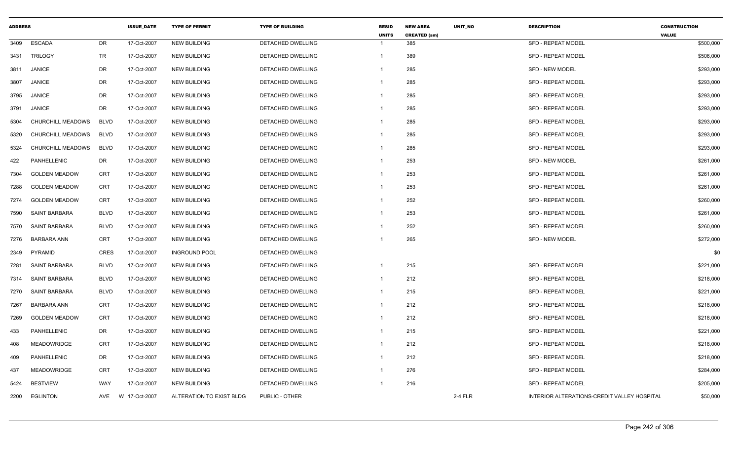| <b>ADDRESS</b> |                          |             | <b>ISSUE DATE</b> | <b>TYPE OF PERMIT</b>    | <b>TYPE OF BUILDING</b>  | <b>RESID</b><br><b>UNITS</b> | <b>NEW AREA</b><br><b>CREATED (sm)</b> | UNIT_NO | <b>DESCRIPTION</b>                          | <b>CONSTRUCTION</b><br><b>VALUE</b> |
|----------------|--------------------------|-------------|-------------------|--------------------------|--------------------------|------------------------------|----------------------------------------|---------|---------------------------------------------|-------------------------------------|
| 3409           | <b>ESCADA</b>            | <b>DR</b>   | 17-Oct-2007       | <b>NEW BUILDING</b>      | DETACHED DWELLING        | -1                           | 385                                    |         | <b>SFD - REPEAT MODEL</b>                   | \$500,000                           |
| 3431           | <b>TRILOGY</b>           | TR          | 17-Oct-2007       | <b>NEW BUILDING</b>      | DETACHED DWELLING        | $\overline{1}$               | 389                                    |         | <b>SFD - REPEAT MODEL</b>                   | \$506,000                           |
| 3811           | <b>JANICE</b>            | <b>DR</b>   | 17-Oct-2007       | <b>NEW BUILDING</b>      | DETACHED DWELLING        | -1                           | 285                                    |         | <b>SFD - NEW MODEL</b>                      | \$293,000                           |
| 3807           | <b>JANICE</b>            | DR          | 17-Oct-2007       | <b>NEW BUILDING</b>      | DETACHED DWELLING        | $\overline{1}$               | 285                                    |         | SFD - REPEAT MODEL                          | \$293,000                           |
| 3795           | <b>JANICE</b>            | DR          | 17-Oct-2007       | <b>NEW BUILDING</b>      | DETACHED DWELLING        | -1                           | 285                                    |         | SFD - REPEAT MODEL                          | \$293,000                           |
| 3791           | <b>JANICE</b>            | DR          | 17-Oct-2007       | <b>NEW BUILDING</b>      | DETACHED DWELLING        | $\overline{1}$               | 285                                    |         | <b>SFD - REPEAT MODEL</b>                   | \$293,000                           |
| 5304           | <b>CHURCHILL MEADOWS</b> | <b>BLVD</b> | 17-Oct-2007       | <b>NEW BUILDING</b>      | <b>DETACHED DWELLING</b> | -1                           | 285                                    |         | <b>SFD - REPEAT MODEL</b>                   | \$293,000                           |
| 5320           | CHURCHILL MEADOWS        | <b>BLVD</b> | 17-Oct-2007       | <b>NEW BUILDING</b>      | DETACHED DWELLING        | $\mathbf 1$                  | 285                                    |         | SFD - REPEAT MODEL                          | \$293,000                           |
| 5324           | CHURCHILL MEADOWS        | <b>BLVD</b> | 17-Oct-2007       | <b>NEW BUILDING</b>      | DETACHED DWELLING        | $\mathbf{1}$                 | 285                                    |         | <b>SFD - REPEAT MODEL</b>                   | \$293,000                           |
| 422            | PANHELLENIC              | DR          | 17-Oct-2007       | <b>NEW BUILDING</b>      | DETACHED DWELLING        | $\mathbf{1}$                 | 253                                    |         | <b>SFD - NEW MODEL</b>                      | \$261,000                           |
| 7304           | <b>GOLDEN MEADOW</b>     | CRT         | 17-Oct-2007       | <b>NEW BUILDING</b>      | DETACHED DWELLING        | -1                           | 253                                    |         | <b>SFD - REPEAT MODEL</b>                   | \$261,000                           |
| 7288           | <b>GOLDEN MEADOW</b>     | <b>CRT</b>  | 17-Oct-2007       | <b>NEW BUILDING</b>      | DETACHED DWELLING        | $\mathbf 1$                  | 253                                    |         | <b>SFD - REPEAT MODEL</b>                   | \$261,000                           |
| 7274           | <b>GOLDEN MEADOW</b>     | <b>CRT</b>  | 17-Oct-2007       | <b>NEW BUILDING</b>      | DETACHED DWELLING        | -1                           | 252                                    |         | <b>SFD - REPEAT MODEL</b>                   | \$260,000                           |
| 7590           | <b>SAINT BARBARA</b>     | <b>BLVD</b> | 17-Oct-2007       | <b>NEW BUILDING</b>      | DETACHED DWELLING        | $\mathbf{1}$                 | 253                                    |         | <b>SFD - REPEAT MODEL</b>                   | \$261,000                           |
| 7570           | <b>SAINT BARBARA</b>     | <b>BLVD</b> | 17-Oct-2007       | <b>NEW BUILDING</b>      | DETACHED DWELLING        | -1                           | 252                                    |         | <b>SFD - REPEAT MODEL</b>                   | \$260,000                           |
| 7276           | <b>BARBARA ANN</b>       | <b>CRT</b>  | 17-Oct-2007       | <b>NEW BUILDING</b>      | DETACHED DWELLING        |                              | 265                                    |         | SFD - NEW MODEL                             | \$272,000                           |
| 2349           | PYRAMID                  | <b>CRES</b> | 17-Oct-2007       | <b>INGROUND POOL</b>     | DETACHED DWELLING        |                              |                                        |         |                                             | \$0                                 |
| 7281           | SAINT BARBARA            | <b>BLVD</b> | 17-Oct-2007       | <b>NEW BUILDING</b>      | DETACHED DWELLING        | -1                           | 215                                    |         | <b>SFD - REPEAT MODEL</b>                   | \$221,000                           |
| 7314           | SAINT BARBARA            | <b>BLVD</b> | 17-Oct-2007       | <b>NEW BUILDING</b>      | DETACHED DWELLING        | $\mathbf{1}$                 | 212                                    |         | <b>SFD - REPEAT MODEL</b>                   | \$218,000                           |
| 7270           | <b>SAINT BARBARA</b>     | <b>BLVD</b> | 17-Oct-2007       | <b>NEW BUILDING</b>      | DETACHED DWELLING        | -1                           | 215                                    |         | SFD - REPEAT MODEL                          | \$221,000                           |
| 7267           | <b>BARBARA ANN</b>       | <b>CRT</b>  | 17-Oct-2007       | <b>NEW BUILDING</b>      | DETACHED DWELLING        | $\mathbf{1}$                 | 212                                    |         | SFD - REPEAT MODEL                          | \$218,000                           |
| 7269           | <b>GOLDEN MEADOW</b>     | <b>CRT</b>  | 17-Oct-2007       | <b>NEW BUILDING</b>      | DETACHED DWELLING        | $\overline{1}$               | 212                                    |         | <b>SFD - REPEAT MODEL</b>                   | \$218,000                           |
| 433            | PANHELLENIC              | DR          | 17-Oct-2007       | <b>NEW BUILDING</b>      | DETACHED DWELLING        | $\overline{1}$               | 215                                    |         | SFD - REPEAT MODEL                          | \$221,000                           |
| 408            | <b>MEADOWRIDGE</b>       | <b>CRT</b>  | 17-Oct-2007       | <b>NEW BUILDING</b>      | DETACHED DWELLING        | -1                           | 212                                    |         | <b>SFD - REPEAT MODEL</b>                   | \$218,000                           |
| 409            | PANHELLENIC              | DR          | 17-Oct-2007       | <b>NEW BUILDING</b>      | DETACHED DWELLING        | $\overline{1}$               | 212                                    |         | <b>SFD - REPEAT MODEL</b>                   | \$218,000                           |
| 437            | <b>MEADOWRIDGE</b>       | <b>CRT</b>  | 17-Oct-2007       | <b>NEW BUILDING</b>      | DETACHED DWELLING        | $\overline{1}$               | 276                                    |         | SFD - REPEAT MODEL                          | \$284,000                           |
| 5424           | <b>BESTVIEW</b>          | WAY         | 17-Oct-2007       | <b>NEW BUILDING</b>      | DETACHED DWELLING        | $\overline{1}$               | 216                                    |         | SFD - REPEAT MODEL                          | \$205,000                           |
| 2200           | <b>EGLINTON</b>          | AVE         | W 17-Oct-2007     | ALTERATION TO EXIST BLDG | PUBLIC - OTHER           |                              |                                        | 2-4 FLR | INTERIOR ALTERATIONS-CREDIT VALLEY HOSPITAL | \$50,000                            |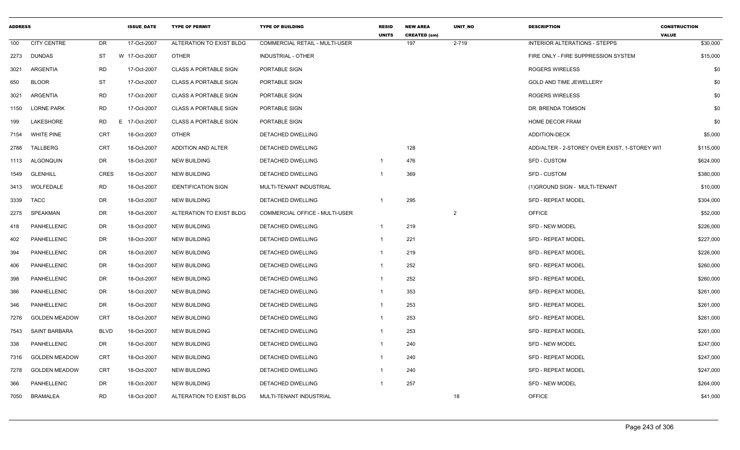| <b>ADDRESS</b> |                      |             | <b>ISSUE DATE</b> | <b>TYPE OF PERMIT</b>        | <b>TYPE OF BUILDING</b>               | <b>RESID</b><br><b>UNITS</b> | <b>NEW AREA</b><br><b>CREATED (sm)</b> | UNIT_NO        | <b>DESCRIPTION</b>                            | <b>CONSTRUCTION</b><br><b>VALUE</b> |
|----------------|----------------------|-------------|-------------------|------------------------------|---------------------------------------|------------------------------|----------------------------------------|----------------|-----------------------------------------------|-------------------------------------|
| 100            | <b>CITY CENTRE</b>   | DR          | 17-Oct-2007       | ALTERATION TO EXIST BLDG     | <b>COMMERCIAL RETAIL - MULTI-USER</b> |                              | 197                                    | 2-719          | <b>INTERIOR ALTERATIONS - STEPPS</b>          | \$30,000                            |
| 2273           | DUNDAS               | ST          | W 17-Oct-2007     | <b>OTHER</b>                 | INDUSTRIAL - OTHER                    |                              |                                        |                | FIRE ONLY - FIRE SUPPRESSION SYSTEM           | \$15,000                            |
| 3021           | <b>ARGENTIA</b>      | <b>RD</b>   | 17-Oct-2007       | <b>CLASS A PORTABLE SIGN</b> | PORTABLE SIGN                         |                              |                                        |                | <b>ROGERS WIRELESS</b>                        | \$0                                 |
| 650            | <b>BLOOR</b>         | <b>ST</b>   | 17-Oct-2007       | <b>CLASS A PORTABLE SIGN</b> | PORTABLE SIGN                         |                              |                                        |                | <b>GOLD AND TIME JEWELLERY</b>                | \$0                                 |
| 3021           | ARGENTIA             | <b>RD</b>   | 17-Oct-2007       | <b>CLASS A PORTABLE SIGN</b> | PORTABLE SIGN                         |                              |                                        |                | <b>ROGERS WIRELESS</b>                        | \$0                                 |
| 1150           | <b>LORNE PARK</b>    | <b>RD</b>   | 17-Oct-2007       | <b>CLASS A PORTABLE SIGN</b> | PORTABLE SIGN                         |                              |                                        |                | DR. BRENDA TOMSON                             | \$0                                 |
| 199            | LAKESHORE            | <b>RD</b>   | E<br>17-Oct-2007  | <b>CLASS A PORTABLE SIGN</b> | PORTABLE SIGN                         |                              |                                        |                | <b>HOME DECOR FRAM</b>                        | \$0                                 |
| 7154           | <b>WHITE PINE</b>    | CRT         | 18-Oct-2007       | <b>OTHER</b>                 | <b>DETACHED DWELLING</b>              |                              |                                        |                | <b>ADDITION-DECK</b>                          | \$5,000                             |
| 2788           | TALLBERG             | <b>CRT</b>  | 18-Oct-2007       | ADDITION AND ALTER           | DETACHED DWELLING                     |                              | 128                                    |                | ADD/ALTER - 2-STOREY OVER EXIST, 1-STOREY WIT | \$115,000                           |
| 1113           | ALGONQUIN            | DR          | 18-Oct-2007       | <b>NEW BUILDING</b>          | DETACHED DWELLING                     | $\mathbf 1$                  | 476                                    |                | <b>SFD - CUSTOM</b>                           | \$624,000                           |
| 1549           | <b>GLENHILL</b>      | <b>CRES</b> | 18-Oct-2007       | <b>NEW BUILDING</b>          | DETACHED DWELLING                     | -1                           | 369                                    |                | <b>SFD - CUSTOM</b>                           | \$380,000                           |
| 3413           | WOLFEDALE            | <b>RD</b>   | 18-Oct-2007       | <b>IDENTIFICATION SIGN</b>   | MULTI-TENANT INDUSTRIAL               |                              |                                        |                | (1) GROUND SIGN - MULTI-TENANT                | \$10,000                            |
| 3339           | <b>TACC</b>          | DR          | 18-Oct-2007       | <b>NEW BUILDING</b>          | DETACHED DWELLING                     |                              | 295                                    |                | <b>SFD - REPEAT MODEL</b>                     | \$304,000                           |
| 2275           | SPEAKMAN             | DR          | 18-Oct-2007       | ALTERATION TO EXIST BLDG     | COMMERCIAL OFFICE - MULTI-USER        |                              |                                        | $\overline{2}$ | <b>OFFICE</b>                                 | \$52,000                            |
| 418            | PANHELLENIC          | DR          | 18-Oct-2007       | <b>NEW BUILDING</b>          | DETACHED DWELLING                     | 1                            | 219                                    |                | <b>SFD - NEW MODEL</b>                        | \$226,000                           |
| 402            | PANHELLENIC          | DR          | 18-Oct-2007       | <b>NEW BUILDING</b>          | DETACHED DWELLING                     | 1                            | 221                                    |                | <b>SFD - REPEAT MODEL</b>                     | \$227,000                           |
| 394            | <b>PANHELLENIC</b>   | DR          | 18-Oct-2007       | <b>NEW BUILDING</b>          | <b>DETACHED DWELLING</b>              | 1                            | 219                                    |                | <b>SFD - REPEAT MODEL</b>                     | \$226,000                           |
| 406            | PANHELLENIC          | DR          | 18-Oct-2007       | <b>NEW BUILDING</b>          | DETACHED DWELLING                     | $\mathbf{1}$                 | 252                                    |                | <b>SFD - REPEAT MODEL</b>                     | \$260,000                           |
| 398            | PANHELLENIC          | DR          | 18-Oct-2007       | <b>NEW BUILDING</b>          | DETACHED DWELLING                     | 1                            | 252                                    |                | SFD - REPEAT MODEL                            | \$260,000                           |
| 386            | PANHELLENIC          | DR          | 18-Oct-2007       | <b>NEW BUILDING</b>          | DETACHED DWELLING                     |                              | 353                                    |                | <b>SFD - REPEAT MODEL</b>                     | \$261,000                           |
| 346            | PANHELLENIC          | DR          | 18-Oct-2007       | <b>NEW BUILDING</b>          | DETACHED DWELLING                     | 1                            | 253                                    |                | <b>SFD - REPEAT MODEL</b>                     | \$261,000                           |
| 7276           | <b>GOLDEN MEADOW</b> | <b>CRT</b>  | 18-Oct-2007       | <b>NEW BUILDING</b>          | DETACHED DWELLING                     | $\mathbf{1}$                 | 253                                    |                | <b>SFD - REPEAT MODEL</b>                     | \$261,000                           |
| 7543           | SAINT BARBARA        | <b>BLVD</b> | 18-Oct-2007       | <b>NEW BUILDING</b>          | DETACHED DWELLING                     | 1                            | 253                                    |                | <b>SFD - REPEAT MODEL</b>                     | \$261,000                           |
| 338            | PANHELLENIC          | DR          | 18-Oct-2007       | <b>NEW BUILDING</b>          | DETACHED DWELLING                     | 1                            | 240                                    |                | <b>SFD - NEW MODEL</b>                        | \$247,000                           |
| 7316           | <b>GOLDEN MEADOW</b> | <b>CRT</b>  | 18-Oct-2007       | <b>NEW BUILDING</b>          | DETACHED DWELLING                     | 1                            | 240                                    |                | <b>SFD - REPEAT MODEL</b>                     | \$247,000                           |
| 7278           | <b>GOLDEN MEADOW</b> | CRT         | 18-Oct-2007       | <b>NEW BUILDING</b>          | <b>DETACHED DWELLING</b>              | 1                            | 240                                    |                | <b>SFD - REPEAT MODEL</b>                     | \$247,000                           |
| 366            | PANHELLENIC          | DR          | 18-Oct-2007       | <b>NEW BUILDING</b>          | DETACHED DWELLING                     | $\mathbf{1}$                 | 257                                    |                | <b>SFD - NEW MODEL</b>                        | \$264,000                           |
| 7050           | <b>BRAMALEA</b>      | <b>RD</b>   | 18-Oct-2007       | ALTERATION TO EXIST BLDG     | MULTI-TENANT INDUSTRIAL               |                              |                                        | 18             | <b>OFFICE</b>                                 | \$41,000                            |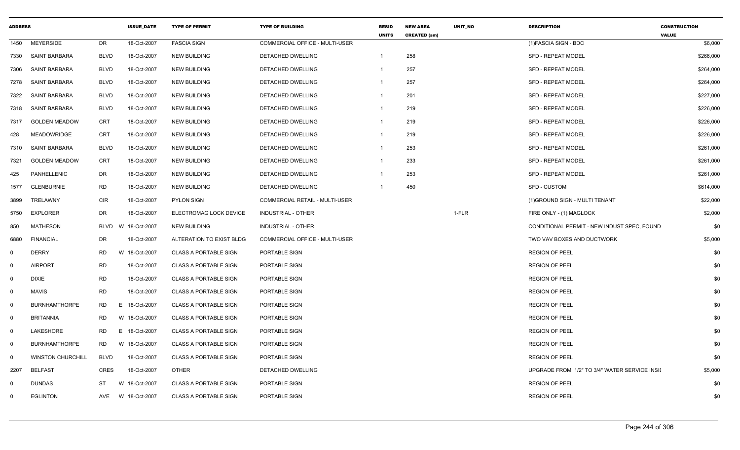| <b>ADDRESS</b> |                          |             | <b>ISSUE DATE</b> | <b>TYPE OF PERMIT</b>        | <b>TYPE OF BUILDING</b>               | <b>RESID</b><br><b>UNITS</b> | <b>NEW AREA</b><br><b>CREATED (sm)</b> | UNIT_NO | <b>DESCRIPTION</b>                            | <b>CONSTRUCTION</b><br><b>VALUE</b> |
|----------------|--------------------------|-------------|-------------------|------------------------------|---------------------------------------|------------------------------|----------------------------------------|---------|-----------------------------------------------|-------------------------------------|
| 1450           | <b>MEYERSIDE</b>         | DR          | 18-Oct-2007       | <b>FASCIA SIGN</b>           | COMMERCIAL OFFICE - MULTI-USER        |                              |                                        |         | (1) FASCIA SIGN - BDC                         | \$6,000                             |
| 7330           | SAINT BARBARA            | <b>BLVD</b> | 18-Oct-2007       | <b>NEW BUILDING</b>          | DETACHED DWELLING                     | $\overline{1}$               | 258                                    |         | <b>SFD - REPEAT MODEL</b>                     | \$266,000                           |
| 7306           | SAINT BARBARA            | BLVD        | 18-Oct-2007       | <b>NEW BUILDING</b>          | DETACHED DWELLING                     |                              | 257                                    |         | <b>SFD - REPEAT MODEL</b>                     | \$264,000                           |
|                | 7278 SAINT BARBARA       | BLVD        | 18-Oct-2007       | <b>NEW BUILDING</b>          | DETACHED DWELLING                     | $\overline{1}$               | 257                                    |         | <b>SFD - REPEAT MODEL</b>                     | \$264,000                           |
| 7322           | SAINT BARBARA            | <b>BLVD</b> | 18-Oct-2007       | <b>NEW BUILDING</b>          | DETACHED DWELLING                     | $\overline{1}$               | 201                                    |         | SFD - REPEAT MODEL                            | \$227,000                           |
| 7318           | SAINT BARBARA            | <b>BLVD</b> | 18-Oct-2007       | <b>NEW BUILDING</b>          | DETACHED DWELLING                     | $\overline{1}$               | 219                                    |         | <b>SFD - REPEAT MODEL</b>                     | \$226,000                           |
| 7317           | <b>GOLDEN MEADOW</b>     | CRT         | 18-Oct-2007       | <b>NEW BUILDING</b>          | DETACHED DWELLING                     | $\overline{1}$               | 219                                    |         | <b>SFD - REPEAT MODEL</b>                     | \$226,000                           |
| 428            | MEADOWRIDGE              | <b>CRT</b>  | 18-Oct-2007       | <b>NEW BUILDING</b>          | DETACHED DWELLING                     | $\overline{1}$               | 219                                    |         | <b>SFD - REPEAT MODEL</b>                     | \$226,000                           |
| 7310           | <b>SAINT BARBARA</b>     | <b>BLVD</b> | 18-Oct-2007       | NEW BUILDING                 | DETACHED DWELLING                     | $\overline{1}$               | 253                                    |         | SFD - REPEAT MODEL                            | \$261,000                           |
| 7321           | <b>GOLDEN MEADOW</b>     | <b>CRT</b>  | 18-Oct-2007       | <b>NEW BUILDING</b>          | DETACHED DWELLING                     | $\overline{1}$               | 233                                    |         | <b>SFD - REPEAT MODEL</b>                     | \$261,000                           |
| 425            | PANHELLENIC              | DR          | 18-Oct-2007       | <b>NEW BUILDING</b>          | <b>DETACHED DWELLING</b>              | $\overline{1}$               | 253                                    |         | <b>SFD - REPEAT MODEL</b>                     | \$261,000                           |
| 1577           | <b>GLENBURNIE</b>        | <b>RD</b>   | 18-Oct-2007       | <b>NEW BUILDING</b>          | DETACHED DWELLING                     |                              | 450                                    |         | SFD - CUSTOM                                  | \$614,000                           |
| 3899           | TRELAWNY                 | <b>CIR</b>  | 18-Oct-2007       | PYLON SIGN                   | COMMERCIAL RETAIL - MULTI-USER        |                              |                                        |         | (1) GROUND SIGN - MULTI TENANT                | \$22,000                            |
| 5750           | <b>EXPLORER</b>          | DR          | 18-Oct-2007       | ELECTROMAG LOCK DEVICE       | <b>INDUSTRIAL - OTHER</b>             |                              |                                        | 1-FLR   | FIRE ONLY - (1) MAGLOCK                       | \$2,000                             |
| 850            | MATHESON                 | BLVD        | 18-Oct-2007<br>W  | <b>NEW BUILDING</b>          | INDUSTRIAL - OTHER                    |                              |                                        |         | CONDITIONAL PERMIT - NEW INDUST SPEC, FOUND   | \$0                                 |
| 6880           | <b>FINANCIAL</b>         | DR          | 18-Oct-2007       | ALTERATION TO EXIST BLDG     | <b>COMMERCIAL OFFICE - MULTI-USER</b> |                              |                                        |         | TWO VAV BOXES AND DUCTWORK                    | \$5,000                             |
| $\Omega$       | <b>DERRY</b>             | RD          | W<br>18-Oct-2007  | CLASS A PORTABLE SIGN        | PORTABLE SIGN                         |                              |                                        |         | <b>REGION OF PEEL</b>                         | \$0                                 |
| $\Omega$       | <b>AIRPORT</b>           | <b>RD</b>   | 18-Oct-2007       | <b>CLASS A PORTABLE SIGN</b> | PORTABLE SIGN                         |                              |                                        |         | <b>REGION OF PEEL</b>                         | \$0                                 |
| 0              | <b>DIXIE</b>             | <b>RD</b>   | 18-Oct-2007       | <b>CLASS A PORTABLE SIGN</b> | PORTABLE SIGN                         |                              |                                        |         | <b>REGION OF PEEL</b>                         | \$0                                 |
| $\Omega$       | <b>MAVIS</b>             | <b>RD</b>   | 18-Oct-2007       | CLASS A PORTABLE SIGN        | PORTABLE SIGN                         |                              |                                        |         | <b>REGION OF PEEL</b>                         | \$0                                 |
| $\Omega$       | <b>BURNHAMTHORPE</b>     | RD          | 18-Oct-2007<br>E. | CLASS A PORTABLE SIGN        | PORTABLE SIGN                         |                              |                                        |         | <b>REGION OF PEEL</b>                         | \$0                                 |
| $\mathbf 0$    | <b>BRITANNIA</b>         | <b>RD</b>   | W 18-Oct-2007     | <b>CLASS A PORTABLE SIGN</b> | PORTABLE SIGN                         |                              |                                        |         | <b>REGION OF PEEL</b>                         | \$0                                 |
| $\mathbf 0$    | LAKESHORE                | <b>RD</b>   | E.<br>18-Oct-2007 | <b>CLASS A PORTABLE SIGN</b> | PORTABLE SIGN                         |                              |                                        |         | <b>REGION OF PEEL</b>                         | \$0                                 |
| $\mathbf 0$    | <b>BURNHAMTHORPE</b>     | <b>RD</b>   | W 18-Oct-2007     | <b>CLASS A PORTABLE SIGN</b> | PORTABLE SIGN                         |                              |                                        |         | <b>REGION OF PEEL</b>                         | \$0                                 |
| $\mathbf 0$    | <b>WINSTON CHURCHILL</b> | <b>BLVD</b> | 18-Oct-2007       | <b>CLASS A PORTABLE SIGN</b> | PORTABLE SIGN                         |                              |                                        |         | <b>REGION OF PEEL</b>                         | \$0                                 |
| 2207           | <b>BELFAST</b>           | CRES        | 18-Oct-2007       | OTHER                        | DETACHED DWELLING                     |                              |                                        |         | UPGRADE FROM 1/2" TO 3/4" WATER SERVICE INSII | \$5,000                             |
| $\Omega$       | <b>DUNDAS</b>            | ST          | 18-Oct-2007<br>W  | <b>CLASS A PORTABLE SIGN</b> | PORTABLE SIGN                         |                              |                                        |         | <b>REGION OF PEEL</b>                         | \$0                                 |
| $\Omega$       | <b>EGLINTON</b>          | AVE         | W 18-Oct-2007     | <b>CLASS A PORTABLE SIGN</b> | PORTABLE SIGN                         |                              |                                        |         | <b>REGION OF PEEL</b>                         | \$0                                 |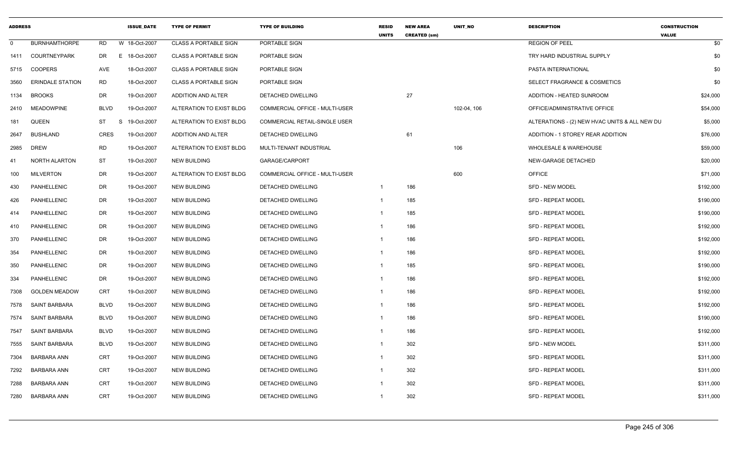| <b>ADDRESS</b> |                         |             | <b>ISSUE DATE</b> | <b>TYPE OF PERMIT</b>        | <b>TYPE OF BUILDING</b>               | <b>RESID</b><br><b>UNITS</b> | <b>NEW AREA</b><br><b>CREATED (sm)</b> | <b>UNIT NO</b> | <b>DESCRIPTION</b>                            | <b>CONSTRUCTION</b><br><b>VALUE</b> |
|----------------|-------------------------|-------------|-------------------|------------------------------|---------------------------------------|------------------------------|----------------------------------------|----------------|-----------------------------------------------|-------------------------------------|
| $\Omega$       | <b>BURNHAMTHORPE</b>    | <b>RD</b>   | W 18-Oct-2007     | <b>CLASS A PORTABLE SIGN</b> | PORTABLE SIGN                         |                              |                                        |                | <b>REGION OF PEEL</b>                         | \$0                                 |
| 1411           | <b>COURTNEYPARK</b>     | DR          | E 18-Oct-2007     | <b>CLASS A PORTABLE SIGN</b> | PORTABLE SIGN                         |                              |                                        |                | TRY HARD INDUSTRIAL SUPPLY                    | \$0                                 |
| 5715           | <b>COOPERS</b>          | <b>AVE</b>  | 18-Oct-2007       | <b>CLASS A PORTABLE SIGN</b> | PORTABLE SIGN                         |                              |                                        |                | PASTA INTERNATIONAL                           | \$0                                 |
| 3560           | <b>ERINDALE STATION</b> | <b>RD</b>   | 18-Oct-2007       | <b>CLASS A PORTABLE SIGN</b> | PORTABLE SIGN                         |                              |                                        |                | SELECT FRAGRANCE & COSMETICS                  | \$0                                 |
| 1134           | <b>BROOKS</b>           | <b>DR</b>   | 19-Oct-2007       | <b>ADDITION AND ALTER</b>    | DETACHED DWELLING                     |                              | 27                                     |                | ADDITION - HEATED SUNROOM                     | \$24,000                            |
| 2410           | <b>MEADOWPINE</b>       | <b>BLVD</b> | 19-Oct-2007       | ALTERATION TO EXIST BLDG     | <b>COMMERCIAL OFFICE - MULTI-USER</b> |                              |                                        | 102-04, 106    | OFFICE/ADMINISTRATIVE OFFICE                  | \$54,000                            |
| 181            | QUEEN                   | <b>ST</b>   | S<br>19-Oct-2007  | ALTERATION TO EXIST BLDG     | COMMERCIAL RETAIL-SINGLE USER         |                              |                                        |                | ALTERATIONS - (2) NEW HVAC UNITS & ALL NEW DU | \$5,000                             |
| 2647           | <b>BUSHLAND</b>         | <b>CRES</b> | 19-Oct-2007       | ADDITION AND ALTER           | DETACHED DWELLING                     |                              | 61                                     |                | ADDITION - 1 STOREY REAR ADDITION             | \$76,000                            |
| 2985           | <b>DREW</b>             | RD          | 19-Oct-2007       | ALTERATION TO EXIST BLDG     | MULTI-TENANT INDUSTRIAL               |                              |                                        | 106            | WHOLESALE & WAREHOUSE                         | \$59,000                            |
| 41             | NORTH ALARTON           | <b>ST</b>   | 19-Oct-2007       | <b>NEW BUILDING</b>          | GARAGE/CARPORT                        |                              |                                        |                | NEW-GARAGE DETACHED                           | \$20,000                            |
| 100            | <b>MILVERTON</b>        | <b>DR</b>   | 19-Oct-2007       | ALTERATION TO EXIST BLDG     | COMMERCIAL OFFICE - MULTI-USER        |                              |                                        | 600            | <b>OFFICE</b>                                 | \$71,000                            |
| 430            | PANHELLENIC             | <b>DR</b>   | 19-Oct-2007       | <b>NEW BUILDING</b>          | DETACHED DWELLING                     | -1                           | 186                                    |                | <b>SFD - NEW MODEL</b>                        | \$192,000                           |
| 426            | <b>PANHELLENIC</b>      | DR          | 19-Oct-2007       | <b>NEW BUILDING</b>          | <b>DETACHED DWELLING</b>              | $\mathbf{1}$                 | 185                                    |                | <b>SFD - REPEAT MODEL</b>                     | \$190,000                           |
| 414            | PANHELLENIC             | <b>DR</b>   | 19-Oct-2007       | <b>NEW BUILDING</b>          | DETACHED DWELLING                     | $\mathbf{1}$                 | 185                                    |                | SFD - REPEAT MODEL                            | \$190,000                           |
| 410            | PANHELLENIC             | <b>DR</b>   | 19-Oct-2007       | <b>NEW BUILDING</b>          | DETACHED DWELLING                     | -1                           | 186                                    |                | SFD - REPEAT MODEL                            | \$192,000                           |
| 370            | PANHELLENIC             | DR          | 19-Oct-2007       | <b>NEW BUILDING</b>          | DETACHED DWELLING                     | -1                           | 186                                    |                | SFD - REPEAT MODEL                            | \$192,000                           |
| 354            | <b>PANHELLENIC</b>      | <b>DR</b>   | 19-Oct-2007       | <b>NEW BUILDING</b>          | <b>DETACHED DWELLING</b>              | -1                           | 186                                    |                | <b>SFD - REPEAT MODEL</b>                     | \$192,000                           |
| 350            | PANHELLENIC             | <b>DR</b>   | 19-Oct-2007       | <b>NEW BUILDING</b>          | DETACHED DWELLING                     | $\mathbf{1}$                 | 185                                    |                | SFD - REPEAT MODEL                            | \$190,000                           |
| 334            | <b>PANHELLENIC</b>      | DR          | 19-Oct-2007       | <b>NEW BUILDING</b>          | <b>DETACHED DWELLING</b>              | $\mathbf{1}$                 | 186                                    |                | <b>SFD - REPEAT MODEL</b>                     | \$192,000                           |
| 7308           | <b>GOLDEN MEADOW</b>    | <b>CRT</b>  | 19-Oct-2007       | <b>NEW BUILDING</b>          | DETACHED DWELLING                     | $\mathbf{1}$                 | 186                                    |                | SFD - REPEAT MODEL                            | \$192,000                           |
| 7578           | <b>SAINT BARBARA</b>    | <b>BLVD</b> | 19-Oct-2007       | <b>NEW BUILDING</b>          | DETACHED DWELLING                     | -1                           | 186                                    |                | SFD - REPEAT MODEL                            | \$192,000                           |
| 7574           | <b>SAINT BARBARA</b>    | <b>BLVD</b> | 19-Oct-2007       | <b>NEW BUILDING</b>          | DETACHED DWELLING                     | -1                           | 186                                    |                | <b>SFD - REPEAT MODEL</b>                     | \$190,000                           |
| 7547           | <b>SAINT BARBARA</b>    | <b>BLVD</b> | 19-Oct-2007       | <b>NEW BUILDING</b>          | DETACHED DWELLING                     | -1                           | 186                                    |                | <b>SFD - REPEAT MODEL</b>                     | \$192,000                           |
| 7555           | <b>SAINT BARBARA</b>    | <b>BLVD</b> | 19-Oct-2007       | <b>NEW BUILDING</b>          | DETACHED DWELLING                     | $\mathbf{1}$                 | 302                                    |                | <b>SFD - NEW MODEL</b>                        | \$311,000                           |
| 7304           | <b>BARBARA ANN</b>      | <b>CRT</b>  | 19-Oct-2007       | <b>NEW BUILDING</b>          | DETACHED DWELLING                     | $\mathbf{1}$                 | 302                                    |                | <b>SFD - REPEAT MODEL</b>                     | \$311,000                           |
| 7292           | <b>BARBARA ANN</b>      | <b>CRT</b>  | 19-Oct-2007       | <b>NEW BUILDING</b>          | DETACHED DWELLING                     | $\mathbf{1}$                 | 302                                    |                | SFD - REPEAT MODEL                            | \$311,000                           |
| 7288           | <b>BARBARA ANN</b>      | <b>CRT</b>  | 19-Oct-2007       | <b>NEW BUILDING</b>          | DETACHED DWELLING                     |                              | 302                                    |                | SFD - REPEAT MODEL                            | \$311,000                           |
| 7280           | <b>BARBARA ANN</b>      | <b>CRT</b>  | 19-Oct-2007       | <b>NEW BUILDING</b>          | <b>DETACHED DWELLING</b>              | $\mathbf{1}$                 | 302                                    |                | <b>SFD - REPEAT MODEL</b>                     | \$311,000                           |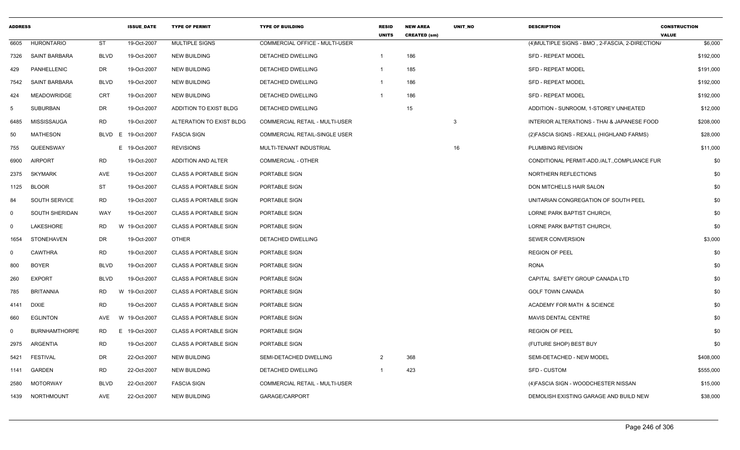| <b>ADDRESS</b> |                      |             | <b>ISSUE DATE</b>  | <b>TYPE OF PERMIT</b>        | <b>TYPE OF BUILDING</b>               | <b>RESID</b><br><b>UNITS</b> | <b>NEW AREA</b><br><b>CREATED (sm)</b> | <b>UNIT NO</b> | <b>DESCRIPTION</b>                               | <b>CONSTRUCTION</b><br><b>VALUE</b> |
|----------------|----------------------|-------------|--------------------|------------------------------|---------------------------------------|------------------------------|----------------------------------------|----------------|--------------------------------------------------|-------------------------------------|
| 6605           | <b>HURONTARIO</b>    | <b>ST</b>   | 19-Oct-2007        | MULTIPLE SIGNS               | COMMERCIAL OFFICE - MULTI-USER        |                              |                                        |                | (4) MULTIPLE SIGNS - BMO, 2-FASCIA, 2-DIRECTION/ | \$6,000                             |
| 7326           | SAINT BARBARA        | BLVD        | 19-Oct-2007        | <b>NEW BUILDING</b>          | DETACHED DWELLING                     | $\overline{1}$               | 186                                    |                | <b>SFD - REPEAT MODEL</b>                        | \$192,000                           |
| 429            | PANHELLENIC          | DR          | 19-Oct-2007        | <b>NEW BUILDING</b>          | DETACHED DWELLING                     | - 1                          | 185                                    |                | <b>SFD - REPEAT MODEL</b>                        | \$191,000                           |
| 7542           | <b>SAINT BARBARA</b> | <b>BLVD</b> | 19-Oct-2007        | <b>NEW BUILDING</b>          | <b>DETACHED DWELLING</b>              | - 1                          | 186                                    |                | <b>SFD - REPEAT MODEL</b>                        | \$192,000                           |
| 424            | <b>MEADOWRIDGE</b>   | <b>CRT</b>  | 19-Oct-2007        | <b>NEW BUILDING</b>          | DETACHED DWELLING                     |                              | 186                                    |                | <b>SFD - REPEAT MODEL</b>                        | \$192,000                           |
| -5             | <b>SUBURBAN</b>      | DR          | 19-Oct-2007        | ADDITION TO EXIST BLDG       | DETACHED DWELLING                     |                              | 15                                     |                | ADDITION - SUNROOM, 1-STOREY UNHEATED            | \$12,000                            |
| 6485           | MISSISSAUGA          | RD          | 19-Oct-2007        | ALTERATION TO EXIST BLDG     | COMMERCIAL RETAIL - MULTI-USER        |                              |                                        | 3              | INTERIOR ALTERATIONS - THAI & JAPANESE FOOD      | \$208,000                           |
| 50             | <b>MATHESON</b>      |             | BLVD E 19-Oct-2007 | <b>FASCIA SIGN</b>           | <b>COMMERCIAL RETAIL-SINGLE USER</b>  |                              |                                        |                | (2) FASCIA SIGNS - REXALL (HIGHLAND FARMS)       | \$28,000                            |
| 755            | QUEENSWAY            |             | E 19-Oct-2007      | <b>REVISIONS</b>             | MULTI-TENANT INDUSTRIAL               |                              |                                        | 16             | <b>PLUMBING REVISION</b>                         | \$11,000                            |
| 6900           | <b>AIRPORT</b>       | <b>RD</b>   | 19-Oct-2007        | <b>ADDITION AND ALTER</b>    | <b>COMMERCIAL - OTHER</b>             |                              |                                        |                | CONDITIONAL PERMIT-ADD./ALT.,COMPLIANCE FUR      | \$0                                 |
| 2375           | <b>SKYMARK</b>       | AVE         | 19-Oct-2007        | <b>CLASS A PORTABLE SIGN</b> | PORTABLE SIGN                         |                              |                                        |                | NORTHERN REFLECTIONS                             | \$0                                 |
| 1125           | <b>BLOOR</b>         | <b>ST</b>   | 19-Oct-2007        | <b>CLASS A PORTABLE SIGN</b> | PORTABLE SIGN                         |                              |                                        |                | DON MITCHELLS HAIR SALON                         | \$0                                 |
| 84             | <b>SOUTH SERVICE</b> | RD          | 19-Oct-2007        | <b>CLASS A PORTABLE SIGN</b> | PORTABLE SIGN                         |                              |                                        |                | UNITARIAN CONGREGATION OF SOUTH PEEL             | \$0                                 |
| $\Omega$       | SOUTH SHERIDAN       | WAY         | 19-Oct-2007        | <b>CLASS A PORTABLE SIGN</b> | PORTABLE SIGN                         |                              |                                        |                | LORNE PARK BAPTIST CHURCH,                       | \$0                                 |
| $\Omega$       | <b>LAKESHORE</b>     | <b>RD</b>   | W<br>19-Oct-2007   | <b>CLASS A PORTABLE SIGN</b> | PORTABLE SIGN                         |                              |                                        |                | LORNE PARK BAPTIST CHURCH                        | \$0                                 |
| 1654           | STONEHAVEN           | DR          | 19-Oct-2007        | OTHER                        | DETACHED DWELLING                     |                              |                                        |                | <b>SEWER CONVERSION</b>                          | \$3,000                             |
| 0              | <b>CAWTHRA</b>       | RD          | 19-Oct-2007        | <b>CLASS A PORTABLE SIGN</b> | PORTABLE SIGN                         |                              |                                        |                | <b>REGION OF PEEL</b>                            | \$0                                 |
| 800            | <b>BOYER</b>         | <b>BLVD</b> | 19-Oct-2007        | <b>CLASS A PORTABLE SIGN</b> | PORTABLE SIGN                         |                              |                                        |                | <b>RONA</b>                                      | \$0                                 |
| 260            | <b>EXPORT</b>        | BLVD        | 19-Oct-2007        | <b>CLASS A PORTABLE SIGN</b> | PORTABLE SIGN                         |                              |                                        |                | CAPITAL SAFETY GROUP CANADA LTD                  | \$0                                 |
| 785            | <b>BRITANNIA</b>     | <b>RD</b>   | W<br>19-Oct-2007   | <b>CLASS A PORTABLE SIGN</b> | PORTABLE SIGN                         |                              |                                        |                | <b>GOLF TOWN CANADA</b>                          | \$0                                 |
| 4141           | <b>DIXIE</b>         | <b>RD</b>   | 19-Oct-2007        | <b>CLASS A PORTABLE SIGN</b> | PORTABLE SIGN                         |                              |                                        |                | ACADEMY FOR MATH & SCIENCE                       | \$0                                 |
| 660            | <b>EGLINTON</b>      | AVE         | W 19-Oct-2007      | <b>CLASS A PORTABLE SIGN</b> | PORTABLE SIGN                         |                              |                                        |                | <b>MAVIS DENTAL CENTRE</b>                       | \$0                                 |
| $\Omega$       | <b>BURNHAMTHORPE</b> | RD          | E 19-Oct-2007      | <b>CLASS A PORTABLE SIGN</b> | PORTABLE SIGN                         |                              |                                        |                | <b>REGION OF PEEL</b>                            | \$0                                 |
| 2975           | ARGENTIA             | <b>RD</b>   | 19-Oct-2007        | <b>CLASS A PORTABLE SIGN</b> | PORTABLE SIGN                         |                              |                                        |                | (FUTURE SHOP) BEST BUY                           | \$0                                 |
| 5421           | FESTIVAL             | DR          | 22-Oct-2007        | <b>NEW BUILDING</b>          | SEMI-DETACHED DWELLING                |                              | 368                                    |                | SEMI-DETACHED - NEW MODEL                        | \$408,000                           |
| 1141           | GARDEN               | <b>RD</b>   | 22-Oct-2007        | <b>NEW BUILDING</b>          | DETACHED DWELLING                     | - 1                          | 423                                    |                | SFD - CUSTOM                                     | \$555,000                           |
| 2580           | <b>MOTORWAY</b>      | <b>BLVD</b> | 22-Oct-2007        | <b>FASCIA SIGN</b>           | <b>COMMERCIAL RETAIL - MULTI-USER</b> |                              |                                        |                | (4) FASCIA SIGN - WOODCHESTER NISSAN             | \$15,000                            |
|                | 1439 NORTHMOUNT      | AVE         | 22-Oct-2007        | <b>NEW BUILDING</b>          | GARAGE/CARPORT                        |                              |                                        |                | DEMOLISH EXISTING GARAGE AND BUILD NEW           | \$38,000                            |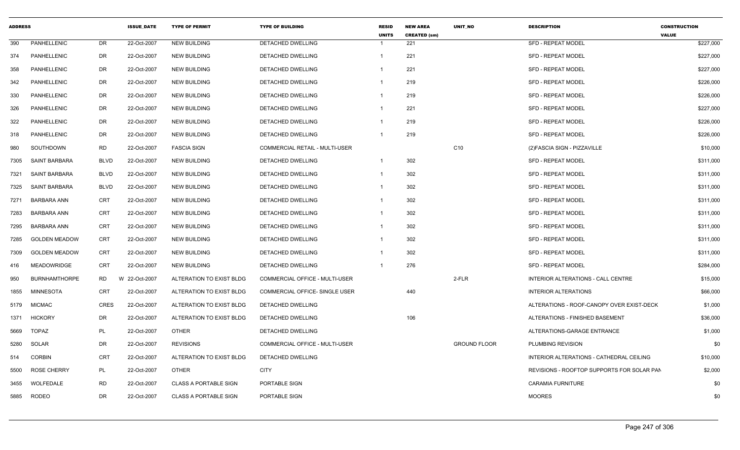| <b>ADDRESS</b> |                      |             | <b>ISSUE DATE</b> | <b>TYPE OF PERMIT</b>        | <b>TYPE OF BUILDING</b>        | <b>RESID</b><br><b>UNITS</b> | <b>NEW AREA</b><br><b>CREATED (sm)</b> | <b>UNIT NO</b>      | <b>DESCRIPTION</b>                         | <b>CONSTRUCTION</b><br><b>VALUE</b> |
|----------------|----------------------|-------------|-------------------|------------------------------|--------------------------------|------------------------------|----------------------------------------|---------------------|--------------------------------------------|-------------------------------------|
| 390            | PANHELLENIC          | DR          | 22-Oct-2007       | <b>NEW BUILDING</b>          | <b>DETACHED DWELLING</b>       | -1                           | 221                                    |                     | <b>SFD - REPEAT MODEL</b>                  | \$227,000                           |
| 374            | PANHELLENIC          | DR          | 22-Oct-2007       | <b>NEW BUILDING</b>          | DETACHED DWELLING              | -1                           | 221                                    |                     | <b>SFD - REPEAT MODEL</b>                  | \$227,000                           |
| 358            | PANHELLENIC          | DR.         | 22-Oct-2007       | <b>NEW BUILDING</b>          | DETACHED DWELLING              |                              | 221                                    |                     | <b>SFD - REPEAT MODEL</b>                  | \$227,000                           |
| 342            | PANHELLENIC          | DR          | 22-Oct-2007       | <b>NEW BUILDING</b>          | DETACHED DWELLING              |                              | 219                                    |                     | SFD - REPEAT MODEL                         | \$226,000                           |
| 330            | PANHELLENIC          | DR          | 22-Oct-2007       | <b>NEW BUILDING</b>          | DETACHED DWELLING              | - 1                          | 219                                    |                     | <b>SFD - REPEAT MODEL</b>                  | \$226,000                           |
| 326            | PANHELLENIC          | DR          | 22-Oct-2007       | <b>NEW BUILDING</b>          | DETACHED DWELLING              | - 1                          | 221                                    |                     | <b>SFD - REPEAT MODEL</b>                  | \$227,000                           |
| 322            | PANHELLENIC          | DR          | 22-Oct-2007       | <b>NEW BUILDING</b>          | DETACHED DWELLING              | - 1                          | 219                                    |                     | <b>SFD - REPEAT MODEL</b>                  | \$226,000                           |
| 318            | PANHELLENIC          | DR          | 22-Oct-2007       | <b>NEW BUILDING</b>          | DETACHED DWELLING              | - 1                          | 219                                    |                     | <b>SFD - REPEAT MODEL</b>                  | \$226,000                           |
| 980            | SOUTHDOWN            | RD          | 22-Oct-2007       | <b>FASCIA SIGN</b>           | COMMERCIAL RETAIL - MULTI-USER |                              |                                        | C <sub>10</sub>     | (2) FASCIA SIGN - PIZZAVILLE               | \$10,000                            |
| 7305           | SAINT BARBARA        | <b>BLVD</b> | 22-Oct-2007       | <b>NEW BUILDING</b>          | DETACHED DWELLING              | $\overline{\mathbf{1}}$      | 302                                    |                     | <b>SFD - REPEAT MODEL</b>                  | \$311,000                           |
| 7321           | SAINT BARBARA        | <b>BLVD</b> | 22-Oct-2007       | <b>NEW BUILDING</b>          | DETACHED DWELLING              | $\overline{\mathbf{1}}$      | 302                                    |                     | <b>SFD - REPEAT MODEL</b>                  | \$311,000                           |
| 7325           | <b>SAINT BARBARA</b> | <b>BLVD</b> | 22-Oct-2007       | <b>NEW BUILDING</b>          | DETACHED DWELLING              | -1                           | 302                                    |                     | <b>SFD - REPEAT MODEL</b>                  | \$311,000                           |
| 7271           | <b>BARBARA ANN</b>   | CRT         | 22-Oct-2007       | <b>NEW BUILDING</b>          | DETACHED DWELLING              | -1                           | 302                                    |                     | <b>SFD - REPEAT MODEL</b>                  | \$311,000                           |
| 7283           | <b>BARBARA ANN</b>   | CRT         | 22-Oct-2007       | <b>NEW BUILDING</b>          | DETACHED DWELLING              |                              | 302                                    |                     | <b>SFD - REPEAT MODEL</b>                  | \$311,000                           |
| 7295           | <b>BARBARA ANN</b>   | CRT         | 22-Oct-2007       | <b>NEW BUILDING</b>          | DETACHED DWELLING              |                              | 302                                    |                     | SFD - REPEAT MODEL                         | \$311,000                           |
| 7285           | <b>GOLDEN MEADOW</b> | CRT         | 22-Oct-2007       | <b>NEW BUILDING</b>          | DETACHED DWELLING              | - 1                          | 302                                    |                     | SFD - REPEAT MODEL                         | \$311,000                           |
| 7309           | <b>GOLDEN MEADOW</b> | CRT         | 22-Oct-2007       | <b>NEW BUILDING</b>          | DETACHED DWELLING              | - 1                          | 302                                    |                     | <b>SFD - REPEAT MODEL</b>                  | \$311,000                           |
| 416            | <b>MEADOWRIDGE</b>   | CRT         | 22-Oct-2007       | <b>NEW BUILDING</b>          | DETACHED DWELLING              | - 1                          | 276                                    |                     | SFD - REPEAT MODEL                         | \$284,000                           |
| 950            | <b>BURNHAMTHORPE</b> | <b>RD</b>   | W 22-Oct-2007     | ALTERATION TO EXIST BLDG     | COMMERCIAL OFFICE - MULTI-USER |                              |                                        | $2-FLR$             | INTERIOR ALTERATIONS - CALL CENTRE         | \$15,000                            |
| 1855           | MINNESOTA            | CRT         | 22-Oct-2007       | ALTERATION TO EXIST BLDG     | COMMERCIAL OFFICE- SINGLE USER |                              | 440                                    |                     | <b>INTERIOR ALTERATIONS</b>                | \$66,000                            |
| 5179           | <b>MICMAC</b>        | <b>CRES</b> | 22-Oct-2007       | ALTERATION TO EXIST BLDG     | DETACHED DWELLING              |                              |                                        |                     | ALTERATIONS - ROOF-CANOPY OVER EXIST-DECK  | \$1,000                             |
| 1371           | <b>HICKORY</b>       | DR          | 22-Oct-2007       | ALTERATION TO EXIST BLDG     | DETACHED DWELLING              |                              | 106                                    |                     | ALTERATIONS - FINISHED BASEMENT            | \$36,000                            |
| 5669           | <b>TOPAZ</b>         | PL          | 22-Oct-2007       | <b>OTHER</b>                 | DETACHED DWELLING              |                              |                                        |                     | ALTERATIONS-GARAGE ENTRANCE                | \$1,000                             |
| 5280           | SOLAR                | DR          | 22-Oct-2007       | <b>REVISIONS</b>             | COMMERCIAL OFFICE - MULTI-USER |                              |                                        | <b>GROUND FLOOR</b> | PLUMBING REVISION                          | \$0                                 |
| 514            | <b>CORBIN</b>        | CRT         | 22-Oct-2007       | ALTERATION TO EXIST BLDG     | DETACHED DWELLING              |                              |                                        |                     | INTERIOR ALTERATIONS - CATHEDRAL CEILING   | \$10,000                            |
| 5500           | <b>ROSE CHERRY</b>   | PL          | 22-Oct-2007       | <b>OTHER</b>                 | <b>CITY</b>                    |                              |                                        |                     | REVISIONS - ROOFTOP SUPPORTS FOR SOLAR PAN | \$2,000                             |
| 3455           | WOLFEDALE            | RD          | 22-Oct-2007       | <b>CLASS A PORTABLE SIGN</b> | PORTABLE SIGN                  |                              |                                        |                     | CARAMIA FURNITURE                          | \$0                                 |
| 5885           | <b>RODEO</b>         | DR          | 22-Oct-2007       | <b>CLASS A PORTABLE SIGN</b> | PORTABLE SIGN                  |                              |                                        |                     | <b>MOORES</b>                              | \$0                                 |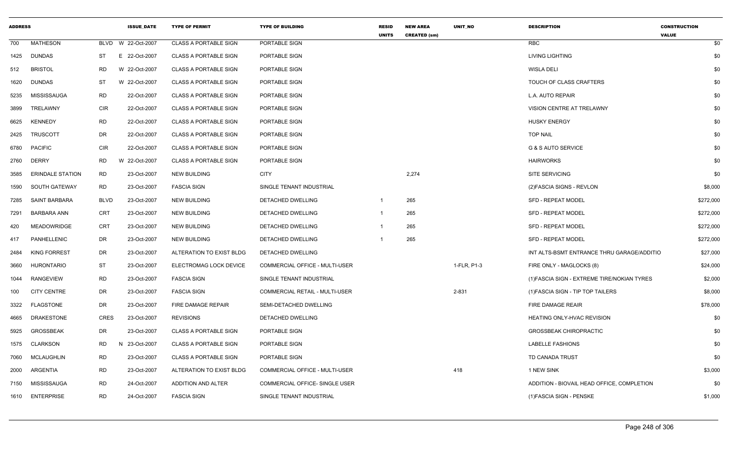| <b>ADDRESS</b> |                         |             | <b>ISSUE_DATE</b>  | <b>TYPE OF PERMIT</b>        | <b>TYPE OF BUILDING</b>        | <b>RESID</b><br><b>UNITS</b> | <b>NEW AREA</b><br><b>CREATED (sm)</b> | UNIT_NO     | <b>DESCRIPTION</b>                          | <b>CONSTRUCTION</b><br><b>VALUE</b> |
|----------------|-------------------------|-------------|--------------------|------------------------------|--------------------------------|------------------------------|----------------------------------------|-------------|---------------------------------------------|-------------------------------------|
| 700            | <b>MATHESON</b>         |             | BLVD W 22-Oct-2007 | <b>CLASS A PORTABLE SIGN</b> | PORTABLE SIGN                  |                              |                                        |             | RBC                                         | \$0                                 |
| 1425           | <b>DUNDAS</b>           | ST          | E 22-Oct-2007      | <b>CLASS A PORTABLE SIGN</b> | PORTABLE SIGN                  |                              |                                        |             | <b>LIVING LIGHTING</b>                      | \$0                                 |
| 512            | <b>BRISTOL</b>          | <b>RD</b>   | W 22-Oct-2007      | <b>CLASS A PORTABLE SIGN</b> | PORTABLE SIGN                  |                              |                                        |             | <b>WISLA DELI</b>                           | \$0                                 |
| 1620           | <b>DUNDAS</b>           | ST          | W 22-Oct-2007      | <b>CLASS A PORTABLE SIGN</b> | PORTABLE SIGN                  |                              |                                        |             | TOUCH OF CLASS CRAFTERS                     | \$0                                 |
| 5235           | MISSISSAUGA             | <b>RD</b>   | 22-Oct-2007        | <b>CLASS A PORTABLE SIGN</b> | PORTABLE SIGN                  |                              |                                        |             | L.A. AUTO REPAIR                            | \$0                                 |
| 3899           | TRELAWNY                | CIR         | 22-Oct-2007        | <b>CLASS A PORTABLE SIGN</b> | PORTABLE SIGN                  |                              |                                        |             | VISION CENTRE AT TRELAWNY                   | \$0                                 |
| 6625           | <b>KENNEDY</b>          | <b>RD</b>   | 22-Oct-2007        | <b>CLASS A PORTABLE SIGN</b> | PORTABLE SIGN                  |                              |                                        |             | <b>HUSKY ENERGY</b>                         | \$0                                 |
| 2425           | TRUSCOTT                | DR          | 22-Oct-2007        | <b>CLASS A PORTABLE SIGN</b> | PORTABLE SIGN                  |                              |                                        |             | <b>TOP NAIL</b>                             | \$0                                 |
|                | 6780 PACIFIC            | CIR         | 22-Oct-2007        | <b>CLASS A PORTABLE SIGN</b> | PORTABLE SIGN                  |                              |                                        |             | G & S AUTO SERVICE                          | \$0                                 |
| 2760           | <b>DERRY</b>            | <b>RD</b>   | W 22-Oct-2007      | <b>CLASS A PORTABLE SIGN</b> | PORTABLE SIGN                  |                              |                                        |             | <b>HAIRWORKS</b>                            | \$0                                 |
| 3585           | <b>ERINDALE STATION</b> | <b>RD</b>   | 23-Oct-2007        | <b>NEW BUILDING</b>          | <b>CITY</b>                    |                              | 2,274                                  |             | <b>SITE SERVICING</b>                       | \$0                                 |
| 1590           | SOUTH GATEWAY           | <b>RD</b>   | 23-Oct-2007        | <b>FASCIA SIGN</b>           | SINGLE TENANT INDUSTRIAL       |                              |                                        |             | (2) FASCIA SIGNS - REVLON                   | \$8,000                             |
| 7285           | SAINT BARBARA           | <b>BLVD</b> | 23-Oct-2007        | <b>NEW BUILDING</b>          | DETACHED DWELLING              | $\overline{1}$               | 265                                    |             | <b>SFD - REPEAT MODEL</b>                   | \$272,000                           |
| 7291           | <b>BARBARA ANN</b>      | <b>CRT</b>  | 23-Oct-2007        | NEW BUILDING                 | DETACHED DWELLING              | $\overline{1}$               | 265                                    |             | <b>SFD - REPEAT MODEL</b>                   | \$272,000                           |
| 420            | <b>MEADOWRIDGE</b>      | <b>CRT</b>  | 23-Oct-2007        | <b>NEW BUILDING</b>          | DETACHED DWELLING              | $\overline{1}$               | 265                                    |             | <b>SFD - REPEAT MODEL</b>                   | \$272,000                           |
| 417            | PANHELLENIC             | DR          | 23-Oct-2007        | <b>NEW BUILDING</b>          | DETACHED DWELLING              |                              | 265                                    |             | <b>SFD - REPEAT MODEL</b>                   | \$272,000                           |
| 2484           | <b>KING FORREST</b>     | DR          | 23-Oct-2007        | ALTERATION TO EXIST BLDG     | DETACHED DWELLING              |                              |                                        |             | INT ALTS-BSMT ENTRANCE THRU GARAGE/ADDITIO  | \$27,000                            |
| 3660           | <b>HURONTARIO</b>       | <b>ST</b>   | 23-Oct-2007        | ELECTROMAG LOCK DEVICE       | COMMERCIAL OFFICE - MULTI-USER |                              |                                        | 1-FLR, P1-3 | FIRE ONLY - MAGLOCKS (8)                    | \$24,000                            |
| 1044           | <b>RANGEVIEW</b>        | <b>RD</b>   | 23-Oct-2007        | <b>FASCIA SIGN</b>           | SINGLE TENANT INDUSTRIAL       |                              |                                        |             | (1) FASCIA SIGN - EXTREME TIRE/NOKIAN TYRES | \$2,000                             |
| 100            | <b>CITY CENTRE</b>      | DR          | 23-Oct-2007        | <b>FASCIA SIGN</b>           | COMMERCIAL RETAIL - MULTI-USER |                              |                                        | 2-831       | (1) FASCIA SIGN - TIP TOP TAILERS           | \$8,000                             |
| 3322           | <b>FLAGSTONE</b>        | DR          | 23-Oct-2007        | FIRE DAMAGE REPAIR           | SEMI-DETACHED DWELLING         |                              |                                        |             | <b>FIRE DAMAGE REAIR</b>                    | \$78,000                            |
| 4665           | <b>DRAKESTONE</b>       | CRES        | 23-Oct-2007        | <b>REVISIONS</b>             | DETACHED DWELLING              |                              |                                        |             | HEATING ONLY-HVAC REVISION                  | \$0                                 |
| 5925           | <b>GROSSBEAK</b>        | DR          | 23-Oct-2007        | <b>CLASS A PORTABLE SIGN</b> | PORTABLE SIGN                  |                              |                                        |             | <b>GROSSBEAK CHIROPRACTIC</b>               | \$0                                 |
| 1575           | CLARKSON                | <b>RD</b>   | N 23-Oct-2007      | <b>CLASS A PORTABLE SIGN</b> | PORTABLE SIGN                  |                              |                                        |             | <b>LABELLE FASHIONS</b>                     | \$0                                 |
| 7060           | MCLAUGHLIN              | <b>RD</b>   | 23-Oct-2007        | <b>CLASS A PORTABLE SIGN</b> | PORTABLE SIGN                  |                              |                                        |             | TD CANADA TRUST                             | \$0                                 |
| 2000           | ARGENTIA                | RD          | 23-Oct-2007        | ALTERATION TO EXIST BLDG     | COMMERCIAL OFFICE - MULTI-USER |                              |                                        | 418         | 1 NEW SINK                                  | \$3,000                             |
| 7150           | MISSISSAUGA             | <b>RD</b>   | 24-Oct-2007        | ADDITION AND ALTER           | COMMERCIAL OFFICE- SINGLE USER |                              |                                        |             | ADDITION - BIOVAIL HEAD OFFICE, COMPLETION  | \$0                                 |
|                | 1610 ENTERPRISE         | <b>RD</b>   | 24-Oct-2007        | <b>FASCIA SIGN</b>           | SINGLE TENANT INDUSTRIAL       |                              |                                        |             | (1) FASCIA SIGN - PENSKE                    | \$1,000                             |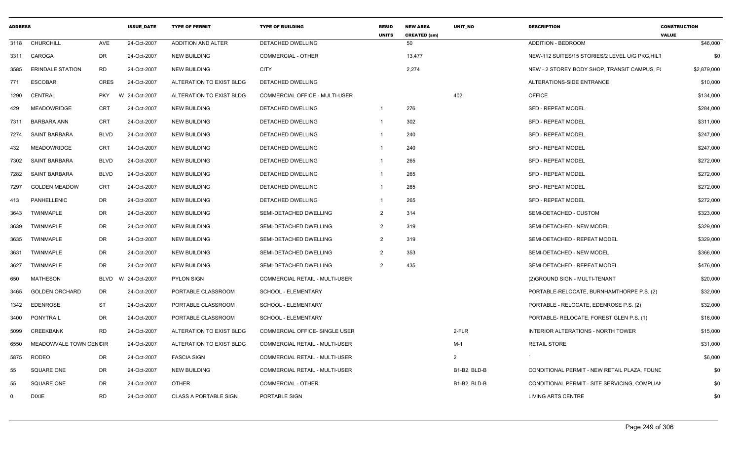| <b>ADDRESS</b> |                         |             | <b>ISSUE DATE</b> | <b>TYPE OF PERMIT</b>        | <b>TYPE OF BUILDING</b>               | <b>RESID</b><br><b>UNITS</b> | <b>NEW AREA</b><br><b>CREATED (sm)</b> | <b>UNIT NO</b>      | <b>DESCRIPTION</b>                             | <b>CONSTRUCTION</b><br><b>VALUE</b> |
|----------------|-------------------------|-------------|-------------------|------------------------------|---------------------------------------|------------------------------|----------------------------------------|---------------------|------------------------------------------------|-------------------------------------|
|                | 3118 CHURCHILL          | AVE         | 24-Oct-2007       | ADDITION AND ALTER           | <b>DETACHED DWELLING</b>              |                              | 50                                     |                     | <b>ADDITION - BEDROOM</b>                      | \$46,000                            |
|                | 3311 CAROGA             | DR          | 24-Oct-2007       | <b>NEW BUILDING</b>          | <b>COMMERCIAL - OTHER</b>             |                              | 13,477                                 |                     | NEW-112 SUITES/15 STORIES/2 LEVEL U/G PKG.HILT | \$0                                 |
| 3585           | <b>ERINDALE STATION</b> | <b>RD</b>   | 24-Oct-2007       | NEW BUILDING                 | <b>CITY</b>                           |                              | 2,274                                  |                     | NEW - 2 STOREY BODY SHOP, TRANSIT CAMPUS, FO   | \$2,879,000                         |
| 771            | <b>ESCOBAR</b>          | CRES        | 24-Oct-2007       | ALTERATION TO EXIST BLDG     | <b>DETACHED DWELLING</b>              |                              |                                        |                     | ALTERATIONS-SIDE ENTRANCE                      | \$10,000                            |
| 1290           | CENTRAL                 | <b>PKY</b>  | W 24-Oct-2007     | ALTERATION TO EXIST BLDG     | COMMERCIAL OFFICE - MULTI-USER        |                              |                                        | 402                 | OFFICE                                         | \$134,000                           |
| 429            | <b>MEADOWRIDGE</b>      | CRT         | 24-Oct-2007       | NEW BUILDING                 | DETACHED DWELLING                     | $\overline{1}$               | 276                                    |                     | <b>SFD - REPEAT MODEL</b>                      | \$284,000                           |
| 7311           | BARBARA ANN             | CRT         | 24-Oct-2007       | NEW BUILDING                 | DETACHED DWELLING                     | $\overline{1}$               | 302                                    |                     | <b>SFD - REPEAT MODEL</b>                      | \$311,000                           |
| 7274           | <b>SAINT BARBARA</b>    | BLVD        | 24-Oct-2007       | NEW BUILDING                 | DETACHED DWELLING                     | $\overline{\mathbf{1}}$      | 240                                    |                     | <b>SFD - REPEAT MODEL</b>                      | \$247,000                           |
| 432            | <b>MEADOWRIDGE</b>      | CRT         | 24-Oct-2007       | NEW BUILDING                 | DETACHED DWELLING                     | - 1                          | 240                                    |                     | <b>SFD - REPEAT MODEL</b>                      | \$247,000                           |
| 7302           | SAINT BARBARA           | <b>BLVD</b> | 24-Oct-2007       | NEW BUILDING                 | DETACHED DWELLING                     | - 1                          | 265                                    |                     | <b>SFD - REPEAT MODEL</b>                      | \$272,000                           |
| 7282           | SAINT BARBARA           | BLVD        | 24-Oct-2007       | <b>NEW BUILDING</b>          | DETACHED DWELLING                     | $\overline{1}$               | 265                                    |                     | SFD - REPEAT MODEL                             | \$272,000                           |
| 7297           | <b>GOLDEN MEADOW</b>    | CRT         | 24-Oct-2007       | NEW BUILDING                 | DETACHED DWELLING                     |                              | 265                                    |                     | <b>SFD - REPEAT MODEL</b>                      | \$272,000                           |
| 413            | PANHELLENIC             | DR          | 24-Oct-2007       | NEW BUILDING                 | DETACHED DWELLING                     |                              | 265                                    |                     | <b>SFD - REPEAT MODEL</b>                      | \$272,000                           |
| 3643           | <b>TWINMAPLE</b>        | DR          | 24-Oct-2007       | NEW BUILDING                 | SEMI-DETACHED DWELLING                | 2                            | 314                                    |                     | SEMI-DETACHED - CUSTOM                         | \$323,000                           |
| 3639           | <b>TWINMAPLE</b>        | DR          | 24-Oct-2007       | NEW BUILDING                 | SEMI-DETACHED DWELLING                | $\overline{2}$               | 319                                    |                     | SEMI-DETACHED - NEW MODEL                      | \$329,000                           |
| 3635           | <b>TWINMAPLE</b>        | DR          | 24-Oct-2007       | NEW BUILDING                 | SEMI-DETACHED DWELLING                | $\overline{2}$               | 319                                    |                     | SEMI-DETACHED - REPEAT MODEL                   | \$329,000                           |
| 3631           | <b>TWINMAPLE</b>        | DR          | 24-Oct-2007       | NEW BUILDING                 | SEMI-DETACHED DWELLING                |                              | 353                                    |                     | SEMI-DETACHED - NEW MODEL                      | \$366,000                           |
| 3627           | <b>TWINMAPLE</b>        | DR          | 24-Oct-2007       | NEW BUILDING                 | SEMI-DETACHED DWELLING                | $\mathcal{P}$                | 435                                    |                     | SEMI-DETACHED - REPEAT MODEL                   | \$476,000                           |
| 650            | <b>MATHESON</b>         | BLVD        | W 24-Oct-2007     | <b>PYLON SIGN</b>            | COMMERCIAL RETAIL - MULTI-USER        |                              |                                        |                     | (2) GROUND SIGN - MULTI-TENANT                 | \$20,000                            |
| 3465           | <b>GOLDEN ORCHARD</b>   | DR          | 24-Oct-2007       | PORTABLE CLASSROOM           | SCHOOL - ELEMENTARY                   |                              |                                        |                     | PORTABLE-RELOCATE, BURNHAMTHORPE P.S. (2)      | \$32,000                            |
| 1342           | <b>EDENROSE</b>         | ST          | 24-Oct-2007       | PORTABLE CLASSROOM           | SCHOOL - ELEMENTARY                   |                              |                                        |                     | PORTABLE - RELOCATE, EDENROSE P.S. (2)         | \$32,000                            |
| 3400           | PONYTRAIL               | DR          | 24-Oct-2007       | PORTABLE CLASSROOM           | <b>SCHOOL - ELEMENTARY</b>            |                              |                                        |                     | PORTABLE- RELOCATE, FOREST GLEN P.S. (1)       | \$16,000                            |
| 5099           | <b>CREEKBANK</b>        | <b>RD</b>   | 24-Oct-2007       | ALTERATION TO EXIST BLDG     | <b>COMMERCIAL OFFICE- SINGLE USER</b> |                              |                                        | 2-FLR               | INTERIOR ALTERATIONS - NORTH TOWER             | \$15,000                            |
| 6550           | MEADOWVALE TOWN CENCIR  |             | 24-Oct-2007       | ALTERATION TO EXIST BLDG     | <b>COMMERCIAL RETAIL - MULTI-USER</b> |                              |                                        | M-1                 | <b>RETAIL STORE</b>                            | \$31,000                            |
| 5875           | <b>RODEO</b>            | DR.         | 24-Oct-2007       | <b>FASCIA SIGN</b>           | COMMERCIAL RETAIL - MULTI-USER        |                              |                                        | 2                   |                                                | \$6,000                             |
| 55             | <b>SQUARE ONE</b>       | DR          | 24-Oct-2007       | NEW BUILDING                 | COMMERCIAL RETAIL - MULTI-USER        |                              |                                        | B1-B2, BLD-B        | CONDITIONAL PERMIT - NEW RETAIL PLAZA, FOUND   | \$0                                 |
| 55             | <b>SQUARE ONE</b>       | DR          | 24-Oct-2007       | <b>OTHER</b>                 | <b>COMMERCIAL - OTHER</b>             |                              |                                        | <b>B1-B2, BLD-B</b> | CONDITIONAL PERMIT - SITE SERVICING, COMPLIAN  | \$0                                 |
| $\Omega$       | <b>DIXIE</b>            | <b>RD</b>   | 24-Oct-2007       | <b>CLASS A PORTABLE SIGN</b> | PORTABLE SIGN                         |                              |                                        |                     | <b>LIVING ARTS CENTRE</b>                      | \$0                                 |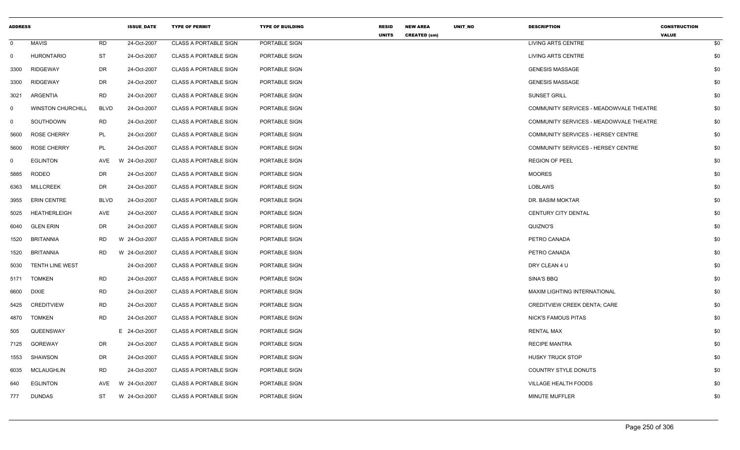| <b>ADDRESS</b> |                          |             | <b>ISSUE_DATE</b> | <b>TYPE OF PERMIT</b>        | <b>TYPE OF BUILDING</b> | <b>RESID</b><br><b>UNITS</b> | <b>NEW AREA</b>     | UNIT_NO | <b>DESCRIPTION</b>                      | <b>CONSTRUCTION</b><br><b>VALUE</b> |     |
|----------------|--------------------------|-------------|-------------------|------------------------------|-------------------------|------------------------------|---------------------|---------|-----------------------------------------|-------------------------------------|-----|
| $\mathbf 0$    | <b>MAVIS</b>             | <b>RD</b>   | 24-Oct-2007       | <b>CLASS A PORTABLE SIGN</b> | PORTABLE SIGN           |                              | <b>CREATED (sm)</b> |         | LIVING ARTS CENTRE                      |                                     | \$0 |
| $\mathbf 0$    | <b>HURONTARIO</b>        | <b>ST</b>   | 24-Oct-2007       | <b>CLASS A PORTABLE SIGN</b> | PORTABLE SIGN           |                              |                     |         | <b>LIVING ARTS CENTRE</b>               |                                     | \$0 |
| 3300           | <b>RIDGEWAY</b>          | DR          | 24-Oct-2007       | <b>CLASS A PORTABLE SIGN</b> | PORTABLE SIGN           |                              |                     |         | <b>GENESIS MASSAGE</b>                  |                                     | \$0 |
| 3300           | <b>RIDGEWAY</b>          | DR          | 24-Oct-2007       | <b>CLASS A PORTABLE SIGN</b> | PORTABLE SIGN           |                              |                     |         | <b>GENESIS MASSAGE</b>                  |                                     | \$0 |
| 3021           | ARGENTIA                 | RD          | 24-Oct-2007       | <b>CLASS A PORTABLE SIGN</b> | PORTABLE SIGN           |                              |                     |         | <b>SUNSET GRILL</b>                     |                                     | \$0 |
| 0              | <b>WINSTON CHURCHILL</b> | <b>BLVD</b> | 24-Oct-2007       | <b>CLASS A PORTABLE SIGN</b> | PORTABLE SIGN           |                              |                     |         | COMMUNITY SERVICES - MEADOWVALE THEATRE |                                     | \$0 |
| 0              | SOUTHDOWN                | <b>RD</b>   | 24-Oct-2007       | <b>CLASS A PORTABLE SIGN</b> | PORTABLE SIGN           |                              |                     |         | COMMUNITY SERVICES - MEADOWVALE THEATRE |                                     | \$0 |
| 5600           | <b>ROSE CHERRY</b>       | PL          | 24-Oct-2007       | <b>CLASS A PORTABLE SIGN</b> | PORTABLE SIGN           |                              |                     |         | COMMUNITY SERVICES - HERSEY CENTRE      |                                     | \$0 |
| 5600           | <b>ROSE CHERRY</b>       | PL          | 24-Oct-2007       | <b>CLASS A PORTABLE SIGN</b> | PORTABLE SIGN           |                              |                     |         | COMMUNITY SERVICES - HERSEY CENTRE      |                                     | \$0 |
| 0              | <b>EGLINTON</b>          | AVE         | 24-Oct-2007<br>W  | <b>CLASS A PORTABLE SIGN</b> | PORTABLE SIGN           |                              |                     |         | <b>REGION OF PEEL</b>                   |                                     | \$0 |
| 5885           | RODEO                    | <b>DR</b>   | 24-Oct-2007       | <b>CLASS A PORTABLE SIGN</b> | PORTABLE SIGN           |                              |                     |         | <b>MOORES</b>                           |                                     | \$0 |
| 6363           | <b>MILLCREEK</b>         | DR          | 24-Oct-2007       | <b>CLASS A PORTABLE SIGN</b> | PORTABLE SIGN           |                              |                     |         | <b>LOBLAWS</b>                          |                                     | \$0 |
| 3955           | <b>ERIN CENTRE</b>       | <b>BLVD</b> | 24-Oct-2007       | <b>CLASS A PORTABLE SIGN</b> | PORTABLE SIGN           |                              |                     |         | DR. BASIM MOKTAR                        |                                     | \$0 |
| 5025           | <b>HEATHERLEIGH</b>      | AVE         | 24-Oct-2007       | <b>CLASS A PORTABLE SIGN</b> | PORTABLE SIGN           |                              |                     |         | CENTURY CITY DENTAL                     |                                     | \$0 |
| 6040           | <b>GLEN ERIN</b>         | DR          | 24-Oct-2007       | <b>CLASS A PORTABLE SIGN</b> | PORTABLE SIGN           |                              |                     |         | QUIZNO'S                                |                                     | \$0 |
| 1520           | <b>BRITANNIA</b>         | RD          | W 24-Oct-2007     | <b>CLASS A PORTABLE SIGN</b> | PORTABLE SIGN           |                              |                     |         | PETRO CANADA                            |                                     | \$0 |
| 1520           | <b>BRITANNIA</b>         | <b>RD</b>   | W 24-Oct-2007     | <b>CLASS A PORTABLE SIGN</b> | PORTABLE SIGN           |                              |                     |         | PETRO CANADA                            |                                     | \$0 |
| 5030           | TENTH LINE WEST          |             | 24-Oct-2007       | <b>CLASS A PORTABLE SIGN</b> | PORTABLE SIGN           |                              |                     |         | DRY CLEAN 4 U                           |                                     | \$0 |
| 5171           | <b>TOMKEN</b>            | <b>RD</b>   | 24-Oct-2007       | <b>CLASS A PORTABLE SIGN</b> | PORTABLE SIGN           |                              |                     |         | SINA'S BBQ                              |                                     | \$0 |
| 6600           | DIXIE                    | <b>RD</b>   | 24-Oct-2007       | <b>CLASS A PORTABLE SIGN</b> | PORTABLE SIGN           |                              |                     |         | MAXIM LIGHTING INTERNATIONAL            |                                     | \$0 |
| 5425           | <b>CREDITVIEW</b>        | <b>RD</b>   | 24-Oct-2007       | <b>CLASS A PORTABLE SIGN</b> | PORTABLE SIGN           |                              |                     |         | <b>CREDITVIEW CREEK DENTA: CARE</b>     |                                     | \$0 |
| 4870           | <b>TOMKEN</b>            | <b>RD</b>   | 24-Oct-2007       | <b>CLASS A PORTABLE SIGN</b> | PORTABLE SIGN           |                              |                     |         | NICK'S FAMOUS PITAS                     |                                     | \$0 |
| 505            | QUEENSWAY                |             | E 24-Oct-2007     | <b>CLASS A PORTABLE SIGN</b> | PORTABLE SIGN           |                              |                     |         | <b>RENTAL MAX</b>                       |                                     | \$0 |
| 7125           | <b>GOREWAY</b>           | DR          | 24-Oct-2007       | <b>CLASS A PORTABLE SIGN</b> | PORTABLE SIGN           |                              |                     |         | <b>RECIPE MANTRA</b>                    |                                     | \$0 |
| 1553           | SHAWSON                  | DR          | 24-Oct-2007       | <b>CLASS A PORTABLE SIGN</b> | PORTABLE SIGN           |                              |                     |         | <b>HUSKY TRUCK STOP</b>                 |                                     | \$0 |
| 6035           | MCLAUGHLIN               | <b>RD</b>   | 24-Oct-2007       | <b>CLASS A PORTABLE SIGN</b> | PORTABLE SIGN           |                              |                     |         | <b>COUNTRY STYLE DONUTS</b>             |                                     | \$0 |
| 640            | <b>EGLINTON</b>          | AVE         | W 24-Oct-2007     | <b>CLASS A PORTABLE SIGN</b> | PORTABLE SIGN           |                              |                     |         | <b>VILLAGE HEALTH FOODS</b>             |                                     | \$0 |
| 777            | <b>DUNDAS</b>            | ST          | W 24-Oct-2007     | <b>CLASS A PORTABLE SIGN</b> | PORTABLE SIGN           |                              |                     |         | <b>MINUTE MUFFLER</b>                   |                                     | \$0 |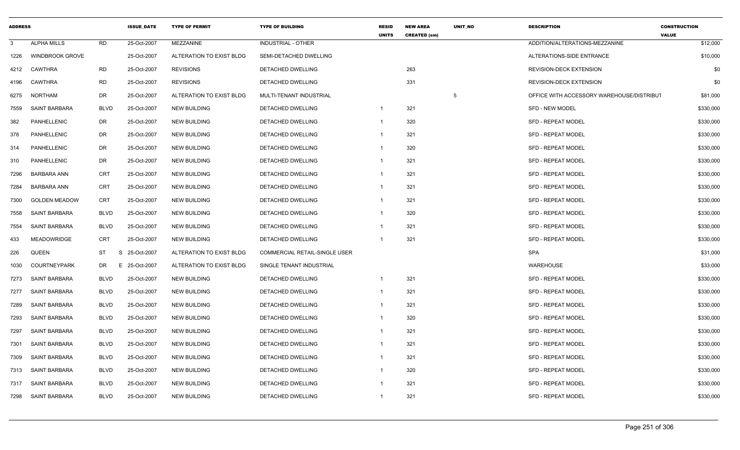| <b>ADDRESS</b> |                        |             | <b>ISSUE DATE</b> | <b>TYPE OF PERMIT</b>    | <b>TYPE OF BUILDING</b>              | <b>RESID</b><br><b>UNITS</b> | <b>NEW AREA</b><br><b>CREATED (sm)</b> | <b>UNIT NO</b> | <b>DESCRIPTION</b>                        | <b>CONSTRUCTION</b><br><b>VALUE</b> |
|----------------|------------------------|-------------|-------------------|--------------------------|--------------------------------------|------------------------------|----------------------------------------|----------------|-------------------------------------------|-------------------------------------|
| 3              | <b>ALPHA MILLS</b>     | <b>RD</b>   | 25-Oct-2007       | MEZZANINE                | <b>INDUSTRIAL - OTHER</b>            |                              |                                        |                | ADDITION/ALTERATIONS-MEZZANINE            | \$12,000                            |
| 1226           | <b>WINDBROOK GROVE</b> |             | 25-Oct-2007       | ALTERATION TO EXIST BLDG | SEMI-DETACHED DWELLING               |                              |                                        |                | ALTERATIONS-SIDE ENTRANCE                 | \$10,000                            |
| 4212           | <b>CAWTHRA</b>         | <b>RD</b>   | 25-Oct-2007       | <b>REVISIONS</b>         | DETACHED DWELLING                    |                              | 263                                    |                | <b>REVISION-DECK EXTENSION</b>            | \$0                                 |
| 4196           | CAWTHRA                | <b>RD</b>   | 25-Oct-2007       | <b>REVISIONS</b>         | DETACHED DWELLING                    |                              | 331                                    |                | REVISION-DECK EXTENSION                   | \$0                                 |
| 6275           | <b>NORTHAM</b>         | <b>DR</b>   | 25-Oct-2007       | ALTERATION TO EXIST BLDG | MULTI-TENANT INDUSTRIAL              |                              |                                        | 5              | OFFICE WITH ACCESSORY WAREHOUSE/DISTRIBUT | \$81,000                            |
| 7559           | <b>SAINT BARBARA</b>   | <b>BLVD</b> | 25-Oct-2007       | <b>NEW BUILDING</b>      | DETACHED DWELLING                    | $\mathbf{1}$                 | 321                                    |                | <b>SFD - NEW MODEL</b>                    | \$330,000                           |
| 382            | PANHELLENIC            | DR          | 25-Oct-2007       | <b>NEW BUILDING</b>      | DETACHED DWELLING                    | $\mathbf{1}$                 | 320                                    |                | <b>SFD - REPEAT MODEL</b>                 | \$330,000                           |
| 378            | <b>PANHELLENIC</b>     | <b>DR</b>   | 25-Oct-2007       | <b>NEW BUILDING</b>      | <b>DETACHED DWELLING</b>             | $\mathbf{1}$                 | 321                                    |                | <b>SFD - REPEAT MODEL</b>                 | \$330,000                           |
| 314            | PANHELLENIC            | DR          | 25-Oct-2007       | <b>NEW BUILDING</b>      | DETACHED DWELLING                    | $\mathbf{1}$                 | 320                                    |                | <b>SFD - REPEAT MODEL</b>                 | \$330,000                           |
| 310            | PANHELLENIC            | DR          | 25-Oct-2007       | <b>NEW BUILDING</b>      | DETACHED DWELLING                    | $\mathbf{1}$                 | 321                                    |                | <b>SFD - REPEAT MODEL</b>                 | \$330,000                           |
| 7296           | <b>BARBARA ANN</b>     | <b>CRT</b>  | 25-Oct-2007       | <b>NEW BUILDING</b>      | DETACHED DWELLING                    | $\mathbf{1}$                 | 321                                    |                | <b>SFD - REPEAT MODEL</b>                 | \$330,000                           |
| 7284           | <b>BARBARA ANN</b>     | <b>CRT</b>  | 25-Oct-2007       | <b>NEW BUILDING</b>      | DETACHED DWELLING                    | $\mathbf{1}$                 | 321                                    |                | <b>SFD - REPEAT MODEL</b>                 | \$330,000                           |
| 7300           | <b>GOLDEN MEADOW</b>   | CRT         | 25-Oct-2007       | <b>NEW BUILDING</b>      | DETACHED DWELLING                    | -1                           | 321                                    |                | <b>SFD - REPEAT MODEL</b>                 | \$330,000                           |
| 7558           | <b>SAINT BARBARA</b>   | <b>BLVD</b> | 25-Oct-2007       | <b>NEW BUILDING</b>      | DETACHED DWELLING                    | $\mathbf{1}$                 | 320                                    |                | <b>SFD - REPEAT MODEL</b>                 | \$330,000                           |
| 7554           | <b>SAINT BARBARA</b>   | <b>BLVD</b> | 25-Oct-2007       | <b>NEW BUILDING</b>      | DETACHED DWELLING                    | $\mathbf{1}$                 | 321                                    |                | <b>SFD - REPEAT MODEL</b>                 | \$330,000                           |
| 433            | <b>MEADOWRIDGE</b>     | <b>CRT</b>  | 25-Oct-2007       | <b>NEW BUILDING</b>      | DETACHED DWELLING                    | -1                           | 321                                    |                | <b>SFD - REPEAT MODEL</b>                 | \$330,000                           |
| 226            | QUEEN                  | <b>ST</b>   | S<br>25-Oct-2007  | ALTERATION TO EXIST BLDG | <b>COMMERCIAL RETAIL-SINGLE USER</b> |                              |                                        |                | <b>SPA</b>                                | \$31,000                            |
| 1030           | <b>COURTNEYPARK</b>    | DR.         | E.<br>25-Oct-2007 | ALTERATION TO EXIST BLDG | SINGLE TENANT INDUSTRIAL             |                              |                                        |                | <b>WAREHOUSE</b>                          | \$33,000                            |
| 7273           | <b>SAINT BARBARA</b>   | <b>BLVD</b> | 25-Oct-2007       | <b>NEW BUILDING</b>      | DETACHED DWELLING                    | $\mathbf{1}$                 | 321                                    |                | <b>SFD - REPEAT MODEL</b>                 | \$330,000                           |
| 7277           | SAINT BARBARA          | <b>BLVD</b> | 25-Oct-2007       | <b>NEW BUILDING</b>      | DETACHED DWELLING                    | $\mathbf{1}$                 | 321                                    |                | <b>SFD - REPEAT MODEL</b>                 | \$330,000                           |
| 7289           | <b>SAINT BARBARA</b>   | <b>BLVD</b> | 25-Oct-2007       | <b>NEW BUILDING</b>      | DETACHED DWELLING                    | $\mathbf{1}$                 | 321                                    |                | <b>SFD - REPEAT MODEL</b>                 | \$330,000                           |
| 7293           | <b>SAINT BARBARA</b>   | <b>BLVD</b> | 25-Oct-2007       | <b>NEW BUILDING</b>      | DETACHED DWELLING                    | $\mathbf{1}$                 | 320                                    |                | <b>SFD - REPEAT MODEL</b>                 | \$330,000                           |
| 7297           | SAINT BARBARA          | <b>BLVD</b> | 25-Oct-2007       | <b>NEW BUILDING</b>      | DETACHED DWELLING                    | $\mathbf{1}$                 | 321                                    |                | <b>SFD - REPEAT MODEL</b>                 | \$330,000                           |
| 7301           | <b>SAINT BARBARA</b>   | <b>BLVD</b> | 25-Oct-2007       | <b>NEW BUILDING</b>      | DETACHED DWELLING                    | $\mathbf{1}$                 | 321                                    |                | <b>SFD - REPEAT MODEL</b>                 | \$330,000                           |
| 7309           | <b>SAINT BARBARA</b>   | <b>BLVD</b> | 25-Oct-2007       | <b>NEW BUILDING</b>      | DETACHED DWELLING                    | $\mathbf{1}$                 | 321                                    |                | <b>SFD - REPEAT MODEL</b>                 | \$330,000                           |
| 7313           | SAINT BARBARA          | <b>BLVD</b> | 25-Oct-2007       | <b>NEW BUILDING</b>      | DETACHED DWELLING                    | $\mathbf{1}$                 | 320                                    |                | <b>SFD - REPEAT MODEL</b>                 | \$330,000                           |
| 7317           | SAINT BARBARA          | <b>BLVD</b> | 25-Oct-2007       | <b>NEW BUILDING</b>      | DETACHED DWELLING                    | -1                           | 321                                    |                | <b>SFD - REPEAT MODEL</b>                 | \$330,000                           |
| 7298           | <b>SAINT BARBARA</b>   | <b>BLVD</b> | 25-Oct-2007       | <b>NEW BUILDING</b>      | DETACHED DWELLING                    | $\mathbf{1}$                 | 321                                    |                | <b>SFD - REPEAT MODEL</b>                 | \$330,000                           |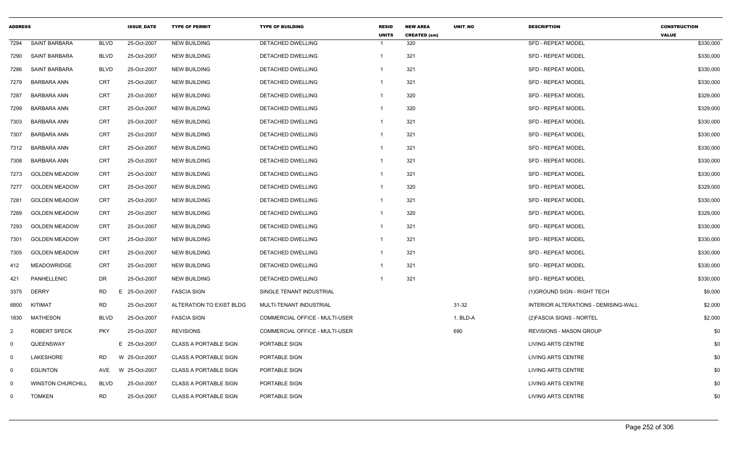| <b>ADDRESS</b> |                          |             | <b>ISSUE DATE</b> | <b>TYPE OF PERMIT</b>        | <b>TYPE OF BUILDING</b>               | <b>RESID</b><br><b>UNITS</b> | <b>NEW AREA</b><br><b>CREATED (sm)</b> | <b>UNIT NO</b> | <b>DESCRIPTION</b>                   | <b>CONSTRUCTION</b><br><b>VALUE</b> |
|----------------|--------------------------|-------------|-------------------|------------------------------|---------------------------------------|------------------------------|----------------------------------------|----------------|--------------------------------------|-------------------------------------|
| 7294           | <b>SAINT BARBARA</b>     | <b>BLVD</b> | 25-Oct-2007       | <b>NEW BUILDING</b>          | <b>DETACHED DWELLING</b>              | $\overline{1}$               | 320                                    |                | <b>SFD - REPEAT MODEL</b>            | \$330,000                           |
| 7290           | <b>SAINT BARBARA</b>     | <b>BLVD</b> | 25-Oct-2007       | <b>NEW BUILDING</b>          | DETACHED DWELLING                     | $\mathbf{1}$                 | 321                                    |                | <b>SFD - REPEAT MODEL</b>            | \$330,000                           |
| 7286           | <b>SAINT BARBARA</b>     | <b>BLVD</b> | 25-Oct-2007       | <b>NEW BUILDING</b>          | DETACHED DWELLING                     | -1                           | 321                                    |                | <b>SFD - REPEAT MODEL</b>            | \$330,000                           |
| 7279           | <b>BARBARA ANN</b>       | <b>CRT</b>  | 25-Oct-2007       | <b>NEW BUILDING</b>          | DETACHED DWELLING                     | $\mathbf{1}$                 | 321                                    |                | <b>SFD - REPEAT MODEL</b>            | \$330,000                           |
| 7287           | <b>BARBARA ANN</b>       | <b>CRT</b>  | 25-Oct-2007       | <b>NEW BUILDING</b>          | DETACHED DWELLING                     | $\mathbf{1}$                 | 320                                    |                | SFD - REPEAT MODEL                   | \$329,000                           |
| 7299           | <b>BARBARA ANN</b>       | <b>CRT</b>  | 25-Oct-2007       | <b>NEW BUILDING</b>          | <b>DETACHED DWELLING</b>              | $\mathbf{1}$                 | 320                                    |                | <b>SFD - REPEAT MODEL</b>            | \$329,000                           |
| 7303           | <b>BARBARA ANN</b>       | <b>CRT</b>  | 25-Oct-2007       | <b>NEW BUILDING</b>          | DETACHED DWELLING                     | $\mathbf{1}$                 | 321                                    |                | SFD - REPEAT MODEL                   | \$330,000                           |
| 7307           | <b>BARBARA ANN</b>       | <b>CRT</b>  | 25-Oct-2007       | <b>NEW BUILDING</b>          | DETACHED DWELLING                     | $\mathbf{1}$                 | 321                                    |                | <b>SFD - REPEAT MODEL</b>            | \$330,000                           |
| 7312           | <b>BARBARA ANN</b>       | <b>CRT</b>  | 25-Oct-2007       | <b>NEW BUILDING</b>          | DETACHED DWELLING                     | $\mathbf{1}$                 | 321                                    |                | SFD - REPEAT MODEL                   | \$330,000                           |
| 7308           | <b>BARBARA ANN</b>       | <b>CRT</b>  | 25-Oct-2007       | <b>NEW BUILDING</b>          | DETACHED DWELLING                     | -1                           | 321                                    |                | SFD - REPEAT MODEL                   | \$330,000                           |
| 7273           | <b>GOLDEN MEADOW</b>     | <b>CRT</b>  | 25-Oct-2007       | <b>NEW BUILDING</b>          | DETACHED DWELLING                     | $\mathbf{1}$                 | 321                                    |                | <b>SFD - REPEAT MODEL</b>            | \$330,000                           |
| 7277           | <b>GOLDEN MEADOW</b>     | CRT         | 25-Oct-2007       | <b>NEW BUILDING</b>          | DETACHED DWELLING                     | $\mathbf{1}$                 | 320                                    |                | <b>SFD - REPEAT MODEL</b>            | \$329,000                           |
| 7281           | <b>GOLDEN MEADOW</b>     | <b>CRT</b>  | 25-Oct-2007       | <b>NEW BUILDING</b>          | DETACHED DWELLING                     | $\mathbf{1}$                 | 321                                    |                | <b>SFD - REPEAT MODEL</b>            | \$330,000                           |
| 7289           | <b>GOLDEN MEADOW</b>     | <b>CRT</b>  | 25-Oct-2007       | <b>NEW BUILDING</b>          | DETACHED DWELLING                     | $\mathbf{1}$                 | 320                                    |                | SFD - REPEAT MODEL                   | \$329,000                           |
| 7293           | <b>GOLDEN MEADOW</b>     | <b>CRT</b>  | 25-Oct-2007       | <b>NEW BUILDING</b>          | DETACHED DWELLING                     | $\mathbf{1}$                 | 321                                    |                | SFD - REPEAT MODEL                   | \$330,000                           |
| 7301           | <b>GOLDEN MEADOW</b>     | <b>CRT</b>  | 25-Oct-2007       | <b>NEW BUILDING</b>          | DETACHED DWELLING                     | -1                           | 321                                    |                | SFD - REPEAT MODEL                   | \$330,000                           |
| 7305           | <b>GOLDEN MEADOW</b>     | <b>CRT</b>  | 25-Oct-2007       | <b>NEW BUILDING</b>          | DETACHED DWELLING                     | $\mathbf{1}$                 | 321                                    |                | <b>SFD - REPEAT MODEL</b>            | \$330,000                           |
| 412            | <b>MEADOWRIDGE</b>       | <b>CRT</b>  | 25-Oct-2007       | <b>NEW BUILDING</b>          | DETACHED DWELLING                     | -1                           | 321                                    |                | <b>SFD - REPEAT MODEL</b>            | \$330,000                           |
| 421            | PANHELLENIC              | <b>DR</b>   | 25-Oct-2007       | <b>NEW BUILDING</b>          | DETACHED DWELLING                     | -1                           | 321                                    |                | SFD - REPEAT MODEL                   | \$330,000                           |
| 3375           | <b>DERRY</b>             | <b>RD</b>   | E 25-Oct-2007     | <b>FASCIA SIGN</b>           | SINGLE TENANT INDUSTRIAL              |                              |                                        |                | (1) GROUND SIGN - RIGHT TECH         | \$9,000                             |
| 6800           | <b>KITIMAT</b>           | <b>RD</b>   | 25-Oct-2007       | ALTERATION TO EXIST BLDG     | MULTI-TENANT INDUSTRIAL               |                              |                                        | $31 - 32$      | INTERIOR ALTERATIONS - DEMISING-WALL | \$2,000                             |
| 1830           | <b>MATHESON</b>          | <b>BLVD</b> | 25-Oct-2007       | <b>FASCIA SIGN</b>           | <b>COMMERCIAL OFFICE - MULTI-USER</b> |                              |                                        | 1, BLD-A       | (2) FASCIA SIGNS - NORTEL            | \$2,000                             |
| $\overline{2}$ | <b>ROBERT SPECK</b>      | <b>PKY</b>  | 25-Oct-2007       | <b>REVISIONS</b>             | COMMERCIAL OFFICE - MULTI-USER        |                              |                                        | 690            | <b>REVISIONS - MASON GROUP</b>       | \$0                                 |
| $\mathbf 0$    | QUEENSWAY                |             | E 25-Oct-2007     | <b>CLASS A PORTABLE SIGN</b> | PORTABLE SIGN                         |                              |                                        |                | <b>LIVING ARTS CENTRE</b>            | \$0                                 |
| $\mathbf{0}$   | LAKESHORE                | <b>RD</b>   | W 25-Oct-2007     | <b>CLASS A PORTABLE SIGN</b> | PORTABLE SIGN                         |                              |                                        |                | LIVING ARTS CENTRE                   | \$0                                 |
| $\mathbf 0$    | <b>EGLINTON</b>          | AVE         | W 25-Oct-2007     | <b>CLASS A PORTABLE SIGN</b> | PORTABLE SIGN                         |                              |                                        |                | LIVING ARTS CENTRE                   | \$0                                 |
| $\mathbf 0$    | <b>WINSTON CHURCHILL</b> | <b>BLVD</b> | 25-Oct-2007       | <b>CLASS A PORTABLE SIGN</b> | PORTABLE SIGN                         |                              |                                        |                | <b>LIVING ARTS CENTRE</b>            | \$0                                 |
| $\mathbf 0$    | <b>TOMKEN</b>            | <b>RD</b>   | 25-Oct-2007       | <b>CLASS A PORTABLE SIGN</b> | PORTABLE SIGN                         |                              |                                        |                | <b>LIVING ARTS CENTRE</b>            | \$0                                 |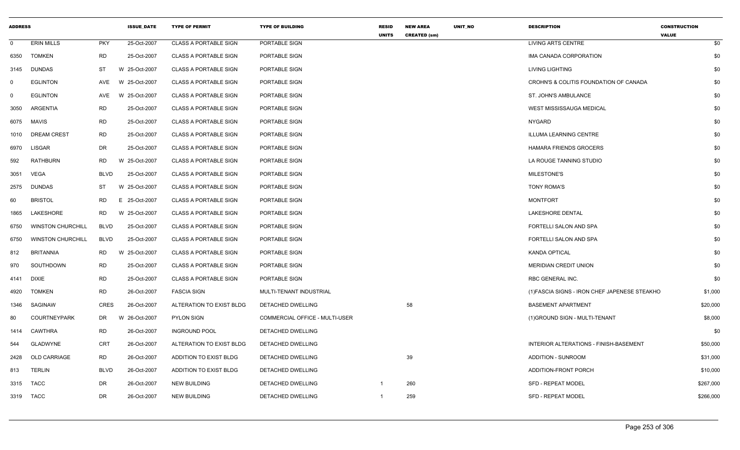| <b>ADDRESS</b> |                          |             | <b>ISSUE DATE</b> | <b>TYPE OF PERMIT</b>        | <b>TYPE OF BUILDING</b>        | <b>RESID</b><br><b>UNITS</b> | <b>NEW AREA</b><br><b>CREATED (sm)</b> | UNIT_NO | <b>DESCRIPTION</b>                            | <b>CONSTRUCTION</b><br><b>VALUE</b> |
|----------------|--------------------------|-------------|-------------------|------------------------------|--------------------------------|------------------------------|----------------------------------------|---------|-----------------------------------------------|-------------------------------------|
| $\mathbf 0$    | <b>ERIN MILLS</b>        | <b>PKY</b>  | 25-Oct-2007       | <b>CLASS A PORTABLE SIGN</b> | PORTABLE SIGN                  |                              |                                        |         | LIVING ARTS CENTRE                            | \$0                                 |
| 6350           | <b>TOMKEN</b>            | <b>RD</b>   | 25-Oct-2007       | <b>CLASS A PORTABLE SIGN</b> | PORTABLE SIGN                  |                              |                                        |         | IMA CANADA CORPORATION                        | \$0                                 |
| 3145           | <b>DUNDAS</b>            | ST          | W 25-Oct-2007     | <b>CLASS A PORTABLE SIGN</b> | PORTABLE SIGN                  |                              |                                        |         | <b>LIVING LIGHTING</b>                        | \$0                                 |
| $\mathbf 0$    | <b>EGLINTON</b>          | AVE         | W 25-Oct-2007     | <b>CLASS A PORTABLE SIGN</b> | PORTABLE SIGN                  |                              |                                        |         | CROHN'S & COLITIS FOUNDATION OF CANADA        | \$0                                 |
| $\mathbf 0$    | <b>EGLINTON</b>          | AVE         | W 25-Oct-2007     | <b>CLASS A PORTABLE SIGN</b> | PORTABLE SIGN                  |                              |                                        |         | ST. JOHN'S AMBULANCE                          | \$0                                 |
| 3050           | ARGENTIA                 | <b>RD</b>   | 25-Oct-2007       | <b>CLASS A PORTABLE SIGN</b> | PORTABLE SIGN                  |                              |                                        |         | WEST MISSISSAUGA MEDICAL                      | \$0                                 |
| 6075           | <b>MAVIS</b>             | <b>RD</b>   | 25-Oct-2007       | <b>CLASS A PORTABLE SIGN</b> | PORTABLE SIGN                  |                              |                                        |         | <b>NYGARD</b>                                 | \$0                                 |
| 1010           | <b>DREAM CREST</b>       | <b>RD</b>   | 25-Oct-2007       | <b>CLASS A PORTABLE SIGN</b> | PORTABLE SIGN                  |                              |                                        |         | <b>ILLUMA LEARNING CENTRE</b>                 | \$0                                 |
| 6970           | <b>LISGAR</b>            | <b>DR</b>   | 25-Oct-2007       | <b>CLASS A PORTABLE SIGN</b> | PORTABLE SIGN                  |                              |                                        |         | <b>HAMARA FRIENDS GROCERS</b>                 | \$0                                 |
| 592            | RATHBURN                 | RD          | W 25-Oct-2007     | <b>CLASS A PORTABLE SIGN</b> | PORTABLE SIGN                  |                              |                                        |         | LA ROUGE TANNING STUDIO                       | \$0                                 |
| 3051           | VEGA                     | <b>BLVD</b> | 25-Oct-2007       | <b>CLASS A PORTABLE SIGN</b> | PORTABLE SIGN                  |                              |                                        |         | MILESTONE'S                                   | \$0                                 |
| 2575           | DUNDAS                   | ST          | W 25-Oct-2007     | <b>CLASS A PORTABLE SIGN</b> | PORTABLE SIGN                  |                              |                                        |         | <b>TONY ROMA'S</b>                            | \$0                                 |
| 60             | <b>BRISTOL</b>           | <b>RD</b>   | E 25-Oct-2007     | <b>CLASS A PORTABLE SIGN</b> | PORTABLE SIGN                  |                              |                                        |         | <b>MONTFORT</b>                               | \$0                                 |
| 1865           | LAKESHORE                | <b>RD</b>   | W 25-Oct-2007     | <b>CLASS A PORTABLE SIGN</b> | PORTABLE SIGN                  |                              |                                        |         | <b>LAKESHORE DENTAL</b>                       | \$0                                 |
| 6750           | <b>WINSTON CHURCHILL</b> | <b>BLVD</b> | 25-Oct-2007       | <b>CLASS A PORTABLE SIGN</b> | PORTABLE SIGN                  |                              |                                        |         | FORTELLI SALON AND SPA                        | \$0                                 |
| 6750           | <b>WINSTON CHURCHILL</b> | <b>BLVD</b> | 25-Oct-2007       | <b>CLASS A PORTABLE SIGN</b> | PORTABLE SIGN                  |                              |                                        |         | FORTELLI SALON AND SPA                        | \$0                                 |
| 812            | <b>BRITANNIA</b>         | <b>RD</b>   | W 25-Oct-2007     | <b>CLASS A PORTABLE SIGN</b> | PORTABLE SIGN                  |                              |                                        |         | <b>KANDA OPTICAL</b>                          | \$0                                 |
| 970            | SOUTHDOWN                | <b>RD</b>   | 25-Oct-2007       | <b>CLASS A PORTABLE SIGN</b> | PORTABLE SIGN                  |                              |                                        |         | <b>MERIDIAN CREDIT UNION</b>                  | \$0                                 |
| 4141           | <b>DIXIE</b>             | <b>RD</b>   | 25-Oct-2007       | <b>CLASS A PORTABLE SIGN</b> | PORTABLE SIGN                  |                              |                                        |         | RBC GENERAL INC.                              | \$0                                 |
| 4920           | <b>TOMKEN</b>            | <b>RD</b>   | 26-Oct-2007       | <b>FASCIA SIGN</b>           | MULTI-TENANT INDUSTRIAL        |                              |                                        |         | (1) FASCIA SIGNS - IRON CHEF JAPENESE STEAKHO | \$1,000                             |
| 1346           | SAGINAW                  | <b>CRES</b> | 26-Oct-2007       | ALTERATION TO EXIST BLDG     | DETACHED DWELLING              |                              | 58                                     |         | <b>BASEMENT APARTMENT</b>                     | \$20,000                            |
| 80             | <b>COURTNEYPARK</b>      | DR          | W 26-Oct-2007     | <b>PYLON SIGN</b>            | COMMERCIAL OFFICE - MULTI-USER |                              |                                        |         | (1) GROUND SIGN - MULTI-TENANT                | \$8,000                             |
| 1414           | CAWTHRA                  | <b>RD</b>   | 26-Oct-2007       | <b>INGROUND POOL</b>         | DETACHED DWELLING              |                              |                                        |         |                                               | \$0                                 |
| 544            | <b>GLADWYNE</b>          | <b>CRT</b>  | 26-Oct-2007       | ALTERATION TO EXIST BLDG     | DETACHED DWELLING              |                              |                                        |         | INTERIOR ALTERATIONS - FINISH-BASEMENT        | \$50,000                            |
| 2428           | OLD CARRIAGE             | <b>RD</b>   | 26-Oct-2007       | ADDITION TO EXIST BLDG       | DETACHED DWELLING              |                              | 39                                     |         | <b>ADDITION - SUNROOM</b>                     | \$31,000                            |
| 813            | <b>TERLIN</b>            | <b>BLVD</b> | 26-Oct-2007       | ADDITION TO EXIST BLDG       | DETACHED DWELLING              |                              |                                        |         | ADDITION-FRONT PORCH                          | \$10,000                            |
| 3315           | <b>TACC</b>              | DR          | 26-Oct-2007       | <b>NEW BUILDING</b>          | DETACHED DWELLING              | -1                           | 260                                    |         | <b>SFD - REPEAT MODEL</b>                     | \$267,000                           |
|                | 3319 TACC                | DR.         | 26-Oct-2007       | <b>NEW BUILDING</b>          | DETACHED DWELLING              | -1                           | 259                                    |         | SFD - REPEAT MODEL                            | \$266,000                           |
|                |                          |             |                   |                              |                                |                              |                                        |         |                                               |                                     |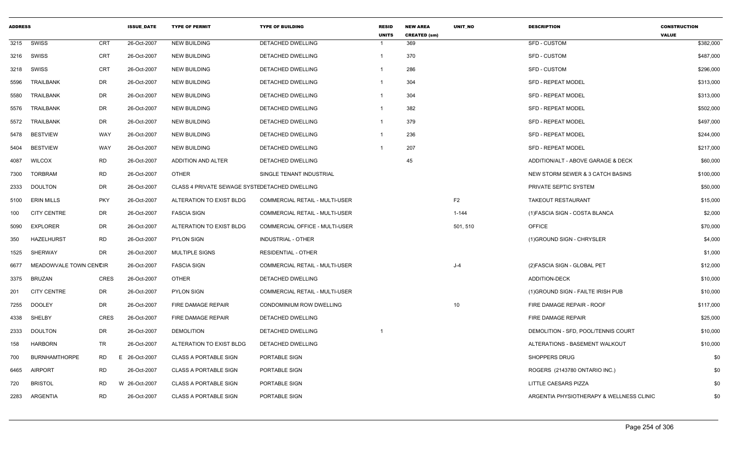| <b>ADDRESS</b> |                        |             | <b>ISSUE DATE</b> | <b>TYPE OF PERMIT</b>                         | <b>TYPE OF BUILDING</b>               | <b>RESID</b><br><b>UNITS</b> | <b>NEW AREA</b><br><b>CREATED (sm)</b> | <b>UNIT NO</b> | <b>DESCRIPTION</b>                       | <b>CONSTRUCTION</b><br><b>VALUE</b> |
|----------------|------------------------|-------------|-------------------|-----------------------------------------------|---------------------------------------|------------------------------|----------------------------------------|----------------|------------------------------------------|-------------------------------------|
| 3215           | SWISS                  | CRT         | 26-Oct-2007       | <b>NEW BUILDING</b>                           | <b>DETACHED DWELLING</b>              |                              | 369                                    |                | SFD - CUSTOM                             | \$382,000                           |
| 3216           | SWISS                  | CRT         | 26-Oct-2007       | <b>NEW BUILDING</b>                           | <b>DETACHED DWELLING</b>              |                              | 370                                    |                | <b>SFD - CUSTOM</b>                      | \$487,000                           |
| 3218           | SWISS                  | <b>CRT</b>  | 26-Oct-2007       | <b>NEW BUILDING</b>                           | DETACHED DWELLING                     |                              | 286                                    |                | <b>SFD - CUSTOM</b>                      | \$296,000                           |
| 5596           | <b>TRAILBANK</b>       | DR          | 26-Oct-2007       | <b>NEW BUILDING</b>                           | DETACHED DWELLING                     |                              | 304                                    |                | <b>SFD - REPEAT MODEL</b>                | \$313,000                           |
| 5580           | <b>TRAILBANK</b>       | DR          | 26-Oct-2007       | <b>NEW BUILDING</b>                           | DETACHED DWELLING                     | -1                           | 304                                    |                | <b>SFD - REPEAT MODEL</b>                | \$313,000                           |
| 5576           | <b>TRAILBANK</b>       | DR          | 26-Oct-2007       | <b>NEW BUILDING</b>                           | DETACHED DWELLING                     |                              | 382                                    |                | <b>SFD - REPEAT MODEL</b>                | \$502,000                           |
| 5572           | <b>TRAILBANK</b>       | DR          | 26-Oct-2007       | <b>NEW BUILDING</b>                           | DETACHED DWELLING                     |                              | 379                                    |                | <b>SFD - REPEAT MODEL</b>                | \$497,000                           |
| 5478           | <b>BESTVIEW</b>        | WAY         | 26-Oct-2007       | <b>NEW BUILDING</b>                           | <b>DETACHED DWELLING</b>              | $\mathbf{1}$                 | 236                                    |                | <b>SFD - REPEAT MODEL</b>                | \$244,000                           |
| 5404           | <b>BESTVIEW</b>        | WAY         | 26-Oct-2007       | <b>NEW BUILDING</b>                           | DETACHED DWELLING                     |                              | 207                                    |                | <b>SFD - REPEAT MODEL</b>                | \$217,000                           |
| 4087           | <b>WILCOX</b>          | <b>RD</b>   | 26-Oct-2007       | ADDITION AND ALTER                            | DETACHED DWELLING                     |                              | 45                                     |                | ADDITION/ALT - ABOVE GARAGE & DECK       | \$60,000                            |
| 7300           | <b>TORBRAM</b>         | <b>RD</b>   | 26-Oct-2007       | <b>OTHER</b>                                  | SINGLE TENANT INDUSTRIAL              |                              |                                        |                | NEW STORM SEWER & 3 CATCH BASINS         | \$100,000                           |
| 2333           | DOULTON                | DR          | 26-Oct-2007       | CLASS 4 PRIVATE SEWAGE SYSTEDETACHED DWELLING |                                       |                              |                                        |                | PRIVATE SEPTIC SYSTEM                    | \$50,000                            |
| 5100           | <b>ERIN MILLS</b>      | <b>PKY</b>  | 26-Oct-2007       | ALTERATION TO EXIST BLDG                      | <b>COMMERCIAL RETAIL - MULTI-USER</b> |                              |                                        | F <sub>2</sub> | <b>TAKEOUT RESTAURANT</b>                | \$15,000                            |
| 100            | <b>CITY CENTRE</b>     | DR          | 26-Oct-2007       | <b>FASCIA SIGN</b>                            | COMMERCIAL RETAIL - MULTI-USER        |                              |                                        | $1 - 144$      | (1) FASCIA SIGN - COSTA BLANCA           | \$2,000                             |
| 5090           | <b>EXPLORER</b>        | DR          | 26-Oct-2007       | ALTERATION TO EXIST BLDG                      | COMMERCIAL OFFICE - MULTI-USER        |                              |                                        | 501, 510       | <b>OFFICE</b>                            | \$70,000                            |
| 350            | <b>HAZELHURST</b>      | <b>RD</b>   | 26-Oct-2007       | <b>PYLON SIGN</b>                             | <b>INDUSTRIAL - OTHER</b>             |                              |                                        |                | (1) GROUND SIGN - CHRYSLER               | \$4,000                             |
| 1525           | <b>SHERWAY</b>         | DR          | 26-Oct-2007       | <b>MULTIPLE SIGNS</b>                         | <b>RESIDENTIAL - OTHER</b>            |                              |                                        |                |                                          | \$1,000                             |
| 6677           | MEADOWVALE TOWN CENCIR |             | 26-Oct-2007       | <b>FASCIA SIGN</b>                            | COMMERCIAL RETAIL - MULTI-USER        |                              |                                        | $J-4$          | (2) FASCIA SIGN - GLOBAL PET             | \$12,000                            |
| 3375           | <b>BRUZAN</b>          | <b>CRES</b> | 26-Oct-2007       | <b>OTHER</b>                                  | <b>DETACHED DWELLING</b>              |                              |                                        |                | <b>ADDITION-DECK</b>                     | \$10,000                            |
| 201            | <b>CITY CENTRE</b>     | DR          | 26-Oct-2007       | <b>PYLON SIGN</b>                             | COMMERCIAL RETAIL - MULTI-USER        |                              |                                        |                | (1) GROUND SIGN - FAILTE IRISH PUB       | \$10,000                            |
| 7255           | <b>DOOLEY</b>          | DR          | 26-Oct-2007       | FIRE DAMAGE REPAIR                            | CONDOMINIUM ROW DWELLING              |                              |                                        | 10             | FIRE DAMAGE REPAIR - ROOF                | \$117,000                           |
| 4338           | SHELBY                 | <b>CRES</b> | 26-Oct-2007       | FIRE DAMAGE REPAIR                            | DETACHED DWELLING                     |                              |                                        |                | FIRE DAMAGE REPAIR                       | \$25,000                            |
| 2333           | <b>DOULTON</b>         | DR          | 26-Oct-2007       | <b>DEMOLITION</b>                             | DETACHED DWELLING                     |                              |                                        |                | DEMOLITION - SFD, POOL/TENNIS COURT      | \$10,000                            |
| 158            | <b>HARBORN</b>         | TR          | 26-Oct-2007       | ALTERATION TO EXIST BLDG                      | DETACHED DWELLING                     |                              |                                        |                | ALTERATIONS - BASEMENT WALKOUT           | \$10,000                            |
| 700            | <b>BURNHAMTHORPE</b>   | <b>RD</b>   | E 26-Oct-2007     | <b>CLASS A PORTABLE SIGN</b>                  | PORTABLE SIGN                         |                              |                                        |                | <b>SHOPPERS DRUG</b>                     | \$0                                 |
| 6465           | <b>AIRPORT</b>         | <b>RD</b>   | 26-Oct-2007       | <b>CLASS A PORTABLE SIGN</b>                  | PORTABLE SIGN                         |                              |                                        |                | ROGERS (2143780 ONTARIO INC.)            | \$0                                 |
| 720            | <b>BRISTOL</b>         | <b>RD</b>   | W 26-Oct-2007     | <b>CLASS A PORTABLE SIGN</b>                  | PORTABLE SIGN                         |                              |                                        |                | LITTLE CAESARS PIZZA                     | \$0                                 |
| 2283           | ARGENTIA               | <b>RD</b>   | 26-Oct-2007       | <b>CLASS A PORTABLE SIGN</b>                  | PORTABLE SIGN                         |                              |                                        |                | ARGENTIA PHYSIOTHERAPY & WELLNESS CLINIC | \$0                                 |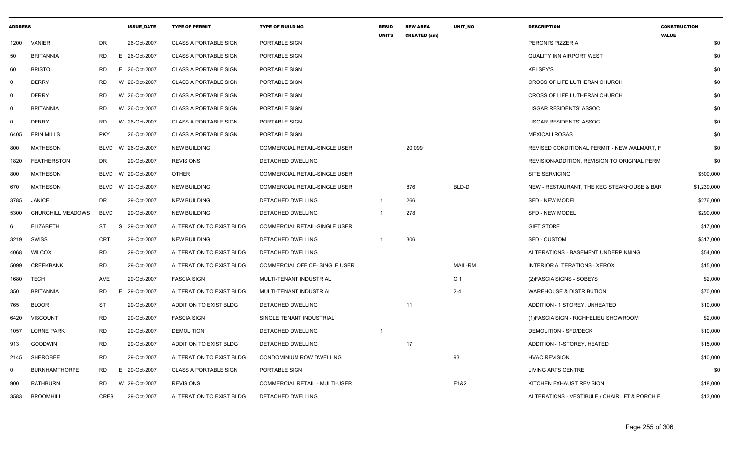| <b>ADDRESS</b> |                          |            | <b>ISSUE DATE</b>  | <b>TYPE OF PERMIT</b>        | <b>TYPE OF BUILDING</b>        | <b>RESID</b><br><b>UNITS</b> | <b>NEW AREA</b><br><b>CREATED (sm)</b> | <b>UNIT NO</b> | <b>DESCRIPTION</b>                            | <b>CONSTRUCTION</b><br><b>VALUE</b> |
|----------------|--------------------------|------------|--------------------|------------------------------|--------------------------------|------------------------------|----------------------------------------|----------------|-----------------------------------------------|-------------------------------------|
| 1200           | VANIER                   | DR         | 26-Oct-2007        | <b>CLASS A PORTABLE SIGN</b> | PORTABLE SIGN                  |                              |                                        |                | PERONI'S PIZZERIA                             | \$0                                 |
| 50             | <b>BRITANNIA</b>         | <b>RD</b>  | E 26-Oct-2007      | <b>CLASS A PORTABLE SIGN</b> | PORTABLE SIGN                  |                              |                                        |                | QUALITY INN AIRPORT WEST                      | \$0                                 |
| 60             | <b>BRISTOL</b>           | <b>RD</b>  | E 26-Oct-2007      | <b>CLASS A PORTABLE SIGN</b> | PORTABLE SIGN                  |                              |                                        |                | <b>KELSEY'S</b>                               | \$0                                 |
| $\mathbf 0$    | <b>DERRY</b>             | <b>RD</b>  | W 26-Oct-2007      | <b>CLASS A PORTABLE SIGN</b> | PORTABLE SIGN                  |                              |                                        |                | CROSS OF LIFE LUTHERAN CHURCH                 | \$0                                 |
| $\mathbf 0$    | <b>DERRY</b>             | RD         | W 26-Oct-2007      | <b>CLASS A PORTABLE SIGN</b> | PORTABLE SIGN                  |                              |                                        |                | CROSS OF LIFE LUTHERAN CHURCH                 | \$0                                 |
| $\Omega$       | <b>BRITANNIA</b>         | RD         | W 26-Oct-2007      | <b>CLASS A PORTABLE SIGN</b> | PORTABLE SIGN                  |                              |                                        |                | LISGAR RESIDENTS' ASSOC.                      | \$0                                 |
| $\Omega$       | <b>DERRY</b>             | <b>RD</b>  | W 26-Oct-2007      | <b>CLASS A PORTABLE SIGN</b> | PORTABLE SIGN                  |                              |                                        |                | LISGAR RESIDENTS' ASSOC.                      | \$0                                 |
| 6405           | <b>ERIN MILLS</b>        | <b>PKY</b> | 26-Oct-2007        | <b>CLASS A PORTABLE SIGN</b> | PORTABLE SIGN                  |                              |                                        |                | <b>MEXICALI ROSAS</b>                         | \$0                                 |
| 800            | MATHESON                 |            | BLVD W 26-Oct-2007 | <b>NEW BUILDING</b>          | COMMERCIAL RETAIL-SINGLE USER  |                              | 20,099                                 |                | REVISED CONDITIONAL PERMIT - NEW WALMART, F   | \$0                                 |
| 1820           | <b>FEATHERSTON</b>       | DR         | 29-Oct-2007        | <b>REVISIONS</b>             | DETACHED DWELLING              |                              |                                        |                | REVISION-ADDITION, REVISION TO ORIGINAL PERM  | \$0                                 |
| 800            | MATHESON                 |            | BLVD W 29-Oct-2007 | <b>OTHER</b>                 | COMMERCIAL RETAIL-SINGLE USER  |                              |                                        |                | <b>SITE SERVICING</b>                         | \$500,000                           |
| 670            | <b>MATHESON</b>          |            | BLVD W 29-Oct-2007 | <b>NEW BUILDING</b>          | COMMERCIAL RETAIL-SINGLE USER  |                              | 876                                    | BLD-D          | NEW - RESTAURANT, THE KEG STEAKHOUSE & BAR    | \$1,239,000                         |
| 3785           | JANICE                   | DR         | 29-Oct-2007        | <b>NEW BUILDING</b>          | DETACHED DWELLING              | $\overline{1}$               | 266                                    |                | <b>SFD - NEW MODEL</b>                        | \$276,000                           |
| 5300           | <b>CHURCHILL MEADOWS</b> | BLVD       | 29-Oct-2007        | <b>NEW BUILDING</b>          | DETACHED DWELLING              | - 1                          | 278                                    |                | SFD - NEW MODEL                               | \$290,000                           |
|                | <b>ELIZABETH</b>         | ST         | 29-Oct-2007<br>-S  | ALTERATION TO EXIST BLDG     | COMMERCIAL RETAIL-SINGLE USER  |                              |                                        |                | <b>GIFT STORE</b>                             | \$17,000                            |
| 3219           | SWISS                    | CRT        | 29-Oct-2007        | <b>NEW BUILDING</b>          | DETACHED DWELLING              | $\overline{\mathbf{1}}$      | 306                                    |                | <b>SFD - CUSTOM</b>                           | \$317,000                           |
| 4068           | <b>WILCOX</b>            | RD         | 29-Oct-2007        | ALTERATION TO EXIST BLDG     | <b>DETACHED DWELLING</b>       |                              |                                        |                | ALTERATIONS - BASEMENT UNDERPINNING           | \$54,000                            |
| 5099           | CREEKBANK                | <b>RD</b>  | 29-Oct-2007        | ALTERATION TO EXIST BLDG     | COMMERCIAL OFFICE- SINGLE USER |                              |                                        | <b>MAIL-RM</b> | INTERIOR ALTERATIONS - XEROX                  | \$15,000                            |
| 1680           | <b>TECH</b>              | AVE        | 29-Oct-2007        | <b>FASCIA SIGN</b>           | MULTI-TENANT INDUSTRIAL        |                              |                                        | C <sub>1</sub> | (2) FASCIA SIGNS - SOBEYS                     | \$2,000                             |
| 350            | <b>BRITANNIA</b>         | RD         | E 29-Oct-2007      | ALTERATION TO EXIST BLDG     | MULTI-TENANT INDUSTRIAL        |                              |                                        | $2 - 4$        | <b>WAREHOUSE &amp; DISTRIBUTION</b>           | \$70,000                            |
| 765            | <b>BLOOR</b>             | <b>ST</b>  | 29-Oct-2007        | ADDITION TO EXIST BLDG       | DETACHED DWELLING              |                              | 11                                     |                | ADDITION - 1 STOREY, UNHEATED                 | \$10,000                            |
| 6420           | <b>VISCOUNT</b>          | <b>RD</b>  | 29-Oct-2007        | <b>FASCIA SIGN</b>           | SINGLE TENANT INDUSTRIAL       |                              |                                        |                | (1) FASCIA SIGN - RICHHELIEU SHOWROOM         | \$2,000                             |
| 1057           | <b>LORNE PARK</b>        | <b>RD</b>  | 29-Oct-2007        | <b>DEMOLITION</b>            | DETACHED DWELLING              | - 1                          |                                        |                | <b>DEMOLITION - SFD/DECK</b>                  | \$10,000                            |
| 913            | <b>GOODWIN</b>           | <b>RD</b>  | 29-Oct-2007        | ADDITION TO EXIST BLDG       | DETACHED DWELLING              |                              | 17                                     |                | ADDITION - 1-STOREY, HEATED                   | \$15,000                            |
| 2145           | SHEROBEE                 | RD         | 29-Oct-2007        | ALTERATION TO EXIST BLDG     | CONDOMINIUM ROW DWELLING       |                              |                                        | 93             | <b>HVAC REVISION</b>                          | \$10,000                            |
| $\Omega$       | <b>BURNHAMTHORPE</b>     | RD         | E 29-Oct-2007      | <b>CLASS A PORTABLE SIGN</b> | PORTABLE SIGN                  |                              |                                        |                | <b>LIVING ARTS CENTRE</b>                     | \$0                                 |
| 900            | RATHBURN                 | RD         | W 29-Oct-2007      | <b>REVISIONS</b>             | COMMERCIAL RETAIL - MULTI-USER |                              |                                        | E1&2           | KITCHEN EXHAUST REVISION                      | \$18,000                            |
|                | 3583 BROOMHILL           | CRES       | 29-Oct-2007        | ALTERATION TO EXIST BLDG     | DETACHED DWELLING              |                              |                                        |                | ALTERATIONS - VESTIBULE / CHAIRLIFT & PORCH E | \$13,000                            |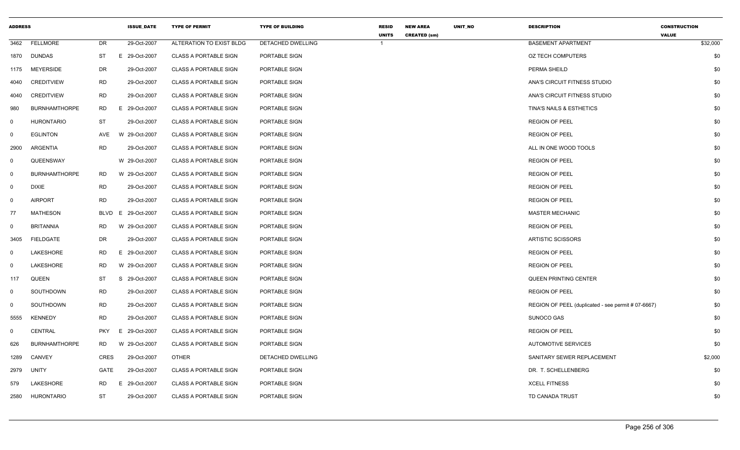| <b>ADDRESS</b> |                      |             | <b>ISSUE_DATE</b> | <b>TYPE OF PERMIT</b>        | <b>TYPE OF BUILDING</b> | <b>RESID</b> | <b>NEW AREA</b>     | UNIT_NO | <b>DESCRIPTION</b>                                 | <b>CONSTRUCTION</b>      |
|----------------|----------------------|-------------|-------------------|------------------------------|-------------------------|--------------|---------------------|---------|----------------------------------------------------|--------------------------|
| 3462           | <b>FELLMORE</b>      | DR          | 29-Oct-2007       | ALTERATION TO EXIST BLDG     | DETACHED DWELLING       | <b>UNITS</b> | <b>CREATED (sm)</b> |         | <b>BASEMENT APARTMENT</b>                          | <b>VALUE</b><br>\$32,000 |
| 1870           | DUNDAS               | ST          | E 29-Oct-2007     | <b>CLASS A PORTABLE SIGN</b> | PORTABLE SIGN           |              |                     |         | <b>OZ TECH COMPUTERS</b>                           | \$0                      |
| 1175           | <b>MEYERSIDE</b>     | DR          | 29-Oct-2007       | <b>CLASS A PORTABLE SIGN</b> | PORTABLE SIGN           |              |                     |         | PERMA SHEILD                                       | \$0                      |
| 4040           | <b>CREDITVIEW</b>    | <b>RD</b>   | 29-Oct-2007       | <b>CLASS A PORTABLE SIGN</b> | PORTABLE SIGN           |              |                     |         | ANA'S CIRCUIT FITNESS STUDIO                       | \$0                      |
| 4040           | <b>CREDITVIEW</b>    | <b>RD</b>   | 29-Oct-2007       | <b>CLASS A PORTABLE SIGN</b> | PORTABLE SIGN           |              |                     |         | ANA'S CIRCUIT FITNESS STUDIO                       | \$0                      |
| 980            | <b>BURNHAMTHORPE</b> | <b>RD</b>   | E 29-Oct-2007     | <b>CLASS A PORTABLE SIGN</b> | PORTABLE SIGN           |              |                     |         | TINA'S NAILS & ESTHETICS                           | \$0                      |
| $\overline{0}$ | <b>HURONTARIO</b>    | <b>ST</b>   | 29-Oct-2007       | <b>CLASS A PORTABLE SIGN</b> | PORTABLE SIGN           |              |                     |         | <b>REGION OF PEEL</b>                              | \$0                      |
| $\mathsf{O}$   | <b>EGLINTON</b>      | <b>AVE</b>  | W 29-Oct-2007     | <b>CLASS A PORTABLE SIGN</b> | PORTABLE SIGN           |              |                     |         | <b>REGION OF PEEL</b>                              | \$0                      |
| 2900           | ARGENTIA             | <b>RD</b>   | 29-Oct-2007       | <b>CLASS A PORTABLE SIGN</b> | PORTABLE SIGN           |              |                     |         | ALL IN ONE WOOD TOOLS                              | \$0                      |
| $\mathbf 0$    | QUEENSWAY            |             | W 29-Oct-2007     | <b>CLASS A PORTABLE SIGN</b> | PORTABLE SIGN           |              |                     |         | <b>REGION OF PEEL</b>                              | \$0                      |
| $\overline{0}$ | <b>BURNHAMTHORPE</b> | RD          | W 29-Oct-2007     | <b>CLASS A PORTABLE SIGN</b> | PORTABLE SIGN           |              |                     |         | <b>REGION OF PEEL</b>                              | \$0                      |
| $\mathbf 0$    | <b>DIXIE</b>         | <b>RD</b>   | 29-Oct-2007       | <b>CLASS A PORTABLE SIGN</b> | PORTABLE SIGN           |              |                     |         | <b>REGION OF PEEL</b>                              | \$0                      |
| $\mathbf 0$    | <b>AIRPORT</b>       | <b>RD</b>   | 29-Oct-2007       | <b>CLASS A PORTABLE SIGN</b> | PORTABLE SIGN           |              |                     |         | <b>REGION OF PEEL</b>                              | \$0                      |
| 77             | <b>MATHESON</b>      | BLVD        | E 29-Oct-2007     | <b>CLASS A PORTABLE SIGN</b> | PORTABLE SIGN           |              |                     |         | <b>MASTER MECHANIC</b>                             | \$0                      |
| $\mathsf{O}$   | <b>BRITANNIA</b>     | RD          | W 29-Oct-2007     | <b>CLASS A PORTABLE SIGN</b> | PORTABLE SIGN           |              |                     |         | <b>REGION OF PEEL</b>                              | \$0                      |
| 3405           | FIELDGATE            | DR          | 29-Oct-2007       | <b>CLASS A PORTABLE SIGN</b> | PORTABLE SIGN           |              |                     |         | <b>ARTISTIC SCISSORS</b>                           | \$0                      |
| 0              | LAKESHORE            | <b>RD</b>   | E 29-Oct-2007     | <b>CLASS A PORTABLE SIGN</b> | PORTABLE SIGN           |              |                     |         | <b>REGION OF PEEL</b>                              | \$0                      |
| $\mathbf 0$    | LAKESHORE            | <b>RD</b>   | W 29-Oct-2007     | <b>CLASS A PORTABLE SIGN</b> | PORTABLE SIGN           |              |                     |         | <b>REGION OF PEEL</b>                              | \$0                      |
| 117            | QUEEN                | <b>ST</b>   | S 29-Oct-2007     | <b>CLASS A PORTABLE SIGN</b> | PORTABLE SIGN           |              |                     |         | <b>QUEEN PRINTING CENTER</b>                       | \$0                      |
| $\mathbf 0$    | SOUTHDOWN            | RD          | 29-Oct-2007       | <b>CLASS A PORTABLE SIGN</b> | PORTABLE SIGN           |              |                     |         | <b>REGION OF PEEL</b>                              | \$0                      |
| $\mathbf 0$    | SOUTHDOWN            | <b>RD</b>   | 29-Oct-2007       | <b>CLASS A PORTABLE SIGN</b> | PORTABLE SIGN           |              |                     |         | REGION OF PEEL (duplicated - see permit # 07-6667) | \$0                      |
| 5555           | <b>KENNEDY</b>       | <b>RD</b>   | 29-Oct-2007       | <b>CLASS A PORTABLE SIGN</b> | PORTABLE SIGN           |              |                     |         | SUNOCO GAS                                         | \$0                      |
| 0              | <b>CENTRAL</b>       | <b>PKY</b>  | E 29-Oct-2007     | <b>CLASS A PORTABLE SIGN</b> | PORTABLE SIGN           |              |                     |         | <b>REGION OF PEEL</b>                              | \$0                      |
| 626            | <b>BURNHAMTHORPE</b> | <b>RD</b>   | W 29-Oct-2007     | <b>CLASS A PORTABLE SIGN</b> | PORTABLE SIGN           |              |                     |         | <b>AUTOMOTIVE SERVICES</b>                         | \$0                      |
| 1289           | <b>CANVEY</b>        | <b>CRES</b> | 29-Oct-2007       | <b>OTHER</b>                 | DETACHED DWELLING       |              |                     |         | SANITARY SEWER REPLACEMENT                         | \$2,000                  |
| 2979           | UNITY                | <b>GATE</b> | 29-Oct-2007       | <b>CLASS A PORTABLE SIGN</b> | PORTABLE SIGN           |              |                     |         | DR. T. SCHELLENBERG                                | \$0                      |
| 579            | LAKESHORE            | RD.         | 29-Oct-2007<br>E. | <b>CLASS A PORTABLE SIGN</b> | PORTABLE SIGN           |              |                     |         | <b>XCELL FITNESS</b>                               | \$0                      |
| 2580           | <b>HURONTARIO</b>    | <b>ST</b>   | 29-Oct-2007       | <b>CLASS A PORTABLE SIGN</b> | PORTABLE SIGN           |              |                     |         | TD CANADA TRUST                                    | \$0                      |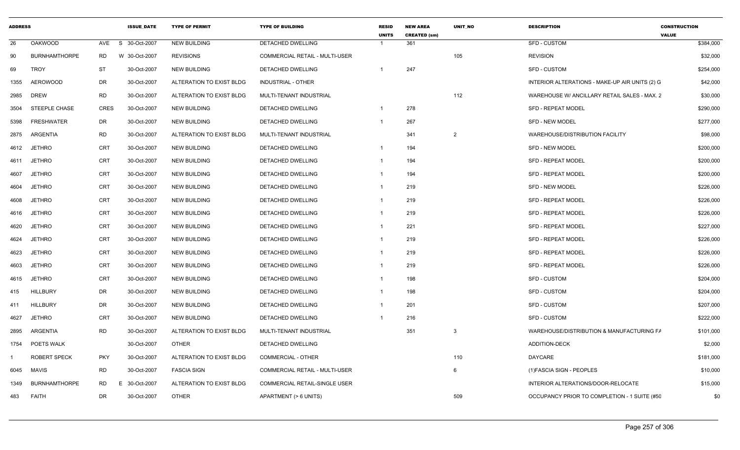| <b>ADDRESS</b> |                      |             | <b>ISSUE DATE</b> | <b>TYPE OF PERMIT</b>    | <b>TYPE OF BUILDING</b>        | <b>RESID</b><br><b>UNITS</b> | <b>NEW AREA</b><br><b>CREATED (sm)</b> | <b>UNIT NO</b> | <b>DESCRIPTION</b>                             | <b>CONSTRUCTION</b><br><b>VALUE</b> |
|----------------|----------------------|-------------|-------------------|--------------------------|--------------------------------|------------------------------|----------------------------------------|----------------|------------------------------------------------|-------------------------------------|
| 26             | <b>OAKWOOD</b>       | AVE         | S 30-Oct-2007     | <b>NEW BUILDING</b>      | <b>DETACHED DWELLING</b>       | $\overline{\mathbf{1}}$      | 361                                    |                | <b>SFD - CUSTOM</b>                            | \$384,000                           |
| 90             | <b>BURNHAMTHORPE</b> | RD          | W 30-Oct-2007     | <b>REVISIONS</b>         | COMMERCIAL RETAIL - MULTI-USER |                              |                                        | 105            | <b>REVISION</b>                                | \$32,000                            |
| 69             | <b>TROY</b>          | ST          | 30-Oct-2007       | <b>NEW BUILDING</b>      | DETACHED DWELLING              |                              | 247                                    |                | <b>SFD - CUSTOM</b>                            | \$254,000                           |
| 1355           | <b>AEROWOOD</b>      | DR          | 30-Oct-2007       | ALTERATION TO EXIST BLDG | <b>INDUSTRIAL - OTHER</b>      |                              |                                        |                | INTERIOR ALTERATIONS - MAKE-UP AIR UNITS (2) G | \$42,000                            |
| 2985           | <b>DREW</b>          | <b>RD</b>   | 30-Oct-2007       | ALTERATION TO EXIST BLDG | MULTI-TENANT INDUSTRIAL        |                              |                                        | 112            | WAREHOUSE W/ ANCILLARY RETAIL SALES - MAX. 2   | \$30,000                            |
| 3504           | STEEPLE CHASE        | <b>CRES</b> | 30-Oct-2007       | <b>NEW BUILDING</b>      | DETACHED DWELLING              | - 1                          | 278                                    |                | <b>SFD - REPEAT MODEL</b>                      | \$290,000                           |
| 5398           | <b>FRESHWATER</b>    | DR          | 30-Oct-2007       | NEW BUILDING             | DETACHED DWELLING              | -1                           | 267                                    |                | <b>SFD - NEW MODEL</b>                         | \$277,000                           |
| 2875           | <b>ARGENTIA</b>      | <b>RD</b>   | 30-Oct-2007       | ALTERATION TO EXIST BLDG | <b>MULTI-TENANT INDUSTRIAL</b> |                              | 341                                    | $\overline{2}$ | <b>WAREHOUSE/DISTRIBUTION FACILITY</b>         | \$98,000                            |
| 4612           | <b>JETHRO</b>        | <b>CRT</b>  | 30-Oct-2007       | NEW BUILDING             | DETACHED DWELLING              | - 1                          | 194                                    |                | <b>SFD - NEW MODEL</b>                         | \$200,000                           |
| 4611           | <b>JETHRO</b>        | <b>CRT</b>  | 30-Oct-2007       | <b>NEW BUILDING</b>      | DETACHED DWELLING              | -1                           | 194                                    |                | <b>SFD - REPEAT MODEL</b>                      | \$200,000                           |
| 4607           | <b>JETHRO</b>        | CRT         | 30-Oct-2007       | <b>NEW BUILDING</b>      | DETACHED DWELLING              | $\overline{1}$               | 194                                    |                | <b>SFD - REPEAT MODEL</b>                      | \$200,000                           |
| 4604           | <b>JETHRO</b>        | CRT         | 30-Oct-2007       | <b>NEW BUILDING</b>      | DETACHED DWELLING              |                              | 219                                    |                | <b>SFD - NEW MODEL</b>                         | \$226,000                           |
| 4608           | <b>JETHRO</b>        | CRT         | 30-Oct-2007       | <b>NEW BUILDING</b>      | DETACHED DWELLING              |                              | 219                                    |                | <b>SFD - REPEAT MODEL</b>                      | \$226,000                           |
| 4616           | <b>JETHRO</b>        | CRT         | 30-Oct-2007       | <b>NEW BUILDING</b>      | <b>DETACHED DWELLING</b>       |                              | 219                                    |                | <b>SFD - REPEAT MODEL</b>                      | \$226,000                           |
| 4620           | <b>JETHRO</b>        | CRT         | 30-Oct-2007       | <b>NEW BUILDING</b>      | DETACHED DWELLING              |                              | 221                                    |                | <b>SFD - REPEAT MODEL</b>                      | \$227,000                           |
| 4624           | <b>JETHRO</b>        | CRT         | 30-Oct-2007       | NEW BUILDING             | DETACHED DWELLING              | - 1                          | 219                                    |                | <b>SFD - REPEAT MODEL</b>                      | \$226,000                           |
| 4623           | <b>JETHRO</b>        | <b>CRT</b>  | 30-Oct-2007       | <b>NEW BUILDING</b>      | DETACHED DWELLING              | - 1                          | 219                                    |                | <b>SFD - REPEAT MODEL</b>                      | \$226,000                           |
| 4603           | <b>JETHRO</b>        | CRT         | 30-Oct-2007       | <b>NEW BUILDING</b>      | DETACHED DWELLING              | $\overline{\mathbf{1}}$      | 219                                    |                | <b>SFD - REPEAT MODEL</b>                      | \$226,000                           |
| 4615           | <b>JETHRO</b>        | CRT         | 30-Oct-2007       | <b>NEW BUILDING</b>      | DETACHED DWELLING              |                              | 198                                    |                | <b>SFD - CUSTOM</b>                            | \$204,000                           |
| 415            | <b>HILLBURY</b>      | DR          | 30-Oct-2007       | NEW BUILDING             | DETACHED DWELLING              | - 1                          | 198                                    |                | SFD - CUSTOM                                   | \$204,000                           |
| 411            | <b>HILLBURY</b>      | DR          | 30-Oct-2007       | <b>NEW BUILDING</b>      | DETACHED DWELLING              | -1                           | 201                                    |                | <b>SFD - CUSTOM</b>                            | \$207,000                           |
| 4627           | <b>JETHRO</b>        | <b>CRT</b>  | 30-Oct-2007       | <b>NEW BUILDING</b>      | DETACHED DWELLING              |                              | 216                                    |                | <b>SFD - CUSTOM</b>                            | \$222,000                           |
| 2895           | <b>ARGENTIA</b>      | <b>RD</b>   | 30-Oct-2007       | ALTERATION TO EXIST BLDG | MULTI-TENANT INDUSTRIAL        |                              | 351                                    | $\mathbf{3}$   | WAREHOUSE/DISTRIBUTION & MANUFACTURING FA      | \$101,000                           |
|                | 1754 POETS WALK      |             | 30-Oct-2007       | <b>OTHER</b>             | DETACHED DWELLING              |                              |                                        |                | ADDITION-DECK                                  | \$2,000                             |
|                | ROBERT SPECK         | <b>PKY</b>  | 30-Oct-2007       | ALTERATION TO EXIST BLDG | <b>COMMERCIAL - OTHER</b>      |                              |                                        | 110            | DAYCARE                                        | \$181,000                           |
| 6045           | MAVIS                | <b>RD</b>   | 30-Oct-2007       | <b>FASCIA SIGN</b>       | COMMERCIAL RETAIL - MULTI-USER |                              |                                        | 6              | (1) FASCIA SIGN - PEOPLES                      | \$10,000                            |
| 1349           | <b>BURNHAMTHORPE</b> | <b>RD</b>   | E 30-Oct-2007     | ALTERATION TO EXIST BLDG | COMMERCIAL RETAIL-SINGLE USER  |                              |                                        |                | INTERIOR ALTERATIONS/DOOR-RELOCATE             | \$15,000                            |
| 483            | <b>FAITH</b>         | DR          | 30-Oct-2007       | <b>OTHER</b>             | APARTMENT (> 6 UNITS)          |                              |                                        | 509            | OCCUPANCY PRIOR TO COMPLETION - 1 SUITE (#50)  | \$0                                 |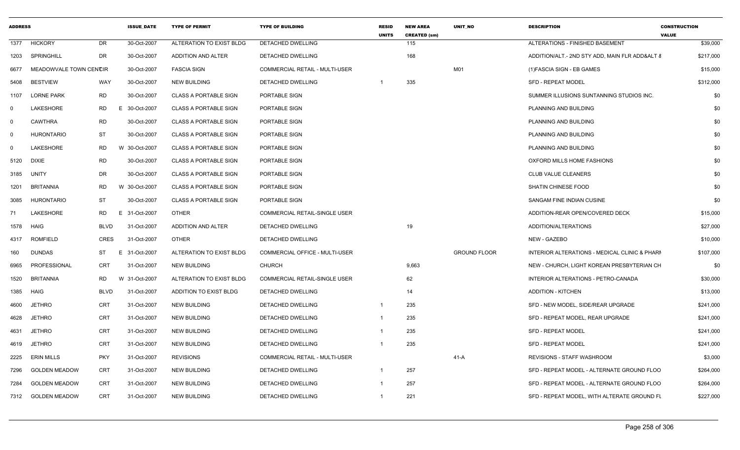|                      |                        | <b>ISSUE DATE</b>      | <b>TYPE OF PERMIT</b>                                                        | <b>TYPE OF BUILDING</b>               | <b>RESID</b><br><b>UNITS</b> | <b>NEW AREA</b><br><b>CREATED (sm)</b> | <b>UNIT NO</b>      | <b>DESCRIPTION</b>                       | <b>CONSTRUCTION</b><br><b>VALUE</b>                                                                                                                                                                                                                                                      |
|----------------------|------------------------|------------------------|------------------------------------------------------------------------------|---------------------------------------|------------------------------|----------------------------------------|---------------------|------------------------------------------|------------------------------------------------------------------------------------------------------------------------------------------------------------------------------------------------------------------------------------------------------------------------------------------|
| <b>HICKORY</b>       | <b>DR</b>              | 30-Oct-2007            | ALTERATION TO EXIST BLDG                                                     | <b>DETACHED DWELLING</b>              |                              | 115                                    |                     | ALTERATIONS - FINISHED BASEMENT          | \$39,000                                                                                                                                                                                                                                                                                 |
| SPRINGHILL           | <b>DR</b>              | 30-Oct-2007            | ADDITION AND ALTER                                                           | DETACHED DWELLING                     |                              | 168                                    |                     |                                          | \$217,000                                                                                                                                                                                                                                                                                |
|                      |                        | 30-Oct-2007            | <b>FASCIA SIGN</b>                                                           | COMMERCIAL RETAIL - MULTI-USER        |                              |                                        | M01                 | (1) FASCIA SIGN - EB GAMES               | \$15,000                                                                                                                                                                                                                                                                                 |
| <b>BESTVIEW</b>      | <b>WAY</b>             | 30-Oct-2007            | <b>NEW BUILDING</b>                                                          | DETACHED DWELLING                     |                              | 335                                    |                     | <b>SFD - REPEAT MODEL</b>                | \$312,000                                                                                                                                                                                                                                                                                |
| <b>LORNE PARK</b>    | RD                     | 30-Oct-2007            | <b>CLASS A PORTABLE SIGN</b>                                                 | PORTABLE SIGN                         |                              |                                        |                     | SUMMER ILLUSIONS SUNTANNING STUDIOS INC. | \$0                                                                                                                                                                                                                                                                                      |
| LAKESHORE            | <b>RD</b>              | 30-Oct-2007            | <b>CLASS A PORTABLE SIGN</b>                                                 | PORTABLE SIGN                         |                              |                                        |                     | PLANNING AND BUILDING                    | \$0                                                                                                                                                                                                                                                                                      |
| <b>CAWTHRA</b>       | <b>RD</b>              | 30-Oct-2007            | <b>CLASS A PORTABLE SIGN</b>                                                 | PORTABLE SIGN                         |                              |                                        |                     | PLANNING AND BUILDING                    | \$0                                                                                                                                                                                                                                                                                      |
| <b>HURONTARIO</b>    | <b>ST</b>              | 30-Oct-2007            | <b>CLASS A PORTABLE SIGN</b>                                                 | PORTABLE SIGN                         |                              |                                        |                     | PLANNING AND BUILDING                    | \$0                                                                                                                                                                                                                                                                                      |
| <b>LAKESHORE</b>     | RD.                    |                        | <b>CLASS A PORTABLE SIGN</b>                                                 | PORTABLE SIGN                         |                              |                                        |                     | PLANNING AND BUILDING                    | \$0                                                                                                                                                                                                                                                                                      |
| <b>DIXIE</b>         | RD                     | 30-Oct-2007            | <b>CLASS A PORTABLE SIGN</b>                                                 | PORTABLE SIGN                         |                              |                                        |                     | OXFORD MILLS HOME FASHIONS               | \$0                                                                                                                                                                                                                                                                                      |
| <b>UNITY</b>         | DR                     | 30-Oct-2007            | <b>CLASS A PORTABLE SIGN</b>                                                 | PORTABLE SIGN                         |                              |                                        |                     | CLUB VALUE CLEANERS                      | \$0                                                                                                                                                                                                                                                                                      |
| BRITANNIA            | <b>RD</b>              |                        | <b>CLASS A PORTABLE SIGN</b>                                                 | PORTABLE SIGN                         |                              |                                        |                     | SHATIN CHINESE FOOD                      | \$0                                                                                                                                                                                                                                                                                      |
| <b>HURONTARIO</b>    | <b>ST</b>              | 30-Oct-2007            | <b>CLASS A PORTABLE SIGN</b>                                                 | PORTABLE SIGN                         |                              |                                        |                     | SANGAM FINE INDIAN CUSINE                | \$0                                                                                                                                                                                                                                                                                      |
| LAKESHORE            | <b>RD</b>              | 31-Oct-2007            | <b>OTHER</b>                                                                 | <b>COMMERCIAL RETAIL-SINGLE USER</b>  |                              |                                        |                     | ADDITION-REAR OPEN/COVERED DECK          | \$15,000                                                                                                                                                                                                                                                                                 |
| HAIG                 | <b>BLVD</b>            | 31-Oct-2007            | ADDITION AND ALTER                                                           | DETACHED DWELLING                     |                              | 19                                     |                     | ADDITION/ALTERATIONS                     | \$27,000                                                                                                                                                                                                                                                                                 |
| <b>ROMFIELD</b>      | CRES                   | 31-Oct-2007            | <b>OTHER</b>                                                                 | DETACHED DWELLING                     |                              |                                        |                     | NEW - GAZEBO                             | \$10,000                                                                                                                                                                                                                                                                                 |
| <b>DUNDAS</b>        | ST                     |                        | ALTERATION TO EXIST BLDG                                                     | COMMERCIAL OFFICE - MULTI-USER        |                              |                                        | <b>GROUND FLOOR</b> |                                          | \$107,000                                                                                                                                                                                                                                                                                |
| PROFESSIONAL         | <b>CRT</b>             | 31-Oct-2007            | <b>NEW BUILDING</b>                                                          | <b>CHURCH</b>                         |                              | 9,663                                  |                     |                                          | \$0                                                                                                                                                                                                                                                                                      |
| <b>BRITANNIA</b>     | <b>RD</b>              |                        | ALTERATION TO EXIST BLDG                                                     | <b>COMMERCIAL RETAIL-SINGLE USER</b>  |                              | 62                                     |                     | INTERIOR ALTERATIONS - PETRO-CANADA      | \$30,000                                                                                                                                                                                                                                                                                 |
| HAIG                 | <b>BLVD</b>            | 31-Oct-2007            | ADDITION TO EXIST BLDG                                                       | DETACHED DWELLING                     |                              | 14                                     |                     | <b>ADDITION - KITCHEN</b>                | \$13,000                                                                                                                                                                                                                                                                                 |
| <b>JETHRO</b>        | <b>CRT</b>             | 31-Oct-2007            | <b>NEW BUILDING</b>                                                          | <b>DETACHED DWELLING</b>              | $\overline{1}$               | 235                                    |                     | SFD - NEW MODEL, SIDE/REAR UPGRADE       | \$241,000                                                                                                                                                                                                                                                                                |
| <b>JETHRO</b>        | <b>CRT</b>             | 31-Oct-2007            | <b>NEW BUILDING</b>                                                          | DETACHED DWELLING                     | $\overline{1}$               | 235                                    |                     | SFD - REPEAT MODEL, REAR UPGRADE         | \$241,000                                                                                                                                                                                                                                                                                |
| <b>JETHRO</b>        | <b>CRT</b>             | 31-Oct-2007            | <b>NEW BUILDING</b>                                                          | DETACHED DWELLING                     | $\mathbf 1$                  | 235                                    |                     | <b>SFD - REPEAT MODEL</b>                | \$241,000                                                                                                                                                                                                                                                                                |
| <b>JETHRO</b>        | CRT                    | 31-Oct-2007            | <b>NEW BUILDING</b>                                                          | DETACHED DWELLING                     | $\overline{\mathbf{1}}$      | 235                                    |                     | SFD - REPEAT MODEL                       | \$241,000                                                                                                                                                                                                                                                                                |
| <b>ERIN MILLS</b>    | <b>PKY</b>             | 31-Oct-2007            | <b>REVISIONS</b>                                                             | <b>COMMERCIAL RETAIL - MULTI-USER</b> |                              |                                        | $41-A$              | <b>REVISIONS - STAFF WASHROOM</b>        | \$3,000                                                                                                                                                                                                                                                                                  |
| <b>GOLDEN MEADOW</b> | <b>CRT</b>             | 31-Oct-2007            | <b>NEW BUILDING</b>                                                          | DETACHED DWELLING                     | $\overline{\mathbf{1}}$      | 257                                    |                     |                                          | \$264,000                                                                                                                                                                                                                                                                                |
| <b>GOLDEN MEADOW</b> | <b>CRT</b>             | 31-Oct-2007            | <b>NEW BUILDING</b>                                                          | DETACHED DWELLING                     |                              | 257                                    |                     |                                          | \$264,000                                                                                                                                                                                                                                                                                |
| <b>GOLDEN MEADOW</b> | CRT                    | 31-Oct-2007            | <b>NEW BUILDING</b>                                                          | DETACHED DWELLING                     |                              | 221                                    |                     |                                          | \$227,000                                                                                                                                                                                                                                                                                |
|                      | <b>ADDRESS</b><br>7312 | MEADOWVALE TOWN CENCIR | E.<br>W 30-Oct-2007<br>W 30-Oct-2007<br>Е.<br>E 31-Oct-2007<br>W 31-Oct-2007 |                                       |                              |                                        |                     |                                          | ADDITION/ALT.- 2ND STY ADD, MAIN FLR ADD&ALT &<br>INTERIOR ALTERATIONS - MEDICAL CLINIC & PHARI<br>NEW - CHURCH, LIGHT KOREAN PRESBYTERIAN CH<br>SFD - REPEAT MODEL - ALTERNATE GROUND FLOO<br>SFD - REPEAT MODEL - ALTERNATE GROUND FLOO<br>SFD - REPEAT MODEL, WITH ALTERATE GROUND FL |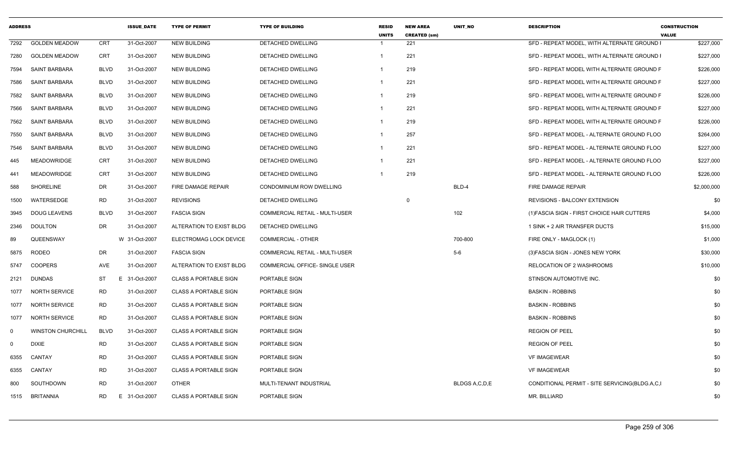| <b>ADDRESS</b> |                          |             | <b>ISSUE DATE</b> | <b>TYPE OF PERMIT</b>        | <b>TYPE OF BUILDING</b>        | <b>RESID</b><br><b>UNITS</b> | <b>NEW AREA</b><br><b>CREATED (sm)</b> | <b>UNIT NO</b>   | <b>DESCRIPTION</b>                             | <b>CONSTRUCTION</b><br><b>VALUE</b> |
|----------------|--------------------------|-------------|-------------------|------------------------------|--------------------------------|------------------------------|----------------------------------------|------------------|------------------------------------------------|-------------------------------------|
| 7292           | <b>GOLDEN MEADOW</b>     | <b>CRT</b>  | 31-Oct-2007       | <b>NEW BUILDING</b>          | DETACHED DWELLING              | -1                           | 221                                    |                  | SFD - REPEAT MODEL, WITH ALTERNATE GROUND I    | \$227,000                           |
| 7280           | <b>GOLDEN MEADOW</b>     | CRT         | 31-Oct-2007       | <b>NEW BUILDING</b>          | DETACHED DWELLING              | $\overline{1}$               | 221                                    |                  | SFD - REPEAT MODEL, WITH ALTERNATE GROUND I    | \$227,000                           |
| 7594           | <b>SAINT BARBARA</b>     | <b>BLVD</b> | 31-Oct-2007       | <b>NEW BUILDING</b>          | DETACHED DWELLING              | -1                           | 219                                    |                  | SFD - REPEAT MODEL WITH ALTERNATE GROUND F     | \$226,000                           |
| 7586           | <b>SAINT BARBARA</b>     | <b>BLVD</b> | 31-Oct-2007       | <b>NEW BUILDING</b>          | <b>DETACHED DWELLING</b>       | $\overline{1}$               | 221                                    |                  | SFD - REPEAT MODEL WITH ALTERNATE GROUND F     | \$227,000                           |
| 7582           | SAINT BARBARA            | <b>BLVD</b> | 31-Oct-2007       | NEW BUILDING                 | <b>DETACHED DWELLING</b>       | -1                           | 219                                    |                  | SFD - REPEAT MODEL WITH ALTERNATE GROUND F     | \$226,000                           |
| 7566           | <b>SAINT BARBARA</b>     | <b>BLVD</b> | 31-Oct-2007       | <b>NEW BUILDING</b>          | DETACHED DWELLING              | -1                           | 221                                    |                  | SFD - REPEAT MODEL WITH ALTERNATE GROUND F     | \$227,000                           |
| 7562           | SAINT BARBARA            | <b>BLVD</b> | 31-Oct-2007       | <b>NEW BUILDING</b>          | DETACHED DWELLING              | $\overline{1}$               | 219                                    |                  | SFD - REPEAT MODEL WITH ALTERNATE GROUND F     | \$226,000                           |
| 7550           | <b>SAINT BARBARA</b>     | <b>BLVD</b> | 31-Oct-2007       | <b>NEW BUILDING</b>          | DETACHED DWELLING              | -1                           | 257                                    |                  | SFD - REPEAT MODEL - ALTERNATE GROUND FLOO     | \$264,000                           |
| 7546           | SAINT BARBARA            | <b>BLVD</b> | 31-Oct-2007       | <b>NEW BUILDING</b>          | DETACHED DWELLING              | $\overline{1}$               | 221                                    |                  | SFD - REPEAT MODEL - ALTERNATE GROUND FLOO     | \$227,000                           |
| 445            | <b>MEADOWRIDGE</b>       | <b>CRT</b>  | 31-Oct-2007       | <b>NEW BUILDING</b>          | DETACHED DWELLING              |                              | 221                                    |                  | SFD - REPEAT MODEL - ALTERNATE GROUND FLOO     | \$227,000                           |
| 441            | <b>MEADOWRIDGE</b>       | <b>CRT</b>  | 31-Oct-2007       | <b>NEW BUILDING</b>          | DETACHED DWELLING              |                              | 219                                    |                  | SFD - REPEAT MODEL - ALTERNATE GROUND FLOO     | \$226,000                           |
| 588            | SHORELINE                | DR          | 31-Oct-2007       | FIRE DAMAGE REPAIR           | CONDOMINIUM ROW DWELLING       |                              |                                        | BLD-4            | FIRE DAMAGE REPAIR                             | \$2,000,000                         |
| 1500           | WATERSEDGE               | <b>RD</b>   | 31-Oct-2007       | <b>REVISIONS</b>             | DETACHED DWELLING              |                              | 0                                      |                  | REVISIONS - BALCONY EXTENSION                  | \$0                                 |
| 3945           | <b>DOUG LEAVENS</b>      | <b>BLVD</b> | 31-Oct-2007       | <b>FASCIA SIGN</b>           | COMMERCIAL RETAIL - MULTI-USER |                              |                                        | 102              | (1) FASCIA SIGN - FIRST CHOICE HAIR CUTTERS    | \$4,000                             |
| 2346           | <b>DOULTON</b>           | DR          | 31-Oct-2007       | ALTERATION TO EXIST BLDG     | <b>DETACHED DWELLING</b>       |                              |                                        |                  | 1 SINK + 2 AIR TRANSFER DUCTS                  | \$15,000                            |
| 89             | QUEENSWAY                |             | W 31-Oct-2007     | ELECTROMAG LOCK DEVICE       | COMMERCIAL - OTHER             |                              |                                        | 700-800          | FIRE ONLY - MAGLOCK (1)                        | \$1,000                             |
| 5875           | RODEO                    | <b>DR</b>   | 31-Oct-2007       | <b>FASCIA SIGN</b>           | COMMERCIAL RETAIL - MULTI-USER |                              |                                        | $5-6$            | (3) FASCIA SIGN - JONES NEW YORK               | \$30,000                            |
| 5747           | <b>COOPERS</b>           | AVE         | 31-Oct-2007       | ALTERATION TO EXIST BLDG     | COMMERCIAL OFFICE- SINGLE USER |                              |                                        |                  | RELOCATION OF 2 WASHROOMS                      | \$10,000                            |
| 2121           | <b>DUNDAS</b>            | ST          | E 31-Oct-2007     | <b>CLASS A PORTABLE SIGN</b> | PORTABLE SIGN                  |                              |                                        |                  | STINSON AUTOMOTIVE INC.                        | \$0                                 |
| 1077           | <b>NORTH SERVICE</b>     | <b>RD</b>   | 31-Oct-2007       | <b>CLASS A PORTABLE SIGN</b> | PORTABLE SIGN                  |                              |                                        |                  | <b>BASKIN - ROBBINS</b>                        | \$0                                 |
| 1077           | <b>NORTH SERVICE</b>     | RD          | 31-Oct-2007       | <b>CLASS A PORTABLE SIGN</b> | PORTABLE SIGN                  |                              |                                        |                  | <b>BASKIN - ROBBINS</b>                        | \$0                                 |
| 1077           | <b>NORTH SERVICE</b>     | <b>RD</b>   | 31-Oct-2007       | <b>CLASS A PORTABLE SIGN</b> | PORTABLE SIGN                  |                              |                                        |                  | <b>BASKIN - ROBBINS</b>                        | \$0                                 |
| $\mathbf 0$    | <b>WINSTON CHURCHILL</b> | <b>BLVD</b> | 31-Oct-2007       | <b>CLASS A PORTABLE SIGN</b> | PORTABLE SIGN                  |                              |                                        |                  | <b>REGION OF PEEL</b>                          | \$0                                 |
| $\Omega$       | <b>DIXIE</b>             | <b>RD</b>   | 31-Oct-2007       | <b>CLASS A PORTABLE SIGN</b> | PORTABLE SIGN                  |                              |                                        |                  | <b>REGION OF PEEL</b>                          | \$0                                 |
| 6355           | CANTAY                   | <b>RD</b>   | 31-Oct-2007       | <b>CLASS A PORTABLE SIGN</b> | PORTABLE SIGN                  |                              |                                        |                  | <b>VF IMAGEWEAR</b>                            | \$0                                 |
| 6355           | CANTAY                   | <b>RD</b>   | 31-Oct-2007       | <b>CLASS A PORTABLE SIGN</b> | PORTABLE SIGN                  |                              |                                        |                  | <b>VF IMAGEWEAR</b>                            | \$0                                 |
| 800            | SOUTHDOWN                | <b>RD</b>   | 31-Oct-2007       | <b>OTHER</b>                 | MULTI-TENANT INDUSTRIAL        |                              |                                        | BLDGS A, C, D, E | CONDITIONAL PERMIT - SITE SERVICING(BLDG.A.C.I | \$0                                 |
| 1515           | <b>BRITANNIA</b>         | RD          | E 31-Oct-2007     | <b>CLASS A PORTABLE SIGN</b> | PORTABLE SIGN                  |                              |                                        |                  | MR. BILLIARD                                   | \$0                                 |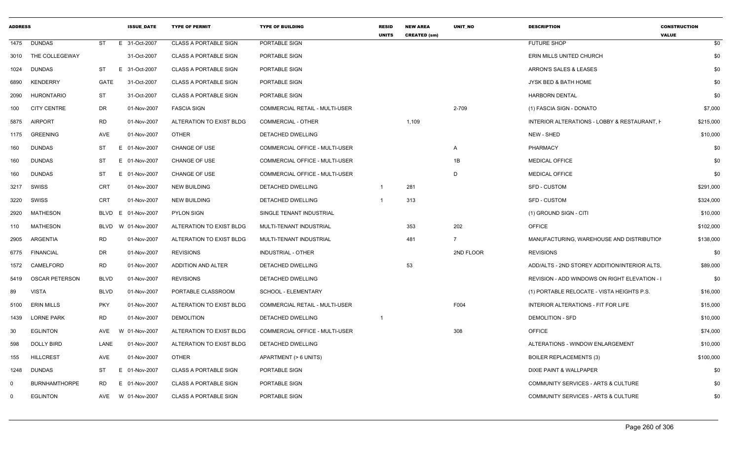| <b>ADDRESS</b> |                       |             | <b>ISSUE DATE</b>  | <b>TYPE OF PERMIT</b>        | <b>TYPE OF BUILDING</b>        | <b>RESID</b><br><b>UNITS</b> | <b>NEW AREA</b><br><b>CREATED (sm)</b> | <b>UNIT NO</b> | <b>DESCRIPTION</b>                            | <b>CONSTRUCTION</b><br><b>VALUE</b> |
|----------------|-----------------------|-------------|--------------------|------------------------------|--------------------------------|------------------------------|----------------------------------------|----------------|-----------------------------------------------|-------------------------------------|
| 1475           | <b>DUNDAS</b>         | <b>ST</b>   | E 31-Oct-2007      | <b>CLASS A PORTABLE SIGN</b> | PORTABLE SIGN                  |                              |                                        |                | <b>FUTURE SHOP</b>                            | \$0                                 |
|                | 3010 THE COLLEGEWAY   |             | 31-Oct-2007        | <b>CLASS A PORTABLE SIGN</b> | PORTABLE SIGN                  |                              |                                        |                | ERIN MILLS UNITED CHURCH                      | \$0                                 |
| 1024           | <b>DUNDAS</b>         | ST          | E 31-Oct-2007      | <b>CLASS A PORTABLE SIGN</b> | PORTABLE SIGN                  |                              |                                        |                | ARRON'S SALES & LEASES                        | \$0                                 |
| 6890           | <b>KENDERRY</b>       | GATE        | 31-Oct-2007        | <b>CLASS A PORTABLE SIGN</b> | PORTABLE SIGN                  |                              |                                        |                | JYSK BED & BATH HOME                          | \$0                                 |
| 2090           | <b>HURONTARIO</b>     | <b>ST</b>   | 31-Oct-2007        | <b>CLASS A PORTABLE SIGN</b> | PORTABLE SIGN                  |                              |                                        |                | <b>HARBORN DENTAL</b>                         | \$0                                 |
| 100            | <b>CITY CENTRE</b>    | DR          | 01-Nov-2007        | <b>FASCIA SIGN</b>           | COMMERCIAL RETAIL - MULTI-USER |                              |                                        | 2-709          | (1) FASCIA SIGN - DONATO                      | \$7,000                             |
| 5875           | <b>AIRPORT</b>        | <b>RD</b>   | 01-Nov-2007        | ALTERATION TO EXIST BLDG     | <b>COMMERCIAL - OTHER</b>      |                              | 1,109                                  |                | INTERIOR ALTERATIONS - LOBBY & RESTAURANT, H  | \$215,000                           |
| 1175           | <b>GREENING</b>       | AVE         | 01-Nov-2007        | <b>OTHER</b>                 | DETACHED DWELLING              |                              |                                        |                | NEW - SHED                                    | \$10,000                            |
| 160            | <b>DUNDAS</b>         | ST          | E 01-Nov-2007      | CHANGE OF USE                | COMMERCIAL OFFICE - MULTI-USER |                              |                                        | $\overline{A}$ | PHARMACY                                      | \$0                                 |
| 160            | <b>DUNDAS</b>         | ST          | E 01-Nov-2007      | CHANGE OF USE                | COMMERCIAL OFFICE - MULTI-USER |                              |                                        | 1B             | <b>MEDICAL OFFICE</b>                         | \$0                                 |
| 160            | <b>DUNDAS</b>         | ST          | E 01-Nov-2007      | <b>CHANGE OF USE</b>         | COMMERCIAL OFFICE - MULTI-USER |                              |                                        | D              | <b>MEDICAL OFFICE</b>                         | \$0                                 |
| 3217           | SWISS                 | <b>CRT</b>  | 01-Nov-2007        | <b>NEW BUILDING</b>          | DETACHED DWELLING              |                              | 281                                    |                | <b>SFD - CUSTOM</b>                           | \$291,000                           |
| 3220           | SWISS                 | <b>CRT</b>  | 01-Nov-2007        | <b>NEW BUILDING</b>          | DETACHED DWELLING              |                              | 313                                    |                | <b>SFD - CUSTOM</b>                           | \$324,000                           |
| 2920           | <b>MATHESON</b>       |             | BLVD E 01-Nov-2007 | <b>PYLON SIGN</b>            | SINGLE TENANT INDUSTRIAL       |                              |                                        |                | (1) GROUND SIGN - CITI                        | \$10,000                            |
| 110            | <b>MATHESON</b>       | BLVD        | W 01-Nov-2007      | ALTERATION TO EXIST BLDG     | MULTI-TENANT INDUSTRIAL        |                              | 353                                    | 202            | <b>OFFICE</b>                                 | \$102,000                           |
| 2905           | <b>ARGENTIA</b>       | <b>RD</b>   | 01-Nov-2007        | ALTERATION TO EXIST BLDG     | MULTI-TENANT INDUSTRIAL        |                              | 481                                    | $\overline{7}$ | MANUFACTURING, WAREHOUSE AND DISTRIBUTION     | \$138,000                           |
| 6775           | <b>FINANCIAL</b>      | DR          | 01-Nov-2007        | <b>REVISIONS</b>             | <b>INDUSTRIAL - OTHER</b>      |                              |                                        | 2ND FLOOR      | <b>REVISIONS</b>                              | \$0                                 |
| 1572           | CAMELFORD             | <b>RD</b>   | 01-Nov-2007        | <b>ADDITION AND ALTER</b>    | DETACHED DWELLING              |                              | 53                                     |                | ADD/ALTS - 2ND STOREY ADDITION/INTERIOR ALTS. | \$89,000                            |
| 5419           | <b>OSCAR PETERSON</b> | <b>BLVD</b> | 01-Nov-2007        | <b>REVISIONS</b>             | DETACHED DWELLING              |                              |                                        |                | REVISION - ADD WINDOWS ON RIGHT ELEVATION - I | \$0                                 |
| 89             | <b>VISTA</b>          | <b>BLVD</b> | 01-Nov-2007        | PORTABLE CLASSROOM           | SCHOOL - ELEMENTARY            |                              |                                        |                | (1) PORTABLE RELOCATE - VISTA HEIGHTS P.S.    | \$16,000                            |
| 5100           | <b>ERIN MILLS</b>     | <b>PKY</b>  | 01-Nov-2007        | ALTERATION TO EXIST BLDG     | COMMERCIAL RETAIL - MULTI-USER |                              |                                        | F004           | INTERIOR ALTERATIONS - FIT FOR LIFE           | \$15,000                            |
| 1439           | <b>LORNE PARK</b>     | RD          | 01-Nov-2007        | <b>DEMOLITION</b>            | DETACHED DWELLING              | $\overline{\mathbf{1}}$      |                                        |                | <b>DEMOLITION - SFD</b>                       | \$10,000                            |
| 30             | <b>EGLINTON</b>       | AVE         | W 01-Nov-2007      | ALTERATION TO EXIST BLDG     | COMMERCIAL OFFICE - MULTI-USER |                              |                                        | 308            | <b>OFFICE</b>                                 | \$74,000                            |
| 598            | <b>DOLLY BIRD</b>     | LANE        | 01-Nov-2007        | ALTERATION TO EXIST BLDG     | DETACHED DWELLING              |                              |                                        |                | ALTERATIONS - WINDOW ENLARGEMENT              | \$10,000                            |
| 155            | <b>HILLCREST</b>      | AVE         | 01-Nov-2007        | <b>OTHER</b>                 | APARTMENT (> 6 UNITS)          |                              |                                        |                | <b>BOILER REPLACEMENTS (3)</b>                | \$100,000                           |
| 1248           | <b>DUNDAS</b>         | ST          | E 01-Nov-2007      | <b>CLASS A PORTABLE SIGN</b> | PORTABLE SIGN                  |                              |                                        |                | DIXIE PAINT & WALLPAPER                       | \$0                                 |
| $\Omega$       | <b>BURNHAMTHORPE</b>  | RD          | E 01-Nov-2007      | <b>CLASS A PORTABLE SIGN</b> | PORTABLE SIGN                  |                              |                                        |                | COMMUNITY SERVICES - ARTS & CULTURE           | \$0                                 |
| $\Omega$       | <b>EGLINTON</b>       | AVE         | W 01-Nov-2007      | <b>CLASS A PORTABLE SIGN</b> | PORTABLE SIGN                  |                              |                                        |                | COMMUNITY SERVICES - ARTS & CULTURE           | \$0                                 |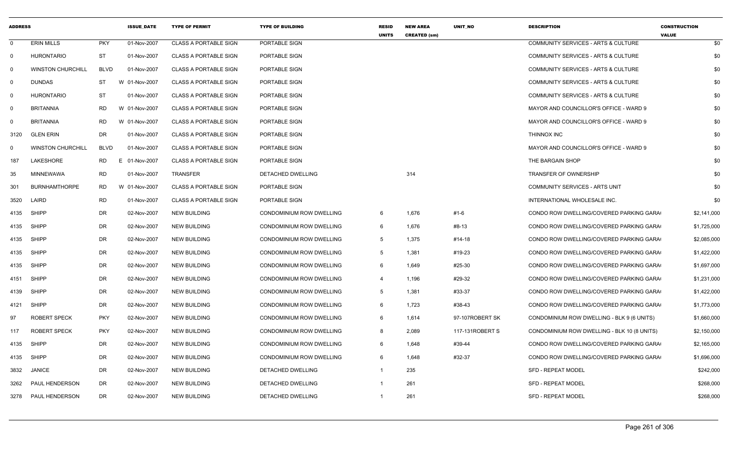| <b>ADDRESS</b> |                          |                 | <b>ISSUE DATE</b> | <b>TYPE OF PERMIT</b>        | <b>TYPE OF BUILDING</b>         | <b>RESID</b><br><b>UNITS</b> | <b>NEW AREA</b><br><b>CREATED (sm)</b> | <b>UNIT NO</b>  | <b>DESCRIPTION</b>                          | <b>CONSTRUCTION</b><br><b>VALUE</b> |
|----------------|--------------------------|-----------------|-------------------|------------------------------|---------------------------------|------------------------------|----------------------------------------|-----------------|---------------------------------------------|-------------------------------------|
| $\mathbf 0$    | <b>ERIN MILLS</b>        | <b>PKY</b>      | 01-Nov-2007       | <b>CLASS A PORTABLE SIGN</b> | PORTABLE SIGN                   |                              |                                        |                 | COMMUNITY SERVICES - ARTS & CULTURE         | \$0                                 |
| $\mathbf 0$    | <b>HURONTARIO</b>        | <b>ST</b>       | 01-Nov-2007       | <b>CLASS A PORTABLE SIGN</b> | PORTABLE SIGN                   |                              |                                        |                 | COMMUNITY SERVICES - ARTS & CULTURE         | \$0                                 |
| 0              | <b>WINSTON CHURCHILL</b> | <b>BLVD</b>     | 01-Nov-2007       | <b>CLASS A PORTABLE SIGN</b> | PORTABLE SIGN                   |                              |                                        |                 | COMMUNITY SERVICES - ARTS & CULTURE         | \$0                                 |
| $\Omega$       | <b>DUNDAS</b>            | ST              | W 01-Nov-2007     | <b>CLASS A PORTABLE SIGN</b> | PORTABLE SIGN                   |                              |                                        |                 | COMMUNITY SERVICES - ARTS & CULTURE         | \$0                                 |
| $\mathbf 0$    | <b>HURONTARIO</b>        | ST              | 01-Nov-2007       | <b>CLASS A PORTABLE SIGN</b> | PORTABLE SIGN                   |                              |                                        |                 | COMMUNITY SERVICES - ARTS & CULTURE         | \$0                                 |
| $\mathbf 0$    | <b>BRITANNIA</b>         | RD.             | W 01-Nov-2007     | <b>CLASS A PORTABLE SIGN</b> | PORTABLE SIGN                   |                              |                                        |                 | MAYOR AND COUNCILLOR'S OFFICE - WARD 9      | \$0                                 |
| $\Omega$       | <b>BRITANNIA</b>         | <b>RD</b>       | W 01-Nov-2007     | <b>CLASS A PORTABLE SIGN</b> | PORTABLE SIGN                   |                              |                                        |                 | MAYOR AND COUNCILLOR'S OFFICE - WARD 9      | \$0                                 |
| 3120           | <b>GLEN ERIN</b>         | <b>DR</b>       | 01-Nov-2007       | <b>CLASS A PORTABLE SIGN</b> | PORTABLE SIGN                   |                              |                                        |                 | <b>THINNOX INC</b>                          | \$0                                 |
| $\Omega$       | <b>WINSTON CHURCHILL</b> | <b>BLVD</b>     | 01-Nov-2007       | <b>CLASS A PORTABLE SIGN</b> | PORTABLE SIGN                   |                              |                                        |                 | MAYOR AND COUNCILLOR'S OFFICE - WARD 9      | \$0                                 |
| 187            | LAKESHORE                | <b>RD</b><br>F. | 01-Nov-2007       | <b>CLASS A PORTABLE SIGN</b> | PORTABLE SIGN                   |                              |                                        |                 | THE BARGAIN SHOP                            | \$0                                 |
| 35             | <b>MINNEWAWA</b>         | <b>RD</b>       | 01-Nov-2007       | <b>TRANSFER</b>              | DETACHED DWELLING               |                              | 314                                    |                 | TRANSFER OF OWNERSHIP                       | \$0                                 |
| 301            | <b>BURNHAMTHORPE</b>     | <b>RD</b>       | W 01-Nov-2007     | <b>CLASS A PORTABLE SIGN</b> | PORTABLE SIGN                   |                              |                                        |                 | <b>COMMUNITY SERVICES - ARTS UNIT</b>       | \$0                                 |
| 3520           | LAIRD                    | <b>RD</b>       | 01-Nov-2007       | <b>CLASS A PORTABLE SIGN</b> | PORTABLE SIGN                   |                              |                                        |                 | INTERNATIONAL WHOLESALE INC.                | \$0                                 |
| 4135           | <b>SHIPP</b>             | DR              | 02-Nov-2007       | <b>NEW BUILDING</b>          | CONDOMINIUM ROW DWELLING        | 6                            | 1,676                                  | #1-6            | CONDO ROW DWELLING/COVERED PARKING GARA     | \$2,141,000                         |
| 4135           | <b>SHIPP</b>             | DR              | 02-Nov-2007       | <b>NEW BUILDING</b>          | CONDOMINIUM ROW DWELLING        | 6                            | 1,676                                  | #8-13           | CONDO ROW DWELLING/COVERED PARKING GARA     | \$1,725,000                         |
| 4135           | <b>SHIPP</b>             | <b>DR</b>       | 02-Nov-2007       | <b>NEW BUILDING</b>          | CONDOMINIUM ROW DWELLING        | -5                           | 1,375                                  | #14-18          | CONDO ROW DWELLING/COVERED PARKING GARA     | \$2,085,000                         |
| 4135           | <b>SHIPP</b>             | DR              | 02-Nov-2007       | <b>NEW BUILDING</b>          | CONDOMINIUM ROW DWELLING        | -5                           | 1,381                                  | #19-23          | CONDO ROW DWELLING/COVERED PARKING GARA     | \$1,422,000                         |
| 4135           | <b>SHIPP</b>             | <b>DR</b>       | 02-Nov-2007       | <b>NEW BUILDING</b>          | CONDOMINIUM ROW DWELLING        | -6                           | 1,649                                  | #25-30          | CONDO ROW DWELLING/COVERED PARKING GARA     | \$1,697,000                         |
| 4151           | <b>SHIPP</b>             | DR              | 02-Nov-2007       | <b>NEW BUILDING</b>          | <b>CONDOMINIUM ROW DWELLING</b> | $\overline{4}$               | 1,196                                  | #29-32          | CONDO ROW DWELLING/COVERED PARKING GARA     | \$1,231,000                         |
| 4139           | <b>SHIPP</b>             | DR              | 02-Nov-2007       | <b>NEW BUILDING</b>          | CONDOMINIUM ROW DWELLING        | 5                            | 1,381                                  | #33-37          | CONDO ROW DWELLING/COVERED PARKING GARA     | \$1,422,000                         |
| 4121           | <b>SHIPP</b>             | DR              | 02-Nov-2007       | <b>NEW BUILDING</b>          | CONDOMINIUM ROW DWELLING        | -6                           | 1,723                                  | #38-43          | CONDO ROW DWELLING/COVERED PARKING GARA     | \$1,773,000                         |
| 97             | <b>ROBERT SPECK</b>      | <b>PKY</b>      | 02-Nov-2007       | <b>NEW BUILDING</b>          | CONDOMINIUM ROW DWELLING        | 6                            | 1,614                                  | 97-107ROBERT SK | CONDOMINIUM ROW DWELLING - BLK 9 (6 UNITS)  | \$1,660,000                         |
| 117            | ROBERT SPECK             | <b>PKY</b>      | 02-Nov-2007       | <b>NEW BUILDING</b>          | CONDOMINIUM ROW DWELLING        | 8                            | 2,089                                  | 117-131ROBERT S | CONDOMINIUM ROW DWELLING - BLK 10 (8 UNITS) | \$2,150,000                         |
| 4135           | <b>SHIPP</b>             | DR              | 02-Nov-2007       | <b>NEW BUILDING</b>          | CONDOMINIUM ROW DWELLING        | 6                            | 1,648                                  | #39-44          | CONDO ROW DWELLING/COVERED PARKING GARA     | \$2,165,000                         |
| 4135           | <b>SHIPP</b>             | <b>DR</b>       | 02-Nov-2007       | <b>NEW BUILDING</b>          | CONDOMINIUM ROW DWELLING        | 6                            | 1,648                                  | #32-37          | CONDO ROW DWELLING/COVERED PARKING GARA     | \$1,696,000                         |
| 3832           | <b>JANICE</b>            | <b>DR</b>       | 02-Nov-2007       | <b>NEW BUILDING</b>          | DETACHED DWELLING               | $\overline{\mathbf{1}}$      | 235                                    |                 | <b>SFD - REPEAT MODEL</b>                   | \$242,000                           |
| 3262           | PAUL HENDERSON           | <b>DR</b>       | 02-Nov-2007       | <b>NEW BUILDING</b>          | DETACHED DWELLING               | - 1                          | 261                                    |                 | <b>SFD - REPEAT MODEL</b>                   | \$268,000                           |
| 3278           | PAUL HENDERSON           | <b>DR</b>       | 02-Nov-2007       | <b>NEW BUILDING</b>          | <b>DETACHED DWELLING</b>        | $\overline{1}$               | 261                                    |                 | <b>SFD - REPEAT MODEL</b>                   | \$268,000                           |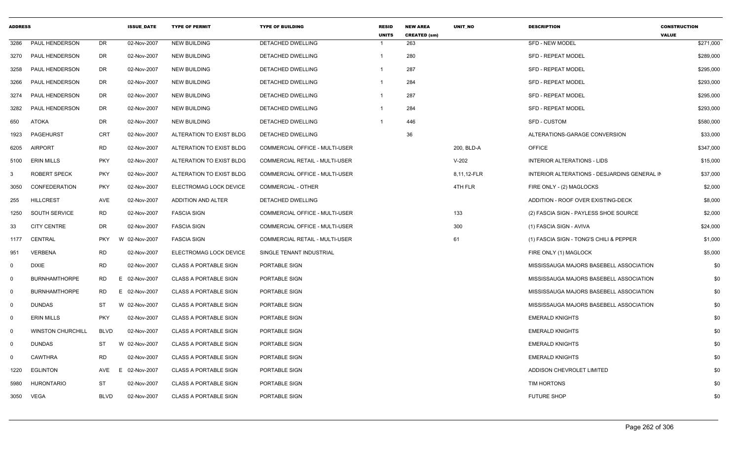| <b>ADDRESS</b> |                          |             | <b>ISSUE_DATE</b> | <b>TYPE OF PERMIT</b>        | <b>TYPE OF BUILDING</b>               | <b>RESID</b><br><b>UNITS</b> | <b>NEW AREA</b><br><b>CREATED (sm)</b> | UNIT_NO     | <b>DESCRIPTION</b>                           | <b>CONSTRUCTION</b><br><b>VALUE</b> |
|----------------|--------------------------|-------------|-------------------|------------------------------|---------------------------------------|------------------------------|----------------------------------------|-------------|----------------------------------------------|-------------------------------------|
| 3286           | PAUL HENDERSON           | DR          | 02-Nov-2007       | <b>NEW BUILDING</b>          | DETACHED DWELLING                     | -1                           | 263                                    |             | <b>SFD - NEW MODEL</b>                       | \$271,000                           |
| 3270           | PAUL HENDERSON           | DR          | 02-Nov-2007       | <b>NEW BUILDING</b>          | DETACHED DWELLING                     | $\mathbf{1}$                 | 280                                    |             | <b>SFD - REPEAT MODEL</b>                    | \$289,000                           |
| 3258           | PAUL HENDERSON           | <b>DR</b>   | 02-Nov-2007       | <b>NEW BUILDING</b>          | DETACHED DWELLING                     | -1                           | 287                                    |             | <b>SFD - REPEAT MODEL</b>                    | \$295,000                           |
| 3266           | PAUL HENDERSON           | DR          | 02-Nov-2007       | <b>NEW BUILDING</b>          | DETACHED DWELLING                     | $\overline{\mathbf{1}}$      | 284                                    |             | <b>SFD - REPEAT MODEL</b>                    | \$293,000                           |
| 3274           | <b>PAUL HENDERSON</b>    | DR          | 02-Nov-2007       | <b>NEW BUILDING</b>          | <b>DETACHED DWELLING</b>              | $\overline{1}$               | 287                                    |             | <b>SFD - REPEAT MODEL</b>                    | \$295,000                           |
| 3282           | PAUL HENDERSON           | DR          | 02-Nov-2007       | <b>NEW BUILDING</b>          | DETACHED DWELLING                     | -1                           | 284                                    |             | <b>SFD - REPEAT MODEL</b>                    | \$293,000                           |
| 650            | <b>ATOKA</b>             | DR          | 02-Nov-2007       | <b>NEW BUILDING</b>          | DETACHED DWELLING                     | -1                           | 446                                    |             | SFD - CUSTOM                                 | \$580,000                           |
| 1923           | PAGEHURST                | <b>CRT</b>  | 02-Nov-2007       | ALTERATION TO EXIST BLDG     | DETACHED DWELLING                     |                              | 36                                     |             | ALTERATIONS-GARAGE CONVERSION                | \$33,000                            |
| 6205           | AIRPORT                  | <b>RD</b>   | 02-Nov-2007       | ALTERATION TO EXIST BLDG     | COMMERCIAL OFFICE - MULTI-USER        |                              |                                        | 200, BLD-A  | <b>OFFICE</b>                                | \$347,000                           |
| 5100           | <b>ERIN MILLS</b>        | <b>PKY</b>  | 02-Nov-2007       | ALTERATION TO EXIST BLDG     | <b>COMMERCIAL RETAIL - MULTI-USER</b> |                              |                                        | $V-202$     | INTERIOR ALTERATIONS - LIDS                  | \$15,000                            |
| 3              | <b>ROBERT SPECK</b>      | <b>PKY</b>  | 02-Nov-2007       | ALTERATION TO EXIST BLDG     | COMMERCIAL OFFICE - MULTI-USER        |                              |                                        | 8,11,12-FLR | INTERIOR ALTERATIONS - DESJARDINS GENERAL IN | \$37,000                            |
| 3050           | <b>CONFEDERATION</b>     | <b>PKY</b>  | 02-Nov-2007       | ELECTROMAG LOCK DEVICE       | <b>COMMERCIAL - OTHER</b>             |                              |                                        | 4TH FLR     | FIRE ONLY - (2) MAGLOCKS                     | \$2,000                             |
| 255            | <b>HILLCREST</b>         | AVE         | 02-Nov-2007       | ADDITION AND ALTER           | DETACHED DWELLING                     |                              |                                        |             | ADDITION - ROOF OVER EXISTING-DECK           | \$8,000                             |
| 1250           | SOUTH SERVICE            | <b>RD</b>   | 02-Nov-2007       | <b>FASCIA SIGN</b>           | COMMERCIAL OFFICE - MULTI-USER        |                              |                                        | 133         | (2) FASCIA SIGN - PAYLESS SHOE SOURCE        | \$2,000                             |
| 33             | <b>CITY CENTRE</b>       | DR          | 02-Nov-2007       | <b>FASCIA SIGN</b>           | COMMERCIAL OFFICE - MULTI-USER        |                              |                                        | 300         | (1) FASCIA SIGN - AVIVA                      | \$24,000                            |
| 1177           | CENTRAL                  | <b>PKY</b>  | W 02-Nov-2007     | <b>FASCIA SIGN</b>           | COMMERCIAL RETAIL - MULTI-USER        |                              |                                        | 61          | (1) FASCIA SIGN - TONG'S CHILI & PEPPER      | \$1,000                             |
| 951            | <b>VERBENA</b>           | RD          | 02-Nov-2007       | ELECTROMAG LOCK DEVICE       | SINGLE TENANT INDUSTRIAL              |                              |                                        |             | FIRE ONLY (1) MAGLOCK                        | \$5,000                             |
| $\mathbf 0$    | <b>DIXIE</b>             | <b>RD</b>   | 02-Nov-2007       | <b>CLASS A PORTABLE SIGN</b> | PORTABLE SIGN                         |                              |                                        |             | MISSISSAUGA MAJORS BASEBELL ASSOCIATION      | \$0                                 |
| $\Omega$       | <b>BURNHAMTHORPE</b>     | <b>RD</b>   | 02-Nov-2007<br>E. | <b>CLASS A PORTABLE SIGN</b> | PORTABLE SIGN                         |                              |                                        |             | MISSISSAUGA MAJORS BASEBELL ASSOCIATION      | \$0                                 |
| $\mathbf 0$    | <b>BURNHAMTHORPE</b>     | RD          | E 02-Nov-2007     | <b>CLASS A PORTABLE SIGN</b> | PORTABLE SIGN                         |                              |                                        |             | MISSISSAUGA MAJORS BASEBELL ASSOCIATION      | \$0                                 |
| $\mathbf 0$    | <b>DUNDAS</b>            | ST          | W 02-Nov-2007     | <b>CLASS A PORTABLE SIGN</b> | PORTABLE SIGN                         |                              |                                        |             | MISSISSAUGA MAJORS BASEBELL ASSOCIATION      | \$0                                 |
| $\mathbf 0$    | <b>ERIN MILLS</b>        | <b>PKY</b>  | 02-Nov-2007       | <b>CLASS A PORTABLE SIGN</b> | PORTABLE SIGN                         |                              |                                        |             | <b>EMERALD KNIGHTS</b>                       | \$0                                 |
| $\mathbf 0$    | <b>WINSTON CHURCHILL</b> | <b>BLVD</b> | 02-Nov-2007       | <b>CLASS A PORTABLE SIGN</b> | PORTABLE SIGN                         |                              |                                        |             | <b>EMERALD KNIGHTS</b>                       | \$0                                 |
| $\mathbf 0$    | <b>DUNDAS</b>            | <b>ST</b>   | W 02-Nov-2007     | <b>CLASS A PORTABLE SIGN</b> | PORTABLE SIGN                         |                              |                                        |             | <b>EMERALD KNIGHTS</b>                       | \$0                                 |
| $\mathbf 0$    | <b>CAWTHRA</b>           | <b>RD</b>   | 02-Nov-2007       | <b>CLASS A PORTABLE SIGN</b> | PORTABLE SIGN                         |                              |                                        |             | <b>EMERALD KNIGHTS</b>                       | \$0                                 |
| 1220           | <b>EGLINTON</b>          | AVE         | E.<br>02-Nov-2007 | <b>CLASS A PORTABLE SIGN</b> | PORTABLE SIGN                         |                              |                                        |             | ADDISON CHEVROLET LIMITED                    | \$0                                 |
| 5980           | HURONTARIO               | <b>ST</b>   | 02-Nov-2007       | <b>CLASS A PORTABLE SIGN</b> | PORTABLE SIGN                         |                              |                                        |             | TIM HORTONS                                  | \$0                                 |
| 3050           | VEGA                     | <b>BLVD</b> | 02-Nov-2007       | <b>CLASS A PORTABLE SIGN</b> | PORTABLE SIGN                         |                              |                                        |             | <b>FUTURE SHOP</b>                           | \$0                                 |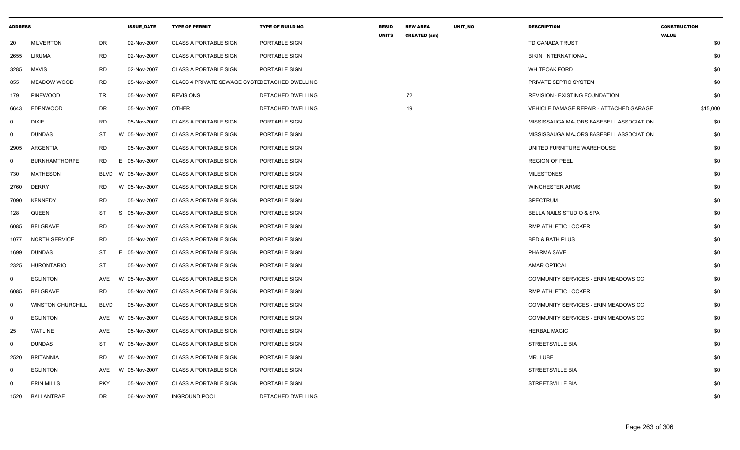| <b>ADDRESS</b> |                          |             | <b>ISSUE_DATE</b> | <b>TYPE OF PERMIT</b>                         | <b>TYPE OF BUILDING</b> | <b>RESID</b><br><b>UNITS</b> | <b>NEW AREA</b><br><b>CREATED (sm)</b> | UNIT_NO | <b>DESCRIPTION</b>                      | <b>CONSTRUCTION</b><br><b>VALUE</b> |
|----------------|--------------------------|-------------|-------------------|-----------------------------------------------|-------------------------|------------------------------|----------------------------------------|---------|-----------------------------------------|-------------------------------------|
| 20             | <b>MILVERTON</b>         | DR          | 02-Nov-2007       | <b>CLASS A PORTABLE SIGN</b>                  | PORTABLE SIGN           |                              |                                        |         | TD CANADA TRUST                         | \$0                                 |
| 2655           | LIRUMA                   | <b>RD</b>   | 02-Nov-2007       | <b>CLASS A PORTABLE SIGN</b>                  | PORTABLE SIGN           |                              |                                        |         | <b>BIKINI INTERNATIONAL</b>             | \$0                                 |
| 3285           | MAVIS                    | <b>RD</b>   | 02-Nov-2007       | <b>CLASS A PORTABLE SIGN</b>                  | PORTABLE SIGN           |                              |                                        |         | <b>WHITEOAK FORD</b>                    | \$0                                 |
| 855            | <b>MEADOW WOOD</b>       | <b>RD</b>   | 05-Nov-2007       | CLASS 4 PRIVATE SEWAGE SYSTEDETACHED DWELLING |                         |                              |                                        |         | PRIVATE SEPTIC SYSTEM                   | \$0                                 |
| 179            | <b>PINEWOOD</b>          | TR          | 05-Nov-2007       | <b>REVISIONS</b>                              | DETACHED DWELLING       |                              | 72                                     |         | <b>REVISION - EXISTING FOUNDATION</b>   | \$0                                 |
| 6643           | <b>EDENWOOD</b>          | <b>DR</b>   | 05-Nov-2007       | <b>OTHER</b>                                  | DETACHED DWELLING       |                              | 19                                     |         | VEHICLE DAMAGE REPAIR - ATTACHED GARAGE | \$15,000                            |
| 0              | DIXIE                    | <b>RD</b>   | 05-Nov-2007       | <b>CLASS A PORTABLE SIGN</b>                  | PORTABLE SIGN           |                              |                                        |         | MISSISSAUGA MAJORS BASEBELL ASSOCIATION | \$0                                 |
| $\mathbf 0$    | <b>DUNDAS</b>            | ST          | W 05-Nov-2007     | <b>CLASS A PORTABLE SIGN</b>                  | PORTABLE SIGN           |                              |                                        |         | MISSISSAUGA MAJORS BASEBELL ASSOCIATION | \$0                                 |
| 2905           | ARGENTIA                 | <b>RD</b>   | 05-Nov-2007       | <b>CLASS A PORTABLE SIGN</b>                  | PORTABLE SIGN           |                              |                                        |         | UNITED FURNITURE WAREHOUSE              | \$0                                 |
| $\mathbf 0$    | <b>BURNHAMTHORPE</b>     | <b>RD</b>   | Е.<br>05-Nov-2007 | <b>CLASS A PORTABLE SIGN</b>                  | PORTABLE SIGN           |                              |                                        |         | <b>REGION OF PEEL</b>                   | \$0                                 |
| 730            | <b>MATHESON</b>          | <b>BLVD</b> | W 05-Nov-2007     | <b>CLASS A PORTABLE SIGN</b>                  | PORTABLE SIGN           |                              |                                        |         | <b>MILESTONES</b>                       | \$0                                 |
| 2760           | <b>DERRY</b>             | <b>RD</b>   | W 05-Nov-2007     | <b>CLASS A PORTABLE SIGN</b>                  | PORTABLE SIGN           |                              |                                        |         | <b>WINCHESTER ARMS</b>                  | \$0                                 |
| 7090           | <b>KENNEDY</b>           | <b>RD</b>   | 05-Nov-2007       | <b>CLASS A PORTABLE SIGN</b>                  | PORTABLE SIGN           |                              |                                        |         | <b>SPECTRUM</b>                         | \$0                                 |
| 128            | QUEEN                    | ST          | S<br>05-Nov-2007  | <b>CLASS A PORTABLE SIGN</b>                  | PORTABLE SIGN           |                              |                                        |         | <b>BELLA NAILS STUDIO &amp; SPA</b>     | \$0                                 |
| 6085           | <b>BELGRAVE</b>          | <b>RD</b>   | 05-Nov-2007       | <b>CLASS A PORTABLE SIGN</b>                  | PORTABLE SIGN           |                              |                                        |         | RMP ATHLETIC LOCKER                     | \$0                                 |
| 1077           | <b>NORTH SERVICE</b>     | RD          | 05-Nov-2007       | <b>CLASS A PORTABLE SIGN</b>                  | PORTABLE SIGN           |                              |                                        |         | <b>BED &amp; BATH PLUS</b>              | \$0                                 |
| 1699           | <b>DUNDAS</b>            | ST          | E.<br>05-Nov-2007 | <b>CLASS A PORTABLE SIGN</b>                  | PORTABLE SIGN           |                              |                                        |         | PHARMA SAVE                             | \$0                                 |
| 2325           | <b>HURONTARIO</b>        | <b>ST</b>   | 05-Nov-2007       | <b>CLASS A PORTABLE SIGN</b>                  | PORTABLE SIGN           |                              |                                        |         | <b>AMAR OPTICAL</b>                     | \$0                                 |
| 0              | <b>EGLINTON</b>          | AVE         | W 05-Nov-2007     | <b>CLASS A PORTABLE SIGN</b>                  | PORTABLE SIGN           |                              |                                        |         | COMMUNITY SERVICES - ERIN MEADOWS CC    | \$0                                 |
| 6085           | BELGRAVE                 | <b>RD</b>   | 05-Nov-2007       | <b>CLASS A PORTABLE SIGN</b>                  | PORTABLE SIGN           |                              |                                        |         | RMP ATHLETIC LOCKER                     | \$0                                 |
| $\mathbf 0$    | <b>WINSTON CHURCHILL</b> | <b>BLVD</b> | 05-Nov-2007       | <b>CLASS A PORTABLE SIGN</b>                  | PORTABLE SIGN           |                              |                                        |         | COMMUNITY SERVICES - ERIN MEADOWS CC    | \$0                                 |
| $\mathbf 0$    | <b>EGLINTON</b>          | AVE         | W 05-Nov-2007     | <b>CLASS A PORTABLE SIGN</b>                  | PORTABLE SIGN           |                              |                                        |         | COMMUNITY SERVICES - ERIN MEADOWS CC    | \$0                                 |
| 25             | <b>WATLINE</b>           | <b>AVE</b>  | 05-Nov-2007       | <b>CLASS A PORTABLE SIGN</b>                  | PORTABLE SIGN           |                              |                                        |         | <b>HERBAL MAGIC</b>                     | \$0                                 |
| 0              | <b>DUNDAS</b>            | ST          | W 05-Nov-2007     | <b>CLASS A PORTABLE SIGN</b>                  | PORTABLE SIGN           |                              |                                        |         | <b>STREETSVILLE BIA</b>                 | \$0                                 |
| 2520           | <b>BRITANNIA</b>         | <b>RD</b>   | W 05-Nov-2007     | <b>CLASS A PORTABLE SIGN</b>                  | PORTABLE SIGN           |                              |                                        |         | MR. LUBE                                | \$0                                 |
| $\mathbf 0$    | <b>EGLINTON</b>          | AVE         | W 05-Nov-2007     | <b>CLASS A PORTABLE SIGN</b>                  | PORTABLE SIGN           |                              |                                        |         | <b>STREETSVILLE BIA</b>                 | \$0                                 |
| 0              | <b>ERIN MILLS</b>        | <b>PKY</b>  | 05-Nov-2007       | <b>CLASS A PORTABLE SIGN</b>                  | PORTABLE SIGN           |                              |                                        |         | <b>STREETSVILLE BIA</b>                 | \$0                                 |
| 1520           | BALLANTRAE               | DR          | 06-Nov-2007       | <b>INGROUND POOL</b>                          | DETACHED DWELLING       |                              |                                        |         |                                         | \$0                                 |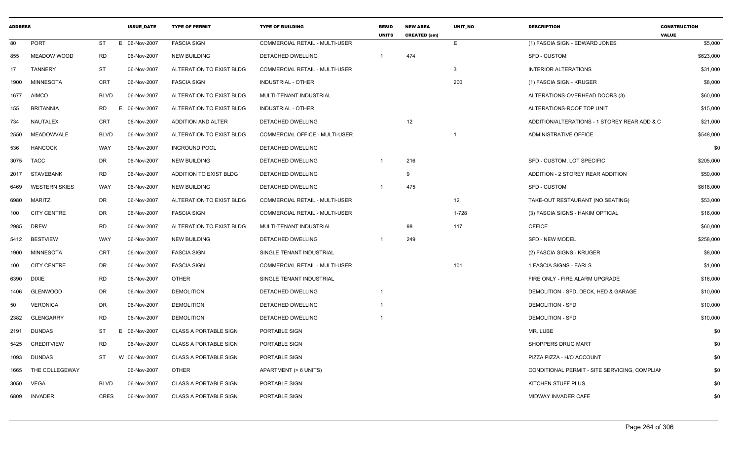| <b>ADDRESS</b> |                      |                | <b>ISSUE DATE</b> | <b>TYPE OF PERMIT</b>         | <b>TYPE OF BUILDING</b>               | <b>RESID</b><br><b>UNITS</b> | <b>NEW AREA</b><br><b>CREATED (sm)</b> | <b>UNIT NO</b>          | <b>DESCRIPTION</b>                            | <b>CONSTRUCTION</b><br><b>VALUE</b> |
|----------------|----------------------|----------------|-------------------|-------------------------------|---------------------------------------|------------------------------|----------------------------------------|-------------------------|-----------------------------------------------|-------------------------------------|
| 80             | PORT                 | ST<br>Е.       | 06-Nov-2007       | <b>FASCIA SIGN</b>            | <b>COMMERCIAL RETAIL - MULTI-USER</b> |                              |                                        | E.                      | (1) FASCIA SIGN - EDWARD JONES                | \$5,000                             |
| 855            | <b>MEADOW WOOD</b>   | RD             | 06-Nov-2007       | <b>NEW BUILDING</b>           | DETACHED DWELLING                     |                              | 474                                    |                         | <b>SFD - CUSTOM</b>                           | \$623,000                           |
| 17             | <b>TANNERY</b>       | <b>ST</b>      | 06-Nov-2007       | ALTERATION TO EXIST BLDG      | COMMERCIAL RETAIL - MULTI-USER        |                              |                                        | 3                       | <b>INTERIOR ALTERATIONS</b>                   | \$31,000                            |
| 1900           | <b>MINNESOTA</b>     | <b>CRT</b>     | 06-Nov-2007       | <b>FASCIA SIGN</b>            | <b>INDUSTRIAL - OTHER</b>             |                              |                                        | 200                     | (1) FASCIA SIGN - KRUGER                      | \$8,000                             |
| 1677           | <b>AIMCO</b>         | <b>BLVD</b>    | 06-Nov-2007       | ALTERATION TO EXIST BLDG      | MULTI-TENANT INDUSTRIAL               |                              |                                        |                         | ALTERATIONS-OVERHEAD DOORS (3)                | \$60,000                            |
| 155            | BRITANNIA            | RD<br>Е        | 06-Nov-2007       | ALTERATION TO EXIST BLDG      | INDUSTRIAL - OTHER                    |                              |                                        |                         | ALTERATIONS-ROOF TOP UNIT                     | \$15,000                            |
| 734            | NAUTALEX             | <b>CRT</b>     | 06-Nov-2007       | ADDITION AND ALTER            | DETACHED DWELLING                     |                              | 12                                     |                         | ADDITION/ALTERATIONS - 1 STOREY REAR ADD & C  | \$21,000                            |
| 2550           | <b>MEADOWVALE</b>    | <b>BLVD</b>    | 06-Nov-2007       | ALTERATION TO EXIST BLDG      | <b>COMMERCIAL OFFICE - MULTI-USER</b> |                              |                                        | $\overline{\mathbf{1}}$ | ADMINISTRATIVE OFFICE                         | \$548,000                           |
| 536            | <b>HANCOCK</b>       | WAY            | 06-Nov-2007       | <b>INGROUND POOL</b>          | DETACHED DWELLING                     |                              |                                        |                         |                                               | \$0                                 |
| 3075           | <b>TACC</b>          | DR             | 06-Nov-2007       | <b>NEW BUILDING</b>           | DETACHED DWELLING                     |                              | 216                                    |                         | SFD - CUSTOM, LOT SPECIFIC                    | \$205,000                           |
| 2017           | <b>STAVEBANK</b>     | <b>RD</b>      | 06-Nov-2007       | <b>ADDITION TO EXIST BLDG</b> | DETACHED DWELLING                     |                              | -9                                     |                         | ADDITION - 2 STOREY REAR ADDITION             | \$50,000                            |
| 6469           | <b>WESTERN SKIES</b> | WAY            | 06-Nov-2007       | <b>NEW BUILDING</b>           | DETACHED DWELLING                     |                              | 475                                    |                         | <b>SFD - CUSTOM</b>                           | \$618,000                           |
| 6980           | <b>MARITZ</b>        | DR             | 06-Nov-2007       | ALTERATION TO EXIST BLDG      | COMMERCIAL RETAIL - MULTI-USER        |                              |                                        | 12                      | TAKE-OUT RESTAURANT (NO SEATING)              | \$53,000                            |
| 100            | <b>CITY CENTRE</b>   | DR             | 06-Nov-2007       | <b>FASCIA SIGN</b>            | COMMERCIAL RETAIL - MULTI-USER        |                              |                                        | 1-728                   | (3) FASCIA SIGNS - HAKIM OPTICAL              | \$16,000                            |
| 2985           | <b>DREW</b>          | <b>RD</b>      | 06-Nov-2007       | ALTERATION TO EXIST BLDG      | MULTI-TENANT INDUSTRIAL               |                              | 98                                     | 117                     | <b>OFFICE</b>                                 | \$60,000                            |
| 5412           | <b>BESTVIEW</b>      | WAY            | 06-Nov-2007       | <b>NEW BUILDING</b>           | DETACHED DWELLING                     | -1                           | 249                                    |                         | <b>SFD - NEW MODEL</b>                        | \$258,000                           |
| 1900           | <b>MINNESOTA</b>     | <b>CRT</b>     | 06-Nov-2007       | <b>FASCIA SIGN</b>            | SINGLE TENANT INDUSTRIAL              |                              |                                        |                         | (2) FASCIA SIGNS - KRUGER                     | \$8,000                             |
| 100            | <b>CITY CENTRE</b>   | DR             | 06-Nov-2007       | <b>FASCIA SIGN</b>            | COMMERCIAL RETAIL - MULTI-USER        |                              |                                        | 101                     | 1 FASCIA SIGNS - EARLS                        | \$1,000                             |
| 6390           | <b>DIXIE</b>         | <b>RD</b>      | 06-Nov-2007       | <b>OTHER</b>                  | SINGLE TENANT INDUSTRIAL              |                              |                                        |                         | FIRE ONLY - FIRE ALARM UPGRADE                | \$16,000                            |
| 1406           | GLENWOOD             | DR             | 06-Nov-2007       | <b>DEMOLITION</b>             | DETACHED DWELLING                     |                              |                                        |                         | DEMOLITION - SFD. DECK. HED & GARAGE          | \$10,000                            |
| 50             | <b>VERONICA</b>      | DR             | 06-Nov-2007       | <b>DEMOLITION</b>             | DETACHED DWELLING                     |                              |                                        |                         | <b>DEMOLITION - SFD</b>                       | \$10,000                            |
| 2382           | <b>GLENGARRY</b>     | <b>RD</b>      | 06-Nov-2007       | <b>DEMOLITION</b>             | DETACHED DWELLING                     |                              |                                        |                         | <b>DEMOLITION - SFD</b>                       | \$10,000                            |
| 2191           | DUNDAS               | ST<br>E.       | 06-Nov-2007       | <b>CLASS A PORTABLE SIGN</b>  | PORTABLE SIGN                         |                              |                                        |                         | MR. LUBE                                      | \$0                                 |
| 5425           | <b>CREDITVIEW</b>    | <b>RD</b>      | 06-Nov-2007       | <b>CLASS A PORTABLE SIGN</b>  | PORTABLE SIGN                         |                              |                                        |                         | SHOPPERS DRUG MART                            | \$0                                 |
| 1093           | <b>DUNDAS</b>        | <b>ST</b><br>W | 06-Nov-2007       | <b>CLASS A PORTABLE SIGN</b>  | PORTABLE SIGN                         |                              |                                        |                         | PIZZA PIZZA - H/O ACCOUNT                     | \$0                                 |
| 1665           | THE COLLEGEWAY       |                | 06-Nov-2007       | <b>OTHER</b>                  | APARTMENT (> 6 UNITS)                 |                              |                                        |                         | CONDITIONAL PERMIT - SITE SERVICING, COMPLIAN | \$0                                 |
| 3050           | <b>VEGA</b>          | BLVD           | 06-Nov-2007       | <b>CLASS A PORTABLE SIGN</b>  | PORTABLE SIGN                         |                              |                                        |                         | KITCHEN STUFF PLUS                            | \$0                                 |
| 6809           | <b>INVADER</b>       | CRES           | 06-Nov-2007       | <b>CLASS A PORTABLE SIGN</b>  | PORTABLE SIGN                         |                              |                                        |                         | MIDWAY INVADER CAFE                           | \$0                                 |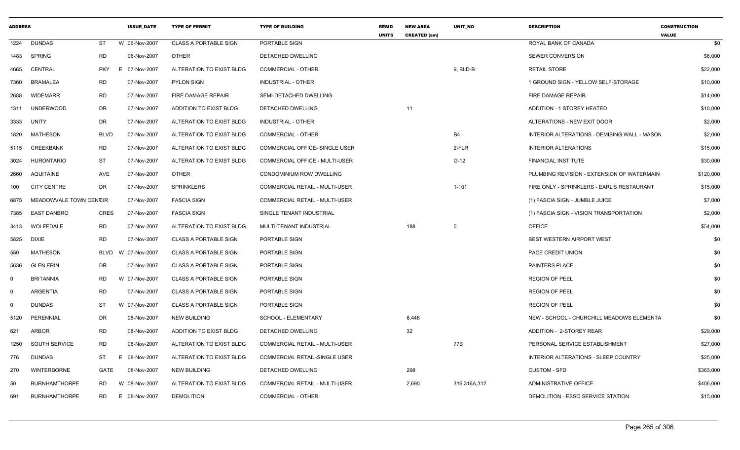| <b>ADDRESS</b> |                        |             | <b>ISSUE DATE</b> | <b>TYPE OF PERMIT</b>        | <b>TYPE OF BUILDING</b>              | <b>RESID</b><br><b>UNITS</b> | <b>NEW AREA</b><br><b>CREATED (sm)</b> | <b>UNIT NO</b> | <b>DESCRIPTION</b>                           | <b>CONSTRUCTION</b><br><b>VALUE</b> |
|----------------|------------------------|-------------|-------------------|------------------------------|--------------------------------------|------------------------------|----------------------------------------|----------------|----------------------------------------------|-------------------------------------|
| 1224           | <b>DUNDAS</b>          | ST          | W 06-Nov-2007     | <b>CLASS A PORTABLE SIGN</b> | PORTABLE SIGN                        |                              |                                        |                | ROYAL BANK OF CANADA                         | \$0                                 |
| 1483           | <b>SPRING</b>          | RD          | 06-Nov-2007       | <b>OTHER</b>                 | DETACHED DWELLING                    |                              |                                        |                | <b>SEWER CONVERSION</b>                      | \$6,000                             |
| 4665           | CENTRAL                | <b>PKY</b>  | 07-Nov-2007<br>E. | ALTERATION TO EXIST BLDG     | <b>COMMERCIAL - OTHER</b>            |                              |                                        | 9, BLD-B       | <b>RETAIL STORE</b>                          | \$22,000                            |
| 7360           | <b>BRAMALEA</b>        | RD          | 07-Nov-2007       | PYLON SIGN                   | <b>INDUSTRIAL - OTHER</b>            |                              |                                        |                | 1 GROUND SIGN - YELLOW SELF-STORAGE          | \$10,000                            |
| 2688           | <b>WIDEMARR</b>        | <b>RD</b>   | 07-Nov-2007       | FIRE DAMAGE REPAIR           | SEMI-DETACHED DWELLING               |                              |                                        |                | FIRE DAMAGE REPAIR                           | \$14,000                            |
| 1311           | <b>UNDERWOOD</b>       | DR          | 07-Nov-2007       | ADDITION TO EXIST BLDG       | DETACHED DWELLING                    |                              | 11                                     |                | ADDITION - 1 STOREY HEATED                   | \$10,000                            |
| 3333           | UNITY                  | DR          | 07-Nov-2007       | ALTERATION TO EXIST BLDG     | INDUSTRIAL - OTHER                   |                              |                                        |                | ALTERATIONS - NEW EXIT DOOR                  | \$2,000                             |
| 1820           | MATHESON               | <b>BLVD</b> | 07-Nov-2007       | ALTERATION TO EXIST BLDG     | <b>COMMERCIAL - OTHER</b>            |                              |                                        | <b>B4</b>      | INTERIOR ALTERATIONS - DEMISING WALL - MASON | \$2,000                             |
|                | 5115 CREEKBANK         | RD          | 07-Nov-2007       | ALTERATION TO EXIST BLDG     | COMMERCIAL OFFICE- SINGLE USER       |                              |                                        | 2-FLR          | <b>INTERIOR ALTERATIONS</b>                  | \$15,000                            |
| 3024           | <b>HURONTARIO</b>      | ST          | 07-Nov-2007       | ALTERATION TO EXIST BLDG     | COMMERCIAL OFFICE - MULTI-USER       |                              |                                        | $G-12$         | FINANCIAL INSTITUTE                          | \$30,000                            |
| 2660           | AQUITAINE              | AVE         | 07-Nov-2007       | OTHER                        | CONDOMINIUM ROW DWELLING             |                              |                                        |                | PLUMBING REVISION - EXTENSION OF WATERMAIN   | \$120,000                           |
| 100            | <b>CITY CENTRE</b>     | DR          | 07-Nov-2007       | <b>SPRINKLERS</b>            | COMMERCIAL RETAIL - MULTI-USER       |                              |                                        | $1 - 101$      | FIRE ONLY - SPRINKLERS - EARL'S RESTAURANT   | \$15,000                            |
| 6875           | MEADOWVALE TOWN CENCIR |             | 07-Nov-2007       | <b>FASCIA SIGN</b>           | COMMERCIAL RETAIL - MULTI-USER       |                              |                                        |                | (1) FASCIA SIGN - JUMBLE JUICE               | \$7,000                             |
| 7385           | <b>EAST DANBRO</b>     | <b>CRES</b> | 07-Nov-2007       | <b>FASCIA SIGN</b>           | SINGLE TENANT INDUSTRIAL             |                              |                                        |                | (1) FASCIA SIGN - VISION TRANSPORTATION      | \$2,000                             |
| 3413           | WOLFEDALE              | <b>RD</b>   | 07-Nov-2007       | ALTERATION TO EXIST BLDG     | MULTI-TENANT INDUSTRIAL              |                              | 188                                    | 5              | <b>OFFICE</b>                                | \$54,000                            |
| 5825           | <b>DIXIE</b>           | <b>RD</b>   | 07-Nov-2007       | <b>CLASS A PORTABLE SIGN</b> | PORTABLE SIGN                        |                              |                                        |                | <b>BEST WESTERN AIRPORT WEST</b>             | \$0                                 |
| 550            | <b>MATHESON</b>        | BLVD        | W 07-Nov-2007     | <b>CLASS A PORTABLE SIGN</b> | PORTABLE SIGN                        |                              |                                        |                | PACE CREDIT UNION                            | \$0                                 |
| 5636           | <b>GLEN ERIN</b>       | DR          | 07-Nov-2007       | <b>CLASS A PORTABLE SIGN</b> | PORTABLE SIGN                        |                              |                                        |                | <b>PAINTERS PLACE</b>                        | \$0                                 |
| $\Omega$       | <b>BRITANNIA</b>       | <b>RD</b>   | W 07-Nov-2007     | <b>CLASS A PORTABLE SIGN</b> | PORTABLE SIGN                        |                              |                                        |                | <b>REGION OF PEEL</b>                        | \$0                                 |
| $\Omega$       | <b>ARGENTIA</b>        | <b>RD</b>   | 07-Nov-2007       | <b>CLASS A PORTABLE SIGN</b> | PORTABLE SIGN                        |                              |                                        |                | <b>REGION OF PEEL</b>                        | \$0                                 |
| 0              | <b>DUNDAS</b>          | ST          | W 07-Nov-2007     | <b>CLASS A PORTABLE SIGN</b> | PORTABLE SIGN                        |                              |                                        |                | <b>REGION OF PEEL</b>                        | \$0                                 |
| 5120           | PERENNIAL              | DR          | 08-Nov-2007       | <b>NEW BUILDING</b>          | SCHOOL - ELEMENTARY                  |                              | 6,448                                  |                | NEW - SCHOOL - CHURCHILL MEADOWS ELEMENTA    | \$0                                 |
| 621            | <b>ARBOR</b>           | RD          | 08-Nov-2007       | ADDITION TO EXIST BLDG       | DETACHED DWELLING                    |                              | 32                                     |                | ADDITION - 2-STOREY REAR                     | \$29,000                            |
| 1250           | SOUTH SERVICE          | <b>RD</b>   | 08-Nov-2007       | ALTERATION TO EXIST BLDG     | COMMERCIAL RETAIL - MULTI-USER       |                              |                                        | 77B            | PERSONAL SERVICE ESTABLISHMENT               | \$27,000                            |
| 776            | DUNDAS                 | ST          | 08-Nov-2007<br>Е  | ALTERATION TO EXIST BLDG     | <b>COMMERCIAL RETAIL-SINGLE USER</b> |                              |                                        |                | INTERIOR ALTERATIONS - SLEEP COUNTRY         | \$25,000                            |
| 270            | <b>WINTERBORNE</b>     | GATE        | 08-Nov-2007       | <b>NEW BUILDING</b>          | DETACHED DWELLING                    |                              | 298                                    |                | <b>CUSTOM - SFD</b>                          | \$363,000                           |
| 50             | <b>BURNHAMTHORPE</b>   | RD          | W 08-Nov-2007     | ALTERATION TO EXIST BLDG     | COMMERCIAL RETAIL - MULTI-USER       |                              | 2,690                                  | 316,316A,312   | ADMINISTRATIVE OFFICE                        | \$406,000                           |
| 691            | <b>BURNHAMTHORPE</b>   | <b>RD</b>   | 08-Nov-2007<br>E. | <b>DEMOLITION</b>            | COMMERCIAL - OTHER                   |                              |                                        |                | DEMOLITION - ESSO SERVICE STATION            | \$15,000                            |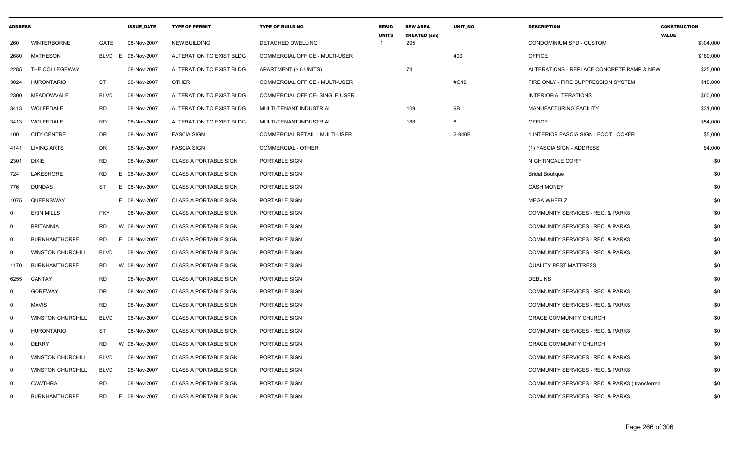| <b>ADDRESS</b>          |                          |             | <b>ISSUE DATE</b>  | <b>TYPE OF PERMIT</b>        | <b>TYPE OF BUILDING</b>               | <b>RESID</b><br><b>UNITS</b> | <b>NEW AREA</b><br><b>CREATED (sm)</b> | UNIT_NO | <b>DESCRIPTION</b>                             | <b>CONSTRUCTION</b><br><b>VALUE</b> |
|-------------------------|--------------------------|-------------|--------------------|------------------------------|---------------------------------------|------------------------------|----------------------------------------|---------|------------------------------------------------|-------------------------------------|
| 260                     | <b>WINTERBORNE</b>       | GATE        | 08-Nov-2007        | <b>NEW BUILDING</b>          | DETACHED DWELLING                     | -1                           | 295                                    |         | CONDOMINIUM SFD - CUSTOM                       | \$304,000                           |
| 2680                    | MATHESON                 |             | BLVD E 08-Nov-2007 | ALTERATION TO EXIST BLDG     | <b>COMMERCIAL OFFICE - MULTI-USER</b> |                              |                                        | 400     | <b>OFFICE</b>                                  | \$189,000                           |
| 2285                    | THE COLLEGEWAY           |             | 08-Nov-2007        | ALTERATION TO EXIST BLDG     | APARTMENT (> 6 UNITS)                 |                              | 74                                     |         | ALTERATIONS - REPLACE CONCRETE RAMP & NEW      | \$25,000                            |
| 3024                    | <b>HURONTARIO</b>        | <b>ST</b>   | 08-Nov-2007        | <b>OTHER</b>                 | <b>COMMERCIAL OFFICE - MULTI-USER</b> |                              |                                        | #G18    | FIRE ONLY - FIRE SUPPRESSION SYSTEM            | \$15,000                            |
| 2300                    | MEADOWVALE               | <b>BLVD</b> | 08-Nov-2007        | ALTERATION TO EXIST BLDG     | COMMERCIAL OFFICE- SINGLE USER        |                              |                                        |         | <b>INTERIOR ALTERATIONS</b>                    | \$60,000                            |
| 3413                    | WOLFEDALE                | <b>RD</b>   | 08-Nov-2007        | ALTERATION TO EXIST BLDG     | MULTI-TENANT INDUSTRIAL               |                              | 109                                    | 9B      | <b>MANUFACTURING FACILITY</b>                  | \$31,000                            |
| 3413                    | <b>WOLFEDALE</b>         | <b>RD</b>   | 08-Nov-2007        | ALTERATION TO EXIST BLDG     | MULTI-TENANT INDUSTRIAL               |                              | 188                                    | 8       | <b>OFFICE</b>                                  | \$54,000                            |
| 100                     | <b>CITY CENTRE</b>       | DR          | 08-Nov-2007        | <b>FASCIA SIGN</b>           | COMMERCIAL RETAIL - MULTI-USER        |                              |                                        | 2-940B  | 1 INTERIOR FASCIA SIGN - FOOT LOCKER           | \$5,000                             |
| 4141                    | <b>LIVING ARTS</b>       | DR          | 08-Nov-2007        | <b>FASCIA SIGN</b>           | <b>COMMERCIAL - OTHER</b>             |                              |                                        |         | (1) FASCIA SIGN - ADDRESS                      | \$4,000                             |
| 2301                    | DIXIE                    | <b>RD</b>   | 08-Nov-2007        | <b>CLASS A PORTABLE SIGN</b> | PORTABLE SIGN                         |                              |                                        |         | NIGHTINGALE CORP                               | \$0                                 |
| 724                     | LAKESHORE                | <b>RD</b>   | E.<br>08-Nov-2007  | <b>CLASS A PORTABLE SIGN</b> | PORTABLE SIGN                         |                              |                                        |         | <b>Bridal Boutique</b>                         | \$0                                 |
| 776                     | <b>DUNDAS</b>            | <b>ST</b>   | E<br>08-Nov-2007   | <b>CLASS A PORTABLE SIGN</b> | PORTABLE SIGN                         |                              |                                        |         | <b>CASH MONEY</b>                              | \$0                                 |
| 1075                    | QUEENSWAY                |             | E 08-Nov-2007      | <b>CLASS A PORTABLE SIGN</b> | PORTABLE SIGN                         |                              |                                        |         | <b>MEGA WHEELZ</b>                             | \$0                                 |
| $\mathbf 0$             | <b>ERIN MILLS</b>        | <b>PKY</b>  | 08-Nov-2007        | <b>CLASS A PORTABLE SIGN</b> | PORTABLE SIGN                         |                              |                                        |         | COMMUNITY SERVICES - REC. & PARKS              | \$0                                 |
| $\mathbf 0$             | <b>BRITANNIA</b>         | RD.         | W 08-Nov-2007      | <b>CLASS A PORTABLE SIGN</b> | PORTABLE SIGN                         |                              |                                        |         | COMMUNITY SERVICES - REC. & PARKS              | \$0                                 |
| $\overline{\mathbf{0}}$ | <b>BURNHAMTHORPE</b>     | RD.         | E 08-Nov-2007      | <b>CLASS A PORTABLE SIGN</b> | PORTABLE SIGN                         |                              |                                        |         | COMMUNITY SERVICES - REC. & PARKS              | \$0                                 |
| 0                       | <b>WINSTON CHURCHILL</b> | <b>BLVD</b> | 08-Nov-2007        | <b>CLASS A PORTABLE SIGN</b> | PORTABLE SIGN                         |                              |                                        |         | <b>COMMUNITY SERVICES - REC. &amp; PARKS</b>   | \$0                                 |
| 1170                    | <b>BURNHAMTHORPE</b>     | <b>RD</b>   | W<br>08-Nov-2007   | <b>CLASS A PORTABLE SIGN</b> | PORTABLE SIGN                         |                              |                                        |         | <b>QUALITY REST MATTRESS</b>                   | \$0                                 |
| 6255                    | CANTAY                   | <b>RD</b>   | 08-Nov-2007        | <b>CLASS A PORTABLE SIGN</b> | PORTABLE SIGN                         |                              |                                        |         | <b>DEBLINS</b>                                 | \$0                                 |
| $\Omega$                | <b>GOREWAY</b>           | <b>DR</b>   | 08-Nov-2007        | <b>CLASS A PORTABLE SIGN</b> | PORTABLE SIGN                         |                              |                                        |         | COMMUNITY SERVICES - REC. & PARKS              | \$0                                 |
| 0                       | <b>MAVIS</b>             | <b>RD</b>   | 08-Nov-2007        | <b>CLASS A PORTABLE SIGN</b> | PORTABLE SIGN                         |                              |                                        |         | COMMUNITY SERVICES - REC. & PARKS              | \$0                                 |
| 0                       | <b>WINSTON CHURCHILL</b> | <b>BLVD</b> | 08-Nov-2007        | <b>CLASS A PORTABLE SIGN</b> | PORTABLE SIGN                         |                              |                                        |         | <b>GRACE COMMUNITY CHURCH</b>                  | \$0                                 |
| $\overline{\mathbf{0}}$ | <b>HURONTARIO</b>        | <b>ST</b>   | 08-Nov-2007        | <b>CLASS A PORTABLE SIGN</b> | PORTABLE SIGN                         |                              |                                        |         | <b>COMMUNITY SERVICES - REC. &amp; PARKS</b>   | \$0                                 |
| $\mathbf 0$             | <b>DERRY</b>             | RD.         | W 08-Nov-2007      | <b>CLASS A PORTABLE SIGN</b> | PORTABLE SIGN                         |                              |                                        |         | <b>GRACE COMMUNITY CHURCH</b>                  | \$0                                 |
| $\overline{0}$          | <b>WINSTON CHURCHILL</b> | <b>BLVD</b> | 08-Nov-2007        | <b>CLASS A PORTABLE SIGN</b> | PORTABLE SIGN                         |                              |                                        |         | COMMUNITY SERVICES - REC. & PARKS              | \$0                                 |
| $\mathbf 0$             | <b>WINSTON CHURCHILL</b> | <b>BLVD</b> | 08-Nov-2007        | <b>CLASS A PORTABLE SIGN</b> | PORTABLE SIGN                         |                              |                                        |         | COMMUNITY SERVICES - REC. & PARKS              | \$0                                 |
| 0                       | CAWTHRA                  | <b>RD</b>   | 08-Nov-2007        | <b>CLASS A PORTABLE SIGN</b> | PORTABLE SIGN                         |                              |                                        |         | COMMUNITY SERVICES - REC. & PARKS (transferred | \$0                                 |
| $\Omega$                | <b>BURNHAMTHORPE</b>     | RD          | E.<br>08-Nov-2007  | <b>CLASS A PORTABLE SIGN</b> | PORTABLE SIGN                         |                              |                                        |         | <b>COMMUNITY SERVICES - REC. &amp; PARKS</b>   | \$0                                 |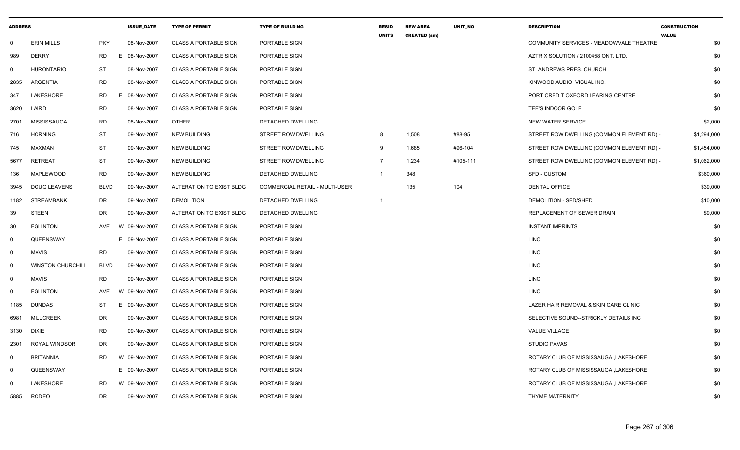| <b>ADDRESS</b> |                          |             | <b>ISSUE DATE</b> | <b>TYPE OF PERMIT</b>        | <b>TYPE OF BUILDING</b>               | <b>RESID</b><br><b>UNITS</b> | <b>NEW AREA</b><br><b>CREATED (sm)</b> | <b>UNIT NO</b> | <b>DESCRIPTION</b>                        | <b>CONSTRUCTION</b><br><b>VALUE</b> |
|----------------|--------------------------|-------------|-------------------|------------------------------|---------------------------------------|------------------------------|----------------------------------------|----------------|-------------------------------------------|-------------------------------------|
| $\Omega$       | <b>ERIN MILLS</b>        | <b>PKY</b>  | 08-Nov-2007       | <b>CLASS A PORTABLE SIGN</b> | PORTABLE SIGN                         |                              |                                        |                | COMMUNITY SERVICES - MEADOWVALE THEATRE   | \$0                                 |
| 989            | <b>DERRY</b>             | <b>RD</b>   | E 08-Nov-2007     | <b>CLASS A PORTABLE SIGN</b> | PORTABLE SIGN                         |                              |                                        |                | AZTRIX SOLUTION / 2100458 ONT. LTD.       | \$0                                 |
| 0              | <b>HURONTARIO</b>        | <b>ST</b>   | 08-Nov-2007       | <b>CLASS A PORTABLE SIGN</b> | PORTABLE SIGN                         |                              |                                        |                | ST. ANDREWS PRES. CHURCH                  | \$0                                 |
| 2835           | ARGENTIA                 | <b>RD</b>   | 08-Nov-2007       | <b>CLASS A PORTABLE SIGN</b> | PORTABLE SIGN                         |                              |                                        |                | KINWOOD AUDIO VISUAL INC.                 | \$0                                 |
| 347            | LAKESHORE                | <b>RD</b>   | E 08-Nov-2007     | <b>CLASS A PORTABLE SIGN</b> | PORTABLE SIGN                         |                              |                                        |                | PORT CREDIT OXFORD LEARING CENTRE         | \$0                                 |
| 3620           | LAIRD                    | <b>RD</b>   | 08-Nov-2007       | <b>CLASS A PORTABLE SIGN</b> | PORTABLE SIGN                         |                              |                                        |                | TEE'S INDOOR GOLF                         | \$0                                 |
| 2701           | MISSISSAUGA              | <b>RD</b>   | 08-Nov-2007       | <b>OTHER</b>                 | DETACHED DWELLING                     |                              |                                        |                | <b>NEW WATER SERVICE</b>                  | \$2,000                             |
| 716            | <b>HORNING</b>           | <b>ST</b>   | 09-Nov-2007       | <b>NEW BUILDING</b>          | <b>STREET ROW DWELLING</b>            | 8                            | 1,508                                  | #88-95         | STREET ROW DWELLING (COMMON ELEMENT RD) - | \$1,294,000                         |
| 745            | MAXMAN                   | <b>ST</b>   | 09-Nov-2007       | <b>NEW BUILDING</b>          | STREET ROW DWELLING                   | 9                            | 1,685                                  | #96-104        | STREET ROW DWELLING (COMMON ELEMENT RD) - | \$1,454,000                         |
| 5677           | <b>RETREAT</b>           | <b>ST</b>   | 09-Nov-2007       | <b>NEW BUILDING</b>          | STREET ROW DWELLING                   | $\overline{7}$               | 1,234                                  | #105-111       | STREET ROW DWELLING (COMMON ELEMENT RD) - | \$1,062,000                         |
| 136            | MAPLEWOOD                | <b>RD</b>   | 09-Nov-2007       | <b>NEW BUILDING</b>          | DETACHED DWELLING                     | $\mathbf{1}$                 | 348                                    |                | SFD - CUSTOM                              | \$360,000                           |
| 3945           | <b>DOUG LEAVENS</b>      | <b>BLVD</b> | 09-Nov-2007       | ALTERATION TO EXIST BLDG     | <b>COMMERCIAL RETAIL - MULTI-USER</b> |                              | 135                                    | 104            | <b>DENTAL OFFICE</b>                      | \$39,000                            |
| 1182           | <b>STREAMBANK</b>        | DR          | 09-Nov-2007       | <b>DEMOLITION</b>            | DETACHED DWELLING                     | $\mathbf{1}$                 |                                        |                | DEMOLITION - SFD/SHED                     | \$10,000                            |
| 39             | <b>STEEN</b>             | <b>DR</b>   | 09-Nov-2007       | ALTERATION TO EXIST BLDG     | DETACHED DWELLING                     |                              |                                        |                | REPLACEMENT OF SEWER DRAIN                | \$9,000                             |
| 30             | <b>EGLINTON</b>          | AVE         | W 09-Nov-2007     | <b>CLASS A PORTABLE SIGN</b> | PORTABLE SIGN                         |                              |                                        |                | <b>INSTANT IMPRINTS</b>                   | \$0                                 |
| $\mathbf{0}$   | QUEENSWAY                |             | E 09-Nov-2007     | <b>CLASS A PORTABLE SIGN</b> | PORTABLE SIGN                         |                              |                                        |                | <b>LINC</b>                               | \$0                                 |
| $\mathbf{0}$   | <b>MAVIS</b>             | <b>RD</b>   | 09-Nov-2007       | <b>CLASS A PORTABLE SIGN</b> | PORTABLE SIGN                         |                              |                                        |                | <b>LINC</b>                               | \$0                                 |
| $\mathbf{0}$   | <b>WINSTON CHURCHILL</b> | <b>BLVD</b> | 09-Nov-2007       | <b>CLASS A PORTABLE SIGN</b> | PORTABLE SIGN                         |                              |                                        |                | <b>LINC</b>                               | \$0                                 |
| $\mathbf 0$    | <b>MAVIS</b>             | <b>RD</b>   | 09-Nov-2007       | <b>CLASS A PORTABLE SIGN</b> | PORTABLE SIGN                         |                              |                                        |                | <b>LINC</b>                               | \$0                                 |
| 0              | <b>EGLINTON</b>          | <b>AVE</b>  | W 09-Nov-2007     | <b>CLASS A PORTABLE SIGN</b> | PORTABLE SIGN                         |                              |                                        |                | <b>LINC</b>                               | \$0                                 |
| 1185           | <b>DUNDAS</b>            | ST          | E.<br>09-Nov-2007 | <b>CLASS A PORTABLE SIGN</b> | PORTABLE SIGN                         |                              |                                        |                | LAZER HAIR REMOVAL & SKIN CARE CLINIC     | \$0                                 |
| 6981           | <b>MILLCREEK</b>         | <b>DR</b>   | 09-Nov-2007       | <b>CLASS A PORTABLE SIGN</b> | PORTABLE SIGN                         |                              |                                        |                | SELECTIVE SOUND--STRICKLY DETAILS INC     | \$0                                 |
| 3130           | <b>DIXIE</b>             | <b>RD</b>   | 09-Nov-2007       | <b>CLASS A PORTABLE SIGN</b> | PORTABLE SIGN                         |                              |                                        |                | <b>VALUE VILLAGE</b>                      | \$0                                 |
| 2301           | ROYAL WINDSOR            | <b>DR</b>   | 09-Nov-2007       | <b>CLASS A PORTABLE SIGN</b> | PORTABLE SIGN                         |                              |                                        |                | <b>STUDIO PAVAS</b>                       | \$0                                 |
| $\mathbf 0$    | <b>BRITANNIA</b>         | <b>RD</b>   | W 09-Nov-2007     | <b>CLASS A PORTABLE SIGN</b> | PORTABLE SIGN                         |                              |                                        |                | ROTARY CLUB OF MISSISSAUGA , LAKESHORE    | \$0                                 |
| $\mathbf 0$    | QUEENSWAY                |             | E 09-Nov-2007     | <b>CLASS A PORTABLE SIGN</b> | PORTABLE SIGN                         |                              |                                        |                | ROTARY CLUB OF MISSISSAUGA, LAKESHORE     | \$0                                 |
| $\Omega$       | LAKESHORE                | <b>RD</b>   | W 09-Nov-2007     | <b>CLASS A PORTABLE SIGN</b> | PORTABLE SIGN                         |                              |                                        |                | ROTARY CLUB OF MISSISSAUGA , LAKESHORE    | \$0                                 |
| 5885           | <b>RODEO</b>             | <b>DR</b>   | 09-Nov-2007       | <b>CLASS A PORTABLE SIGN</b> | PORTABLE SIGN                         |                              |                                        |                | THYME MATERNITY                           | \$0                                 |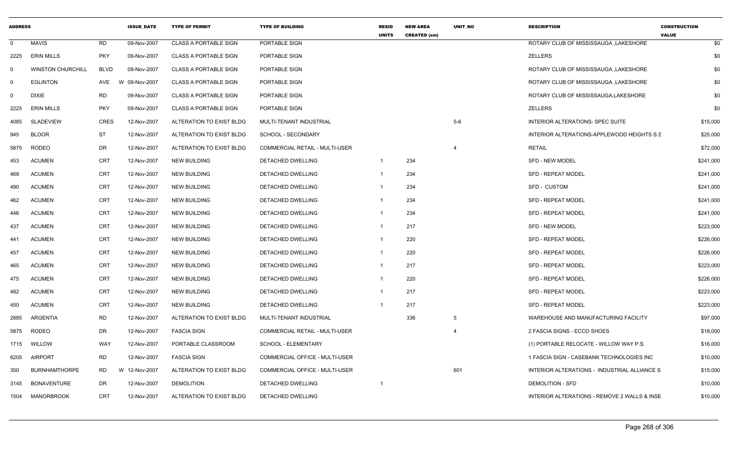| <b>ADDRESS</b> |                          |             | <b>ISSUE_DATE</b> | <b>TYPE OF PERMIT</b>        | <b>TYPE OF BUILDING</b>               | <b>RESID</b><br><b>UNITS</b> | <b>NEW AREA</b><br><b>CREATED (sm)</b> | <b>UNIT NO</b> | <b>DESCRIPTION</b>                           | <b>CONSTRUCTION</b><br><b>VALUE</b> |
|----------------|--------------------------|-------------|-------------------|------------------------------|---------------------------------------|------------------------------|----------------------------------------|----------------|----------------------------------------------|-------------------------------------|
| $\mathbf 0$    | MAVIS                    | <b>RD</b>   | 09-Nov-2007       | <b>CLASS A PORTABLE SIGN</b> | PORTABLE SIGN                         |                              |                                        |                | ROTARY CLUB OF MISSISSAUGA , LAKESHORE       | \$0                                 |
| 2225           | <b>ERIN MILLS</b>        | <b>PKY</b>  | 09-Nov-2007       | <b>CLASS A PORTABLE SIGN</b> | PORTABLE SIGN                         |                              |                                        |                | <b>ZELLERS</b>                               | \$0                                 |
| $\Omega$       | <b>WINSTON CHURCHILL</b> | <b>BLVD</b> | 09-Nov-2007       | <b>CLASS A PORTABLE SIGN</b> | PORTABLE SIGN                         |                              |                                        |                | ROTARY CLUB OF MISSISSAUGA .LAKESHORE        | \$0                                 |
| 0              | <b>EGLINTON</b>          | AVE         | W 09-Nov-2007     | <b>CLASS A PORTABLE SIGN</b> | PORTABLE SIGN                         |                              |                                        |                | ROTARY CLUB OF MISSISSAUGA , LAKESHORE       | \$0                                 |
| $\Omega$       | <b>DIXIE</b>             | <b>RD</b>   | 09-Nov-2007       | <b>CLASS A PORTABLE SIGN</b> | PORTABLE SIGN                         |                              |                                        |                | ROTARY CLUB OF MISSISSAUGA, LAKESHORE        | \$0                                 |
| 2225           | <b>ERIN MILLS</b>        | <b>PKY</b>  | 09-Nov-2007       | <b>CLASS A PORTABLE SIGN</b> | PORTABLE SIGN                         |                              |                                        |                | ZELLERS                                      | \$0                                 |
| 4085           | <b>SLADEVIEW</b>         | <b>CRES</b> | 12-Nov-2007       | ALTERATION TO EXIST BLDG     | MULTI-TENANT INDUSTRIAL               |                              |                                        | $5-6$          | INTERIOR ALTERATIONS- SPEC SUITE             | \$15,000                            |
| 945            | <b>BLOOR</b>             | ST          | 12-Nov-2007       | ALTERATION TO EXIST BLDG     | SCHOOL - SECONDARY                    |                              |                                        |                | INTERIOR ALTERATIONS-APPLEWOOD HEIGHTS S.S.  | \$25,000                            |
| 5875           | <b>RODEO</b>             | DR          | 12-Nov-2007       | ALTERATION TO EXIST BLDG     | <b>COMMERCIAL RETAIL - MULTI-USER</b> |                              |                                        | $\overline{4}$ | <b>RETAIL</b>                                | \$72,000                            |
| 453            | <b>ACUMEN</b>            | <b>CRT</b>  | 12-Nov-2007       | <b>NEW BUILDING</b>          | DETACHED DWELLING                     | $\mathbf{1}$                 | 234                                    |                | <b>SFD - NEW MODEL</b>                       | \$241,000                           |
| 469            | <b>ACUMEN</b>            | <b>CRT</b>  | 12-Nov-2007       | <b>NEW BUILDING</b>          | DETACHED DWELLING                     | -1                           | 234                                    |                | <b>SFD - REPEAT MODEL</b>                    | \$241,000                           |
| 490            | <b>ACUMEN</b>            | <b>CRT</b>  | 12-Nov-2007       | <b>NEW BUILDING</b>          | <b>DETACHED DWELLING</b>              |                              | 234                                    |                | <b>SFD - CUSTOM</b>                          | \$241,000                           |
| 462            | <b>ACUMEN</b>            | <b>CRT</b>  | 12-Nov-2007       | <b>NEW BUILDING</b>          | DETACHED DWELLING                     |                              | 234                                    |                | <b>SFD - REPEAT MODEL</b>                    | \$241,000                           |
| 446            | <b>ACUMEN</b>            | <b>CRT</b>  | 12-Nov-2007       | <b>NEW BUILDING</b>          | DETACHED DWELLING                     |                              | 234                                    |                | SFD - REPEAT MODEL                           | \$241,000                           |
| 437            | <b>ACUMEN</b>            | <b>CRT</b>  | 12-Nov-2007       | <b>NEW BUILDING</b>          | DETACHED DWELLING                     | $\mathbf 1$                  | 217                                    |                | <b>SFD - NEW MODEL</b>                       | \$223,000                           |
| 441            | <b>ACUMEN</b>            | <b>CRT</b>  | 12-Nov-2007       | NEW BUILDING                 | DETACHED DWELLING                     |                              | 220                                    |                | <b>SFD - REPEAT MODEL</b>                    | \$226,000                           |
| 457            | <b>ACUMEN</b>            | <b>CRT</b>  | 12-Nov-2007       | <b>NEW BUILDING</b>          | <b>DETACHED DWELLING</b>              |                              | 220                                    |                | <b>SFD - REPEAT MODEL</b>                    | \$226,000                           |
| 465            | <b>ACUMEN</b>            | <b>CRT</b>  | 12-Nov-2007       | <b>NEW BUILDING</b>          | DETACHED DWELLING                     | 1                            | 217                                    |                | <b>SFD - REPEAT MODEL</b>                    | \$223,000                           |
| 475            | <b>ACUMEN</b>            | <b>CRT</b>  | 12-Nov-2007       | <b>NEW BUILDING</b>          | DETACHED DWELLING                     | $\mathbf 1$                  | 220                                    |                | <b>SFD - REPEAT MODEL</b>                    | \$226,000                           |
| 482            | <b>ACUMEN</b>            | <b>CRT</b>  | 12-Nov-2007       | <b>NEW BUILDING</b>          | DETACHED DWELLING                     | -1                           | 217                                    |                | <b>SFD - REPEAT MODEL</b>                    | \$223,000                           |
| 450            | <b>ACUMEN</b>            | <b>CRT</b>  | 12-Nov-2007       | <b>NEW BUILDING</b>          | DETACHED DWELLING                     |                              | 217                                    |                | <b>SFD - REPEAT MODEL</b>                    | \$223,000                           |
| 2885           | ARGENTIA                 | <b>RD</b>   | 12-Nov-2007       | ALTERATION TO EXIST BLDG     | MULTI-TENANT INDUSTRIAL               |                              | 336                                    | 5              | WAREHOUSE AND MANUFACTURING FACILITY         | \$97,000                            |
| 5875           | <b>RODEO</b>             | DR          | 12-Nov-2007       | <b>FASCIA SIGN</b>           | COMMERCIAL RETAIL - MULTI-USER        |                              |                                        | $\overline{4}$ | 2 FASCIA SIGNS - ECCO SHOES                  | \$18,000                            |
| 1715           | WILLOW                   | WAY         | 12-Nov-2007       | PORTABLE CLASSROOM           | SCHOOL - ELEMENTARY                   |                              |                                        |                | (1) PORTABLE RELOCATE - WILLOW WAY P.S.      | \$16,000                            |
| 6205           | <b>AIRPORT</b>           | <b>RD</b>   | 12-Nov-2007       | <b>FASCIA SIGN</b>           | COMMERCIAL OFFICE - MULTI-USER        |                              |                                        |                | 1 FASCIA SIGN - CASEBANK TECHNOLOGIES INC    | \$10,000                            |
| 350            | <b>BURNHAMTHORPE</b>     | RD          | W 12-Nov-2007     | ALTERATION TO EXIST BLDG     | <b>COMMERCIAL OFFICE - MULTI-USER</b> |                              |                                        | 601            | INTERIOR ALTERATIONS - INDUSTRIAL ALLIANCE S | \$15,000                            |
| 3145           | <b>BONAVENTURE</b>       | DR.         | 12-Nov-2007       | <b>DEMOLITION</b>            | DETACHED DWELLING                     |                              |                                        |                | <b>DEMOLITION - SFD</b>                      | \$10,000                            |
| 1504           | <b>MANORBROOK</b>        | <b>CRT</b>  | 12-Nov-2007       | ALTERATION TO EXIST BLDG     | DETACHED DWELLING                     |                              |                                        |                | INTERIOR ALTERATIONS - REMOVE 2 WALLS & INSE | \$10,000                            |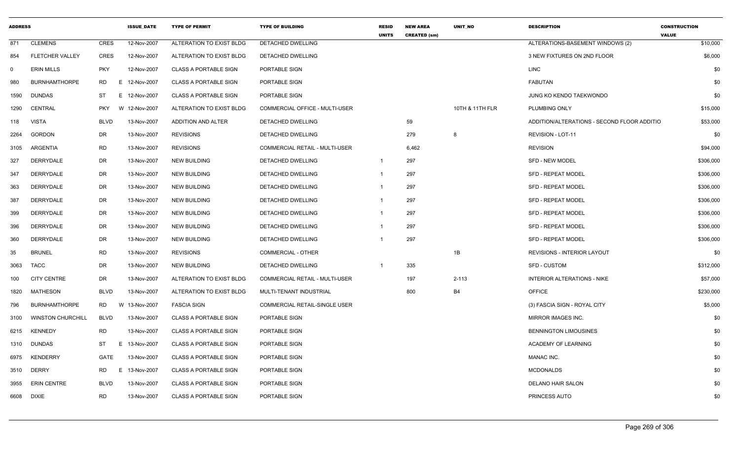| <b>ADDRESS</b> |                          |             | <b>ISSUE DATE</b> | <b>TYPE OF PERMIT</b>        | <b>TYPE OF BUILDING</b>        | <b>RESID</b><br><b>UNITS</b> | <b>NEW AREA</b><br><b>CREATED (sm)</b> | <b>UNIT NO</b>  | <b>DESCRIPTION</b>                          | <b>CONSTRUCTION</b><br><b>VALUE</b> |
|----------------|--------------------------|-------------|-------------------|------------------------------|--------------------------------|------------------------------|----------------------------------------|-----------------|---------------------------------------------|-------------------------------------|
| 871            | <b>CLEMENS</b>           | CRES        | 12-Nov-2007       | ALTERATION TO EXIST BLDG     | <b>DETACHED DWELLING</b>       |                              |                                        |                 | ALTERATIONS-BASEMENT WINDOWS (2)            | \$10,000                            |
| 854            | <b>FLETCHER VALLEY</b>   | <b>CRES</b> | 12-Nov-2007       | ALTERATION TO EXIST BLDG     | DETACHED DWELLING              |                              |                                        |                 | 3 NEW FIXTURES ON 2ND FLOOR                 | \$6,000                             |
| $\mathbf 0$    | <b>ERIN MILLS</b>        | <b>PKY</b>  | 12-Nov-2007       | <b>CLASS A PORTABLE SIGN</b> | PORTABLE SIGN                  |                              |                                        |                 | LINC                                        | \$0                                 |
| 980            | <b>BURNHAMTHORPE</b>     | RD.         | E 12-Nov-2007     | <b>CLASS A PORTABLE SIGN</b> | PORTABLE SIGN                  |                              |                                        |                 | <b>FABUTAN</b>                              | \$0                                 |
| 1590           | DUNDAS                   | ST          | E 12-Nov-2007     | <b>CLASS A PORTABLE SIGN</b> | PORTABLE SIGN                  |                              |                                        |                 | JUNG KO KENDO TAEKWONDO                     | \$0                                 |
| 1290           | <b>CENTRAL</b>           | <b>PKY</b>  | W 12-Nov-2007     | ALTERATION TO EXIST BLDG     | COMMERCIAL OFFICE - MULTI-USER |                              |                                        | 10TH & 11TH FLR | PLUMBING ONLY                               | \$15,000                            |
| 118            | <b>VISTA</b>             | <b>BLVD</b> | 13-Nov-2007       | ADDITION AND ALTER           | DETACHED DWELLING              |                              | 59                                     |                 | ADDITION/ALTERATIONS - SECOND FLOOR ADDITIO | \$53,000                            |
| 2264           | <b>GORDON</b>            | DR          | 13-Nov-2007       | <b>REVISIONS</b>             | DETACHED DWELLING              |                              | 279                                    | 8               | REVISION - LOT-11                           | \$0                                 |
| 3105           | ARGENTIA                 | <b>RD</b>   | 13-Nov-2007       | <b>REVISIONS</b>             | COMMERCIAL RETAIL - MULTI-USER |                              | 6,462                                  |                 | <b>REVISION</b>                             | \$94,000                            |
| 327            | DERRYDALE                | DR          | 13-Nov-2007       | <b>NEW BUILDING</b>          | DETACHED DWELLING              | 1                            | 297                                    |                 | <b>SFD - NEW MODEL</b>                      | \$306,000                           |
| 347            | DERRYDALE                | DR          | 13-Nov-2007       | <b>NEW BUILDING</b>          | DETACHED DWELLING              | 1                            | 297                                    |                 | <b>SFD - REPEAT MODEL</b>                   | \$306,000                           |
| 363            | <b>DERRYDALE</b>         | DR          | 13-Nov-2007       | <b>NEW BUILDING</b>          | <b>DETACHED DWELLING</b>       |                              | 297                                    |                 | <b>SFD - REPEAT MODEL</b>                   | \$306,000                           |
| 387            | DERRYDALE                | DR          | 13-Nov-2007       | <b>NEW BUILDING</b>          | DETACHED DWELLING              |                              | 297                                    |                 | <b>SFD - REPEAT MODEL</b>                   | \$306,000                           |
| 399            | DERRYDALE                | DR          | 13-Nov-2007       | <b>NEW BUILDING</b>          | DETACHED DWELLING              | 1                            | 297                                    |                 | <b>SFD - REPEAT MODEL</b>                   | \$306,000                           |
| 396            | DERRYDALE                | DR          | 13-Nov-2007       | <b>NEW BUILDING</b>          | DETACHED DWELLING              | $\mathbf 1$                  | 297                                    |                 | <b>SFD - REPEAT MODEL</b>                   | \$306,000                           |
| 360            | DERRYDALE                | DR          | 13-Nov-2007       | <b>NEW BUILDING</b>          | DETACHED DWELLING              |                              | 297                                    |                 | <b>SFD - REPEAT MODEL</b>                   | \$306,000                           |
| 35             | <b>BRUNEL</b>            | <b>RD</b>   | 13-Nov-2007       | <b>REVISIONS</b>             | <b>COMMERCIAL - OTHER</b>      |                              |                                        | 1B              | <b>REVISIONS - INTERIOR LAYOUT</b>          | \$0                                 |
| 3063           | <b>TACC</b>              | DR          | 13-Nov-2007       | <b>NEW BUILDING</b>          | DETACHED DWELLING              | 1                            | 335                                    |                 | <b>SFD - CUSTOM</b>                         | \$312,000                           |
| 100            | <b>CITY CENTRE</b>       | DR          | 13-Nov-2007       | ALTERATION TO EXIST BLDG     | COMMERCIAL RETAIL - MULTI-USER |                              | 197                                    | $2 - 113$       | INTERIOR ALTERATIONS - NIKE                 | \$57,000                            |
| 1820           | <b>MATHESON</b>          | <b>BLVD</b> | 13-Nov-2007       | ALTERATION TO EXIST BLDG     | MULTI-TENANT INDUSTRIAL        |                              | 800                                    | <b>B4</b>       | <b>OFFICE</b>                               | \$230,000                           |
| 796            | <b>BURNHAMTHORPE</b>     | RD.         | W<br>13-Nov-2007  | <b>FASCIA SIGN</b>           | COMMERCIAL RETAIL-SINGLE USER  |                              |                                        |                 | (3) FASCIA SIGN - ROYAL CITY                | \$5,000                             |
| 3100           | <b>WINSTON CHURCHILL</b> | <b>BLVD</b> | 13-Nov-2007       | <b>CLASS A PORTABLE SIGN</b> | PORTABLE SIGN                  |                              |                                        |                 | MIRROR IMAGES INC.                          | \$0                                 |
| 6215           | <b>KENNEDY</b>           | <b>RD</b>   | 13-Nov-2007       | <b>CLASS A PORTABLE SIGN</b> | PORTABLE SIGN                  |                              |                                        |                 | <b>BENNINGTON LIMOUSINES</b>                | \$0                                 |
| 1310           | DUNDAS                   | ST          | E<br>13-Nov-2007  | <b>CLASS A PORTABLE SIGN</b> | PORTABLE SIGN                  |                              |                                        |                 | ACADEMY OF LEARNING                         | \$0                                 |
| 6975           | <b>KENDERRY</b>          | GATE        | 13-Nov-2007       | <b>CLASS A PORTABLE SIGN</b> | PORTABLE SIGN                  |                              |                                        |                 | MANAC INC.                                  | \$0                                 |
| 3510           | <b>DERRY</b>             | RD.         | E<br>13-Nov-2007  | <b>CLASS A PORTABLE SIGN</b> | <b>PORTABLE SIGN</b>           |                              |                                        |                 | <b>MCDONALDS</b>                            | \$0                                 |
| 3955           | <b>ERIN CENTRE</b>       | <b>BLVD</b> | 13-Nov-2007       | <b>CLASS A PORTABLE SIGN</b> | PORTABLE SIGN                  |                              |                                        |                 | DELANO HAIR SALON                           | \$0                                 |
| 6608           | <b>DIXIE</b>             | <b>RD</b>   | 13-Nov-2007       | <b>CLASS A PORTABLE SIGN</b> | PORTABLE SIGN                  |                              |                                        |                 | PRINCESS AUTO                               | \$0                                 |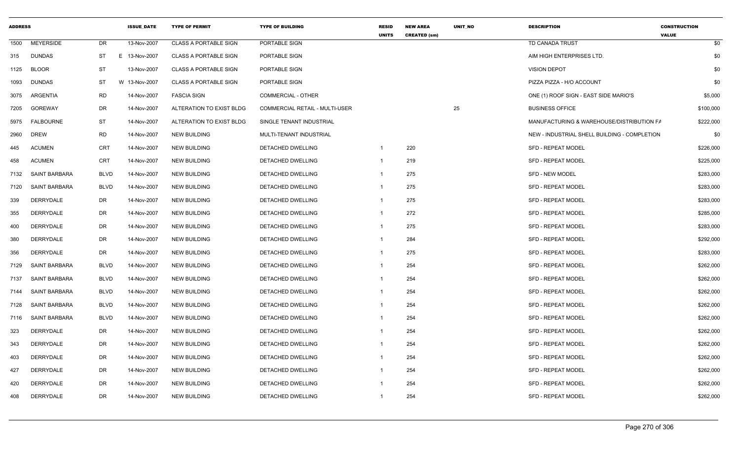| <b>ADDRESS</b> |                      |             | <b>ISSUE DATE</b> | <b>TYPE OF PERMIT</b>        | <b>TYPE OF BUILDING</b>        | <b>RESID</b><br><b>UNITS</b> | <b>NEW AREA</b><br><b>CREATED (sm)</b> | UNIT_NO | <b>DESCRIPTION</b>                           | <b>CONSTRUCTION</b><br><b>VALUE</b> |
|----------------|----------------------|-------------|-------------------|------------------------------|--------------------------------|------------------------------|----------------------------------------|---------|----------------------------------------------|-------------------------------------|
| 1500           | <b>MEYERSIDE</b>     | DR          | 13-Nov-2007       | <b>CLASS A PORTABLE SIGN</b> | PORTABLE SIGN                  |                              |                                        |         | TD CANADA TRUST                              | \$0                                 |
| 315            | <b>DUNDAS</b>        | ST          | E 13-Nov-2007     | <b>CLASS A PORTABLE SIGN</b> | PORTABLE SIGN                  |                              |                                        |         | AIM HIGH ENTERPRISES LTD.                    | \$0                                 |
| 1125           | <b>BLOOR</b>         | ST          | 13-Nov-2007       | <b>CLASS A PORTABLE SIGN</b> | PORTABLE SIGN                  |                              |                                        |         | <b>VISION DEPOT</b>                          | \$0                                 |
| 1093           | <b>DUNDAS</b>        | <b>ST</b>   | W 13-Nov-2007     | <b>CLASS A PORTABLE SIGN</b> | PORTABLE SIGN                  |                              |                                        |         | PIZZA PIZZA - H/O ACCOUNT                    | \$0                                 |
| 3075           | ARGENTIA             | <b>RD</b>   | 14-Nov-2007       | <b>FASCIA SIGN</b>           | <b>COMMERCIAL - OTHER</b>      |                              |                                        |         | ONE (1) ROOF SIGN - EAST SIDE MARIO'S        | \$5,000                             |
| 7205           | GOREWAY              | DR          | 14-Nov-2007       | ALTERATION TO EXIST BLDG     | COMMERCIAL RETAIL - MULTI-USER |                              |                                        | 25      | <b>BUSINESS OFFICE</b>                       | \$100,000                           |
| 5975           | FALBOURNE            | <b>ST</b>   | 14-Nov-2007       | ALTERATION TO EXIST BLDG     | SINGLE TENANT INDUSTRIAL       |                              |                                        |         | MANUFACTURING & WAREHOUSE/DISTRIBUTION FA    | \$222,000                           |
| 2960           | <b>DREW</b>          | <b>RD</b>   | 14-Nov-2007       | <b>NEW BUILDING</b>          | MULTI-TENANT INDUSTRIAL        |                              |                                        |         | NEW - INDUSTRIAL SHELL BUILDING - COMPLETION | \$0                                 |
| 445            | <b>ACUMEN</b>        | <b>CRT</b>  | 14-Nov-2007       | <b>NEW BUILDING</b>          | DETACHED DWELLING              | $\overline{1}$               | 220                                    |         | <b>SFD - REPEAT MODEL</b>                    | \$226,000                           |
| 458            | <b>ACUMEN</b>        | CRT         | 14-Nov-2007       | <b>NEW BUILDING</b>          | DETACHED DWELLING              | $\mathbf{1}$                 | 219                                    |         | <b>SFD - REPEAT MODEL</b>                    | \$225,000                           |
| 7132           | SAINT BARBARA        | <b>BLVD</b> | 14-Nov-2007       | <b>NEW BUILDING</b>          | DETACHED DWELLING              | $\mathbf{1}$                 | 275                                    |         | <b>SFD - NEW MODEL</b>                       | \$283,000                           |
| 7120           | <b>SAINT BARBARA</b> | <b>BLVD</b> | 14-Nov-2007       | <b>NEW BUILDING</b>          | DETACHED DWELLING              | -1                           | 275                                    |         | <b>SFD - REPEAT MODEL</b>                    | \$283,000                           |
| 339            | DERRYDALE            | DR          | 14-Nov-2007       | <b>NEW BUILDING</b>          | DETACHED DWELLING              | $\mathbf{1}$                 | 275                                    |         | <b>SFD - REPEAT MODEL</b>                    | \$283,000                           |
| 355            | DERRYDALE            | DR          | 14-Nov-2007       | <b>NEW BUILDING</b>          | <b>DETACHED DWELLING</b>       | $\mathbf{1}$                 | 272                                    |         | <b>SFD - REPEAT MODEL</b>                    | \$285,000                           |
| 400            | DERRYDALE            | DR          | 14-Nov-2007       | <b>NEW BUILDING</b>          | DETACHED DWELLING              | $\mathbf{1}$                 | 275                                    |         | SFD - REPEAT MODEL                           | \$283,000                           |
| 380            | <b>DERRYDALE</b>     | DR          | 14-Nov-2007       | <b>NEW BUILDING</b>          | DETACHED DWELLING              | -1                           | 284                                    |         | SFD - REPEAT MODEL                           | \$292,000                           |
| 356            | DERRYDALE            | DR          | 14-Nov-2007       | <b>NEW BUILDING</b>          | <b>DETACHED DWELLING</b>       | $\mathbf{1}$                 | 275                                    |         | <b>SFD - REPEAT MODEL</b>                    | \$283,000                           |
| 7129           | SAINT BARBARA        | <b>BLVD</b> | 14-Nov-2007       | <b>NEW BUILDING</b>          | DETACHED DWELLING              | -1                           | 254                                    |         | <b>SFD - REPEAT MODEL</b>                    | \$262,000                           |
| 7137           | <b>SAINT BARBARA</b> | <b>BLVD</b> | 14-Nov-2007       | <b>NEW BUILDING</b>          | DETACHED DWELLING              | $\mathbf 1$                  | 254                                    |         | <b>SFD - REPEAT MODEL</b>                    | \$262,000                           |
| 7144           | SAINT BARBARA        | <b>BLVD</b> | 14-Nov-2007       | <b>NEW BUILDING</b>          | DETACHED DWELLING              | -1                           | 254                                    |         | <b>SFD - REPEAT MODEL</b>                    | \$262,000                           |
| 7128           | <b>SAINT BARBARA</b> | <b>BLVD</b> | 14-Nov-2007       | NEW BUILDING                 | DETACHED DWELLING              | -1                           | 254                                    |         | <b>SFD - REPEAT MODEL</b>                    | \$262,000                           |
| 7116           | SAINT BARBARA        | <b>BLVD</b> | 14-Nov-2007       | <b>NEW BUILDING</b>          | DETACHED DWELLING              | $\mathbf 1$                  | 254                                    |         | <b>SFD - REPEAT MODEL</b>                    | \$262,000                           |
| 323            | <b>DERRYDALE</b>     | DR          | 14-Nov-2007       | <b>NEW BUILDING</b>          | DETACHED DWELLING              | -1                           | 254                                    |         | <b>SFD - REPEAT MODEL</b>                    | \$262,000                           |
| 343            | DERRYDALE            | DR          | 14-Nov-2007       | <b>NEW BUILDING</b>          | <b>DETACHED DWELLING</b>       | -1                           | 254                                    |         | <b>SFD - REPEAT MODEL</b>                    | \$262,000                           |
| 403            | DERRYDALE            | DR          | 14-Nov-2007       | <b>NEW BUILDING</b>          | <b>DETACHED DWELLING</b>       | -1                           | 254                                    |         | <b>SFD - REPEAT MODEL</b>                    | \$262,000                           |
| 427            | DERRYDALE            | DR          | 14-Nov-2007       | <b>NEW BUILDING</b>          | <b>DETACHED DWELLING</b>       | -1                           | 254                                    |         | <b>SFD - REPEAT MODEL</b>                    | \$262,000                           |
| 420            | DERRYDALE            | DR          | 14-Nov-2007       | <b>NEW BUILDING</b>          | DETACHED DWELLING              | -1                           | 254                                    |         | <b>SFD - REPEAT MODEL</b>                    | \$262,000                           |
| 408            | DERRYDALE            | <b>DR</b>   | 14-Nov-2007       | <b>NEW BUILDING</b>          | <b>DETACHED DWELLING</b>       | $\mathbf 1$                  | 254                                    |         | <b>SFD - REPEAT MODEL</b>                    | \$262,000                           |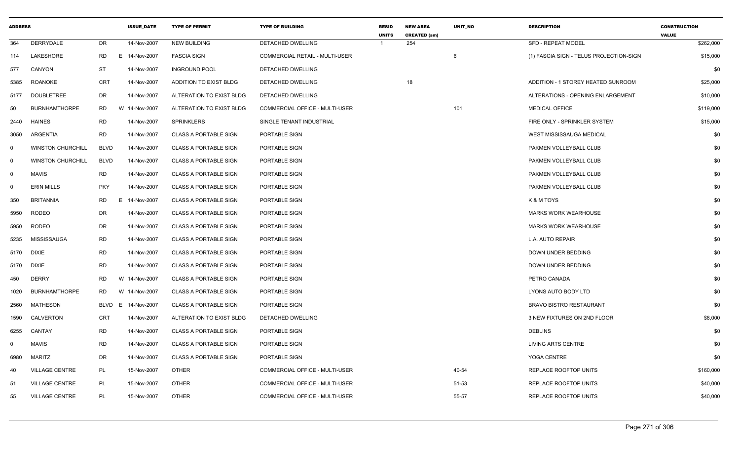| <b>ADDRESS</b> |                          |             | <b>ISSUE DATE</b> | <b>TYPE OF PERMIT</b>        | <b>TYPE OF BUILDING</b>               | <b>RESID</b><br><b>UNITS</b> | <b>NEW AREA</b><br><b>CREATED (sm)</b> | <b>UNIT NO</b> | <b>DESCRIPTION</b>                      | <b>CONSTRUCTION</b><br><b>VALUE</b> |
|----------------|--------------------------|-------------|-------------------|------------------------------|---------------------------------------|------------------------------|----------------------------------------|----------------|-----------------------------------------|-------------------------------------|
| 364            | DERRYDALE                | DR          | 14-Nov-2007       | <b>NEW BUILDING</b>          | DETACHED DWELLING                     |                              | 254                                    |                | <b>SFD - REPEAT MODEL</b>               | \$262,000                           |
| 114            | LAKESHORE                | RD.         | E 14-Nov-2007     | <b>FASCIA SIGN</b>           | COMMERCIAL RETAIL - MULTI-USER        |                              |                                        | 6              | (1) FASCIA SIGN - TELUS PROJECTION-SIGN | \$15,000                            |
| 577            | CANYON                   | ST          | 14-Nov-2007       | <b>INGROUND POOL</b>         | DETACHED DWELLING                     |                              |                                        |                |                                         | \$0                                 |
| 5385           | ROANOKE                  | <b>CRT</b>  | 14-Nov-2007       | ADDITION TO EXIST BLDG       | DETACHED DWELLING                     |                              | 18                                     |                | ADDITION - 1 STOREY HEATED SUNROOM      | \$25,000                            |
| 5177           | <b>DOUBLETREE</b>        | DR          | 14-Nov-2007       | ALTERATION TO EXIST BLDG     | DETACHED DWELLING                     |                              |                                        |                | ALTERATIONS - OPENING ENLARGEMENT       | \$10,000                            |
| 50             | <b>BURNHAMTHORPE</b>     | <b>RD</b>   | W 14-Nov-2007     | ALTERATION TO EXIST BLDG     | COMMERCIAL OFFICE - MULTI-USER        |                              |                                        | 101            | <b>MEDICAL OFFICE</b>                   | \$119,000                           |
| 2440           | HAINES                   | <b>RD</b>   | 14-Nov-2007       | <b>SPRINKLERS</b>            | SINGLE TENANT INDUSTRIAL              |                              |                                        |                | FIRE ONLY - SPRINKLER SYSTEM            | \$15,000                            |
| 3050           | ARGENTIA                 | <b>RD</b>   | 14-Nov-2007       | <b>CLASS A PORTABLE SIGN</b> | PORTABLE SIGN                         |                              |                                        |                | WEST MISSISSAUGA MEDICAL                | \$0                                 |
| $\mathbf 0$    | <b>WINSTON CHURCHILL</b> | <b>BLVD</b> | 14-Nov-2007       | <b>CLASS A PORTABLE SIGN</b> | PORTABLE SIGN                         |                              |                                        |                | PAKMEN VOLLEYBALL CLUB                  | \$0                                 |
| $\mathbf 0$    | <b>WINSTON CHURCHILL</b> | <b>BLVD</b> | 14-Nov-2007       | <b>CLASS A PORTABLE SIGN</b> | PORTABLE SIGN                         |                              |                                        |                | PAKMEN VOLLEYBALL CLUB                  | \$0                                 |
| $\mathbf 0$    | <b>MAVIS</b>             | <b>RD</b>   | 14-Nov-2007       | <b>CLASS A PORTABLE SIGN</b> | <b>PORTABLE SIGN</b>                  |                              |                                        |                | PAKMEN VOLLEYBALL CLUB                  | \$0                                 |
| $\mathbf 0$    | <b>ERIN MILLS</b>        | <b>PKY</b>  | 14-Nov-2007       | <b>CLASS A PORTABLE SIGN</b> | PORTABLE SIGN                         |                              |                                        |                | PAKMEN VOLLEYBALL CLUB                  | \$0                                 |
| 350            | <b>BRITANNIA</b>         | <b>RD</b>   | E<br>14-Nov-2007  | <b>CLASS A PORTABLE SIGN</b> | PORTABLE SIGN                         |                              |                                        |                | K & M TOYS                              | \$0                                 |
| 5950           | <b>RODEO</b>             | DR          | 14-Nov-2007       | <b>CLASS A PORTABLE SIGN</b> | PORTABLE SIGN                         |                              |                                        |                | <b>MARKS WORK WEARHOUSE</b>             | \$0                                 |
| 5950           | <b>RODEO</b>             | DR          | 14-Nov-2007       | <b>CLASS A PORTABLE SIGN</b> | PORTABLE SIGN                         |                              |                                        |                | <b>MARKS WORK WEARHOUSE</b>             | \$0                                 |
| 5235           | <b>MISSISSAUGA</b>       | <b>RD</b>   | 14-Nov-2007       | <b>CLASS A PORTABLE SIGN</b> | PORTABLE SIGN                         |                              |                                        |                | L.A. AUTO REPAIR                        | \$0                                 |
| 5170           | <b>DIXIE</b>             | <b>RD</b>   | 14-Nov-2007       | <b>CLASS A PORTABLE SIGN</b> | PORTABLE SIGN                         |                              |                                        |                | DOWN UNDER BEDDING                      | \$0                                 |
| 5170           | DIXIE                    | <b>RD</b>   | 14-Nov-2007       | <b>CLASS A PORTABLE SIGN</b> | PORTABLE SIGN                         |                              |                                        |                | DOWN UNDER BEDDING                      | \$0                                 |
| 450            | <b>DERRY</b>             | RD          | W 14-Nov-2007     | <b>CLASS A PORTABLE SIGN</b> | PORTABLE SIGN                         |                              |                                        |                | PETRO CANADA                            | \$0                                 |
| 1020           | <b>BURNHAMTHORPE</b>     | RD          | W 14-Nov-2007     | <b>CLASS A PORTABLE SIGN</b> | PORTABLE SIGN                         |                              |                                        |                | LYONS AUTO BODY LTD                     | \$0                                 |
| 2560           | MATHESON                 | <b>BLVD</b> | E<br>14-Nov-2007  | <b>CLASS A PORTABLE SIGN</b> | PORTABLE SIGN                         |                              |                                        |                | <b>BRAVO BISTRO RESTAURANT</b>          | \$0                                 |
| 1590           | CALVERTON                | <b>CRT</b>  | 14-Nov-2007       | ALTERATION TO EXIST BLDG     | DETACHED DWELLING                     |                              |                                        |                | 3 NEW FIXTURES ON 2ND FLOOR             | \$8,000                             |
| 6255           | CANTAY                   | <b>RD</b>   | 14-Nov-2007       | <b>CLASS A PORTABLE SIGN</b> | <b>PORTABLE SIGN</b>                  |                              |                                        |                | <b>DEBLINS</b>                          | \$0                                 |
| $\mathbf 0$    | <b>MAVIS</b>             | <b>RD</b>   | 14-Nov-2007       | <b>CLASS A PORTABLE SIGN</b> | PORTABLE SIGN                         |                              |                                        |                | <b>LIVING ARTS CENTRE</b>               | \$0                                 |
| 6980           | <b>MARITZ</b>            | DR          | 14-Nov-2007       | <b>CLASS A PORTABLE SIGN</b> | PORTABLE SIGN                         |                              |                                        |                | YOGA CENTRE                             | \$0                                 |
| 40             | <b>VILLAGE CENTRE</b>    | PL          | 15-Nov-2007       | <b>OTHER</b>                 | COMMERCIAL OFFICE - MULTI-USER        |                              |                                        | 40-54          | REPLACE ROOFTOP UNITS                   | \$160,000                           |
| 51             | <b>VILLAGE CENTRE</b>    | PL          | 15-Nov-2007       | <b>OTHER</b>                 | COMMERCIAL OFFICE - MULTI-USER        |                              |                                        | 51-53          | REPLACE ROOFTOP UNITS                   | \$40,000                            |
| 55             | <b>VILLAGE CENTRE</b>    | PL          | 15-Nov-2007       | <b>OTHER</b>                 | <b>COMMERCIAL OFFICE - MULTI-USER</b> |                              |                                        | 55-57          | <b>REPLACE ROOFTOP UNITS</b>            | \$40,000                            |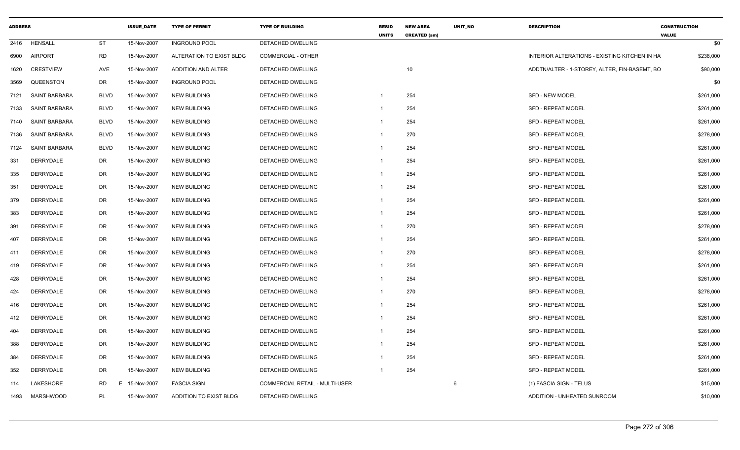| <b>ADDRESS</b> |                      |                | <b>ISSUE_DATE</b> | <b>TYPE OF PERMIT</b>         | <b>TYPE OF BUILDING</b>        | <b>RESID</b><br><b>UNITS</b> | <b>NEW AREA</b><br><b>CREATED (sm)</b> | UNIT_NO | <b>DESCRIPTION</b>                            | <b>CONSTRUCTION</b><br><b>VALUE</b> |
|----------------|----------------------|----------------|-------------------|-------------------------------|--------------------------------|------------------------------|----------------------------------------|---------|-----------------------------------------------|-------------------------------------|
| 2416           | HENSALL              | <b>ST</b>      | 15-Nov-2007       | <b>INGROUND POOL</b>          | DETACHED DWELLING              |                              |                                        |         |                                               | \$0                                 |
| 6900           | <b>AIRPORT</b>       | <b>RD</b>      | 15-Nov-2007       | ALTERATION TO EXIST BLDG      | <b>COMMERCIAL - OTHER</b>      |                              |                                        |         | INTERIOR ALTERATIONS - EXISTING KITCHEN IN HA | \$238,000                           |
| 1620           | <b>CRESTVIEW</b>     | <b>AVE</b>     | 15-Nov-2007       | ADDITION AND ALTER            | DETACHED DWELLING              |                              | 10                                     |         | ADDTN/ALTER - 1-STOREY, ALTER, FIN-BASEMT, BO | \$90,000                            |
| 3569           | QUEENSTON            | <b>DR</b>      | 15-Nov-2007       | <b>INGROUND POOL</b>          | DETACHED DWELLING              |                              |                                        |         |                                               | \$0                                 |
| 7121           | SAINT BARBARA        | <b>BLVD</b>    | 15-Nov-2007       | <b>NEW BUILDING</b>           | DETACHED DWELLING              | -1                           | 254                                    |         | SFD - NEW MODEL                               | \$261,000                           |
| 7133           | <b>SAINT BARBARA</b> | <b>BLVD</b>    | 15-Nov-2007       | <b>NEW BUILDING</b>           | DETACHED DWELLING              |                              | 254                                    |         | SFD - REPEAT MODEL                            | \$261,000                           |
| 7140           | SAINT BARBARA        | <b>BLVD</b>    | 15-Nov-2007       | <b>NEW BUILDING</b>           | DETACHED DWELLING              |                              | 254                                    |         | SFD - REPEAT MODEL                            | \$261,000                           |
| 7136           | <b>SAINT BARBARA</b> | <b>BLVD</b>    | 15-Nov-2007       | <b>NEW BUILDING</b>           | DETACHED DWELLING              | $\mathbf 1$                  | 270                                    |         | <b>SFD - REPEAT MODEL</b>                     | \$278,000                           |
| 7124           | SAINT BARBARA        | <b>BLVD</b>    | 15-Nov-2007       | <b>NEW BUILDING</b>           | DETACHED DWELLING              | -1                           | 254                                    |         | SFD - REPEAT MODEL                            | \$261,000                           |
| 331            | <b>DERRYDALE</b>     | <b>DR</b>      | 15-Nov-2007       | <b>NEW BUILDING</b>           | DETACHED DWELLING              |                              | 254                                    |         | <b>SFD - REPEAT MODEL</b>                     | \$261,000                           |
| 335            | DERRYDALE            | <b>DR</b>      | 15-Nov-2007       | <b>NEW BUILDING</b>           | DETACHED DWELLING              |                              | 254                                    |         | SFD - REPEAT MODEL                            | \$261,000                           |
| 351            | <b>DERRYDALE</b>     | <b>DR</b>      | 15-Nov-2007       | <b>NEW BUILDING</b>           | DETACHED DWELLING              |                              | 254                                    |         | <b>SFD - REPEAT MODEL</b>                     | \$261,000                           |
| 379            | <b>DERRYDALE</b>     | DR             | 15-Nov-2007       | <b>NEW BUILDING</b>           | DETACHED DWELLING              |                              | 254                                    |         | <b>SFD - REPEAT MODEL</b>                     | \$261,000                           |
| 383            | DERRYDALE            | <b>DR</b>      | 15-Nov-2007       | <b>NEW BUILDING</b>           | DETACHED DWELLING              | -1                           | 254                                    |         | SFD - REPEAT MODEL                            | \$261,000                           |
| 391            | DERRYDALE            | DR             | 15-Nov-2007       | <b>NEW BUILDING</b>           | DETACHED DWELLING              | -1                           | 270                                    |         | <b>SFD - REPEAT MODEL</b>                     | \$278,000                           |
| 407            | DERRYDALE            | <b>DR</b>      | 15-Nov-2007       | <b>NEW BUILDING</b>           | DETACHED DWELLING              | $\mathbf 1$                  | 254                                    |         | <b>SFD - REPEAT MODEL</b>                     | \$261,000                           |
| 411            | <b>DERRYDALE</b>     | DR             | 15-Nov-2007       | <b>NEW BUILDING</b>           | DETACHED DWELLING              | -1                           | 270                                    |         | SFD - REPEAT MODEL                            | \$278,000                           |
| 419            | DERRYDALE            | <b>DR</b>      | 15-Nov-2007       | <b>NEW BUILDING</b>           | DETACHED DWELLING              | -1                           | 254                                    |         | <b>SFD - REPEAT MODEL</b>                     | \$261,000                           |
| 428            | <b>DERRYDALE</b>     | <b>DR</b>      | 15-Nov-2007       | <b>NEW BUILDING</b>           | DETACHED DWELLING              |                              | 254                                    |         | <b>SFD - REPEAT MODEL</b>                     | \$261,000                           |
| 424            | DERRYDALE            | <b>DR</b>      | 15-Nov-2007       | <b>NEW BUILDING</b>           | DETACHED DWELLING              |                              | 270                                    |         | <b>SFD - REPEAT MODEL</b>                     | \$278,000                           |
| 416            | <b>DERRYDALE</b>     | DR             | 15-Nov-2007       | <b>NEW BUILDING</b>           | DETACHED DWELLING              |                              | 254                                    |         | SFD - REPEAT MODEL                            | \$261,000                           |
| 412            | DERRYDALE            | <b>DR</b>      | 15-Nov-2007       | <b>NEW BUILDING</b>           | DETACHED DWELLING              | $\mathbf 1$                  | 254                                    |         | SFD - REPEAT MODEL                            | \$261,000                           |
| 404            | <b>DERRYDALE</b>     | DR             | 15-Nov-2007       | <b>NEW BUILDING</b>           | DETACHED DWELLING              | -1                           | 254                                    |         | <b>SFD - REPEAT MODEL</b>                     | \$261,000                           |
| 388            | DERRYDALE            | DR             | 15-Nov-2007       | <b>NEW BUILDING</b>           | DETACHED DWELLING              |                              | 254                                    |         | SFD - REPEAT MODEL                            | \$261,000                           |
| 384            | <b>DERRYDALE</b>     | DR             | 15-Nov-2007       | NEW BUILDING                  | DETACHED DWELLING              |                              | 254                                    |         | SFD - REPEAT MODEL                            | \$261,000                           |
| 352            | DERRYDALE            | <b>DR</b>      | 15-Nov-2007       | <b>NEW BUILDING</b>           | DETACHED DWELLING              | -1                           | 254                                    |         | <b>SFD - REPEAT MODEL</b>                     | \$261,000                           |
| 114            | LAKESHORE            | <b>RD</b><br>F | 15-Nov-2007       | <b>FASCIA SIGN</b>            | COMMERCIAL RETAIL - MULTI-USER |                              |                                        | 6       | (1) FASCIA SIGN - TELUS                       | \$15,000                            |
| 1493           | MARSHWOOD            | PL             | 15-Nov-2007       | <b>ADDITION TO EXIST BLDG</b> | DETACHED DWELLING              |                              |                                        |         | ADDITION - UNHEATED SUNROOM                   | \$10,000                            |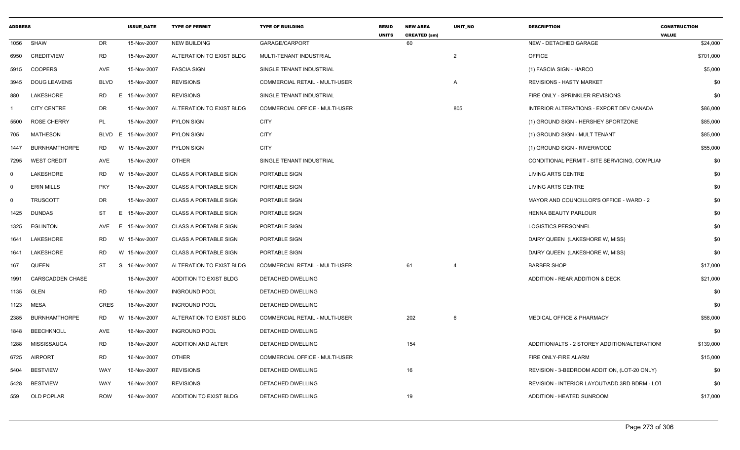| <b>ADDRESS</b> |                         |                  | <b>ISSUE DATE</b> | <b>TYPE OF PERMIT</b>        | <b>TYPE OF BUILDING</b>        | <b>RESID</b><br><b>UNITS</b> | <b>NEW AREA</b><br><b>CREATED (sm)</b> | <b>UNIT NO</b> | <b>DESCRIPTION</b>                            | <b>CONSTRUCTION</b><br><b>VALUE</b> |
|----------------|-------------------------|------------------|-------------------|------------------------------|--------------------------------|------------------------------|----------------------------------------|----------------|-----------------------------------------------|-------------------------------------|
| 1056           | <b>SHAW</b>             | <b>DR</b>        | 15-Nov-2007       | <b>NEW BUILDING</b>          | GARAGE/CARPORT                 |                              | 60                                     |                | NEW - DETACHED GARAGE                         | \$24,000                            |
| 6950           | <b>CREDITVIEW</b>       | <b>RD</b>        | 15-Nov-2007       | ALTERATION TO EXIST BLDG     | MULTI-TENANT INDUSTRIAL        |                              |                                        | 2              | <b>OFFICE</b>                                 | \$701,000                           |
| 5915           | <b>COOPERS</b>          | AVE              | 15-Nov-2007       | <b>FASCIA SIGN</b>           | SINGLE TENANT INDUSTRIAL       |                              |                                        |                | (1) FASCIA SIGN - HARCO                       | \$5,000                             |
| 3945           | <b>DOUG LEAVENS</b>     | <b>BLVD</b>      | 15-Nov-2007       | <b>REVISIONS</b>             | COMMERCIAL RETAIL - MULTI-USER |                              |                                        | Α              | <b>REVISIONS - HASTY MARKET</b>               | \$0                                 |
| 880            | LAKESHORE               | RD<br>E.         | 15-Nov-2007       | <b>REVISIONS</b>             | SINGLE TENANT INDUSTRIAL       |                              |                                        |                | FIRE ONLY - SPRINKLER REVISIONS               | \$0                                 |
|                | <b>CITY CENTRE</b>      | DR               | 15-Nov-2007       | ALTERATION TO EXIST BLDG     | COMMERCIAL OFFICE - MULTI-USER |                              |                                        | 805            | INTERIOR ALTERATIONS - EXPORT DEV CANADA      | \$86,000                            |
| 5500           | <b>ROSE CHERRY</b>      | PL               | 15-Nov-2007       | <b>PYLON SIGN</b>            | <b>CITY</b>                    |                              |                                        |                | (1) GROUND SIGN - HERSHEY SPORTZONE           | \$85,000                            |
| 705            | <b>MATHESON</b>         | <b>BLVD</b><br>E | 15-Nov-2007       | <b>PYLON SIGN</b>            | <b>CITY</b>                    |                              |                                        |                | (1) GROUND SIGN - MULT TENANT                 | \$85,000                            |
| 1447           | <b>BURNHAMTHORPE</b>    | RD               | W 15-Nov-2007     | <b>PYLON SIGN</b>            | <b>CITY</b>                    |                              |                                        |                | (1) GROUND SIGN - RIVERWOOD                   | \$55,000                            |
| 7295           | <b>WEST CREDIT</b>      | AVE              | 15-Nov-2007       | <b>OTHER</b>                 | SINGLE TENANT INDUSTRIAL       |                              |                                        |                | CONDITIONAL PERMIT - SITE SERVICING, COMPLIAN | \$0                                 |
| $\Omega$       | LAKESHORE               | <b>RD</b><br>W   | 15-Nov-2007       | <b>CLASS A PORTABLE SIGN</b> | PORTABLE SIGN                  |                              |                                        |                | <b>LIVING ARTS CENTRE</b>                     | \$0                                 |
| $\Omega$       | <b>ERIN MILLS</b>       | <b>PKY</b>       | 15-Nov-2007       | <b>CLASS A PORTABLE SIGN</b> | PORTABLE SIGN                  |                              |                                        |                | LIVING ARTS CENTRE                            | \$0                                 |
| $\Omega$       | <b>TRUSCOTT</b>         | <b>DR</b>        | 15-Nov-2007       | <b>CLASS A PORTABLE SIGN</b> | PORTABLE SIGN                  |                              |                                        |                | MAYOR AND COUNCILLOR'S OFFICE - WARD - 2      | \$0                                 |
| 1425           | <b>DUNDAS</b>           | ST<br>E.         | 15-Nov-2007       | <b>CLASS A PORTABLE SIGN</b> | PORTABLE SIGN                  |                              |                                        |                | HENNA BEAUTY PARLOUR                          | \$0                                 |
| 1325           | EGLINTON                | AVE              | E 15-Nov-2007     | <b>CLASS A PORTABLE SIGN</b> | PORTABLE SIGN                  |                              |                                        |                | <b>LOGISTICS PERSONNEL</b>                    | \$0                                 |
| 1641           | LAKESHORE               | RD               | W 15-Nov-2007     | <b>CLASS A PORTABLE SIGN</b> | PORTABLE SIGN                  |                              |                                        |                | DAIRY QUEEN (LAKESHORE W, MISS)               | \$0                                 |
| 1641           | LAKESHORE               | <b>RD</b>        | W 15-Nov-2007     | <b>CLASS A PORTABLE SIGN</b> | PORTABLE SIGN                  |                              |                                        |                | DAIRY QUEEN (LAKESHORE W, MISS)               | \$0                                 |
| 167            | QUEEN                   | ST<br>S          | 16-Nov-2007       | ALTERATION TO EXIST BLDG     | COMMERCIAL RETAIL - MULTI-USER |                              | 61                                     | $\overline{4}$ | <b>BARBER SHOP</b>                            | \$17,000                            |
| 1991           | <b>CARSCADDEN CHASE</b> |                  | 16-Nov-2007       | ADDITION TO EXIST BLDG       | DETACHED DWELLING              |                              |                                        |                | ADDITION - REAR ADDITION & DECK               | \$21,000                            |
| 1135           | GLEN                    | <b>RD</b>        | 16-Nov-2007       | <b>INGROUND POOL</b>         | DETACHED DWELLING              |                              |                                        |                |                                               | \$0                                 |
| 1123           | <b>MESA</b>             | CRES             | 16-Nov-2007       | <b>INGROUND POOL</b>         | DETACHED DWELLING              |                              |                                        |                |                                               | \$0                                 |
| 2385           | <b>BURNHAMTHORPE</b>    | <b>RD</b><br>W   | 16-Nov-2007       | ALTERATION TO EXIST BLDG     | COMMERCIAL RETAIL - MULTI-USER |                              | 202                                    | 6              | <b>MEDICAL OFFICE &amp; PHARMACY</b>          | \$58,000                            |
| 1848           | <b>BEECHKNOLL</b>       | AVE              | 16-Nov-2007       | <b>INGROUND POOL</b>         | DETACHED DWELLING              |                              |                                        |                |                                               | \$0                                 |
| 1288           | MISSISSAUGA             | <b>RD</b>        | 16-Nov-2007       | ADDITION AND ALTER           | DETACHED DWELLING              |                              | 154                                    |                | ADDITION/ALTS - 2 STOREY ADDITION/ALTERATION: | \$139,000                           |
| 6725           | <b>AIRPORT</b>          | <b>RD</b>        | 16-Nov-2007       | <b>OTHER</b>                 | COMMERCIAL OFFICE - MULTI-USER |                              |                                        |                | FIRE ONLY-FIRE ALARM                          | \$15,000                            |
| 5404           | <b>BESTVIEW</b>         | <b>WAY</b>       | 16-Nov-2007       | <b>REVISIONS</b>             | DETACHED DWELLING              |                              | 16                                     |                | REVISION - 3-BEDROOM ADDITION, (LOT-20 ONLY)  | \$0                                 |
| 5428           | <b>BESTVIEW</b>         | <b>WAY</b>       | 16-Nov-2007       | <b>REVISIONS</b>             | DETACHED DWELLING              |                              |                                        |                | REVISION - INTERIOR LAYOUT/ADD 3RD BDRM - LOT | \$0                                 |
| 559            | OLD POPLAR              | <b>ROW</b>       | 16-Nov-2007       | ADDITION TO EXIST BLDG       | DETACHED DWELLING              |                              | 19                                     |                | ADDITION - HEATED SUNROOM                     | \$17,000                            |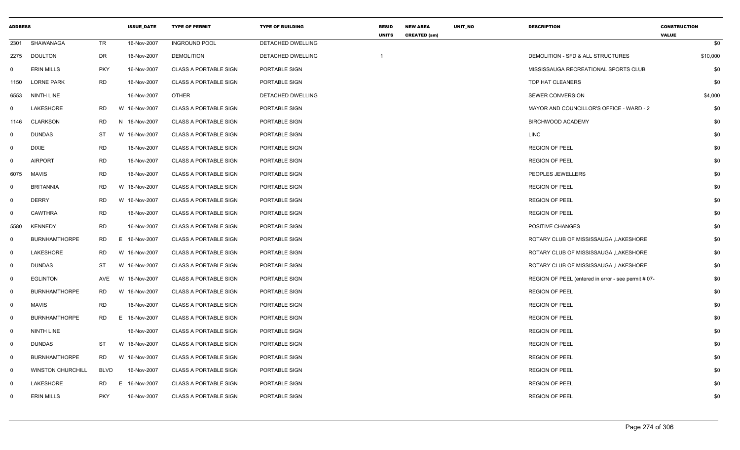| <b>ADDRESS</b> |                          |             | <b>ISSUE_DATE</b> | <b>TYPE OF PERMIT</b>        | <b>TYPE OF BUILDING</b> | <b>RESID</b><br><b>UNITS</b> | <b>NEW AREA</b><br><b>CREATED (sm)</b> | UNIT_NO | <b>DESCRIPTION</b>                                  | <b>CONSTRUCTION</b><br><b>VALUE</b> |
|----------------|--------------------------|-------------|-------------------|------------------------------|-------------------------|------------------------------|----------------------------------------|---------|-----------------------------------------------------|-------------------------------------|
| 2301           | SHAWANAGA                | TR          | 16-Nov-2007       | <b>INGROUND POOL</b>         | DETACHED DWELLING       |                              |                                        |         |                                                     | \$0                                 |
| 2275           | <b>DOULTON</b>           | <b>DR</b>   | 16-Nov-2007       | <b>DEMOLITION</b>            | DETACHED DWELLING       | $\mathbf{1}$                 |                                        |         | DEMOLITION - SFD & ALL STRUCTURES                   | \$10,000                            |
| 0              | <b>ERIN MILLS</b>        | <b>PKY</b>  | 16-Nov-2007       | <b>CLASS A PORTABLE SIGN</b> | PORTABLE SIGN           |                              |                                        |         | MISSISSAUGA RECREATIONAL SPORTS CLUB                | \$0                                 |
| 1150           | <b>LORNE PARK</b>        | <b>RD</b>   | 16-Nov-2007       | <b>CLASS A PORTABLE SIGN</b> | PORTABLE SIGN           |                              |                                        |         | TOP HAT CLEANERS                                    | \$0                                 |
| 6553           | NINTH LINE               |             | 16-Nov-2007       | <b>OTHER</b>                 | DETACHED DWELLING       |                              |                                        |         | <b>SEWER CONVERSION</b>                             | \$4,000                             |
| 0              | LAKESHORE                | <b>RD</b>   | W 16-Nov-2007     | <b>CLASS A PORTABLE SIGN</b> | PORTABLE SIGN           |                              |                                        |         | MAYOR AND COUNCILLOR'S OFFICE - WARD - 2            | \$0                                 |
| 1146           | <b>CLARKSON</b>          | <b>RD</b>   | N 16-Nov-2007     | <b>CLASS A PORTABLE SIGN</b> | PORTABLE SIGN           |                              |                                        |         | BIRCHWOOD ACADEMY                                   | \$0                                 |
| $\mathbf 0$    | <b>DUNDAS</b>            | <b>ST</b>   | W 16-Nov-2007     | <b>CLASS A PORTABLE SIGN</b> | PORTABLE SIGN           |                              |                                        |         | LINC                                                | \$0                                 |
| $\mathbf 0$    | <b>DIXIE</b>             | RD          | 16-Nov-2007       | <b>CLASS A PORTABLE SIGN</b> | PORTABLE SIGN           |                              |                                        |         | <b>REGION OF PEEL</b>                               | \$0                                 |
| $\mathbf 0$    | <b>AIRPORT</b>           | <b>RD</b>   | 16-Nov-2007       | <b>CLASS A PORTABLE SIGN</b> | PORTABLE SIGN           |                              |                                        |         | <b>REGION OF PEEL</b>                               | \$0                                 |
| 6075           | MAVIS                    | <b>RD</b>   | 16-Nov-2007       | <b>CLASS A PORTABLE SIGN</b> | PORTABLE SIGN           |                              |                                        |         | PEOPLES JEWELLERS                                   | \$0                                 |
| $\mathbf 0$    | <b>BRITANNIA</b>         | <b>RD</b>   | W 16-Nov-2007     | <b>CLASS A PORTABLE SIGN</b> | PORTABLE SIGN           |                              |                                        |         | <b>REGION OF PEEL</b>                               | \$0                                 |
| $\mathbf{0}$   | <b>DERRY</b>             | <b>RD</b>   | W 16-Nov-2007     | <b>CLASS A PORTABLE SIGN</b> | PORTABLE SIGN           |                              |                                        |         | <b>REGION OF PEEL</b>                               | \$0                                 |
| $\mathbf 0$    | <b>CAWTHRA</b>           | <b>RD</b>   | 16-Nov-2007       | <b>CLASS A PORTABLE SIGN</b> | PORTABLE SIGN           |                              |                                        |         | <b>REGION OF PEEL</b>                               | \$0                                 |
| 5580           | <b>KENNEDY</b>           | <b>RD</b>   | 16-Nov-2007       | <b>CLASS A PORTABLE SIGN</b> | PORTABLE SIGN           |                              |                                        |         | POSITIVE CHANGES                                    | \$0                                 |
| $\mathbf 0$    | <b>BURNHAMTHORPE</b>     | <b>RD</b>   | E 16-Nov-2007     | <b>CLASS A PORTABLE SIGN</b> | PORTABLE SIGN           |                              |                                        |         | ROTARY CLUB OF MISSISSAUGA , LAKESHORE              | \$0                                 |
| $\mathbf{0}$   | LAKESHORE                | <b>RD</b>   | W 16-Nov-2007     | <b>CLASS A PORTABLE SIGN</b> | PORTABLE SIGN           |                              |                                        |         | ROTARY CLUB OF MISSISSAUGA , LAKESHORE              | \$0                                 |
| $\mathbf 0$    | <b>DUNDAS</b>            | <b>ST</b>   | W 16-Nov-2007     | <b>CLASS A PORTABLE SIGN</b> | PORTABLE SIGN           |                              |                                        |         | ROTARY CLUB OF MISSISSAUGA , LAKESHORE              | \$0                                 |
| $\mathbf 0$    | <b>EGLINTON</b>          | AVE         | W 16-Nov-2007     | <b>CLASS A PORTABLE SIGN</b> | PORTABLE SIGN           |                              |                                        |         | REGION OF PEEL (entered in error - see permit # 07- | \$0                                 |
| $\mathbf 0$    | <b>BURNHAMTHORPE</b>     | RD.         | W 16-Nov-2007     | <b>CLASS A PORTABLE SIGN</b> | PORTABLE SIGN           |                              |                                        |         | <b>REGION OF PEEL</b>                               | \$0                                 |
| $\mathbf{0}$   | <b>MAVIS</b>             | <b>RD</b>   | 16-Nov-2007       | <b>CLASS A PORTABLE SIGN</b> | PORTABLE SIGN           |                              |                                        |         | <b>REGION OF PEEL</b>                               | \$0                                 |
| $\mathbf 0$    | <b>BURNHAMTHORPE</b>     | <b>RD</b>   | E 16-Nov-2007     | <b>CLASS A PORTABLE SIGN</b> | PORTABLE SIGN           |                              |                                        |         | <b>REGION OF PEEL</b>                               | \$0                                 |
| $\mathbf{0}$   | NINTH LINE               |             | 16-Nov-2007       | <b>CLASS A PORTABLE SIGN</b> | PORTABLE SIGN           |                              |                                        |         | <b>REGION OF PEEL</b>                               | \$0                                 |
| $\mathbf{0}$   | <b>DUNDAS</b>            | ST          | W 16-Nov-2007     | <b>CLASS A PORTABLE SIGN</b> | PORTABLE SIGN           |                              |                                        |         | <b>REGION OF PEEL</b>                               | \$0                                 |
| $\overline{0}$ | <b>BURNHAMTHORPE</b>     | <b>RD</b>   | W 16-Nov-2007     | <b>CLASS A PORTABLE SIGN</b> | PORTABLE SIGN           |                              |                                        |         | <b>REGION OF PEEL</b>                               | \$0                                 |
| $\mathbf 0$    | <b>WINSTON CHURCHILL</b> | <b>BLVD</b> | 16-Nov-2007       | <b>CLASS A PORTABLE SIGN</b> | PORTABLE SIGN           |                              |                                        |         | <b>REGION OF PEEL</b>                               | \$0                                 |
| - 0            | LAKESHORE                | <b>RD</b>   | 16-Nov-2007<br>E. | <b>CLASS A PORTABLE SIGN</b> | PORTABLE SIGN           |                              |                                        |         | <b>REGION OF PEEL</b>                               | \$0                                 |
| $\Omega$       | <b>ERIN MILLS</b>        | <b>PKY</b>  | 16-Nov-2007       | <b>CLASS A PORTABLE SIGN</b> | PORTABLE SIGN           |                              |                                        |         | <b>REGION OF PEEL</b>                               | \$0                                 |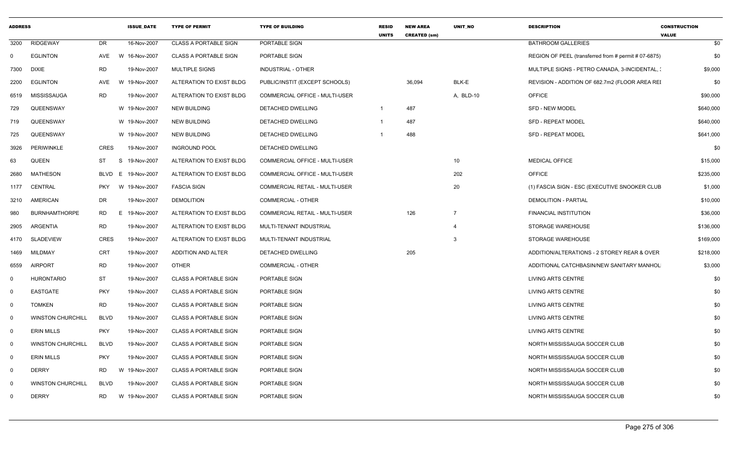| <b>ADDRESS</b> |                          |            | <b>ISSUE DATE</b> | <b>TYPE OF PERMIT</b>        | <b>TYPE OF BUILDING</b>               | <b>RESID</b><br><b>UNITS</b> | <b>NEW AREA</b><br><b>CREATED (sm)</b> | UNIT_NO        | <b>DESCRIPTION</b>                                   | <b>CONSTRUCTION</b><br><b>VALUE</b> |
|----------------|--------------------------|------------|-------------------|------------------------------|---------------------------------------|------------------------------|----------------------------------------|----------------|------------------------------------------------------|-------------------------------------|
| 3200           | <b>RIDGEWAY</b>          | DR         | 16-Nov-2007       | <b>CLASS A PORTABLE SIGN</b> | PORTABLE SIGN                         |                              |                                        |                | <b>BATHROOM GALLERIES</b>                            | \$0                                 |
| $\Omega$       | <b>EGLINTON</b>          | AVE        | W 16-Nov-2007     | <b>CLASS A PORTABLE SIGN</b> | PORTABLE SIGN                         |                              |                                        |                | REGION OF PEEL (transferred from # permit # 07-6875) | \$0                                 |
| 7300           | <b>DIXIE</b>             | <b>RD</b>  | 19-Nov-2007       | <b>MULTIPLE SIGNS</b>        | <b>INDUSTRIAL - OTHER</b>             |                              |                                        |                | MULTIPLE SIGNS - PETRO CANADA, 3-INCIDENTAL, :       | \$9,000                             |
| 2200           | <b>EGLINTON</b>          | AVE        | W 19-Nov-2007     | ALTERATION TO EXIST BLDG     | PUBLIC/INSTIT (EXCEPT SCHOOLS)        |                              | 36,094                                 | BLK-E          | REVISION - ADDITION OF 682.7m2 (FLOOR AREA REI       | \$0                                 |
| 6519           | MISSISSAUGA              | RD         | 19-Nov-2007       | ALTERATION TO EXIST BLDG     | COMMERCIAL OFFICE - MULTI-USER        |                              |                                        | A, BLD-10      | <b>OFFICE</b>                                        | \$90,000                            |
| 729            | QUEENSWAY                |            | W 19-Nov-2007     | <b>NEW BUILDING</b>          | DETACHED DWELLING                     | $\overline{1}$               | 487                                    |                | <b>SFD - NEW MODEL</b>                               | \$640,000                           |
| 719            | QUEENSWAY                |            | W 19-Nov-2007     | NEW BUILDING                 | DETACHED DWELLING                     |                              | 487                                    |                | <b>SFD - REPEAT MODEL</b>                            | \$640,000                           |
| 725            | QUEENSWAY                |            | W 19-Nov-2007     | <b>NEW BUILDING</b>          | <b>DETACHED DWELLING</b>              |                              | 488                                    |                | <b>SFD - REPEAT MODEL</b>                            | \$641,000                           |
| 3926           | <b>PERIWINKLE</b>        | CRES       | 19-Nov-2007       | <b>INGROUND POOL</b>         | DETACHED DWELLING                     |                              |                                        |                |                                                      | \$0                                 |
| 63             | <b>QUEEN</b>             | ST<br>S    | 19-Nov-2007       | ALTERATION TO EXIST BLDG     | COMMERCIAL OFFICE - MULTI-USER        |                              |                                        | 10             | <b>MEDICAL OFFICE</b>                                | \$15,000                            |
| 2680           | <b>MATHESON</b>          | BLVD E     | 19-Nov-2007       | ALTERATION TO EXIST BLDG     | COMMERCIAL OFFICE - MULTI-USER        |                              |                                        | 202            | <b>OFFICE</b>                                        | \$235,000                           |
| 1177           | CENTRAL                  | <b>PKY</b> | W 19-Nov-2007     | <b>FASCIA SIGN</b>           | <b>COMMERCIAL RETAIL - MULTI-USER</b> |                              |                                        | 20             | (1) FASCIA SIGN - ESC (EXECUTIVE SNOOKER CLUB        | \$1,000                             |
| 3210           | AMERICAN                 | DR         | 19-Nov-2007       | <b>DEMOLITION</b>            | <b>COMMERCIAL - OTHER</b>             |                              |                                        |                | <b>DEMOLITION - PARTIAL</b>                          | \$10,000                            |
| 980            | <b>BURNHAMTHORPE</b>     | RD         | E 19-Nov-2007     | ALTERATION TO EXIST BLDG     | <b>COMMERCIAL RETAIL - MULTI-USER</b> |                              | 126                                    | $\overline{7}$ | <b>FINANCIAL INSTITUTION</b>                         | \$36,000                            |
| 2905           | ARGENTIA                 | <b>RD</b>  | 19-Nov-2007       | ALTERATION TO EXIST BLDG     | MULTI-TENANT INDUSTRIAL               |                              |                                        | $\overline{4}$ | <b>STORAGE WAREHOUSE</b>                             | \$136,000                           |
| 4170           | SLADEVIEW                | CRES       | 19-Nov-2007       | ALTERATION TO EXIST BLDG     | MULTI-TENANT INDUSTRIAL               |                              |                                        | 3              | <b>STORAGE WAREHOUSE</b>                             | \$169,000                           |
| 1469           | <b>MILDMAY</b>           | CRT        | 19-Nov-2007       | ADDITION AND ALTER           | DETACHED DWELLING                     |                              | 205                                    |                | ADDITION/ALTERATIONS - 2 STOREY REAR & OVER          | \$218,000                           |
| 6559           | <b>AIRPORT</b>           | RD         | 19-Nov-2007       | OTHER                        | <b>COMMERCIAL - OTHER</b>             |                              |                                        |                | ADDITIONAL CATCHBASIN/NEW SANITARY MANHOL            | \$3,000                             |
| $\mathbf 0$    | <b>HURONTARIO</b>        | <b>ST</b>  | 19-Nov-2007       | <b>CLASS A PORTABLE SIGN</b> | PORTABLE SIGN                         |                              |                                        |                | <b>LIVING ARTS CENTRE</b>                            | \$0                                 |
| $\Omega$       | <b>EASTGATE</b>          | <b>PKY</b> | 19-Nov-2007       | <b>CLASS A PORTABLE SIGN</b> | PORTABLE SIGN                         |                              |                                        |                | <b>LIVING ARTS CENTRE</b>                            | \$0                                 |
| $\Omega$       | <b>TOMKEN</b>            | RD         | 19-Nov-2007       | <b>CLASS A PORTABLE SIGN</b> | <b>PORTABLE SIGN</b>                  |                              |                                        |                | <b>LIVING ARTS CENTRE</b>                            | \$0                                 |
| $\mathbf 0$    | <b>WINSTON CHURCHILL</b> | BLVD       | 19-Nov-2007       | <b>CLASS A PORTABLE SIGN</b> | PORTABLE SIGN                         |                              |                                        |                | <b>LIVING ARTS CENTRE</b>                            | \$0                                 |
| $\Omega$       | <b>ERIN MILLS</b>        | <b>PKY</b> | 19-Nov-2007       | <b>CLASS A PORTABLE SIGN</b> | PORTABLE SIGN                         |                              |                                        |                | LIVING ARTS CENTRE                                   | \$0                                 |
| $\Omega$       | <b>WINSTON CHURCHILL</b> | BLVD       | 19-Nov-2007       | <b>CLASS A PORTABLE SIGN</b> | PORTABLE SIGN                         |                              |                                        |                | NORTH MISSISSAUGA SOCCER CLUB                        | \$0                                 |
| $\mathbf 0$    | <b>ERIN MILLS</b>        | <b>PKY</b> | 19-Nov-2007       | <b>CLASS A PORTABLE SIGN</b> | PORTABLE SIGN                         |                              |                                        |                | NORTH MISSISSAUGA SOCCER CLUB                        | \$0                                 |
| $\mathbf 0$    | <b>DERRY</b>             | RD         | W 19-Nov-2007     | <b>CLASS A PORTABLE SIGN</b> | <b>PORTABLE SIGN</b>                  |                              |                                        |                | NORTH MISSISSAUGA SOCCER CLUB                        | \$0                                 |
| $\mathbf 0$    | <b>WINSTON CHURCHILL</b> | BLVD       | 19-Nov-2007       | <b>CLASS A PORTABLE SIGN</b> | PORTABLE SIGN                         |                              |                                        |                | NORTH MISSISSAUGA SOCCER CLUB                        | \$0                                 |
| $\mathbf 0$    | <b>DERRY</b>             | <b>RD</b>  | W 19-Nov-2007     | <b>CLASS A PORTABLE SIGN</b> | PORTABLE SIGN                         |                              |                                        |                | NORTH MISSISSAUGA SOCCER CLUB                        | \$0                                 |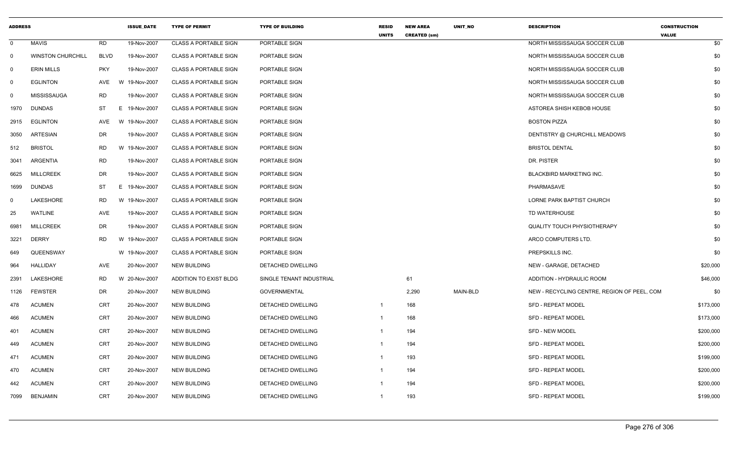| <b>ADDRESS</b> |                          |             | <b>ISSUE DATE</b> | <b>TYPE OF PERMIT</b>        | <b>TYPE OF BUILDING</b>  | RESID<br><b>UNITS</b> | <b>NEW AREA</b><br><b>CREATED (sm)</b> | UNIT_NO  | <b>DESCRIPTION</b>                          | <b>CONSTRUCTION</b><br><b>VALUE</b> |
|----------------|--------------------------|-------------|-------------------|------------------------------|--------------------------|-----------------------|----------------------------------------|----------|---------------------------------------------|-------------------------------------|
| $\mathbf 0$    | <b>MAVIS</b>             | <b>RD</b>   | 19-Nov-2007       | <b>CLASS A PORTABLE SIGN</b> | PORTABLE SIGN            |                       |                                        |          | NORTH MISSISSAUGA SOCCER CLUB               | \$0                                 |
| $\mathbf 0$    | <b>WINSTON CHURCHILL</b> | <b>BLVD</b> | 19-Nov-2007       | <b>CLASS A PORTABLE SIGN</b> | PORTABLE SIGN            |                       |                                        |          | NORTH MISSISSAUGA SOCCER CLUB               | \$0                                 |
| - 0            | <b>ERIN MILLS</b>        | <b>PKY</b>  | 19-Nov-2007       | <b>CLASS A PORTABLE SIGN</b> | PORTABLE SIGN            |                       |                                        |          | NORTH MISSISSAUGA SOCCER CLUB               | \$0                                 |
| $\mathbf 0$    | <b>EGLINTON</b>          | AVE         | W 19-Nov-2007     | <b>CLASS A PORTABLE SIGN</b> | PORTABLE SIGN            |                       |                                        |          | NORTH MISSISSAUGA SOCCER CLUB               | \$0                                 |
| $\mathbf 0$    | <b>MISSISSAUGA</b>       | <b>RD</b>   | 19-Nov-2007       | <b>CLASS A PORTABLE SIGN</b> | PORTABLE SIGN            |                       |                                        |          | NORTH MISSISSAUGA SOCCER CLUB               | \$0                                 |
| 1970           | <b>DUNDAS</b>            | <b>ST</b>   | E 19-Nov-2007     | <b>CLASS A PORTABLE SIGN</b> | PORTABLE SIGN            |                       |                                        |          | ASTOREA SHISH KEBOB HOUSE                   | \$0                                 |
| 2915           | <b>EGLINTON</b>          | AVE         | W 19-Nov-2007     | <b>CLASS A PORTABLE SIGN</b> | PORTABLE SIGN            |                       |                                        |          | <b>BOSTON PIZZA</b>                         | \$0                                 |
| 3050           | ARTESIAN                 | DR.         | 19-Nov-2007       | <b>CLASS A PORTABLE SIGN</b> | PORTABLE SIGN            |                       |                                        |          | DENTISTRY @ CHURCHILL MEADOWS               | \$0                                 |
| 512            | <b>BRISTOL</b>           | <b>RD</b>   | W 19-Nov-2007     | <b>CLASS A PORTABLE SIGN</b> | PORTABLE SIGN            |                       |                                        |          | <b>BRISTOL DENTAL</b>                       | \$0                                 |
| 3041           | ARGENTIA                 | <b>RD</b>   | 19-Nov-2007       | <b>CLASS A PORTABLE SIGN</b> | PORTABLE SIGN            |                       |                                        |          | DR. PISTER                                  | \$0                                 |
| 6625           | <b>MILLCREEK</b>         | <b>DR</b>   | 19-Nov-2007       | <b>CLASS A PORTABLE SIGN</b> | PORTABLE SIGN            |                       |                                        |          | BLACKBIRD MARKETING INC.                    | \$0                                 |
| 1699           | <b>DUNDAS</b>            | <b>ST</b>   | E.<br>19-Nov-2007 | <b>CLASS A PORTABLE SIGN</b> | PORTABLE SIGN            |                       |                                        |          | <b>PHARMASAVE</b>                           | \$0                                 |
| 0              | LAKESHORE                | <b>RD</b>   | W 19-Nov-2007     | <b>CLASS A PORTABLE SIGN</b> | PORTABLE SIGN            |                       |                                        |          | LORNE PARK BAPTIST CHURCH                   | \$0                                 |
| 25             | <b>WATLINE</b>           | <b>AVE</b>  | 19-Nov-2007       | <b>CLASS A PORTABLE SIGN</b> | PORTABLE SIGN            |                       |                                        |          | TD WATERHOUSE                               | \$0                                 |
| 6981           | <b>MILLCREEK</b>         | <b>DR</b>   | 19-Nov-2007       | <b>CLASS A PORTABLE SIGN</b> | PORTABLE SIGN            |                       |                                        |          | <b>QUALITY TOUCH PHYSIOTHERAPY</b>          | \$0                                 |
| 3221           | <b>DERRY</b>             | <b>RD</b>   | W 19-Nov-2007     | <b>CLASS A PORTABLE SIGN</b> | PORTABLE SIGN            |                       |                                        |          | ARCO COMPUTERS LTD.                         | \$0                                 |
| 649            | QUEENSWAY                |             | W 19-Nov-2007     | <b>CLASS A PORTABLE SIGN</b> | PORTABLE SIGN            |                       |                                        |          | PREPSKILLS INC.                             | \$0                                 |
| 964            | HALLIDAY                 | AVE         | 20-Nov-2007       | <b>NEW BUILDING</b>          | DETACHED DWELLING        |                       |                                        |          | NEW - GARAGE, DETACHED                      | \$20,000                            |
| 2391           | LAKESHORE                | <b>RD</b>   | W 20-Nov-2007     | ADDITION TO EXIST BLDG       | SINGLE TENANT INDUSTRIAL |                       | 61                                     |          | ADDITION - HYDRAULIC ROOM                   | \$46,000                            |
| 1126           | <b>FEWSTER</b>           | DR          | 20-Nov-2007       | <b>NEW BUILDING</b>          | GOVERNMENTAL             |                       | 2,290                                  | MAIN-BLD | NEW - RECYCLING CENTRE, REGION OF PEEL, COM | \$0                                 |
| 478            | <b>ACUMEN</b>            | <b>CRT</b>  | 20-Nov-2007       | <b>NEW BUILDING</b>          | DETACHED DWELLING        | $\mathbf{1}$          | 168                                    |          | SFD - REPEAT MODEL                          | \$173,000                           |
| 466            | <b>ACUMEN</b>            | CRT         | 20-Nov-2007       | <b>NEW BUILDING</b>          | DETACHED DWELLING        | -1                    | 168                                    |          | <b>SFD - REPEAT MODEL</b>                   | \$173,000                           |
| 401            | <b>ACUMEN</b>            | <b>CRT</b>  | 20-Nov-2007       | <b>NEW BUILDING</b>          | DETACHED DWELLING        | $\mathbf{1}$          | 194                                    |          | <b>SFD - NEW MODEL</b>                      | \$200,000                           |
| 449            | <b>ACUMEN</b>            | CRT         | 20-Nov-2007       | <b>NEW BUILDING</b>          | DETACHED DWELLING        | -1                    | 194                                    |          | SFD - REPEAT MODEL                          | \$200,000                           |
| 471            | <b>ACUMEN</b>            | <b>CRT</b>  | 20-Nov-2007       | <b>NEW BUILDING</b>          | DETACHED DWELLING        | -1                    | 193                                    |          | <b>SFD - REPEAT MODEL</b>                   | \$199,000                           |
| 470            | <b>ACUMEN</b>            | <b>CRT</b>  | 20-Nov-2007       | <b>NEW BUILDING</b>          | DETACHED DWELLING        | -1                    | 194                                    |          | SFD - REPEAT MODEL                          | \$200,000                           |
| 442            | <b>ACUMEN</b>            | CRT         | 20-Nov-2007       | <b>NEW BUILDING</b>          | DETACHED DWELLING        |                       | 194                                    |          | SFD - REPEAT MODEL                          | \$200,000                           |
| 7099           | <b>BENJAMIN</b>          | <b>CRT</b>  | 20-Nov-2007       | <b>NEW BUILDING</b>          | <b>DETACHED DWELLING</b> | $\mathbf{1}$          | 193                                    |          | <b>SFD - REPEAT MODEL</b>                   | \$199,000                           |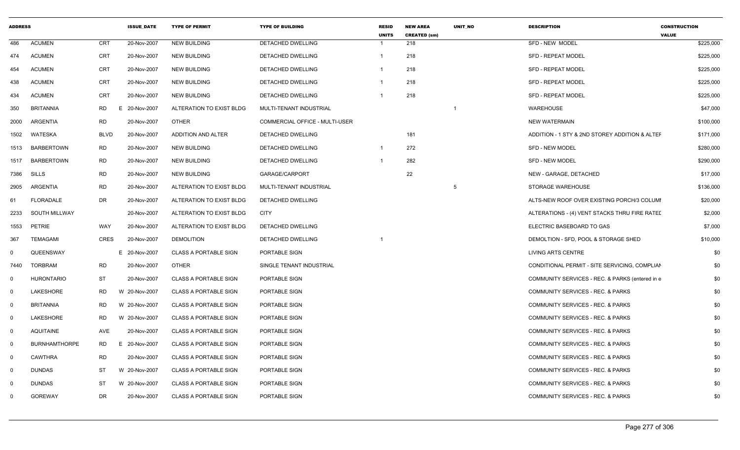| <b>ADDRESS</b> |                      |             | <b>ISSUE_DATE</b> | <b>TYPE OF PERMIT</b>        | <b>TYPE OF BUILDING</b>               | <b>RESID</b><br><b>UNITS</b> | <b>NEW AREA</b><br><b>CREATED (sm)</b> | UNIT_NO                  | <b>DESCRIPTION</b>                              | <b>CONSTRUCTION</b><br><b>VALUE</b> |
|----------------|----------------------|-------------|-------------------|------------------------------|---------------------------------------|------------------------------|----------------------------------------|--------------------------|-------------------------------------------------|-------------------------------------|
| 486            | <b>ACUMEN</b>        | CRT         | 20-Nov-2007       | <b>NEW BUILDING</b>          | DETACHED DWELLING                     |                              | 218                                    |                          | SFD - NEW MODEL                                 | \$225,000                           |
| 474            | <b>ACUMEN</b>        | CRT         | 20-Nov-2007       | <b>NEW BUILDING</b>          | <b>DETACHED DWELLING</b>              |                              | 218                                    |                          | <b>SFD - REPEAT MODEL</b>                       | \$225,000                           |
| 454            | <b>ACUMEN</b>        | CRT         | 20-Nov-2007       | <b>NEW BUILDING</b>          | DETACHED DWELLING                     |                              | 218                                    |                          | <b>SFD - REPEAT MODEL</b>                       | \$225,000                           |
| 438            | <b>ACUMEN</b>        | CRT         | 20-Nov-2007       | <b>NEW BUILDING</b>          | DETACHED DWELLING                     |                              | 218                                    |                          | <b>SFD - REPEAT MODEL</b>                       | \$225,000                           |
| 434            | <b>ACUMEN</b>        | CRT         | 20-Nov-2007       | <b>NEW BUILDING</b>          | DETACHED DWELLING                     |                              | 218                                    |                          | <b>SFD - REPEAT MODEL</b>                       | \$225,000                           |
| 350            | <b>BRITANNIA</b>     | RD          | E 20-Nov-2007     | ALTERATION TO EXIST BLDG     | MULTI-TENANT INDUSTRIAL               |                              |                                        | $\overline{\phantom{0}}$ | <b>WAREHOUSE</b>                                | \$47,000                            |
| 2000           | ARGENTIA             | RD          | 20-Nov-2007       | <b>OTHER</b>                 | <b>COMMERCIAL OFFICE - MULTI-USER</b> |                              |                                        |                          | <b>NEW WATERMAIN</b>                            | \$100,000                           |
| 1502           | WATESKA              | <b>BLVD</b> | 20-Nov-2007       | ADDITION AND ALTER           | DETACHED DWELLING                     |                              | 181                                    |                          | ADDITION - 1 STY & 2ND STOREY ADDITION & ALTEF  | \$171,000                           |
|                | 1513 BARBERTOWN      | <b>RD</b>   | 20-Nov-2007       | <b>NEW BUILDING</b>          | DETACHED DWELLING                     |                              | 272                                    |                          | <b>SFD - NEW MODEL</b>                          | \$280,000                           |
| 1517           | <b>BARBERTOWN</b>    | RD          | 20-Nov-2007       | <b>NEW BUILDING</b>          | <b>DETACHED DWELLING</b>              |                              | 282                                    |                          | <b>SFD - NEW MODEL</b>                          | \$290,000                           |
| 7386           | SILLS                | <b>RD</b>   | 20-Nov-2007       | <b>NEW BUILDING</b>          | GARAGE/CARPORT                        |                              | 22                                     |                          | NEW - GARAGE, DETACHED                          | \$17,000                            |
| 2905           | ARGENTIA             | <b>RD</b>   | 20-Nov-2007       | ALTERATION TO EXIST BLDG     | MULTI-TENANT INDUSTRIAL               |                              |                                        | 5                        | STORAGE WAREHOUSE                               | \$136,000                           |
| 61             | FLORADALE            | DR          | 20-Nov-2007       | ALTERATION TO EXIST BLDG     | DETACHED DWELLING                     |                              |                                        |                          | ALTS-NEW ROOF OVER EXISTING PORCH/3 COLUMI      | \$20,000                            |
| 2233           | SOUTH MILLWAY        |             | 20-Nov-2007       | ALTERATION TO EXIST BLDG     | CITY                                  |                              |                                        |                          | ALTERATIONS - (4) VENT STACKS THRU FIRE RATED   | \$2,000                             |
| 1553           | PETRIE               | WAY         | 20-Nov-2007       | ALTERATION TO EXIST BLDG     | DETACHED DWELLING                     |                              |                                        |                          | ELECTRIC BASEBOARD TO GAS                       | \$7,000                             |
| 367            | TEMAGAMI             | CRES        | 20-Nov-2007       | <b>DEMOLITION</b>            | DETACHED DWELLING                     |                              |                                        |                          | DEMOLTION - SFD, POOL & STORAGE SHED            | \$10,000                            |
| $\Omega$       | QUEENSWAY            |             | E 20-Nov-2007     | <b>CLASS A PORTABLE SIGN</b> | <b>PORTABLE SIGN</b>                  |                              |                                        |                          | LIVING ARTS CENTRE                              | \$0                                 |
| 7440           | <b>TORBRAM</b>       | RD          | 20-Nov-2007       | <b>OTHER</b>                 | SINGLE TENANT INDUSTRIAL              |                              |                                        |                          | CONDITIONAL PERMIT - SITE SERVICING, COMPLIAN   | \$0                                 |
| $\mathbf 0$    | <b>HURONTARIO</b>    | ST          | 20-Nov-2007       | <b>CLASS A PORTABLE SIGN</b> | PORTABLE SIGN                         |                              |                                        |                          | COMMUNITY SERVICES - REC. & PARKS (entered in e | \$0                                 |
| $\Omega$       | LAKESHORE            | <b>RD</b>   | W 20-Nov-2007     | <b>CLASS A PORTABLE SIGN</b> | PORTABLE SIGN                         |                              |                                        |                          | COMMUNITY SERVICES - REC. & PARKS               | \$0                                 |
| $\Omega$       | <b>BRITANNIA</b>     | RD          | W 20-Nov-2007     | <b>CLASS A PORTABLE SIGN</b> | PORTABLE SIGN                         |                              |                                        |                          | <b>COMMUNITY SERVICES - REC. &amp; PARKS</b>    | \$0                                 |
| $\Omega$       | LAKESHORE            | RD          | W 20-Nov-2007     | <b>CLASS A PORTABLE SIGN</b> | PORTABLE SIGN                         |                              |                                        |                          | COMMUNITY SERVICES - REC. & PARKS               | \$0                                 |
| $\mathbf 0$    | AQUITAINE            | AVE         | 20-Nov-2007       | <b>CLASS A PORTABLE SIGN</b> | PORTABLE SIGN                         |                              |                                        |                          | COMMUNITY SERVICES - REC. & PARKS               | \$0                                 |
| $\Omega$       | <b>BURNHAMTHORPE</b> | <b>RD</b>   | E 20-Nov-2007     | <b>CLASS A PORTABLE SIGN</b> | PORTABLE SIGN                         |                              |                                        |                          | COMMUNITY SERVICES - REC. & PARKS               | \$0                                 |
| $\Omega$       | <b>CAWTHRA</b>       | <b>RD</b>   | 20-Nov-2007       | <b>CLASS A PORTABLE SIGN</b> | PORTABLE SIGN                         |                              |                                        |                          | COMMUNITY SERVICES - REC. & PARKS               | \$0                                 |
| $\Omega$       | <b>DUNDAS</b>        | ST          | W 20-Nov-2007     | <b>CLASS A PORTABLE SIGN</b> | PORTABLE SIGN                         |                              |                                        |                          | COMMUNITY SERVICES - REC. & PARKS               | \$0                                 |
| $\Omega$       | <b>DUNDAS</b>        | <b>ST</b>   | W 20-Nov-2007     | <b>CLASS A PORTABLE SIGN</b> | PORTABLE SIGN                         |                              |                                        |                          | COMMUNITY SERVICES - REC. & PARKS               | \$0                                 |
| $\Omega$       | GOREWAY              | DR          | 20-Nov-2007       | <b>CLASS A PORTABLE SIGN</b> | PORTABLE SIGN                         |                              |                                        |                          | COMMUNITY SERVICES - REC. & PARKS               | \$0                                 |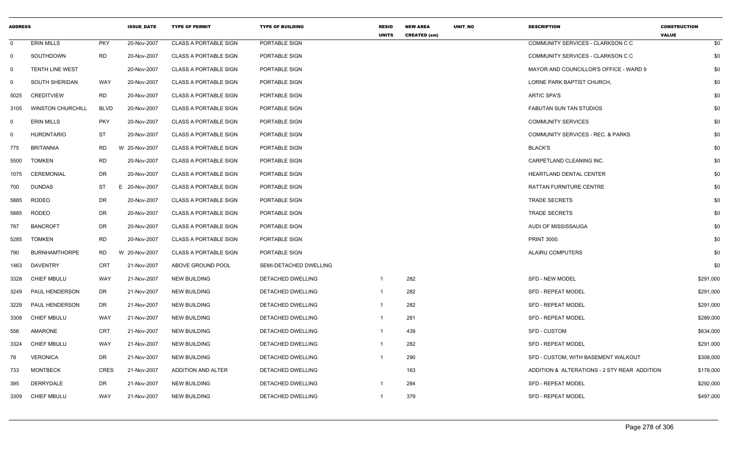| <b>ADDRESS</b> |                          |             | <b>ISSUE DATE</b> | <b>TYPE OF PERMIT</b>        | <b>TYPE OF BUILDING</b> | <b>RESID</b><br><b>UNITS</b> | <b>NEW AREA</b><br><b>CREATED (sm)</b> | UNIT_NO | <b>DESCRIPTION</b>                           | <b>CONSTRUCTION</b><br><b>VALUE</b> |
|----------------|--------------------------|-------------|-------------------|------------------------------|-------------------------|------------------------------|----------------------------------------|---------|----------------------------------------------|-------------------------------------|
| $\mathbf 0$    | <b>ERIN MILLS</b>        | <b>PKY</b>  | 20-Nov-2007       | <b>CLASS A PORTABLE SIGN</b> | PORTABLE SIGN           |                              |                                        |         | COMMUNITY SERVICES - CLARKSON C C            | \$0                                 |
| $\mathbf 0$    | SOUTHDOWN                | <b>RD</b>   | 20-Nov-2007       | <b>CLASS A PORTABLE SIGN</b> | PORTABLE SIGN           |                              |                                        |         | COMMUNITY SERVICES - CLARKSON C C            | \$0                                 |
| $\Omega$       | TENTH LINE WEST          |             | 20-Nov-2007       | <b>CLASS A PORTABLE SIGN</b> | PORTABLE SIGN           |                              |                                        |         | MAYOR AND COUNCILLOR'S OFFICE - WARD 9       | \$0                                 |
| $\mathbf 0$    | SOUTH SHERIDAN           | <b>WAY</b>  | 20-Nov-2007       | <b>CLASS A PORTABLE SIGN</b> | PORTABLE SIGN           |                              |                                        |         | LORNE PARK BAPTIST CHURCH.                   | \$0                                 |
| 5025           | <b>CREDITVIEW</b>        | RD          | 20-Nov-2007       | <b>CLASS A PORTABLE SIGN</b> | PORTABLE SIGN           |                              |                                        |         | <b>ARTIC SPA'S</b>                           | \$0                                 |
| 3105           | <b>WINSTON CHURCHILL</b> | <b>BLVD</b> | 20-Nov-2007       | <b>CLASS A PORTABLE SIGN</b> | PORTABLE SIGN           |                              |                                        |         | FABUTAN SUN TAN STUDIOS                      | \$0                                 |
| $\mathbf 0$    | <b>ERIN MILLS</b>        | <b>PKY</b>  | 20-Nov-2007       | <b>CLASS A PORTABLE SIGN</b> | PORTABLE SIGN           |                              |                                        |         | <b>COMMUNITY SERVICES</b>                    | \$0                                 |
| $\mathbf 0$    | <b>HURONTARIO</b>        | <b>ST</b>   | 20-Nov-2007       | <b>CLASS A PORTABLE SIGN</b> | PORTABLE SIGN           |                              |                                        |         | COMMUNITY SERVICES - REC. & PARKS            | \$0                                 |
| 775            | <b>BRITANNIA</b>         | <b>RD</b>   | W 20-Nov-2007     | <b>CLASS A PORTABLE SIGN</b> | PORTABLE SIGN           |                              |                                        |         | <b>BLACK'S</b>                               | \$0                                 |
| 5500           | <b>TOMKEN</b>            | <b>RD</b>   | 20-Nov-2007       | <b>CLASS A PORTABLE SIGN</b> | PORTABLE SIGN           |                              |                                        |         | CARPETLAND CLEANING INC.                     | \$0                                 |
| 1075           | CEREMONIAL               | DR          | 20-Nov-2007       | <b>CLASS A PORTABLE SIGN</b> | PORTABLE SIGN           |                              |                                        |         | HEARTLAND DENTAL CENTER                      | \$0                                 |
| 700            | <b>DUNDAS</b>            | ST          | E 20-Nov-2007     | <b>CLASS A PORTABLE SIGN</b> | PORTABLE SIGN           |                              |                                        |         | RATTAN FURNITURE CENTRE                      | \$0                                 |
| 5885           | <b>RODEO</b>             | <b>DR</b>   | 20-Nov-2007       | <b>CLASS A PORTABLE SIGN</b> | PORTABLE SIGN           |                              |                                        |         | <b>TRADE SECRETS</b>                         | \$0                                 |
| 5885           | <b>RODEO</b>             | DR          | 20-Nov-2007       | <b>CLASS A PORTABLE SIGN</b> | PORTABLE SIGN           |                              |                                        |         | <b>TRADE SECRETS</b>                         | \$0                                 |
| 787            | <b>BANCROFT</b>          | DR          | 20-Nov-2007       | <b>CLASS A PORTABLE SIGN</b> | PORTABLE SIGN           |                              |                                        |         | AUDI OF MISSISSAUGA                          | \$0                                 |
| 5285           | <b>TOMKEN</b>            | <b>RD</b>   | 20-Nov-2007       | <b>CLASS A PORTABLE SIGN</b> | PORTABLE SIGN           |                              |                                        |         | <b>PRINT 3000.</b>                           | \$0                                 |
| 790            | <b>BURNHAMTHORPE</b>     | RD.         | W 20-Nov-2007     | <b>CLASS A PORTABLE SIGN</b> | PORTABLE SIGN           |                              |                                        |         | <b>ALAIRU COMPUTERS</b>                      | \$0                                 |
| 1463           | <b>DAVENTRY</b>          | <b>CRT</b>  | 21-Nov-2007       | ABOVE GROUND POOL            | SEMI-DETACHED DWELLING  |                              |                                        |         |                                              | \$0                                 |
| 3328           | <b>CHIEF MBULU</b>       | <b>WAY</b>  | 21-Nov-2007       | <b>NEW BUILDING</b>          | DETACHED DWELLING       | $\mathbf{1}$                 | 282                                    |         | <b>SFD - NEW MODEL</b>                       | \$291,000                           |
| 3249           | PAUL HENDERSON           | DR          | 21-Nov-2007       | <b>NEW BUILDING</b>          | DETACHED DWELLING       | $\mathbf{1}$                 | 282                                    |         | <b>SFD - REPEAT MODEL</b>                    | \$291,000                           |
| 3229           | PAUL HENDERSON           | DR          | 21-Nov-2007       | <b>NEW BUILDING</b>          | DETACHED DWELLING       | $\mathbf{1}$                 | 282                                    |         | <b>SFD - REPEAT MODEL</b>                    | \$291,000                           |
| 3308           | <b>CHIEF MBULU</b>       | <b>WAY</b>  | 21-Nov-2007       | <b>NEW BUILDING</b>          | DETACHED DWELLING       | $\mathbf{1}$                 | 281                                    |         | <b>SFD - REPEAT MODEL</b>                    | \$289,000                           |
| 556            | AMARONE                  | <b>CRT</b>  | 21-Nov-2007       | <b>NEW BUILDING</b>          | DETACHED DWELLING       | $\mathbf{1}$                 | 439                                    |         | <b>SFD - CUSTOM</b>                          | \$634,000                           |
| 3324           | <b>CHIEF MBULU</b>       | WAY         | 21-Nov-2007       | <b>NEW BUILDING</b>          | DETACHED DWELLING       | $\overline{1}$               | 282                                    |         | <b>SFD - REPEAT MODEL</b>                    | \$291,000                           |
| 78             | <b>VERONICA</b>          | DR          | 21-Nov-2007       | <b>NEW BUILDING</b>          | DETACHED DWELLING       | $\overline{1}$               | 290                                    |         | SFD - CUSTOM, WITH BASEMENT WALKOUT          | \$308,000                           |
| 733            | <b>MONTBECK</b>          | <b>CRES</b> | 21-Nov-2007       | ADDITION AND ALTER           | DETACHED DWELLING       |                              | 163                                    |         | ADDITION & ALTERATIONS - 2 STY REAR ADDITION | \$178,000                           |
| 395            | DERRYDALE                | DR          | 21-Nov-2007       | <b>NEW BUILDING</b>          | DETACHED DWELLING       | -1                           | 284                                    |         | <b>SFD - REPEAT MODEL</b>                    | \$292,000                           |
| 3309           | <b>CHIEF MBULU</b>       | <b>WAY</b>  | 21-Nov-2007       | <b>NEW BUILDING</b>          | DETACHED DWELLING       | $\mathbf{1}$                 | 379                                    |         | <b>SFD - REPEAT MODEL</b>                    | \$497,000                           |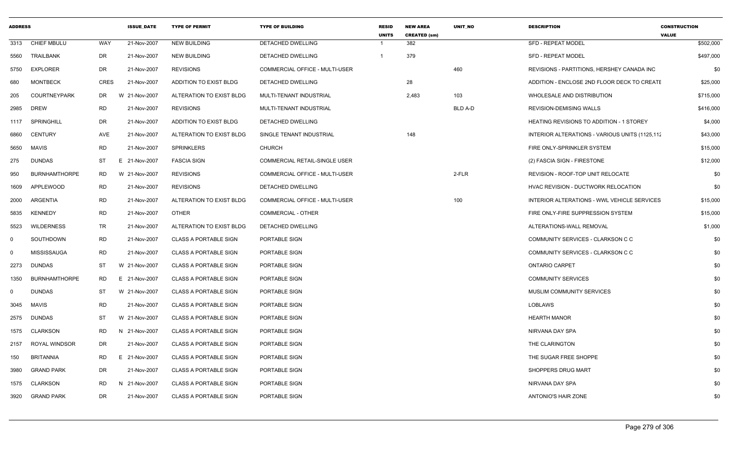| <b>ADDRESS</b> |                      |             | <b>ISSUE_DATE</b> | <b>TYPE OF PERMIT</b>        | <b>TYPE OF BUILDING</b>               | <b>RESID</b><br><b>UNITS</b> | <b>NEW AREA</b><br><b>CREATED (sm)</b> | UNIT_NO        | <b>DESCRIPTION</b>                              | <b>CONSTRUCTION</b><br><b>VALUE</b> |
|----------------|----------------------|-------------|-------------------|------------------------------|---------------------------------------|------------------------------|----------------------------------------|----------------|-------------------------------------------------|-------------------------------------|
| 3313           | <b>CHIEF MBULU</b>   | WAY         | 21-Nov-2007       | <b>NEW BUILDING</b>          | DETACHED DWELLING                     |                              | 382                                    |                | <b>SFD - REPEAT MODEL</b>                       | \$502,000                           |
| 5560           | <b>TRAILBANK</b>     | DR          | 21-Nov-2007       | <b>NEW BUILDING</b>          | DETACHED DWELLING                     | $\overline{1}$               | 379                                    |                | <b>SFD - REPEAT MODEL</b>                       | \$497,000                           |
| 5750           | <b>EXPLORER</b>      | DR          | 21-Nov-2007       | <b>REVISIONS</b>             | <b>COMMERCIAL OFFICE - MULTI-USER</b> |                              |                                        | 460            | REVISIONS - PARTITIONS, HERSHEY CANADA INC      | \$0                                 |
| 680            | <b>MONTBECK</b>      | <b>CRES</b> | 21-Nov-2007       | ADDITION TO EXIST BLDG       | DETACHED DWELLING                     |                              | 28                                     |                | ADDITION - ENCLOSE 2ND FLOOR DECK TO CREATE     | \$25,000                            |
| 205            | <b>COURTNEYPARK</b>  | DR          | W<br>21-Nov-2007  | ALTERATION TO EXIST BLDG     | MULTI-TENANT INDUSTRIAL               |                              | 2,483                                  | 103            | WHOLESALE AND DISTRIBUTION                      | \$715,000                           |
| 2985           | <b>DREW</b>          | <b>RD</b>   | 21-Nov-2007       | <b>REVISIONS</b>             | MULTI-TENANT INDUSTRIAL               |                              |                                        | <b>BLD A-D</b> | <b>REVISION-DEMISING WALLS</b>                  | \$416,000                           |
| 1117           | SPRINGHILL           | DR          | 21-Nov-2007       | ADDITION TO EXIST BLDG       | DETACHED DWELLING                     |                              |                                        |                | <b>HEATING REVISIONS TO ADDITION - 1 STOREY</b> | \$4,000                             |
| 6860           | <b>CENTURY</b>       | AVE         | 21-Nov-2007       | ALTERATION TO EXIST BLDG     | SINGLE TENANT INDUSTRIAL              |                              | 148                                    |                | INTERIOR ALTERATIONS - VARIOUS UNITS (1125,112) | \$43,000                            |
| 5650           | MAVIS                | <b>RD</b>   | 21-Nov-2007       | <b>SPRINKLERS</b>            | <b>CHURCH</b>                         |                              |                                        |                | FIRE ONLY-SPRINKLER SYSTEM                      | \$15,000                            |
| 275            | <b>DUNDAS</b>        | <b>ST</b>   | E<br>21-Nov-2007  | <b>FASCIA SIGN</b>           | <b>COMMERCIAL RETAIL-SINGLE USER</b>  |                              |                                        |                | (2) FASCIA SIGN - FIRESTONE                     | \$12,000                            |
| 950            | <b>BURNHAMTHORPE</b> | RD.         | W 21-Nov-2007     | <b>REVISIONS</b>             | COMMERCIAL OFFICE - MULTI-USER        |                              |                                        | 2-FLR          | REVISION - ROOF-TOP UNIT RELOCATE               | \$0                                 |
| 1609           | <b>APPLEWOOD</b>     | RD          | 21-Nov-2007       | <b>REVISIONS</b>             | DETACHED DWELLING                     |                              |                                        |                | HVAC REVISION - DUCTWORK RELOCATION             | \$0                                 |
| 2000           | ARGENTIA             | <b>RD</b>   | 21-Nov-2007       | ALTERATION TO EXIST BLDG     | COMMERCIAL OFFICE - MULTI-USER        |                              |                                        | 100            | INTERIOR ALTERATIONS - WWL VEHICLE SERVICES     | \$15,000                            |
| 5835           | <b>KENNEDY</b>       | <b>RD</b>   | 21-Nov-2007       | <b>OTHER</b>                 | <b>COMMERCIAL - OTHER</b>             |                              |                                        |                | FIRE ONLY-FIRE SUPPRESSION SYSTEM               | \$15,000                            |
| 5523           | <b>WILDERNESS</b>    | TR.         | 21-Nov-2007       | ALTERATION TO EXIST BLDG     | DETACHED DWELLING                     |                              |                                        |                | ALTERATIONS-WALL REMOVAL                        | \$1,000                             |
| $\Omega$       | SOUTHDOWN            | RD          | 21-Nov-2007       | <b>CLASS A PORTABLE SIGN</b> | PORTABLE SIGN                         |                              |                                        |                | COMMUNITY SERVICES - CLARKSON C C               | \$0                                 |
| $\Omega$       | <b>MISSISSAUGA</b>   | <b>RD</b>   | 21-Nov-2007       | <b>CLASS A PORTABLE SIGN</b> | PORTABLE SIGN                         |                              |                                        |                | COMMUNITY SERVICES - CLARKSON C C               | \$0                                 |
| 2273           | DUNDAS               | ST          | W 21-Nov-2007     | <b>CLASS A PORTABLE SIGN</b> | PORTABLE SIGN                         |                              |                                        |                | <b>ONTARIO CARPET</b>                           | \$0                                 |
| 1350           | <b>BURNHAMTHORPE</b> | RD.         | 21-Nov-2007<br>Е. | <b>CLASS A PORTABLE SIGN</b> | PORTABLE SIGN                         |                              |                                        |                | <b>COMMUNITY SERVICES</b>                       | \$0                                 |
| $\Omega$       | <b>DUNDAS</b>        | <b>ST</b>   | W 21-Nov-2007     | <b>CLASS A PORTABLE SIGN</b> | PORTABLE SIGN                         |                              |                                        |                | MUSLIM COMMUNITY SERVICES                       | \$0                                 |
| 3045           | <b>MAVIS</b>         | <b>RD</b>   | 21-Nov-2007       | <b>CLASS A PORTABLE SIGN</b> | PORTABLE SIGN                         |                              |                                        |                | <b>LOBLAWS</b>                                  | \$0                                 |
| 2575           | DUNDAS               | ST          | W 21-Nov-2007     | <b>CLASS A PORTABLE SIGN</b> | PORTABLE SIGN                         |                              |                                        |                | <b>HEARTH MANOR</b>                             | \$0                                 |
| 1575           | <b>CLARKSON</b>      | RD.         | N 21-Nov-2007     | <b>CLASS A PORTABLE SIGN</b> | PORTABLE SIGN                         |                              |                                        |                | NIRVANA DAY SPA                                 | \$0                                 |
| 2157           | ROYAL WINDSOR        | DR          | 21-Nov-2007       | <b>CLASS A PORTABLE SIGN</b> | PORTABLE SIGN                         |                              |                                        |                | THE CLARINGTON                                  | \$0                                 |
| 150            | <b>BRITANNIA</b>     | <b>RD</b>   | 21-Nov-2007<br>E. | <b>CLASS A PORTABLE SIGN</b> | PORTABLE SIGN                         |                              |                                        |                | THE SUGAR FREE SHOPPE                           | \$0                                 |
| 3980           | <b>GRAND PARK</b>    | DR          | 21-Nov-2007       | <b>CLASS A PORTABLE SIGN</b> | PORTABLE SIGN                         |                              |                                        |                | SHOPPERS DRUG MART                              | \$0                                 |
| 1575           | CLARKSON             | <b>RD</b>   | 21-Nov-2007<br>N  | <b>CLASS A PORTABLE SIGN</b> | PORTABLE SIGN                         |                              |                                        |                | NIRVANA DAY SPA                                 | \$0                                 |
| 3920           | <b>GRAND PARK</b>    | DR.         | 21-Nov-2007       | <b>CLASS A PORTABLE SIGN</b> | PORTABLE SIGN                         |                              |                                        |                | <b>ANTONIO'S HAIR ZONE</b>                      | \$0                                 |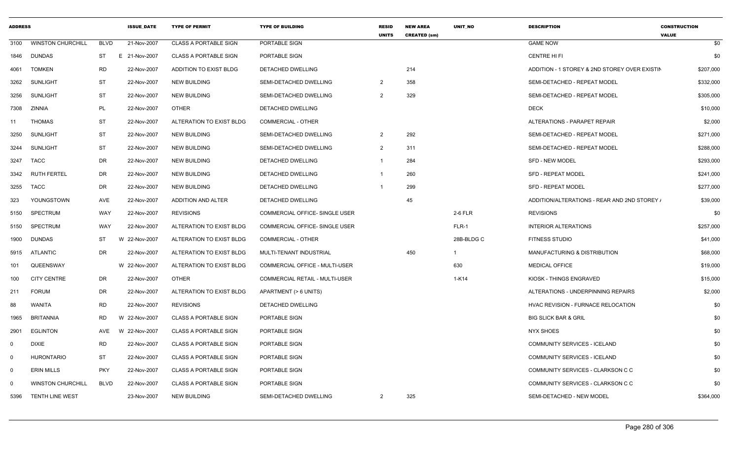| <b>ADDRESS</b> |                          |             | <b>ISSUE DATE</b> | <b>TYPE OF PERMIT</b>        | <b>TYPE OF BUILDING</b>               | <b>RESID</b><br><b>UNITS</b> | <b>NEW AREA</b><br><b>CREATED (sm)</b> | <b>UNIT NO</b> | <b>DESCRIPTION</b>                            | <b>CONSTRUCTION</b><br><b>VALUE</b> |
|----------------|--------------------------|-------------|-------------------|------------------------------|---------------------------------------|------------------------------|----------------------------------------|----------------|-----------------------------------------------|-------------------------------------|
| 3100           | <b>WINSTON CHURCHILL</b> | <b>BLVD</b> | 21-Nov-2007       | <b>CLASS A PORTABLE SIGN</b> | PORTABLE SIGN                         |                              |                                        |                | <b>GAME NOW</b>                               | \$0                                 |
| 1846           | <b>DUNDAS</b>            | ST          | E<br>21-Nov-2007  | <b>CLASS A PORTABLE SIGN</b> | PORTABLE SIGN                         |                              |                                        |                | CENTRE HI FI                                  | \$0                                 |
| 4061           | <b>TOMKEN</b>            | <b>RD</b>   | 22-Nov-2007       | ADDITION TO EXIST BLDG       | DETACHED DWELLING                     |                              | 214                                    |                | ADDITION - 1 STOREY & 2ND STOREY OVER EXISTIN | \$207,000                           |
| 3262           | <b>SUNLIGHT</b>          | <b>ST</b>   | 22-Nov-2007       | <b>NEW BUILDING</b>          | SEMI-DETACHED DWELLING                | $\overline{2}$               | 358                                    |                | SEMI-DETACHED - REPEAT MODEL                  | \$332,000                           |
| 3256           | <b>SUNLIGHT</b>          | <b>ST</b>   | 22-Nov-2007       | <b>NEW BUILDING</b>          | SEMI-DETACHED DWELLING                | $\overline{2}$               | 329                                    |                | SEMI-DETACHED - REPEAT MODEL                  | \$305,000                           |
| 7308           | ZINNIA                   | PL          | 22-Nov-2007       | <b>OTHER</b>                 | <b>DETACHED DWELLING</b>              |                              |                                        |                | <b>DECK</b>                                   | \$10,000                            |
| 11             | <b>THOMAS</b>            | <b>ST</b>   | 22-Nov-2007       | ALTERATION TO EXIST BLDG     | COMMERCIAL - OTHER                    |                              |                                        |                | ALTERATIONS - PARAPET REPAIR                  | \$2,000                             |
| 3250           | SUNLIGHT                 | <b>ST</b>   | 22-Nov-2007       | <b>NEW BUILDING</b>          | SEMI-DETACHED DWELLING                | $\overline{2}$               | 292                                    |                | SEMI-DETACHED - REPEAT MODEL                  | \$271,000                           |
| 3244           | SUNLIGHT                 | <b>ST</b>   | 22-Nov-2007       | <b>NEW BUILDING</b>          | SEMI-DETACHED DWELLING                | $\overline{2}$               | 311                                    |                | SEMI-DETACHED - REPEAT MODEL                  | \$288,000                           |
| 3247           | <b>TACC</b>              | <b>DR</b>   | 22-Nov-2007       | <b>NEW BUILDING</b>          | DETACHED DWELLING                     |                              | 284                                    |                | <b>SFD - NEW MODEL</b>                        | \$293,000                           |
| 3342           | <b>RUTH FERTEL</b>       | DR          | 22-Nov-2007       | <b>NEW BUILDING</b>          | <b>DETACHED DWELLING</b>              |                              | 260                                    |                | <b>SFD - REPEAT MODEL</b>                     | \$241,000                           |
| 3255           | <b>TACC</b>              | DR          | 22-Nov-2007       | <b>NEW BUILDING</b>          | DETACHED DWELLING                     |                              | 299                                    |                | <b>SFD - REPEAT MODEL</b>                     | \$277,000                           |
| 323            | YOUNGSTOWN               | AVE         | 22-Nov-2007       | ADDITION AND ALTER           | <b>DETACHED DWELLING</b>              |                              | 45                                     |                | ADDITION/ALTERATIONS - REAR AND 2ND STOREY    | \$39,000                            |
| 5150           | <b>SPECTRUM</b>          | WAY         | 22-Nov-2007       | <b>REVISIONS</b>             | COMMERCIAL OFFICE- SINGLE USER        |                              |                                        | 2-6 FLR        | <b>REVISIONS</b>                              | \$0                                 |
| 5150           | <b>SPECTRUM</b>          | WAY         | 22-Nov-2007       | ALTERATION TO EXIST BLDG     | <b>COMMERCIAL OFFICE- SINGLE USER</b> |                              |                                        | FLR-1          | <b>INTERIOR ALTERATIONS</b>                   | \$257,000                           |
| 1900           | <b>DUNDAS</b>            | ST          | W 22-Nov-2007     | ALTERATION TO EXIST BLDG     | COMMERCIAL - OTHER                    |                              |                                        | 28B-BLDG C     | <b>FITNESS STUDIO</b>                         | \$41,000                            |
| 5915           | ATLANTIC                 | DR          | 22-Nov-2007       | ALTERATION TO EXIST BLDG     | MULTI-TENANT INDUSTRIAL               |                              | 450                                    | $\mathbf 1$    | MANUFACTURING & DISTRIBUTION                  | \$68,000                            |
| 101            | QUEENSWAY                |             | W 22-Nov-2007     | ALTERATION TO EXIST BLDG     | COMMERCIAL OFFICE - MULTI-USER        |                              |                                        | 630            | <b>MEDICAL OFFICE</b>                         | \$19,000                            |
| 100            | <b>CITY CENTRE</b>       | DR          | 22-Nov-2007       | <b>OTHER</b>                 | COMMERCIAL RETAIL - MULTI-USER        |                              |                                        | $1-K14$        | KIOSK - THINGS ENGRAVED                       | \$15,000                            |
| 211            | <b>FORUM</b>             | DR.         | 22-Nov-2007       | ALTERATION TO EXIST BLDG     | APARTMENT (> 6 UNITS)                 |                              |                                        |                | ALTERATIONS - UNDERPINNING REPAIRS            | \$2,000                             |
| 88             | WANITA                   | <b>RD</b>   | 22-Nov-2007       | <b>REVISIONS</b>             | DETACHED DWELLING                     |                              |                                        |                | HVAC REVISION - FURNACE RELOCATION            | \$0                                 |
| 1965           | <b>BRITANNIA</b>         | <b>RD</b>   | W 22-Nov-2007     | <b>CLASS A PORTABLE SIGN</b> | PORTABLE SIGN                         |                              |                                        |                | <b>BIG SLICK BAR &amp; GRIL</b>               | \$0                                 |
| 2901           | <b>EGLINTON</b>          | AVE         | W 22-Nov-2007     | <b>CLASS A PORTABLE SIGN</b> | PORTABLE SIGN                         |                              |                                        |                | <b>NYX SHOES</b>                              | \$0                                 |
| $\Omega$       | <b>DIXIE</b>             | <b>RD</b>   | 22-Nov-2007       | <b>CLASS A PORTABLE SIGN</b> | PORTABLE SIGN                         |                              |                                        |                | COMMUNITY SERVICES - ICELAND                  | \$0                                 |
| $\mathbf 0$    | <b>HURONTARIO</b>        | <b>ST</b>   | 22-Nov-2007       | <b>CLASS A PORTABLE SIGN</b> | PORTABLE SIGN                         |                              |                                        |                | COMMUNITY SERVICES - ICELAND                  | \$0                                 |
| 0              | <b>ERIN MILLS</b>        | <b>PKY</b>  | 22-Nov-2007       | <b>CLASS A PORTABLE SIGN</b> | PORTABLE SIGN                         |                              |                                        |                | COMMUNITY SERVICES - CLARKSON C C             | \$0                                 |
| $\Omega$       | <b>WINSTON CHURCHILL</b> | <b>BLVD</b> | 22-Nov-2007       | <b>CLASS A PORTABLE SIGN</b> | PORTABLE SIGN                         |                              |                                        |                | COMMUNITY SERVICES - CLARKSON C C             | \$0                                 |
| 5396           | <b>TENTH LINE WEST</b>   |             | 23-Nov-2007       | <b>NEW BUILDING</b>          | SEMI-DETACHED DWELLING                | $\overline{2}$               | 325                                    |                | SEMI-DETACHED - NEW MODEL                     | \$364,000                           |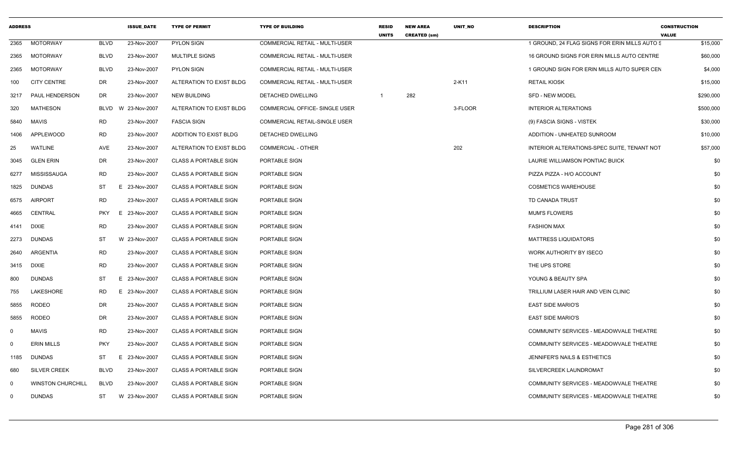| <b>ADDRESS</b> |                          |             | <b>ISSUE DATE</b> | <b>TYPE OF PERMIT</b>        | <b>TYPE OF BUILDING</b>               | <b>RESID</b><br><b>UNITS</b> | <b>NEW AREA</b><br><b>CREATED (sm)</b> | <b>UNIT NO</b> | <b>DESCRIPTION</b>                            | <b>CONSTRUCTION</b><br><b>VALUE</b> |
|----------------|--------------------------|-------------|-------------------|------------------------------|---------------------------------------|------------------------------|----------------------------------------|----------------|-----------------------------------------------|-------------------------------------|
| 2365           | <b>MOTORWAY</b>          | <b>BLVD</b> | 23-Nov-2007       | PYLON SIGN                   | COMMERCIAL RETAIL - MULTI-USER        |                              |                                        |                | 1 GROUND, 24 FLAG SIGNS FOR ERIN MILLS AUTO 5 | \$15,000                            |
| 2365           | <b>MOTORWAY</b>          | <b>BLVD</b> | 23-Nov-2007       | <b>MULTIPLE SIGNS</b>        | <b>COMMERCIAL RETAIL - MULTI-USER</b> |                              |                                        |                | 16 GROUND SIGNS FOR ERIN MILLS AUTO CENTRE    | \$60,000                            |
| 2365           | MOTORWAY                 | <b>BLVD</b> | 23-Nov-2007       | <b>PYLON SIGN</b>            | COMMERCIAL RETAIL - MULTI-USER        |                              |                                        |                | 1 GROUND SIGN FOR ERIN MILLS AUTO SUPER CEN   | \$4,000                             |
| 100            | <b>CITY CENTRE</b>       | DR          | 23-Nov-2007       | ALTERATION TO EXIST BLDG     | COMMERCIAL RETAIL - MULTI-USER        |                              |                                        | 2-K11          | <b>RETAIL KIOSK</b>                           | \$15,000                            |
| 3217           | PAUL HENDERSON           | DR.         | 23-Nov-2007       | <b>NEW BUILDING</b>          | DETACHED DWELLING                     | $\overline{1}$               | 282                                    |                | <b>SFD - NEW MODEL</b>                        | \$290,000                           |
| 320            | <b>MATHESON</b>          | <b>BLVD</b> | 23-Nov-2007<br>W  | ALTERATION TO EXIST BLDG     | COMMERCIAL OFFICE- SINGLE USER        |                              |                                        | 3-FLOOR        | <b>INTERIOR ALTERATIONS</b>                   | \$500,000                           |
| 5840           | <b>MAVIS</b>             | <b>RD</b>   | 23-Nov-2007       | <b>FASCIA SIGN</b>           | COMMERCIAL RETAIL-SINGLE USER         |                              |                                        |                | (9) FASCIA SIGNS - VISTEK                     | \$30,000                            |
| 1406           | APPLEWOOD                | <b>RD</b>   | 23-Nov-2007       | ADDITION TO EXIST BLDG       | <b>DETACHED DWELLING</b>              |                              |                                        |                | ADDITION - UNHEATED SUNROOM                   | \$10,000                            |
| 25             | <b>WATLINE</b>           | AVE         | 23-Nov-2007       | ALTERATION TO EXIST BLDG     | COMMERCIAL - OTHER                    |                              |                                        | 202            | INTERIOR ALTERATIONS-SPEC SUITE, TENANT NOT   | \$57,000                            |
| 3045           | <b>GLEN ERIN</b>         | DR          | 23-Nov-2007       | <b>CLASS A PORTABLE SIGN</b> | PORTABLE SIGN                         |                              |                                        |                | LAURIE WILLIAMSON PONTIAC BUICK               | \$0                                 |
| 6277           | MISSISSAUGA              | <b>RD</b>   | 23-Nov-2007       | <b>CLASS A PORTABLE SIGN</b> | PORTABLE SIGN                         |                              |                                        |                | PIZZA PIZZA - H/O ACCOUNT                     | \$0                                 |
| 1825           | <b>DUNDAS</b>            | ST          | Е<br>23-Nov-2007  | <b>CLASS A PORTABLE SIGN</b> | PORTABLE SIGN                         |                              |                                        |                | <b>COSMETICS WAREHOUSE</b>                    | \$0                                 |
| 6575           | <b>AIRPORT</b>           | <b>RD</b>   | 23-Nov-2007       | <b>CLASS A PORTABLE SIGN</b> | PORTABLE SIGN                         |                              |                                        |                | TD CANADA TRUST                               | \$0                                 |
| 4665           | CENTRAL                  | <b>PKY</b>  | 23-Nov-2007<br>Е  | <b>CLASS A PORTABLE SIGN</b> | PORTABLE SIGN                         |                              |                                        |                | <b>MUM'S FLOWERS</b>                          | \$0                                 |
| 4141           | <b>DIXIE</b>             | <b>RD</b>   | 23-Nov-2007       | <b>CLASS A PORTABLE SIGN</b> | PORTABLE SIGN                         |                              |                                        |                | <b>FASHION MAX</b>                            | \$0                                 |
| 2273           | <b>DUNDAS</b>            | ST          | W 23-Nov-2007     | <b>CLASS A PORTABLE SIGN</b> | PORTABLE SIGN                         |                              |                                        |                | <b>MATTRESS LIQUIDATORS</b>                   | \$0                                 |
| 2640           | ARGENTIA                 | <b>RD</b>   | 23-Nov-2007       | <b>CLASS A PORTABLE SIGN</b> | PORTABLE SIGN                         |                              |                                        |                | WORK AUTHORITY BY ISECO                       | \$0                                 |
| 3415           | <b>DIXIE</b>             | <b>RD</b>   | 23-Nov-2007       | <b>CLASS A PORTABLE SIGN</b> | PORTABLE SIGN                         |                              |                                        |                | THE UPS STORE                                 | \$0                                 |
| 800            | <b>DUNDAS</b>            | ST          | E<br>23-Nov-2007  | <b>CLASS A PORTABLE SIGN</b> | PORTABLE SIGN                         |                              |                                        |                | YOUNG & BEAUTY SPA                            | \$0                                 |
| 755            | LAKESHORE                | <b>RD</b>   | 23-Nov-2007<br>E  | <b>CLASS A PORTABLE SIGN</b> | PORTABLE SIGN                         |                              |                                        |                | TRILLIUM LASER HAIR AND VEIN CLINIC           | \$0                                 |
| 5855           | <b>RODEO</b>             | DR          | 23-Nov-2007       | <b>CLASS A PORTABLE SIGN</b> | PORTABLE SIGN                         |                              |                                        |                | <b>EAST SIDE MARIO'S</b>                      | \$0                                 |
| 5855           | <b>RODEO</b>             | DR          | 23-Nov-2007       | <b>CLASS A PORTABLE SIGN</b> | PORTABLE SIGN                         |                              |                                        |                | <b>EAST SIDE MARIO'S</b>                      | \$0                                 |
| $\mathbf 0$    | <b>MAVIS</b>             | <b>RD</b>   | 23-Nov-2007       | <b>CLASS A PORTABLE SIGN</b> | PORTABLE SIGN                         |                              |                                        |                | COMMUNITY SERVICES - MEADOWVALE THEATRE       | \$0                                 |
| $\mathbf 0$    | <b>ERIN MILLS</b>        | <b>PKY</b>  | 23-Nov-2007       | <b>CLASS A PORTABLE SIGN</b> | PORTABLE SIGN                         |                              |                                        |                | COMMUNITY SERVICES - MEADOWVALE THEATRE       | \$0                                 |
| 1185           | <b>DUNDAS</b>            | ST          | 23-Nov-2007<br>Е  | <b>CLASS A PORTABLE SIGN</b> | PORTABLE SIGN                         |                              |                                        |                | JENNIFER'S NAILS & ESTHETICS                  | \$0                                 |
| 680            | <b>SILVER CREEK</b>      | <b>BLVD</b> | 23-Nov-2007       | <b>CLASS A PORTABLE SIGN</b> | PORTABLE SIGN                         |                              |                                        |                | SILVERCREEK LAUNDROMAT                        | \$0                                 |
| $\mathbf 0$    | <b>WINSTON CHURCHILL</b> | <b>BLVD</b> | 23-Nov-2007       | <b>CLASS A PORTABLE SIGN</b> | PORTABLE SIGN                         |                              |                                        |                | COMMUNITY SERVICES - MEADOWVALE THEATRE       | \$0                                 |
| $\mathbf 0$    | <b>DUNDAS</b>            | ST          | W 23-Nov-2007     | <b>CLASS A PORTABLE SIGN</b> | PORTABLE SIGN                         |                              |                                        |                | COMMUNITY SERVICES - MEADOWVALE THEATRE       | \$0                                 |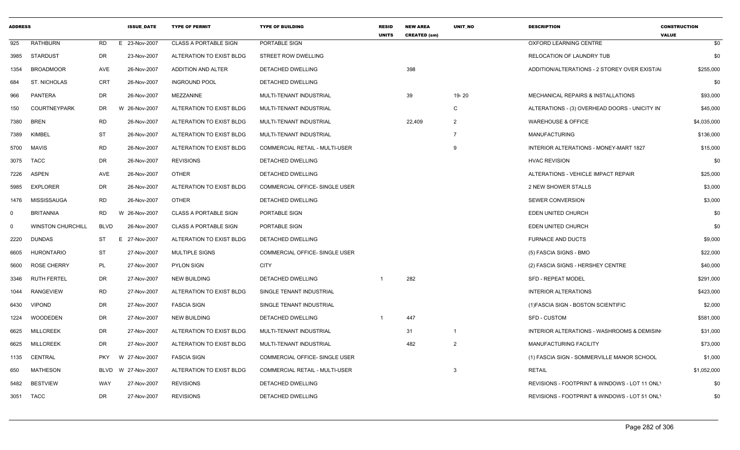| <b>ADDRESS</b> |                          |             | <b>ISSUE DATE</b>       | <b>TYPE OF PERMIT</b>        | <b>TYPE OF BUILDING</b>        | <b>RESID</b><br><b>UNITS</b> | <b>NEW AREA</b><br><b>CREATED (sm)</b> | <b>UNIT NO</b> | <b>DESCRIPTION</b>                            | <b>CONSTRUCTION</b><br><b>VALUE</b> |
|----------------|--------------------------|-------------|-------------------------|------------------------------|--------------------------------|------------------------------|----------------------------------------|----------------|-----------------------------------------------|-------------------------------------|
| 925            | RATHBURN                 | RD          | E 23-Nov-2007           | <b>CLASS A PORTABLE SIGN</b> | PORTABLE SIGN                  |                              |                                        |                | OXFORD LEARNING CENTRE                        | \$0                                 |
| 3985           | STARDUST                 | DR          | 23-Nov-2007             | ALTERATION TO EXIST BLDG     | <b>STREET ROW DWELLING</b>     |                              |                                        |                | <b>RELOCATION OF LAUNDRY TUB</b>              | \$0                                 |
| 1354           | <b>BROADMOOR</b>         | AVE         | 26-Nov-2007             | ADDITION AND ALTER           | DETACHED DWELLING              |                              | 398                                    |                | ADDITION/ALTERATIONS - 2 STOREY OVER EXIST/AI | \$255,000                           |
| 684            | ST. NICHOLAS             | CRT         | 26-Nov-2007             | <b>INGROUND POOL</b>         | DETACHED DWELLING              |                              |                                        |                |                                               | \$0                                 |
| 966            | PANTERA                  | DR          | 26-Nov-2007             | MEZZANINE                    | MULTI-TENANT INDUSTRIAL        |                              | 39                                     | 19-20          | MECHANICAL REPAIRS & INSTALLATIONS            | \$93,000                            |
| 150            | <b>COURTNEYPARK</b>      | DR          | W 26-Nov-2007           | ALTERATION TO EXIST BLDG     | MULTI-TENANT INDUSTRIAL        |                              |                                        | $\mathsf{C}$   | ALTERATIONS - (3) OVERHEAD DOORS - UNICITY IN | \$45,000                            |
| 7380           | <b>BREN</b>              | <b>RD</b>   | 26-Nov-2007             | ALTERATION TO EXIST BLDG     | MULTI-TENANT INDUSTRIAL        |                              | 22,409                                 | $\overline{2}$ | <b>WAREHOUSE &amp; OFFICE</b>                 | \$4,035,000                         |
| 7389           | KIMBEL                   | ST          | 26-Nov-2007             | ALTERATION TO EXIST BLDG     | MULTI-TENANT INDUSTRIAL        |                              |                                        | - 7            | <b>MANUFACTURING</b>                          | \$136,000                           |
| 5700           | MAVIS                    | <b>RD</b>   | 26-Nov-2007             | ALTERATION TO EXIST BLDG     | COMMERCIAL RETAIL - MULTI-USER |                              |                                        | 9              | <b>INTERIOR ALTERATIONS - MONEY-MART 1827</b> | \$15,000                            |
| 3075           | <b>TACC</b>              | DR          | 26-Nov-2007             | <b>REVISIONS</b>             | DETACHED DWELLING              |                              |                                        |                | <b>HVAC REVISION</b>                          | \$0                                 |
| 7226           | <b>ASPEN</b>             | AVE         | 26-Nov-2007             | <b>OTHER</b>                 | DETACHED DWELLING              |                              |                                        |                | ALTERATIONS - VEHICLE IMPACT REPAIR           | \$25,000                            |
| 5985           | <b>EXPLORER</b>          | DR          | 26-Nov-2007             | ALTERATION TO EXIST BLDG     | COMMERCIAL OFFICE- SINGLE USER |                              |                                        |                | 2 NEW SHOWER STALLS                           | \$3,000                             |
| 1476           | MISSISSAUGA              | RD          | 26-Nov-2007             | <b>OTHER</b>                 | DETACHED DWELLING              |                              |                                        |                | <b>SEWER CONVERSION</b>                       | \$3,000                             |
| 0              | <b>BRITANNIA</b>         | RD          | 26-Nov-2007<br><b>W</b> | <b>CLASS A PORTABLE SIGN</b> | PORTABLE SIGN                  |                              |                                        |                | EDEN UNITED CHURCH                            | \$0                                 |
| 0              | <b>WINSTON CHURCHILL</b> | <b>BLVD</b> | 26-Nov-2007             | <b>CLASS A PORTABLE SIGN</b> | PORTABLE SIGN                  |                              |                                        |                | EDEN UNITED CHURCH                            | \$0                                 |
| 2220           | <b>DUNDAS</b>            | ST          | E 27-Nov-2007           | ALTERATION TO EXIST BLDG     | DETACHED DWELLING              |                              |                                        |                | <b>FURNACE AND DUCTS</b>                      | \$9,000                             |
| 6605           | <b>HURONTARIO</b>        | <b>ST</b>   | 27-Nov-2007             | <b>MULTIPLE SIGNS</b>        | COMMERCIAL OFFICE- SINGLE USER |                              |                                        |                | (5) FASCIA SIGNS - BMO                        | \$22,000                            |
| 5600           | <b>ROSE CHERRY</b>       | PL          | 27-Nov-2007             | <b>PYLON SIGN</b>            | <b>CITY</b>                    |                              |                                        |                | (2) FASCIA SIGNS - HERSHEY CENTRE             | \$40,000                            |
| 3346           | <b>RUTH FERTEL</b>       | DR          | 27-Nov-2007             | <b>NEW BUILDING</b>          | <b>DETACHED DWELLING</b>       |                              | 282                                    |                | <b>SFD - REPEAT MODEL</b>                     | \$291,000                           |
| 1044           | RANGEVIEW                | RD          | 27-Nov-2007             | ALTERATION TO EXIST BLDG     | SINGLE TENANT INDUSTRIAL       |                              |                                        |                | INTERIOR ALTERATIONS                          | \$423,000                           |
| 6430           | <b>VIPOND</b>            | DR          | 27-Nov-2007             | <b>FASCIA SIGN</b>           | SINGLE TENANT INDUSTRIAL       |                              |                                        |                | (1) FASCIA SIGN - BOSTON SCIENTIFIC           | \$2,000                             |
| 1224           | WOODEDEN                 | DR          | 27-Nov-2007             | <b>NEW BUILDING</b>          | DETACHED DWELLING              |                              | 447                                    |                | <b>SFD - CUSTOM</b>                           | \$581,000                           |
| 6625           | <b>MILLCREEK</b>         | DR          | 27-Nov-2007             | ALTERATION TO EXIST BLDG     | MULTI-TENANT INDUSTRIAL        |                              | 31                                     | $\overline{1}$ | INTERIOR ALTERATIONS - WASHROOMS & DEMISIN    | \$31,000                            |
| 6625           | <b>MILLCREEK</b>         | DR          | 27-Nov-2007             | ALTERATION TO EXIST BLDG     | MULTI-TENANT INDUSTRIAL        |                              | 482                                    | $\overline{2}$ | MANUFACTURING FACILITY                        | \$73,000                            |
| 1135           | CENTRAL                  | <b>PKY</b>  | 27-Nov-2007<br>W.       | <b>FASCIA SIGN</b>           | COMMERCIAL OFFICE- SINGLE USER |                              |                                        |                | (1) FASCIA SIGN - SOMMERVILLE MANOR SCHOOL    | \$1,000                             |
| 650            | MATHESON                 |             | BLVD W 27-Nov-2007      | ALTERATION TO EXIST BLDG     | COMMERCIAL RETAIL - MULTI-USER |                              |                                        | -3             | <b>RETAIL</b>                                 | \$1,052,000                         |
| 5482           | <b>BESTVIEW</b>          | WAY         | 27-Nov-2007             | <b>REVISIONS</b>             | DETACHED DWELLING              |                              |                                        |                | REVISIONS - FOOTPRINT & WINDOWS - LOT 11 ONL' | \$0                                 |
| 3051 TACC      |                          | <b>DR</b>   | 27-Nov-2007             | <b>REVISIONS</b>             | DETACHED DWELLING              |                              |                                        |                | REVISIONS - FOOTPRINT & WINDOWS - LOT 51 ONLY | \$0                                 |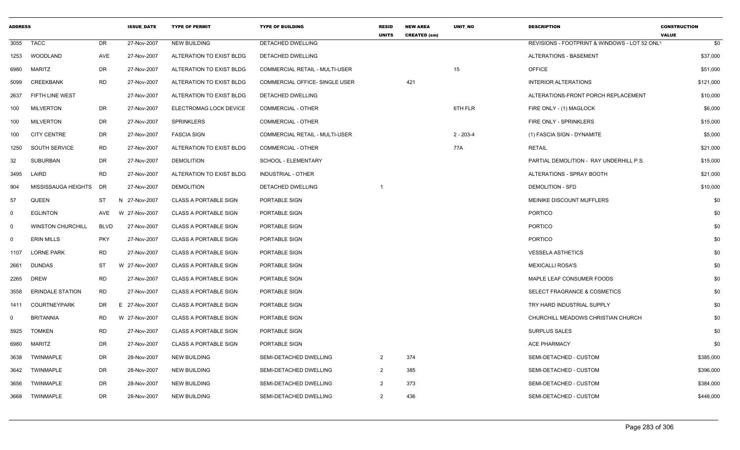| <b>ADDRESS</b> |                          |             | <b>ISSUE DATE</b> | <b>TYPE OF PERMIT</b>        | <b>TYPE OF BUILDING</b>               | <b>RESID</b><br><b>UNITS</b> | <b>NEW AREA</b><br><b>CREATED (sm)</b> | <b>UNIT NO</b> | <b>DESCRIPTION</b>                            | <b>CONSTRUCTION</b><br><b>VALUE</b> |
|----------------|--------------------------|-------------|-------------------|------------------------------|---------------------------------------|------------------------------|----------------------------------------|----------------|-----------------------------------------------|-------------------------------------|
| 3055           | <b>TACC</b>              | DR          | 27-Nov-2007       | <b>NEW BUILDING</b>          | <b>DETACHED DWELLING</b>              |                              |                                        |                | REVISIONS - FOOTPRINT & WINDOWS - LOT 52 ONL' | \$0                                 |
| 1253           | WOODLAND                 | AVE         | 27-Nov-2007       | ALTERATION TO EXIST BLDG     | <b>DETACHED DWELLING</b>              |                              |                                        |                | <b>ALTERATIONS - BASEMENT</b>                 | \$37,000                            |
| 6980           | <b>MARITZ</b>            | DR          | 27-Nov-2007       | ALTERATION TO EXIST BLDG     | COMMERCIAL RETAIL - MULTI-USER        |                              |                                        | 15             | <b>OFFICE</b>                                 | \$51,000                            |
| 5099           | CREEKBANK                | RD          | 27-Nov-2007       | ALTERATION TO EXIST BLDG     | COMMERCIAL OFFICE- SINGLE USER        |                              | 421                                    |                | <b>INTERIOR ALTERATIONS</b>                   | \$121,000                           |
| 2637           | FIFTH LINE WEST          |             | 27-Nov-2007       | ALTERATION TO EXIST BLDG     | DETACHED DWELLING                     |                              |                                        |                | ALTERATIONS-FRONT PORCH REPLACEMENT           | \$10,000                            |
| 100            | <b>MILVERTON</b>         | DR          | 27-Nov-2007       | ELECTROMAG LOCK DEVICE       | <b>COMMERCIAL - OTHER</b>             |                              |                                        | 6TH FLR        | FIRE ONLY - (1) MAGLOCK                       | \$6,000                             |
| 100            | <b>MILVERTON</b>         | DR          | 27-Nov-2007       | <b>SPRINKLERS</b>            | <b>COMMERCIAL - OTHER</b>             |                              |                                        |                | FIRE ONLY - SPRINKLERS                        | \$15,000                            |
| 100            | <b>CITY CENTRE</b>       | DR          | 27-Nov-2007       | <b>FASCIA SIGN</b>           | <b>COMMERCIAL RETAIL - MULTI-USER</b> |                              |                                        | $2 - 203 - 4$  | (1) FASCIA SIGN - DYNAMITE                    | \$5,000                             |
| 1250           | SOUTH SERVICE            | RD          | 27-Nov-2007       | ALTERATION TO EXIST BLDG     | <b>COMMERCIAL - OTHER</b>             |                              |                                        | 77A            | <b>RETAIL</b>                                 | \$21,000                            |
| 32             | <b>SUBURBAN</b>          | DR          | 27-Nov-2007       | <b>DEMOLITION</b>            | SCHOOL - ELEMENTARY                   |                              |                                        |                | PARTIAL DEMOLITION - RAY UNDERHILL P.S.       | \$15,000                            |
| 3495           | LAIRD                    | <b>RD</b>   | 27-Nov-2007       | ALTERATION TO EXIST BLDG     | INDUSTRIAL - OTHER                    |                              |                                        |                | ALTERATIONS - SPRAY BOOTH                     | \$21,000                            |
| 904            | MISSISSAUGA HEIGHTS      | DR          | 27-Nov-2007       | <b>DEMOLITION</b>            | DETACHED DWELLING                     |                              |                                        |                | <b>DEMOLITION - SFD</b>                       | \$10,000                            |
| 57             | <b>QUEEN</b>             | ST          | N 27-Nov-2007     | <b>CLASS A PORTABLE SIGN</b> | PORTABLE SIGN                         |                              |                                        |                | MEINIKE DISCOUNT MUFFLERS                     | \$0                                 |
| $\mathbf 0$    | <b>EGLINTON</b>          | AVE         | W 27-Nov-2007     | <b>CLASS A PORTABLE SIGN</b> | PORTABLE SIGN                         |                              |                                        |                | <b>PORTICO</b>                                | \$0                                 |
| 0              | <b>WINSTON CHURCHILL</b> | <b>BLVD</b> | 27-Nov-2007       | <b>CLASS A PORTABLE SIGN</b> | PORTABLE SIGN                         |                              |                                        |                | <b>PORTICO</b>                                | \$0                                 |
| $\Omega$       | <b>ERIN MILLS</b>        | <b>PKY</b>  | 27-Nov-2007       | <b>CLASS A PORTABLE SIGN</b> | PORTABLE SIGN                         |                              |                                        |                | <b>PORTICO</b>                                | \$0                                 |
| 1107           | <b>LORNE PARK</b>        | RD          | 27-Nov-2007       | <b>CLASS A PORTABLE SIGN</b> | PORTABLE SIGN                         |                              |                                        |                | <b>VESSELA ASTHETICS</b>                      | \$0                                 |
| 2661           | <b>DUNDAS</b>            | ST          | W 27-Nov-2007     | <b>CLASS A PORTABLE SIGN</b> | PORTABLE SIGN                         |                              |                                        |                | <b>MEXICALLI ROSA'S</b>                       | \$0                                 |
| 2265           | <b>DREW</b>              | <b>RD</b>   | 27-Nov-2007       | <b>CLASS A PORTABLE SIGN</b> | PORTABLE SIGN                         |                              |                                        |                | MAPLE LEAF CONSUMER FOODS                     | \$0                                 |
| 3558           | <b>ERINDALE STATION</b>  | <b>RD</b>   | 27-Nov-2007       | <b>CLASS A PORTABLE SIGN</b> | PORTABLE SIGN                         |                              |                                        |                | SELECT FRAGRANCE & COSMETICS                  | \$0                                 |
| 1411           | <b>COURTNEYPARK</b>      | DR          | E 27-Nov-2007     | <b>CLASS A PORTABLE SIGN</b> | PORTABLE SIGN                         |                              |                                        |                | TRY HARD INDUSTRIAL SUPPLY                    | \$0                                 |
| $\Omega$       | <b>BRITANNIA</b>         | RD          | W 27-Nov-2007     | <b>CLASS A PORTABLE SIGN</b> | PORTABLE SIGN                         |                              |                                        |                | CHURCHILL MEADOWS CHRISTIAN CHURCH            | \$0                                 |
| 5925           | <b>TOMKEN</b>            | <b>RD</b>   | 27-Nov-2007       | <b>CLASS A PORTABLE SIGN</b> | PORTABLE SIGN                         |                              |                                        |                | <b>SURPLUS SALES</b>                          | \$0                                 |
| 6980           | MARITZ                   | DR          | 27-Nov-2007       | <b>CLASS A PORTABLE SIGN</b> | PORTABLE SIGN                         |                              |                                        |                | <b>ACE PHARMACY</b>                           | \$0                                 |
| 3638           | TWINMAPLE                | DR          | 28-Nov-2007       | NEW BUILDING                 | SEMI-DETACHED DWELLING                | $\overline{2}$               | 374                                    |                | SEMI-DETACHED - CUSTOM                        | \$385,000                           |
| 3642           | <b>TWINMAPLE</b>         | DR          | 28-Nov-2007       | NEW BUILDING                 | SEMI-DETACHED DWELLING                | 2                            | 385                                    |                | SEMI-DETACHED - CUSTOM                        | \$396,000                           |
| 3656           | <b>TWINMAPLE</b>         | DR          | 28-Nov-2007       | <b>NEW BUILDING</b>          | SEMI-DETACHED DWELLING                | 2                            | 373                                    |                | SEMI-DETACHED - CUSTOM                        | \$384,000                           |
| 3668           | <b>TWINMAPLE</b>         | DR          | 28-Nov-2007       | <b>NEW BUILDING</b>          | SEMI-DETACHED DWELLING                | $\overline{2}$               | 436                                    |                | SEMI-DETACHED - CUSTOM                        | \$448,000                           |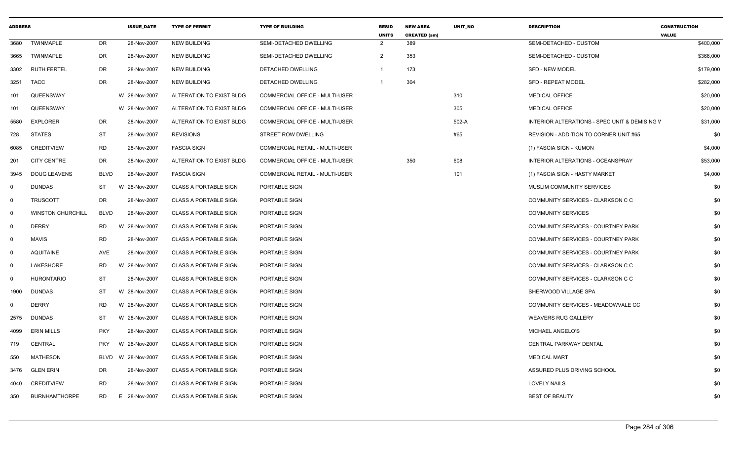| <b>ADDRESS</b> |                          |             | <b>ISSUE DATE</b> | <b>TYPE OF PERMIT</b>        | <b>TYPE OF BUILDING</b>               | <b>RESID</b><br><b>UNITS</b> | <b>NEW AREA</b><br><b>CREATED (sm)</b> | <b>UNIT NO</b> | <b>DESCRIPTION</b>                            | <b>CONSTRUCTION</b><br><b>VALUE</b> |
|----------------|--------------------------|-------------|-------------------|------------------------------|---------------------------------------|------------------------------|----------------------------------------|----------------|-----------------------------------------------|-------------------------------------|
| 3680           | <b>TWINMAPLE</b>         | <b>DR</b>   | 28-Nov-2007       | <b>NEW BUILDING</b>          | SEMI-DETACHED DWELLING                | 2                            | 389                                    |                | SEMI-DETACHED - CUSTOM                        | \$400,000                           |
| 3665           | <b>TWINMAPLE</b>         | DR          | 28-Nov-2007       | <b>NEW BUILDING</b>          | SEMI-DETACHED DWELLING                | $\overline{2}$               | 353                                    |                | SEMI-DETACHED - CUSTOM                        | \$366,000                           |
| 3302           | <b>RUTH FERTEL</b>       | DR          | 28-Nov-2007       | <b>NEW BUILDING</b>          | <b>DETACHED DWELLING</b>              | -1                           | 173                                    |                | <b>SFD - NEW MODEL</b>                        | \$179,000                           |
| 3251           | TACC                     | <b>DR</b>   | 28-Nov-2007       | <b>NEW BUILDING</b>          | DETACHED DWELLING                     | $\overline{1}$               | 304                                    |                | <b>SFD - REPEAT MODEL</b>                     | \$282,000                           |
| 101            | QUEENSWAY                |             | W 28-Nov-2007     | ALTERATION TO EXIST BLDG     | <b>COMMERCIAL OFFICE - MULTI-USER</b> |                              |                                        | 310            | <b>MEDICAL OFFICE</b>                         | \$20,000                            |
| 101            | QUEENSWAY                |             | W 28-Nov-2007     | ALTERATION TO EXIST BLDG     | COMMERCIAL OFFICE - MULTI-USER        |                              |                                        | 305            | <b>MEDICAL OFFICE</b>                         | \$20,000                            |
| 5580           | <b>EXPLORER</b>          | DR          | 28-Nov-2007       | ALTERATION TO EXIST BLDG     | COMMERCIAL OFFICE - MULTI-USER        |                              |                                        | 502-A          | INTERIOR ALTERATIONS - SPEC UNIT & DEMISING V | \$31,000                            |
| 728            | <b>STATES</b>            | ST          | 28-Nov-2007       | <b>REVISIONS</b>             | STREET ROW DWELLING                   |                              |                                        | #65            | REVISION - ADDITION TO CORNER UNIT #65        | \$0                                 |
| 6085           | <b>CREDITVIEW</b>        | <b>RD</b>   | 28-Nov-2007       | <b>FASCIA SIGN</b>           | COMMERCIAL RETAIL - MULTI-USER        |                              |                                        |                | (1) FASCIA SIGN - KUMON                       | \$4,000                             |
| 201            | <b>CITY CENTRE</b>       | DR          | 28-Nov-2007       | ALTERATION TO EXIST BLDG     | <b>COMMERCIAL OFFICE - MULTI-USER</b> |                              | 350                                    | 608            | INTERIOR ALTERATIONS - OCEANSPRAY             | \$53,000                            |
| 3945           | <b>DOUG LEAVENS</b>      | <b>BLVD</b> | 28-Nov-2007       | <b>FASCIA SIGN</b>           | COMMERCIAL RETAIL - MULTI-USER        |                              |                                        | 101            | (1) FASCIA SIGN - HASTY MARKET                | \$4,000                             |
| $\mathbf 0$    | <b>DUNDAS</b>            | ST          | W 28-Nov-2007     | <b>CLASS A PORTABLE SIGN</b> | PORTABLE SIGN                         |                              |                                        |                | MUSLIM COMMUNITY SERVICES                     | \$0                                 |
| $\mathbf 0$    | <b>TRUSCOTT</b>          | DR          | 28-Nov-2007       | <b>CLASS A PORTABLE SIGN</b> | PORTABLE SIGN                         |                              |                                        |                | COMMUNITY SERVICES - CLARKSON C C             | \$0                                 |
| $\mathbf 0$    | <b>WINSTON CHURCHILL</b> | <b>BLVD</b> | 28-Nov-2007       | <b>CLASS A PORTABLE SIGN</b> | PORTABLE SIGN                         |                              |                                        |                | <b>COMMUNITY SERVICES</b>                     | \$0                                 |
| $\mathbf 0$    | <b>DERRY</b>             | <b>RD</b>   | W 28-Nov-2007     | <b>CLASS A PORTABLE SIGN</b> | PORTABLE SIGN                         |                              |                                        |                | COMMUNITY SERVICES - COURTNEY PARK            | \$0                                 |
| $\mathbf 0$    | <b>MAVIS</b>             | <b>RD</b>   | 28-Nov-2007       | <b>CLASS A PORTABLE SIGN</b> | PORTABLE SIGN                         |                              |                                        |                | COMMUNITY SERVICES - COURTNEY PARK            | \$0                                 |
| $\mathbf 0$    | <b>AQUITAINE</b>         | AVE         | 28-Nov-2007       | <b>CLASS A PORTABLE SIGN</b> | PORTABLE SIGN                         |                              |                                        |                | COMMUNITY SERVICES - COURTNEY PARK            | \$0                                 |
| $\mathbf 0$    | LAKESHORE                | <b>RD</b>   | W 28-Nov-2007     | <b>CLASS A PORTABLE SIGN</b> | PORTABLE SIGN                         |                              |                                        |                | COMMUNITY SERVICES - CLARKSON C C             | \$0                                 |
| $\mathbf 0$    | <b>HURONTARIO</b>        | ST          | 28-Nov-2007       | <b>CLASS A PORTABLE SIGN</b> | PORTABLE SIGN                         |                              |                                        |                | COMMUNITY SERVICES - CLARKSON C C             | \$0                                 |
| 1900           | <b>DUNDAS</b>            | <b>ST</b>   | W 28-Nov-2007     | <b>CLASS A PORTABLE SIGN</b> | PORTABLE SIGN                         |                              |                                        |                | SHERWOOD VILLAGE SPA                          | \$0                                 |
| $\Omega$       | <b>DERRY</b>             | <b>RD</b>   | W 28-Nov-2007     | <b>CLASS A PORTABLE SIGN</b> | PORTABLE SIGN                         |                              |                                        |                | COMMUNITY SERVICES - MEADOWVALE CC            | \$0                                 |
| 2575           | <b>DUNDAS</b>            | ST          | W 28-Nov-2007     | <b>CLASS A PORTABLE SIGN</b> | PORTABLE SIGN                         |                              |                                        |                | <b>WEAVERS RUG GALLERY</b>                    | \$0                                 |
| 4099           | <b>ERIN MILLS</b>        | <b>PKY</b>  | 28-Nov-2007       | <b>CLASS A PORTABLE SIGN</b> | PORTABLE SIGN                         |                              |                                        |                | MICHAEL ANGELO'S                              | \$0                                 |
| 719            | <b>CENTRAL</b>           | <b>PKY</b>  | W 28-Nov-2007     | <b>CLASS A PORTABLE SIGN</b> | PORTABLE SIGN                         |                              |                                        |                | CENTRAL PARKWAY DENTAL                        | \$0                                 |
| 550            | <b>MATHESON</b>          | BLVD        | W 28-Nov-2007     | <b>CLASS A PORTABLE SIGN</b> | PORTABLE SIGN                         |                              |                                        |                | <b>MEDICAL MART</b>                           | \$0                                 |
| 3476           | <b>GLEN ERIN</b>         | DR          | 28-Nov-2007       | <b>CLASS A PORTABLE SIGN</b> | PORTABLE SIGN                         |                              |                                        |                | ASSURED PLUS DRIVING SCHOOL                   | \$0                                 |
| 4040           | <b>CREDITVIEW</b>        | <b>RD</b>   | 28-Nov-2007       | <b>CLASS A PORTABLE SIGN</b> | PORTABLE SIGN                         |                              |                                        |                | <b>LOVELY NAILS</b>                           | \$0                                 |
| 350            | <b>BURNHAMTHORPE</b>     | <b>RD</b>   | E 28-Nov-2007     | <b>CLASS A PORTABLE SIGN</b> | PORTABLE SIGN                         |                              |                                        |                | <b>BEST OF BEAUTY</b>                         | \$0                                 |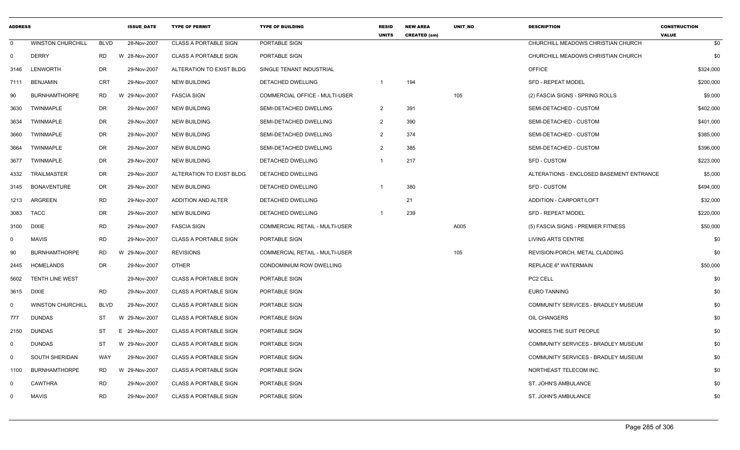| <b>ADDRESS</b> |                          |             | <b>ISSUE DATE</b> | <b>TYPE OF PERMIT</b>        | <b>TYPE OF BUILDING</b>               | <b>RESID</b><br><b>UNITS</b> | <b>NEW AREA</b><br><b>CREATED (sm)</b> | <b>UNIT NO</b> | <b>DESCRIPTION</b>                       | <b>CONSTRUCTION</b><br><b>VALUE</b> |
|----------------|--------------------------|-------------|-------------------|------------------------------|---------------------------------------|------------------------------|----------------------------------------|----------------|------------------------------------------|-------------------------------------|
| $\Omega$       | <b>WINSTON CHURCHILL</b> | <b>BLVD</b> | 28-Nov-2007       | <b>CLASS A PORTABLE SIGN</b> | PORTABLE SIGN                         |                              |                                        |                | CHURCHILL MEADOWS CHRISTIAN CHURCH       | \$0                                 |
| 0              | <b>DERRY</b>             | RD.         | W 28-Nov-2007     | <b>CLASS A PORTABLE SIGN</b> | PORTABLE SIGN                         |                              |                                        |                | CHURCHILL MEADOWS CHRISTIAN CHURCH       | \$0                                 |
| 3146           | <b>LENWORTH</b>          | DR          | 29-Nov-2007       | ALTERATION TO EXIST BLDG     | SINGLE TENANT INDUSTRIAL              |                              |                                        |                | <b>OFFICE</b>                            | \$324,000                           |
| 7111           | <b>BENJAMIN</b>          | <b>CRT</b>  | 29-Nov-2007       | <b>NEW BUILDING</b>          | DETACHED DWELLING                     | $\mathbf{1}$                 | 194                                    |                | <b>SFD - REPEAT MODEL</b>                | \$200,000                           |
| 90             | <b>BURNHAMTHORPE</b>     | RD.         | W 29-Nov-2007     | <b>FASCIA SIGN</b>           | COMMERCIAL OFFICE - MULTI-USER        |                              |                                        | 105            | (2) FASCIA SIGNS - SPRING ROLLS          | \$9,000                             |
| 3630           | TWINMAPLE                | <b>DR</b>   | 29-Nov-2007       | <b>NEW BUILDING</b>          | SEMI-DETACHED DWELLING                | $\overline{2}$               | 391                                    |                | SEMI-DETACHED - CUSTOM                   | \$402,000                           |
| 3634           | <b>TWINMAPLE</b>         | <b>DR</b>   | 29-Nov-2007       | <b>NEW BUILDING</b>          | SEMI-DETACHED DWELLING                | $\overline{2}$               | 390                                    |                | SEMI-DETACHED - CUSTOM                   | \$401,000                           |
| 3660           | TWINMAPLE                | DR          | 29-Nov-2007       | <b>NEW BUILDING</b>          | SEMI-DETACHED DWELLING                | $\overline{2}$               | 374                                    |                | SEMI-DETACHED - CUSTOM                   | \$385,000                           |
| 3664           | <b>TWINMAPLE</b>         | <b>DR</b>   | 29-Nov-2007       | <b>NEW BUILDING</b>          | SEMI-DETACHED DWELLING                | $\overline{2}$               | 385                                    |                | SEMI-DETACHED - CUSTOM                   | \$396,000                           |
| 3677           | TWINMAPLE                | <b>DR</b>   | 29-Nov-2007       | <b>NEW BUILDING</b>          | DETACHED DWELLING                     | $\mathbf{1}$                 | 217                                    |                | <b>SFD - CUSTOM</b>                      | \$223,000                           |
| 4332           | TRAILMASTER              | DR          | 29-Nov-2007       | ALTERATION TO EXIST BLDG     | DETACHED DWELLING                     |                              |                                        |                | ALTERATIONS - ENCLOSED BASEMENT ENTRANCE | \$5,000                             |
| 3145           | <b>BONAVENTURE</b>       | DR          | 29-Nov-2007       | <b>NEW BUILDING</b>          | DETACHED DWELLING                     |                              | 380                                    |                | <b>SFD - CUSTOM</b>                      | \$494,000                           |
| 1213           | ARGREEN                  | <b>RD</b>   | 29-Nov-2007       | <b>ADDITION AND ALTER</b>    | DETACHED DWELLING                     |                              | 21                                     |                | ADDITION - CARPORT/LOFT                  | \$32,000                            |
| 3083           | <b>TACC</b>              | DR          | 29-Nov-2007       | <b>NEW BUILDING</b>          | DETACHED DWELLING                     | -1                           | 239                                    |                | <b>SFD - REPEAT MODEL</b>                | \$220,000                           |
| 3100           | <b>DIXIE</b>             | <b>RD</b>   | 29-Nov-2007       | <b>FASCIA SIGN</b>           | COMMERCIAL RETAIL - MULTI-USER        |                              |                                        | A005           | (5) FASCIA SIGNS - PREMIER FITNESS       | \$50,000                            |
| $\mathbf{0}$   | <b>MAVIS</b>             | <b>RD</b>   | 29-Nov-2007       | <b>CLASS A PORTABLE SIGN</b> | PORTABLE SIGN                         |                              |                                        |                | LIVING ARTS CENTRE                       | \$0                                 |
| 90             | <b>BURNHAMTHORPE</b>     | <b>RD</b>   | W 29-Nov-2007     | <b>REVISIONS</b>             | <b>COMMERCIAL RETAIL - MULTI-USER</b> |                              |                                        | 105            | REVISION-PORCH, METAL CLADDING           | \$0                                 |
| 2445           | <b>HOMELANDS</b>         | <b>DR</b>   | 29-Nov-2007       | <b>OTHER</b>                 | CONDOMINIUM ROW DWELLING              |                              |                                        |                | <b>REPLACE 6" WATERMAIN</b>              | \$50,000                            |
| 5602           | TENTH LINE WEST          |             | 29-Nov-2007       | <b>CLASS A PORTABLE SIGN</b> | PORTABLE SIGN                         |                              |                                        |                | PC2 CELL                                 | \$0                                 |
| 3615           | <b>DIXIE</b>             | <b>RD</b>   | 29-Nov-2007       | <b>CLASS A PORTABLE SIGN</b> | PORTABLE SIGN                         |                              |                                        |                | <b>EURO TANNING</b>                      | \$0                                 |
| $\Omega$       | <b>WINSTON CHURCHILL</b> | <b>BLVD</b> | 29-Nov-2007       | <b>CLASS A PORTABLE SIGN</b> | PORTABLE SIGN                         |                              |                                        |                | COMMUNITY SERVICES - BRADLEY MUSEUM      | \$0                                 |
| 777            | <b>DUNDAS</b>            | ST          | W 29-Nov-2007     | <b>CLASS A PORTABLE SIGN</b> | PORTABLE SIGN                         |                              |                                        |                | OIL CHANGERS                             | \$0                                 |
| 2150           | <b>DUNDAS</b>            | <b>ST</b>   | E<br>29-Nov-2007  | <b>CLASS A PORTABLE SIGN</b> | PORTABLE SIGN                         |                              |                                        |                | MOORES THE SUIT PEOPLE                   | \$0                                 |
| 0              | <b>DUNDAS</b>            | ST          | W 29-Nov-2007     | <b>CLASS A PORTABLE SIGN</b> | PORTABLE SIGN                         |                              |                                        |                | COMMUNITY SERVICES - BRADLEY MUSEUM      | \$0                                 |
| 0              | <b>SOUTH SHERIDAN</b>    | WAY         | 29-Nov-2007       | <b>CLASS A PORTABLE SIGN</b> | PORTABLE SIGN                         |                              |                                        |                | COMMUNITY SERVICES - BRADLEY MUSEUM      | \$0                                 |
| 1100           | <b>BURNHAMTHORPE</b>     | <b>RD</b>   | W 29-Nov-2007     | <b>CLASS A PORTABLE SIGN</b> | PORTABLE SIGN                         |                              |                                        |                | NORTHEAST TELECOM INC.                   | \$0                                 |
| 0              | <b>CAWTHRA</b>           | <b>RD</b>   | 29-Nov-2007       | <b>CLASS A PORTABLE SIGN</b> | PORTABLE SIGN                         |                              |                                        |                | ST. JOHN'S AMBULANCE                     | \$0                                 |
| $\mathbf 0$    | <b>MAVIS</b>             | <b>RD</b>   | 29-Nov-2007       | <b>CLASS A PORTABLE SIGN</b> | PORTABLE SIGN                         |                              |                                        |                | ST. JOHN'S AMBULANCE                     | \$0                                 |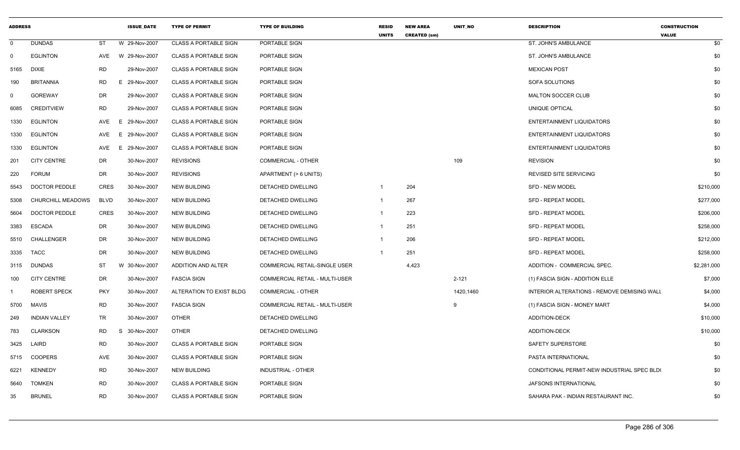| <b>ADDRESS</b> |                      |             | <b>ISSUE DATE</b> | <b>TYPE OF PERMIT</b>        | <b>TYPE OF BUILDING</b>        | <b>RESID</b><br><b>UNITS</b> | <b>NEW AREA</b><br><b>CREATED (sm)</b> | UNIT_NO   | <b>DESCRIPTION</b>                          | <b>CONSTRUCTION</b><br><b>VALUE</b> |
|----------------|----------------------|-------------|-------------------|------------------------------|--------------------------------|------------------------------|----------------------------------------|-----------|---------------------------------------------|-------------------------------------|
| $\Omega$       | <b>DUNDAS</b>        | ST          | W 29-Nov-2007     | <b>CLASS A PORTABLE SIGN</b> | PORTABLE SIGN                  |                              |                                        |           | ST. JOHN'S AMBULANCE                        | \$0                                 |
| $\Omega$       | <b>EGLINTON</b>      | AVE         | W 29-Nov-2007     | <b>CLASS A PORTABLE SIGN</b> | PORTABLE SIGN                  |                              |                                        |           | ST. JOHN'S AMBULANCE                        | \$0                                 |
| 5165           | <b>DIXIE</b>         | RD          | 29-Nov-2007       | <b>CLASS A PORTABLE SIGN</b> | PORTABLE SIGN                  |                              |                                        |           | <b>MEXICAN POST</b>                         | \$0                                 |
| 190            | <b>BRITANNIA</b>     | RD          | E 29-Nov-2007     | <b>CLASS A PORTABLE SIGN</b> | PORTABLE SIGN                  |                              |                                        |           | SOFA SOLUTIONS                              | \$0                                 |
| $\Omega$       | <b>GOREWAY</b>       | DR          | 29-Nov-2007       | <b>CLASS A PORTABLE SIGN</b> | PORTABLE SIGN                  |                              |                                        |           | MALTON SOCCER CLUB                          | \$0                                 |
| 6085           | <b>CREDITVIEW</b>    | <b>RD</b>   | 29-Nov-2007       | <b>CLASS A PORTABLE SIGN</b> | PORTABLE SIGN                  |                              |                                        |           | UNIQUE OPTICAL                              | \$0                                 |
| 1330           | <b>EGLINTON</b>      | AVE         | 29-Nov-2007<br>E. | <b>CLASS A PORTABLE SIGN</b> | PORTABLE SIGN                  |                              |                                        |           | <b>ENTERTAINMENT LIQUIDATORS</b>            | \$0                                 |
| 1330           | <b>EGLINTON</b>      | AVE         | E.<br>29-Nov-2007 | <b>CLASS A PORTABLE SIGN</b> | PORTABLE SIGN                  |                              |                                        |           | <b>ENTERTAINMENT LIQUIDATORS</b>            | \$0                                 |
| 1330           | EGLINTON             | AVE         | E 29-Nov-2007     | <b>CLASS A PORTABLE SIGN</b> | PORTABLE SIGN                  |                              |                                        |           | <b>ENTERTAINMENT LIQUIDATORS</b>            | \$0                                 |
| 201            | <b>CITY CENTRE</b>   | DR          | 30-Nov-2007       | <b>REVISIONS</b>             | COMMERCIAL - OTHER             |                              |                                        | 109       | <b>REVISION</b>                             | \$0                                 |
| 220            | <b>FORUM</b>         | DR          | 30-Nov-2007       | <b>REVISIONS</b>             | APARTMENT (> 6 UNITS)          |                              |                                        |           | <b>REVISED SITE SERVICING</b>               | \$0                                 |
| 5543           | <b>DOCTOR PEDDLE</b> | CRES        | 30-Nov-2007       | <b>NEW BUILDING</b>          | DETACHED DWELLING              | -1                           | 204                                    |           | SFD - NEW MODEL                             | \$210,000                           |
| 5308           | CHURCHILL MEADOWS    | <b>BLVD</b> | 30-Nov-2007       | <b>NEW BUILDING</b>          | DETACHED DWELLING              | -1                           | 267                                    |           | <b>SFD - REPEAT MODEL</b>                   | \$277,000                           |
| 5604           | <b>DOCTOR PEDDLE</b> | <b>CRES</b> | 30-Nov-2007       | <b>NEW BUILDING</b>          | DETACHED DWELLING              | -1                           | 223                                    |           | <b>SFD - REPEAT MODEL</b>                   | \$206,000                           |
| 3383           | <b>ESCADA</b>        | DR          | 30-Nov-2007       | <b>NEW BUILDING</b>          | DETACHED DWELLING              | $\mathbf{1}$                 | 251                                    |           | <b>SFD - REPEAT MODEL</b>                   | \$258,000                           |
| 5510           | CHALLENGER           | DR          | 30-Nov-2007       | NEW BUILDING                 | DETACHED DWELLING              | -1                           | 206                                    |           | <b>SFD - REPEAT MODEL</b>                   | \$212,000                           |
| 3335           | TACC                 | DR          | 30-Nov-2007       | <b>NEW BUILDING</b>          | DETACHED DWELLING              | $\mathbf{1}$                 | 251                                    |           | <b>SFD - REPEAT MODEL</b>                   | \$258,000                           |
| 3115           | DUNDAS               | ST          | W 30-Nov-2007     | ADDITION AND ALTER           | COMMERCIAL RETAIL-SINGLE USER  |                              | 4,423                                  |           | ADDITION - COMMERCIAL SPEC.                 | \$2,281,000                         |
| 100            | <b>CITY CENTRE</b>   | DR          | 30-Nov-2007       | <b>FASCIA SIGN</b>           | COMMERCIAL RETAIL - MULTI-USER |                              |                                        | $2 - 121$ | (1) FASCIA SIGN - ADDITION ELLE             | \$7,000                             |
|                | <b>ROBERT SPECK</b>  | <b>PKY</b>  | 30-Nov-2007       | ALTERATION TO EXIST BLDG     | <b>COMMERCIAL - OTHER</b>      |                              |                                        | 1420,1460 | INTERIOR ALTERATIONS - REMOVE DEMISING WALL | \$4,000                             |
| 5700           | <b>MAVIS</b>         | <b>RD</b>   | 30-Nov-2007       | <b>FASCIA SIGN</b>           | COMMERCIAL RETAIL - MULTI-USER |                              |                                        | 9         | (1) FASCIA SIGN - MONEY MART                | \$4,000                             |
| 249            | <b>INDIAN VALLEY</b> | TR          | 30-Nov-2007       | <b>OTHER</b>                 | DETACHED DWELLING              |                              |                                        |           | <b>ADDITION-DECK</b>                        | \$10,000                            |
| 783            | <b>CLARKSON</b>      | RD          | S 30-Nov-2007     | <b>OTHER</b>                 | DETACHED DWELLING              |                              |                                        |           | <b>ADDITION-DECK</b>                        | \$10,000                            |
| 3425           | LAIRD                | RD          | 30-Nov-2007       | <b>CLASS A PORTABLE SIGN</b> | PORTABLE SIGN                  |                              |                                        |           | SAFETY SUPERSTORE                           | \$0                                 |
| 5715           | <b>COOPERS</b>       | AVE         | 30-Nov-2007       | <b>CLASS A PORTABLE SIGN</b> | PORTABLE SIGN                  |                              |                                        |           | PASTA INTERNATIONAL                         | \$0                                 |
| 6221           | <b>KENNEDY</b>       | RD          | 30-Nov-2007       | <b>NEW BUILDING</b>          | INDUSTRIAL - OTHER             |                              |                                        |           | CONDITIONAL PERMIT-NEW INDUSTRIAL SPEC BLD( | \$0                                 |
| 5640           | <b>TOMKEN</b>        | <b>RD</b>   | 30-Nov-2007       | <b>CLASS A PORTABLE SIGN</b> | PORTABLE SIGN                  |                              |                                        |           | JAFSONS INTERNATIONAL                       | \$0                                 |
| 35             | <b>BRUNEL</b>        | <b>RD</b>   | 30-Nov-2007       | <b>CLASS A PORTABLE SIGN</b> | PORTABLE SIGN                  |                              |                                        |           | SAHARA PAK - INDIAN RESTAURANT INC.         | \$0                                 |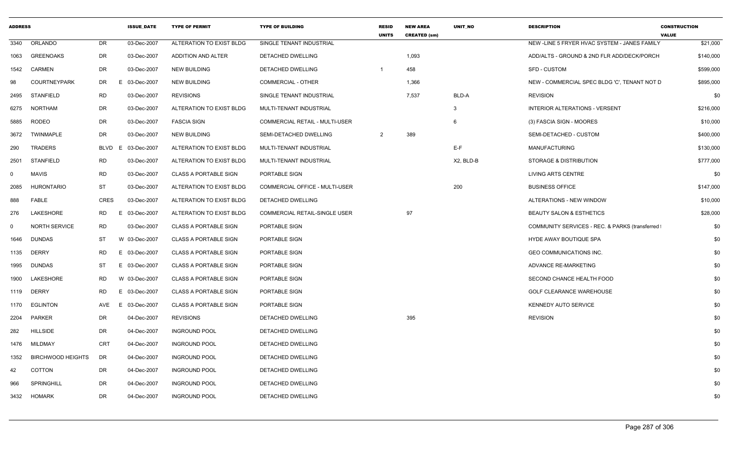| <b>ADDRESS</b> |                      |            | <b>ISSUE_DATE</b> | <b>TYPE OF PERMIT</b>        | <b>TYPE OF BUILDING</b>               | <b>RESID</b><br><b>UNITS</b> | <b>NEW AREA</b><br><b>CREATED (sm)</b> | UNIT_NO      | <b>DESCRIPTION</b>                             | <b>CONSTRUCTION</b><br><b>VALUE</b> |
|----------------|----------------------|------------|-------------------|------------------------------|---------------------------------------|------------------------------|----------------------------------------|--------------|------------------------------------------------|-------------------------------------|
| 3340           | ORLANDO              | DR         | 03-Dec-2007       | ALTERATION TO EXIST BLDG     | SINGLE TENANT INDUSTRIAL              |                              |                                        |              | NEW-LINE 5 FRYER HVAC SYSTEM - JANES FAMILY    | \$21,000                            |
| 1063           | <b>GREENOAKS</b>     | DR         | 03-Dec-2007       | <b>ADDITION AND ALTER</b>    | DETACHED DWELLING                     |                              | 1,093                                  |              | ADD/ALTS - GROUND & 2ND FLR ADD/DECK/PORCH     | \$140,000                           |
| 1542           | <b>CARMEN</b>        | DR         | 03-Dec-2007       | <b>NEW BUILDING</b>          | DETACHED DWELLING                     |                              | 458                                    |              | <b>SFD - CUSTOM</b>                            | \$599,000                           |
| 98             | <b>COURTNEYPARK</b>  | DR         | E 03-Dec-2007     | <b>NEW BUILDING</b>          | <b>COMMERCIAL - OTHER</b>             |                              | 1,366                                  |              | NEW - COMMERCIAL SPEC BLDG 'C', TENANT NOT D   | \$895,000                           |
| 2495           | <b>STANFIELD</b>     | RD         | 03-Dec-2007       | <b>REVISIONS</b>             | SINGLE TENANT INDUSTRIAL              |                              | 7,537                                  | BLD-A        | <b>REVISION</b>                                | \$0                                 |
| 6275           | NORTHAM              | DR         | 03-Dec-2007       | ALTERATION TO EXIST BLDG     | MULTI-TENANT INDUSTRIAL               |                              |                                        | $\mathbf{3}$ | <b>INTERIOR ALTERATIONS - VERSENT</b>          | \$216,000                           |
| 5885           | <b>RODEO</b>         | DR         | 03-Dec-2007       | <b>FASCIA SIGN</b>           | <b>COMMERCIAL RETAIL - MULTI-USER</b> |                              |                                        | - 6          | (3) FASCIA SIGN - MOORES                       | \$10,000                            |
| 3672           | <b>TWINMAPLE</b>     | DR         | 03-Dec-2007       | <b>NEW BUILDING</b>          | SEMI-DETACHED DWELLING                | $\overline{2}$               | 389                                    |              | SEMI-DETACHED - CUSTOM                         | \$400,000                           |
| 290            | <b>TRADERS</b>       | BLVD<br>E. | 03-Dec-2007       | ALTERATION TO EXIST BLDG     | MULTI-TENANT INDUSTRIAL               |                              |                                        | E-F          | <b>MANUFACTURING</b>                           | \$130,000                           |
| 2501           | <b>STANFIELD</b>     | RD         | 03-Dec-2007       | ALTERATION TO EXIST BLDG     | MULTI-TENANT INDUSTRIAL               |                              |                                        | X2, BLD-B    | STORAGE & DISTRIBUTION                         | \$777,000                           |
| 0              | <b>MAVIS</b>         | <b>RD</b>  | 03-Dec-2007       | <b>CLASS A PORTABLE SIGN</b> | PORTABLE SIGN                         |                              |                                        |              | <b>LIVING ARTS CENTRE</b>                      | \$0                                 |
| 2085           | HURONTARIO           | ST         | 03-Dec-2007       | ALTERATION TO EXIST BLDG     | COMMERCIAL OFFICE - MULTI-USER        |                              |                                        | 200          | <b>BUSINESS OFFICE</b>                         | \$147,000                           |
| 888            | FABLE                | CRES       | 03-Dec-2007       | ALTERATION TO EXIST BLDG     | DETACHED DWELLING                     |                              |                                        |              | ALTERATIONS - NEW WINDOW                       | \$10,000                            |
| 276            | LAKESHORE            | RD         | E.<br>03-Dec-2007 | ALTERATION TO EXIST BLDG     | COMMERCIAL RETAIL-SINGLE USER         |                              | 97                                     |              | BEAUTY SALON & ESTHETICS                       | \$28,000                            |
| $\Omega$       | <b>NORTH SERVICE</b> | RD         | 03-Dec-2007       | CLASS A PORTABLE SIGN        | PORTABLE SIGN                         |                              |                                        |              | COMMUNITY SERVICES - REC. & PARKS (transferred | \$0                                 |
| 1646           | <b>DUNDAS</b>        | ST         | W 03-Dec-2007     | <b>CLASS A PORTABLE SIGN</b> | PORTABLE SIGN                         |                              |                                        |              | HYDE AWAY BOUTIQUE SPA                         | \$0                                 |
| 1135           | <b>DERRY</b>         | <b>RD</b>  | E 03-Dec-2007     | <b>CLASS A PORTABLE SIGN</b> | PORTABLE SIGN                         |                              |                                        |              | GEO COMMUNICATIONS INC.                        | \$0                                 |
| 1995           | <b>DUNDAS</b>        | ST         | E 03-Dec-2007     | <b>CLASS A PORTABLE SIGN</b> | PORTABLE SIGN                         |                              |                                        |              | ADVANCE RE-MARKETING                           | \$0                                 |
| 1900           | LAKESHORE            | RD         | W 03-Dec-2007     | <b>CLASS A PORTABLE SIGN</b> | PORTABLE SIGN                         |                              |                                        |              | SECOND CHANCE HEALTH FOOD                      | \$0                                 |
| 1119           | <b>DERRY</b>         | RD         | E 03-Dec-2007     | <b>CLASS A PORTABLE SIGN</b> | PORTABLE SIGN                         |                              |                                        |              | <b>GOLF CLEARANCE WAREHOUSE</b>                | \$0                                 |
| 1170           | EGLINTON             | AVE        | E 03-Dec-2007     | <b>CLASS A PORTABLE SIGN</b> | PORTABLE SIGN                         |                              |                                        |              | KENNEDY AUTO SERVICE                           | \$0                                 |
| 2204           | PARKER               | DR         | 04-Dec-2007       | <b>REVISIONS</b>             | DETACHED DWELLING                     |                              | 395                                    |              | <b>REVISION</b>                                | \$0                                 |
| 282            | <b>HILLSIDE</b>      | DR         | 04-Dec-2007       | <b>INGROUND POOL</b>         | DETACHED DWELLING                     |                              |                                        |              |                                                | \$0                                 |
|                | 1476 MILDMAY         | <b>CRT</b> | 04-Dec-2007       | <b>INGROUND POOL</b>         | DETACHED DWELLING                     |                              |                                        |              |                                                | \$0                                 |
| 1352           | BIRCHWOOD HEIGHTS    | DR         | 04-Dec-2007       | <b>INGROUND POOL</b>         | DETACHED DWELLING                     |                              |                                        |              |                                                | \$0                                 |
| 42             | COTTON               | DR         | 04-Dec-2007       | <b>INGROUND POOL</b>         | DETACHED DWELLING                     |                              |                                        |              |                                                | \$0                                 |
| 966            | <b>SPRINGHILL</b>    | DR         | 04-Dec-2007       | <b>INGROUND POOL</b>         | DETACHED DWELLING                     |                              |                                        |              |                                                | \$0                                 |
|                | 3432 HOMARK          | DR         | 04-Dec-2007       | <b>INGROUND POOL</b>         | DETACHED DWELLING                     |                              |                                        |              |                                                | \$0                                 |
|                |                      |            |                   |                              |                                       |                              |                                        |              |                                                |                                     |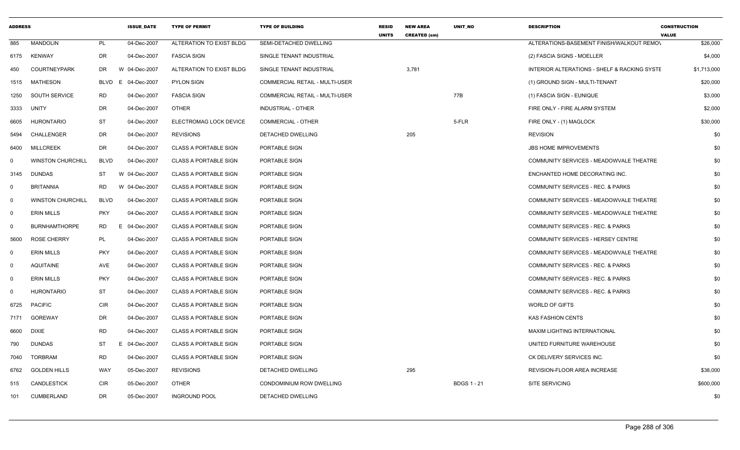| <b>ADDRESS</b> |                          |             | <b>ISSUE DATE</b> | <b>TYPE OF PERMIT</b>        | <b>TYPE OF BUILDING</b>               | <b>RESID</b><br><b>UNITS</b> | <b>NEW AREA</b><br><b>CREATED (sm)</b> | <b>UNIT NO</b>     | <b>DESCRIPTION</b>                                      | <b>CONSTRUCTION</b><br><b>VALUE</b> |
|----------------|--------------------------|-------------|-------------------|------------------------------|---------------------------------------|------------------------------|----------------------------------------|--------------------|---------------------------------------------------------|-------------------------------------|
| 885            | <b>MANDOLIN</b>          | PL          | 04-Dec-2007       | ALTERATION TO EXIST BLDG     | SEMI-DETACHED DWELLING                |                              |                                        |                    | ALTERATIONS-BASEMENT FINISH/WALKOUT REMO\               | \$26,000                            |
| 6175           | <b>KENWAY</b>            | <b>DR</b>   | 04-Dec-2007       | <b>FASCIA SIGN</b>           | SINGLE TENANT INDUSTRIAL              |                              |                                        |                    | (2) FASCIA SIGNS - MOELLER                              | \$4,000                             |
| 450            | <b>COURTNEYPARK</b>      | DR          | W 04-Dec-2007     | ALTERATION TO EXIST BLDG     | SINGLE TENANT INDUSTRIAL              |                              | 3,781                                  |                    | <b>INTERIOR ALTERATIONS - SHELF &amp; RACKING SYSTE</b> | \$1,713,000                         |
| 1515           | MATHESON                 | <b>BLVD</b> | E 04-Dec-2007     | <b>PYLON SIGN</b>            | <b>COMMERCIAL RETAIL - MULTI-USER</b> |                              |                                        |                    | (1) GROUND SIGN - MULTI-TENANT                          | \$20,000                            |
| 1250           | SOUTH SERVICE            | <b>RD</b>   | 04-Dec-2007       | <b>FASCIA SIGN</b>           | COMMERCIAL RETAIL - MULTI-USER        |                              |                                        | 77B                | (1) FASCIA SIGN - EUNIQUE                               | \$3,000                             |
| 3333           | <b>UNITY</b>             | DR          | 04-Dec-2007       | <b>OTHER</b>                 | INDUSTRIAL - OTHER                    |                              |                                        |                    | FIRE ONLY - FIRE ALARM SYSTEM                           | \$2,000                             |
| 6605           | <b>HURONTARIO</b>        | <b>ST</b>   | 04-Dec-2007       | ELECTROMAG LOCK DEVICE       | <b>COMMERCIAL - OTHER</b>             |                              |                                        | 5-FLR              | FIRE ONLY - (1) MAGLOCK                                 | \$30,000                            |
| 5494           | CHALLENGER               | <b>DR</b>   | 04-Dec-2007       | <b>REVISIONS</b>             | <b>DETACHED DWELLING</b>              |                              | 205                                    |                    | <b>REVISION</b>                                         | \$0                                 |
| 6400           | MILLCREEK                | <b>DR</b>   | 04-Dec-2007       | <b>CLASS A PORTABLE SIGN</b> | PORTABLE SIGN                         |                              |                                        |                    | <b>JBS HOME IMPROVEMENTS</b>                            | \$0                                 |
| $\mathbf{0}$   | <b>WINSTON CHURCHILL</b> | <b>BLVD</b> | 04-Dec-2007       | <b>CLASS A PORTABLE SIGN</b> | PORTABLE SIGN                         |                              |                                        |                    | COMMUNITY SERVICES - MEADOWVALE THEATRE                 | \$0                                 |
| 3145           | <b>DUNDAS</b>            | ST          | W 04-Dec-2007     | <b>CLASS A PORTABLE SIGN</b> | PORTABLE SIGN                         |                              |                                        |                    | ENCHANTED HOME DECORATING INC.                          | \$0                                 |
| $\mathbf 0$    | <b>BRITANNIA</b>         | <b>RD</b>   | W 04-Dec-2007     | <b>CLASS A PORTABLE SIGN</b> | PORTABLE SIGN                         |                              |                                        |                    | <b>COMMUNITY SERVICES - REC. &amp; PARKS</b>            | \$0                                 |
| $\mathbf 0$    | <b>WINSTON CHURCHILL</b> | <b>BLVD</b> | 04-Dec-2007       | CLASS A PORTABLE SIGN        | PORTABLE SIGN                         |                              |                                        |                    | COMMUNITY SERVICES - MEADOWVALE THEATRE                 | \$0                                 |
| $\mathbf 0$    | <b>ERIN MILLS</b>        | <b>PKY</b>  | 04-Dec-2007       | <b>CLASS A PORTABLE SIGN</b> | PORTABLE SIGN                         |                              |                                        |                    | COMMUNITY SERVICES - MEADOWVALE THEATRE                 | \$0                                 |
| $\mathbf 0$    | <b>BURNHAMTHORPE</b>     | RD          | E 04-Dec-2007     | <b>CLASS A PORTABLE SIGN</b> | PORTABLE SIGN                         |                              |                                        |                    | COMMUNITY SERVICES - REC. & PARKS                       | \$0                                 |
| 5600           | <b>ROSE CHERRY</b>       | PL          | 04-Dec-2007       | <b>CLASS A PORTABLE SIGN</b> | PORTABLE SIGN                         |                              |                                        |                    | COMMUNITY SERVICES - HERSEY CENTRE                      | \$0                                 |
| $\mathbf 0$    | <b>ERIN MILLS</b>        | <b>PKY</b>  | 04-Dec-2007       | <b>CLASS A PORTABLE SIGN</b> | PORTABLE SIGN                         |                              |                                        |                    | COMMUNITY SERVICES - MEADOWVALE THEATRE                 | \$0                                 |
| $\mathbf 0$    | <b>AQUITAINE</b>         | AVE         | 04-Dec-2007       | <b>CLASS A PORTABLE SIGN</b> | PORTABLE SIGN                         |                              |                                        |                    | COMMUNITY SERVICES - REC. & PARKS                       | \$0                                 |
| $\mathbf 0$    | <b>ERIN MILLS</b>        | <b>PKY</b>  | 04-Dec-2007       | <b>CLASS A PORTABLE SIGN</b> | PORTABLE SIGN                         |                              |                                        |                    | <b>COMMUNITY SERVICES - REC. &amp; PARKS</b>            | \$0                                 |
| $\mathbf 0$    | <b>HURONTARIO</b>        | <b>ST</b>   | 04-Dec-2007       | <b>CLASS A PORTABLE SIGN</b> | PORTABLE SIGN                         |                              |                                        |                    | <b>COMMUNITY SERVICES - REC. &amp; PARKS</b>            | \$0                                 |
| 6725           | <b>PACIFIC</b>           | <b>CIR</b>  | 04-Dec-2007       | <b>CLASS A PORTABLE SIGN</b> | PORTABLE SIGN                         |                              |                                        |                    | WORLD OF GIFTS                                          | \$0                                 |
| 7171           | GOREWAY                  | DR          | 04-Dec-2007       | <b>CLASS A PORTABLE SIGN</b> | PORTABLE SIGN                         |                              |                                        |                    | <b>KAS FASHION CENTS</b>                                | \$0                                 |
| 6600           | DIXIE                    | <b>RD</b>   | 04-Dec-2007       | <b>CLASS A PORTABLE SIGN</b> | PORTABLE SIGN                         |                              |                                        |                    | MAXIM LIGHTING INTERNATIONAL                            | \$0                                 |
| 790            | <b>DUNDAS</b>            | <b>ST</b>   | E 04-Dec-2007     | <b>CLASS A PORTABLE SIGN</b> | PORTABLE SIGN                         |                              |                                        |                    | UNITED FURNITURE WAREHOUSE                              | \$0                                 |
| 7040           | <b>TORBRAM</b>           | <b>RD</b>   | 04-Dec-2007       | <b>CLASS A PORTABLE SIGN</b> | PORTABLE SIGN                         |                              |                                        |                    | CK DELIVERY SERVICES INC.                               | \$0                                 |
| 6762           | <b>GOLDEN HILLS</b>      | WAY         | 05-Dec-2007       | <b>REVISIONS</b>             | DETACHED DWELLING                     |                              | 295                                    |                    | REVISION-FLOOR AREA INCREASE                            | \$38,000                            |
| 515            | CANDLESTICK              | CIR         | 05-Dec-2007       | OTHER                        | CONDOMINIUM ROW DWELLING              |                              |                                        | <b>BDGS 1 - 21</b> | SITE SERVICING                                          | \$600,000                           |
| 101            | <b>CUMBERLAND</b>        | <b>DR</b>   | 05-Dec-2007       | <b>INGROUND POOL</b>         | <b>DETACHED DWELLING</b>              |                              |                                        |                    |                                                         | \$0                                 |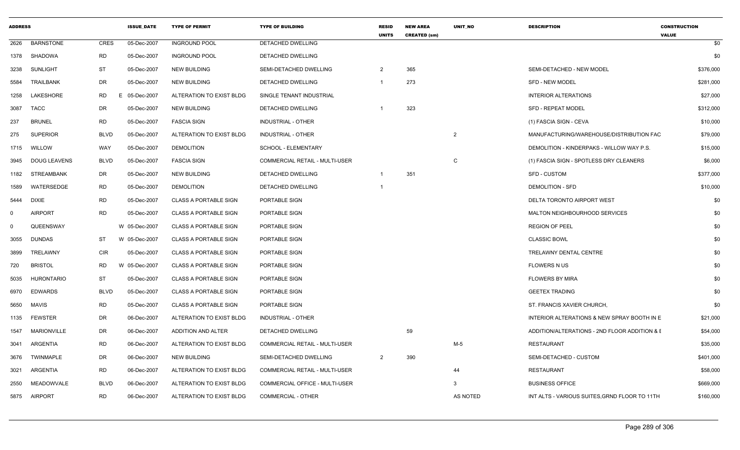| <b>ADDRESS</b> |                     |             | <b>ISSUE DATE</b> | <b>TYPE OF PERMIT</b>        | <b>TYPE OF BUILDING</b>               | <b>RESID</b><br><b>UNITS</b> | <b>NEW AREA</b><br><b>CREATED (sm)</b> | <b>UNIT NO</b> | <b>DESCRIPTION</b>                            | <b>CONSTRUCTION</b><br><b>VALUE</b> |
|----------------|---------------------|-------------|-------------------|------------------------------|---------------------------------------|------------------------------|----------------------------------------|----------------|-----------------------------------------------|-------------------------------------|
| 2626           | <b>BARNSTONE</b>    | <b>CRES</b> | 05-Dec-2007       | <b>INGROUND POOL</b>         | DETACHED DWELLING                     |                              |                                        |                |                                               | \$0                                 |
| 1378           | SHADOWA             | <b>RD</b>   | 05-Dec-2007       | <b>INGROUND POOL</b>         | DETACHED DWELLING                     |                              |                                        |                |                                               | \$0                                 |
| 3238           | <b>SUNLIGHT</b>     | <b>ST</b>   | 05-Dec-2007       | <b>NEW BUILDING</b>          | SEMI-DETACHED DWELLING                | 2                            | 365                                    |                | SEMI-DETACHED - NEW MODEL                     | \$376,000                           |
| 5584           | <b>TRAILBANK</b>    | DR          | 05-Dec-2007       | <b>NEW BUILDING</b>          | DETACHED DWELLING                     | $\overline{1}$               | 273                                    |                | <b>SFD - NEW MODEL</b>                        | \$281,000                           |
| 1258           | LAKESHORE           | <b>RD</b>   | E 05-Dec-2007     | ALTERATION TO EXIST BLDG     | SINGLE TENANT INDUSTRIAL              |                              |                                        |                | <b>INTERIOR ALTERATIONS</b>                   | \$27,000                            |
| 3087           | <b>TACC</b>         | <b>DR</b>   | 05-Dec-2007       | <b>NEW BUILDING</b>          | DETACHED DWELLING                     | $\overline{1}$               | 323                                    |                | <b>SFD - REPEAT MODEL</b>                     | \$312,000                           |
| 237            | <b>BRUNEL</b>       | <b>RD</b>   | 05-Dec-2007       | <b>FASCIA SIGN</b>           | <b>INDUSTRIAL - OTHER</b>             |                              |                                        |                | (1) FASCIA SIGN - CEVA                        | \$10,000                            |
| 275            | <b>SUPERIOR</b>     | <b>BLVD</b> | 05-Dec-2007       | ALTERATION TO EXIST BLDG     | <b>INDUSTRIAL - OTHER</b>             |                              |                                        | $\overline{2}$ | MANUFACTURING/WAREHOUSE/DISTRIBUTION FAC      | \$79,000                            |
| 1715           | WILLOW              | WAY         | 05-Dec-2007       | <b>DEMOLITION</b>            | SCHOOL - ELEMENTARY                   |                              |                                        |                | DEMOLITION - KINDERPAKS - WILLOW WAY P.S.     | \$15,000                            |
| 3945           | <b>DOUG LEAVENS</b> | <b>BLVD</b> | 05-Dec-2007       | <b>FASCIA SIGN</b>           | COMMERCIAL RETAIL - MULTI-USER        |                              |                                        | $\mathsf{C}$   | (1) FASCIA SIGN - SPOTLESS DRY CLEANERS       | \$6,000                             |
| 1182           | STREAMBANK          | DR          | 05-Dec-2007       | <b>NEW BUILDING</b>          | DETACHED DWELLING                     |                              | 351                                    |                | <b>SFD - CUSTOM</b>                           | \$377,000                           |
| 1589           | WATERSEDGE          | <b>RD</b>   | 05-Dec-2007       | <b>DEMOLITION</b>            | DETACHED DWELLING                     | $\overline{1}$               |                                        |                | <b>DEMOLITION - SFD</b>                       | \$10,000                            |
| 5444           | <b>DIXIE</b>        | <b>RD</b>   | 05-Dec-2007       | <b>CLASS A PORTABLE SIGN</b> | PORTABLE SIGN                         |                              |                                        |                | DELTA TORONTO AIRPORT WEST                    | \$0                                 |
| 0              | <b>AIRPORT</b>      | <b>RD</b>   | 05-Dec-2007       | <b>CLASS A PORTABLE SIGN</b> | PORTABLE SIGN                         |                              |                                        |                | MALTON NEIGHBOURHOOD SERVICES                 | \$0                                 |
| 0              | QUEENSWAY           |             | W 05-Dec-2007     | <b>CLASS A PORTABLE SIGN</b> | PORTABLE SIGN                         |                              |                                        |                | <b>REGION OF PEEL</b>                         | \$0                                 |
| 3055           | <b>DUNDAS</b>       | <b>ST</b>   | W 05-Dec-2007     | <b>CLASS A PORTABLE SIGN</b> | PORTABLE SIGN                         |                              |                                        |                | <b>CLASSIC BOWL</b>                           | \$0                                 |
| 3899           | TRELAWNY            | CIR         | 05-Dec-2007       | <b>CLASS A PORTABLE SIGN</b> | PORTABLE SIGN                         |                              |                                        |                | <b>TRELAWNY DENTAL CENTRE</b>                 | \$0                                 |
| 720            | <b>BRISTOL</b>      | <b>RD</b>   | W 05-Dec-2007     | <b>CLASS A PORTABLE SIGN</b> | PORTABLE SIGN                         |                              |                                        |                | <b>FLOWERS N US</b>                           | \$0                                 |
| 5035           | HURONTARIO          | <b>ST</b>   | 05-Dec-2007       | <b>CLASS A PORTABLE SIGN</b> | PORTABLE SIGN                         |                              |                                        |                | <b>FLOWERS BY MIRA</b>                        | \$0                                 |
| 6970           | EDWARDS             | <b>BLVD</b> | 05-Dec-2007       | <b>CLASS A PORTABLE SIGN</b> | PORTABLE SIGN                         |                              |                                        |                | <b>GEETEX TRADING</b>                         | \$0                                 |
| 5650           | <b>MAVIS</b>        | <b>RD</b>   | 05-Dec-2007       | <b>CLASS A PORTABLE SIGN</b> | PORTABLE SIGN                         |                              |                                        |                | ST. FRANCIS XAVIER CHURCH,                    | \$0                                 |
| 1135           | <b>FEWSTER</b>      | DR          | 06-Dec-2007       | ALTERATION TO EXIST BLDG     | <b>INDUSTRIAL - OTHER</b>             |                              |                                        |                | INTERIOR ALTERATIONS & NEW SPRAY BOOTH IN E   | \$21,000                            |
| 1547           | <b>MARIONVILLE</b>  | DR          | 06-Dec-2007       | <b>ADDITION AND ALTER</b>    | DETACHED DWELLING                     |                              | 59                                     |                | ADDITION/ALTERATIONS - 2ND FLOOR ADDITION & E | \$54,000                            |
| 3041           | ARGENTIA            | <b>RD</b>   | 06-Dec-2007       | ALTERATION TO EXIST BLDG     | <b>COMMERCIAL RETAIL - MULTI-USER</b> |                              |                                        | M-5            | <b>RESTAURANT</b>                             | \$35,000                            |
| 3676           | TWINMAPLE           | DR          | 06-Dec-2007       | <b>NEW BUILDING</b>          | SEMI-DETACHED DWELLING                | 2                            | 390                                    |                | SEMI-DETACHED - CUSTOM                        | \$401,000                           |
| 3021           | ARGENTIA            | <b>RD</b>   | 06-Dec-2007       | ALTERATION TO EXIST BLDG     | <b>COMMERCIAL RETAIL - MULTI-USER</b> |                              |                                        | 44             | <b>RESTAURANT</b>                             | \$58,000                            |
| 2550           | MEADOWVALE          | <b>BLVD</b> | 06-Dec-2007       | ALTERATION TO EXIST BLDG     | COMMERCIAL OFFICE - MULTI-USER        |                              |                                        | 3              | <b>BUSINESS OFFICE</b>                        | \$669,000                           |
|                | 5875 AIRPORT        | <b>RD</b>   | 06-Dec-2007       | ALTERATION TO EXIST BLDG     | <b>COMMERCIAL - OTHER</b>             |                              |                                        | AS NOTED       | INT ALTS - VARIOUS SUITES, GRND FLOOR TO 11TH | \$160,000                           |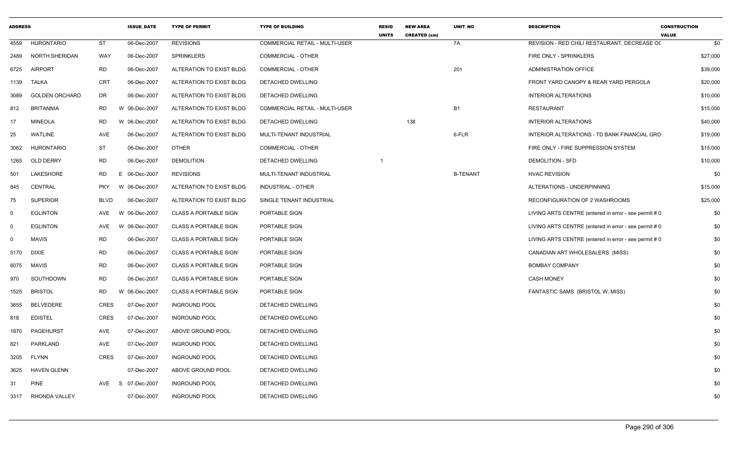| <b>ADDRESS</b> |                       |             | <b>ISSUE_DATE</b> | <b>TYPE OF PERMIT</b>        | <b>TYPE OF BUILDING</b>               | <b>RESID</b><br><b>UNITS</b> | <b>NEW AREA</b><br><b>CREATED (sm)</b> | UNIT_NO         | <b>DESCRIPTION</b>                                    | <b>CONSTRUCTION</b><br><b>VALUE</b> |
|----------------|-----------------------|-------------|-------------------|------------------------------|---------------------------------------|------------------------------|----------------------------------------|-----------------|-------------------------------------------------------|-------------------------------------|
| 4559           | <b>HURONTARIO</b>     | ST          | 06-Dec-2007       | <b>REVISIONS</b>             | COMMERCIAL RETAIL - MULTI-USER        |                              |                                        | 7A              | REVISION - RED CHILI RESTAURANT, DECREASE OC          | \$0                                 |
| 2489           | <b>NORTH SHERIDAN</b> | WAY         | 06-Dec-2007       | <b>SPRINKLERS</b>            | <b>COMMERCIAL - OTHER</b>             |                              |                                        |                 | FIRE ONLY - SPRINKLERS                                | \$27,000                            |
| 6725           | <b>AIRPORT</b>        | <b>RD</b>   | 06-Dec-2007       | ALTERATION TO EXIST BLDG     | COMMERCIAL - OTHER                    |                              |                                        | 201             | ADMINISTRATION OFFICE                                 | \$39,000                            |
| 1139           | TALKA                 | CRT         | 06-Dec-2007       | ALTERATION TO EXIST BLDG     | DETACHED DWELLING                     |                              |                                        |                 | FRONT YARD CANOPY & REAR YARD PERGOLA                 | \$20,000                            |
| 3089           | <b>GOLDEN ORCHARD</b> | DR          | 06-Dec-2007       | ALTERATION TO EXIST BLDG     | DETACHED DWELLING                     |                              |                                        |                 | <b>INTERIOR ALTERATIONS</b>                           | \$10,000                            |
| 812            | <b>BRITANNIA</b>      | RD          | W 06-Dec-2007     | ALTERATION TO EXIST BLDG     | <b>COMMERCIAL RETAIL - MULTI-USER</b> |                              |                                        | <b>B1</b>       | <b>RESTAURANT</b>                                     | \$15,000                            |
| 17             | <b>MINEOLA</b>        | RD          | W 06-Dec-2007     | ALTERATION TO EXIST BLDG     | DETACHED DWELLING                     |                              | 138                                    |                 | <b>INTERIOR ALTERATIONS</b>                           | \$40,000                            |
| 25             | <b>WATLINE</b>        | AVE         | 06-Dec-2007       | ALTERATION TO EXIST BLDG     | MULTI-TENANT INDUSTRIAL               |                              |                                        | 6-FLR           | INTERIOR ALTERATIONS - TD BANK FINANCIAL GRO          | \$19,000                            |
| 3062           | <b>HURONTARIO</b>     | ST          | 06-Dec-2007       | <b>OTHER</b>                 | COMMERCIAL - OTHER                    |                              |                                        |                 | FIRE ONLY - FIRE SUPPRESSION SYSTEM                   | \$15,000                            |
| 1265           | OLD DERRY             | RD          | 06-Dec-2007       | <b>DEMOLITION</b>            | DETACHED DWELLING                     |                              |                                        |                 | DEMOLITION - SFD                                      | \$10,000                            |
| 501            | LAKESHORE             | RD          | E 06-Dec-2007     | <b>REVISIONS</b>             | MULTI-TENANT INDUSTRIAL               |                              |                                        | <b>B-TENANT</b> | <b>HVAC REVISION</b>                                  | \$0                                 |
| 845            | CENTRAL               | PKY         | W 06-Dec-2007     | ALTERATION TO EXIST BLDG     | INDUSTRIAL - OTHER                    |                              |                                        |                 | ALTERATIONS - UNDERPINNING                            | \$15,000                            |
| 75             | <b>SUPERIOR</b>       | <b>BLVD</b> | 06-Dec-2007       | ALTERATION TO EXIST BLDG     | SINGLE TENANT INDUSTRIAL              |                              |                                        |                 | RECONFIGURATION OF 2 WASHROOMS                        | \$25,000                            |
| $\mathbf 0$    | <b>EGLINTON</b>       | AVE         | W<br>06-Dec-2007  | <b>CLASS A PORTABLE SIGN</b> | PORTABLE SIGN                         |                              |                                        |                 | LIVING ARTS CENTRE (entered in error - see permit # 0 | \$0                                 |
| $\mathbf 0$    | <b>EGLINTON</b>       | AVE         | W 06-Dec-2007     | <b>CLASS A PORTABLE SIGN</b> | PORTABLE SIGN                         |                              |                                        |                 | LIVING ARTS CENTRE (entered in error - see permit # 0 | \$0                                 |
| $\mathbf 0$    | <b>MAVIS</b>          | RD          | 06-Dec-2007       | <b>CLASS A PORTABLE SIGN</b> | PORTABLE SIGN                         |                              |                                        |                 | LIVING ARTS CENTRE (entered in error - see permit # 0 | \$0                                 |
| 5170           | <b>DIXIE</b>          | RD          | 06-Dec-2007       | <b>CLASS A PORTABLE SIGN</b> | PORTABLE SIGN                         |                              |                                        |                 | CANADIAN ART WHOLESALERS (MISS)                       | \$0                                 |
| 6075           | <b>MAVIS</b>          | RD.         | 06-Dec-2007       | CLASS A PORTABLE SIGN        | PORTABLE SIGN                         |                              |                                        |                 | <b>BOMBAY COMPANY</b>                                 | \$0                                 |
| 970            | SOUTHDOWN             | RD          | 06-Dec-2007       | <b>CLASS A PORTABLE SIGN</b> | PORTABLE SIGN                         |                              |                                        |                 | <b>CASH MONEY</b>                                     | \$0                                 |
| 1525           | <b>BRISTOL</b>        | RD          | W<br>06-Dec-2007  | <b>CLASS A PORTABLE SIGN</b> | PORTABLE SIGN                         |                              |                                        |                 | FANTASTIC SAMS (BRISTOL W, MISS)                      | \$0                                 |
| 3655           | BELVEDERE             | CRES        | 07-Dec-2007       | <b>INGROUND POOL</b>         | DETACHED DWELLING                     |                              |                                        |                 |                                                       | \$0                                 |
| 818            | <b>EDISTEL</b>        | <b>CRES</b> | 07-Dec-2007       | <b>INGROUND POOL</b>         | DETACHED DWELLING                     |                              |                                        |                 |                                                       | \$0                                 |
| 1870           | PAGEHURST             | AVE         | 07-Dec-2007       | ABOVE GROUND POOL            | DETACHED DWELLING                     |                              |                                        |                 |                                                       | \$0                                 |
| 821            | PARKLAND              | AVE         | 07-Dec-2007       | <b>INGROUND POOL</b>         | DETACHED DWELLING                     |                              |                                        |                 |                                                       | \$0                                 |
| 3205           | FLYNN                 | <b>CRES</b> | 07-Dec-2007       | <b>INGROUND POOL</b>         | DETACHED DWELLING                     |                              |                                        |                 |                                                       | \$0                                 |
| 3625           | <b>HAVEN GLENN</b>    |             | 07-Dec-2007       | ABOVE GROUND POOL            | DETACHED DWELLING                     |                              |                                        |                 |                                                       | \$0                                 |
| 31             | <b>PINE</b>           | AVE         | S 07-Dec-2007     | <b>INGROUND POOL</b>         | DETACHED DWELLING                     |                              |                                        |                 |                                                       | \$0                                 |
| 3317           | RHONDA VALLEY         |             | 07-Dec-2007       | <b>INGROUND POOL</b>         | DETACHED DWELLING                     |                              |                                        |                 |                                                       | \$0                                 |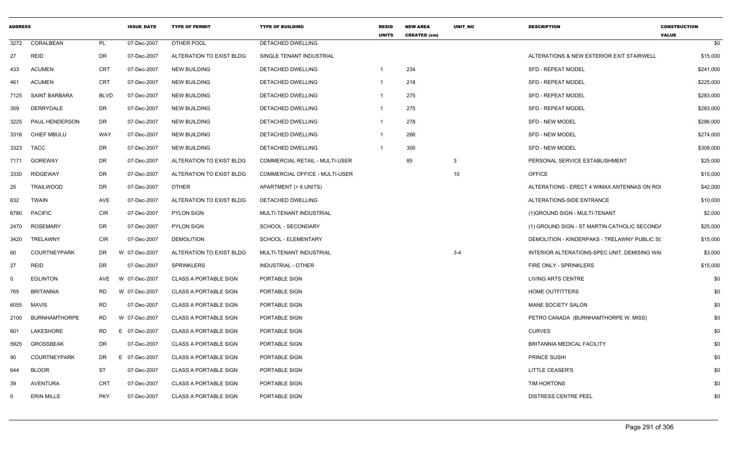| <b>ADDRESS</b> |                       |             | <b>ISSUE DATE</b> | <b>TYPE OF PERMIT</b>        | <b>TYPE OF BUILDING</b>        | <b>RESID</b><br><b>UNITS</b> | <b>NEW AREA</b><br><b>CREATED (sm)</b> | <b>UNIT NO</b> | <b>DESCRIPTION</b>                           | <b>CONSTRUCTION</b><br><b>VALUE</b> |
|----------------|-----------------------|-------------|-------------------|------------------------------|--------------------------------|------------------------------|----------------------------------------|----------------|----------------------------------------------|-------------------------------------|
| 3272           | CORALBEAN             | PL          | 07-Dec-2007       | OTHER POOL                   | DETACHED DWELLING              |                              |                                        |                |                                              | \$0                                 |
| 27             | <b>REID</b>           | DR          | 07-Dec-2007       | ALTERATION TO EXIST BLDG     | SINGLE TENANT INDUSTRIAL       |                              |                                        |                | ALTERATIONS & NEW EXTERIOR EXIT STAIRWELL    | \$15,000                            |
| 433            | <b>ACUMEN</b>         | CRT         | 07-Dec-2007       | <b>NEW BUILDING</b>          | <b>DETACHED DWELLING</b>       | -1                           | 234                                    |                | <b>SFD - REPEAT MODEL</b>                    | \$241,000                           |
| 461            | <b>ACUMEN</b>         | <b>CRT</b>  | 07-Dec-2007       | <b>NEW BUILDING</b>          | <b>DETACHED DWELLING</b>       | $\overline{1}$               | 218                                    |                | <b>SFD - REPEAT MODEL</b>                    | \$225,000                           |
| 7125           | SAINT BARBARA         | <b>BLVD</b> | 07-Dec-2007       | <b>NEW BUILDING</b>          | <b>DETACHED DWELLING</b>       | $\mathbf{1}$                 | 275                                    |                | <b>SFD - REPEAT MODEL</b>                    | \$283,000                           |
| 359            | DERRYDALE             | DR          | 07-Dec-2007       | <b>NEW BUILDING</b>          | <b>DETACHED DWELLING</b>       | -1                           | 275                                    |                | <b>SFD - REPEAT MODEL</b>                    | \$283,000                           |
| 3225           | <b>PAUL HENDERSON</b> | DR          | 07-Dec-2007       | <b>NEW BUILDING</b>          | DETACHED DWELLING              | $\mathbf{1}$                 | 278                                    |                | <b>SFD - NEW MODEL</b>                       | \$286,000                           |
| 3316           | <b>CHIEF MBULU</b>    | WAY         | 07-Dec-2007       | <b>NEW BUILDING</b>          | DETACHED DWELLING              | -1                           | 266                                    |                | <b>SFD - NEW MODEL</b>                       | \$274,000                           |
| 3323           | <b>TACC</b>           | DR          | 07-Dec-2007       | <b>NEW BUILDING</b>          | DETACHED DWELLING              | $\mathbf 1$                  | 300                                    |                | <b>SFD - NEW MODEL</b>                       | \$308,000                           |
| 7171           | <b>GOREWAY</b>        | <b>DR</b>   | 07-Dec-2007       | ALTERATION TO EXIST BLDG     | COMMERCIAL RETAIL - MULTI-USER |                              | 85                                     | 3              | PERSONAL SERVICE ESTABLISHMENT               | \$25,000                            |
| 3330           | <b>RIDGEWAY</b>       | DR          | 07-Dec-2007       | ALTERATION TO EXIST BLDG     | COMMERCIAL OFFICE - MULTI-USER |                              |                                        | 10             | <b>OFFICE</b>                                | \$15,000                            |
| 25             | <b>TRAILWOOD</b>      | DR          | 07-Dec-2007       | <b>OTHER</b>                 | APARTMENT (> 6 UNITS)          |                              |                                        |                | ALTERATIONS - ERECT 4 WIMAX ANTENNAS ON RO   | \$42,000                            |
| 632            | <b>TWAIN</b>          | AVE         | 07-Dec-2007       | ALTERATION TO EXIST BLDG     | DETACHED DWELLING              |                              |                                        |                | ALTERATIONS-SIDE ENTRANCE                    | \$10,000                            |
| 6780           | <b>PACIFIC</b>        | <b>CIR</b>  | 07-Dec-2007       | <b>PYLON SIGN</b>            | MULTI-TENANT INDUSTRIAL        |                              |                                        |                | (1) GROUND SIGN - MULTI-TENANT               | \$2,000                             |
| 2470           | <b>ROSEMARY</b>       | DR          | 07-Dec-2007       | <b>PYLON SIGN</b>            | SCHOOL - SECONDARY             |                              |                                        |                | (1) GROUND SIGN - ST MARTIN CATHOLIC SECOND/ | \$25,000                            |
| 3420           | TRELAWNY              | <b>CIR</b>  | 07-Dec-2007       | DEMOLITION                   | <b>SCHOOL - ELEMENTARY</b>     |                              |                                        |                | DEMOLITION - KINDERPAKS - TRELAWNY PUBLIC S( | \$15,000                            |
| 60             | <b>COURTNEYPARK</b>   | DR          | W 07-Dec-2007     | ALTERATION TO EXIST BLDG     | MULTI-TENANT INDUSTRIAL        |                              |                                        | $3 - 4$        | INTERIOR ALTERATIONS-SPEC UNIT, DEMISING WAI | \$3,000                             |
| 27             | <b>REID</b>           | DR          | 07-Dec-2007       | <b>SPRINKLERS</b>            | <b>INDUSTRIAL - OTHER</b>      |                              |                                        |                | FIRE ONLY - SPRINKLERS                       | \$15,000                            |
| $\mathbf 0$    | <b>EGLINTON</b>       | <b>AVE</b>  | W 07-Dec-2007     | <b>CLASS A PORTABLE SIGN</b> | PORTABLE SIGN                  |                              |                                        |                | <b>LIVING ARTS CENTRE</b>                    | \$0                                 |
| 765            | <b>BRITANNIA</b>      | RD          | W 07-Dec-2007     | <b>CLASS A PORTABLE SIGN</b> | PORTABLE SIGN                  |                              |                                        |                | HOME OUTFITTERS                              | \$0                                 |
| 6055           | <b>MAVIS</b>          | <b>RD</b>   | 07-Dec-2007       | <b>CLASS A PORTABLE SIGN</b> | PORTABLE SIGN                  |                              |                                        |                | MANE SOCIETY SALON                           | \$0                                 |
| 2100           | <b>BURNHAMTHORPE</b>  | <b>RD</b>   | W 07-Dec-2007     | <b>CLASS A PORTABLE SIGN</b> | PORTABLE SIGN                  |                              |                                        |                | PETRO CANADA (BURNHAMTHORPE W, MISS)         | \$0                                 |
| 601            | LAKESHORE             | RD          | E 07-Dec-2007     | <b>CLASS A PORTABLE SIGN</b> | PORTABLE SIGN                  |                              |                                        |                | <b>CURVES</b>                                | \$0                                 |
| 5925           | <b>GROSSBEAK</b>      | DR          | 07-Dec-2007       | <b>CLASS A PORTABLE SIGN</b> | PORTABLE SIGN                  |                              |                                        |                | <b>BRITANNIA MEDICAL FACILITY</b>            | \$0                                 |
| 90             | <b>COURTNEYPARK</b>   | DR          | E 07-Dec-2007     | <b>CLASS A PORTABLE SIGN</b> | PORTABLE SIGN                  |                              |                                        |                | PRINCE SUSHI                                 | \$0                                 |
| 644            | <b>BLOOR</b>          | ST          | 07-Dec-2007       | <b>CLASS A PORTABLE SIGN</b> | PORTABLE SIGN                  |                              |                                        |                | <b>LITTLE CEASER'S</b>                       | \$0                                 |
| 39             | <b>AVENTURA</b>       | <b>CRT</b>  | 07-Dec-2007       | <b>CLASS A PORTABLE SIGN</b> | PORTABLE SIGN                  |                              |                                        |                | TIM HORTONS                                  | \$0                                 |
| 0              | <b>ERIN MILLS</b>     | PKY         | 07-Dec-2007       | <b>CLASS A PORTABLE SIGN</b> | PORTABLE SIGN                  |                              |                                        |                | <b>DISTRESS CENTRE PEEL</b>                  | \$0                                 |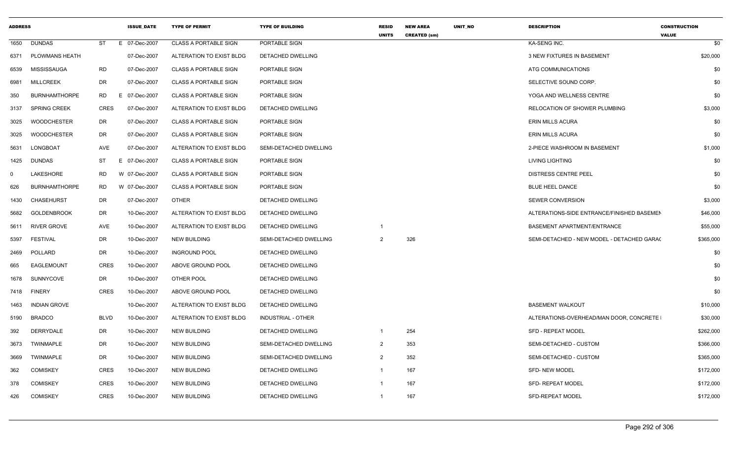| <b>ADDRESS</b> |                      |             | <b>ISSUE DATE</b> | <b>TYPE OF PERMIT</b>        | <b>TYPE OF BUILDING</b>   | <b>RESID</b><br><b>UNITS</b> | <b>NEW AREA</b><br><b>CREATED (sm)</b> | <b>UNIT NO</b> | <b>DESCRIPTION</b>                         | <b>CONSTRUCTION</b><br><b>VALUE</b> |
|----------------|----------------------|-------------|-------------------|------------------------------|---------------------------|------------------------------|----------------------------------------|----------------|--------------------------------------------|-------------------------------------|
| 1650           | <b>DUNDAS</b>        | <b>ST</b>   | E 07-Dec-2007     | <b>CLASS A PORTABLE SIGN</b> | PORTABLE SIGN             |                              |                                        |                | KA-SENG INC.                               | \$0                                 |
| 6371           | PLOWMANS HEATH       |             | 07-Dec-2007       | ALTERATION TO EXIST BLDG     | DETACHED DWELLING         |                              |                                        |                | 3 NEW FIXTURES IN BASEMENT                 | \$20,000                            |
| 6539           | MISSISSAUGA          | RD.         | 07-Dec-2007       | <b>CLASS A PORTABLE SIGN</b> | PORTABLE SIGN             |                              |                                        |                | ATG COMMUNICATIONS                         | \$0                                 |
| 6981           | <b>MILLCREEK</b>     | DR          | 07-Dec-2007       | <b>CLASS A PORTABLE SIGN</b> | PORTABLE SIGN             |                              |                                        |                | SELECTIVE SOUND CORP.                      | \$0                                 |
| 350            | <b>BURNHAMTHORPE</b> | RD          | E 07-Dec-2007     | <b>CLASS A PORTABLE SIGN</b> | PORTABLE SIGN             |                              |                                        |                | YOGA AND WELLNESS CENTRE                   | \$0                                 |
| 3137           | <b>SPRING CREEK</b>  | <b>CRES</b> | 07-Dec-2007       | ALTERATION TO EXIST BLDG     | DETACHED DWELLING         |                              |                                        |                | RELOCATION OF SHOWER PLUMBING              | \$3,000                             |
| 3025           | <b>WOODCHESTER</b>   | DR          | 07-Dec-2007       | <b>CLASS A PORTABLE SIGN</b> | PORTABLE SIGN             |                              |                                        |                | <b>ERIN MILLS ACURA</b>                    | \$0                                 |
| 3025           | <b>WOODCHESTER</b>   | <b>DR</b>   | 07-Dec-2007       | <b>CLASS A PORTABLE SIGN</b> | PORTABLE SIGN             |                              |                                        |                | <b>ERIN MILLS ACURA</b>                    | \$0                                 |
| 5631           | LONGBOAT             | AVE         | 07-Dec-2007       | ALTERATION TO EXIST BLDG     | SEMI-DETACHED DWELLING    |                              |                                        |                | 2-PIECE WASHROOM IN BASEMENT               | \$1,000                             |
| 1425           | <b>DUNDAS</b>        | ST          | E 07-Dec-2007     | <b>CLASS A PORTABLE SIGN</b> | PORTABLE SIGN             |                              |                                        |                | <b>LIVING LIGHTING</b>                     | \$0                                 |
| $\Omega$       | LAKESHORE            | <b>RD</b>   | W 07-Dec-2007     | <b>CLASS A PORTABLE SIGN</b> | PORTABLE SIGN             |                              |                                        |                | <b>DISTRESS CENTRE PEEL</b>                | \$0                                 |
| 626            | <b>BURNHAMTHORPE</b> | <b>RD</b>   | W 07-Dec-2007     | <b>CLASS A PORTABLE SIGN</b> | PORTABLE SIGN             |                              |                                        |                | <b>BLUE HEEL DANCE</b>                     | \$0                                 |
| 1430           | <b>CHASEHURST</b>    | DR          | 07-Dec-2007       | <b>OTHER</b>                 | DETACHED DWELLING         |                              |                                        |                | <b>SEWER CONVERSION</b>                    | \$3,000                             |
| 5682           | <b>GOLDENBROOK</b>   | DR          | 10-Dec-2007       | ALTERATION TO EXIST BLDG     | DETACHED DWELLING         |                              |                                        |                | ALTERATIONS-SIDE ENTRANCE/FINISHED BASEMEN | \$46,000                            |
| 5611           | RIVER GROVE          | AVE         | 10-Dec-2007       | ALTERATION TO EXIST BLDG     | DETACHED DWELLING         |                              |                                        |                | BASEMENT APARTMENT/ENTRANCE                | \$55,000                            |
| 5397           | <b>FESTIVAL</b>      | DR          | 10-Dec-2007       | <b>NEW BUILDING</b>          | SEMI-DETACHED DWELLING    | $\mathcal{P}$                | 326                                    |                | SEMI-DETACHED - NEW MODEL - DETACHED GARA( | \$365,000                           |
| 2469           | POLLARD              | DR          | 10-Dec-2007       | <b>INGROUND POOL</b>         | DETACHED DWELLING         |                              |                                        |                |                                            | \$0                                 |
| 665            | <b>EAGLEMOUNT</b>    | <b>CRES</b> | 10-Dec-2007       | ABOVE GROUND POOL            | DETACHED DWELLING         |                              |                                        |                |                                            | \$0                                 |
| 1678           | SUNNYCOVE            | DR          | 10-Dec-2007       | OTHER POOL                   | DETACHED DWELLING         |                              |                                        |                |                                            | \$0                                 |
| 7418           | <b>FINERY</b>        | <b>CRES</b> | 10-Dec-2007       | ABOVE GROUND POOL            | DETACHED DWELLING         |                              |                                        |                |                                            | \$0                                 |
| 1463           | <b>INDIAN GROVE</b>  |             | 10-Dec-2007       | ALTERATION TO EXIST BLDG     | DETACHED DWELLING         |                              |                                        |                | <b>BASEMENT WALKOUT</b>                    | \$10,000                            |
| 5190           | <b>BRADCO</b>        | <b>BLVD</b> | 10-Dec-2007       | ALTERATION TO EXIST BLDG     | <b>INDUSTRIAL - OTHER</b> |                              |                                        |                | ALTERATIONS-OVERHEAD/MAN DOOR, CONCRETE    | \$30,000                            |
| 392            | DERRYDALE            | DR          | 10-Dec-2007       | <b>NEW BUILDING</b>          | DETACHED DWELLING         | - 1                          | 254                                    |                | <b>SFD - REPEAT MODEL</b>                  | \$262,000                           |
| 3673           | <b>TWINMAPLE</b>     | DR          | 10-Dec-2007       | <b>NEW BUILDING</b>          | SEMI-DETACHED DWELLING    | $\mathcal{L}$                | 353                                    |                | SEMI-DETACHED - CUSTOM                     | \$366,000                           |
| 3669           | TWINMAPLE            | DR          | 10-Dec-2007       | <b>NEW BUILDING</b>          | SEMI-DETACHED DWELLING    | $\mathcal{P}$                | 352                                    |                | SEMI-DETACHED - CUSTOM                     | \$365,000                           |
| 362            | <b>COMISKEY</b>      | <b>CRES</b> | 10-Dec-2007       | <b>NEW BUILDING</b>          | DETACHED DWELLING         |                              | 167                                    |                | <b>SFD-NEW MODEL</b>                       | \$172,000                           |
| 378            | <b>COMISKEY</b>      | <b>CRES</b> | 10-Dec-2007       | <b>NEW BUILDING</b>          | DETACHED DWELLING         |                              | 167                                    |                | <b>SFD- REPEAT MODEL</b>                   | \$172,000                           |
| 426            | <b>COMISKEY</b>      | <b>CRES</b> | 10-Dec-2007       | <b>NEW BUILDING</b>          | DETACHED DWELLING         | - 1                          | 167                                    |                | <b>SFD-REPEAT MODEL</b>                    | \$172,000                           |
|                |                      |             |                   |                              |                           |                              |                                        |                |                                            |                                     |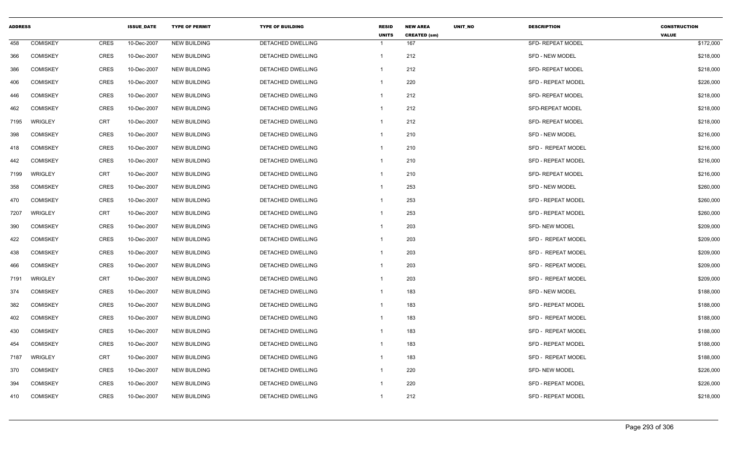| <b>ADDRESS</b> |                 |             | <b>ISSUE DATE</b> | <b>TYPE OF PERMIT</b> | <b>TYPE OF BUILDING</b> | <b>RESID</b><br><b>UNITS</b> | <b>NEW AREA</b><br><b>CREATED (sm)</b> | <b>UNIT NO</b> | <b>DESCRIPTION</b>        | <b>CONSTRUCTION</b><br><b>VALUE</b> |
|----------------|-----------------|-------------|-------------------|-----------------------|-------------------------|------------------------------|----------------------------------------|----------------|---------------------------|-------------------------------------|
| 458            | <b>COMISKEY</b> | CRES        | 10-Dec-2007       | <b>NEW BUILDING</b>   | DETACHED DWELLING       | $\overline{\mathbf{1}}$      | 167                                    |                | SFD- REPEAT MODEL         | \$172,000                           |
| 366            | <b>COMISKEY</b> | CRES        | 10-Dec-2007       | <b>NEW BUILDING</b>   | DETACHED DWELLING       | $\overline{1}$               | 212                                    |                | <b>SFD - NEW MODEL</b>    | \$218,000                           |
| 386            | <b>COMISKEY</b> | CRES        | 10-Dec-2007       | <b>NEW BUILDING</b>   | DETACHED DWELLING       | $\overline{1}$               | 212                                    |                | <b>SFD- REPEAT MODEL</b>  | \$218,000                           |
| 406            | <b>COMISKEY</b> | <b>CRES</b> | 10-Dec-2007       | <b>NEW BUILDING</b>   | DETACHED DWELLING       | $\overline{1}$               | 220                                    |                | SFD - REPEAT MODEL        | \$226,000                           |
| 446            | <b>COMISKEY</b> | CRES        | 10-Dec-2007       | <b>NEW BUILDING</b>   | DETACHED DWELLING       | $\overline{1}$               | 212                                    |                | <b>SFD- REPEAT MODEL</b>  | \$218,000                           |
| 462            | <b>COMISKEY</b> | <b>CRES</b> | 10-Dec-2007       | <b>NEW BUILDING</b>   | DETACHED DWELLING       | $\overline{1}$               | 212                                    |                | SFD-REPEAT MODEL          | \$218,000                           |
| 7195           | <b>WRIGLEY</b>  | <b>CRT</b>  | 10-Dec-2007       | <b>NEW BUILDING</b>   | DETACHED DWELLING       | $\overline{1}$               | 212                                    |                | <b>SFD- REPEAT MODEL</b>  | \$218,000                           |
| 398            | <b>COMISKEY</b> | CRES        | 10-Dec-2007       | <b>NEW BUILDING</b>   | DETACHED DWELLING       | $\overline{1}$               | 210                                    |                | SFD - NEW MODEL           | \$216,000                           |
| 418            | <b>COMISKEY</b> | CRES        | 10-Dec-2007       | <b>NEW BUILDING</b>   | DETACHED DWELLING       | $\overline{1}$               | 210                                    |                | <b>SFD - REPEAT MODEL</b> | \$216,000                           |
| 442            | <b>COMISKEY</b> | <b>CRES</b> | 10-Dec-2007       | <b>NEW BUILDING</b>   | DETACHED DWELLING       | $\mathbf{1}$                 | 210                                    |                | SFD - REPEAT MODEL        | \$216,000                           |
| 7199           | WRIGLEY         | CRT         | 10-Dec-2007       | <b>NEW BUILDING</b>   | DETACHED DWELLING       | $\overline{1}$               | 210                                    |                | SFD- REPEAT MODEL         | \$216,000                           |
| 358            | <b>COMISKEY</b> | CRES        | 10-Dec-2007       | <b>NEW BUILDING</b>   | DETACHED DWELLING       | -1                           | 253                                    |                | <b>SFD - NEW MODEL</b>    | \$260,000                           |
| 470            | <b>COMISKEY</b> | <b>CRES</b> | 10-Dec-2007       | <b>NEW BUILDING</b>   | DETACHED DWELLING       | $\overline{1}$               | 253                                    |                | <b>SFD - REPEAT MODEL</b> | \$260,000                           |
| 7207           | <b>WRIGLEY</b>  | <b>CRT</b>  | 10-Dec-2007       | <b>NEW BUILDING</b>   | DETACHED DWELLING       | $\mathbf{1}$                 | 253                                    |                | <b>SFD - REPEAT MODEL</b> | \$260,000                           |
| 390            | <b>COMISKEY</b> | CRES        | 10-Dec-2007       | <b>NEW BUILDING</b>   | DETACHED DWELLING       | $\overline{1}$               | 203                                    |                | <b>SFD- NEW MODEL</b>     | \$209,000                           |
| 422            | <b>COMISKEY</b> | CRES        | 10-Dec-2007       | <b>NEW BUILDING</b>   | DETACHED DWELLING       | -1                           | 203                                    |                | SFD - REPEAT MODEL        | \$209,000                           |
| 438            | <b>COMISKEY</b> | <b>CRES</b> | 10-Dec-2007       | <b>NEW BUILDING</b>   | DETACHED DWELLING       | $\overline{1}$               | 203                                    |                | SFD - REPEAT MODEL        | \$209,000                           |
| 466            | <b>COMISKEY</b> | CRES        | 10-Dec-2007       | <b>NEW BUILDING</b>   | DETACHED DWELLING       | $\overline{1}$               | 203                                    |                | SFD - REPEAT MODEL        | \$209,000                           |
| 7191           | <b>WRIGLEY</b>  | <b>CRT</b>  | 10-Dec-2007       | <b>NEW BUILDING</b>   | DETACHED DWELLING       | $\overline{1}$               | 203                                    |                | SFD - REPEAT MODEL        | \$209,000                           |
| 374            | <b>COMISKEY</b> | CRES        | 10-Dec-2007       | <b>NEW BUILDING</b>   | DETACHED DWELLING       | $\mathbf{1}$                 | 183                                    |                | <b>SFD - NEW MODEL</b>    | \$188,000                           |
| 382            | <b>COMISKEY</b> | CRES        | 10-Dec-2007       | <b>NEW BUILDING</b>   | DETACHED DWELLING       | $\mathbf{1}$                 | 183                                    |                | <b>SFD - REPEAT MODEL</b> | \$188,000                           |
| 402            | <b>COMISKEY</b> | <b>CRES</b> | 10-Dec-2007       | <b>NEW BUILDING</b>   | DETACHED DWELLING       | $\overline{1}$               | 183                                    |                | SFD - REPEAT MODEL        | \$188,000                           |
| 430            | <b>COMISKEY</b> | CRES        | 10-Dec-2007       | <b>NEW BUILDING</b>   | DETACHED DWELLING       | -1                           | 183                                    |                | SFD - REPEAT MODEL        | \$188,000                           |
| 454            | <b>COMISKEY</b> | <b>CRES</b> | 10-Dec-2007       | <b>NEW BUILDING</b>   | DETACHED DWELLING       | $\overline{1}$               | 183                                    |                | <b>SFD - REPEAT MODEL</b> | \$188,000                           |
| 7187           | WRIGLEY         | <b>CRT</b>  | 10-Dec-2007       | <b>NEW BUILDING</b>   | DETACHED DWELLING       | $\mathbf{1}$                 | 183                                    |                | SFD - REPEAT MODEL        | \$188,000                           |
| 370            | <b>COMISKEY</b> | CRES        | 10-Dec-2007       | <b>NEW BUILDING</b>   | DETACHED DWELLING       | $\overline{1}$               | 220                                    |                | <b>SFD- NEW MODEL</b>     | \$226,000                           |
| 394            | <b>COMISKEY</b> | <b>CRES</b> | 10-Dec-2007       | <b>NEW BUILDING</b>   | DETACHED DWELLING       | $\overline{1}$               | 220                                    |                | <b>SFD - REPEAT MODEL</b> | \$226,000                           |
| 410            | <b>COMISKEY</b> | <b>CRES</b> | 10-Dec-2007       | <b>NEW BUILDING</b>   | DETACHED DWELLING       | $\overline{1}$               | 212                                    |                | SFD - REPEAT MODEL        | \$218,000                           |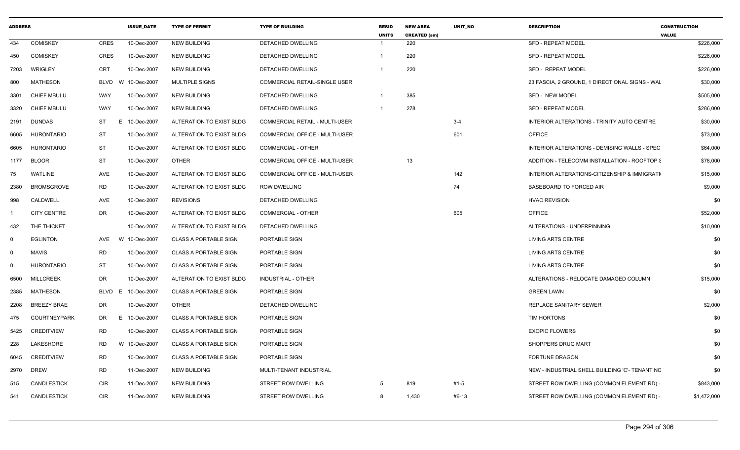| <b>COMISKEY</b><br>CRES<br>10-Dec-2007<br><b>NEW BUILDING</b><br><b>DETACHED DWELLING</b><br><b>SFD - REPEAT MODEL</b><br>220<br>$\overline{\mathbf{1}}$<br>CRES<br>220<br><b>COMISKEY</b><br>10-Dec-2007<br>DETACHED DWELLING<br><b>SFD - REPEAT MODEL</b><br>NEW BUILDING<br>-1<br>220<br>WRIGLEY<br>CRT<br>10-Dec-2007<br>NEW BUILDING<br>DETACHED DWELLING<br><b>SFD - REPEAT MODEL</b><br><b>MATHESON</b><br>BLVD W 10-Dec-2007<br>MULTIPLE SIGNS<br><b>COMMERCIAL RETAIL-SINGLE USER</b><br>23 FASCIA, 2 GROUND, 1 DIRECTIONAL SIGNS - WAL<br>10-Dec-2007<br>385<br>CHIEF MBULU<br>WAY<br><b>NEW BUILDING</b><br>DETACHED DWELLING<br>$\overline{1}$<br>SFD - NEW MODEL<br>278<br>WAY<br><b>SFD - REPEAT MODEL</b><br>CHIEF MBULU<br>10-Dec-2007<br><b>NEW BUILDING</b><br><b>DETACHED DWELLING</b><br>$\overline{\mathbf{1}}$<br>DUNDAS<br>ST<br>Е.<br>10-Dec-2007<br>$3-4$<br>ALTERATION TO EXIST BLDG<br><b>COMMERCIAL RETAIL - MULTI-USER</b><br>INTERIOR ALTERATIONS - TRINITY AUTO CENTRE<br>601<br>ST<br><b>OFFICE</b><br>HURONTARIO<br>10-Dec-2007<br>ALTERATION TO EXIST BLDG<br>COMMERCIAL OFFICE - MULTI-USER<br>ST<br><b>HURONTARIO</b><br>10-Dec-2007<br><b>COMMERCIAL - OTHER</b><br>ALTERATION TO EXIST BLDG<br>INTERIOR ALTERATIONS - DEMISING WALLS - SPEC<br><b>BLOOR</b><br>ST<br>13<br>OTHER<br>COMMERCIAL OFFICE - MULTI-USER<br>10-Dec-2007<br>ADDITION - TELECOMM INSTALLATION - ROOFTOP &<br>1177<br><b>WATLINE</b><br>AVE<br>10-Dec-2007<br>142<br>ALTERATION TO EXIST BLDG<br><b>COMMERCIAL OFFICE - MULTI-USER</b><br>INTERIOR ALTERATIONS-CITIZENSHIP & IMMIGRATI<br><b>RD</b><br><b>BROMSGROVE</b><br>74<br><b>BASEBOARD TO FORCED AIR</b><br>10-Dec-2007<br>ALTERATION TO EXIST BLDG<br><b>ROW DWELLING</b><br>CALDWELL<br>AVE<br>10-Dec-2007<br><b>REVISIONS</b><br>DETACHED DWELLING<br><b>HVAC REVISION</b><br>DR<br>605<br><b>OFFICE</b><br><b>CITY CENTRE</b><br>10-Dec-2007<br>ALTERATION TO EXIST BLDG<br><b>COMMERCIAL - OTHER</b><br>THE THICKET<br>10-Dec-2007<br>ALTERATION TO EXIST BLDG<br>DETACHED DWELLING<br>ALTERATIONS - UNDERPINNING<br><b>EGLINTON</b><br>AVE<br>W 10-Dec-2007<br><b>CLASS A PORTABLE SIGN</b><br>PORTABLE SIGN<br>LIVING ARTS CENTRE<br><b>RD</b><br><b>MAVIS</b><br>10-Dec-2007<br><b>CLASS A PORTABLE SIGN</b><br>PORTABLE SIGN<br>LIVING ARTS CENTRE<br>ST<br><b>HURONTARIO</b><br>10-Dec-2007<br><b>CLASS A PORTABLE SIGN</b><br>PORTABLE SIGN<br>LIVING ARTS CENTRE<br><b>MILLCREEK</b><br>DR<br>ALTERATIONS - RELOCATE DAMAGED COLUMN<br>10-Dec-2007<br>ALTERATION TO EXIST BLDG<br>INDUSTRIAL - OTHER<br><b>MATHESON</b><br>10-Dec-2007<br><b>GREEN LAWN</b><br>BLVD E<br><b>CLASS A PORTABLE SIGN</b><br>PORTABLE SIGN<br><b>BREEZY BRAE</b><br>DR<br><b>OTHER</b><br>REPLACE SANITARY SEWER<br>10-Dec-2007<br>DETACHED DWELLING<br><b>COURTNEYPARK</b><br>DR<br>E 10-Dec-2007<br><b>CLASS A PORTABLE SIGN</b><br><b>PORTABLE SIGN</b><br><b>TIM HORTONS</b><br>CREDITVIEW<br>RD<br>10-Dec-2007<br><b>CLASS A PORTABLE SIGN</b><br>PORTABLE SIGN<br><b>EXOPIC FLOWERS</b><br>LAKESHORE<br>SHOPPERS DRUG MART<br>RD<br>W 10-Dec-2007<br><b>CLASS A PORTABLE SIGN</b><br>PORTABLE SIGN<br><b>CREDITVIEW</b><br>RD<br>10-Dec-2007<br><b>CLASS A PORTABLE SIGN</b><br>PORTABLE SIGN<br><b>FORTUNE DRAGON</b><br>6045<br><b>DREW</b><br><b>RD</b><br>11-Dec-2007<br><b>NEW BUILDING</b><br>MULTI-TENANT INDUSTRIAL<br>NEW - INDUSTRIAL SHELL BUILDING 'C'- TENANT NC<br>2970<br>819<br>CANDLESTICK<br>11-Dec-2007<br>STREET ROW DWELLING<br>$5\overline{5}$<br>#1-5<br>STREET ROW DWELLING (COMMON ELEMENT RD) -<br>CIR<br>NEW BUILDING<br>CANDLESTICK<br>CIR<br>11-Dec-2007<br><b>NEW BUILDING</b><br>STREET ROW DWELLING<br>8<br>1,430<br>#6-13<br>STREET ROW DWELLING (COMMON ELEMENT RD) - | <b>ADDRESS</b> |  | <b>ISSUE_DATE</b> | <b>TYPE OF PERMIT</b> | <b>TYPE OF BUILDING</b> | <b>RESID</b><br><b>UNITS</b> | <b>NEW AREA</b><br><b>CREATED (sm)</b> | UNIT_NO | <b>DESCRIPTION</b> | <b>CONSTRUCTION</b><br><b>VALUE</b> |
|----------------------------------------------------------------------------------------------------------------------------------------------------------------------------------------------------------------------------------------------------------------------------------------------------------------------------------------------------------------------------------------------------------------------------------------------------------------------------------------------------------------------------------------------------------------------------------------------------------------------------------------------------------------------------------------------------------------------------------------------------------------------------------------------------------------------------------------------------------------------------------------------------------------------------------------------------------------------------------------------------------------------------------------------------------------------------------------------------------------------------------------------------------------------------------------------------------------------------------------------------------------------------------------------------------------------------------------------------------------------------------------------------------------------------------------------------------------------------------------------------------------------------------------------------------------------------------------------------------------------------------------------------------------------------------------------------------------------------------------------------------------------------------------------------------------------------------------------------------------------------------------------------------------------------------------------------------------------------------------------------------------------------------------------------------------------------------------------------------------------------------------------------------------------------------------------------------------------------------------------------------------------------------------------------------------------------------------------------------------------------------------------------------------------------------------------------------------------------------------------------------------------------------------------------------------------------------------------------------------------------------------------------------------------------------------------------------------------------------------------------------------------------------------------------------------------------------------------------------------------------------------------------------------------------------------------------------------------------------------------------------------------------------------------------------------------------------------------------------------------------------------------------------------------------------------------------------------------------------------------------------------------------------------------------------------------------------------------------------------------------------------------------------------------------------------------------------------------------------------------------------------------------------------------------------------------------------------------------------------------------------------------------------------------------------------------------------------------------------------------------------------------------|----------------|--|-------------------|-----------------------|-------------------------|------------------------------|----------------------------------------|---------|--------------------|-------------------------------------|
|                                                                                                                                                                                                                                                                                                                                                                                                                                                                                                                                                                                                                                                                                                                                                                                                                                                                                                                                                                                                                                                                                                                                                                                                                                                                                                                                                                                                                                                                                                                                                                                                                                                                                                                                                                                                                                                                                                                                                                                                                                                                                                                                                                                                                                                                                                                                                                                                                                                                                                                                                                                                                                                                                                                                                                                                                                                                                                                                                                                                                                                                                                                                                                                                                                                                                                                                                                                                                                                                                                                                                                                                                                                                                                                                                                            | 434            |  |                   |                       |                         |                              |                                        |         |                    | \$226,000                           |
|                                                                                                                                                                                                                                                                                                                                                                                                                                                                                                                                                                                                                                                                                                                                                                                                                                                                                                                                                                                                                                                                                                                                                                                                                                                                                                                                                                                                                                                                                                                                                                                                                                                                                                                                                                                                                                                                                                                                                                                                                                                                                                                                                                                                                                                                                                                                                                                                                                                                                                                                                                                                                                                                                                                                                                                                                                                                                                                                                                                                                                                                                                                                                                                                                                                                                                                                                                                                                                                                                                                                                                                                                                                                                                                                                                            | 450            |  |                   |                       |                         |                              |                                        |         |                    | \$226,000                           |
|                                                                                                                                                                                                                                                                                                                                                                                                                                                                                                                                                                                                                                                                                                                                                                                                                                                                                                                                                                                                                                                                                                                                                                                                                                                                                                                                                                                                                                                                                                                                                                                                                                                                                                                                                                                                                                                                                                                                                                                                                                                                                                                                                                                                                                                                                                                                                                                                                                                                                                                                                                                                                                                                                                                                                                                                                                                                                                                                                                                                                                                                                                                                                                                                                                                                                                                                                                                                                                                                                                                                                                                                                                                                                                                                                                            | 7203           |  |                   |                       |                         |                              |                                        |         |                    | \$226,000                           |
|                                                                                                                                                                                                                                                                                                                                                                                                                                                                                                                                                                                                                                                                                                                                                                                                                                                                                                                                                                                                                                                                                                                                                                                                                                                                                                                                                                                                                                                                                                                                                                                                                                                                                                                                                                                                                                                                                                                                                                                                                                                                                                                                                                                                                                                                                                                                                                                                                                                                                                                                                                                                                                                                                                                                                                                                                                                                                                                                                                                                                                                                                                                                                                                                                                                                                                                                                                                                                                                                                                                                                                                                                                                                                                                                                                            | 800            |  |                   |                       |                         |                              |                                        |         |                    | \$30,000                            |
|                                                                                                                                                                                                                                                                                                                                                                                                                                                                                                                                                                                                                                                                                                                                                                                                                                                                                                                                                                                                                                                                                                                                                                                                                                                                                                                                                                                                                                                                                                                                                                                                                                                                                                                                                                                                                                                                                                                                                                                                                                                                                                                                                                                                                                                                                                                                                                                                                                                                                                                                                                                                                                                                                                                                                                                                                                                                                                                                                                                                                                                                                                                                                                                                                                                                                                                                                                                                                                                                                                                                                                                                                                                                                                                                                                            | 3301           |  |                   |                       |                         |                              |                                        |         |                    | \$505,000                           |
|                                                                                                                                                                                                                                                                                                                                                                                                                                                                                                                                                                                                                                                                                                                                                                                                                                                                                                                                                                                                                                                                                                                                                                                                                                                                                                                                                                                                                                                                                                                                                                                                                                                                                                                                                                                                                                                                                                                                                                                                                                                                                                                                                                                                                                                                                                                                                                                                                                                                                                                                                                                                                                                                                                                                                                                                                                                                                                                                                                                                                                                                                                                                                                                                                                                                                                                                                                                                                                                                                                                                                                                                                                                                                                                                                                            | 3320           |  |                   |                       |                         |                              |                                        |         |                    | \$286,000                           |
|                                                                                                                                                                                                                                                                                                                                                                                                                                                                                                                                                                                                                                                                                                                                                                                                                                                                                                                                                                                                                                                                                                                                                                                                                                                                                                                                                                                                                                                                                                                                                                                                                                                                                                                                                                                                                                                                                                                                                                                                                                                                                                                                                                                                                                                                                                                                                                                                                                                                                                                                                                                                                                                                                                                                                                                                                                                                                                                                                                                                                                                                                                                                                                                                                                                                                                                                                                                                                                                                                                                                                                                                                                                                                                                                                                            | 2191           |  |                   |                       |                         |                              |                                        |         |                    | \$30,000                            |
|                                                                                                                                                                                                                                                                                                                                                                                                                                                                                                                                                                                                                                                                                                                                                                                                                                                                                                                                                                                                                                                                                                                                                                                                                                                                                                                                                                                                                                                                                                                                                                                                                                                                                                                                                                                                                                                                                                                                                                                                                                                                                                                                                                                                                                                                                                                                                                                                                                                                                                                                                                                                                                                                                                                                                                                                                                                                                                                                                                                                                                                                                                                                                                                                                                                                                                                                                                                                                                                                                                                                                                                                                                                                                                                                                                            | 6605           |  |                   |                       |                         |                              |                                        |         |                    | \$73,000                            |
|                                                                                                                                                                                                                                                                                                                                                                                                                                                                                                                                                                                                                                                                                                                                                                                                                                                                                                                                                                                                                                                                                                                                                                                                                                                                                                                                                                                                                                                                                                                                                                                                                                                                                                                                                                                                                                                                                                                                                                                                                                                                                                                                                                                                                                                                                                                                                                                                                                                                                                                                                                                                                                                                                                                                                                                                                                                                                                                                                                                                                                                                                                                                                                                                                                                                                                                                                                                                                                                                                                                                                                                                                                                                                                                                                                            | 6605           |  |                   |                       |                         |                              |                                        |         |                    | \$64,000                            |
|                                                                                                                                                                                                                                                                                                                                                                                                                                                                                                                                                                                                                                                                                                                                                                                                                                                                                                                                                                                                                                                                                                                                                                                                                                                                                                                                                                                                                                                                                                                                                                                                                                                                                                                                                                                                                                                                                                                                                                                                                                                                                                                                                                                                                                                                                                                                                                                                                                                                                                                                                                                                                                                                                                                                                                                                                                                                                                                                                                                                                                                                                                                                                                                                                                                                                                                                                                                                                                                                                                                                                                                                                                                                                                                                                                            |                |  |                   |                       |                         |                              |                                        |         |                    | \$78,000                            |
|                                                                                                                                                                                                                                                                                                                                                                                                                                                                                                                                                                                                                                                                                                                                                                                                                                                                                                                                                                                                                                                                                                                                                                                                                                                                                                                                                                                                                                                                                                                                                                                                                                                                                                                                                                                                                                                                                                                                                                                                                                                                                                                                                                                                                                                                                                                                                                                                                                                                                                                                                                                                                                                                                                                                                                                                                                                                                                                                                                                                                                                                                                                                                                                                                                                                                                                                                                                                                                                                                                                                                                                                                                                                                                                                                                            | 75             |  |                   |                       |                         |                              |                                        |         |                    | \$15,000                            |
|                                                                                                                                                                                                                                                                                                                                                                                                                                                                                                                                                                                                                                                                                                                                                                                                                                                                                                                                                                                                                                                                                                                                                                                                                                                                                                                                                                                                                                                                                                                                                                                                                                                                                                                                                                                                                                                                                                                                                                                                                                                                                                                                                                                                                                                                                                                                                                                                                                                                                                                                                                                                                                                                                                                                                                                                                                                                                                                                                                                                                                                                                                                                                                                                                                                                                                                                                                                                                                                                                                                                                                                                                                                                                                                                                                            | 2380           |  |                   |                       |                         |                              |                                        |         |                    | \$9,000                             |
|                                                                                                                                                                                                                                                                                                                                                                                                                                                                                                                                                                                                                                                                                                                                                                                                                                                                                                                                                                                                                                                                                                                                                                                                                                                                                                                                                                                                                                                                                                                                                                                                                                                                                                                                                                                                                                                                                                                                                                                                                                                                                                                                                                                                                                                                                                                                                                                                                                                                                                                                                                                                                                                                                                                                                                                                                                                                                                                                                                                                                                                                                                                                                                                                                                                                                                                                                                                                                                                                                                                                                                                                                                                                                                                                                                            | 998            |  |                   |                       |                         |                              |                                        |         |                    | \$0                                 |
|                                                                                                                                                                                                                                                                                                                                                                                                                                                                                                                                                                                                                                                                                                                                                                                                                                                                                                                                                                                                                                                                                                                                                                                                                                                                                                                                                                                                                                                                                                                                                                                                                                                                                                                                                                                                                                                                                                                                                                                                                                                                                                                                                                                                                                                                                                                                                                                                                                                                                                                                                                                                                                                                                                                                                                                                                                                                                                                                                                                                                                                                                                                                                                                                                                                                                                                                                                                                                                                                                                                                                                                                                                                                                                                                                                            |                |  |                   |                       |                         |                              |                                        |         |                    | \$52,000                            |
|                                                                                                                                                                                                                                                                                                                                                                                                                                                                                                                                                                                                                                                                                                                                                                                                                                                                                                                                                                                                                                                                                                                                                                                                                                                                                                                                                                                                                                                                                                                                                                                                                                                                                                                                                                                                                                                                                                                                                                                                                                                                                                                                                                                                                                                                                                                                                                                                                                                                                                                                                                                                                                                                                                                                                                                                                                                                                                                                                                                                                                                                                                                                                                                                                                                                                                                                                                                                                                                                                                                                                                                                                                                                                                                                                                            | 432            |  |                   |                       |                         |                              |                                        |         |                    | \$10,000                            |
|                                                                                                                                                                                                                                                                                                                                                                                                                                                                                                                                                                                                                                                                                                                                                                                                                                                                                                                                                                                                                                                                                                                                                                                                                                                                                                                                                                                                                                                                                                                                                                                                                                                                                                                                                                                                                                                                                                                                                                                                                                                                                                                                                                                                                                                                                                                                                                                                                                                                                                                                                                                                                                                                                                                                                                                                                                                                                                                                                                                                                                                                                                                                                                                                                                                                                                                                                                                                                                                                                                                                                                                                                                                                                                                                                                            | $^{\circ}$     |  |                   |                       |                         |                              |                                        |         |                    | \$0                                 |
|                                                                                                                                                                                                                                                                                                                                                                                                                                                                                                                                                                                                                                                                                                                                                                                                                                                                                                                                                                                                                                                                                                                                                                                                                                                                                                                                                                                                                                                                                                                                                                                                                                                                                                                                                                                                                                                                                                                                                                                                                                                                                                                                                                                                                                                                                                                                                                                                                                                                                                                                                                                                                                                                                                                                                                                                                                                                                                                                                                                                                                                                                                                                                                                                                                                                                                                                                                                                                                                                                                                                                                                                                                                                                                                                                                            | $\mathbf 0$    |  |                   |                       |                         |                              |                                        |         |                    | \$0                                 |
|                                                                                                                                                                                                                                                                                                                                                                                                                                                                                                                                                                                                                                                                                                                                                                                                                                                                                                                                                                                                                                                                                                                                                                                                                                                                                                                                                                                                                                                                                                                                                                                                                                                                                                                                                                                                                                                                                                                                                                                                                                                                                                                                                                                                                                                                                                                                                                                                                                                                                                                                                                                                                                                                                                                                                                                                                                                                                                                                                                                                                                                                                                                                                                                                                                                                                                                                                                                                                                                                                                                                                                                                                                                                                                                                                                            | $^{\circ}$     |  |                   |                       |                         |                              |                                        |         |                    | \$0                                 |
|                                                                                                                                                                                                                                                                                                                                                                                                                                                                                                                                                                                                                                                                                                                                                                                                                                                                                                                                                                                                                                                                                                                                                                                                                                                                                                                                                                                                                                                                                                                                                                                                                                                                                                                                                                                                                                                                                                                                                                                                                                                                                                                                                                                                                                                                                                                                                                                                                                                                                                                                                                                                                                                                                                                                                                                                                                                                                                                                                                                                                                                                                                                                                                                                                                                                                                                                                                                                                                                                                                                                                                                                                                                                                                                                                                            | 6500           |  |                   |                       |                         |                              |                                        |         |                    | \$15,000                            |
|                                                                                                                                                                                                                                                                                                                                                                                                                                                                                                                                                                                                                                                                                                                                                                                                                                                                                                                                                                                                                                                                                                                                                                                                                                                                                                                                                                                                                                                                                                                                                                                                                                                                                                                                                                                                                                                                                                                                                                                                                                                                                                                                                                                                                                                                                                                                                                                                                                                                                                                                                                                                                                                                                                                                                                                                                                                                                                                                                                                                                                                                                                                                                                                                                                                                                                                                                                                                                                                                                                                                                                                                                                                                                                                                                                            | 2385           |  |                   |                       |                         |                              |                                        |         |                    | \$0                                 |
|                                                                                                                                                                                                                                                                                                                                                                                                                                                                                                                                                                                                                                                                                                                                                                                                                                                                                                                                                                                                                                                                                                                                                                                                                                                                                                                                                                                                                                                                                                                                                                                                                                                                                                                                                                                                                                                                                                                                                                                                                                                                                                                                                                                                                                                                                                                                                                                                                                                                                                                                                                                                                                                                                                                                                                                                                                                                                                                                                                                                                                                                                                                                                                                                                                                                                                                                                                                                                                                                                                                                                                                                                                                                                                                                                                            | 2208           |  |                   |                       |                         |                              |                                        |         |                    | \$2,000                             |
|                                                                                                                                                                                                                                                                                                                                                                                                                                                                                                                                                                                                                                                                                                                                                                                                                                                                                                                                                                                                                                                                                                                                                                                                                                                                                                                                                                                                                                                                                                                                                                                                                                                                                                                                                                                                                                                                                                                                                                                                                                                                                                                                                                                                                                                                                                                                                                                                                                                                                                                                                                                                                                                                                                                                                                                                                                                                                                                                                                                                                                                                                                                                                                                                                                                                                                                                                                                                                                                                                                                                                                                                                                                                                                                                                                            | 475            |  |                   |                       |                         |                              |                                        |         |                    | \$0                                 |
|                                                                                                                                                                                                                                                                                                                                                                                                                                                                                                                                                                                                                                                                                                                                                                                                                                                                                                                                                                                                                                                                                                                                                                                                                                                                                                                                                                                                                                                                                                                                                                                                                                                                                                                                                                                                                                                                                                                                                                                                                                                                                                                                                                                                                                                                                                                                                                                                                                                                                                                                                                                                                                                                                                                                                                                                                                                                                                                                                                                                                                                                                                                                                                                                                                                                                                                                                                                                                                                                                                                                                                                                                                                                                                                                                                            | 5425           |  |                   |                       |                         |                              |                                        |         |                    | \$0                                 |
|                                                                                                                                                                                                                                                                                                                                                                                                                                                                                                                                                                                                                                                                                                                                                                                                                                                                                                                                                                                                                                                                                                                                                                                                                                                                                                                                                                                                                                                                                                                                                                                                                                                                                                                                                                                                                                                                                                                                                                                                                                                                                                                                                                                                                                                                                                                                                                                                                                                                                                                                                                                                                                                                                                                                                                                                                                                                                                                                                                                                                                                                                                                                                                                                                                                                                                                                                                                                                                                                                                                                                                                                                                                                                                                                                                            | 228            |  |                   |                       |                         |                              |                                        |         |                    | \$0                                 |
|                                                                                                                                                                                                                                                                                                                                                                                                                                                                                                                                                                                                                                                                                                                                                                                                                                                                                                                                                                                                                                                                                                                                                                                                                                                                                                                                                                                                                                                                                                                                                                                                                                                                                                                                                                                                                                                                                                                                                                                                                                                                                                                                                                                                                                                                                                                                                                                                                                                                                                                                                                                                                                                                                                                                                                                                                                                                                                                                                                                                                                                                                                                                                                                                                                                                                                                                                                                                                                                                                                                                                                                                                                                                                                                                                                            |                |  |                   |                       |                         |                              |                                        |         |                    | \$0                                 |
|                                                                                                                                                                                                                                                                                                                                                                                                                                                                                                                                                                                                                                                                                                                                                                                                                                                                                                                                                                                                                                                                                                                                                                                                                                                                                                                                                                                                                                                                                                                                                                                                                                                                                                                                                                                                                                                                                                                                                                                                                                                                                                                                                                                                                                                                                                                                                                                                                                                                                                                                                                                                                                                                                                                                                                                                                                                                                                                                                                                                                                                                                                                                                                                                                                                                                                                                                                                                                                                                                                                                                                                                                                                                                                                                                                            |                |  |                   |                       |                         |                              |                                        |         |                    | \$0                                 |
|                                                                                                                                                                                                                                                                                                                                                                                                                                                                                                                                                                                                                                                                                                                                                                                                                                                                                                                                                                                                                                                                                                                                                                                                                                                                                                                                                                                                                                                                                                                                                                                                                                                                                                                                                                                                                                                                                                                                                                                                                                                                                                                                                                                                                                                                                                                                                                                                                                                                                                                                                                                                                                                                                                                                                                                                                                                                                                                                                                                                                                                                                                                                                                                                                                                                                                                                                                                                                                                                                                                                                                                                                                                                                                                                                                            | 515            |  |                   |                       |                         |                              |                                        |         |                    | \$843,000                           |
|                                                                                                                                                                                                                                                                                                                                                                                                                                                                                                                                                                                                                                                                                                                                                                                                                                                                                                                                                                                                                                                                                                                                                                                                                                                                                                                                                                                                                                                                                                                                                                                                                                                                                                                                                                                                                                                                                                                                                                                                                                                                                                                                                                                                                                                                                                                                                                                                                                                                                                                                                                                                                                                                                                                                                                                                                                                                                                                                                                                                                                                                                                                                                                                                                                                                                                                                                                                                                                                                                                                                                                                                                                                                                                                                                                            | 541            |  |                   |                       |                         |                              |                                        |         |                    | \$1,472,000                         |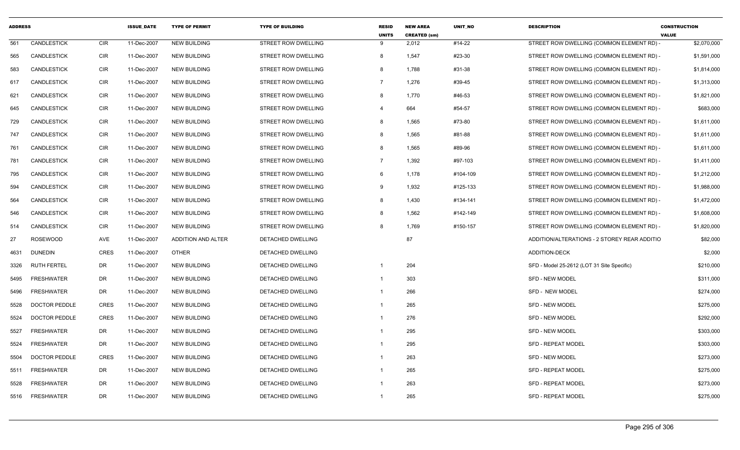| <b>ADDRESS</b> |                      |             | <b>ISSUE DATE</b> | <b>TYPE OF PERMIT</b>     | <b>TYPE OF BUILDING</b>    | <b>RESID</b><br><b>UNITS</b> | <b>NEW AREA</b><br><b>CREATED (sm)</b> | <b>UNIT NO</b> | <b>DESCRIPTION</b>                           | <b>CONSTRUCTION</b><br><b>VALUE</b> |
|----------------|----------------------|-------------|-------------------|---------------------------|----------------------------|------------------------------|----------------------------------------|----------------|----------------------------------------------|-------------------------------------|
| 561            | CANDLESTICK          | <b>CIR</b>  | 11-Dec-2007       | <b>NEW BUILDING</b>       | STREET ROW DWELLING        | 9                            | 2,012                                  | #14-22         | STREET ROW DWELLING (COMMON ELEMENT RD) -    | \$2,070,000                         |
| 565            | <b>CANDLESTICK</b>   | <b>CIR</b>  | 11-Dec-2007       | <b>NEW BUILDING</b>       | <b>STREET ROW DWELLING</b> | 8                            | 1,547                                  | #23-30         | STREET ROW DWELLING (COMMON ELEMENT RD) -    | \$1,591,000                         |
| 583            | <b>CANDLESTICK</b>   | <b>CIR</b>  | 11-Dec-2007       | <b>NEW BUILDING</b>       | STREET ROW DWELLING        | 8                            | 1,788                                  | #31-38         | STREET ROW DWELLING (COMMON ELEMENT RD) -    | \$1,814,000                         |
| 617            | <b>CANDLESTICK</b>   | <b>CIR</b>  | 11-Dec-2007       | <b>NEW BUILDING</b>       | STREET ROW DWELLING        | $\overline{7}$               | 1,276                                  | #39-45         | STREET ROW DWELLING (COMMON ELEMENT RD) -    | \$1,313,000                         |
| 621            | <b>CANDLESTICK</b>   | <b>CIR</b>  | 11-Dec-2007       | <b>NEW BUILDING</b>       | STREET ROW DWELLING        | 8                            | 1,770                                  | #46-53         | STREET ROW DWELLING (COMMON ELEMENT RD) -    | \$1,821,000                         |
| 645            | <b>CANDLESTICK</b>   | <b>CIR</b>  | 11-Dec-2007       | <b>NEW BUILDING</b>       | <b>STREET ROW DWELLING</b> | $\overline{\mathbf{4}}$      | 664                                    | #54-57         | STREET ROW DWELLING (COMMON ELEMENT RD) -    | \$683,000                           |
| 729            | <b>CANDLESTICK</b>   | <b>CIR</b>  | 11-Dec-2007       | <b>NEW BUILDING</b>       | STREET ROW DWELLING        | 8                            | 1,565                                  | #73-80         | STREET ROW DWELLING (COMMON ELEMENT RD) -    | \$1,611,000                         |
| 747            | <b>CANDLESTICK</b>   | <b>CIR</b>  | 11-Dec-2007       | <b>NEW BUILDING</b>       | STREET ROW DWELLING        | 8                            | 1,565                                  | #81-88         | STREET ROW DWELLING (COMMON ELEMENT RD) -    | \$1,611,000                         |
| 761            | <b>CANDLESTICK</b>   | <b>CIR</b>  | 11-Dec-2007       | <b>NEW BUILDING</b>       | STREET ROW DWELLING        | 8                            | 1,565                                  | #89-96         | STREET ROW DWELLING (COMMON ELEMENT RD) -    | \$1,611,000                         |
| 781            | <b>CANDLESTICK</b>   | <b>CIR</b>  | 11-Dec-2007       | <b>NEW BUILDING</b>       | STREET ROW DWELLING        | $\overline{7}$               | 1,392                                  | #97-103        | STREET ROW DWELLING (COMMON ELEMENT RD) -    | \$1,411,000                         |
| 795            | <b>CANDLESTICK</b>   | <b>CIR</b>  | 11-Dec-2007       | <b>NEW BUILDING</b>       | STREET ROW DWELLING        | 6                            | 1,178                                  | #104-109       | STREET ROW DWELLING (COMMON ELEMENT RD) -    | \$1,212,000                         |
| 594            | <b>CANDLESTICK</b>   | <b>CIR</b>  | 11-Dec-2007       | <b>NEW BUILDING</b>       | STREET ROW DWELLING        | 9                            | 1,932                                  | #125-133       | STREET ROW DWELLING (COMMON ELEMENT RD) -    | \$1,988,000                         |
| 564            | <b>CANDLESTICK</b>   | <b>CIR</b>  | 11-Dec-2007       | <b>NEW BUILDING</b>       | STREET ROW DWELLING        | 8                            | 1,430                                  | #134-141       | STREET ROW DWELLING (COMMON ELEMENT RD) -    | \$1,472,000                         |
| 546            | <b>CANDLESTICK</b>   | <b>CIR</b>  | 11-Dec-2007       | <b>NEW BUILDING</b>       | STREET ROW DWELLING        | 8                            | 1,562                                  | #142-149       | STREET ROW DWELLING (COMMON ELEMENT RD) -    | \$1,608,000                         |
| 514            | <b>CANDLESTICK</b>   | <b>CIR</b>  | 11-Dec-2007       | <b>NEW BUILDING</b>       | STREET ROW DWELLING        | 8                            | 1,769                                  | #150-157       | STREET ROW DWELLING (COMMON ELEMENT RD) -    | \$1,820,000                         |
| 27             | <b>ROSEWOOD</b>      | AVE         | 11-Dec-2007       | <b>ADDITION AND ALTER</b> | DETACHED DWELLING          |                              | 87                                     |                | ADDITION/ALTERATIONS - 2 STOREY REAR ADDITIO | \$82,000                            |
| 4631           | <b>DUNEDIN</b>       | CRES        | 11-Dec-2007       | <b>OTHER</b>              | <b>DETACHED DWELLING</b>   |                              |                                        |                | ADDITION-DECK                                | \$2,000                             |
| 3326           | <b>RUTH FERTEL</b>   | <b>DR</b>   | 11-Dec-2007       | <b>NEW BUILDING</b>       | DETACHED DWELLING          | $\overline{1}$               | 204                                    |                | SFD - Model 25-2612 (LOT 31 Site Specific)   | \$210,000                           |
| 5495           | <b>FRESHWATER</b>    | <b>DR</b>   | 11-Dec-2007       | <b>NEW BUILDING</b>       | DETACHED DWELLING          | $\mathbf{1}$                 | 303                                    |                | <b>SFD - NEW MODEL</b>                       | \$311,000                           |
| 5496           | <b>FRESHWATER</b>    | <b>DR</b>   | 11-Dec-2007       | <b>NEW BUILDING</b>       | DETACHED DWELLING          | -1                           | 266                                    |                | SFD - NEW MODEL                              | \$274,000                           |
| 5528           | <b>DOCTOR PEDDLE</b> | <b>CRES</b> | 11-Dec-2007       | <b>NEW BUILDING</b>       | DETACHED DWELLING          | $\mathbf{1}$                 | 265                                    |                | <b>SFD - NEW MODEL</b>                       | \$275,000                           |
| 5524           | <b>DOCTOR PEDDLE</b> | <b>CRES</b> | 11-Dec-2007       | <b>NEW BUILDING</b>       | DETACHED DWELLING          | $\mathbf{1}$                 | 276                                    |                | <b>SFD - NEW MODEL</b>                       | \$292,000                           |
| 5527           | <b>FRESHWATER</b>    | <b>DR</b>   | 11-Dec-2007       | <b>NEW BUILDING</b>       | DETACHED DWELLING          | -1                           | 295                                    |                | SFD - NEW MODEL                              | \$303,000                           |
| 5524           | <b>FRESHWATER</b>    | <b>DR</b>   | 11-Dec-2007       | <b>NEW BUILDING</b>       | <b>DETACHED DWELLING</b>   | $\mathbf{1}$                 | 295                                    |                | <b>SFD - REPEAT MODEL</b>                    | \$303,000                           |
| 5504           | <b>DOCTOR PEDDLE</b> | <b>CRES</b> | 11-Dec-2007       | <b>NEW BUILDING</b>       | DETACHED DWELLING          | $\mathbf{1}$                 | 263                                    |                | <b>SFD - NEW MODEL</b>                       | \$273,000                           |
| 5511           | <b>FRESHWATER</b>    | <b>DR</b>   | 11-Dec-2007       | <b>NEW BUILDING</b>       | DETACHED DWELLING          | $\mathbf{1}$                 | 265                                    |                | SFD - REPEAT MODEL                           | \$275,000                           |
| 5528           | <b>FRESHWATER</b>    | <b>DR</b>   | 11-Dec-2007       | <b>NEW BUILDING</b>       | DETACHED DWELLING          | -1                           | 263                                    |                | SFD - REPEAT MODEL                           | \$273,000                           |
| 5516           | <b>FRESHWATER</b>    | <b>DR</b>   | 11-Dec-2007       | <b>NEW BUILDING</b>       | <b>DETACHED DWELLING</b>   | $\mathbf{1}$                 | 265                                    |                | <b>SFD - REPEAT MODEL</b>                    | \$275,000                           |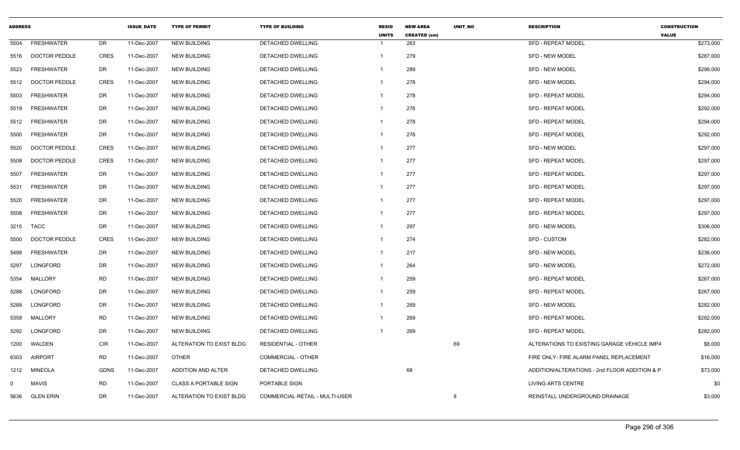| <b>ADDRESS</b> |                      |             | <b>ISSUE DATE</b> | <b>TYPE OF PERMIT</b>        | <b>TYPE OF BUILDING</b>               | <b>RESID</b><br><b>UNITS</b> | <b>NEW AREA</b><br><b>CREATED (sm)</b> | <b>UNIT NO</b> | <b>DESCRIPTION</b>                            | <b>CONSTRUCTION</b><br><b>VALUE</b> |
|----------------|----------------------|-------------|-------------------|------------------------------|---------------------------------------|------------------------------|----------------------------------------|----------------|-----------------------------------------------|-------------------------------------|
| 5504           | <b>FRESHWATER</b>    | DR          | 11-Dec-2007       | <b>NEW BUILDING</b>          | <b>DETACHED DWELLING</b>              | $\mathbf 1$                  | 263                                    |                | <b>SFD - REPEAT MODEL</b>                     | \$273,000                           |
| 5516           | <b>DOCTOR PEDDLE</b> | <b>CRES</b> | 11-Dec-2007       | <b>NEW BUILDING</b>          | DETACHED DWELLING                     | $\mathbf{1}$                 | 279                                    |                | SFD - NEW MODEL                               | \$287,000                           |
| 5523           | <b>FRESHWATER</b>    | <b>DR</b>   | 11-Dec-2007       | <b>NEW BUILDING</b>          | DETACHED DWELLING                     | -1                           | 289                                    |                | <b>SFD - NEW MODEL</b>                        | \$298,000                           |
| 5512           | <b>DOCTOR PEDDLE</b> | <b>CRES</b> | 11-Dec-2007       | <b>NEW BUILDING</b>          | <b>DETACHED DWELLING</b>              | $\mathbf 1$                  | 278                                    |                | <b>SFD - NEW MODEL</b>                        | \$294,000                           |
| 5503           | <b>FRESHWATER</b>    | DR          | 11-Dec-2007       | <b>NEW BUILDING</b>          | <b>DETACHED DWELLING</b>              | -1                           | 278                                    |                | <b>SFD - REPEAT MODEL</b>                     | \$294,000                           |
| 5519           | <b>FRESHWATER</b>    | DR          | 11-Dec-2007       | <b>NEW BUILDING</b>          | <b>DETACHED DWELLING</b>              | -1                           | 276                                    |                | <b>SFD - REPEAT MODEL</b>                     | \$292,000                           |
| 5512           | FRESHWATER           | DR          | 11-Dec-2007       | <b>NEW BUILDING</b>          | <b>DETACHED DWELLING</b>              | $\mathbf{1}$                 | 278                                    |                | <b>SFD - REPEAT MODEL</b>                     | \$294,000                           |
| 5500           | <b>FRESHWATER</b>    | DR          | 11-Dec-2007       | <b>NEW BUILDING</b>          | DETACHED DWELLING                     | -1                           | 276                                    |                | <b>SFD - REPEAT MODEL</b>                     | \$292,000                           |
| 5520           | <b>DOCTOR PEDDLE</b> | <b>CRES</b> | 11-Dec-2007       | <b>NEW BUILDING</b>          | <b>DETACHED DWELLING</b>              | $\mathbf{1}$                 | 277                                    |                | <b>SFD - NEW MODEL</b>                        | \$297,000                           |
| 5508           | <b>DOCTOR PEDDLE</b> | <b>CRES</b> | 11-Dec-2007       | <b>NEW BUILDING</b>          | DETACHED DWELLING                     | $\mathbf{1}$                 | 277                                    |                | <b>SFD - REPEAT MODEL</b>                     | \$297,000                           |
| 5507           | <b>FRESHWATER</b>    | DR          | 11-Dec-2007       | <b>NEW BUILDING</b>          | DETACHED DWELLING                     | -1                           | 277                                    |                | <b>SFD - REPEAT MODEL</b>                     | \$297,000                           |
| 5531           | <b>FRESHWATER</b>    | DR          | 11-Dec-2007       | <b>NEW BUILDING</b>          | <b>DETACHED DWELLING</b>              | $\mathbf 1$                  | 277                                    |                | <b>SFD - REPEAT MODEL</b>                     | \$297,000                           |
| 5520           | <b>FRESHWATER</b>    | <b>DR</b>   | 11-Dec-2007       | <b>NEW BUILDING</b>          | <b>DETACHED DWELLING</b>              | -1                           | 277                                    |                | <b>SFD - REPEAT MODEL</b>                     | \$297,000                           |
| 5508           | <b>FRESHWATER</b>    | DR          | 11-Dec-2007       | <b>NEW BUILDING</b>          | DETACHED DWELLING                     | -1                           | 277                                    |                | <b>SFD - REPEAT MODEL</b>                     | \$297,000                           |
| 3215           | TACC                 | DR          | 11-Dec-2007       | <b>NEW BUILDING</b>          | <b>DETACHED DWELLING</b>              | $\mathbf{1}$                 | 297                                    |                | <b>SFD - NEW MODEL</b>                        | \$306,000                           |
| 5500           | <b>DOCTOR PEDDLE</b> | <b>CRES</b> | 11-Dec-2007       | <b>NEW BUILDING</b>          | DETACHED DWELLING                     | -1                           | 274                                    |                | SFD - CUSTOM                                  | \$282,000                           |
| 5499           | <b>FRESHWATER</b>    | DR          | 11-Dec-2007       | <b>NEW BUILDING</b>          | <b>DETACHED DWELLING</b>              | $\mathbf 1$                  | 217                                    |                | <b>SFD - NEW MODEL</b>                        | \$236,000                           |
| 5297           | LONGFORD             | DR          | 11-Dec-2007       | <b>NEW BUILDING</b>          | DETACHED DWELLING                     | $\mathbf{1}$                 | 264                                    |                | <b>SFD - NEW MODEL</b>                        | \$272,000                           |
| 5354           | MALLORY              | <b>RD</b>   | 11-Dec-2007       | <b>NEW BUILDING</b>          | <b>DETACHED DWELLING</b>              | -1                           | 259                                    |                | <b>SFD - REPEAT MODEL</b>                     | \$267,000                           |
| 5288           | LONGFORD             | DR          | 11-Dec-2007       | <b>NEW BUILDING</b>          | DETACHED DWELLING                     | $\mathbf{1}$                 | 259                                    |                | SFD - REPEAT MODEL                            | \$267,000                           |
| 5289           | LONGFORD             | DR          | 11-Dec-2007       | <b>NEW BUILDING</b>          | DETACHED DWELLING                     | -1                           | 269                                    |                | SFD - NEW MODEL                               | \$282,000                           |
| 5358           | MALLORY              | <b>RD</b>   | 11-Dec-2007       | <b>NEW BUILDING</b>          | DETACHED DWELLING                     | -1                           | 269                                    |                | <b>SFD - REPEAT MODEL</b>                     | \$282,000                           |
| 5292           | LONGFORD             | DR          | 11-Dec-2007       | <b>NEW BUILDING</b>          | <b>DETACHED DWELLING</b>              |                              | 269                                    |                | <b>SFD - REPEAT MODEL</b>                     | \$282,000                           |
| 1200           | WALDEN               | CIR         | 11-Dec-2007       | ALTERATION TO EXIST BLDG     | <b>RESIDENTIAL - OTHER</b>            |                              |                                        | 69             | ALTERATIONS TO EXISTING GARAGE VEHICLE IMPA   | \$8,000                             |
| 6303           | <b>AIRPORT</b>       | <b>RD</b>   | 11-Dec-2007       | <b>OTHER</b>                 | COMMERCIAL - OTHER                    |                              |                                        |                | FIRE ONLY- FIRE ALARM PANEL REPLACEMENT       | \$16,000                            |
| 1212           | <b>MINEOLA</b>       | <b>GDNS</b> | 11-Dec-2007       | ADDITION AND ALTER           | DETACHED DWELLING                     |                              | 68                                     |                | ADDITION/ALTERATIONS - 2nd FLOOR ADDITION & P | \$73,000                            |
| $\mathbf{0}$   | <b>MAVIS</b>         | <b>RD</b>   | 11-Dec-2007       | <b>CLASS A PORTABLE SIGN</b> | PORTABLE SIGN                         |                              |                                        |                | <b>LIVING ARTS CENTRE</b>                     | \$0                                 |
| 5636           | <b>GLEN ERIN</b>     | <b>DR</b>   | 11-Dec-2007       | ALTERATION TO EXIST BLDG     | <b>COMMERCIAL RETAIL - MULTI-USER</b> |                              |                                        | 8              | REINSTALL UNDERGROUND DRAINAGE                | \$3,000                             |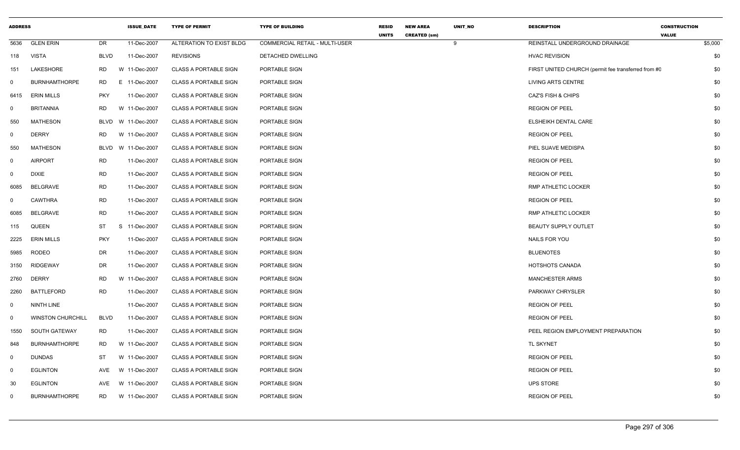| <b>ADDRESS</b>              |                          |             | <b>ISSUE_DATE</b> | <b>TYPE OF PERMIT</b>        | <b>TYPE OF BUILDING</b>               | <b>RESID</b> | <b>NEW AREA</b>     | UNIT_NO | <b>DESCRIPTION</b>                                  | <b>CONSTRUCTION</b> |         |
|-----------------------------|--------------------------|-------------|-------------------|------------------------------|---------------------------------------|--------------|---------------------|---------|-----------------------------------------------------|---------------------|---------|
| 5636                        | <b>GLEN ERIN</b>         | DR          | 11-Dec-2007       | ALTERATION TO EXIST BLDG     | <b>COMMERCIAL RETAIL - MULTI-USER</b> | <b>UNITS</b> | <b>CREATED (sm)</b> | 9       | REINSTALL UNDERGROUND DRAINAGE                      | <b>VALUE</b>        | \$5,000 |
| <b>VISTA</b><br>118         |                          | <b>BLVD</b> | 11-Dec-2007       | <b>REVISIONS</b>             | DETACHED DWELLING                     |              |                     |         | <b>HVAC REVISION</b>                                |                     | \$0     |
| 151                         | LAKESHORE                | <b>RD</b>   | W 11-Dec-2007     | <b>CLASS A PORTABLE SIGN</b> | PORTABLE SIGN                         |              |                     |         | FIRST UNITED CHURCH (permit fee transferred from #C |                     | \$0     |
| $\mathbf 0$                 | <b>BURNHAMTHORPE</b>     | RD.         | E 11-Dec-2007     | <b>CLASS A PORTABLE SIGN</b> | PORTABLE SIGN                         |              |                     |         | LIVING ARTS CENTRE                                  |                     | \$0     |
| 6415                        | <b>ERIN MILLS</b>        | <b>PKY</b>  | 11-Dec-2007       | <b>CLASS A PORTABLE SIGN</b> | PORTABLE SIGN                         |              |                     |         | <b>CAZ'S FISH &amp; CHIPS</b>                       |                     | \$0     |
| 0                           | <b>BRITANNIA</b>         | <b>RD</b>   | W 11-Dec-2007     | <b>CLASS A PORTABLE SIGN</b> | PORTABLE SIGN                         |              |                     |         | <b>REGION OF PEEL</b>                               |                     | \$0     |
| 550                         | <b>MATHESON</b>          | BLVD        | W 11-Dec-2007     | <b>CLASS A PORTABLE SIGN</b> | PORTABLE SIGN                         |              |                     |         | ELSHEIKH DENTAL CARE                                |                     | \$0     |
| $\mathbf{0}$                | <b>DERRY</b>             | <b>RD</b>   | W 11-Dec-2007     | <b>CLASS A PORTABLE SIGN</b> | PORTABLE SIGN                         |              |                     |         | <b>REGION OF PEEL</b>                               |                     | \$0     |
| 550                         | <b>MATHESON</b>          | BLVD        | W 11-Dec-2007     | <b>CLASS A PORTABLE SIGN</b> | PORTABLE SIGN                         |              |                     |         | PIEL SUAVE MEDISPA                                  |                     | \$0     |
| $\mathbf 0$                 | <b>AIRPORT</b>           | <b>RD</b>   | 11-Dec-2007       | <b>CLASS A PORTABLE SIGN</b> | PORTABLE SIGN                         |              |                     |         | <b>REGION OF PEEL</b>                               |                     | \$0     |
| $\mathbf 0$<br><b>DIXIE</b> |                          | <b>RD</b>   | 11-Dec-2007       | <b>CLASS A PORTABLE SIGN</b> | PORTABLE SIGN                         |              |                     |         | <b>REGION OF PEEL</b>                               |                     | \$0     |
| 6085                        | <b>BELGRAVE</b>          | <b>RD</b>   | 11-Dec-2007       | <b>CLASS A PORTABLE SIGN</b> | PORTABLE SIGN                         |              |                     |         | RMP ATHLETIC LOCKER                                 |                     | \$0     |
| 0                           | <b>CAWTHRA</b>           | <b>RD</b>   | 11-Dec-2007       | <b>CLASS A PORTABLE SIGN</b> | PORTABLE SIGN                         |              |                     |         | <b>REGION OF PEEL</b>                               |                     | \$0     |
| 6085                        | BELGRAVE                 | <b>RD</b>   | 11-Dec-2007       | <b>CLASS A PORTABLE SIGN</b> | PORTABLE SIGN                         |              |                     |         | RMP ATHLETIC LOCKER                                 |                     | \$0     |
| 115                         | QUEEN                    | <b>ST</b>   | S 11-Dec-2007     | <b>CLASS A PORTABLE SIGN</b> | PORTABLE SIGN                         |              |                     |         | BEAUTY SUPPLY OUTLET                                |                     | \$0     |
| 2225                        | <b>ERIN MILLS</b>        | <b>PKY</b>  | 11-Dec-2007       | <b>CLASS A PORTABLE SIGN</b> | PORTABLE SIGN                         |              |                     |         | NAILS FOR YOU                                       |                     | \$0     |
| 5985                        | <b>RODEO</b>             | <b>DR</b>   | 11-Dec-2007       | <b>CLASS A PORTABLE SIGN</b> | PORTABLE SIGN                         |              |                     |         | <b>BLUENOTES</b>                                    |                     | \$0     |
| 3150                        | RIDGEWAY                 | <b>DR</b>   | 11-Dec-2007       | <b>CLASS A PORTABLE SIGN</b> | PORTABLE SIGN                         |              |                     |         | HOTSHOTS CANADA                                     |                     | \$0     |
| 2760                        | <b>DERRY</b>             | <b>RD</b>   | W 11-Dec-2007     | <b>CLASS A PORTABLE SIGN</b> | PORTABLE SIGN                         |              |                     |         | <b>MANCHESTER ARMS</b>                              |                     | \$0     |
| 2260                        | <b>BATTLEFORD</b>        | <b>RD</b>   | 11-Dec-2007       | <b>CLASS A PORTABLE SIGN</b> | PORTABLE SIGN                         |              |                     |         | PARKWAY CHRYSLER                                    |                     | \$0     |
| 0                           | NINTH LINE               |             | 11-Dec-2007       | CLASS A PORTABLE SIGN        | PORTABLE SIGN                         |              |                     |         | <b>REGION OF PEEL</b>                               |                     | \$0     |
| 0                           | <b>WINSTON CHURCHILL</b> | <b>BLVD</b> | 11-Dec-2007       | <b>CLASS A PORTABLE SIGN</b> | PORTABLE SIGN                         |              |                     |         | <b>REGION OF PEEL</b>                               |                     | \$0     |
| 1550                        | <b>SOUTH GATEWAY</b>     | <b>RD</b>   | 11-Dec-2007       | <b>CLASS A PORTABLE SIGN</b> | PORTABLE SIGN                         |              |                     |         | PEEL REGION EMPLOYMENT PREPARATION                  |                     | \$0     |
| 848                         | <b>BURNHAMTHORPE</b>     | <b>RD</b>   | W 11-Dec-2007     | <b>CLASS A PORTABLE SIGN</b> | PORTABLE SIGN                         |              |                     |         | TL SKYNET                                           |                     | \$0     |
| $\mathbf 0$                 | <b>DUNDAS</b>            | ST          | W 11-Dec-2007     | CLASS A PORTABLE SIGN        | PORTABLE SIGN                         |              |                     |         | <b>REGION OF PEEL</b>                               |                     | \$0     |
| $\mathbf 0$                 | <b>EGLINTON</b>          | AVE         | W 11-Dec-2007     | <b>CLASS A PORTABLE SIGN</b> | PORTABLE SIGN                         |              |                     |         | <b>REGION OF PEEL</b>                               |                     | \$0     |
| 30                          | <b>EGLINTON</b>          | AVE         | W 11-Dec-2007     | <b>CLASS A PORTABLE SIGN</b> | PORTABLE SIGN                         |              |                     |         | <b>UPS STORE</b>                                    |                     | \$0     |
| 0                           | <b>BURNHAMTHORPE</b>     | RD.         | W 11-Dec-2007     | <b>CLASS A PORTABLE SIGN</b> | PORTABLE SIGN                         |              |                     |         | <b>REGION OF PEEL</b>                               |                     | \$0     |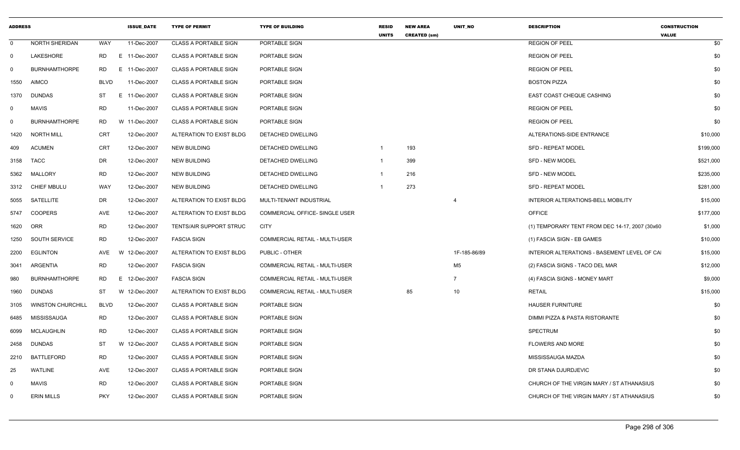| <b>ADDRESS</b> |                          |             | <b>ISSUE DATE</b> | <b>TYPE OF PERMIT</b>        | <b>TYPE OF BUILDING</b>               | <b>RESID</b><br><b>UNITS</b> | <b>NEW AREA</b><br><b>CREATED (sm)</b> | <b>UNIT NO</b> | <b>DESCRIPTION</b>                              | <b>CONSTRUCTION</b><br><b>VALUE</b> |
|----------------|--------------------------|-------------|-------------------|------------------------------|---------------------------------------|------------------------------|----------------------------------------|----------------|-------------------------------------------------|-------------------------------------|
| $\mathbf 0$    | NORTH SHERIDAN           | WAY         | 11-Dec-2007       | <b>CLASS A PORTABLE SIGN</b> | PORTABLE SIGN                         |                              |                                        |                | <b>REGION OF PEEL</b>                           | \$0                                 |
| 0              | LAKESHORE                | RD.         | E 11-Dec-2007     | <b>CLASS A PORTABLE SIGN</b> | PORTABLE SIGN                         |                              |                                        |                | <b>REGION OF PEEL</b>                           | \$0                                 |
| $\Omega$       | <b>BURNHAMTHORPE</b>     | <b>RD</b>   | E.<br>11-Dec-2007 | <b>CLASS A PORTABLE SIGN</b> | PORTABLE SIGN                         |                              |                                        |                | <b>REGION OF PEEL</b>                           | \$0                                 |
| 1550           | <b>AIMCO</b>             | <b>BLVD</b> | 11-Dec-2007       | <b>CLASS A PORTABLE SIGN</b> | PORTABLE SIGN                         |                              |                                        |                | <b>BOSTON PIZZA</b>                             | \$0                                 |
| 1370           | <b>DUNDAS</b>            | <b>ST</b>   | E.<br>11-Dec-2007 | <b>CLASS A PORTABLE SIGN</b> | PORTABLE SIGN                         |                              |                                        |                | EAST COAST CHEQUE CASHING                       | \$0                                 |
| $\Omega$       | <b>MAVIS</b>             | <b>RD</b>   | 11-Dec-2007       | <b>CLASS A PORTABLE SIGN</b> | PORTABLE SIGN                         |                              |                                        |                | <b>REGION OF PEEL</b>                           | \$0                                 |
| $\mathbf 0$    | <b>BURNHAMTHORPE</b>     | <b>RD</b>   | W 11-Dec-2007     | <b>CLASS A PORTABLE SIGN</b> | PORTABLE SIGN                         |                              |                                        |                | <b>REGION OF PEEL</b>                           | \$0                                 |
| 1420           | <b>NORTH MILL</b>        | <b>CRT</b>  | 12-Dec-2007       | ALTERATION TO EXIST BLDG     | <b>DETACHED DWELLING</b>              |                              |                                        |                | ALTERATIONS-SIDE ENTRANCE                       | \$10,000                            |
| 409            | <b>ACUMEN</b>            | <b>CRT</b>  | 12-Dec-2007       | <b>NEW BUILDING</b>          | DETACHED DWELLING                     | 1                            | 193                                    |                | <b>SFD - REPEAT MODEL</b>                       | \$199,000                           |
| 3158           | <b>TACC</b>              | DR          | 12-Dec-2007       | <b>NEW BUILDING</b>          | DETACHED DWELLING                     |                              | 399                                    |                | SFD - NEW MODEL                                 | \$521,000                           |
| 5362           | <b>MALLORY</b>           | <b>RD</b>   | 12-Dec-2007       | <b>NEW BUILDING</b>          | DETACHED DWELLING                     | 1                            | 216                                    |                | <b>SFD - NEW MODEL</b>                          | \$235,000                           |
| 3312           | <b>CHIEF MBULU</b>       | <b>WAY</b>  | 12-Dec-2007       | <b>NEW BUILDING</b>          | DETACHED DWELLING                     |                              | 273                                    |                | <b>SFD - REPEAT MODEL</b>                       | \$281,000                           |
| 5055           | <b>SATELLITE</b>         | DR          | 12-Dec-2007       | ALTERATION TO EXIST BLDG     | MULTI-TENANT INDUSTRIAL               |                              |                                        | 4              | INTERIOR ALTERATIONS-BELL MOBILITY              | \$15,000                            |
| 5747           | <b>COOPERS</b>           | <b>AVE</b>  | 12-Dec-2007       | ALTERATION TO EXIST BLDG     | COMMERCIAL OFFICE- SINGLE USER        |                              |                                        |                | <b>OFFICE</b>                                   | \$177,000                           |
| 1620           | ORR                      | <b>RD</b>   | 12-Dec-2007       | TENTS/AIR SUPPORT STRUC      | <b>CITY</b>                           |                              |                                        |                | (1) TEMPORARY TENT FROM DEC 14-17, 2007 (30x60) | \$1,000                             |
| 1250           | <b>SOUTH SERVICE</b>     | <b>RD</b>   | 12-Dec-2007       | <b>FASCIA SIGN</b>           | <b>COMMERCIAL RETAIL - MULTI-USER</b> |                              |                                        |                | (1) FASCIA SIGN - EB GAMES                      | \$10,000                            |
| 2200           | <b>EGLINTON</b>          | <b>AVE</b>  | 12-Dec-2007<br>W. | ALTERATION TO EXIST BLDG     | PUBLIC - OTHER                        |                              |                                        | 1F-185-86/89   | INTERIOR ALTERATIONS - BASEMENT LEVEL OF CA     | \$15,000                            |
| 3041           | ARGENTIA                 | <b>RD</b>   | 12-Dec-2007       | <b>FASCIA SIGN</b>           | COMMERCIAL RETAIL - MULTI-USER        |                              |                                        | M <sub>5</sub> | (2) FASCIA SIGNS - TACO DEL MAR                 | \$12,000                            |
| 980            | <b>BURNHAMTHORPE</b>     | <b>RD</b>   | E<br>12-Dec-2007  | <b>FASCIA SIGN</b>           | <b>COMMERCIAL RETAIL - MULTI-USER</b> |                              |                                        | $\overline{7}$ | (4) FASCIA SIGNS - MONEY MART                   | \$9,000                             |
| 1960           | <b>DUNDAS</b>            | <b>ST</b>   | W 12-Dec-2007     | ALTERATION TO EXIST BLDG     | COMMERCIAL RETAIL - MULTI-USER        |                              | 85                                     | 10             | <b>RETAIL</b>                                   | \$15,000                            |
| 3105           | <b>WINSTON CHURCHILL</b> | <b>BLVD</b> | 12-Dec-2007       | <b>CLASS A PORTABLE SIGN</b> | PORTABLE SIGN                         |                              |                                        |                | <b>HAUSER FURNITURE</b>                         | \$0                                 |
| 6485           | <b>MISSISSAUGA</b>       | <b>RD</b>   | 12-Dec-2007       | <b>CLASS A PORTABLE SIGN</b> | PORTABLE SIGN                         |                              |                                        |                | DIMMI PIZZA & PASTA RISTORANTE                  | \$0                                 |
| 6099           | <b>MCLAUGHLIN</b>        | <b>RD</b>   | 12-Dec-2007       | <b>CLASS A PORTABLE SIGN</b> | PORTABLE SIGN                         |                              |                                        |                | SPECTRUM                                        | \$0                                 |
| 2458           | <b>DUNDAS</b>            | <b>ST</b>   | W 12-Dec-2007     | <b>CLASS A PORTABLE SIGN</b> | PORTABLE SIGN                         |                              |                                        |                | <b>FLOWERS AND MORE</b>                         | \$0                                 |
| 2210           | <b>BATTLEFORD</b>        | <b>RD</b>   | 12-Dec-2007       | <b>CLASS A PORTABLE SIGN</b> | PORTABLE SIGN                         |                              |                                        |                | MISSISSAUGA MAZDA                               | \$0                                 |
| 25             | <b>WATLINE</b>           | AVE         | 12-Dec-2007       | <b>CLASS A PORTABLE SIGN</b> | PORTABLE SIGN                         |                              |                                        |                | DR STANA DJURDJEVIC                             | \$0                                 |
| $\mathbf 0$    | <b>MAVIS</b>             | <b>RD</b>   | 12-Dec-2007       | <b>CLASS A PORTABLE SIGN</b> | PORTABLE SIGN                         |                              |                                        |                | CHURCH OF THE VIRGIN MARY / ST ATHANASIUS       | \$0                                 |
| 0              | <b>ERIN MILLS</b>        | <b>PKY</b>  | 12-Dec-2007       | <b>CLASS A PORTABLE SIGN</b> | PORTABLE SIGN                         |                              |                                        |                | CHURCH OF THE VIRGIN MARY / ST ATHANASIUS       | \$0                                 |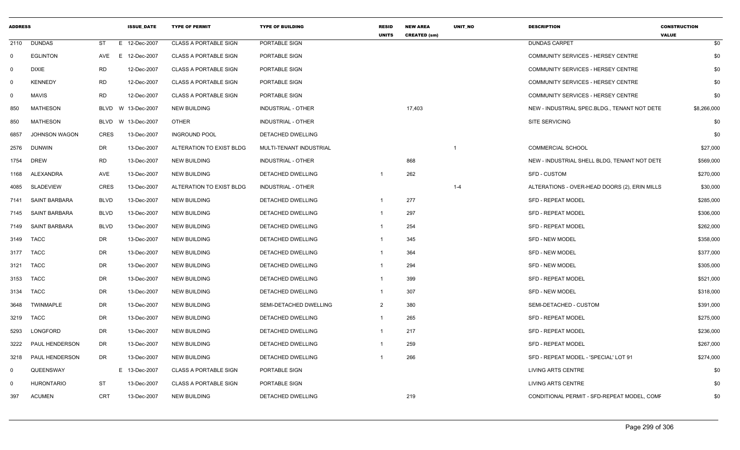| <b>ADDRESS</b> |                       |             | <b>ISSUE DATE</b> | <b>TYPE OF PERMIT</b>        | <b>TYPE OF BUILDING</b>   | <b>RESID</b><br><b>UNITS</b> | <b>NEW AREA</b><br><b>CREATED (sm)</b> | <b>UNIT NO</b> | <b>DESCRIPTION</b>                            | <b>CONSTRUCTION</b><br><b>VALUE</b> |
|----------------|-----------------------|-------------|-------------------|------------------------------|---------------------------|------------------------------|----------------------------------------|----------------|-----------------------------------------------|-------------------------------------|
| 2110           | <b>DUNDAS</b>         | ST          | E 12-Dec-2007     | <b>CLASS A PORTABLE SIGN</b> | PORTABLE SIGN             |                              |                                        |                | <b>DUNDAS CARPET</b>                          | \$0                                 |
| $\mathbf 0$    | <b>EGLINTON</b>       | AVE         | E 12-Dec-2007     | <b>CLASS A PORTABLE SIGN</b> | PORTABLE SIGN             |                              |                                        |                | COMMUNITY SERVICES - HERSEY CENTRE            | \$0                                 |
| $\mathbf 0$    | <b>DIXIE</b>          | <b>RD</b>   | 12-Dec-2007       | <b>CLASS A PORTABLE SIGN</b> | PORTABLE SIGN             |                              |                                        |                | COMMUNITY SERVICES - HERSEY CENTRE            | \$0                                 |
| $\mathbf 0$    | <b>KENNEDY</b>        | <b>RD</b>   | 12-Dec-2007       | <b>CLASS A PORTABLE SIGN</b> | PORTABLE SIGN             |                              |                                        |                | <b>COMMUNITY SERVICES - HERSEY CENTRE</b>     | \$0                                 |
| $\mathbf 0$    | <b>MAVIS</b>          | <b>RD</b>   | 12-Dec-2007       | <b>CLASS A PORTABLE SIGN</b> | PORTABLE SIGN             |                              |                                        |                | COMMUNITY SERVICES - HERSEY CENTRE            | \$0                                 |
| 850            | <b>MATHESON</b>       | BLVD        | W 13-Dec-2007     | <b>NEW BUILDING</b>          | INDUSTRIAL - OTHER        |                              | 17,403                                 |                | NEW - INDUSTRIAL SPEC.BLDG., TENANT NOT DETE  | \$8,266,000                         |
| 850            | <b>MATHESON</b>       | BLVD        | W 13-Dec-2007     | <b>OTHER</b>                 | INDUSTRIAL - OTHER        |                              |                                        |                | <b>SITE SERVICING</b>                         | \$0                                 |
| 6857           | <b>JOHNSON WAGON</b>  | <b>CRES</b> | 13-Dec-2007       | <b>INGROUND POOL</b>         | <b>DETACHED DWELLING</b>  |                              |                                        |                |                                               | \$0                                 |
| 2576           | <b>DUNWIN</b>         | DR          | 13-Dec-2007       | ALTERATION TO EXIST BLDG     | MULTI-TENANT INDUSTRIAL   |                              |                                        | -1             | <b>COMMERCIAL SCHOOL</b>                      | \$27,000                            |
| 1754           | <b>DREW</b>           | <b>RD</b>   | 13-Dec-2007       | <b>NEW BUILDING</b>          | INDUSTRIAL - OTHER        |                              | 868                                    |                | NEW - INDUSTRIAL SHELL BLDG, TENANT NOT DETE  | \$569,000                           |
| 1168           | ALEXANDRA             | AVE         | 13-Dec-2007       | <b>NEW BUILDING</b>          | DETACHED DWELLING         |                              | 262                                    |                | <b>SFD - CUSTOM</b>                           | \$270,000                           |
| 4085           | <b>SLADEVIEW</b>      | <b>CRES</b> | 13-Dec-2007       | ALTERATION TO EXIST BLDG     | <b>INDUSTRIAL - OTHER</b> |                              |                                        | $1 - 4$        | ALTERATIONS - OVER-HEAD DOORS (2), ERIN MILLS | \$30,000                            |
| 7141           | <b>SAINT BARBARA</b>  | <b>BLVD</b> | 13-Dec-2007       | <b>NEW BUILDING</b>          | <b>DETACHED DWELLING</b>  |                              | 277                                    |                | <b>SFD - REPEAT MODEL</b>                     | \$285,000                           |
| 7145           | <b>SAINT BARBARA</b>  | <b>BLVD</b> | 13-Dec-2007       | <b>NEW BUILDING</b>          | <b>DETACHED DWELLING</b>  |                              | 297                                    |                | <b>SFD - REPEAT MODEL</b>                     | \$306,000                           |
| 7149           | SAINT BARBARA         | <b>BLVD</b> | 13-Dec-2007       | <b>NEW BUILDING</b>          | DETACHED DWELLING         |                              | 254                                    |                | <b>SFD - REPEAT MODEL</b>                     | \$262,000                           |
| 3149           | <b>TACC</b>           | DR.         | 13-Dec-2007       | <b>NEW BUILDING</b>          | DETACHED DWELLING         |                              | 345                                    |                | <b>SFD - NEW MODEL</b>                        | \$358,000                           |
| 3177           | <b>TACC</b>           | DR          | 13-Dec-2007       | <b>NEW BUILDING</b>          | DETACHED DWELLING         |                              | 364                                    |                | SFD - NEW MODEL                               | \$377,000                           |
| 3121           | <b>TACC</b>           | DR          | 13-Dec-2007       | <b>NEW BUILDING</b>          | DETACHED DWELLING         |                              | 294                                    |                | <b>SFD - NEW MODEL</b>                        | \$305,000                           |
| 3153           | <b>TACC</b>           | DR          | 13-Dec-2007       | <b>NEW BUILDING</b>          | DETACHED DWELLING         |                              | 399                                    |                | <b>SFD - REPEAT MODEL</b>                     | \$521,000                           |
| 3134           | TACC                  | DR          | 13-Dec-2007       | <b>NEW BUILDING</b>          | DETACHED DWELLING         | -1                           | 307                                    |                | <b>SFD - NEW MODEL</b>                        | \$318,000                           |
| 3648           | TWINMAPLE             | DR          | 13-Dec-2007       | <b>NEW BUILDING</b>          | SEMI-DETACHED DWELLING    | 2                            | 380                                    |                | SEMI-DETACHED - CUSTOM                        | \$391,000                           |
| 3219           | <b>TACC</b>           | DR          | 13-Dec-2007       | <b>NEW BUILDING</b>          | DETACHED DWELLING         | $\mathbf 1$                  | 265                                    |                | <b>SFD - REPEAT MODEL</b>                     | \$275,000                           |
| 5293           | LONGFORD              | DR          | 13-Dec-2007       | <b>NEW BUILDING</b>          | DETACHED DWELLING         | -1                           | 217                                    |                | <b>SFD - REPEAT MODEL</b>                     | \$236,000                           |
| 3222           | <b>PAUL HENDERSON</b> | DR.         | 13-Dec-2007       | <b>NEW BUILDING</b>          | DETACHED DWELLING         |                              | 259                                    |                | <b>SFD - REPEAT MODEL</b>                     | \$267,000                           |
| 3218           | PAUL HENDERSON        | DR          | 13-Dec-2007       | <b>NEW BUILDING</b>          | DETACHED DWELLING         |                              | 266                                    |                | SFD - REPEAT MODEL - 'SPECIAL' LOT 91         | \$274,000                           |
| $\mathbf 0$    | QUEENSWAY             |             | E 13-Dec-2007     | <b>CLASS A PORTABLE SIGN</b> | PORTABLE SIGN             |                              |                                        |                | LIVING ARTS CENTRE                            | \$0                                 |
| $\mathbf 0$    | <b>HURONTARIO</b>     | ST          | 13-Dec-2007       | <b>CLASS A PORTABLE SIGN</b> | PORTABLE SIGN             |                              |                                        |                | LIVING ARTS CENTRE                            | \$0                                 |
| 397            | <b>ACUMEN</b>         | <b>CRT</b>  | 13-Dec-2007       | <b>NEW BUILDING</b>          | <b>DETACHED DWELLING</b>  |                              | 219                                    |                | CONDITIONAL PERMIT - SFD-REPEAT MODEL, COMF   | \$0                                 |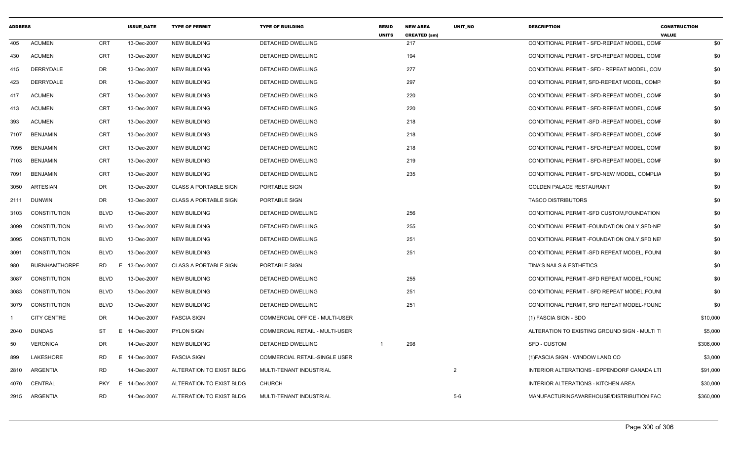| <b>ADDRESS</b> |                      |                  | <b>ISSUE DATE</b> | <b>TYPE OF PERMIT</b>        | <b>TYPE OF BUILDING</b>        | <b>RESID</b><br><b>UNITS</b> | <b>NEW AREA</b><br><b>CREATED (sm)</b> | <b>UNIT NO</b> | <b>DESCRIPTION</b>                            | <b>CONSTRUCTION</b><br><b>VALUE</b> |           |
|----------------|----------------------|------------------|-------------------|------------------------------|--------------------------------|------------------------------|----------------------------------------|----------------|-----------------------------------------------|-------------------------------------|-----------|
| 405            | <b>ACUMEN</b>        | <b>CRT</b>       | 13-Dec-2007       | <b>NEW BUILDING</b>          | <b>DETACHED DWELLING</b>       |                              | 217                                    |                | CONDITIONAL PERMIT - SFD-REPEAT MODEL. COMF   |                                     | \$0       |
| 430            | <b>ACUMEN</b>        | <b>CRT</b>       | 13-Dec-2007       | <b>NEW BUILDING</b>          | DETACHED DWELLING              |                              | 194                                    |                | CONDITIONAL PERMIT - SFD-REPEAT MODEL, COMF   |                                     | \$0       |
| 415            | DERRYDALE            | DR               | 13-Dec-2007       | <b>NEW BUILDING</b>          | DETACHED DWELLING              |                              | 277                                    |                | CONDITIONAL PERMIT - SFD - REPEAT MODEL, CON  |                                     | \$0       |
| 423            | DERRYDALE            | <b>DR</b>        | 13-Dec-2007       | <b>NEW BUILDING</b>          | DETACHED DWELLING              |                              | 297                                    |                | CONDITIONAL PERMIT, SFD-REPEAT MODEL, COMP    |                                     | \$0       |
| 417            | <b>ACUMEN</b>        | <b>CRT</b>       | 13-Dec-2007       | NEW BUILDING                 | DETACHED DWELLING              |                              | 220                                    |                | CONDITIONAL PERMIT - SFD-REPEAT MODEL, COMF   |                                     | \$0       |
| 413            | <b>ACUMEN</b>        | <b>CRT</b>       | 13-Dec-2007       | NEW BUILDING                 | DETACHED DWELLING              |                              | 220                                    |                | CONDITIONAL PERMIT - SFD-REPEAT MODEL, COMF   |                                     | \$0       |
| 393            | <b>ACUMEN</b>        | <b>CRT</b>       | 13-Dec-2007       | <b>NEW BUILDING</b>          | <b>DETACHED DWELLING</b>       |                              | 218                                    |                | CONDITIONAL PERMIT - SFD - REPEAT MODEL, COMP |                                     | \$0       |
| 7107           | <b>BENJAMIN</b>      | CRT              | 13-Dec-2007       | <b>NEW BUILDING</b>          | <b>DETACHED DWELLING</b>       |                              | 218                                    |                | CONDITIONAL PERMIT - SFD-REPEAT MODEL, COMF   |                                     | \$0       |
| 7095           | BENJAMIN             | CRT              | 13-Dec-2007       | <b>NEW BUILDING</b>          | DETACHED DWELLING              |                              | 218                                    |                | CONDITIONAL PERMIT - SFD-REPEAT MODEL, COMF   |                                     | \$0       |
| 7103           | <b>BENJAMIN</b>      | <b>CRT</b>       | 13-Dec-2007       | <b>NEW BUILDING</b>          | DETACHED DWELLING              |                              | 219                                    |                | CONDITIONAL PERMIT - SFD-REPEAT MODEL, COMF   |                                     | \$0       |
| 7091           | BENJAMIN             | <b>CRT</b>       | 13-Dec-2007       | <b>NEW BUILDING</b>          | DETACHED DWELLING              |                              | 235                                    |                | CONDITIONAL PERMIT - SFD-NEW MODEL, COMPLIA   |                                     | \$0       |
| 3050           | ARTESIAN             | DR               | 13-Dec-2007       | <b>CLASS A PORTABLE SIGN</b> | PORTABLE SIGN                  |                              |                                        |                | <b>GOLDEN PALACE RESTAURANT</b>               |                                     | \$0       |
| 2111           | DUNWIN               | DR               | 13-Dec-2007       | <b>CLASS A PORTABLE SIGN</b> | PORTABLE SIGN                  |                              |                                        |                | <b>TASCO DISTRIBUTORS</b>                     |                                     | \$0       |
| 3103           | CONSTITUTION         | <b>BLVD</b>      | 13-Dec-2007       | <b>NEW BUILDING</b>          | DETACHED DWELLING              |                              | 256                                    |                | CONDITIONAL PERMIT -SFD CUSTOM, FOUNDATION    |                                     | \$0       |
| 3099           | CONSTITUTION         | <b>BLVD</b>      | 13-Dec-2007       | <b>NEW BUILDING</b>          | DETACHED DWELLING              |                              | 255                                    |                | CONDITIONAL PERMIT - FOUNDATION ONLY, SFD-NET |                                     | \$0       |
| 3095           | <b>CONSTITUTION</b>  | BLVD             | 13-Dec-2007       | <b>NEW BUILDING</b>          | DETACHED DWELLING              |                              | 251                                    |                | CONDITIONAL PERMIT - FOUNDATION ONLY, SFD NET |                                     | \$0       |
| 3091           | <b>CONSTITUTION</b>  | <b>BLVD</b>      | 13-Dec-2007       | <b>NEW BUILDING</b>          | DETACHED DWELLING              |                              | 251                                    |                | CONDITIONAL PERMIT -SFD REPEAT MODEL, FOUNI   |                                     | \$0       |
| 980            | <b>BURNHAMTHORPE</b> | RD<br>E          | 13-Dec-2007       | <b>CLASS A PORTABLE SIGN</b> | PORTABLE SIGN                  |                              |                                        |                | TINA'S NAILS & ESTHETICS                      |                                     | \$0       |
| 3087           | <b>CONSTITUTION</b>  | <b>BLVD</b>      | 13-Dec-2007       | <b>NEW BUILDING</b>          | DETACHED DWELLING              |                              | 255                                    |                | CONDITIONAL PERMIT - SFD REPEAT MODEL, FOUND  |                                     | \$0       |
| 3083           | CONSTITUTION         | <b>BLVD</b>      | 13-Dec-2007       | <b>NEW BUILDING</b>          | DETACHED DWELLING              |                              | 251                                    |                | CONDITIONAL PERMIT - SFD REPEAT MODEL, FOUNI  |                                     | \$0       |
| 3079           | CONSTITUTION         | <b>BLVD</b>      | 13-Dec-2007       | <b>NEW BUILDING</b>          | <b>DETACHED DWELLING</b>       |                              | 251                                    |                | CONDITIONAL PERMIT, SFD REPEAT MODEL-FOUND    |                                     | \$0       |
|                | <b>CITY CENTRE</b>   | DR               | 14-Dec-2007       | <b>FASCIA SIGN</b>           | COMMERCIAL OFFICE - MULTI-USER |                              |                                        |                | (1) FASCIA SIGN - BDO                         |                                     | \$10,000  |
| 2040           | <b>DUNDAS</b>        | ST<br>E.         | 14-Dec-2007       | <b>PYLON SIGN</b>            | COMMERCIAL RETAIL - MULTI-USER |                              |                                        |                | ALTERATION TO EXISTING GROUND SIGN - MULTI T  |                                     | \$5,000   |
| 50             | <b>VERONICA</b>      | DR               | 14-Dec-2007       | <b>NEW BUILDING</b>          | DETACHED DWELLING              | $\mathbf 1$                  | 298                                    |                | SFD - CUSTOM                                  |                                     | \$306,000 |
| 899            | LAKESHORE            | RD<br>E.         | 14-Dec-2007       | <b>FASCIA SIGN</b>           | COMMERCIAL RETAIL-SINGLE USER  |                              |                                        |                | (1) FASCIA SIGN - WINDOW LAND CO              |                                     | \$3,000   |
| 2810           | ARGENTIA             | <b>RD</b>        | 14-Dec-2007       | ALTERATION TO EXIST BLDG     | MULTI-TENANT INDUSTRIAL        |                              |                                        | 2              | INTERIOR ALTERATIONS - EPPENDORF CANADA LTI   |                                     | \$91,000  |
| 4070           | CENTRAL              | <b>PKY</b><br>E. | 14-Dec-2007       | ALTERATION TO EXIST BLDG     | <b>CHURCH</b>                  |                              |                                        |                | INTERIOR ALTERATIONS - KITCHEN AREA           |                                     | \$30,000  |
|                | 2915 ARGENTIA        | <b>RD</b>        | 14-Dec-2007       | ALTERATION TO EXIST BLDG     | MULTI-TENANT INDUSTRIAL        |                              |                                        | $5-6$          | MANUFACTURING/WAREHOUSE/DISTRIBUTION FAC      |                                     | \$360,000 |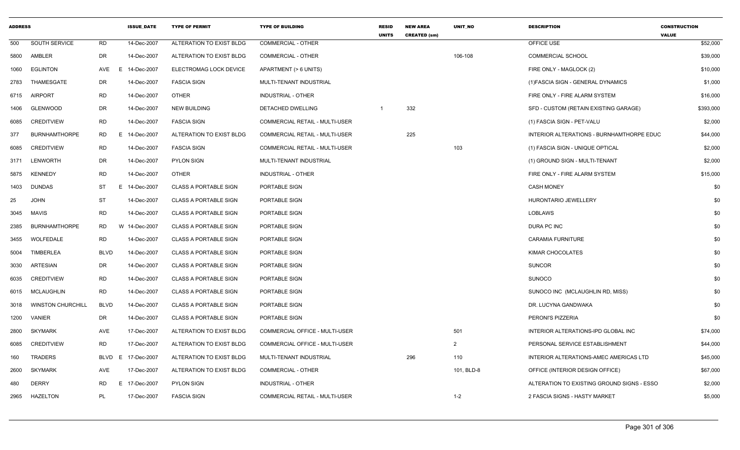| <b>ADDRESS</b> |                          |             | <b>ISSUE DATE</b> | <b>TYPE OF PERMIT</b>        | <b>TYPE OF BUILDING</b>               | <b>RESID</b><br><b>UNITS</b> | <b>NEW AREA</b><br><b>CREATED (sm)</b> | <b>UNIT NO</b> | <b>DESCRIPTION</b>                         | <b>CONSTRUCTION</b><br><b>VALUE</b> |
|----------------|--------------------------|-------------|-------------------|------------------------------|---------------------------------------|------------------------------|----------------------------------------|----------------|--------------------------------------------|-------------------------------------|
| 500            | SOUTH SERVICE            | <b>RD</b>   | 14-Dec-2007       | ALTERATION TO EXIST BLDG     | COMMERCIAL - OTHER                    |                              |                                        |                | OFFICE USE                                 | \$52,000                            |
| 5800           | AMBLER                   | DR          | 14-Dec-2007       | ALTERATION TO EXIST BLDG     | <b>COMMERCIAL - OTHER</b>             |                              |                                        | 106-108        | <b>COMMERCIAL SCHOOL</b>                   | \$39,000                            |
| 1060           | <b>EGLINTON</b>          | AVE<br>E.   | 14-Dec-2007       | ELECTROMAG LOCK DEVICE       | APARTMENT (> 6 UNITS)                 |                              |                                        |                | FIRE ONLY - MAGLOCK (2)                    | \$10,000                            |
| 2783           | THAMESGATE               | DR          | 14-Dec-2007       | <b>FASCIA SIGN</b>           | MULTI-TENANT INDUSTRIAL               |                              |                                        |                | (1) FASCIA SIGN - GENERAL DYNAMICS         | \$1,000                             |
| 6715           | <b>AIRPORT</b>           | <b>RD</b>   | 14-Dec-2007       | <b>OTHER</b>                 | INDUSTRIAL - OTHER                    |                              |                                        |                | FIRE ONLY - FIRE ALARM SYSTEM              | \$16,000                            |
| 1406           | <b>GLENWOOD</b>          | <b>DR</b>   | 14-Dec-2007       | <b>NEW BUILDING</b>          | DETACHED DWELLING                     | $\overline{1}$               | 332                                    |                | SFD - CUSTOM (RETAIN EXISTING GARAGE)      | \$393,000                           |
| 6085           | <b>CREDITVIEW</b>        | <b>RD</b>   | 14-Dec-2007       | <b>FASCIA SIGN</b>           | COMMERCIAL RETAIL - MULTI-USER        |                              |                                        |                | (1) FASCIA SIGN - PET-VALU                 | \$2,000                             |
| 377            | <b>BURNHAMTHORPE</b>     | <b>RD</b>   | E 14-Dec-2007     | ALTERATION TO EXIST BLDG     | <b>COMMERCIAL RETAIL - MULTI-USER</b> |                              | 225                                    |                | INTERIOR ALTERATIONS - BURNHAMTHORPE EDUC  | \$44,000                            |
| 6085           | <b>CREDITVIEW</b>        | <b>RD</b>   | 14-Dec-2007       | <b>FASCIA SIGN</b>           | COMMERCIAL RETAIL - MULTI-USER        |                              |                                        | 103            | (1) FASCIA SIGN - UNIQUE OPTICAL           | \$2,000                             |
| 3171           | LENWORTH                 | DR          | 14-Dec-2007       | <b>PYLON SIGN</b>            | MULTI-TENANT INDUSTRIAL               |                              |                                        |                | (1) GROUND SIGN - MULTI-TENANT             | \$2,000                             |
| 5875           | <b>KENNEDY</b>           | <b>RD</b>   | 14-Dec-2007       | <b>OTHER</b>                 | INDUSTRIAL - OTHER                    |                              |                                        |                | FIRE ONLY - FIRE ALARM SYSTEM              | \$15,000                            |
| 1403           | <b>DUNDAS</b>            | ST          | E.<br>14-Dec-2007 | <b>CLASS A PORTABLE SIGN</b> | PORTABLE SIGN                         |                              |                                        |                | <b>CASH MONEY</b>                          | \$0                                 |
| 25             | <b>JOHN</b>              | <b>ST</b>   | 14-Dec-2007       | <b>CLASS A PORTABLE SIGN</b> | PORTABLE SIGN                         |                              |                                        |                | HURONTARIO JEWELLERY                       | \$0                                 |
| 3045           | MAVIS                    | <b>RD</b>   | 14-Dec-2007       | <b>CLASS A PORTABLE SIGN</b> | PORTABLE SIGN                         |                              |                                        |                | <b>LOBLAWS</b>                             | \$0                                 |
| 2385           | <b>BURNHAMTHORPE</b>     | <b>RD</b>   | W 14-Dec-2007     | <b>CLASS A PORTABLE SIGN</b> | PORTABLE SIGN                         |                              |                                        |                | <b>DURA PC INC</b>                         | \$0                                 |
| 3455           | <b>WOLFEDALE</b>         | <b>RD</b>   | 14-Dec-2007       | <b>CLASS A PORTABLE SIGN</b> | PORTABLE SIGN                         |                              |                                        |                | <b>CARAMIA FURNITURE</b>                   | \$0                                 |
| 5004           | <b>TIMBERLEA</b>         | <b>BLVD</b> | 14-Dec-2007       | <b>CLASS A PORTABLE SIGN</b> | PORTABLE SIGN                         |                              |                                        |                | KIMAR CHOCOLATES                           | \$0                                 |
| 3030           | ARTESIAN                 | DR          | 14-Dec-2007       | <b>CLASS A PORTABLE SIGN</b> | PORTABLE SIGN                         |                              |                                        |                | <b>SUNCOR</b>                              | \$0                                 |
| 6035           | <b>CREDITVIEW</b>        | <b>RD</b>   | 14-Dec-2007       | <b>CLASS A PORTABLE SIGN</b> | PORTABLE SIGN                         |                              |                                        |                | <b>SUNOCO</b>                              | \$0                                 |
| 6015           | <b>MCLAUGHLIN</b>        | <b>RD</b>   | 14-Dec-2007       | <b>CLASS A PORTABLE SIGN</b> | PORTABLE SIGN                         |                              |                                        |                | SUNOCO INC (MCLAUGHLIN RD, MISS)           | \$0                                 |
| 3018           | <b>WINSTON CHURCHILL</b> | <b>BLVD</b> | 14-Dec-2007       | <b>CLASS A PORTABLE SIGN</b> | PORTABLE SIGN                         |                              |                                        |                | DR. LUCYNA GANDWAKA                        | \$0                                 |
| 1200           | VANIER                   | DR          | 14-Dec-2007       | CLASS A PORTABLE SIGN        | PORTABLE SIGN                         |                              |                                        |                | PERONI'S PIZZERIA                          | \$0                                 |
| 2800           | <b>SKYMARK</b>           | AVE         | 17-Dec-2007       | ALTERATION TO EXIST BLDG     | COMMERCIAL OFFICE - MULTI-USER        |                              |                                        | 501            | INTERIOR ALTERATIONS-IPD GLOBAL INC        | \$74,000                            |
| 6085           | <b>CREDITVIEW</b>        | <b>RD</b>   | 17-Dec-2007       | ALTERATION TO EXIST BLDG     | COMMERCIAL OFFICE - MULTI-USER        |                              |                                        | $\overline{2}$ | PERSONAL SERVICE ESTABLISHMENT             | \$44,000                            |
| 160            | <b>TRADERS</b>           | BLVD<br>E.  | 17-Dec-2007       | ALTERATION TO EXIST BLDG     | MULTI-TENANT INDUSTRIAL               |                              | 296                                    | 110            | INTERIOR ALTERATIONS-AMEC AMERICAS LTD     | \$45,000                            |
| 2600           | <b>SKYMARK</b>           | AVE         | 17-Dec-2007       | ALTERATION TO EXIST BLDG     | COMMERCIAL - OTHER                    |                              |                                        | 101, BLD-8     | OFFICE (INTERIOR DESIGN OFFICE)            | \$67,000                            |
| 480            | <b>DERRY</b>             | <b>RD</b>   | E.<br>17-Dec-2007 | <b>PYLON SIGN</b>            | INDUSTRIAL - OTHER                    |                              |                                        |                | ALTERATION TO EXISTING GROUND SIGNS - ESSO | \$2,000                             |
| 2965           | <b>HAZELTON</b>          | PL          | 17-Dec-2007       | <b>FASCIA SIGN</b>           | COMMERCIAL RETAIL - MULTI-USER        |                              |                                        | $1 - 2$        | 2 FASCIA SIGNS - HASTY MARKET              | \$5,000                             |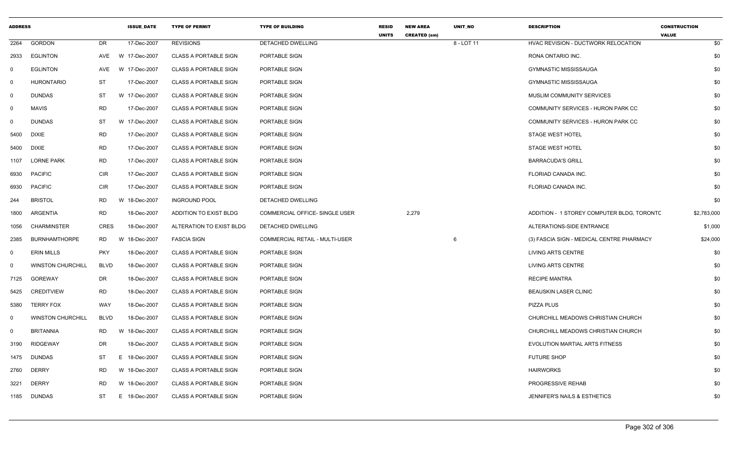| <b>ADDRESS</b> |                          |             | <b>ISSUE_DATE</b> | <b>TYPE OF PERMIT</b>        | <b>TYPE OF BUILDING</b>               | <b>RESID</b><br><b>UNITS</b> | <b>NEW AREA</b><br><b>CREATED (sm)</b> | UNIT_NO    | <b>DESCRIPTION</b>                         | <b>CONSTRUCTION</b><br><b>VALUE</b> |
|----------------|--------------------------|-------------|-------------------|------------------------------|---------------------------------------|------------------------------|----------------------------------------|------------|--------------------------------------------|-------------------------------------|
| 2264           | <b>GORDON</b>            | DR          | 17-Dec-2007       | <b>REVISIONS</b>             | DETACHED DWELLING                     |                              |                                        | 8 - LOT 11 | HVAC REVISION - DUCTWORK RELOCATION        | \$0                                 |
| 2933           | <b>EGLINTON</b>          | AVE         | W 17-Dec-2007     | <b>CLASS A PORTABLE SIGN</b> | PORTABLE SIGN                         |                              |                                        |            | RONA ONTARIO INC.                          | \$0                                 |
| $\mathbf 0$    | <b>EGLINTON</b>          | AVE         | W 17-Dec-2007     | <b>CLASS A PORTABLE SIGN</b> | PORTABLE SIGN                         |                              |                                        |            | <b>GYMNASTIC MISSISSAUGA</b>               | \$0                                 |
| $\mathbf 0$    | <b>HURONTARIO</b>        | ST          | 17-Dec-2007       | <b>CLASS A PORTABLE SIGN</b> | PORTABLE SIGN                         |                              |                                        |            | <b>GYMNASTIC MISSISSAUGA</b>               | \$0                                 |
| $\mathbf 0$    | <b>DUNDAS</b>            | ST          | W 17-Dec-2007     | <b>CLASS A PORTABLE SIGN</b> | PORTABLE SIGN                         |                              |                                        |            | MUSLIM COMMUNITY SERVICES                  | \$0                                 |
| $\mathbf 0$    | <b>MAVIS</b>             | <b>RD</b>   | 17-Dec-2007       | <b>CLASS A PORTABLE SIGN</b> | PORTABLE SIGN                         |                              |                                        |            | COMMUNITY SERVICES - HURON PARK CC         | \$0                                 |
| $\mathbf 0$    | <b>DUNDAS</b>            | <b>ST</b>   | W 17-Dec-2007     | <b>CLASS A PORTABLE SIGN</b> | PORTABLE SIGN                         |                              |                                        |            | COMMUNITY SERVICES - HURON PARK CC         | \$0                                 |
| 5400           | <b>DIXIE</b>             | <b>RD</b>   | 17-Dec-2007       | <b>CLASS A PORTABLE SIGN</b> | PORTABLE SIGN                         |                              |                                        |            | <b>STAGE WEST HOTEL</b>                    | \$0                                 |
| 5400           | <b>DIXIE</b>             | <b>RD</b>   | 17-Dec-2007       | CLASS A PORTABLE SIGN        | PORTABLE SIGN                         |                              |                                        |            | <b>STAGE WEST HOTEL</b>                    | \$0                                 |
| 1107           | <b>LORNE PARK</b>        | <b>RD</b>   | 17-Dec-2007       | <b>CLASS A PORTABLE SIGN</b> | PORTABLE SIGN                         |                              |                                        |            | <b>BARRACUDA'S GRILL</b>                   | \$0                                 |
| 6930           | <b>PACIFIC</b>           | <b>CIR</b>  | 17-Dec-2007       | <b>CLASS A PORTABLE SIGN</b> | PORTABLE SIGN                         |                              |                                        |            | FLORIAD CANADA INC.                        | \$0                                 |
| 6930           | <b>PACIFIC</b>           | CIR         | 17-Dec-2007       | <b>CLASS A PORTABLE SIGN</b> | PORTABLE SIGN                         |                              |                                        |            | FLORIAD CANADA INC.                        | \$0                                 |
| 244            | <b>BRISTOL</b>           | <b>RD</b>   | W 18-Dec-2007     | <b>INGROUND POOL</b>         | DETACHED DWELLING                     |                              |                                        |            |                                            | \$0                                 |
| 1800           | ARGENTIA                 | <b>RD</b>   | 18-Dec-2007       | ADDITION TO EXIST BLDG       | COMMERCIAL OFFICE- SINGLE USER        |                              | 2,279                                  |            | ADDITION - 1 STOREY COMPUTER BLDG, TORONTC | \$2,783,000                         |
| 1056           | <b>CHARMINSTER</b>       | <b>CRES</b> | 18-Dec-2007       | ALTERATION TO EXIST BLDG     | DETACHED DWELLING                     |                              |                                        |            | ALTERATIONS-SIDE ENTRANCE                  | \$1,000                             |
| 2385           | <b>BURNHAMTHORPE</b>     | RD          | W 18-Dec-2007     | <b>FASCIA SIGN</b>           | <b>COMMERCIAL RETAIL - MULTI-USER</b> |                              |                                        | 6          | (3) FASCIA SIGN - MEDICAL CENTRE PHARMACY  | \$24,000                            |
| $\mathbf 0$    | <b>ERIN MILLS</b>        | <b>PKY</b>  | 18-Dec-2007       | <b>CLASS A PORTABLE SIGN</b> | PORTABLE SIGN                         |                              |                                        |            | LIVING ARTS CENTRE                         | \$0                                 |
| $\mathbf 0$    | <b>WINSTON CHURCHILL</b> | <b>BLVD</b> | 18-Dec-2007       | <b>CLASS A PORTABLE SIGN</b> | PORTABLE SIGN                         |                              |                                        |            | LIVING ARTS CENTRE                         | \$0                                 |
| 7125           | GOREWAY                  | DR          | 18-Dec-2007       | <b>CLASS A PORTABLE SIGN</b> | PORTABLE SIGN                         |                              |                                        |            | <b>RECIPE MANTRA</b>                       | \$0                                 |
| 5425           | <b>CREDITVIEW</b>        | <b>RD</b>   | 18-Dec-2007       | <b>CLASS A PORTABLE SIGN</b> | PORTABLE SIGN                         |                              |                                        |            | <b>BEAUSKIN LASER CLINIC</b>               | \$0                                 |
| 5380           | <b>TERRY FOX</b>         | WAY         | 18-Dec-2007       | <b>CLASS A PORTABLE SIGN</b> | PORTABLE SIGN                         |                              |                                        |            | PIZZA PLUS                                 | \$0                                 |
| $\mathbf 0$    | <b>WINSTON CHURCHILL</b> | <b>BLVD</b> | 18-Dec-2007       | <b>CLASS A PORTABLE SIGN</b> | PORTABLE SIGN                         |                              |                                        |            | CHURCHILL MEADOWS CHRISTIAN CHURCH         | \$0                                 |
| $\mathbf 0$    | <b>BRITANNIA</b>         | <b>RD</b>   | W 18-Dec-2007     | <b>CLASS A PORTABLE SIGN</b> | PORTABLE SIGN                         |                              |                                        |            | CHURCHILL MEADOWS CHRISTIAN CHURCH         | \$0                                 |
| 3190           | <b>RIDGEWAY</b>          | DR          | 18-Dec-2007       | <b>CLASS A PORTABLE SIGN</b> | PORTABLE SIGN                         |                              |                                        |            | EVOLUTION MARTIAL ARTS FITNESS             | \$0                                 |
| 1475           | DUNDAS                   | <b>ST</b>   | E 18-Dec-2007     | <b>CLASS A PORTABLE SIGN</b> | PORTABLE SIGN                         |                              |                                        |            | <b>FUTURE SHOP</b>                         | \$0                                 |
| 2760           | <b>DERRY</b>             | RD          | W 18-Dec-2007     | <b>CLASS A PORTABLE SIGN</b> | PORTABLE SIGN                         |                              |                                        |            | <b>HAIRWORKS</b>                           | \$0                                 |
| 3221           | <b>DERRY</b>             | <b>RD</b>   | W 18-Dec-2007     | <b>CLASS A PORTABLE SIGN</b> | PORTABLE SIGN                         |                              |                                        |            | PROGRESSIVE REHAB                          | \$0                                 |
| 1185           | DUNDAS                   | ST          | E 18-Dec-2007     | <b>CLASS A PORTABLE SIGN</b> | PORTABLE SIGN                         |                              |                                        |            | JENNIFER'S NAILS & ESTHETICS               | \$0                                 |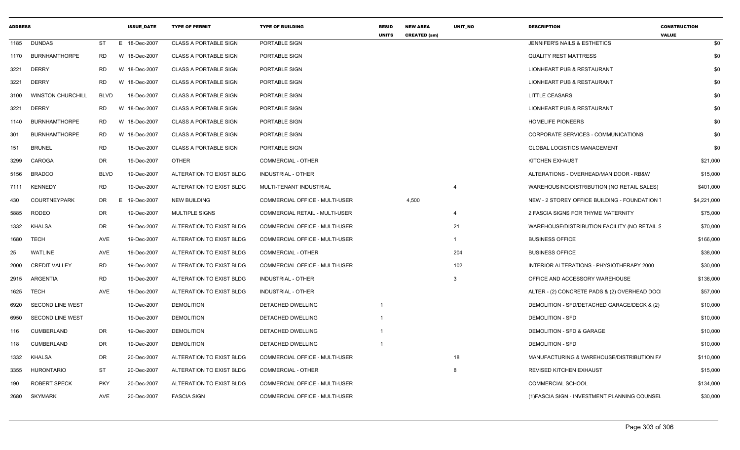| <b>ADDRESS</b> |                          |             | <b>ISSUE_DATE</b> | <b>TYPE OF PERMIT</b>        | <b>TYPE OF BUILDING</b>        | <b>RESID</b><br><b>UNITS</b> | <b>NEW AREA</b><br><b>CREATED (sm)</b> | UNIT_NO        | <b>DESCRIPTION</b>                            | <b>CONSTRUCTION</b><br><b>VALUE</b> |
|----------------|--------------------------|-------------|-------------------|------------------------------|--------------------------------|------------------------------|----------------------------------------|----------------|-----------------------------------------------|-------------------------------------|
| 1185           | <b>DUNDAS</b>            | ST          | E 18-Dec-2007     | <b>CLASS A PORTABLE SIGN</b> | PORTABLE SIGN                  |                              |                                        |                | JENNIFER'S NAILS & ESTHETICS                  | \$0                                 |
| 1170           | <b>BURNHAMTHORPE</b>     | <b>RD</b>   | W 18-Dec-2007     | <b>CLASS A PORTABLE SIGN</b> | PORTABLE SIGN                  |                              |                                        |                | <b>QUALITY REST MATTRESS</b>                  | \$0                                 |
| 3221           | <b>DERRY</b>             | <b>RD</b>   | W 18-Dec-2007     | <b>CLASS A PORTABLE SIGN</b> | PORTABLE SIGN                  |                              |                                        |                | LIONHEART PUB & RESTAURANT                    | \$0                                 |
| 3221           | <b>DERRY</b>             | RD          | W 18-Dec-2007     | <b>CLASS A PORTABLE SIGN</b> | PORTABLE SIGN                  |                              |                                        |                | LIONHEART PUB & RESTAURANT                    | \$0                                 |
| 3100           | <b>WINSTON CHURCHILL</b> | BLVD        | 18-Dec-2007       | <b>CLASS A PORTABLE SIGN</b> | PORTABLE SIGN                  |                              |                                        |                | <b>LITTLE CEASARS</b>                         | \$0                                 |
| 3221           | <b>DERRY</b>             | RD          | W 18-Dec-2007     | <b>CLASS A PORTABLE SIGN</b> | PORTABLE SIGN                  |                              |                                        |                | LIONHEART PUB & RESTAURANT                    | \$0                                 |
| 1140           | <b>BURNHAMTHORPE</b>     | RD.         | W 18-Dec-2007     | <b>CLASS A PORTABLE SIGN</b> | PORTABLE SIGN                  |                              |                                        |                | <b>HOMELIFE PIONEERS</b>                      | \$0                                 |
| 301            | <b>BURNHAMTHORPE</b>     | RD.         | W 18-Dec-2007     | <b>CLASS A PORTABLE SIGN</b> | <b>PORTABLE SIGN</b>           |                              |                                        |                | CORPORATE SERVICES - COMMUNICATIONS           | \$0                                 |
| 151            | <b>BRUNEL</b>            | <b>RD</b>   | 18-Dec-2007       | <b>CLASS A PORTABLE SIGN</b> | PORTABLE SIGN                  |                              |                                        |                | <b>GLOBAL LOGISTICS MANAGEMENT</b>            | \$0                                 |
| 3299           | CAROGA                   | <b>DR</b>   | 19-Dec-2007       | <b>OTHER</b>                 | <b>COMMERCIAL - OTHER</b>      |                              |                                        |                | KITCHEN EXHAUST                               | \$21,000                            |
| 5156           | <b>BRADCO</b>            | <b>BLVD</b> | 19-Dec-2007       | ALTERATION TO EXIST BLDG     | INDUSTRIAL - OTHER             |                              |                                        |                | ALTERATIONS - OVERHEAD/MAN DOOR - RB&W        | \$15,000                            |
| 7111           | <b>KENNEDY</b>           | <b>RD</b>   | 19-Dec-2007       | ALTERATION TO EXIST BLDG     | MULTI-TENANT INDUSTRIAL        |                              |                                        | $\overline{4}$ | WAREHOUSING/DISTRIBUTION (NO RETAIL SALES)    | \$401,000                           |
| 430            | <b>COURTNEYPARK</b>      | DR          | E 19-Dec-2007     | <b>NEW BUILDING</b>          | COMMERCIAL OFFICE - MULTI-USER |                              | 4,500                                  |                | NEW - 2 STOREY OFFICE BUILDING - FOUNDATION 1 | \$4,221,000                         |
| 5885           | <b>RODEO</b>             | DR          | 19-Dec-2007       | <b>MULTIPLE SIGNS</b>        | COMMERCIAL RETAIL - MULTI-USER |                              |                                        |                | 2 FASCIA SIGNS FOR THYME MATERNITY            | \$75,000                            |
| 1332           | KHALSA                   | <b>DR</b>   | 19-Dec-2007       | ALTERATION TO EXIST BLDG     | COMMERCIAL OFFICE - MULTI-USER |                              |                                        | 21             | WAREHOUSE/DISTRIBUTION FACILITY (NO RETAIL S  | \$70,000                            |
| 1680           | TECH                     | AVE         | 19-Dec-2007       | ALTERATION TO EXIST BLDG     | COMMERCIAL OFFICE - MULTI-USER |                              |                                        |                | <b>BUSINESS OFFICE</b>                        | \$166,000                           |
| 25             | <b>WATLINE</b>           | AVE         | 19-Dec-2007       | ALTERATION TO EXIST BLDG     | <b>COMMERCIAL - OTHER</b>      |                              |                                        | 204            | <b>BUSINESS OFFICE</b>                        | \$38,000                            |
| 2000           | <b>CREDIT VALLEY</b>     | <b>RD</b>   | 19-Dec-2007       | ALTERATION TO EXIST BLDG     | COMMERCIAL OFFICE - MULTI-USER |                              |                                        | 102            | INTERIOR ALTERATIONS - PHYSIOTHERAPY 2000     | \$30,000                            |
| 2915           | ARGENTIA                 | <b>RD</b>   | 19-Dec-2007       | ALTERATION TO EXIST BLDG     | INDUSTRIAL - OTHER             |                              |                                        | $\mathbf{3}$   | OFFICE AND ACCESSORY WAREHOUSE                | \$136,000                           |
| 1625           | <b>TECH</b>              | AVE         | 19-Dec-2007       | ALTERATION TO EXIST BLDG     | INDUSTRIAL - OTHER             |                              |                                        |                | ALTER - (2) CONCRETE PADS & (2) OVERHEAD DOO  | \$57,000                            |
| 6920           | <b>SECOND LINE WEST</b>  |             | 19-Dec-2007       | <b>DEMOLITION</b>            | DETACHED DWELLING              |                              |                                        |                | DEMOLITION - SFD/DETACHED GARAGE/DECK & (2)   | \$10,000                            |
| 6950           | <b>SECOND LINE WEST</b>  |             | 19-Dec-2007       | <b>DEMOLITION</b>            | DETACHED DWELLING              |                              |                                        |                | <b>DEMOLITION - SFD</b>                       | \$10,000                            |
| 116            | <b>CUMBERLAND</b>        | DR          | 19-Dec-2007       | <b>DEMOLITION</b>            | DETACHED DWELLING              |                              |                                        |                | DEMOLITION - SFD & GARAGE                     | \$10,000                            |
| 118            | <b>CUMBERLAND</b>        | DR          | 19-Dec-2007       | <b>DEMOLITION</b>            | DETACHED DWELLING              |                              |                                        |                | <b>DEMOLITION - SFD</b>                       | \$10,000                            |
| 1332           | KHALSA                   | DR          | 20-Dec-2007       | ALTERATION TO EXIST BLDG     | COMMERCIAL OFFICE - MULTI-USER |                              |                                        | 18             | MANUFACTURING & WAREHOUSE/DISTRIBUTION FA     | \$110,000                           |
| 3355           | HURONTARIO               | <b>ST</b>   | 20-Dec-2007       | ALTERATION TO EXIST BLDG     | <b>COMMERCIAL - OTHER</b>      |                              |                                        | 8              | <b>REVISED KITCHEN EXHAUST</b>                | \$15,000                            |
| 190            | <b>ROBERT SPECK</b>      | <b>PKY</b>  | 20-Dec-2007       | ALTERATION TO EXIST BLDG     | COMMERCIAL OFFICE - MULTI-USER |                              |                                        |                | <b>COMMERCIAL SCHOOL</b>                      | \$134,000                           |
| 2680           | <b>SKYMARK</b>           | AVE         | 20-Dec-2007       | <b>FASCIA SIGN</b>           | COMMERCIAL OFFICE - MULTI-USER |                              |                                        |                | (1) FASCIA SIGN - INVESTMENT PLANNING COUNSEL | \$30,000                            |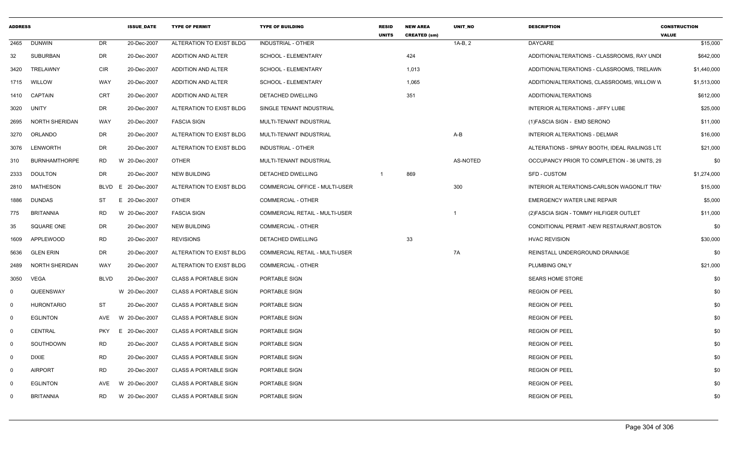| <b>ADDRESS</b> |                      |             | <b>ISSUE_DATE</b>  | <b>TYPE OF PERMIT</b>        | <b>TYPE OF BUILDING</b>        | <b>RESID</b><br><b>UNITS</b> | <b>NEW AREA</b><br><b>CREATED (sm)</b> | UNIT_NO  | <b>DESCRIPTION</b>                            | <b>CONSTRUCTION</b><br><b>VALUE</b> |  |
|----------------|----------------------|-------------|--------------------|------------------------------|--------------------------------|------------------------------|----------------------------------------|----------|-----------------------------------------------|-------------------------------------|--|
| 2465           | <b>DUNWIN</b>        | DR          | 20-Dec-2007        | ALTERATION TO EXIST BLDG     | INDUSTRIAL - OTHER             |                              |                                        | 1A-B, 2  | DAYCARE                                       | \$15,000                            |  |
| 32             | SUBURBAN             | DR          | 20-Dec-2007        | ADDITION AND ALTER           | SCHOOL - ELEMENTARY            |                              | 424                                    |          | ADDITION/ALTERATIONS - CLASSROOMS, RAY UNDI   | \$642,000                           |  |
| 3420           | <b>TRELAWNY</b>      | CIR         | 20-Dec-2007        | ADDITION AND ALTER           | <b>SCHOOL - ELEMENTARY</b>     |                              | 1,013                                  |          | ADDITION/ALTERATIONS - CLASSROOMS, TRELAWN    | \$1,440,000                         |  |
| 1715           | WILLOW               | WAY         | 20-Dec-2007        | ADDITION AND ALTER           | <b>SCHOOL - ELEMENTARY</b>     |                              | 1,065                                  |          | ADDITION/ALTERATIONS, CLASSROOMS, WILLOW W    | \$1,513,000                         |  |
|                | 1410 CAPTAIN         | CRT         | 20-Dec-2007        | ADDITION AND ALTER           | DETACHED DWELLING              |                              | 351                                    |          | ADDITION/ALTERATIONS                          | \$612,000                           |  |
| 3020           | UNITY                | DR          | 20-Dec-2007        | ALTERATION TO EXIST BLDG     | SINGLE TENANT INDUSTRIAL       |                              |                                        |          | INTERIOR ALTERATIONS - JIFFY LUBE             | \$25,000                            |  |
| 2695           | NORTH SHERIDAN       | WAY         | 20-Dec-2007        | <b>FASCIA SIGN</b>           | MULTI-TENANT INDUSTRIAL        |                              |                                        |          | (1) FASCIA SIGN - EMD SERONO                  | \$11,000                            |  |
| 3270           | ORLANDO              | DR          | 20-Dec-2007        | ALTERATION TO EXIST BLDG     | MULTI-TENANT INDUSTRIAL        |                              |                                        | $A-B$    | INTERIOR ALTERATIONS - DELMAR                 | \$16,000                            |  |
|                | 3076 LENWORTH        | DR          | 20-Dec-2007        | ALTERATION TO EXIST BLDG     | <b>INDUSTRIAL - OTHER</b>      |                              |                                        |          | ALTERATIONS - SPRAY BOOTH, IDEAL RAILINGS LTI | \$21,000                            |  |
| 310            | <b>BURNHAMTHORPE</b> | RD          | W 20-Dec-2007      | <b>OTHER</b>                 | MULTI-TENANT INDUSTRIAL        |                              |                                        | AS-NOTED | OCCUPANCY PRIOR TO COMPLETION - 36 UNITS, 29  | \$0                                 |  |
| 2333           | <b>DOULTON</b>       | DR          | 20-Dec-2007        | <b>NEW BUILDING</b>          | DETACHED DWELLING              | $\overline{\mathbf{1}}$      | 869                                    |          | SFD - CUSTOM                                  | \$1,274,000                         |  |
| 2810           | MATHESON             |             | BLVD E 20-Dec-2007 | ALTERATION TO EXIST BLDG     | COMMERCIAL OFFICE - MULTI-USER |                              |                                        | 300      | INTERIOR ALTERATIONS-CARLSON WAGONLIT TRA'    | \$15,000                            |  |
| 1886           | <b>DUNDAS</b>        | ST          | E.<br>20-Dec-2007  | <b>OTHER</b>                 | COMMERCIAL - OTHER             |                              |                                        |          | <b>EMERGENCY WATER LINE REPAIR</b>            | \$5,000                             |  |
| 775            | <b>BRITANNIA</b>     | <b>RD</b>   | W 20-Dec-2007      | <b>FASCIA SIGN</b>           | COMMERCIAL RETAIL - MULTI-USER |                              |                                        |          | (2) FASCIA SIGN - TOMMY HILFIGER OUTLET       | \$11,000                            |  |
| 35             | SQUARE ONE           | DR          | 20-Dec-2007        | <b>NEW BUILDING</b>          | COMMERCIAL - OTHER             |                              |                                        |          | CONDITIONAL PERMIT -NEW RESTAURANT, BOSTON    | \$0                                 |  |
| 1609           | APPLEWOOD            | <b>RD</b>   | 20-Dec-2007        | <b>REVISIONS</b>             | DETACHED DWELLING              |                              | 33                                     |          | <b>HVAC REVISION</b>                          | \$30,000                            |  |
| 5636           | <b>GLEN ERIN</b>     | DR          | 20-Dec-2007        | ALTERATION TO EXIST BLDG     | COMMERCIAL RETAIL - MULTI-USER |                              |                                        | 7A       | REINSTALL UNDERGROUND DRAINAGE                | \$0                                 |  |
| 2489           | NORTH SHERIDAN       | WAY         | 20-Dec-2007        | ALTERATION TO EXIST BLDG     | <b>COMMERCIAL - OTHER</b>      |                              |                                        |          | <b>PLUMBING ONLY</b>                          | \$21,000                            |  |
| 3050           | VEGA                 | <b>BLVD</b> | 20-Dec-2007        | <b>CLASS A PORTABLE SIGN</b> | PORTABLE SIGN                  |                              |                                        |          | <b>SEARS HOME STORE</b>                       | \$0                                 |  |
| $\Omega$       | QUEENSWAY            |             | W 20-Dec-2007      | <b>CLASS A PORTABLE SIGN</b> | PORTABLE SIGN                  |                              |                                        |          | <b>REGION OF PEEL</b>                         | \$0                                 |  |
| $\mathbf 0$    | <b>HURONTARIO</b>    | ST          | 20-Dec-2007        | <b>CLASS A PORTABLE SIGN</b> | PORTABLE SIGN                  |                              |                                        |          | <b>REGION OF PEEL</b>                         | \$0                                 |  |
| $\mathbf 0$    | <b>EGLINTON</b>      | AVE         | W 20-Dec-2007      | <b>CLASS A PORTABLE SIGN</b> | PORTABLE SIGN                  |                              |                                        |          | <b>REGION OF PEEL</b>                         | \$0                                 |  |
| $\mathbf 0$    | <b>CENTRAL</b>       | PKY         | E 20-Dec-2007      | <b>CLASS A PORTABLE SIGN</b> | PORTABLE SIGN                  |                              |                                        |          | <b>REGION OF PEEL</b>                         | \$0                                 |  |
| $\Omega$       | SOUTHDOWN            | <b>RD</b>   | 20-Dec-2007        | <b>CLASS A PORTABLE SIGN</b> | PORTABLE SIGN                  |                              |                                        |          | <b>REGION OF PEEL</b>                         | \$0                                 |  |
| $\mathbf 0$    | DIXIE                | RD          | 20-Dec-2007        | <b>CLASS A PORTABLE SIGN</b> | PORTABLE SIGN                  |                              |                                        |          | <b>REGION OF PEEL</b>                         | \$0                                 |  |
| $\mathbf 0$    | <b>AIRPORT</b>       | <b>RD</b>   | 20-Dec-2007        | <b>CLASS A PORTABLE SIGN</b> | PORTABLE SIGN                  |                              |                                        |          | <b>REGION OF PEEL</b>                         | \$0                                 |  |
| $\Omega$       | <b>EGLINTON</b>      | AVE         | W 20-Dec-2007      | <b>CLASS A PORTABLE SIGN</b> | PORTABLE SIGN                  |                              |                                        |          | <b>REGION OF PEEL</b>                         | \$0                                 |  |
| $\Omega$       | <b>BRITANNIA</b>     | RD.         | W 20-Dec-2007      | <b>CLASS A PORTABLE SIGN</b> | PORTABLE SIGN                  |                              |                                        |          | <b>REGION OF PEEL</b>                         | \$0                                 |  |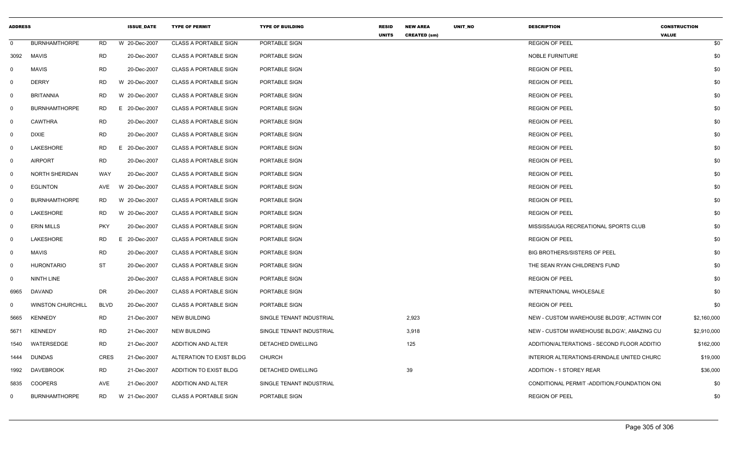| <b>ADDRESS</b> |                          |             | <b>ISSUE_DATE</b> | <b>TYPE OF PERMIT</b>        | <b>TYPE OF BUILDING</b>  | <b>RESID</b><br><b>UNITS</b> | <b>NEW AREA</b><br><b>CREATED (sm)</b> | UNIT_NO | <b>DESCRIPTION</b>                           | <b>CONSTRUCTION</b><br><b>VALUE</b> |           |
|----------------|--------------------------|-------------|-------------------|------------------------------|--------------------------|------------------------------|----------------------------------------|---------|----------------------------------------------|-------------------------------------|-----------|
| $\Omega$       | <b>BURNHAMTHORPE</b>     | RD          | W 20-Dec-2007     | <b>CLASS A PORTABLE SIGN</b> | PORTABLE SIGN            |                              |                                        |         | <b>REGION OF PEEL</b>                        |                                     | \$0       |
| 3092           | <b>MAVIS</b>             | <b>RD</b>   | 20-Dec-2007       | <b>CLASS A PORTABLE SIGN</b> | PORTABLE SIGN            |                              |                                        |         | <b>NOBLE FURNITURE</b>                       |                                     | \$0       |
|                | <b>MAVIS</b>             | <b>RD</b>   | 20-Dec-2007       | <b>CLASS A PORTABLE SIGN</b> | PORTABLE SIGN            |                              |                                        |         | <b>REGION OF PEEL</b>                        |                                     | \$0       |
|                | <b>DERRY</b>             | RD          | W 20-Dec-2007     | <b>CLASS A PORTABLE SIGN</b> | PORTABLE SIGN            |                              |                                        |         | <b>REGION OF PEEL</b>                        |                                     | \$0       |
| $\Omega$       | <b>BRITANNIA</b>         | RD          | W 20-Dec-2007     | <b>CLASS A PORTABLE SIGN</b> | PORTABLE SIGN            |                              |                                        |         | <b>REGION OF PEEL</b>                        |                                     | \$0       |
|                | <b>BURNHAMTHORPE</b>     | RD          | E 20-Dec-2007     | <b>CLASS A PORTABLE SIGN</b> | PORTABLE SIGN            |                              |                                        |         | <b>REGION OF PEEL</b>                        |                                     | \$0       |
|                | CAWTHRA                  | <b>RD</b>   | 20-Dec-2007       | <b>CLASS A PORTABLE SIGN</b> | PORTABLE SIGN            |                              |                                        |         | <b>REGION OF PEEL</b>                        |                                     | \$0       |
| - 0            | <b>DIXIE</b>             | <b>RD</b>   | 20-Dec-2007       | <b>CLASS A PORTABLE SIGN</b> | PORTABLE SIGN            |                              |                                        |         | <b>REGION OF PEEL</b>                        |                                     | \$0       |
| - 0            | LAKESHORE                | <b>RD</b>   | E 20-Dec-2007     | <b>CLASS A PORTABLE SIGN</b> | PORTABLE SIGN            |                              |                                        |         | <b>REGION OF PEEL</b>                        |                                     | \$0       |
| $\Omega$       | <b>AIRPORT</b>           | <b>RD</b>   | 20-Dec-2007       | <b>CLASS A PORTABLE SIGN</b> | PORTABLE SIGN            |                              |                                        |         | <b>REGION OF PEEL</b>                        |                                     | \$0       |
| റ              | NORTH SHERIDAN           | WAY         | 20-Dec-2007       | <b>CLASS A PORTABLE SIGN</b> | PORTABLE SIGN            |                              |                                        |         | <b>REGION OF PEEL</b>                        |                                     | \$0       |
| $\Omega$       | <b>EGLINTON</b>          |             |                   | <b>CLASS A PORTABLE SIGN</b> | PORTABLE SIGN            |                              |                                        |         | <b>REGION OF PEEL</b>                        |                                     | \$0       |
|                | <b>BURNHAMTHORPE</b>     | RD          | W 20-Dec-2007     | <b>CLASS A PORTABLE SIGN</b> | PORTABLE SIGN            |                              |                                        |         | <b>REGION OF PEEL</b>                        |                                     | \$0       |
| - 0            | LAKESHORE                | <b>RD</b>   | W 20-Dec-2007     | <b>CLASS A PORTABLE SIGN</b> | PORTABLE SIGN            |                              |                                        |         | <b>REGION OF PEEL</b>                        |                                     | \$0       |
|                | <b>ERIN MILLS</b>        | <b>PKY</b>  | 20-Dec-2007       | <b>CLASS A PORTABLE SIGN</b> | PORTABLE SIGN            |                              |                                        |         | MISSISSAUGA RECREATIONAL SPORTS CLUB         |                                     | \$0       |
| - 0            | LAKESHORE                | RD          | E 20-Dec-2007     | <b>CLASS A PORTABLE SIGN</b> | PORTABLE SIGN            |                              |                                        |         | <b>REGION OF PEEL</b>                        |                                     | \$0       |
|                | <b>MAVIS</b>             | RD          | 20-Dec-2007       | <b>CLASS A PORTABLE SIGN</b> | PORTABLE SIGN            |                              |                                        |         | <b>BIG BROTHERS/SISTERS OF PEEL</b>          |                                     | \$0       |
| $\Omega$       | <b>HURONTARIO</b>        | ST          | 20-Dec-2007       | <b>CLASS A PORTABLE SIGN</b> | PORTABLE SIGN            |                              |                                        |         | THE SEAN RYAN CHILDREN'S FUND                |                                     | \$0       |
| $\Omega$       | NINTH LINE               |             | 20-Dec-2007       | <b>CLASS A PORTABLE SIGN</b> | PORTABLE SIGN            |                              |                                        |         | <b>REGION OF PEEL</b>                        |                                     | \$0       |
| 6965           | DAVAND                   | DR          | 20-Dec-2007       | <b>CLASS A PORTABLE SIGN</b> | PORTABLE SIGN            |                              |                                        |         | INTERNATIONAL WHOLESALE                      |                                     | \$0       |
|                | <b>WINSTON CHURCHILL</b> | <b>BLVD</b> | 20-Dec-2007       | <b>CLASS A PORTABLE SIGN</b> | PORTABLE SIGN            |                              |                                        |         | <b>REGION OF PEEL</b>                        |                                     | \$0       |
| 5665           | <b>KENNEDY</b>           | RD          | 21-Dec-2007       | <b>NEW BUILDING</b>          | SINGLE TENANT INDUSTRIAL |                              | 2,923                                  |         | NEW - CUSTOM WAREHOUSE BLDG'B', ACTIWIN COI  | \$2,160,000                         |           |
| 5671           | <b>KENNEDY</b>           | RD          | 21-Dec-2007       | <b>NEW BUILDING</b>          | SINGLE TENANT INDUSTRIAL |                              | 3,918                                  |         | NEW - CUSTOM WAREHOUSE BLDG'A', AMAZING CU   | \$2,910,000                         |           |
| 1540           | WATERSEDGE               | RD          | 21-Dec-2007       | ADDITION AND ALTER           | DETACHED DWELLING        |                              | 125                                    |         | ADDITION/ALTERATIONS - SECOND FLOOR ADDITIO  |                                     | \$162,000 |
| 1444           | <b>DUNDAS</b>            | <b>CRES</b> | 21-Dec-2007       | ALTERATION TO EXIST BLDG     | CHURCH                   |                              |                                        |         | INTERIOR ALTERATIONS-ERINDALE UNITED CHURC   |                                     | \$19,000  |
| 1992           | DAVEBROOK                | RD          | 21-Dec-2007       | ADDITION TO EXIST BLDG       | DETACHED DWELLING        |                              | 39                                     |         | ADDITION - 1 STOREY REAR                     |                                     | \$36,000  |
| 5835           | COOPERS                  | AVE         | 21-Dec-2007       | ADDITION AND ALTER           | SINGLE TENANT INDUSTRIAL |                              |                                        |         | CONDITIONAL PERMIT -ADDITION, FOUNDATION ONL |                                     | \$0       |
| $\Omega$       | <b>BURNHAMTHORPE</b>     | RD          | W 21-Dec-2007     | <b>CLASS A PORTABLE SIGN</b> | PORTABLE SIGN            |                              |                                        |         | <b>REGION OF PEEL</b>                        |                                     | \$0       |